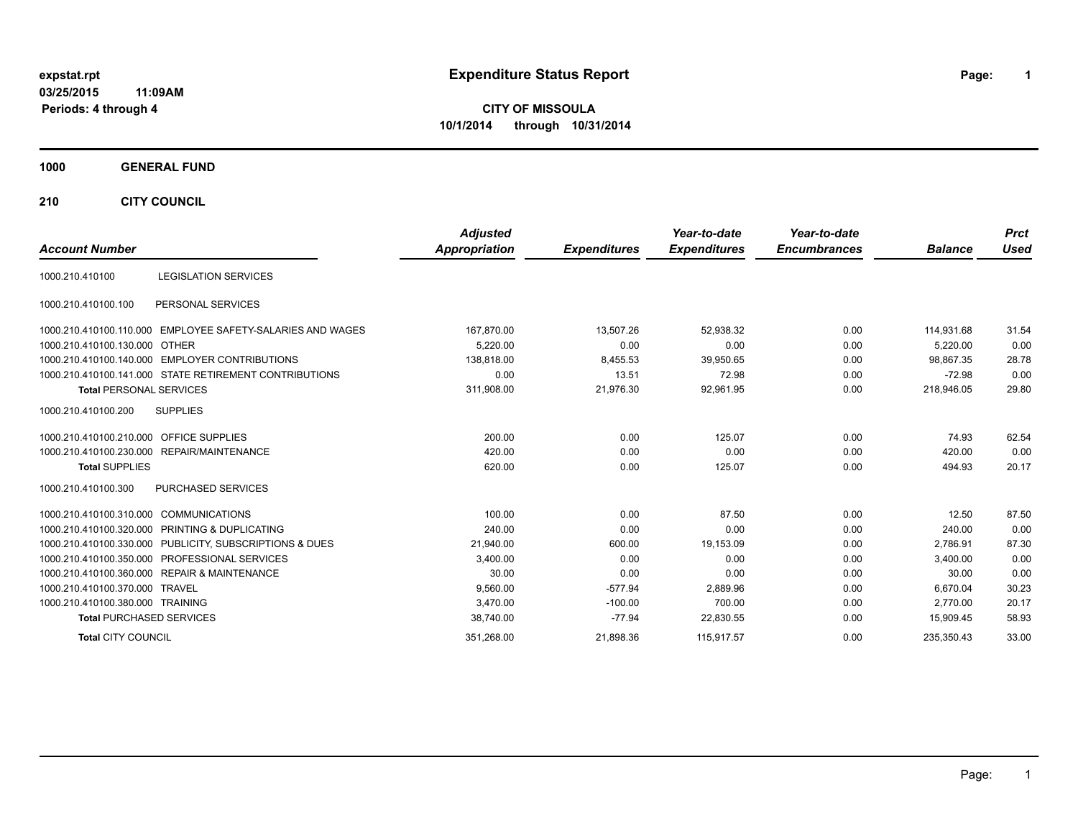# **expstat.rpt Expenditure Status Report Page:**

**1**

**CITY OF MISSOULA 10/1/2014 through 10/31/2014**

#### **1000 GENERAL FUND**

**210 CITY COUNCIL**

| <b>Account Number</b>            |                                                         | <b>Adjusted</b><br><b>Appropriation</b> | <b>Expenditures</b> | Year-to-date<br><b>Expenditures</b> | Year-to-date<br><b>Encumbrances</b> | <b>Balance</b> | <b>Prct</b><br><b>Used</b> |
|----------------------------------|---------------------------------------------------------|-----------------------------------------|---------------------|-------------------------------------|-------------------------------------|----------------|----------------------------|
|                                  |                                                         |                                         |                     |                                     |                                     |                |                            |
| 1000.210.410100                  | <b>LEGISLATION SERVICES</b>                             |                                         |                     |                                     |                                     |                |                            |
| 1000.210.410100.100              | PERSONAL SERVICES                                       |                                         |                     |                                     |                                     |                |                            |
| 1000.210.410100.110.000          | EMPLOYEE SAFETY-SALARIES AND WAGES                      | 167,870.00                              | 13.507.26           | 52.938.32                           | 0.00                                | 114.931.68     | 31.54                      |
| 1000.210.410100.130.000 OTHER    |                                                         | 5.220.00                                | 0.00                | 0.00                                | 0.00                                | 5.220.00       | 0.00                       |
|                                  | 1000.210.410100.140.000 EMPLOYER CONTRIBUTIONS          | 138,818.00                              | 8,455.53            | 39,950.65                           | 0.00                                | 98.867.35      | 28.78                      |
|                                  | 1000.210.410100.141.000 STATE RETIREMENT CONTRIBUTIONS  | 0.00                                    | 13.51               | 72.98                               | 0.00                                | $-72.98$       | 0.00                       |
| <b>Total PERSONAL SERVICES</b>   |                                                         | 311,908.00                              | 21,976.30           | 92,961.95                           | 0.00                                | 218,946.05     | 29.80                      |
| 1000.210.410100.200              | <b>SUPPLIES</b>                                         |                                         |                     |                                     |                                     |                |                            |
| 1000.210.410100.210.000          | <b>OFFICE SUPPLIES</b>                                  | 200.00                                  | 0.00                | 125.07                              | 0.00                                | 74.93          | 62.54                      |
| 1000.210.410100.230.000          | REPAIR/MAINTENANCE                                      | 420.00                                  | 0.00                | 0.00                                | 0.00                                | 420.00         | 0.00                       |
| <b>Total SUPPLIES</b>            |                                                         | 620.00                                  | 0.00                | 125.07                              | 0.00                                | 494.93         | 20.17                      |
| 1000.210.410100.300              | PURCHASED SERVICES                                      |                                         |                     |                                     |                                     |                |                            |
| 1000.210.410100.310.000          | COMMUNICATIONS                                          | 100.00                                  | 0.00                | 87.50                               | 0.00                                | 12.50          | 87.50                      |
| 1000.210.410100.320.000          | PRINTING & DUPLICATING                                  | 240.00                                  | 0.00                | 0.00                                | 0.00                                | 240.00         | 0.00                       |
|                                  | 1000.210.410100.330.000 PUBLICITY, SUBSCRIPTIONS & DUES | 21,940.00                               | 600.00              | 19,153.09                           | 0.00                                | 2,786.91       | 87.30                      |
|                                  | 1000.210.410100.350.000 PROFESSIONAL SERVICES           | 3,400.00                                | 0.00                | 0.00                                | 0.00                                | 3,400.00       | 0.00                       |
|                                  | 1000.210.410100.360.000 REPAIR & MAINTENANCE            | 30.00                                   | 0.00                | 0.00                                | 0.00                                | 30.00          | 0.00                       |
| 1000.210.410100.370.000 TRAVEL   |                                                         | 9,560.00                                | $-577.94$           | 2,889.96                            | 0.00                                | 6,670.04       | 30.23                      |
| 1000.210.410100.380.000 TRAINING |                                                         | 3.470.00                                | $-100.00$           | 700.00                              | 0.00                                | 2.770.00       | 20.17                      |
| <b>Total PURCHASED SERVICES</b>  |                                                         | 38,740.00                               | $-77.94$            | 22,830.55                           | 0.00                                | 15,909.45      | 58.93                      |
| <b>Total CITY COUNCIL</b>        |                                                         | 351,268.00                              | 21,898.36           | 115,917.57                          | 0.00                                | 235.350.43     | 33.00                      |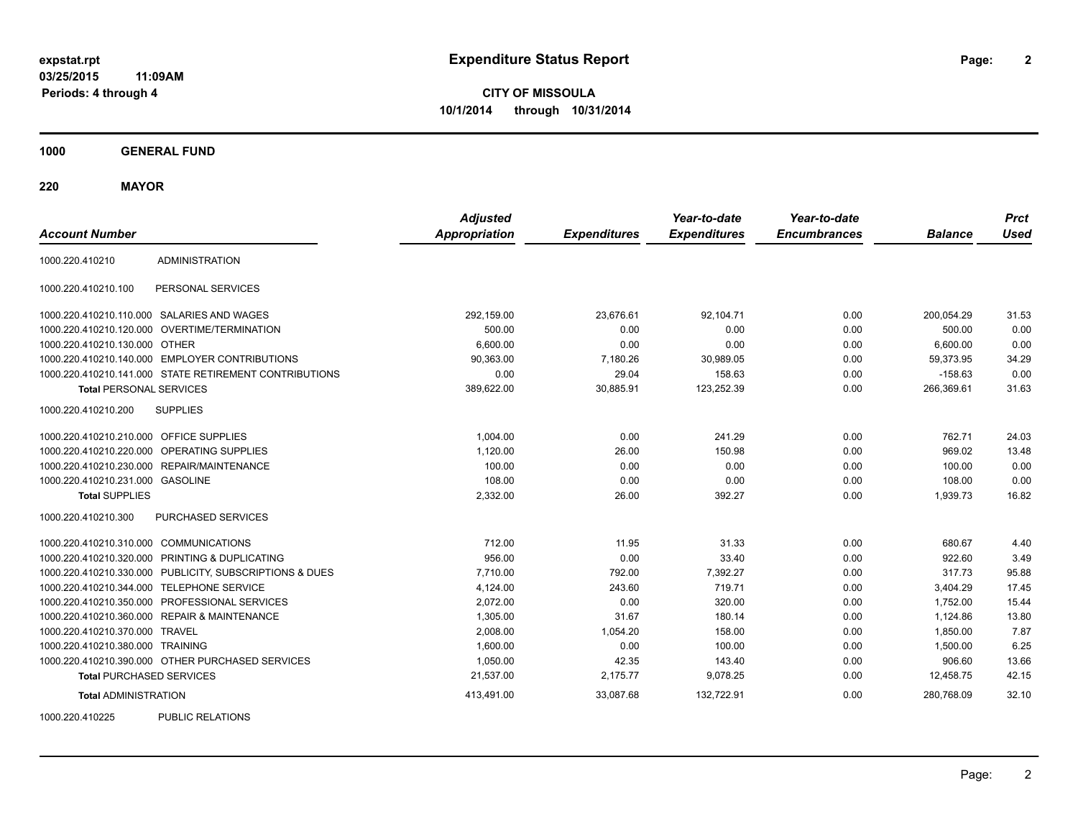**CITY OF MISSOULA 10/1/2014 through 10/31/2014**

**1000 GENERAL FUND**

**220 MAYOR**

| <b>Account Number</b>                   |                                                         | <b>Adjusted</b><br><b>Appropriation</b> | <b>Expenditures</b> | Year-to-date<br><b>Expenditures</b> | Year-to-date<br><b>Encumbrances</b> | <b>Balance</b> | <b>Prct</b><br><b>Used</b> |
|-----------------------------------------|---------------------------------------------------------|-----------------------------------------|---------------------|-------------------------------------|-------------------------------------|----------------|----------------------------|
| 1000.220.410210                         | <b>ADMINISTRATION</b>                                   |                                         |                     |                                     |                                     |                |                            |
| 1000.220.410210.100                     | PERSONAL SERVICES                                       |                                         |                     |                                     |                                     |                |                            |
|                                         | 1000.220.410210.110.000 SALARIES AND WAGES              | 292,159.00                              | 23,676.61           | 92,104.71                           | 0.00                                | 200.054.29     | 31.53                      |
|                                         | 1000.220.410210.120.000 OVERTIME/TERMINATION            | 500.00                                  | 0.00                | 0.00                                | 0.00                                | 500.00         | 0.00                       |
| 1000.220.410210.130.000 OTHER           |                                                         | 6,600.00                                | 0.00                | 0.00                                | 0.00                                | 6,600.00       | 0.00                       |
|                                         | 1000.220.410210.140.000 EMPLOYER CONTRIBUTIONS          | 90,363.00                               | 7,180.26            | 30,989.05                           | 0.00                                | 59,373.95      | 34.29                      |
|                                         | 1000.220.410210.141.000 STATE RETIREMENT CONTRIBUTIONS  | 0.00                                    | 29.04               | 158.63                              | 0.00                                | $-158.63$      | 0.00                       |
| <b>Total PERSONAL SERVICES</b>          |                                                         | 389,622.00                              | 30,885.91           | 123,252.39                          | 0.00                                | 266,369.61     | 31.63                      |
| 1000.220.410210.200                     | <b>SUPPLIES</b>                                         |                                         |                     |                                     |                                     |                |                            |
| 1000.220.410210.210.000 OFFICE SUPPLIES |                                                         | 1.004.00                                | 0.00                | 241.29                              | 0.00                                | 762.71         | 24.03                      |
| 1000.220.410210.220.000                 | OPERATING SUPPLIES                                      | 1,120.00                                | 26.00               | 150.98                              | 0.00                                | 969.02         | 13.48                      |
| 1000.220.410210.230.000                 | REPAIR/MAINTENANCE                                      | 100.00                                  | 0.00                | 0.00                                | 0.00                                | 100.00         | 0.00                       |
| 1000.220.410210.231.000 GASOLINE        |                                                         | 108.00                                  | 0.00                | 0.00                                | 0.00                                | 108.00         | 0.00                       |
| <b>Total SUPPLIES</b>                   |                                                         | 2,332.00                                | 26.00               | 392.27                              | 0.00                                | 1,939.73       | 16.82                      |
| 1000.220.410210.300                     | PURCHASED SERVICES                                      |                                         |                     |                                     |                                     |                |                            |
| 1000.220.410210.310.000 COMMUNICATIONS  |                                                         | 712.00                                  | 11.95               | 31.33                               | 0.00                                | 680.67         | 4.40                       |
|                                         | 1000.220.410210.320.000 PRINTING & DUPLICATING          | 956.00                                  | 0.00                | 33.40                               | 0.00                                | 922.60         | 3.49                       |
|                                         | 1000.220.410210.330.000 PUBLICITY, SUBSCRIPTIONS & DUES | 7,710.00                                | 792.00              | 7,392.27                            | 0.00                                | 317.73         | 95.88                      |
| 1000.220.410210.344.000                 | <b>TELEPHONE SERVICE</b>                                | 4,124.00                                | 243.60              | 719.71                              | 0.00                                | 3,404.29       | 17.45                      |
|                                         | 1000.220.410210.350.000 PROFESSIONAL SERVICES           | 2,072.00                                | 0.00                | 320.00                              | 0.00                                | 1,752.00       | 15.44                      |
|                                         | 1000.220.410210.360.000 REPAIR & MAINTENANCE            | 1,305.00                                | 31.67               | 180.14                              | 0.00                                | 1,124.86       | 13.80                      |
| 1000.220.410210.370.000 TRAVEL          |                                                         | 2,008.00                                | 1,054.20            | 158.00                              | 0.00                                | 1,850.00       | 7.87                       |
| 1000.220.410210.380.000 TRAINING        |                                                         | 1,600.00                                | 0.00                | 100.00                              | 0.00                                | 1,500.00       | 6.25                       |
|                                         | 1000.220.410210.390.000 OTHER PURCHASED SERVICES        | 1,050.00                                | 42.35               | 143.40                              | 0.00                                | 906.60         | 13.66                      |
| <b>Total PURCHASED SERVICES</b>         |                                                         | 21,537.00                               | 2,175.77            | 9,078.25                            | 0.00                                | 12,458.75      | 42.15                      |
| <b>Total ADMINISTRATION</b>             |                                                         | 413,491.00                              | 33,087.68           | 132,722.91                          | 0.00                                | 280,768.09     | 32.10                      |
| 1000000110000                           | $D(1D1)$ $D(2D1)$                                       |                                         |                     |                                     |                                     |                |                            |

1000.220.410225 PUBLIC RELATIONS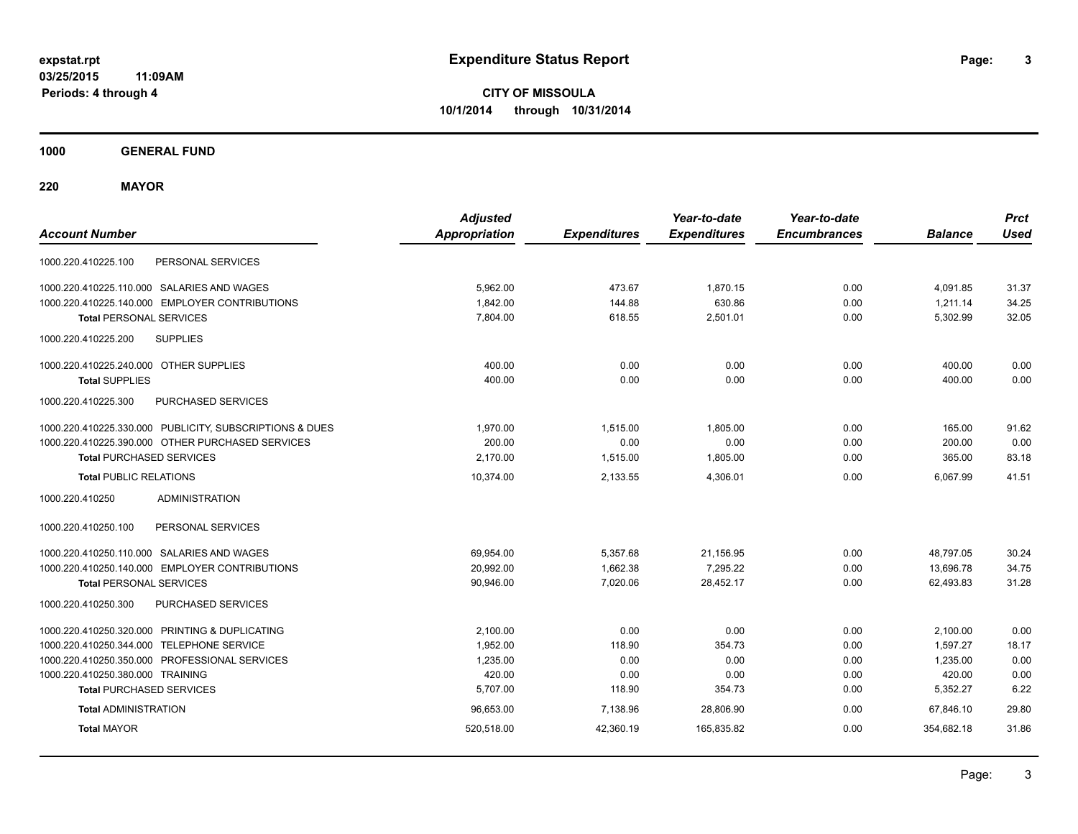**CITY OF MISSOULA 10/1/2014 through 10/31/2014**

**1000 GENERAL FUND**

**220 MAYOR**

| <b>Account Number</b>                                   | <b>Adjusted</b><br><b>Appropriation</b> | <b>Expenditures</b> | Year-to-date<br><b>Expenditures</b> | Year-to-date<br><b>Encumbrances</b> | <b>Balance</b> | <b>Prct</b><br><b>Used</b> |
|---------------------------------------------------------|-----------------------------------------|---------------------|-------------------------------------|-------------------------------------|----------------|----------------------------|
| PERSONAL SERVICES<br>1000.220.410225.100                |                                         |                     |                                     |                                     |                |                            |
| 1000.220.410225.110.000 SALARIES AND WAGES              | 5,962.00                                | 473.67              | 1,870.15                            | 0.00                                | 4,091.85       | 31.37                      |
| 1000.220.410225.140.000 EMPLOYER CONTRIBUTIONS          | 1,842.00                                | 144.88              | 630.86                              | 0.00                                | 1,211.14       | 34.25                      |
| <b>Total PERSONAL SERVICES</b>                          | 7,804.00                                | 618.55              | 2,501.01                            | 0.00                                | 5,302.99       | 32.05                      |
| <b>SUPPLIES</b><br>1000.220.410225.200                  |                                         |                     |                                     |                                     |                |                            |
| 1000.220.410225.240.000 OTHER SUPPLIES                  | 400.00                                  | 0.00                | 0.00                                | 0.00                                | 400.00         | 0.00                       |
| <b>Total SUPPLIES</b>                                   | 400.00                                  | 0.00                | 0.00                                | 0.00                                | 400.00         | 0.00                       |
| 1000.220.410225.300<br>PURCHASED SERVICES               |                                         |                     |                                     |                                     |                |                            |
| 1000.220.410225.330.000 PUBLICITY, SUBSCRIPTIONS & DUES | 1,970.00                                | 1,515.00            | 1,805.00                            | 0.00                                | 165.00         | 91.62                      |
| 1000.220.410225.390.000 OTHER PURCHASED SERVICES        | 200.00                                  | 0.00                | 0.00                                | 0.00                                | 200.00         | 0.00                       |
| <b>Total PURCHASED SERVICES</b>                         | 2.170.00                                | 1,515.00            | 1,805.00                            | 0.00                                | 365.00         | 83.18                      |
| <b>Total PUBLIC RELATIONS</b>                           | 10,374.00                               | 2,133.55            | 4.306.01                            | 0.00                                | 6.067.99       | 41.51                      |
| <b>ADMINISTRATION</b><br>1000.220.410250                |                                         |                     |                                     |                                     |                |                            |
| 1000.220.410250.100<br>PERSONAL SERVICES                |                                         |                     |                                     |                                     |                |                            |
| 1000.220.410250.110.000 SALARIES AND WAGES              | 69,954.00                               | 5,357.68            | 21,156.95                           | 0.00                                | 48,797.05      | 30.24                      |
| 1000.220.410250.140.000 EMPLOYER CONTRIBUTIONS          | 20,992.00                               | 1,662.38            | 7,295.22                            | 0.00                                | 13,696.78      | 34.75                      |
| <b>Total PERSONAL SERVICES</b>                          | 90,946.00                               | 7,020.06            | 28,452.17                           | 0.00                                | 62,493.83      | 31.28                      |
| 1000.220.410250.300<br>PURCHASED SERVICES               |                                         |                     |                                     |                                     |                |                            |
| 1000.220.410250.320.000 PRINTING & DUPLICATING          | 2,100.00                                | 0.00                | 0.00                                | 0.00                                | 2,100.00       | 0.00                       |
| 1000.220.410250.344.000 TELEPHONE SERVICE               | 1,952.00                                | 118.90              | 354.73                              | 0.00                                | 1,597.27       | 18.17                      |
| 1000.220.410250.350.000 PROFESSIONAL SERVICES           | 1,235.00                                | 0.00                | 0.00                                | 0.00                                | 1,235.00       | 0.00                       |
| 1000.220.410250.380.000 TRAINING                        | 420.00                                  | 0.00                | 0.00                                | 0.00                                | 420.00         | 0.00                       |
| <b>Total PURCHASED SERVICES</b>                         | 5,707.00                                | 118.90              | 354.73                              | 0.00                                | 5,352.27       | 6.22                       |
| <b>Total ADMINISTRATION</b>                             | 96,653.00                               | 7,138.96            | 28,806.90                           | 0.00                                | 67.846.10      | 29.80                      |
| <b>Total MAYOR</b>                                      | 520,518.00                              | 42,360.19           | 165,835.82                          | 0.00                                | 354,682.18     | 31.86                      |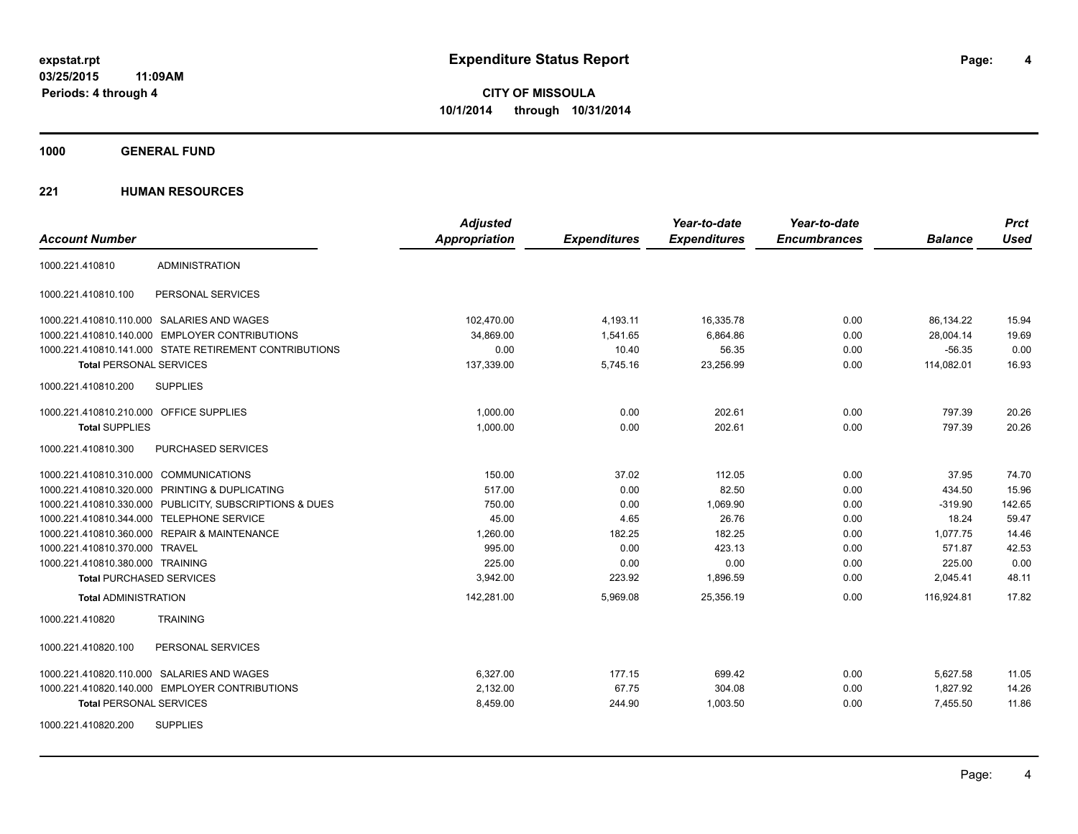**Periods: 4 through 4**

**4**

**CITY OF MISSOULA 10/1/2014 through 10/31/2014**

**1000 GENERAL FUND**

| <b>Account Number</b>                        |                                                         | <b>Adjusted</b><br>Appropriation | <b>Expenditures</b> | Year-to-date<br><b>Expenditures</b> | Year-to-date<br><b>Encumbrances</b> | <b>Balance</b> | <b>Prct</b><br><b>Used</b> |
|----------------------------------------------|---------------------------------------------------------|----------------------------------|---------------------|-------------------------------------|-------------------------------------|----------------|----------------------------|
| 1000.221.410810                              | <b>ADMINISTRATION</b>                                   |                                  |                     |                                     |                                     |                |                            |
| 1000.221.410810.100                          | PERSONAL SERVICES                                       |                                  |                     |                                     |                                     |                |                            |
| 1000.221.410810.110.000 SALARIES AND WAGES   |                                                         | 102,470.00                       | 4,193.11            | 16,335.78                           | 0.00                                | 86,134.22      | 15.94                      |
|                                              | 1000.221.410810.140.000 EMPLOYER CONTRIBUTIONS          | 34.869.00                        | 1,541.65            | 6,864.86                            | 0.00                                | 28.004.14      | 19.69                      |
|                                              | 1000.221.410810.141.000 STATE RETIREMENT CONTRIBUTIONS  | 0.00                             | 10.40               | 56.35                               | 0.00                                | $-56.35$       | 0.00                       |
| <b>Total PERSONAL SERVICES</b>               |                                                         | 137,339.00                       | 5,745.16            | 23,256.99                           | 0.00                                | 114,082.01     | 16.93                      |
| 1000.221.410810.200                          | <b>SUPPLIES</b>                                         |                                  |                     |                                     |                                     |                |                            |
| 1000.221.410810.210.000 OFFICE SUPPLIES      |                                                         | 1.000.00                         | 0.00                | 202.61                              | 0.00                                | 797.39         | 20.26                      |
| <b>Total SUPPLIES</b>                        |                                                         | 1,000.00                         | 0.00                | 202.61                              | 0.00                                | 797.39         | 20.26                      |
| 1000.221.410810.300                          | PURCHASED SERVICES                                      |                                  |                     |                                     |                                     |                |                            |
| 1000.221.410810.310.000 COMMUNICATIONS       |                                                         | 150.00                           | 37.02               | 112.05                              | 0.00                                | 37.95          | 74.70                      |
|                                              | 1000.221.410810.320.000 PRINTING & DUPLICATING          | 517.00                           | 0.00                | 82.50                               | 0.00                                | 434.50         | 15.96                      |
|                                              | 1000.221.410810.330.000 PUBLICITY, SUBSCRIPTIONS & DUES | 750.00                           | 0.00                | 1,069.90                            | 0.00                                | $-319.90$      | 142.65                     |
| 1000.221.410810.344.000 TELEPHONE SERVICE    |                                                         | 45.00                            | 4.65                | 26.76                               | 0.00                                | 18.24          | 59.47                      |
| 1000.221.410810.360.000 REPAIR & MAINTENANCE |                                                         | 1,260.00                         | 182.25              | 182.25                              | 0.00                                | 1.077.75       | 14.46                      |
| 1000.221.410810.370.000 TRAVEL               |                                                         | 995.00                           | 0.00                | 423.13                              | 0.00                                | 571.87         | 42.53                      |
| 1000.221.410810.380.000 TRAINING             |                                                         | 225.00                           | 0.00                | 0.00                                | 0.00                                | 225.00         | 0.00                       |
| <b>Total PURCHASED SERVICES</b>              |                                                         | 3,942.00                         | 223.92              | 1,896.59                            | 0.00                                | 2,045.41       | 48.11                      |
| <b>Total ADMINISTRATION</b>                  |                                                         | 142,281.00                       | 5,969.08            | 25,356.19                           | 0.00                                | 116,924.81     | 17.82                      |
| 1000.221.410820                              | <b>TRAINING</b>                                         |                                  |                     |                                     |                                     |                |                            |
| 1000.221.410820.100                          | PERSONAL SERVICES                                       |                                  |                     |                                     |                                     |                |                            |
| 1000.221.410820.110.000 SALARIES AND WAGES   |                                                         | 6,327.00                         | 177.15              | 699.42                              | 0.00                                | 5,627.58       | 11.05                      |
|                                              | 1000.221.410820.140.000 EMPLOYER CONTRIBUTIONS          | 2,132.00                         | 67.75               | 304.08                              | 0.00                                | 1,827.92       | 14.26                      |
| <b>Total PERSONAL SERVICES</b>               |                                                         | 8,459.00                         | 244.90              | 1,003.50                            | 0.00                                | 7,455.50       | 11.86                      |
| 1000.221.410820.200                          | <b>SUPPLIES</b>                                         |                                  |                     |                                     |                                     |                |                            |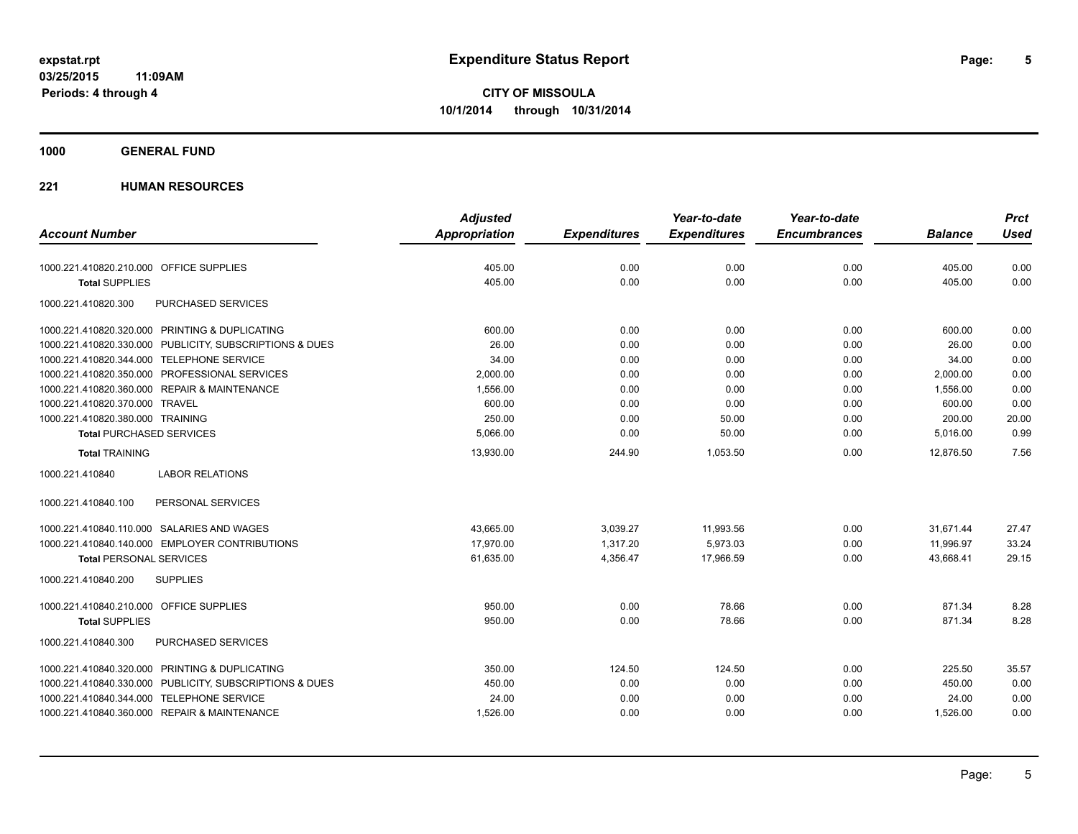**1000 GENERAL FUND**

|                                                         | <b>Adjusted</b>      |                     | Year-to-date        | Year-to-date        |                | <b>Prct</b> |
|---------------------------------------------------------|----------------------|---------------------|---------------------|---------------------|----------------|-------------|
| <b>Account Number</b>                                   | <b>Appropriation</b> | <b>Expenditures</b> | <b>Expenditures</b> | <b>Encumbrances</b> | <b>Balance</b> | <b>Used</b> |
| 1000.221.410820.210.000 OFFICE SUPPLIES                 | 405.00               | 0.00                | 0.00                | 0.00                | 405.00         | 0.00        |
| <b>Total SUPPLIES</b>                                   | 405.00               | 0.00                | 0.00                | 0.00                | 405.00         | 0.00        |
| 1000.221.410820.300<br>PURCHASED SERVICES               |                      |                     |                     |                     |                |             |
| 1000.221.410820.320.000 PRINTING & DUPLICATING          | 600.00               | 0.00                | 0.00                | 0.00                | 600.00         | 0.00        |
| 1000.221.410820.330.000 PUBLICITY, SUBSCRIPTIONS & DUES | 26.00                | 0.00                | 0.00                | 0.00                | 26.00          | 0.00        |
| 1000.221.410820.344.000 TELEPHONE SERVICE               | 34.00                | 0.00                | 0.00                | 0.00                | 34.00          | 0.00        |
| 1000.221.410820.350.000 PROFESSIONAL SERVICES           | 2,000.00             | 0.00                | 0.00                | 0.00                | 2,000.00       | 0.00        |
| 1000.221.410820.360.000 REPAIR & MAINTENANCE            | 1,556.00             | 0.00                | 0.00                | 0.00                | 1,556.00       | 0.00        |
| 1000.221.410820.370.000 TRAVEL                          | 600.00               | 0.00                | 0.00                | 0.00                | 600.00         | 0.00        |
| 1000.221.410820.380.000 TRAINING                        | 250.00               | 0.00                | 50.00               | 0.00                | 200.00         | 20.00       |
| <b>Total PURCHASED SERVICES</b>                         | 5,066.00             | 0.00                | 50.00               | 0.00                | 5,016.00       | 0.99        |
| <b>Total TRAINING</b>                                   | 13,930.00            | 244.90              | 1,053.50            | 0.00                | 12,876.50      | 7.56        |
| <b>LABOR RELATIONS</b><br>1000.221.410840               |                      |                     |                     |                     |                |             |
| PERSONAL SERVICES<br>1000.221.410840.100                |                      |                     |                     |                     |                |             |
| 1000.221.410840.110.000 SALARIES AND WAGES              | 43.665.00            | 3.039.27            | 11,993.56           | 0.00                | 31.671.44      | 27.47       |
| 1000.221.410840.140.000 EMPLOYER CONTRIBUTIONS          | 17.970.00            | 1,317.20            | 5,973.03            | 0.00                | 11,996.97      | 33.24       |
| <b>Total PERSONAL SERVICES</b>                          | 61,635.00            | 4,356.47            | 17,966.59           | 0.00                | 43,668.41      | 29.15       |
| <b>SUPPLIES</b><br>1000.221.410840.200                  |                      |                     |                     |                     |                |             |
| 1000.221.410840.210.000 OFFICE SUPPLIES                 | 950.00               | 0.00                | 78.66               | 0.00                | 871.34         | 8.28        |
| <b>Total SUPPLIES</b>                                   | 950.00               | 0.00                | 78.66               | 0.00                | 871.34         | 8.28        |
| 1000.221.410840.300<br>PURCHASED SERVICES               |                      |                     |                     |                     |                |             |
| 1000.221.410840.320.000 PRINTING & DUPLICATING          | 350.00               | 124.50              | 124.50              | 0.00                | 225.50         | 35.57       |
| 1000.221.410840.330.000 PUBLICITY, SUBSCRIPTIONS & DUES | 450.00               | 0.00                | 0.00                | 0.00                | 450.00         | 0.00        |
| 1000.221.410840.344.000 TELEPHONE SERVICE               | 24.00                | 0.00                | 0.00                | 0.00                | 24.00          | 0.00        |
| 1000.221.410840.360.000 REPAIR & MAINTENANCE            | 1,526.00             | 0.00                | 0.00                | 0.00                | 1,526.00       | 0.00        |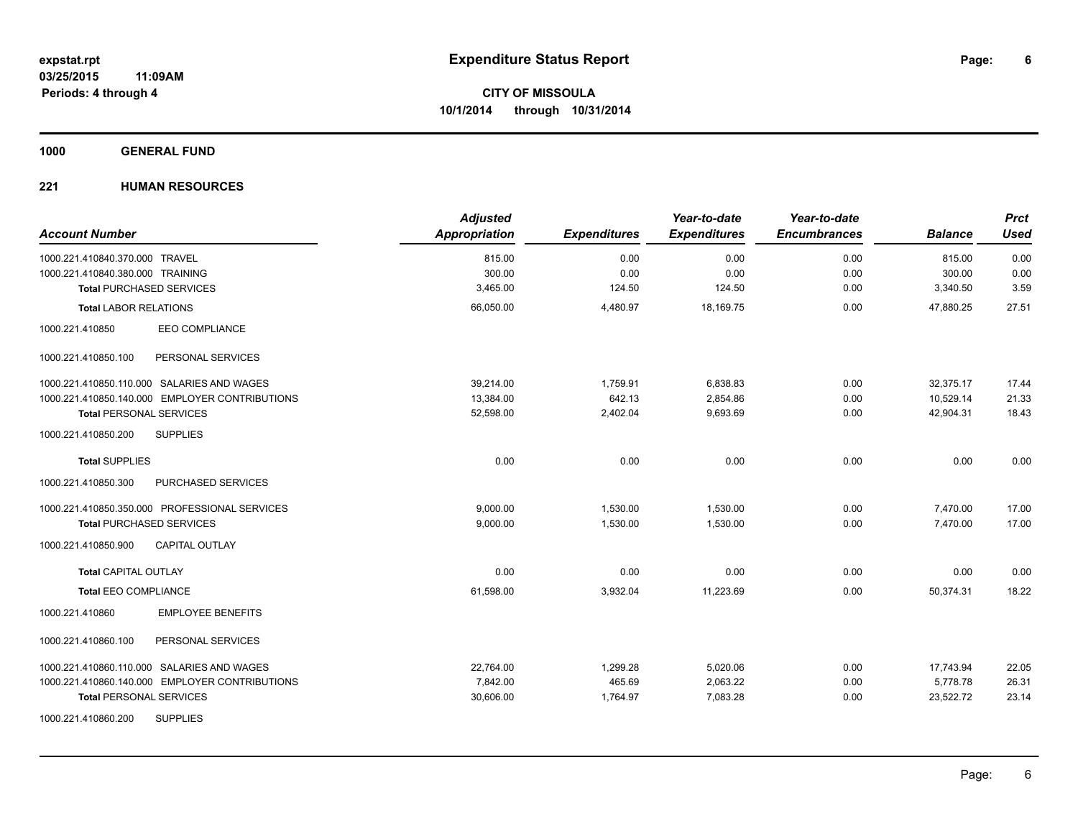**1000 GENERAL FUND**

| <b>Account Number</b>                          | <b>Adjusted</b><br>Appropriation | <b>Expenditures</b> | Year-to-date<br><b>Expenditures</b> | Year-to-date<br><b>Encumbrances</b> | <b>Balance</b> | <b>Prct</b><br><b>Used</b> |
|------------------------------------------------|----------------------------------|---------------------|-------------------------------------|-------------------------------------|----------------|----------------------------|
| 1000.221.410840.370.000 TRAVEL                 | 815.00                           | 0.00                | 0.00                                | 0.00                                | 815.00         | 0.00                       |
| 1000.221.410840.380.000 TRAINING               | 300.00                           | 0.00                | 0.00                                | 0.00                                | 300.00         | 0.00                       |
| <b>Total PURCHASED SERVICES</b>                | 3,465.00                         | 124.50              | 124.50                              | 0.00                                | 3,340.50       | 3.59                       |
| <b>Total LABOR RELATIONS</b>                   | 66,050.00                        | 4,480.97            | 18,169.75                           | 0.00                                | 47,880.25      | 27.51                      |
| <b>EEO COMPLIANCE</b><br>1000.221.410850       |                                  |                     |                                     |                                     |                |                            |
| PERSONAL SERVICES<br>1000.221.410850.100       |                                  |                     |                                     |                                     |                |                            |
| 1000.221.410850.110.000 SALARIES AND WAGES     | 39.214.00                        | 1,759.91            | 6,838.83                            | 0.00                                | 32,375.17      | 17.44                      |
| 1000.221.410850.140.000 EMPLOYER CONTRIBUTIONS | 13,384.00                        | 642.13              | 2,854.86                            | 0.00                                | 10,529.14      | 21.33                      |
| <b>Total PERSONAL SERVICES</b>                 | 52,598.00                        | 2,402.04            | 9,693.69                            | 0.00                                | 42,904.31      | 18.43                      |
| 1000.221.410850.200<br><b>SUPPLIES</b>         |                                  |                     |                                     |                                     |                |                            |
| <b>Total SUPPLIES</b>                          | 0.00                             | 0.00                | 0.00                                | 0.00                                | 0.00           | 0.00                       |
| 1000.221.410850.300<br>PURCHASED SERVICES      |                                  |                     |                                     |                                     |                |                            |
| 1000.221.410850.350.000 PROFESSIONAL SERVICES  | 9,000.00                         | 1,530.00            | 1,530.00                            | 0.00                                | 7,470.00       | 17.00                      |
| <b>Total PURCHASED SERVICES</b>                | 9,000.00                         | 1,530.00            | 1,530.00                            | 0.00                                | 7,470.00       | 17.00                      |
| 1000.221.410850.900<br><b>CAPITAL OUTLAY</b>   |                                  |                     |                                     |                                     |                |                            |
| <b>Total CAPITAL OUTLAY</b>                    | 0.00                             | 0.00                | 0.00                                | 0.00                                | 0.00           | 0.00                       |
| <b>Total EEO COMPLIANCE</b>                    | 61,598.00                        | 3,932.04            | 11,223.69                           | 0.00                                | 50,374.31      | 18.22                      |
| <b>EMPLOYEE BENEFITS</b><br>1000.221.410860    |                                  |                     |                                     |                                     |                |                            |
| 1000.221.410860.100<br>PERSONAL SERVICES       |                                  |                     |                                     |                                     |                |                            |
| 1000.221.410860.110.000 SALARIES AND WAGES     | 22,764.00                        | 1,299.28            | 5,020.06                            | 0.00                                | 17,743.94      | 22.05                      |
| 1000.221.410860.140.000 EMPLOYER CONTRIBUTIONS | 7,842.00                         | 465.69              | 2,063.22                            | 0.00                                | 5,778.78       | 26.31                      |
| <b>Total PERSONAL SERVICES</b>                 | 30,606.00                        | 1,764.97            | 7,083.28                            | 0.00                                | 23,522.72      | 23.14                      |
| <b>SUPPLIES</b><br>1000.221.410860.200         |                                  |                     |                                     |                                     |                |                            |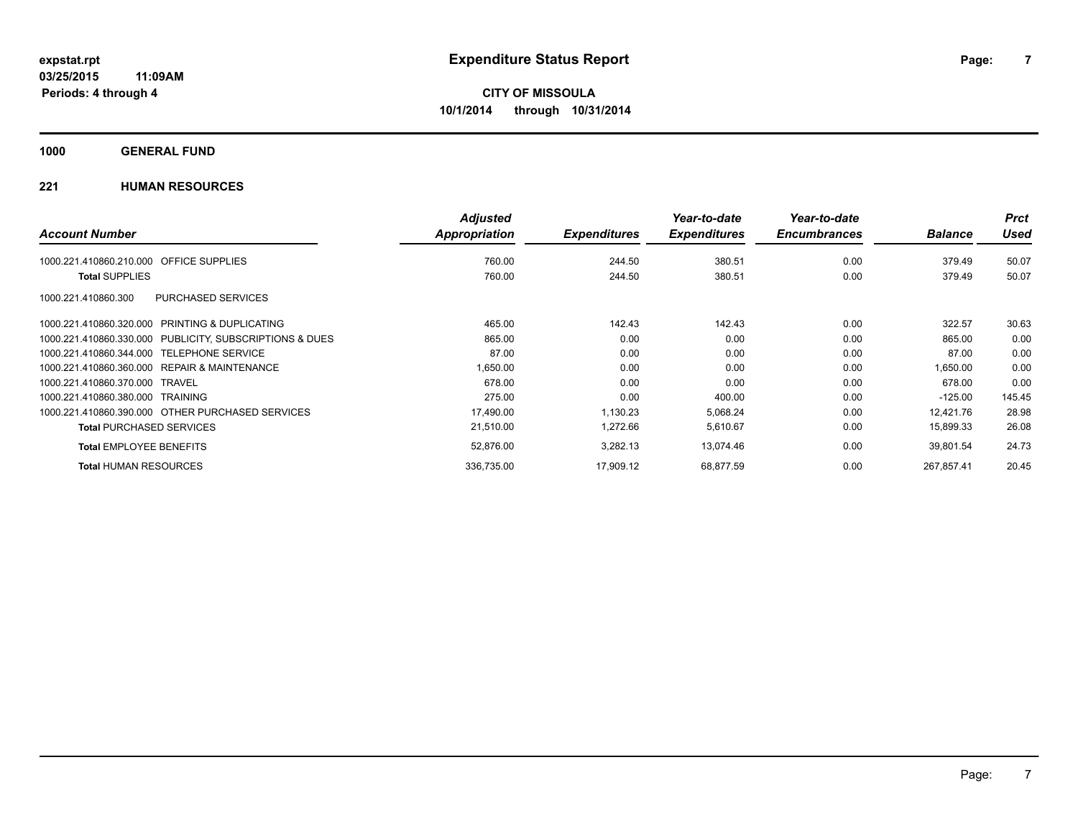**1000 GENERAL FUND**

|                                                         | <b>Adjusted</b> |                     | Year-to-date        | Year-to-date        |                | <b>Prct</b> |
|---------------------------------------------------------|-----------------|---------------------|---------------------|---------------------|----------------|-------------|
| <b>Account Number</b>                                   | Appropriation   | <b>Expenditures</b> | <b>Expenditures</b> | <b>Encumbrances</b> | <b>Balance</b> | <b>Used</b> |
| <b>OFFICE SUPPLIES</b><br>1000.221.410860.210.000       | 760.00          | 244.50              | 380.51              | 0.00                | 379.49         | 50.07       |
| <b>Total SUPPLIES</b>                                   | 760.00          | 244.50              | 380.51              | 0.00                | 379.49         | 50.07       |
| <b>PURCHASED SERVICES</b><br>1000.221.410860.300        |                 |                     |                     |                     |                |             |
| 1000.221.410860.320.000 PRINTING & DUPLICATING          | 465.00          | 142.43              | 142.43              | 0.00                | 322.57         | 30.63       |
| 1000.221.410860.330.000 PUBLICITY, SUBSCRIPTIONS & DUES | 865.00          | 0.00                | 0.00                | 0.00                | 865.00         | 0.00        |
| 1000.221.410860.344.000 TELEPHONE SERVICE               | 87.00           | 0.00                | 0.00                | 0.00                | 87.00          | 0.00        |
| 1000.221.410860.360.000 REPAIR & MAINTENANCE            | 1,650.00        | 0.00                | 0.00                | 0.00                | 1,650.00       | 0.00        |
| 1000.221.410860.370.000 TRAVEL                          | 678.00          | 0.00                | 0.00                | 0.00                | 678.00         | 0.00        |
| 1000.221.410860.380.000 TRAINING                        | 275.00          | 0.00                | 400.00              | 0.00                | $-125.00$      | 145.45      |
| 1000.221.410860.390.000 OTHER PURCHASED SERVICES        | 17,490.00       | 1,130.23            | 5,068.24            | 0.00                | 12.421.76      | 28.98       |
| <b>Total PURCHASED SERVICES</b>                         | 21,510.00       | 1,272.66            | 5,610.67            | 0.00                | 15,899.33      | 26.08       |
| <b>Total EMPLOYEE BENEFITS</b>                          | 52,876.00       | 3,282.13            | 13,074.46           | 0.00                | 39,801.54      | 24.73       |
| <b>Total HUMAN RESOURCES</b>                            | 336,735.00      | 17,909.12           | 68,877.59           | 0.00                | 267.857.41     | 20.45       |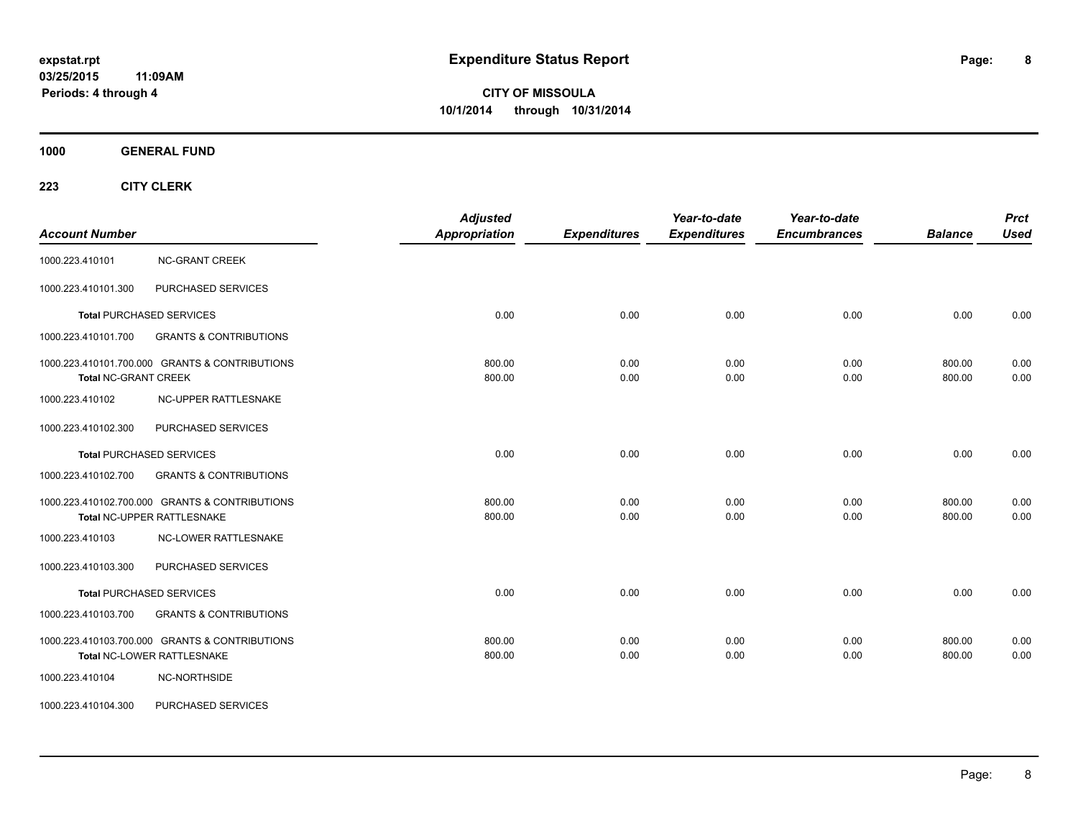**1000 GENERAL FUND**

| <b>Account Number</b>       |                                                                              | <b>Adjusted</b><br>Appropriation | <b>Expenditures</b> | Year-to-date<br><b>Expenditures</b> | Year-to-date<br><b>Encumbrances</b> | <b>Balance</b>   | <b>Prct</b><br><b>Used</b> |
|-----------------------------|------------------------------------------------------------------------------|----------------------------------|---------------------|-------------------------------------|-------------------------------------|------------------|----------------------------|
| 1000.223.410101             | <b>NC-GRANT CREEK</b>                                                        |                                  |                     |                                     |                                     |                  |                            |
| 1000.223.410101.300         | PURCHASED SERVICES                                                           |                                  |                     |                                     |                                     |                  |                            |
|                             | <b>Total PURCHASED SERVICES</b>                                              | 0.00                             | 0.00                | 0.00                                | 0.00                                | 0.00             | 0.00                       |
| 1000.223.410101.700         | <b>GRANTS &amp; CONTRIBUTIONS</b>                                            |                                  |                     |                                     |                                     |                  |                            |
| <b>Total NC-GRANT CREEK</b> | 1000.223.410101.700.000 GRANTS & CONTRIBUTIONS                               | 800.00<br>800.00                 | 0.00<br>0.00        | 0.00<br>0.00                        | 0.00<br>0.00                        | 800.00<br>800.00 | 0.00<br>0.00               |
| 1000.223.410102             | <b>NC-UPPER RATTLESNAKE</b>                                                  |                                  |                     |                                     |                                     |                  |                            |
| 1000.223.410102.300         | PURCHASED SERVICES                                                           |                                  |                     |                                     |                                     |                  |                            |
|                             | <b>Total PURCHASED SERVICES</b>                                              | 0.00                             | 0.00                | 0.00                                | 0.00                                | 0.00             | 0.00                       |
| 1000.223.410102.700         | <b>GRANTS &amp; CONTRIBUTIONS</b>                                            |                                  |                     |                                     |                                     |                  |                            |
|                             | 1000.223.410102.700.000 GRANTS & CONTRIBUTIONS<br>Total NC-UPPER RATTLESNAKE | 800.00<br>800.00                 | 0.00<br>0.00        | 0.00<br>0.00                        | 0.00<br>0.00                        | 800.00<br>800.00 | 0.00<br>0.00               |
| 1000.223.410103             | <b>NC-LOWER RATTLESNAKE</b>                                                  |                                  |                     |                                     |                                     |                  |                            |
| 1000.223.410103.300         | PURCHASED SERVICES                                                           |                                  |                     |                                     |                                     |                  |                            |
|                             | Total PURCHASED SERVICES                                                     | 0.00                             | 0.00                | 0.00                                | 0.00                                | 0.00             | 0.00                       |
| 1000.223.410103.700         | <b>GRANTS &amp; CONTRIBUTIONS</b>                                            |                                  |                     |                                     |                                     |                  |                            |
|                             | 1000.223.410103.700.000 GRANTS & CONTRIBUTIONS<br>Total NC-LOWER RATTLESNAKE | 800.00<br>800.00                 | 0.00<br>0.00        | 0.00<br>0.00                        | 0.00<br>0.00                        | 800.00<br>800.00 | 0.00<br>0.00               |
| 1000.223.410104             | NC-NORTHSIDE                                                                 |                                  |                     |                                     |                                     |                  |                            |
| 1000.223.410104.300         | <b>PURCHASED SERVICES</b>                                                    |                                  |                     |                                     |                                     |                  |                            |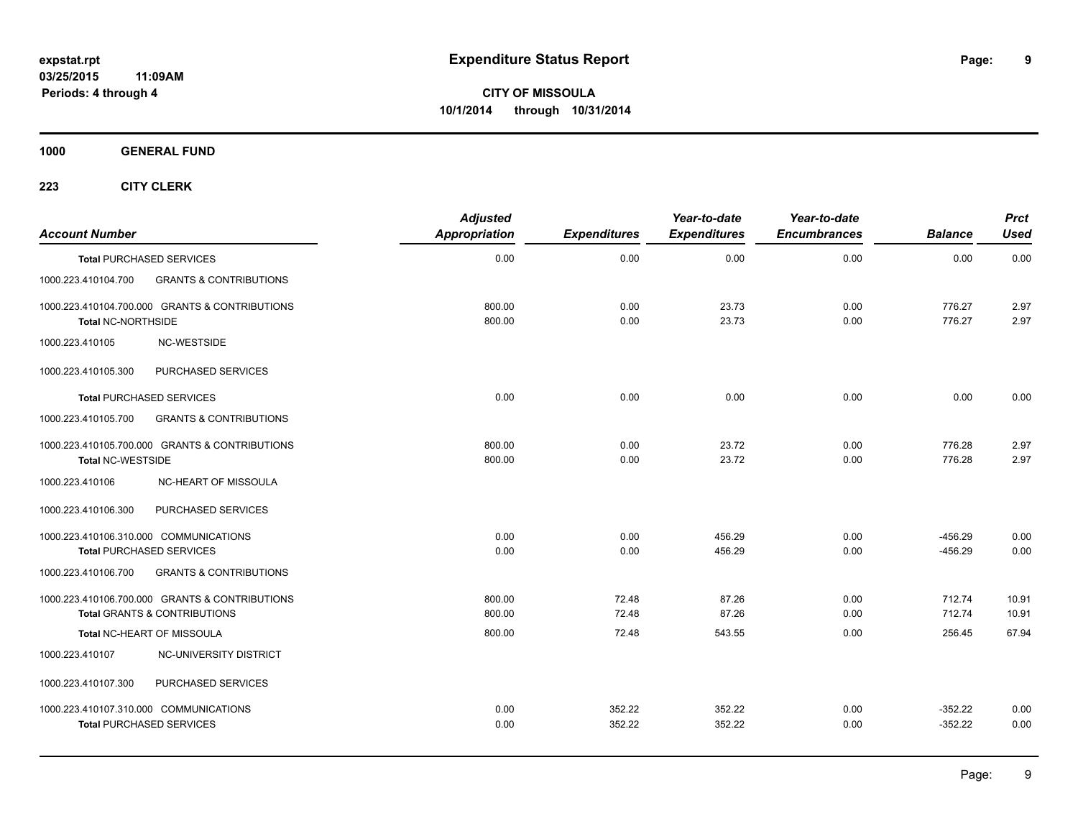**9**

**CITY OF MISSOULA 10/1/2014 through 10/31/2014**

**1000 GENERAL FUND**

| <b>Account Number</b>     |                                                                                           | <b>Adjusted</b><br>Appropriation | <b>Expenditures</b> | Year-to-date<br><b>Expenditures</b> | Year-to-date<br><b>Encumbrances</b> | <b>Balance</b>         | <b>Prct</b><br><b>Used</b> |
|---------------------------|-------------------------------------------------------------------------------------------|----------------------------------|---------------------|-------------------------------------|-------------------------------------|------------------------|----------------------------|
|                           | <b>Total PURCHASED SERVICES</b>                                                           | 0.00                             | 0.00                | 0.00                                | 0.00                                | 0.00                   | 0.00                       |
| 1000.223.410104.700       | <b>GRANTS &amp; CONTRIBUTIONS</b>                                                         |                                  |                     |                                     |                                     |                        |                            |
| <b>Total NC-NORTHSIDE</b> | 1000.223.410104.700.000 GRANTS & CONTRIBUTIONS                                            | 800.00<br>800.00                 | 0.00<br>0.00        | 23.73<br>23.73                      | 0.00<br>0.00                        | 776.27<br>776.27       | 2.97<br>2.97               |
| 1000.223.410105           | <b>NC-WESTSIDE</b>                                                                        |                                  |                     |                                     |                                     |                        |                            |
| 1000.223.410105.300       | PURCHASED SERVICES                                                                        |                                  |                     |                                     |                                     |                        |                            |
|                           | <b>Total PURCHASED SERVICES</b>                                                           | 0.00                             | 0.00                | 0.00                                | 0.00                                | 0.00                   | 0.00                       |
| 1000.223.410105.700       | <b>GRANTS &amp; CONTRIBUTIONS</b>                                                         |                                  |                     |                                     |                                     |                        |                            |
| <b>Total NC-WESTSIDE</b>  | 1000.223.410105.700.000 GRANTS & CONTRIBUTIONS                                            | 800.00<br>800.00                 | 0.00<br>0.00        | 23.72<br>23.72                      | 0.00<br>0.00                        | 776.28<br>776.28       | 2.97<br>2.97               |
| 1000.223.410106           | NC-HEART OF MISSOULA                                                                      |                                  |                     |                                     |                                     |                        |                            |
| 1000.223.410106.300       | PURCHASED SERVICES                                                                        |                                  |                     |                                     |                                     |                        |                            |
|                           | 1000.223.410106.310.000 COMMUNICATIONS<br><b>Total PURCHASED SERVICES</b>                 | 0.00<br>0.00                     | 0.00<br>0.00        | 456.29<br>456.29                    | 0.00<br>0.00                        | $-456.29$<br>$-456.29$ | 0.00<br>0.00               |
| 1000.223.410106.700       | <b>GRANTS &amp; CONTRIBUTIONS</b>                                                         |                                  |                     |                                     |                                     |                        |                            |
|                           | 1000.223.410106.700.000 GRANTS & CONTRIBUTIONS<br><b>Total GRANTS &amp; CONTRIBUTIONS</b> | 800.00<br>800.00                 | 72.48<br>72.48      | 87.26<br>87.26                      | 0.00<br>0.00                        | 712.74<br>712.74       | 10.91<br>10.91             |
|                           | Total NC-HEART OF MISSOULA                                                                | 800.00                           | 72.48               | 543.55                              | 0.00                                | 256.45                 | 67.94                      |
| 1000.223.410107           | NC-UNIVERSITY DISTRICT                                                                    |                                  |                     |                                     |                                     |                        |                            |
| 1000.223.410107.300       | PURCHASED SERVICES                                                                        |                                  |                     |                                     |                                     |                        |                            |
|                           | 1000.223.410107.310.000 COMMUNICATIONS<br><b>Total PURCHASED SERVICES</b>                 | 0.00<br>0.00                     | 352.22<br>352.22    | 352.22<br>352.22                    | 0.00<br>0.00                        | $-352.22$<br>$-352.22$ | 0.00<br>0.00               |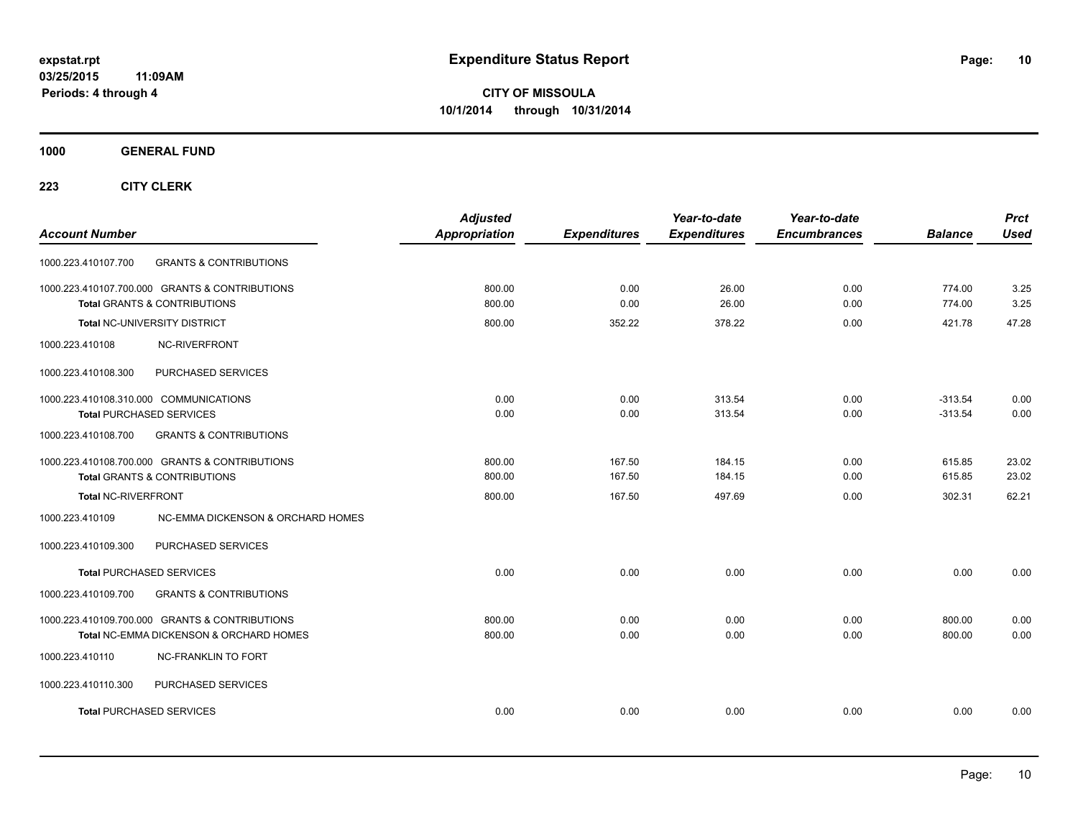**CITY OF MISSOULA 10/1/2014 through 10/31/2014**

**1000 GENERAL FUND**

| <b>Account Number</b>                                                                     | <b>Adjusted</b><br><b>Appropriation</b> | <b>Expenditures</b> | Year-to-date<br><b>Expenditures</b> | Year-to-date<br><b>Encumbrances</b> | <b>Balance</b>   | <b>Prct</b><br><b>Used</b> |
|-------------------------------------------------------------------------------------------|-----------------------------------------|---------------------|-------------------------------------|-------------------------------------|------------------|----------------------------|
| <b>GRANTS &amp; CONTRIBUTIONS</b><br>1000.223.410107.700                                  |                                         |                     |                                     |                                     |                  |                            |
| 1000.223.410107.700.000 GRANTS & CONTRIBUTIONS<br><b>Total GRANTS &amp; CONTRIBUTIONS</b> | 800.00<br>800.00                        | 0.00<br>0.00        | 26.00<br>26.00                      | 0.00<br>0.00                        | 774.00<br>774.00 | 3.25<br>3.25               |
| Total NC-UNIVERSITY DISTRICT                                                              | 800.00                                  | 352.22              | 378.22                              | 0.00                                | 421.78           | 47.28                      |
| NC-RIVERFRONT<br>1000.223.410108                                                          |                                         |                     |                                     |                                     |                  |                            |
| PURCHASED SERVICES<br>1000.223.410108.300                                                 |                                         |                     |                                     |                                     |                  |                            |
| 1000.223.410108.310.000 COMMUNICATIONS                                                    | 0.00                                    | 0.00                | 313.54                              | 0.00                                | $-313.54$        | 0.00                       |
| <b>Total PURCHASED SERVICES</b>                                                           | 0.00                                    | 0.00                | 313.54                              | 0.00                                | $-313.54$        | 0.00                       |
| 1000.223.410108.700<br><b>GRANTS &amp; CONTRIBUTIONS</b>                                  |                                         |                     |                                     |                                     |                  |                            |
| 1000.223.410108.700.000 GRANTS & CONTRIBUTIONS                                            | 800.00                                  | 167.50              | 184.15                              | 0.00                                | 615.85           | 23.02                      |
| <b>Total GRANTS &amp; CONTRIBUTIONS</b>                                                   | 800.00                                  | 167.50              | 184.15                              | 0.00                                | 615.85           | 23.02                      |
| <b>Total NC-RIVERFRONT</b>                                                                | 800.00                                  | 167.50              | 497.69                              | 0.00                                | 302.31           | 62.21                      |
| 1000.223.410109<br>NC-EMMA DICKENSON & ORCHARD HOMES                                      |                                         |                     |                                     |                                     |                  |                            |
| PURCHASED SERVICES<br>1000.223.410109.300                                                 |                                         |                     |                                     |                                     |                  |                            |
| <b>Total PURCHASED SERVICES</b>                                                           | 0.00                                    | 0.00                | 0.00                                | 0.00                                | 0.00             | 0.00                       |
| 1000.223.410109.700<br><b>GRANTS &amp; CONTRIBUTIONS</b>                                  |                                         |                     |                                     |                                     |                  |                            |
| 1000.223.410109.700.000 GRANTS & CONTRIBUTIONS                                            | 800.00                                  | 0.00                | 0.00                                | 0.00                                | 800.00           | 0.00                       |
| Total NC-EMMA DICKENSON & ORCHARD HOMES                                                   | 800.00                                  | 0.00                | 0.00                                | 0.00                                | 800.00           | 0.00                       |
| 1000.223.410110<br><b>NC-FRANKLIN TO FORT</b>                                             |                                         |                     |                                     |                                     |                  |                            |
| 1000.223.410110.300<br>PURCHASED SERVICES                                                 |                                         |                     |                                     |                                     |                  |                            |
| Total PURCHASED SERVICES                                                                  | 0.00                                    | 0.00                | 0.00                                | 0.00                                | 0.00             | 0.00                       |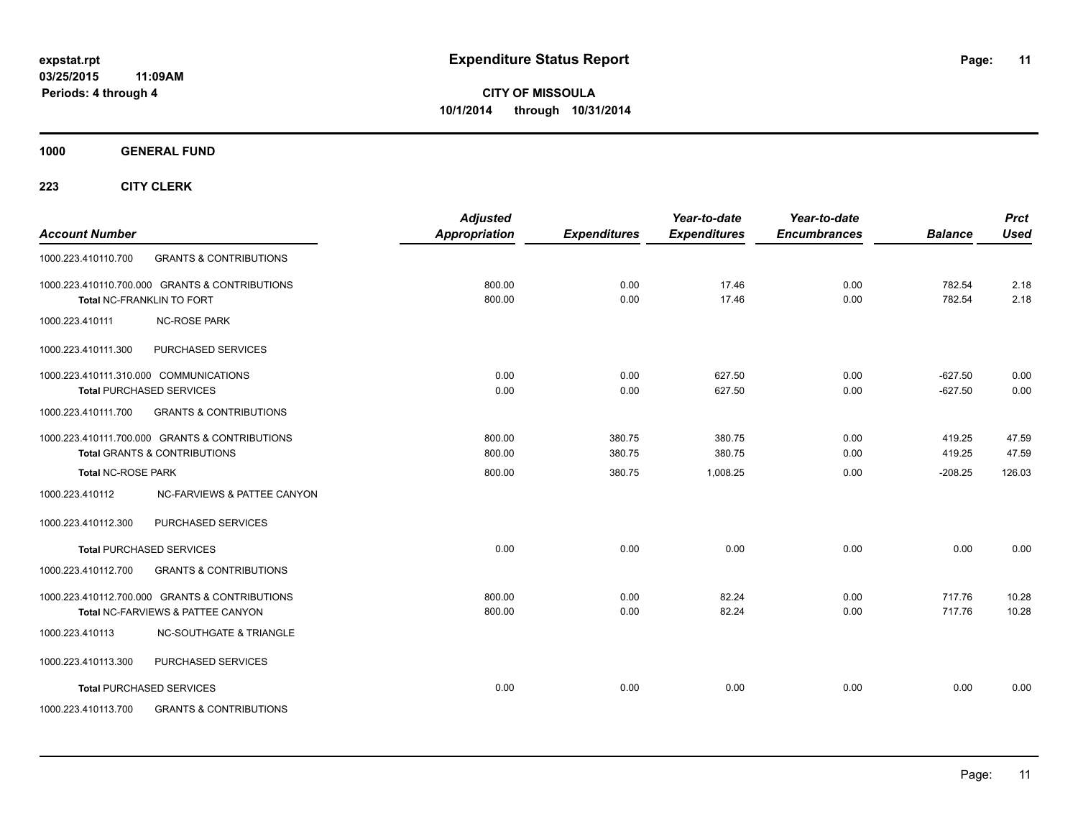**1000 GENERAL FUND**

| <b>Account Number</b>                                                     |                                                                                     | <b>Adjusted</b><br><b>Appropriation</b> | <b>Expenditures</b> | Year-to-date<br><b>Expenditures</b> | Year-to-date<br><b>Encumbrances</b> | <b>Balance</b>         | <b>Prct</b><br><b>Used</b> |
|---------------------------------------------------------------------------|-------------------------------------------------------------------------------------|-----------------------------------------|---------------------|-------------------------------------|-------------------------------------|------------------------|----------------------------|
| 1000.223.410110.700                                                       | <b>GRANTS &amp; CONTRIBUTIONS</b>                                                   |                                         |                     |                                     |                                     |                        |                            |
| Total NC-FRANKLIN TO FORT                                                 | 1000.223.410110.700.000 GRANTS & CONTRIBUTIONS                                      | 800.00<br>800.00                        | 0.00<br>0.00        | 17.46<br>17.46                      | 0.00<br>0.00                        | 782.54<br>782.54       | 2.18<br>2.18               |
| 1000.223.410111                                                           | <b>NC-ROSE PARK</b>                                                                 |                                         |                     |                                     |                                     |                        |                            |
| 1000.223.410111.300                                                       | PURCHASED SERVICES                                                                  |                                         |                     |                                     |                                     |                        |                            |
| 1000.223.410111.310.000 COMMUNICATIONS<br><b>Total PURCHASED SERVICES</b> |                                                                                     | 0.00<br>0.00                            | 0.00<br>0.00        | 627.50<br>627.50                    | 0.00<br>0.00                        | $-627.50$<br>$-627.50$ | 0.00<br>0.00               |
| 1000.223.410111.700                                                       | <b>GRANTS &amp; CONTRIBUTIONS</b>                                                   |                                         |                     |                                     |                                     |                        |                            |
| <b>Total GRANTS &amp; CONTRIBUTIONS</b>                                   | 1000.223.410111.700.000 GRANTS & CONTRIBUTIONS                                      | 800.00<br>800.00                        | 380.75<br>380.75    | 380.75<br>380.75                    | 0.00<br>0.00                        | 419.25<br>419.25       | 47.59<br>47.59             |
| <b>Total NC-ROSE PARK</b>                                                 |                                                                                     | 800.00                                  | 380.75              | 1,008.25                            | 0.00                                | $-208.25$              | 126.03                     |
| 1000.223.410112                                                           | <b>NC-FARVIEWS &amp; PATTEE CANYON</b>                                              |                                         |                     |                                     |                                     |                        |                            |
| 1000.223.410112.300                                                       | PURCHASED SERVICES                                                                  |                                         |                     |                                     |                                     |                        |                            |
| <b>Total PURCHASED SERVICES</b>                                           |                                                                                     | 0.00                                    | 0.00                | 0.00                                | 0.00                                | 0.00                   | 0.00                       |
| 1000.223.410112.700                                                       | <b>GRANTS &amp; CONTRIBUTIONS</b>                                                   |                                         |                     |                                     |                                     |                        |                            |
|                                                                           | 1000.223.410112.700.000 GRANTS & CONTRIBUTIONS<br>Total NC-FARVIEWS & PATTEE CANYON | 800.00<br>800.00                        | 0.00<br>0.00        | 82.24<br>82.24                      | 0.00<br>0.00                        | 717.76<br>717.76       | 10.28<br>10.28             |
| 1000.223.410113                                                           | <b>NC-SOUTHGATE &amp; TRIANGLE</b>                                                  |                                         |                     |                                     |                                     |                        |                            |
| 1000.223.410113.300                                                       | PURCHASED SERVICES                                                                  |                                         |                     |                                     |                                     |                        |                            |
| <b>Total PURCHASED SERVICES</b>                                           |                                                                                     | 0.00                                    | 0.00                | 0.00                                | 0.00                                | 0.00                   | 0.00                       |
| 1000.223.410113.700                                                       | <b>GRANTS &amp; CONTRIBUTIONS</b>                                                   |                                         |                     |                                     |                                     |                        |                            |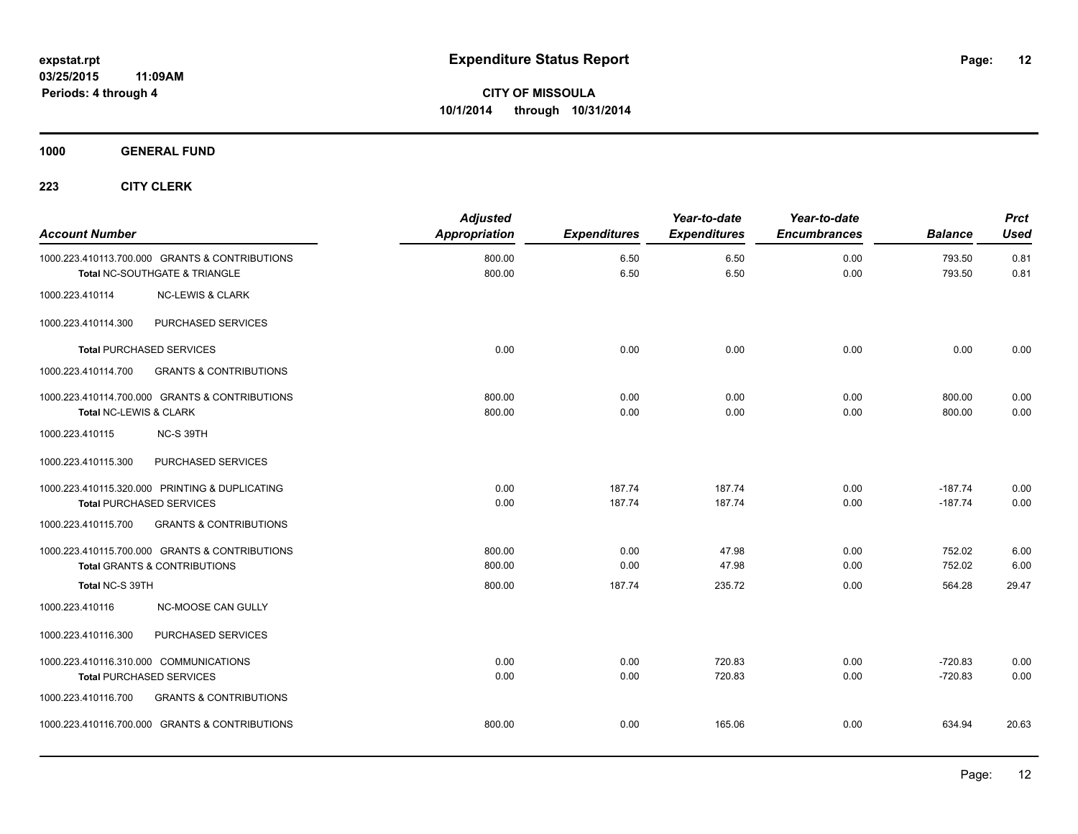**1000 GENERAL FUND**

| <b>Account Number</b>                  |                                                                                 | <b>Adjusted</b><br><b>Appropriation</b> | <b>Expenditures</b> | Year-to-date<br><b>Expenditures</b> | Year-to-date<br><b>Encumbrances</b> | <b>Balance</b>         | <b>Prct</b><br><b>Used</b> |
|----------------------------------------|---------------------------------------------------------------------------------|-----------------------------------------|---------------------|-------------------------------------|-------------------------------------|------------------------|----------------------------|
|                                        | 1000.223.410113.700.000 GRANTS & CONTRIBUTIONS<br>Total NC-SOUTHGATE & TRIANGLE | 800.00<br>800.00                        | 6.50<br>6.50        | 6.50<br>6.50                        | 0.00<br>0.00                        | 793.50<br>793.50       | 0.81<br>0.81               |
| 1000.223.410114                        | <b>NC-LEWIS &amp; CLARK</b>                                                     |                                         |                     |                                     |                                     |                        |                            |
| 1000.223.410114.300                    | PURCHASED SERVICES                                                              |                                         |                     |                                     |                                     |                        |                            |
|                                        | <b>Total PURCHASED SERVICES</b>                                                 | 0.00                                    | 0.00                | 0.00                                | 0.00                                | 0.00                   | 0.00                       |
| 1000.223.410114.700                    | <b>GRANTS &amp; CONTRIBUTIONS</b>                                               |                                         |                     |                                     |                                     |                        |                            |
| Total NC-LEWIS & CLARK                 | 1000.223.410114.700.000 GRANTS & CONTRIBUTIONS                                  | 800.00<br>800.00                        | 0.00<br>0.00        | 0.00<br>0.00                        | 0.00<br>0.00                        | 800.00<br>800.00       | 0.00<br>0.00               |
| 1000.223.410115                        | NC-S 39TH                                                                       |                                         |                     |                                     |                                     |                        |                            |
| 1000.223.410115.300                    | PURCHASED SERVICES                                                              |                                         |                     |                                     |                                     |                        |                            |
| <b>Total PURCHASED SERVICES</b>        | 1000.223.410115.320.000 PRINTING & DUPLICATING                                  | 0.00<br>0.00                            | 187.74<br>187.74    | 187.74<br>187.74                    | 0.00<br>0.00                        | $-187.74$<br>$-187.74$ | 0.00<br>0.00               |
| 1000.223.410115.700                    | <b>GRANTS &amp; CONTRIBUTIONS</b>                                               |                                         |                     |                                     |                                     |                        |                            |
|                                        | 1000.223.410115.700.000 GRANTS & CONTRIBUTIONS<br>Total GRANTS & CONTRIBUTIONS  | 800.00<br>800.00                        | 0.00<br>0.00        | 47.98<br>47.98                      | 0.00<br>0.00                        | 752.02<br>752.02       | 6.00<br>6.00               |
| Total NC-S 39TH                        |                                                                                 | 800.00                                  | 187.74              | 235.72                              | 0.00                                | 564.28                 | 29.47                      |
| 1000.223.410116                        | <b>NC-MOOSE CAN GULLY</b>                                                       |                                         |                     |                                     |                                     |                        |                            |
| 1000.223.410116.300                    | PURCHASED SERVICES                                                              |                                         |                     |                                     |                                     |                        |                            |
| 1000.223.410116.310.000 COMMUNICATIONS | <b>Total PURCHASED SERVICES</b>                                                 | 0.00<br>0.00                            | 0.00<br>0.00        | 720.83<br>720.83                    | 0.00<br>0.00                        | $-720.83$<br>$-720.83$ | 0.00<br>0.00               |
| 1000.223.410116.700                    | <b>GRANTS &amp; CONTRIBUTIONS</b>                                               |                                         |                     |                                     |                                     |                        |                            |
|                                        | 1000.223.410116.700.000 GRANTS & CONTRIBUTIONS                                  | 800.00                                  | 0.00                | 165.06                              | 0.00                                | 634.94                 | 20.63                      |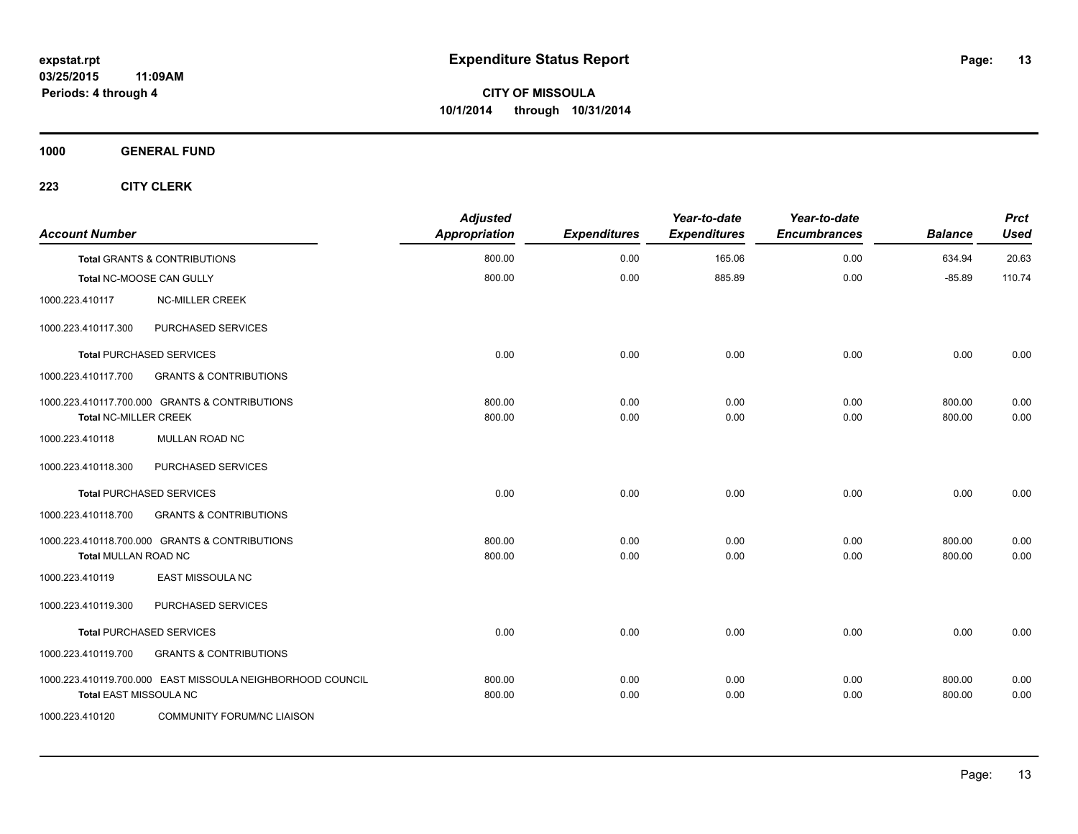**1000 GENERAL FUND**

| <b>Account Number</b>         |                                                            | <b>Adjusted</b><br><b>Appropriation</b> | <b>Expenditures</b> | Year-to-date<br><b>Expenditures</b> | Year-to-date<br><b>Encumbrances</b> | <b>Balance</b>   | <b>Prct</b><br><b>Used</b> |
|-------------------------------|------------------------------------------------------------|-----------------------------------------|---------------------|-------------------------------------|-------------------------------------|------------------|----------------------------|
|                               | <b>Total GRANTS &amp; CONTRIBUTIONS</b>                    | 800.00                                  | 0.00                | 165.06                              | 0.00                                | 634.94           | 20.63                      |
|                               | Total NC-MOOSE CAN GULLY                                   | 800.00                                  | 0.00                | 885.89                              | 0.00                                | $-85.89$         | 110.74                     |
| 1000.223.410117               | <b>NC-MILLER CREEK</b>                                     |                                         |                     |                                     |                                     |                  |                            |
| 1000.223.410117.300           | PURCHASED SERVICES                                         |                                         |                     |                                     |                                     |                  |                            |
|                               | <b>Total PURCHASED SERVICES</b>                            | 0.00                                    | 0.00                | 0.00                                | 0.00                                | 0.00             | 0.00                       |
| 1000.223.410117.700           | <b>GRANTS &amp; CONTRIBUTIONS</b>                          |                                         |                     |                                     |                                     |                  |                            |
| <b>Total NC-MILLER CREEK</b>  | 1000.223.410117.700.000 GRANTS & CONTRIBUTIONS             | 800.00<br>800.00                        | 0.00<br>0.00        | 0.00<br>0.00                        | 0.00<br>0.00                        | 800.00<br>800.00 | 0.00<br>0.00               |
| 1000.223.410118               | <b>MULLAN ROAD NC</b>                                      |                                         |                     |                                     |                                     |                  |                            |
| 1000.223.410118.300           | PURCHASED SERVICES                                         |                                         |                     |                                     |                                     |                  |                            |
|                               | <b>Total PURCHASED SERVICES</b>                            | 0.00                                    | 0.00                | 0.00                                | 0.00                                | 0.00             | 0.00                       |
| 1000.223.410118.700           | <b>GRANTS &amp; CONTRIBUTIONS</b>                          |                                         |                     |                                     |                                     |                  |                            |
|                               | 1000.223.410118.700.000 GRANTS & CONTRIBUTIONS             | 800.00                                  | 0.00                | 0.00                                | 0.00                                | 800.00           | 0.00                       |
| <b>Total MULLAN ROAD NC</b>   |                                                            | 800.00                                  | 0.00                | 0.00                                | 0.00                                | 800.00           | 0.00                       |
| 1000.223.410119               | <b>EAST MISSOULA NC</b>                                    |                                         |                     |                                     |                                     |                  |                            |
| 1000.223.410119.300           | PURCHASED SERVICES                                         |                                         |                     |                                     |                                     |                  |                            |
|                               | <b>Total PURCHASED SERVICES</b>                            | 0.00                                    | 0.00                | 0.00                                | 0.00                                | 0.00             | 0.00                       |
| 1000.223.410119.700           | <b>GRANTS &amp; CONTRIBUTIONS</b>                          |                                         |                     |                                     |                                     |                  |                            |
| <b>Total EAST MISSOULA NC</b> | 1000.223.410119.700.000 EAST MISSOULA NEIGHBORHOOD COUNCIL | 800.00<br>800.00                        | 0.00<br>0.00        | 0.00<br>0.00                        | 0.00<br>0.00                        | 800.00<br>800.00 | 0.00<br>0.00               |
| 1000.223.410120               | <b>COMMUNITY FORUM/NC LIAISON</b>                          |                                         |                     |                                     |                                     |                  |                            |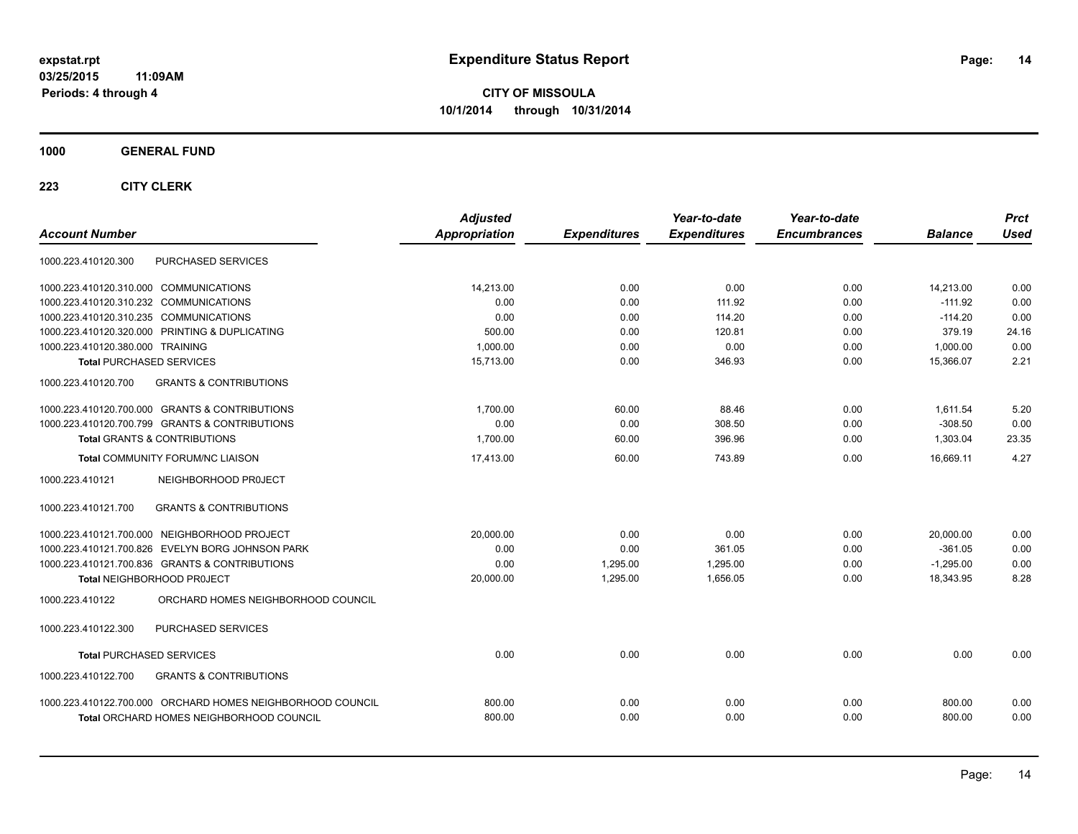**CITY OF MISSOULA 10/1/2014 through 10/31/2014**

**1000 GENERAL FUND**

| 1000.223.410120.300<br><b>PURCHASED SERVICES</b><br>1000.223.410120.310.000 COMMUNICATIONS<br>14.213.00<br>0.00<br>0.00<br>0.00<br>14,213.00<br>1000.223.410120.310.232 COMMUNICATIONS<br>0.00<br>0.00<br>111.92<br>0.00<br>$-111.92$<br>114.20<br>1000.223.410120.310.235 COMMUNICATIONS<br>0.00<br>0.00<br>$-114.20$<br>0.00<br>1000.223.410120.320.000 PRINTING & DUPLICATING<br>120.81<br>500.00<br>0.00<br>0.00<br>379.19<br>0.00<br>1000.223.410120.380.000 TRAINING<br>1,000.00<br>0.00<br>0.00<br>1,000.00<br><b>Total PURCHASED SERVICES</b><br>15,713.00<br>0.00<br>346.93<br>0.00<br>15.366.07<br><b>GRANTS &amp; CONTRIBUTIONS</b><br>1000.223.410120.700<br>1000.223.410120.700.000 GRANTS & CONTRIBUTIONS<br>1,700.00<br>60.00<br>88.46<br>0.00<br>1,611.54<br>1000.223.410120.700.799 GRANTS & CONTRIBUTIONS<br>0.00<br>0.00<br>308.50<br>0.00<br>$-308.50$<br>1,700.00<br>60.00<br>396.96<br>0.00<br>1,303.04<br><b>Total GRANTS &amp; CONTRIBUTIONS</b><br>17,413.00<br>60.00<br>743.89<br>0.00<br>16,669.11<br><b>Total COMMUNITY FORUM/NC LIAISON</b><br>NEIGHBORHOOD PROJECT<br>1000.223.410121 | <b>Account Number</b> | <b>Adjusted</b><br>Appropriation | <b>Expenditures</b> | Year-to-date<br><b>Expenditures</b> | Year-to-date<br><b>Encumbrances</b> | <b>Balance</b> | <b>Prct</b><br><b>Used</b> |
|---------------------------------------------------------------------------------------------------------------------------------------------------------------------------------------------------------------------------------------------------------------------------------------------------------------------------------------------------------------------------------------------------------------------------------------------------------------------------------------------------------------------------------------------------------------------------------------------------------------------------------------------------------------------------------------------------------------------------------------------------------------------------------------------------------------------------------------------------------------------------------------------------------------------------------------------------------------------------------------------------------------------------------------------------------------------------------------------------------------------|-----------------------|----------------------------------|---------------------|-------------------------------------|-------------------------------------|----------------|----------------------------|
|                                                                                                                                                                                                                                                                                                                                                                                                                                                                                                                                                                                                                                                                                                                                                                                                                                                                                                                                                                                                                                                                                                                     |                       |                                  |                     |                                     |                                     |                |                            |
|                                                                                                                                                                                                                                                                                                                                                                                                                                                                                                                                                                                                                                                                                                                                                                                                                                                                                                                                                                                                                                                                                                                     |                       |                                  |                     |                                     |                                     |                | 0.00                       |
|                                                                                                                                                                                                                                                                                                                                                                                                                                                                                                                                                                                                                                                                                                                                                                                                                                                                                                                                                                                                                                                                                                                     |                       |                                  |                     |                                     |                                     |                | 0.00                       |
|                                                                                                                                                                                                                                                                                                                                                                                                                                                                                                                                                                                                                                                                                                                                                                                                                                                                                                                                                                                                                                                                                                                     |                       |                                  |                     |                                     |                                     |                | 0.00                       |
|                                                                                                                                                                                                                                                                                                                                                                                                                                                                                                                                                                                                                                                                                                                                                                                                                                                                                                                                                                                                                                                                                                                     |                       |                                  |                     |                                     |                                     |                | 24.16                      |
|                                                                                                                                                                                                                                                                                                                                                                                                                                                                                                                                                                                                                                                                                                                                                                                                                                                                                                                                                                                                                                                                                                                     |                       |                                  |                     |                                     |                                     |                | 0.00                       |
|                                                                                                                                                                                                                                                                                                                                                                                                                                                                                                                                                                                                                                                                                                                                                                                                                                                                                                                                                                                                                                                                                                                     |                       |                                  |                     |                                     |                                     |                | 2.21                       |
|                                                                                                                                                                                                                                                                                                                                                                                                                                                                                                                                                                                                                                                                                                                                                                                                                                                                                                                                                                                                                                                                                                                     |                       |                                  |                     |                                     |                                     |                |                            |
|                                                                                                                                                                                                                                                                                                                                                                                                                                                                                                                                                                                                                                                                                                                                                                                                                                                                                                                                                                                                                                                                                                                     |                       |                                  |                     |                                     |                                     |                | 5.20                       |
|                                                                                                                                                                                                                                                                                                                                                                                                                                                                                                                                                                                                                                                                                                                                                                                                                                                                                                                                                                                                                                                                                                                     |                       |                                  |                     |                                     |                                     |                | 0.00                       |
|                                                                                                                                                                                                                                                                                                                                                                                                                                                                                                                                                                                                                                                                                                                                                                                                                                                                                                                                                                                                                                                                                                                     |                       |                                  |                     |                                     |                                     |                | 23.35                      |
|                                                                                                                                                                                                                                                                                                                                                                                                                                                                                                                                                                                                                                                                                                                                                                                                                                                                                                                                                                                                                                                                                                                     |                       |                                  |                     |                                     |                                     |                | 4.27                       |
|                                                                                                                                                                                                                                                                                                                                                                                                                                                                                                                                                                                                                                                                                                                                                                                                                                                                                                                                                                                                                                                                                                                     |                       |                                  |                     |                                     |                                     |                |                            |
| 1000.223.410121.700<br><b>GRANTS &amp; CONTRIBUTIONS</b>                                                                                                                                                                                                                                                                                                                                                                                                                                                                                                                                                                                                                                                                                                                                                                                                                                                                                                                                                                                                                                                            |                       |                                  |                     |                                     |                                     |                |                            |
| 1000.223.410121.700.000 NEIGHBORHOOD PROJECT<br>20,000.00<br>0.00<br>0.00<br>0.00<br>20,000.00                                                                                                                                                                                                                                                                                                                                                                                                                                                                                                                                                                                                                                                                                                                                                                                                                                                                                                                                                                                                                      |                       |                                  |                     |                                     |                                     |                | 0.00                       |
| 1000.223.410121.700.826 EVELYN BORG JOHNSON PARK<br>0.00<br>0.00<br>361.05<br>0.00<br>$-361.05$                                                                                                                                                                                                                                                                                                                                                                                                                                                                                                                                                                                                                                                                                                                                                                                                                                                                                                                                                                                                                     |                       |                                  |                     |                                     |                                     |                | 0.00                       |
| 1000.223.410121.700.836 GRANTS & CONTRIBUTIONS<br>0.00<br>1,295.00<br>1,295.00<br>0.00<br>$-1,295.00$                                                                                                                                                                                                                                                                                                                                                                                                                                                                                                                                                                                                                                                                                                                                                                                                                                                                                                                                                                                                               |                       |                                  |                     |                                     |                                     |                | 0.00                       |
| 20,000.00<br>1.295.00<br>1.656.05<br>0.00<br>18,343.95<br>Total NEIGHBORHOOD PROJECT                                                                                                                                                                                                                                                                                                                                                                                                                                                                                                                                                                                                                                                                                                                                                                                                                                                                                                                                                                                                                                |                       |                                  |                     |                                     |                                     |                | 8.28                       |
| ORCHARD HOMES NEIGHBORHOOD COUNCIL<br>1000.223.410122                                                                                                                                                                                                                                                                                                                                                                                                                                                                                                                                                                                                                                                                                                                                                                                                                                                                                                                                                                                                                                                               |                       |                                  |                     |                                     |                                     |                |                            |
| 1000.223.410122.300<br>PURCHASED SERVICES                                                                                                                                                                                                                                                                                                                                                                                                                                                                                                                                                                                                                                                                                                                                                                                                                                                                                                                                                                                                                                                                           |                       |                                  |                     |                                     |                                     |                |                            |
| <b>Total PURCHASED SERVICES</b><br>0.00<br>0.00<br>0.00<br>0.00<br>0.00                                                                                                                                                                                                                                                                                                                                                                                                                                                                                                                                                                                                                                                                                                                                                                                                                                                                                                                                                                                                                                             |                       |                                  |                     |                                     |                                     |                | 0.00                       |
| 1000.223.410122.700<br><b>GRANTS &amp; CONTRIBUTIONS</b>                                                                                                                                                                                                                                                                                                                                                                                                                                                                                                                                                                                                                                                                                                                                                                                                                                                                                                                                                                                                                                                            |                       |                                  |                     |                                     |                                     |                |                            |
| 1000.223.410122.700.000 ORCHARD HOMES NEIGHBORHOOD COUNCIL<br>0.00<br>0.00<br>800.00<br>0.00<br>800.00                                                                                                                                                                                                                                                                                                                                                                                                                                                                                                                                                                                                                                                                                                                                                                                                                                                                                                                                                                                                              |                       |                                  |                     |                                     |                                     |                | 0.00                       |
| 0.00<br>800.00<br>0.00<br>0.00<br>800.00<br><b>Total ORCHARD HOMES NEIGHBORHOOD COUNCIL</b>                                                                                                                                                                                                                                                                                                                                                                                                                                                                                                                                                                                                                                                                                                                                                                                                                                                                                                                                                                                                                         |                       |                                  |                     |                                     |                                     |                | 0.00                       |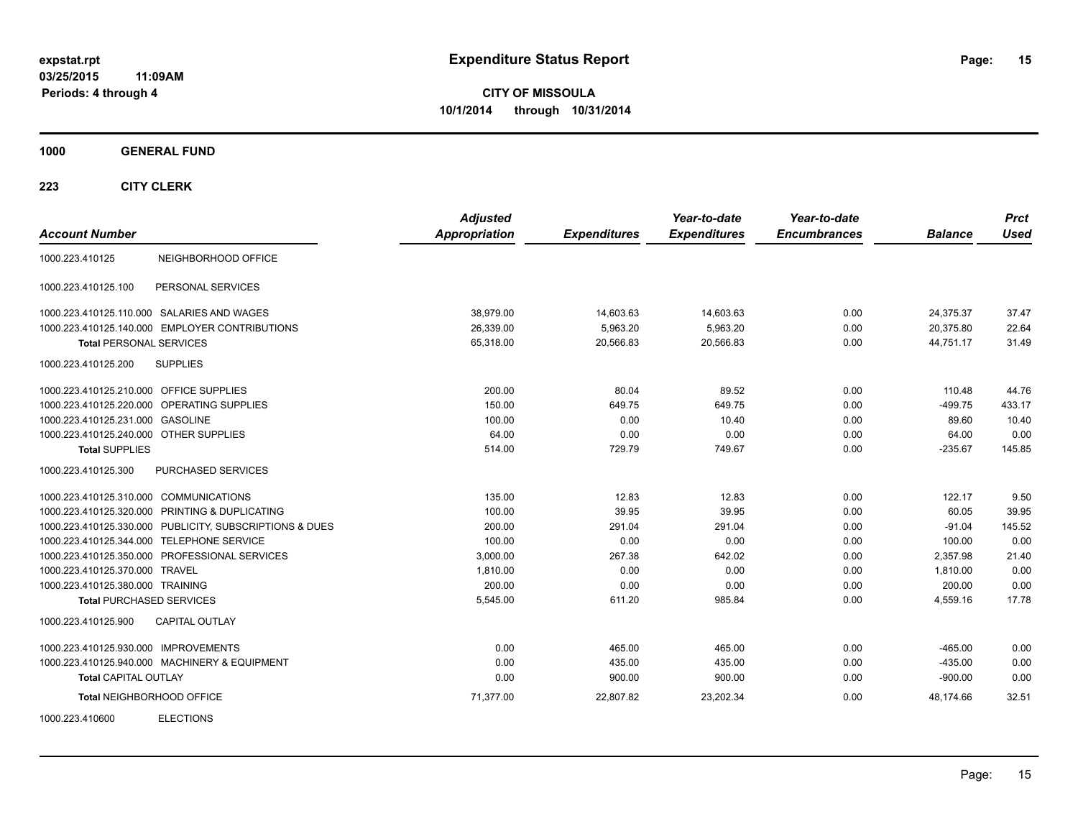**CITY OF MISSOULA 10/1/2014 through 10/31/2014**

**1000 GENERAL FUND**

| <b>Account Number</b>                                   | <b>Adjusted</b><br><b>Appropriation</b> | <b>Expenditures</b> | Year-to-date<br><b>Expenditures</b> | Year-to-date<br><b>Encumbrances</b> | <b>Balance</b> | <b>Prct</b><br><b>Used</b> |
|---------------------------------------------------------|-----------------------------------------|---------------------|-------------------------------------|-------------------------------------|----------------|----------------------------|
| NEIGHBORHOOD OFFICE<br>1000.223.410125                  |                                         |                     |                                     |                                     |                |                            |
| PERSONAL SERVICES<br>1000.223.410125.100                |                                         |                     |                                     |                                     |                |                            |
| 1000.223.410125.110.000 SALARIES AND WAGES              | 38.979.00                               | 14,603.63           | 14,603.63                           | 0.00                                | 24,375.37      | 37.47                      |
| 1000.223.410125.140.000 EMPLOYER CONTRIBUTIONS          | 26,339.00                               | 5,963.20            | 5,963.20                            | 0.00                                | 20,375.80      | 22.64                      |
| <b>Total PERSONAL SERVICES</b>                          | 65,318.00                               | 20,566.83           | 20,566.83                           | 0.00                                | 44,751.17      | 31.49                      |
| 1000.223.410125.200<br><b>SUPPLIES</b>                  |                                         |                     |                                     |                                     |                |                            |
| 1000.223.410125.210.000 OFFICE SUPPLIES                 | 200.00                                  | 80.04               | 89.52                               | 0.00                                | 110.48         | 44.76                      |
| 1000.223.410125.220.000 OPERATING SUPPLIES              | 150.00                                  | 649.75              | 649.75                              | 0.00                                | $-499.75$      | 433.17                     |
| 1000.223.410125.231.000 GASOLINE                        | 100.00                                  | 0.00                | 10.40                               | 0.00                                | 89.60          | 10.40                      |
| 1000.223.410125.240.000 OTHER SUPPLIES                  | 64.00                                   | 0.00                | 0.00                                | 0.00                                | 64.00          | 0.00                       |
| <b>Total SUPPLIES</b>                                   | 514.00                                  | 729.79              | 749.67                              | 0.00                                | $-235.67$      | 145.85                     |
| PURCHASED SERVICES<br>1000.223.410125.300               |                                         |                     |                                     |                                     |                |                            |
| 1000.223.410125.310.000 COMMUNICATIONS                  | 135.00                                  | 12.83               | 12.83                               | 0.00                                | 122.17         | 9.50                       |
| 1000.223.410125.320.000 PRINTING & DUPLICATING          | 100.00                                  | 39.95               | 39.95                               | 0.00                                | 60.05          | 39.95                      |
| 1000.223.410125.330.000 PUBLICITY, SUBSCRIPTIONS & DUES | 200.00                                  | 291.04              | 291.04                              | 0.00                                | $-91.04$       | 145.52                     |
| 1000.223.410125.344.000 TELEPHONE SERVICE               | 100.00                                  | 0.00                | 0.00                                | 0.00                                | 100.00         | 0.00                       |
| 1000.223.410125.350.000 PROFESSIONAL SERVICES           | 3.000.00                                | 267.38              | 642.02                              | 0.00                                | 2.357.98       | 21.40                      |
| 1000.223.410125.370.000 TRAVEL                          | 1,810.00                                | 0.00                | 0.00                                | 0.00                                | 1.810.00       | 0.00                       |
| 1000.223.410125.380.000 TRAINING                        | 200.00                                  | 0.00                | 0.00                                | 0.00                                | 200.00         | 0.00                       |
| <b>Total PURCHASED SERVICES</b>                         | 5,545.00                                | 611.20              | 985.84                              | 0.00                                | 4,559.16       | 17.78                      |
| 1000.223.410125.900<br><b>CAPITAL OUTLAY</b>            |                                         |                     |                                     |                                     |                |                            |
| 1000.223.410125.930.000 IMPROVEMENTS                    | 0.00                                    | 465.00              | 465.00                              | 0.00                                | $-465.00$      | 0.00                       |
| 1000.223.410125.940.000 MACHINERY & EQUIPMENT           | 0.00                                    | 435.00              | 435.00                              | 0.00                                | $-435.00$      | 0.00                       |
| <b>Total CAPITAL OUTLAY</b>                             | 0.00                                    | 900.00              | 900.00                              | 0.00                                | $-900.00$      | 0.00                       |
| Total NEIGHBORHOOD OFFICE                               | 71,377.00                               | 22,807.82           | 23,202.34                           | 0.00                                | 48.174.66      | 32.51                      |
| <b>ELECTIONS</b><br>1000.223.410600                     |                                         |                     |                                     |                                     |                |                            |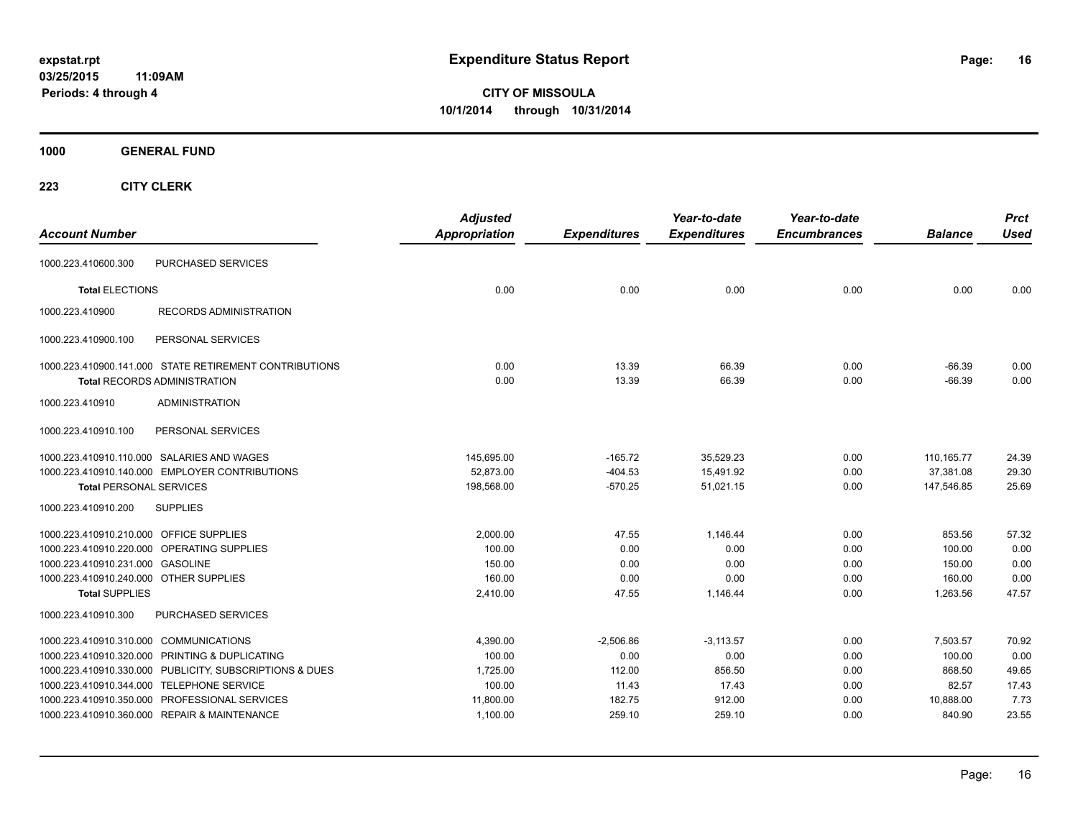**CITY OF MISSOULA 10/1/2014 through 10/31/2014**

**1000 GENERAL FUND**

| <b>Account Number</b>                                   | <b>Adjusted</b><br>Appropriation | <b>Expenditures</b> | Year-to-date<br><b>Expenditures</b> | Year-to-date<br><b>Encumbrances</b> | <b>Balance</b> | <b>Prct</b><br><b>Used</b> |
|---------------------------------------------------------|----------------------------------|---------------------|-------------------------------------|-------------------------------------|----------------|----------------------------|
| PURCHASED SERVICES<br>1000.223.410600.300               |                                  |                     |                                     |                                     |                |                            |
| <b>Total ELECTIONS</b>                                  | 0.00                             | 0.00                | 0.00                                | 0.00                                | 0.00           | 0.00                       |
| 1000.223.410900<br><b>RECORDS ADMINISTRATION</b>        |                                  |                     |                                     |                                     |                |                            |
| 1000.223.410900.100<br>PERSONAL SERVICES                |                                  |                     |                                     |                                     |                |                            |
| 1000.223.410900.141.000 STATE RETIREMENT CONTRIBUTIONS  | 0.00                             | 13.39               | 66.39                               | 0.00                                | $-66.39$       | 0.00                       |
| <b>Total RECORDS ADMINISTRATION</b>                     | 0.00                             | 13.39               | 66.39                               | 0.00                                | $-66.39$       | 0.00                       |
| 1000.223.410910<br><b>ADMINISTRATION</b>                |                                  |                     |                                     |                                     |                |                            |
| 1000.223.410910.100<br>PERSONAL SERVICES                |                                  |                     |                                     |                                     |                |                            |
| 1000.223.410910.110.000 SALARIES AND WAGES              | 145,695.00                       | $-165.72$           | 35,529.23                           | 0.00                                | 110, 165. 77   | 24.39                      |
| 1000.223.410910.140.000 EMPLOYER CONTRIBUTIONS          | 52,873.00                        | $-404.53$           | 15,491.92                           | 0.00                                | 37,381.08      | 29.30                      |
| <b>Total PERSONAL SERVICES</b>                          | 198,568.00                       | $-570.25$           | 51,021.15                           | 0.00                                | 147,546.85     | 25.69                      |
| 1000.223.410910.200<br><b>SUPPLIES</b>                  |                                  |                     |                                     |                                     |                |                            |
| 1000.223.410910.210.000 OFFICE SUPPLIES                 | 2,000.00                         | 47.55               | 1,146.44                            | 0.00                                | 853.56         | 57.32                      |
| 1000.223.410910.220.000 OPERATING SUPPLIES              | 100.00                           | 0.00                | 0.00                                | 0.00                                | 100.00         | 0.00                       |
| 1000.223.410910.231.000 GASOLINE                        | 150.00                           | 0.00                | 0.00                                | 0.00                                | 150.00         | 0.00                       |
| 1000.223.410910.240.000 OTHER SUPPLIES                  | 160.00                           | 0.00                | 0.00                                | 0.00                                | 160.00         | 0.00                       |
| <b>Total SUPPLIES</b>                                   | 2,410.00                         | 47.55               | 1,146.44                            | 0.00                                | 1,263.56       | 47.57                      |
| 1000.223.410910.300<br>PURCHASED SERVICES               |                                  |                     |                                     |                                     |                |                            |
| 1000.223.410910.310.000 COMMUNICATIONS                  | 4,390.00                         | $-2.506.86$         | $-3,113.57$                         | 0.00                                | 7.503.57       | 70.92                      |
| 1000.223.410910.320.000 PRINTING & DUPLICATING          | 100.00                           | 0.00                | 0.00                                | 0.00                                | 100.00         | 0.00                       |
| 1000.223.410910.330.000 PUBLICITY, SUBSCRIPTIONS & DUES | 1,725.00                         | 112.00              | 856.50                              | 0.00                                | 868.50         | 49.65                      |
| 1000.223.410910.344.000 TELEPHONE SERVICE               | 100.00                           | 11.43               | 17.43                               | 0.00                                | 82.57          | 17.43                      |
| 1000.223.410910.350.000 PROFESSIONAL SERVICES           | 11,800.00                        | 182.75              | 912.00                              | 0.00                                | 10,888.00      | 7.73                       |
| 1000.223.410910.360.000 REPAIR & MAINTENANCE            | 1,100.00                         | 259.10              | 259.10                              | 0.00                                | 840.90         | 23.55                      |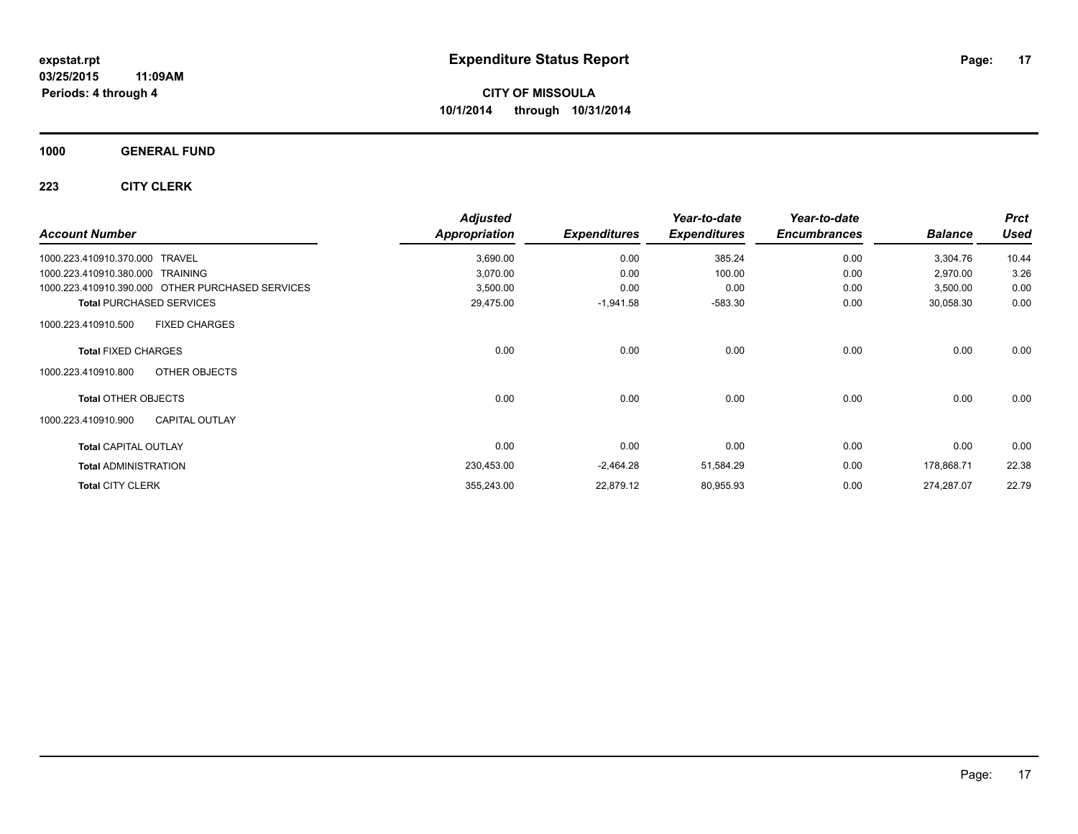**1000 GENERAL FUND**

|                                                  | <b>Adjusted</b>      |                     | Year-to-date        | Year-to-date        |                | <b>Prct</b> |
|--------------------------------------------------|----------------------|---------------------|---------------------|---------------------|----------------|-------------|
| <b>Account Number</b>                            | <b>Appropriation</b> | <b>Expenditures</b> | <b>Expenditures</b> | <b>Encumbrances</b> | <b>Balance</b> | <b>Used</b> |
| 1000.223.410910.370.000<br><b>TRAVEL</b>         | 3,690.00             | 0.00                | 385.24              | 0.00                | 3,304.76       | 10.44       |
| 1000.223.410910.380.000<br><b>TRAINING</b>       | 3,070.00             | 0.00                | 100.00              | 0.00                | 2,970.00       | 3.26        |
| 1000.223.410910.390.000 OTHER PURCHASED SERVICES | 3,500.00             | 0.00                | 0.00                | 0.00                | 3,500.00       | 0.00        |
| <b>Total PURCHASED SERVICES</b>                  | 29,475.00            | $-1,941.58$         | $-583.30$           | 0.00                | 30,058.30      | 0.00        |
| <b>FIXED CHARGES</b><br>1000.223.410910.500      |                      |                     |                     |                     |                |             |
| <b>Total FIXED CHARGES</b>                       | 0.00                 | 0.00                | 0.00                | 0.00                | 0.00           | 0.00        |
| OTHER OBJECTS<br>1000.223.410910.800             |                      |                     |                     |                     |                |             |
| <b>Total OTHER OBJECTS</b>                       | 0.00                 | 0.00                | 0.00                | 0.00                | 0.00           | 0.00        |
| <b>CAPITAL OUTLAY</b><br>1000.223.410910.900     |                      |                     |                     |                     |                |             |
| <b>Total CAPITAL OUTLAY</b>                      | 0.00                 | 0.00                | 0.00                | 0.00                | 0.00           | 0.00        |
| <b>Total ADMINISTRATION</b>                      | 230,453.00           | $-2,464.28$         | 51,584.29           | 0.00                | 178,868.71     | 22.38       |
| <b>Total CITY CLERK</b>                          | 355,243.00           | 22,879.12           | 80,955.93           | 0.00                | 274,287.07     | 22.79       |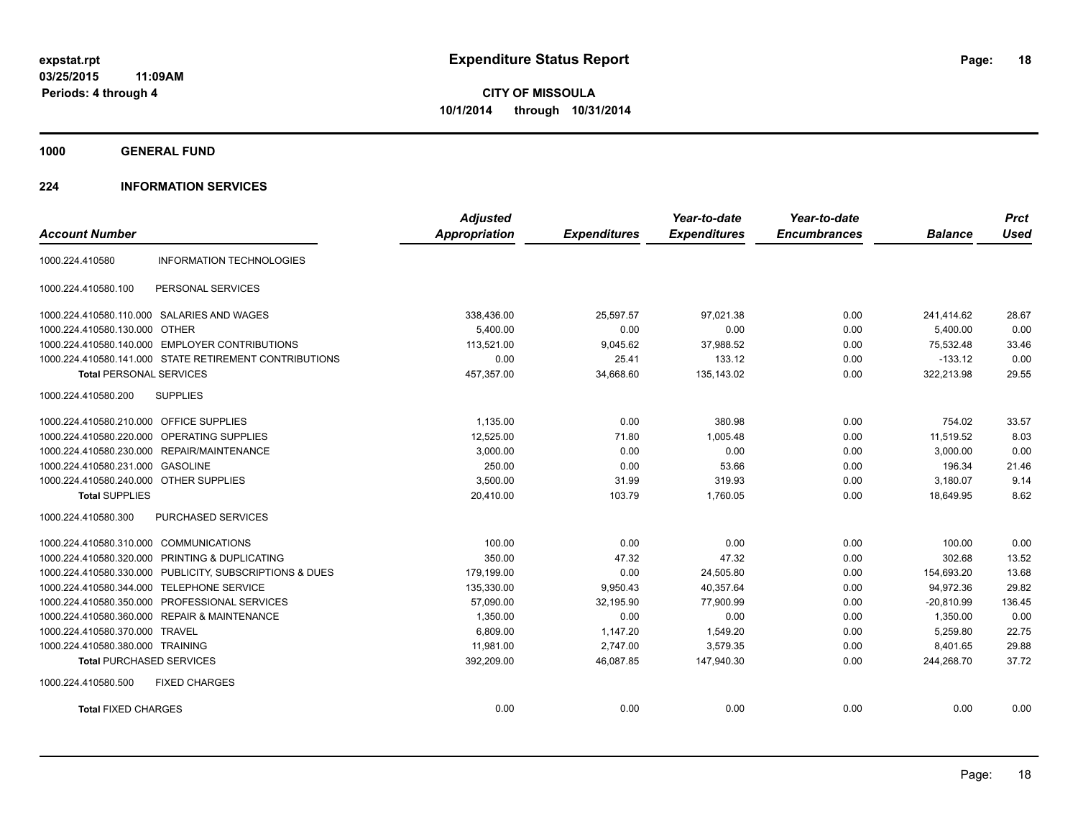**1000 GENERAL FUND**

#### **224 INFORMATION SERVICES**

| <b>Account Number</b>                   |                                                        | <b>Adjusted</b><br><b>Appropriation</b> | <b>Expenditures</b> | Year-to-date<br><b>Expenditures</b> | Year-to-date<br><b>Encumbrances</b> | <b>Balance</b> | <b>Prct</b><br><b>Used</b> |
|-----------------------------------------|--------------------------------------------------------|-----------------------------------------|---------------------|-------------------------------------|-------------------------------------|----------------|----------------------------|
|                                         |                                                        |                                         |                     |                                     |                                     |                |                            |
| 1000.224.410580                         | <b>INFORMATION TECHNOLOGIES</b>                        |                                         |                     |                                     |                                     |                |                            |
| 1000.224.410580.100                     | PERSONAL SERVICES                                      |                                         |                     |                                     |                                     |                |                            |
|                                         | 1000.224.410580.110.000 SALARIES AND WAGES             | 338,436.00                              | 25.597.57           | 97.021.38                           | 0.00                                | 241.414.62     | 28.67                      |
| 1000.224.410580.130.000 OTHER           |                                                        | 5.400.00                                | 0.00                | 0.00                                | 0.00                                | 5,400.00       | 0.00                       |
| 1000.224.410580.140.000                 | <b>EMPLOYER CONTRIBUTIONS</b>                          | 113,521.00                              | 9,045.62            | 37,988.52                           | 0.00                                | 75,532.48      | 33.46                      |
|                                         | 1000.224.410580.141.000 STATE RETIREMENT CONTRIBUTIONS | 0.00                                    | 25.41               | 133.12                              | 0.00                                | $-133.12$      | 0.00                       |
| <b>Total PERSONAL SERVICES</b>          |                                                        | 457,357.00                              | 34,668.60           | 135,143.02                          | 0.00                                | 322,213.98     | 29.55                      |
| 1000.224.410580.200                     | <b>SUPPLIES</b>                                        |                                         |                     |                                     |                                     |                |                            |
| 1000.224.410580.210.000 OFFICE SUPPLIES |                                                        | 1,135.00                                | 0.00                | 380.98                              | 0.00                                | 754.02         | 33.57                      |
| 1000.224.410580.220.000                 | OPERATING SUPPLIES                                     | 12,525.00                               | 71.80               | 1,005.48                            | 0.00                                | 11,519.52      | 8.03                       |
| 1000.224.410580.230.000                 | REPAIR/MAINTENANCE                                     | 3,000.00                                | 0.00                | 0.00                                | 0.00                                | 3,000.00       | 0.00                       |
| 1000.224.410580.231.000 GASOLINE        |                                                        | 250.00                                  | 0.00                | 53.66                               | 0.00                                | 196.34         | 21.46                      |
| 1000.224.410580.240.000 OTHER SUPPLIES  |                                                        | 3,500.00                                | 31.99               | 319.93                              | 0.00                                | 3,180.07       | 9.14                       |
| <b>Total SUPPLIES</b>                   |                                                        | 20,410.00                               | 103.79              | 1,760.05                            | 0.00                                | 18,649.95      | 8.62                       |
| 1000.224.410580.300                     | <b>PURCHASED SERVICES</b>                              |                                         |                     |                                     |                                     |                |                            |
| 1000.224.410580.310.000 COMMUNICATIONS  |                                                        | 100.00                                  | 0.00                | 0.00                                | 0.00                                | 100.00         | 0.00                       |
| 1000.224.410580.320.000                 | PRINTING & DUPLICATING                                 | 350.00                                  | 47.32               | 47.32                               | 0.00                                | 302.68         | 13.52                      |
| 1000.224.410580.330.000                 | PUBLICITY, SUBSCRIPTIONS & DUES                        | 179,199.00                              | 0.00                | 24,505.80                           | 0.00                                | 154,693.20     | 13.68                      |
| 1000.224.410580.344.000                 | <b>TELEPHONE SERVICE</b>                               | 135,330.00                              | 9,950.43            | 40,357.64                           | 0.00                                | 94,972.36      | 29.82                      |
| 1000.224.410580.350.000                 | PROFESSIONAL SERVICES                                  | 57,090.00                               | 32,195.90           | 77,900.99                           | 0.00                                | $-20,810.99$   | 136.45                     |
| 1000.224.410580.360.000                 | <b>REPAIR &amp; MAINTENANCE</b>                        | 1,350.00                                | 0.00                | 0.00                                | 0.00                                | 1,350.00       | 0.00                       |
| 1000.224.410580.370.000 TRAVEL          |                                                        | 6.809.00                                | 1.147.20            | 1.549.20                            | 0.00                                | 5.259.80       | 22.75                      |
| 1000.224.410580.380.000 TRAINING        |                                                        | 11,981.00                               | 2,747.00            | 3,579.35                            | 0.00                                | 8,401.65       | 29.88                      |
| <b>Total PURCHASED SERVICES</b>         |                                                        | 392,209.00                              | 46,087.85           | 147,940.30                          | 0.00                                | 244,268.70     | 37.72                      |
| 1000.224.410580.500                     | <b>FIXED CHARGES</b>                                   |                                         |                     |                                     |                                     |                |                            |
| <b>Total FIXED CHARGES</b>              |                                                        | 0.00                                    | 0.00                | 0.00                                | 0.00                                | 0.00           | 0.00                       |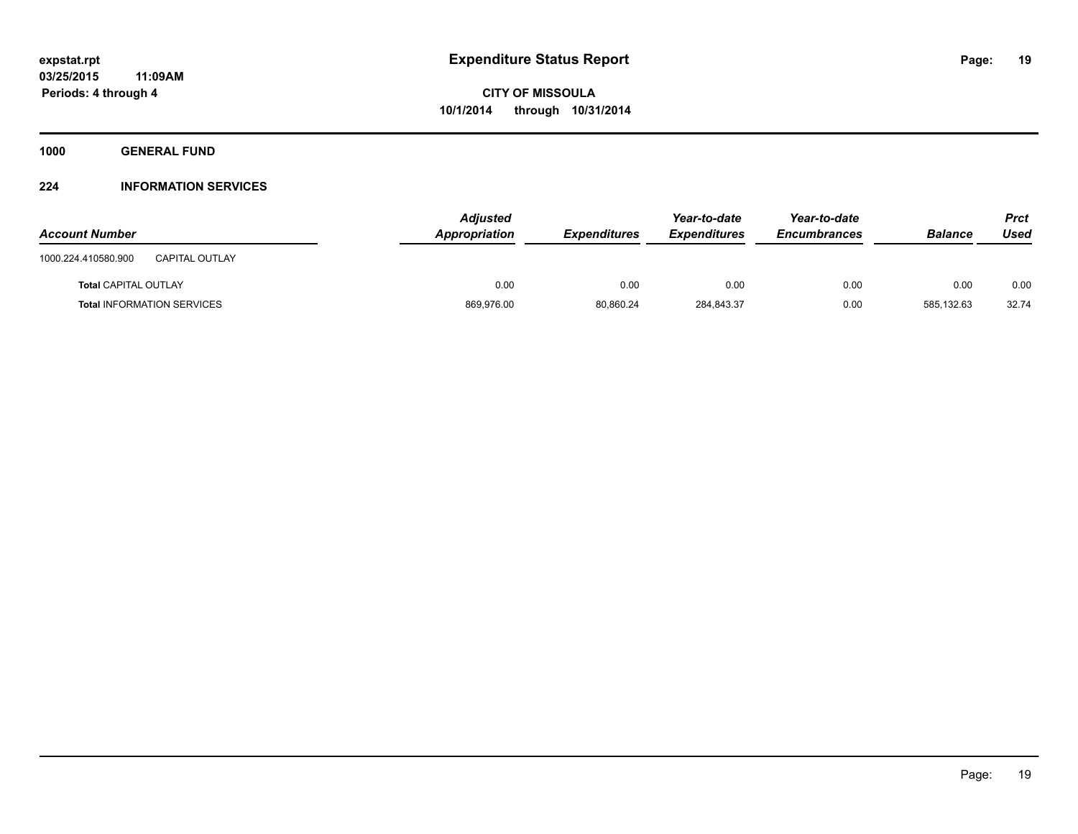**1000 GENERAL FUND**

#### **224 INFORMATION SERVICES**

| <b>Account Number</b>                        | <b>Adjusted</b><br>Appropriation | <b>Expenditures</b> | Year-to-date<br><b>Expenditures</b> | Year-to-date<br><b>Encumbrances</b> | <b>Balance</b> | Prct<br>Used |
|----------------------------------------------|----------------------------------|---------------------|-------------------------------------|-------------------------------------|----------------|--------------|
| <b>CAPITAL OUTLAY</b><br>1000.224.410580.900 |                                  |                     |                                     |                                     |                |              |
| <b>Total CAPITAL OUTLAY</b>                  | 0.00                             | 0.00                | 0.00                                | 0.00                                | 0.00           | 0.00         |
| <b>Total INFORMATION SERVICES</b>            | 869,976.00                       | 80.860.24           | 284,843.37                          | 0.00                                | 585.132.63     | 32.74        |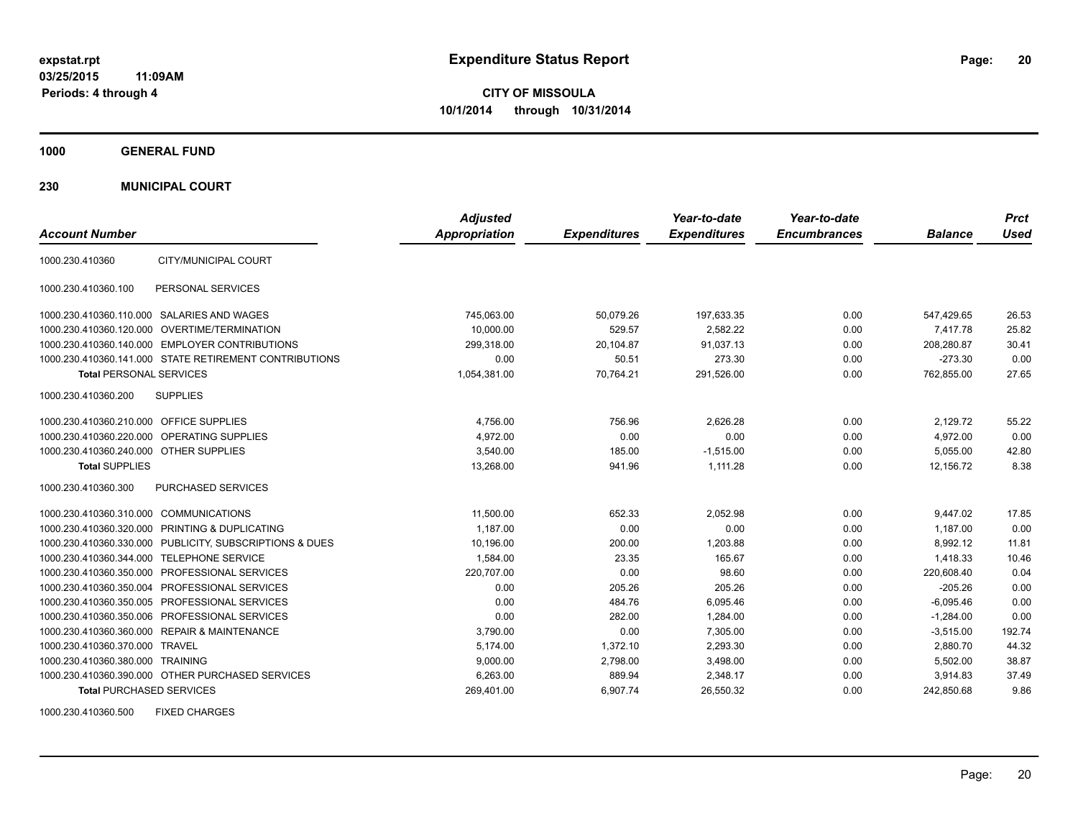**1000 GENERAL FUND**

**230 MUNICIPAL COURT**

| <b>Account Number</b>                   |                                                         | <b>Adjusted</b><br><b>Appropriation</b> | <b>Expenditures</b> | Year-to-date<br><b>Expenditures</b> | Year-to-date<br><b>Encumbrances</b> | <b>Balance</b> | <b>Prct</b><br><b>Used</b> |
|-----------------------------------------|---------------------------------------------------------|-----------------------------------------|---------------------|-------------------------------------|-------------------------------------|----------------|----------------------------|
| 1000.230.410360                         | CITY/MUNICIPAL COURT                                    |                                         |                     |                                     |                                     |                |                            |
| 1000.230.410360.100                     | PERSONAL SERVICES                                       |                                         |                     |                                     |                                     |                |                            |
|                                         | 1000.230.410360.110.000 SALARIES AND WAGES              | 745,063.00                              | 50,079.26           | 197,633.35                          | 0.00                                | 547,429.65     | 26.53                      |
|                                         | 1000.230.410360.120.000 OVERTIME/TERMINATION            | 10.000.00                               | 529.57              | 2.582.22                            | 0.00                                | 7.417.78       | 25.82                      |
|                                         | 1000.230.410360.140.000 EMPLOYER CONTRIBUTIONS          | 299,318.00                              | 20,104.87           | 91,037.13                           | 0.00                                | 208,280.87     | 30.41                      |
|                                         | 1000.230.410360.141.000 STATE RETIREMENT CONTRIBUTIONS  | 0.00                                    | 50.51               | 273.30                              | 0.00                                | $-273.30$      | 0.00                       |
| <b>Total PERSONAL SERVICES</b>          |                                                         | 1,054,381.00                            | 70.764.21           | 291,526.00                          | 0.00                                | 762,855.00     | 27.65                      |
| 1000.230.410360.200                     | <b>SUPPLIES</b>                                         |                                         |                     |                                     |                                     |                |                            |
| 1000.230.410360.210.000 OFFICE SUPPLIES |                                                         | 4,756.00                                | 756.96              | 2,626.28                            | 0.00                                | 2,129.72       | 55.22                      |
|                                         | 1000.230.410360.220.000 OPERATING SUPPLIES              | 4.972.00                                | 0.00                | 0.00                                | 0.00                                | 4,972.00       | 0.00                       |
| 1000.230.410360.240.000 OTHER SUPPLIES  |                                                         | 3.540.00                                | 185.00              | $-1.515.00$                         | 0.00                                | 5.055.00       | 42.80                      |
| <b>Total SUPPLIES</b>                   |                                                         | 13,268.00                               | 941.96              | 1,111.28                            | 0.00                                | 12,156.72      | 8.38                       |
| 1000.230.410360.300                     | PURCHASED SERVICES                                      |                                         |                     |                                     |                                     |                |                            |
| 1000.230.410360.310.000 COMMUNICATIONS  |                                                         | 11,500.00                               | 652.33              | 2,052.98                            | 0.00                                | 9,447.02       | 17.85                      |
|                                         | 1000.230.410360.320.000 PRINTING & DUPLICATING          | 1,187.00                                | 0.00                | 0.00                                | 0.00                                | 1,187.00       | 0.00                       |
|                                         | 1000.230.410360.330.000 PUBLICITY, SUBSCRIPTIONS & DUES | 10,196.00                               | 200.00              | 1,203.88                            | 0.00                                | 8,992.12       | 11.81                      |
|                                         | 1000.230.410360.344.000 TELEPHONE SERVICE               | 1,584.00                                | 23.35               | 165.67                              | 0.00                                | 1.418.33       | 10.46                      |
|                                         | 1000.230.410360.350.000 PROFESSIONAL SERVICES           | 220,707.00                              | 0.00                | 98.60                               | 0.00                                | 220,608.40     | 0.04                       |
|                                         | 1000.230.410360.350.004 PROFESSIONAL SERVICES           | 0.00                                    | 205.26              | 205.26                              | 0.00                                | $-205.26$      | 0.00                       |
|                                         | 1000.230.410360.350.005 PROFESSIONAL SERVICES           | 0.00                                    | 484.76              | 6,095.46                            | 0.00                                | $-6,095.46$    | 0.00                       |
|                                         | 1000.230.410360.350.006 PROFESSIONAL SERVICES           | 0.00                                    | 282.00              | 1,284.00                            | 0.00                                | $-1,284.00$    | 0.00                       |
|                                         | 1000.230.410360.360.000 REPAIR & MAINTENANCE            | 3,790.00                                | 0.00                | 7,305.00                            | 0.00                                | $-3,515.00$    | 192.74                     |
| 1000.230.410360.370.000 TRAVEL          |                                                         | 5,174.00                                | 1,372.10            | 2,293.30                            | 0.00                                | 2,880.70       | 44.32                      |
| 1000.230.410360.380.000 TRAINING        |                                                         | 9,000.00                                | 2,798.00            | 3,498.00                            | 0.00                                | 5,502.00       | 38.87                      |
|                                         | 1000.230.410360.390.000 OTHER PURCHASED SERVICES        | 6,263.00                                | 889.94              | 2,348.17                            | 0.00                                | 3,914.83       | 37.49                      |
| <b>Total PURCHASED SERVICES</b>         |                                                         | 269,401.00                              | 6,907.74            | 26,550.32                           | 0.00                                | 242,850.68     | 9.86                       |

1000.230.410360.500 FIXED CHARGES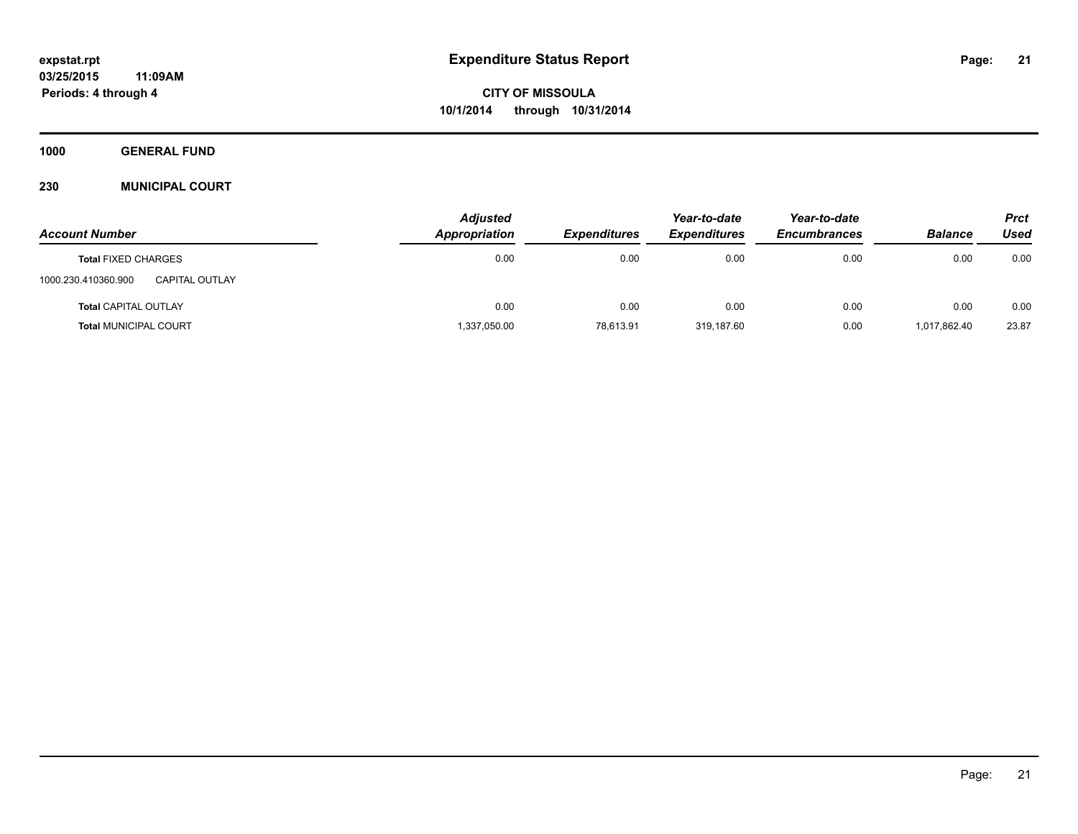**1000 GENERAL FUND**

#### **230 MUNICIPAL COURT**

|                                              | <b>Adjusted</b> |                     | Year-to-date        | Year-to-date        |                | <b>Prct</b> |
|----------------------------------------------|-----------------|---------------------|---------------------|---------------------|----------------|-------------|
| <b>Account Number</b>                        | Appropriation   | <b>Expenditures</b> | <b>Expenditures</b> | <b>Encumbrances</b> | <b>Balance</b> | Used        |
| <b>Total FIXED CHARGES</b>                   | 0.00            | 0.00                | 0.00                | 0.00                | 0.00           | 0.00        |
| 1000.230.410360.900<br><b>CAPITAL OUTLAY</b> |                 |                     |                     |                     |                |             |
| <b>Total CAPITAL OUTLAY</b>                  | 0.00            | 0.00                | 0.00                | 0.00                | 0.00           | 0.00        |
| <b>Total MUNICIPAL COURT</b>                 | 1,337,050.00    | 78,613.91           | 319,187.60          | 0.00                | 1,017,862.40   | 23.87       |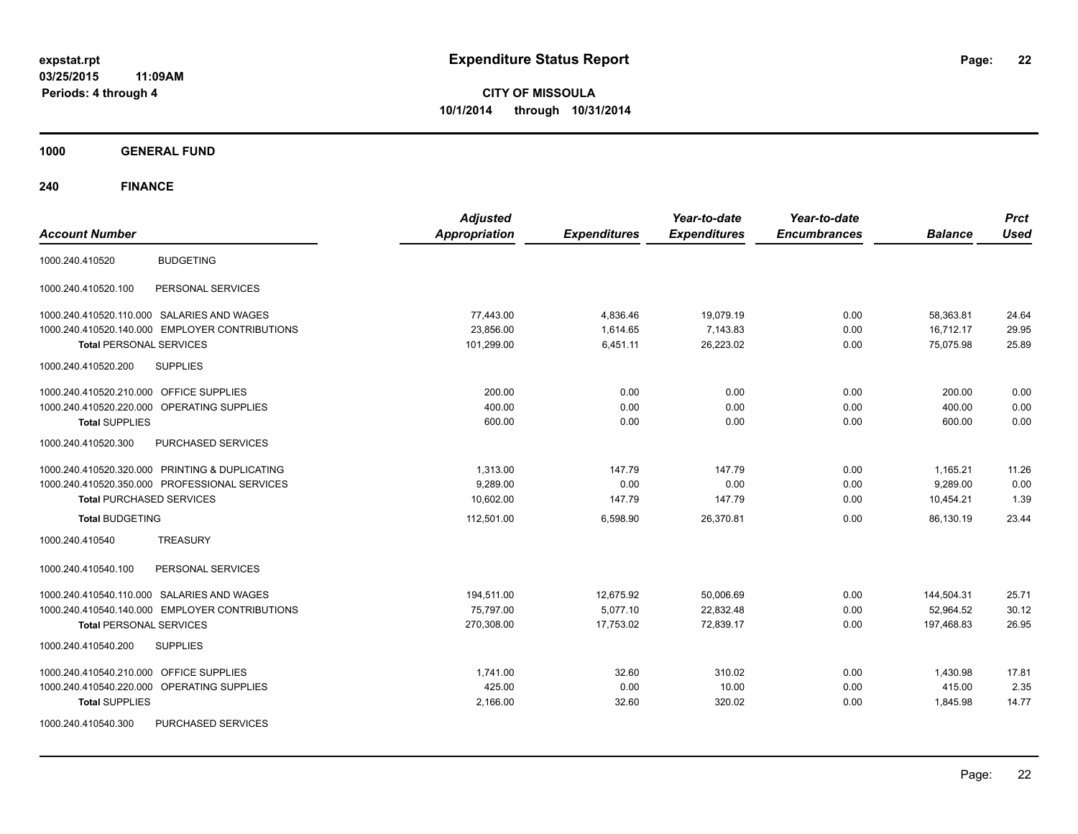**CITY OF MISSOULA 10/1/2014 through 10/31/2014**

**1000 GENERAL FUND**

| <b>Account Number</b>                            | <b>Adjusted</b><br><b>Appropriation</b> | <b>Expenditures</b> | Year-to-date<br><b>Expenditures</b> | Year-to-date<br><b>Encumbrances</b> | <b>Balance</b> | <b>Prct</b><br><b>Used</b> |
|--------------------------------------------------|-----------------------------------------|---------------------|-------------------------------------|-------------------------------------|----------------|----------------------------|
|                                                  |                                         |                     |                                     |                                     |                |                            |
| <b>BUDGETING</b><br>1000.240.410520              |                                         |                     |                                     |                                     |                |                            |
| PERSONAL SERVICES<br>1000.240.410520.100         |                                         |                     |                                     |                                     |                |                            |
| 1000.240.410520.110.000 SALARIES AND WAGES       | 77,443.00                               | 4,836.46            | 19,079.19                           | 0.00                                | 58,363.81      | 24.64                      |
| 1000.240.410520.140.000 EMPLOYER CONTRIBUTIONS   | 23,856.00                               | 1,614.65            | 7,143.83                            | 0.00                                | 16,712.17      | 29.95                      |
| <b>Total PERSONAL SERVICES</b>                   | 101,299.00                              | 6,451.11            | 26,223.02                           | 0.00                                | 75,075.98      | 25.89                      |
| 1000.240.410520.200<br><b>SUPPLIES</b>           |                                         |                     |                                     |                                     |                |                            |
| 1000.240.410520.210.000 OFFICE SUPPLIES          | 200.00                                  | 0.00                | 0.00                                | 0.00                                | 200.00         | 0.00                       |
| 1000.240.410520.220.000 OPERATING SUPPLIES       | 400.00                                  | 0.00                | 0.00                                | 0.00                                | 400.00         | 0.00                       |
| <b>Total SUPPLIES</b>                            | 600.00                                  | 0.00                | 0.00                                | 0.00                                | 600.00         | 0.00                       |
| 1000.240.410520.300<br><b>PURCHASED SERVICES</b> |                                         |                     |                                     |                                     |                |                            |
| 1000.240.410520.320.000 PRINTING & DUPLICATING   | 1,313.00                                | 147.79              | 147.79                              | 0.00                                | 1,165.21       | 11.26                      |
| 1000.240.410520.350.000 PROFESSIONAL SERVICES    | 9,289.00                                | 0.00                | 0.00                                | 0.00                                | 9,289.00       | 0.00                       |
| <b>Total PURCHASED SERVICES</b>                  | 10,602.00                               | 147.79              | 147.79                              | 0.00                                | 10,454.21      | 1.39                       |
| <b>Total BUDGETING</b>                           | 112,501.00                              | 6,598.90            | 26,370.81                           | 0.00                                | 86,130.19      | 23.44                      |
| <b>TREASURY</b><br>1000.240.410540               |                                         |                     |                                     |                                     |                |                            |
| PERSONAL SERVICES<br>1000.240.410540.100         |                                         |                     |                                     |                                     |                |                            |
| 1000.240.410540.110.000 SALARIES AND WAGES       | 194,511.00                              | 12,675.92           | 50,006.69                           | 0.00                                | 144,504.31     | 25.71                      |
| 1000.240.410540.140.000 EMPLOYER CONTRIBUTIONS   | 75,797.00                               | 5.077.10            | 22,832.48                           | 0.00                                | 52,964.52      | 30.12                      |
| <b>Total PERSONAL SERVICES</b>                   | 270,308.00                              | 17,753.02           | 72,839.17                           | 0.00                                | 197,468.83     | 26.95                      |
| 1000.240.410540.200<br><b>SUPPLIES</b>           |                                         |                     |                                     |                                     |                |                            |
| 1000.240.410540.210.000 OFFICE SUPPLIES          | 1,741.00                                | 32.60               | 310.02                              | 0.00                                | 1,430.98       | 17.81                      |
| 1000.240.410540.220.000 OPERATING SUPPLIES       | 425.00                                  | 0.00                | 10.00                               | 0.00                                | 415.00         | 2.35                       |
| <b>Total SUPPLIES</b>                            | 2,166.00                                | 32.60               | 320.02                              | 0.00                                | 1,845.98       | 14.77                      |
| 1000.240.410540.300<br>PURCHASED SERVICES        |                                         |                     |                                     |                                     |                |                            |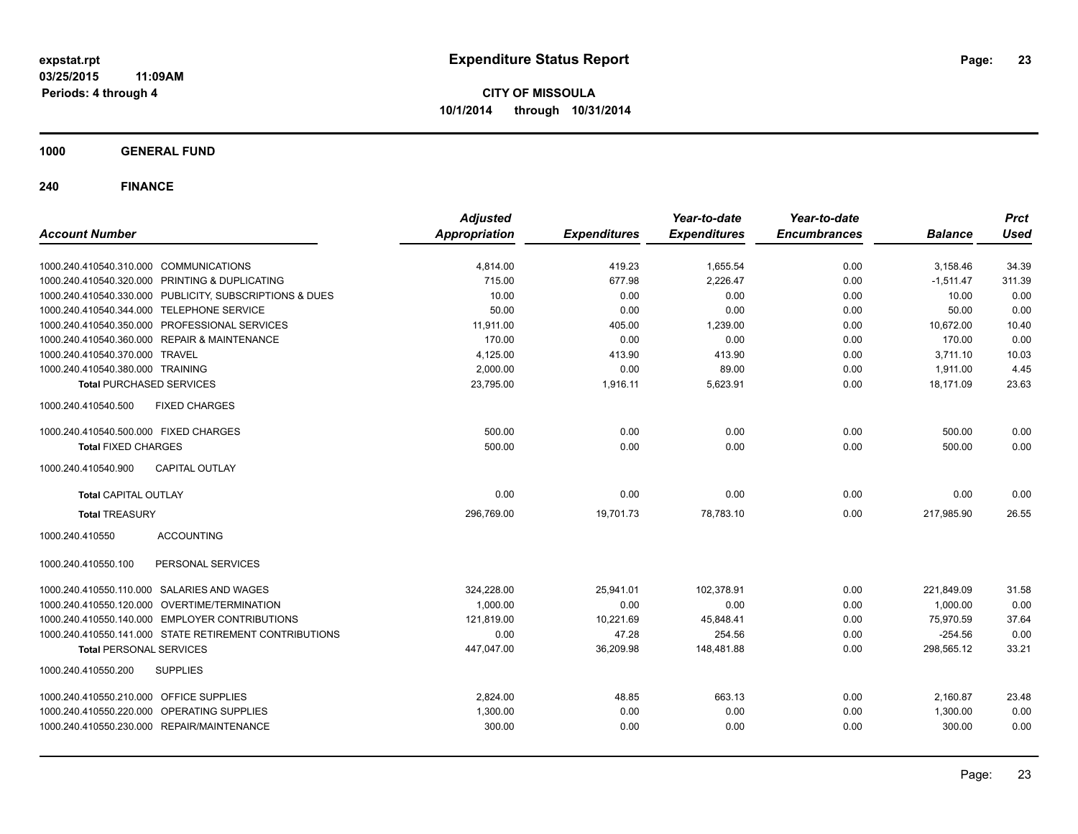**CITY OF MISSOULA 10/1/2014 through 10/31/2014**

**1000 GENERAL FUND**

| <b>Account Number</b>                                   | <b>Adjusted</b><br><b>Appropriation</b> | <b>Expenditures</b> | Year-to-date<br><b>Expenditures</b> | Year-to-date<br><b>Encumbrances</b> | <b>Balance</b> | <b>Prct</b><br><b>Used</b> |
|---------------------------------------------------------|-----------------------------------------|---------------------|-------------------------------------|-------------------------------------|----------------|----------------------------|
|                                                         |                                         |                     |                                     |                                     |                |                            |
| 1000.240.410540.310.000 COMMUNICATIONS                  | 4,814.00                                | 419.23              | 1,655.54                            | 0.00                                | 3,158.46       | 34.39                      |
| 1000.240.410540.320.000 PRINTING & DUPLICATING          | 715.00                                  | 677.98              | 2,226.47                            | 0.00                                | $-1,511.47$    | 311.39                     |
| 1000.240.410540.330.000 PUBLICITY, SUBSCRIPTIONS & DUES | 10.00                                   | 0.00                | 0.00                                | 0.00                                | 10.00          | 0.00                       |
| 1000.240.410540.344.000 TELEPHONE SERVICE               | 50.00                                   | 0.00                | 0.00                                | 0.00                                | 50.00          | 0.00                       |
| 1000.240.410540.350.000 PROFESSIONAL SERVICES           | 11,911.00                               | 405.00              | 1,239.00                            | 0.00                                | 10,672.00      | 10.40                      |
| 1000.240.410540.360.000 REPAIR & MAINTENANCE            | 170.00                                  | 0.00                | 0.00                                | 0.00                                | 170.00         | 0.00                       |
| 1000.240.410540.370.000 TRAVEL                          | 4,125.00                                | 413.90              | 413.90                              | 0.00                                | 3,711.10       | 10.03                      |
| 1000.240.410540.380.000 TRAINING                        | 2,000.00                                | 0.00                | 89.00                               | 0.00                                | 1.911.00       | 4.45                       |
| <b>Total PURCHASED SERVICES</b>                         | 23,795.00                               | 1,916.11            | 5,623.91                            | 0.00                                | 18.171.09      | 23.63                      |
| 1000.240.410540.500<br><b>FIXED CHARGES</b>             |                                         |                     |                                     |                                     |                |                            |
| 1000.240.410540.500.000 FIXED CHARGES                   | 500.00                                  | 0.00                | 0.00                                | 0.00                                | 500.00         | 0.00                       |
| <b>Total FIXED CHARGES</b>                              | 500.00                                  | 0.00                | 0.00                                | 0.00                                | 500.00         | 0.00                       |
| <b>CAPITAL OUTLAY</b><br>1000.240.410540.900            |                                         |                     |                                     |                                     |                |                            |
| <b>Total CAPITAL OUTLAY</b>                             | 0.00                                    | 0.00                | 0.00                                | 0.00                                | 0.00           | 0.00                       |
| <b>Total TREASURY</b>                                   | 296,769.00                              | 19,701.73           | 78,783.10                           | 0.00                                | 217,985.90     | 26.55                      |
| <b>ACCOUNTING</b><br>1000.240.410550                    |                                         |                     |                                     |                                     |                |                            |
| PERSONAL SERVICES<br>1000.240.410550.100                |                                         |                     |                                     |                                     |                |                            |
| 1000.240.410550.110.000 SALARIES AND WAGES              | 324,228.00                              | 25,941.01           | 102,378.91                          | 0.00                                | 221,849.09     | 31.58                      |
| 1000.240.410550.120.000 OVERTIME/TERMINATION            | 1.000.00                                | 0.00                | 0.00                                | 0.00                                | 1,000.00       | 0.00                       |
| 1000.240.410550.140.000 EMPLOYER CONTRIBUTIONS          | 121,819.00                              | 10,221.69           | 45,848.41                           | 0.00                                | 75,970.59      | 37.64                      |
| 1000.240.410550.141.000 STATE RETIREMENT CONTRIBUTIONS  | 0.00                                    | 47.28               | 254.56                              | 0.00                                | $-254.56$      | 0.00                       |
| <b>Total PERSONAL SERVICES</b>                          | 447,047.00                              | 36,209.98           | 148,481.88                          | 0.00                                | 298,565.12     | 33.21                      |
| 1000.240.410550.200<br><b>SUPPLIES</b>                  |                                         |                     |                                     |                                     |                |                            |
| 1000.240.410550.210.000 OFFICE SUPPLIES                 | 2.824.00                                | 48.85               | 663.13                              | 0.00                                | 2,160.87       | 23.48                      |
| 1000.240.410550.220.000 OPERATING SUPPLIES              | 1,300.00                                | 0.00                | 0.00                                | 0.00                                | 1,300.00       | 0.00                       |
| 1000.240.410550.230.000 REPAIR/MAINTENANCE              | 300.00                                  | 0.00                | 0.00                                | 0.00                                | 300.00         | 0.00                       |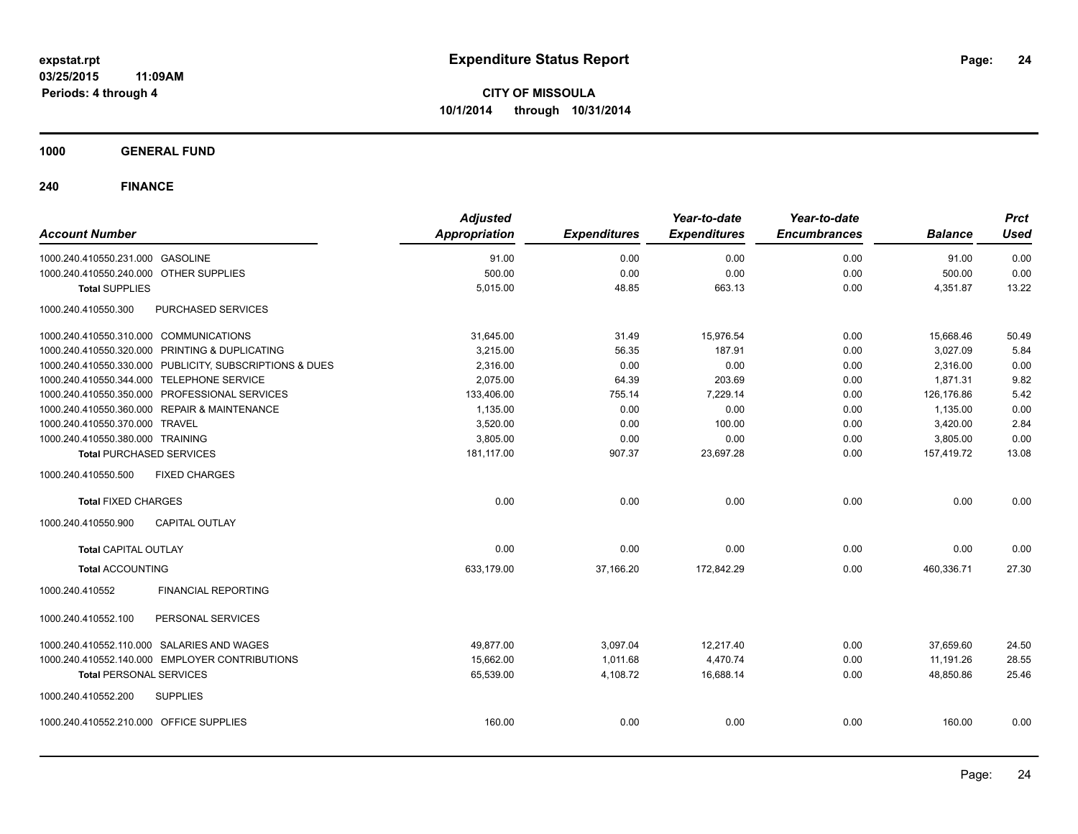**1000 GENERAL FUND**

| <b>Account Number</b>                                   | <b>Adjusted</b><br><b>Appropriation</b> | <b>Expenditures</b> | Year-to-date<br><b>Expenditures</b> | Year-to-date<br><b>Encumbrances</b> | <b>Balance</b> | <b>Prct</b><br><b>Used</b> |
|---------------------------------------------------------|-----------------------------------------|---------------------|-------------------------------------|-------------------------------------|----------------|----------------------------|
| 1000.240.410550.231.000 GASOLINE                        | 91.00                                   | 0.00                | 0.00                                | 0.00                                | 91.00          | 0.00                       |
| 1000.240.410550.240.000 OTHER SUPPLIES                  | 500.00                                  | 0.00                | 0.00                                | 0.00                                | 500.00         | 0.00                       |
| <b>Total SUPPLIES</b>                                   | 5,015.00                                | 48.85               | 663.13                              | 0.00                                | 4,351.87       | 13.22                      |
| 1000.240.410550.300<br>PURCHASED SERVICES               |                                         |                     |                                     |                                     |                |                            |
| 1000.240.410550.310.000 COMMUNICATIONS                  | 31,645.00                               | 31.49               | 15,976.54                           | 0.00                                | 15,668.46      | 50.49                      |
| 1000.240.410550.320.000 PRINTING & DUPLICATING          | 3,215.00                                | 56.35               | 187.91                              | 0.00                                | 3,027.09       | 5.84                       |
| 1000.240.410550.330.000 PUBLICITY, SUBSCRIPTIONS & DUES | 2,316.00                                | 0.00                | 0.00                                | 0.00                                | 2,316.00       | 0.00                       |
| 1000.240.410550.344.000 TELEPHONE SERVICE               | 2,075.00                                | 64.39               | 203.69                              | 0.00                                | 1,871.31       | 9.82                       |
| 1000.240.410550.350.000 PROFESSIONAL SERVICES           | 133,406.00                              | 755.14              | 7,229.14                            | 0.00                                | 126,176.86     | 5.42                       |
| 1000.240.410550.360.000 REPAIR & MAINTENANCE            | 1,135.00                                | 0.00                | 0.00                                | 0.00                                | 1,135.00       | 0.00                       |
| 1000.240.410550.370.000 TRAVEL                          | 3,520.00                                | 0.00                | 100.00                              | 0.00                                | 3,420.00       | 2.84                       |
| 1000.240.410550.380.000 TRAINING                        | 3,805.00                                | 0.00                | 0.00                                | 0.00                                | 3,805.00       | 0.00                       |
| <b>Total PURCHASED SERVICES</b>                         | 181,117.00                              | 907.37              | 23,697.28                           | 0.00                                | 157,419.72     | 13.08                      |
| 1000.240.410550.500<br><b>FIXED CHARGES</b>             |                                         |                     |                                     |                                     |                |                            |
| <b>Total FIXED CHARGES</b>                              | 0.00                                    | 0.00                | 0.00                                | 0.00                                | 0.00           | 0.00                       |
| <b>CAPITAL OUTLAY</b><br>1000.240.410550.900            |                                         |                     |                                     |                                     |                |                            |
| <b>Total CAPITAL OUTLAY</b>                             | 0.00                                    | 0.00                | 0.00                                | 0.00                                | 0.00           | 0.00                       |
| <b>Total ACCOUNTING</b>                                 | 633,179.00                              | 37,166.20           | 172,842.29                          | 0.00                                | 460,336.71     | 27.30                      |
| 1000.240.410552<br><b>FINANCIAL REPORTING</b>           |                                         |                     |                                     |                                     |                |                            |
| PERSONAL SERVICES<br>1000.240.410552.100                |                                         |                     |                                     |                                     |                |                            |
| 1000.240.410552.110.000 SALARIES AND WAGES              | 49,877.00                               | 3,097.04            | 12,217.40                           | 0.00                                | 37,659.60      | 24.50                      |
| 1000.240.410552.140.000 EMPLOYER CONTRIBUTIONS          | 15,662.00                               | 1,011.68            | 4,470.74                            | 0.00                                | 11,191.26      | 28.55                      |
| <b>Total PERSONAL SERVICES</b>                          | 65,539.00                               | 4,108.72            | 16,688.14                           | 0.00                                | 48,850.86      | 25.46                      |
| 1000.240.410552.200<br><b>SUPPLIES</b>                  |                                         |                     |                                     |                                     |                |                            |
| 1000.240.410552.210.000 OFFICE SUPPLIES                 | 160.00                                  | 0.00                | 0.00                                | 0.00                                | 160.00         | 0.00                       |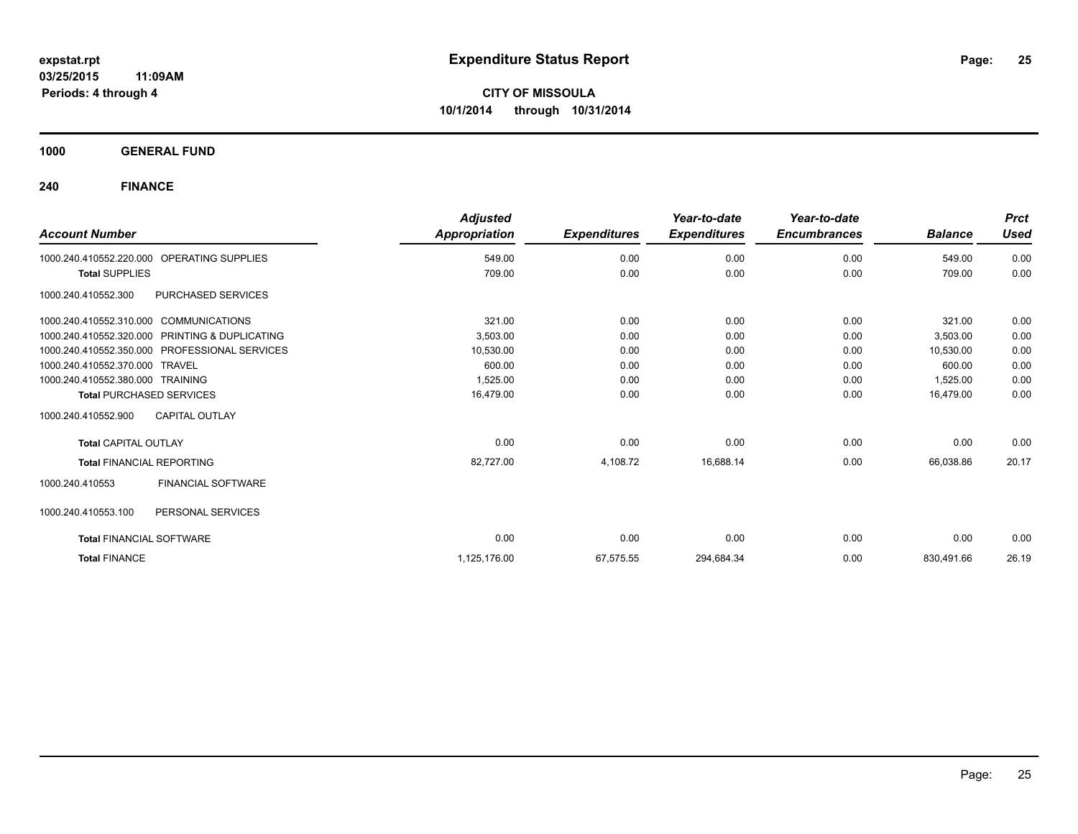**1000 GENERAL FUND**

| <b>Account Number</b>                  |                                               | <b>Adjusted</b><br>Appropriation | <b>Expenditures</b> | Year-to-date<br><b>Expenditures</b> | Year-to-date<br><b>Encumbrances</b> | <b>Balance</b> | <b>Prct</b><br><b>Used</b> |
|----------------------------------------|-----------------------------------------------|----------------------------------|---------------------|-------------------------------------|-------------------------------------|----------------|----------------------------|
| 1000.240.410552.220.000                | <b>OPERATING SUPPLIES</b>                     | 549.00                           | 0.00                | 0.00                                | 0.00                                | 549.00         | 0.00                       |
| <b>Total SUPPLIES</b>                  |                                               | 709.00                           | 0.00                | 0.00                                | 0.00                                | 709.00         | 0.00                       |
| 1000.240.410552.300                    | PURCHASED SERVICES                            |                                  |                     |                                     |                                     |                |                            |
| 1000.240.410552.310.000 COMMUNICATIONS |                                               | 321.00                           | 0.00                | 0.00                                | 0.00                                | 321.00         | 0.00                       |
| 1000.240.410552.320.000                | PRINTING & DUPLICATING                        | 3,503.00                         | 0.00                | 0.00                                | 0.00                                | 3,503.00       | 0.00                       |
|                                        | 1000.240.410552.350.000 PROFESSIONAL SERVICES | 10,530.00                        | 0.00                | 0.00                                | 0.00                                | 10,530.00      | 0.00                       |
| 1000.240.410552.370.000 TRAVEL         |                                               | 600.00                           | 0.00                | 0.00                                | 0.00                                | 600.00         | 0.00                       |
| 1000.240.410552.380.000 TRAINING       |                                               | 1,525.00                         | 0.00                | 0.00                                | 0.00                                | 1,525.00       | 0.00                       |
| <b>Total PURCHASED SERVICES</b>        |                                               | 16,479.00                        | 0.00                | 0.00                                | 0.00                                | 16.479.00      | 0.00                       |
| 1000.240.410552.900                    | <b>CAPITAL OUTLAY</b>                         |                                  |                     |                                     |                                     |                |                            |
| <b>Total CAPITAL OUTLAY</b>            |                                               | 0.00                             | 0.00                | 0.00                                | 0.00                                | 0.00           | 0.00                       |
| <b>Total FINANCIAL REPORTING</b>       |                                               | 82,727.00                        | 4,108.72            | 16,688.14                           | 0.00                                | 66,038.86      | 20.17                      |
| 1000.240.410553                        | FINANCIAL SOFTWARE                            |                                  |                     |                                     |                                     |                |                            |
| 1000.240.410553.100                    | PERSONAL SERVICES                             |                                  |                     |                                     |                                     |                |                            |
| <b>Total FINANCIAL SOFTWARE</b>        |                                               | 0.00                             | 0.00                | 0.00                                | 0.00                                | 0.00           | 0.00                       |
| <b>Total FINANCE</b>                   |                                               | 1,125,176.00                     | 67,575.55           | 294,684.34                          | 0.00                                | 830,491.66     | 26.19                      |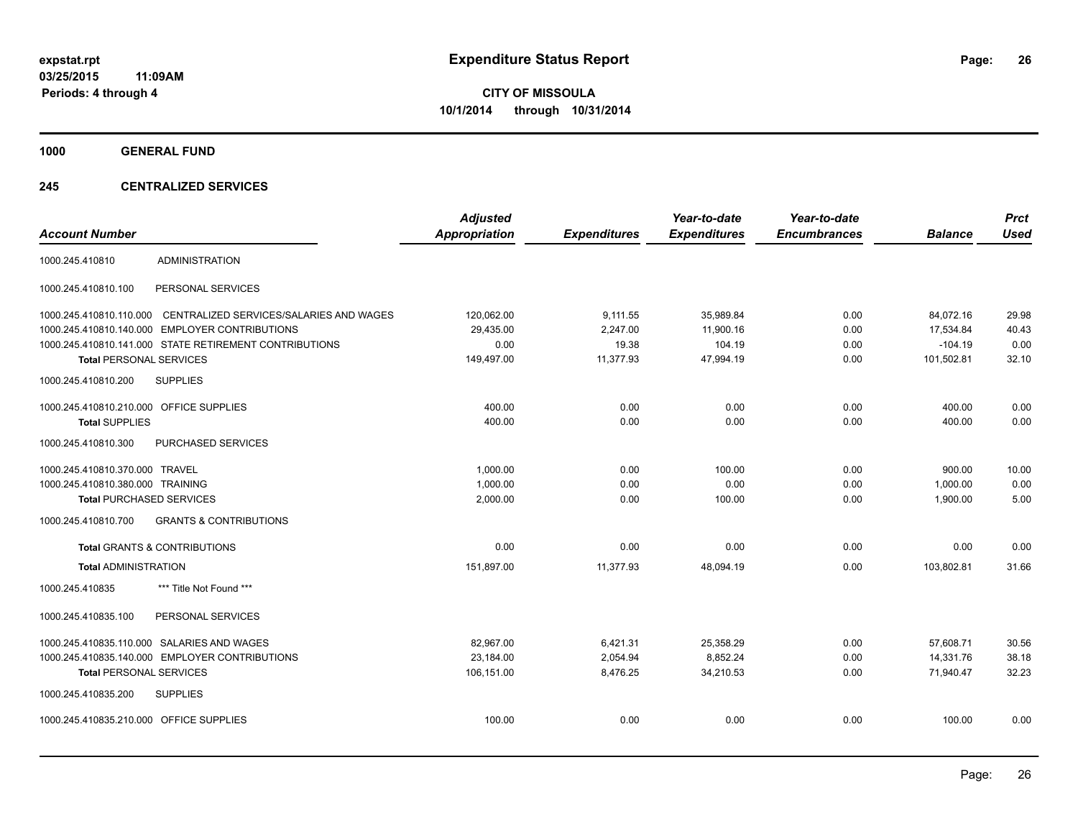**1000 GENERAL FUND**

#### **245 CENTRALIZED SERVICES**

| <b>Account Number</b>                   |                                                        | <b>Adjusted</b><br>Appropriation | <b>Expenditures</b> | Year-to-date<br><b>Expenditures</b> | Year-to-date<br><b>Encumbrances</b> | <b>Balance</b> | <b>Prct</b><br><b>Used</b> |
|-----------------------------------------|--------------------------------------------------------|----------------------------------|---------------------|-------------------------------------|-------------------------------------|----------------|----------------------------|
| 1000.245.410810                         | <b>ADMINISTRATION</b>                                  |                                  |                     |                                     |                                     |                |                            |
| 1000.245.410810.100                     | PERSONAL SERVICES                                      |                                  |                     |                                     |                                     |                |                            |
| 1000.245.410810.110.000                 | CENTRALIZED SERVICES/SALARIES AND WAGES                | 120,062.00                       | 9,111.55            | 35,989.84                           | 0.00                                | 84,072.16      | 29.98                      |
| 1000.245.410810.140.000                 | <b>EMPLOYER CONTRIBUTIONS</b>                          | 29,435.00                        | 2,247.00            | 11,900.16                           | 0.00                                | 17,534.84      | 40.43                      |
|                                         | 1000.245.410810.141.000 STATE RETIREMENT CONTRIBUTIONS | 0.00                             | 19.38               | 104.19                              | 0.00                                | $-104.19$      | 0.00                       |
| <b>Total PERSONAL SERVICES</b>          |                                                        | 149,497.00                       | 11,377.93           | 47,994.19                           | 0.00                                | 101,502.81     | 32.10                      |
| 1000.245.410810.200                     | <b>SUPPLIES</b>                                        |                                  |                     |                                     |                                     |                |                            |
| 1000.245.410810.210.000 OFFICE SUPPLIES |                                                        | 400.00                           | 0.00                | 0.00                                | 0.00                                | 400.00         | 0.00                       |
| <b>Total SUPPLIES</b>                   |                                                        | 400.00                           | 0.00                | 0.00                                | 0.00                                | 400.00         | 0.00                       |
| 1000.245.410810.300                     | PURCHASED SERVICES                                     |                                  |                     |                                     |                                     |                |                            |
| 1000.245.410810.370.000 TRAVEL          |                                                        | 1,000.00                         | 0.00                | 100.00                              | 0.00                                | 900.00         | 10.00                      |
| 1000.245.410810.380.000 TRAINING        |                                                        | 1,000.00                         | 0.00                | 0.00                                | 0.00                                | 1,000.00       | 0.00                       |
| <b>Total PURCHASED SERVICES</b>         |                                                        | 2,000.00                         | 0.00                | 100.00                              | 0.00                                | 1,900.00       | 5.00                       |
| 1000.245.410810.700                     | <b>GRANTS &amp; CONTRIBUTIONS</b>                      |                                  |                     |                                     |                                     |                |                            |
|                                         | <b>Total GRANTS &amp; CONTRIBUTIONS</b>                | 0.00                             | 0.00                | 0.00                                | 0.00                                | 0.00           | 0.00                       |
| <b>Total ADMINISTRATION</b>             |                                                        | 151.897.00                       | 11.377.93           | 48,094.19                           | 0.00                                | 103.802.81     | 31.66                      |
| 1000.245.410835                         | *** Title Not Found ***                                |                                  |                     |                                     |                                     |                |                            |
| 1000.245.410835.100                     | PERSONAL SERVICES                                      |                                  |                     |                                     |                                     |                |                            |
|                                         | 1000.245.410835.110.000 SALARIES AND WAGES             | 82,967.00                        | 6,421.31            | 25,358.29                           | 0.00                                | 57,608.71      | 30.56                      |
|                                         | 1000.245.410835.140.000 EMPLOYER CONTRIBUTIONS         | 23,184.00                        | 2,054.94            | 8,852.24                            | 0.00                                | 14,331.76      | 38.18                      |
| <b>Total PERSONAL SERVICES</b>          |                                                        | 106,151.00                       | 8,476.25            | 34,210.53                           | 0.00                                | 71,940.47      | 32.23                      |
| 1000.245.410835.200                     | <b>SUPPLIES</b>                                        |                                  |                     |                                     |                                     |                |                            |
| 1000.245.410835.210.000 OFFICE SUPPLIES |                                                        | 100.00                           | 0.00                | 0.00                                | 0.00                                | 100.00         | 0.00                       |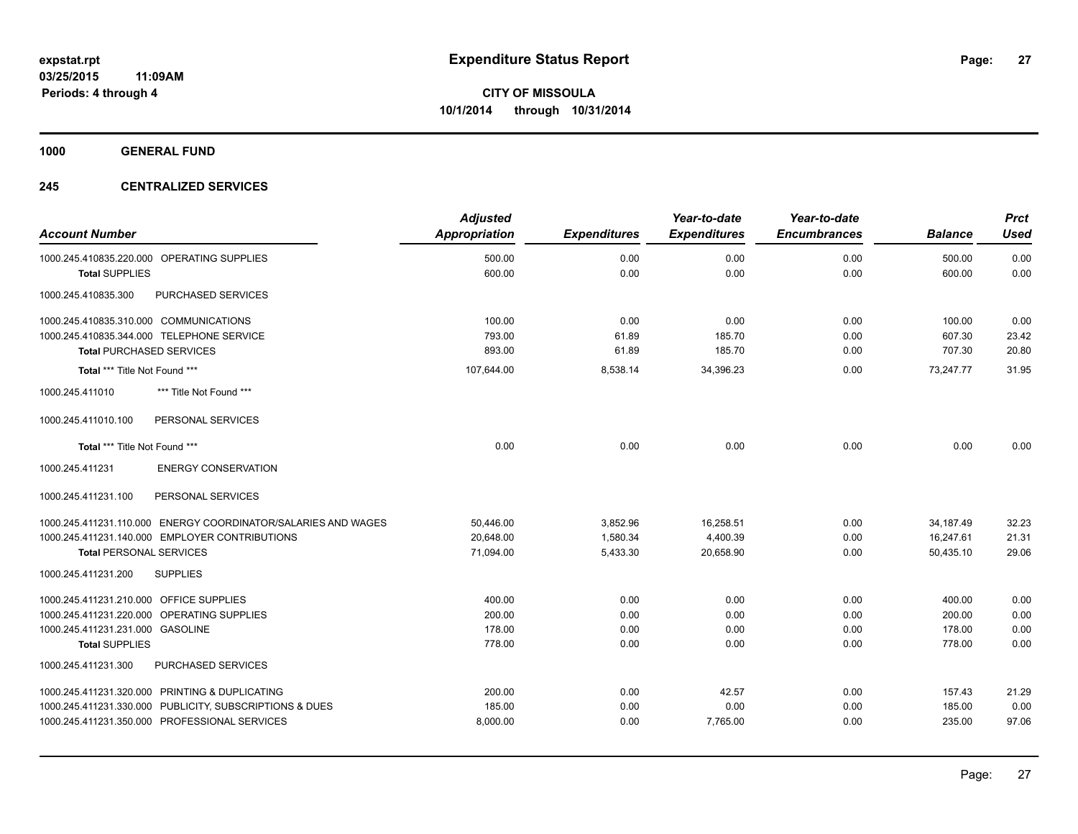**1000 GENERAL FUND**

#### **245 CENTRALIZED SERVICES**

| <b>Account Number</b>                                         | <b>Adjusted</b><br><b>Appropriation</b> | <b>Expenditures</b> | Year-to-date<br><b>Expenditures</b> | Year-to-date<br><b>Encumbrances</b> | <b>Balance</b> | <b>Prct</b><br><b>Used</b> |
|---------------------------------------------------------------|-----------------------------------------|---------------------|-------------------------------------|-------------------------------------|----------------|----------------------------|
| 1000.245.410835.220.000 OPERATING SUPPLIES                    | 500.00                                  | 0.00                | 0.00                                | 0.00                                | 500.00         | 0.00                       |
| <b>Total SUPPLIES</b>                                         | 600.00                                  | 0.00                | 0.00                                | 0.00                                | 600.00         | 0.00                       |
| 1000.245.410835.300<br>PURCHASED SERVICES                     |                                         |                     |                                     |                                     |                |                            |
| 1000.245.410835.310.000 COMMUNICATIONS                        | 100.00                                  | 0.00                | 0.00                                | 0.00                                | 100.00         | 0.00                       |
| 1000.245.410835.344.000 TELEPHONE SERVICE                     | 793.00                                  | 61.89               | 185.70                              | 0.00                                | 607.30         | 23.42                      |
| <b>Total PURCHASED SERVICES</b>                               | 893.00                                  | 61.89               | 185.70                              | 0.00                                | 707.30         | 20.80                      |
| Total *** Title Not Found ***                                 | 107,644.00                              | 8,538.14            | 34,396.23                           | 0.00                                | 73.247.77      | 31.95                      |
| 1000.245.411010<br>*** Title Not Found ***                    |                                         |                     |                                     |                                     |                |                            |
| PERSONAL SERVICES<br>1000.245.411010.100                      |                                         |                     |                                     |                                     |                |                            |
| Total *** Title Not Found ***                                 | 0.00                                    | 0.00                | 0.00                                | 0.00                                | 0.00           | 0.00                       |
| 1000.245.411231<br><b>ENERGY CONSERVATION</b>                 |                                         |                     |                                     |                                     |                |                            |
| 1000.245.411231.100<br>PERSONAL SERVICES                      |                                         |                     |                                     |                                     |                |                            |
| 1000.245.411231.110.000 ENERGY COORDINATOR/SALARIES AND WAGES | 50,446.00                               | 3,852.96            | 16,258.51                           | 0.00                                | 34,187.49      | 32.23                      |
| 1000.245.411231.140.000 EMPLOYER CONTRIBUTIONS                | 20,648.00                               | 1,580.34            | 4,400.39                            | 0.00                                | 16,247.61      | 21.31                      |
| <b>Total PERSONAL SERVICES</b>                                | 71,094.00                               | 5,433.30            | 20,658.90                           | 0.00                                | 50,435.10      | 29.06                      |
| 1000.245.411231.200<br><b>SUPPLIES</b>                        |                                         |                     |                                     |                                     |                |                            |
| 1000.245.411231.210.000 OFFICE SUPPLIES                       | 400.00                                  | 0.00                | 0.00                                | 0.00                                | 400.00         | 0.00                       |
| 1000.245.411231.220.000 OPERATING SUPPLIES                    | 200.00                                  | 0.00                | 0.00                                | 0.00                                | 200.00         | 0.00                       |
| 1000.245.411231.231.000 GASOLINE                              | 178.00                                  | 0.00                | 0.00                                | 0.00                                | 178.00         | 0.00                       |
| <b>Total SUPPLIES</b>                                         | 778.00                                  | 0.00                | 0.00                                | 0.00                                | 778.00         | 0.00                       |
| 1000.245.411231.300<br>PURCHASED SERVICES                     |                                         |                     |                                     |                                     |                |                            |
| 1000.245.411231.320.000 PRINTING & DUPLICATING                | 200.00                                  | 0.00                | 42.57                               | 0.00                                | 157.43         | 21.29                      |
| 1000.245.411231.330.000 PUBLICITY, SUBSCRIPTIONS & DUES       | 185.00                                  | 0.00                | 0.00                                | 0.00                                | 185.00         | 0.00                       |
| 1000.245.411231.350.000 PROFESSIONAL SERVICES                 | 8,000.00                                | 0.00                | 7,765.00                            | 0.00                                | 235.00         | 97.06                      |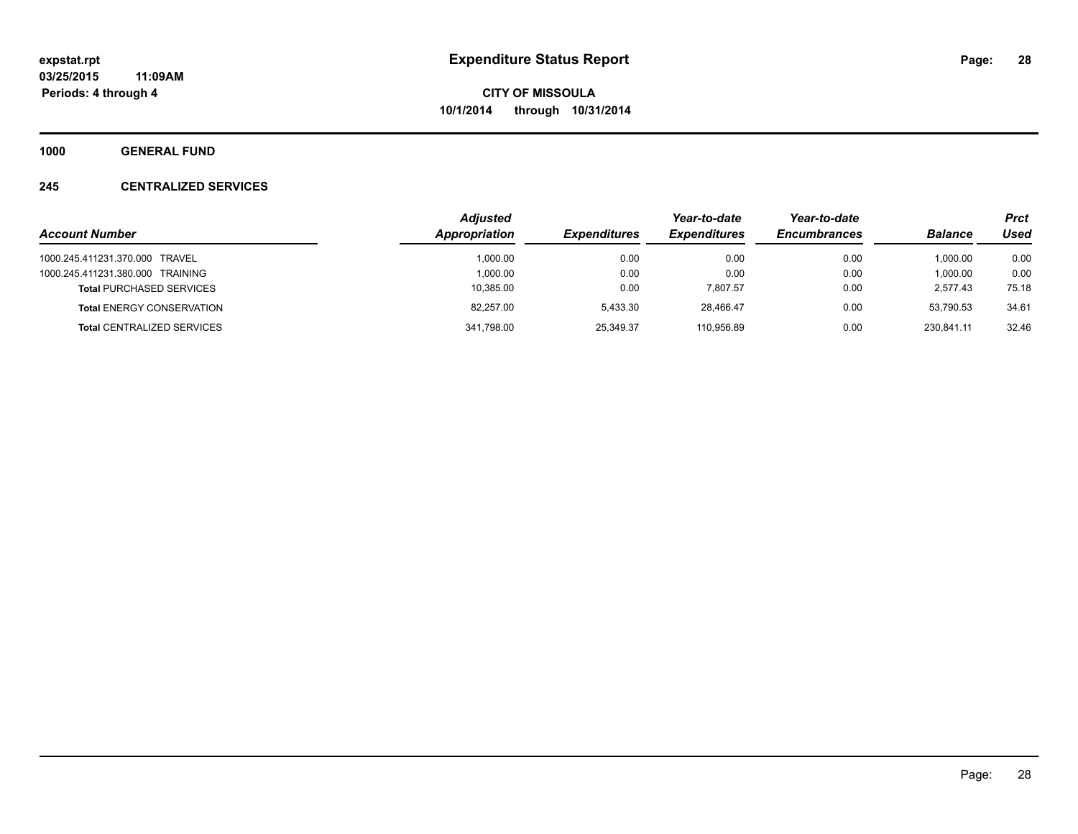**1000 GENERAL FUND**

#### **245 CENTRALIZED SERVICES**

|                                   | <b>Adjusted</b> |                     | Year-to-date        | Year-to-date        |                | <b>Prct</b> |
|-----------------------------------|-----------------|---------------------|---------------------|---------------------|----------------|-------------|
| <b>Account Number</b>             | Appropriation   | <b>Expenditures</b> | <b>Expenditures</b> | <b>Encumbrances</b> | <b>Balance</b> | Used        |
| 1000.245.411231.370.000 TRAVEL    | 1.000.00        | 0.00                | 0.00                | 0.00                | 1.000.00       | 0.00        |
| 1000.245.411231.380.000 TRAINING  | 1.000.00        | 0.00                | 0.00                | 0.00                | 1,000.00       | 0.00        |
| <b>Total PURCHASED SERVICES</b>   | 10,385.00       | 0.00                | 7.807.57            | 0.00                | 2.577.43       | 75.18       |
| <b>Total ENERGY CONSERVATION</b>  | 82.257.00       | 5.433.30            | 28.466.47           | 0.00                | 53.790.53      | 34.61       |
| <b>Total CENTRALIZED SERVICES</b> | 341,798.00      | 25,349.37           | 110.956.89          | 0.00                | 230.841.11     | 32.46       |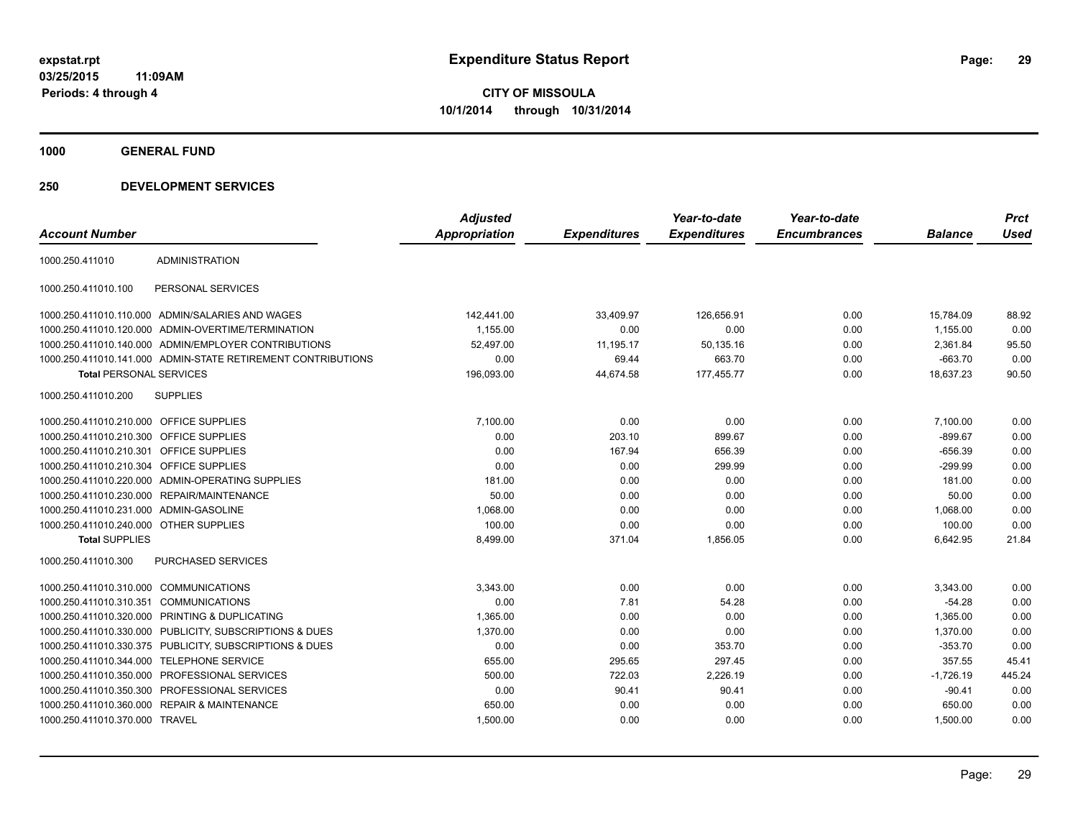**1000 GENERAL FUND**

|                                         |                                                              | <b>Adjusted</b>      |                     | Year-to-date        | Year-to-date        |                | <b>Prct</b> |
|-----------------------------------------|--------------------------------------------------------------|----------------------|---------------------|---------------------|---------------------|----------------|-------------|
| <b>Account Number</b>                   |                                                              | <b>Appropriation</b> | <b>Expenditures</b> | <b>Expenditures</b> | <b>Encumbrances</b> | <b>Balance</b> | <b>Used</b> |
| 1000.250.411010                         | <b>ADMINISTRATION</b>                                        |                      |                     |                     |                     |                |             |
| 1000.250.411010.100                     | PERSONAL SERVICES                                            |                      |                     |                     |                     |                |             |
|                                         | 1000.250.411010.110.000 ADMIN/SALARIES AND WAGES             | 142,441.00           | 33,409.97           | 126,656.91          | 0.00                | 15,784.09      | 88.92       |
|                                         | 1000.250.411010.120.000 ADMIN-OVERTIME/TERMINATION           | 1,155.00             | 0.00                | 0.00                | 0.00                | 1,155.00       | 0.00        |
|                                         | 1000.250.411010.140.000 ADMIN/EMPLOYER CONTRIBUTIONS         | 52.497.00            | 11,195.17           | 50,135.16           | 0.00                | 2.361.84       | 95.50       |
|                                         | 1000.250.411010.141.000 ADMIN-STATE RETIREMENT CONTRIBUTIONS | 0.00                 | 69.44               | 663.70              | 0.00                | $-663.70$      | 0.00        |
| <b>Total PERSONAL SERVICES</b>          |                                                              | 196,093.00           | 44,674.58           | 177,455.77          | 0.00                | 18,637.23      | 90.50       |
| 1000.250.411010.200                     | <b>SUPPLIES</b>                                              |                      |                     |                     |                     |                |             |
| 1000.250.411010.210.000 OFFICE SUPPLIES |                                                              | 7,100.00             | 0.00                | 0.00                | 0.00                | 7,100.00       | 0.00        |
| 1000.250.411010.210.300 OFFICE SUPPLIES |                                                              | 0.00                 | 203.10              | 899.67              | 0.00                | $-899.67$      | 0.00        |
| 1000.250.411010.210.301 OFFICE SUPPLIES |                                                              | 0.00                 | 167.94              | 656.39              | 0.00                | $-656.39$      | 0.00        |
| 1000.250.411010.210.304                 | OFFICE SUPPLIES                                              | 0.00                 | 0.00                | 299.99              | 0.00                | $-299.99$      | 0.00        |
|                                         | 1000.250.411010.220.000 ADMIN-OPERATING SUPPLIES             | 181.00               | 0.00                | 0.00                | 0.00                | 181.00         | 0.00        |
|                                         | 1000.250.411010.230.000 REPAIR/MAINTENANCE                   | 50.00                | 0.00                | 0.00                | 0.00                | 50.00          | 0.00        |
| 1000.250.411010.231.000 ADMIN-GASOLINE  |                                                              | 1,068.00             | 0.00                | 0.00                | 0.00                | 1,068.00       | 0.00        |
| 1000.250.411010.240.000 OTHER SUPPLIES  |                                                              | 100.00               | 0.00                | 0.00                | 0.00                | 100.00         | 0.00        |
| <b>Total SUPPLIES</b>                   |                                                              | 8,499.00             | 371.04              | 1,856.05            | 0.00                | 6,642.95       | 21.84       |
| 1000.250.411010.300                     | <b>PURCHASED SERVICES</b>                                    |                      |                     |                     |                     |                |             |
| 1000.250.411010.310.000 COMMUNICATIONS  |                                                              | 3,343.00             | 0.00                | 0.00                | 0.00                | 3,343.00       | 0.00        |
| 1000.250.411010.310.351                 | <b>COMMUNICATIONS</b>                                        | 0.00                 | 7.81                | 54.28               | 0.00                | $-54.28$       | 0.00        |
| 1000.250.411010.320.000                 | PRINTING & DUPLICATING                                       | 1,365.00             | 0.00                | 0.00                | 0.00                | 1,365.00       | 0.00        |
|                                         | 1000.250.411010.330.000 PUBLICITY, SUBSCRIPTIONS & DUES      | 1,370.00             | 0.00                | 0.00                | 0.00                | 1,370.00       | 0.00        |
|                                         | 1000.250.411010.330.375 PUBLICITY, SUBSCRIPTIONS & DUES      | 0.00                 | 0.00                | 353.70              | 0.00                | $-353.70$      | 0.00        |
| 1000.250.411010.344.000                 | <b>TELEPHONE SERVICE</b>                                     | 655.00               | 295.65              | 297.45              | 0.00                | 357.55         | 45.41       |
|                                         | 1000.250.411010.350.000 PROFESSIONAL SERVICES                | 500.00               | 722.03              | 2,226.19            | 0.00                | $-1,726.19$    | 445.24      |
| 1000.250.411010.350.300                 | PROFESSIONAL SERVICES                                        | 0.00                 | 90.41               | 90.41               | 0.00                | $-90.41$       | 0.00        |
|                                         | 1000.250.411010.360.000 REPAIR & MAINTENANCE                 | 650.00               | 0.00                | 0.00                | 0.00                | 650.00         | 0.00        |
| 1000.250.411010.370.000 TRAVEL          |                                                              | 1,500.00             | 0.00                | 0.00                | 0.00                | 1,500.00       | 0.00        |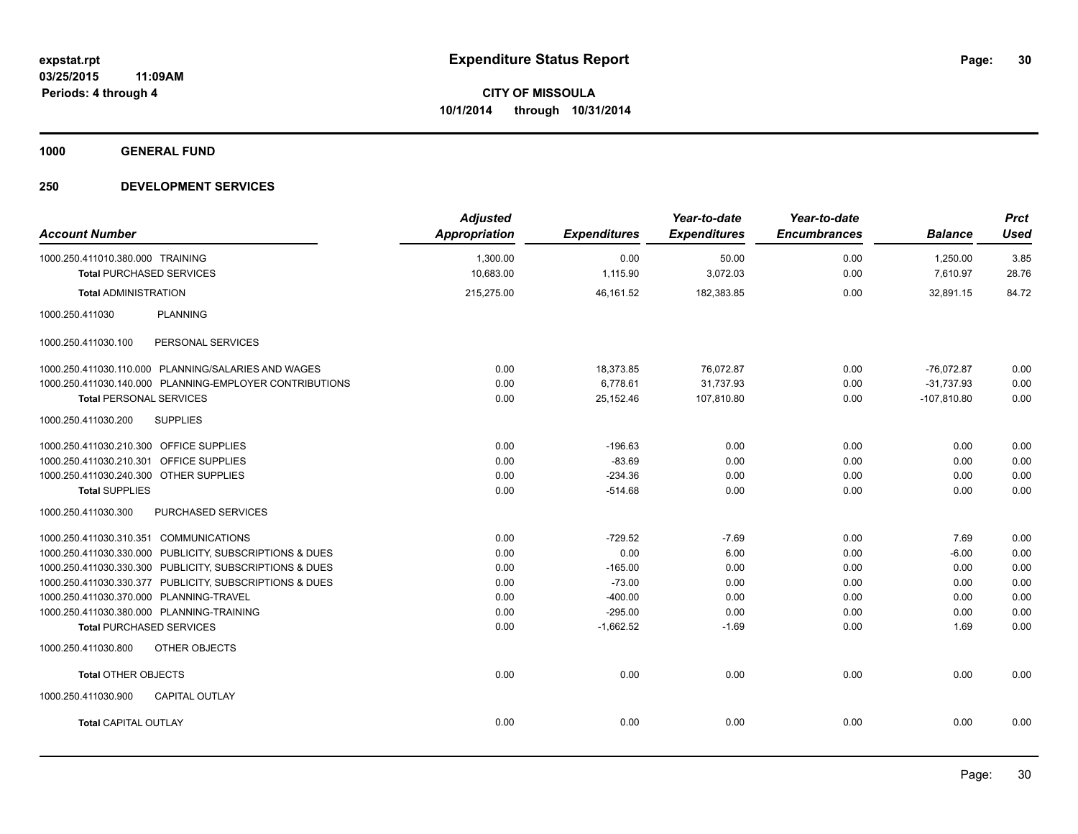**1000 GENERAL FUND**

| <b>Account Number</b>                   |                                                         | <b>Adjusted</b><br><b>Appropriation</b> | <b>Expenditures</b> | Year-to-date<br><b>Expenditures</b> | Year-to-date<br><b>Encumbrances</b> | <b>Balance</b>       | <b>Prct</b><br><b>Used</b> |
|-----------------------------------------|---------------------------------------------------------|-----------------------------------------|---------------------|-------------------------------------|-------------------------------------|----------------------|----------------------------|
| 1000.250.411010.380.000 TRAINING        | <b>Total PURCHASED SERVICES</b>                         | 1,300.00<br>10,683.00                   | 0.00<br>1,115.90    | 50.00<br>3,072.03                   | 0.00<br>0.00                        | 1,250.00<br>7,610.97 | 3.85<br>28.76              |
|                                         |                                                         |                                         |                     |                                     |                                     |                      |                            |
| <b>Total ADMINISTRATION</b>             |                                                         | 215,275.00                              | 46,161.52           | 182,383.85                          | 0.00                                | 32,891.15            | 84.72                      |
| 1000.250.411030                         | <b>PLANNING</b>                                         |                                         |                     |                                     |                                     |                      |                            |
| 1000.250.411030.100                     | PERSONAL SERVICES                                       |                                         |                     |                                     |                                     |                      |                            |
|                                         | 1000.250.411030.110.000 PLANNING/SALARIES AND WAGES     | 0.00                                    | 18,373.85           | 76,072.87                           | 0.00                                | $-76,072.87$         | 0.00                       |
|                                         | 1000.250.411030.140.000 PLANNING-EMPLOYER CONTRIBUTIONS | 0.00                                    | 6,778.61            | 31,737.93                           | 0.00                                | $-31,737.93$         | 0.00                       |
| <b>Total PERSONAL SERVICES</b>          |                                                         | 0.00                                    | 25,152.46           | 107,810.80                          | 0.00                                | $-107,810.80$        | 0.00                       |
| 1000.250.411030.200                     | <b>SUPPLIES</b>                                         |                                         |                     |                                     |                                     |                      |                            |
| 1000.250.411030.210.300 OFFICE SUPPLIES |                                                         | 0.00                                    | $-196.63$           | 0.00                                | 0.00                                | 0.00                 | 0.00                       |
| 1000.250.411030.210.301 OFFICE SUPPLIES |                                                         | 0.00                                    | $-83.69$            | 0.00                                | 0.00                                | 0.00                 | 0.00                       |
| 1000.250.411030.240.300 OTHER SUPPLIES  |                                                         | 0.00                                    | $-234.36$           | 0.00                                | 0.00                                | 0.00                 | 0.00                       |
| <b>Total SUPPLIES</b>                   |                                                         | 0.00                                    | $-514.68$           | 0.00                                | 0.00                                | 0.00                 | 0.00                       |
| 1000.250.411030.300                     | <b>PURCHASED SERVICES</b>                               |                                         |                     |                                     |                                     |                      |                            |
| 1000.250.411030.310.351 COMMUNICATIONS  |                                                         | 0.00                                    | $-729.52$           | $-7.69$                             | 0.00                                | 7.69                 | 0.00                       |
|                                         | 1000.250.411030.330.000 PUBLICITY, SUBSCRIPTIONS & DUES | 0.00                                    | 0.00                | 6.00                                | 0.00                                | $-6.00$              | 0.00                       |
|                                         | 1000.250.411030.330.300 PUBLICITY, SUBSCRIPTIONS & DUES | 0.00                                    | $-165.00$           | 0.00                                | 0.00                                | 0.00                 | 0.00                       |
|                                         | 1000.250.411030.330.377 PUBLICITY, SUBSCRIPTIONS & DUES | 0.00                                    | $-73.00$            | 0.00                                | 0.00                                | 0.00                 | 0.00                       |
| 1000.250.411030.370.000 PLANNING-TRAVEL |                                                         | 0.00                                    | $-400.00$           | 0.00                                | 0.00                                | 0.00                 | 0.00                       |
|                                         | 1000.250.411030.380.000 PLANNING-TRAINING               | 0.00                                    | $-295.00$           | 0.00                                | 0.00                                | 0.00                 | 0.00                       |
|                                         | <b>Total PURCHASED SERVICES</b>                         | 0.00                                    | $-1,662.52$         | $-1.69$                             | 0.00                                | 1.69                 | 0.00                       |
| 1000.250.411030.800                     | OTHER OBJECTS                                           |                                         |                     |                                     |                                     |                      |                            |
| <b>Total OTHER OBJECTS</b>              |                                                         | 0.00                                    | 0.00                | 0.00                                | 0.00                                | 0.00                 | 0.00                       |
| 1000.250.411030.900                     | <b>CAPITAL OUTLAY</b>                                   |                                         |                     |                                     |                                     |                      |                            |
| <b>Total CAPITAL OUTLAY</b>             |                                                         | 0.00                                    | 0.00                | 0.00                                | 0.00                                | 0.00                 | 0.00                       |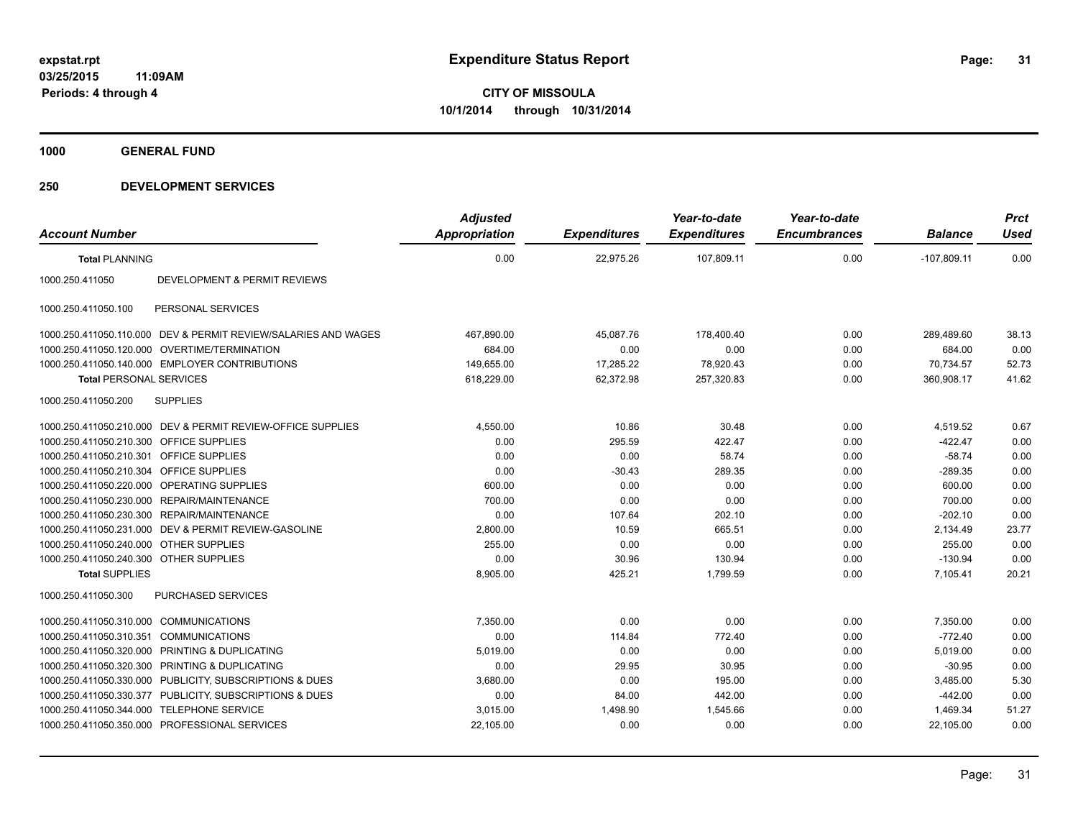**1000 GENERAL FUND**

|                                         |                                                                | <b>Adjusted</b> |                     | Year-to-date        | Year-to-date        |                | <b>Prct</b> |
|-----------------------------------------|----------------------------------------------------------------|-----------------|---------------------|---------------------|---------------------|----------------|-------------|
| <b>Account Number</b>                   |                                                                | Appropriation   | <b>Expenditures</b> | <b>Expenditures</b> | <b>Encumbrances</b> | <b>Balance</b> | <b>Used</b> |
| <b>Total PLANNING</b>                   |                                                                | 0.00            | 22,975.26           | 107,809.11          | 0.00                | $-107,809.11$  | 0.00        |
| 1000.250.411050                         | DEVELOPMENT & PERMIT REVIEWS                                   |                 |                     |                     |                     |                |             |
| 1000.250.411050.100                     | PERSONAL SERVICES                                              |                 |                     |                     |                     |                |             |
|                                         | 1000.250.411050.110.000 DEV & PERMIT REVIEW/SALARIES AND WAGES | 467,890.00      | 45,087.76           | 178.400.40          | 0.00                | 289.489.60     | 38.13       |
|                                         | 1000.250.411050.120.000 OVERTIME/TERMINATION                   | 684.00          | 0.00                | 0.00                | 0.00                | 684.00         | 0.00        |
|                                         | 1000.250.411050.140.000 EMPLOYER CONTRIBUTIONS                 | 149,655.00      | 17,285.22           | 78,920.43           | 0.00                | 70,734.57      | 52.73       |
| <b>Total PERSONAL SERVICES</b>          |                                                                | 618,229.00      | 62,372.98           | 257,320.83          | 0.00                | 360,908.17     | 41.62       |
| 1000.250.411050.200                     | <b>SUPPLIES</b>                                                |                 |                     |                     |                     |                |             |
|                                         | 1000.250.411050.210.000 DEV & PERMIT REVIEW-OFFICE SUPPLIES    | 4,550.00        | 10.86               | 30.48               | 0.00                | 4,519.52       | 0.67        |
| 1000.250.411050.210.300 OFFICE SUPPLIES |                                                                | 0.00            | 295.59              | 422.47              | 0.00                | $-422.47$      | 0.00        |
| 1000.250.411050.210.301 OFFICE SUPPLIES |                                                                | 0.00            | 0.00                | 58.74               | 0.00                | $-58.74$       | 0.00        |
| 1000.250.411050.210.304 OFFICE SUPPLIES |                                                                | 0.00            | $-30.43$            | 289.35              | 0.00                | $-289.35$      | 0.00        |
|                                         | 1000.250.411050.220.000 OPERATING SUPPLIES                     | 600.00          | 0.00                | 0.00                | 0.00                | 600.00         | 0.00        |
|                                         | 1000.250.411050.230.000 REPAIR/MAINTENANCE                     | 700.00          | 0.00                | 0.00                | 0.00                | 700.00         | 0.00        |
|                                         | 1000.250.411050.230.300 REPAIR/MAINTENANCE                     | 0.00            | 107.64              | 202.10              | 0.00                | $-202.10$      | 0.00        |
|                                         | 1000.250.411050.231.000 DEV & PERMIT REVIEW-GASOLINE           | 2,800.00        | 10.59               | 665.51              | 0.00                | 2,134.49       | 23.77       |
| 1000.250.411050.240.000 OTHER SUPPLIES  |                                                                | 255.00          | 0.00                | 0.00                | 0.00                | 255.00         | 0.00        |
| 1000.250.411050.240.300 OTHER SUPPLIES  |                                                                | 0.00            | 30.96               | 130.94              | 0.00                | $-130.94$      | 0.00        |
| <b>Total SUPPLIES</b>                   |                                                                | 8,905.00        | 425.21              | 1.799.59            | 0.00                | 7.105.41       | 20.21       |
| 1000.250.411050.300                     | <b>PURCHASED SERVICES</b>                                      |                 |                     |                     |                     |                |             |
| 1000.250.411050.310.000 COMMUNICATIONS  |                                                                | 7.350.00        | 0.00                | 0.00                | 0.00                | 7,350.00       | 0.00        |
| 1000.250.411050.310.351                 | <b>COMMUNICATIONS</b>                                          | 0.00            | 114.84              | 772.40              | 0.00                | $-772.40$      | 0.00        |
|                                         | 1000.250.411050.320.000 PRINTING & DUPLICATING                 | 5,019.00        | 0.00                | 0.00                | 0.00                | 5,019.00       | 0.00        |
|                                         | 1000.250.411050.320.300 PRINTING & DUPLICATING                 | 0.00            | 29.95               | 30.95               | 0.00                | $-30.95$       | 0.00        |
|                                         | 1000.250.411050.330.000 PUBLICITY, SUBSCRIPTIONS & DUES        | 3,680.00        | 0.00                | 195.00              | 0.00                | 3,485.00       | 5.30        |
|                                         | 1000.250.411050.330.377 PUBLICITY, SUBSCRIPTIONS & DUES        | 0.00            | 84.00               | 442.00              | 0.00                | $-442.00$      | 0.00        |
| 1000.250.411050.344.000                 | <b>TELEPHONE SERVICE</b>                                       | 3,015.00        | 1,498.90            | 1,545.66            | 0.00                | 1,469.34       | 51.27       |
|                                         | 1000.250.411050.350.000 PROFESSIONAL SERVICES                  | 22,105.00       | 0.00                | 0.00                | 0.00                | 22,105.00      | 0.00        |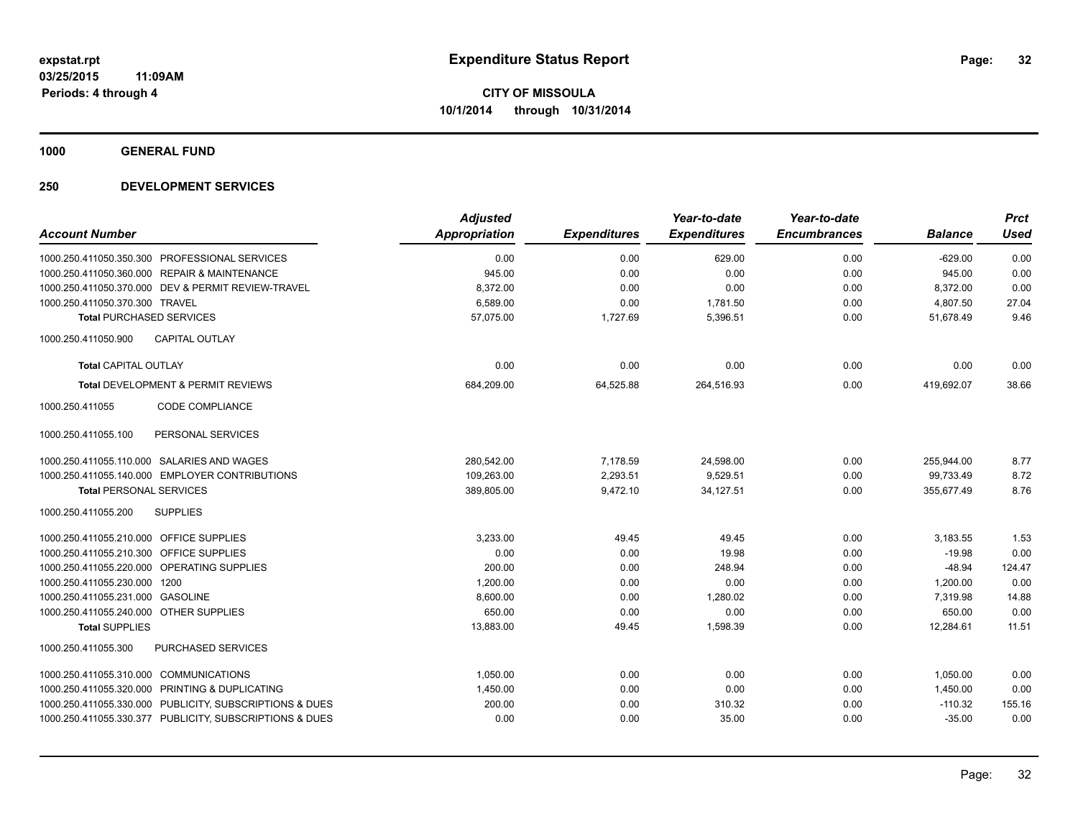**1000 GENERAL FUND**

|                                                         | <b>Adjusted</b>      |                     | Year-to-date        | Year-to-date        |                | <b>Prct</b> |
|---------------------------------------------------------|----------------------|---------------------|---------------------|---------------------|----------------|-------------|
| <b>Account Number</b>                                   | <b>Appropriation</b> | <b>Expenditures</b> | <b>Expenditures</b> | <b>Encumbrances</b> | <b>Balance</b> | <b>Used</b> |
| 1000.250.411050.350.300 PROFESSIONAL SERVICES           | 0.00                 | 0.00                | 629.00              | 0.00                | $-629.00$      | 0.00        |
| 1000.250.411050.360.000 REPAIR & MAINTENANCE            | 945.00               | 0.00                | 0.00                | 0.00                | 945.00         | 0.00        |
| 1000.250.411050.370.000 DEV & PERMIT REVIEW-TRAVEL      | 8,372.00             | 0.00                | 0.00                | 0.00                | 8,372.00       | 0.00        |
| 1000.250.411050.370.300 TRAVEL                          | 6,589.00             | 0.00                | 1,781.50            | 0.00                | 4,807.50       | 27.04       |
| <b>Total PURCHASED SERVICES</b>                         | 57,075.00            | 1,727.69            | 5,396.51            | 0.00                | 51,678.49      | 9.46        |
| CAPITAL OUTLAY<br>1000.250.411050.900                   |                      |                     |                     |                     |                |             |
| <b>Total CAPITAL OUTLAY</b>                             | 0.00                 | 0.00                | 0.00                | 0.00                | 0.00           | 0.00        |
| Total DEVELOPMENT & PERMIT REVIEWS                      | 684,209.00           | 64,525.88           | 264,516.93          | 0.00                | 419,692.07     | 38.66       |
| CODE COMPLIANCE<br>1000.250.411055                      |                      |                     |                     |                     |                |             |
| 1000.250.411055.100<br>PERSONAL SERVICES                |                      |                     |                     |                     |                |             |
| 1000.250.411055.110.000 SALARIES AND WAGES              | 280,542.00           | 7,178.59            | 24,598.00           | 0.00                | 255,944.00     | 8.77        |
| 1000.250.411055.140.000 EMPLOYER CONTRIBUTIONS          | 109,263.00           | 2,293.51            | 9,529.51            | 0.00                | 99,733.49      | 8.72        |
| <b>Total PERSONAL SERVICES</b>                          | 389,805.00           | 9,472.10            | 34,127.51           | 0.00                | 355,677.49     | 8.76        |
| 1000.250.411055.200<br><b>SUPPLIES</b>                  |                      |                     |                     |                     |                |             |
| 1000.250.411055.210.000 OFFICE SUPPLIES                 | 3,233.00             | 49.45               | 49.45               | 0.00                | 3,183.55       | 1.53        |
| 1000.250.411055.210.300 OFFICE SUPPLIES                 | 0.00                 | 0.00                | 19.98               | 0.00                | $-19.98$       | 0.00        |
| 1000.250.411055.220.000 OPERATING SUPPLIES              | 200.00               | 0.00                | 248.94              | 0.00                | $-48.94$       | 124.47      |
| 1000.250.411055.230.000 1200                            | 1.200.00             | 0.00                | 0.00                | 0.00                | 1.200.00       | 0.00        |
| 1000.250.411055.231.000 GASOLINE                        | 8,600.00             | 0.00                | 1.280.02            | 0.00                | 7.319.98       | 14.88       |
| 1000.250.411055.240.000 OTHER SUPPLIES                  | 650.00               | 0.00                | 0.00                | 0.00                | 650.00         | 0.00        |
| <b>Total SUPPLIES</b>                                   | 13,883.00            | 49.45               | 1,598.39            | 0.00                | 12,284.61      | 11.51       |
| PURCHASED SERVICES<br>1000.250.411055.300               |                      |                     |                     |                     |                |             |
| 1000.250.411055.310.000 COMMUNICATIONS                  | 1,050.00             | 0.00                | 0.00                | 0.00                | 1,050.00       | 0.00        |
| 1000.250.411055.320.000 PRINTING & DUPLICATING          | 1,450.00             | 0.00                | 0.00                | 0.00                | 1,450.00       | 0.00        |
| 1000.250.411055.330.000 PUBLICITY, SUBSCRIPTIONS & DUES | 200.00               | 0.00                | 310.32              | 0.00                | $-110.32$      | 155.16      |
| 1000.250.411055.330.377 PUBLICITY, SUBSCRIPTIONS & DUES | 0.00                 | 0.00                | 35.00               | 0.00                | $-35.00$       | 0.00        |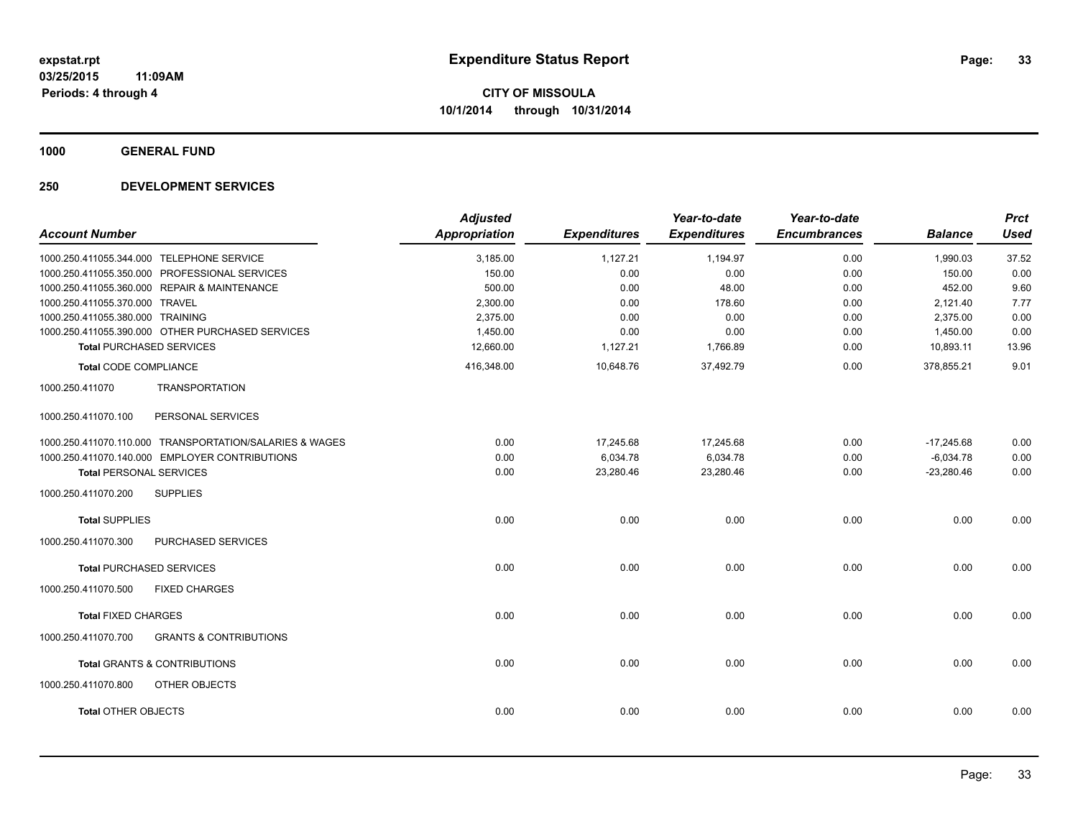**1000 GENERAL FUND**

| <b>Account Number</b>                                    | <b>Adjusted</b><br>Appropriation | <b>Expenditures</b> | Year-to-date<br><b>Expenditures</b> | Year-to-date<br><b>Encumbrances</b> | <b>Balance</b> | <b>Prct</b><br><b>Used</b> |
|----------------------------------------------------------|----------------------------------|---------------------|-------------------------------------|-------------------------------------|----------------|----------------------------|
| 1000.250.411055.344.000 TELEPHONE SERVICE                | 3,185.00                         | 1,127.21            | 1,194.97                            | 0.00                                | 1,990.03       | 37.52                      |
| 1000.250.411055.350.000 PROFESSIONAL SERVICES            | 150.00                           | 0.00                | 0.00                                | 0.00                                | 150.00         | 0.00                       |
| 1000.250.411055.360.000 REPAIR & MAINTENANCE             | 500.00                           | 0.00                | 48.00                               | 0.00                                | 452.00         | 9.60                       |
| 1000.250.411055.370.000 TRAVEL                           | 2,300.00                         | 0.00                | 178.60                              | 0.00                                | 2,121.40       | 7.77                       |
| 1000.250.411055.380.000 TRAINING                         | 2,375.00                         | 0.00                | 0.00                                | 0.00                                | 2,375.00       | 0.00                       |
| 1000.250.411055.390.000 OTHER PURCHASED SERVICES         | 1.450.00                         | 0.00                | 0.00                                | 0.00                                | 1,450.00       | 0.00                       |
| <b>Total PURCHASED SERVICES</b>                          | 12,660.00                        | 1,127.21            | 1,766.89                            | 0.00                                | 10,893.11      | 13.96                      |
| <b>Total CODE COMPLIANCE</b>                             | 416,348.00                       | 10,648.76           | 37,492.79                           | 0.00                                | 378,855.21     | 9.01                       |
| 1000.250.411070<br><b>TRANSPORTATION</b>                 |                                  |                     |                                     |                                     |                |                            |
| PERSONAL SERVICES<br>1000.250.411070.100                 |                                  |                     |                                     |                                     |                |                            |
| 1000.250.411070.110.000 TRANSPORTATION/SALARIES & WAGES  | 0.00                             | 17,245.68           | 17,245.68                           | 0.00                                | $-17,245.68$   | 0.00                       |
| 1000.250.411070.140.000 EMPLOYER CONTRIBUTIONS           | 0.00                             | 6,034.78            | 6,034.78                            | 0.00                                | $-6,034.78$    | 0.00                       |
| <b>Total PERSONAL SERVICES</b>                           | 0.00                             | 23,280.46           | 23,280.46                           | 0.00                                | $-23,280.46$   | 0.00                       |
| 1000.250.411070.200<br><b>SUPPLIES</b>                   |                                  |                     |                                     |                                     |                |                            |
| <b>Total SUPPLIES</b>                                    | 0.00                             | 0.00                | 0.00                                | 0.00                                | 0.00           | 0.00                       |
| PURCHASED SERVICES<br>1000.250.411070.300                |                                  |                     |                                     |                                     |                |                            |
| <b>Total PURCHASED SERVICES</b>                          | 0.00                             | 0.00                | 0.00                                | 0.00                                | 0.00           | 0.00                       |
| <b>FIXED CHARGES</b><br>1000.250.411070.500              |                                  |                     |                                     |                                     |                |                            |
| <b>Total FIXED CHARGES</b>                               | 0.00                             | 0.00                | 0.00                                | 0.00                                | 0.00           | 0.00                       |
| 1000.250.411070.700<br><b>GRANTS &amp; CONTRIBUTIONS</b> |                                  |                     |                                     |                                     |                |                            |
| <b>Total GRANTS &amp; CONTRIBUTIONS</b>                  | 0.00                             | 0.00                | 0.00                                | 0.00                                | 0.00           | 0.00                       |
| 1000.250.411070.800<br>OTHER OBJECTS                     |                                  |                     |                                     |                                     |                |                            |
| <b>Total OTHER OBJECTS</b>                               | 0.00                             | 0.00                | 0.00                                | 0.00                                | 0.00           | 0.00                       |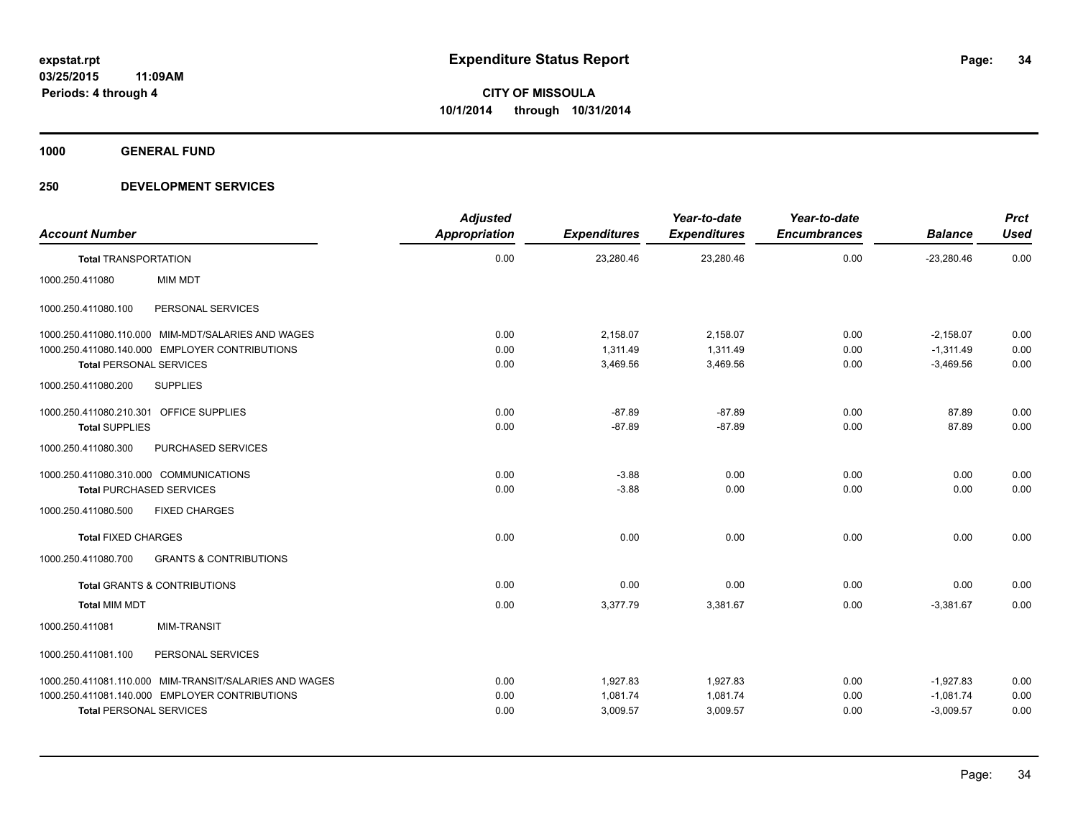**1000 GENERAL FUND**

| <b>Account Number</b>                   |                                                        | <b>Adjusted</b><br>Appropriation | <b>Expenditures</b> | Year-to-date<br><b>Expenditures</b> | Year-to-date<br><b>Encumbrances</b> | <b>Balance</b> | <b>Prct</b><br><b>Used</b> |
|-----------------------------------------|--------------------------------------------------------|----------------------------------|---------------------|-------------------------------------|-------------------------------------|----------------|----------------------------|
| <b>Total TRANSPORTATION</b>             |                                                        | 0.00                             | 23,280.46           | 23,280.46                           | 0.00                                | $-23,280.46$   | 0.00                       |
| 1000.250.411080                         | <b>MIM MDT</b>                                         |                                  |                     |                                     |                                     |                |                            |
| 1000.250.411080.100                     | PERSONAL SERVICES                                      |                                  |                     |                                     |                                     |                |                            |
|                                         | 1000.250.411080.110.000 MIM-MDT/SALARIES AND WAGES     | 0.00                             | 2,158.07            | 2,158.07                            | 0.00                                | $-2,158.07$    | 0.00                       |
|                                         | 1000.250.411080.140.000 EMPLOYER CONTRIBUTIONS         | 0.00                             | 1,311.49            | 1,311.49                            | 0.00                                | $-1,311.49$    | 0.00                       |
| <b>Total PERSONAL SERVICES</b>          |                                                        | 0.00                             | 3,469.56            | 3,469.56                            | 0.00                                | $-3,469.56$    | 0.00                       |
| 1000.250.411080.200                     | <b>SUPPLIES</b>                                        |                                  |                     |                                     |                                     |                |                            |
| 1000.250.411080.210.301 OFFICE SUPPLIES |                                                        | 0.00                             | $-87.89$            | $-87.89$                            | 0.00                                | 87.89          | 0.00                       |
| <b>Total SUPPLIES</b>                   |                                                        | 0.00                             | $-87.89$            | $-87.89$                            | 0.00                                | 87.89          | 0.00                       |
| 1000.250.411080.300                     | PURCHASED SERVICES                                     |                                  |                     |                                     |                                     |                |                            |
| 1000.250.411080.310.000 COMMUNICATIONS  |                                                        | 0.00                             | $-3.88$             | 0.00                                | 0.00                                | 0.00           | 0.00                       |
| <b>Total PURCHASED SERVICES</b>         |                                                        | 0.00                             | $-3.88$             | 0.00                                | 0.00                                | 0.00           | 0.00                       |
| 1000.250.411080.500                     | <b>FIXED CHARGES</b>                                   |                                  |                     |                                     |                                     |                |                            |
| <b>Total FIXED CHARGES</b>              |                                                        | 0.00                             | 0.00                | 0.00                                | 0.00                                | 0.00           | 0.00                       |
| 1000.250.411080.700                     | <b>GRANTS &amp; CONTRIBUTIONS</b>                      |                                  |                     |                                     |                                     |                |                            |
|                                         | <b>Total GRANTS &amp; CONTRIBUTIONS</b>                | 0.00                             | 0.00                | 0.00                                | 0.00                                | 0.00           | 0.00                       |
| <b>Total MIM MDT</b>                    |                                                        | 0.00                             | 3,377.79            | 3,381.67                            | 0.00                                | $-3,381.67$    | 0.00                       |
| 1000.250.411081                         | <b>MIM-TRANSIT</b>                                     |                                  |                     |                                     |                                     |                |                            |
| 1000.250.411081.100                     | PERSONAL SERVICES                                      |                                  |                     |                                     |                                     |                |                            |
|                                         | 1000.250.411081.110.000 MIM-TRANSIT/SALARIES AND WAGES | 0.00                             | 1,927.83            | 1,927.83                            | 0.00                                | $-1,927.83$    | 0.00                       |
|                                         | 1000.250.411081.140.000 EMPLOYER CONTRIBUTIONS         | 0.00                             | 1,081.74            | 1,081.74                            | 0.00                                | $-1,081.74$    | 0.00                       |
| <b>Total PERSONAL SERVICES</b>          |                                                        | 0.00                             | 3,009.57            | 3,009.57                            | 0.00                                | $-3,009.57$    | 0.00                       |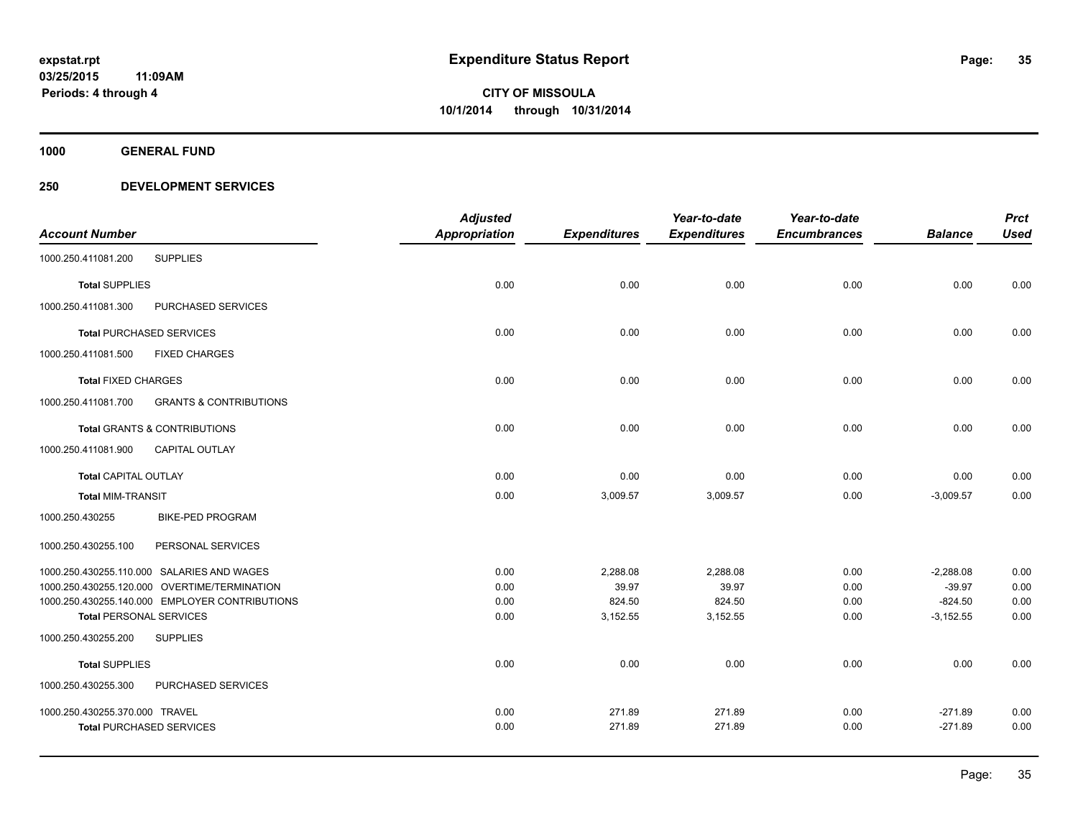**1000 GENERAL FUND**

|                                |                                                | <b>Adjusted</b>      |                     | Year-to-date        | Year-to-date        |                | <b>Prct</b> |
|--------------------------------|------------------------------------------------|----------------------|---------------------|---------------------|---------------------|----------------|-------------|
| <b>Account Number</b>          |                                                | <b>Appropriation</b> | <b>Expenditures</b> | <b>Expenditures</b> | <b>Encumbrances</b> | <b>Balance</b> | <b>Used</b> |
| 1000.250.411081.200            | <b>SUPPLIES</b>                                |                      |                     |                     |                     |                |             |
| <b>Total SUPPLIES</b>          |                                                | 0.00                 | 0.00                | 0.00                | 0.00                | 0.00           | 0.00        |
| 1000.250.411081.300            | PURCHASED SERVICES                             |                      |                     |                     |                     |                |             |
|                                | <b>Total PURCHASED SERVICES</b>                | 0.00                 | 0.00                | 0.00                | 0.00                | 0.00           | 0.00        |
| 1000.250.411081.500            | <b>FIXED CHARGES</b>                           |                      |                     |                     |                     |                |             |
| <b>Total FIXED CHARGES</b>     |                                                | 0.00                 | 0.00                | 0.00                | 0.00                | 0.00           | 0.00        |
| 1000.250.411081.700            | <b>GRANTS &amp; CONTRIBUTIONS</b>              |                      |                     |                     |                     |                |             |
|                                | <b>Total GRANTS &amp; CONTRIBUTIONS</b>        | 0.00                 | 0.00                | 0.00                | 0.00                | 0.00           | 0.00        |
| 1000.250.411081.900            | <b>CAPITAL OUTLAY</b>                          |                      |                     |                     |                     |                |             |
| <b>Total CAPITAL OUTLAY</b>    |                                                | 0.00                 | 0.00                | 0.00                | 0.00                | 0.00           | 0.00        |
| <b>Total MIM-TRANSIT</b>       |                                                | 0.00                 | 3,009.57            | 3,009.57            | 0.00                | $-3,009.57$    | 0.00        |
| 1000.250.430255                | <b>BIKE-PED PROGRAM</b>                        |                      |                     |                     |                     |                |             |
| 1000.250.430255.100            | PERSONAL SERVICES                              |                      |                     |                     |                     |                |             |
|                                | 1000.250.430255.110.000 SALARIES AND WAGES     | 0.00                 | 2,288.08            | 2,288.08            | 0.00                | $-2,288.08$    | 0.00        |
|                                | 1000.250.430255.120.000 OVERTIME/TERMINATION   | 0.00                 | 39.97               | 39.97               | 0.00                | $-39.97$       | 0.00        |
|                                | 1000.250.430255.140.000 EMPLOYER CONTRIBUTIONS | 0.00                 | 824.50              | 824.50              | 0.00                | $-824.50$      | 0.00        |
| <b>Total PERSONAL SERVICES</b> |                                                | 0.00                 | 3,152.55            | 3,152.55            | 0.00                | $-3,152.55$    | 0.00        |
| 1000.250.430255.200            | <b>SUPPLIES</b>                                |                      |                     |                     |                     |                |             |
| <b>Total SUPPLIES</b>          |                                                | 0.00                 | 0.00                | 0.00                | 0.00                | 0.00           | 0.00        |
| 1000.250.430255.300            | PURCHASED SERVICES                             |                      |                     |                     |                     |                |             |
| 1000.250.430255.370.000 TRAVEL |                                                | 0.00                 | 271.89              | 271.89              | 0.00                | $-271.89$      | 0.00        |
|                                | <b>Total PURCHASED SERVICES</b>                | 0.00                 | 271.89              | 271.89              | 0.00                | $-271.89$      | 0.00        |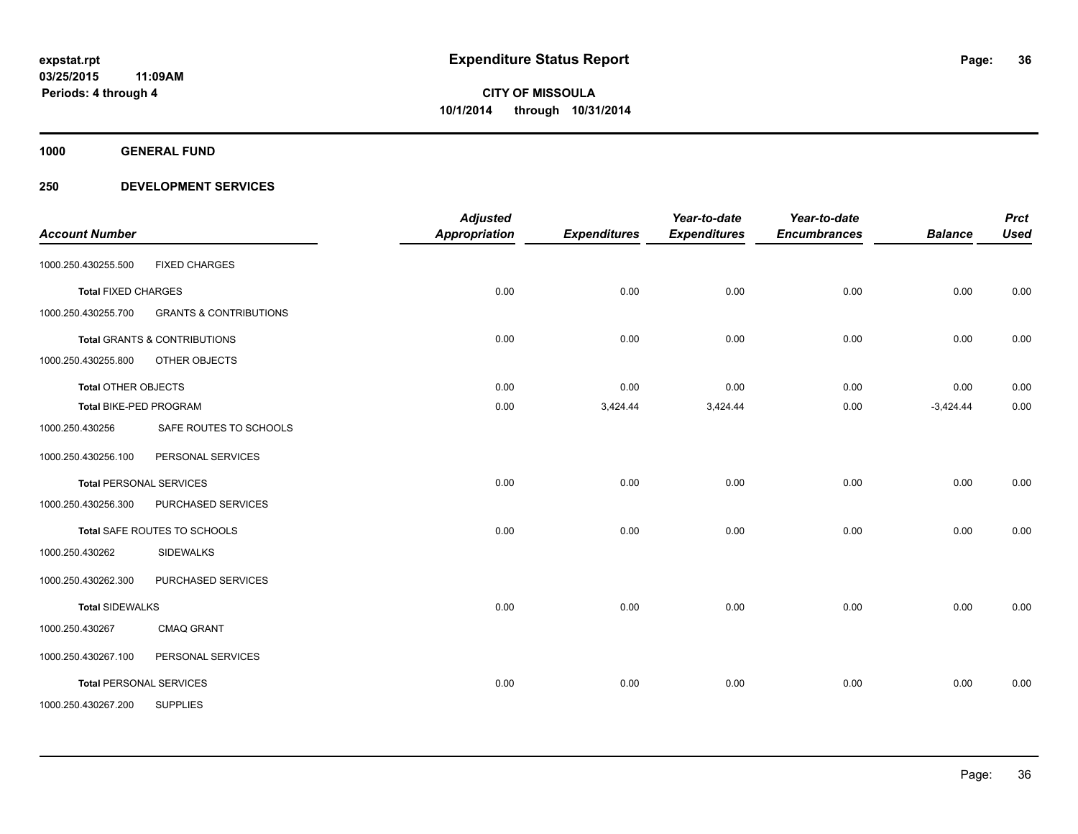**1000 GENERAL FUND**

| <b>Account Number</b>          |                                         | <b>Adjusted</b><br><b>Appropriation</b> | <b>Expenditures</b> | Year-to-date<br><b>Expenditures</b> | Year-to-date<br><b>Encumbrances</b> | <b>Balance</b> | <b>Prct</b><br><b>Used</b> |
|--------------------------------|-----------------------------------------|-----------------------------------------|---------------------|-------------------------------------|-------------------------------------|----------------|----------------------------|
| 1000.250.430255.500            | <b>FIXED CHARGES</b>                    |                                         |                     |                                     |                                     |                |                            |
| <b>Total FIXED CHARGES</b>     |                                         | 0.00                                    | 0.00                | 0.00                                | 0.00                                | 0.00           | 0.00                       |
| 1000.250.430255.700            | <b>GRANTS &amp; CONTRIBUTIONS</b>       |                                         |                     |                                     |                                     |                |                            |
|                                | <b>Total GRANTS &amp; CONTRIBUTIONS</b> | 0.00                                    | 0.00                | 0.00                                | 0.00                                | 0.00           | 0.00                       |
| 1000.250.430255.800            | OTHER OBJECTS                           |                                         |                     |                                     |                                     |                |                            |
| <b>Total OTHER OBJECTS</b>     |                                         | 0.00                                    | 0.00                | 0.00                                | 0.00                                | 0.00           | 0.00                       |
| Total BIKE-PED PROGRAM         |                                         | 0.00                                    | 3,424.44            | 3,424.44                            | 0.00                                | $-3,424.44$    | 0.00                       |
| 1000.250.430256                | SAFE ROUTES TO SCHOOLS                  |                                         |                     |                                     |                                     |                |                            |
| 1000.250.430256.100            | PERSONAL SERVICES                       |                                         |                     |                                     |                                     |                |                            |
|                                | <b>Total PERSONAL SERVICES</b>          | 0.00                                    | 0.00                | 0.00                                | 0.00                                | 0.00           | 0.00                       |
| 1000.250.430256.300            | PURCHASED SERVICES                      |                                         |                     |                                     |                                     |                |                            |
|                                | Total SAFE ROUTES TO SCHOOLS            | 0.00                                    | 0.00                | 0.00                                | 0.00                                | 0.00           | 0.00                       |
| 1000.250.430262                | <b>SIDEWALKS</b>                        |                                         |                     |                                     |                                     |                |                            |
| 1000.250.430262.300            | PURCHASED SERVICES                      |                                         |                     |                                     |                                     |                |                            |
| <b>Total SIDEWALKS</b>         |                                         | 0.00                                    | 0.00                | 0.00                                | 0.00                                | 0.00           | 0.00                       |
| 1000.250.430267                | <b>CMAQ GRANT</b>                       |                                         |                     |                                     |                                     |                |                            |
| 1000.250.430267.100            | PERSONAL SERVICES                       |                                         |                     |                                     |                                     |                |                            |
| <b>Total PERSONAL SERVICES</b> |                                         | 0.00                                    | 0.00                | 0.00                                | 0.00                                | 0.00           | 0.00                       |
| 1000.250.430267.200            | <b>SUPPLIES</b>                         |                                         |                     |                                     |                                     |                |                            |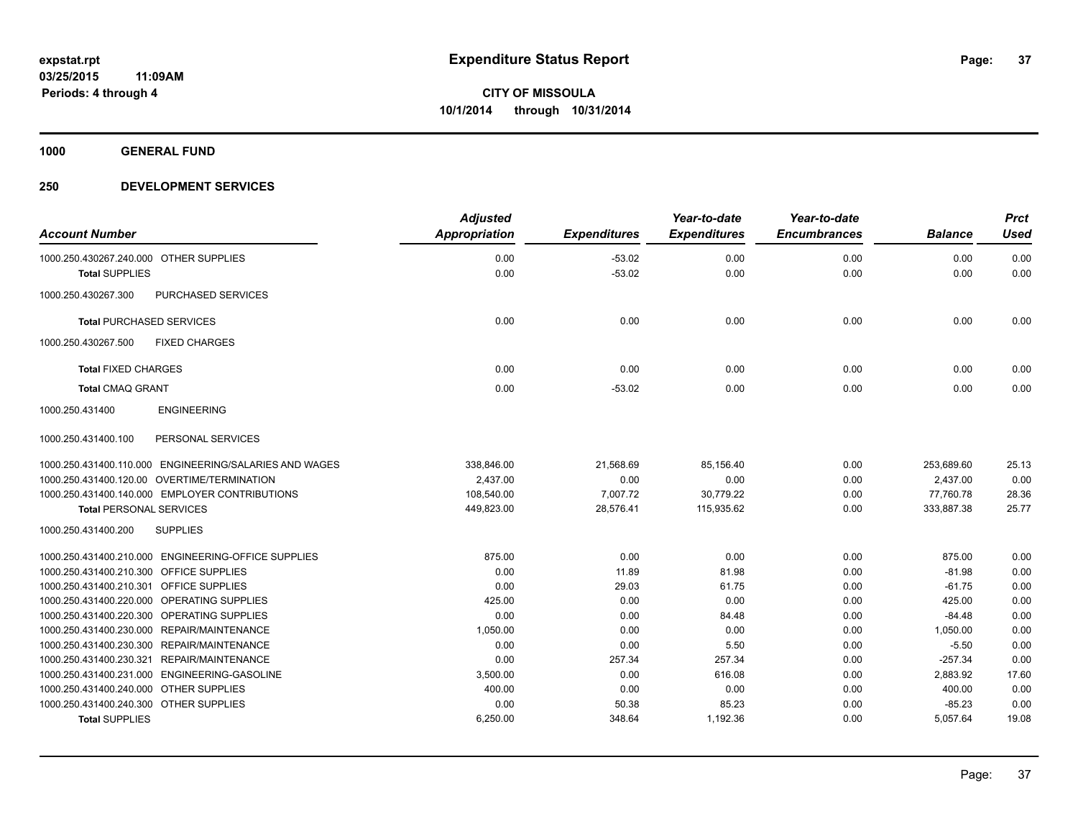**1000 GENERAL FUND**

### **250 DEVELOPMENT SERVICES**

| <b>Account Number</b>                       |                                                        | <b>Adjusted</b><br>Appropriation | <b>Expenditures</b> | Year-to-date<br><b>Expenditures</b> | Year-to-date<br><b>Encumbrances</b> | <b>Balance</b> | <b>Prct</b><br><b>Used</b> |
|---------------------------------------------|--------------------------------------------------------|----------------------------------|---------------------|-------------------------------------|-------------------------------------|----------------|----------------------------|
| 1000.250.430267.240.000 OTHER SUPPLIES      |                                                        | 0.00                             | $-53.02$            | 0.00                                | 0.00                                | 0.00           | 0.00                       |
| <b>Total SUPPLIES</b>                       |                                                        | 0.00                             | $-53.02$            | 0.00                                | 0.00                                | 0.00           | 0.00                       |
| 1000.250.430267.300                         | <b>PURCHASED SERVICES</b>                              |                                  |                     |                                     |                                     |                |                            |
| <b>Total PURCHASED SERVICES</b>             |                                                        | 0.00                             | 0.00                | 0.00                                | 0.00                                | 0.00           | 0.00                       |
| 1000.250.430267.500                         | <b>FIXED CHARGES</b>                                   |                                  |                     |                                     |                                     |                |                            |
| <b>Total FIXED CHARGES</b>                  |                                                        | 0.00                             | 0.00                | 0.00                                | 0.00                                | 0.00           | 0.00                       |
| <b>Total CMAQ GRANT</b>                     |                                                        | 0.00                             | $-53.02$            | 0.00                                | 0.00                                | 0.00           | 0.00                       |
| 1000.250.431400                             | <b>ENGINEERING</b>                                     |                                  |                     |                                     |                                     |                |                            |
| 1000.250.431400.100                         | PERSONAL SERVICES                                      |                                  |                     |                                     |                                     |                |                            |
|                                             | 1000.250.431400.110.000 ENGINEERING/SALARIES AND WAGES | 338,846.00                       | 21,568.69           | 85,156.40                           | 0.00                                | 253,689.60     | 25.13                      |
| 1000.250.431400.120.00 OVERTIME/TERMINATION |                                                        | 2,437.00                         | 0.00                | 0.00                                | 0.00                                | 2,437.00       | 0.00                       |
|                                             | 1000.250.431400.140.000 EMPLOYER CONTRIBUTIONS         | 108,540.00                       | 7,007.72            | 30,779.22                           | 0.00                                | 77,760.78      | 28.36                      |
| <b>Total PERSONAL SERVICES</b>              |                                                        | 449,823.00                       | 28,576.41           | 115,935.62                          | 0.00                                | 333,887.38     | 25.77                      |
| 1000.250.431400.200                         | <b>SUPPLIES</b>                                        |                                  |                     |                                     |                                     |                |                            |
|                                             | 1000.250.431400.210.000 ENGINEERING-OFFICE SUPPLIES    | 875.00                           | 0.00                | 0.00                                | 0.00                                | 875.00         | 0.00                       |
| 1000.250.431400.210.300 OFFICE SUPPLIES     |                                                        | 0.00                             | 11.89               | 81.98                               | 0.00                                | $-81.98$       | 0.00                       |
| 1000.250.431400.210.301 OFFICE SUPPLIES     |                                                        | 0.00                             | 29.03               | 61.75                               | 0.00                                | $-61.75$       | 0.00                       |
| 1000.250.431400.220.000 OPERATING SUPPLIES  |                                                        | 425.00                           | 0.00                | 0.00                                | 0.00                                | 425.00         | 0.00                       |
| 1000.250.431400.220.300 OPERATING SUPPLIES  |                                                        | 0.00                             | 0.00                | 84.48                               | 0.00                                | $-84.48$       | 0.00                       |
| 1000.250.431400.230.000 REPAIR/MAINTENANCE  |                                                        | 1,050.00                         | 0.00                | 0.00                                | 0.00                                | 1,050.00       | 0.00                       |
| 1000.250.431400.230.300 REPAIR/MAINTENANCE  |                                                        | 0.00                             | 0.00                | 5.50                                | 0.00                                | $-5.50$        | 0.00                       |
| 1000.250.431400.230.321 REPAIR/MAINTENANCE  |                                                        | 0.00                             | 257.34              | 257.34                              | 0.00                                | $-257.34$      | 0.00                       |
|                                             | 1000.250.431400.231.000 ENGINEERING-GASOLINE           | 3,500.00                         | 0.00                | 616.08                              | 0.00                                | 2,883.92       | 17.60                      |
| 1000.250.431400.240.000 OTHER SUPPLIES      |                                                        | 400.00                           | 0.00                | 0.00                                | 0.00                                | 400.00         | 0.00                       |
| 1000.250.431400.240.300 OTHER SUPPLIES      |                                                        | 0.00                             | 50.38               | 85.23                               | 0.00                                | $-85.23$       | 0.00                       |
| <b>Total SUPPLIES</b>                       |                                                        | 6,250.00                         | 348.64              | 1,192.36                            | 0.00                                | 5,057.64       | 19.08                      |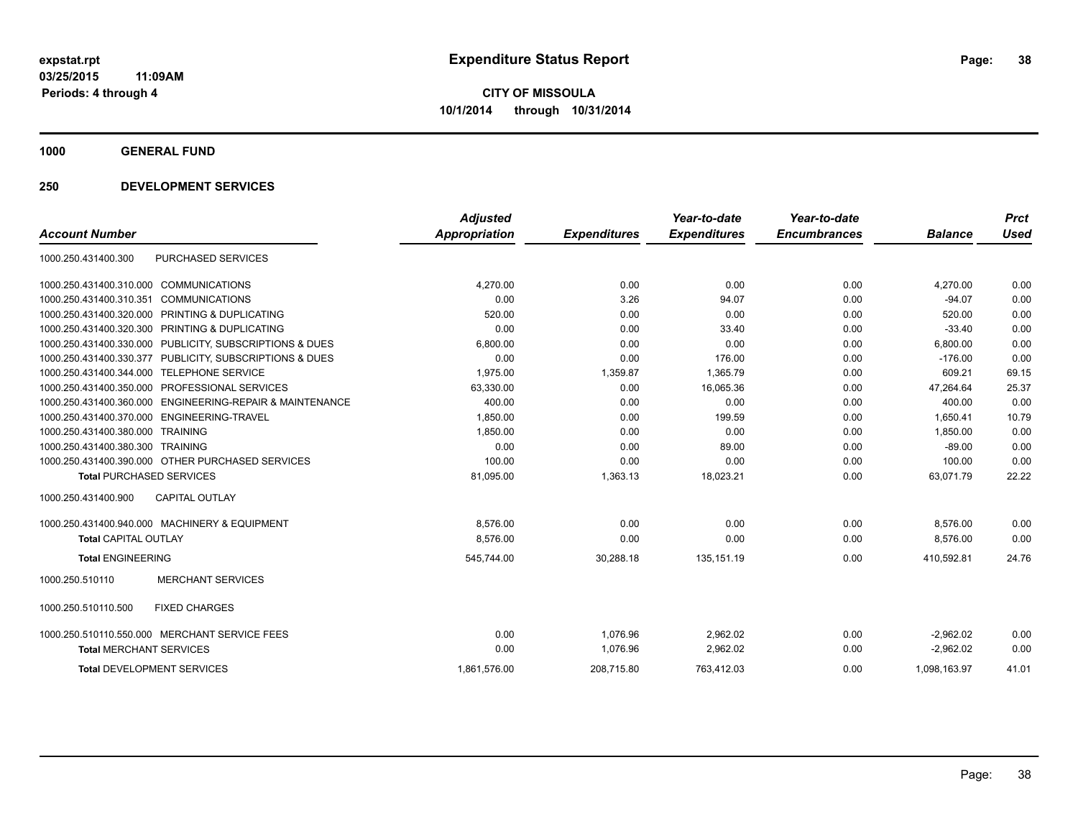**1000 GENERAL FUND**

### **250 DEVELOPMENT SERVICES**

|                                                             | <b>Adjusted</b>      |                     | Year-to-date        | Year-to-date        |                | <b>Prct</b> |
|-------------------------------------------------------------|----------------------|---------------------|---------------------|---------------------|----------------|-------------|
| <b>Account Number</b>                                       | <b>Appropriation</b> | <b>Expenditures</b> | <b>Expenditures</b> | <b>Encumbrances</b> | <b>Balance</b> | <b>Used</b> |
| <b>PURCHASED SERVICES</b><br>1000.250.431400.300            |                      |                     |                     |                     |                |             |
| <b>COMMUNICATIONS</b><br>1000.250.431400.310.000            | 4,270.00             | 0.00                | 0.00                | 0.00                | 4,270.00       | 0.00        |
| 1000.250.431400.310.351<br><b>COMMUNICATIONS</b>            | 0.00                 | 3.26                | 94.07               | 0.00                | $-94.07$       | 0.00        |
| 1000.250.431400.320.000<br>PRINTING & DUPLICATING           | 520.00               | 0.00                | 0.00                | 0.00                | 520.00         | 0.00        |
| 1000.250.431400.320.300<br>PRINTING & DUPLICATING           | 0.00                 | 0.00                | 33.40               | 0.00                | $-33.40$       | 0.00        |
| PUBLICITY, SUBSCRIPTIONS & DUES<br>1000.250.431400.330.000  | 6.800.00             | 0.00                | 0.00                | 0.00                | 6,800.00       | 0.00        |
| 1000.250.431400.330.377<br>PUBLICITY, SUBSCRIPTIONS & DUES  | 0.00                 | 0.00                | 176.00              | 0.00                | $-176.00$      | 0.00        |
| 1000.250.431400.344.000<br><b>TELEPHONE SERVICE</b>         | 1,975.00             | 1,359.87            | 1,365.79            | 0.00                | 609.21         | 69.15       |
| PROFESSIONAL SERVICES<br>1000.250.431400.350.000            | 63,330.00            | 0.00                | 16,065.36           | 0.00                | 47,264.64      | 25.37       |
| ENGINEERING-REPAIR & MAINTENANCE<br>1000.250.431400.360.000 | 400.00               | 0.00                | 0.00                | 0.00                | 400.00         | 0.00        |
| <b>ENGINEERING-TRAVEL</b><br>1000.250.431400.370.000        | 1,850.00             | 0.00                | 199.59              | 0.00                | 1.650.41       | 10.79       |
| 1000.250.431400.380.000<br><b>TRAINING</b>                  | 1.850.00             | 0.00                | 0.00                | 0.00                | 1.850.00       | 0.00        |
| 1000.250.431400.380.300<br><b>TRAINING</b>                  | 0.00                 | 0.00                | 89.00               | 0.00                | $-89.00$       | 0.00        |
| 1000.250.431400.390.000 OTHER PURCHASED SERVICES            | 100.00               | 0.00                | 0.00                | 0.00                | 100.00         | 0.00        |
| <b>Total PURCHASED SERVICES</b>                             | 81,095.00            | 1,363.13            | 18,023.21           | 0.00                | 63,071.79      | 22.22       |
| 1000.250.431400.900<br><b>CAPITAL OUTLAY</b>                |                      |                     |                     |                     |                |             |
| 1000.250.431400.940.000 MACHINERY & EQUIPMENT               | 8.576.00             | 0.00                | 0.00                | 0.00                | 8,576.00       | 0.00        |
| <b>Total CAPITAL OUTLAY</b>                                 | 8,576.00             | 0.00                | 0.00                | 0.00                | 8,576.00       | 0.00        |
| <b>Total ENGINEERING</b>                                    | 545,744.00           | 30,288.18           | 135, 151.19         | 0.00                | 410,592.81     | 24.76       |
| <b>MERCHANT SERVICES</b><br>1000.250.510110                 |                      |                     |                     |                     |                |             |
| 1000.250.510110.500<br><b>FIXED CHARGES</b>                 |                      |                     |                     |                     |                |             |
| 1000.250.510110.550.000 MERCHANT SERVICE FEES               | 0.00                 | 1.076.96            | 2,962.02            | 0.00                | $-2,962.02$    | 0.00        |
| <b>Total MERCHANT SERVICES</b>                              | 0.00                 | 1.076.96            | 2,962.02            | 0.00                | $-2.962.02$    | 0.00        |
| <b>Total DEVELOPMENT SERVICES</b>                           | 1.861.576.00         | 208.715.80          | 763.412.03          | 0.00                | 1.098.163.97   | 41.01       |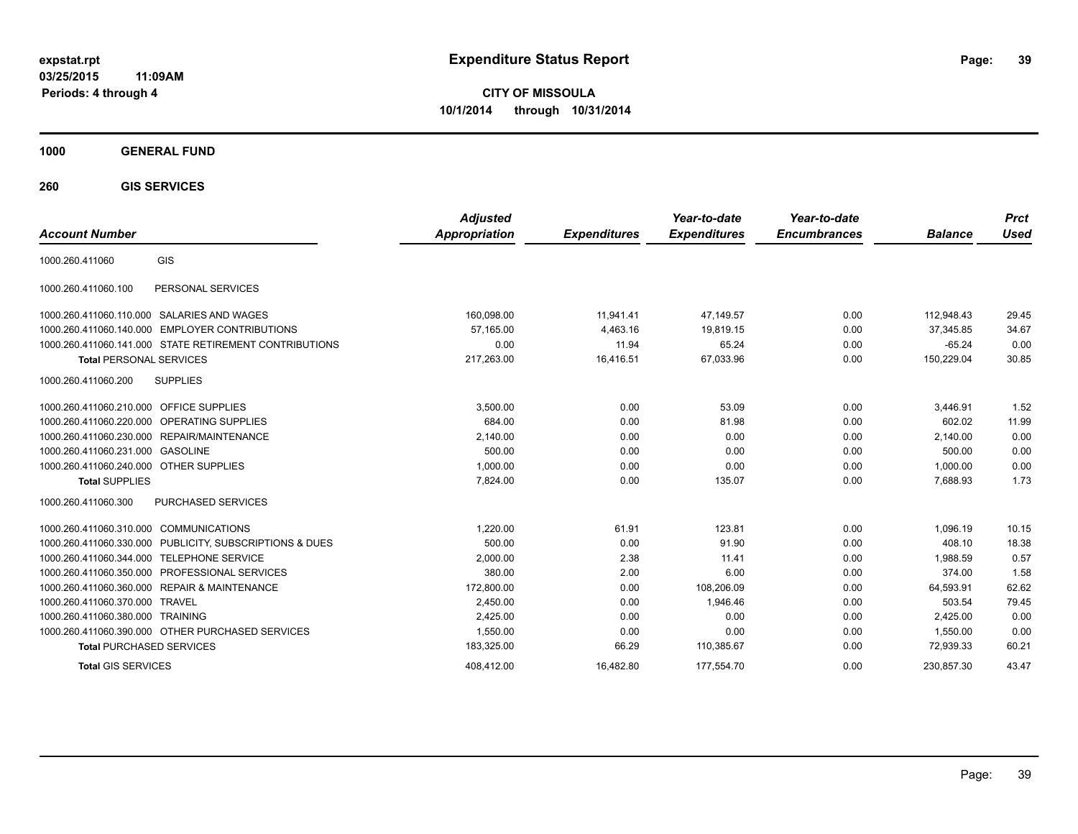**CITY OF MISSOULA 10/1/2014 through 10/31/2014**

**1000 GENERAL FUND**

**260 GIS SERVICES**

| <b>Account Number</b>                     |                                                         | <b>Adjusted</b><br><b>Appropriation</b> | <b>Expenditures</b> | Year-to-date<br><b>Expenditures</b> | Year-to-date<br><b>Encumbrances</b> | <b>Balance</b> | <b>Prct</b><br>Used |
|-------------------------------------------|---------------------------------------------------------|-----------------------------------------|---------------------|-------------------------------------|-------------------------------------|----------------|---------------------|
| 1000.260.411060                           | GIS                                                     |                                         |                     |                                     |                                     |                |                     |
| 1000.260.411060.100                       | PERSONAL SERVICES                                       |                                         |                     |                                     |                                     |                |                     |
|                                           | 1000.260.411060.110.000 SALARIES AND WAGES              | 160,098.00                              | 11,941.41           | 47,149.57                           | 0.00                                | 112.948.43     | 29.45               |
|                                           | 1000.260.411060.140.000 EMPLOYER CONTRIBUTIONS          | 57.165.00                               | 4,463.16            | 19.819.15                           | 0.00                                | 37,345.85      | 34.67               |
|                                           | 1000.260.411060.141.000 STATE RETIREMENT CONTRIBUTIONS  | 0.00                                    | 11.94               | 65.24                               | 0.00                                | $-65.24$       | 0.00                |
| <b>Total PERSONAL SERVICES</b>            |                                                         | 217,263.00                              | 16,416.51           | 67,033.96                           | 0.00                                | 150,229.04     | 30.85               |
| 1000.260.411060.200                       | <b>SUPPLIES</b>                                         |                                         |                     |                                     |                                     |                |                     |
| 1000.260.411060.210.000 OFFICE SUPPLIES   |                                                         | 3,500.00                                | 0.00                | 53.09                               | 0.00                                | 3,446.91       | 1.52                |
|                                           | 1000.260.411060.220.000 OPERATING SUPPLIES              | 684.00                                  | 0.00                | 81.98                               | 0.00                                | 602.02         | 11.99               |
|                                           | 1000.260.411060.230.000 REPAIR/MAINTENANCE              | 2,140.00                                | 0.00                | 0.00                                | 0.00                                | 2,140.00       | 0.00                |
| 1000.260.411060.231.000 GASOLINE          |                                                         | 500.00                                  | 0.00                | 0.00                                | 0.00                                | 500.00         | 0.00                |
| 1000.260.411060.240.000 OTHER SUPPLIES    |                                                         | 1,000.00                                | 0.00                | 0.00                                | 0.00                                | 1,000.00       | 0.00                |
| <b>Total SUPPLIES</b>                     |                                                         | 7.824.00                                | 0.00                | 135.07                              | 0.00                                | 7,688.93       | 1.73                |
| 1000.260.411060.300                       | PURCHASED SERVICES                                      |                                         |                     |                                     |                                     |                |                     |
| 1000.260.411060.310.000 COMMUNICATIONS    |                                                         | 1.220.00                                | 61.91               | 123.81                              | 0.00                                | 1,096.19       | 10.15               |
|                                           | 1000.260.411060.330.000 PUBLICITY, SUBSCRIPTIONS & DUES | 500.00                                  | 0.00                | 91.90                               | 0.00                                | 408.10         | 18.38               |
| 1000.260.411060.344.000 TELEPHONE SERVICE |                                                         | 2,000.00                                | 2.38                | 11.41                               | 0.00                                | 1.988.59       | 0.57                |
|                                           | 1000.260.411060.350.000 PROFESSIONAL SERVICES           | 380.00                                  | 2.00                | 6.00                                | 0.00                                | 374.00         | 1.58                |
|                                           | 1000.260.411060.360.000 REPAIR & MAINTENANCE            | 172,800.00                              | 0.00                | 108,206.09                          | 0.00                                | 64,593.91      | 62.62               |
| 1000.260.411060.370.000 TRAVEL            |                                                         | 2.450.00                                | 0.00                | 1.946.46                            | 0.00                                | 503.54         | 79.45               |
| 1000.260.411060.380.000 TRAINING          |                                                         | 2,425.00                                | 0.00                | 0.00                                | 0.00                                | 2,425.00       | 0.00                |
|                                           | 1000.260.411060.390.000 OTHER PURCHASED SERVICES        | 1,550.00                                | 0.00                | 0.00                                | 0.00                                | 1.550.00       | 0.00                |
| <b>Total PURCHASED SERVICES</b>           |                                                         | 183,325.00                              | 66.29               | 110,385.67                          | 0.00                                | 72,939.33      | 60.21               |
| <b>Total GIS SERVICES</b>                 |                                                         | 408.412.00                              | 16.482.80           | 177.554.70                          | 0.00                                | 230.857.30     | 43.47               |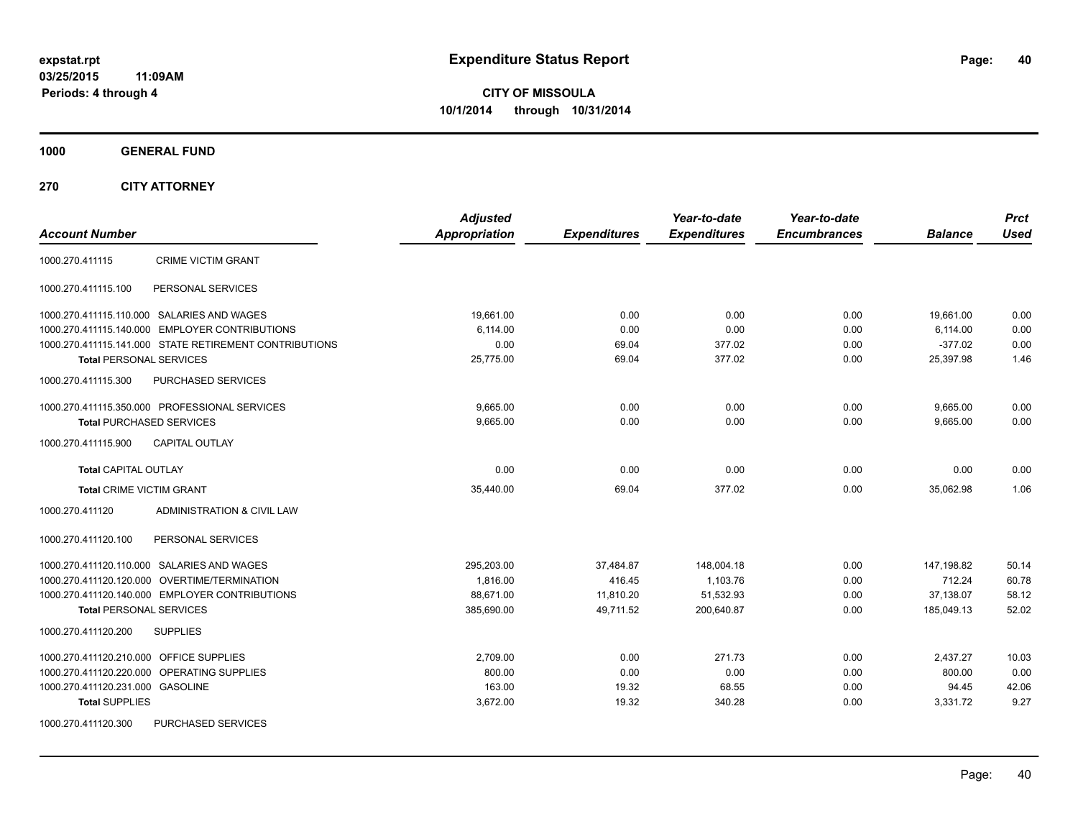**CITY OF MISSOULA 10/1/2014 through 10/31/2014**

**1000 GENERAL FUND**

**270 CITY ATTORNEY**

| <b>Account Number</b>                                  | <b>Adjusted</b><br><b>Appropriation</b> | <b>Expenditures</b> | Year-to-date<br><b>Expenditures</b> | Year-to-date<br><b>Encumbrances</b> | <b>Balance</b> | <b>Prct</b><br><b>Used</b> |
|--------------------------------------------------------|-----------------------------------------|---------------------|-------------------------------------|-------------------------------------|----------------|----------------------------|
| <b>CRIME VICTIM GRANT</b><br>1000.270.411115           |                                         |                     |                                     |                                     |                |                            |
| PERSONAL SERVICES<br>1000.270.411115.100               |                                         |                     |                                     |                                     |                |                            |
| 1000.270.411115.110.000 SALARIES AND WAGES             | 19,661.00                               | 0.00                | 0.00                                | 0.00                                | 19,661.00      | 0.00                       |
| 1000.270.411115.140.000 EMPLOYER CONTRIBUTIONS         | 6,114.00                                | 0.00                | 0.00                                | 0.00                                | 6,114.00       | 0.00                       |
| 1000.270.411115.141.000 STATE RETIREMENT CONTRIBUTIONS | 0.00                                    | 69.04               | 377.02                              | 0.00                                | $-377.02$      | 0.00                       |
| <b>Total PERSONAL SERVICES</b>                         | 25,775.00                               | 69.04               | 377.02                              | 0.00                                | 25.397.98      | 1.46                       |
| PURCHASED SERVICES<br>1000.270.411115.300              |                                         |                     |                                     |                                     |                |                            |
| 1000.270.411115.350.000 PROFESSIONAL SERVICES          | 9,665.00                                | 0.00                | 0.00                                | 0.00                                | 9,665.00       | 0.00                       |
| <b>Total PURCHASED SERVICES</b>                        | 9,665.00                                | 0.00                | 0.00                                | 0.00                                | 9,665.00       | 0.00                       |
| 1000.270.411115.900<br><b>CAPITAL OUTLAY</b>           |                                         |                     |                                     |                                     |                |                            |
| <b>Total CAPITAL OUTLAY</b>                            | 0.00                                    | 0.00                | 0.00                                | 0.00                                | 0.00           | 0.00                       |
| <b>Total CRIME VICTIM GRANT</b>                        | 35,440.00                               | 69.04               | 377.02                              | 0.00                                | 35,062.98      | 1.06                       |
| 1000.270.411120<br>ADMINISTRATION & CIVIL LAW          |                                         |                     |                                     |                                     |                |                            |
| PERSONAL SERVICES<br>1000.270.411120.100               |                                         |                     |                                     |                                     |                |                            |
| 1000.270.411120.110.000 SALARIES AND WAGES             | 295,203.00                              | 37,484.87           | 148,004.18                          | 0.00                                | 147,198.82     | 50.14                      |
| 1000.270.411120.120.000 OVERTIME/TERMINATION           | 1,816.00                                | 416.45              | 1,103.76                            | 0.00                                | 712.24         | 60.78                      |
| 1000.270.411120.140.000 EMPLOYER CONTRIBUTIONS         | 88,671.00                               | 11,810.20           | 51,532.93                           | 0.00                                | 37,138.07      | 58.12                      |
| Total PERSONAL SERVICES                                | 385,690.00                              | 49,711.52           | 200,640.87                          | 0.00                                | 185,049.13     | 52.02                      |
| 1000.270.411120.200<br><b>SUPPLIES</b>                 |                                         |                     |                                     |                                     |                |                            |
| 1000.270.411120.210.000 OFFICE SUPPLIES                | 2,709.00                                | 0.00                | 271.73                              | 0.00                                | 2,437.27       | 10.03                      |
| 1000.270.411120.220.000 OPERATING SUPPLIES             | 800.00                                  | 0.00                | 0.00                                | 0.00                                | 800.00         | 0.00                       |
| 1000.270.411120.231.000 GASOLINE                       | 163.00                                  | 19.32               | 68.55                               | 0.00                                | 94.45          | 42.06                      |
| <b>Total SUPPLIES</b>                                  | 3,672.00                                | 19.32               | 340.28                              | 0.00                                | 3,331.72       | 9.27                       |
| 1000.270.411120.300<br><b>PURCHASED SERVICES</b>       |                                         |                     |                                     |                                     |                |                            |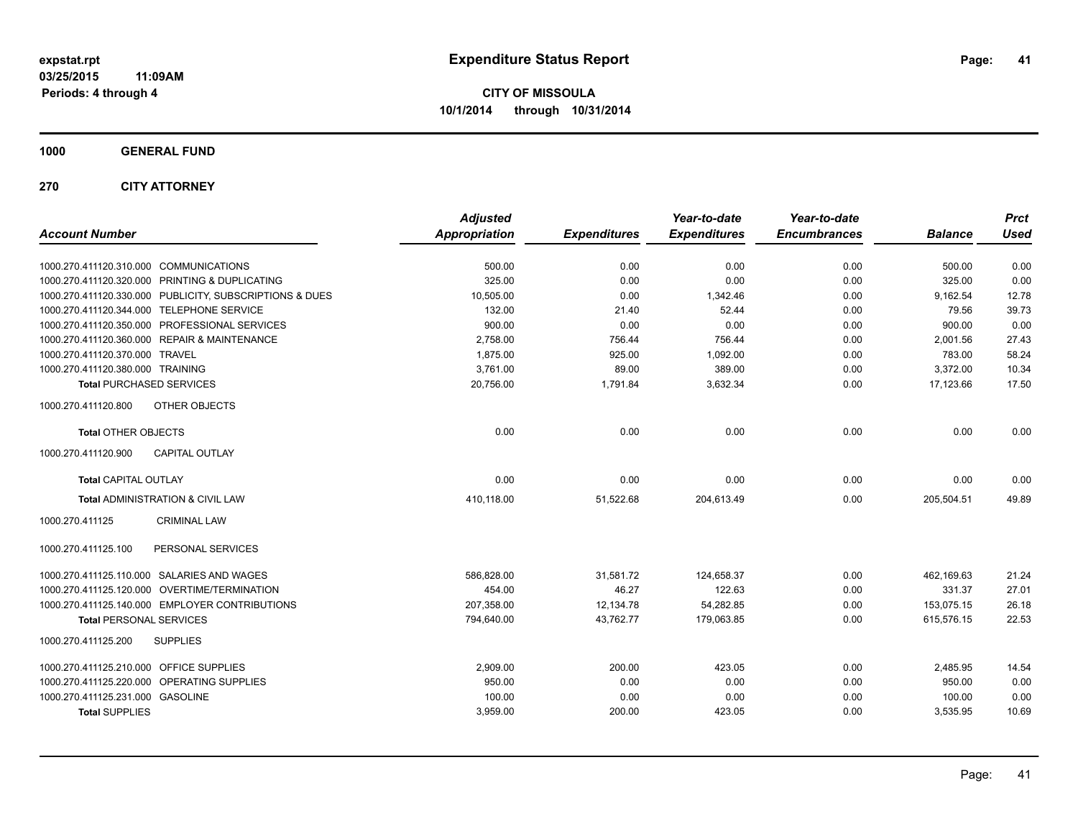**CITY OF MISSOULA 10/1/2014 through 10/31/2014**

**1000 GENERAL FUND**

**270 CITY ATTORNEY**

| <b>Account Number</b>                                   | <b>Adjusted</b><br><b>Appropriation</b> | <b>Expenditures</b> | Year-to-date<br><b>Expenditures</b> | Year-to-date<br><b>Encumbrances</b> | <b>Balance</b> | <b>Prct</b><br><b>Used</b> |
|---------------------------------------------------------|-----------------------------------------|---------------------|-------------------------------------|-------------------------------------|----------------|----------------------------|
| 1000.270.411120.310.000 COMMUNICATIONS                  | 500.00                                  | 0.00                | 0.00                                | 0.00                                | 500.00         | 0.00                       |
| 1000.270.411120.320.000 PRINTING & DUPLICATING          | 325.00                                  | 0.00                | 0.00                                | 0.00                                | 325.00         | 0.00                       |
| 1000.270.411120.330.000 PUBLICITY, SUBSCRIPTIONS & DUES | 10,505.00                               | 0.00                | 1,342.46                            | 0.00                                | 9,162.54       | 12.78                      |
| 1000.270.411120.344.000 TELEPHONE SERVICE               | 132.00                                  | 21.40               | 52.44                               | 0.00                                | 79.56          | 39.73                      |
| 1000.270.411120.350.000 PROFESSIONAL SERVICES           | 900.00                                  | 0.00                | 0.00                                | 0.00                                | 900.00         | 0.00                       |
| 1000.270.411120.360.000 REPAIR & MAINTENANCE            | 2,758.00                                | 756.44              | 756.44                              | 0.00                                | 2,001.56       | 27.43                      |
| 1000.270.411120.370.000 TRAVEL                          | 1,875.00                                | 925.00              | 1,092.00                            | 0.00                                | 783.00         | 58.24                      |
| 1000.270.411120.380.000 TRAINING                        | 3,761.00                                | 89.00               | 389.00                              | 0.00                                | 3,372.00       | 10.34                      |
| <b>Total PURCHASED SERVICES</b>                         | 20,756.00                               | 1,791.84            | 3,632.34                            | 0.00                                | 17,123.66      | 17.50                      |
| 1000.270.411120.800<br>OTHER OBJECTS                    |                                         |                     |                                     |                                     |                |                            |
| <b>Total OTHER OBJECTS</b>                              | 0.00                                    | 0.00                | 0.00                                | 0.00                                | 0.00           | 0.00                       |
| <b>CAPITAL OUTLAY</b><br>1000.270.411120.900            |                                         |                     |                                     |                                     |                |                            |
| <b>Total CAPITAL OUTLAY</b>                             | 0.00                                    | 0.00                | 0.00                                | 0.00                                | 0.00           | 0.00                       |
| Total ADMINISTRATION & CIVIL LAW                        | 410,118.00                              | 51,522.68           | 204,613.49                          | 0.00                                | 205,504.51     | 49.89                      |
| 1000.270.411125<br><b>CRIMINAL LAW</b>                  |                                         |                     |                                     |                                     |                |                            |
| PERSONAL SERVICES<br>1000.270.411125.100                |                                         |                     |                                     |                                     |                |                            |
| 1000.270.411125.110.000 SALARIES AND WAGES              | 586,828.00                              | 31,581.72           | 124,658.37                          | 0.00                                | 462,169.63     | 21.24                      |
| 1000.270.411125.120.000 OVERTIME/TERMINATION            | 454.00                                  | 46.27               | 122.63                              | 0.00                                | 331.37         | 27.01                      |
| 1000.270.411125.140.000 EMPLOYER CONTRIBUTIONS          | 207.358.00                              | 12,134.78           | 54,282.85                           | 0.00                                | 153,075.15     | 26.18                      |
| <b>Total PERSONAL SERVICES</b>                          | 794,640.00                              | 43,762.77           | 179,063.85                          | 0.00                                | 615,576.15     | 22.53                      |
| 1000.270.411125.200<br><b>SUPPLIES</b>                  |                                         |                     |                                     |                                     |                |                            |
| 1000.270.411125.210.000 OFFICE SUPPLIES                 | 2,909.00                                | 200.00              | 423.05                              | 0.00                                | 2,485.95       | 14.54                      |
| 1000.270.411125.220.000 OPERATING SUPPLIES              | 950.00                                  | 0.00                | 0.00                                | 0.00                                | 950.00         | 0.00                       |
| 1000.270.411125.231.000 GASOLINE                        | 100.00                                  | 0.00                | 0.00                                | 0.00                                | 100.00         | 0.00                       |
| <b>Total SUPPLIES</b>                                   | 3,959.00                                | 200.00              | 423.05                              | 0.00                                | 3,535.95       | 10.69                      |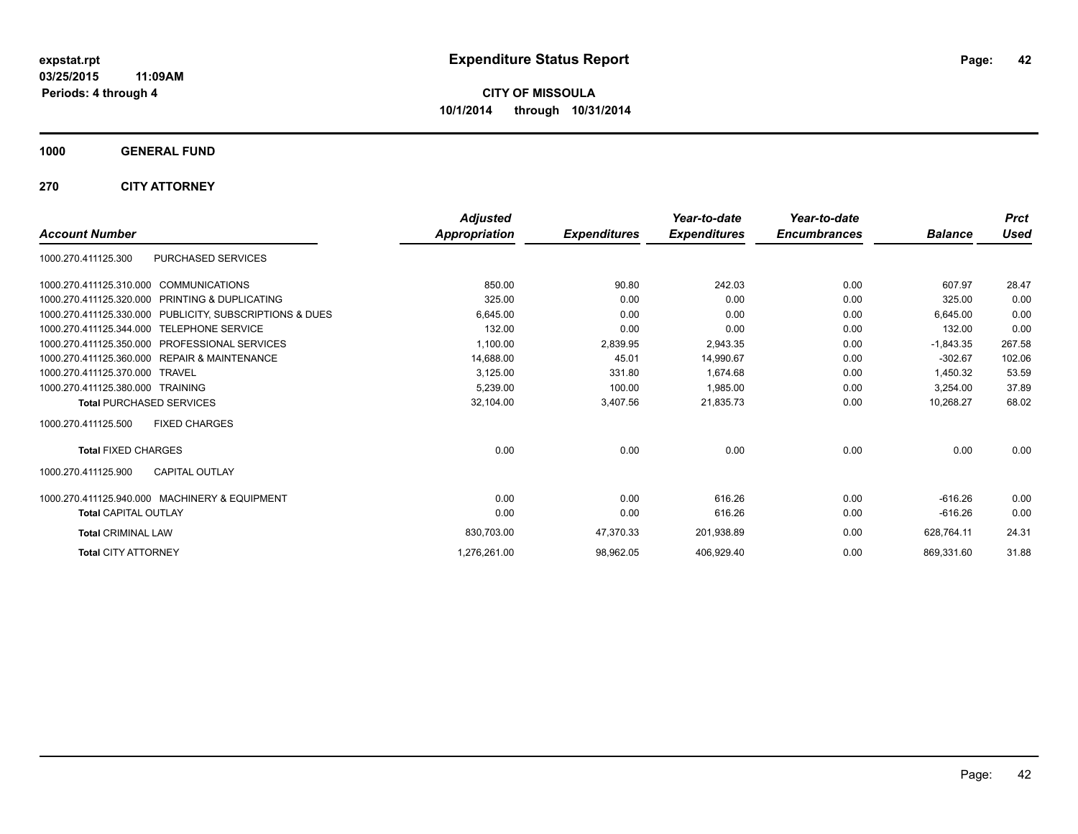**Periods: 4 through 4**

**CITY OF MISSOULA 10/1/2014 through 10/31/2014**

**1000 GENERAL FUND**

**270 CITY ATTORNEY**

|                                                         | <b>Adjusted</b> |                     | Year-to-date        | Year-to-date        |                | <b>Prct</b> |
|---------------------------------------------------------|-----------------|---------------------|---------------------|---------------------|----------------|-------------|
| <b>Account Number</b>                                   | Appropriation   | <b>Expenditures</b> | <b>Expenditures</b> | <b>Encumbrances</b> | <b>Balance</b> | Used        |
| PURCHASED SERVICES<br>1000.270.411125.300               |                 |                     |                     |                     |                |             |
| 1000.270.411125.310.000 COMMUNICATIONS                  | 850.00          | 90.80               | 242.03              | 0.00                | 607.97         | 28.47       |
| 1000.270.411125.320.000 PRINTING & DUPLICATING          | 325.00          | 0.00                | 0.00                | 0.00                | 325.00         | 0.00        |
| 1000.270.411125.330.000 PUBLICITY, SUBSCRIPTIONS & DUES | 6,645.00        | 0.00                | 0.00                | 0.00                | 6,645.00       | 0.00        |
| 1000.270.411125.344.000 TELEPHONE SERVICE               | 132.00          | 0.00                | 0.00                | 0.00                | 132.00         | 0.00        |
| 1000.270.411125.350.000 PROFESSIONAL SERVICES           | 1,100.00        | 2,839.95            | 2,943.35            | 0.00                | $-1,843.35$    | 267.58      |
| 1000.270.411125.360.000 REPAIR & MAINTENANCE            | 14,688.00       | 45.01               | 14,990.67           | 0.00                | $-302.67$      | 102.06      |
| 1000.270.411125.370.000 TRAVEL                          | 3,125.00        | 331.80              | 1.674.68            | 0.00                | 1.450.32       | 53.59       |
| 1000.270.411125.380.000 TRAINING                        | 5.239.00        | 100.00              | 1.985.00            | 0.00                | 3.254.00       | 37.89       |
| <b>Total PURCHASED SERVICES</b>                         | 32,104.00       | 3,407.56            | 21,835.73           | 0.00                | 10,268.27      | 68.02       |
| <b>FIXED CHARGES</b><br>1000.270.411125.500             |                 |                     |                     |                     |                |             |
| <b>Total FIXED CHARGES</b>                              | 0.00            | 0.00                | 0.00                | 0.00                | 0.00           | 0.00        |
| <b>CAPITAL OUTLAY</b><br>1000.270.411125.900            |                 |                     |                     |                     |                |             |
| 1000.270.411125.940.000 MACHINERY & EQUIPMENT           | 0.00            | 0.00                | 616.26              | 0.00                | $-616.26$      | 0.00        |
| <b>Total CAPITAL OUTLAY</b>                             | 0.00            | 0.00                | 616.26              | 0.00                | $-616.26$      | 0.00        |
| <b>Total CRIMINAL LAW</b>                               | 830,703.00      | 47,370.33           | 201,938.89          | 0.00                | 628,764.11     | 24.31       |
| <b>Total CITY ATTORNEY</b>                              | 1,276,261.00    | 98,962.05           | 406,929.40          | 0.00                | 869,331.60     | 31.88       |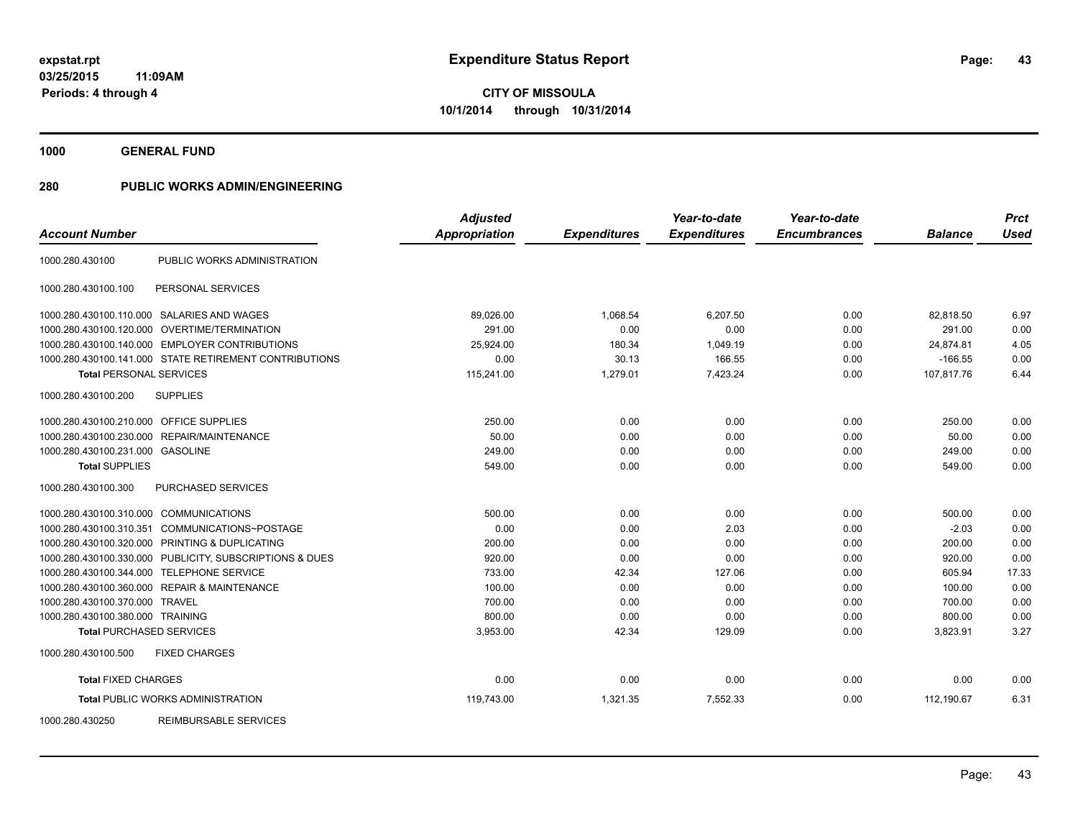**1000 GENERAL FUND**

| <b>Account Number</b>                   |                                                        | <b>Adjusted</b><br><b>Appropriation</b> | <b>Expenditures</b> | Year-to-date<br><b>Expenditures</b> | Year-to-date<br><b>Encumbrances</b> | <b>Balance</b> | <b>Prct</b><br><b>Used</b> |
|-----------------------------------------|--------------------------------------------------------|-----------------------------------------|---------------------|-------------------------------------|-------------------------------------|----------------|----------------------------|
|                                         |                                                        |                                         |                     |                                     |                                     |                |                            |
| 1000.280.430100                         | PUBLIC WORKS ADMINISTRATION                            |                                         |                     |                                     |                                     |                |                            |
| 1000.280.430100.100                     | PERSONAL SERVICES                                      |                                         |                     |                                     |                                     |                |                            |
|                                         | 1000.280.430100.110.000 SALARIES AND WAGES             | 89,026.00                               | 1,068.54            | 6,207.50                            | 0.00                                | 82,818.50      | 6.97                       |
| 1000.280.430100.120.000                 | <b>OVERTIME/TERMINATION</b>                            | 291.00                                  | 0.00                | 0.00                                | 0.00                                | 291.00         | 0.00                       |
|                                         | 1000.280.430100.140.000 EMPLOYER CONTRIBUTIONS         | 25,924.00                               | 180.34              | 1,049.19                            | 0.00                                | 24,874.81      | 4.05                       |
|                                         | 1000.280.430100.141.000 STATE RETIREMENT CONTRIBUTIONS | 0.00                                    | 30.13               | 166.55                              | 0.00                                | $-166.55$      | 0.00                       |
| <b>Total PERSONAL SERVICES</b>          |                                                        | 115,241.00                              | 1,279.01            | 7,423.24                            | 0.00                                | 107,817.76     | 6.44                       |
| 1000.280.430100.200                     | <b>SUPPLIES</b>                                        |                                         |                     |                                     |                                     |                |                            |
| 1000.280.430100.210.000 OFFICE SUPPLIES |                                                        | 250.00                                  | 0.00                | 0.00                                | 0.00                                | 250.00         | 0.00                       |
| 1000.280.430100.230.000                 | REPAIR/MAINTENANCE                                     | 50.00                                   | 0.00                | 0.00                                | 0.00                                | 50.00          | 0.00                       |
| 1000.280.430100.231.000 GASOLINE        |                                                        | 249.00                                  | 0.00                | 0.00                                | 0.00                                | 249.00         | 0.00                       |
| <b>Total SUPPLIES</b>                   |                                                        | 549.00                                  | 0.00                | 0.00                                | 0.00                                | 549.00         | 0.00                       |
| 1000.280.430100.300                     | PURCHASED SERVICES                                     |                                         |                     |                                     |                                     |                |                            |
| 1000.280.430100.310.000                 | <b>COMMUNICATIONS</b>                                  | 500.00                                  | 0.00                | 0.00                                | 0.00                                | 500.00         | 0.00                       |
| 1000.280.430100.310.351                 | COMMUNICATIONS~POSTAGE                                 | 0.00                                    | 0.00                | 2.03                                | 0.00                                | $-2.03$        | 0.00                       |
|                                         | 1000.280.430100.320.000 PRINTING & DUPLICATING         | 200.00                                  | 0.00                | 0.00                                | 0.00                                | 200.00         | 0.00                       |
| 1000.280.430100.330.000                 | PUBLICITY, SUBSCRIPTIONS & DUES                        | 920.00                                  | 0.00                | 0.00                                | 0.00                                | 920.00         | 0.00                       |
| 1000.280.430100.344.000                 | TELEPHONE SERVICE                                      | 733.00                                  | 42.34               | 127.06                              | 0.00                                | 605.94         | 17.33                      |
|                                         | 1000.280.430100.360.000 REPAIR & MAINTENANCE           | 100.00                                  | 0.00                | 0.00                                | 0.00                                | 100.00         | 0.00                       |
| 1000.280.430100.370.000                 | <b>TRAVEL</b>                                          | 700.00                                  | 0.00                | 0.00                                | 0.00                                | 700.00         | 0.00                       |
| 1000.280.430100.380.000 TRAINING        |                                                        | 800.00                                  | 0.00                | 0.00                                | 0.00                                | 800.00         | 0.00                       |
| <b>Total PURCHASED SERVICES</b>         |                                                        | 3,953.00                                | 42.34               | 129.09                              | 0.00                                | 3,823.91       | 3.27                       |
| 1000.280.430100.500                     | <b>FIXED CHARGES</b>                                   |                                         |                     |                                     |                                     |                |                            |
| <b>Total FIXED CHARGES</b>              |                                                        | 0.00                                    | 0.00                | 0.00                                | 0.00                                | 0.00           | 0.00                       |
|                                         | <b>Total PUBLIC WORKS ADMINISTRATION</b>               | 119,743.00                              | 1,321.35            | 7,552.33                            | 0.00                                | 112,190.67     | 6.31                       |
| 1000.280.430250                         | REIMBURSABLE SERVICES                                  |                                         |                     |                                     |                                     |                |                            |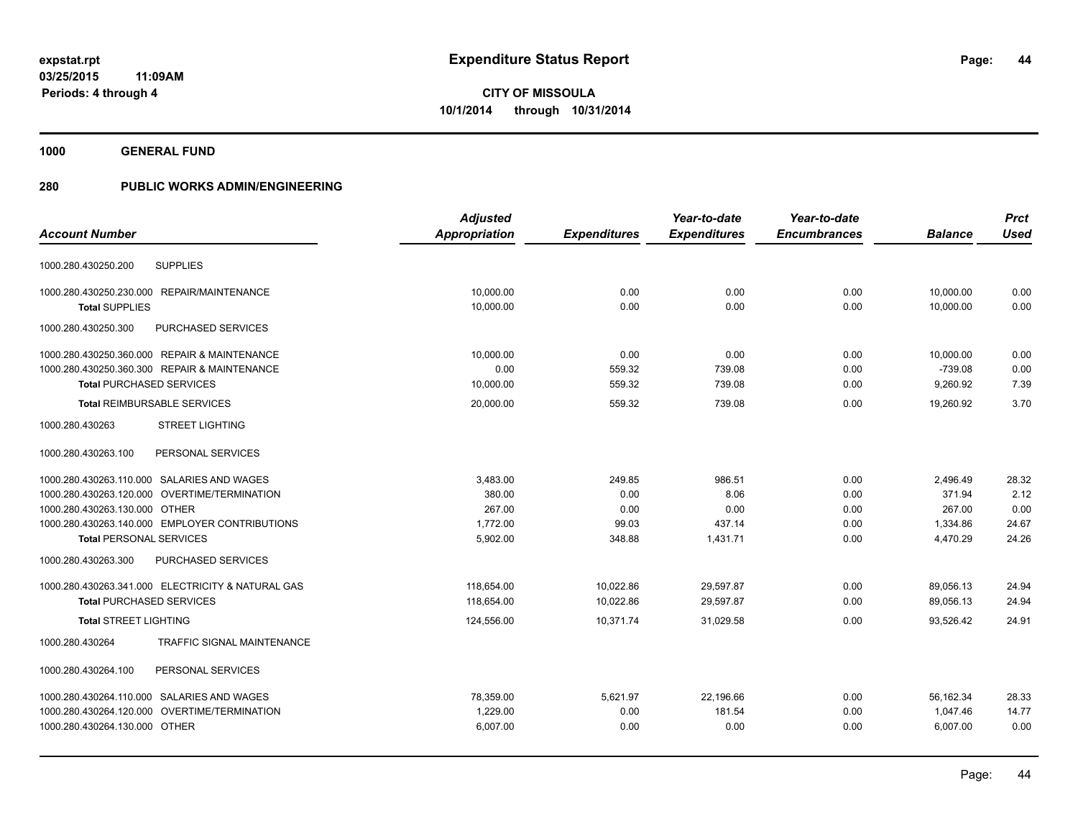**1000 GENERAL FUND**

|                                                      | <b>Adjusted</b>      |                     | Year-to-date        | Year-to-date        |                | <b>Prct</b> |
|------------------------------------------------------|----------------------|---------------------|---------------------|---------------------|----------------|-------------|
| <b>Account Number</b>                                | <b>Appropriation</b> | <b>Expenditures</b> | <b>Expenditures</b> | <b>Encumbrances</b> | <b>Balance</b> | <b>Used</b> |
| <b>SUPPLIES</b><br>1000.280.430250.200               |                      |                     |                     |                     |                |             |
|                                                      |                      |                     |                     |                     |                |             |
| 1000.280.430250.230.000 REPAIR/MAINTENANCE           | 10,000.00            | 0.00                | 0.00                | 0.00                | 10,000.00      | 0.00        |
| <b>Total SUPPLIES</b>                                | 10.000.00            | 0.00                | 0.00                | 0.00                | 10.000.00      | 0.00        |
| 1000.280.430250.300<br>PURCHASED SERVICES            |                      |                     |                     |                     |                |             |
| 1000.280.430250.360.000 REPAIR & MAINTENANCE         | 10,000.00            | 0.00                | 0.00                | 0.00                | 10,000.00      | 0.00        |
| 1000.280.430250.360.300 REPAIR & MAINTENANCE         | 0.00                 | 559.32              | 739.08              | 0.00                | $-739.08$      | 0.00        |
| <b>Total PURCHASED SERVICES</b>                      | 10,000.00            | 559.32              | 739.08              | 0.00                | 9,260.92       | 7.39        |
| <b>Total REIMBURSABLE SERVICES</b>                   | 20,000.00            | 559.32              | 739.08              | 0.00                | 19,260.92      | 3.70        |
| <b>STREET LIGHTING</b><br>1000.280.430263            |                      |                     |                     |                     |                |             |
| PERSONAL SERVICES<br>1000.280.430263.100             |                      |                     |                     |                     |                |             |
| 1000.280.430263.110.000 SALARIES AND WAGES           | 3,483.00             | 249.85              | 986.51              | 0.00                | 2,496.49       | 28.32       |
| 1000.280.430263.120.000 OVERTIME/TERMINATION         | 380.00               | 0.00                | 8.06                | 0.00                | 371.94         | 2.12        |
| 1000.280.430263.130.000 OTHER                        | 267.00               | 0.00                | 0.00                | 0.00                | 267.00         | 0.00        |
| 1000.280.430263.140.000 EMPLOYER CONTRIBUTIONS       | 1,772.00             | 99.03               | 437.14              | 0.00                | 1,334.86       | 24.67       |
| <b>Total PERSONAL SERVICES</b>                       | 5,902.00             | 348.88              | 1,431.71            | 0.00                | 4,470.29       | 24.26       |
| PURCHASED SERVICES<br>1000.280.430263.300            |                      |                     |                     |                     |                |             |
| 1000.280.430263.341.000 ELECTRICITY & NATURAL GAS    | 118,654.00           | 10,022.86           | 29,597.87           | 0.00                | 89,056.13      | 24.94       |
| <b>Total PURCHASED SERVICES</b>                      | 118,654.00           | 10,022.86           | 29,597.87           | 0.00                | 89,056.13      | 24.94       |
| <b>Total STREET LIGHTING</b>                         | 124,556.00           | 10,371.74           | 31,029.58           | 0.00                | 93,526.42      | 24.91       |
| <b>TRAFFIC SIGNAL MAINTENANCE</b><br>1000.280.430264 |                      |                     |                     |                     |                |             |
| 1000.280.430264.100<br>PERSONAL SERVICES             |                      |                     |                     |                     |                |             |
| 1000.280.430264.110.000 SALARIES AND WAGES           | 78,359.00            | 5,621.97            | 22,196.66           | 0.00                | 56,162.34      | 28.33       |
| 1000.280.430264.120.000 OVERTIME/TERMINATION         | 1,229.00             | 0.00                | 181.54              | 0.00                | 1,047.46       | 14.77       |
| 1000.280.430264.130.000 OTHER                        | 6,007.00             | 0.00                | 0.00                | 0.00                | 6,007.00       | 0.00        |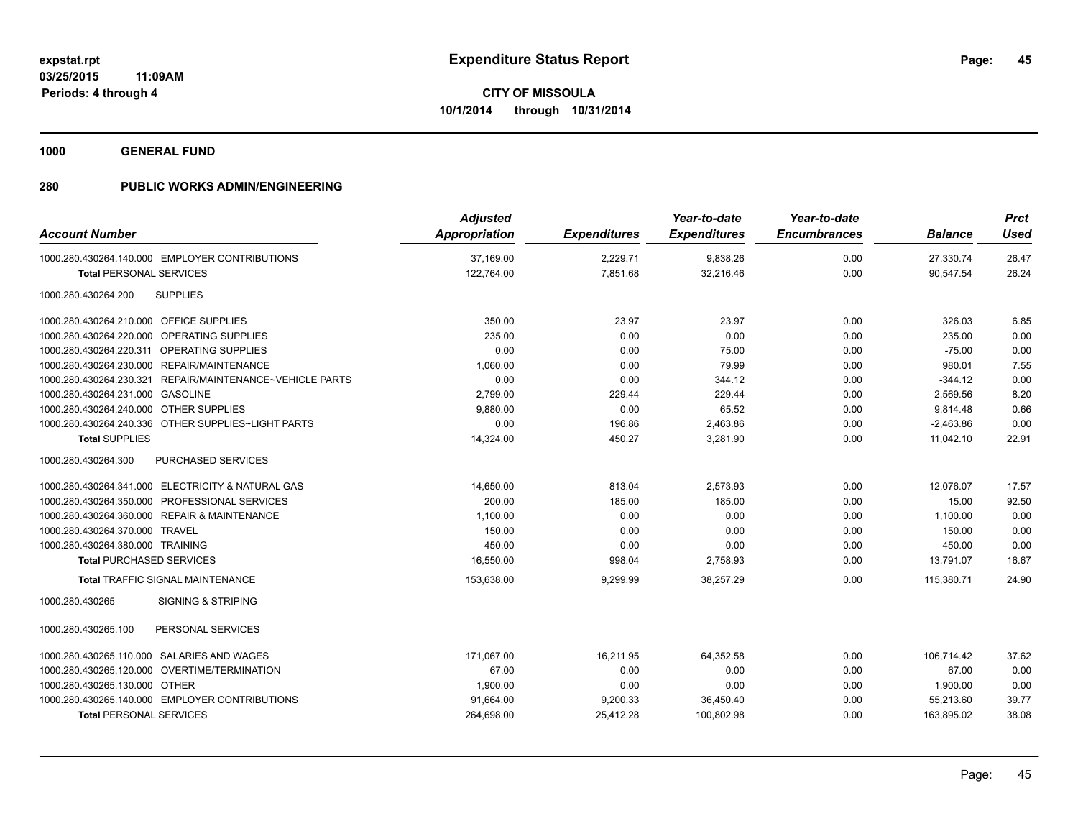**1000 GENERAL FUND**

| <b>Account Number</b>                                    | <b>Adjusted</b><br>Appropriation | <b>Expenditures</b> | Year-to-date<br><b>Expenditures</b> | Year-to-date<br><b>Encumbrances</b> | <b>Balance</b> | <b>Prct</b><br><b>Used</b> |
|----------------------------------------------------------|----------------------------------|---------------------|-------------------------------------|-------------------------------------|----------------|----------------------------|
| 1000.280.430264.140.000 EMPLOYER CONTRIBUTIONS           | 37.169.00                        | 2,229.71            | 9,838.26                            | 0.00                                | 27,330.74      | 26.47                      |
| <b>Total PERSONAL SERVICES</b>                           | 122,764.00                       | 7,851.68            | 32,216.46                           | 0.00                                | 90,547.54      | 26.24                      |
| <b>SUPPLIES</b><br>1000.280.430264.200                   |                                  |                     |                                     |                                     |                |                            |
| 1000.280.430264.210.000 OFFICE SUPPLIES                  | 350.00                           | 23.97               | 23.97                               | 0.00                                | 326.03         | 6.85                       |
| 1000.280.430264.220.000 OPERATING SUPPLIES               | 235.00                           | 0.00                | 0.00                                | 0.00                                | 235.00         | 0.00                       |
| 1000.280.430264.220.311 OPERATING SUPPLIES               | 0.00                             | 0.00                | 75.00                               | 0.00                                | $-75.00$       | 0.00                       |
| 1000.280.430264.230.000 REPAIR/MAINTENANCE               | 1,060.00                         | 0.00                | 79.99                               | 0.00                                | 980.01         | 7.55                       |
| 1000.280.430264.230.321 REPAIR/MAINTENANCE~VEHICLE PARTS | 0.00                             | 0.00                | 344.12                              | 0.00                                | $-344.12$      | 0.00                       |
| 1000.280.430264.231.000 GASOLINE                         | 2,799.00                         | 229.44              | 229.44                              | 0.00                                | 2,569.56       | 8.20                       |
| 1000.280.430264.240.000 OTHER SUPPLIES                   | 9,880.00                         | 0.00                | 65.52                               | 0.00                                | 9,814.48       | 0.66                       |
| 1000.280.430264.240.336 OTHER SUPPLIES~LIGHT PARTS       | 0.00                             | 196.86              | 2,463.86                            | 0.00                                | $-2,463.86$    | 0.00                       |
| <b>Total SUPPLIES</b>                                    | 14,324.00                        | 450.27              | 3,281.90                            | 0.00                                | 11,042.10      | 22.91                      |
| 1000.280.430264.300<br><b>PURCHASED SERVICES</b>         |                                  |                     |                                     |                                     |                |                            |
| 1000.280.430264.341.000 ELECTRICITY & NATURAL GAS        | 14,650.00                        | 813.04              | 2,573.93                            | 0.00                                | 12,076.07      | 17.57                      |
| 1000.280.430264.350.000 PROFESSIONAL SERVICES            | 200.00                           | 185.00              | 185.00                              | 0.00                                | 15.00          | 92.50                      |
| 1000.280.430264.360.000 REPAIR & MAINTENANCE             | 1,100.00                         | 0.00                | 0.00                                | 0.00                                | 1,100.00       | 0.00                       |
| 1000.280.430264.370.000 TRAVEL                           | 150.00                           | 0.00                | 0.00                                | 0.00                                | 150.00         | 0.00                       |
| 1000.280.430264.380.000 TRAINING                         | 450.00                           | 0.00                | 0.00                                | 0.00                                | 450.00         | 0.00                       |
| <b>Total PURCHASED SERVICES</b>                          | 16,550.00                        | 998.04              | 2,758.93                            | 0.00                                | 13,791.07      | 16.67                      |
| Total TRAFFIC SIGNAL MAINTENANCE                         | 153,638.00                       | 9,299.99            | 38,257.29                           | 0.00                                | 115,380.71     | 24.90                      |
| 1000.280.430265<br><b>SIGNING &amp; STRIPING</b>         |                                  |                     |                                     |                                     |                |                            |
| 1000.280.430265.100<br>PERSONAL SERVICES                 |                                  |                     |                                     |                                     |                |                            |
| 1000.280.430265.110.000 SALARIES AND WAGES               | 171,067.00                       | 16,211.95           | 64,352.58                           | 0.00                                | 106,714.42     | 37.62                      |
| 1000.280.430265.120.000 OVERTIME/TERMINATION             | 67.00                            | 0.00                | 0.00                                | 0.00                                | 67.00          | 0.00                       |
| 1000.280.430265.130.000 OTHER                            | 1,900.00                         | 0.00                | 0.00                                | 0.00                                | 1,900.00       | 0.00                       |
| 1000.280.430265.140.000 EMPLOYER CONTRIBUTIONS           | 91,664.00                        | 9,200.33            | 36,450.40                           | 0.00                                | 55,213.60      | 39.77                      |
| <b>Total PERSONAL SERVICES</b>                           | 264,698.00                       | 25,412.28           | 100,802.98                          | 0.00                                | 163,895.02     | 38.08                      |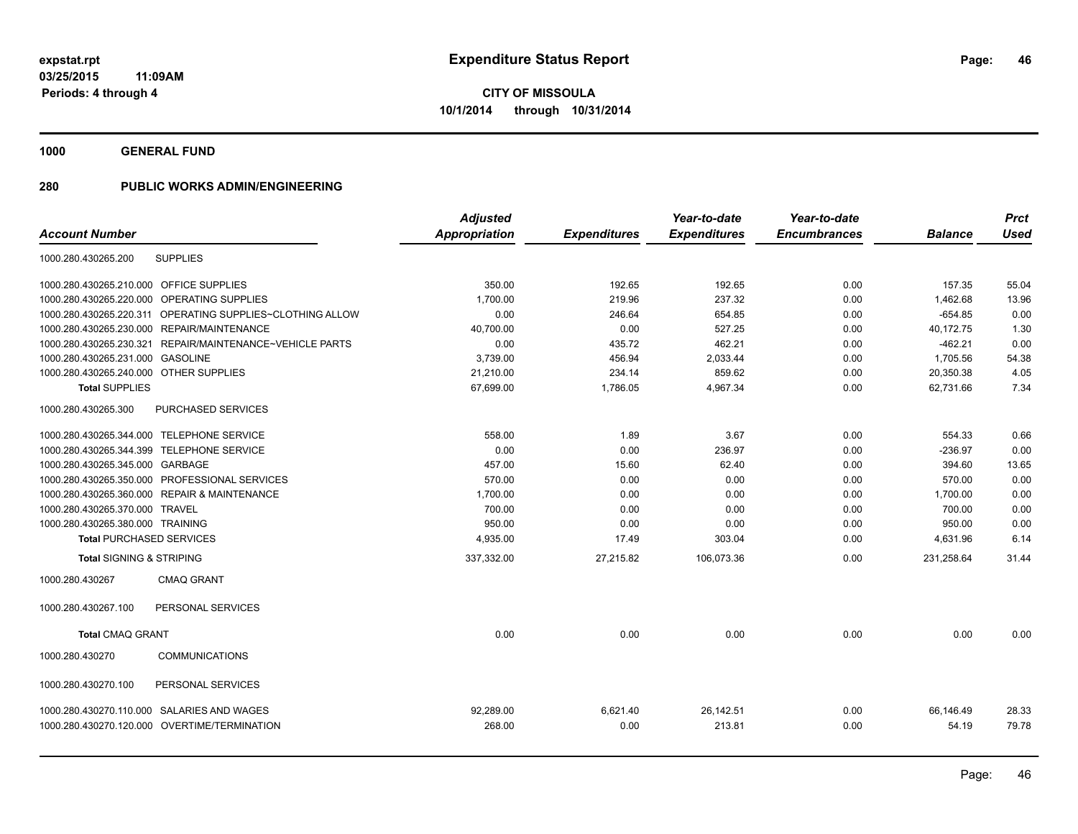**1000 GENERAL FUND**

|                                         |                                                           | <b>Adjusted</b> |                     | Year-to-date        | Year-to-date        |                | <b>Prct</b> |
|-----------------------------------------|-----------------------------------------------------------|-----------------|---------------------|---------------------|---------------------|----------------|-------------|
| <b>Account Number</b>                   |                                                           | Appropriation   | <b>Expenditures</b> | <b>Expenditures</b> | <b>Encumbrances</b> | <b>Balance</b> | <b>Used</b> |
| 1000.280.430265.200                     | <b>SUPPLIES</b>                                           |                 |                     |                     |                     |                |             |
| 1000.280.430265.210.000 OFFICE SUPPLIES |                                                           | 350.00          | 192.65              | 192.65              | 0.00                | 157.35         | 55.04       |
|                                         | 1000.280.430265.220.000 OPERATING SUPPLIES                | 1,700.00        | 219.96              | 237.32              | 0.00                | 1,462.68       | 13.96       |
|                                         | 1000.280.430265.220.311 OPERATING SUPPLIES~CLOTHING ALLOW | 0.00            | 246.64              | 654.85              | 0.00                | $-654.85$      | 0.00        |
|                                         | 1000.280.430265.230.000 REPAIR/MAINTENANCE                | 40,700.00       | 0.00                | 527.25              | 0.00                | 40,172.75      | 1.30        |
| 1000.280.430265.230.321                 | REPAIR/MAINTENANCE~VEHICLE PARTS                          | 0.00            | 435.72              | 462.21              | 0.00                | $-462.21$      | 0.00        |
| 1000.280.430265.231.000                 | <b>GASOLINE</b>                                           | 3,739.00        | 456.94              | 2,033.44            | 0.00                | 1,705.56       | 54.38       |
| 1000.280.430265.240.000 OTHER SUPPLIES  |                                                           | 21,210.00       | 234.14              | 859.62              | 0.00                | 20,350.38      | 4.05        |
| <b>Total SUPPLIES</b>                   |                                                           | 67,699.00       | 1,786.05            | 4,967.34            | 0.00                | 62,731.66      | 7.34        |
| 1000.280.430265.300                     | PURCHASED SERVICES                                        |                 |                     |                     |                     |                |             |
|                                         | 1000.280.430265.344.000 TELEPHONE SERVICE                 | 558.00          | 1.89                | 3.67                | 0.00                | 554.33         | 0.66        |
|                                         | 1000.280.430265.344.399 TELEPHONE SERVICE                 | 0.00            | 0.00                | 236.97              | 0.00                | $-236.97$      | 0.00        |
| 1000.280.430265.345.000 GARBAGE         |                                                           | 457.00          | 15.60               | 62.40               | 0.00                | 394.60         | 13.65       |
|                                         | 1000.280.430265.350.000 PROFESSIONAL SERVICES             | 570.00          | 0.00                | 0.00                | 0.00                | 570.00         | 0.00        |
|                                         | 1000.280.430265.360.000 REPAIR & MAINTENANCE              | 1,700.00        | 0.00                | 0.00                | 0.00                | 1,700.00       | 0.00        |
| 1000.280.430265.370.000 TRAVEL          |                                                           | 700.00          | 0.00                | 0.00                | 0.00                | 700.00         | 0.00        |
| 1000.280.430265.380.000 TRAINING        |                                                           | 950.00          | 0.00                | 0.00                | 0.00                | 950.00         | 0.00        |
| <b>Total PURCHASED SERVICES</b>         |                                                           | 4,935.00        | 17.49               | 303.04              | 0.00                | 4,631.96       | 6.14        |
| <b>Total SIGNING &amp; STRIPING</b>     |                                                           | 337,332.00      | 27,215.82           | 106,073.36          | 0.00                | 231,258.64     | 31.44       |
| 1000.280.430267                         | <b>CMAQ GRANT</b>                                         |                 |                     |                     |                     |                |             |
| 1000.280.430267.100                     | PERSONAL SERVICES                                         |                 |                     |                     |                     |                |             |
| <b>Total CMAQ GRANT</b>                 |                                                           | 0.00            | 0.00                | 0.00                | 0.00                | 0.00           | 0.00        |
| 1000.280.430270                         | <b>COMMUNICATIONS</b>                                     |                 |                     |                     |                     |                |             |
| 1000.280.430270.100                     | PERSONAL SERVICES                                         |                 |                     |                     |                     |                |             |
|                                         | 1000.280.430270.110.000 SALARIES AND WAGES                | 92,289.00       | 6,621.40            | 26,142.51           | 0.00                | 66,146.49      | 28.33       |
|                                         | 1000.280.430270.120.000 OVERTIME/TERMINATION              | 268.00          | 0.00                | 213.81              | 0.00                | 54.19          | 79.78       |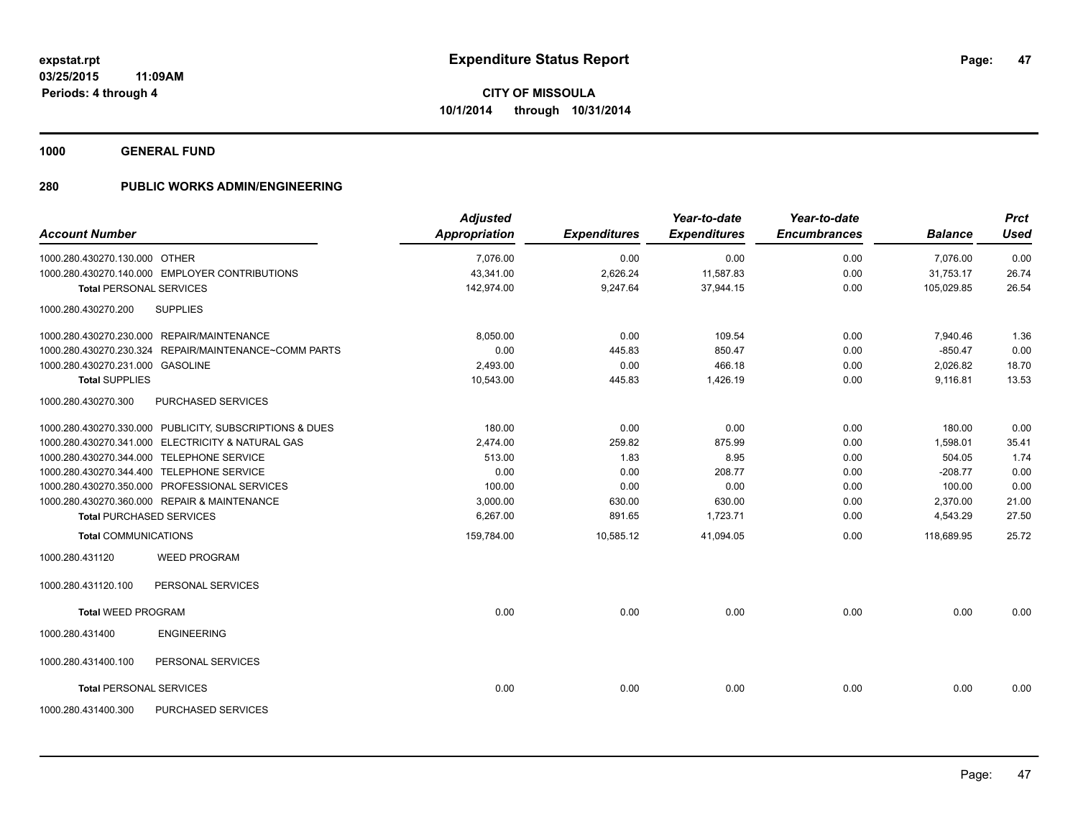**1000 GENERAL FUND**

| <b>Account Number</b>            |                                                         | <b>Adjusted</b><br>Appropriation | <b>Expenditures</b> | Year-to-date<br><b>Expenditures</b> | Year-to-date<br><b>Encumbrances</b> | <b>Balance</b> | <b>Prct</b><br><b>Used</b> |
|----------------------------------|---------------------------------------------------------|----------------------------------|---------------------|-------------------------------------|-------------------------------------|----------------|----------------------------|
| 1000.280.430270.130.000 OTHER    |                                                         | 7,076.00                         | 0.00                | 0.00                                | 0.00                                | 7,076.00       | 0.00                       |
|                                  | 1000.280.430270.140.000 EMPLOYER CONTRIBUTIONS          | 43,341.00                        | 2,626.24            | 11,587.83                           | 0.00                                | 31,753.17      | 26.74                      |
|                                  | <b>Total PERSONAL SERVICES</b>                          | 142.974.00                       | 9.247.64            | 37,944.15                           | 0.00                                | 105.029.85     | 26.54                      |
| 1000.280.430270.200              | <b>SUPPLIES</b>                                         |                                  |                     |                                     |                                     |                |                            |
|                                  | 1000.280.430270.230.000 REPAIR/MAINTENANCE              | 8,050.00                         | 0.00                | 109.54                              | 0.00                                | 7,940.46       | 1.36                       |
|                                  | 1000.280.430270.230.324 REPAIR/MAINTENANCE~COMM PARTS   | 0.00                             | 445.83              | 850.47                              | 0.00                                | $-850.47$      | 0.00                       |
| 1000.280.430270.231.000 GASOLINE |                                                         | 2,493.00                         | 0.00                | 466.18                              | 0.00                                | 2,026.82       | 18.70                      |
| <b>Total SUPPLIES</b>            |                                                         | 10,543.00                        | 445.83              | 1,426.19                            | 0.00                                | 9,116.81       | 13.53                      |
| 1000.280.430270.300              | PURCHASED SERVICES                                      |                                  |                     |                                     |                                     |                |                            |
|                                  | 1000.280.430270.330.000 PUBLICITY, SUBSCRIPTIONS & DUES | 180.00                           | 0.00                | 0.00                                | 0.00                                | 180.00         | 0.00                       |
|                                  | 1000.280.430270.341.000 ELECTRICITY & NATURAL GAS       | 2,474.00                         | 259.82              | 875.99                              | 0.00                                | 1,598.01       | 35.41                      |
|                                  | 1000.280.430270.344.000 TELEPHONE SERVICE               | 513.00                           | 1.83                | 8.95                                | 0.00                                | 504.05         | 1.74                       |
|                                  | 1000.280.430270.344.400 TELEPHONE SERVICE               | 0.00                             | 0.00                | 208.77                              | 0.00                                | $-208.77$      | 0.00                       |
|                                  | 1000.280.430270.350.000 PROFESSIONAL SERVICES           | 100.00                           | 0.00                | 0.00                                | 0.00                                | 100.00         | 0.00                       |
|                                  | 1000.280.430270.360.000 REPAIR & MAINTENANCE            | 3,000.00                         | 630.00              | 630.00                              | 0.00                                | 2,370.00       | 21.00                      |
|                                  | <b>Total PURCHASED SERVICES</b>                         | 6,267.00                         | 891.65              | 1,723.71                            | 0.00                                | 4,543.29       | 27.50                      |
| <b>Total COMMUNICATIONS</b>      |                                                         | 159,784.00                       | 10,585.12           | 41,094.05                           | 0.00                                | 118,689.95     | 25.72                      |
| 1000.280.431120                  | <b>WEED PROGRAM</b>                                     |                                  |                     |                                     |                                     |                |                            |
| 1000.280.431120.100              | PERSONAL SERVICES                                       |                                  |                     |                                     |                                     |                |                            |
| <b>Total WEED PROGRAM</b>        |                                                         | 0.00                             | 0.00                | 0.00                                | 0.00                                | 0.00           | 0.00                       |
| 1000.280.431400                  | <b>ENGINEERING</b>                                      |                                  |                     |                                     |                                     |                |                            |
| 1000.280.431400.100              | PERSONAL SERVICES                                       |                                  |                     |                                     |                                     |                |                            |
|                                  | <b>Total PERSONAL SERVICES</b>                          | 0.00                             | 0.00                | 0.00                                | 0.00                                | 0.00           | 0.00                       |
| 1000.280.431400.300              | <b>PURCHASED SERVICES</b>                               |                                  |                     |                                     |                                     |                |                            |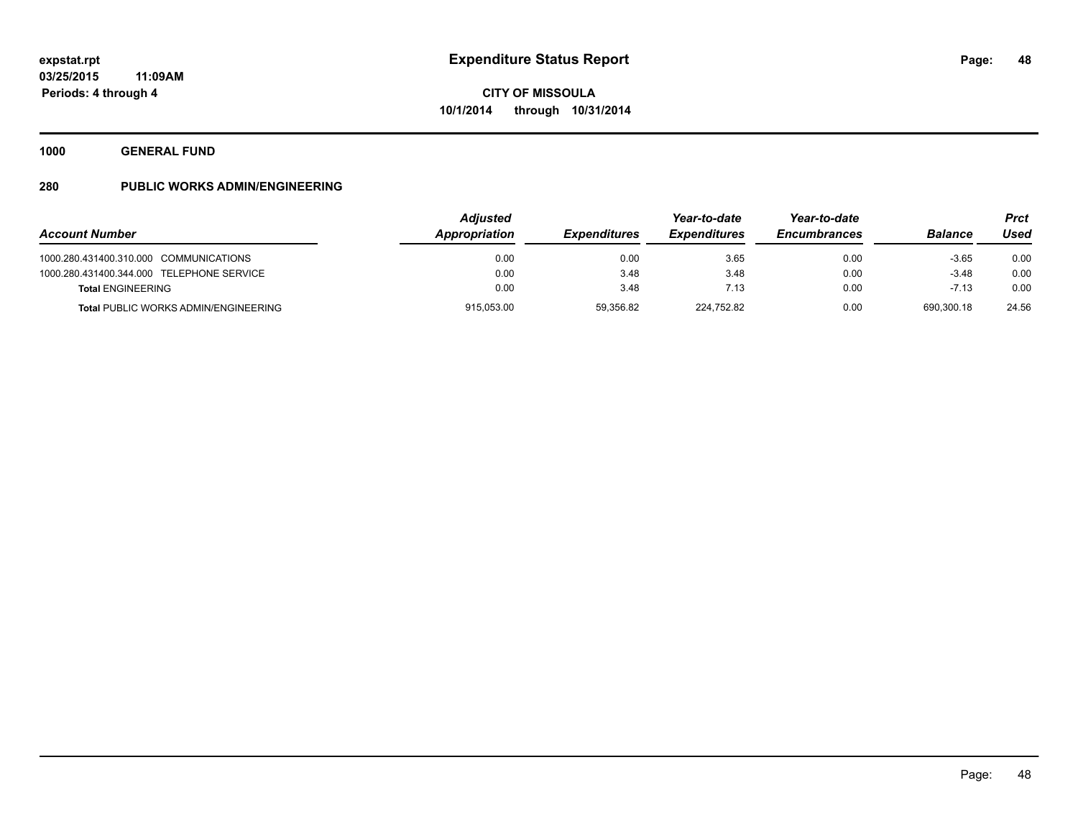**1000 GENERAL FUND**

|                                             | <b>Adjusted</b> |                            | Year-to-date        | Year-to-date        |                | <b>Prct</b> |
|---------------------------------------------|-----------------|----------------------------|---------------------|---------------------|----------------|-------------|
| <b>Account Number</b>                       | Appropriation   | <i><b>Expenditures</b></i> | <b>Expenditures</b> | <b>Encumbrances</b> | <b>Balance</b> | Used        |
| 1000.280.431400.310.000 COMMUNICATIONS      | 0.00            | 0.00                       | 3.65                | 0.00                | $-3.65$        | 0.00        |
| 1000.280.431400.344.000 TELEPHONE SERVICE   | 0.00            | 3.48                       | 3.48                | 0.00                | $-3.48$        | 0.00        |
| <b>Total ENGINEERING</b>                    | 0.00            | 3.48                       | 7.13                | 0.00                | $-7.13$        | 0.00        |
| <b>Total PUBLIC WORKS ADMIN/ENGINEERING</b> | 915,053.00      | 59,356.82                  | 224,752.82          | 0.00                | 690.300.18     | 24.56       |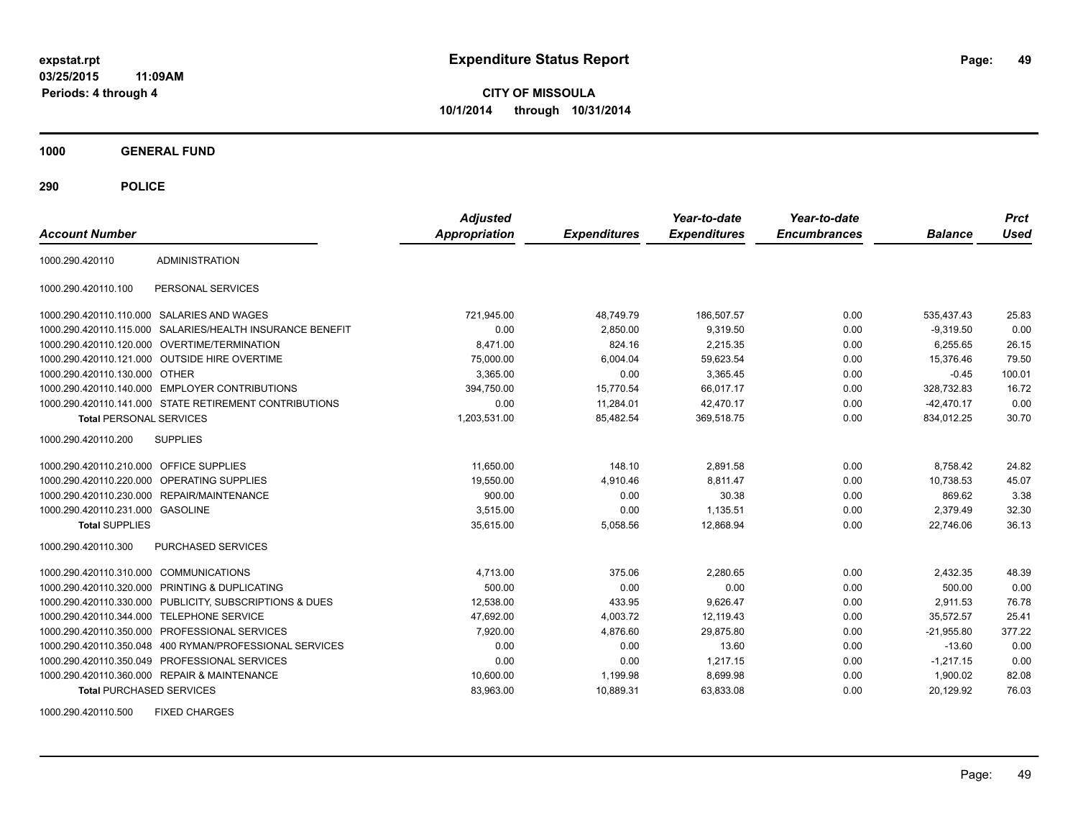**CITY OF MISSOULA 10/1/2014 through 10/31/2014**

**1000 GENERAL FUND**

**290 POLICE**

| <b>Account Number</b>                   |                                                            | <b>Adjusted</b><br><b>Appropriation</b> | <b>Expenditures</b> | Year-to-date<br><b>Expenditures</b> | Year-to-date<br><b>Encumbrances</b> | <b>Balance</b> | <b>Prct</b><br>Used |
|-----------------------------------------|------------------------------------------------------------|-----------------------------------------|---------------------|-------------------------------------|-------------------------------------|----------------|---------------------|
| 1000.290.420110                         | <b>ADMINISTRATION</b>                                      |                                         |                     |                                     |                                     |                |                     |
| 1000.290.420110.100                     | PERSONAL SERVICES                                          |                                         |                     |                                     |                                     |                |                     |
|                                         | 1000.290.420110.110.000 SALARIES AND WAGES                 | 721,945.00                              | 48,749.79           | 186,507.57                          | 0.00                                | 535.437.43     | 25.83               |
| 1000.290.420110.115.000                 | SALARIES/HEALTH INSURANCE BENEFIT                          | 0.00                                    | 2,850.00            | 9,319.50                            | 0.00                                | $-9,319.50$    | 0.00                |
|                                         | 1000.290.420110.120.000 OVERTIME/TERMINATION               | 8.471.00                                | 824.16              | 2.215.35                            | 0.00                                | 6.255.65       | 26.15               |
|                                         | 1000.290.420110.121.000 OUTSIDE HIRE OVERTIME              | 75,000.00                               | 6,004.04            | 59,623.54                           | 0.00                                | 15,376.46      | 79.50               |
| 1000.290.420110.130.000 OTHER           |                                                            | 3,365.00                                | 0.00                | 3,365.45                            | 0.00                                | $-0.45$        | 100.01              |
|                                         | 1000.290.420110.140.000 EMPLOYER CONTRIBUTIONS             | 394,750.00                              | 15.770.54           | 66,017.17                           | 0.00                                | 328.732.83     | 16.72               |
|                                         | 1000.290.420110.141.000 STATE RETIREMENT CONTRIBUTIONS     | 0.00                                    | 11,284.01           | 42,470.17                           | 0.00                                | $-42,470.17$   | 0.00                |
| <b>Total PERSONAL SERVICES</b>          |                                                            | 1,203,531.00                            | 85,482.54           | 369,518.75                          | 0.00                                | 834,012.25     | 30.70               |
| 1000.290.420110.200                     | <b>SUPPLIES</b>                                            |                                         |                     |                                     |                                     |                |                     |
| 1000.290.420110.210.000 OFFICE SUPPLIES |                                                            | 11,650.00                               | 148.10              | 2,891.58                            | 0.00                                | 8,758.42       | 24.82               |
| 1000.290.420110.220.000                 | <b>OPERATING SUPPLIES</b>                                  | 19,550.00                               | 4,910.46            | 8.811.47                            | 0.00                                | 10,738.53      | 45.07               |
|                                         | 1000.290.420110.230.000 REPAIR/MAINTENANCE                 | 900.00                                  | 0.00                | 30.38                               | 0.00                                | 869.62         | 3.38                |
| 1000.290.420110.231.000 GASOLINE        |                                                            | 3,515.00                                | 0.00                | 1,135.51                            | 0.00                                | 2,379.49       | 32.30               |
| <b>Total SUPPLIES</b>                   |                                                            | 35,615.00                               | 5,058.56            | 12,868.94                           | 0.00                                | 22.746.06      | 36.13               |
| 1000.290.420110.300                     | PURCHASED SERVICES                                         |                                         |                     |                                     |                                     |                |                     |
| 1000.290.420110.310.000 COMMUNICATIONS  |                                                            | 4,713.00                                | 375.06              | 2,280.65                            | 0.00                                | 2,432.35       | 48.39               |
| 1000.290.420110.320.000                 | PRINTING & DUPLICATING                                     | 500.00                                  | 0.00                | 0.00                                | 0.00                                | 500.00         | 0.00                |
|                                         | 1000.290.420110.330.000 PUBLICITY, SUBSCRIPTIONS & DUES    | 12,538.00                               | 433.95              | 9.626.47                            | 0.00                                | 2.911.53       | 76.78               |
|                                         | 1000.290.420110.344.000 TELEPHONE SERVICE                  | 47,692.00                               | 4,003.72            | 12,119.43                           | 0.00                                | 35,572.57      | 25.41               |
| 1000.290.420110.350.000                 | PROFESSIONAL SERVICES                                      | 7,920.00                                | 4.876.60            | 29,875.80                           | 0.00                                | $-21,955.80$   | 377.22              |
|                                         | 1000.290.420110.350.048    400 RYMAN/PROFESSIONAL SERVICES | 0.00                                    | 0.00                | 13.60                               | 0.00                                | $-13.60$       | 0.00                |
|                                         | 1000.290.420110.350.049 PROFESSIONAL SERVICES              | 0.00                                    | 0.00                | 1,217.15                            | 0.00                                | $-1,217.15$    | 0.00                |
|                                         | 1000.290.420110.360.000 REPAIR & MAINTENANCE               | 10,600.00                               | 1,199.98            | 8,699.98                            | 0.00                                | 1.900.02       | 82.08               |
| <b>Total PURCHASED SERVICES</b>         |                                                            | 83,963.00                               | 10,889.31           | 63,833.08                           | 0.00                                | 20,129.92      | 76.03               |

1000.290.420110.500 FIXED CHARGES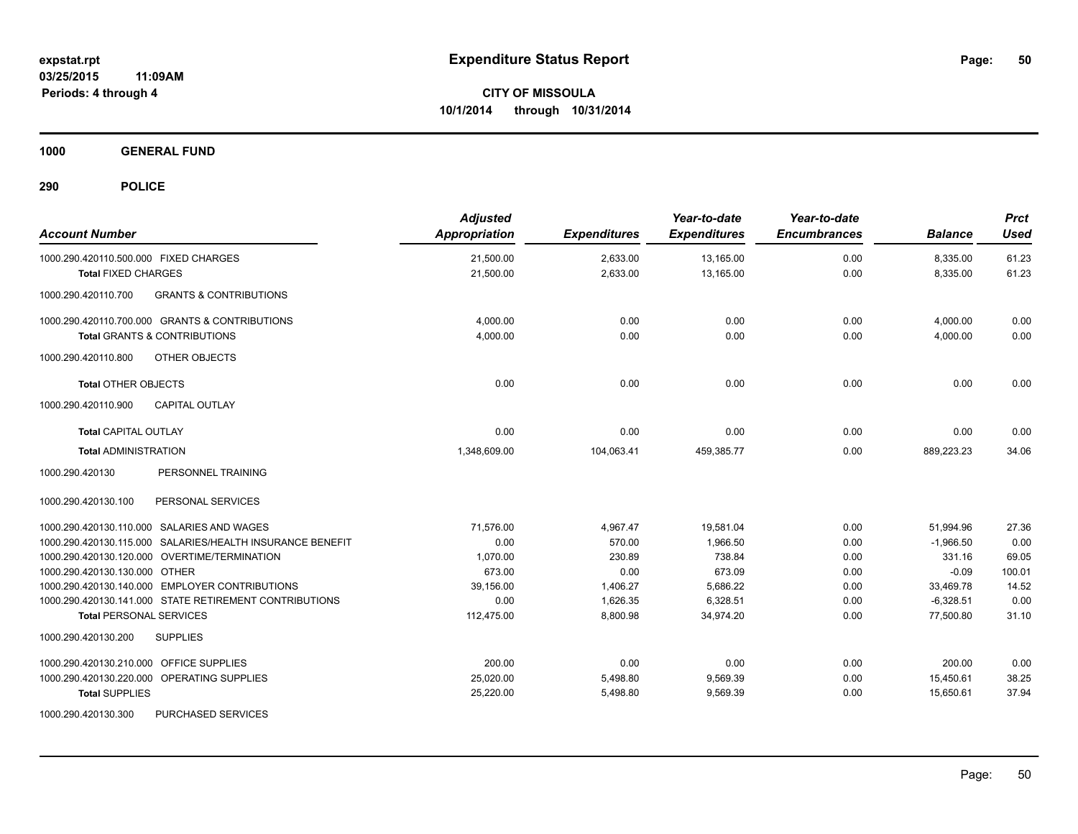**1000 GENERAL FUND**

| <b>Account Number</b>                                     | <b>Adjusted</b><br>Appropriation | <b>Expenditures</b> | Year-to-date<br><b>Expenditures</b> | Year-to-date<br><b>Encumbrances</b> | <b>Balance</b> | <b>Prct</b><br><b>Used</b> |
|-----------------------------------------------------------|----------------------------------|---------------------|-------------------------------------|-------------------------------------|----------------|----------------------------|
| 1000.290.420110.500.000 FIXED CHARGES                     | 21,500.00                        | 2,633.00            | 13,165.00                           | 0.00                                | 8,335.00       | 61.23                      |
| <b>Total FIXED CHARGES</b>                                | 21,500.00                        | 2,633.00            | 13,165.00                           | 0.00                                | 8,335.00       | 61.23                      |
| 1000.290.420110.700<br><b>GRANTS &amp; CONTRIBUTIONS</b>  |                                  |                     |                                     |                                     |                |                            |
| 1000.290.420110.700.000 GRANTS & CONTRIBUTIONS            | 4,000.00                         | 0.00                | 0.00                                | 0.00                                | 4,000.00       | 0.00                       |
| <b>Total GRANTS &amp; CONTRIBUTIONS</b>                   | 4,000.00                         | 0.00                | 0.00                                | 0.00                                | 4,000.00       | 0.00                       |
| OTHER OBJECTS<br>1000.290.420110.800                      |                                  |                     |                                     |                                     |                |                            |
| <b>Total OTHER OBJECTS</b>                                | 0.00                             | 0.00                | 0.00                                | 0.00                                | 0.00           | 0.00                       |
| <b>CAPITAL OUTLAY</b><br>1000.290.420110.900              |                                  |                     |                                     |                                     |                |                            |
| <b>Total CAPITAL OUTLAY</b>                               | 0.00                             | 0.00                | 0.00                                | 0.00                                | 0.00           | 0.00                       |
| <b>Total ADMINISTRATION</b>                               | 1.348.609.00                     | 104.063.41          | 459.385.77                          | 0.00                                | 889.223.23     | 34.06                      |
| PERSONNEL TRAINING<br>1000.290.420130                     |                                  |                     |                                     |                                     |                |                            |
| PERSONAL SERVICES<br>1000.290.420130.100                  |                                  |                     |                                     |                                     |                |                            |
| 1000.290.420130.110.000 SALARIES AND WAGES                | 71,576.00                        | 4,967.47            | 19,581.04                           | 0.00                                | 51,994.96      | 27.36                      |
| 1000.290.420130.115.000 SALARIES/HEALTH INSURANCE BENEFIT | 0.00                             | 570.00              | 1.966.50                            | 0.00                                | $-1,966.50$    | 0.00                       |
| 1000.290.420130.120.000 OVERTIME/TERMINATION              | 1,070.00                         | 230.89              | 738.84                              | 0.00                                | 331.16         | 69.05                      |
| 1000.290.420130.130.000 OTHER                             | 673.00                           | 0.00                | 673.09                              | 0.00                                | $-0.09$        | 100.01                     |
| 1000.290.420130.140.000 EMPLOYER CONTRIBUTIONS            | 39,156.00                        | 1,406.27            | 5,686.22                            | 0.00                                | 33,469.78      | 14.52                      |
| 1000.290.420130.141.000 STATE RETIREMENT CONTRIBUTIONS    | 0.00                             | 1.626.35            | 6.328.51                            | 0.00                                | $-6,328.51$    | 0.00                       |
| <b>Total PERSONAL SERVICES</b>                            | 112,475.00                       | 8,800.98            | 34.974.20                           | 0.00                                | 77.500.80      | 31.10                      |
| 1000.290.420130.200<br><b>SUPPLIES</b>                    |                                  |                     |                                     |                                     |                |                            |
| 1000.290.420130.210.000 OFFICE SUPPLIES                   | 200.00                           | 0.00                | 0.00                                | 0.00                                | 200.00         | 0.00                       |
| 1000.290.420130.220.000 OPERATING SUPPLIES                | 25,020.00                        | 5,498.80            | 9,569.39                            | 0.00                                | 15,450.61      | 38.25                      |
| <b>Total SUPPLIES</b>                                     | 25,220.00                        | 5,498.80            | 9,569.39                            | 0.00                                | 15,650.61      | 37.94                      |
| 1000.290.420130.300<br>PURCHASED SERVICES                 |                                  |                     |                                     |                                     |                |                            |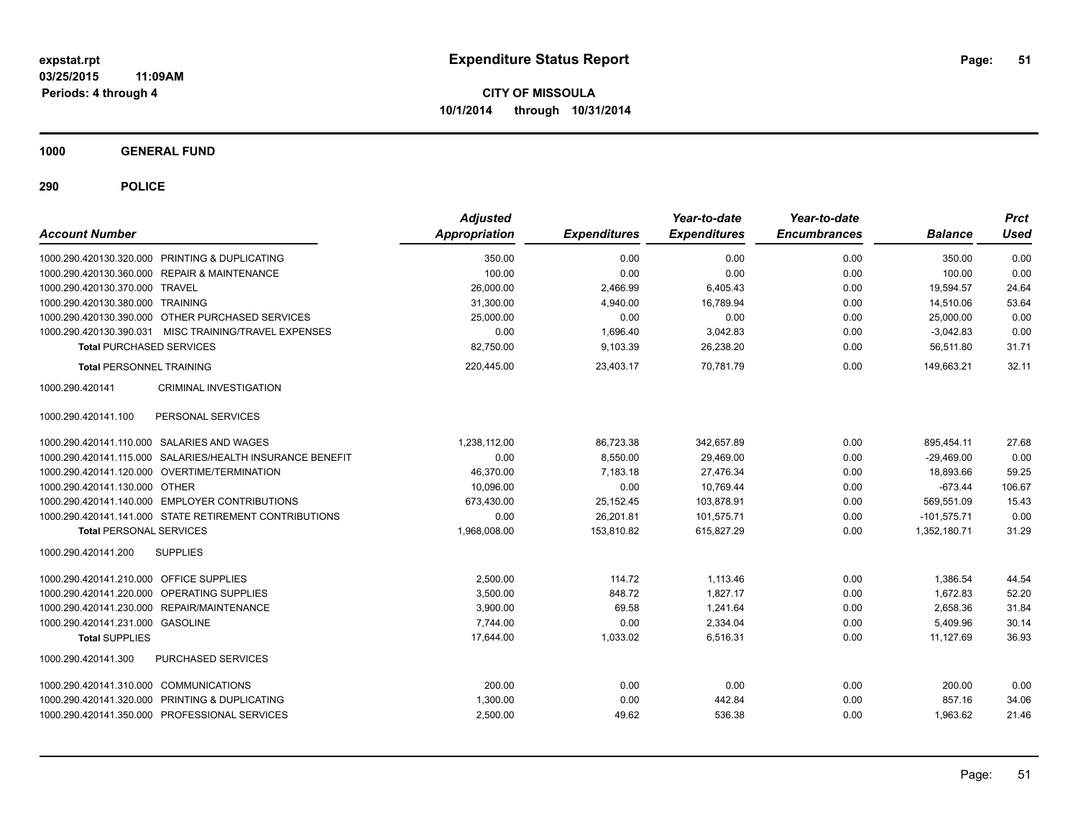**1000 GENERAL FUND**

| <b>Account Number</b>                                     | <b>Adjusted</b><br><b>Appropriation</b> | <b>Expenditures</b> | Year-to-date<br><b>Expenditures</b> | Year-to-date<br><b>Encumbrances</b> | <b>Balance</b> | <b>Prct</b><br>Used |
|-----------------------------------------------------------|-----------------------------------------|---------------------|-------------------------------------|-------------------------------------|----------------|---------------------|
| 1000.290.420130.320.000 PRINTING & DUPLICATING            | 350.00                                  | 0.00                | 0.00                                | 0.00                                | 350.00         | 0.00                |
| 1000.290.420130.360.000 REPAIR & MAINTENANCE              | 100.00                                  | 0.00                | 0.00                                | 0.00                                | 100.00         | 0.00                |
| 1000.290.420130.370.000 TRAVEL                            | 26,000.00                               | 2,466.99            | 6,405.43                            | 0.00                                | 19,594.57      | 24.64               |
| 1000.290.420130.380.000 TRAINING                          | 31,300.00                               | 4,940.00            | 16,789.94                           | 0.00                                | 14,510.06      | 53.64               |
| 1000.290.420130.390.000 OTHER PURCHASED SERVICES          | 25,000.00                               | 0.00                | 0.00                                | 0.00                                | 25.000.00      | 0.00                |
| 1000.290.420130.390.031 MISC TRAINING/TRAVEL EXPENSES     | 0.00                                    | 1,696.40            | 3,042.83                            | 0.00                                | $-3,042.83$    | 0.00                |
| <b>Total PURCHASED SERVICES</b>                           | 82,750.00                               | 9,103.39            | 26,238.20                           | 0.00                                | 56,511.80      | 31.71               |
| <b>Total PERSONNEL TRAINING</b>                           | 220,445.00                              | 23,403.17           | 70.781.79                           | 0.00                                | 149,663.21     | 32.11               |
| CRIMINAL INVESTIGATION<br>1000.290.420141                 |                                         |                     |                                     |                                     |                |                     |
| PERSONAL SERVICES<br>1000.290.420141.100                  |                                         |                     |                                     |                                     |                |                     |
| 1000.290.420141.110.000 SALARIES AND WAGES                | 1,238,112.00                            | 86,723.38           | 342.657.89                          | 0.00                                | 895.454.11     | 27.68               |
| 1000.290.420141.115.000 SALARIES/HEALTH INSURANCE BENEFIT | 0.00                                    | 8,550.00            | 29,469.00                           | 0.00                                | $-29,469.00$   | 0.00                |
| 1000.290.420141.120.000 OVERTIME/TERMINATION              | 46,370.00                               | 7,183.18            | 27,476.34                           | 0.00                                | 18,893.66      | 59.25               |
| 1000.290.420141.130.000 OTHER                             | 10,096.00                               | 0.00                | 10,769.44                           | 0.00                                | $-673.44$      | 106.67              |
| 1000.290.420141.140.000 EMPLOYER CONTRIBUTIONS            | 673.430.00                              | 25,152.45           | 103.878.91                          | 0.00                                | 569.551.09     | 15.43               |
| 1000.290.420141.141.000 STATE RETIREMENT CONTRIBUTIONS    | 0.00                                    | 26,201.81           | 101,575.71                          | 0.00                                | $-101,575.71$  | 0.00                |
| <b>Total PERSONAL SERVICES</b>                            | 1,968,008.00                            | 153,810.82          | 615,827.29                          | 0.00                                | 1,352,180.71   | 31.29               |
| 1000.290.420141.200<br><b>SUPPLIES</b>                    |                                         |                     |                                     |                                     |                |                     |
| 1000.290.420141.210.000 OFFICE SUPPLIES                   | 2.500.00                                | 114.72              | 1.113.46                            | 0.00                                | 1.386.54       | 44.54               |
| 1000.290.420141.220.000 OPERATING SUPPLIES                | 3,500.00                                | 848.72              | 1.827.17                            | 0.00                                | 1.672.83       | 52.20               |
| 1000.290.420141.230.000 REPAIR/MAINTENANCE                | 3,900.00                                | 69.58               | 1,241.64                            | 0.00                                | 2,658.36       | 31.84               |
| 1000.290.420141.231.000 GASOLINE                          | 7,744.00                                | 0.00                | 2,334.04                            | 0.00                                | 5,409.96       | 30.14               |
| <b>Total SUPPLIES</b>                                     | 17,644.00                               | 1,033.02            | 6.516.31                            | 0.00                                | 11,127.69      | 36.93               |
| PURCHASED SERVICES<br>1000.290.420141.300                 |                                         |                     |                                     |                                     |                |                     |
| 1000.290.420141.310.000 COMMUNICATIONS                    | 200.00                                  | 0.00                | 0.00                                | 0.00                                | 200.00         | 0.00                |
| 1000.290.420141.320.000 PRINTING & DUPLICATING            | 1,300.00                                | 0.00                | 442.84                              | 0.00                                | 857.16         | 34.06               |
| 1000.290.420141.350.000 PROFESSIONAL SERVICES             | 2,500.00                                | 49.62               | 536.38                              | 0.00                                | 1,963.62       | 21.46               |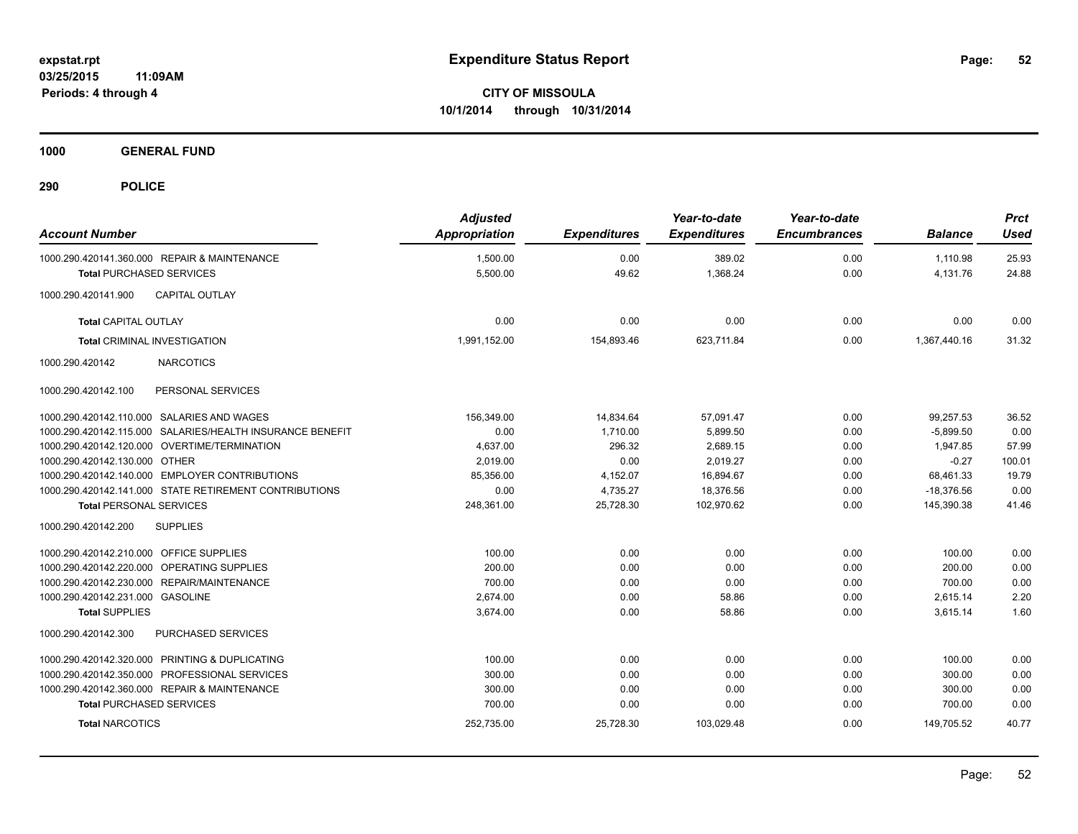**1000 GENERAL FUND**

| <b>Account Number</b>                   |                                                           | <b>Adjusted</b><br><b>Appropriation</b> | <b>Expenditures</b> | Year-to-date<br><b>Expenditures</b> | Year-to-date<br><b>Encumbrances</b> | <b>Balance</b> | <b>Prct</b><br><b>Used</b> |
|-----------------------------------------|-----------------------------------------------------------|-----------------------------------------|---------------------|-------------------------------------|-------------------------------------|----------------|----------------------------|
|                                         | 1000.290.420141.360.000 REPAIR & MAINTENANCE              | 1,500.00                                | 0.00                | 389.02                              | 0.00                                | 1,110.98       | 25.93                      |
| <b>Total PURCHASED SERVICES</b>         |                                                           | 5,500.00                                | 49.62               | 1,368.24                            | 0.00                                | 4,131.76       | 24.88                      |
| 1000.290.420141.900                     | <b>CAPITAL OUTLAY</b>                                     |                                         |                     |                                     |                                     |                |                            |
| <b>Total CAPITAL OUTLAY</b>             |                                                           | 0.00                                    | 0.00                | 0.00                                | 0.00                                | 0.00           | 0.00                       |
|                                         | <b>Total CRIMINAL INVESTIGATION</b>                       | 1,991,152.00                            | 154,893.46          | 623,711.84                          | 0.00                                | 1,367,440.16   | 31.32                      |
| 1000.290.420142                         | <b>NARCOTICS</b>                                          |                                         |                     |                                     |                                     |                |                            |
| 1000.290.420142.100                     | PERSONAL SERVICES                                         |                                         |                     |                                     |                                     |                |                            |
|                                         | 1000.290.420142.110.000 SALARIES AND WAGES                | 156.349.00                              | 14,834.64           | 57,091.47                           | 0.00                                | 99,257.53      | 36.52                      |
|                                         | 1000.290.420142.115.000 SALARIES/HEALTH INSURANCE BENEFIT | 0.00                                    | 1.710.00            | 5.899.50                            | 0.00                                | $-5.899.50$    | 0.00                       |
|                                         | 1000.290.420142.120.000 OVERTIME/TERMINATION              | 4,637.00                                | 296.32              | 2,689.15                            | 0.00                                | 1,947.85       | 57.99                      |
| 1000.290.420142.130.000 OTHER           |                                                           | 2.019.00                                | 0.00                | 2.019.27                            | 0.00                                | $-0.27$        | 100.01                     |
|                                         | 1000.290.420142.140.000 EMPLOYER CONTRIBUTIONS            | 85,356.00                               | 4,152.07            | 16,894.67                           | 0.00                                | 68,461.33      | 19.79                      |
|                                         | 1000.290.420142.141.000 STATE RETIREMENT CONTRIBUTIONS    | 0.00                                    | 4,735.27            | 18,376.56                           | 0.00                                | $-18,376.56$   | 0.00                       |
| <b>Total PERSONAL SERVICES</b>          |                                                           | 248,361.00                              | 25,728.30           | 102,970.62                          | 0.00                                | 145,390.38     | 41.46                      |
| 1000.290.420142.200                     | <b>SUPPLIES</b>                                           |                                         |                     |                                     |                                     |                |                            |
| 1000.290.420142.210.000 OFFICE SUPPLIES |                                                           | 100.00                                  | 0.00                | 0.00                                | 0.00                                | 100.00         | 0.00                       |
|                                         | 1000.290.420142.220.000 OPERATING SUPPLIES                | 200.00                                  | 0.00                | 0.00                                | 0.00                                | 200.00         | 0.00                       |
|                                         | 1000.290.420142.230.000 REPAIR/MAINTENANCE                | 700.00                                  | 0.00                | 0.00                                | 0.00                                | 700.00         | 0.00                       |
| 1000.290.420142.231.000 GASOLINE        |                                                           | 2,674.00                                | 0.00                | 58.86                               | 0.00                                | 2,615.14       | 2.20                       |
| <b>Total SUPPLIES</b>                   |                                                           | 3,674.00                                | 0.00                | 58.86                               | 0.00                                | 3,615.14       | 1.60                       |
| 1000.290.420142.300                     | <b>PURCHASED SERVICES</b>                                 |                                         |                     |                                     |                                     |                |                            |
|                                         | 1000.290.420142.320.000 PRINTING & DUPLICATING            | 100.00                                  | 0.00                | 0.00                                | 0.00                                | 100.00         | 0.00                       |
|                                         | 1000.290.420142.350.000 PROFESSIONAL SERVICES             | 300.00                                  | 0.00                | 0.00                                | 0.00                                | 300.00         | 0.00                       |
|                                         | 1000.290.420142.360.000 REPAIR & MAINTENANCE              | 300.00                                  | 0.00                | 0.00                                | 0.00                                | 300.00         | 0.00                       |
| <b>Total PURCHASED SERVICES</b>         |                                                           | 700.00                                  | 0.00                | 0.00                                | 0.00                                | 700.00         | 0.00                       |
| <b>Total NARCOTICS</b>                  |                                                           | 252,735.00                              | 25,728.30           | 103,029.48                          | 0.00                                | 149,705.52     | 40.77                      |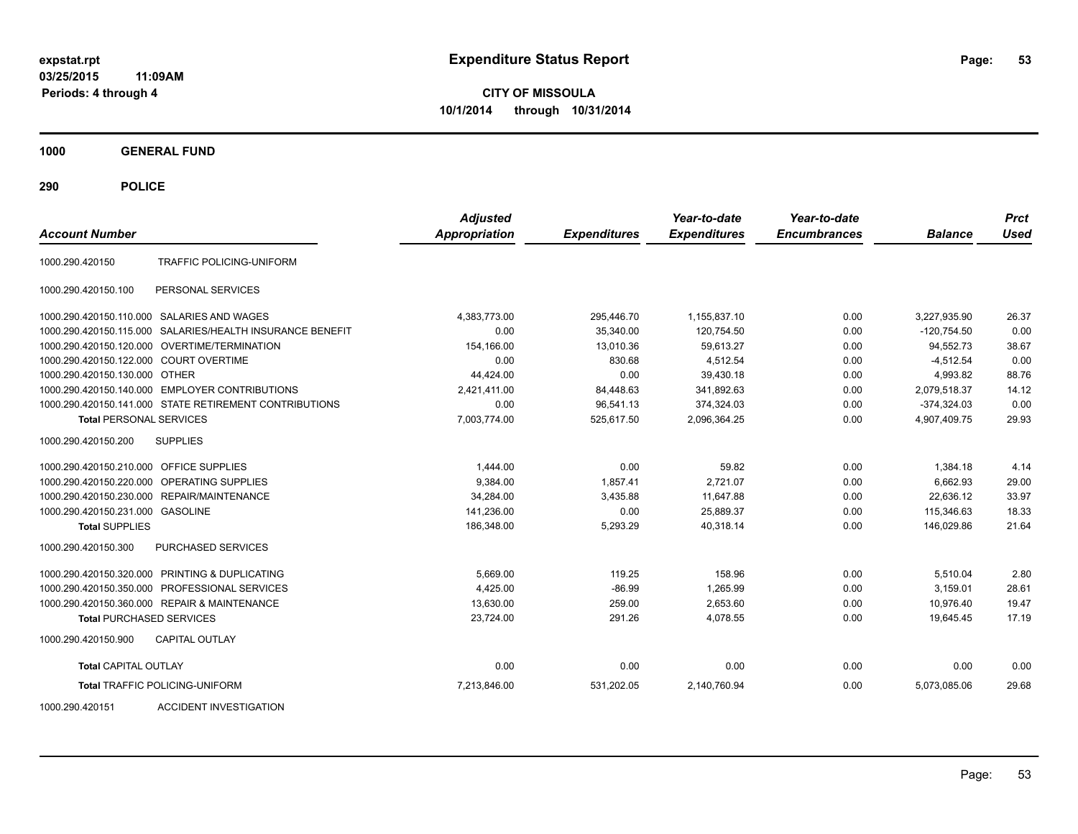**CITY OF MISSOULA 10/1/2014 through 10/31/2014**

**1000 GENERAL FUND**

**290 POLICE**

| <b>Account Number</b>                                  |                                   | <b>Adjusted</b><br><b>Appropriation</b> | <b>Expenditures</b> | Year-to-date<br><b>Expenditures</b> | Year-to-date<br><b>Encumbrances</b> | <b>Balance</b> | <b>Prct</b><br>Used |
|--------------------------------------------------------|-----------------------------------|-----------------------------------------|---------------------|-------------------------------------|-------------------------------------|----------------|---------------------|
| TRAFFIC POLICING-UNIFORM<br>1000.290.420150            |                                   |                                         |                     |                                     |                                     |                |                     |
| 1000.290.420150.100<br>PERSONAL SERVICES               |                                   |                                         |                     |                                     |                                     |                |                     |
| 1000.290.420150.110.000 SALARIES AND WAGES             |                                   | 4,383,773.00                            | 295,446.70          | 1,155,837.10                        | 0.00                                | 3,227,935.90   | 26.37               |
| 1000.290.420150.115.000                                | SALARIES/HEALTH INSURANCE BENEFIT | 0.00                                    | 35,340.00           | 120,754.50                          | 0.00                                | $-120,754.50$  | 0.00                |
| <b>OVERTIME/TERMINATION</b><br>1000.290.420150.120.000 |                                   | 154,166.00                              | 13,010.36           | 59,613.27                           | 0.00                                | 94,552.73      | 38.67               |
| 1000.290.420150.122.000 COURT OVERTIME                 |                                   | 0.00                                    | 830.68              | 4,512.54                            | 0.00                                | $-4,512.54$    | 0.00                |
| 1000.290.420150.130.000 OTHER                          |                                   | 44.424.00                               | 0.00                | 39,430.18                           | 0.00                                | 4,993.82       | 88.76               |
| 1000.290.420150.140.000 EMPLOYER CONTRIBUTIONS         |                                   | 2.421.411.00                            | 84,448.63           | 341.892.63                          | 0.00                                | 2.079.518.37   | 14.12               |
| 1000.290.420150.141.000 STATE RETIREMENT CONTRIBUTIONS |                                   | 0.00                                    | 96,541.13           | 374,324.03                          | 0.00                                | $-374,324.03$  | 0.00                |
| <b>Total PERSONAL SERVICES</b>                         |                                   | 7,003,774.00                            | 525,617.50          | 2,096,364.25                        | 0.00                                | 4,907,409.75   | 29.93               |
| 1000.290.420150.200<br><b>SUPPLIES</b>                 |                                   |                                         |                     |                                     |                                     |                |                     |
| 1000.290.420150.210.000 OFFICE SUPPLIES                |                                   | 1,444.00                                | 0.00                | 59.82                               | 0.00                                | 1,384.18       | 4.14                |
| 1000.290.420150.220.000 OPERATING SUPPLIES             |                                   | 9,384.00                                | 1,857.41            | 2,721.07                            | 0.00                                | 6.662.93       | 29.00               |
| 1000.290.420150.230.000<br>REPAIR/MAINTENANCE          |                                   | 34,284.00                               | 3,435.88            | 11,647.88                           | 0.00                                | 22.636.12      | 33.97               |
| 1000.290.420150.231.000 GASOLINE                       |                                   | 141,236.00                              | 0.00                | 25,889.37                           | 0.00                                | 115.346.63     | 18.33               |
| <b>Total SUPPLIES</b>                                  |                                   | 186,348.00                              | 5,293.29            | 40,318.14                           | 0.00                                | 146,029.86     | 21.64               |
| 1000.290.420150.300<br>PURCHASED SERVICES              |                                   |                                         |                     |                                     |                                     |                |                     |
| 1000.290.420150.320.000 PRINTING & DUPLICATING         |                                   | 5,669.00                                | 119.25              | 158.96                              | 0.00                                | 5,510.04       | 2.80                |
| PROFESSIONAL SERVICES<br>1000.290.420150.350.000       |                                   | 4,425.00                                | $-86.99$            | 1,265.99                            | 0.00                                | 3,159.01       | 28.61               |
| 1000.290.420150.360.000 REPAIR & MAINTENANCE           |                                   | 13,630.00                               | 259.00              | 2,653.60                            | 0.00                                | 10.976.40      | 19.47               |
| <b>Total PURCHASED SERVICES</b>                        |                                   | 23,724.00                               | 291.26              | 4,078.55                            | 0.00                                | 19.645.45      | 17.19               |
| 1000.290.420150.900<br><b>CAPITAL OUTLAY</b>           |                                   |                                         |                     |                                     |                                     |                |                     |
| <b>Total CAPITAL OUTLAY</b>                            |                                   | 0.00                                    | 0.00                | 0.00                                | 0.00                                | 0.00           | 0.00                |
| <b>Total TRAFFIC POLICING-UNIFORM</b>                  |                                   | 7,213,846.00                            | 531,202.05          | 2,140,760.94                        | 0.00                                | 5,073,085.06   | 29.68               |

1000.290.420151 ACCIDENT INVESTIGATION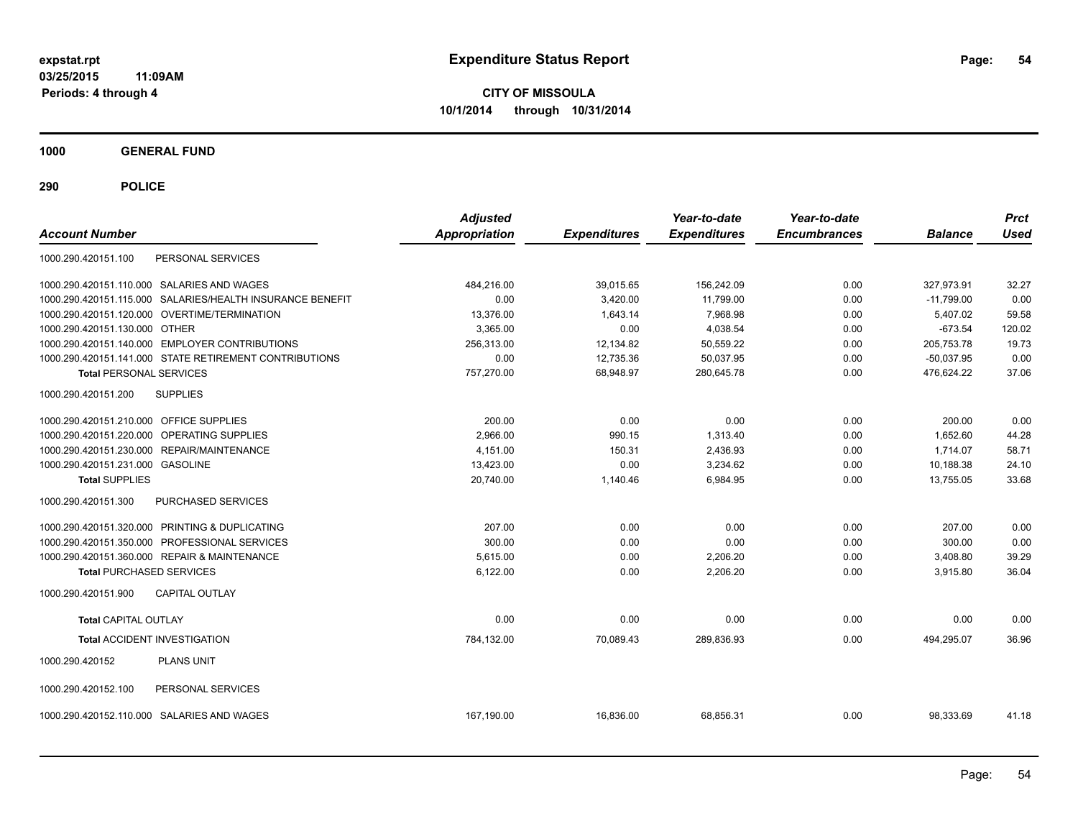**CITY OF MISSOULA 10/1/2014 through 10/31/2014**

**1000 GENERAL FUND**

| <b>Account Number</b>                                  |                                                           | <b>Adjusted</b><br><b>Appropriation</b> | <b>Expenditures</b> | Year-to-date<br><b>Expenditures</b> | Year-to-date<br><b>Encumbrances</b> | <b>Balance</b> | <b>Prct</b><br><b>Used</b> |
|--------------------------------------------------------|-----------------------------------------------------------|-----------------------------------------|---------------------|-------------------------------------|-------------------------------------|----------------|----------------------------|
| 1000.290.420151.100                                    | PERSONAL SERVICES                                         |                                         |                     |                                     |                                     |                |                            |
| 1000.290.420151.110.000 SALARIES AND WAGES             |                                                           | 484,216.00                              | 39,015.65           | 156,242.09                          | 0.00                                | 327,973.91     | 32.27                      |
|                                                        | 1000.290.420151.115.000 SALARIES/HEALTH INSURANCE BENEFIT | 0.00                                    | 3,420.00            | 11,799.00                           | 0.00                                | $-11,799.00$   | 0.00                       |
| 1000.290.420151.120.000 OVERTIME/TERMINATION           |                                                           | 13,376.00                               | 1,643.14            | 7,968.98                            | 0.00                                | 5,407.02       | 59.58                      |
| 1000.290.420151.130.000 OTHER                          |                                                           | 3,365.00                                | 0.00                | 4,038.54                            | 0.00                                | $-673.54$      | 120.02                     |
| 1000.290.420151.140.000 EMPLOYER CONTRIBUTIONS         |                                                           | 256,313.00                              | 12,134.82           | 50,559.22                           | 0.00                                | 205,753.78     | 19.73                      |
| 1000.290.420151.141.000 STATE RETIREMENT CONTRIBUTIONS |                                                           | 0.00                                    | 12,735.36           | 50,037.95                           | 0.00                                | $-50,037.95$   | 0.00                       |
| <b>Total PERSONAL SERVICES</b>                         |                                                           | 757,270.00                              | 68,948.97           | 280,645.78                          | 0.00                                | 476,624.22     | 37.06                      |
| 1000.290.420151.200<br><b>SUPPLIES</b>                 |                                                           |                                         |                     |                                     |                                     |                |                            |
| 1000.290.420151.210.000 OFFICE SUPPLIES                |                                                           | 200.00                                  | 0.00                | 0.00                                | 0.00                                | 200.00         | 0.00                       |
| 1000.290.420151.220.000                                | OPERATING SUPPLIES                                        | 2.966.00                                | 990.15              | 1,313.40                            | 0.00                                | 1.652.60       | 44.28                      |
| 1000.290.420151.230.000 REPAIR/MAINTENANCE             |                                                           | 4,151.00                                | 150.31              | 2,436.93                            | 0.00                                | 1,714.07       | 58.71                      |
| 1000.290.420151.231.000 GASOLINE                       |                                                           | 13,423.00                               | 0.00                | 3,234.62                            | 0.00                                | 10,188.38      | 24.10                      |
| <b>Total SUPPLIES</b>                                  |                                                           | 20,740.00                               | 1,140.46            | 6,984.95                            | 0.00                                | 13,755.05      | 33.68                      |
| 1000.290.420151.300                                    | PURCHASED SERVICES                                        |                                         |                     |                                     |                                     |                |                            |
| 1000.290.420151.320.000 PRINTING & DUPLICATING         |                                                           | 207.00                                  | 0.00                | 0.00                                | 0.00                                | 207.00         | 0.00                       |
| 1000.290.420151.350.000 PROFESSIONAL SERVICES          |                                                           | 300.00                                  | 0.00                | 0.00                                | 0.00                                | 300.00         | 0.00                       |
| 1000.290.420151.360.000 REPAIR & MAINTENANCE           |                                                           | 5,615.00                                | 0.00                | 2,206.20                            | 0.00                                | 3,408.80       | 39.29                      |
| <b>Total PURCHASED SERVICES</b>                        |                                                           | 6,122.00                                | 0.00                | 2,206.20                            | 0.00                                | 3,915.80       | 36.04                      |
| 1000.290.420151.900<br><b>CAPITAL OUTLAY</b>           |                                                           |                                         |                     |                                     |                                     |                |                            |
| <b>Total CAPITAL OUTLAY</b>                            |                                                           | 0.00                                    | 0.00                | 0.00                                | 0.00                                | 0.00           | 0.00                       |
| <b>Total ACCIDENT INVESTIGATION</b>                    |                                                           | 784,132.00                              | 70,089.43           | 289,836.93                          | 0.00                                | 494,295.07     | 36.96                      |
| 1000.290.420152<br><b>PLANS UNIT</b>                   |                                                           |                                         |                     |                                     |                                     |                |                            |
| 1000.290.420152.100                                    | PERSONAL SERVICES                                         |                                         |                     |                                     |                                     |                |                            |
| 1000.290.420152.110.000 SALARIES AND WAGES             |                                                           | 167,190.00                              | 16,836.00           | 68,856.31                           | 0.00                                | 98,333.69      | 41.18                      |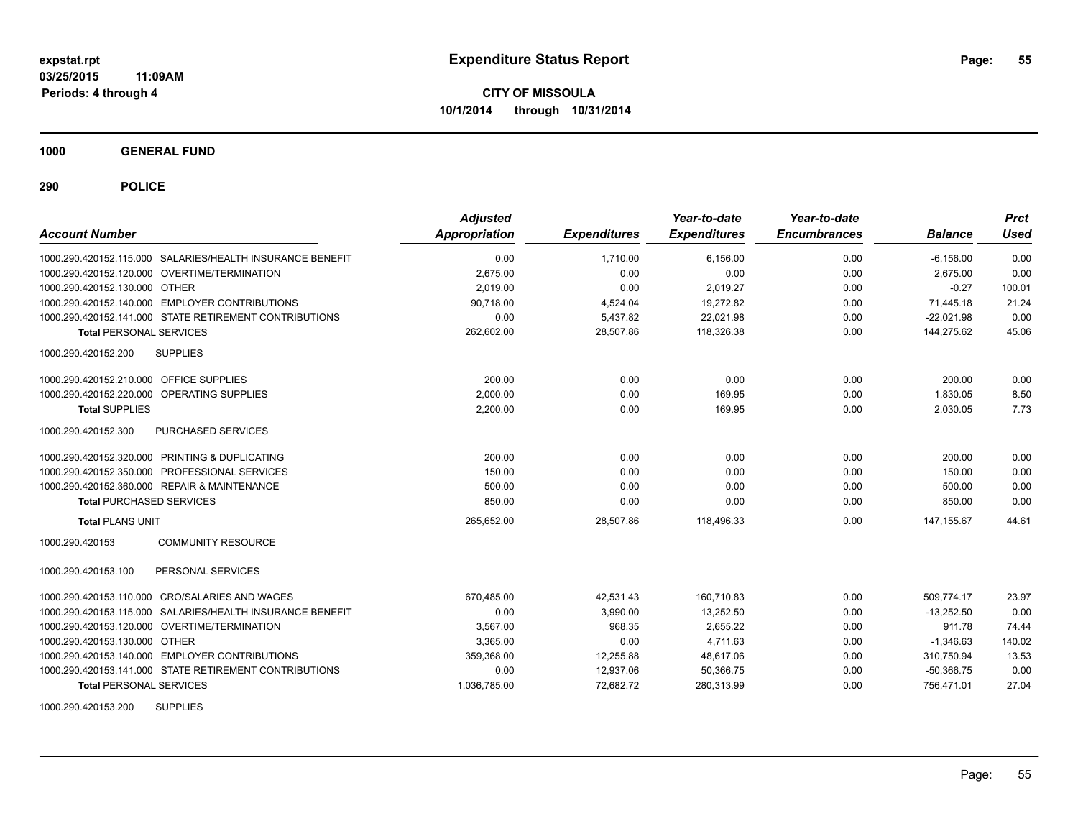**1000 GENERAL FUND**

**290 POLICE**

| <b>Account Number</b>                      |                                                           | <b>Adjusted</b><br><b>Appropriation</b> | <b>Expenditures</b> | Year-to-date<br><b>Expenditures</b> | Year-to-date<br><b>Encumbrances</b> | <b>Balance</b> | <b>Prct</b><br>Used |
|--------------------------------------------|-----------------------------------------------------------|-----------------------------------------|---------------------|-------------------------------------|-------------------------------------|----------------|---------------------|
|                                            | 1000.290.420152.115.000 SALARIES/HEALTH INSURANCE BENEFIT | 0.00                                    | 1.710.00            | 6.156.00                            | 0.00                                | $-6, 156.00$   | 0.00                |
|                                            | 1000.290.420152.120.000 OVERTIME/TERMINATION              | 2.675.00                                | 0.00                | 0.00                                | 0.00                                | 2.675.00       | 0.00                |
| 1000.290.420152.130.000 OTHER              |                                                           | 2.019.00                                | 0.00                | 2,019.27                            | 0.00                                | $-0.27$        | 100.01              |
|                                            | 1000.290.420152.140.000 EMPLOYER CONTRIBUTIONS            | 90.718.00                               | 4,524.04            | 19.272.82                           | 0.00                                | 71,445.18      | 21.24               |
|                                            | 1000.290.420152.141.000 STATE RETIREMENT CONTRIBUTIONS    | 0.00                                    | 5,437.82            | 22,021.98                           | 0.00                                | $-22,021.98$   | 0.00                |
| <b>Total PERSONAL SERVICES</b>             |                                                           | 262,602.00                              | 28,507.86           | 118,326.38                          | 0.00                                | 144,275.62     | 45.06               |
| 1000.290.420152.200                        | <b>SUPPLIES</b>                                           |                                         |                     |                                     |                                     |                |                     |
| 1000.290.420152.210.000 OFFICE SUPPLIES    |                                                           | 200.00                                  | 0.00                | 0.00                                | 0.00                                | 200.00         | 0.00                |
| 1000.290.420152.220.000 OPERATING SUPPLIES |                                                           | 2,000.00                                | 0.00                | 169.95                              | 0.00                                | 1,830.05       | 8.50                |
| <b>Total SUPPLIES</b>                      |                                                           | 2,200.00                                | 0.00                | 169.95                              | 0.00                                | 2,030.05       | 7.73                |
| 1000.290.420152.300                        | PURCHASED SERVICES                                        |                                         |                     |                                     |                                     |                |                     |
|                                            | 1000.290.420152.320.000 PRINTING & DUPLICATING            | 200.00                                  | 0.00                | 0.00                                | 0.00                                | 200.00         | 0.00                |
|                                            | 1000.290.420152.350.000 PROFESSIONAL SERVICES             | 150.00                                  | 0.00                | 0.00                                | 0.00                                | 150.00         | 0.00                |
|                                            | 1000.290.420152.360.000 REPAIR & MAINTENANCE              | 500.00                                  | 0.00                | 0.00                                | 0.00                                | 500.00         | 0.00                |
| <b>Total PURCHASED SERVICES</b>            |                                                           | 850.00                                  | 0.00                | 0.00                                | 0.00                                | 850.00         | 0.00                |
| <b>Total PLANS UNIT</b>                    |                                                           | 265,652.00                              | 28,507.86           | 118,496.33                          | 0.00                                | 147, 155.67    | 44.61               |
| 1000.290.420153                            | <b>COMMUNITY RESOURCE</b>                                 |                                         |                     |                                     |                                     |                |                     |
| 1000.290.420153.100                        | PERSONAL SERVICES                                         |                                         |                     |                                     |                                     |                |                     |
|                                            | 1000.290.420153.110.000 CRO/SALARIES AND WAGES            | 670,485.00                              | 42,531.43           | 160,710.83                          | 0.00                                | 509,774.17     | 23.97               |
|                                            | 1000.290.420153.115.000 SALARIES/HEALTH INSURANCE BENEFIT | 0.00                                    | 3,990.00            | 13,252.50                           | 0.00                                | $-13,252.50$   | 0.00                |
|                                            | 1000.290.420153.120.000 OVERTIME/TERMINATION              | 3.567.00                                | 968.35              | 2.655.22                            | 0.00                                | 911.78         | 74.44               |
| 1000.290.420153.130.000 OTHER              |                                                           | 3.365.00                                | 0.00                | 4.711.63                            | 0.00                                | $-1,346.63$    | 140.02              |
|                                            | 1000.290.420153.140.000 EMPLOYER CONTRIBUTIONS            | 359,368.00                              | 12,255.88           | 48,617.06                           | 0.00                                | 310,750.94     | 13.53               |
|                                            | 1000.290.420153.141.000 STATE RETIREMENT CONTRIBUTIONS    | 0.00                                    | 12,937.06           | 50,366.75                           | 0.00                                | $-50,366.75$   | 0.00                |
| <b>Total PERSONAL SERVICES</b>             |                                                           | 1,036,785.00                            | 72,682.72           | 280,313.99                          | 0.00                                | 756,471.01     | 27.04               |

1000.290.420153.200 SUPPLIES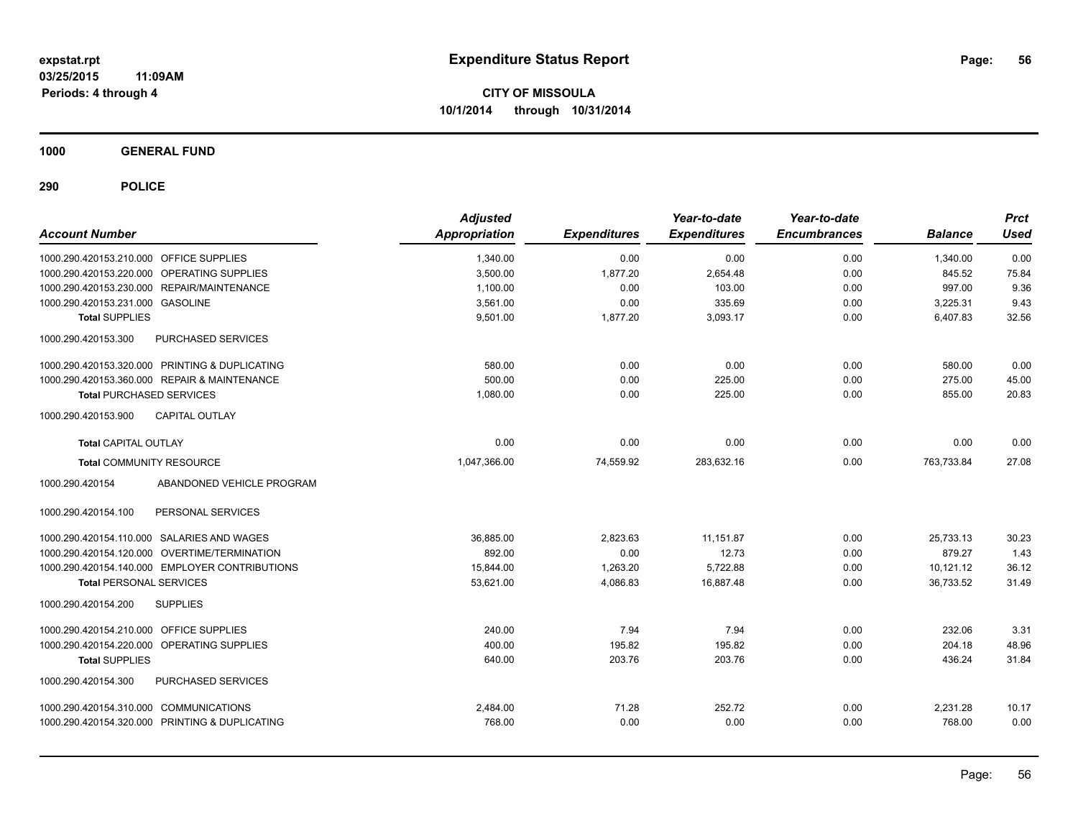**1000 GENERAL FUND**

| <b>Account Number</b>                          | <b>Adjusted</b><br><b>Appropriation</b> | <b>Expenditures</b> | Year-to-date<br><b>Expenditures</b> | Year-to-date<br><b>Encumbrances</b> | <b>Balance</b> | <b>Prct</b><br><b>Used</b> |
|------------------------------------------------|-----------------------------------------|---------------------|-------------------------------------|-------------------------------------|----------------|----------------------------|
| 1000.290.420153.210.000 OFFICE SUPPLIES        | 1,340.00                                | 0.00                | 0.00                                | 0.00                                | 1,340.00       | 0.00                       |
| 1000.290.420153.220.000 OPERATING SUPPLIES     | 3,500.00                                | 1,877.20            | 2,654.48                            | 0.00                                | 845.52         | 75.84                      |
| 1000.290.420153.230.000 REPAIR/MAINTENANCE     | 1,100.00                                | 0.00                | 103.00                              | 0.00                                | 997.00         | 9.36                       |
| 1000.290.420153.231.000 GASOLINE               | 3,561.00                                | 0.00                | 335.69                              | 0.00                                | 3,225.31       | 9.43                       |
| <b>Total SUPPLIES</b>                          | 9,501.00                                | 1,877.20            | 3,093.17                            | 0.00                                | 6,407.83       | 32.56                      |
| 1000.290.420153.300<br>PURCHASED SERVICES      |                                         |                     |                                     |                                     |                |                            |
| 1000.290.420153.320.000 PRINTING & DUPLICATING | 580.00                                  | 0.00                | 0.00                                | 0.00                                | 580.00         | 0.00                       |
| 1000.290.420153.360.000 REPAIR & MAINTENANCE   | 500.00                                  | 0.00                | 225.00                              | 0.00                                | 275.00         | 45.00                      |
| <b>Total PURCHASED SERVICES</b>                | 1,080.00                                | 0.00                | 225.00                              | 0.00                                | 855.00         | 20.83                      |
| 1000.290.420153.900<br><b>CAPITAL OUTLAY</b>   |                                         |                     |                                     |                                     |                |                            |
| <b>Total CAPITAL OUTLAY</b>                    | 0.00                                    | 0.00                | 0.00                                | 0.00                                | 0.00           | 0.00                       |
| <b>Total COMMUNITY RESOURCE</b>                | 1,047,366.00                            | 74,559.92           | 283,632.16                          | 0.00                                | 763,733.84     | 27.08                      |
| ABANDONED VEHICLE PROGRAM<br>1000.290.420154   |                                         |                     |                                     |                                     |                |                            |
| PERSONAL SERVICES<br>1000.290.420154.100       |                                         |                     |                                     |                                     |                |                            |
| 1000.290.420154.110.000 SALARIES AND WAGES     | 36.885.00                               | 2.823.63            | 11.151.87                           | 0.00                                | 25.733.13      | 30.23                      |
| 1000.290.420154.120.000 OVERTIME/TERMINATION   | 892.00                                  | 0.00                | 12.73                               | 0.00                                | 879.27         | 1.43                       |
| 1000.290.420154.140.000 EMPLOYER CONTRIBUTIONS | 15,844.00                               | 1,263.20            | 5,722.88                            | 0.00                                | 10,121.12      | 36.12                      |
| <b>Total PERSONAL SERVICES</b>                 | 53,621.00                               | 4,086.83            | 16.887.48                           | 0.00                                | 36.733.52      | 31.49                      |
| 1000.290.420154.200<br><b>SUPPLIES</b>         |                                         |                     |                                     |                                     |                |                            |
| 1000.290.420154.210.000 OFFICE SUPPLIES        | 240.00                                  | 7.94                | 7.94                                | 0.00                                | 232.06         | 3.31                       |
| 1000.290.420154.220.000 OPERATING SUPPLIES     | 400.00                                  | 195.82              | 195.82                              | 0.00                                | 204.18         | 48.96                      |
| <b>Total SUPPLIES</b>                          | 640.00                                  | 203.76              | 203.76                              | 0.00                                | 436.24         | 31.84                      |
| PURCHASED SERVICES<br>1000.290.420154.300      |                                         |                     |                                     |                                     |                |                            |
| 1000.290.420154.310.000 COMMUNICATIONS         | 2,484.00                                | 71.28               | 252.72                              | 0.00                                | 2,231.28       | 10.17                      |
| 1000.290.420154.320.000 PRINTING & DUPLICATING | 768.00                                  | 0.00                | 0.00                                | 0.00                                | 768.00         | 0.00                       |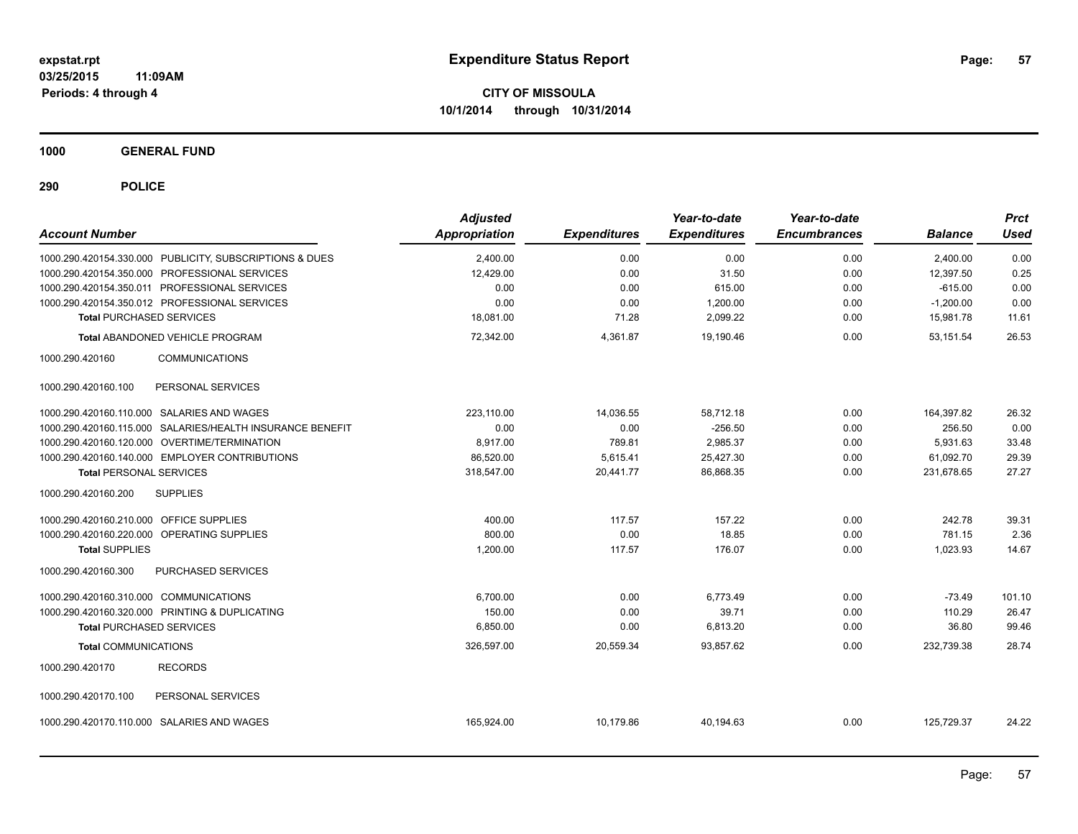**1000 GENERAL FUND**

| <b>Account Number</b>                          |                                                           | <b>Adjusted</b><br><b>Appropriation</b> | <b>Expenditures</b> | Year-to-date<br><b>Expenditures</b> | Year-to-date<br><b>Encumbrances</b> | <b>Balance</b> | Prct<br><b>Used</b> |
|------------------------------------------------|-----------------------------------------------------------|-----------------------------------------|---------------------|-------------------------------------|-------------------------------------|----------------|---------------------|
|                                                | 1000.290.420154.330.000 PUBLICITY, SUBSCRIPTIONS & DUES   | 2,400.00                                | 0.00                | 0.00                                | 0.00                                | 2,400.00       | 0.00                |
| 1000.290.420154.350.000 PROFESSIONAL SERVICES  |                                                           | 12,429.00                               | 0.00                | 31.50                               | 0.00                                | 12,397.50      | 0.25                |
| 1000.290.420154.350.011 PROFESSIONAL SERVICES  |                                                           | 0.00                                    | 0.00                | 615.00                              | 0.00                                | $-615.00$      | 0.00                |
| 1000.290.420154.350.012 PROFESSIONAL SERVICES  |                                                           | 0.00                                    | 0.00                | 1,200.00                            | 0.00                                | $-1,200.00$    | 0.00                |
| <b>Total PURCHASED SERVICES</b>                |                                                           | 18,081.00                               | 71.28               | 2,099.22                            | 0.00                                | 15,981.78      | 11.61               |
|                                                | Total ABANDONED VEHICLE PROGRAM                           | 72,342.00                               | 4,361.87            | 19,190.46                           | 0.00                                | 53,151.54      | 26.53               |
| 1000.290.420160                                | <b>COMMUNICATIONS</b>                                     |                                         |                     |                                     |                                     |                |                     |
| 1000.290.420160.100                            | PERSONAL SERVICES                                         |                                         |                     |                                     |                                     |                |                     |
| 1000.290.420160.110.000 SALARIES AND WAGES     |                                                           | 223.110.00                              | 14,036.55           | 58,712.18                           | 0.00                                | 164,397.82     | 26.32               |
|                                                | 1000.290.420160.115.000 SALARIES/HEALTH INSURANCE BENEFIT | 0.00                                    | 0.00                | $-256.50$                           | 0.00                                | 256.50         | 0.00                |
| 1000.290.420160.120.000 OVERTIME/TERMINATION   |                                                           | 8,917.00                                | 789.81              | 2,985.37                            | 0.00                                | 5,931.63       | 33.48               |
|                                                | 1000.290.420160.140.000 EMPLOYER CONTRIBUTIONS            | 86,520.00                               | 5,615.41            | 25,427.30                           | 0.00                                | 61.092.70      | 29.39               |
| <b>Total PERSONAL SERVICES</b>                 |                                                           | 318,547.00                              | 20,441.77           | 86,868.35                           | 0.00                                | 231,678.65     | 27.27               |
| 1000.290.420160.200                            | <b>SUPPLIES</b>                                           |                                         |                     |                                     |                                     |                |                     |
| 1000.290.420160.210.000 OFFICE SUPPLIES        |                                                           | 400.00                                  | 117.57              | 157.22                              | 0.00                                | 242.78         | 39.31               |
| 1000.290.420160.220.000 OPERATING SUPPLIES     |                                                           | 800.00                                  | 0.00                | 18.85                               | 0.00                                | 781.15         | 2.36                |
| <b>Total SUPPLIES</b>                          |                                                           | 1,200.00                                | 117.57              | 176.07                              | 0.00                                | 1,023.93       | 14.67               |
| 1000.290.420160.300                            | PURCHASED SERVICES                                        |                                         |                     |                                     |                                     |                |                     |
| 1000.290.420160.310.000 COMMUNICATIONS         |                                                           | 6,700.00                                | 0.00                | 6,773.49                            | 0.00                                | $-73.49$       | 101.10              |
| 1000.290.420160.320.000 PRINTING & DUPLICATING |                                                           | 150.00                                  | 0.00                | 39.71                               | 0.00                                | 110.29         | 26.47               |
| <b>Total PURCHASED SERVICES</b>                |                                                           | 6,850.00                                | 0.00                | 6,813.20                            | 0.00                                | 36.80          | 99.46               |
| <b>Total COMMUNICATIONS</b>                    |                                                           | 326,597.00                              | 20,559.34           | 93.857.62                           | 0.00                                | 232,739.38     | 28.74               |
| 1000.290.420170                                | <b>RECORDS</b>                                            |                                         |                     |                                     |                                     |                |                     |
| 1000.290.420170.100                            | PERSONAL SERVICES                                         |                                         |                     |                                     |                                     |                |                     |
| 1000.290.420170.110.000 SALARIES AND WAGES     |                                                           | 165,924.00                              | 10,179.86           | 40,194.63                           | 0.00                                | 125,729.37     | 24.22               |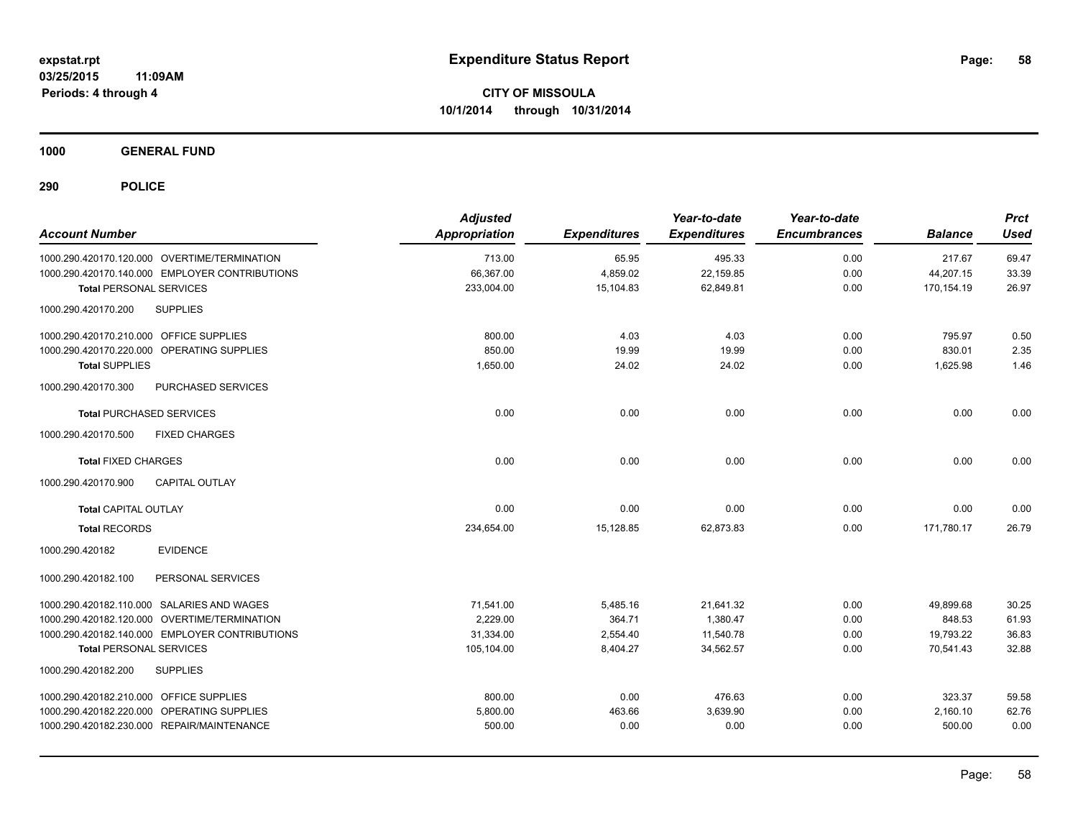**1000 GENERAL FUND**

| <b>Account Number</b>                          | <b>Adjusted</b><br><b>Appropriation</b> | <b>Expenditures</b> | Year-to-date<br><b>Expenditures</b> | Year-to-date<br><b>Encumbrances</b> | <b>Balance</b> | <b>Prct</b><br><b>Used</b> |
|------------------------------------------------|-----------------------------------------|---------------------|-------------------------------------|-------------------------------------|----------------|----------------------------|
| 1000.290.420170.120.000 OVERTIME/TERMINATION   | 713.00                                  | 65.95               | 495.33                              | 0.00                                | 217.67         | 69.47                      |
| 1000.290.420170.140.000 EMPLOYER CONTRIBUTIONS | 66,367.00                               | 4,859.02            | 22,159.85                           | 0.00                                | 44,207.15      | 33.39                      |
| Total PERSONAL SERVICES                        | 233,004.00                              | 15,104.83           | 62,849.81                           | 0.00                                | 170,154.19     | 26.97                      |
| 1000.290.420170.200<br><b>SUPPLIES</b>         |                                         |                     |                                     |                                     |                |                            |
| 1000.290.420170.210.000 OFFICE SUPPLIES        | 800.00                                  | 4.03                | 4.03                                | 0.00                                | 795.97         | 0.50                       |
| 1000.290.420170.220.000 OPERATING SUPPLIES     | 850.00                                  | 19.99               | 19.99                               | 0.00                                | 830.01         | 2.35                       |
| <b>Total SUPPLIES</b>                          | 1,650.00                                | 24.02               | 24.02                               | 0.00                                | 1,625.98       | 1.46                       |
| PURCHASED SERVICES<br>1000.290.420170.300      |                                         |                     |                                     |                                     |                |                            |
| <b>Total PURCHASED SERVICES</b>                | 0.00                                    | 0.00                | 0.00                                | 0.00                                | 0.00           | 0.00                       |
| <b>FIXED CHARGES</b><br>1000.290.420170.500    |                                         |                     |                                     |                                     |                |                            |
| <b>Total FIXED CHARGES</b>                     | 0.00                                    | 0.00                | 0.00                                | 0.00                                | 0.00           | 0.00                       |
| 1000.290.420170.900<br><b>CAPITAL OUTLAY</b>   |                                         |                     |                                     |                                     |                |                            |
| <b>Total CAPITAL OUTLAY</b>                    | 0.00                                    | 0.00                | 0.00                                | 0.00                                | 0.00           | 0.00                       |
| <b>Total RECORDS</b>                           | 234,654.00                              | 15,128.85           | 62,873.83                           | 0.00                                | 171,780.17     | 26.79                      |
| <b>EVIDENCE</b><br>1000.290.420182             |                                         |                     |                                     |                                     |                |                            |
| 1000.290.420182.100<br>PERSONAL SERVICES       |                                         |                     |                                     |                                     |                |                            |
| 1000.290.420182.110.000 SALARIES AND WAGES     | 71,541.00                               | 5,485.16            | 21,641.32                           | 0.00                                | 49,899.68      | 30.25                      |
| 1000.290.420182.120.000 OVERTIME/TERMINATION   | 2.229.00                                | 364.71              | 1.380.47                            | 0.00                                | 848.53         | 61.93                      |
| 1000.290.420182.140.000 EMPLOYER CONTRIBUTIONS | 31,334.00                               | 2,554.40            | 11,540.78                           | 0.00                                | 19,793.22      | 36.83                      |
| <b>Total PERSONAL SERVICES</b>                 | 105,104.00                              | 8,404.27            | 34,562.57                           | 0.00                                | 70,541.43      | 32.88                      |
| 1000.290.420182.200<br><b>SUPPLIES</b>         |                                         |                     |                                     |                                     |                |                            |
| 1000.290.420182.210.000 OFFICE SUPPLIES        | 800.00                                  | 0.00                | 476.63                              | 0.00                                | 323.37         | 59.58                      |
| 1000.290.420182.220.000 OPERATING SUPPLIES     | 5,800.00                                | 463.66              | 3,639.90                            | 0.00                                | 2,160.10       | 62.76                      |
| 1000.290.420182.230.000 REPAIR/MAINTENANCE     | 500.00                                  | 0.00                | 0.00                                | 0.00                                | 500.00         | 0.00                       |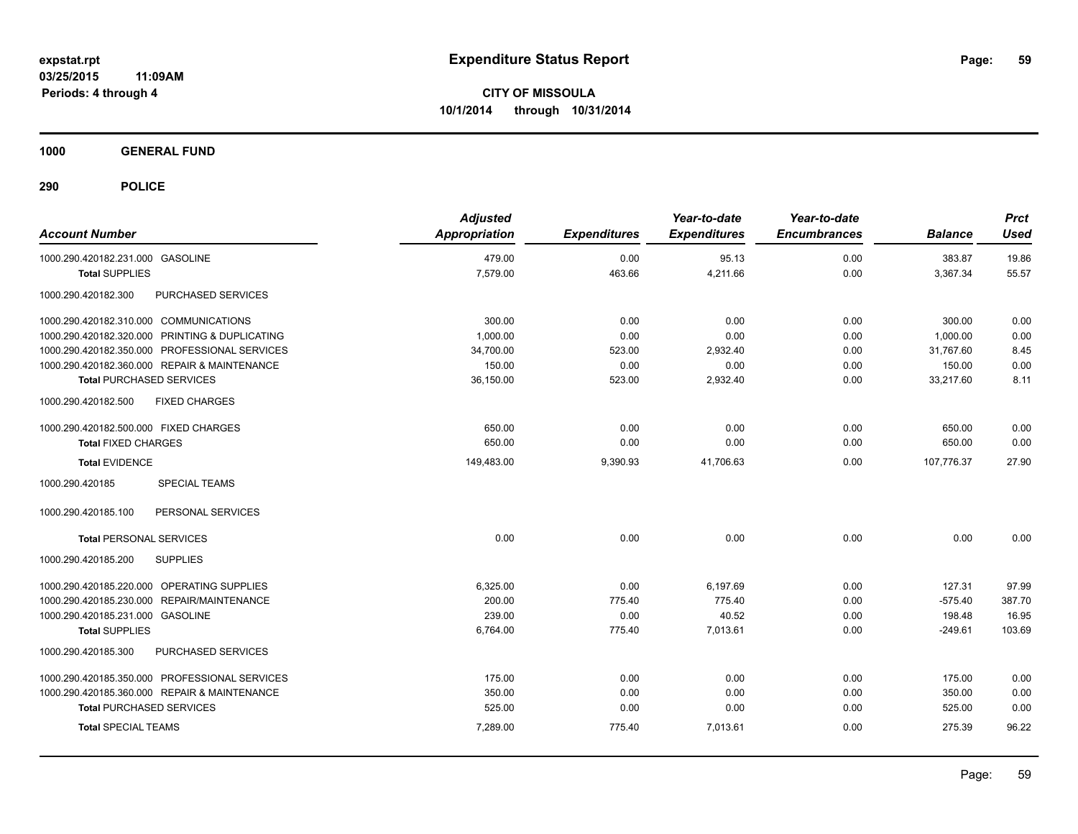**1000 GENERAL FUND**

| <b>Account Number</b>                          | <b>Adjusted</b><br><b>Appropriation</b> | <b>Expenditures</b> | Year-to-date<br><b>Expenditures</b> | Year-to-date<br><b>Encumbrances</b> | <b>Balance</b> | <b>Prct</b><br><b>Used</b> |
|------------------------------------------------|-----------------------------------------|---------------------|-------------------------------------|-------------------------------------|----------------|----------------------------|
| 1000.290.420182.231.000 GASOLINE               | 479.00                                  | 0.00                | 95.13                               | 0.00                                | 383.87         | 19.86                      |
| <b>Total SUPPLIES</b>                          | 7,579.00                                | 463.66              | 4,211.66                            | 0.00                                | 3,367.34       | 55.57                      |
| PURCHASED SERVICES<br>1000.290.420182.300      |                                         |                     |                                     |                                     |                |                            |
| 1000.290.420182.310.000 COMMUNICATIONS         | 300.00                                  | 0.00                | 0.00                                | 0.00                                | 300.00         | 0.00                       |
| 1000.290.420182.320.000 PRINTING & DUPLICATING | 1,000.00                                | 0.00                | 0.00                                | 0.00                                | 1.000.00       | 0.00                       |
| 1000.290.420182.350.000 PROFESSIONAL SERVICES  | 34,700.00                               | 523.00              | 2,932.40                            | 0.00                                | 31.767.60      | 8.45                       |
| 1000.290.420182.360.000 REPAIR & MAINTENANCE   | 150.00                                  | 0.00                | 0.00                                | 0.00                                | 150.00         | 0.00                       |
| <b>Total PURCHASED SERVICES</b>                | 36,150.00                               | 523.00              | 2,932.40                            | 0.00                                | 33,217.60      | 8.11                       |
| 1000.290.420182.500<br><b>FIXED CHARGES</b>    |                                         |                     |                                     |                                     |                |                            |
| 1000.290.420182.500.000 FIXED CHARGES          | 650.00                                  | 0.00                | 0.00                                | 0.00                                | 650.00         | 0.00                       |
| <b>Total FIXED CHARGES</b>                     | 650.00                                  | 0.00                | 0.00                                | 0.00                                | 650.00         | 0.00                       |
| <b>Total EVIDENCE</b>                          | 149,483.00                              | 9,390.93            | 41,706.63                           | 0.00                                | 107,776.37     | 27.90                      |
| 1000.290.420185<br><b>SPECIAL TEAMS</b>        |                                         |                     |                                     |                                     |                |                            |
| 1000.290.420185.100<br>PERSONAL SERVICES       |                                         |                     |                                     |                                     |                |                            |
| <b>Total PERSONAL SERVICES</b>                 | 0.00                                    | 0.00                | 0.00                                | 0.00                                | 0.00           | 0.00                       |
| <b>SUPPLIES</b><br>1000.290.420185.200         |                                         |                     |                                     |                                     |                |                            |
| 1000.290.420185.220.000 OPERATING SUPPLIES     | 6,325.00                                | 0.00                | 6,197.69                            | 0.00                                | 127.31         | 97.99                      |
| REPAIR/MAINTENANCE<br>1000.290.420185.230.000  | 200.00                                  | 775.40              | 775.40                              | 0.00                                | $-575.40$      | 387.70                     |
| 1000.290.420185.231.000 GASOLINE               | 239.00                                  | 0.00                | 40.52                               | 0.00                                | 198.48         | 16.95                      |
| <b>Total SUPPLIES</b>                          | 6,764.00                                | 775.40              | 7,013.61                            | 0.00                                | $-249.61$      | 103.69                     |
| 1000.290.420185.300<br>PURCHASED SERVICES      |                                         |                     |                                     |                                     |                |                            |
| 1000.290.420185.350.000 PROFESSIONAL SERVICES  | 175.00                                  | 0.00                | 0.00                                | 0.00                                | 175.00         | 0.00                       |
| 1000.290.420185.360.000 REPAIR & MAINTENANCE   | 350.00                                  | 0.00                | 0.00                                | 0.00                                | 350.00         | 0.00                       |
| <b>Total PURCHASED SERVICES</b>                | 525.00                                  | 0.00                | 0.00                                | 0.00                                | 525.00         | 0.00                       |
| <b>Total SPECIAL TEAMS</b>                     | 7,289.00                                | 775.40              | 7,013.61                            | 0.00                                | 275.39         | 96.22                      |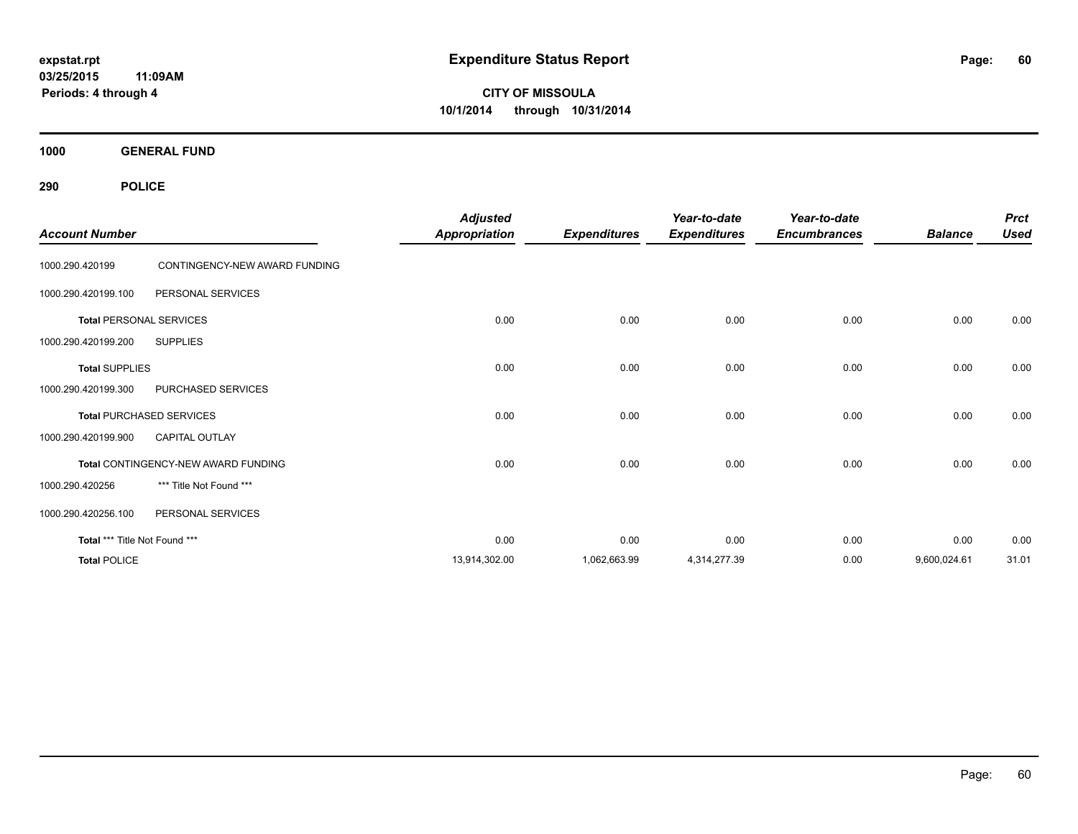**CITY OF MISSOULA 10/1/2014 through 10/31/2014**

**1000 GENERAL FUND**

| <b>Account Number</b>         |                                     | <b>Adjusted</b><br><b>Appropriation</b> | <b>Expenditures</b> | Year-to-date<br><b>Expenditures</b> | Year-to-date<br><b>Encumbrances</b> | <b>Balance</b> | <b>Prct</b><br><b>Used</b> |
|-------------------------------|-------------------------------------|-----------------------------------------|---------------------|-------------------------------------|-------------------------------------|----------------|----------------------------|
| 1000.290.420199               | CONTINGENCY-NEW AWARD FUNDING       |                                         |                     |                                     |                                     |                |                            |
| 1000.290.420199.100           | PERSONAL SERVICES                   |                                         |                     |                                     |                                     |                |                            |
|                               | <b>Total PERSONAL SERVICES</b>      | 0.00                                    | 0.00                | 0.00                                | 0.00                                | 0.00           | 0.00                       |
| 1000.290.420199.200           | <b>SUPPLIES</b>                     |                                         |                     |                                     |                                     |                |                            |
| <b>Total SUPPLIES</b>         |                                     | 0.00                                    | 0.00                | 0.00                                | 0.00                                | 0.00           | 0.00                       |
| 1000.290.420199.300           | PURCHASED SERVICES                  |                                         |                     |                                     |                                     |                |                            |
|                               | <b>Total PURCHASED SERVICES</b>     | 0.00                                    | 0.00                | 0.00                                | 0.00                                | 0.00           | 0.00                       |
| 1000.290.420199.900           | <b>CAPITAL OUTLAY</b>               |                                         |                     |                                     |                                     |                |                            |
|                               | Total CONTINGENCY-NEW AWARD FUNDING | 0.00                                    | 0.00                | 0.00                                | 0.00                                | 0.00           | 0.00                       |
| 1000.290.420256               | *** Title Not Found ***             |                                         |                     |                                     |                                     |                |                            |
| 1000.290.420256.100           | PERSONAL SERVICES                   |                                         |                     |                                     |                                     |                |                            |
| Total *** Title Not Found *** |                                     | 0.00                                    | 0.00                | 0.00                                | 0.00                                | 0.00           | 0.00                       |
| <b>Total POLICE</b>           |                                     | 13,914,302.00                           | 1,062,663.99        | 4,314,277.39                        | 0.00                                | 9,600,024.61   | 31.01                      |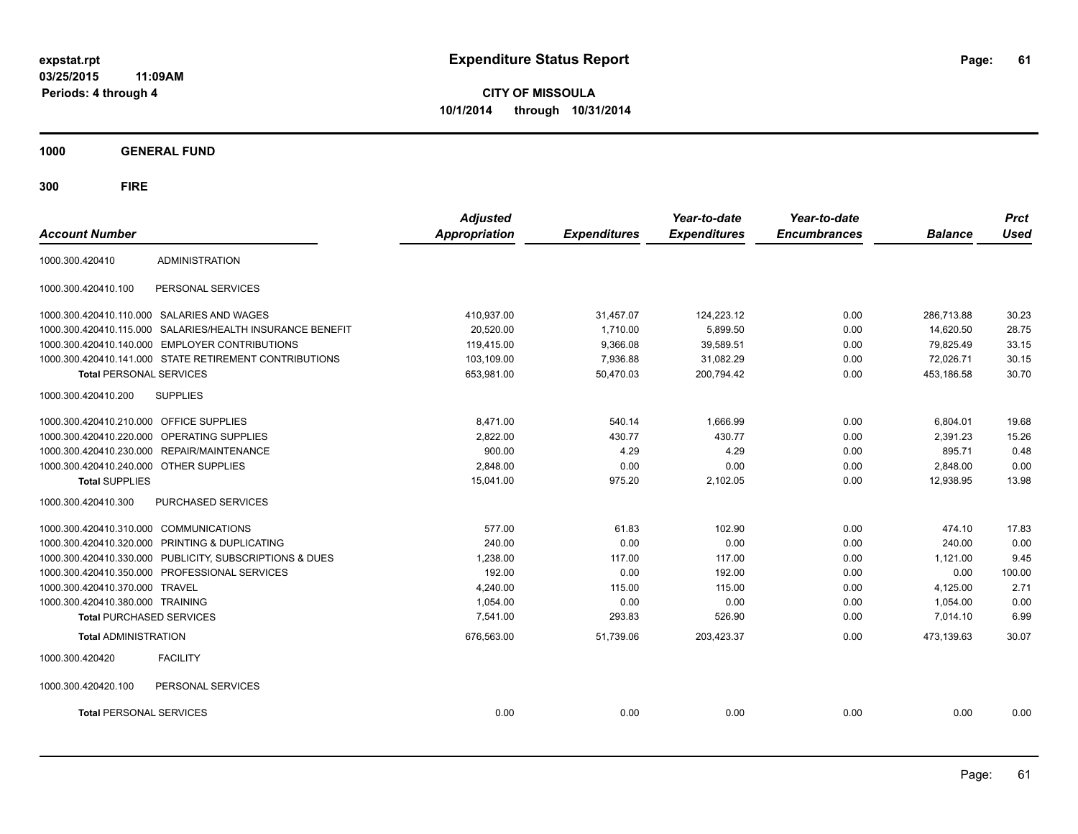**CITY OF MISSOULA 10/1/2014 through 10/31/2014**

**1000 GENERAL FUND**

| <b>Account Number</b>                   |                                                           | <b>Adjusted</b><br><b>Appropriation</b> | <b>Expenditures</b> | Year-to-date<br><b>Expenditures</b> | Year-to-date<br><b>Encumbrances</b> | <b>Balance</b> | <b>Prct</b><br><b>Used</b> |
|-----------------------------------------|-----------------------------------------------------------|-----------------------------------------|---------------------|-------------------------------------|-------------------------------------|----------------|----------------------------|
|                                         |                                                           |                                         |                     |                                     |                                     |                |                            |
| 1000.300.420410                         | <b>ADMINISTRATION</b>                                     |                                         |                     |                                     |                                     |                |                            |
| 1000.300.420410.100                     | PERSONAL SERVICES                                         |                                         |                     |                                     |                                     |                |                            |
|                                         | 1000.300.420410.110.000 SALARIES AND WAGES                | 410.937.00                              | 31,457.07           | 124,223.12                          | 0.00                                | 286.713.88     | 30.23                      |
|                                         | 1000.300.420410.115.000 SALARIES/HEALTH INSURANCE BENEFIT | 20.520.00                               | 1.710.00            | 5,899.50                            | 0.00                                | 14.620.50      | 28.75                      |
| 1000.300.420410.140.000                 | <b>EMPLOYER CONTRIBUTIONS</b>                             | 119,415.00                              | 9,366.08            | 39,589.51                           | 0.00                                | 79,825.49      | 33.15                      |
|                                         | 1000.300.420410.141.000 STATE RETIREMENT CONTRIBUTIONS    | 103,109.00                              | 7,936.88            | 31,082.29                           | 0.00                                | 72,026.71      | 30.15                      |
| <b>Total PERSONAL SERVICES</b>          |                                                           | 653,981.00                              | 50,470.03           | 200,794.42                          | 0.00                                | 453,186.58     | 30.70                      |
| 1000.300.420410.200                     | <b>SUPPLIES</b>                                           |                                         |                     |                                     |                                     |                |                            |
| 1000.300.420410.210.000 OFFICE SUPPLIES |                                                           | 8,471.00                                | 540.14              | 1,666.99                            | 0.00                                | 6,804.01       | 19.68                      |
| 1000.300.420410.220.000                 | OPERATING SUPPLIES                                        | 2,822.00                                | 430.77              | 430.77                              | 0.00                                | 2,391.23       | 15.26                      |
|                                         | 1000.300.420410.230.000 REPAIR/MAINTENANCE                | 900.00                                  | 4.29                | 4.29                                | 0.00                                | 895.71         | 0.48                       |
| 1000.300.420410.240.000 OTHER SUPPLIES  |                                                           | 2,848.00                                | 0.00                | 0.00                                | 0.00                                | 2,848.00       | 0.00                       |
| <b>Total SUPPLIES</b>                   |                                                           | 15,041.00                               | 975.20              | 2,102.05                            | 0.00                                | 12,938.95      | 13.98                      |
| 1000.300.420410.300                     | PURCHASED SERVICES                                        |                                         |                     |                                     |                                     |                |                            |
| 1000.300.420410.310.000 COMMUNICATIONS  |                                                           | 577.00                                  | 61.83               | 102.90                              | 0.00                                | 474.10         | 17.83                      |
|                                         | 1000.300.420410.320.000 PRINTING & DUPLICATING            | 240.00                                  | 0.00                | 0.00                                | 0.00                                | 240.00         | 0.00                       |
|                                         | 1000.300.420410.330.000 PUBLICITY, SUBSCRIPTIONS & DUES   | 1,238.00                                | 117.00              | 117.00                              | 0.00                                | 1,121.00       | 9.45                       |
|                                         | 1000.300.420410.350.000 PROFESSIONAL SERVICES             | 192.00                                  | 0.00                | 192.00                              | 0.00                                | 0.00           | 100.00                     |
| 1000.300.420410.370.000                 | <b>TRAVEL</b>                                             | 4,240.00                                | 115.00              | 115.00                              | 0.00                                | 4,125.00       | 2.71                       |
| 1000.300.420410.380.000 TRAINING        |                                                           | 1,054.00                                | 0.00                | 0.00                                | 0.00                                | 1,054.00       | 0.00                       |
| <b>Total PURCHASED SERVICES</b>         |                                                           | 7,541.00                                | 293.83              | 526.90                              | 0.00                                | 7,014.10       | 6.99                       |
| <b>Total ADMINISTRATION</b>             |                                                           | 676,563.00                              | 51,739.06           | 203,423.37                          | 0.00                                | 473.139.63     | 30.07                      |
| 1000.300.420420                         | <b>FACILITY</b>                                           |                                         |                     |                                     |                                     |                |                            |
| 1000.300.420420.100                     | PERSONAL SERVICES                                         |                                         |                     |                                     |                                     |                |                            |
| <b>Total PERSONAL SERVICES</b>          |                                                           | 0.00                                    | 0.00                | 0.00                                | 0.00                                | 0.00           | 0.00                       |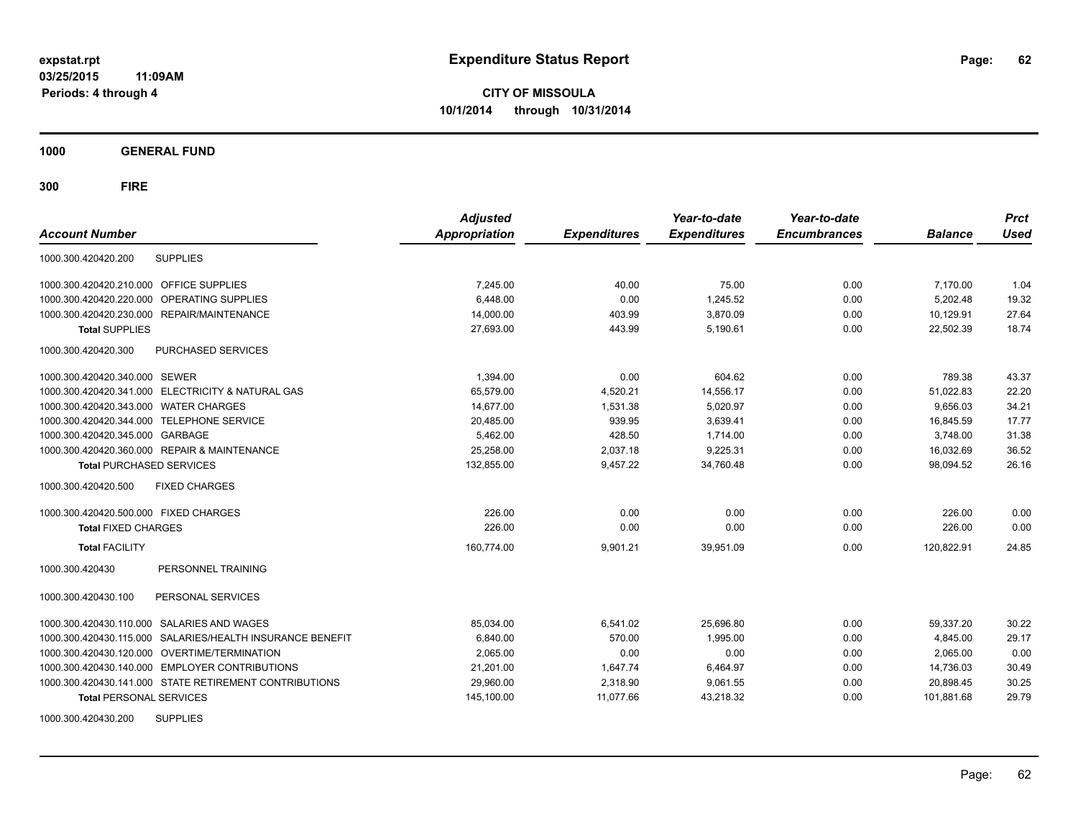**CITY OF MISSOULA 10/1/2014 through 10/31/2014**

**1000 GENERAL FUND**

| <b>Account Number</b>                                        | <b>Adjusted</b><br><b>Appropriation</b> | <b>Expenditures</b> | Year-to-date<br><b>Expenditures</b> | Year-to-date<br><b>Encumbrances</b> | <b>Balance</b> | <b>Prct</b><br><b>Used</b> |
|--------------------------------------------------------------|-----------------------------------------|---------------------|-------------------------------------|-------------------------------------|----------------|----------------------------|
| <b>SUPPLIES</b><br>1000.300.420420.200                       |                                         |                     |                                     |                                     |                |                            |
| 1000.300.420420.210.000 OFFICE SUPPLIES                      | 7,245.00                                | 40.00               | 75.00                               | 0.00                                | 7,170.00       | 1.04                       |
| <b>OPERATING SUPPLIES</b><br>1000.300.420420.220.000         | 6.448.00                                | 0.00                | 1,245.52                            | 0.00                                | 5.202.48       | 19.32                      |
| 1000.300.420420.230.000 REPAIR/MAINTENANCE                   | 14,000.00                               | 403.99              | 3,870.09                            | 0.00                                | 10,129.91      | 27.64                      |
| <b>Total SUPPLIES</b>                                        | 27,693.00                               | 443.99              | 5,190.61                            | 0.00                                | 22,502.39      | 18.74                      |
| PURCHASED SERVICES<br>1000.300.420420.300                    |                                         |                     |                                     |                                     |                |                            |
| 1000.300.420420.340.000 SEWER                                | 1,394.00                                | 0.00                | 604.62                              | 0.00                                | 789.38         | 43.37                      |
| 1000.300.420420.341.000 ELECTRICITY & NATURAL GAS            | 65,579.00                               | 4,520.21            | 14,556.17                           | 0.00                                | 51,022.83      | 22.20                      |
| 1000.300.420420.343.000 WATER CHARGES                        | 14.677.00                               | 1.531.38            | 5.020.97                            | 0.00                                | 9.656.03       | 34.21                      |
| 1000.300.420420.344.000 TELEPHONE SERVICE                    | 20,485.00                               | 939.95              | 3,639.41                            | 0.00                                | 16,845.59      | 17.77                      |
| 1000.300.420420.345.000 GARBAGE                              | 5,462.00                                | 428.50              | 1,714.00                            | 0.00                                | 3,748.00       | 31.38                      |
| 1000.300.420420.360.000 REPAIR & MAINTENANCE                 | 25,258.00                               | 2,037.18            | 9,225.31                            | 0.00                                | 16,032.69      | 36.52                      |
| <b>Total PURCHASED SERVICES</b>                              | 132,855.00                              | 9,457.22            | 34,760.48                           | 0.00                                | 98,094.52      | 26.16                      |
| 1000.300.420420.500<br><b>FIXED CHARGES</b>                  |                                         |                     |                                     |                                     |                |                            |
| 1000.300.420420.500.000 FIXED CHARGES                        | 226.00                                  | 0.00                | 0.00                                | 0.00                                | 226.00         | 0.00                       |
| <b>Total FIXED CHARGES</b>                                   | 226.00                                  | 0.00                | 0.00                                | 0.00                                | 226.00         | 0.00                       |
| <b>Total FACILITY</b>                                        | 160,774.00                              | 9,901.21            | 39,951.09                           | 0.00                                | 120,822.91     | 24.85                      |
| PERSONNEL TRAINING<br>1000.300.420430                        |                                         |                     |                                     |                                     |                |                            |
| 1000.300.420430.100<br>PERSONAL SERVICES                     |                                         |                     |                                     |                                     |                |                            |
| 1000.300.420430.110.000 SALARIES AND WAGES                   | 85,034.00                               | 6,541.02            | 25,696.80                           | 0.00                                | 59,337.20      | 30.22                      |
| SALARIES/HEALTH INSURANCE BENEFIT<br>1000.300.420430.115.000 | 6,840.00                                | 570.00              | 1.995.00                            | 0.00                                | 4.845.00       | 29.17                      |
| 1000.300.420430.120.000 OVERTIME/TERMINATION                 | 2,065.00                                | 0.00                | 0.00                                | 0.00                                | 2,065.00       | 0.00                       |
| 1000.300.420430.140.000 EMPLOYER CONTRIBUTIONS               | 21,201.00                               | 1,647.74            | 6,464.97                            | 0.00                                | 14,736.03      | 30.49                      |
| 1000.300.420430.141.000 STATE RETIREMENT CONTRIBUTIONS       | 29,960.00                               | 2,318.90            | 9,061.55                            | 0.00                                | 20,898.45      | 30.25                      |
| <b>Total PERSONAL SERVICES</b>                               | 145,100.00                              | 11,077.66           | 43,218.32                           | 0.00                                | 101,881.68     | 29.79                      |
| <b>SUPPLIES</b><br>1000.300.420430.200                       |                                         |                     |                                     |                                     |                |                            |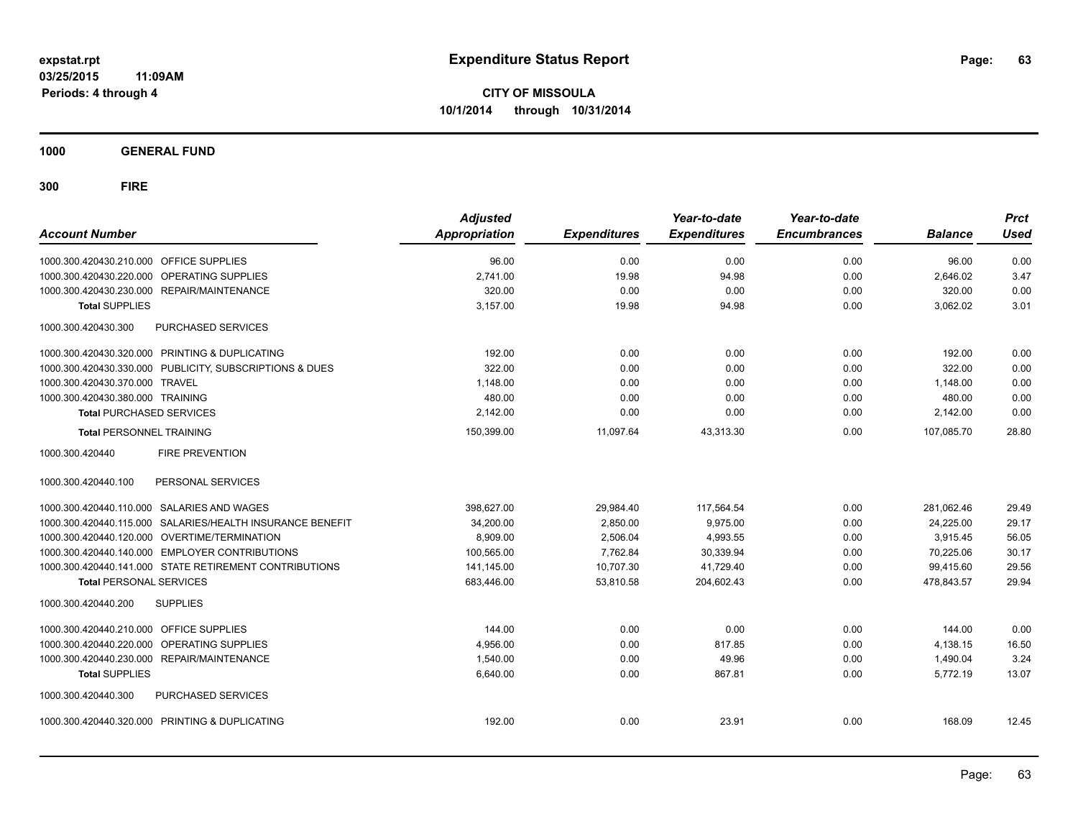**1000 GENERAL FUND**

| <b>Account Number</b>                                     | <b>Adjusted</b><br><b>Appropriation</b> | <b>Expenditures</b> | Year-to-date<br><b>Expenditures</b> | Year-to-date<br><b>Encumbrances</b> | <b>Balance</b> | <b>Prct</b><br><b>Used</b> |
|-----------------------------------------------------------|-----------------------------------------|---------------------|-------------------------------------|-------------------------------------|----------------|----------------------------|
| 1000.300.420430.210.000 OFFICE SUPPLIES                   | 96.00                                   | 0.00                | 0.00                                | 0.00                                | 96.00          | 0.00                       |
| OPERATING SUPPLIES<br>1000.300.420430.220.000             | 2,741.00                                | 19.98               | 94.98                               | 0.00                                | 2,646.02       | 3.47                       |
| 1000.300.420430.230.000<br><b>REPAIR/MAINTENANCE</b>      | 320.00                                  | 0.00                | 0.00                                | 0.00                                | 320.00         | 0.00                       |
| <b>Total SUPPLIES</b>                                     | 3,157.00                                | 19.98               | 94.98                               | 0.00                                | 3,062.02       | 3.01                       |
| 1000.300.420430.300<br><b>PURCHASED SERVICES</b>          |                                         |                     |                                     |                                     |                |                            |
| 1000.300.420430.320.000 PRINTING & DUPLICATING            | 192.00                                  | 0.00                | 0.00                                | 0.00                                | 192.00         | 0.00                       |
| 1000.300.420430.330.000 PUBLICITY, SUBSCRIPTIONS & DUES   | 322.00                                  | 0.00                | 0.00                                | 0.00                                | 322.00         | 0.00                       |
| 1000.300.420430.370.000 TRAVEL                            | 1,148.00                                | 0.00                | 0.00                                | 0.00                                | 1,148.00       | 0.00                       |
| 1000.300.420430.380.000 TRAINING                          | 480.00                                  | 0.00                | 0.00                                | 0.00                                | 480.00         | 0.00                       |
| <b>Total PURCHASED SERVICES</b>                           | 2,142.00                                | 0.00                | 0.00                                | 0.00                                | 2,142.00       | 0.00                       |
| <b>Total PERSONNEL TRAINING</b>                           | 150,399.00                              | 11,097.64           | 43,313.30                           | 0.00                                | 107.085.70     | 28.80                      |
| <b>FIRE PREVENTION</b><br>1000.300.420440                 |                                         |                     |                                     |                                     |                |                            |
| 1000.300.420440.100<br>PERSONAL SERVICES                  |                                         |                     |                                     |                                     |                |                            |
| 1000.300.420440.110.000 SALARIES AND WAGES                | 398,627.00                              | 29,984.40           | 117,564.54                          | 0.00                                | 281,062.46     | 29.49                      |
| 1000.300.420440.115.000 SALARIES/HEALTH INSURANCE BENEFIT | 34,200.00                               | 2,850.00            | 9,975.00                            | 0.00                                | 24,225.00      | 29.17                      |
| 1000.300.420440.120.000 OVERTIME/TERMINATION              | 8.909.00                                | 2.506.04            | 4.993.55                            | 0.00                                | 3,915.45       | 56.05                      |
| 1000.300.420440.140.000 EMPLOYER CONTRIBUTIONS            | 100,565.00                              | 7,762.84            | 30,339.94                           | 0.00                                | 70,225.06      | 30.17                      |
| 1000.300.420440.141.000 STATE RETIREMENT CONTRIBUTIONS    | 141,145.00                              | 10,707.30           | 41,729.40                           | 0.00                                | 99,415.60      | 29.56                      |
| <b>Total PERSONAL SERVICES</b>                            | 683,446.00                              | 53,810.58           | 204,602.43                          | 0.00                                | 478,843.57     | 29.94                      |
| 1000.300.420440.200<br><b>SUPPLIES</b>                    |                                         |                     |                                     |                                     |                |                            |
| 1000.300.420440.210.000 OFFICE SUPPLIES                   | 144.00                                  | 0.00                | 0.00                                | 0.00                                | 144.00         | 0.00                       |
| 1000.300.420440.220.000<br>OPERATING SUPPLIES             | 4,956.00                                | 0.00                | 817.85                              | 0.00                                | 4,138.15       | 16.50                      |
| 1000.300.420440.230.000<br><b>REPAIR/MAINTENANCE</b>      | 1,540.00                                | 0.00                | 49.96                               | 0.00                                | 1,490.04       | 3.24                       |
| <b>Total SUPPLIES</b>                                     | 6,640.00                                | 0.00                | 867.81                              | 0.00                                | 5,772.19       | 13.07                      |
| PURCHASED SERVICES<br>1000.300.420440.300                 |                                         |                     |                                     |                                     |                |                            |
| 1000.300.420440.320.000 PRINTING & DUPLICATING            | 192.00                                  | 0.00                | 23.91                               | 0.00                                | 168.09         | 12.45                      |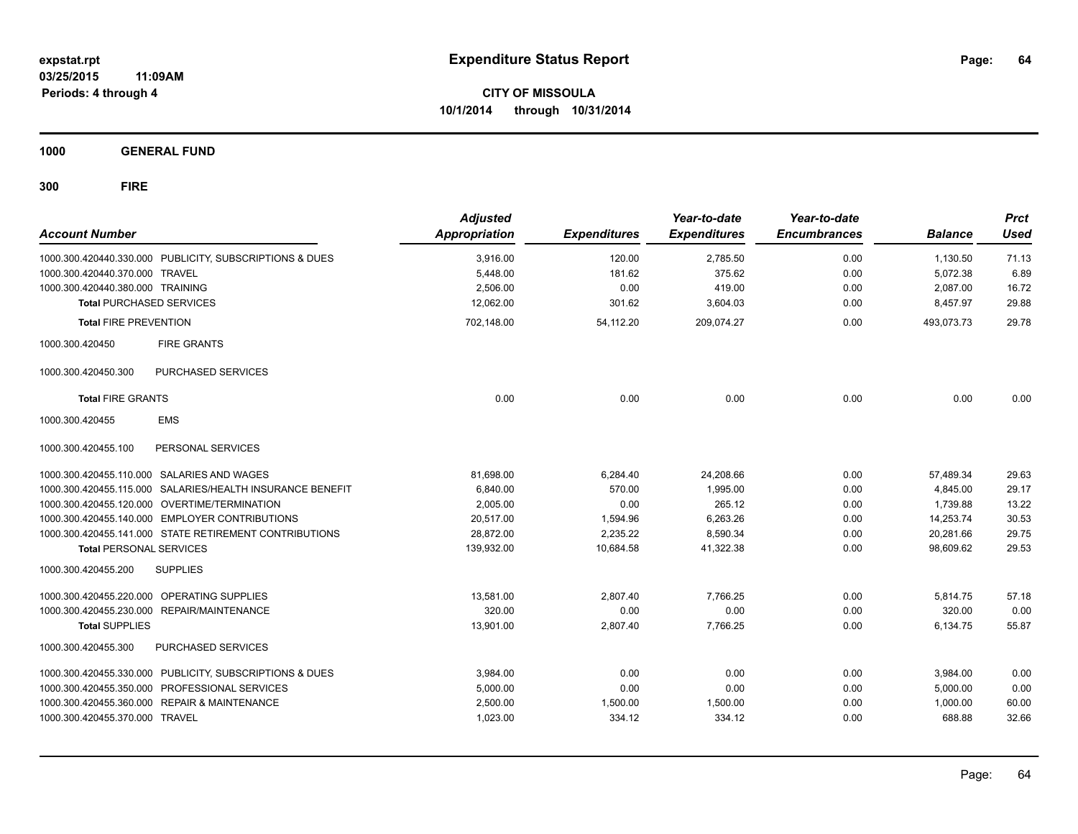**CITY OF MISSOULA 10/1/2014 through 10/31/2014**

**1000 GENERAL FUND**

| <b>Account Number</b>            |                                                         | <b>Adjusted</b><br><b>Appropriation</b> | <b>Expenditures</b> | Year-to-date<br><b>Expenditures</b> | Year-to-date<br><b>Encumbrances</b> | <b>Balance</b> | <b>Prct</b><br><b>Used</b> |
|----------------------------------|---------------------------------------------------------|-----------------------------------------|---------------------|-------------------------------------|-------------------------------------|----------------|----------------------------|
|                                  | 1000.300.420440.330.000 PUBLICITY, SUBSCRIPTIONS & DUES | 3,916.00                                | 120.00              | 2,785.50                            | 0.00                                | 1,130.50       | 71.13                      |
| 1000.300.420440.370.000 TRAVEL   |                                                         | 5,448.00                                | 181.62              | 375.62                              | 0.00                                | 5,072.38       | 6.89                       |
| 1000.300.420440.380.000 TRAINING |                                                         | 2.506.00                                | 0.00                | 419.00                              | 0.00                                | 2.087.00       | 16.72                      |
| <b>Total PURCHASED SERVICES</b>  |                                                         | 12.062.00                               | 301.62              | 3,604.03                            | 0.00                                | 8.457.97       | 29.88                      |
| <b>Total FIRE PREVENTION</b>     |                                                         | 702,148.00                              | 54,112.20           | 209,074.27                          | 0.00                                | 493,073.73     | 29.78                      |
| 1000.300.420450                  | <b>FIRE GRANTS</b>                                      |                                         |                     |                                     |                                     |                |                            |
| 1000.300.420450.300              | <b>PURCHASED SERVICES</b>                               |                                         |                     |                                     |                                     |                |                            |
| <b>Total FIRE GRANTS</b>         |                                                         | 0.00                                    | 0.00                | 0.00                                | 0.00                                | 0.00           | 0.00                       |
| 1000.300.420455                  | <b>EMS</b>                                              |                                         |                     |                                     |                                     |                |                            |
| 1000.300.420455.100              | PERSONAL SERVICES                                       |                                         |                     |                                     |                                     |                |                            |
|                                  | 1000.300.420455.110.000 SALARIES AND WAGES              | 81,698.00                               | 6,284.40            | 24,208.66                           | 0.00                                | 57,489.34      | 29.63                      |
| 1000.300.420455.115.000          | SALARIES/HEALTH INSURANCE BENEFIT                       | 6,840.00                                | 570.00              | 1.995.00                            | 0.00                                | 4.845.00       | 29.17                      |
|                                  | 1000.300.420455.120.000 OVERTIME/TERMINATION            | 2.005.00                                | 0.00                | 265.12                              | 0.00                                | 1.739.88       | 13.22                      |
|                                  | 1000.300.420455.140.000 EMPLOYER CONTRIBUTIONS          | 20,517.00                               | 1,594.96            | 6,263.26                            | 0.00                                | 14,253.74      | 30.53                      |
|                                  | 1000.300.420455.141.000 STATE RETIREMENT CONTRIBUTIONS  | 28,872.00                               | 2,235.22            | 8,590.34                            | 0.00                                | 20,281.66      | 29.75                      |
| <b>Total PERSONAL SERVICES</b>   |                                                         | 139,932.00                              | 10,684.58           | 41,322.38                           | 0.00                                | 98,609.62      | 29.53                      |
| 1000.300.420455.200              | <b>SUPPLIES</b>                                         |                                         |                     |                                     |                                     |                |                            |
|                                  | 1000.300.420455.220.000 OPERATING SUPPLIES              | 13,581.00                               | 2,807.40            | 7,766.25                            | 0.00                                | 5,814.75       | 57.18                      |
|                                  | 1000.300.420455.230.000 REPAIR/MAINTENANCE              | 320.00                                  | 0.00                | 0.00                                | 0.00                                | 320.00         | 0.00                       |
| <b>Total SUPPLIES</b>            |                                                         | 13,901.00                               | 2,807.40            | 7,766.25                            | 0.00                                | 6,134.75       | 55.87                      |
| 1000.300.420455.300              | PURCHASED SERVICES                                      |                                         |                     |                                     |                                     |                |                            |
|                                  | 1000.300.420455.330.000 PUBLICITY, SUBSCRIPTIONS & DUES | 3,984.00                                | 0.00                | 0.00                                | 0.00                                | 3,984.00       | 0.00                       |
|                                  | 1000.300.420455.350.000 PROFESSIONAL SERVICES           | 5,000.00                                | 0.00                | 0.00                                | 0.00                                | 5,000.00       | 0.00                       |
|                                  | 1000.300.420455.360.000 REPAIR & MAINTENANCE            | 2,500.00                                | 1,500.00            | 1,500.00                            | 0.00                                | 1,000.00       | 60.00                      |
| 1000.300.420455.370.000 TRAVEL   |                                                         | 1,023.00                                | 334.12              | 334.12                              | 0.00                                | 688.88         | 32.66                      |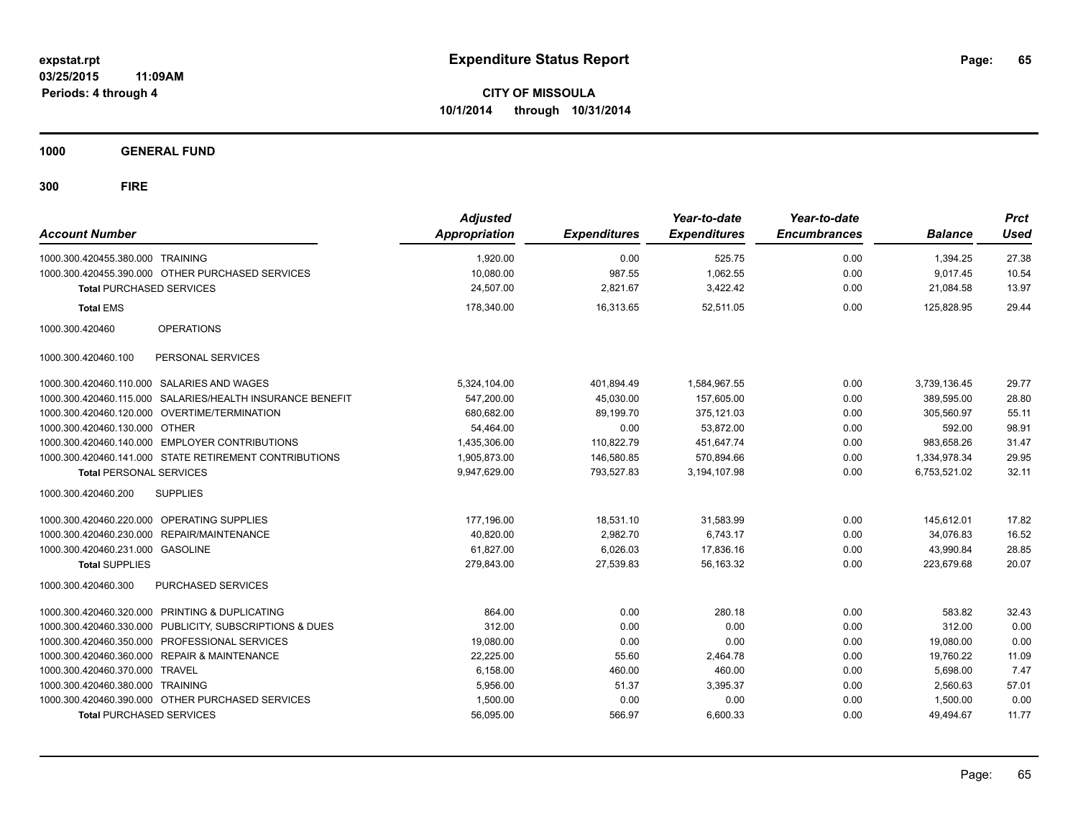**CITY OF MISSOULA 10/1/2014 through 10/31/2014**

**1000 GENERAL FUND**

| <b>Account Number</b>            |                                                         | <b>Adjusted</b><br><b>Appropriation</b> | <b>Expenditures</b> | Year-to-date<br><b>Expenditures</b> | Year-to-date<br><b>Encumbrances</b> | <b>Balance</b> | <b>Prct</b><br><b>Used</b> |
|----------------------------------|---------------------------------------------------------|-----------------------------------------|---------------------|-------------------------------------|-------------------------------------|----------------|----------------------------|
| 1000.300.420455.380.000 TRAINING |                                                         | 1,920.00                                | 0.00                | 525.75                              | 0.00                                | 1,394.25       | 27.38                      |
|                                  | 1000.300.420455.390.000 OTHER PURCHASED SERVICES        | 10,080.00                               | 987.55              | 1,062.55                            | 0.00                                | 9.017.45       | 10.54                      |
| <b>Total PURCHASED SERVICES</b>  |                                                         | 24.507.00                               | 2.821.67            | 3,422.42                            | 0.00                                | 21,084.58      | 13.97                      |
| <b>Total EMS</b>                 |                                                         | 178,340.00                              | 16,313.65           | 52,511.05                           | 0.00                                | 125,828.95     | 29.44                      |
| 1000.300.420460                  | <b>OPERATIONS</b>                                       |                                         |                     |                                     |                                     |                |                            |
| 1000.300.420460.100              | PERSONAL SERVICES                                       |                                         |                     |                                     |                                     |                |                            |
|                                  | 1000.300.420460.110.000 SALARIES AND WAGES              | 5,324,104.00                            | 401,894.49          | 1,584,967.55                        | 0.00                                | 3,739,136.45   | 29.77                      |
| 1000.300.420460.115.000          | SALARIES/HEALTH INSURANCE BENEFIT                       | 547.200.00                              | 45.030.00           | 157.605.00                          | 0.00                                | 389.595.00     | 28.80                      |
|                                  | 1000.300.420460.120.000 OVERTIME/TERMINATION            | 680,682.00                              | 89.199.70           | 375.121.03                          | 0.00                                | 305.560.97     | 55.11                      |
| 1000.300.420460.130.000 OTHER    |                                                         | 54.464.00                               | 0.00                | 53,872.00                           | 0.00                                | 592.00         | 98.91                      |
|                                  | 1000.300.420460.140.000 EMPLOYER CONTRIBUTIONS          | 1,435,306.00                            | 110,822.79          | 451,647.74                          | 0.00                                | 983,658.26     | 31.47                      |
|                                  | 1000.300.420460.141.000 STATE RETIREMENT CONTRIBUTIONS  | 1,905,873.00                            | 146,580.85          | 570,894.66                          | 0.00                                | 1,334,978.34   | 29.95                      |
| <b>Total PERSONAL SERVICES</b>   |                                                         | 9,947,629.00                            | 793,527.83          | 3,194,107.98                        | 0.00                                | 6,753,521.02   | 32.11                      |
| 1000.300.420460.200              | <b>SUPPLIES</b>                                         |                                         |                     |                                     |                                     |                |                            |
|                                  | 1000.300.420460.220.000 OPERATING SUPPLIES              | 177,196.00                              | 18,531.10           | 31,583.99                           | 0.00                                | 145.612.01     | 17.82                      |
| 1000.300.420460.230.000          | REPAIR/MAINTENANCE                                      | 40,820.00                               | 2,982.70            | 6,743.17                            | 0.00                                | 34,076.83      | 16.52                      |
| 1000.300.420460.231.000 GASOLINE |                                                         | 61,827.00                               | 6,026.03            | 17,836.16                           | 0.00                                | 43,990.84      | 28.85                      |
| <b>Total SUPPLIES</b>            |                                                         | 279,843.00                              | 27,539.83           | 56,163.32                           | 0.00                                | 223,679.68     | 20.07                      |
| 1000.300.420460.300              | <b>PURCHASED SERVICES</b>                               |                                         |                     |                                     |                                     |                |                            |
|                                  | 1000.300.420460.320.000 PRINTING & DUPLICATING          | 864.00                                  | 0.00                | 280.18                              | 0.00                                | 583.82         | 32.43                      |
|                                  | 1000.300.420460.330.000 PUBLICITY, SUBSCRIPTIONS & DUES | 312.00                                  | 0.00                | 0.00                                | 0.00                                | 312.00         | 0.00                       |
|                                  | 1000.300.420460.350.000 PROFESSIONAL SERVICES           | 19,080.00                               | 0.00                | 0.00                                | 0.00                                | 19,080.00      | 0.00                       |
| 1000.300.420460.360.000          | <b>REPAIR &amp; MAINTENANCE</b>                         | 22,225.00                               | 55.60               | 2,464.78                            | 0.00                                | 19,760.22      | 11.09                      |
| 1000.300.420460.370.000          | <b>TRAVEL</b>                                           | 6,158.00                                | 460.00              | 460.00                              | 0.00                                | 5,698.00       | 7.47                       |
| 1000.300.420460.380.000 TRAINING |                                                         | 5,956.00                                | 51.37               | 3,395.37                            | 0.00                                | 2,560.63       | 57.01                      |
|                                  | 1000.300.420460.390.000 OTHER PURCHASED SERVICES        | 1,500.00                                | 0.00                | 0.00                                | 0.00                                | 1,500.00       | 0.00                       |
| <b>Total PURCHASED SERVICES</b>  |                                                         | 56,095.00                               | 566.97              | 6,600.33                            | 0.00                                | 49,494.67      | 11.77                      |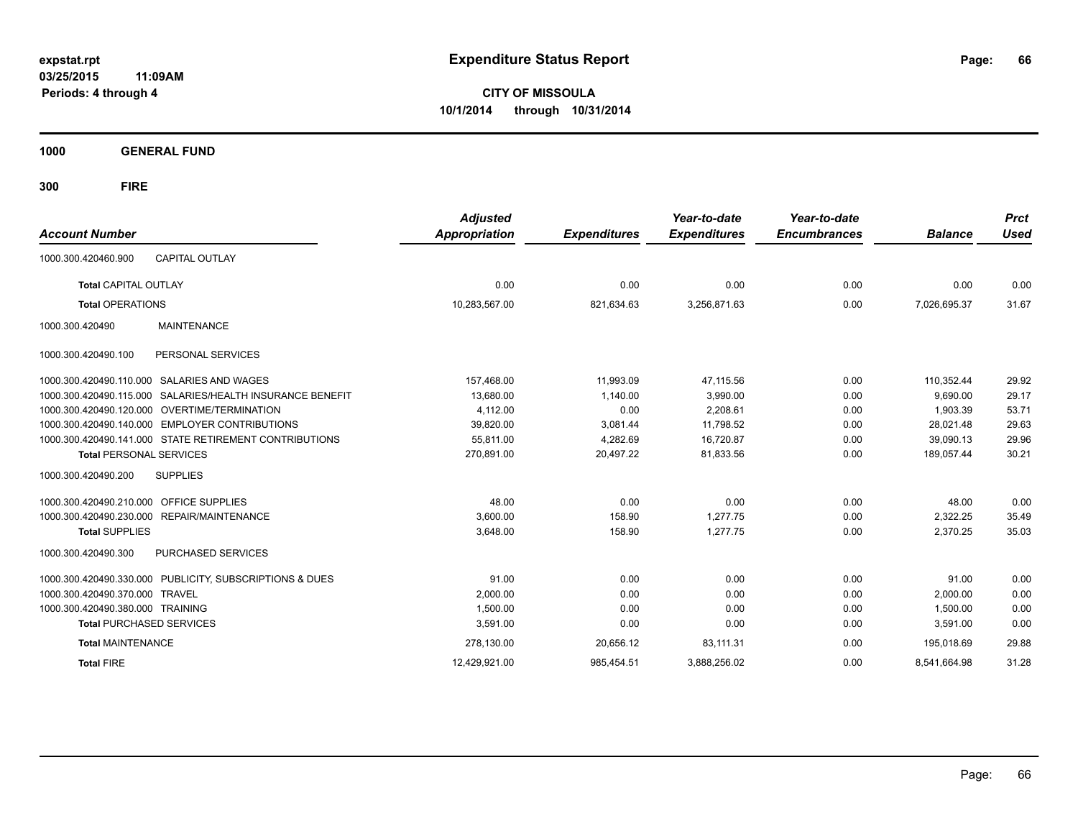**CITY OF MISSOULA 10/1/2014 through 10/31/2014**

**1000 GENERAL FUND**

| <b>Account Number</b>                                        | <b>Adjusted</b><br><b>Appropriation</b> | <b>Expenditures</b> | Year-to-date<br><b>Expenditures</b> | Year-to-date<br><b>Encumbrances</b> | <b>Balance</b> | <b>Prct</b><br><b>Used</b> |
|--------------------------------------------------------------|-----------------------------------------|---------------------|-------------------------------------|-------------------------------------|----------------|----------------------------|
| <b>CAPITAL OUTLAY</b><br>1000.300.420460.900                 |                                         |                     |                                     |                                     |                |                            |
| <b>Total CAPITAL OUTLAY</b>                                  | 0.00                                    | 0.00                | 0.00                                | 0.00                                | 0.00           | 0.00                       |
| <b>Total OPERATIONS</b>                                      | 10,283,567.00                           | 821,634.63          | 3,256,871.63                        | 0.00                                | 7,026,695.37   | 31.67                      |
| <b>MAINTENANCE</b><br>1000.300.420490                        |                                         |                     |                                     |                                     |                |                            |
| PERSONAL SERVICES<br>1000.300.420490.100                     |                                         |                     |                                     |                                     |                |                            |
| SALARIES AND WAGES<br>1000.300.420490.110.000                | 157,468.00                              | 11,993.09           | 47,115.56                           | 0.00                                | 110,352.44     | 29.92                      |
| SALARIES/HEALTH INSURANCE BENEFIT<br>1000.300.420490.115.000 | 13,680.00                               | 1.140.00            | 3,990.00                            | 0.00                                | 9.690.00       | 29.17                      |
| 1000.300.420490.120.000<br><b>OVERTIME/TERMINATION</b>       | 4,112.00                                | 0.00                | 2,208.61                            | 0.00                                | 1,903.39       | 53.71                      |
| <b>EMPLOYER CONTRIBUTIONS</b><br>1000.300.420490.140.000     | 39,820.00                               | 3,081.44            | 11,798.52                           | 0.00                                | 28,021.48      | 29.63                      |
| 1000.300.420490.141.000 STATE RETIREMENT CONTRIBUTIONS       | 55,811.00                               | 4,282.69            | 16,720.87                           | 0.00                                | 39,090.13      | 29.96                      |
| <b>Total PERSONAL SERVICES</b>                               | 270,891.00                              | 20,497.22           | 81,833.56                           | 0.00                                | 189,057.44     | 30.21                      |
| 1000.300.420490.200<br><b>SUPPLIES</b>                       |                                         |                     |                                     |                                     |                |                            |
| <b>OFFICE SUPPLIES</b><br>1000.300.420490.210.000            | 48.00                                   | 0.00                | 0.00                                | 0.00                                | 48.00          | 0.00                       |
| 1000.300.420490.230.000 REPAIR/MAINTENANCE                   | 3,600.00                                | 158.90              | 1,277.75                            | 0.00                                | 2,322.25       | 35.49                      |
| <b>Total SUPPLIES</b>                                        | 3,648.00                                | 158.90              | 1,277.75                            | 0.00                                | 2,370.25       | 35.03                      |
| 1000.300.420490.300<br>PURCHASED SERVICES                    |                                         |                     |                                     |                                     |                |                            |
| 1000.300.420490.330.000 PUBLICITY, SUBSCRIPTIONS & DUES      | 91.00                                   | 0.00                | 0.00                                | 0.00                                | 91.00          | 0.00                       |
| 1000.300.420490.370.000<br><b>TRAVEL</b>                     | 2,000.00                                | 0.00                | 0.00                                | 0.00                                | 2,000.00       | 0.00                       |
| 1000.300.420490.380.000 TRAINING                             | 1,500.00                                | 0.00                | 0.00                                | 0.00                                | 1,500.00       | 0.00                       |
| <b>Total PURCHASED SERVICES</b>                              | 3,591.00                                | 0.00                | 0.00                                | 0.00                                | 3,591.00       | 0.00                       |
| <b>Total MAINTENANCE</b>                                     | 278,130.00                              | 20,656.12           | 83,111.31                           | 0.00                                | 195.018.69     | 29.88                      |
| <b>Total FIRE</b>                                            | 12.429.921.00                           | 985.454.51          | 3.888.256.02                        | 0.00                                | 8.541.664.98   | 31.28                      |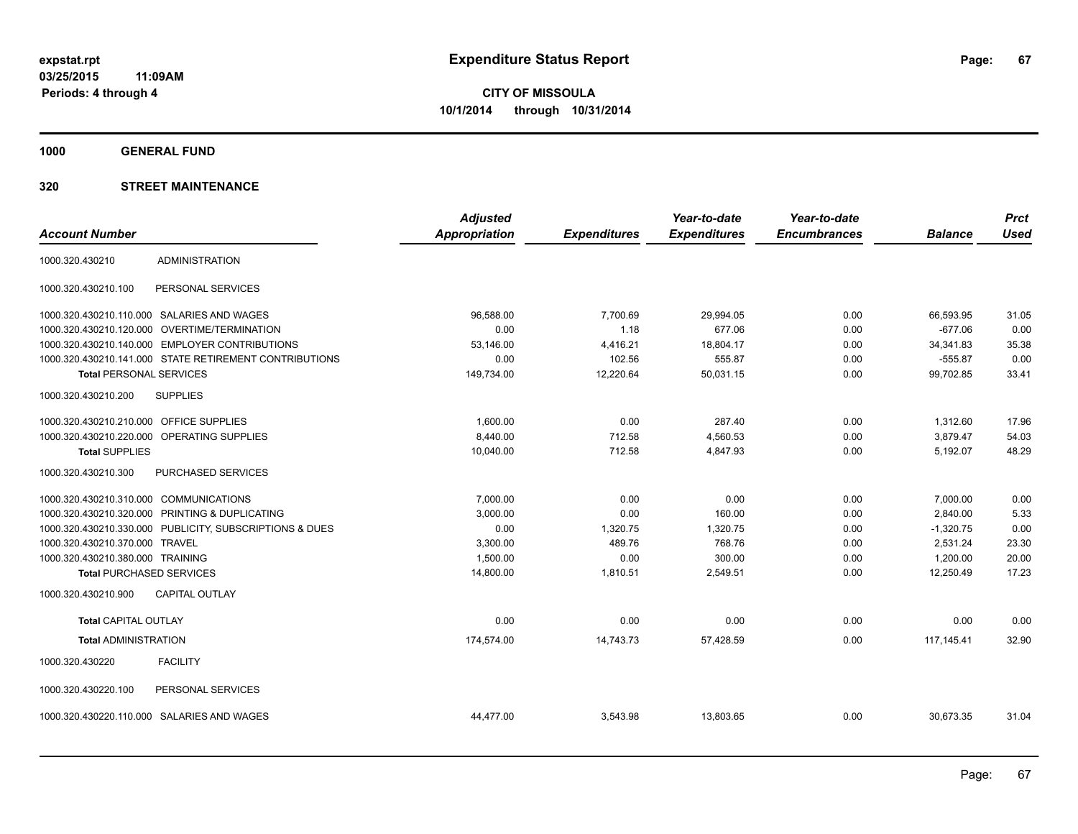**1000 GENERAL FUND**

|                                        |                                                         | <b>Adjusted</b>      |                     | Year-to-date        | Year-to-date        |                | <b>Prct</b> |
|----------------------------------------|---------------------------------------------------------|----------------------|---------------------|---------------------|---------------------|----------------|-------------|
| <b>Account Number</b>                  |                                                         | <b>Appropriation</b> | <b>Expenditures</b> | <b>Expenditures</b> | <b>Encumbrances</b> | <b>Balance</b> | <b>Used</b> |
| 1000.320.430210                        | <b>ADMINISTRATION</b>                                   |                      |                     |                     |                     |                |             |
| 1000.320.430210.100                    | PERSONAL SERVICES                                       |                      |                     |                     |                     |                |             |
|                                        | 1000.320.430210.110.000 SALARIES AND WAGES              | 96,588.00            | 7,700.69            | 29,994.05           | 0.00                | 66,593.95      | 31.05       |
| 1000.320.430210.120.000                | OVERTIME/TERMINATION                                    | 0.00                 | 1.18                | 677.06              | 0.00                | $-677.06$      | 0.00        |
|                                        | 1000.320.430210.140.000 EMPLOYER CONTRIBUTIONS          | 53,146.00            | 4,416.21            | 18,804.17           | 0.00                | 34,341.83      | 35.38       |
|                                        | 1000.320.430210.141.000 STATE RETIREMENT CONTRIBUTIONS  | 0.00                 | 102.56              | 555.87              | 0.00                | $-555.87$      | 0.00        |
| <b>Total PERSONAL SERVICES</b>         |                                                         | 149,734.00           | 12,220.64           | 50,031.15           | 0.00                | 99,702.85      | 33.41       |
| 1000.320.430210.200                    | <b>SUPPLIES</b>                                         |                      |                     |                     |                     |                |             |
| 1000.320.430210.210.000                | <b>OFFICE SUPPLIES</b>                                  | 1,600.00             | 0.00                | 287.40              | 0.00                | 1,312.60       | 17.96       |
|                                        | 1000.320.430210.220.000 OPERATING SUPPLIES              | 8,440.00             | 712.58              | 4,560.53            | 0.00                | 3,879.47       | 54.03       |
| <b>Total SUPPLIES</b>                  |                                                         | 10,040.00            | 712.58              | 4,847.93            | 0.00                | 5,192.07       | 48.29       |
| 1000.320.430210.300                    | PURCHASED SERVICES                                      |                      |                     |                     |                     |                |             |
| 1000.320.430210.310.000 COMMUNICATIONS |                                                         | 7,000.00             | 0.00                | 0.00                | 0.00                | 7,000.00       | 0.00        |
|                                        | 1000.320.430210.320.000 PRINTING & DUPLICATING          | 3,000.00             | 0.00                | 160.00              | 0.00                | 2,840.00       | 5.33        |
|                                        | 1000.320.430210.330.000 PUBLICITY, SUBSCRIPTIONS & DUES | 0.00                 | 1,320.75            | 1,320.75            | 0.00                | $-1,320.75$    | 0.00        |
| 1000.320.430210.370.000                | <b>TRAVEL</b>                                           | 3,300.00             | 489.76              | 768.76              | 0.00                | 2,531.24       | 23.30       |
| 1000.320.430210.380.000 TRAINING       |                                                         | 1,500.00             | 0.00                | 300.00              | 0.00                | 1,200.00       | 20.00       |
| <b>Total PURCHASED SERVICES</b>        |                                                         | 14,800.00            | 1,810.51            | 2,549.51            | 0.00                | 12,250.49      | 17.23       |
| 1000.320.430210.900                    | <b>CAPITAL OUTLAY</b>                                   |                      |                     |                     |                     |                |             |
| <b>Total CAPITAL OUTLAY</b>            |                                                         | 0.00                 | 0.00                | 0.00                | 0.00                | 0.00           | 0.00        |
| <b>Total ADMINISTRATION</b>            |                                                         | 174,574.00           | 14,743.73           | 57,428.59           | 0.00                | 117.145.41     | 32.90       |
| 1000.320.430220                        | <b>FACILITY</b>                                         |                      |                     |                     |                     |                |             |
| 1000.320.430220.100                    | PERSONAL SERVICES                                       |                      |                     |                     |                     |                |             |
|                                        | 1000.320.430220.110.000 SALARIES AND WAGES              | 44,477.00            | 3,543.98            | 13,803.65           | 0.00                | 30,673.35      | 31.04       |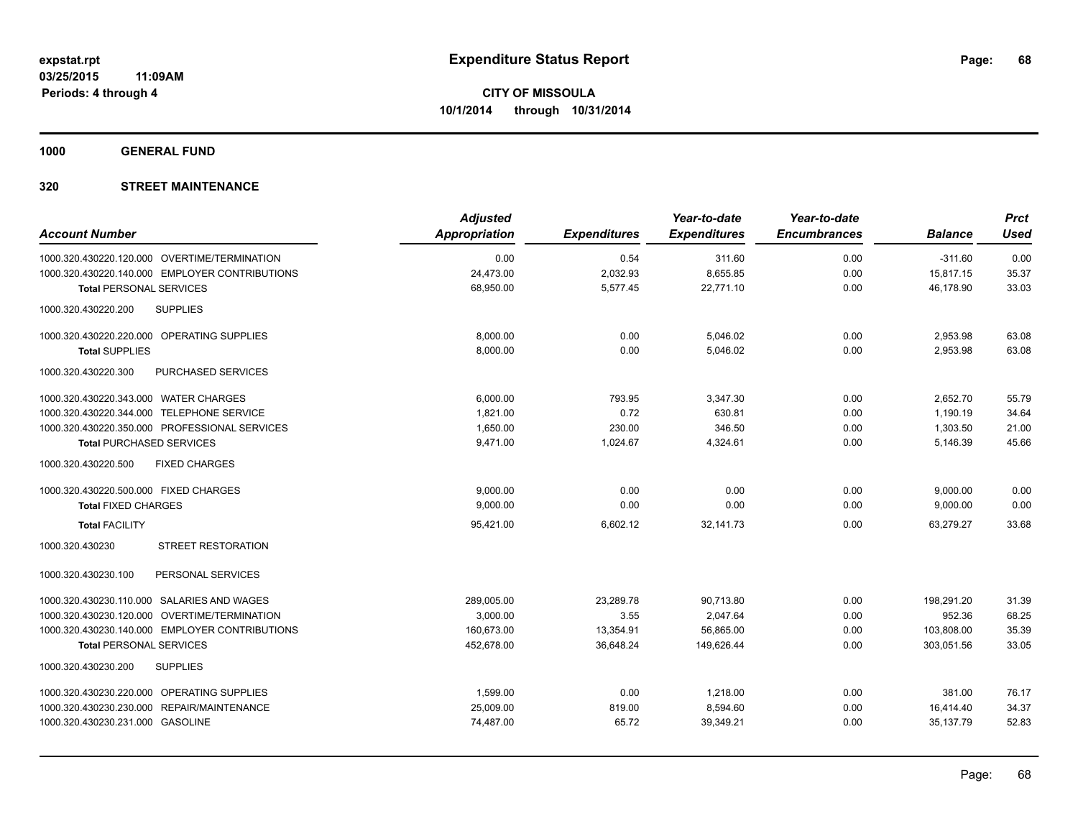**1000 GENERAL FUND**

| <b>Account Number</b>                           | <b>Adjusted</b><br><b>Appropriation</b> | <b>Expenditures</b> | Year-to-date<br><b>Expenditures</b> | Year-to-date<br><b>Encumbrances</b> | <b>Balance</b> | <b>Prct</b><br><b>Used</b> |
|-------------------------------------------------|-----------------------------------------|---------------------|-------------------------------------|-------------------------------------|----------------|----------------------------|
| 1000.320.430220.120.000 OVERTIME/TERMINATION    | 0.00                                    | 0.54                | 311.60                              | 0.00                                | $-311.60$      | 0.00                       |
| 1000.320.430220.140.000 EMPLOYER CONTRIBUTIONS  | 24,473.00                               | 2,032.93            | 8,655.85                            | 0.00                                | 15,817.15      | 35.37                      |
| <b>Total PERSONAL SERVICES</b>                  | 68,950.00                               | 5,577.45            | 22,771.10                           | 0.00                                | 46,178.90      | 33.03                      |
| 1000.320.430220.200<br><b>SUPPLIES</b>          |                                         |                     |                                     |                                     |                |                            |
| 1000.320.430220.220.000 OPERATING SUPPLIES      | 8,000.00                                | 0.00                | 5,046.02                            | 0.00                                | 2,953.98       | 63.08                      |
| <b>Total SUPPLIES</b>                           | 8,000.00                                | 0.00                | 5,046.02                            | 0.00                                | 2,953.98       | 63.08                      |
| 1000.320.430220.300<br>PURCHASED SERVICES       |                                         |                     |                                     |                                     |                |                            |
| 1000.320.430220.343.000 WATER CHARGES           | 6.000.00                                | 793.95              | 3,347.30                            | 0.00                                | 2,652.70       | 55.79                      |
| 1000.320.430220.344.000 TELEPHONE SERVICE       | 1,821.00                                | 0.72                | 630.81                              | 0.00                                | 1,190.19       | 34.64                      |
| 1000.320.430220.350.000 PROFESSIONAL SERVICES   | 1,650.00                                | 230.00              | 346.50                              | 0.00                                | 1,303.50       | 21.00                      |
| <b>Total PURCHASED SERVICES</b>                 | 9,471.00                                | 1,024.67            | 4,324.61                            | 0.00                                | 5,146.39       | 45.66                      |
| 1000.320.430220.500<br><b>FIXED CHARGES</b>     |                                         |                     |                                     |                                     |                |                            |
| 1000.320.430220.500.000 FIXED CHARGES           | 9.000.00                                | 0.00                | 0.00                                | 0.00                                | 9,000.00       | 0.00                       |
| <b>Total FIXED CHARGES</b>                      | 9,000.00                                | 0.00                | 0.00                                | 0.00                                | 9,000.00       | 0.00                       |
| <b>Total FACILITY</b>                           | 95,421.00                               | 6,602.12            | 32,141.73                           | 0.00                                | 63,279.27      | 33.68                      |
| <b>STREET RESTORATION</b><br>1000.320.430230    |                                         |                     |                                     |                                     |                |                            |
| 1000.320.430230.100<br>PERSONAL SERVICES        |                                         |                     |                                     |                                     |                |                            |
| 1000.320.430230.110.000 SALARIES AND WAGES      | 289,005.00                              | 23,289.78           | 90,713.80                           | 0.00                                | 198.291.20     | 31.39                      |
| OVERTIME/TERMINATION<br>1000.320.430230.120.000 | 3,000.00                                | 3.55                | 2,047.64                            | 0.00                                | 952.36         | 68.25                      |
| 1000.320.430230.140.000 EMPLOYER CONTRIBUTIONS  | 160,673.00                              | 13,354.91           | 56,865.00                           | 0.00                                | 103,808.00     | 35.39                      |
| <b>Total PERSONAL SERVICES</b>                  | 452,678.00                              | 36,648.24           | 149,626.44                          | 0.00                                | 303,051.56     | 33.05                      |
| 1000.320.430230.200<br><b>SUPPLIES</b>          |                                         |                     |                                     |                                     |                |                            |
| 1000.320.430230.220.000 OPERATING SUPPLIES      | 1,599.00                                | 0.00                | 1,218.00                            | 0.00                                | 381.00         | 76.17                      |
| 1000.320.430230.230.000 REPAIR/MAINTENANCE      | 25,009.00                               | 819.00              | 8,594.60                            | 0.00                                | 16,414.40      | 34.37                      |
| 1000.320.430230.231.000 GASOLINE                | 74,487.00                               | 65.72               | 39,349.21                           | 0.00                                | 35,137.79      | 52.83                      |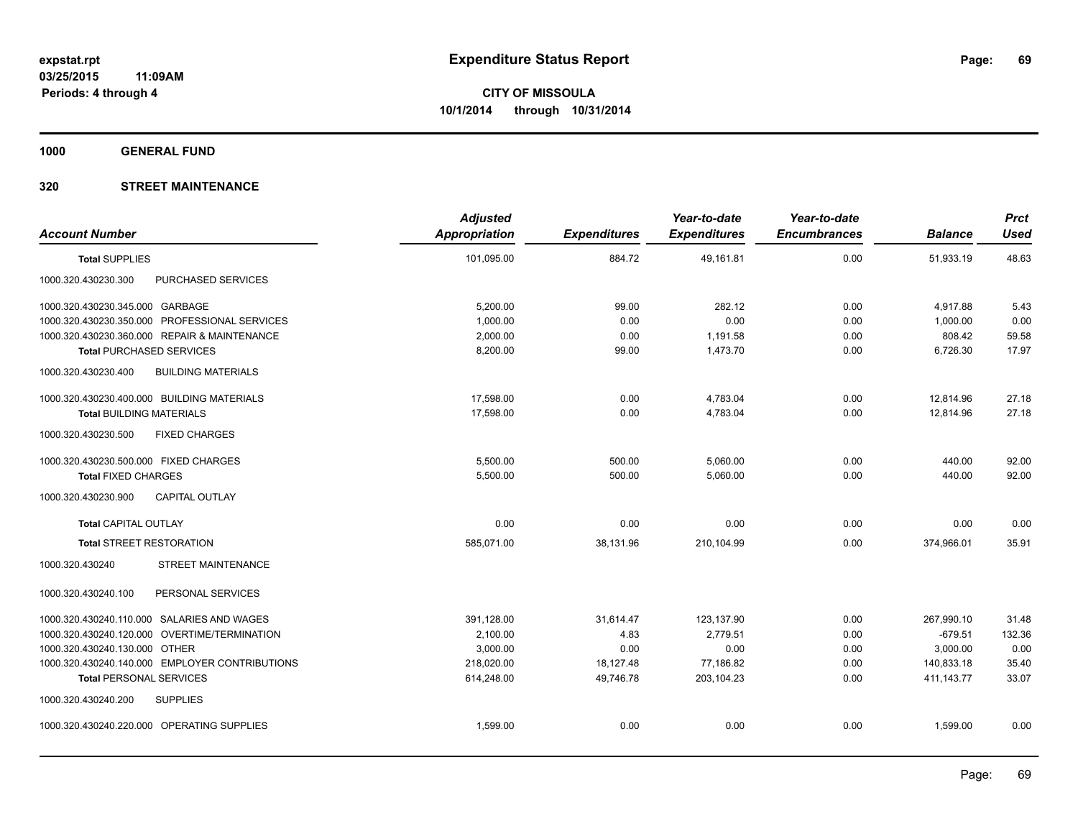**1000 GENERAL FUND**

| <b>Account Number</b>                            | <b>Adjusted</b><br><b>Appropriation</b> | <b>Expenditures</b> | Year-to-date<br><b>Expenditures</b> | Year-to-date<br><b>Encumbrances</b> | <b>Balance</b> | <b>Prct</b><br><b>Used</b> |
|--------------------------------------------------|-----------------------------------------|---------------------|-------------------------------------|-------------------------------------|----------------|----------------------------|
| <b>Total SUPPLIES</b>                            | 101,095.00                              | 884.72              | 49,161.81                           | 0.00                                | 51,933.19      | 48.63                      |
| PURCHASED SERVICES<br>1000.320.430230.300        |                                         |                     |                                     |                                     |                |                            |
| 1000.320.430230.345.000 GARBAGE                  | 5,200.00                                | 99.00               | 282.12                              | 0.00                                | 4,917.88       | 5.43                       |
| 1000.320.430230.350.000 PROFESSIONAL SERVICES    | 1,000.00                                | 0.00                | 0.00                                | 0.00                                | 1,000.00       | 0.00                       |
| 1000.320.430230.360.000 REPAIR & MAINTENANCE     | 2,000.00                                | 0.00                | 1,191.58                            | 0.00                                | 808.42         | 59.58                      |
| <b>Total PURCHASED SERVICES</b>                  | 8,200.00                                | 99.00               | 1,473.70                            | 0.00                                | 6,726.30       | 17.97                      |
| <b>BUILDING MATERIALS</b><br>1000.320.430230.400 |                                         |                     |                                     |                                     |                |                            |
| 1000.320.430230.400.000 BUILDING MATERIALS       | 17,598.00                               | 0.00                | 4,783.04                            | 0.00                                | 12,814.96      | 27.18                      |
| <b>Total BUILDING MATERIALS</b>                  | 17.598.00                               | 0.00                | 4,783.04                            | 0.00                                | 12,814.96      | 27.18                      |
| 1000.320.430230.500<br><b>FIXED CHARGES</b>      |                                         |                     |                                     |                                     |                |                            |
| 1000.320.430230.500.000 FIXED CHARGES            | 5,500.00                                | 500.00              | 5,060.00                            | 0.00                                | 440.00         | 92.00                      |
| <b>Total FIXED CHARGES</b>                       | 5,500.00                                | 500.00              | 5,060.00                            | 0.00                                | 440.00         | 92.00                      |
| 1000.320.430230.900<br><b>CAPITAL OUTLAY</b>     |                                         |                     |                                     |                                     |                |                            |
| <b>Total CAPITAL OUTLAY</b>                      | 0.00                                    | 0.00                | 0.00                                | 0.00                                | 0.00           | 0.00                       |
| <b>Total STREET RESTORATION</b>                  | 585.071.00                              | 38.131.96           | 210.104.99                          | 0.00                                | 374.966.01     | 35.91                      |
| <b>STREET MAINTENANCE</b><br>1000.320.430240     |                                         |                     |                                     |                                     |                |                            |
| PERSONAL SERVICES<br>1000.320.430240.100         |                                         |                     |                                     |                                     |                |                            |
| 1000.320.430240.110.000 SALARIES AND WAGES       | 391,128.00                              | 31,614.47           | 123,137.90                          | 0.00                                | 267,990.10     | 31.48                      |
| 1000.320.430240.120.000 OVERTIME/TERMINATION     | 2,100.00                                | 4.83                | 2,779.51                            | 0.00                                | $-679.51$      | 132.36                     |
| 1000.320.430240.130.000 OTHER                    | 3,000.00                                | 0.00                | 0.00                                | 0.00                                | 3,000.00       | 0.00                       |
| 1000.320.430240.140.000 EMPLOYER CONTRIBUTIONS   | 218,020.00                              | 18,127.48           | 77,186.82                           | 0.00                                | 140,833.18     | 35.40                      |
| <b>Total PERSONAL SERVICES</b>                   | 614,248.00                              | 49,746.78           | 203,104.23                          | 0.00                                | 411, 143. 77   | 33.07                      |
| 1000.320.430240.200<br><b>SUPPLIES</b>           |                                         |                     |                                     |                                     |                |                            |
| 1000.320.430240.220.000 OPERATING SUPPLIES       | 1,599.00                                | 0.00                | 0.00                                | 0.00                                | 1,599.00       | 0.00                       |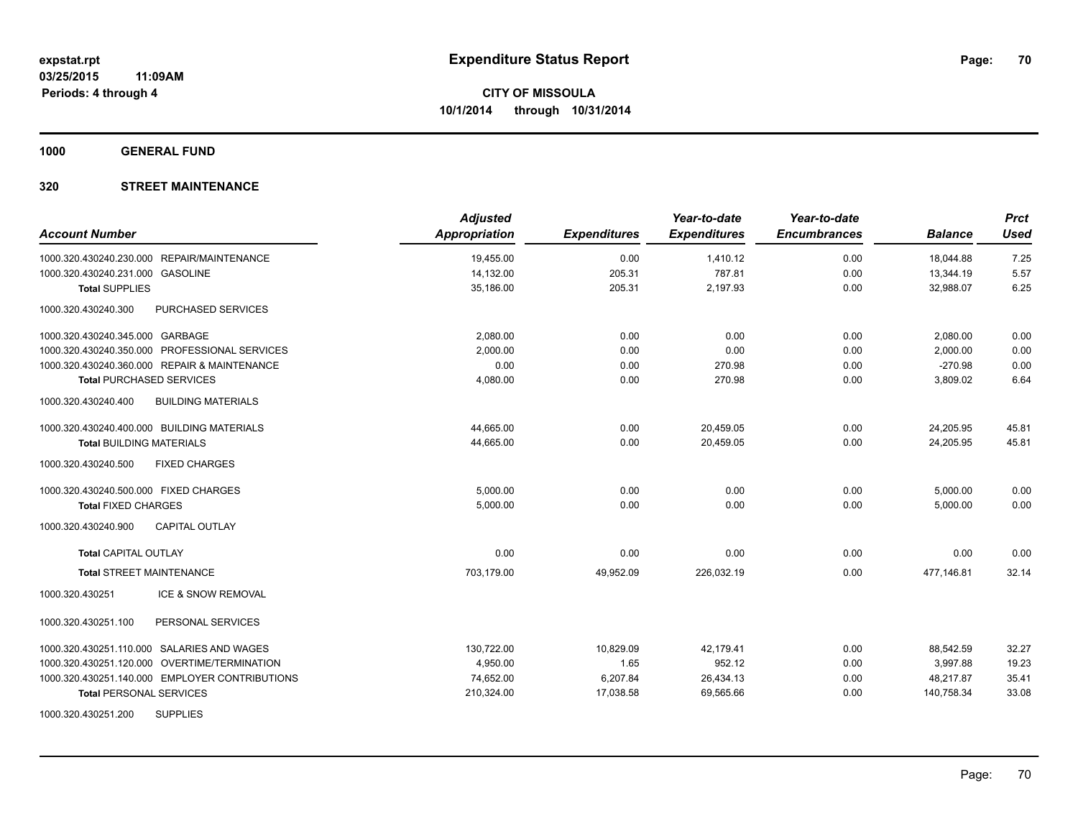**1000 GENERAL FUND**

| <b>Account Number</b>                            | <b>Adjusted</b><br>Appropriation | <b>Expenditures</b> | Year-to-date<br><b>Expenditures</b> | Year-to-date<br><b>Encumbrances</b> | <b>Balance</b> | <b>Prct</b><br><b>Used</b> |
|--------------------------------------------------|----------------------------------|---------------------|-------------------------------------|-------------------------------------|----------------|----------------------------|
| 1000.320.430240.230.000 REPAIR/MAINTENANCE       | 19,455.00                        | 0.00                | 1,410.12                            | 0.00                                | 18,044.88      | 7.25                       |
| 1000.320.430240.231.000 GASOLINE                 | 14,132.00                        | 205.31              | 787.81                              | 0.00                                | 13,344.19      | 5.57                       |
| <b>Total SUPPLIES</b>                            | 35,186.00                        | 205.31              | 2,197.93                            | 0.00                                | 32,988.07      | 6.25                       |
| 1000.320.430240.300<br>PURCHASED SERVICES        |                                  |                     |                                     |                                     |                |                            |
| 1000.320.430240.345.000 GARBAGE                  | 2,080.00                         | 0.00                | 0.00                                | 0.00                                | 2,080.00       | 0.00                       |
| 1000.320.430240.350.000 PROFESSIONAL SERVICES    | 2.000.00                         | 0.00                | 0.00                                | 0.00                                | 2,000.00       | 0.00                       |
| 1000.320.430240.360.000 REPAIR & MAINTENANCE     | 0.00                             | 0.00                | 270.98                              | 0.00                                | $-270.98$      | 0.00                       |
| <b>Total PURCHASED SERVICES</b>                  | 4,080.00                         | 0.00                | 270.98                              | 0.00                                | 3,809.02       | 6.64                       |
| <b>BUILDING MATERIALS</b><br>1000.320.430240.400 |                                  |                     |                                     |                                     |                |                            |
| 1000.320.430240.400.000 BUILDING MATERIALS       | 44,665.00                        | 0.00                | 20,459.05                           | 0.00                                | 24,205.95      | 45.81                      |
| <b>Total BUILDING MATERIALS</b>                  | 44,665.00                        | 0.00                | 20,459.05                           | 0.00                                | 24,205.95      | 45.81                      |
| 1000.320.430240.500<br><b>FIXED CHARGES</b>      |                                  |                     |                                     |                                     |                |                            |
| 1000.320.430240.500.000 FIXED CHARGES            | 5,000.00                         | 0.00                | 0.00                                | 0.00                                | 5,000.00       | 0.00                       |
| <b>Total FIXED CHARGES</b>                       | 5,000.00                         | 0.00                | 0.00                                | 0.00                                | 5,000.00       | 0.00                       |
| 1000.320.430240.900<br><b>CAPITAL OUTLAY</b>     |                                  |                     |                                     |                                     |                |                            |
| <b>Total CAPITAL OUTLAY</b>                      | 0.00                             | 0.00                | 0.00                                | 0.00                                | 0.00           | 0.00                       |
| <b>Total STREET MAINTENANCE</b>                  | 703,179.00                       | 49,952.09           | 226,032.19                          | 0.00                                | 477,146.81     | 32.14                      |
| ICE & SNOW REMOVAL<br>1000.320.430251            |                                  |                     |                                     |                                     |                |                            |
| 1000.320.430251.100<br>PERSONAL SERVICES         |                                  |                     |                                     |                                     |                |                            |
| 1000.320.430251.110.000 SALARIES AND WAGES       | 130,722.00                       | 10,829.09           | 42,179.41                           | 0.00                                | 88,542.59      | 32.27                      |
| 1000.320.430251.120.000 OVERTIME/TERMINATION     | 4,950.00                         | 1.65                | 952.12                              | 0.00                                | 3,997.88       | 19.23                      |
| 1000.320.430251.140.000 EMPLOYER CONTRIBUTIONS   | 74,652.00                        | 6,207.84            | 26,434.13                           | 0.00                                | 48,217.87      | 35.41                      |
| <b>Total PERSONAL SERVICES</b>                   | 210,324.00                       | 17,038.58           | 69,565.66                           | 0.00                                | 140,758.34     | 33.08                      |
| <b>SUPPLIES</b><br>1000.320.430251.200           |                                  |                     |                                     |                                     |                |                            |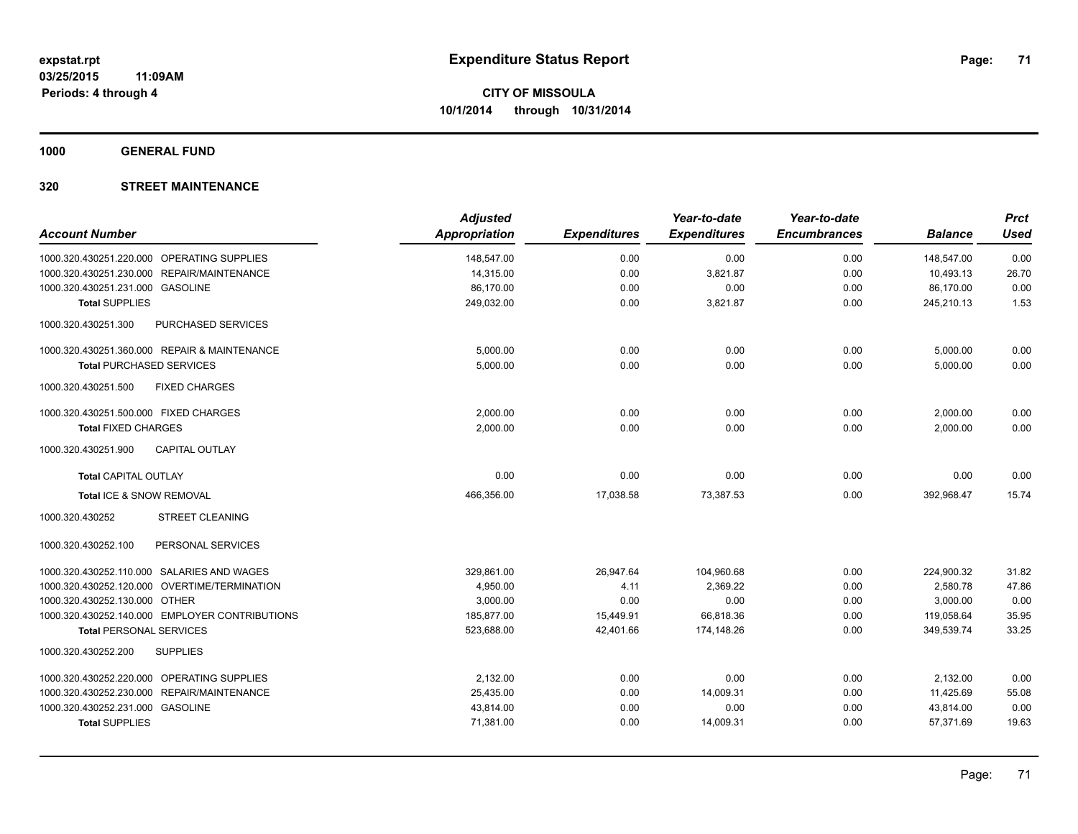**1000 GENERAL FUND**

| <b>Account Number</b>                            | <b>Adjusted</b><br><b>Appropriation</b> | <b>Expenditures</b> | Year-to-date<br><b>Expenditures</b> | Year-to-date<br><b>Encumbrances</b> | <b>Balance</b> | <b>Prct</b><br><b>Used</b> |
|--------------------------------------------------|-----------------------------------------|---------------------|-------------------------------------|-------------------------------------|----------------|----------------------------|
| 1000.320.430251.220.000 OPERATING SUPPLIES       | 148,547.00                              | 0.00                | 0.00                                | 0.00                                | 148.547.00     | 0.00                       |
| REPAIR/MAINTENANCE<br>1000.320.430251.230.000    | 14,315.00                               | 0.00                | 3,821.87                            | 0.00                                | 10,493.13      | 26.70                      |
| 1000.320.430251.231.000 GASOLINE                 | 86,170.00                               | 0.00                | 0.00                                | 0.00                                | 86,170.00      | 0.00                       |
| <b>Total SUPPLIES</b>                            | 249,032.00                              | 0.00                | 3,821.87                            | 0.00                                | 245,210.13     | 1.53                       |
| 1000.320.430251.300<br><b>PURCHASED SERVICES</b> |                                         |                     |                                     |                                     |                |                            |
| 1000.320.430251.360.000 REPAIR & MAINTENANCE     | 5,000.00                                | 0.00                | 0.00                                | 0.00                                | 5,000.00       | 0.00                       |
| <b>Total PURCHASED SERVICES</b>                  | 5,000.00                                | 0.00                | 0.00                                | 0.00                                | 5,000.00       | 0.00                       |
| 1000.320.430251.500<br><b>FIXED CHARGES</b>      |                                         |                     |                                     |                                     |                |                            |
| 1000.320.430251.500.000 FIXED CHARGES            | 2,000.00                                | 0.00                | 0.00                                | 0.00                                | 2,000.00       | 0.00                       |
| <b>Total FIXED CHARGES</b>                       | 2,000.00                                | 0.00                | 0.00                                | 0.00                                | 2,000.00       | 0.00                       |
| <b>CAPITAL OUTLAY</b><br>1000.320.430251.900     |                                         |                     |                                     |                                     |                |                            |
| <b>Total CAPITAL OUTLAY</b>                      | 0.00                                    | 0.00                | 0.00                                | 0.00                                | 0.00           | 0.00                       |
| Total ICE & SNOW REMOVAL                         | 466,356.00                              | 17,038.58           | 73,387.53                           | 0.00                                | 392,968.47     | 15.74                      |
| 1000.320.430252<br><b>STREET CLEANING</b>        |                                         |                     |                                     |                                     |                |                            |
| 1000.320.430252.100<br>PERSONAL SERVICES         |                                         |                     |                                     |                                     |                |                            |
| 1000.320.430252.110.000 SALARIES AND WAGES       | 329,861.00                              | 26,947.64           | 104,960.68                          | 0.00                                | 224,900.32     | 31.82                      |
| 1000.320.430252.120.000 OVERTIME/TERMINATION     | 4,950.00                                | 4.11                | 2,369.22                            | 0.00                                | 2,580.78       | 47.86                      |
| 1000.320.430252.130.000 OTHER                    | 3,000.00                                | 0.00                | 0.00                                | 0.00                                | 3,000.00       | 0.00                       |
| 1000.320.430252.140.000 EMPLOYER CONTRIBUTIONS   | 185,877.00                              | 15,449.91           | 66,818.36                           | 0.00                                | 119,058.64     | 35.95                      |
| <b>Total PERSONAL SERVICES</b>                   | 523,688.00                              | 42,401.66           | 174,148.26                          | 0.00                                | 349,539.74     | 33.25                      |
| 1000.320.430252.200<br><b>SUPPLIES</b>           |                                         |                     |                                     |                                     |                |                            |
| 1000.320.430252.220.000 OPERATING SUPPLIES       | 2,132.00                                | 0.00                | 0.00                                | 0.00                                | 2,132.00       | 0.00                       |
| 1000.320.430252.230.000 REPAIR/MAINTENANCE       | 25,435.00                               | 0.00                | 14,009.31                           | 0.00                                | 11,425.69      | 55.08                      |
| 1000.320.430252.231.000 GASOLINE                 | 43,814.00                               | 0.00                | 0.00                                | 0.00                                | 43,814.00      | 0.00                       |
| <b>Total SUPPLIES</b>                            | 71,381.00                               | 0.00                | 14,009.31                           | 0.00                                | 57,371.69      | 19.63                      |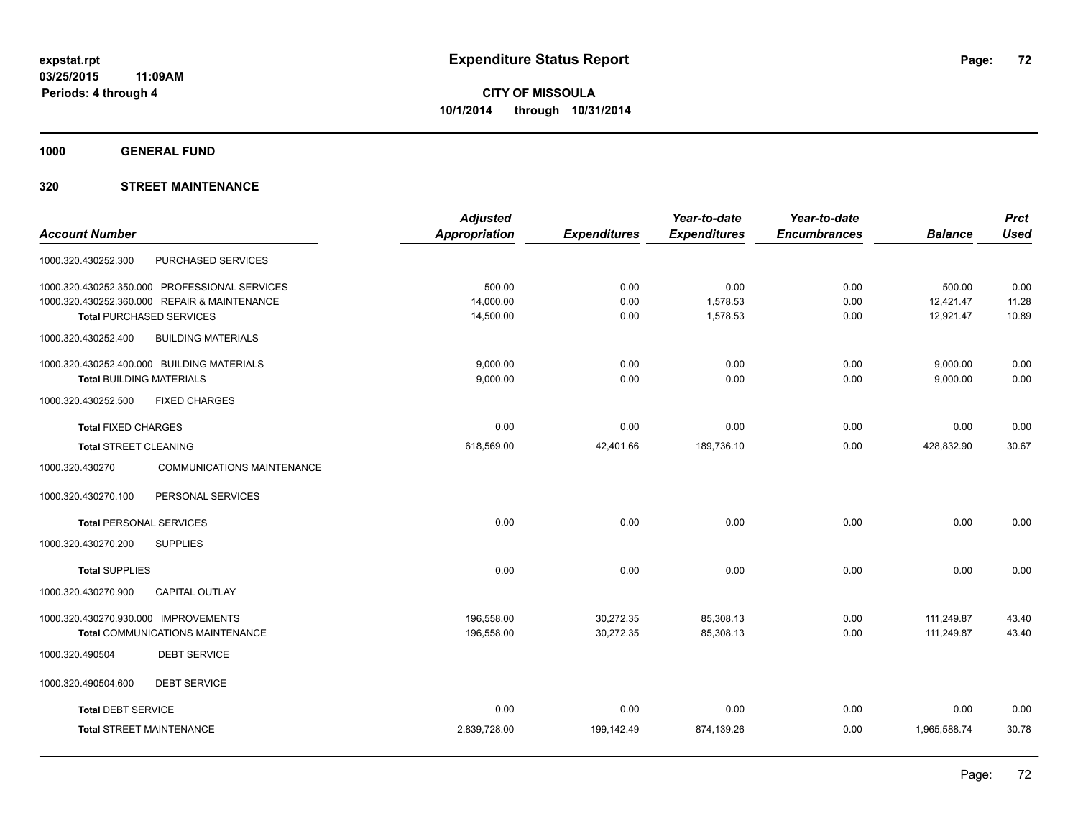**1000 GENERAL FUND**

|                                                  | <b>Adjusted</b> |                     | Year-to-date        | Year-to-date        |                | <b>Prct</b> |
|--------------------------------------------------|-----------------|---------------------|---------------------|---------------------|----------------|-------------|
| <b>Account Number</b>                            | Appropriation   | <b>Expenditures</b> | <b>Expenditures</b> | <b>Encumbrances</b> | <b>Balance</b> | <b>Used</b> |
| PURCHASED SERVICES<br>1000.320.430252.300        |                 |                     |                     |                     |                |             |
| 1000.320.430252.350.000 PROFESSIONAL SERVICES    | 500.00          | 0.00                | 0.00                | 0.00                | 500.00         | 0.00        |
| 1000.320.430252.360.000 REPAIR & MAINTENANCE     | 14,000.00       | 0.00                | 1,578.53            | 0.00                | 12,421.47      | 11.28       |
| <b>Total PURCHASED SERVICES</b>                  | 14,500.00       | 0.00                | 1,578.53            | 0.00                | 12,921.47      | 10.89       |
| 1000.320.430252.400<br><b>BUILDING MATERIALS</b> |                 |                     |                     |                     |                |             |
| 1000.320.430252.400.000 BUILDING MATERIALS       | 9,000.00        | 0.00                | 0.00                | 0.00                | 9,000.00       | 0.00        |
| <b>Total BUILDING MATERIALS</b>                  | 9,000.00        | 0.00                | 0.00                | 0.00                | 9,000.00       | 0.00        |
| 1000.320.430252.500<br><b>FIXED CHARGES</b>      |                 |                     |                     |                     |                |             |
| <b>Total FIXED CHARGES</b>                       | 0.00            | 0.00                | 0.00                | 0.00                | 0.00           | 0.00        |
| <b>Total STREET CLEANING</b>                     | 618,569.00      | 42,401.66           | 189,736.10          | 0.00                | 428,832.90     | 30.67       |
| 1000.320.430270<br>COMMUNICATIONS MAINTENANCE    |                 |                     |                     |                     |                |             |
| PERSONAL SERVICES<br>1000.320.430270.100         |                 |                     |                     |                     |                |             |
| <b>Total PERSONAL SERVICES</b>                   | 0.00            | 0.00                | 0.00                | 0.00                | 0.00           | 0.00        |
| 1000.320.430270.200<br><b>SUPPLIES</b>           |                 |                     |                     |                     |                |             |
| <b>Total SUPPLIES</b>                            | 0.00            | 0.00                | 0.00                | 0.00                | 0.00           | 0.00        |
| 1000.320.430270.900<br><b>CAPITAL OUTLAY</b>     |                 |                     |                     |                     |                |             |
| 1000.320.430270.930.000 IMPROVEMENTS             | 196,558.00      | 30,272.35           | 85,308.13           | 0.00                | 111,249.87     | 43.40       |
| <b>Total COMMUNICATIONS MAINTENANCE</b>          | 196,558.00      | 30,272.35           | 85,308.13           | 0.00                | 111,249.87     | 43.40       |
| <b>DEBT SERVICE</b><br>1000.320.490504           |                 |                     |                     |                     |                |             |
| 1000.320.490504.600<br><b>DEBT SERVICE</b>       |                 |                     |                     |                     |                |             |
| <b>Total DEBT SERVICE</b>                        | 0.00            | 0.00                | 0.00                | 0.00                | 0.00           | 0.00        |
| <b>Total STREET MAINTENANCE</b>                  | 2,839,728.00    | 199,142.49          | 874,139.26          | 0.00                | 1,965,588.74   | 30.78       |
|                                                  |                 |                     |                     |                     |                |             |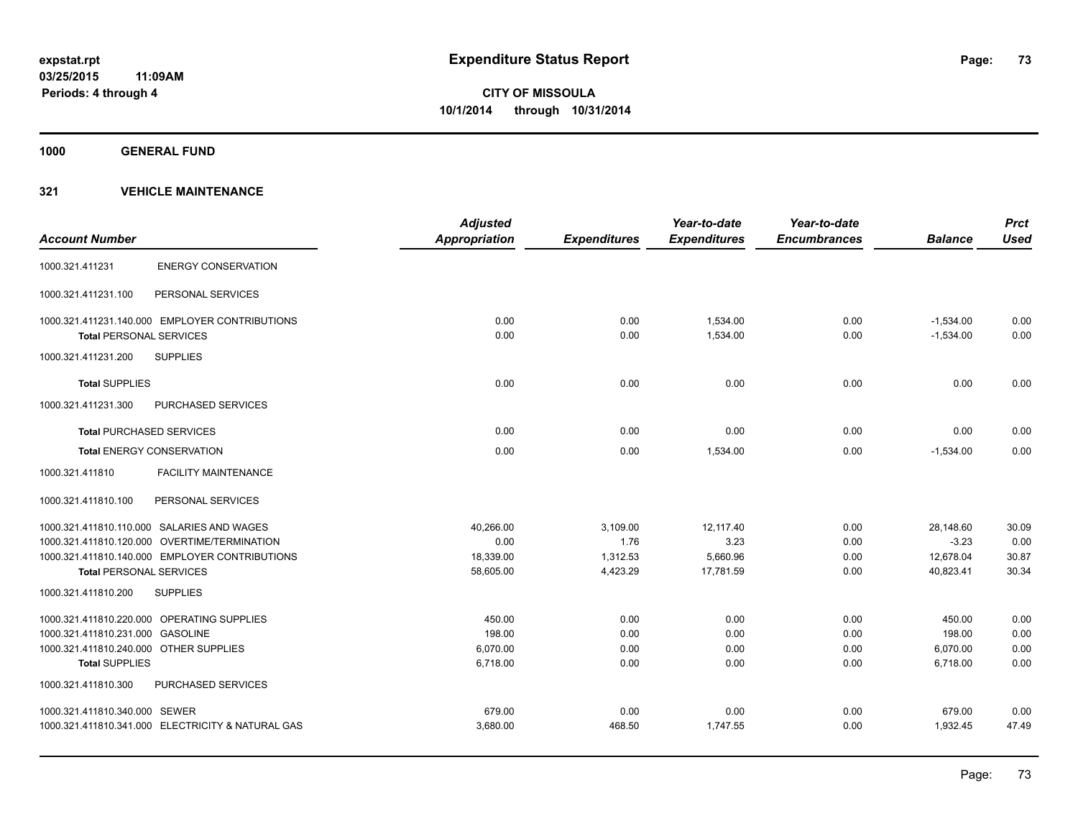**1000 GENERAL FUND**

| <b>Account Number</b>                  |                                                   | <b>Adjusted</b><br><b>Appropriation</b> | <b>Expenditures</b> | Year-to-date<br><b>Expenditures</b> | Year-to-date<br><b>Encumbrances</b> | <b>Balance</b> | <b>Prct</b><br><b>Used</b> |
|----------------------------------------|---------------------------------------------------|-----------------------------------------|---------------------|-------------------------------------|-------------------------------------|----------------|----------------------------|
| 1000.321.411231                        | <b>ENERGY CONSERVATION</b>                        |                                         |                     |                                     |                                     |                |                            |
| 1000.321.411231.100                    | PERSONAL SERVICES                                 |                                         |                     |                                     |                                     |                |                            |
|                                        | 1000.321.411231.140.000 EMPLOYER CONTRIBUTIONS    | 0.00                                    | 0.00                | 1,534.00                            | 0.00                                | $-1,534.00$    | 0.00                       |
| <b>Total PERSONAL SERVICES</b>         |                                                   | 0.00                                    | 0.00                | 1,534.00                            | 0.00                                | $-1,534.00$    | 0.00                       |
| 1000.321.411231.200                    | <b>SUPPLIES</b>                                   |                                         |                     |                                     |                                     |                |                            |
| <b>Total SUPPLIES</b>                  |                                                   | 0.00                                    | 0.00                | 0.00                                | 0.00                                | 0.00           | 0.00                       |
| 1000.321.411231.300                    | <b>PURCHASED SERVICES</b>                         |                                         |                     |                                     |                                     |                |                            |
| <b>Total PURCHASED SERVICES</b>        |                                                   | 0.00                                    | 0.00                | 0.00                                | 0.00                                | 0.00           | 0.00                       |
|                                        | <b>Total ENERGY CONSERVATION</b>                  | 0.00                                    | 0.00                | 1.534.00                            | 0.00                                | $-1.534.00$    | 0.00                       |
| 1000.321.411810                        | <b>FACILITY MAINTENANCE</b>                       |                                         |                     |                                     |                                     |                |                            |
| 1000.321.411810.100                    | PERSONAL SERVICES                                 |                                         |                     |                                     |                                     |                |                            |
|                                        | 1000.321.411810.110.000 SALARIES AND WAGES        | 40,266.00                               | 3,109.00            | 12,117.40                           | 0.00                                | 28,148.60      | 30.09                      |
|                                        | 1000.321.411810.120.000 OVERTIME/TERMINATION      | 0.00                                    | 1.76                | 3.23                                | 0.00                                | $-3.23$        | 0.00                       |
|                                        | 1000.321.411810.140.000 EMPLOYER CONTRIBUTIONS    | 18,339.00                               | 1,312.53            | 5,660.96                            | 0.00                                | 12,678.04      | 30.87                      |
| <b>Total PERSONAL SERVICES</b>         |                                                   | 58,605.00                               | 4,423.29            | 17,781.59                           | 0.00                                | 40,823.41      | 30.34                      |
| 1000.321.411810.200                    | <b>SUPPLIES</b>                                   |                                         |                     |                                     |                                     |                |                            |
|                                        | 1000.321.411810.220.000 OPERATING SUPPLIES        | 450.00                                  | 0.00                | 0.00                                | 0.00                                | 450.00         | 0.00                       |
| 1000.321.411810.231.000 GASOLINE       |                                                   | 198.00                                  | 0.00                | 0.00                                | 0.00                                | 198.00         | 0.00                       |
| 1000.321.411810.240.000 OTHER SUPPLIES |                                                   | 6,070.00                                | 0.00                | 0.00                                | 0.00                                | 6,070.00       | 0.00                       |
| <b>Total SUPPLIES</b>                  |                                                   | 6,718.00                                | 0.00                | 0.00                                | 0.00                                | 6,718.00       | 0.00                       |
| 1000.321.411810.300                    | <b>PURCHASED SERVICES</b>                         |                                         |                     |                                     |                                     |                |                            |
| 1000.321.411810.340.000 SEWER          |                                                   | 679.00                                  | 0.00                | 0.00                                | 0.00                                | 679.00         | 0.00                       |
|                                        | 1000.321.411810.341.000 ELECTRICITY & NATURAL GAS | 3,680.00                                | 468.50              | 1,747.55                            | 0.00                                | 1,932.45       | 47.49                      |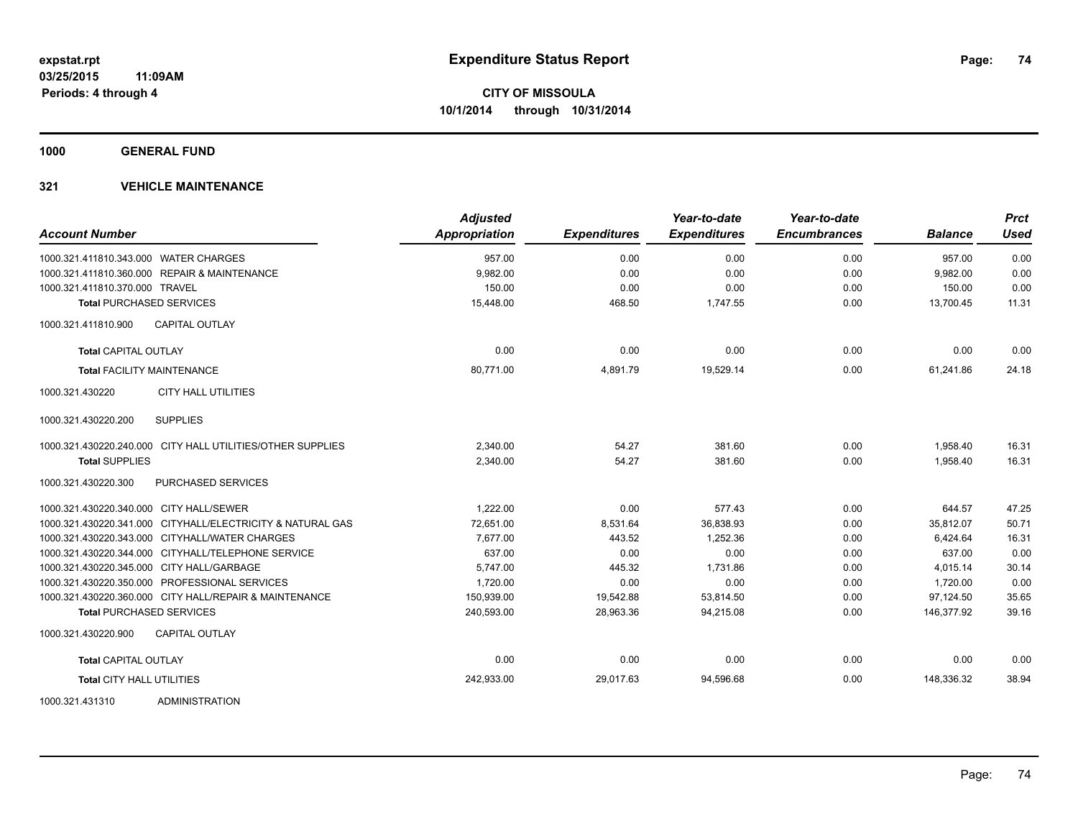**1000 GENERAL FUND**

| <b>Account Number</b>                     |                                                            | <b>Adjusted</b><br><b>Appropriation</b> | <b>Expenditures</b> | Year-to-date<br><b>Expenditures</b> | Year-to-date<br><b>Encumbrances</b> | <b>Balance</b> | <b>Prct</b><br><b>Used</b> |
|-------------------------------------------|------------------------------------------------------------|-----------------------------------------|---------------------|-------------------------------------|-------------------------------------|----------------|----------------------------|
| 1000.321.411810.343.000 WATER CHARGES     |                                                            | 957.00                                  | 0.00                | 0.00                                | 0.00                                | 957.00         | 0.00                       |
|                                           | 1000.321.411810.360.000 REPAIR & MAINTENANCE               | 9,982.00                                | 0.00                | 0.00                                | 0.00                                | 9,982.00       | 0.00                       |
| 1000.321.411810.370.000 TRAVEL            |                                                            | 150.00                                  | 0.00                | 0.00                                | 0.00                                | 150.00         | 0.00                       |
| <b>Total PURCHASED SERVICES</b>           |                                                            | 15,448.00                               | 468.50              | 1,747.55                            | 0.00                                | 13.700.45      | 11.31                      |
| 1000.321.411810.900                       | <b>CAPITAL OUTLAY</b>                                      |                                         |                     |                                     |                                     |                |                            |
| <b>Total CAPITAL OUTLAY</b>               |                                                            | 0.00                                    | 0.00                | 0.00                                | 0.00                                | 0.00           | 0.00                       |
| <b>Total FACILITY MAINTENANCE</b>         |                                                            | 80,771.00                               | 4,891.79            | 19,529.14                           | 0.00                                | 61,241.86      | 24.18                      |
| 1000.321.430220                           | <b>CITY HALL UTILITIES</b>                                 |                                         |                     |                                     |                                     |                |                            |
| 1000.321.430220.200                       | <b>SUPPLIES</b>                                            |                                         |                     |                                     |                                     |                |                            |
|                                           | 1000.321.430220.240.000 CITY HALL UTILITIES/OTHER SUPPLIES | 2,340.00                                | 54.27               | 381.60                              | 0.00                                | 1,958.40       | 16.31                      |
| <b>Total SUPPLIES</b>                     |                                                            | 2,340.00                                | 54.27               | 381.60                              | 0.00                                | 1,958.40       | 16.31                      |
| 1000.321.430220.300                       | PURCHASED SERVICES                                         |                                         |                     |                                     |                                     |                |                            |
| 1000.321.430220.340.000 CITY HALL/SEWER   |                                                            | 1.222.00                                | 0.00                | 577.43                              | 0.00                                | 644.57         | 47.25                      |
|                                           | 1000.321.430220.341.000 CITYHALL/ELECTRICITY & NATURAL GAS | 72.651.00                               | 8,531.64            | 36,838.93                           | 0.00                                | 35.812.07      | 50.71                      |
|                                           | 1000.321.430220.343.000 CITYHALL/WATER CHARGES             | 7,677.00                                | 443.52              | 1,252.36                            | 0.00                                | 6,424.64       | 16.31                      |
|                                           | 1000.321.430220.344.000 CITYHALL/TELEPHONE SERVICE         | 637.00                                  | 0.00                | 0.00                                | 0.00                                | 637.00         | 0.00                       |
| 1000.321.430220.345.000 CITY HALL/GARBAGE |                                                            | 5,747.00                                | 445.32              | 1,731.86                            | 0.00                                | 4,015.14       | 30.14                      |
|                                           | 1000.321.430220.350.000 PROFESSIONAL SERVICES              | 1,720.00                                | 0.00                | 0.00                                | 0.00                                | 1,720.00       | 0.00                       |
|                                           | 1000.321.430220.360.000 CITY HALL/REPAIR & MAINTENANCE     | 150,939.00                              | 19,542.88           | 53,814.50                           | 0.00                                | 97,124.50      | 35.65                      |
| <b>Total PURCHASED SERVICES</b>           |                                                            | 240,593.00                              | 28,963.36           | 94,215.08                           | 0.00                                | 146,377.92     | 39.16                      |
| 1000.321.430220.900                       | <b>CAPITAL OUTLAY</b>                                      |                                         |                     |                                     |                                     |                |                            |
| <b>Total CAPITAL OUTLAY</b>               |                                                            | 0.00                                    | 0.00                | 0.00                                | 0.00                                | 0.00           | 0.00                       |
| <b>Total CITY HALL UTILITIES</b>          |                                                            | 242,933.00                              | 29,017.63           | 94,596.68                           | 0.00                                | 148,336.32     | 38.94                      |
| 1000.321.431310                           | ADMINISTRATION                                             |                                         |                     |                                     |                                     |                |                            |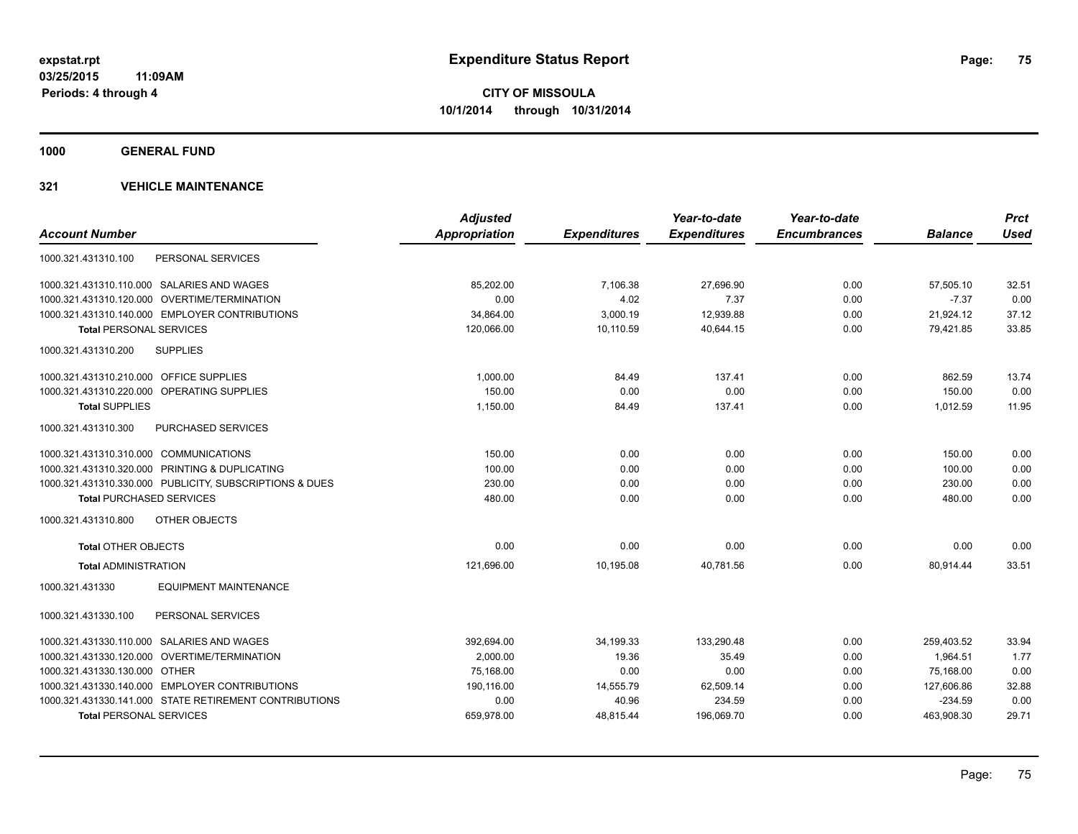**1000 GENERAL FUND**

|                                                         | <b>Adjusted</b> |                     | Year-to-date        | Year-to-date        |                | <b>Prct</b> |
|---------------------------------------------------------|-----------------|---------------------|---------------------|---------------------|----------------|-------------|
| <b>Account Number</b>                                   | Appropriation   | <b>Expenditures</b> | <b>Expenditures</b> | <b>Encumbrances</b> | <b>Balance</b> | <b>Used</b> |
| PERSONAL SERVICES<br>1000.321.431310.100                |                 |                     |                     |                     |                |             |
| 1000.321.431310.110.000 SALARIES AND WAGES              | 85,202.00       | 7,106.38            | 27,696.90           | 0.00                | 57,505.10      | 32.51       |
| 1000.321.431310.120.000 OVERTIME/TERMINATION            | 0.00            | 4.02                | 7.37                | 0.00                | $-7.37$        | 0.00        |
| 1000.321.431310.140.000 EMPLOYER CONTRIBUTIONS          | 34,864.00       | 3,000.19            | 12,939.88           | 0.00                | 21,924.12      | 37.12       |
| <b>Total PERSONAL SERVICES</b>                          | 120,066.00      | 10,110.59           | 40,644.15           | 0.00                | 79,421.85      | 33.85       |
| <b>SUPPLIES</b><br>1000.321.431310.200                  |                 |                     |                     |                     |                |             |
| 1000.321.431310.210.000 OFFICE SUPPLIES                 | 1,000.00        | 84.49               | 137.41              | 0.00                | 862.59         | 13.74       |
| 1000.321.431310.220.000 OPERATING SUPPLIES              | 150.00          | 0.00                | 0.00                | 0.00                | 150.00         | 0.00        |
| <b>Total SUPPLIES</b>                                   | 1,150.00        | 84.49               | 137.41              | 0.00                | 1,012.59       | 11.95       |
| 1000.321.431310.300<br>PURCHASED SERVICES               |                 |                     |                     |                     |                |             |
| 1000.321.431310.310.000 COMMUNICATIONS                  | 150.00          | 0.00                | 0.00                | 0.00                | 150.00         | 0.00        |
| 1000.321.431310.320.000 PRINTING & DUPLICATING          | 100.00          | 0.00                | 0.00                | 0.00                | 100.00         | 0.00        |
| 1000.321.431310.330.000 PUBLICITY, SUBSCRIPTIONS & DUES | 230.00          | 0.00                | 0.00                | 0.00                | 230.00         | 0.00        |
| <b>Total PURCHASED SERVICES</b>                         | 480.00          | 0.00                | 0.00                | 0.00                | 480.00         | 0.00        |
| 1000.321.431310.800<br>OTHER OBJECTS                    |                 |                     |                     |                     |                |             |
| <b>Total OTHER OBJECTS</b>                              | 0.00            | 0.00                | 0.00                | 0.00                | 0.00           | 0.00        |
| <b>Total ADMINISTRATION</b>                             | 121,696.00      | 10,195.08           | 40,781.56           | 0.00                | 80,914.44      | 33.51       |
| <b>EQUIPMENT MAINTENANCE</b><br>1000.321.431330         |                 |                     |                     |                     |                |             |
| PERSONAL SERVICES<br>1000.321.431330.100                |                 |                     |                     |                     |                |             |
| 1000.321.431330.110.000 SALARIES AND WAGES              | 392,694.00      | 34,199.33           | 133,290.48          | 0.00                | 259,403.52     | 33.94       |
| 1000.321.431330.120.000 OVERTIME/TERMINATION            | 2.000.00        | 19.36               | 35.49               | 0.00                | 1.964.51       | 1.77        |
| 1000.321.431330.130.000 OTHER                           | 75,168.00       | 0.00                | 0.00                | 0.00                | 75,168.00      | 0.00        |
| 1000.321.431330.140.000 EMPLOYER CONTRIBUTIONS          | 190,116.00      | 14,555.79           | 62,509.14           | 0.00                | 127,606.86     | 32.88       |
| 1000.321.431330.141.000 STATE RETIREMENT CONTRIBUTIONS  | 0.00            | 40.96               | 234.59              | 0.00                | $-234.59$      | 0.00        |
| <b>Total PERSONAL SERVICES</b>                          | 659,978.00      | 48,815.44           | 196,069.70          | 0.00                | 463,908.30     | 29.71       |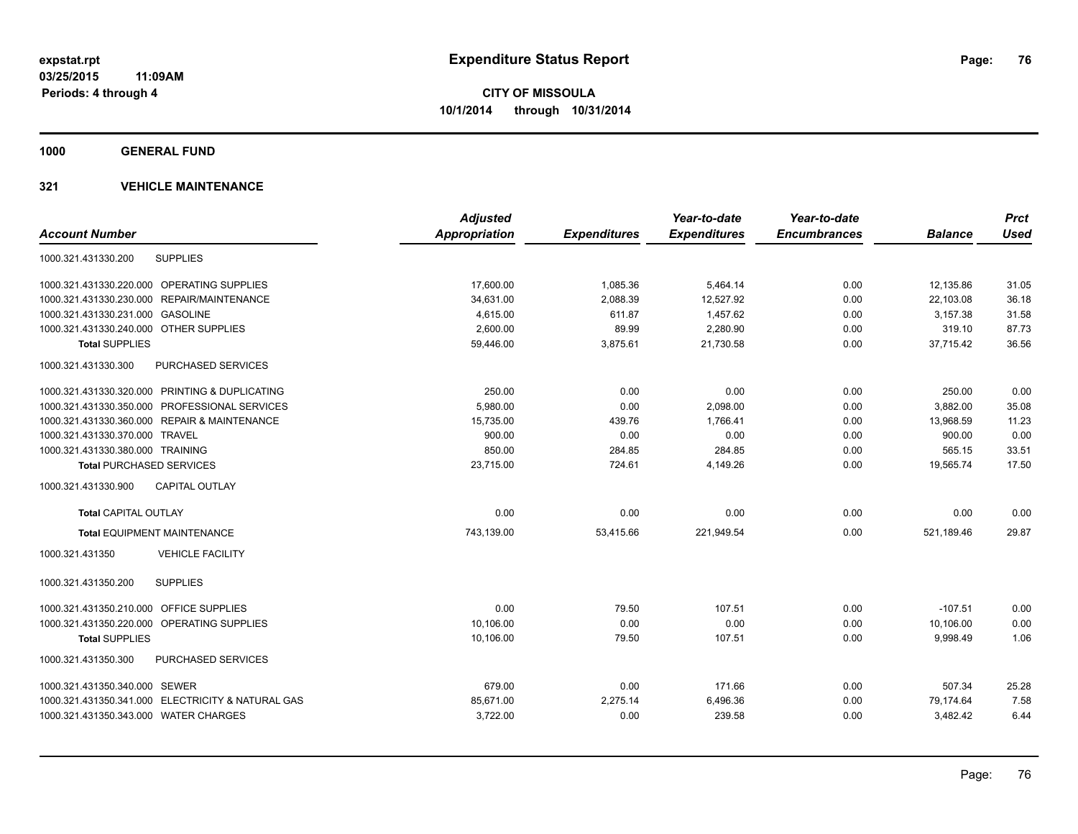**1000 GENERAL FUND**

|                                                   | <b>Adjusted</b>      |                     | Year-to-date        | Year-to-date        |                | <b>Prct</b> |
|---------------------------------------------------|----------------------|---------------------|---------------------|---------------------|----------------|-------------|
| <b>Account Number</b>                             | <b>Appropriation</b> | <b>Expenditures</b> | <b>Expenditures</b> | <b>Encumbrances</b> | <b>Balance</b> | <b>Used</b> |
| <b>SUPPLIES</b><br>1000.321.431330.200            |                      |                     |                     |                     |                |             |
| 1000.321.431330.220.000 OPERATING SUPPLIES        | 17,600.00            | 1,085.36            | 5,464.14            | 0.00                | 12,135.86      | 31.05       |
| REPAIR/MAINTENANCE<br>1000.321.431330.230.000     | 34,631.00            | 2,088.39            | 12,527.92           | 0.00                | 22,103.08      | 36.18       |
| 1000.321.431330.231.000 GASOLINE                  | 4,615.00             | 611.87              | 1,457.62            | 0.00                | 3,157.38       | 31.58       |
| 1000.321.431330.240.000 OTHER SUPPLIES            | 2,600.00             | 89.99               | 2,280.90            | 0.00                | 319.10         | 87.73       |
| <b>Total SUPPLIES</b>                             | 59,446.00            | 3,875.61            | 21,730.58           | 0.00                | 37,715.42      | 36.56       |
| PURCHASED SERVICES<br>1000.321.431330.300         |                      |                     |                     |                     |                |             |
| 1000.321.431330.320.000 PRINTING & DUPLICATING    | 250.00               | 0.00                | 0.00                | 0.00                | 250.00         | 0.00        |
| 1000.321.431330.350.000 PROFESSIONAL SERVICES     | 5,980.00             | 0.00                | 2,098.00            | 0.00                | 3,882.00       | 35.08       |
| 1000.321.431330.360.000 REPAIR & MAINTENANCE      | 15,735.00            | 439.76              | 1,766.41            | 0.00                | 13,968.59      | 11.23       |
| 1000.321.431330.370.000 TRAVEL                    | 900.00               | 0.00                | 0.00                | 0.00                | 900.00         | 0.00        |
| 1000.321.431330.380.000 TRAINING                  | 850.00               | 284.85              | 284.85              | 0.00                | 565.15         | 33.51       |
| <b>Total PURCHASED SERVICES</b>                   | 23,715.00            | 724.61              | 4,149.26            | 0.00                | 19,565.74      | 17.50       |
| <b>CAPITAL OUTLAY</b><br>1000.321.431330.900      |                      |                     |                     |                     |                |             |
| <b>Total CAPITAL OUTLAY</b>                       | 0.00                 | 0.00                | 0.00                | 0.00                | 0.00           | 0.00        |
| <b>Total EQUIPMENT MAINTENANCE</b>                | 743,139.00           | 53,415.66           | 221,949.54          | 0.00                | 521,189.46     | 29.87       |
| <b>VEHICLE FACILITY</b><br>1000.321.431350        |                      |                     |                     |                     |                |             |
| 1000.321.431350.200<br><b>SUPPLIES</b>            |                      |                     |                     |                     |                |             |
| 1000.321.431350.210.000 OFFICE SUPPLIES           | 0.00                 | 79.50               | 107.51              | 0.00                | $-107.51$      | 0.00        |
| 1000.321.431350.220.000 OPERATING SUPPLIES        | 10.106.00            | 0.00                | 0.00                | 0.00                | 10.106.00      | 0.00        |
| <b>Total SUPPLIES</b>                             | 10,106.00            | 79.50               | 107.51              | 0.00                | 9,998.49       | 1.06        |
| 1000.321.431350.300<br><b>PURCHASED SERVICES</b>  |                      |                     |                     |                     |                |             |
| 1000.321.431350.340.000 SEWER                     | 679.00               | 0.00                | 171.66              | 0.00                | 507.34         | 25.28       |
| 1000.321.431350.341.000 ELECTRICITY & NATURAL GAS | 85,671.00            | 2,275.14            | 6,496.36            | 0.00                | 79,174.64      | 7.58        |
| 1000.321.431350.343.000 WATER CHARGES             | 3,722.00             | 0.00                | 239.58              | 0.00                | 3,482.42       | 6.44        |
|                                                   |                      |                     |                     |                     |                |             |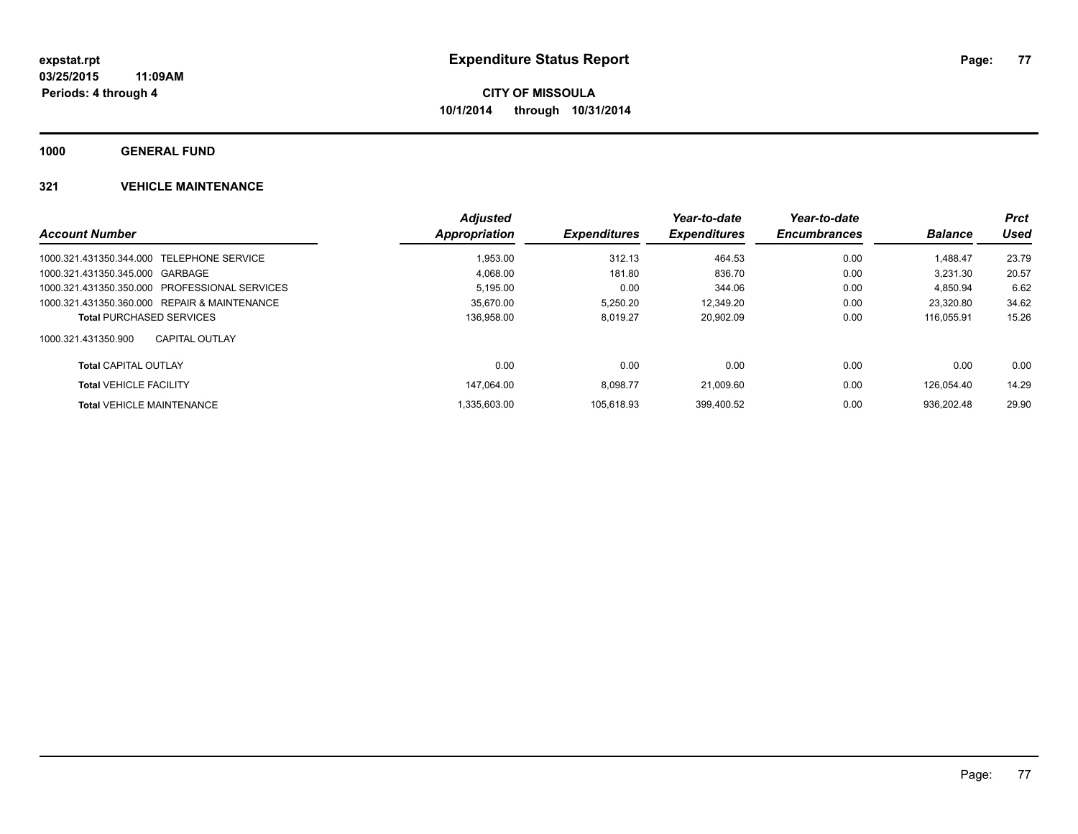**1000 GENERAL FUND**

|                                               | <b>Adjusted</b> |                     | Year-to-date        | Year-to-date        |                | <b>Prct</b> |
|-----------------------------------------------|-----------------|---------------------|---------------------|---------------------|----------------|-------------|
| <b>Account Number</b>                         | Appropriation   | <b>Expenditures</b> | <b>Expenditures</b> | <b>Encumbrances</b> | <b>Balance</b> | Used        |
| 1000.321.431350.344.000 TELEPHONE SERVICE     | 1,953.00        | 312.13              | 464.53              | 0.00                | 1.488.47       | 23.79       |
| 1000.321.431350.345.000 GARBAGE               | 4.068.00        | 181.80              | 836.70              | 0.00                | 3.231.30       | 20.57       |
| 1000.321.431350.350.000 PROFESSIONAL SERVICES | 5.195.00        | 0.00                | 344.06              | 0.00                | 4.850.94       | 6.62        |
| 1000.321.431350.360.000 REPAIR & MAINTENANCE  | 35,670.00       | 5.250.20            | 12,349.20           | 0.00                | 23.320.80      | 34.62       |
| <b>Total PURCHASED SERVICES</b>               | 136,958.00      | 8.019.27            | 20.902.09           | 0.00                | 116.055.91     | 15.26       |
| 1000.321.431350.900<br>CAPITAL OUTLAY         |                 |                     |                     |                     |                |             |
| <b>Total CAPITAL OUTLAY</b>                   | 0.00            | 0.00                | 0.00                | 0.00                | 0.00           | 0.00        |
| <b>Total VEHICLE FACILITY</b>                 | 147.064.00      | 8.098.77            | 21.009.60           | 0.00                | 126.054.40     | 14.29       |
| <b>Total VEHICLE MAINTENANCE</b>              | 1.335.603.00    | 105.618.93          | 399.400.52          | 0.00                | 936.202.48     | 29.90       |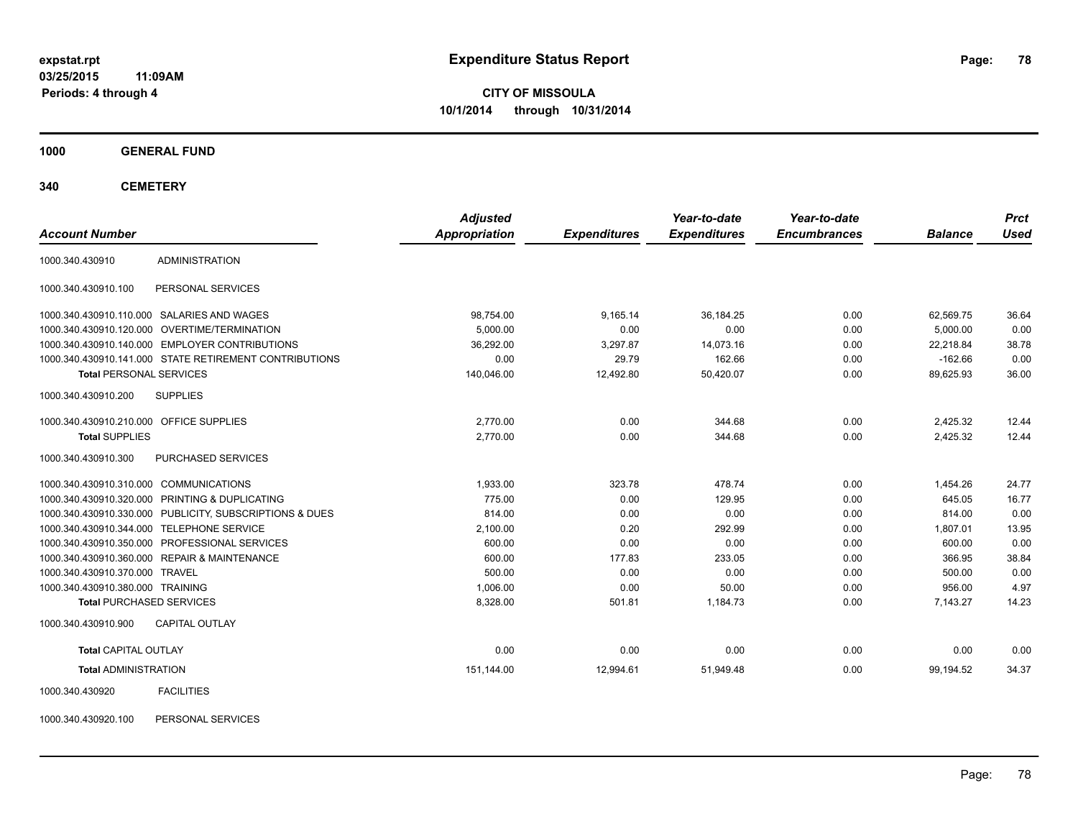**03/25/2015 11:09AM Periods: 4 through 4**

**CITY OF MISSOULA 10/1/2014 through 10/31/2014**

**1000 GENERAL FUND**

**340 CEMETERY**

| <b>Account Number</b>                   |                                                         | <b>Adjusted</b><br>Appropriation | <b>Expenditures</b> | Year-to-date<br><b>Expenditures</b> | Year-to-date<br><b>Encumbrances</b> | <b>Balance</b> | <b>Prct</b><br><b>Used</b> |
|-----------------------------------------|---------------------------------------------------------|----------------------------------|---------------------|-------------------------------------|-------------------------------------|----------------|----------------------------|
|                                         |                                                         |                                  |                     |                                     |                                     |                |                            |
| 1000.340.430910                         | <b>ADMINISTRATION</b>                                   |                                  |                     |                                     |                                     |                |                            |
| 1000.340.430910.100                     | PERSONAL SERVICES                                       |                                  |                     |                                     |                                     |                |                            |
|                                         | 1000.340.430910.110.000 SALARIES AND WAGES              | 98,754.00                        | 9.165.14            | 36.184.25                           | 0.00                                | 62,569.75      | 36.64                      |
|                                         | 1000.340.430910.120.000 OVERTIME/TERMINATION            | 5,000.00                         | 0.00                | 0.00                                | 0.00                                | 5,000.00       | 0.00                       |
|                                         | 1000.340.430910.140.000 EMPLOYER CONTRIBUTIONS          | 36,292.00                        | 3,297.87            | 14,073.16                           | 0.00                                | 22,218.84      | 38.78                      |
|                                         | 1000.340.430910.141.000 STATE RETIREMENT CONTRIBUTIONS  | 0.00                             | 29.79               | 162.66                              | 0.00                                | $-162.66$      | 0.00                       |
| <b>Total PERSONAL SERVICES</b>          |                                                         | 140,046.00                       | 12,492.80           | 50,420.07                           | 0.00                                | 89,625.93      | 36.00                      |
| 1000.340.430910.200                     | <b>SUPPLIES</b>                                         |                                  |                     |                                     |                                     |                |                            |
| 1000.340.430910.210.000 OFFICE SUPPLIES |                                                         | 2.770.00                         | 0.00                | 344.68                              | 0.00                                | 2,425.32       | 12.44                      |
| <b>Total SUPPLIES</b>                   |                                                         | 2,770.00                         | 0.00                | 344.68                              | 0.00                                | 2,425.32       | 12.44                      |
| 1000.340.430910.300                     | PURCHASED SERVICES                                      |                                  |                     |                                     |                                     |                |                            |
| 1000.340.430910.310.000 COMMUNICATIONS  |                                                         | 1,933.00                         | 323.78              | 478.74                              | 0.00                                | 1,454.26       | 24.77                      |
|                                         | 1000.340.430910.320.000 PRINTING & DUPLICATING          | 775.00                           | 0.00                | 129.95                              | 0.00                                | 645.05         | 16.77                      |
|                                         | 1000.340.430910.330.000 PUBLICITY, SUBSCRIPTIONS & DUES | 814.00                           | 0.00                | 0.00                                | 0.00                                | 814.00         | 0.00                       |
|                                         | 1000.340.430910.344.000 TELEPHONE SERVICE               | 2,100.00                         | 0.20                | 292.99                              | 0.00                                | 1,807.01       | 13.95                      |
|                                         | 1000.340.430910.350.000 PROFESSIONAL SERVICES           | 600.00                           | 0.00                | 0.00                                | 0.00                                | 600.00         | 0.00                       |
|                                         | 1000.340.430910.360.000 REPAIR & MAINTENANCE            | 600.00                           | 177.83              | 233.05                              | 0.00                                | 366.95         | 38.84                      |
| 1000.340.430910.370.000 TRAVEL          |                                                         | 500.00                           | 0.00                | 0.00                                | 0.00                                | 500.00         | 0.00                       |
| 1000.340.430910.380.000 TRAINING        |                                                         | 1,006.00                         | 0.00                | 50.00                               | 0.00                                | 956.00         | 4.97                       |
| <b>Total PURCHASED SERVICES</b>         |                                                         | 8,328.00                         | 501.81              | 1,184.73                            | 0.00                                | 7,143.27       | 14.23                      |
| 1000.340.430910.900                     | <b>CAPITAL OUTLAY</b>                                   |                                  |                     |                                     |                                     |                |                            |
| <b>Total CAPITAL OUTLAY</b>             |                                                         | 0.00                             | 0.00                | 0.00                                | 0.00                                | 0.00           | 0.00                       |
| <b>Total ADMINISTRATION</b>             |                                                         | 151,144.00                       | 12,994.61           | 51,949.48                           | 0.00                                | 99,194.52      | 34.37                      |
| 1000.340.430920                         | <b>FACILITIES</b>                                       |                                  |                     |                                     |                                     |                |                            |

1000.340.430920.100 PERSONAL SERVICES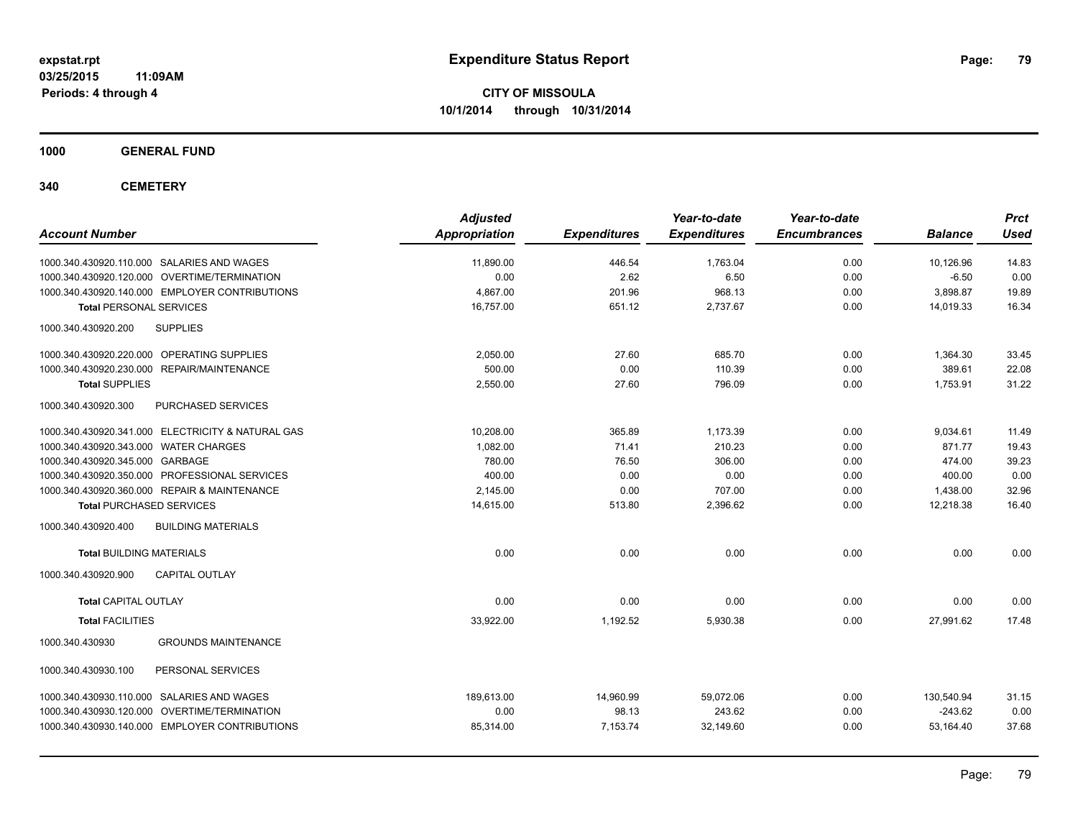**03/25/2015 11:09AM Periods: 4 through 4**

**CITY OF MISSOULA 10/1/2014 through 10/31/2014**

**1000 GENERAL FUND**

**340 CEMETERY**

| <b>Account Number</b>                             | <b>Adjusted</b><br><b>Appropriation</b> | <b>Expenditures</b> | Year-to-date<br><b>Expenditures</b> | Year-to-date<br><b>Encumbrances</b> | <b>Balance</b> | <b>Prct</b><br><b>Used</b> |
|---------------------------------------------------|-----------------------------------------|---------------------|-------------------------------------|-------------------------------------|----------------|----------------------------|
| 1000.340.430920.110.000 SALARIES AND WAGES        | 11,890.00                               | 446.54              | 1,763.04                            | 0.00                                | 10,126.96      | 14.83                      |
| 1000.340.430920.120.000 OVERTIME/TERMINATION      | 0.00                                    | 2.62                | 6.50                                | 0.00                                | $-6.50$        | 0.00                       |
| 1000.340.430920.140.000 EMPLOYER CONTRIBUTIONS    | 4.867.00                                | 201.96              | 968.13                              | 0.00                                | 3,898.87       | 19.89                      |
| <b>Total PERSONAL SERVICES</b>                    | 16,757.00                               | 651.12              | 2,737.67                            | 0.00                                | 14,019.33      | 16.34                      |
| <b>SUPPLIES</b><br>1000.340.430920.200            |                                         |                     |                                     |                                     |                |                            |
| 1000.340.430920.220.000 OPERATING SUPPLIES        | 2,050.00                                | 27.60               | 685.70                              | 0.00                                | 1,364.30       | 33.45                      |
| 1000.340.430920.230.000<br>REPAIR/MAINTENANCE     | 500.00                                  | 0.00                | 110.39                              | 0.00                                | 389.61         | 22.08                      |
| <b>Total SUPPLIES</b>                             | 2,550.00                                | 27.60               | 796.09                              | 0.00                                | 1,753.91       | 31.22                      |
| 1000.340.430920.300<br>PURCHASED SERVICES         |                                         |                     |                                     |                                     |                |                            |
| 1000.340.430920.341.000 ELECTRICITY & NATURAL GAS | 10,208.00                               | 365.89              | 1,173.39                            | 0.00                                | 9,034.61       | 11.49                      |
| 1000.340.430920.343.000 WATER CHARGES             | 1,082.00                                | 71.41               | 210.23                              | 0.00                                | 871.77         | 19.43                      |
| 1000.340.430920.345.000 GARBAGE                   | 780.00                                  | 76.50               | 306.00                              | 0.00                                | 474.00         | 39.23                      |
| 1000.340.430920.350.000 PROFESSIONAL SERVICES     | 400.00                                  | 0.00                | 0.00                                | 0.00                                | 400.00         | 0.00                       |
| 1000.340.430920.360.000 REPAIR & MAINTENANCE      | 2,145.00                                | 0.00                | 707.00                              | 0.00                                | 1,438.00       | 32.96                      |
| <b>Total PURCHASED SERVICES</b>                   | 14,615.00                               | 513.80              | 2,396.62                            | 0.00                                | 12,218.38      | 16.40                      |
| 1000.340.430920.400<br><b>BUILDING MATERIALS</b>  |                                         |                     |                                     |                                     |                |                            |
| <b>Total BUILDING MATERIALS</b>                   | 0.00                                    | 0.00                | 0.00                                | 0.00                                | 0.00           | 0.00                       |
| 1000.340.430920.900<br><b>CAPITAL OUTLAY</b>      |                                         |                     |                                     |                                     |                |                            |
| <b>Total CAPITAL OUTLAY</b>                       | 0.00                                    | 0.00                | 0.00                                | 0.00                                | 0.00           | 0.00                       |
| <b>Total FACILITIES</b>                           | 33,922.00                               | 1,192.52            | 5,930.38                            | 0.00                                | 27,991.62      | 17.48                      |
| 1000.340.430930<br><b>GROUNDS MAINTENANCE</b>     |                                         |                     |                                     |                                     |                |                            |
| 1000.340.430930.100<br>PERSONAL SERVICES          |                                         |                     |                                     |                                     |                |                            |
| 1000.340.430930.110.000 SALARIES AND WAGES        | 189.613.00                              | 14,960.99           | 59.072.06                           | 0.00                                | 130,540.94     | 31.15                      |
| 1000.340.430930.120.000 OVERTIME/TERMINATION      | 0.00                                    | 98.13               | 243.62                              | 0.00                                | $-243.62$      | 0.00                       |
| 1000.340.430930.140.000 EMPLOYER CONTRIBUTIONS    | 85,314.00                               | 7,153.74            | 32,149.60                           | 0.00                                | 53,164.40      | 37.68                      |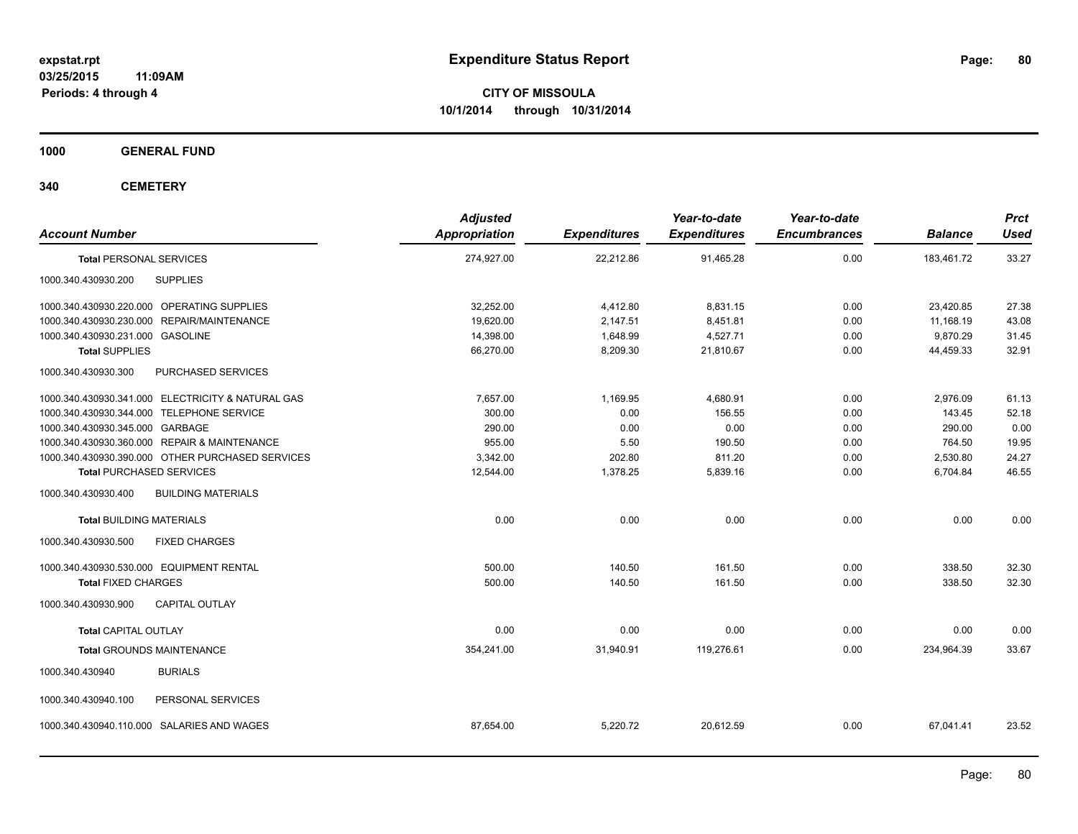**Periods: 4 through 4**

**CITY OF MISSOULA 10/1/2014 through 10/31/2014**

**1000 GENERAL FUND**

**340 CEMETERY**

| <b>Account Number</b>                                | <b>Adjusted</b><br><b>Appropriation</b> | <b>Expenditures</b> | Year-to-date<br><b>Expenditures</b> | Year-to-date<br><b>Encumbrances</b> | <b>Balance</b> | <b>Prct</b><br><b>Used</b> |
|------------------------------------------------------|-----------------------------------------|---------------------|-------------------------------------|-------------------------------------|----------------|----------------------------|
| <b>Total PERSONAL SERVICES</b>                       | 274,927.00                              | 22,212.86           | 91,465.28                           | 0.00                                | 183,461.72     | 33.27                      |
| 1000.340.430930.200<br><b>SUPPLIES</b>               |                                         |                     |                                     |                                     |                |                            |
| 1000.340.430930.220.000 OPERATING SUPPLIES           | 32.252.00                               | 4,412.80            | 8.831.15                            | 0.00                                | 23.420.85      | 27.38                      |
| 1000.340.430930.230.000 REPAIR/MAINTENANCE           | 19.620.00                               | 2,147.51            | 8,451.81                            | 0.00                                | 11.168.19      | 43.08                      |
| 1000.340.430930.231.000 GASOLINE                     | 14,398.00                               | 1,648.99            | 4,527.71                            | 0.00                                | 9,870.29       | 31.45                      |
| <b>Total SUPPLIES</b>                                | 66,270.00                               | 8,209.30            | 21,810.67                           | 0.00                                | 44,459.33      | 32.91                      |
| 1000.340.430930.300<br>PURCHASED SERVICES            |                                         |                     |                                     |                                     |                |                            |
| 1000.340.430930.341.000 ELECTRICITY & NATURAL GAS    | 7.657.00                                | 1.169.95            | 4.680.91                            | 0.00                                | 2,976.09       | 61.13                      |
| 1000.340.430930.344.000 TELEPHONE SERVICE            | 300.00                                  | 0.00                | 156.55                              | 0.00                                | 143.45         | 52.18                      |
| 1000.340.430930.345.000 GARBAGE                      | 290.00                                  | 0.00                | 0.00                                | 0.00                                | 290.00         | 0.00                       |
| 1000.340.430930.360.000 REPAIR & MAINTENANCE         | 955.00                                  | 5.50                | 190.50                              | 0.00                                | 764.50         | 19.95                      |
| 1000.340.430930.390.000 OTHER PURCHASED SERVICES     | 3,342.00                                | 202.80              | 811.20                              | 0.00                                | 2,530.80       | 24.27                      |
| <b>Total PURCHASED SERVICES</b>                      | 12,544.00                               | 1,378.25            | 5,839.16                            | 0.00                                | 6,704.84       | 46.55                      |
| <b>BUILDING MATERIALS</b><br>1000.340.430930.400     |                                         |                     |                                     |                                     |                |                            |
| <b>Total BUILDING MATERIALS</b>                      | 0.00                                    | 0.00                | 0.00                                | 0.00                                | 0.00           | 0.00                       |
| 1000.340.430930.500<br><b>FIXED CHARGES</b>          |                                         |                     |                                     |                                     |                |                            |
| 1000.340.430930.530.000 EQUIPMENT RENTAL             | 500.00                                  | 140.50              | 161.50                              | 0.00                                | 338.50         | 32.30                      |
| <b>Total FIXED CHARGES</b>                           | 500.00                                  | 140.50              | 161.50                              | 0.00                                | 338.50         | 32.30                      |
| 1000.340.430930.900<br><b>CAPITAL OUTLAY</b>         |                                         |                     |                                     |                                     |                |                            |
| <b>Total CAPITAL OUTLAY</b>                          | 0.00                                    | 0.00                | 0.00                                | 0.00                                | 0.00           | 0.00                       |
| <b>Total GROUNDS MAINTENANCE</b>                     | 354,241.00                              | 31,940.91           | 119,276.61                          | 0.00                                | 234,964.39     | 33.67                      |
| 1000.340.430940<br><b>BURIALS</b>                    |                                         |                     |                                     |                                     |                |                            |
| PERSONAL SERVICES<br>1000.340.430940.100             |                                         |                     |                                     |                                     |                |                            |
| <b>SALARIES AND WAGES</b><br>1000.340.430940.110.000 | 87,654.00                               | 5,220.72            | 20,612.59                           | 0.00                                | 67,041.41      | 23.52                      |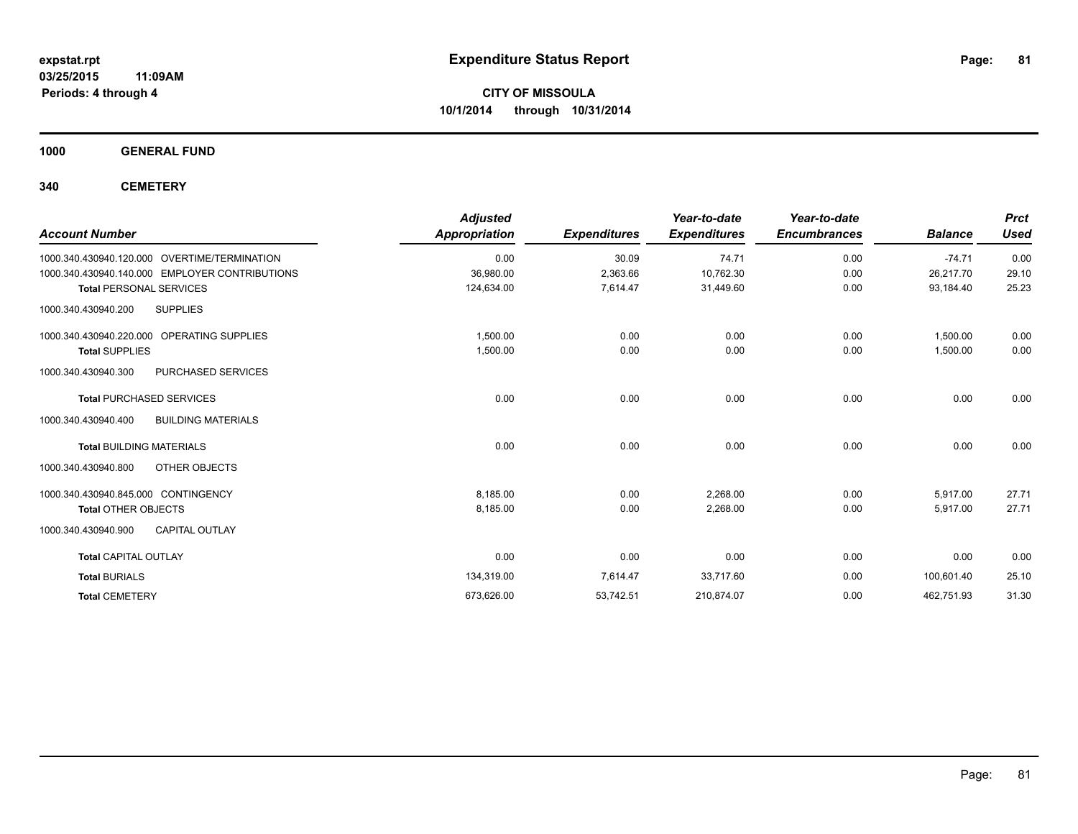**1000 GENERAL FUND**

**340 CEMETERY**

|                                                  | <b>Adjusted</b>      |                     | Year-to-date        | Year-to-date        |                | <b>Prct</b> |
|--------------------------------------------------|----------------------|---------------------|---------------------|---------------------|----------------|-------------|
| <b>Account Number</b>                            | <b>Appropriation</b> | <b>Expenditures</b> | <b>Expenditures</b> | <b>Encumbrances</b> | <b>Balance</b> | <b>Used</b> |
| 1000.340.430940.120.000 OVERTIME/TERMINATION     | 0.00                 | 30.09               | 74.71               | 0.00                | $-74.71$       | 0.00        |
| 1000.340.430940.140.000 EMPLOYER CONTRIBUTIONS   | 36,980.00            | 2,363.66            | 10,762.30           | 0.00                | 26,217.70      | 29.10       |
| <b>Total PERSONAL SERVICES</b>                   | 124,634.00           | 7,614.47            | 31,449.60           | 0.00                | 93,184.40      | 25.23       |
| <b>SUPPLIES</b><br>1000.340.430940.200           |                      |                     |                     |                     |                |             |
| 1000.340.430940.220.000 OPERATING SUPPLIES       | 1,500.00             | 0.00                | 0.00                | 0.00                | 1,500.00       | 0.00        |
| <b>Total SUPPLIES</b>                            | 1,500.00             | 0.00                | 0.00                | 0.00                | 1,500.00       | 0.00        |
| 1000.340.430940.300<br>PURCHASED SERVICES        |                      |                     |                     |                     |                |             |
| <b>Total PURCHASED SERVICES</b>                  | 0.00                 | 0.00                | 0.00                | 0.00                | 0.00           | 0.00        |
| <b>BUILDING MATERIALS</b><br>1000.340.430940.400 |                      |                     |                     |                     |                |             |
| <b>Total BUILDING MATERIALS</b>                  | 0.00                 | 0.00                | 0.00                | 0.00                | 0.00           | 0.00        |
| 1000.340.430940.800<br>OTHER OBJECTS             |                      |                     |                     |                     |                |             |
| 1000.340.430940.845.000 CONTINGENCY              | 8,185.00             | 0.00                | 2,268.00            | 0.00                | 5,917.00       | 27.71       |
| <b>Total OTHER OBJECTS</b>                       | 8.185.00             | 0.00                | 2,268.00            | 0.00                | 5.917.00       | 27.71       |
| 1000.340.430940.900<br><b>CAPITAL OUTLAY</b>     |                      |                     |                     |                     |                |             |
| <b>Total CAPITAL OUTLAY</b>                      | 0.00                 | 0.00                | 0.00                | 0.00                | 0.00           | 0.00        |
| <b>Total BURIALS</b>                             | 134,319.00           | 7,614.47            | 33,717.60           | 0.00                | 100,601.40     | 25.10       |
| <b>Total CEMETERY</b>                            | 673,626.00           | 53,742.51           | 210,874.07          | 0.00                | 462,751.93     | 31.30       |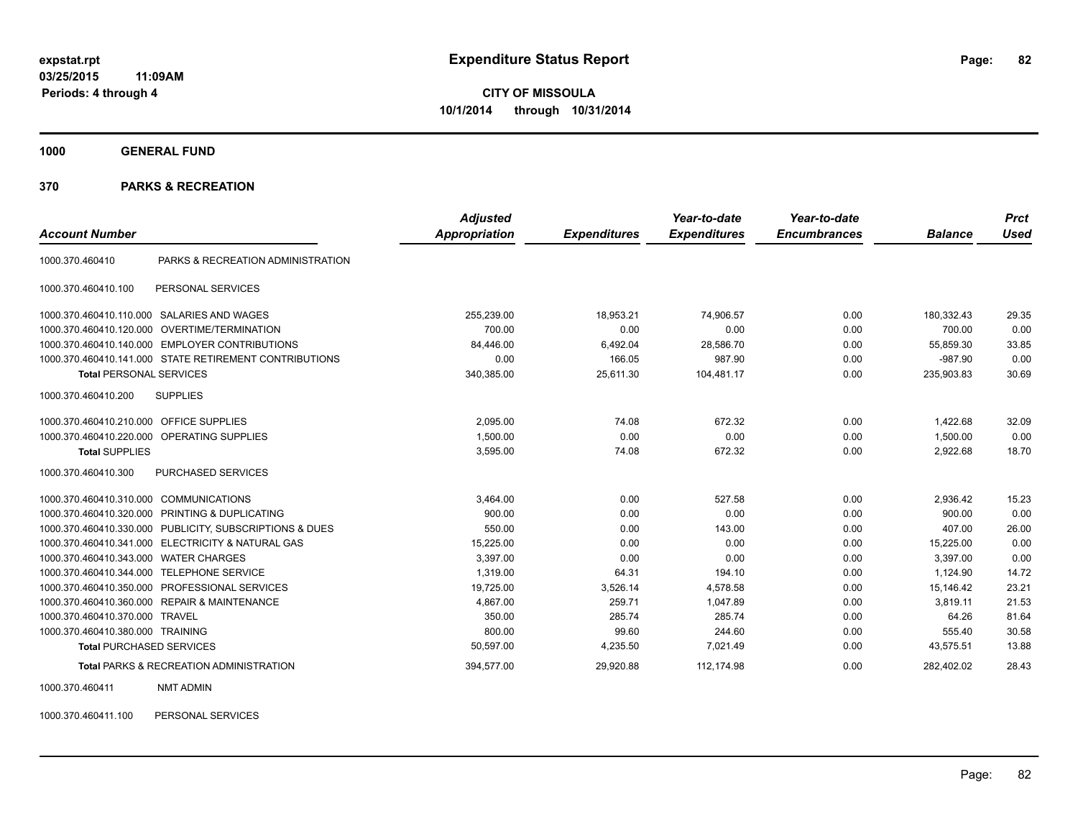**1000 GENERAL FUND**

#### **370 PARKS & RECREATION**

|                                         |                                                        | <b>Adjusted</b> |                     | Year-to-date        | Year-to-date        |                | <b>Prct</b> |
|-----------------------------------------|--------------------------------------------------------|-----------------|---------------------|---------------------|---------------------|----------------|-------------|
| <b>Account Number</b>                   |                                                        | Appropriation   | <b>Expenditures</b> | <b>Expenditures</b> | <b>Encumbrances</b> | <b>Balance</b> | <b>Used</b> |
| 1000.370.460410                         | PARKS & RECREATION ADMINISTRATION                      |                 |                     |                     |                     |                |             |
| 1000.370.460410.100                     | PERSONAL SERVICES                                      |                 |                     |                     |                     |                |             |
|                                         | 1000.370.460410.110.000 SALARIES AND WAGES             | 255,239.00      | 18,953.21           | 74,906.57           | 0.00                | 180,332.43     | 29.35       |
|                                         | 1000.370.460410.120.000 OVERTIME/TERMINATION           | 700.00          | 0.00                | 0.00                | 0.00                | 700.00         | 0.00        |
| 1000.370.460410.140.000                 | <b>EMPLOYER CONTRIBUTIONS</b>                          | 84.446.00       | 6,492.04            | 28,586.70           | 0.00                | 55.859.30      | 33.85       |
|                                         | 1000.370.460410.141.000 STATE RETIREMENT CONTRIBUTIONS | 0.00            | 166.05              | 987.90              | 0.00                | $-987.90$      | 0.00        |
| <b>Total PERSONAL SERVICES</b>          |                                                        | 340,385.00      | 25,611.30           | 104,481.17          | 0.00                | 235,903.83     | 30.69       |
| 1000.370.460410.200                     | <b>SUPPLIES</b>                                        |                 |                     |                     |                     |                |             |
| 1000.370.460410.210.000 OFFICE SUPPLIES |                                                        | 2,095.00        | 74.08               | 672.32              | 0.00                | 1,422.68       | 32.09       |
|                                         | 1000.370.460410.220.000 OPERATING SUPPLIES             | 1,500.00        | 0.00                | 0.00                | 0.00                | 1.500.00       | 0.00        |
| <b>Total SUPPLIES</b>                   |                                                        | 3,595.00        | 74.08               | 672.32              | 0.00                | 2,922.68       | 18.70       |
| 1000.370.460410.300                     | PURCHASED SERVICES                                     |                 |                     |                     |                     |                |             |
| 1000.370.460410.310.000                 | <b>COMMUNICATIONS</b>                                  | 3.464.00        | 0.00                | 527.58              | 0.00                | 2.936.42       | 15.23       |
| 1000.370.460410.320.000                 | PRINTING & DUPLICATING                                 | 900.00          | 0.00                | 0.00                | 0.00                | 900.00         | 0.00        |
| 1000.370.460410.330.000                 | PUBLICITY, SUBSCRIPTIONS & DUES                        | 550.00          | 0.00                | 143.00              | 0.00                | 407.00         | 26.00       |
| 1000.370.460410.341.000                 | <b>ELECTRICITY &amp; NATURAL GAS</b>                   | 15.225.00       | 0.00                | 0.00                | 0.00                | 15.225.00      | 0.00        |
| 1000.370.460410.343.000                 | <b>WATER CHARGES</b>                                   | 3,397.00        | 0.00                | 0.00                | 0.00                | 3,397.00       | 0.00        |
| 1000.370.460410.344.000                 | <b>TELEPHONE SERVICE</b>                               | 1.319.00        | 64.31               | 194.10              | 0.00                | 1.124.90       | 14.72       |
| 1000.370.460410.350.000                 | PROFESSIONAL SERVICES                                  | 19,725.00       | 3,526.14            | 4,578.58            | 0.00                | 15,146.42      | 23.21       |
|                                         | 1000.370.460410.360.000 REPAIR & MAINTENANCE           | 4,867.00        | 259.71              | 1,047.89            | 0.00                | 3,819.11       | 21.53       |
| 1000.370.460410.370.000 TRAVEL          |                                                        | 350.00          | 285.74              | 285.74              | 0.00                | 64.26          | 81.64       |
| 1000.370.460410.380.000 TRAINING        |                                                        | 800.00          | 99.60               | 244.60              | 0.00                | 555.40         | 30.58       |
| <b>Total PURCHASED SERVICES</b>         |                                                        | 50,597.00       | 4,235.50            | 7,021.49            | 0.00                | 43,575.51      | 13.88       |
|                                         | <b>Total PARKS &amp; RECREATION ADMINISTRATION</b>     | 394.577.00      | 29.920.88           | 112.174.98          | 0.00                | 282.402.02     | 28.43       |

1000.370.460411 NMT ADMIN

1000.370.460411.100 PERSONAL SERVICES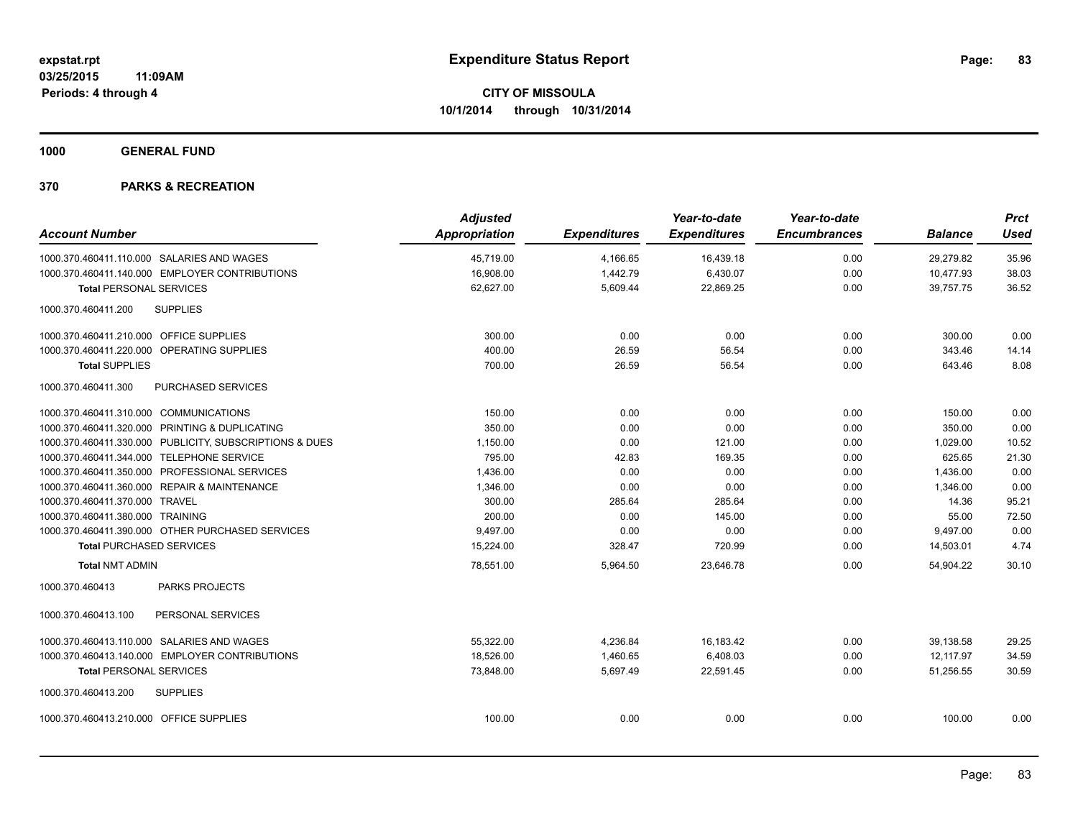**1000 GENERAL FUND**

|                                           |                                                         | <b>Adjusted</b>      |                     | Year-to-date        | Year-to-date        |                | <b>Prct</b> |
|-------------------------------------------|---------------------------------------------------------|----------------------|---------------------|---------------------|---------------------|----------------|-------------|
| <b>Account Number</b>                     |                                                         | <b>Appropriation</b> | <b>Expenditures</b> | <b>Expenditures</b> | <b>Encumbrances</b> | <b>Balance</b> | <b>Used</b> |
|                                           | 1000.370.460411.110.000 SALARIES AND WAGES              | 45,719.00            | 4,166.65            | 16,439.18           | 0.00                | 29,279.82      | 35.96       |
|                                           | 1000.370.460411.140.000 EMPLOYER CONTRIBUTIONS          | 16,908.00            | 1,442.79            | 6,430.07            | 0.00                | 10,477.93      | 38.03       |
| <b>Total PERSONAL SERVICES</b>            |                                                         | 62,627.00            | 5,609.44            | 22,869.25           | 0.00                | 39,757.75      | 36.52       |
| 1000.370.460411.200                       | <b>SUPPLIES</b>                                         |                      |                     |                     |                     |                |             |
| 1000.370.460411.210.000 OFFICE SUPPLIES   |                                                         | 300.00               | 0.00                | 0.00                | 0.00                | 300.00         | 0.00        |
|                                           | 1000.370.460411.220.000 OPERATING SUPPLIES              | 400.00               | 26.59               | 56.54               | 0.00                | 343.46         | 14.14       |
| <b>Total SUPPLIES</b>                     |                                                         | 700.00               | 26.59               | 56.54               | 0.00                | 643.46         | 8.08        |
| 1000.370.460411.300                       | PURCHASED SERVICES                                      |                      |                     |                     |                     |                |             |
| 1000.370.460411.310.000 COMMUNICATIONS    |                                                         | 150.00               | 0.00                | 0.00                | 0.00                | 150.00         | 0.00        |
|                                           | 1000.370.460411.320.000 PRINTING & DUPLICATING          | 350.00               | 0.00                | 0.00                | 0.00                | 350.00         | 0.00        |
|                                           | 1000.370.460411.330.000 PUBLICITY, SUBSCRIPTIONS & DUES | 1,150.00             | 0.00                | 121.00              | 0.00                | 1,029.00       | 10.52       |
| 1000.370.460411.344.000 TELEPHONE SERVICE |                                                         | 795.00               | 42.83               | 169.35              | 0.00                | 625.65         | 21.30       |
|                                           | 1000.370.460411.350.000 PROFESSIONAL SERVICES           | 1,436.00             | 0.00                | 0.00                | 0.00                | 1,436.00       | 0.00        |
|                                           | 1000.370.460411.360.000 REPAIR & MAINTENANCE            | 1,346.00             | 0.00                | 0.00                | 0.00                | 1,346.00       | 0.00        |
| 1000.370.460411.370.000 TRAVEL            |                                                         | 300.00               | 285.64              | 285.64              | 0.00                | 14.36          | 95.21       |
| 1000.370.460411.380.000 TRAINING          |                                                         | 200.00               | 0.00                | 145.00              | 0.00                | 55.00          | 72.50       |
|                                           | 1000.370.460411.390.000 OTHER PURCHASED SERVICES        | 9,497.00             | 0.00                | 0.00                | 0.00                | 9,497.00       | 0.00        |
| <b>Total PURCHASED SERVICES</b>           |                                                         | 15,224.00            | 328.47              | 720.99              | 0.00                | 14,503.01      | 4.74        |
| <b>Total NMT ADMIN</b>                    |                                                         | 78,551.00            | 5,964.50            | 23,646.78           | 0.00                | 54.904.22      | 30.10       |
| 1000.370.460413                           | <b>PARKS PROJECTS</b>                                   |                      |                     |                     |                     |                |             |
| 1000.370.460413.100                       | PERSONAL SERVICES                                       |                      |                     |                     |                     |                |             |
|                                           | 1000.370.460413.110.000 SALARIES AND WAGES              | 55,322.00            | 4,236.84            | 16,183.42           | 0.00                | 39,138.58      | 29.25       |
|                                           | 1000.370.460413.140.000 EMPLOYER CONTRIBUTIONS          | 18,526.00            | 1,460.65            | 6,408.03            | 0.00                | 12.117.97      | 34.59       |
| <b>Total PERSONAL SERVICES</b>            |                                                         | 73,848.00            | 5,697.49            | 22,591.45           | 0.00                | 51,256.55      | 30.59       |
| 1000.370.460413.200                       | <b>SUPPLIES</b>                                         |                      |                     |                     |                     |                |             |
| 1000.370.460413.210.000 OFFICE SUPPLIES   |                                                         | 100.00               | 0.00                | 0.00                | 0.00                | 100.00         | 0.00        |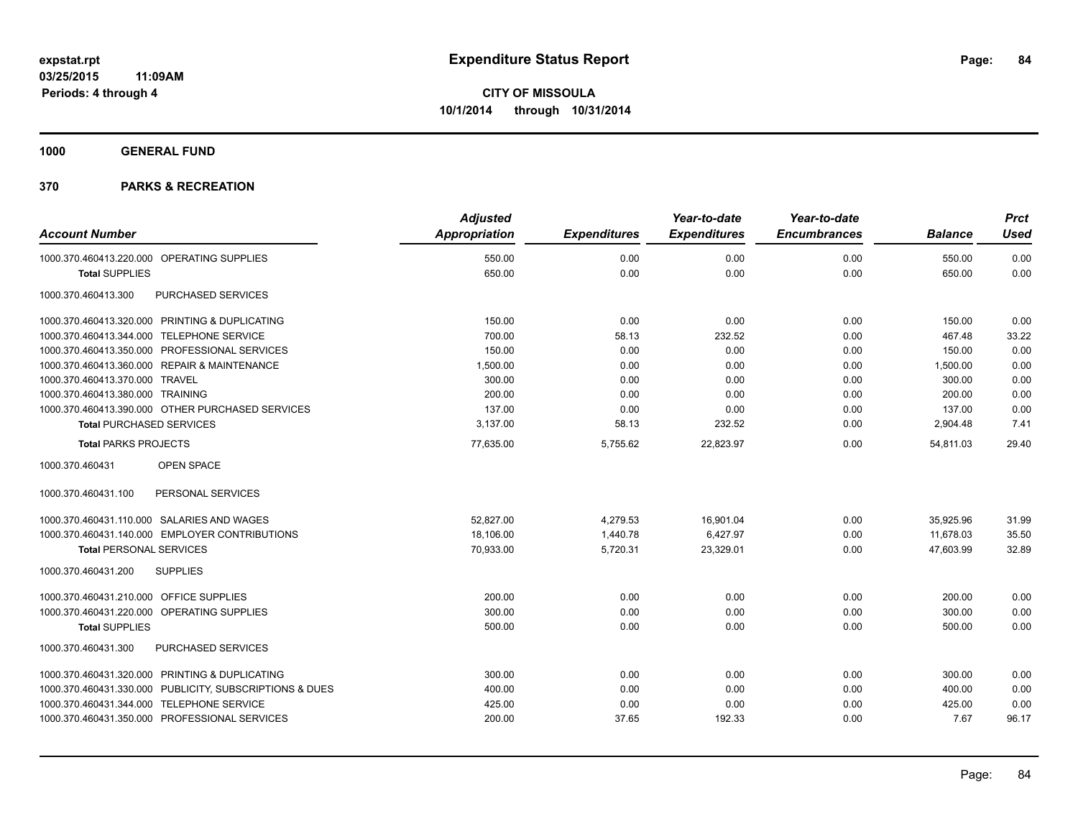**1000 GENERAL FUND**

|                                                         | <b>Adjusted</b> |                     | Year-to-date        | Year-to-date        |                | <b>Prct</b> |
|---------------------------------------------------------|-----------------|---------------------|---------------------|---------------------|----------------|-------------|
| <b>Account Number</b>                                   | Appropriation   | <b>Expenditures</b> | <b>Expenditures</b> | <b>Encumbrances</b> | <b>Balance</b> | <b>Used</b> |
| 1000.370.460413.220.000 OPERATING SUPPLIES              | 550.00          | 0.00                | 0.00                | 0.00                | 550.00         | 0.00        |
| <b>Total SUPPLIES</b>                                   | 650.00          | 0.00                | 0.00                | 0.00                | 650.00         | 0.00        |
| 1000.370.460413.300<br>PURCHASED SERVICES               |                 |                     |                     |                     |                |             |
| 1000.370.460413.320.000 PRINTING & DUPLICATING          | 150.00          | 0.00                | 0.00                | 0.00                | 150.00         | 0.00        |
| 1000.370.460413.344.000 TELEPHONE SERVICE               | 700.00          | 58.13               | 232.52              | 0.00                | 467.48         | 33.22       |
| 1000.370.460413.350.000 PROFESSIONAL SERVICES           | 150.00          | 0.00                | 0.00                | 0.00                | 150.00         | 0.00        |
| 1000.370.460413.360.000 REPAIR & MAINTENANCE            | 1,500.00        | 0.00                | 0.00                | 0.00                | 1,500.00       | 0.00        |
| 1000.370.460413.370.000 TRAVEL                          | 300.00          | 0.00                | 0.00                | 0.00                | 300.00         | 0.00        |
| 1000.370.460413.380.000 TRAINING                        | 200.00          | 0.00                | 0.00                | 0.00                | 200.00         | 0.00        |
| 1000.370.460413.390.000 OTHER PURCHASED SERVICES        | 137.00          | 0.00                | 0.00                | 0.00                | 137.00         | 0.00        |
| <b>Total PURCHASED SERVICES</b>                         | 3,137.00        | 58.13               | 232.52              | 0.00                | 2,904.48       | 7.41        |
| <b>Total PARKS PROJECTS</b>                             | 77,635.00       | 5,755.62            | 22,823.97           | 0.00                | 54.811.03      | 29.40       |
| 1000.370.460431<br>OPEN SPACE                           |                 |                     |                     |                     |                |             |
| 1000.370.460431.100<br>PERSONAL SERVICES                |                 |                     |                     |                     |                |             |
| 1000.370.460431.110.000 SALARIES AND WAGES              | 52,827.00       | 4,279.53            | 16,901.04           | 0.00                | 35,925.96      | 31.99       |
| 1000.370.460431.140.000 EMPLOYER CONTRIBUTIONS          | 18,106.00       | 1,440.78            | 6,427.97            | 0.00                | 11,678.03      | 35.50       |
| <b>Total PERSONAL SERVICES</b>                          | 70,933.00       | 5,720.31            | 23,329.01           | 0.00                | 47,603.99      | 32.89       |
| 1000.370.460431.200<br><b>SUPPLIES</b>                  |                 |                     |                     |                     |                |             |
| 1000.370.460431.210.000 OFFICE SUPPLIES                 | 200.00          | 0.00                | 0.00                | 0.00                | 200.00         | 0.00        |
| 1000.370.460431.220.000 OPERATING SUPPLIES              | 300.00          | 0.00                | 0.00                | 0.00                | 300.00         | 0.00        |
| <b>Total SUPPLIES</b>                                   | 500.00          | 0.00                | 0.00                | 0.00                | 500.00         | 0.00        |
| PURCHASED SERVICES<br>1000.370.460431.300               |                 |                     |                     |                     |                |             |
| 1000.370.460431.320.000 PRINTING & DUPLICATING          | 300.00          | 0.00                | 0.00                | 0.00                | 300.00         | 0.00        |
| 1000.370.460431.330.000 PUBLICITY, SUBSCRIPTIONS & DUES | 400.00          | 0.00                | 0.00                | 0.00                | 400.00         | 0.00        |
| 1000.370.460431.344.000 TELEPHONE SERVICE               | 425.00          | 0.00                | 0.00                | 0.00                | 425.00         | 0.00        |
| 1000.370.460431.350.000 PROFESSIONAL SERVICES           | 200.00          | 37.65               | 192.33              | 0.00                | 7.67           | 96.17       |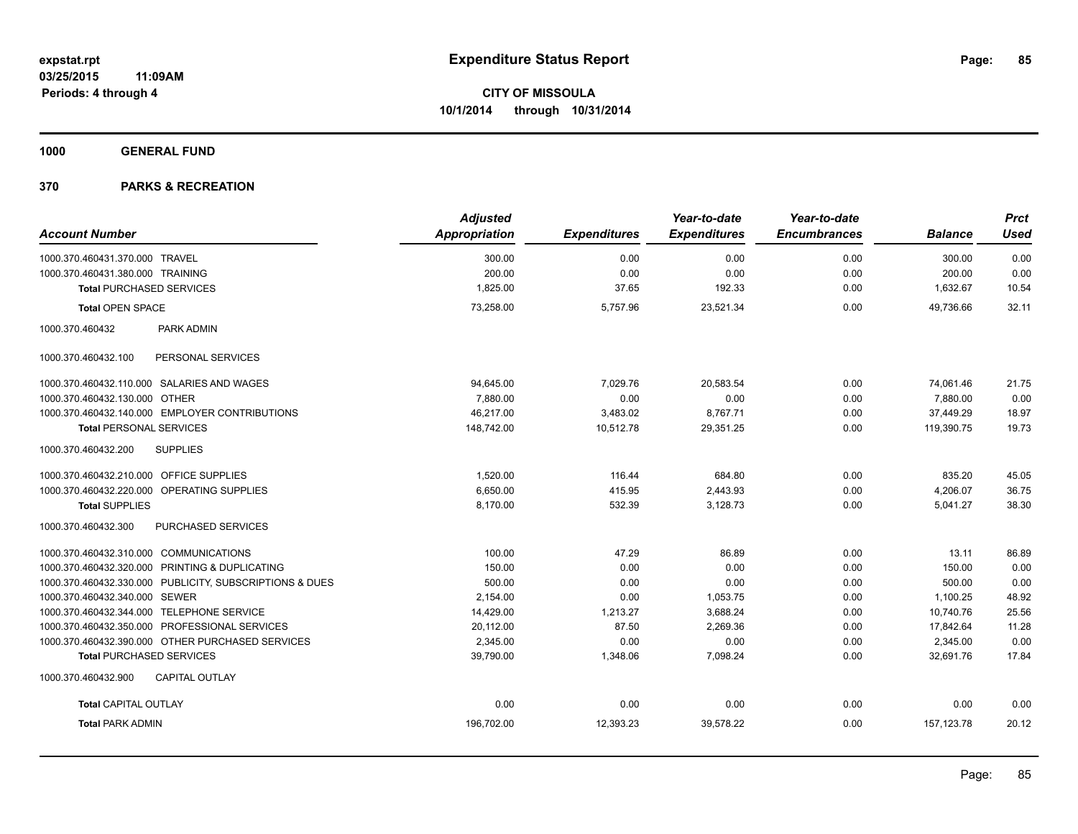**1000 GENERAL FUND**

|                                                         | <b>Adjusted</b>      |                     | Year-to-date        | Year-to-date        |                | <b>Prct</b> |
|---------------------------------------------------------|----------------------|---------------------|---------------------|---------------------|----------------|-------------|
| <b>Account Number</b>                                   | <b>Appropriation</b> | <b>Expenditures</b> | <b>Expenditures</b> | <b>Encumbrances</b> | <b>Balance</b> | <b>Used</b> |
| 1000.370.460431.370.000 TRAVEL                          | 300.00               | 0.00                | 0.00                | 0.00                | 300.00         | 0.00        |
| 1000.370.460431.380.000 TRAINING                        | 200.00               | 0.00                | 0.00                | 0.00                | 200.00         | 0.00        |
| <b>Total PURCHASED SERVICES</b>                         | 1,825.00             | 37.65               | 192.33              | 0.00                | 1,632.67       | 10.54       |
| <b>Total OPEN SPACE</b>                                 | 73,258.00            | 5,757.96            | 23.521.34           | 0.00                | 49.736.66      | 32.11       |
| 1000.370.460432<br>PARK ADMIN                           |                      |                     |                     |                     |                |             |
| 1000.370.460432.100<br>PERSONAL SERVICES                |                      |                     |                     |                     |                |             |
| 1000.370.460432.110.000 SALARIES AND WAGES              | 94,645.00            | 7.029.76            | 20,583.54           | 0.00                | 74,061.46      | 21.75       |
| 1000.370.460432.130.000 OTHER                           | 7,880.00             | 0.00                | 0.00                | 0.00                | 7,880.00       | 0.00        |
| 1000.370.460432.140.000 EMPLOYER CONTRIBUTIONS          | 46,217.00            | 3,483.02            | 8,767.71            | 0.00                | 37,449.29      | 18.97       |
| <b>Total PERSONAL SERVICES</b>                          | 148,742.00           | 10,512.78           | 29,351.25           | 0.00                | 119,390.75     | 19.73       |
| 1000.370.460432.200<br><b>SUPPLIES</b>                  |                      |                     |                     |                     |                |             |
| 1000.370.460432.210.000 OFFICE SUPPLIES                 | 1,520.00             | 116.44              | 684.80              | 0.00                | 835.20         | 45.05       |
| 1000.370.460432.220.000 OPERATING SUPPLIES              | 6.650.00             | 415.95              | 2.443.93            | 0.00                | 4.206.07       | 36.75       |
| <b>Total SUPPLIES</b>                                   | 8,170.00             | 532.39              | 3,128.73            | 0.00                | 5,041.27       | 38.30       |
| PURCHASED SERVICES<br>1000.370.460432.300               |                      |                     |                     |                     |                |             |
| 1000.370.460432.310.000 COMMUNICATIONS                  | 100.00               | 47.29               | 86.89               | 0.00                | 13.11          | 86.89       |
| 1000.370.460432.320.000 PRINTING & DUPLICATING          | 150.00               | 0.00                | 0.00                | 0.00                | 150.00         | 0.00        |
| 1000.370.460432.330.000 PUBLICITY, SUBSCRIPTIONS & DUES | 500.00               | 0.00                | 0.00                | 0.00                | 500.00         | 0.00        |
| 1000.370.460432.340.000 SEWER                           | 2,154.00             | 0.00                | 1,053.75            | 0.00                | 1,100.25       | 48.92       |
| 1000.370.460432.344.000 TELEPHONE SERVICE               | 14,429.00            | 1,213.27            | 3,688.24            | 0.00                | 10,740.76      | 25.56       |
| 1000.370.460432.350.000 PROFESSIONAL SERVICES           | 20,112.00            | 87.50               | 2.269.36            | 0.00                | 17,842.64      | 11.28       |
| 1000.370.460432.390.000 OTHER PURCHASED SERVICES        | 2,345.00             | 0.00                | 0.00                | 0.00                | 2,345.00       | 0.00        |
| <b>Total PURCHASED SERVICES</b>                         | 39,790.00            | 1,348.06            | 7,098.24            | 0.00                | 32,691.76      | 17.84       |
| 1000.370.460432.900<br><b>CAPITAL OUTLAY</b>            |                      |                     |                     |                     |                |             |
| <b>Total CAPITAL OUTLAY</b>                             | 0.00                 | 0.00                | 0.00                | 0.00                | 0.00           | 0.00        |
| <b>Total PARK ADMIN</b>                                 | 196,702.00           | 12,393.23           | 39,578.22           | 0.00                | 157, 123.78    | 20.12       |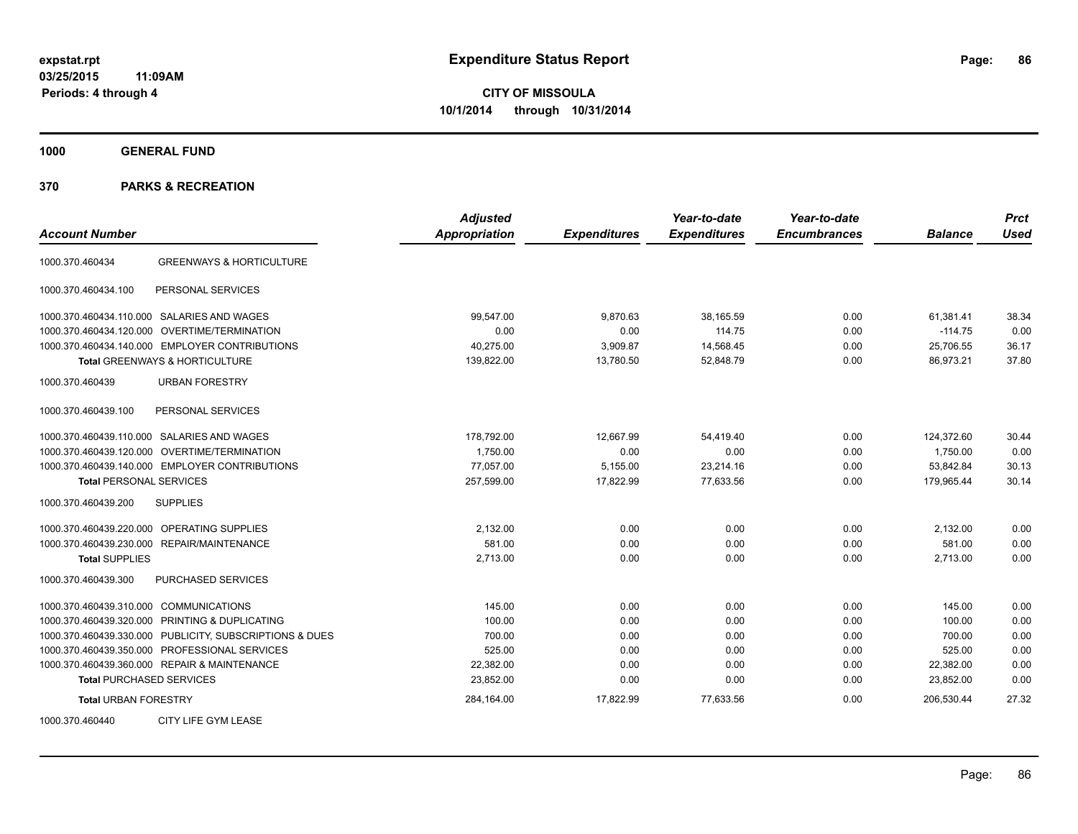**1000 GENERAL FUND**

| <b>Account Number</b>                                   | <b>Adjusted</b><br><b>Appropriation</b> | <b>Expenditures</b> | Year-to-date<br><b>Expenditures</b> | Year-to-date<br><b>Encumbrances</b> | <b>Balance</b> | <b>Prct</b><br><b>Used</b> |
|---------------------------------------------------------|-----------------------------------------|---------------------|-------------------------------------|-------------------------------------|----------------|----------------------------|
| <b>GREENWAYS &amp; HORTICULTURE</b><br>1000.370.460434  |                                         |                     |                                     |                                     |                |                            |
| PERSONAL SERVICES<br>1000.370.460434.100                |                                         |                     |                                     |                                     |                |                            |
| 1000.370.460434.110.000 SALARIES AND WAGES              | 99.547.00                               | 9,870.63            | 38,165.59                           | 0.00                                | 61,381.41      | 38.34                      |
| OVERTIME/TERMINATION<br>1000.370.460434.120.000         | 0.00                                    | 0.00                | 114.75                              | 0.00                                | $-114.75$      | 0.00                       |
| 1000.370.460434.140.000 EMPLOYER CONTRIBUTIONS          | 40.275.00                               | 3,909.87            | 14,568.45                           | 0.00                                | 25.706.55      | 36.17                      |
| Total GREENWAYS & HORTICULTURE                          | 139,822.00                              | 13,780.50           | 52,848.79                           | 0.00                                | 86,973.21      | 37.80                      |
| 1000.370.460439<br><b>URBAN FORESTRY</b>                |                                         |                     |                                     |                                     |                |                            |
| 1000.370.460439.100<br>PERSONAL SERVICES                |                                         |                     |                                     |                                     |                |                            |
| 1000.370.460439.110.000 SALARIES AND WAGES              | 178,792.00                              | 12,667.99           | 54.419.40                           | 0.00                                | 124,372.60     | 30.44                      |
| OVERTIME/TERMINATION<br>1000.370.460439.120.000         | 1,750.00                                | 0.00                | 0.00                                | 0.00                                | 1,750.00       | 0.00                       |
| 1000.370.460439.140.000 EMPLOYER CONTRIBUTIONS          | 77,057.00                               | 5,155.00            | 23,214.16                           | 0.00                                | 53,842.84      | 30.13                      |
| <b>Total PERSONAL SERVICES</b>                          | 257,599.00                              | 17,822.99           | 77,633.56                           | 0.00                                | 179,965.44     | 30.14                      |
| <b>SUPPLIES</b><br>1000.370.460439.200                  |                                         |                     |                                     |                                     |                |                            |
| <b>OPERATING SUPPLIES</b><br>1000.370.460439.220.000    | 2,132.00                                | 0.00                | 0.00                                | 0.00                                | 2,132.00       | 0.00                       |
| 1000.370.460439.230.000 REPAIR/MAINTENANCE              | 581.00                                  | 0.00                | 0.00                                | 0.00                                | 581.00         | 0.00                       |
| <b>Total SUPPLIES</b>                                   | 2,713.00                                | 0.00                | 0.00                                | 0.00                                | 2,713.00       | 0.00                       |
| 1000.370.460439.300<br><b>PURCHASED SERVICES</b>        |                                         |                     |                                     |                                     |                |                            |
| 1000.370.460439.310.000 COMMUNICATIONS                  | 145.00                                  | 0.00                | 0.00                                | 0.00                                | 145.00         | 0.00                       |
| 1000.370.460439.320.000 PRINTING & DUPLICATING          | 100.00                                  | 0.00                | 0.00                                | 0.00                                | 100.00         | 0.00                       |
| 1000.370.460439.330.000 PUBLICITY, SUBSCRIPTIONS & DUES | 700.00                                  | 0.00                | 0.00                                | 0.00                                | 700.00         | 0.00                       |
| 1000.370.460439.350.000 PROFESSIONAL SERVICES           | 525.00                                  | 0.00                | 0.00                                | 0.00                                | 525.00         | 0.00                       |
| 1000.370.460439.360.000 REPAIR & MAINTENANCE            | 22,382.00                               | 0.00                | 0.00                                | 0.00                                | 22,382.00      | 0.00                       |
| <b>Total PURCHASED SERVICES</b>                         | 23,852.00                               | 0.00                | 0.00                                | 0.00                                | 23,852.00      | 0.00                       |
| <b>Total URBAN FORESTRY</b>                             | 284,164.00                              | 17,822.99           | 77,633.56                           | 0.00                                | 206,530.44     | 27.32                      |
| CITY LIFE GYM LEASE<br>1000.370.460440                  |                                         |                     |                                     |                                     |                |                            |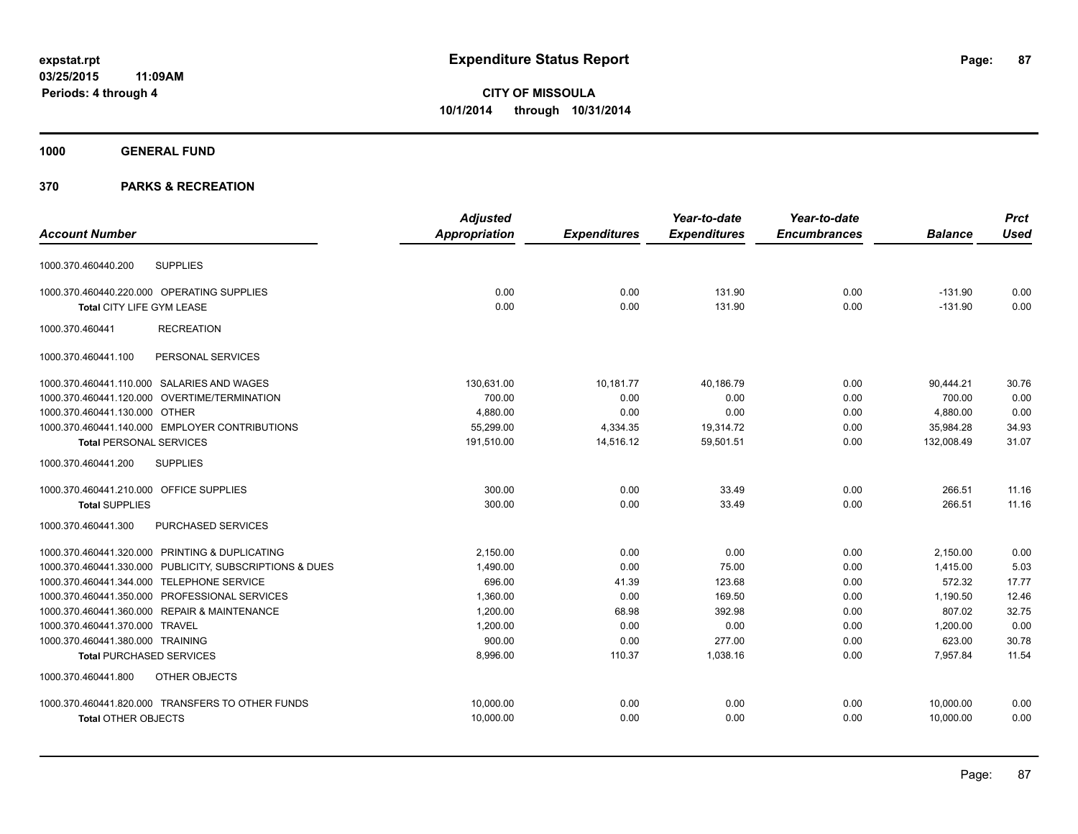**1000 GENERAL FUND**

|                                                         | <b>Adjusted</b>      |                     | Year-to-date        | Year-to-date        |                | <b>Prct</b> |
|---------------------------------------------------------|----------------------|---------------------|---------------------|---------------------|----------------|-------------|
| <b>Account Number</b>                                   | <b>Appropriation</b> | <b>Expenditures</b> | <b>Expenditures</b> | <b>Encumbrances</b> | <b>Balance</b> | <b>Used</b> |
| <b>SUPPLIES</b><br>1000.370.460440.200                  |                      |                     |                     |                     |                |             |
| 1000.370.460440.220.000 OPERATING SUPPLIES              | 0.00                 | 0.00                | 131.90              | 0.00                | $-131.90$      | 0.00        |
| Total CITY LIFE GYM LEASE                               | 0.00                 | 0.00                | 131.90              | 0.00                | $-131.90$      | 0.00        |
| 1000.370.460441<br><b>RECREATION</b>                    |                      |                     |                     |                     |                |             |
| 1000.370.460441.100<br>PERSONAL SERVICES                |                      |                     |                     |                     |                |             |
| 1000.370.460441.110.000 SALARIES AND WAGES              | 130,631.00           | 10,181.77           | 40,186.79           | 0.00                | 90,444.21      | 30.76       |
| 1000.370.460441.120.000 OVERTIME/TERMINATION            | 700.00               | 0.00                | 0.00                | 0.00                | 700.00         | 0.00        |
| 1000.370.460441.130.000 OTHER                           | 4,880.00             | 0.00                | 0.00                | 0.00                | 4,880.00       | 0.00        |
| 1000.370.460441.140.000 EMPLOYER CONTRIBUTIONS          | 55,299.00            | 4,334.35            | 19,314.72           | 0.00                | 35,984.28      | 34.93       |
| <b>Total PERSONAL SERVICES</b>                          | 191,510.00           | 14,516.12           | 59,501.51           | 0.00                | 132,008.49     | 31.07       |
| <b>SUPPLIES</b><br>1000.370.460441.200                  |                      |                     |                     |                     |                |             |
| 1000.370.460441.210.000 OFFICE SUPPLIES                 | 300.00               | 0.00                | 33.49               | 0.00                | 266.51         | 11.16       |
| <b>Total SUPPLIES</b>                                   | 300.00               | 0.00                | 33.49               | 0.00                | 266.51         | 11.16       |
| 1000.370.460441.300<br><b>PURCHASED SERVICES</b>        |                      |                     |                     |                     |                |             |
| 1000.370.460441.320.000 PRINTING & DUPLICATING          | 2,150.00             | 0.00                | 0.00                | 0.00                | 2,150.00       | 0.00        |
| 1000.370.460441.330.000 PUBLICITY, SUBSCRIPTIONS & DUES | 1,490.00             | 0.00                | 75.00               | 0.00                | 1,415.00       | 5.03        |
| 1000.370.460441.344.000 TELEPHONE SERVICE               | 696.00               | 41.39               | 123.68              | 0.00                | 572.32         | 17.77       |
| 1000.370.460441.350.000 PROFESSIONAL SERVICES           | 1,360.00             | 0.00                | 169.50              | 0.00                | 1,190.50       | 12.46       |
| 1000.370.460441.360.000 REPAIR & MAINTENANCE            | 1.200.00             | 68.98               | 392.98              | 0.00                | 807.02         | 32.75       |
| 1000.370.460441.370.000 TRAVEL                          | 1,200.00             | 0.00                | 0.00                | 0.00                | 1.200.00       | 0.00        |
| 1000.370.460441.380.000 TRAINING                        | 900.00               | 0.00                | 277.00              | 0.00                | 623.00         | 30.78       |
| <b>Total PURCHASED SERVICES</b>                         | 8,996.00             | 110.37              | 1,038.16            | 0.00                | 7,957.84       | 11.54       |
| OTHER OBJECTS<br>1000.370.460441.800                    |                      |                     |                     |                     |                |             |
| 1000.370.460441.820.000 TRANSFERS TO OTHER FUNDS        | 10,000.00            | 0.00                | 0.00                | 0.00                | 10,000.00      | 0.00        |
| <b>Total OTHER OBJECTS</b>                              | 10,000.00            | 0.00                | 0.00                | 0.00                | 10,000.00      | 0.00        |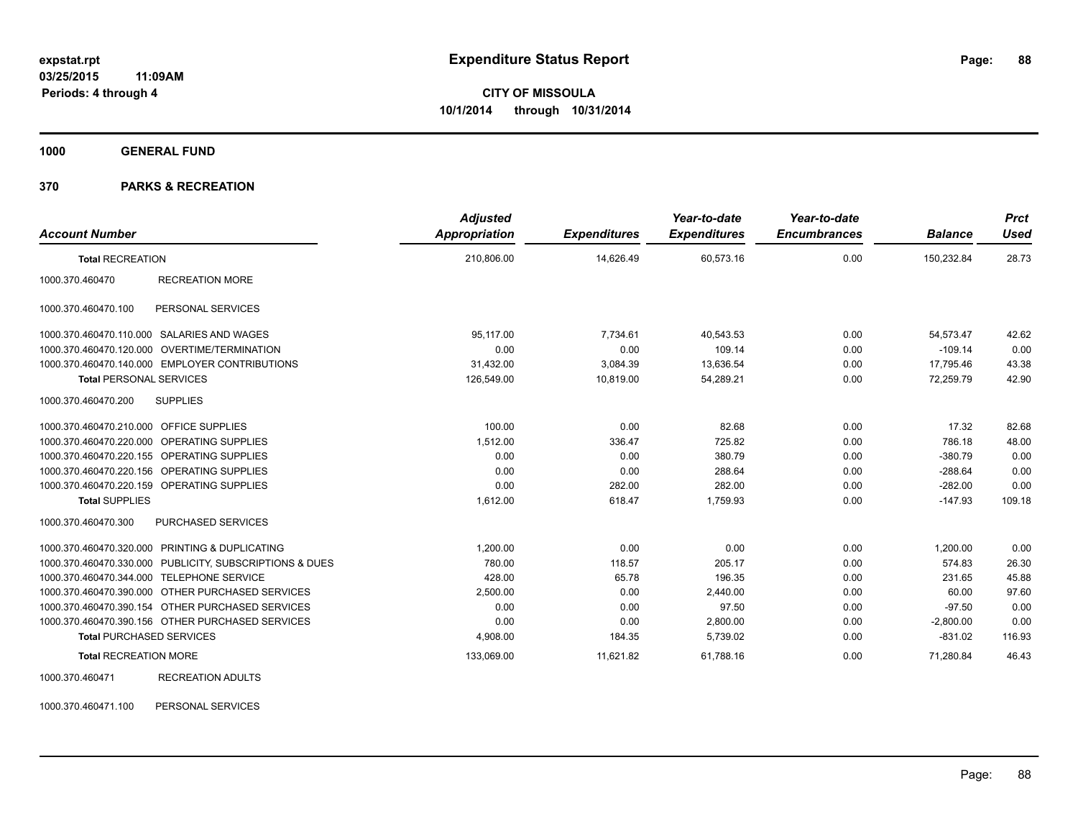**1000 GENERAL FUND**

## **370 PARKS & RECREATION**

| <b>Account Number</b>                   |                                                         | <b>Adjusted</b><br>Appropriation | <b>Expenditures</b> | Year-to-date<br><b>Expenditures</b> | Year-to-date<br><b>Encumbrances</b> | <b>Balance</b> | <b>Prct</b><br><b>Used</b> |
|-----------------------------------------|---------------------------------------------------------|----------------------------------|---------------------|-------------------------------------|-------------------------------------|----------------|----------------------------|
| <b>Total RECREATION</b>                 |                                                         | 210,806.00                       | 14,626.49           | 60,573.16                           | 0.00                                | 150,232.84     | 28.73                      |
| 1000.370.460470                         | <b>RECREATION MORE</b>                                  |                                  |                     |                                     |                                     |                |                            |
| 1000.370.460470.100                     | PERSONAL SERVICES                                       |                                  |                     |                                     |                                     |                |                            |
|                                         | 1000.370.460470.110.000 SALARIES AND WAGES              | 95.117.00                        | 7,734.61            | 40,543.53                           | 0.00                                | 54,573.47      | 42.62                      |
|                                         | 1000.370.460470.120.000 OVERTIME/TERMINATION            | 0.00                             | 0.00                | 109.14                              | 0.00                                | $-109.14$      | 0.00                       |
|                                         | 1000.370.460470.140.000 EMPLOYER CONTRIBUTIONS          | 31,432.00                        | 3,084.39            | 13,636.54                           | 0.00                                | 17,795.46      | 43.38                      |
| <b>Total PERSONAL SERVICES</b>          |                                                         | 126,549.00                       | 10,819.00           | 54,289.21                           | 0.00                                | 72,259.79      | 42.90                      |
| 1000.370.460470.200                     | <b>SUPPLIES</b>                                         |                                  |                     |                                     |                                     |                |                            |
| 1000.370.460470.210.000 OFFICE SUPPLIES |                                                         | 100.00                           | 0.00                | 82.68                               | 0.00                                | 17.32          | 82.68                      |
|                                         | 1000.370.460470.220.000 OPERATING SUPPLIES              | 1.512.00                         | 336.47              | 725.82                              | 0.00                                | 786.18         | 48.00                      |
|                                         | 1000.370.460470.220.155 OPERATING SUPPLIES              | 0.00                             | 0.00                | 380.79                              | 0.00                                | $-380.79$      | 0.00                       |
|                                         | 1000.370.460470.220.156 OPERATING SUPPLIES              | 0.00                             | 0.00                | 288.64                              | 0.00                                | $-288.64$      | 0.00                       |
|                                         | 1000.370.460470.220.159 OPERATING SUPPLIES              | 0.00                             | 282.00              | 282.00                              | 0.00                                | $-282.00$      | 0.00                       |
| <b>Total SUPPLIES</b>                   |                                                         | 1,612.00                         | 618.47              | 1,759.93                            | 0.00                                | $-147.93$      | 109.18                     |
| 1000.370.460470.300                     | PURCHASED SERVICES                                      |                                  |                     |                                     |                                     |                |                            |
|                                         | 1000.370.460470.320.000 PRINTING & DUPLICATING          | 1.200.00                         | 0.00                | 0.00                                | 0.00                                | 1,200.00       | 0.00                       |
|                                         | 1000.370.460470.330.000 PUBLICITY, SUBSCRIPTIONS & DUES | 780.00                           | 118.57              | 205.17                              | 0.00                                | 574.83         | 26.30                      |
|                                         | 1000.370.460470.344.000 TELEPHONE SERVICE               | 428.00                           | 65.78               | 196.35                              | 0.00                                | 231.65         | 45.88                      |
|                                         | 1000.370.460470.390.000 OTHER PURCHASED SERVICES        | 2,500.00                         | 0.00                | 2,440.00                            | 0.00                                | 60.00          | 97.60                      |
|                                         | 1000.370.460470.390.154 OTHER PURCHASED SERVICES        | 0.00                             | 0.00                | 97.50                               | 0.00                                | $-97.50$       | 0.00                       |
|                                         | 1000.370.460470.390.156 OTHER PURCHASED SERVICES        | 0.00                             | 0.00                | 2,800.00                            | 0.00                                | $-2,800.00$    | 0.00                       |
| <b>Total PURCHASED SERVICES</b>         |                                                         | 4,908.00                         | 184.35              | 5,739.02                            | 0.00                                | $-831.02$      | 116.93                     |
| <b>Total RECREATION MORE</b>            |                                                         | 133,069.00                       | 11,621.82           | 61,788.16                           | 0.00                                | 71,280.84      | 46.43                      |
| 1000.370.460471                         | <b>RECREATION ADULTS</b>                                |                                  |                     |                                     |                                     |                |                            |

1000.370.460471.100 PERSONAL SERVICES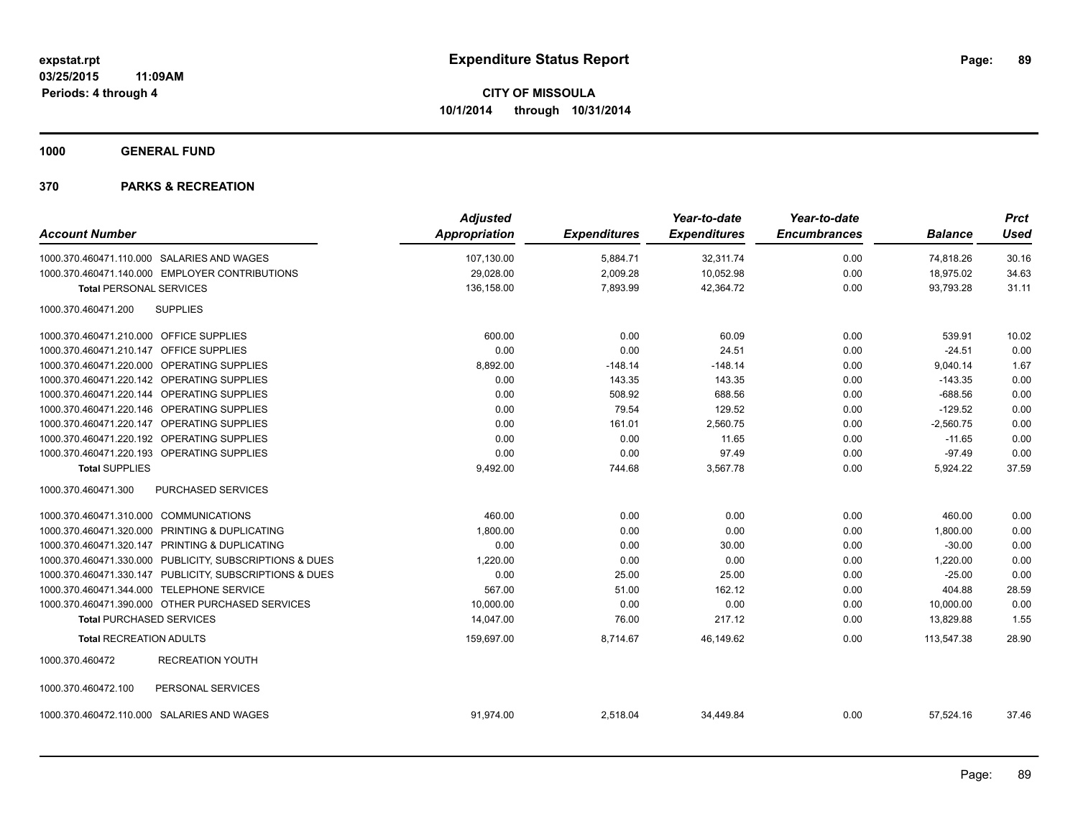**1000 GENERAL FUND**

| <b>Account Number</b>                                   | <b>Adjusted</b><br>Appropriation | <b>Expenditures</b> | Year-to-date<br><b>Expenditures</b> | Year-to-date<br><b>Encumbrances</b> | <b>Balance</b> | <b>Prct</b><br><b>Used</b> |
|---------------------------------------------------------|----------------------------------|---------------------|-------------------------------------|-------------------------------------|----------------|----------------------------|
| 1000.370.460471.110.000 SALARIES AND WAGES              | 107,130.00                       | 5,884.71            | 32,311.74                           | 0.00                                | 74,818.26      | 30.16                      |
| 1000.370.460471.140.000 EMPLOYER CONTRIBUTIONS          | 29,028.00                        | 2,009.28            | 10,052.98                           | 0.00                                | 18,975.02      | 34.63                      |
| <b>Total PERSONAL SERVICES</b>                          | 136,158.00                       | 7,893.99            | 42,364.72                           | 0.00                                | 93,793.28      | 31.11                      |
| 1000.370.460471.200<br><b>SUPPLIES</b>                  |                                  |                     |                                     |                                     |                |                            |
| 1000.370.460471.210.000 OFFICE SUPPLIES                 | 600.00                           | 0.00                | 60.09                               | 0.00                                | 539.91         | 10.02                      |
| 1000.370.460471.210.147 OFFICE SUPPLIES                 | 0.00                             | 0.00                | 24.51                               | 0.00                                | $-24.51$       | 0.00                       |
| 1000.370.460471.220.000 OPERATING SUPPLIES              | 8,892.00                         | $-148.14$           | $-148.14$                           | 0.00                                | 9,040.14       | 1.67                       |
| 1000.370.460471.220.142 OPERATING SUPPLIES              | 0.00                             | 143.35              | 143.35                              | 0.00                                | $-143.35$      | 0.00                       |
| 1000.370.460471.220.144 OPERATING SUPPLIES              | 0.00                             | 508.92              | 688.56                              | 0.00                                | $-688.56$      | 0.00                       |
| 1000.370.460471.220.146 OPERATING SUPPLIES              | 0.00                             | 79.54               | 129.52                              | 0.00                                | $-129.52$      | 0.00                       |
| 1000.370.460471.220.147 OPERATING SUPPLIES              | 0.00                             | 161.01              | 2,560.75                            | 0.00                                | $-2,560.75$    | 0.00                       |
| 1000.370.460471.220.192 OPERATING SUPPLIES              | 0.00                             | 0.00                | 11.65                               | 0.00                                | $-11.65$       | 0.00                       |
| 1000.370.460471.220.193 OPERATING SUPPLIES              | 0.00                             | 0.00                | 97.49                               | 0.00                                | $-97.49$       | 0.00                       |
| <b>Total SUPPLIES</b>                                   | 9,492.00                         | 744.68              | 3,567.78                            | 0.00                                | 5,924.22       | 37.59                      |
| 1000.370.460471.300<br><b>PURCHASED SERVICES</b>        |                                  |                     |                                     |                                     |                |                            |
| 1000.370.460471.310.000 COMMUNICATIONS                  | 460.00                           | 0.00                | 0.00                                | 0.00                                | 460.00         | 0.00                       |
| 1000.370.460471.320.000 PRINTING & DUPLICATING          | 1,800.00                         | 0.00                | 0.00                                | 0.00                                | 1,800.00       | 0.00                       |
| 1000.370.460471.320.147 PRINTING & DUPLICATING          | 0.00                             | 0.00                | 30.00                               | 0.00                                | $-30.00$       | 0.00                       |
| 1000.370.460471.330.000 PUBLICITY, SUBSCRIPTIONS & DUES | 1,220.00                         | 0.00                | 0.00                                | 0.00                                | 1,220.00       | 0.00                       |
| 1000.370.460471.330.147 PUBLICITY, SUBSCRIPTIONS & DUES | 0.00                             | 25.00               | 25.00                               | 0.00                                | $-25.00$       | 0.00                       |
| 1000.370.460471.344.000 TELEPHONE SERVICE               | 567.00                           | 51.00               | 162.12                              | 0.00                                | 404.88         | 28.59                      |
| 1000.370.460471.390.000 OTHER PURCHASED SERVICES        | 10,000.00                        | 0.00                | 0.00                                | 0.00                                | 10,000.00      | 0.00                       |
| <b>Total PURCHASED SERVICES</b>                         | 14,047.00                        | 76.00               | 217.12                              | 0.00                                | 13,829.88      | 1.55                       |
| <b>Total RECREATION ADULTS</b>                          | 159,697.00                       | 8,714.67            | 46,149.62                           | 0.00                                | 113,547.38     | 28.90                      |
| 1000.370.460472<br><b>RECREATION YOUTH</b>              |                                  |                     |                                     |                                     |                |                            |
| 1000.370.460472.100<br>PERSONAL SERVICES                |                                  |                     |                                     |                                     |                |                            |
| 1000.370.460472.110.000 SALARIES AND WAGES              | 91.974.00                        | 2,518.04            | 34.449.84                           | 0.00                                | 57,524.16      | 37.46                      |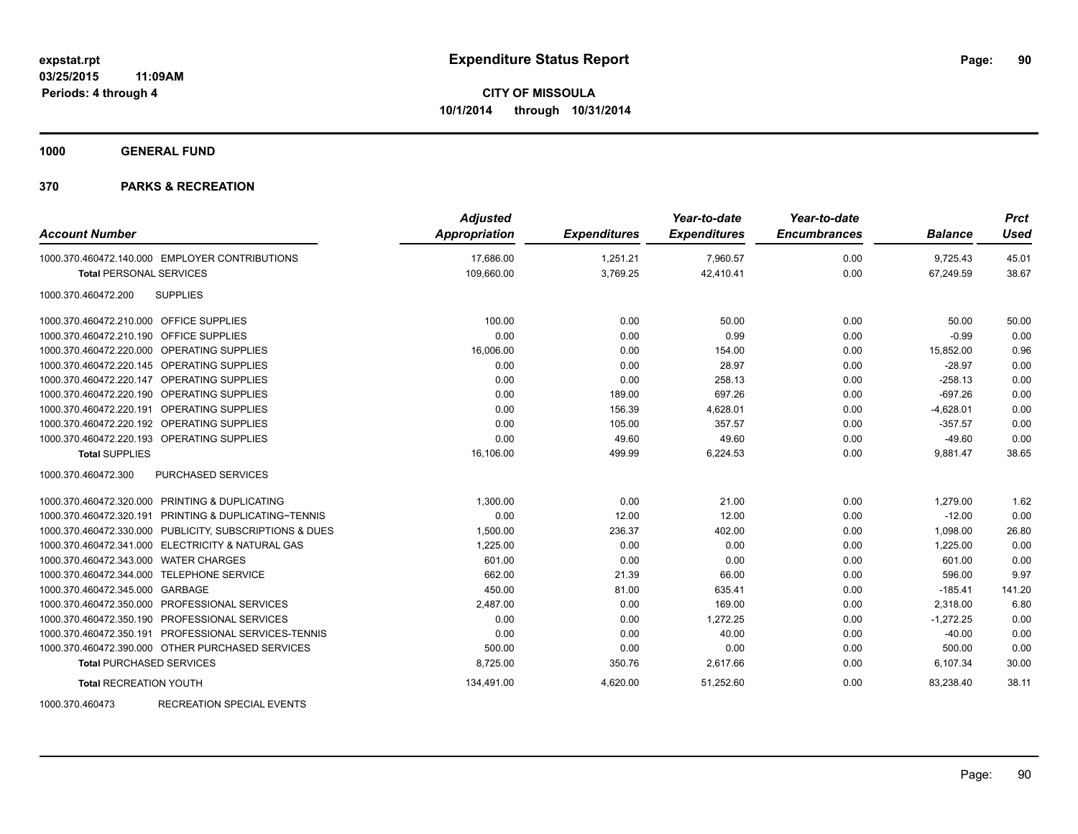**1000 GENERAL FUND**

#### **370 PARKS & RECREATION**

| <b>Account Number</b>                                   | <b>Adjusted</b><br>Appropriation | <b>Expenditures</b> | Year-to-date<br><b>Expenditures</b> | Year-to-date<br><b>Encumbrances</b> | <b>Balance</b> | <b>Prct</b><br><b>Used</b> |
|---------------------------------------------------------|----------------------------------|---------------------|-------------------------------------|-------------------------------------|----------------|----------------------------|
| 1000.370.460472.140.000 EMPLOYER CONTRIBUTIONS          | 17,686.00                        | 1,251.21            | 7,960.57                            | 0.00                                | 9,725.43       | 45.01                      |
| <b>Total PERSONAL SERVICES</b>                          | 109,660.00                       | 3,769.25            | 42,410.41                           | 0.00                                | 67,249.59      | 38.67                      |
| <b>SUPPLIES</b><br>1000.370.460472.200                  |                                  |                     |                                     |                                     |                |                            |
| 1000.370.460472.210.000 OFFICE SUPPLIES                 | 100.00                           | 0.00                | 50.00                               | 0.00                                | 50.00          | 50.00                      |
| 1000.370.460472.210.190 OFFICE SUPPLIES                 | 0.00                             | 0.00                | 0.99                                | 0.00                                | $-0.99$        | 0.00                       |
| 1000.370.460472.220.000 OPERATING SUPPLIES              | 16,006.00                        | 0.00                | 154.00                              | 0.00                                | 15,852.00      | 0.96                       |
| 1000.370.460472.220.145 OPERATING SUPPLIES              | 0.00                             | 0.00                | 28.97                               | 0.00                                | $-28.97$       | 0.00                       |
| 1000.370.460472.220.147 OPERATING SUPPLIES              | 0.00                             | 0.00                | 258.13                              | 0.00                                | $-258.13$      | 0.00                       |
| 1000.370.460472.220.190 OPERATING SUPPLIES              | 0.00                             | 189.00              | 697.26                              | 0.00                                | $-697.26$      | 0.00                       |
| 1000.370.460472.220.191 OPERATING SUPPLIES              | 0.00                             | 156.39              | 4,628.01                            | 0.00                                | $-4,628.01$    | 0.00                       |
| 1000.370.460472.220.192 OPERATING SUPPLIES              | 0.00                             | 105.00              | 357.57                              | 0.00                                | $-357.57$      | 0.00                       |
| 1000.370.460472.220.193 OPERATING SUPPLIES              | 0.00                             | 49.60               | 49.60                               | 0.00                                | $-49.60$       | 0.00                       |
| <b>Total SUPPLIES</b>                                   | 16,106.00                        | 499.99              | 6,224.53                            | 0.00                                | 9,881.47       | 38.65                      |
| 1000.370.460472.300<br>PURCHASED SERVICES               |                                  |                     |                                     |                                     |                |                            |
| 1000.370.460472.320.000 PRINTING & DUPLICATING          | 1,300.00                         | 0.00                | 21.00                               | 0.00                                | 1,279.00       | 1.62                       |
| 1000.370.460472.320.191 PRINTING & DUPLICATING~TENNIS   | 0.00                             | 12.00               | 12.00                               | 0.00                                | $-12.00$       | 0.00                       |
| 1000.370.460472.330.000 PUBLICITY, SUBSCRIPTIONS & DUES | 1,500.00                         | 236.37              | 402.00                              | 0.00                                | 1,098.00       | 26.80                      |
| 1000.370.460472.341.000 ELECTRICITY & NATURAL GAS       | 1,225.00                         | 0.00                | 0.00                                | 0.00                                | 1,225.00       | 0.00                       |
| 1000.370.460472.343.000 WATER CHARGES                   | 601.00                           | 0.00                | 0.00                                | 0.00                                | 601.00         | 0.00                       |
| 1000.370.460472.344.000 TELEPHONE SERVICE               | 662.00                           | 21.39               | 66.00                               | 0.00                                | 596.00         | 9.97                       |
| 1000.370.460472.345.000 GARBAGE                         | 450.00                           | 81.00               | 635.41                              | 0.00                                | $-185.41$      | 141.20                     |
| 1000.370.460472.350.000 PROFESSIONAL SERVICES           | 2,487.00                         | 0.00                | 169.00                              | 0.00                                | 2,318.00       | 6.80                       |
| 1000.370.460472.350.190 PROFESSIONAL SERVICES           | 0.00                             | 0.00                | 1,272.25                            | 0.00                                | $-1,272.25$    | 0.00                       |
| 1000.370.460472.350.191 PROFESSIONAL SERVICES-TENNIS    | 0.00                             | 0.00                | 40.00                               | 0.00                                | $-40.00$       | 0.00                       |
| 1000.370.460472.390.000 OTHER PURCHASED SERVICES        | 500.00                           | 0.00                | 0.00                                | 0.00                                | 500.00         | 0.00                       |
| <b>Total PURCHASED SERVICES</b>                         | 8,725.00                         | 350.76              | 2,617.66                            | 0.00                                | 6,107.34       | 30.00                      |
| <b>Total RECREATION YOUTH</b>                           | 134,491.00                       | 4,620.00            | 51,252.60                           | 0.00                                | 83,238.40      | 38.11                      |

1000.370.460473 RECREATION SPECIAL EVENTS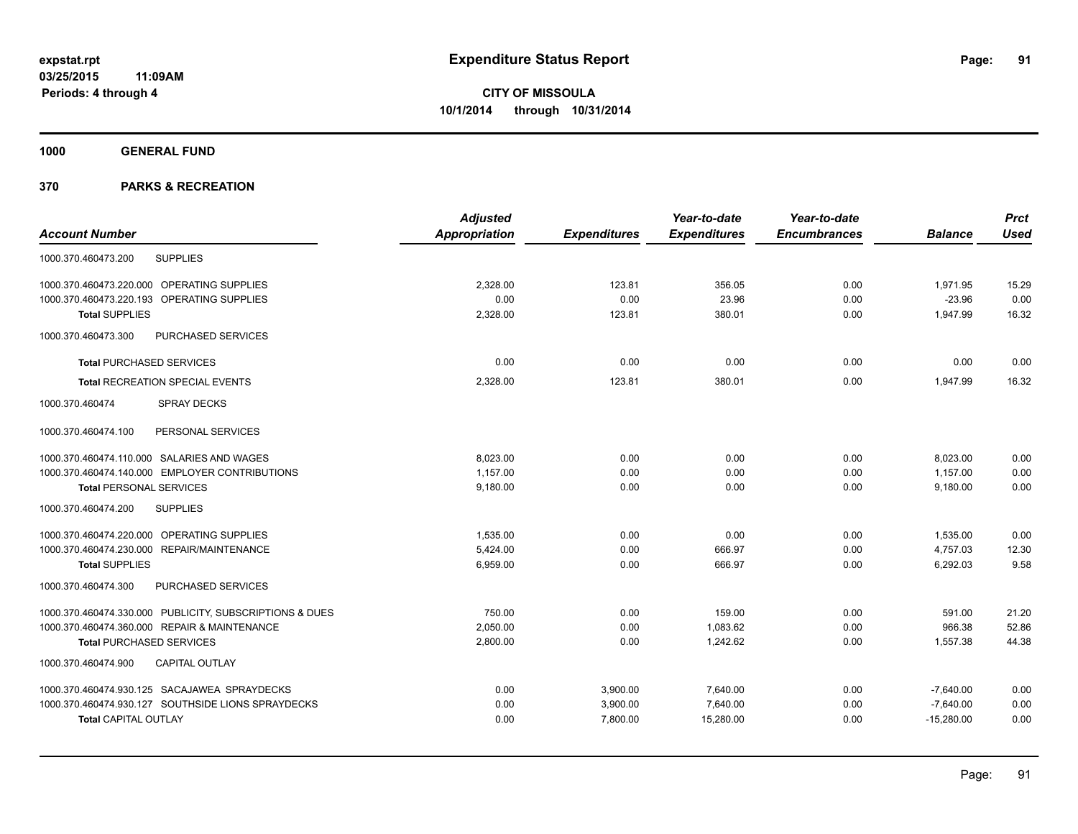**1000 GENERAL FUND**

|                                                         | <b>Adjusted</b> |                     | Year-to-date        | Year-to-date        |                | <b>Prct</b> |
|---------------------------------------------------------|-----------------|---------------------|---------------------|---------------------|----------------|-------------|
| <b>Account Number</b>                                   | Appropriation   | <b>Expenditures</b> | <b>Expenditures</b> | <b>Encumbrances</b> | <b>Balance</b> | <b>Used</b> |
| <b>SUPPLIES</b><br>1000.370.460473.200                  |                 |                     |                     |                     |                |             |
| 1000.370.460473.220.000 OPERATING SUPPLIES              | 2.328.00        | 123.81              | 356.05              | 0.00                | 1,971.95       | 15.29       |
| 1000.370.460473.220.193 OPERATING SUPPLIES              | 0.00            | 0.00                | 23.96               | 0.00                | $-23.96$       | 0.00        |
| <b>Total SUPPLIES</b>                                   | 2,328.00        | 123.81              | 380.01              | 0.00                | 1,947.99       | 16.32       |
| 1000.370.460473.300<br>PURCHASED SERVICES               |                 |                     |                     |                     |                |             |
| <b>Total PURCHASED SERVICES</b>                         | 0.00            | 0.00                | 0.00                | 0.00                | 0.00           | 0.00        |
| <b>Total RECREATION SPECIAL EVENTS</b>                  | 2,328.00        | 123.81              | 380.01              | 0.00                | 1,947.99       | 16.32       |
| 1000.370.460474<br><b>SPRAY DECKS</b>                   |                 |                     |                     |                     |                |             |
| PERSONAL SERVICES<br>1000.370.460474.100                |                 |                     |                     |                     |                |             |
| 1000.370.460474.110.000 SALARIES AND WAGES              | 8.023.00        | 0.00                | 0.00                | 0.00                | 8,023.00       | 0.00        |
| 1000.370.460474.140.000 EMPLOYER CONTRIBUTIONS          | 1,157.00        | 0.00                | 0.00                | 0.00                | 1,157.00       | 0.00        |
| <b>Total PERSONAL SERVICES</b>                          | 9,180.00        | 0.00                | 0.00                | 0.00                | 9,180.00       | 0.00        |
| 1000.370.460474.200<br><b>SUPPLIES</b>                  |                 |                     |                     |                     |                |             |
| 1000.370.460474.220.000 OPERATING SUPPLIES              | 1,535.00        | 0.00                | 0.00                | 0.00                | 1,535.00       | 0.00        |
| 1000.370.460474.230.000 REPAIR/MAINTENANCE              | 5.424.00        | 0.00                | 666.97              | 0.00                | 4,757.03       | 12.30       |
| <b>Total SUPPLIES</b>                                   | 6,959.00        | 0.00                | 666.97              | 0.00                | 6,292.03       | 9.58        |
| 1000.370.460474.300<br>PURCHASED SERVICES               |                 |                     |                     |                     |                |             |
| 1000.370.460474.330.000 PUBLICITY, SUBSCRIPTIONS & DUES | 750.00          | 0.00                | 159.00              | 0.00                | 591.00         | 21.20       |
| 1000.370.460474.360.000 REPAIR & MAINTENANCE            | 2.050.00        | 0.00                | 1.083.62            | 0.00                | 966.38         | 52.86       |
| <b>Total PURCHASED SERVICES</b>                         | 2,800.00        | 0.00                | 1.242.62            | 0.00                | 1,557.38       | 44.38       |
| 1000.370.460474.900<br><b>CAPITAL OUTLAY</b>            |                 |                     |                     |                     |                |             |
| 1000.370.460474.930.125 SACAJAWEA SPRAYDECKS            | 0.00            | 3,900.00            | 7,640.00            | 0.00                | $-7,640.00$    | 0.00        |
| 1000.370.460474.930.127 SOUTHSIDE LIONS SPRAYDECKS      | 0.00            | 3,900.00            | 7,640.00            | 0.00                | $-7,640.00$    | 0.00        |
| <b>Total CAPITAL OUTLAY</b>                             | 0.00            | 7,800.00            | 15,280.00           | 0.00                | $-15,280.00$   | 0.00        |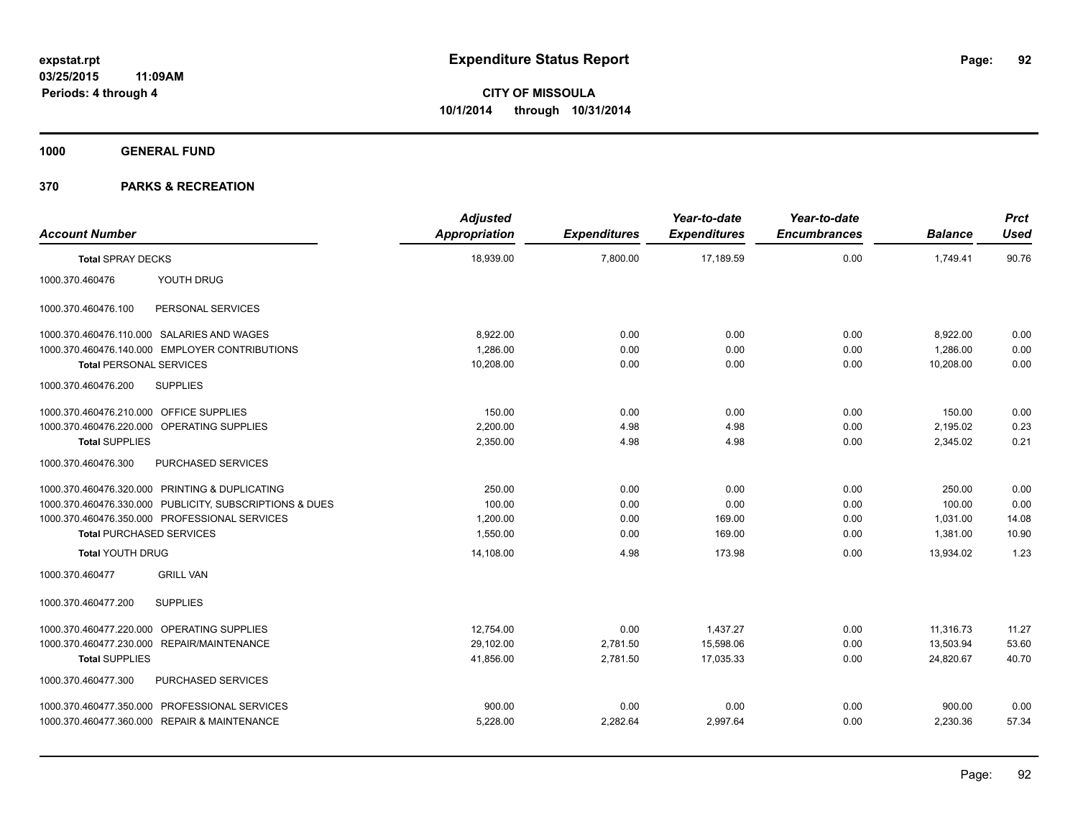**1000 GENERAL FUND**

| <b>Account Number</b>                   |                                                         | <b>Adjusted</b><br>Appropriation | <b>Expenditures</b> | Year-to-date<br><b>Expenditures</b> | Year-to-date<br><b>Encumbrances</b> | <b>Balance</b> | <b>Prct</b><br><b>Used</b> |
|-----------------------------------------|---------------------------------------------------------|----------------------------------|---------------------|-------------------------------------|-------------------------------------|----------------|----------------------------|
| <b>Total SPRAY DECKS</b>                |                                                         | 18,939.00                        | 7,800.00            | 17,189.59                           | 0.00                                | 1,749.41       | 90.76                      |
| 1000.370.460476                         | YOUTH DRUG                                              |                                  |                     |                                     |                                     |                |                            |
| 1000.370.460476.100                     | PERSONAL SERVICES                                       |                                  |                     |                                     |                                     |                |                            |
|                                         | 1000.370.460476.110.000 SALARIES AND WAGES              | 8,922.00                         | 0.00                | 0.00                                | 0.00                                | 8,922.00       | 0.00                       |
|                                         | 1000.370.460476.140.000 EMPLOYER CONTRIBUTIONS          | 1,286.00                         | 0.00                | 0.00                                | 0.00                                | 1,286.00       | 0.00                       |
| <b>Total PERSONAL SERVICES</b>          |                                                         | 10,208.00                        | 0.00                | 0.00                                | 0.00                                | 10,208.00      | 0.00                       |
| 1000.370.460476.200                     | <b>SUPPLIES</b>                                         |                                  |                     |                                     |                                     |                |                            |
| 1000.370.460476.210.000 OFFICE SUPPLIES |                                                         | 150.00                           | 0.00                | 0.00                                | 0.00                                | 150.00         | 0.00                       |
|                                         | 1000.370.460476.220.000 OPERATING SUPPLIES              | 2.200.00                         | 4.98                | 4.98                                | 0.00                                | 2,195.02       | 0.23                       |
| <b>Total SUPPLIES</b>                   |                                                         | 2,350.00                         | 4.98                | 4.98                                | 0.00                                | 2,345.02       | 0.21                       |
| 1000.370.460476.300                     | PURCHASED SERVICES                                      |                                  |                     |                                     |                                     |                |                            |
|                                         | 1000.370.460476.320.000 PRINTING & DUPLICATING          | 250.00                           | 0.00                | 0.00                                | 0.00                                | 250.00         | 0.00                       |
|                                         | 1000.370.460476.330.000 PUBLICITY, SUBSCRIPTIONS & DUES | 100.00                           | 0.00                | 0.00                                | 0.00                                | 100.00         | 0.00                       |
|                                         | 1000.370.460476.350.000 PROFESSIONAL SERVICES           | 1,200.00                         | 0.00                | 169.00                              | 0.00                                | 1,031.00       | 14.08                      |
| <b>Total PURCHASED SERVICES</b>         |                                                         | 1,550.00                         | 0.00                | 169.00                              | 0.00                                | 1,381.00       | 10.90                      |
| <b>Total YOUTH DRUG</b>                 |                                                         | 14,108.00                        | 4.98                | 173.98                              | 0.00                                | 13,934.02      | 1.23                       |
| 1000.370.460477                         | <b>GRILL VAN</b>                                        |                                  |                     |                                     |                                     |                |                            |
| 1000.370.460477.200                     | <b>SUPPLIES</b>                                         |                                  |                     |                                     |                                     |                |                            |
|                                         | 1000.370.460477.220.000 OPERATING SUPPLIES              | 12,754.00                        | 0.00                | 1,437.27                            | 0.00                                | 11,316.73      | 11.27                      |
|                                         | 1000.370.460477.230.000 REPAIR/MAINTENANCE              | 29,102.00                        | 2,781.50            | 15,598.06                           | 0.00                                | 13,503.94      | 53.60                      |
| <b>Total SUPPLIES</b>                   |                                                         | 41,856.00                        | 2,781.50            | 17.035.33                           | 0.00                                | 24,820.67      | 40.70                      |
| 1000.370.460477.300                     | PURCHASED SERVICES                                      |                                  |                     |                                     |                                     |                |                            |
|                                         | 1000.370.460477.350.000 PROFESSIONAL SERVICES           | 900.00                           | 0.00                | 0.00                                | 0.00                                | 900.00         | 0.00                       |
|                                         | 1000.370.460477.360.000 REPAIR & MAINTENANCE            | 5,228.00                         | 2,282.64            | 2,997.64                            | 0.00                                | 2,230.36       | 57.34                      |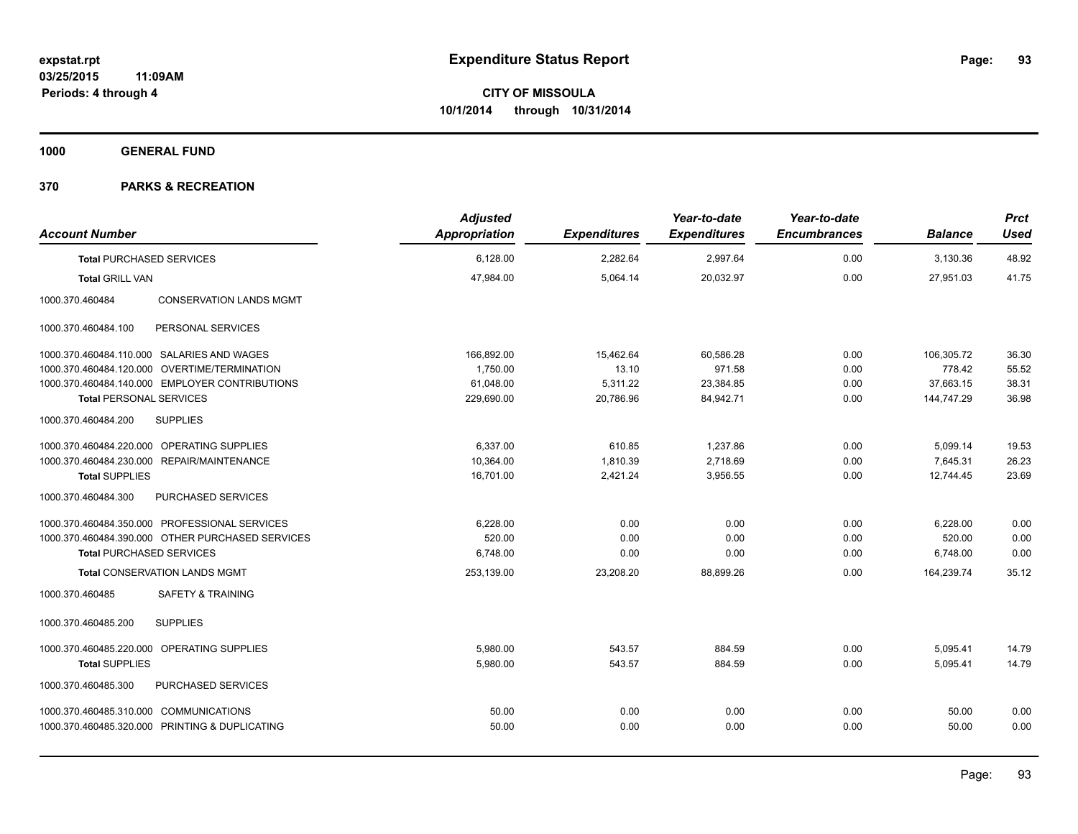**1000 GENERAL FUND**

| <b>Account Number</b>                             | <b>Adjusted</b><br><b>Appropriation</b> | <b>Expenditures</b> | Year-to-date<br><b>Expenditures</b> | Year-to-date<br><b>Encumbrances</b> | <b>Balance</b> | <b>Prct</b><br><b>Used</b> |
|---------------------------------------------------|-----------------------------------------|---------------------|-------------------------------------|-------------------------------------|----------------|----------------------------|
| <b>Total PURCHASED SERVICES</b>                   | 6,128.00                                | 2,282.64            | 2,997.64                            | 0.00                                | 3,130.36       | 48.92                      |
| <b>Total GRILL VAN</b>                            | 47.984.00                               | 5.064.14            | 20.032.97                           | 0.00                                | 27.951.03      | 41.75                      |
| 1000.370.460484<br><b>CONSERVATION LANDS MGMT</b> |                                         |                     |                                     |                                     |                |                            |
| 1000.370.460484.100<br>PERSONAL SERVICES          |                                         |                     |                                     |                                     |                |                            |
| 1000.370.460484.110.000 SALARIES AND WAGES        | 166,892.00                              | 15,462.64           | 60,586.28                           | 0.00                                | 106,305.72     | 36.30                      |
| 1000.370.460484.120.000 OVERTIME/TERMINATION      | 1,750.00                                | 13.10               | 971.58                              | 0.00                                | 778.42         | 55.52                      |
| 1000.370.460484.140.000 EMPLOYER CONTRIBUTIONS    | 61,048.00                               | 5,311.22            | 23,384.85                           | 0.00                                | 37,663.15      | 38.31                      |
| <b>Total PERSONAL SERVICES</b>                    | 229,690.00                              | 20,786.96           | 84,942.71                           | 0.00                                | 144,747.29     | 36.98                      |
| <b>SUPPLIES</b><br>1000.370.460484.200            |                                         |                     |                                     |                                     |                |                            |
| 1000.370.460484.220.000 OPERATING SUPPLIES        | 6,337.00                                | 610.85              | 1,237.86                            | 0.00                                | 5,099.14       | 19.53                      |
| 1000.370.460484.230.000 REPAIR/MAINTENANCE        | 10,364.00                               | 1,810.39            | 2,718.69                            | 0.00                                | 7,645.31       | 26.23                      |
| <b>Total SUPPLIES</b>                             | 16,701.00                               | 2,421.24            | 3,956.55                            | 0.00                                | 12,744.45      | 23.69                      |
| 1000.370.460484.300<br>PURCHASED SERVICES         |                                         |                     |                                     |                                     |                |                            |
| 1000.370.460484.350.000 PROFESSIONAL SERVICES     | 6,228.00                                | 0.00                | 0.00                                | 0.00                                | 6,228.00       | 0.00                       |
| 1000.370.460484.390.000 OTHER PURCHASED SERVICES  | 520.00                                  | 0.00                | 0.00                                | 0.00                                | 520.00         | 0.00                       |
| <b>Total PURCHASED SERVICES</b>                   | 6,748.00                                | 0.00                | 0.00                                | 0.00                                | 6,748.00       | 0.00                       |
| <b>Total CONSERVATION LANDS MGMT</b>              | 253,139.00                              | 23,208.20           | 88,899.26                           | 0.00                                | 164,239.74     | 35.12                      |
| <b>SAFETY &amp; TRAINING</b><br>1000.370.460485   |                                         |                     |                                     |                                     |                |                            |
| <b>SUPPLIES</b><br>1000.370.460485.200            |                                         |                     |                                     |                                     |                |                            |
| 1000.370.460485.220.000 OPERATING SUPPLIES        | 5,980.00                                | 543.57              | 884.59                              | 0.00                                | 5,095.41       | 14.79                      |
| <b>Total SUPPLIES</b>                             | 5,980.00                                | 543.57              | 884.59                              | 0.00                                | 5,095.41       | 14.79                      |
| 1000.370.460485.300<br>PURCHASED SERVICES         |                                         |                     |                                     |                                     |                |                            |
| 1000.370.460485.310.000 COMMUNICATIONS            | 50.00                                   | 0.00                | 0.00                                | 0.00                                | 50.00          | 0.00                       |
| 1000.370.460485.320.000 PRINTING & DUPLICATING    | 50.00                                   | 0.00                | 0.00                                | 0.00                                | 50.00          | 0.00                       |
|                                                   |                                         |                     |                                     |                                     |                |                            |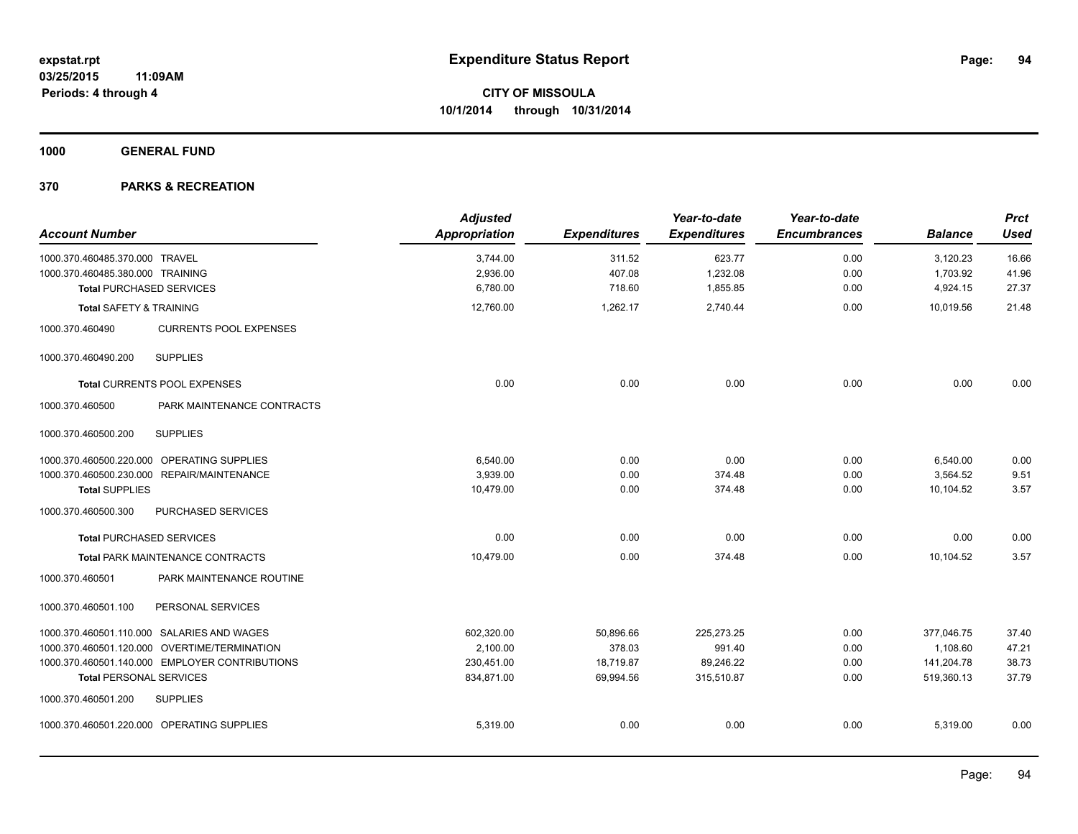**1000 GENERAL FUND**

| <b>Account Number</b>              |                                                | <b>Adjusted</b><br><b>Appropriation</b> | <b>Expenditures</b> | Year-to-date<br><b>Expenditures</b> | Year-to-date<br><b>Encumbrances</b> | <b>Balance</b> | <b>Prct</b><br><b>Used</b> |
|------------------------------------|------------------------------------------------|-----------------------------------------|---------------------|-------------------------------------|-------------------------------------|----------------|----------------------------|
| 1000.370.460485.370.000 TRAVEL     |                                                | 3,744.00                                | 311.52              | 623.77                              | 0.00                                | 3,120.23       | 16.66                      |
| 1000.370.460485.380.000 TRAINING   |                                                | 2,936.00                                | 407.08              | 1,232.08                            | 0.00                                | 1,703.92       | 41.96                      |
| <b>Total PURCHASED SERVICES</b>    |                                                | 6,780.00                                | 718.60              | 1,855.85                            | 0.00                                | 4,924.15       | 27.37                      |
| <b>Total SAFETY &amp; TRAINING</b> |                                                | 12,760.00                               | 1,262.17            | 2,740.44                            | 0.00                                | 10,019.56      | 21.48                      |
| 1000.370.460490                    | <b>CURRENTS POOL EXPENSES</b>                  |                                         |                     |                                     |                                     |                |                            |
| 1000.370.460490.200                | <b>SUPPLIES</b>                                |                                         |                     |                                     |                                     |                |                            |
|                                    | Total CURRENTS POOL EXPENSES                   | 0.00                                    | 0.00                | 0.00                                | 0.00                                | 0.00           | 0.00                       |
| 1000.370.460500                    | PARK MAINTENANCE CONTRACTS                     |                                         |                     |                                     |                                     |                |                            |
| 1000.370.460500.200                | <b>SUPPLIES</b>                                |                                         |                     |                                     |                                     |                |                            |
|                                    | 1000.370.460500.220.000 OPERATING SUPPLIES     | 6,540.00                                | 0.00                | 0.00                                | 0.00                                | 6,540.00       | 0.00                       |
|                                    | 1000.370.460500.230.000 REPAIR/MAINTENANCE     | 3,939.00                                | 0.00                | 374.48                              | 0.00                                | 3,564.52       | 9.51                       |
| <b>Total SUPPLIES</b>              |                                                | 10,479.00                               | 0.00                | 374.48                              | 0.00                                | 10,104.52      | 3.57                       |
| 1000.370.460500.300                | PURCHASED SERVICES                             |                                         |                     |                                     |                                     |                |                            |
| <b>Total PURCHASED SERVICES</b>    |                                                | 0.00                                    | 0.00                | 0.00                                | 0.00                                | 0.00           | 0.00                       |
|                                    | <b>Total PARK MAINTENANCE CONTRACTS</b>        | 10,479.00                               | 0.00                | 374.48                              | 0.00                                | 10,104.52      | 3.57                       |
| 1000.370.460501                    | PARK MAINTENANCE ROUTINE                       |                                         |                     |                                     |                                     |                |                            |
| 1000.370.460501.100                | PERSONAL SERVICES                              |                                         |                     |                                     |                                     |                |                            |
|                                    | 1000.370.460501.110.000 SALARIES AND WAGES     | 602,320.00                              | 50,896.66           | 225,273.25                          | 0.00                                | 377,046.75     | 37.40                      |
|                                    | 1000.370.460501.120.000 OVERTIME/TERMINATION   | 2,100.00                                | 378.03              | 991.40                              | 0.00                                | 1,108.60       | 47.21                      |
|                                    | 1000.370.460501.140.000 EMPLOYER CONTRIBUTIONS | 230,451.00                              | 18,719.87           | 89,246.22                           | 0.00                                | 141,204.78     | 38.73                      |
| <b>Total PERSONAL SERVICES</b>     |                                                | 834,871.00                              | 69,994.56           | 315,510.87                          | 0.00                                | 519,360.13     | 37.79                      |
| 1000.370.460501.200                | <b>SUPPLIES</b>                                |                                         |                     |                                     |                                     |                |                            |
|                                    | 1000.370.460501.220.000 OPERATING SUPPLIES     | 5,319.00                                | 0.00                | 0.00                                | 0.00                                | 5,319.00       | 0.00                       |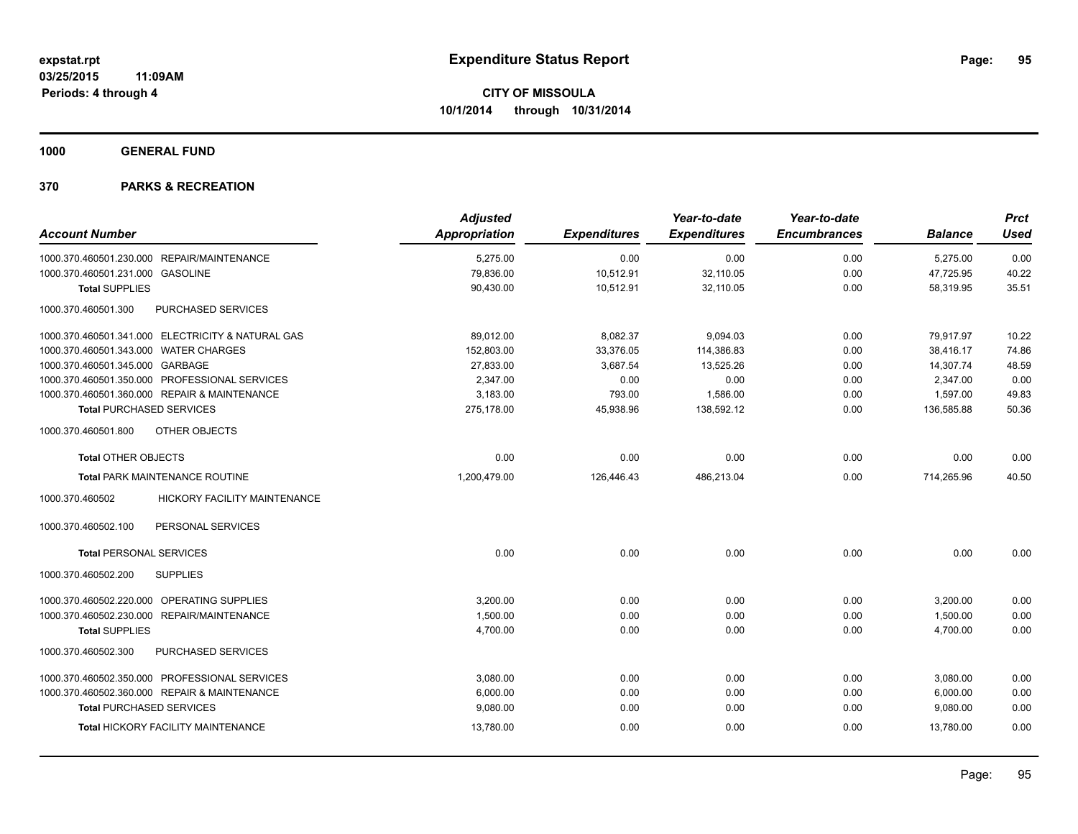**1000 GENERAL FUND**

| <b>Account Number</b>                             | <b>Adjusted</b><br>Appropriation | <b>Expenditures</b> | Year-to-date<br><b>Expenditures</b> | Year-to-date<br><b>Encumbrances</b> | <b>Balance</b> | Prct<br><b>Used</b> |
|---------------------------------------------------|----------------------------------|---------------------|-------------------------------------|-------------------------------------|----------------|---------------------|
| 1000.370.460501.230.000 REPAIR/MAINTENANCE        | 5,275.00                         | 0.00                | 0.00                                | 0.00                                | 5,275.00       | 0.00                |
| 1000.370.460501.231.000 GASOLINE                  | 79,836.00                        | 10,512.91           | 32,110.05                           | 0.00                                | 47,725.95      | 40.22               |
| <b>Total SUPPLIES</b>                             | 90,430.00                        | 10,512.91           | 32,110.05                           | 0.00                                | 58,319.95      | 35.51               |
| 1000.370.460501.300<br>PURCHASED SERVICES         |                                  |                     |                                     |                                     |                |                     |
| 1000.370.460501.341.000 ELECTRICITY & NATURAL GAS | 89,012.00                        | 8,082.37            | 9,094.03                            | 0.00                                | 79,917.97      | 10.22               |
| 1000.370.460501.343.000 WATER CHARGES             | 152,803.00                       | 33,376.05           | 114,386.83                          | 0.00                                | 38,416.17      | 74.86               |
| 1000.370.460501.345.000 GARBAGE                   | 27,833.00                        | 3,687.54            | 13,525.26                           | 0.00                                | 14,307.74      | 48.59               |
| 1000.370.460501.350.000 PROFESSIONAL SERVICES     | 2,347.00                         | 0.00                | 0.00                                | 0.00                                | 2,347.00       | 0.00                |
| 1000.370.460501.360.000 REPAIR & MAINTENANCE      | 3.183.00                         | 793.00              | 1,586.00                            | 0.00                                | 1.597.00       | 49.83               |
| <b>Total PURCHASED SERVICES</b>                   | 275,178.00                       | 45,938.96           | 138,592.12                          | 0.00                                | 136,585.88     | 50.36               |
| 1000.370.460501.800<br>OTHER OBJECTS              |                                  |                     |                                     |                                     |                |                     |
| <b>Total OTHER OBJECTS</b>                        | 0.00                             | 0.00                | 0.00                                | 0.00                                | 0.00           | 0.00                |
| <b>Total PARK MAINTENANCE ROUTINE</b>             | 1,200,479.00                     | 126,446.43          | 486,213.04                          | 0.00                                | 714,265.96     | 40.50               |
| HICKORY FACILITY MAINTENANCE<br>1000.370.460502   |                                  |                     |                                     |                                     |                |                     |
| PERSONAL SERVICES<br>1000.370.460502.100          |                                  |                     |                                     |                                     |                |                     |
| <b>Total PERSONAL SERVICES</b>                    | 0.00                             | 0.00                | 0.00                                | 0.00                                | 0.00           | 0.00                |
| 1000.370.460502.200<br><b>SUPPLIES</b>            |                                  |                     |                                     |                                     |                |                     |
| 1000.370.460502.220.000 OPERATING SUPPLIES        | 3,200.00                         | 0.00                | 0.00                                | 0.00                                | 3,200.00       | 0.00                |
| 1000.370.460502.230.000 REPAIR/MAINTENANCE        | 1,500.00                         | 0.00                | 0.00                                | 0.00                                | 1,500.00       | 0.00                |
| <b>Total SUPPLIES</b>                             | 4,700.00                         | 0.00                | 0.00                                | 0.00                                | 4,700.00       | 0.00                |
| 1000.370.460502.300<br>PURCHASED SERVICES         |                                  |                     |                                     |                                     |                |                     |
| 1000.370.460502.350.000 PROFESSIONAL SERVICES     | 3.080.00                         | 0.00                | 0.00                                | 0.00                                | 3.080.00       | 0.00                |
| 1000.370.460502.360.000 REPAIR & MAINTENANCE      | 6.000.00                         | 0.00                | 0.00                                | 0.00                                | 6,000.00       | 0.00                |
| <b>Total PURCHASED SERVICES</b>                   | 9,080.00                         | 0.00                | 0.00                                | 0.00                                | 9,080.00       | 0.00                |
| Total HICKORY FACILITY MAINTENANCE                | 13,780.00                        | 0.00                | 0.00                                | 0.00                                | 13,780.00      | 0.00                |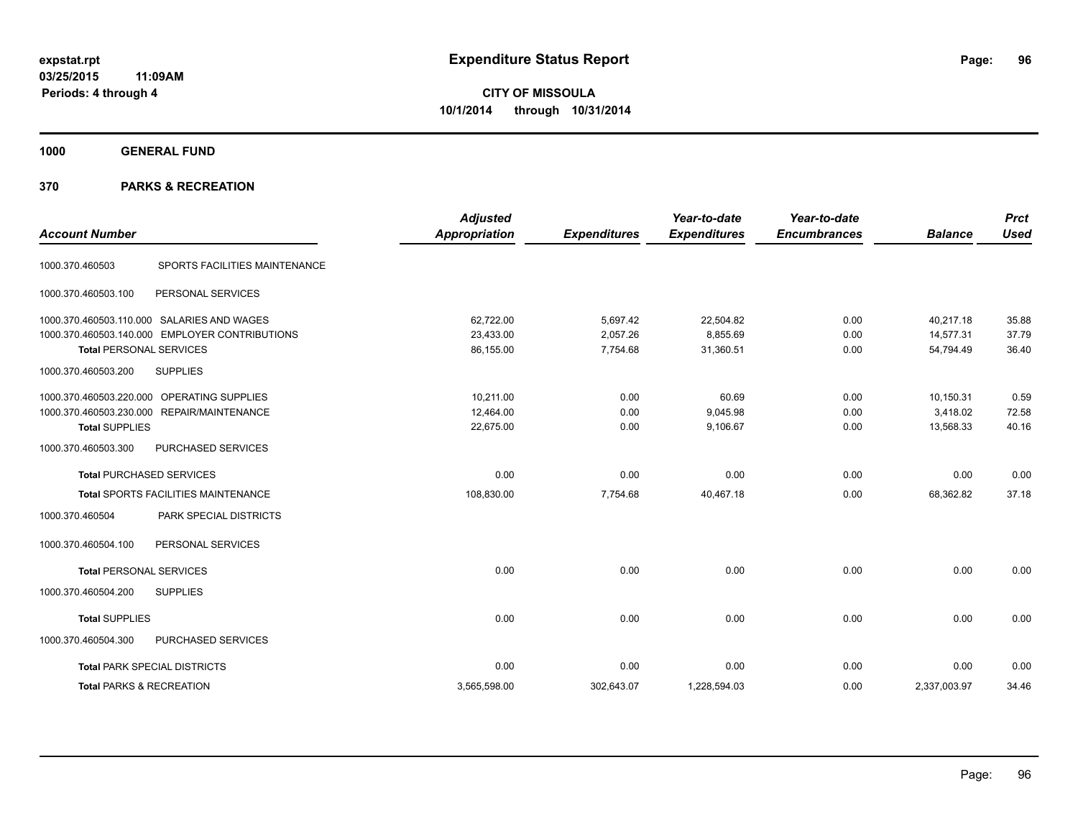**1000 GENERAL FUND**

| <b>Account Number</b>               |                                                | <b>Adjusted</b><br>Appropriation | <b>Expenditures</b> | Year-to-date<br><b>Expenditures</b> | Year-to-date<br><b>Encumbrances</b> | <b>Balance</b> | <b>Prct</b><br><b>Used</b> |
|-------------------------------------|------------------------------------------------|----------------------------------|---------------------|-------------------------------------|-------------------------------------|----------------|----------------------------|
|                                     |                                                |                                  |                     |                                     |                                     |                |                            |
| 1000.370.460503                     | SPORTS FACILITIES MAINTENANCE                  |                                  |                     |                                     |                                     |                |                            |
| 1000.370.460503.100                 | PERSONAL SERVICES                              |                                  |                     |                                     |                                     |                |                            |
|                                     | 1000.370.460503.110.000 SALARIES AND WAGES     | 62,722.00                        | 5,697.42            | 22,504.82                           | 0.00                                | 40,217.18      | 35.88                      |
|                                     | 1000.370.460503.140.000 EMPLOYER CONTRIBUTIONS | 23,433.00                        | 2,057.26            | 8,855.69                            | 0.00                                | 14,577.31      | 37.79                      |
| <b>Total PERSONAL SERVICES</b>      |                                                | 86,155.00                        | 7,754.68            | 31,360.51                           | 0.00                                | 54,794.49      | 36.40                      |
| 1000.370.460503.200                 | <b>SUPPLIES</b>                                |                                  |                     |                                     |                                     |                |                            |
|                                     | 1000.370.460503.220.000 OPERATING SUPPLIES     | 10.211.00                        | 0.00                | 60.69                               | 0.00                                | 10,150.31      | 0.59                       |
|                                     | 1000.370.460503.230.000 REPAIR/MAINTENANCE     | 12,464.00                        | 0.00                | 9,045.98                            | 0.00                                | 3,418.02       | 72.58                      |
| <b>Total SUPPLIES</b>               |                                                | 22,675.00                        | 0.00                | 9,106.67                            | 0.00                                | 13,568.33      | 40.16                      |
| 1000.370.460503.300                 | PURCHASED SERVICES                             |                                  |                     |                                     |                                     |                |                            |
|                                     | <b>Total PURCHASED SERVICES</b>                | 0.00                             | 0.00                | 0.00                                | 0.00                                | 0.00           | 0.00                       |
|                                     | <b>Total SPORTS FACILITIES MAINTENANCE</b>     | 108,830.00                       | 7,754.68            | 40,467.18                           | 0.00                                | 68,362.82      | 37.18                      |
| 1000.370.460504                     | PARK SPECIAL DISTRICTS                         |                                  |                     |                                     |                                     |                |                            |
| 1000.370.460504.100                 | PERSONAL SERVICES                              |                                  |                     |                                     |                                     |                |                            |
| <b>Total PERSONAL SERVICES</b>      |                                                | 0.00                             | 0.00                | 0.00                                | 0.00                                | 0.00           | 0.00                       |
| 1000.370.460504.200                 | <b>SUPPLIES</b>                                |                                  |                     |                                     |                                     |                |                            |
| <b>Total SUPPLIES</b>               |                                                | 0.00                             | 0.00                | 0.00                                | 0.00                                | 0.00           | 0.00                       |
| 1000.370.460504.300                 | PURCHASED SERVICES                             |                                  |                     |                                     |                                     |                |                            |
|                                     | <b>Total PARK SPECIAL DISTRICTS</b>            | 0.00                             | 0.00                | 0.00                                | 0.00                                | 0.00           | 0.00                       |
| <b>Total PARKS &amp; RECREATION</b> |                                                | 3,565,598.00                     | 302,643.07          | 1,228,594.03                        | 0.00                                | 2,337,003.97   | 34.46                      |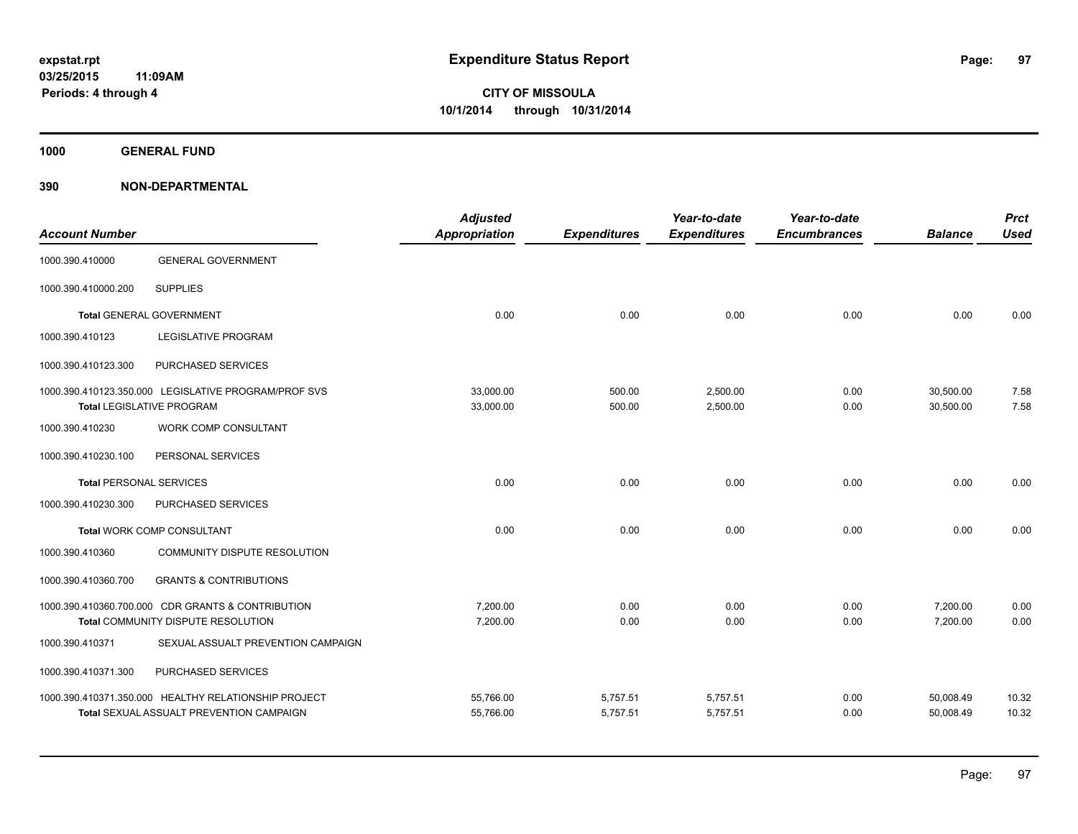**1000 GENERAL FUND**

| <b>Account Number</b>          |                                                      | <b>Adjusted</b><br>Appropriation | <b>Expenditures</b> | Year-to-date<br><b>Expenditures</b> | Year-to-date<br><b>Encumbrances</b> | <b>Balance</b> | <b>Prct</b><br><b>Used</b> |
|--------------------------------|------------------------------------------------------|----------------------------------|---------------------|-------------------------------------|-------------------------------------|----------------|----------------------------|
| 1000.390.410000                | <b>GENERAL GOVERNMENT</b>                            |                                  |                     |                                     |                                     |                |                            |
| 1000.390.410000.200            | <b>SUPPLIES</b>                                      |                                  |                     |                                     |                                     |                |                            |
|                                | <b>Total GENERAL GOVERNMENT</b>                      | 0.00                             | 0.00                | 0.00                                | 0.00                                | 0.00           | 0.00                       |
| 1000.390.410123                | <b>LEGISLATIVE PROGRAM</b>                           |                                  |                     |                                     |                                     |                |                            |
| 1000.390.410123.300            | PURCHASED SERVICES                                   |                                  |                     |                                     |                                     |                |                            |
|                                | 1000.390.410123.350.000 LEGISLATIVE PROGRAM/PROF SVS | 33,000.00                        | 500.00              | 2,500.00                            | 0.00                                | 30,500.00      | 7.58                       |
|                                | <b>Total LEGISLATIVE PROGRAM</b>                     | 33,000.00                        | 500.00              | 2,500.00                            | 0.00                                | 30,500.00      | 7.58                       |
| 1000.390.410230                | WORK COMP CONSULTANT                                 |                                  |                     |                                     |                                     |                |                            |
| 1000.390.410230.100            | PERSONAL SERVICES                                    |                                  |                     |                                     |                                     |                |                            |
| <b>Total PERSONAL SERVICES</b> |                                                      | 0.00                             | 0.00                | 0.00                                | 0.00                                | 0.00           | 0.00                       |
| 1000.390.410230.300            | PURCHASED SERVICES                                   |                                  |                     |                                     |                                     |                |                            |
|                                | <b>Total WORK COMP CONSULTANT</b>                    | 0.00                             | 0.00                | 0.00                                | 0.00                                | 0.00           | 0.00                       |
| 1000.390.410360                | COMMUNITY DISPUTE RESOLUTION                         |                                  |                     |                                     |                                     |                |                            |
| 1000.390.410360.700            | <b>GRANTS &amp; CONTRIBUTIONS</b>                    |                                  |                     |                                     |                                     |                |                            |
|                                | 1000.390.410360.700.000 CDR GRANTS & CONTRIBUTION    | 7,200.00                         | 0.00                | 0.00                                | 0.00                                | 7,200.00       | 0.00                       |
|                                | Total COMMUNITY DISPUTE RESOLUTION                   | 7,200.00                         | 0.00                | 0.00                                | 0.00                                | 7,200.00       | 0.00                       |
| 1000.390.410371                | SEXUAL ASSUALT PREVENTION CAMPAIGN                   |                                  |                     |                                     |                                     |                |                            |
| 1000.390.410371.300            | PURCHASED SERVICES                                   |                                  |                     |                                     |                                     |                |                            |
|                                | 1000.390.410371.350.000 HEALTHY RELATIONSHIP PROJECT | 55,766.00                        | 5,757.51            | 5,757.51                            | 0.00                                | 50,008.49      | 10.32                      |
|                                | Total SEXUAL ASSUALT PREVENTION CAMPAIGN             | 55,766.00                        | 5,757.51            | 5,757.51                            | 0.00                                | 50,008.49      | 10.32                      |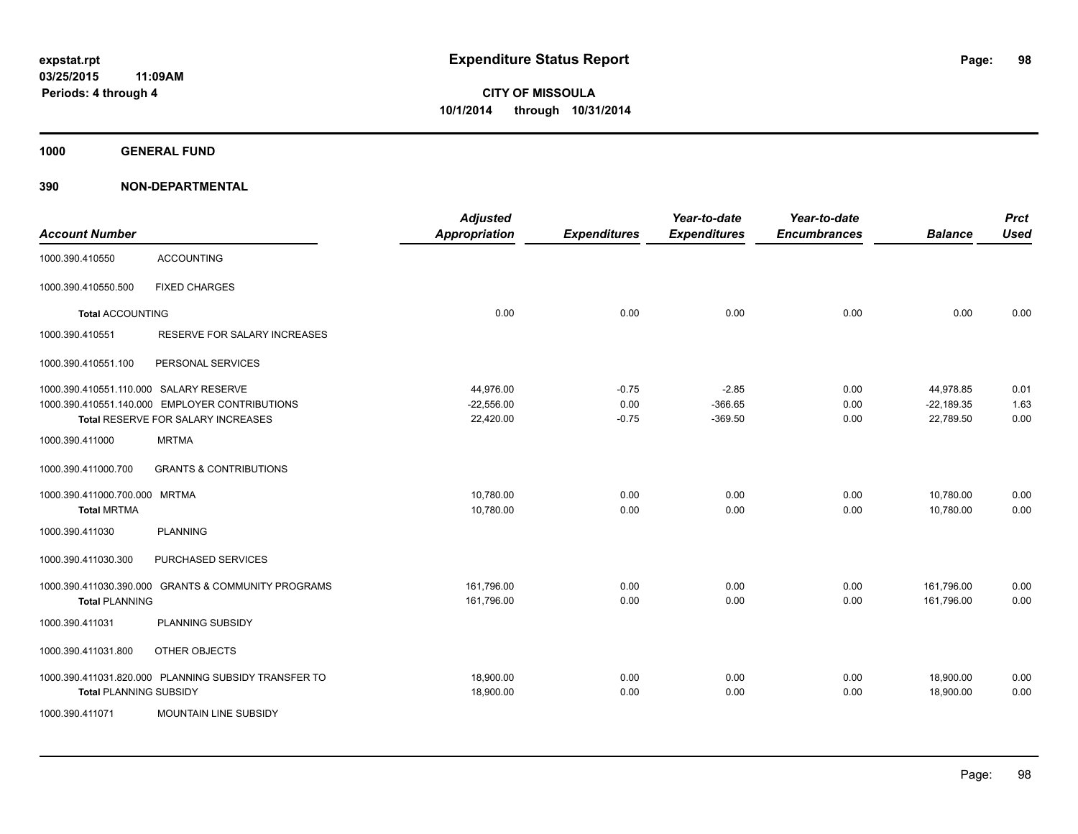**1000 GENERAL FUND**

| <b>Account Number</b>                  |                                                      | <b>Adjusted</b><br><b>Appropriation</b> | <b>Expenditures</b> | Year-to-date<br><b>Expenditures</b> | Year-to-date<br><b>Encumbrances</b> | <b>Balance</b> | <b>Prct</b><br><b>Used</b> |
|----------------------------------------|------------------------------------------------------|-----------------------------------------|---------------------|-------------------------------------|-------------------------------------|----------------|----------------------------|
| 1000.390.410550                        | <b>ACCOUNTING</b>                                    |                                         |                     |                                     |                                     |                |                            |
| 1000.390.410550.500                    | <b>FIXED CHARGES</b>                                 |                                         |                     |                                     |                                     |                |                            |
| <b>Total ACCOUNTING</b>                |                                                      | 0.00                                    | 0.00                | 0.00                                | 0.00                                | 0.00           | 0.00                       |
| 1000.390.410551                        | RESERVE FOR SALARY INCREASES                         |                                         |                     |                                     |                                     |                |                            |
| 1000.390.410551.100                    | PERSONAL SERVICES                                    |                                         |                     |                                     |                                     |                |                            |
| 1000.390.410551.110.000 SALARY RESERVE |                                                      | 44,976.00                               | $-0.75$             | $-2.85$                             | 0.00                                | 44,978.85      | 0.01                       |
|                                        | 1000.390.410551.140.000 EMPLOYER CONTRIBUTIONS       | $-22,556.00$                            | 0.00                | $-366.65$                           | 0.00                                | $-22,189.35$   | 1.63                       |
|                                        | Total RESERVE FOR SALARY INCREASES                   | 22,420.00                               | $-0.75$             | $-369.50$                           | 0.00                                | 22,789.50      | 0.00                       |
| 1000.390.411000                        | <b>MRTMA</b>                                         |                                         |                     |                                     |                                     |                |                            |
| 1000.390.411000.700                    | <b>GRANTS &amp; CONTRIBUTIONS</b>                    |                                         |                     |                                     |                                     |                |                            |
| 1000.390.411000.700.000 MRTMA          |                                                      | 10,780.00                               | 0.00                | 0.00                                | 0.00                                | 10,780.00      | 0.00                       |
| <b>Total MRTMA</b>                     |                                                      | 10,780.00                               | 0.00                | 0.00                                | 0.00                                | 10,780.00      | 0.00                       |
| 1000.390.411030                        | <b>PLANNING</b>                                      |                                         |                     |                                     |                                     |                |                            |
| 1000.390.411030.300                    | PURCHASED SERVICES                                   |                                         |                     |                                     |                                     |                |                            |
|                                        | 1000.390.411030.390.000 GRANTS & COMMUNITY PROGRAMS  | 161,796.00                              | 0.00                | 0.00                                | 0.00                                | 161,796.00     | 0.00                       |
| <b>Total PLANNING</b>                  |                                                      | 161,796.00                              | 0.00                | 0.00                                | 0.00                                | 161,796.00     | 0.00                       |
| 1000.390.411031                        | PLANNING SUBSIDY                                     |                                         |                     |                                     |                                     |                |                            |
| 1000.390.411031.800                    | OTHER OBJECTS                                        |                                         |                     |                                     |                                     |                |                            |
|                                        | 1000.390.411031.820.000 PLANNING SUBSIDY TRANSFER TO | 18,900.00                               | 0.00                | 0.00                                | 0.00                                | 18,900.00      | 0.00                       |
| <b>Total PLANNING SUBSIDY</b>          |                                                      | 18,900.00                               | 0.00                | 0.00                                | 0.00                                | 18,900.00      | 0.00                       |
| 1000.390.411071                        | MOUNTAIN LINE SUBSIDY                                |                                         |                     |                                     |                                     |                |                            |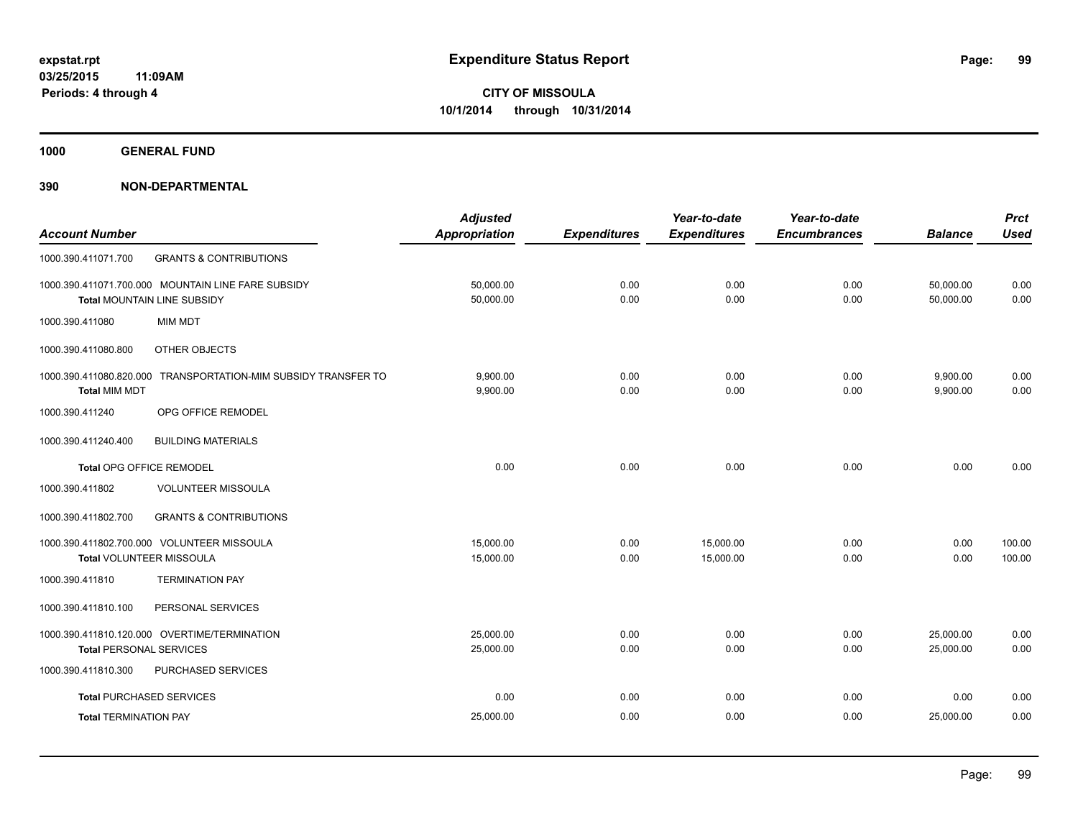**1000 GENERAL FUND**

|                                 |                                                    | <b>Adjusted</b>      |                     | Year-to-date        | Year-to-date        |                | <b>Prct</b> |
|---------------------------------|----------------------------------------------------|----------------------|---------------------|---------------------|---------------------|----------------|-------------|
| <b>Account Number</b>           |                                                    | <b>Appropriation</b> | <b>Expenditures</b> | <b>Expenditures</b> | <b>Encumbrances</b> | <b>Balance</b> | <b>Used</b> |
| 1000.390.411071.700             | <b>GRANTS &amp; CONTRIBUTIONS</b>                  |                      |                     |                     |                     |                |             |
|                                 | 1000.390.411071.700.000 MOUNTAIN LINE FARE SUBSIDY | 50,000.00            | 0.00                | 0.00                | 0.00                | 50,000.00      | 0.00        |
|                                 | Total MOUNTAIN LINE SUBSIDY                        | 50,000.00            | 0.00                | 0.00                | 0.00                | 50,000.00      | 0.00        |
| 1000.390.411080                 | <b>MIM MDT</b>                                     |                      |                     |                     |                     |                |             |
| 1000.390.411080.800             | OTHER OBJECTS                                      |                      |                     |                     |                     |                |             |
| 1000.390.411080.820.000         | TRANSPORTATION-MIM SUBSIDY TRANSFER TO             | 9,900.00             | 0.00                | 0.00                | 0.00                | 9,900.00       | 0.00        |
| <b>Total MIM MDT</b>            |                                                    | 9,900.00             | 0.00                | 0.00                | 0.00                | 9,900.00       | 0.00        |
| 1000.390.411240                 | OPG OFFICE REMODEL                                 |                      |                     |                     |                     |                |             |
| 1000.390.411240.400             | <b>BUILDING MATERIALS</b>                          |                      |                     |                     |                     |                |             |
| <b>Total OPG OFFICE REMODEL</b> |                                                    | 0.00                 | 0.00                | 0.00                | 0.00                | 0.00           | 0.00        |
| 1000.390.411802                 | <b>VOLUNTEER MISSOULA</b>                          |                      |                     |                     |                     |                |             |
| 1000.390.411802.700             | <b>GRANTS &amp; CONTRIBUTIONS</b>                  |                      |                     |                     |                     |                |             |
|                                 | 1000.390.411802.700.000 VOLUNTEER MISSOULA         | 15,000.00            | 0.00                | 15,000.00           | 0.00                | 0.00           | 100.00      |
|                                 | Total VOLUNTEER MISSOULA                           | 15,000.00            | 0.00                | 15,000.00           | 0.00                | 0.00           | 100.00      |
| 1000.390.411810                 | <b>TERMINATION PAY</b>                             |                      |                     |                     |                     |                |             |
| 1000.390.411810.100             | PERSONAL SERVICES                                  |                      |                     |                     |                     |                |             |
|                                 | 1000.390.411810.120.000 OVERTIME/TERMINATION       | 25,000.00            | 0.00                | 0.00                | 0.00                | 25,000.00      | 0.00        |
| <b>Total PERSONAL SERVICES</b>  |                                                    | 25,000.00            | 0.00                | 0.00                | 0.00                | 25.000.00      | 0.00        |
| 1000.390.411810.300             | PURCHASED SERVICES                                 |                      |                     |                     |                     |                |             |
|                                 | <b>Total PURCHASED SERVICES</b>                    | 0.00                 | 0.00                | 0.00                | 0.00                | 0.00           | 0.00        |
| <b>Total TERMINATION PAY</b>    |                                                    | 25,000.00            | 0.00                | 0.00                | 0.00                | 25,000.00      | 0.00        |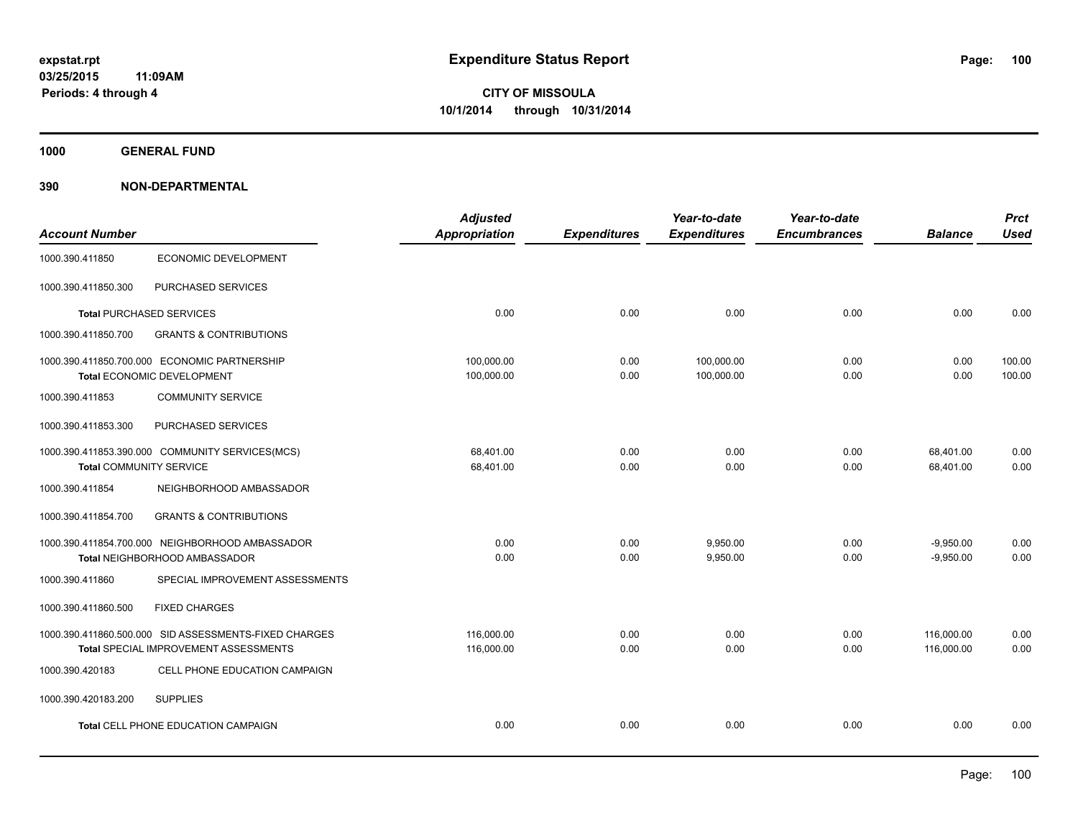**1000 GENERAL FUND**

|                                |                                                       | <b>Adjusted</b>      |                     | Year-to-date        | Year-to-date        |                | <b>Prct</b> |
|--------------------------------|-------------------------------------------------------|----------------------|---------------------|---------------------|---------------------|----------------|-------------|
| <b>Account Number</b>          |                                                       | <b>Appropriation</b> | <b>Expenditures</b> | <b>Expenditures</b> | <b>Encumbrances</b> | <b>Balance</b> | <b>Used</b> |
| 1000.390.411850                | <b>ECONOMIC DEVELOPMENT</b>                           |                      |                     |                     |                     |                |             |
| 1000.390.411850.300            | PURCHASED SERVICES                                    |                      |                     |                     |                     |                |             |
|                                | <b>Total PURCHASED SERVICES</b>                       | 0.00                 | 0.00                | 0.00                | 0.00                | 0.00           | 0.00        |
| 1000.390.411850.700            | <b>GRANTS &amp; CONTRIBUTIONS</b>                     |                      |                     |                     |                     |                |             |
|                                | 1000.390.411850.700.000 ECONOMIC PARTNERSHIP          | 100,000.00           | 0.00                | 100,000.00          | 0.00                | 0.00           | 100.00      |
|                                | Total ECONOMIC DEVELOPMENT                            | 100,000.00           | 0.00                | 100,000.00          | 0.00                | 0.00           | 100.00      |
| 1000.390.411853                | <b>COMMUNITY SERVICE</b>                              |                      |                     |                     |                     |                |             |
| 1000.390.411853.300            | PURCHASED SERVICES                                    |                      |                     |                     |                     |                |             |
|                                | 1000.390.411853.390.000 COMMUNITY SERVICES(MCS)       | 68.401.00            | 0.00                | 0.00                | 0.00                | 68,401.00      | 0.00        |
| <b>Total COMMUNITY SERVICE</b> |                                                       | 68,401.00            | 0.00                | 0.00                | 0.00                | 68,401.00      | 0.00        |
| 1000.390.411854                | NEIGHBORHOOD AMBASSADOR                               |                      |                     |                     |                     |                |             |
| 1000.390.411854.700            | <b>GRANTS &amp; CONTRIBUTIONS</b>                     |                      |                     |                     |                     |                |             |
|                                | 1000.390.411854.700.000 NEIGHBORHOOD AMBASSADOR       | 0.00                 | 0.00                | 9.950.00            | 0.00                | $-9,950.00$    | 0.00        |
|                                | Total NEIGHBORHOOD AMBASSADOR                         | 0.00                 | 0.00                | 9.950.00            | 0.00                | $-9.950.00$    | 0.00        |
| 1000.390.411860                | SPECIAL IMPROVEMENT ASSESSMENTS                       |                      |                     |                     |                     |                |             |
| 1000.390.411860.500            | <b>FIXED CHARGES</b>                                  |                      |                     |                     |                     |                |             |
|                                | 1000.390.411860.500.000 SID ASSESSMENTS-FIXED CHARGES | 116,000.00           | 0.00                | 0.00                | 0.00                | 116,000.00     | 0.00        |
|                                | Total SPECIAL IMPROVEMENT ASSESSMENTS                 | 116,000.00           | 0.00                | 0.00                | 0.00                | 116,000.00     | 0.00        |
| 1000.390.420183                | CELL PHONE EDUCATION CAMPAIGN                         |                      |                     |                     |                     |                |             |
| 1000.390.420183.200            | <b>SUPPLIES</b>                                       |                      |                     |                     |                     |                |             |
|                                | <b>Total CELL PHONE EDUCATION CAMPAIGN</b>            | 0.00                 | 0.00                | 0.00                | 0.00                | 0.00           | 0.00        |
|                                |                                                       |                      |                     |                     |                     |                |             |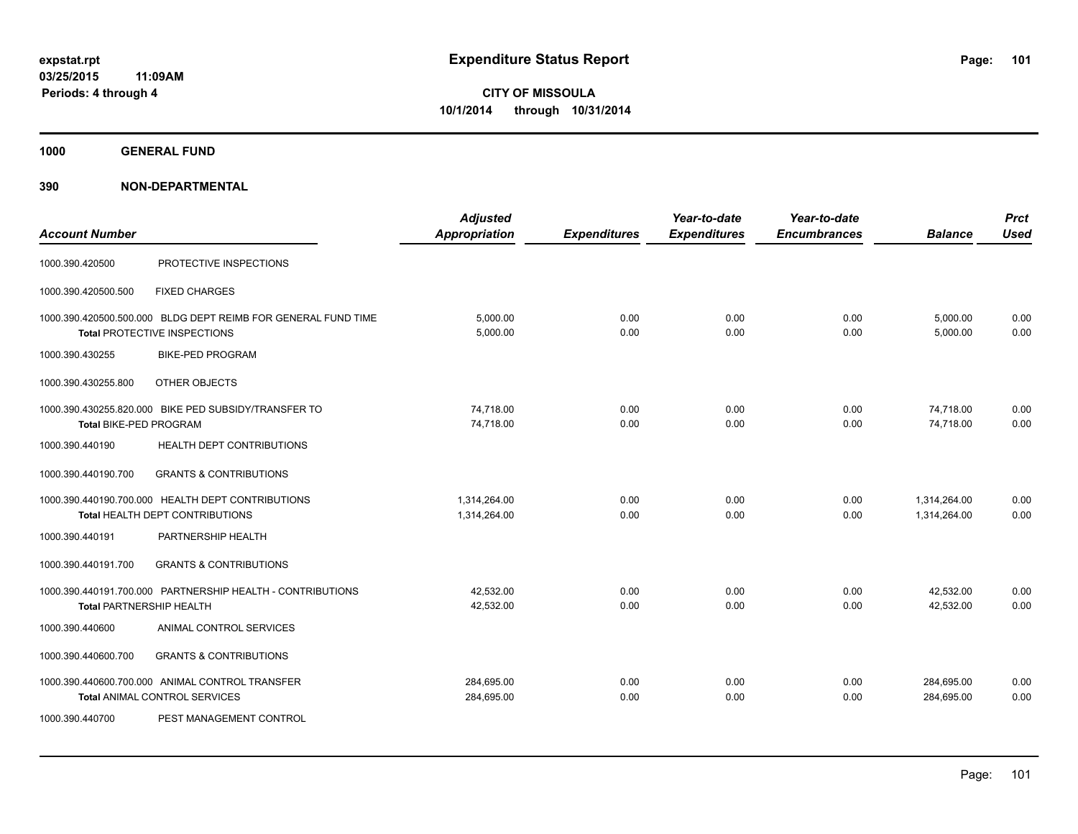**1000 GENERAL FUND**

| <b>Account Number</b>           |                                                                                                      | <b>Adjusted</b><br><b>Appropriation</b> | <b>Expenditures</b> | Year-to-date<br><b>Expenditures</b> | Year-to-date<br><b>Encumbrances</b> | <b>Balance</b>               | <b>Prct</b><br><b>Used</b> |
|---------------------------------|------------------------------------------------------------------------------------------------------|-----------------------------------------|---------------------|-------------------------------------|-------------------------------------|------------------------------|----------------------------|
| 1000.390.420500                 | PROTECTIVE INSPECTIONS                                                                               |                                         |                     |                                     |                                     |                              |                            |
| 1000.390.420500.500             | <b>FIXED CHARGES</b>                                                                                 |                                         |                     |                                     |                                     |                              |                            |
|                                 | 1000.390.420500.500.000 BLDG DEPT REIMB FOR GENERAL FUND TIME<br><b>Total PROTECTIVE INSPECTIONS</b> | 5.000.00<br>5,000.00                    | 0.00<br>0.00        | 0.00<br>0.00                        | 0.00<br>0.00                        | 5,000.00<br>5,000.00         | 0.00<br>0.00               |
| 1000.390.430255                 | <b>BIKE-PED PROGRAM</b>                                                                              |                                         |                     |                                     |                                     |                              |                            |
| 1000.390.430255.800             | OTHER OBJECTS                                                                                        |                                         |                     |                                     |                                     |                              |                            |
| Total BIKE-PED PROGRAM          | 1000.390.430255.820.000 BIKE PED SUBSIDY/TRANSFER TO                                                 | 74,718.00<br>74,718.00                  | 0.00<br>0.00        | 0.00<br>0.00                        | 0.00<br>0.00                        | 74,718.00<br>74,718.00       | 0.00<br>0.00               |
| 1000.390.440190                 | <b>HEALTH DEPT CONTRIBUTIONS</b>                                                                     |                                         |                     |                                     |                                     |                              |                            |
| 1000.390.440190.700             | <b>GRANTS &amp; CONTRIBUTIONS</b>                                                                    |                                         |                     |                                     |                                     |                              |                            |
|                                 | 1000.390.440190.700.000 HEALTH DEPT CONTRIBUTIONS<br>Total HEALTH DEPT CONTRIBUTIONS                 | 1,314,264.00<br>1,314,264.00            | 0.00<br>0.00        | 0.00<br>0.00                        | 0.00<br>0.00                        | 1,314,264.00<br>1,314,264.00 | 0.00<br>0.00               |
| 1000.390.440191                 | PARTNERSHIP HEALTH                                                                                   |                                         |                     |                                     |                                     |                              |                            |
| 1000.390.440191.700             | <b>GRANTS &amp; CONTRIBUTIONS</b>                                                                    |                                         |                     |                                     |                                     |                              |                            |
| <b>Total PARTNERSHIP HEALTH</b> | 1000.390.440191.700.000 PARTNERSHIP HEALTH - CONTRIBUTIONS                                           | 42.532.00<br>42,532.00                  | 0.00<br>0.00        | 0.00<br>0.00                        | 0.00<br>0.00                        | 42,532.00<br>42,532.00       | 0.00<br>0.00               |
| 1000.390.440600                 | ANIMAL CONTROL SERVICES                                                                              |                                         |                     |                                     |                                     |                              |                            |
| 1000.390.440600.700             | <b>GRANTS &amp; CONTRIBUTIONS</b>                                                                    |                                         |                     |                                     |                                     |                              |                            |
|                                 | 1000.390.440600.700.000 ANIMAL CONTROL TRANSFER<br><b>Total ANIMAL CONTROL SERVICES</b>              | 284,695.00<br>284,695.00                | 0.00<br>0.00        | 0.00<br>0.00                        | 0.00<br>0.00                        | 284,695.00<br>284,695.00     | 0.00<br>0.00               |
| 1000.390.440700                 | PEST MANAGEMENT CONTROL                                                                              |                                         |                     |                                     |                                     |                              |                            |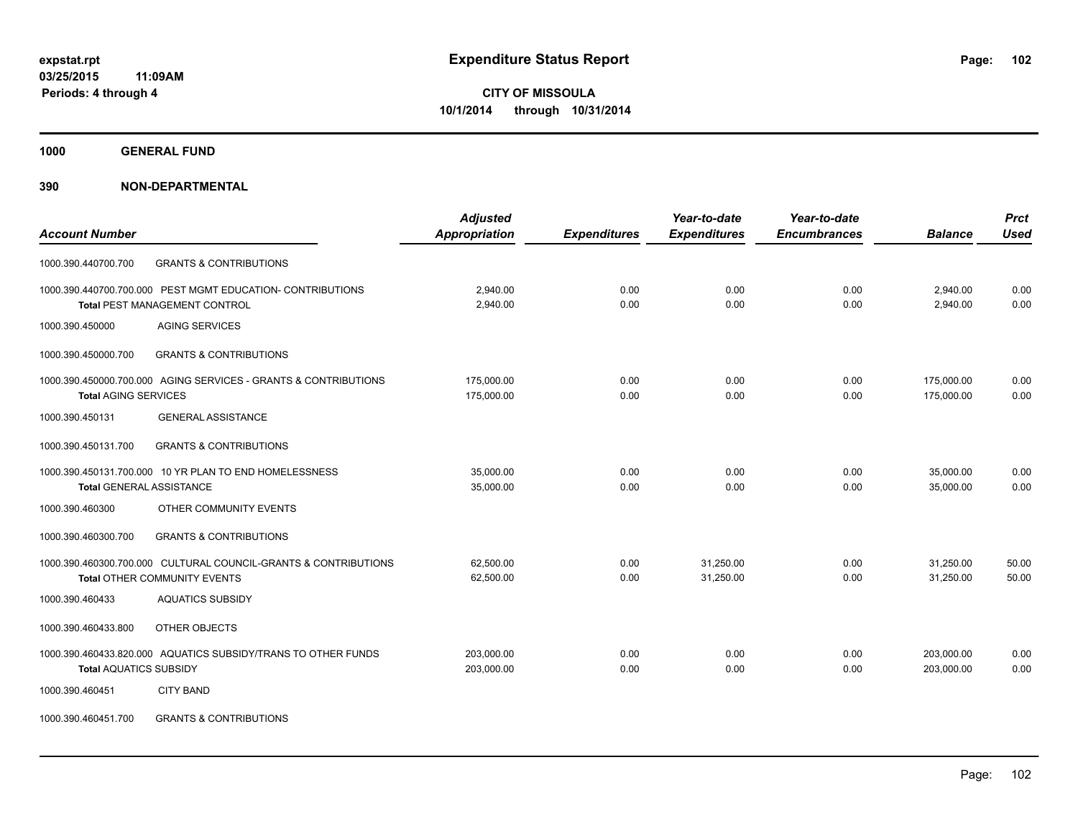**1000 GENERAL FUND**

## **390 NON-DEPARTMENTAL**

|                                                                 | <b>Adjusted</b> |                     | Year-to-date        | Year-to-date        |                | <b>Prct</b> |
|-----------------------------------------------------------------|-----------------|---------------------|---------------------|---------------------|----------------|-------------|
| <b>Account Number</b>                                           | Appropriation   | <b>Expenditures</b> | <b>Expenditures</b> | <b>Encumbrances</b> | <b>Balance</b> | <b>Used</b> |
| <b>GRANTS &amp; CONTRIBUTIONS</b><br>1000.390.440700.700        |                 |                     |                     |                     |                |             |
| 1000.390.440700.700.000 PEST MGMT EDUCATION- CONTRIBUTIONS      | 2,940.00        | 0.00                | 0.00                | 0.00                | 2,940.00       | 0.00        |
| Total PEST MANAGEMENT CONTROL                                   | 2,940.00        | 0.00                | 0.00                | 0.00                | 2,940.00       | 0.00        |
| <b>AGING SERVICES</b><br>1000.390.450000                        |                 |                     |                     |                     |                |             |
| 1000.390.450000.700<br><b>GRANTS &amp; CONTRIBUTIONS</b>        |                 |                     |                     |                     |                |             |
| 1000.390.450000.700.000 AGING SERVICES - GRANTS & CONTRIBUTIONS | 175,000.00      | 0.00                | 0.00                | 0.00                | 175,000.00     | 0.00        |
| <b>Total AGING SERVICES</b>                                     | 175,000.00      | 0.00                | 0.00                | 0.00                | 175,000.00     | 0.00        |
| <b>GENERAL ASSISTANCE</b><br>1000.390.450131                    |                 |                     |                     |                     |                |             |
| 1000.390.450131.700<br><b>GRANTS &amp; CONTRIBUTIONS</b>        |                 |                     |                     |                     |                |             |
| 1000.390.450131.700.000 10 YR PLAN TO END HOMELESSNESS          | 35,000.00       | 0.00                | 0.00                | 0.00                | 35,000.00      | 0.00        |
| <b>Total GENERAL ASSISTANCE</b>                                 | 35,000.00       | 0.00                | 0.00                | 0.00                | 35,000.00      | 0.00        |
| 1000.390.460300<br>OTHER COMMUNITY EVENTS                       |                 |                     |                     |                     |                |             |
| 1000.390.460300.700<br><b>GRANTS &amp; CONTRIBUTIONS</b>        |                 |                     |                     |                     |                |             |
| 1000.390.460300.700.000 CULTURAL COUNCIL-GRANTS & CONTRIBUTIONS | 62,500.00       | 0.00                | 31,250.00           | 0.00                | 31,250.00      | 50.00       |
| <b>Total OTHER COMMUNITY EVENTS</b>                             | 62,500.00       | 0.00                | 31,250.00           | 0.00                | 31,250.00      | 50.00       |
| <b>AQUATICS SUBSIDY</b><br>1000.390.460433                      |                 |                     |                     |                     |                |             |
| OTHER OBJECTS<br>1000.390.460433.800                            |                 |                     |                     |                     |                |             |
| 1000.390.460433.820.000 AQUATICS SUBSIDY/TRANS TO OTHER FUNDS   | 203,000.00      | 0.00                | 0.00                | 0.00                | 203,000.00     | 0.00        |
| <b>Total AQUATICS SUBSIDY</b>                                   | 203,000.00      | 0.00                | 0.00                | 0.00                | 203,000.00     | 0.00        |
| 1000.390.460451<br><b>CITY BAND</b>                             |                 |                     |                     |                     |                |             |
|                                                                 |                 |                     |                     |                     |                |             |

1000.390.460451.700 GRANTS & CONTRIBUTIONS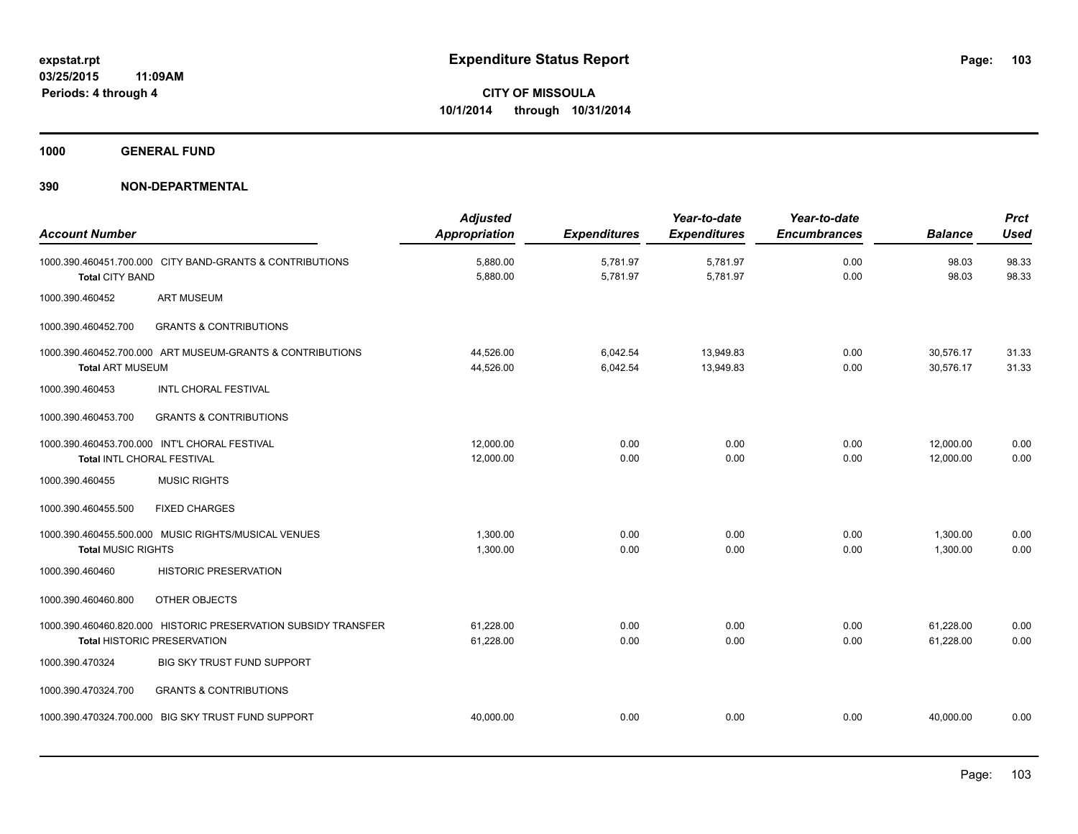**1000 GENERAL FUND**

| <b>Account Number</b>                                                                                | <b>Adjusted</b><br>Appropriation | <b>Expenditures</b>  | Year-to-date<br><b>Expenditures</b> | Year-to-date<br><b>Encumbrances</b> | <b>Balance</b>         | <b>Prct</b><br><b>Used</b> |
|------------------------------------------------------------------------------------------------------|----------------------------------|----------------------|-------------------------------------|-------------------------------------|------------------------|----------------------------|
| 1000.390.460451.700.000 CITY BAND-GRANTS & CONTRIBUTIONS<br><b>Total CITY BAND</b>                   | 5,880.00<br>5,880.00             | 5,781.97<br>5,781.97 | 5,781.97<br>5,781.97                | 0.00<br>0.00                        | 98.03<br>98.03         | 98.33<br>98.33             |
| 1000.390.460452<br><b>ART MUSEUM</b>                                                                 |                                  |                      |                                     |                                     |                        |                            |
| 1000.390.460452.700<br><b>GRANTS &amp; CONTRIBUTIONS</b>                                             |                                  |                      |                                     |                                     |                        |                            |
| 1000.390.460452.700.000 ART MUSEUM-GRANTS & CONTRIBUTIONS<br><b>Total ART MUSEUM</b>                 | 44,526.00<br>44,526.00           | 6,042.54<br>6,042.54 | 13,949.83<br>13,949.83              | 0.00<br>0.00                        | 30,576.17<br>30,576.17 | 31.33<br>31.33             |
| 1000.390.460453<br><b>INTL CHORAL FESTIVAL</b>                                                       |                                  |                      |                                     |                                     |                        |                            |
| <b>GRANTS &amp; CONTRIBUTIONS</b><br>1000.390.460453.700                                             |                                  |                      |                                     |                                     |                        |                            |
| 1000.390.460453.700.000 INT'L CHORAL FESTIVAL<br>Total INTL CHORAL FESTIVAL                          | 12,000.00<br>12,000.00           | 0.00<br>0.00         | 0.00<br>0.00                        | 0.00<br>0.00                        | 12,000.00<br>12,000.00 | 0.00<br>0.00               |
| 1000.390.460455<br><b>MUSIC RIGHTS</b>                                                               |                                  |                      |                                     |                                     |                        |                            |
| 1000.390.460455.500<br><b>FIXED CHARGES</b>                                                          |                                  |                      |                                     |                                     |                        |                            |
| 1000.390.460455.500.000 MUSIC RIGHTS/MUSICAL VENUES<br><b>Total MUSIC RIGHTS</b>                     | 1,300.00<br>1,300.00             | 0.00<br>0.00         | 0.00<br>0.00                        | 0.00<br>0.00                        | 1,300.00<br>1,300.00   | 0.00<br>0.00               |
| 1000.390.460460<br><b>HISTORIC PRESERVATION</b>                                                      |                                  |                      |                                     |                                     |                        |                            |
| OTHER OBJECTS<br>1000.390.460460.800                                                                 |                                  |                      |                                     |                                     |                        |                            |
| 1000.390.460460.820.000 HISTORIC PRESERVATION SUBSIDY TRANSFER<br><b>Total HISTORIC PRESERVATION</b> | 61,228.00<br>61,228.00           | 0.00<br>0.00         | 0.00<br>0.00                        | 0.00<br>0.00                        | 61,228.00<br>61,228.00 | 0.00<br>0.00               |
| 1000.390.470324<br><b>BIG SKY TRUST FUND SUPPORT</b>                                                 |                                  |                      |                                     |                                     |                        |                            |
| <b>GRANTS &amp; CONTRIBUTIONS</b><br>1000.390.470324.700                                             |                                  |                      |                                     |                                     |                        |                            |
| 1000.390.470324.700.000 BIG SKY TRUST FUND SUPPORT                                                   | 40,000.00                        | 0.00                 | 0.00                                | 0.00                                | 40.000.00              | 0.00                       |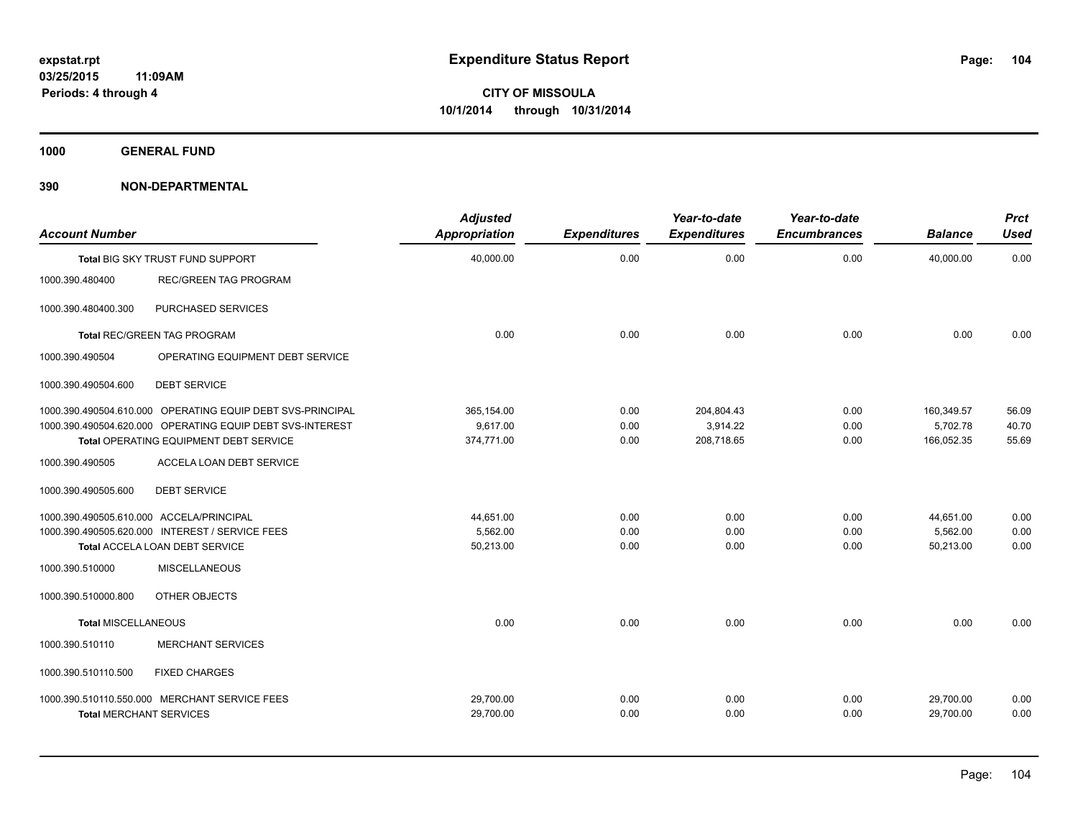**1000 GENERAL FUND**

| <b>Account Number</b>                    |                                                            | <b>Adjusted</b><br><b>Appropriation</b> | <b>Expenditures</b> | Year-to-date<br><b>Expenditures</b> | Year-to-date<br><b>Encumbrances</b> | <b>Balance</b> | <b>Prct</b><br><b>Used</b> |
|------------------------------------------|------------------------------------------------------------|-----------------------------------------|---------------------|-------------------------------------|-------------------------------------|----------------|----------------------------|
|                                          | Total BIG SKY TRUST FUND SUPPORT                           | 40,000.00                               | 0.00                | 0.00                                | 0.00                                | 40.000.00      | 0.00                       |
| 1000.390.480400                          | <b>REC/GREEN TAG PROGRAM</b>                               |                                         |                     |                                     |                                     |                |                            |
| 1000.390.480400.300                      | PURCHASED SERVICES                                         |                                         |                     |                                     |                                     |                |                            |
|                                          | <b>Total REC/GREEN TAG PROGRAM</b>                         | 0.00                                    | 0.00                | 0.00                                | 0.00                                | 0.00           | 0.00                       |
| 1000.390.490504                          | OPERATING EQUIPMENT DEBT SERVICE                           |                                         |                     |                                     |                                     |                |                            |
| 1000.390.490504.600                      | <b>DEBT SERVICE</b>                                        |                                         |                     |                                     |                                     |                |                            |
|                                          | 1000.390.490504.610.000 OPERATING EQUIP DEBT SVS-PRINCIPAL | 365,154.00                              | 0.00                | 204,804.43                          | 0.00                                | 160,349.57     | 56.09                      |
|                                          | 1000.390.490504.620.000 OPERATING EQUIP DEBT SVS-INTEREST  | 9.617.00                                | 0.00                | 3,914.22                            | 0.00                                | 5,702.78       | 40.70                      |
|                                          | Total OPERATING EQUIPMENT DEBT SERVICE                     | 374,771.00                              | 0.00                | 208,718.65                          | 0.00                                | 166,052.35     | 55.69                      |
| 1000.390.490505                          | ACCELA LOAN DEBT SERVICE                                   |                                         |                     |                                     |                                     |                |                            |
| 1000.390.490505.600                      | <b>DEBT SERVICE</b>                                        |                                         |                     |                                     |                                     |                |                            |
| 1000.390.490505.610.000 ACCELA/PRINCIPAL |                                                            | 44,651.00                               | 0.00                | 0.00                                | 0.00                                | 44,651.00      | 0.00                       |
|                                          | 1000.390.490505.620.000 INTEREST / SERVICE FEES            | 5,562.00                                | 0.00                | 0.00                                | 0.00                                | 5,562.00       | 0.00                       |
|                                          | Total ACCELA LOAN DEBT SERVICE                             | 50,213.00                               | 0.00                | 0.00                                | 0.00                                | 50,213.00      | 0.00                       |
| 1000.390.510000                          | MISCELLANEOUS                                              |                                         |                     |                                     |                                     |                |                            |
| 1000.390.510000.800                      | OTHER OBJECTS                                              |                                         |                     |                                     |                                     |                |                            |
| <b>Total MISCELLANEOUS</b>               |                                                            | 0.00                                    | 0.00                | 0.00                                | 0.00                                | 0.00           | 0.00                       |
| 1000.390.510110                          | <b>MERCHANT SERVICES</b>                                   |                                         |                     |                                     |                                     |                |                            |
| 1000.390.510110.500                      | <b>FIXED CHARGES</b>                                       |                                         |                     |                                     |                                     |                |                            |
|                                          | 1000.390.510110.550.000 MERCHANT SERVICE FEES              | 29,700.00                               | 0.00                | 0.00                                | 0.00                                | 29,700.00      | 0.00                       |
| <b>Total MERCHANT SERVICES</b>           |                                                            | 29,700.00                               | 0.00                | 0.00                                | 0.00                                | 29,700.00      | 0.00                       |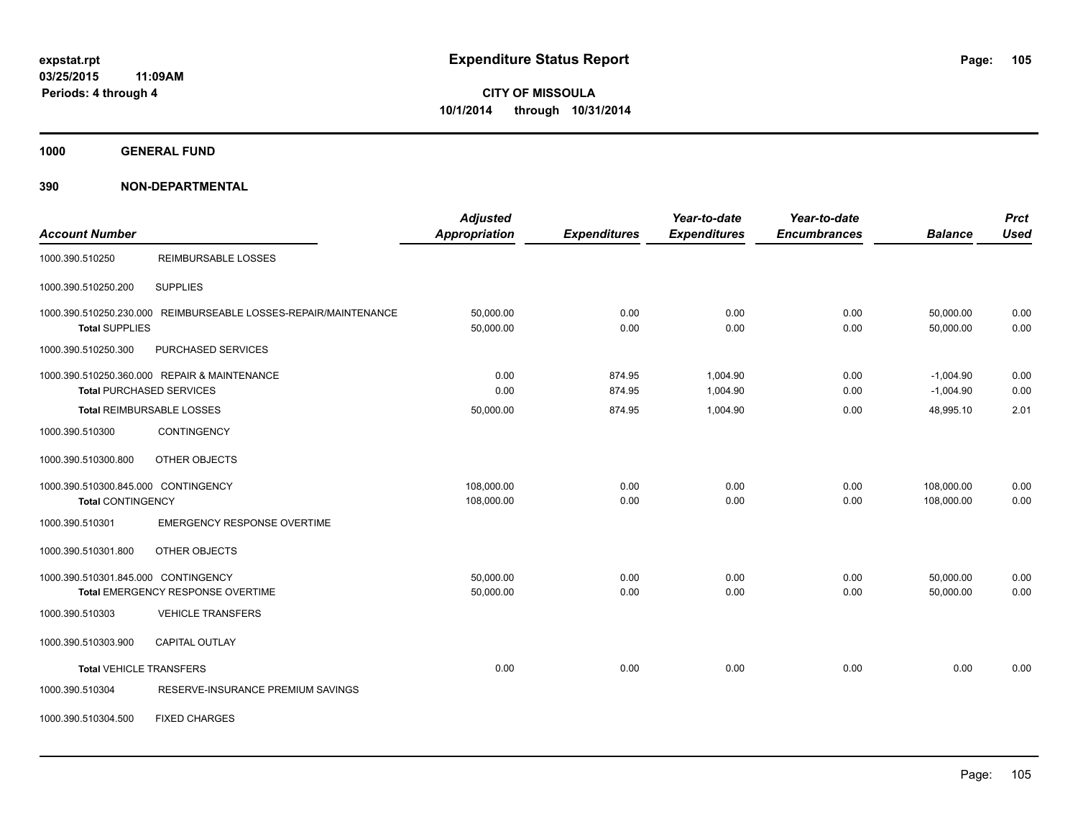**1000 GENERAL FUND**

## **390 NON-DEPARTMENTAL**

|                                     |                                                                 | <b>Adjusted</b>      |                     | Year-to-date        | Year-to-date        |                | <b>Prct</b> |
|-------------------------------------|-----------------------------------------------------------------|----------------------|---------------------|---------------------|---------------------|----------------|-------------|
| <b>Account Number</b>               |                                                                 | <b>Appropriation</b> | <b>Expenditures</b> | <b>Expenditures</b> | <b>Encumbrances</b> | <b>Balance</b> | <b>Used</b> |
| 1000.390.510250                     | <b>REIMBURSABLE LOSSES</b>                                      |                      |                     |                     |                     |                |             |
| 1000.390.510250.200                 | <b>SUPPLIES</b>                                                 |                      |                     |                     |                     |                |             |
|                                     | 1000.390.510250.230.000 REIMBURSEABLE LOSSES-REPAIR/MAINTENANCE | 50,000.00            | 0.00                | 0.00                | 0.00                | 50,000.00      | 0.00        |
| <b>Total SUPPLIES</b>               |                                                                 | 50,000.00            | 0.00                | 0.00                | 0.00                | 50,000.00      | 0.00        |
| 1000.390.510250.300                 | PURCHASED SERVICES                                              |                      |                     |                     |                     |                |             |
|                                     | 1000.390.510250.360.000 REPAIR & MAINTENANCE                    | 0.00                 | 874.95              | 1.004.90            | 0.00                | $-1,004.90$    | 0.00        |
|                                     | <b>Total PURCHASED SERVICES</b>                                 | 0.00                 | 874.95              | 1,004.90            | 0.00                | $-1,004.90$    | 0.00        |
|                                     | Total REIMBURSABLE LOSSES                                       | 50,000.00            | 874.95              | 1,004.90            | 0.00                | 48,995.10      | 2.01        |
| 1000.390.510300                     | <b>CONTINGENCY</b>                                              |                      |                     |                     |                     |                |             |
| 1000.390.510300.800                 | OTHER OBJECTS                                                   |                      |                     |                     |                     |                |             |
| 1000.390.510300.845.000 CONTINGENCY |                                                                 | 108,000.00           | 0.00                | 0.00                | 0.00                | 108,000.00     | 0.00        |
| <b>Total CONTINGENCY</b>            |                                                                 | 108,000.00           | 0.00                | 0.00                | 0.00                | 108,000.00     | 0.00        |
| 1000.390.510301                     | <b>EMERGENCY RESPONSE OVERTIME</b>                              |                      |                     |                     |                     |                |             |
| 1000.390.510301.800                 | OTHER OBJECTS                                                   |                      |                     |                     |                     |                |             |
| 1000.390.510301.845.000 CONTINGENCY |                                                                 | 50,000.00            | 0.00                | 0.00                | 0.00                | 50,000.00      | 0.00        |
|                                     | Total EMERGENCY RESPONSE OVERTIME                               | 50,000.00            | 0.00                | 0.00                | 0.00                | 50,000.00      | 0.00        |
| 1000.390.510303                     | <b>VEHICLE TRANSFERS</b>                                        |                      |                     |                     |                     |                |             |
| 1000.390.510303.900                 | <b>CAPITAL OUTLAY</b>                                           |                      |                     |                     |                     |                |             |
| <b>Total VEHICLE TRANSFERS</b>      |                                                                 | 0.00                 | 0.00                | 0.00                | 0.00                | 0.00           | 0.00        |
| 1000.390.510304                     | RESERVE-INSURANCE PREMIUM SAVINGS                               |                      |                     |                     |                     |                |             |
|                                     |                                                                 |                      |                     |                     |                     |                |             |

1000.390.510304.500 FIXED CHARGES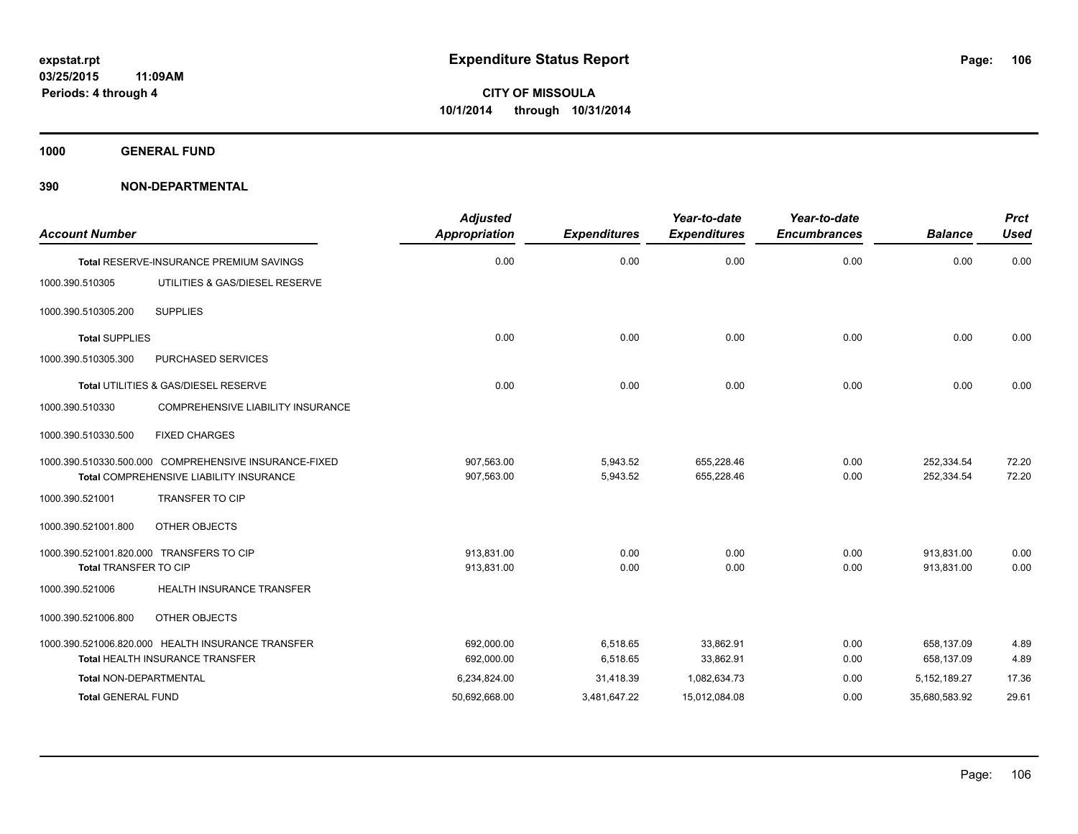**1000 GENERAL FUND**

| <b>Account Number</b>     |                                                                                                  | <b>Adjusted</b><br><b>Appropriation</b> | <b>Expenditures</b>  | Year-to-date<br><b>Expenditures</b> | Year-to-date<br><b>Encumbrances</b> | <b>Balance</b>           | <b>Prct</b><br><b>Used</b> |
|---------------------------|--------------------------------------------------------------------------------------------------|-----------------------------------------|----------------------|-------------------------------------|-------------------------------------|--------------------------|----------------------------|
|                           | <b>Total RESERVE-INSURANCE PREMIUM SAVINGS</b>                                                   | 0.00                                    | 0.00                 | 0.00                                | 0.00                                | 0.00                     | 0.00                       |
| 1000.390.510305           | UTILITIES & GAS/DIESEL RESERVE                                                                   |                                         |                      |                                     |                                     |                          |                            |
| 1000.390.510305.200       | <b>SUPPLIES</b>                                                                                  |                                         |                      |                                     |                                     |                          |                            |
| <b>Total SUPPLIES</b>     |                                                                                                  | 0.00                                    | 0.00                 | 0.00                                | 0.00                                | 0.00                     | 0.00                       |
| 1000.390.510305.300       | PURCHASED SERVICES                                                                               |                                         |                      |                                     |                                     |                          |                            |
|                           | Total UTILITIES & GAS/DIESEL RESERVE                                                             | 0.00                                    | 0.00                 | 0.00                                | 0.00                                | 0.00                     | 0.00                       |
| 1000.390.510330           | COMPREHENSIVE LIABILITY INSURANCE                                                                |                                         |                      |                                     |                                     |                          |                            |
| 1000.390.510330.500       | <b>FIXED CHARGES</b>                                                                             |                                         |                      |                                     |                                     |                          |                            |
|                           | 1000.390.510330.500.000 COMPREHENSIVE INSURANCE-FIXED<br>Total COMPREHENSIVE LIABILITY INSURANCE | 907.563.00<br>907,563.00                | 5,943.52<br>5,943.52 | 655.228.46<br>655,228.46            | 0.00<br>0.00                        | 252,334.54<br>252,334.54 | 72.20<br>72.20             |
| 1000.390.521001           | <b>TRANSFER TO CIP</b>                                                                           |                                         |                      |                                     |                                     |                          |                            |
| 1000.390.521001.800       | OTHER OBJECTS                                                                                    |                                         |                      |                                     |                                     |                          |                            |
|                           | 1000.390.521001.820.000 TRANSFERS TO CIP                                                         | 913.831.00                              | 0.00                 | 0.00                                | 0.00                                | 913.831.00               | 0.00                       |
| Total TRANSFER TO CIP     |                                                                                                  | 913,831.00                              | 0.00                 | 0.00                                | 0.00                                | 913,831.00               | 0.00                       |
| 1000.390.521006           | <b>HEALTH INSURANCE TRANSFER</b>                                                                 |                                         |                      |                                     |                                     |                          |                            |
| 1000.390.521006.800       | OTHER OBJECTS                                                                                    |                                         |                      |                                     |                                     |                          |                            |
|                           | 1000.390.521006.820.000 HEALTH INSURANCE TRANSFER                                                | 692.000.00                              | 6,518.65             | 33.862.91                           | 0.00                                | 658,137.09               | 4.89                       |
|                           | <b>Total HEALTH INSURANCE TRANSFER</b>                                                           | 692,000.00                              | 6,518.65             | 33,862.91                           | 0.00                                | 658,137.09               | 4.89                       |
| Total NON-DEPARTMENTAL    |                                                                                                  | 6,234,824.00                            | 31,418.39            | 1,082,634.73                        | 0.00                                | 5, 152, 189. 27          | 17.36                      |
| <b>Total GENERAL FUND</b> |                                                                                                  | 50,692,668.00                           | 3,481,647.22         | 15,012,084.08                       | 0.00                                | 35,680,583.92            | 29.61                      |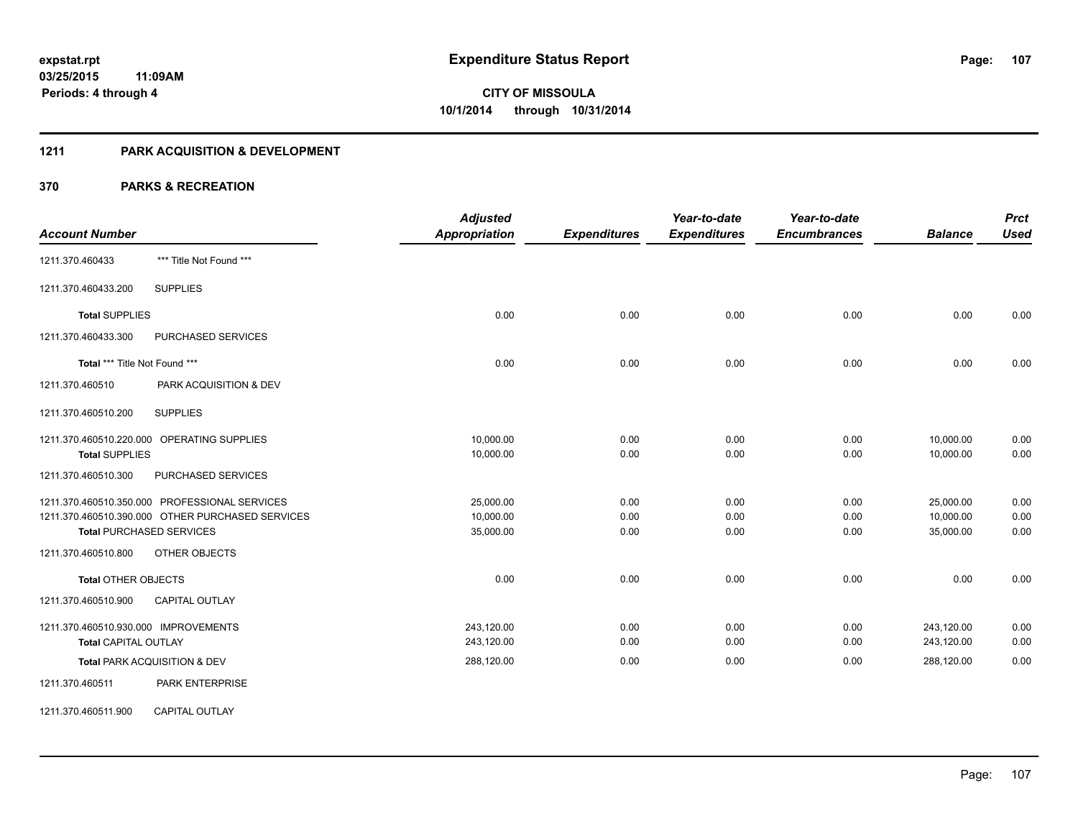#### **1211 PARK ACQUISITION & DEVELOPMENT**

|                                                  | <b>Adjusted</b>      |                     | Year-to-date        | Year-to-date        |                | <b>Prct</b> |
|--------------------------------------------------|----------------------|---------------------|---------------------|---------------------|----------------|-------------|
| <b>Account Number</b>                            | <b>Appropriation</b> | <b>Expenditures</b> | <b>Expenditures</b> | <b>Encumbrances</b> | <b>Balance</b> | <b>Used</b> |
| *** Title Not Found ***<br>1211.370.460433       |                      |                     |                     |                     |                |             |
| <b>SUPPLIES</b><br>1211.370.460433.200           |                      |                     |                     |                     |                |             |
| <b>Total SUPPLIES</b>                            | 0.00                 | 0.00                | 0.00                | 0.00                | 0.00           | 0.00        |
| 1211.370.460433.300<br>PURCHASED SERVICES        |                      |                     |                     |                     |                |             |
| Total *** Title Not Found ***                    | 0.00                 | 0.00                | 0.00                | 0.00                | 0.00           | 0.00        |
| 1211.370.460510<br>PARK ACQUISITION & DEV        |                      |                     |                     |                     |                |             |
| <b>SUPPLIES</b><br>1211.370.460510.200           |                      |                     |                     |                     |                |             |
| 1211.370.460510.220.000 OPERATING SUPPLIES       | 10,000.00            | 0.00                | 0.00                | 0.00                | 10,000.00      | 0.00        |
| <b>Total SUPPLIES</b>                            | 10,000.00            | 0.00                | 0.00                | 0.00                | 10,000.00      | 0.00        |
| PURCHASED SERVICES<br>1211.370.460510.300        |                      |                     |                     |                     |                |             |
| 1211.370.460510.350.000 PROFESSIONAL SERVICES    | 25,000.00            | 0.00                | 0.00                | 0.00                | 25,000.00      | 0.00        |
| 1211.370.460510.390.000 OTHER PURCHASED SERVICES | 10,000.00            | 0.00                | 0.00                | 0.00                | 10,000.00      | 0.00        |
| <b>Total PURCHASED SERVICES</b>                  | 35,000.00            | 0.00                | 0.00                | 0.00                | 35,000.00      | 0.00        |
| 1211.370.460510.800<br>OTHER OBJECTS             |                      |                     |                     |                     |                |             |
| <b>Total OTHER OBJECTS</b>                       | 0.00                 | 0.00                | 0.00                | 0.00                | 0.00           | 0.00        |
| <b>CAPITAL OUTLAY</b><br>1211.370.460510.900     |                      |                     |                     |                     |                |             |
| 1211.370.460510.930.000 IMPROVEMENTS             | 243,120.00           | 0.00                | 0.00                | 0.00                | 243,120.00     | 0.00        |
| <b>Total CAPITAL OUTLAY</b>                      | 243,120.00           | 0.00                | 0.00                | 0.00                | 243,120.00     | 0.00        |
| Total PARK ACQUISITION & DEV                     | 288,120.00           | 0.00                | 0.00                | 0.00                | 288,120.00     | 0.00        |
| 1211.370.460511<br><b>PARK ENTERPRISE</b>        |                      |                     |                     |                     |                |             |
| <b>CAPITAL OUTLAY</b><br>1211.370.460511.900     |                      |                     |                     |                     |                |             |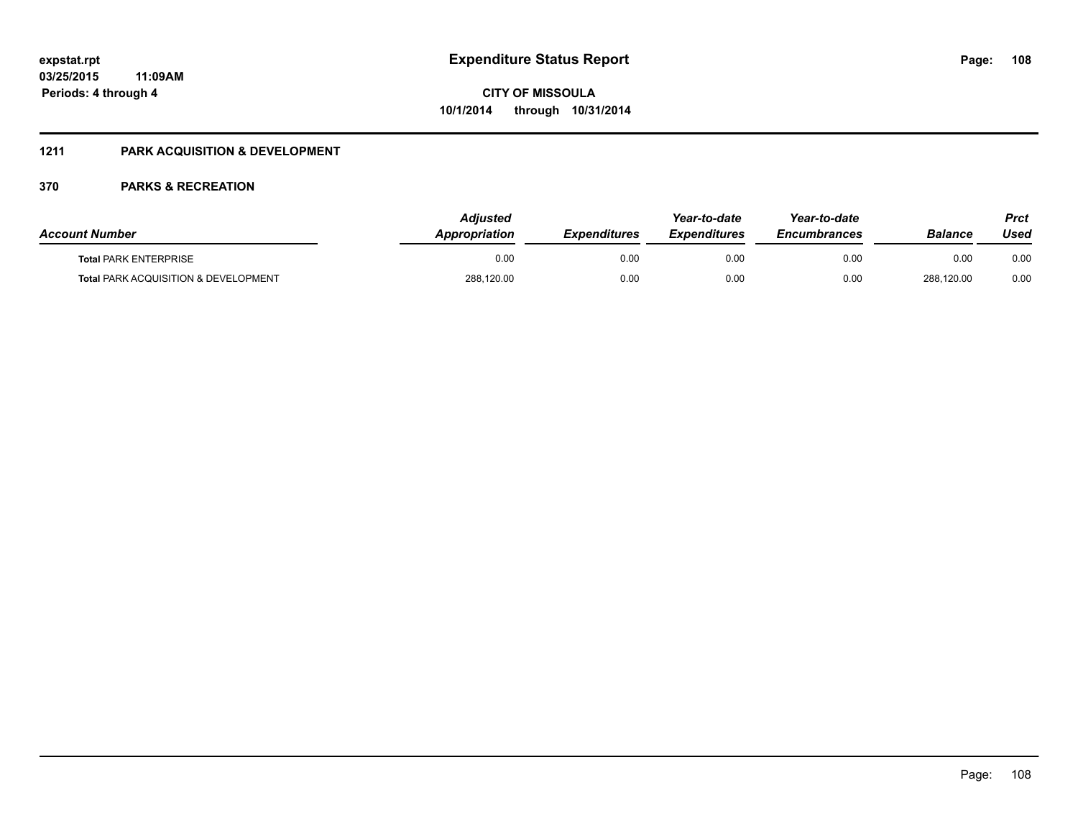## **1211 PARK ACQUISITION & DEVELOPMENT**

| <b>Account Number</b>                           | Adiusted<br>Appropriation | <b>Expenditures</b> | Year-to-date<br><i><b>Expenditures</b></i> | Year-to-date<br><b>Encumbrances</b> | <b>Balance</b> | Prct<br>Used |
|-------------------------------------------------|---------------------------|---------------------|--------------------------------------------|-------------------------------------|----------------|--------------|
| <b>Total PARK ENTERPRISE</b>                    | 0.00                      | 0.00                | 0.00                                       | 0.00                                | 0.00           | 0.00         |
| <b>Total PARK ACQUISITION &amp; DEVELOPMENT</b> | 288,120.00                | 0.00                | 0.00                                       | 0.00                                | 288,120.00     | 0.00         |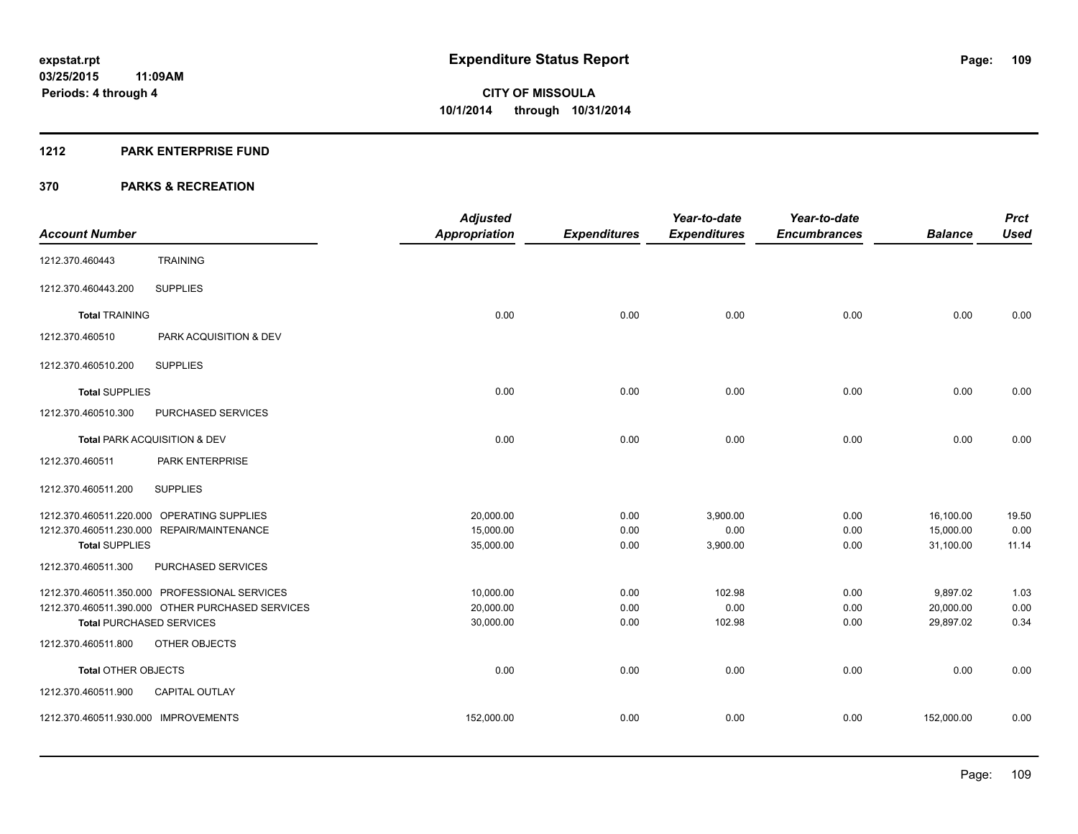#### **1212 PARK ENTERPRISE FUND**

|                                      |                                                  | <b>Adjusted</b>      |                     | Year-to-date        | Year-to-date        |                | <b>Prct</b> |
|--------------------------------------|--------------------------------------------------|----------------------|---------------------|---------------------|---------------------|----------------|-------------|
| <b>Account Number</b>                |                                                  | <b>Appropriation</b> | <b>Expenditures</b> | <b>Expenditures</b> | <b>Encumbrances</b> | <b>Balance</b> | <b>Used</b> |
| 1212.370.460443                      | <b>TRAINING</b>                                  |                      |                     |                     |                     |                |             |
| 1212.370.460443.200                  | <b>SUPPLIES</b>                                  |                      |                     |                     |                     |                |             |
| <b>Total TRAINING</b>                |                                                  | 0.00                 | 0.00                | 0.00                | 0.00                | 0.00           | 0.00        |
| 1212.370.460510                      | PARK ACQUISITION & DEV                           |                      |                     |                     |                     |                |             |
| 1212.370.460510.200                  | <b>SUPPLIES</b>                                  |                      |                     |                     |                     |                |             |
| <b>Total SUPPLIES</b>                |                                                  | 0.00                 | 0.00                | 0.00                | 0.00                | 0.00           | 0.00        |
| 1212.370.460510.300                  | PURCHASED SERVICES                               |                      |                     |                     |                     |                |             |
|                                      | Total PARK ACQUISITION & DEV                     | 0.00                 | 0.00                | 0.00                | 0.00                | 0.00           | 0.00        |
| 1212.370.460511                      | PARK ENTERPRISE                                  |                      |                     |                     |                     |                |             |
| 1212.370.460511.200                  | <b>SUPPLIES</b>                                  |                      |                     |                     |                     |                |             |
|                                      | 1212.370.460511.220.000 OPERATING SUPPLIES       | 20,000.00            | 0.00                | 3,900.00            | 0.00                | 16,100.00      | 19.50       |
|                                      | 1212.370.460511.230.000 REPAIR/MAINTENANCE       | 15,000.00            | 0.00                | 0.00                | 0.00                | 15,000.00      | 0.00        |
| <b>Total SUPPLIES</b>                |                                                  | 35,000.00            | 0.00                | 3,900.00            | 0.00                | 31,100.00      | 11.14       |
| 1212.370.460511.300                  | PURCHASED SERVICES                               |                      |                     |                     |                     |                |             |
|                                      | 1212.370.460511.350.000 PROFESSIONAL SERVICES    | 10,000.00            | 0.00                | 102.98              | 0.00                | 9,897.02       | 1.03        |
|                                      | 1212.370.460511.390.000 OTHER PURCHASED SERVICES | 20,000.00            | 0.00                | 0.00                | 0.00                | 20,000.00      | 0.00        |
| <b>Total PURCHASED SERVICES</b>      |                                                  | 30,000.00            | 0.00                | 102.98              | 0.00                | 29,897.02      | 0.34        |
| 1212.370.460511.800                  | OTHER OBJECTS                                    |                      |                     |                     |                     |                |             |
| <b>Total OTHER OBJECTS</b>           |                                                  | 0.00                 | 0.00                | 0.00                | 0.00                | 0.00           | 0.00        |
| 1212.370.460511.900                  | <b>CAPITAL OUTLAY</b>                            |                      |                     |                     |                     |                |             |
| 1212.370.460511.930.000 IMPROVEMENTS |                                                  | 152,000.00           | 0.00                | 0.00                | 0.00                | 152,000.00     | 0.00        |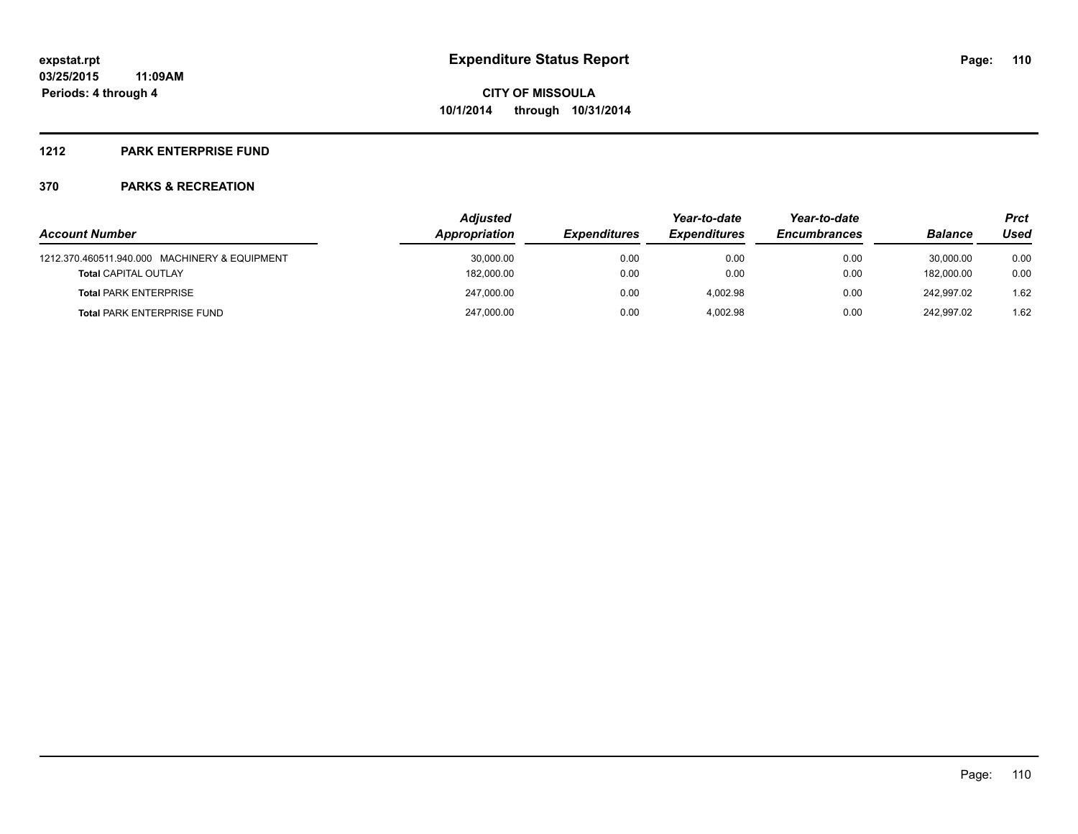### **1212 PARK ENTERPRISE FUND**

|                                               | <b>Adjusted</b> |                     | Year-to-date        | Year-to-date        |                | Prct |  |
|-----------------------------------------------|-----------------|---------------------|---------------------|---------------------|----------------|------|--|
| <b>Account Number</b>                         | Appropriation   | <b>Expenditures</b> | <b>Expenditures</b> | <b>Encumbrances</b> | <b>Balance</b> | Used |  |
| 1212.370.460511.940.000 MACHINERY & EQUIPMENT | 30,000.00       | 0.00                | 0.00                | 0.00                | 30.000.00      | 0.00 |  |
| <b>Total CAPITAL OUTLAY</b>                   | 182,000.00      | 0.00                | 0.00                | 0.00                | 182.000.00     | 0.00 |  |
| <b>Total PARK ENTERPRISE</b>                  | 247.000.00      | 0.00                | 4.002.98            | 0.00                | 242.997.02     | 1.62 |  |
| <b>Total PARK ENTERPRISE FUND</b>             | 247,000.00      | 0.00                | 4.002.98            | 0.00                | 242.997.02     | 1.62 |  |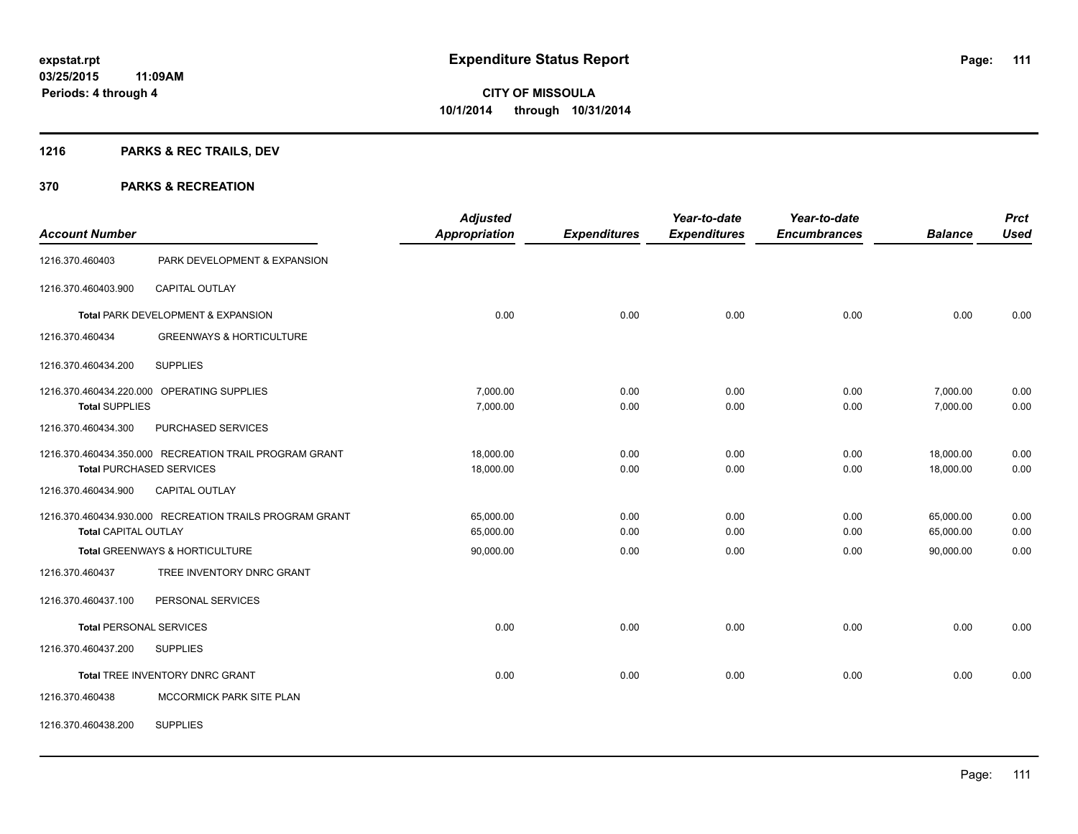## **1216 PARKS & REC TRAILS, DEV**

| <b>Account Number</b>       |                                                         | <b>Adjusted</b><br><b>Appropriation</b> | <b>Expenditures</b> | Year-to-date<br><b>Expenditures</b> | Year-to-date<br><b>Encumbrances</b> | <b>Balance</b> | <b>Prct</b><br><b>Used</b> |
|-----------------------------|---------------------------------------------------------|-----------------------------------------|---------------------|-------------------------------------|-------------------------------------|----------------|----------------------------|
| 1216.370.460403             | PARK DEVELOPMENT & EXPANSION                            |                                         |                     |                                     |                                     |                |                            |
| 1216.370.460403.900         | <b>CAPITAL OUTLAY</b>                                   |                                         |                     |                                     |                                     |                |                            |
|                             | Total PARK DEVELOPMENT & EXPANSION                      | 0.00                                    | 0.00                | 0.00                                | 0.00                                | 0.00           | 0.00                       |
| 1216.370.460434             | <b>GREENWAYS &amp; HORTICULTURE</b>                     |                                         |                     |                                     |                                     |                |                            |
| 1216.370.460434.200         | <b>SUPPLIES</b>                                         |                                         |                     |                                     |                                     |                |                            |
|                             | 1216.370.460434.220.000 OPERATING SUPPLIES              | 7,000.00                                | 0.00                | 0.00                                | 0.00                                | 7,000.00       | 0.00                       |
| <b>Total SUPPLIES</b>       |                                                         | 7,000.00                                | 0.00                | 0.00                                | 0.00                                | 7,000.00       | 0.00                       |
| 1216.370.460434.300         | PURCHASED SERVICES                                      |                                         |                     |                                     |                                     |                |                            |
|                             | 1216.370.460434.350.000 RECREATION TRAIL PROGRAM GRANT  | 18.000.00                               | 0.00                | 0.00                                | 0.00                                | 18,000.00      | 0.00                       |
|                             | <b>Total PURCHASED SERVICES</b>                         | 18,000.00                               | 0.00                | 0.00                                | 0.00                                | 18,000.00      | 0.00                       |
| 1216.370.460434.900         | CAPITAL OUTLAY                                          |                                         |                     |                                     |                                     |                |                            |
|                             | 1216.370.460434.930.000 RECREATION TRAILS PROGRAM GRANT | 65,000.00                               | 0.00                | 0.00                                | 0.00                                | 65,000.00      | 0.00                       |
| <b>Total CAPITAL OUTLAY</b> |                                                         | 65,000.00                               | 0.00                | 0.00                                | 0.00                                | 65,000.00      | 0.00                       |
|                             | Total GREENWAYS & HORTICULTURE                          | 90,000.00                               | 0.00                | 0.00                                | 0.00                                | 90.000.00      | 0.00                       |
| 1216.370.460437             | TREE INVENTORY DNRC GRANT                               |                                         |                     |                                     |                                     |                |                            |
| 1216.370.460437.100         | PERSONAL SERVICES                                       |                                         |                     |                                     |                                     |                |                            |
|                             | <b>Total PERSONAL SERVICES</b>                          | 0.00                                    | 0.00                | 0.00                                | 0.00                                | 0.00           | 0.00                       |
| 1216.370.460437.200         | <b>SUPPLIES</b>                                         |                                         |                     |                                     |                                     |                |                            |
|                             | Total TREE INVENTORY DNRC GRANT                         | 0.00                                    | 0.00                | 0.00                                | 0.00                                | 0.00           | 0.00                       |
| 1216.370.460438             | MCCORMICK PARK SITE PLAN                                |                                         |                     |                                     |                                     |                |                            |
| 1216.370.460438.200         | <b>SUPPLIES</b>                                         |                                         |                     |                                     |                                     |                |                            |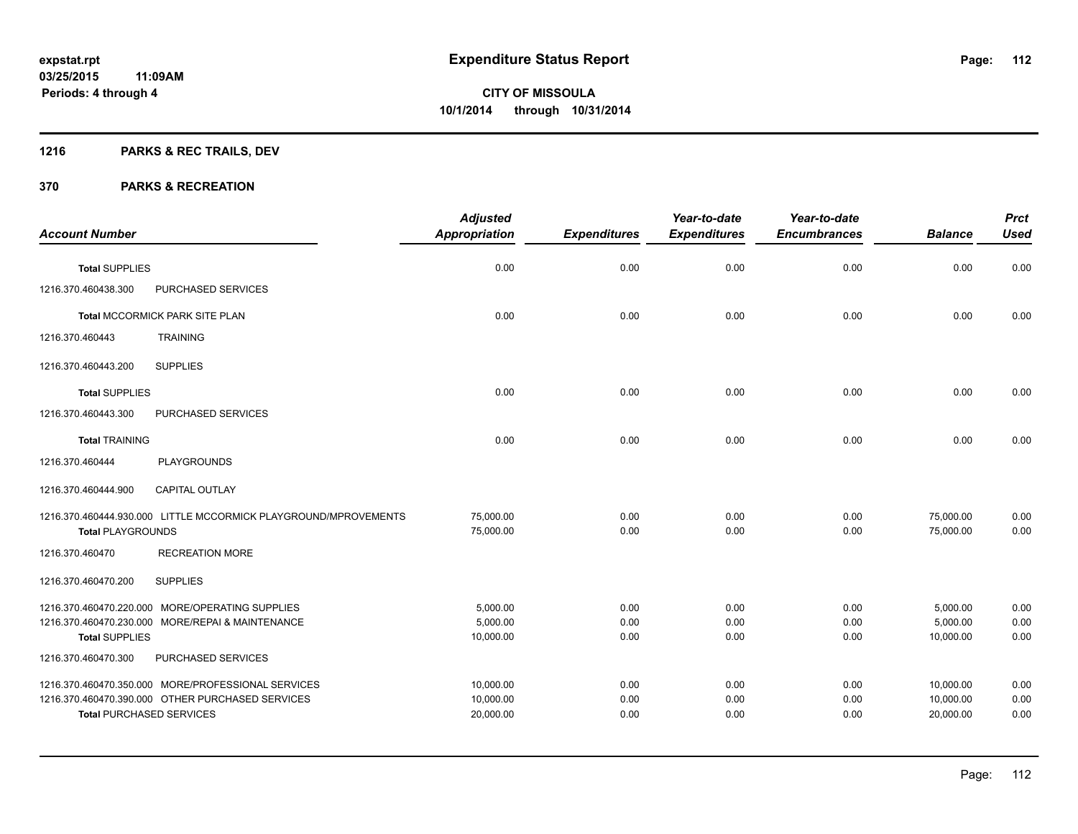## **1216 PARKS & REC TRAILS, DEV**

| <b>Account Number</b>    |                                                                                                                                           | <b>Adjusted</b><br><b>Appropriation</b> | <b>Expenditures</b>  | Year-to-date<br><b>Expenditures</b> | Year-to-date<br><b>Encumbrances</b> | <b>Balance</b>                      | <b>Prct</b><br><b>Used</b> |
|--------------------------|-------------------------------------------------------------------------------------------------------------------------------------------|-----------------------------------------|----------------------|-------------------------------------|-------------------------------------|-------------------------------------|----------------------------|
| <b>Total SUPPLIES</b>    |                                                                                                                                           | 0.00                                    | 0.00                 | 0.00                                | 0.00                                | 0.00                                | 0.00                       |
| 1216.370.460438.300      | PURCHASED SERVICES                                                                                                                        |                                         |                      |                                     |                                     |                                     |                            |
|                          | Total MCCORMICK PARK SITE PLAN                                                                                                            | 0.00                                    | 0.00                 | 0.00                                | 0.00                                | 0.00                                | 0.00                       |
| 1216.370.460443          | <b>TRAINING</b>                                                                                                                           |                                         |                      |                                     |                                     |                                     |                            |
| 1216.370.460443.200      | <b>SUPPLIES</b>                                                                                                                           |                                         |                      |                                     |                                     |                                     |                            |
| <b>Total SUPPLIES</b>    |                                                                                                                                           | 0.00                                    | 0.00                 | 0.00                                | 0.00                                | 0.00                                | 0.00                       |
| 1216.370.460443.300      | PURCHASED SERVICES                                                                                                                        |                                         |                      |                                     |                                     |                                     |                            |
| <b>Total TRAINING</b>    |                                                                                                                                           | 0.00                                    | 0.00                 | 0.00                                | 0.00                                | 0.00                                | 0.00                       |
| 1216.370.460444          | <b>PLAYGROUNDS</b>                                                                                                                        |                                         |                      |                                     |                                     |                                     |                            |
| 1216.370.460444.900      | <b>CAPITAL OUTLAY</b>                                                                                                                     |                                         |                      |                                     |                                     |                                     |                            |
| <b>Total PLAYGROUNDS</b> | 1216.370.460444.930.000 LITTLE MCCORMICK PLAYGROUND/MPROVEMENTS                                                                           | 75,000.00<br>75,000.00                  | 0.00<br>0.00         | 0.00<br>0.00                        | 0.00<br>0.00                        | 75,000.00<br>75,000.00              | 0.00<br>0.00               |
| 1216.370.460470          | <b>RECREATION MORE</b>                                                                                                                    |                                         |                      |                                     |                                     |                                     |                            |
| 1216.370.460470.200      | <b>SUPPLIES</b>                                                                                                                           |                                         |                      |                                     |                                     |                                     |                            |
| <b>Total SUPPLIES</b>    | 1216.370.460470.220.000 MORE/OPERATING SUPPLIES<br>1216.370.460470.230.000 MORE/REPAI & MAINTENANCE                                       | 5,000.00<br>5,000.00<br>10,000.00       | 0.00<br>0.00<br>0.00 | 0.00<br>0.00<br>0.00                | 0.00<br>0.00<br>0.00                | 5,000.00<br>5,000.00<br>10,000.00   | 0.00<br>0.00<br>0.00       |
| 1216.370.460470.300      | PURCHASED SERVICES                                                                                                                        |                                         |                      |                                     |                                     |                                     |                            |
|                          | 1216.370.460470.350.000 MORE/PROFESSIONAL SERVICES<br>1216.370.460470.390.000 OTHER PURCHASED SERVICES<br><b>Total PURCHASED SERVICES</b> | 10,000.00<br>10,000.00<br>20,000.00     | 0.00<br>0.00<br>0.00 | 0.00<br>0.00<br>0.00                | 0.00<br>0.00<br>0.00                | 10,000.00<br>10,000.00<br>20,000.00 | 0.00<br>0.00<br>0.00       |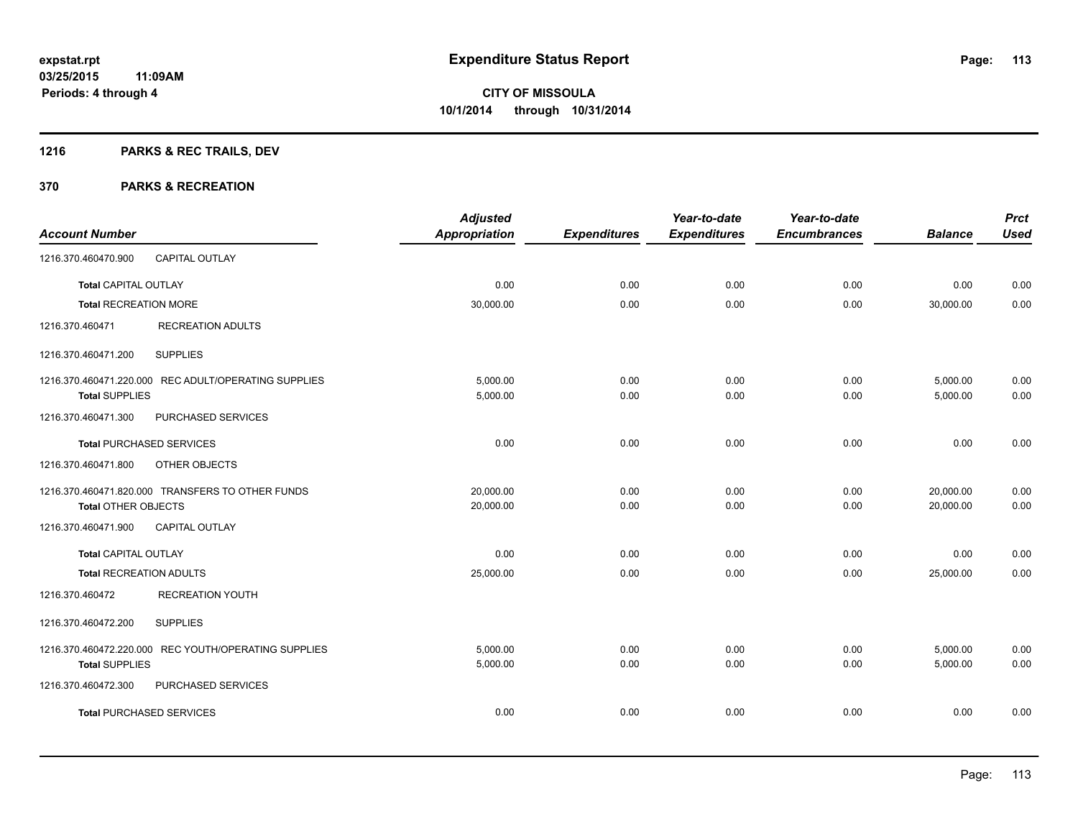## **1216 PARKS & REC TRAILS, DEV**

|                                |                                                      | <b>Adjusted</b>      |                     | Year-to-date        | Year-to-date        |                | <b>Prct</b> |
|--------------------------------|------------------------------------------------------|----------------------|---------------------|---------------------|---------------------|----------------|-------------|
| <b>Account Number</b>          |                                                      | <b>Appropriation</b> | <b>Expenditures</b> | <b>Expenditures</b> | <b>Encumbrances</b> | <b>Balance</b> | <b>Used</b> |
| 1216.370.460470.900            | <b>CAPITAL OUTLAY</b>                                |                      |                     |                     |                     |                |             |
| <b>Total CAPITAL OUTLAY</b>    |                                                      | 0.00                 | 0.00                | 0.00                | 0.00                | 0.00           | 0.00        |
| <b>Total RECREATION MORE</b>   |                                                      | 30,000.00            | 0.00                | 0.00                | 0.00                | 30,000.00      | 0.00        |
| 1216.370.460471                | <b>RECREATION ADULTS</b>                             |                      |                     |                     |                     |                |             |
| 1216.370.460471.200            | <b>SUPPLIES</b>                                      |                      |                     |                     |                     |                |             |
|                                | 1216.370.460471.220.000 REC ADULT/OPERATING SUPPLIES | 5,000.00             | 0.00                | 0.00                | 0.00                | 5,000.00       | 0.00        |
| <b>Total SUPPLIES</b>          |                                                      | 5,000.00             | 0.00                | 0.00                | 0.00                | 5,000.00       | 0.00        |
| 1216.370.460471.300            | PURCHASED SERVICES                                   |                      |                     |                     |                     |                |             |
|                                | <b>Total PURCHASED SERVICES</b>                      | 0.00                 | 0.00                | 0.00                | 0.00                | 0.00           | 0.00        |
| 1216.370.460471.800            | OTHER OBJECTS                                        |                      |                     |                     |                     |                |             |
|                                | 1216.370.460471.820.000 TRANSFERS TO OTHER FUNDS     | 20,000.00            | 0.00                | 0.00                | 0.00                | 20,000.00      | 0.00        |
| <b>Total OTHER OBJECTS</b>     |                                                      | 20,000.00            | 0.00                | 0.00                | 0.00                | 20,000.00      | 0.00        |
| 1216.370.460471.900            | <b>CAPITAL OUTLAY</b>                                |                      |                     |                     |                     |                |             |
| <b>Total CAPITAL OUTLAY</b>    |                                                      | 0.00                 | 0.00                | 0.00                | 0.00                | 0.00           | 0.00        |
| <b>Total RECREATION ADULTS</b> |                                                      | 25,000.00            | 0.00                | 0.00                | 0.00                | 25,000.00      | 0.00        |
| 1216.370.460472                | <b>RECREATION YOUTH</b>                              |                      |                     |                     |                     |                |             |
| 1216.370.460472.200            | <b>SUPPLIES</b>                                      |                      |                     |                     |                     |                |             |
|                                | 1216.370.460472.220.000 REC YOUTH/OPERATING SUPPLIES | 5.000.00             | 0.00                | 0.00                | 0.00                | 5,000.00       | 0.00        |
| <b>Total SUPPLIES</b>          |                                                      | 5,000.00             | 0.00                | 0.00                | 0.00                | 5,000.00       | 0.00        |
| 1216.370.460472.300            | PURCHASED SERVICES                                   |                      |                     |                     |                     |                |             |
|                                | <b>Total PURCHASED SERVICES</b>                      | 0.00                 | 0.00                | 0.00                | 0.00                | 0.00           | 0.00        |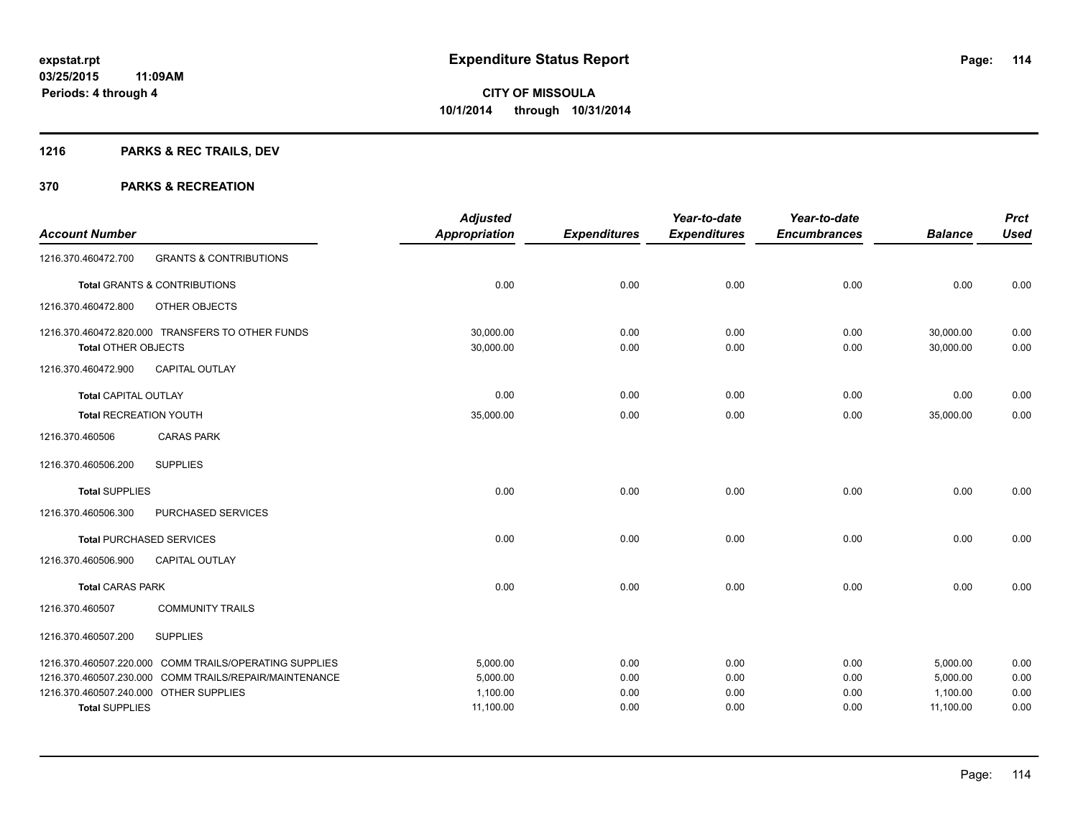## **1216 PARKS & REC TRAILS, DEV**

|                                        |                                                        | <b>Adjusted</b>      |                     | Year-to-date        | Year-to-date        |                | <b>Prct</b> |
|----------------------------------------|--------------------------------------------------------|----------------------|---------------------|---------------------|---------------------|----------------|-------------|
| <b>Account Number</b>                  |                                                        | <b>Appropriation</b> | <b>Expenditures</b> | <b>Expenditures</b> | <b>Encumbrances</b> | <b>Balance</b> | <b>Used</b> |
| 1216.370.460472.700                    | <b>GRANTS &amp; CONTRIBUTIONS</b>                      |                      |                     |                     |                     |                |             |
|                                        | <b>Total GRANTS &amp; CONTRIBUTIONS</b>                | 0.00                 | 0.00                | 0.00                | 0.00                | 0.00           | 0.00        |
| 1216.370.460472.800                    | OTHER OBJECTS                                          |                      |                     |                     |                     |                |             |
|                                        | 1216.370.460472.820.000 TRANSFERS TO OTHER FUNDS       | 30,000.00            | 0.00                | 0.00                | 0.00                | 30,000.00      | 0.00        |
| <b>Total OTHER OBJECTS</b>             |                                                        | 30,000.00            | 0.00                | 0.00                | 0.00                | 30,000.00      | 0.00        |
| 1216.370.460472.900                    | <b>CAPITAL OUTLAY</b>                                  |                      |                     |                     |                     |                |             |
| <b>Total CAPITAL OUTLAY</b>            |                                                        | 0.00                 | 0.00                | 0.00                | 0.00                | 0.00           | 0.00        |
| <b>Total RECREATION YOUTH</b>          |                                                        | 35,000.00            | 0.00                | 0.00                | 0.00                | 35,000.00      | 0.00        |
| 1216.370.460506                        | <b>CARAS PARK</b>                                      |                      |                     |                     |                     |                |             |
| 1216.370.460506.200                    | <b>SUPPLIES</b>                                        |                      |                     |                     |                     |                |             |
| <b>Total SUPPLIES</b>                  |                                                        | 0.00                 | 0.00                | 0.00                | 0.00                | 0.00           | 0.00        |
| 1216.370.460506.300                    | PURCHASED SERVICES                                     |                      |                     |                     |                     |                |             |
|                                        | <b>Total PURCHASED SERVICES</b>                        | 0.00                 | 0.00                | 0.00                | 0.00                | 0.00           | 0.00        |
| 1216.370.460506.900                    | <b>CAPITAL OUTLAY</b>                                  |                      |                     |                     |                     |                |             |
| <b>Total CARAS PARK</b>                |                                                        | 0.00                 | 0.00                | 0.00                | 0.00                | 0.00           | 0.00        |
| 1216.370.460507                        | <b>COMMUNITY TRAILS</b>                                |                      |                     |                     |                     |                |             |
| 1216.370.460507.200                    | <b>SUPPLIES</b>                                        |                      |                     |                     |                     |                |             |
|                                        | 1216.370.460507.220.000 COMM TRAILS/OPERATING SUPPLIES | 5,000.00             | 0.00                | 0.00                | 0.00                | 5,000.00       | 0.00        |
|                                        | 1216.370.460507.230.000 COMM TRAILS/REPAIR/MAINTENANCE | 5,000.00             | 0.00                | 0.00                | 0.00                | 5,000.00       | 0.00        |
| 1216.370.460507.240.000 OTHER SUPPLIES |                                                        | 1,100.00             | 0.00                | 0.00                | 0.00                | 1,100.00       | 0.00        |
| <b>Total SUPPLIES</b>                  |                                                        | 11,100.00            | 0.00                | 0.00                | 0.00                | 11,100.00      | 0.00        |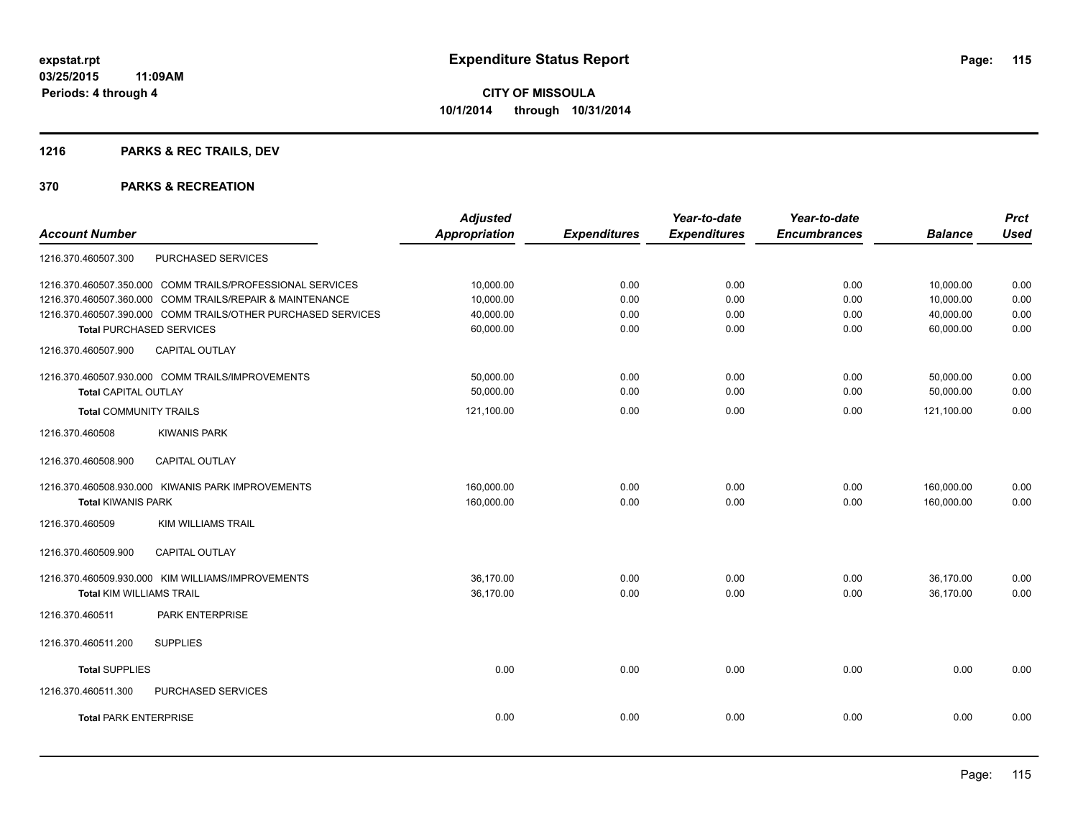## **1216 PARKS & REC TRAILS, DEV**

|                                                              | <b>Adjusted</b>      |                     | Year-to-date        | Year-to-date        |                | <b>Prct</b> |
|--------------------------------------------------------------|----------------------|---------------------|---------------------|---------------------|----------------|-------------|
| <b>Account Number</b>                                        | <b>Appropriation</b> | <b>Expenditures</b> | <b>Expenditures</b> | <b>Encumbrances</b> | <b>Balance</b> | <b>Used</b> |
| PURCHASED SERVICES<br>1216.370.460507.300                    |                      |                     |                     |                     |                |             |
| 1216.370.460507.350.000 COMM TRAILS/PROFESSIONAL SERVICES    | 10,000.00            | 0.00                | 0.00                | 0.00                | 10,000.00      | 0.00        |
| 1216.370.460507.360.000 COMM TRAILS/REPAIR & MAINTENANCE     | 10.000.00            | 0.00                | 0.00                | 0.00                | 10,000.00      | 0.00        |
| 1216.370.460507.390.000 COMM TRAILS/OTHER PURCHASED SERVICES | 40,000.00            | 0.00                | 0.00                | 0.00                | 40,000.00      | 0.00        |
| <b>Total PURCHASED SERVICES</b>                              | 60,000.00            | 0.00                | 0.00                | 0.00                | 60,000.00      | 0.00        |
| <b>CAPITAL OUTLAY</b><br>1216.370.460507.900                 |                      |                     |                     |                     |                |             |
| 1216.370.460507.930.000 COMM TRAILS/IMPROVEMENTS             | 50,000.00            | 0.00                | 0.00                | 0.00                | 50,000.00      | 0.00        |
| <b>Total CAPITAL OUTLAY</b>                                  | 50,000.00            | 0.00                | 0.00                | 0.00                | 50,000.00      | 0.00        |
| <b>Total COMMUNITY TRAILS</b>                                | 121,100.00           | 0.00                | 0.00                | 0.00                | 121,100.00     | 0.00        |
| 1216.370.460508<br><b>KIWANIS PARK</b>                       |                      |                     |                     |                     |                |             |
| CAPITAL OUTLAY<br>1216.370.460508.900                        |                      |                     |                     |                     |                |             |
| 1216.370.460508.930.000 KIWANIS PARK IMPROVEMENTS            | 160,000.00           | 0.00                | 0.00                | 0.00                | 160,000.00     | 0.00        |
| <b>Total KIWANIS PARK</b>                                    | 160,000.00           | 0.00                | 0.00                | 0.00                | 160,000.00     | 0.00        |
| <b>KIM WILLIAMS TRAIL</b><br>1216.370.460509                 |                      |                     |                     |                     |                |             |
| 1216.370.460509.900<br><b>CAPITAL OUTLAY</b>                 |                      |                     |                     |                     |                |             |
| 1216.370.460509.930.000 KIM WILLIAMS/IMPROVEMENTS            | 36,170.00            | 0.00                | 0.00                | 0.00                | 36,170.00      | 0.00        |
| <b>Total KIM WILLIAMS TRAIL</b>                              | 36,170.00            | 0.00                | 0.00                | 0.00                | 36,170.00      | 0.00        |
| PARK ENTERPRISE<br>1216.370.460511                           |                      |                     |                     |                     |                |             |
| <b>SUPPLIES</b><br>1216.370.460511.200                       |                      |                     |                     |                     |                |             |
| <b>Total SUPPLIES</b>                                        | 0.00                 | 0.00                | 0.00                | 0.00                | 0.00           | 0.00        |
| 1216.370.460511.300<br><b>PURCHASED SERVICES</b>             |                      |                     |                     |                     |                |             |
| <b>Total PARK ENTERPRISE</b>                                 | 0.00                 | 0.00                | 0.00                | 0.00                | 0.00           | 0.00        |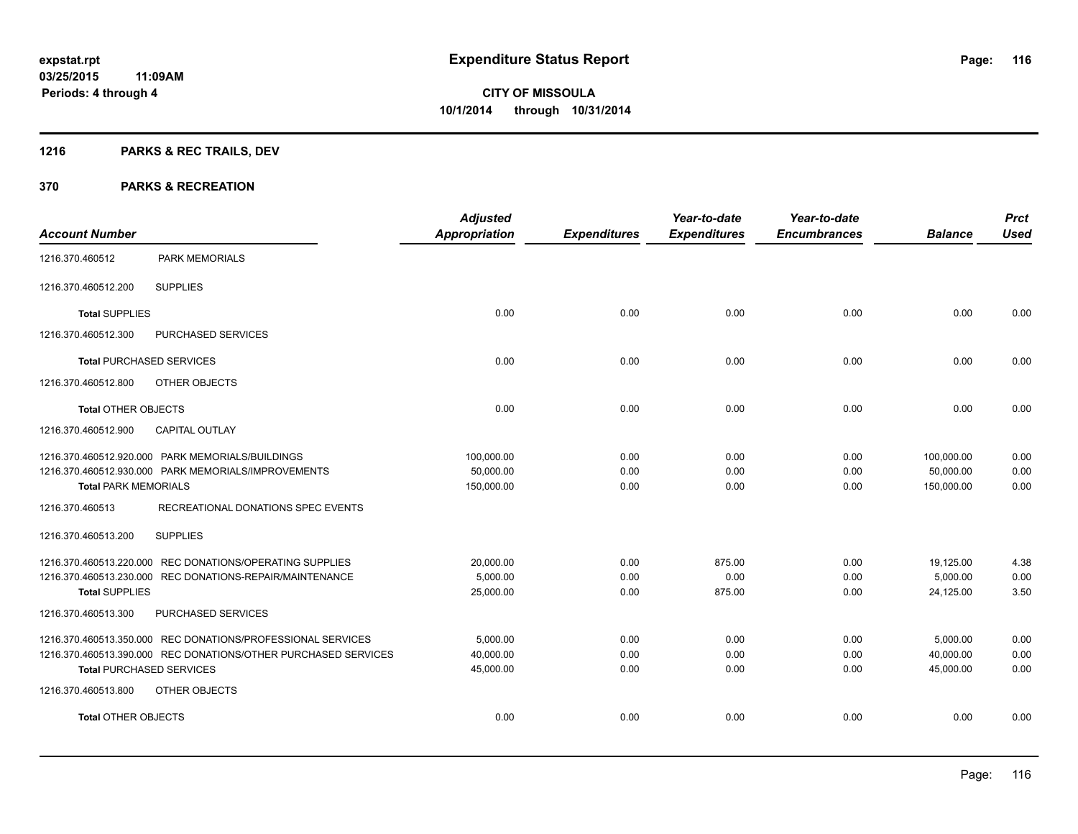## **1216 PARKS & REC TRAILS, DEV**

| <b>Account Number</b>           |                                                                | <b>Adjusted</b><br><b>Appropriation</b> | <b>Expenditures</b> | Year-to-date<br><b>Expenditures</b> | Year-to-date<br><b>Encumbrances</b> | <b>Balance</b> | <b>Prct</b><br><b>Used</b> |
|---------------------------------|----------------------------------------------------------------|-----------------------------------------|---------------------|-------------------------------------|-------------------------------------|----------------|----------------------------|
| 1216.370.460512                 | <b>PARK MEMORIALS</b>                                          |                                         |                     |                                     |                                     |                |                            |
| 1216.370.460512.200             | <b>SUPPLIES</b>                                                |                                         |                     |                                     |                                     |                |                            |
| <b>Total SUPPLIES</b>           |                                                                | 0.00                                    | 0.00                | 0.00                                | 0.00                                | 0.00           | 0.00                       |
| 1216.370.460512.300             | PURCHASED SERVICES                                             |                                         |                     |                                     |                                     |                |                            |
| <b>Total PURCHASED SERVICES</b> |                                                                | 0.00                                    | 0.00                | 0.00                                | 0.00                                | 0.00           | 0.00                       |
| 1216.370.460512.800             | OTHER OBJECTS                                                  |                                         |                     |                                     |                                     |                |                            |
| <b>Total OTHER OBJECTS</b>      |                                                                | 0.00                                    | 0.00                | 0.00                                | 0.00                                | 0.00           | 0.00                       |
| 1216.370.460512.900             | <b>CAPITAL OUTLAY</b>                                          |                                         |                     |                                     |                                     |                |                            |
|                                 | 1216.370.460512.920.000 PARK MEMORIALS/BUILDINGS               | 100,000.00                              | 0.00                | 0.00                                | 0.00                                | 100,000.00     | 0.00                       |
|                                 | 1216.370.460512.930.000 PARK MEMORIALS/IMPROVEMENTS            | 50,000.00                               | 0.00                | 0.00                                | 0.00                                | 50,000.00      | 0.00                       |
| <b>Total PARK MEMORIALS</b>     |                                                                | 150,000.00                              | 0.00                | 0.00                                | 0.00                                | 150,000.00     | 0.00                       |
| 1216.370.460513                 | RECREATIONAL DONATIONS SPEC EVENTS                             |                                         |                     |                                     |                                     |                |                            |
| 1216.370.460513.200             | <b>SUPPLIES</b>                                                |                                         |                     |                                     |                                     |                |                            |
|                                 | 1216.370.460513.220.000 REC DONATIONS/OPERATING SUPPLIES       | 20,000.00                               | 0.00                | 875.00                              | 0.00                                | 19,125.00      | 4.38                       |
|                                 | 1216.370.460513.230.000 REC DONATIONS-REPAIR/MAINTENANCE       | 5,000.00                                | 0.00                | 0.00                                | 0.00                                | 5,000.00       | 0.00                       |
| <b>Total SUPPLIES</b>           |                                                                | 25,000.00                               | 0.00                | 875.00                              | 0.00                                | 24,125.00      | 3.50                       |
| 1216.370.460513.300             | PURCHASED SERVICES                                             |                                         |                     |                                     |                                     |                |                            |
|                                 | 1216.370.460513.350.000 REC DONATIONS/PROFESSIONAL SERVICES    | 5,000.00                                | 0.00                | 0.00                                | 0.00                                | 5,000.00       | 0.00                       |
|                                 | 1216.370.460513.390.000 REC DONATIONS/OTHER PURCHASED SERVICES | 40,000.00                               | 0.00                | 0.00                                | 0.00                                | 40,000.00      | 0.00                       |
| <b>Total PURCHASED SERVICES</b> |                                                                | 45,000.00                               | 0.00                | 0.00                                | 0.00                                | 45,000.00      | 0.00                       |
| 1216.370.460513.800             | OTHER OBJECTS                                                  |                                         |                     |                                     |                                     |                |                            |
| <b>Total OTHER OBJECTS</b>      |                                                                | 0.00                                    | 0.00                | 0.00                                | 0.00                                | 0.00           | 0.00                       |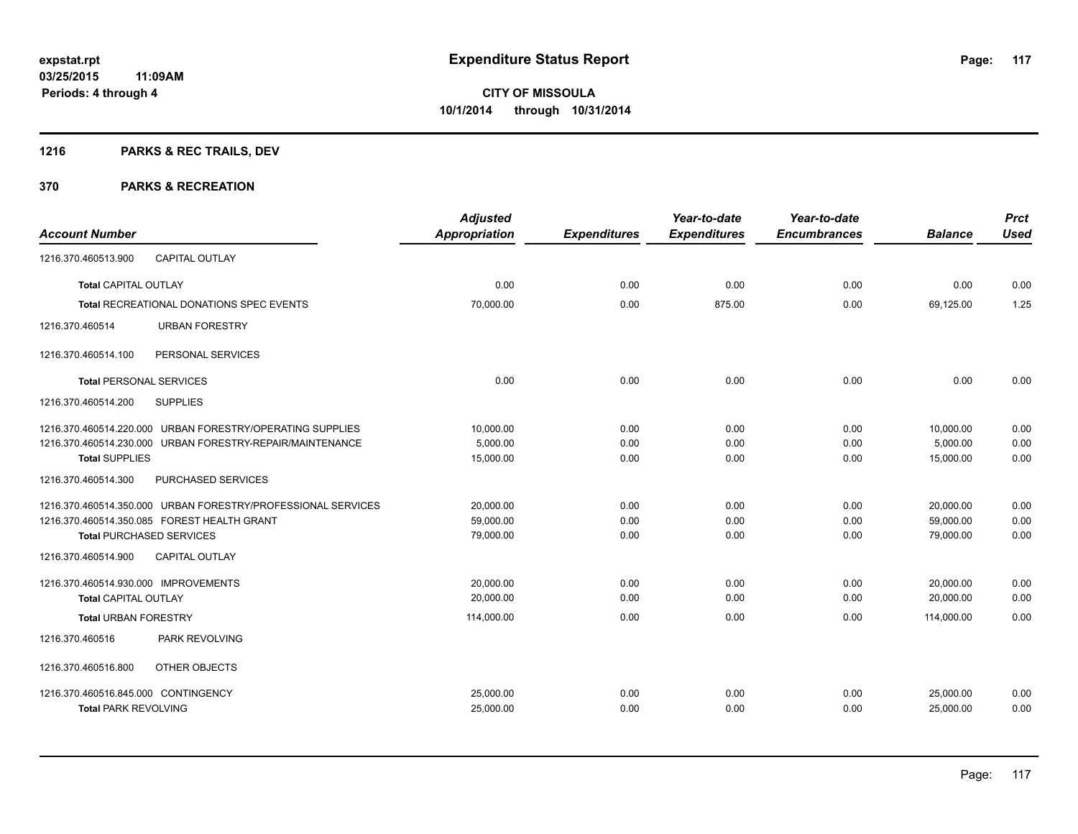## **1216 PARKS & REC TRAILS, DEV**

| <b>Account Number</b>                                        | <b>Adjusted</b><br>Appropriation | <b>Expenditures</b> | Year-to-date<br><b>Expenditures</b> | Year-to-date<br><b>Encumbrances</b> | <b>Balance</b> | <b>Prct</b><br><b>Used</b> |
|--------------------------------------------------------------|----------------------------------|---------------------|-------------------------------------|-------------------------------------|----------------|----------------------------|
| 1216.370.460513.900<br><b>CAPITAL OUTLAY</b>                 |                                  |                     |                                     |                                     |                |                            |
| <b>Total CAPITAL OUTLAY</b>                                  | 0.00                             | 0.00                | 0.00                                | 0.00                                | 0.00           | 0.00                       |
| <b>Total RECREATIONAL DONATIONS SPEC EVENTS</b>              | 70,000.00                        | 0.00                | 875.00                              | 0.00                                | 69,125.00      | 1.25                       |
| <b>URBAN FORESTRY</b><br>1216.370.460514                     |                                  |                     |                                     |                                     |                |                            |
| PERSONAL SERVICES<br>1216.370.460514.100                     |                                  |                     |                                     |                                     |                |                            |
| <b>Total PERSONAL SERVICES</b>                               | 0.00                             | 0.00                | 0.00                                | 0.00                                | 0.00           | 0.00                       |
| <b>SUPPLIES</b><br>1216.370.460514.200                       |                                  |                     |                                     |                                     |                |                            |
| 1216.370.460514.220.000 URBAN FORESTRY/OPERATING SUPPLIES    | 10,000.00                        | 0.00                | 0.00                                | 0.00                                | 10,000.00      | 0.00                       |
| 1216.370.460514.230.000 URBAN FORESTRY-REPAIR/MAINTENANCE    | 5,000.00                         | 0.00                | 0.00                                | 0.00                                | 5,000.00       | 0.00                       |
| <b>Total SUPPLIES</b>                                        | 15,000.00                        | 0.00                | 0.00                                | 0.00                                | 15,000.00      | 0.00                       |
| PURCHASED SERVICES<br>1216.370.460514.300                    |                                  |                     |                                     |                                     |                |                            |
| 1216.370.460514.350.000 URBAN FORESTRY/PROFESSIONAL SERVICES | 20,000.00                        | 0.00                | 0.00                                | 0.00                                | 20,000.00      | 0.00                       |
| 1216.370.460514.350.085 FOREST HEALTH GRANT                  | 59,000.00                        | 0.00                | 0.00                                | 0.00                                | 59,000.00      | 0.00                       |
| <b>Total PURCHASED SERVICES</b>                              | 79,000.00                        | 0.00                | 0.00                                | 0.00                                | 79,000.00      | 0.00                       |
| 1216.370.460514.900<br><b>CAPITAL OUTLAY</b>                 |                                  |                     |                                     |                                     |                |                            |
| 1216.370.460514.930.000 IMPROVEMENTS                         | 20,000.00                        | 0.00                | 0.00                                | 0.00                                | 20,000.00      | 0.00                       |
| <b>Total CAPITAL OUTLAY</b>                                  | 20,000.00                        | 0.00                | 0.00                                | 0.00                                | 20,000.00      | 0.00                       |
| <b>Total URBAN FORESTRY</b>                                  | 114,000.00                       | 0.00                | 0.00                                | 0.00                                | 114,000.00     | 0.00                       |
| PARK REVOLVING<br>1216.370.460516                            |                                  |                     |                                     |                                     |                |                            |
| 1216.370.460516.800<br>OTHER OBJECTS                         |                                  |                     |                                     |                                     |                |                            |
| 1216.370.460516.845.000 CONTINGENCY                          | 25,000.00                        | 0.00                | 0.00                                | 0.00                                | 25,000.00      | 0.00                       |
| <b>Total PARK REVOLVING</b>                                  | 25,000.00                        | 0.00                | 0.00                                | 0.00                                | 25,000.00      | 0.00                       |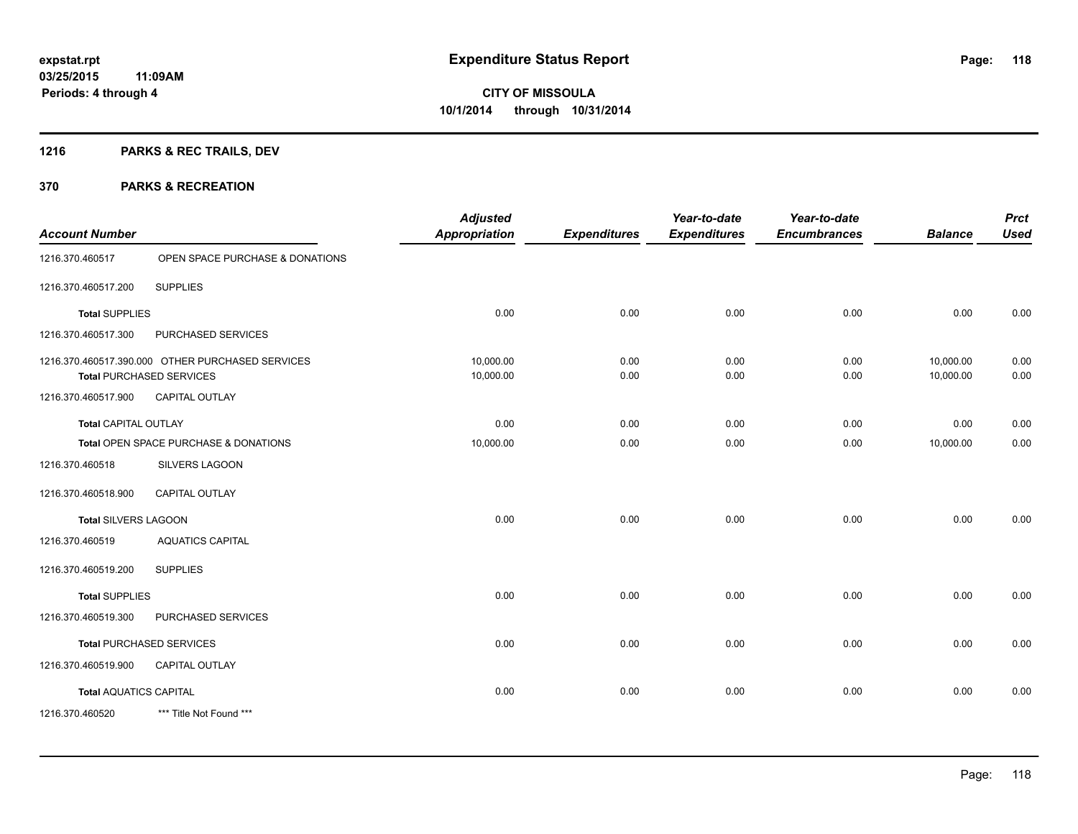## **1216 PARKS & REC TRAILS, DEV**

| <b>Account Number</b>         |                                                                                     | <b>Adjusted</b><br><b>Appropriation</b> | <b>Expenditures</b> | Year-to-date<br><b>Expenditures</b> | Year-to-date<br><b>Encumbrances</b> | <b>Balance</b>         | <b>Prct</b><br><b>Used</b> |
|-------------------------------|-------------------------------------------------------------------------------------|-----------------------------------------|---------------------|-------------------------------------|-------------------------------------|------------------------|----------------------------|
| 1216.370.460517               | OPEN SPACE PURCHASE & DONATIONS                                                     |                                         |                     |                                     |                                     |                        |                            |
| 1216.370.460517.200           | <b>SUPPLIES</b>                                                                     |                                         |                     |                                     |                                     |                        |                            |
| <b>Total SUPPLIES</b>         |                                                                                     | 0.00                                    | 0.00                | 0.00                                | 0.00                                | 0.00                   | 0.00                       |
| 1216.370.460517.300           | PURCHASED SERVICES                                                                  |                                         |                     |                                     |                                     |                        |                            |
|                               | 1216.370.460517.390.000 OTHER PURCHASED SERVICES<br><b>Total PURCHASED SERVICES</b> | 10,000.00<br>10,000.00                  | 0.00<br>0.00        | 0.00<br>0.00                        | 0.00<br>0.00                        | 10,000.00<br>10,000.00 | 0.00<br>0.00               |
| 1216.370.460517.900           | CAPITAL OUTLAY                                                                      |                                         |                     |                                     |                                     |                        |                            |
| <b>Total CAPITAL OUTLAY</b>   |                                                                                     | 0.00                                    | 0.00                | 0.00                                | 0.00                                | 0.00                   | 0.00                       |
|                               | Total OPEN SPACE PURCHASE & DONATIONS                                               | 10,000.00                               | 0.00                | 0.00                                | 0.00                                | 10,000.00              | 0.00                       |
| 1216.370.460518               | SILVERS LAGOON                                                                      |                                         |                     |                                     |                                     |                        |                            |
| 1216.370.460518.900           | <b>CAPITAL OUTLAY</b>                                                               |                                         |                     |                                     |                                     |                        |                            |
| Total SILVERS LAGOON          |                                                                                     | 0.00                                    | 0.00                | 0.00                                | 0.00                                | 0.00                   | 0.00                       |
| 1216.370.460519               | <b>AQUATICS CAPITAL</b>                                                             |                                         |                     |                                     |                                     |                        |                            |
| 1216.370.460519.200           | <b>SUPPLIES</b>                                                                     |                                         |                     |                                     |                                     |                        |                            |
| <b>Total SUPPLIES</b>         |                                                                                     | 0.00                                    | 0.00                | 0.00                                | 0.00                                | 0.00                   | 0.00                       |
| 1216.370.460519.300           | PURCHASED SERVICES                                                                  |                                         |                     |                                     |                                     |                        |                            |
|                               | <b>Total PURCHASED SERVICES</b>                                                     | 0.00                                    | 0.00                | 0.00                                | 0.00                                | 0.00                   | 0.00                       |
| 1216.370.460519.900           | <b>CAPITAL OUTLAY</b>                                                               |                                         |                     |                                     |                                     |                        |                            |
| <b>Total AQUATICS CAPITAL</b> |                                                                                     | 0.00                                    | 0.00                | 0.00                                | 0.00                                | 0.00                   | 0.00                       |
| 1216.370.460520               | *** Title Not Found ***                                                             |                                         |                     |                                     |                                     |                        |                            |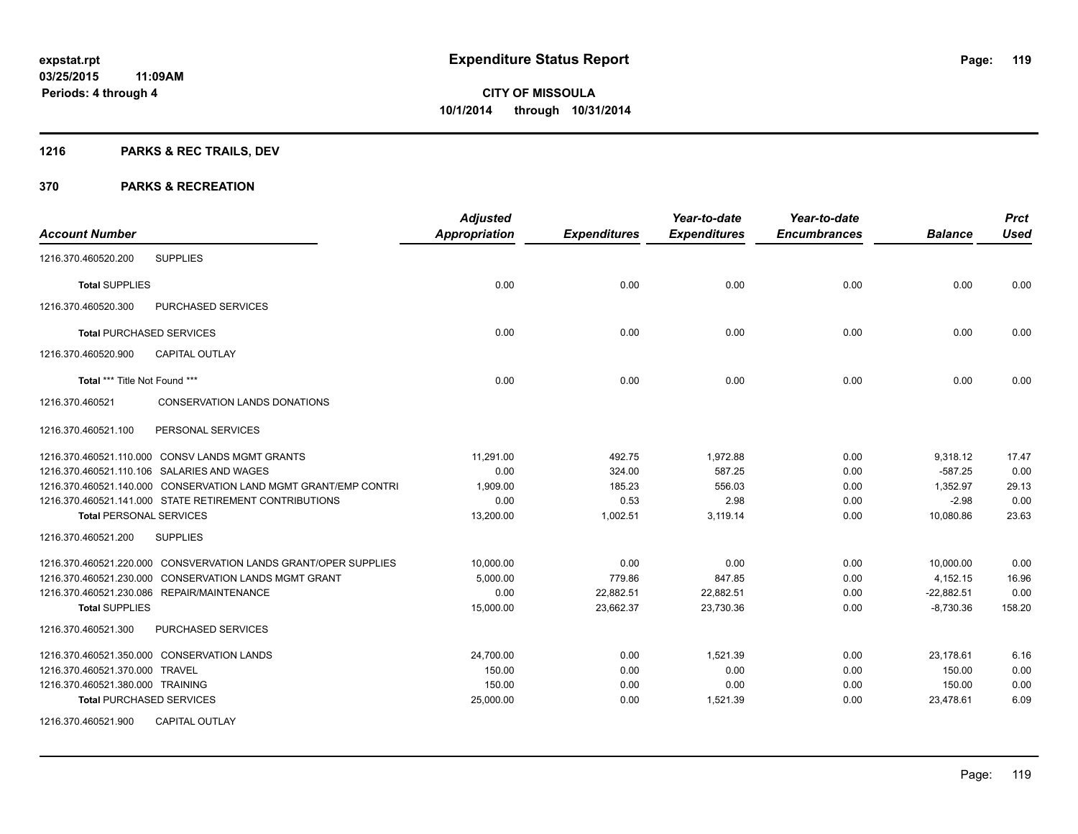## **1216 PARKS & REC TRAILS, DEV**

| <b>Account Number</b>                                           | <b>Adjusted</b><br><b>Appropriation</b> | <b>Expenditures</b> | Year-to-date<br><b>Expenditures</b> | Year-to-date<br><b>Encumbrances</b> | <b>Balance</b> | <b>Prct</b><br><b>Used</b> |
|-----------------------------------------------------------------|-----------------------------------------|---------------------|-------------------------------------|-------------------------------------|----------------|----------------------------|
| <b>SUPPLIES</b><br>1216.370.460520.200                          |                                         |                     |                                     |                                     |                |                            |
| <b>Total SUPPLIES</b>                                           | 0.00                                    | 0.00                | 0.00                                | 0.00                                | 0.00           | 0.00                       |
| 1216.370.460520.300<br><b>PURCHASED SERVICES</b>                |                                         |                     |                                     |                                     |                |                            |
| <b>Total PURCHASED SERVICES</b>                                 | 0.00                                    | 0.00                | 0.00                                | 0.00                                | 0.00           | 0.00                       |
| 1216.370.460520.900<br><b>CAPITAL OUTLAY</b>                    |                                         |                     |                                     |                                     |                |                            |
| Total *** Title Not Found ***                                   | 0.00                                    | 0.00                | 0.00                                | 0.00                                | 0.00           | 0.00                       |
| CONSERVATION LANDS DONATIONS<br>1216.370.460521                 |                                         |                     |                                     |                                     |                |                            |
| PERSONAL SERVICES<br>1216.370.460521.100                        |                                         |                     |                                     |                                     |                |                            |
| 1216.370.460521.110.000 CONSV LANDS MGMT GRANTS                 | 11.291.00                               | 492.75              | 1,972.88                            | 0.00                                | 9,318.12       | 17.47                      |
| 1216.370.460521.110.106 SALARIES AND WAGES                      | 0.00                                    | 324.00              | 587.25                              | 0.00                                | $-587.25$      | 0.00                       |
| 1216.370.460521.140.000 CONSERVATION LAND MGMT GRANT/EMP CONTRI | 1,909.00                                | 185.23              | 556.03                              | 0.00                                | 1,352.97       | 29.13                      |
| 1216.370.460521.141.000 STATE RETIREMENT CONTRIBUTIONS          | 0.00                                    | 0.53                | 2.98                                | 0.00                                | $-2.98$        | 0.00                       |
| <b>Total PERSONAL SERVICES</b>                                  | 13,200.00                               | 1,002.51            | 3,119.14                            | 0.00                                | 10,080.86      | 23.63                      |
| <b>SUPPLIES</b><br>1216.370.460521.200                          |                                         |                     |                                     |                                     |                |                            |
| 1216.370.460521.220.000 CONSVERVATION LANDS GRANT/OPER SUPPLIES | 10,000.00                               | 0.00                | 0.00                                | 0.00                                | 10,000.00      | 0.00                       |
| 1216.370.460521.230.000 CONSERVATION LANDS MGMT GRANT           | 5,000.00                                | 779.86              | 847.85                              | 0.00                                | 4,152.15       | 16.96                      |
| 1216.370.460521.230.086 REPAIR/MAINTENANCE                      | 0.00                                    | 22,882.51           | 22,882.51                           | 0.00                                | $-22,882.51$   | 0.00                       |
| <b>Total SUPPLIES</b>                                           | 15,000.00                               | 23,662.37           | 23,730.36                           | 0.00                                | $-8,730.36$    | 158.20                     |
| 1216.370.460521.300<br><b>PURCHASED SERVICES</b>                |                                         |                     |                                     |                                     |                |                            |
| 1216.370.460521.350.000 CONSERVATION LANDS                      | 24,700.00                               | 0.00                | 1,521.39                            | 0.00                                | 23,178.61      | 6.16                       |
| 1216.370.460521.370.000 TRAVEL                                  | 150.00                                  | 0.00                | 0.00                                | 0.00                                | 150.00         | 0.00                       |
| 1216.370.460521.380.000 TRAINING                                | 150.00                                  | 0.00                | 0.00                                | 0.00                                | 150.00         | 0.00                       |
| <b>Total PURCHASED SERVICES</b>                                 | 25,000.00                               | 0.00                | 1,521.39                            | 0.00                                | 23.478.61      | 6.09                       |
| <b>CAPITAL OUTLAY</b><br>1216.370.460521.900                    |                                         |                     |                                     |                                     |                |                            |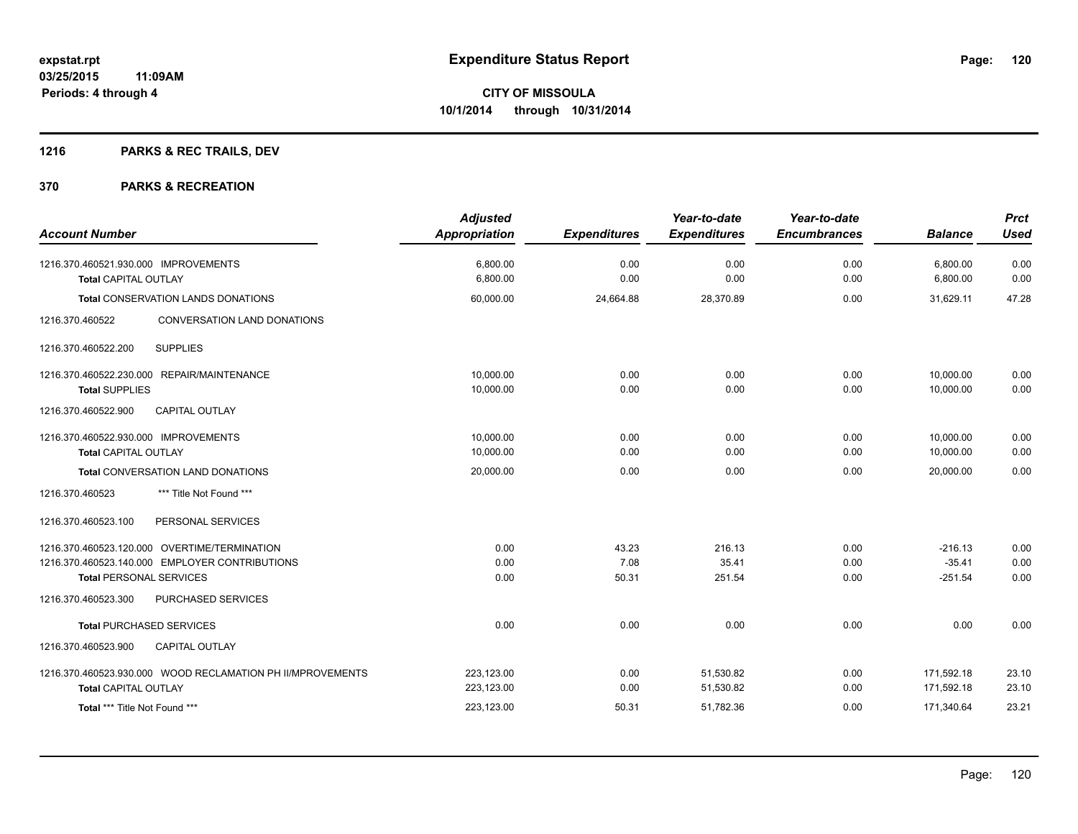## **1216 PARKS & REC TRAILS, DEV**

| <b>Account Number</b>                                                                                                            | <b>Adjusted</b><br>Appropriation       | <b>Expenditures</b>    | Year-to-date<br><b>Expenditures</b> | Year-to-date<br><b>Encumbrances</b> | <b>Balance</b>                         | <b>Prct</b><br><b>Used</b> |
|----------------------------------------------------------------------------------------------------------------------------------|----------------------------------------|------------------------|-------------------------------------|-------------------------------------|----------------------------------------|----------------------------|
| 1216.370.460521.930.000 IMPROVEMENTS<br><b>Total CAPITAL OUTLAY</b>                                                              | 6,800.00<br>6,800.00                   | 0.00<br>0.00           | 0.00<br>0.00                        | 0.00<br>0.00                        | 6,800.00<br>6,800.00                   | 0.00<br>0.00               |
| Total CONSERVATION LANDS DONATIONS                                                                                               | 60,000.00                              | 24,664.88              | 28,370.89                           | 0.00                                | 31,629.11                              | 47.28                      |
| 1216.370.460522<br>CONVERSATION LAND DONATIONS                                                                                   |                                        |                        |                                     |                                     |                                        |                            |
| <b>SUPPLIES</b><br>1216.370.460522.200                                                                                           |                                        |                        |                                     |                                     |                                        |                            |
| 1216.370.460522.230.000 REPAIR/MAINTENANCE<br><b>Total SUPPLIES</b>                                                              | 10,000.00<br>10,000.00                 | 0.00<br>0.00           | 0.00<br>0.00                        | 0.00<br>0.00                        | 10,000.00<br>10.000.00                 | 0.00<br>0.00               |
| CAPITAL OUTLAY<br>1216.370.460522.900                                                                                            |                                        |                        |                                     |                                     |                                        |                            |
| 1216.370.460522.930.000 IMPROVEMENTS<br><b>Total CAPITAL OUTLAY</b>                                                              | 10,000.00<br>10,000.00                 | 0.00<br>0.00           | 0.00<br>0.00                        | 0.00<br>0.00                        | 10.000.00<br>10,000.00                 | 0.00<br>0.00               |
| Total CONVERSATION LAND DONATIONS                                                                                                | 20,000.00                              | 0.00                   | 0.00                                | 0.00                                | 20,000.00                              | 0.00                       |
| *** Title Not Found ***<br>1216.370.460523                                                                                       |                                        |                        |                                     |                                     |                                        |                            |
| PERSONAL SERVICES<br>1216.370.460523.100                                                                                         |                                        |                        |                                     |                                     |                                        |                            |
| 1216.370.460523.120.000 OVERTIME/TERMINATION<br>1216.370.460523.140.000 EMPLOYER CONTRIBUTIONS<br><b>Total PERSONAL SERVICES</b> | 0.00<br>0.00<br>0.00                   | 43.23<br>7.08<br>50.31 | 216.13<br>35.41<br>251.54           | 0.00<br>0.00<br>0.00                | $-216.13$<br>$-35.41$<br>$-251.54$     | 0.00<br>0.00<br>0.00       |
| PURCHASED SERVICES<br>1216.370.460523.300                                                                                        |                                        |                        |                                     |                                     |                                        |                            |
| <b>Total PURCHASED SERVICES</b>                                                                                                  | 0.00                                   | 0.00                   | 0.00                                | 0.00                                | 0.00                                   | 0.00                       |
| 1216.370.460523.900<br><b>CAPITAL OUTLAY</b>                                                                                     |                                        |                        |                                     |                                     |                                        |                            |
| 1216.370.460523.930.000 WOOD RECLAMATION PH II/MPROVEMENTS<br><b>Total CAPITAL OUTLAY</b><br>Total *** Title Not Found ***       | 223,123.00<br>223,123.00<br>223,123.00 | 0.00<br>0.00<br>50.31  | 51,530.82<br>51,530.82<br>51,782.36 | 0.00<br>0.00<br>0.00                | 171,592.18<br>171,592.18<br>171,340.64 | 23.10<br>23.10<br>23.21    |
|                                                                                                                                  |                                        |                        |                                     |                                     |                                        |                            |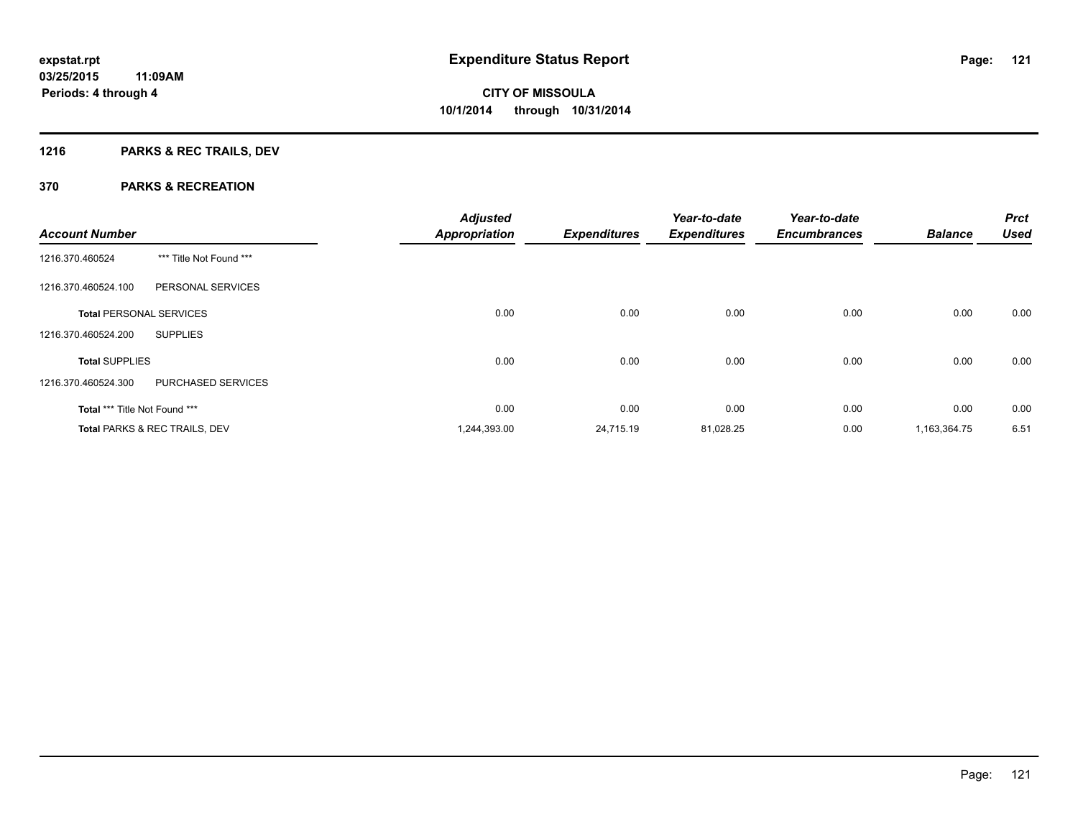## **1216 PARKS & REC TRAILS, DEV**

| <b>Account Number</b>                |                               | <b>Adjusted</b><br><b>Appropriation</b> | <b>Expenditures</b> | Year-to-date<br><b>Expenditures</b> | Year-to-date<br><b>Encumbrances</b> | <b>Balance</b> | <b>Prct</b><br><b>Used</b> |
|--------------------------------------|-------------------------------|-----------------------------------------|---------------------|-------------------------------------|-------------------------------------|----------------|----------------------------|
| 1216.370.460524                      | *** Title Not Found ***       |                                         |                     |                                     |                                     |                |                            |
| 1216.370.460524.100                  | PERSONAL SERVICES             |                                         |                     |                                     |                                     |                |                            |
| <b>Total PERSONAL SERVICES</b>       |                               | 0.00                                    | 0.00                | 0.00                                | 0.00                                | 0.00           | 0.00                       |
| 1216.370.460524.200                  | <b>SUPPLIES</b>               |                                         |                     |                                     |                                     |                |                            |
| <b>Total SUPPLIES</b>                |                               | 0.00                                    | 0.00                | 0.00                                | 0.00                                | 0.00           | 0.00                       |
| 1216.370.460524.300                  | PURCHASED SERVICES            |                                         |                     |                                     |                                     |                |                            |
| <b>Total *** Title Not Found ***</b> |                               | 0.00                                    | 0.00                | 0.00                                | 0.00                                | 0.00           | 0.00                       |
|                                      | Total PARKS & REC TRAILS, DEV | 1,244,393.00                            | 24,715.19           | 81,028.25                           | 0.00                                | 1,163,364.75   | 6.51                       |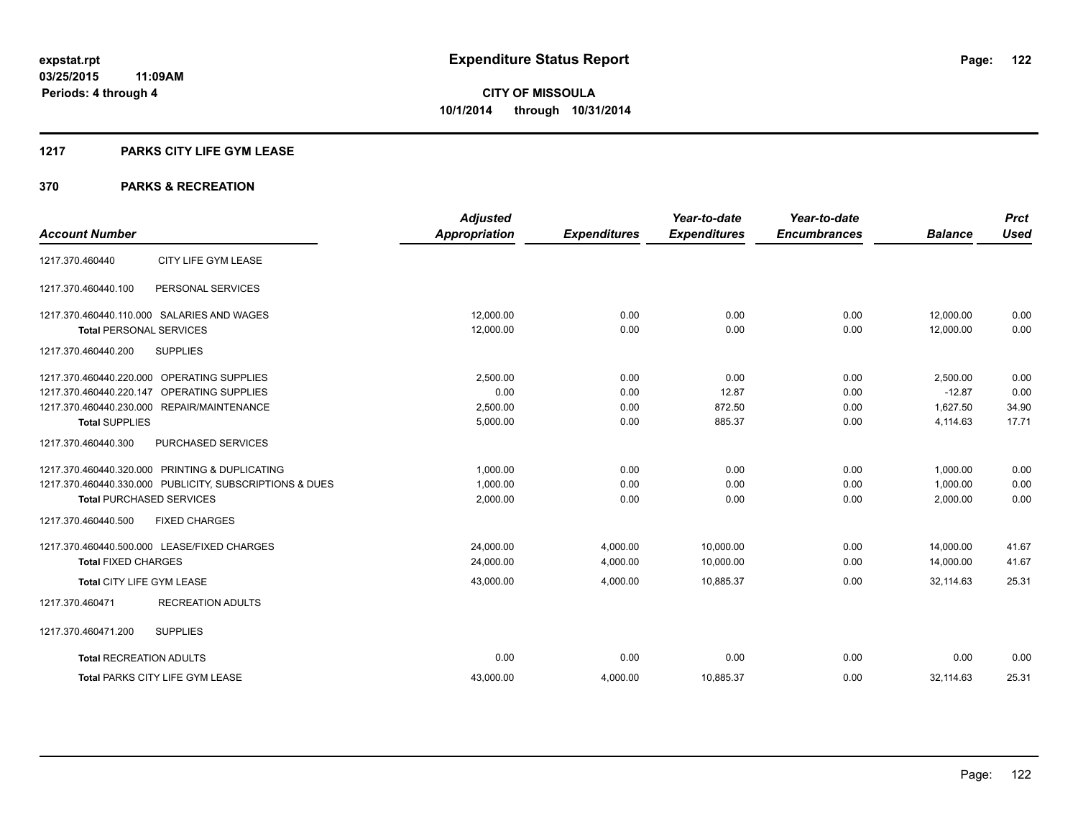#### **1217 PARKS CITY LIFE GYM LEASE**

|                                                         | <b>Adjusted</b>      |                     | Year-to-date        | Year-to-date        |                | <b>Prct</b> |
|---------------------------------------------------------|----------------------|---------------------|---------------------|---------------------|----------------|-------------|
| <b>Account Number</b>                                   | <b>Appropriation</b> | <b>Expenditures</b> | <b>Expenditures</b> | <b>Encumbrances</b> | <b>Balance</b> | <b>Used</b> |
| CITY LIFE GYM LEASE<br>1217.370.460440                  |                      |                     |                     |                     |                |             |
| PERSONAL SERVICES<br>1217.370.460440.100                |                      |                     |                     |                     |                |             |
| 1217.370.460440.110.000 SALARIES AND WAGES              | 12.000.00            | 0.00                | 0.00                | 0.00                | 12.000.00      | 0.00        |
| <b>Total PERSONAL SERVICES</b>                          | 12,000.00            | 0.00                | 0.00                | 0.00                | 12,000.00      | 0.00        |
| <b>SUPPLIES</b><br>1217.370.460440.200                  |                      |                     |                     |                     |                |             |
| 1217.370.460440.220.000 OPERATING SUPPLIES              | 2,500.00             | 0.00                | 0.00                | 0.00                | 2,500.00       | 0.00        |
| 1217.370.460440.220.147 OPERATING SUPPLIES              | 0.00                 | 0.00                | 12.87               | 0.00                | $-12.87$       | 0.00        |
| 1217.370.460440.230.000 REPAIR/MAINTENANCE              | 2,500.00             | 0.00                | 872.50              | 0.00                | 1.627.50       | 34.90       |
| <b>Total SUPPLIES</b>                                   | 5,000.00             | 0.00                | 885.37              | 0.00                | 4,114.63       | 17.71       |
| 1217.370.460440.300<br><b>PURCHASED SERVICES</b>        |                      |                     |                     |                     |                |             |
| 1217.370.460440.320.000 PRINTING & DUPLICATING          | 1,000.00             | 0.00                | 0.00                | 0.00                | 1.000.00       | 0.00        |
| 1217.370.460440.330.000 PUBLICITY, SUBSCRIPTIONS & DUES | 1,000.00             | 0.00                | 0.00                | 0.00                | 1,000.00       | 0.00        |
| <b>Total PURCHASED SERVICES</b>                         | 2,000.00             | 0.00                | 0.00                | 0.00                | 2,000.00       | 0.00        |
| <b>FIXED CHARGES</b><br>1217.370.460440.500             |                      |                     |                     |                     |                |             |
| 1217.370.460440.500.000 LEASE/FIXED CHARGES             | 24,000.00            | 4,000.00            | 10,000.00           | 0.00                | 14,000.00      | 41.67       |
| <b>Total FIXED CHARGES</b>                              | 24,000.00            | 4,000.00            | 10,000.00           | 0.00                | 14,000.00      | 41.67       |
| Total CITY LIFE GYM LEASE                               | 43,000.00            | 4,000.00            | 10,885.37           | 0.00                | 32.114.63      | 25.31       |
| <b>RECREATION ADULTS</b><br>1217.370.460471             |                      |                     |                     |                     |                |             |
| 1217.370.460471.200<br><b>SUPPLIES</b>                  |                      |                     |                     |                     |                |             |
| <b>Total RECREATION ADULTS</b>                          | 0.00                 | 0.00                | 0.00                | 0.00                | 0.00           | 0.00        |
| <b>Total PARKS CITY LIFE GYM LEASE</b>                  | 43,000.00            | 4,000.00            | 10,885.37           | 0.00                | 32,114.63      | 25.31       |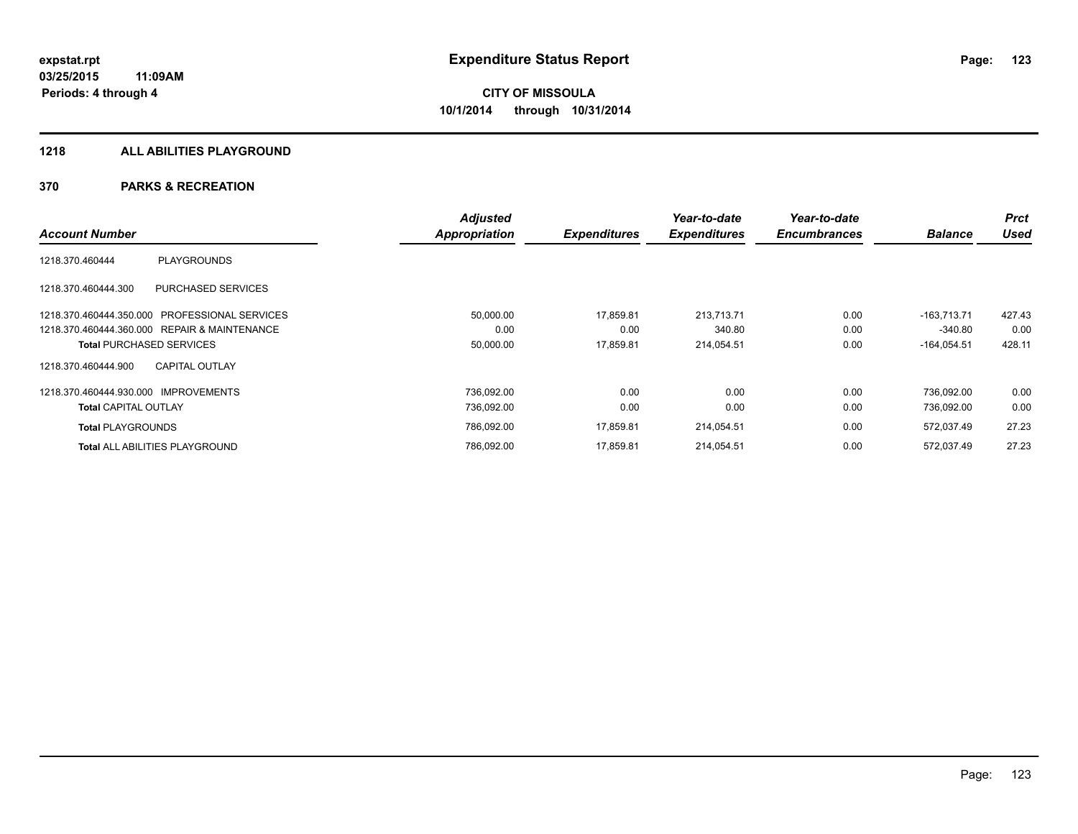### **1218 ALL ABILITIES PLAYGROUND**

|                                                | <b>Adjusted</b> |                     | Year-to-date        | Year-to-date        |                | <b>Prct</b> |
|------------------------------------------------|-----------------|---------------------|---------------------|---------------------|----------------|-------------|
| <b>Account Number</b>                          | Appropriation   | <b>Expenditures</b> | <b>Expenditures</b> | <b>Encumbrances</b> | <b>Balance</b> | <b>Used</b> |
| <b>PLAYGROUNDS</b><br>1218.370.460444          |                 |                     |                     |                     |                |             |
| PURCHASED SERVICES<br>1218.370.460444.300      |                 |                     |                     |                     |                |             |
| 1218.370.460444.350.000 PROFESSIONAL SERVICES  | 50,000.00       | 17,859.81           | 213.713.71          | 0.00                | $-163.713.71$  | 427.43      |
| 1218.370.460444.360.000 REPAIR & MAINTENANCE   | 0.00            | 0.00                | 340.80              | 0.00                | $-340.80$      | 0.00        |
| <b>Total PURCHASED SERVICES</b>                | 50,000.00       | 17,859.81           | 214,054.51          | 0.00                | $-164,054.51$  | 428.11      |
| <b>CAPITAL OUTLAY</b><br>1218.370.460444.900   |                 |                     |                     |                     |                |             |
| 1218.370.460444.930.000<br><b>IMPROVEMENTS</b> | 736,092.00      | 0.00                | 0.00                | 0.00                | 736.092.00     | 0.00        |
| <b>Total CAPITAL OUTLAY</b>                    | 736,092.00      | 0.00                | 0.00                | 0.00                | 736,092.00     | 0.00        |
| <b>Total PLAYGROUNDS</b>                       | 786,092.00      | 17,859.81           | 214,054.51          | 0.00                | 572,037.49     | 27.23       |
| <b>Total ALL ABILITIES PLAYGROUND</b>          | 786.092.00      | 17.859.81           | 214,054.51          | 0.00                | 572.037.49     | 27.23       |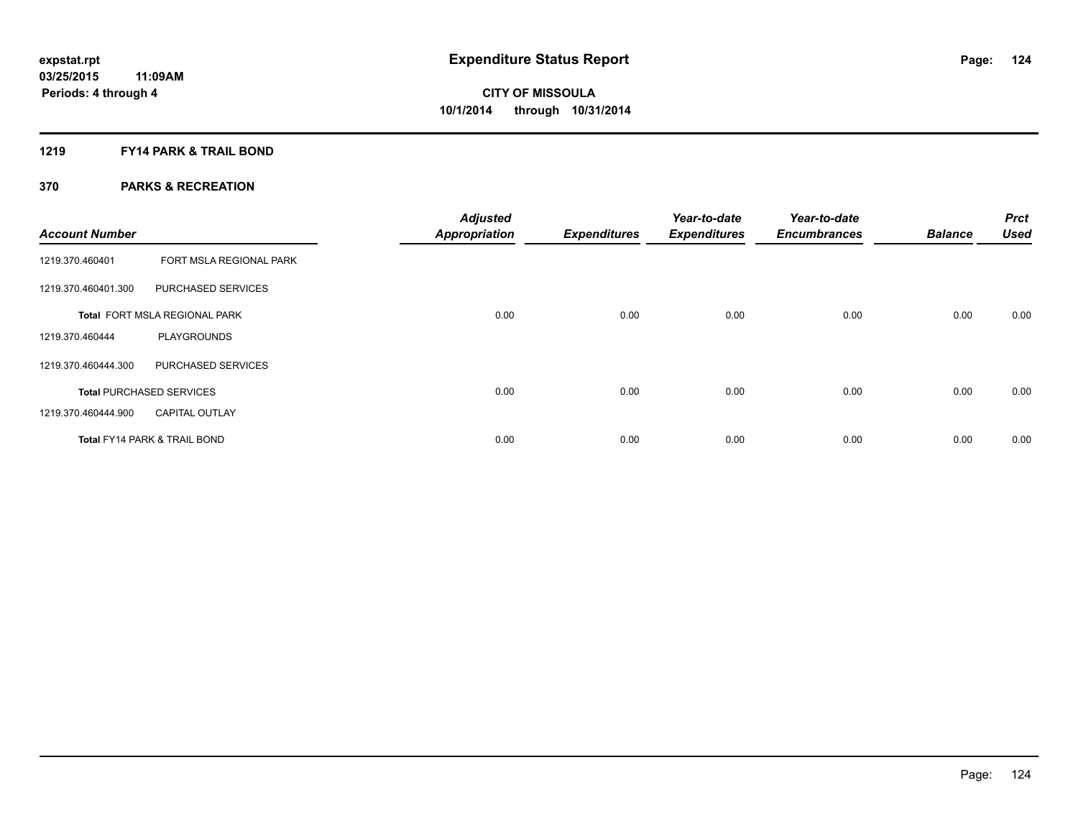### **1219 FY14 PARK & TRAIL BOND**

| <b>Account Number</b> |                                         | <b>Adjusted</b><br><b>Appropriation</b> | <b>Expenditures</b> | Year-to-date<br><b>Expenditures</b> | Year-to-date<br><b>Encumbrances</b> | <b>Balance</b> | <b>Prct</b><br><b>Used</b> |
|-----------------------|-----------------------------------------|-----------------------------------------|---------------------|-------------------------------------|-------------------------------------|----------------|----------------------------|
| 1219.370.460401       | FORT MSLA REGIONAL PARK                 |                                         |                     |                                     |                                     |                |                            |
| 1219.370.460401.300   | <b>PURCHASED SERVICES</b>               |                                         |                     |                                     |                                     |                |                            |
|                       | Total FORT MSLA REGIONAL PARK           | 0.00                                    | 0.00                | 0.00                                | 0.00                                | 0.00           | 0.00                       |
| 1219.370.460444       | <b>PLAYGROUNDS</b>                      |                                         |                     |                                     |                                     |                |                            |
| 1219.370.460444.300   | PURCHASED SERVICES                      |                                         |                     |                                     |                                     |                |                            |
|                       | <b>Total PURCHASED SERVICES</b>         | 0.00                                    | 0.00                | 0.00                                | 0.00                                | 0.00           | 0.00                       |
| 1219.370.460444.900   | <b>CAPITAL OUTLAY</b>                   |                                         |                     |                                     |                                     |                |                            |
|                       | <b>Total FY14 PARK &amp; TRAIL BOND</b> | 0.00                                    | 0.00                | 0.00                                | 0.00                                | 0.00           | 0.00                       |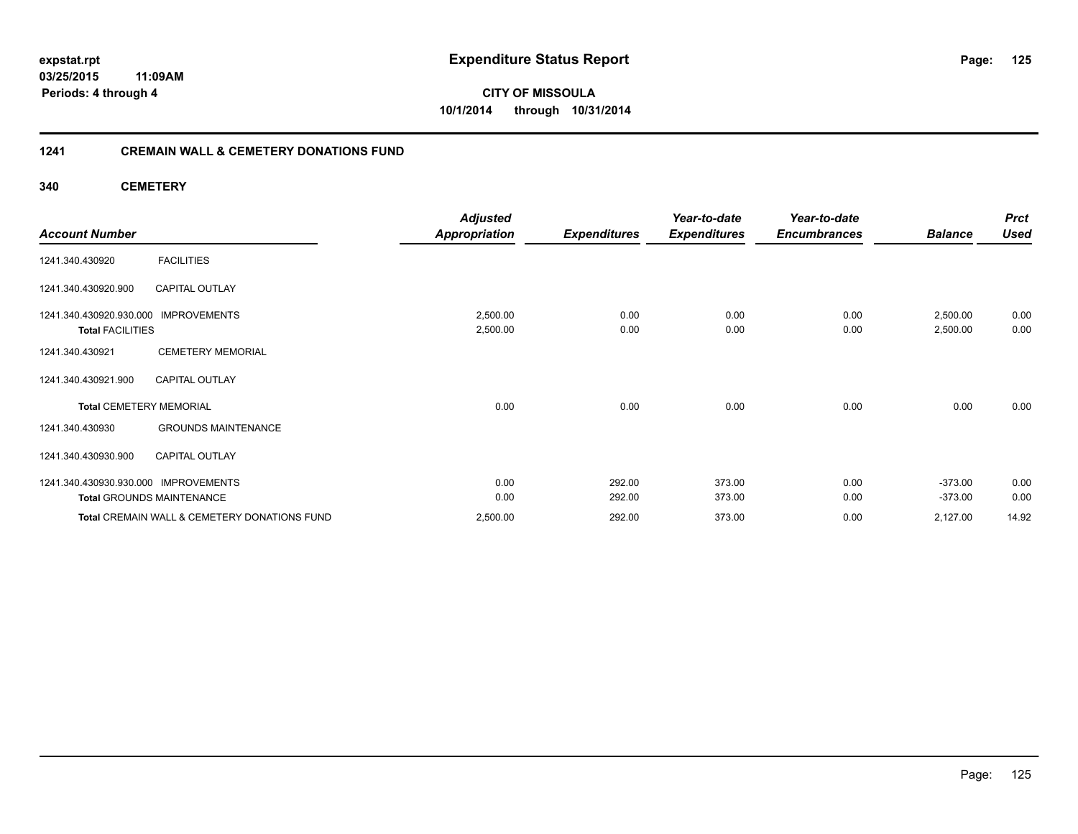### **03/25/2015 11:09AM Periods: 4 through 4**

**CITY OF MISSOULA 10/1/2014 through 10/31/2014**

### **1241 CREMAIN WALL & CEMETERY DONATIONS FUND**

**340 CEMETERY**

|                                                    |                                              | <b>Adjusted</b>      |                     | Year-to-date        | Year-to-date        |                      | <b>Prct</b>  |
|----------------------------------------------------|----------------------------------------------|----------------------|---------------------|---------------------|---------------------|----------------------|--------------|
| <b>Account Number</b>                              |                                              | <b>Appropriation</b> | <b>Expenditures</b> | <b>Expenditures</b> | <b>Encumbrances</b> | <b>Balance</b>       | <b>Used</b>  |
| 1241.340.430920                                    | <b>FACILITIES</b>                            |                      |                     |                     |                     |                      |              |
| 1241.340.430920.900                                | CAPITAL OUTLAY                               |                      |                     |                     |                     |                      |              |
| 1241.340.430920.930.000<br><b>Total FACILITIES</b> | <b>IMPROVEMENTS</b>                          | 2,500.00<br>2,500.00 | 0.00<br>0.00        | 0.00<br>0.00        | 0.00<br>0.00        | 2,500.00<br>2,500.00 | 0.00<br>0.00 |
| 1241.340.430921                                    | <b>CEMETERY MEMORIAL</b>                     |                      |                     |                     |                     |                      |              |
| 1241.340.430921.900                                | <b>CAPITAL OUTLAY</b>                        |                      |                     |                     |                     |                      |              |
| <b>Total CEMETERY MEMORIAL</b>                     |                                              | 0.00                 | 0.00                | 0.00                | 0.00                | 0.00                 | 0.00         |
| 1241.340.430930                                    | <b>GROUNDS MAINTENANCE</b>                   |                      |                     |                     |                     |                      |              |
| 1241.340.430930.900                                | <b>CAPITAL OUTLAY</b>                        |                      |                     |                     |                     |                      |              |
| 1241.340.430930.930.000 IMPROVEMENTS               |                                              | 0.00                 | 292.00              | 373.00              | 0.00                | $-373.00$            | 0.00         |
| <b>Total GROUNDS MAINTENANCE</b>                   |                                              | 0.00                 | 292.00              | 373.00              | 0.00                | $-373.00$            | 0.00         |
|                                                    | Total CREMAIN WALL & CEMETERY DONATIONS FUND | 2,500.00             | 292.00              | 373.00              | 0.00                | 2,127.00             | 14.92        |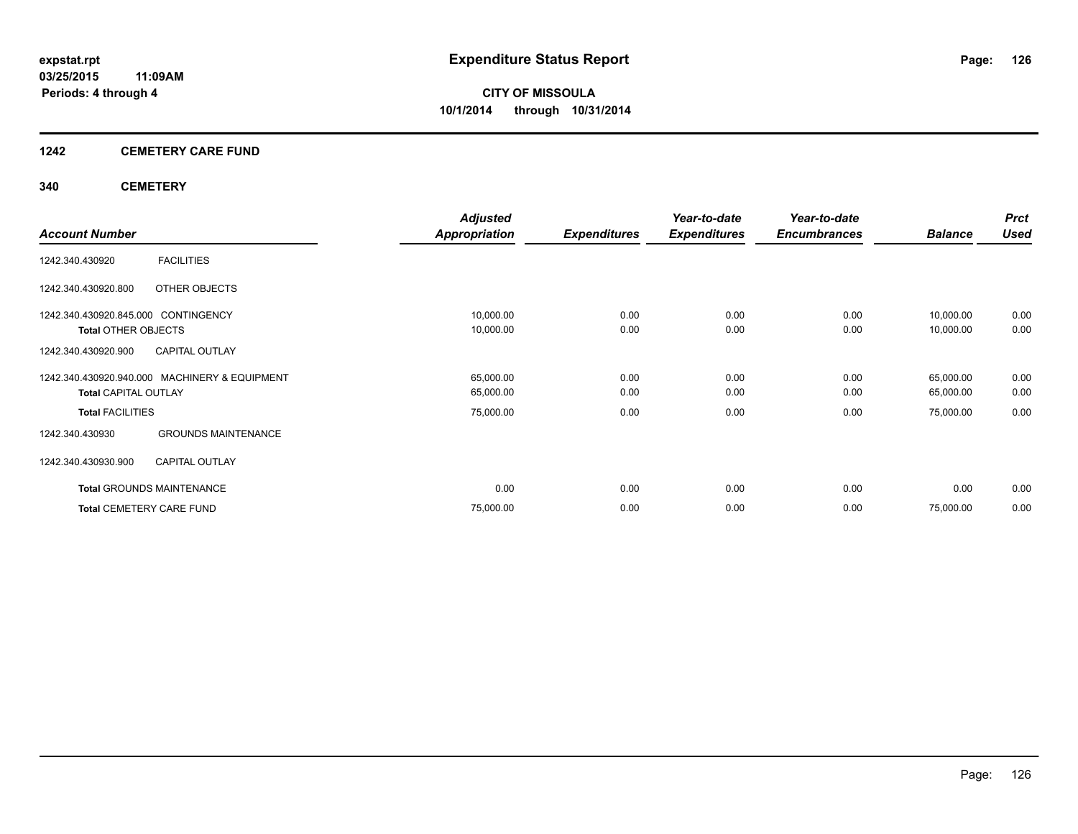### **1242 CEMETERY CARE FUND**

### **340 CEMETERY**

|                                     |                                               | <b>Adjusted</b>      |                     | Year-to-date        | Year-to-date        |                | <b>Prct</b> |
|-------------------------------------|-----------------------------------------------|----------------------|---------------------|---------------------|---------------------|----------------|-------------|
| <b>Account Number</b>               |                                               | <b>Appropriation</b> | <b>Expenditures</b> | <b>Expenditures</b> | <b>Encumbrances</b> | <b>Balance</b> | <b>Used</b> |
| 1242.340.430920                     | <b>FACILITIES</b>                             |                      |                     |                     |                     |                |             |
| 1242.340.430920.800                 | OTHER OBJECTS                                 |                      |                     |                     |                     |                |             |
| 1242.340.430920.845.000 CONTINGENCY |                                               | 10,000.00            | 0.00                | 0.00                | 0.00                | 10,000.00      | 0.00        |
| <b>Total OTHER OBJECTS</b>          |                                               | 10,000.00            | 0.00                | 0.00                | 0.00                | 10,000.00      | 0.00        |
| 1242.340.430920.900                 | <b>CAPITAL OUTLAY</b>                         |                      |                     |                     |                     |                |             |
|                                     | 1242.340.430920.940.000 MACHINERY & EQUIPMENT | 65,000.00            | 0.00                | 0.00                | 0.00                | 65,000.00      | 0.00        |
| <b>Total CAPITAL OUTLAY</b>         |                                               | 65,000.00            | 0.00                | 0.00                | 0.00                | 65,000.00      | 0.00        |
| <b>Total FACILITIES</b>             |                                               | 75,000.00            | 0.00                | 0.00                | 0.00                | 75,000.00      | 0.00        |
| 1242.340.430930                     | <b>GROUNDS MAINTENANCE</b>                    |                      |                     |                     |                     |                |             |
| 1242.340.430930.900                 | <b>CAPITAL OUTLAY</b>                         |                      |                     |                     |                     |                |             |
| <b>Total GROUNDS MAINTENANCE</b>    |                                               | 0.00                 | 0.00                | 0.00                | 0.00                | 0.00           | 0.00        |
| <b>Total CEMETERY CARE FUND</b>     |                                               | 75,000.00            | 0.00                | 0.00                | 0.00                | 75,000.00      | 0.00        |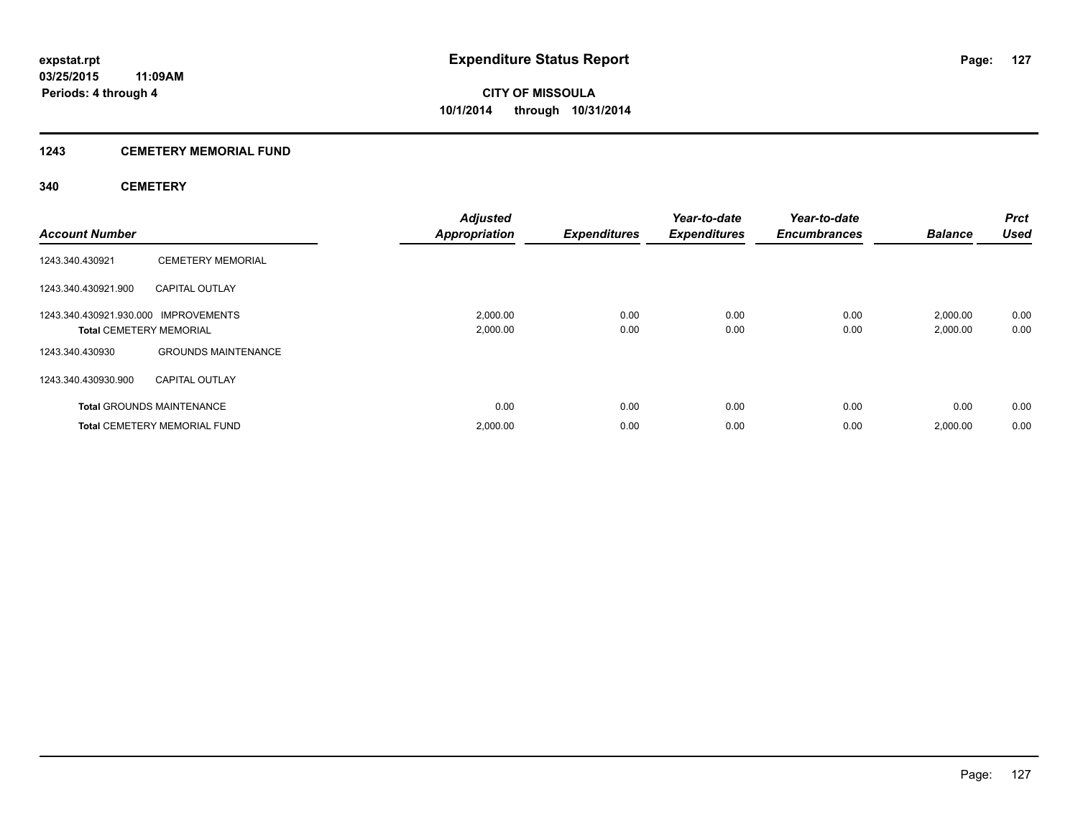### **1243 CEMETERY MEMORIAL FUND**

### **340 CEMETERY**

| <b>Account Number</b>                                                  |                                     | Adjusted<br><b>Appropriation</b> | <b>Expenditures</b> | Year-to-date<br><b>Expenditures</b> | Year-to-date<br><b>Encumbrances</b> | <b>Balance</b>       | <b>Prct</b><br><b>Used</b> |
|------------------------------------------------------------------------|-------------------------------------|----------------------------------|---------------------|-------------------------------------|-------------------------------------|----------------------|----------------------------|
| 1243.340.430921                                                        | <b>CEMETERY MEMORIAL</b>            |                                  |                     |                                     |                                     |                      |                            |
| 1243.340.430921.900                                                    | <b>CAPITAL OUTLAY</b>               |                                  |                     |                                     |                                     |                      |                            |
| 1243.340.430921.930.000 IMPROVEMENTS<br><b>Total CEMETERY MEMORIAL</b> |                                     | 2,000.00<br>2,000.00             | 0.00<br>0.00        | 0.00<br>0.00                        | 0.00<br>0.00                        | 2,000.00<br>2,000.00 | 0.00<br>0.00               |
| 1243.340.430930                                                        | <b>GROUNDS MAINTENANCE</b>          |                                  |                     |                                     |                                     |                      |                            |
| 1243.340.430930.900                                                    | <b>CAPITAL OUTLAY</b>               |                                  |                     |                                     |                                     |                      |                            |
|                                                                        | <b>Total GROUNDS MAINTENANCE</b>    | 0.00                             | 0.00                | 0.00                                | 0.00                                | 0.00                 | 0.00                       |
|                                                                        | <b>Total CEMETERY MEMORIAL FUND</b> | 2,000.00                         | 0.00                | 0.00                                | 0.00                                | 2,000.00             | 0.00                       |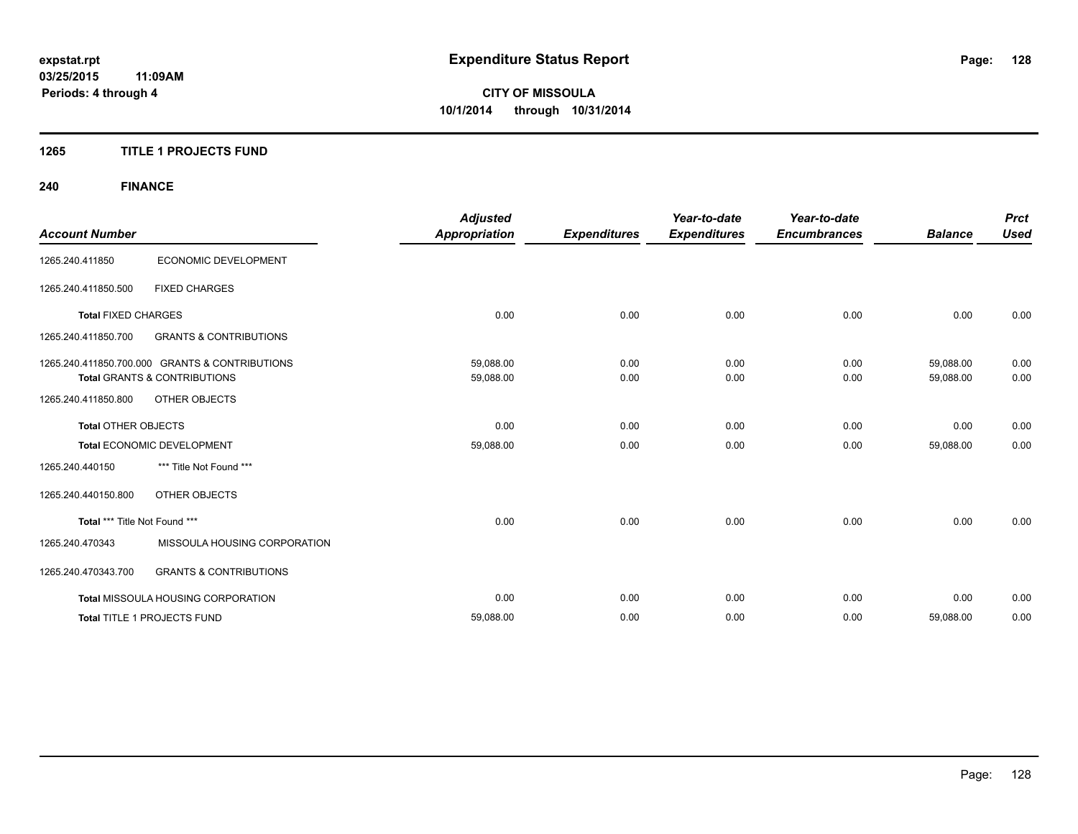### **1265 TITLE 1 PROJECTS FUND**

## **240 FINANCE**

| <b>Account Number</b>         |                                                                                           | <b>Adjusted</b><br><b>Appropriation</b> | <b>Expenditures</b> | Year-to-date<br><b>Expenditures</b> | Year-to-date<br><b>Encumbrances</b> | <b>Balance</b>         | <b>Prct</b><br><b>Used</b> |
|-------------------------------|-------------------------------------------------------------------------------------------|-----------------------------------------|---------------------|-------------------------------------|-------------------------------------|------------------------|----------------------------|
| 1265.240.411850               | ECONOMIC DEVELOPMENT                                                                      |                                         |                     |                                     |                                     |                        |                            |
| 1265.240.411850.500           | <b>FIXED CHARGES</b>                                                                      |                                         |                     |                                     |                                     |                        |                            |
| <b>Total FIXED CHARGES</b>    |                                                                                           | 0.00                                    | 0.00                | 0.00                                | 0.00                                | 0.00                   | 0.00                       |
| 1265.240.411850.700           | <b>GRANTS &amp; CONTRIBUTIONS</b>                                                         |                                         |                     |                                     |                                     |                        |                            |
|                               | 1265.240.411850.700.000 GRANTS & CONTRIBUTIONS<br><b>Total GRANTS &amp; CONTRIBUTIONS</b> | 59,088.00<br>59,088.00                  | 0.00<br>0.00        | 0.00<br>0.00                        | 0.00<br>0.00                        | 59,088.00<br>59,088.00 | 0.00<br>0.00               |
| 1265.240.411850.800           | <b>OTHER OBJECTS</b>                                                                      |                                         |                     |                                     |                                     |                        |                            |
| <b>Total OTHER OBJECTS</b>    |                                                                                           | 0.00                                    | 0.00                | 0.00                                | 0.00                                | 0.00                   | 0.00                       |
|                               | Total ECONOMIC DEVELOPMENT                                                                | 59,088.00                               | 0.00                | 0.00                                | 0.00                                | 59,088.00              | 0.00                       |
| 1265.240.440150               | *** Title Not Found ***                                                                   |                                         |                     |                                     |                                     |                        |                            |
| 1265.240.440150.800           | <b>OTHER OBJECTS</b>                                                                      |                                         |                     |                                     |                                     |                        |                            |
| Total *** Title Not Found *** |                                                                                           | 0.00                                    | 0.00                | 0.00                                | 0.00                                | 0.00                   | 0.00                       |
| 1265.240.470343               | MISSOULA HOUSING CORPORATION                                                              |                                         |                     |                                     |                                     |                        |                            |
| 1265.240.470343.700           | <b>GRANTS &amp; CONTRIBUTIONS</b>                                                         |                                         |                     |                                     |                                     |                        |                            |
|                               | <b>Total MISSOULA HOUSING CORPORATION</b>                                                 | 0.00                                    | 0.00                | 0.00                                | 0.00                                | 0.00                   | 0.00                       |
|                               | Total TITLE 1 PROJECTS FUND                                                               | 59,088.00                               | 0.00                | 0.00                                | 0.00                                | 59,088.00              | 0.00                       |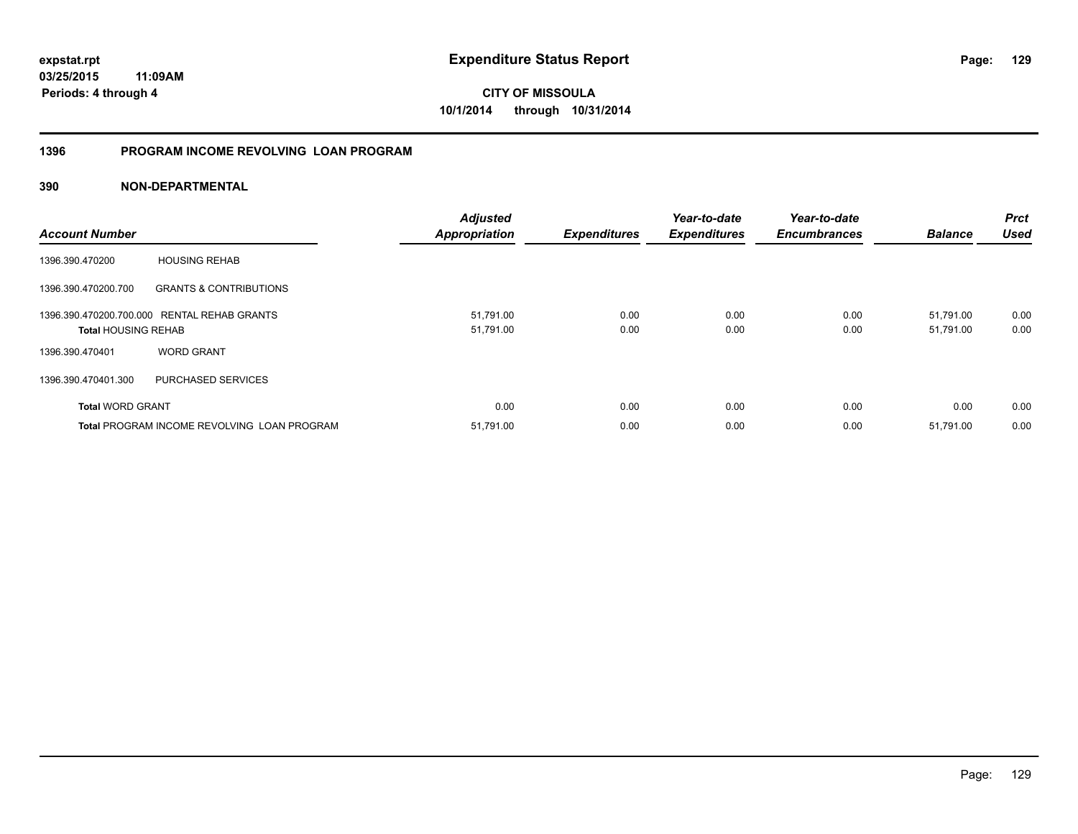**03/25/2015 11:09AM Periods: 4 through 4**

**CITY OF MISSOULA 10/1/2014 through 10/31/2014**

### **1396 PROGRAM INCOME REVOLVING LOAN PROGRAM**

| <b>Account Number</b>      |                                                    | <b>Adjusted</b><br><b>Appropriation</b> | <b>Expenditures</b> | Year-to-date<br><b>Expenditures</b> | Year-to-date<br><b>Encumbrances</b> | <b>Balance</b> | <b>Prct</b><br><b>Used</b> |
|----------------------------|----------------------------------------------------|-----------------------------------------|---------------------|-------------------------------------|-------------------------------------|----------------|----------------------------|
| 1396.390.470200            | <b>HOUSING REHAB</b>                               |                                         |                     |                                     |                                     |                |                            |
| 1396.390.470200.700        | <b>GRANTS &amp; CONTRIBUTIONS</b>                  |                                         |                     |                                     |                                     |                |                            |
|                            | 1396.390.470200.700.000 RENTAL REHAB GRANTS        | 51,791.00                               | 0.00                | 0.00                                | 0.00                                | 51,791.00      | 0.00                       |
| <b>Total HOUSING REHAB</b> |                                                    | 51,791.00                               | 0.00                | 0.00                                | 0.00                                | 51,791.00      | 0.00                       |
| 1396.390.470401            | <b>WORD GRANT</b>                                  |                                         |                     |                                     |                                     |                |                            |
| 1396.390.470401.300        | PURCHASED SERVICES                                 |                                         |                     |                                     |                                     |                |                            |
| <b>Total WORD GRANT</b>    |                                                    | 0.00                                    | 0.00                | 0.00                                | 0.00                                | 0.00           | 0.00                       |
|                            | <b>Total PROGRAM INCOME REVOLVING LOAN PROGRAM</b> | 51,791.00                               | 0.00                | 0.00                                | 0.00                                | 51,791.00      | 0.00                       |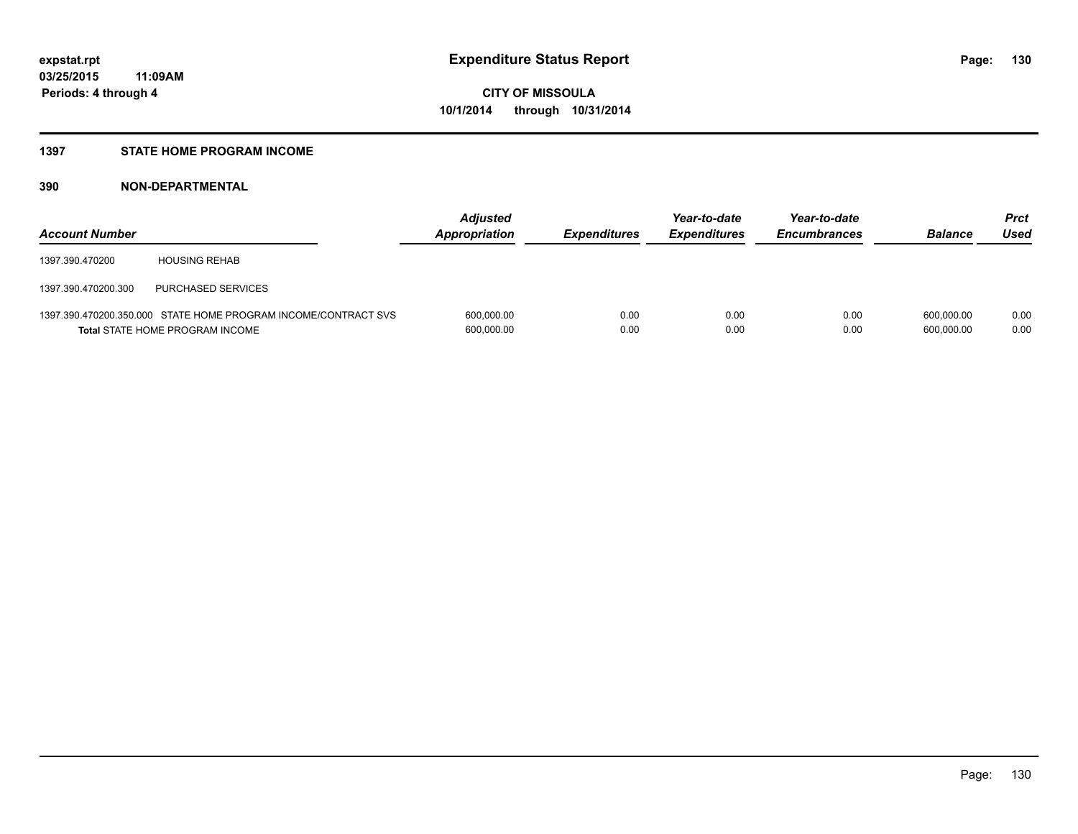### **1397 STATE HOME PROGRAM INCOME**

| <b>Account Number</b> |                                                                                                          | <b>Adjusted</b><br>Appropriation | <b>Expenditures</b> | Year-to-date<br><b>Expenditures</b> | Year-to-date<br><b>Encumbrances</b> | <b>Balance</b>           | Prct<br>Used |
|-----------------------|----------------------------------------------------------------------------------------------------------|----------------------------------|---------------------|-------------------------------------|-------------------------------------|--------------------------|--------------|
| 1397.390.470200       | <b>HOUSING REHAB</b>                                                                                     |                                  |                     |                                     |                                     |                          |              |
| 1397.390.470200.300   | PURCHASED SERVICES                                                                                       |                                  |                     |                                     |                                     |                          |              |
|                       | 1397.390.470200.350.000 STATE HOME PROGRAM INCOME/CONTRACT SVS<br><b>Total STATE HOME PROGRAM INCOME</b> | 600,000.00<br>600,000.00         | 0.00<br>0.00        | 0.00<br>0.00                        | 0.00<br>0.00                        | 600.000.00<br>600.000.00 | 0.00<br>0.00 |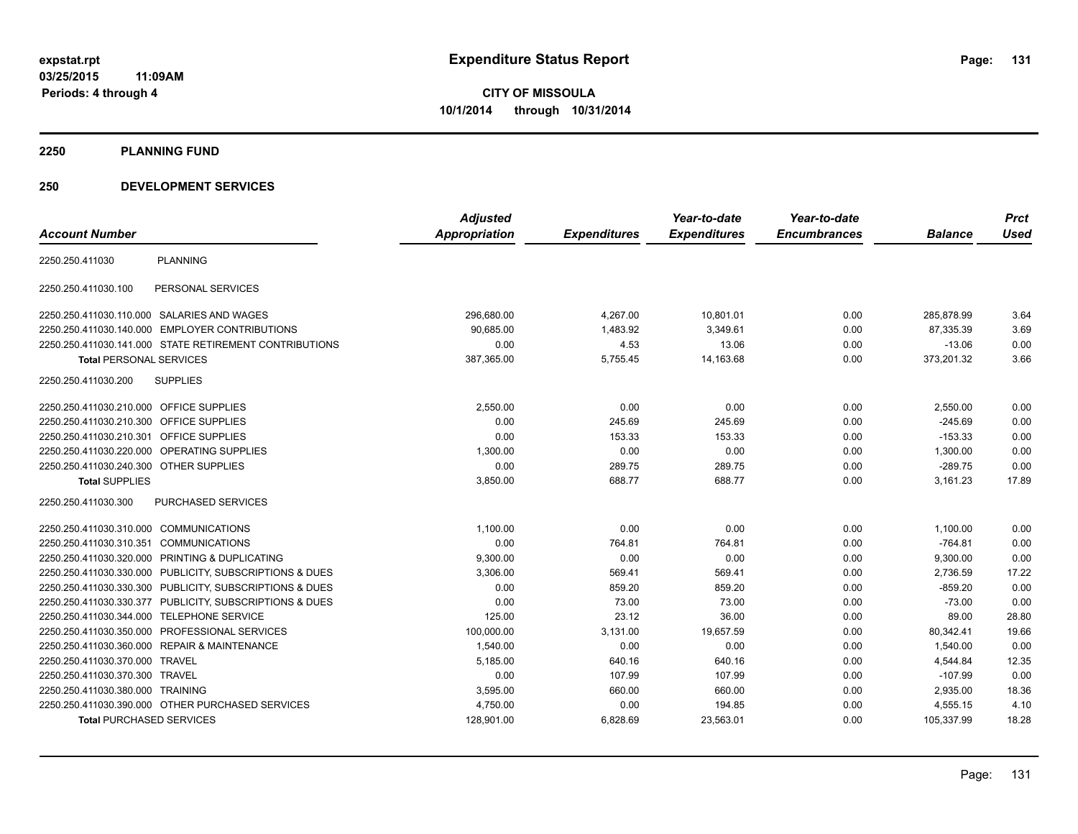**2250 PLANNING FUND**

### **250 DEVELOPMENT SERVICES**

|                                         |                                                         | <b>Adjusted</b> |                     | Year-to-date        | Year-to-date        |                | <b>Prct</b> |
|-----------------------------------------|---------------------------------------------------------|-----------------|---------------------|---------------------|---------------------|----------------|-------------|
| <b>Account Number</b>                   |                                                         | Appropriation   | <b>Expenditures</b> | <b>Expenditures</b> | <b>Encumbrances</b> | <b>Balance</b> | <b>Used</b> |
| 2250.250.411030                         | <b>PLANNING</b>                                         |                 |                     |                     |                     |                |             |
| 2250.250.411030.100                     | PERSONAL SERVICES                                       |                 |                     |                     |                     |                |             |
|                                         | 2250.250.411030.110.000 SALARIES AND WAGES              | 296,680.00      | 4,267.00            | 10,801.01           | 0.00                | 285,878.99     | 3.64        |
|                                         | 2250.250.411030.140.000 EMPLOYER CONTRIBUTIONS          | 90.685.00       | 1,483.92            | 3,349.61            | 0.00                | 87,335.39      | 3.69        |
|                                         | 2250.250.411030.141.000 STATE RETIREMENT CONTRIBUTIONS  | 0.00            | 4.53                | 13.06               | 0.00                | $-13.06$       | 0.00        |
| <b>Total PERSONAL SERVICES</b>          |                                                         | 387,365.00      | 5,755.45            | 14,163.68           | 0.00                | 373,201.32     | 3.66        |
| 2250.250.411030.200                     | <b>SUPPLIES</b>                                         |                 |                     |                     |                     |                |             |
| 2250.250.411030.210.000 OFFICE SUPPLIES |                                                         | 2,550.00        | 0.00                | 0.00                | 0.00                | 2,550.00       | 0.00        |
| 2250.250.411030.210.300 OFFICE SUPPLIES |                                                         | 0.00            | 245.69              | 245.69              | 0.00                | $-245.69$      | 0.00        |
| 2250.250.411030.210.301 OFFICE SUPPLIES |                                                         | 0.00            | 153.33              | 153.33              | 0.00                | $-153.33$      | 0.00        |
|                                         | 2250.250.411030.220.000 OPERATING SUPPLIES              | 1,300.00        | 0.00                | 0.00                | 0.00                | 1,300.00       | 0.00        |
| 2250.250.411030.240.300 OTHER SUPPLIES  |                                                         | 0.00            | 289.75              | 289.75              | 0.00                | $-289.75$      | 0.00        |
| <b>Total SUPPLIES</b>                   |                                                         | 3,850.00        | 688.77              | 688.77              | 0.00                | 3,161.23       | 17.89       |
| 2250.250.411030.300                     | PURCHASED SERVICES                                      |                 |                     |                     |                     |                |             |
| 2250.250.411030.310.000 COMMUNICATIONS  |                                                         | 1,100.00        | 0.00                | 0.00                | 0.00                | 1,100.00       | 0.00        |
| 2250.250.411030.310.351 COMMUNICATIONS  |                                                         | 0.00            | 764.81              | 764.81              | 0.00                | $-764.81$      | 0.00        |
|                                         | 2250.250.411030.320.000 PRINTING & DUPLICATING          | 9,300.00        | 0.00                | 0.00                | 0.00                | 9,300.00       | 0.00        |
|                                         | 2250.250.411030.330.000 PUBLICITY, SUBSCRIPTIONS & DUES | 3,306.00        | 569.41              | 569.41              | 0.00                | 2,736.59       | 17.22       |
|                                         | 2250.250.411030.330.300 PUBLICITY, SUBSCRIPTIONS & DUES | 0.00            | 859.20              | 859.20              | 0.00                | $-859.20$      | 0.00        |
|                                         | 2250.250.411030.330.377 PUBLICITY, SUBSCRIPTIONS & DUES | 0.00            | 73.00               | 73.00               | 0.00                | $-73.00$       | 0.00        |
|                                         | 2250.250.411030.344.000 TELEPHONE SERVICE               | 125.00          | 23.12               | 36.00               | 0.00                | 89.00          | 28.80       |
|                                         | 2250.250.411030.350.000 PROFESSIONAL SERVICES           | 100,000.00      | 3,131.00            | 19,657.59           | 0.00                | 80.342.41      | 19.66       |
|                                         | 2250.250.411030.360.000 REPAIR & MAINTENANCE            | 1,540.00        | 0.00                | 0.00                | 0.00                | 1,540.00       | 0.00        |
| 2250.250.411030.370.000 TRAVEL          |                                                         | 5,185.00        | 640.16              | 640.16              | 0.00                | 4,544.84       | 12.35       |
| 2250.250.411030.370.300 TRAVEL          |                                                         | 0.00            | 107.99              | 107.99              | 0.00                | $-107.99$      | 0.00        |
| 2250.250.411030.380.000 TRAINING        |                                                         | 3,595.00        | 660.00              | 660.00              | 0.00                | 2,935.00       | 18.36       |
|                                         | 2250.250.411030.390.000 OTHER PURCHASED SERVICES        | 4,750.00        | 0.00                | 194.85              | 0.00                | 4,555.15       | 4.10        |
| <b>Total PURCHASED SERVICES</b>         |                                                         | 128,901.00      | 6,828.69            | 23,563.01           | 0.00                | 105,337.99     | 18.28       |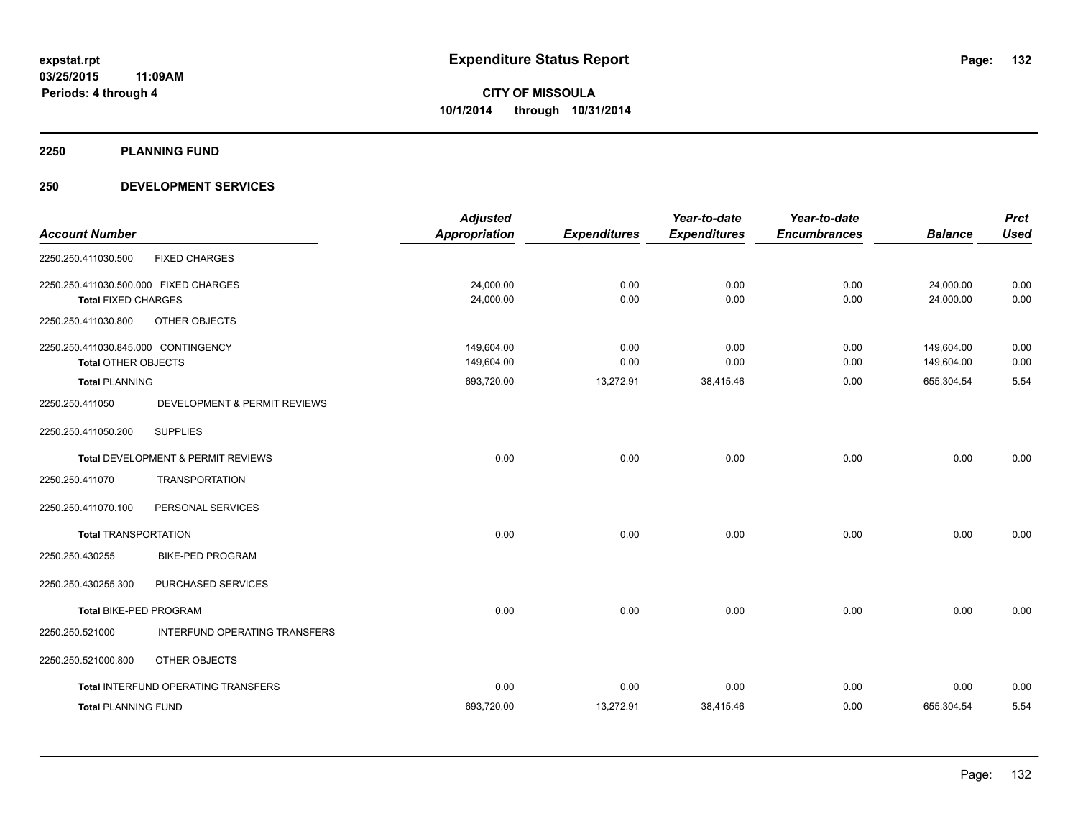**2250 PLANNING FUND**

### **250 DEVELOPMENT SERVICES**

| <b>Account Number</b>                                               |                                            | <b>Adjusted</b><br><b>Appropriation</b> | <b>Expenditures</b> | Year-to-date<br><b>Expenditures</b> | Year-to-date<br><b>Encumbrances</b> | <b>Balance</b>           | <b>Prct</b><br><b>Used</b> |
|---------------------------------------------------------------------|--------------------------------------------|-----------------------------------------|---------------------|-------------------------------------|-------------------------------------|--------------------------|----------------------------|
| 2250.250.411030.500                                                 | <b>FIXED CHARGES</b>                       |                                         |                     |                                     |                                     |                          |                            |
| 2250.250.411030.500.000 FIXED CHARGES<br><b>Total FIXED CHARGES</b> |                                            | 24,000.00<br>24,000.00                  | 0.00<br>0.00        | 0.00<br>0.00                        | 0.00<br>0.00                        | 24,000.00<br>24,000.00   | 0.00<br>0.00               |
| 2250.250.411030.800                                                 | OTHER OBJECTS                              |                                         |                     |                                     |                                     |                          |                            |
| 2250.250.411030.845.000 CONTINGENCY<br><b>Total OTHER OBJECTS</b>   |                                            | 149,604.00<br>149,604.00                | 0.00<br>0.00        | 0.00<br>0.00                        | 0.00<br>0.00                        | 149,604.00<br>149,604.00 | 0.00<br>0.00               |
| <b>Total PLANNING</b>                                               |                                            | 693,720.00                              | 13,272.91           | 38,415.46                           | 0.00                                | 655,304.54               | 5.54                       |
| 2250.250.411050                                                     | DEVELOPMENT & PERMIT REVIEWS               |                                         |                     |                                     |                                     |                          |                            |
| 2250.250.411050.200                                                 | <b>SUPPLIES</b>                            |                                         |                     |                                     |                                     |                          |                            |
|                                                                     | Total DEVELOPMENT & PERMIT REVIEWS         | 0.00                                    | 0.00                | 0.00                                | 0.00                                | 0.00                     | 0.00                       |
| 2250.250.411070                                                     | <b>TRANSPORTATION</b>                      |                                         |                     |                                     |                                     |                          |                            |
| 2250.250.411070.100                                                 | PERSONAL SERVICES                          |                                         |                     |                                     |                                     |                          |                            |
| <b>Total TRANSPORTATION</b>                                         |                                            | 0.00                                    | 0.00                | 0.00                                | 0.00                                | 0.00                     | 0.00                       |
| 2250.250.430255                                                     | <b>BIKE-PED PROGRAM</b>                    |                                         |                     |                                     |                                     |                          |                            |
| 2250.250.430255.300                                                 | PURCHASED SERVICES                         |                                         |                     |                                     |                                     |                          |                            |
| <b>Total BIKE-PED PROGRAM</b>                                       |                                            | 0.00                                    | 0.00                | 0.00                                | 0.00                                | 0.00                     | 0.00                       |
| 2250.250.521000                                                     | INTERFUND OPERATING TRANSFERS              |                                         |                     |                                     |                                     |                          |                            |
| 2250.250.521000.800                                                 | OTHER OBJECTS                              |                                         |                     |                                     |                                     |                          |                            |
|                                                                     | <b>Total INTERFUND OPERATING TRANSFERS</b> | 0.00                                    | 0.00                | 0.00                                | 0.00                                | 0.00                     | 0.00                       |
| <b>Total PLANNING FUND</b>                                          |                                            | 693,720.00                              | 13,272.91           | 38,415.46                           | 0.00                                | 655,304.54               | 5.54                       |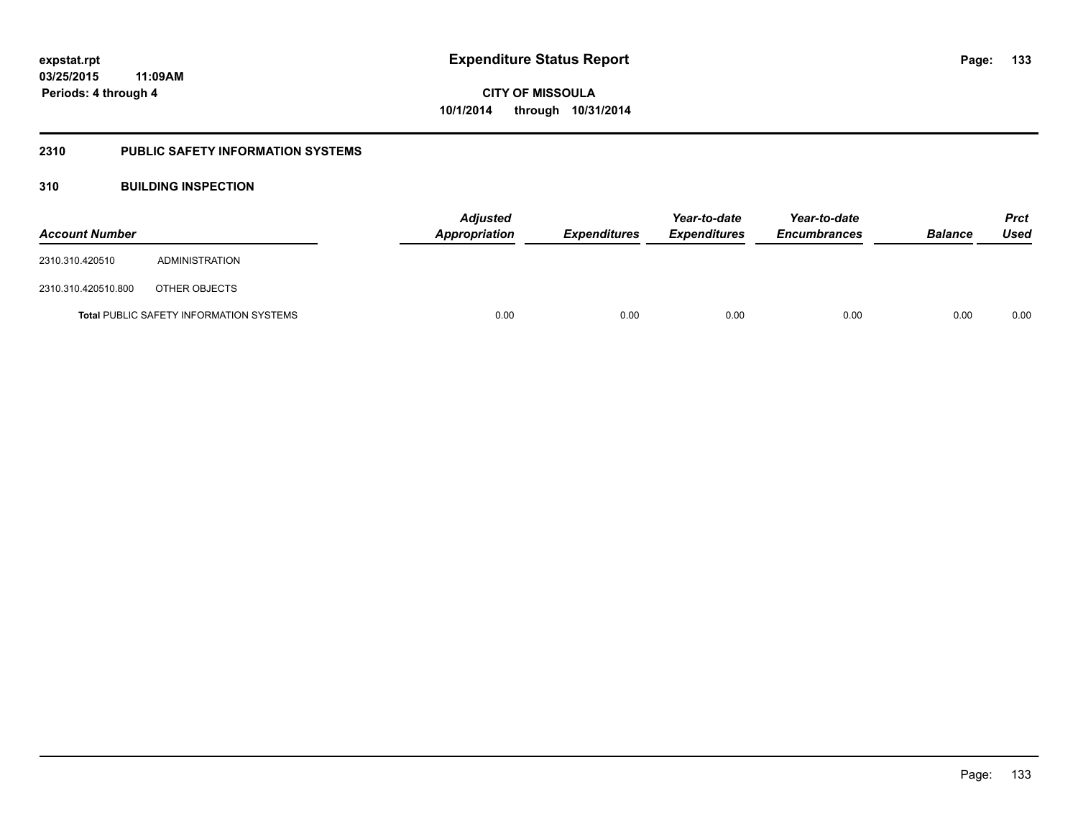### **2310 PUBLIC SAFETY INFORMATION SYSTEMS**

### **310 BUILDING INSPECTION**

| <b>Account Number</b> |                                                | Appropriation | Adjusted<br><b>Expenditures</b> |      | Year-to-date<br><b>Expenditures</b> | Year-to-date<br><b>Encumbrances</b> | <b>Balance</b> | <b>Prct</b><br>Used |
|-----------------------|------------------------------------------------|---------------|---------------------------------|------|-------------------------------------|-------------------------------------|----------------|---------------------|
| 2310.310.420510       | ADMINISTRATION                                 |               |                                 |      |                                     |                                     |                |                     |
| 2310.310.420510.800   | OTHER OBJECTS                                  |               |                                 |      |                                     |                                     |                |                     |
|                       | <b>Total PUBLIC SAFETY INFORMATION SYSTEMS</b> |               | 0.00                            | 0.00 | 0.00                                | 0.00                                | 0.00           | 0.00                |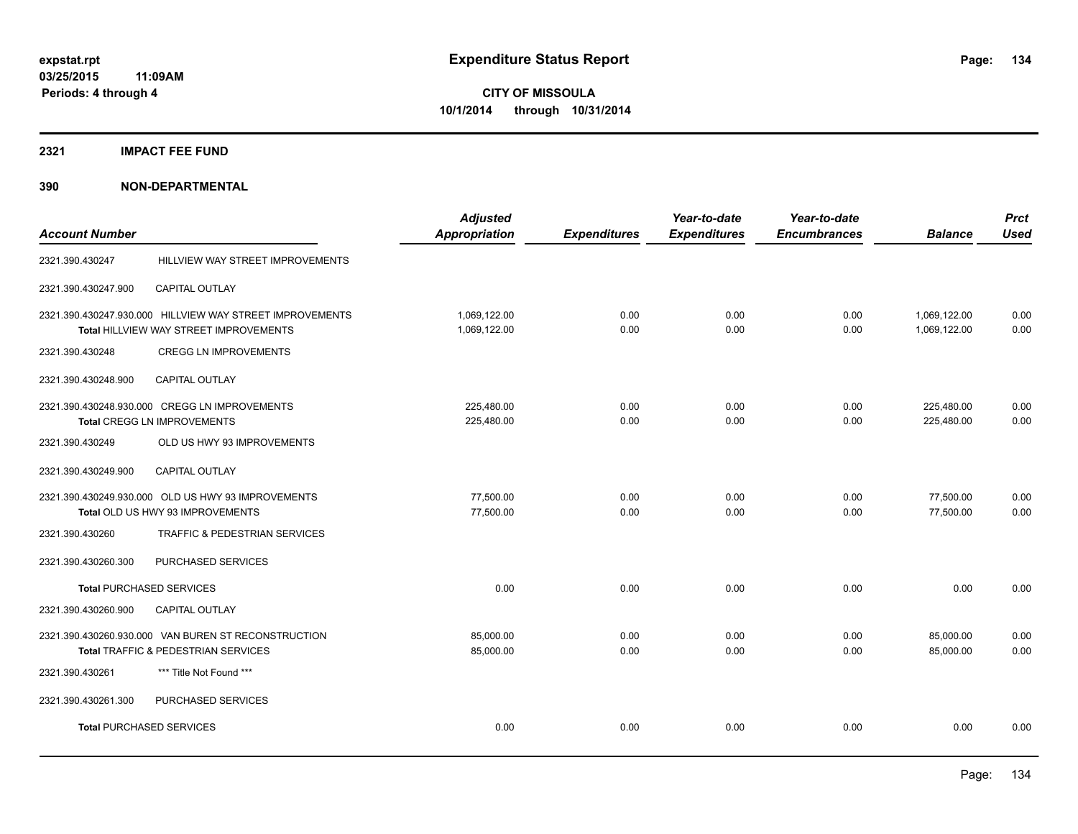### **2321 IMPACT FEE FUND**

| <b>Account Number</b>           |                                                          | <b>Adjusted</b><br><b>Appropriation</b> | <b>Expenditures</b> | Year-to-date<br><b>Expenditures</b> | Year-to-date<br><b>Encumbrances</b> | <b>Balance</b> | <b>Prct</b><br><b>Used</b> |
|---------------------------------|----------------------------------------------------------|-----------------------------------------|---------------------|-------------------------------------|-------------------------------------|----------------|----------------------------|
|                                 |                                                          |                                         |                     |                                     |                                     |                |                            |
| 2321.390.430247                 | HILLVIEW WAY STREET IMPROVEMENTS                         |                                         |                     |                                     |                                     |                |                            |
| 2321.390.430247.900             | CAPITAL OUTLAY                                           |                                         |                     |                                     |                                     |                |                            |
|                                 | 2321.390.430247.930.000 HILLVIEW WAY STREET IMPROVEMENTS | 1,069,122.00                            | 0.00                | 0.00                                | 0.00                                | 1,069,122.00   | 0.00                       |
|                                 | Total HILLVIEW WAY STREET IMPROVEMENTS                   | 1,069,122.00                            | 0.00                | 0.00                                | 0.00                                | 1,069,122.00   | 0.00                       |
| 2321.390.430248                 | <b>CREGG LN IMPROVEMENTS</b>                             |                                         |                     |                                     |                                     |                |                            |
| 2321.390.430248.900             | <b>CAPITAL OUTLAY</b>                                    |                                         |                     |                                     |                                     |                |                            |
|                                 | 2321.390.430248.930.000 CREGG LN IMPROVEMENTS            | 225,480.00                              | 0.00                | 0.00                                | 0.00                                | 225,480.00     | 0.00                       |
|                                 | Total CREGG LN IMPROVEMENTS                              | 225,480.00                              | 0.00                | 0.00                                | 0.00                                | 225,480.00     | 0.00                       |
| 2321.390.430249                 | OLD US HWY 93 IMPROVEMENTS                               |                                         |                     |                                     |                                     |                |                            |
| 2321.390.430249.900             | CAPITAL OUTLAY                                           |                                         |                     |                                     |                                     |                |                            |
|                                 | 2321.390.430249.930.000 OLD US HWY 93 IMPROVEMENTS       | 77,500.00                               | 0.00                | 0.00                                | 0.00                                | 77,500.00      | 0.00                       |
|                                 | Total OLD US HWY 93 IMPROVEMENTS                         | 77,500.00                               | 0.00                | 0.00                                | 0.00                                | 77,500.00      | 0.00                       |
| 2321.390.430260                 | <b>TRAFFIC &amp; PEDESTRIAN SERVICES</b>                 |                                         |                     |                                     |                                     |                |                            |
| 2321.390.430260.300             | <b>PURCHASED SERVICES</b>                                |                                         |                     |                                     |                                     |                |                            |
| <b>Total PURCHASED SERVICES</b> |                                                          | 0.00                                    | 0.00                | 0.00                                | 0.00                                | 0.00           | 0.00                       |
| 2321.390.430260.900             | CAPITAL OUTLAY                                           |                                         |                     |                                     |                                     |                |                            |
|                                 | 2321.390.430260.930.000 VAN BUREN ST RECONSTRUCTION      | 85,000.00                               | 0.00                | 0.00                                | 0.00                                | 85,000.00      | 0.00                       |
|                                 | Total TRAFFIC & PEDESTRIAN SERVICES                      | 85,000.00                               | 0.00                | 0.00                                | 0.00                                | 85,000.00      | 0.00                       |
| 2321.390.430261                 | *** Title Not Found ***                                  |                                         |                     |                                     |                                     |                |                            |
| 2321.390.430261.300             | PURCHASED SERVICES                                       |                                         |                     |                                     |                                     |                |                            |
| <b>Total PURCHASED SERVICES</b> |                                                          | 0.00                                    | 0.00                | 0.00                                | 0.00                                | 0.00           | 0.00                       |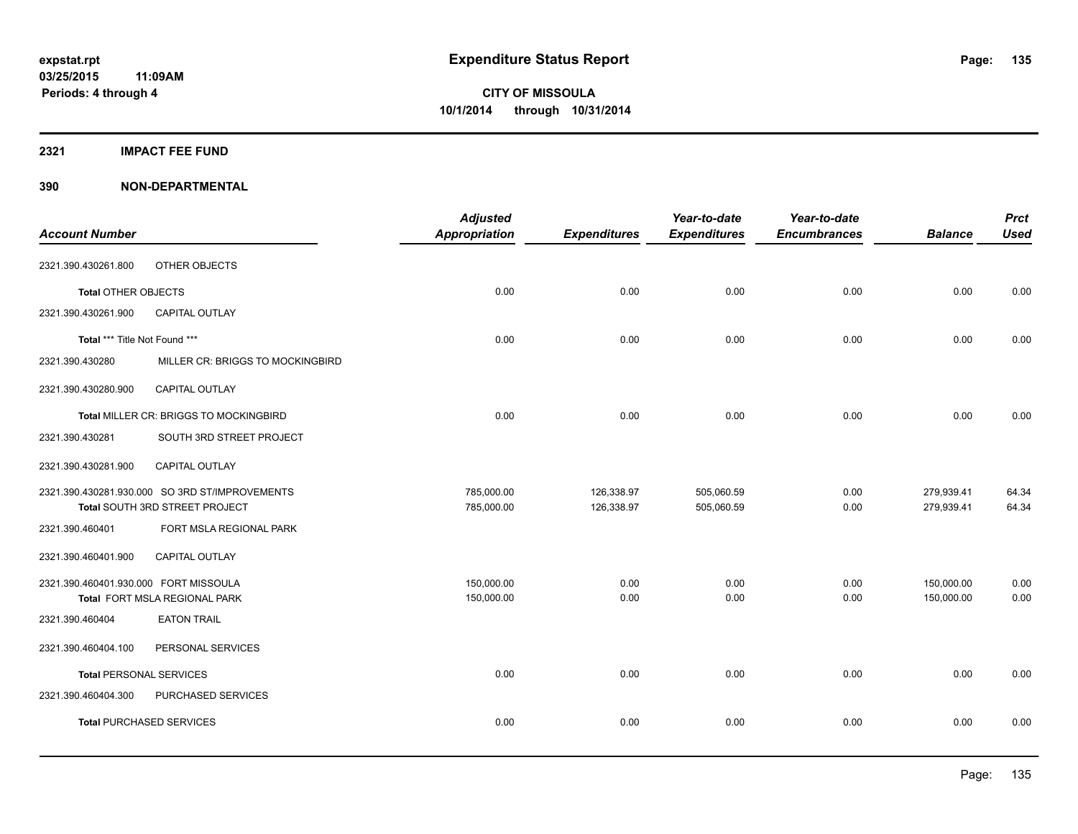### **2321 IMPACT FEE FUND**

| <b>Account Number</b>                 |                                                | <b>Adjusted</b><br>Appropriation | <b>Expenditures</b> | Year-to-date<br><b>Expenditures</b> | Year-to-date<br><b>Encumbrances</b> | <b>Balance</b> | <b>Prct</b><br><b>Used</b> |
|---------------------------------------|------------------------------------------------|----------------------------------|---------------------|-------------------------------------|-------------------------------------|----------------|----------------------------|
|                                       |                                                |                                  |                     |                                     |                                     |                |                            |
| 2321.390.430261.800                   | OTHER OBJECTS                                  |                                  |                     |                                     |                                     |                |                            |
| Total OTHER OBJECTS                   |                                                | 0.00                             | 0.00                | 0.00                                | 0.00                                | 0.00           | 0.00                       |
| 2321.390.430261.900                   | <b>CAPITAL OUTLAY</b>                          |                                  |                     |                                     |                                     |                |                            |
| Total *** Title Not Found ***         |                                                | 0.00                             | 0.00                | 0.00                                | 0.00                                | 0.00           | 0.00                       |
| 2321.390.430280                       | MILLER CR: BRIGGS TO MOCKINGBIRD               |                                  |                     |                                     |                                     |                |                            |
| 2321.390.430280.900                   | CAPITAL OUTLAY                                 |                                  |                     |                                     |                                     |                |                            |
|                                       | <b>Total MILLER CR: BRIGGS TO MOCKINGBIRD</b>  | 0.00                             | 0.00                | 0.00                                | 0.00                                | 0.00           | 0.00                       |
| 2321.390.430281                       | SOUTH 3RD STREET PROJECT                       |                                  |                     |                                     |                                     |                |                            |
| 2321.390.430281.900                   | CAPITAL OUTLAY                                 |                                  |                     |                                     |                                     |                |                            |
|                                       | 2321.390.430281.930.000 SO 3RD ST/IMPROVEMENTS | 785,000.00                       | 126,338.97          | 505,060.59                          | 0.00                                | 279,939.41     | 64.34                      |
|                                       | Total SOUTH 3RD STREET PROJECT                 | 785,000.00                       | 126,338.97          | 505,060.59                          | 0.00                                | 279,939.41     | 64.34                      |
| 2321.390.460401                       | FORT MSLA REGIONAL PARK                        |                                  |                     |                                     |                                     |                |                            |
| 2321.390.460401.900                   | <b>CAPITAL OUTLAY</b>                          |                                  |                     |                                     |                                     |                |                            |
| 2321.390.460401.930.000 FORT MISSOULA |                                                | 150,000.00                       | 0.00                | 0.00                                | 0.00                                | 150,000.00     | 0.00                       |
|                                       | Total FORT MSLA REGIONAL PARK                  | 150,000.00                       | 0.00                | 0.00                                | 0.00                                | 150,000.00     | 0.00                       |
| 2321.390.460404                       | <b>EATON TRAIL</b>                             |                                  |                     |                                     |                                     |                |                            |
| 2321.390.460404.100                   | PERSONAL SERVICES                              |                                  |                     |                                     |                                     |                |                            |
|                                       | <b>Total PERSONAL SERVICES</b>                 | 0.00                             | 0.00                | 0.00                                | 0.00                                | 0.00           | 0.00                       |
| 2321.390.460404.300                   | PURCHASED SERVICES                             |                                  |                     |                                     |                                     |                |                            |
|                                       | <b>Total PURCHASED SERVICES</b>                | 0.00                             | 0.00                | 0.00                                | 0.00                                | 0.00           | 0.00                       |
|                                       |                                                |                                  |                     |                                     |                                     |                |                            |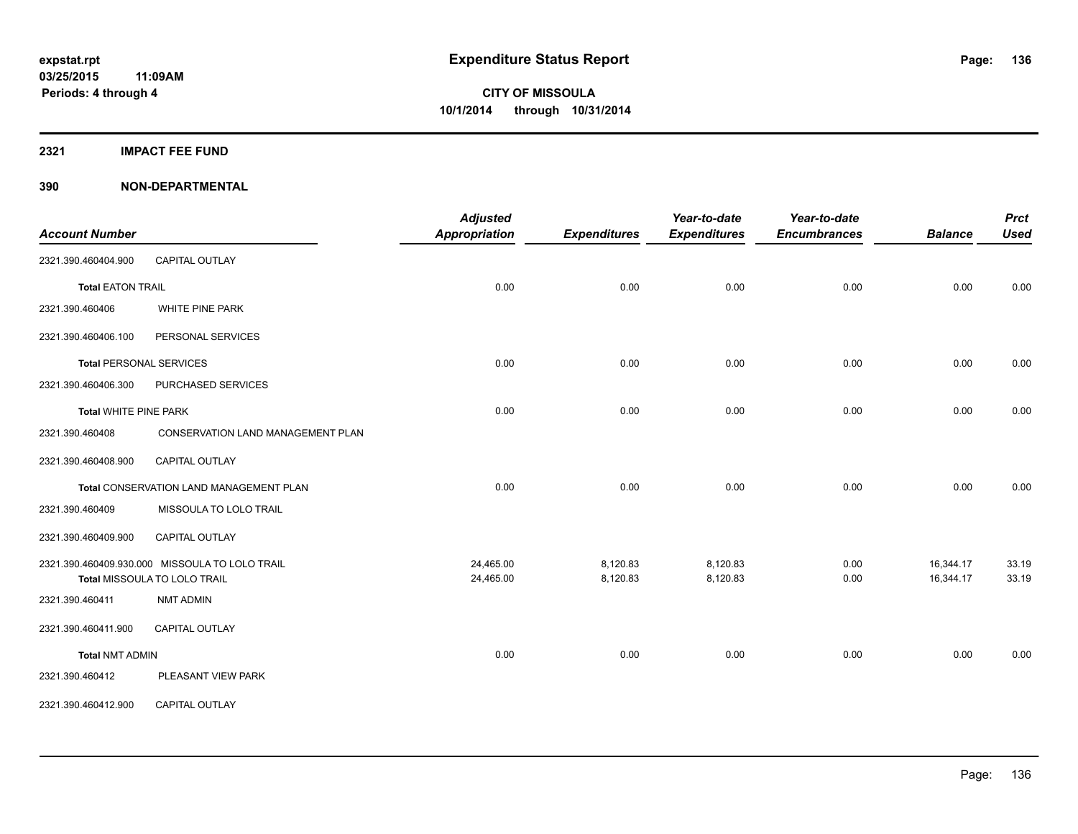**2321 IMPACT FEE FUND**

| <b>Account Number</b>          |                                                | <b>Adjusted</b><br>Appropriation | <b>Expenditures</b> | Year-to-date<br><b>Expenditures</b> | Year-to-date<br><b>Encumbrances</b> | <b>Balance</b> | <b>Prct</b><br><b>Used</b> |
|--------------------------------|------------------------------------------------|----------------------------------|---------------------|-------------------------------------|-------------------------------------|----------------|----------------------------|
| 2321.390.460404.900            | CAPITAL OUTLAY                                 |                                  |                     |                                     |                                     |                |                            |
| <b>Total EATON TRAIL</b>       |                                                | 0.00                             | 0.00                | 0.00                                | 0.00                                | 0.00           | 0.00                       |
| 2321.390.460406                | <b>WHITE PINE PARK</b>                         |                                  |                     |                                     |                                     |                |                            |
| 2321.390.460406.100            | PERSONAL SERVICES                              |                                  |                     |                                     |                                     |                |                            |
| <b>Total PERSONAL SERVICES</b> |                                                | 0.00                             | 0.00                | 0.00                                | 0.00                                | 0.00           | 0.00                       |
| 2321.390.460406.300            | PURCHASED SERVICES                             |                                  |                     |                                     |                                     |                |                            |
| <b>Total WHITE PINE PARK</b>   |                                                | 0.00                             | 0.00                | 0.00                                | 0.00                                | 0.00           | 0.00                       |
| 2321.390.460408                | CONSERVATION LAND MANAGEMENT PLAN              |                                  |                     |                                     |                                     |                |                            |
| 2321.390.460408.900            | <b>CAPITAL OUTLAY</b>                          |                                  |                     |                                     |                                     |                |                            |
|                                | Total CONSERVATION LAND MANAGEMENT PLAN        | 0.00                             | 0.00                | 0.00                                | 0.00                                | 0.00           | 0.00                       |
| 2321.390.460409                | MISSOULA TO LOLO TRAIL                         |                                  |                     |                                     |                                     |                |                            |
| 2321.390.460409.900            | <b>CAPITAL OUTLAY</b>                          |                                  |                     |                                     |                                     |                |                            |
|                                | 2321.390.460409.930.000 MISSOULA TO LOLO TRAIL | 24,465.00                        | 8,120.83            | 8,120.83                            | 0.00                                | 16,344.17      | 33.19                      |
|                                | Total MISSOULA TO LOLO TRAIL                   | 24,465.00                        | 8,120.83            | 8,120.83                            | 0.00                                | 16,344.17      | 33.19                      |
| 2321.390.460411                | <b>NMT ADMIN</b>                               |                                  |                     |                                     |                                     |                |                            |
| 2321.390.460411.900            | CAPITAL OUTLAY                                 |                                  |                     |                                     |                                     |                |                            |
| <b>Total NMT ADMIN</b>         |                                                | 0.00                             | 0.00                | 0.00                                | 0.00                                | 0.00           | 0.00                       |
| 2321.390.460412                | PLEASANT VIEW PARK                             |                                  |                     |                                     |                                     |                |                            |
| 2321.390.460412.900            | <b>CAPITAL OUTLAY</b>                          |                                  |                     |                                     |                                     |                |                            |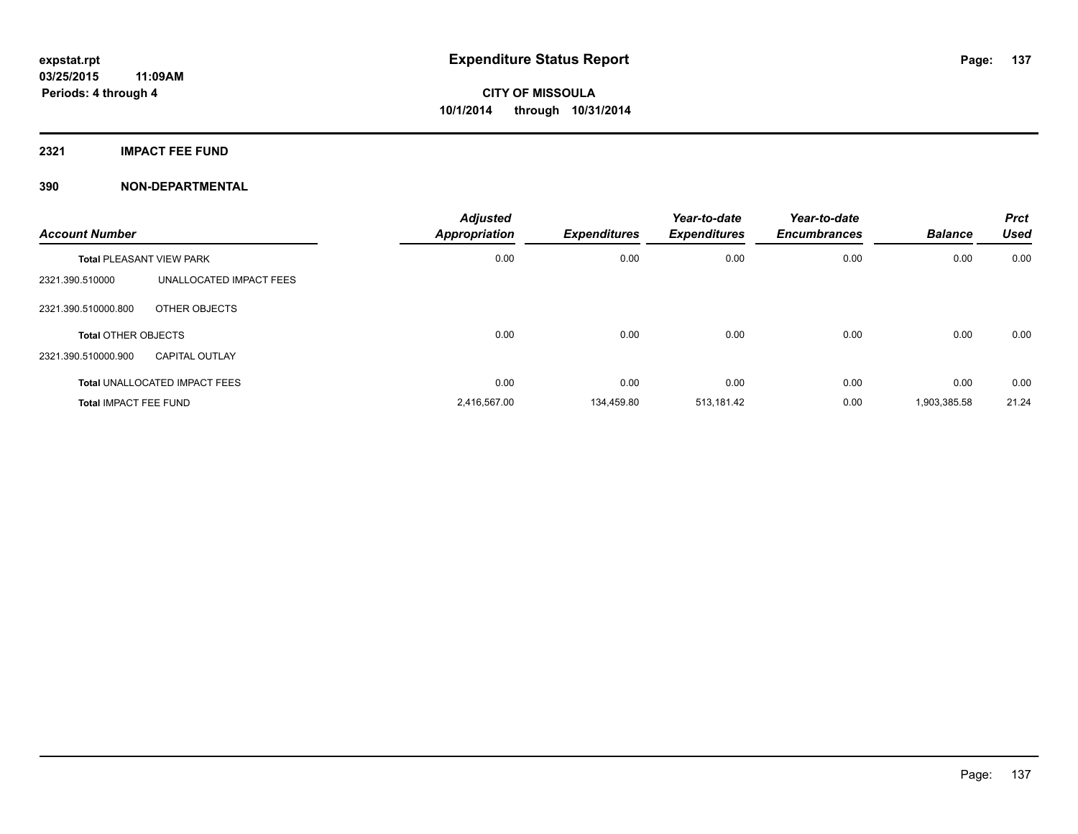**2321 IMPACT FEE FUND**

| <b>Account Number</b>           |                                      | <b>Adjusted</b><br><b>Appropriation</b> | <b>Expenditures</b> | Year-to-date<br><b>Expenditures</b> | Year-to-date<br><b>Encumbrances</b> | <b>Balance</b> | <b>Prct</b><br><b>Used</b> |
|---------------------------------|--------------------------------------|-----------------------------------------|---------------------|-------------------------------------|-------------------------------------|----------------|----------------------------|
| <b>Total PLEASANT VIEW PARK</b> |                                      | 0.00                                    | 0.00                | 0.00                                | 0.00                                | 0.00           | 0.00                       |
| 2321.390.510000                 | UNALLOCATED IMPACT FEES              |                                         |                     |                                     |                                     |                |                            |
| 2321.390.510000.800             | OTHER OBJECTS                        |                                         |                     |                                     |                                     |                |                            |
| <b>Total OTHER OBJECTS</b>      |                                      | 0.00                                    | 0.00                | 0.00                                | 0.00                                | 0.00           | 0.00                       |
| 2321.390.510000.900             | CAPITAL OUTLAY                       |                                         |                     |                                     |                                     |                |                            |
|                                 | <b>Total UNALLOCATED IMPACT FEES</b> | 0.00                                    | 0.00                | 0.00                                | 0.00                                | 0.00           | 0.00                       |
| <b>Total IMPACT FEE FUND</b>    |                                      | 2,416,567.00                            | 134.459.80          | 513,181.42                          | 0.00                                | 1,903,385.58   | 21.24                      |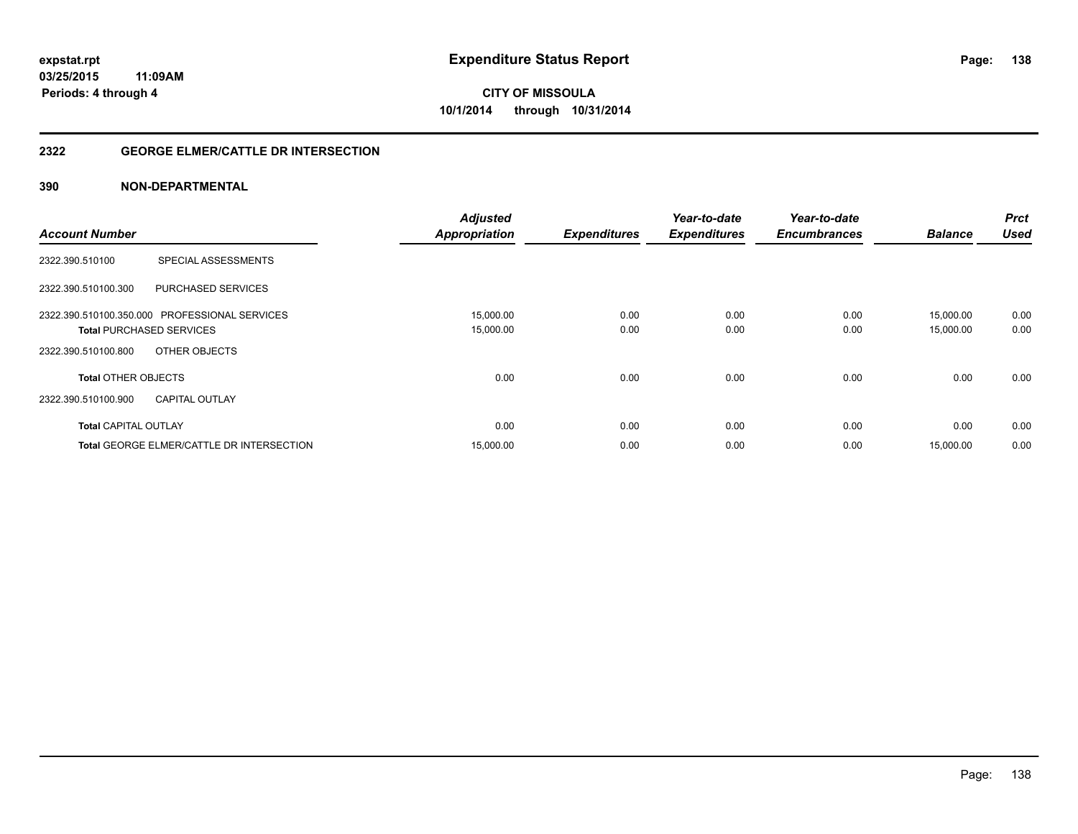### **2322 GEORGE ELMER/CATTLE DR INTERSECTION**

|                                                  | <b>Adjusted</b>      |                     | Year-to-date        | Year-to-date        | <b>Balance</b> | <b>Prct</b><br><b>Used</b> |
|--------------------------------------------------|----------------------|---------------------|---------------------|---------------------|----------------|----------------------------|
| <b>Account Number</b>                            | <b>Appropriation</b> | <b>Expenditures</b> | <b>Expenditures</b> | <b>Encumbrances</b> |                |                            |
| <b>SPECIAL ASSESSMENTS</b><br>2322.390.510100    |                      |                     |                     |                     |                |                            |
| <b>PURCHASED SERVICES</b><br>2322.390.510100.300 |                      |                     |                     |                     |                |                            |
| 2322.390.510100.350.000 PROFESSIONAL SERVICES    | 15,000.00            | 0.00                | 0.00                | 0.00                | 15,000.00      | 0.00                       |
| <b>Total PURCHASED SERVICES</b>                  | 15,000.00            | 0.00                | 0.00                | 0.00                | 15,000.00      | 0.00                       |
| 2322.390.510100.800<br>OTHER OBJECTS             |                      |                     |                     |                     |                |                            |
| <b>Total OTHER OBJECTS</b>                       | 0.00                 | 0.00                | 0.00                | 0.00                | 0.00           | 0.00                       |
| 2322.390.510100.900<br><b>CAPITAL OUTLAY</b>     |                      |                     |                     |                     |                |                            |
| <b>Total CAPITAL OUTLAY</b>                      | 0.00                 | 0.00                | 0.00                | 0.00                | 0.00           | 0.00                       |
| <b>Total GEORGE ELMER/CATTLE DR INTERSECTION</b> | 15,000.00            | 0.00                | 0.00                | 0.00                | 15,000.00      | 0.00                       |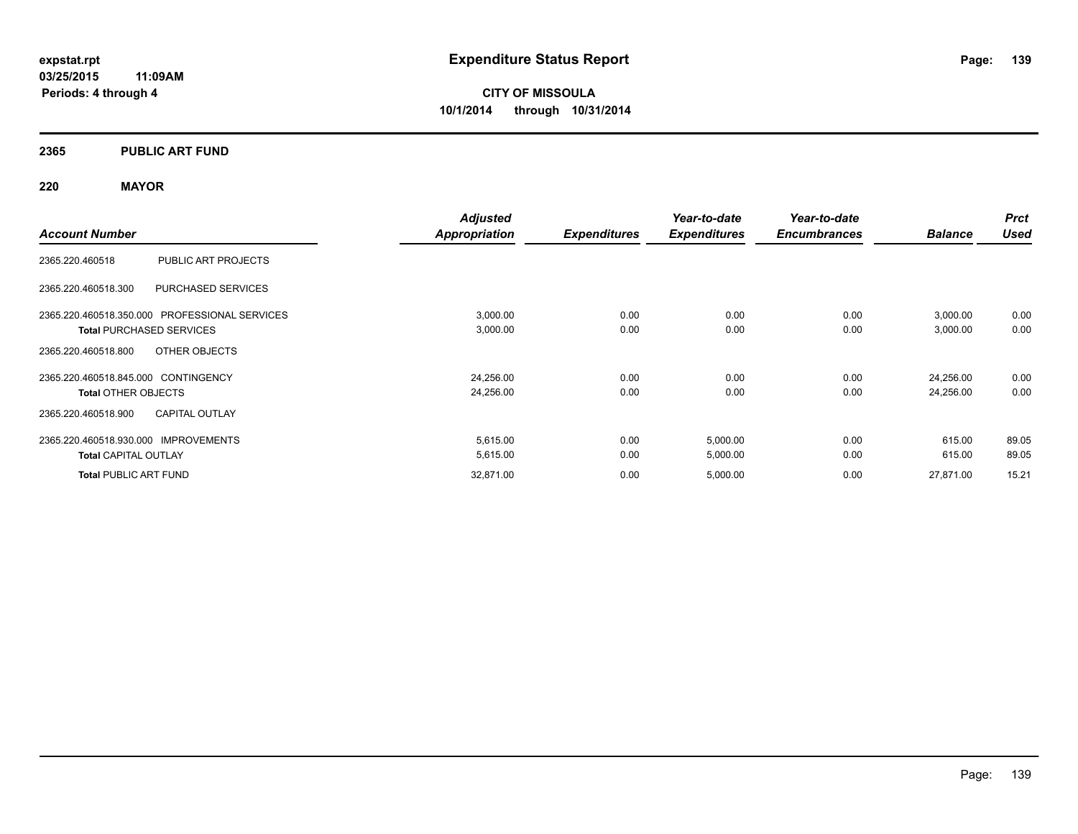### **2365 PUBLIC ART FUND**

### **220 MAYOR**

|                                                  | <b>Adjusted</b> |                     | Year-to-date        | Year-to-date        |                | <b>Prct</b> |
|--------------------------------------------------|-----------------|---------------------|---------------------|---------------------|----------------|-------------|
| <b>Account Number</b>                            | Appropriation   | <b>Expenditures</b> | <b>Expenditures</b> | <b>Encumbrances</b> | <b>Balance</b> | <b>Used</b> |
| PUBLIC ART PROJECTS<br>2365.220.460518           |                 |                     |                     |                     |                |             |
| <b>PURCHASED SERVICES</b><br>2365.220.460518.300 |                 |                     |                     |                     |                |             |
| 2365.220.460518.350.000 PROFESSIONAL SERVICES    | 3,000.00        | 0.00                | 0.00                | 0.00                | 3,000.00       | 0.00        |
| <b>Total PURCHASED SERVICES</b>                  | 3,000.00        | 0.00                | 0.00                | 0.00                | 3,000.00       | 0.00        |
| OTHER OBJECTS<br>2365.220.460518.800             |                 |                     |                     |                     |                |             |
| 2365.220.460518.845.000 CONTINGENCY              | 24,256.00       | 0.00                | 0.00                | 0.00                | 24,256.00      | 0.00        |
| <b>Total OTHER OBJECTS</b>                       | 24,256.00       | 0.00                | 0.00                | 0.00                | 24,256.00      | 0.00        |
| <b>CAPITAL OUTLAY</b><br>2365.220.460518.900     |                 |                     |                     |                     |                |             |
| 2365.220.460518.930.000 IMPROVEMENTS             | 5,615.00        | 0.00                | 5,000.00            | 0.00                | 615.00         | 89.05       |
| <b>Total CAPITAL OUTLAY</b>                      | 5,615.00        | 0.00                | 5,000.00            | 0.00                | 615.00         | 89.05       |
| <b>Total PUBLIC ART FUND</b>                     | 32,871.00       | 0.00                | 5,000.00            | 0.00                | 27,871.00      | 15.21       |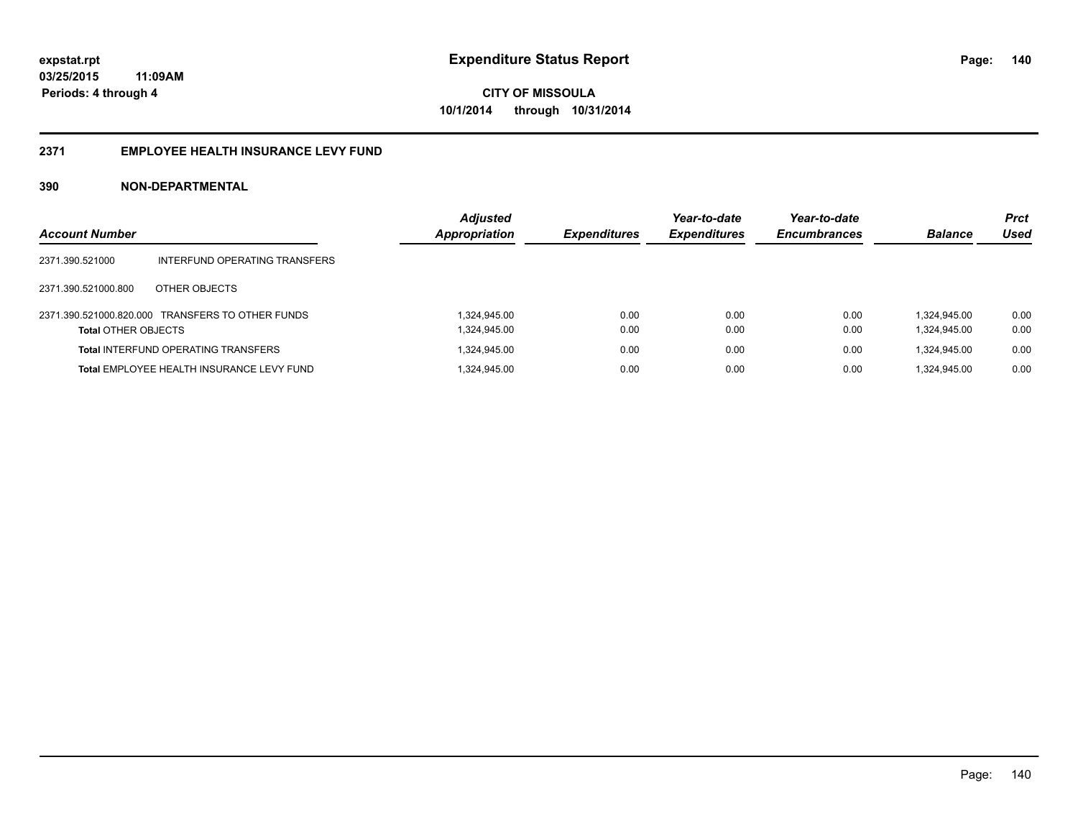### **2371 EMPLOYEE HEALTH INSURANCE LEVY FUND**

| <b>Account Number</b>      |                                                  | <b>Adjusted</b><br>Appropriation | <b>Expenditures</b> | Year-to-date<br><b>Expenditures</b> | Year-to-date<br><b>Encumbrances</b> | <b>Balance</b> | <b>Prct</b><br>Used |
|----------------------------|--------------------------------------------------|----------------------------------|---------------------|-------------------------------------|-------------------------------------|----------------|---------------------|
| 2371.390.521000            | INTERFUND OPERATING TRANSFERS                    |                                  |                     |                                     |                                     |                |                     |
| 2371.390.521000.800        | OTHER OBJECTS                                    |                                  |                     |                                     |                                     |                |                     |
|                            | 2371.390.521000.820.000 TRANSFERS TO OTHER FUNDS | 1.324.945.00                     | 0.00                | 0.00                                | 0.00                                | 1.324.945.00   | 0.00                |
| <b>Total OTHER OBJECTS</b> |                                                  | 1,324,945.00                     | 0.00                | 0.00                                | 0.00                                | 1,324,945.00   | 0.00                |
|                            | <b>Total INTERFUND OPERATING TRANSFERS</b>       | 1,324,945.00                     | 0.00                | 0.00                                | 0.00                                | 1.324.945.00   | 0.00                |
|                            | Total EMPLOYEE HEALTH INSURANCE LEVY FUND        | 1,324,945.00                     | 0.00                | 0.00                                | 0.00                                | 1.324.945.00   | 0.00                |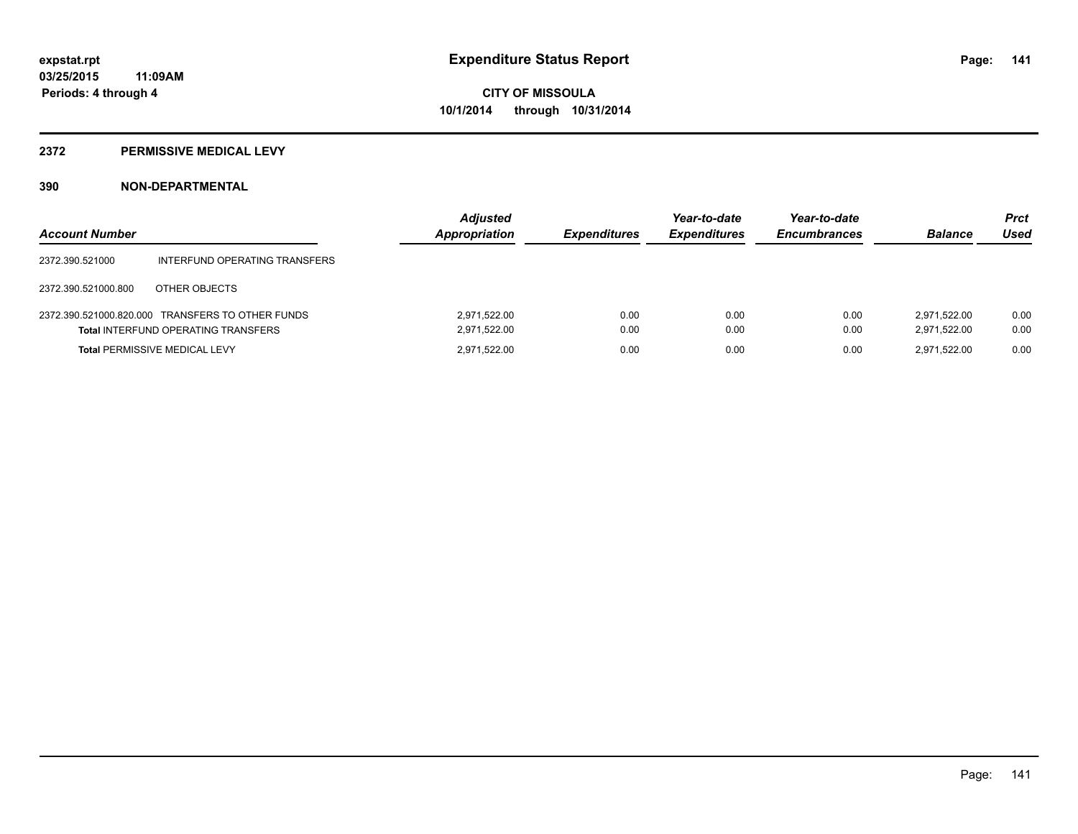#### **2372 PERMISSIVE MEDICAL LEVY**

| <b>Account Number</b> |                                                                                                | <b>Adjusted</b><br><b>Appropriation</b> | <b>Expenditures</b> | Year-to-date<br><b>Expenditures</b> | Year-to-date<br><b>Encumbrances</b> | <b>Balance</b>               | <b>Prct</b><br>Used |
|-----------------------|------------------------------------------------------------------------------------------------|-----------------------------------------|---------------------|-------------------------------------|-------------------------------------|------------------------------|---------------------|
| 2372.390.521000       | INTERFUND OPERATING TRANSFERS                                                                  |                                         |                     |                                     |                                     |                              |                     |
| 2372.390.521000.800   | OTHER OBJECTS                                                                                  |                                         |                     |                                     |                                     |                              |                     |
|                       | 2372.390.521000.820.000 TRANSFERS TO OTHER FUNDS<br><b>Total INTERFUND OPERATING TRANSFERS</b> | 2,971,522.00<br>2.971.522.00            | 0.00<br>0.00        | 0.00<br>0.00                        | 0.00<br>0.00                        | 2.971.522.00<br>2.971.522.00 | 0.00<br>0.00        |
|                       | <b>Total PERMISSIVE MEDICAL LEVY</b>                                                           | 2.971.522.00                            | 0.00                | 0.00                                | 0.00                                | 2.971.522.00                 | 0.00                |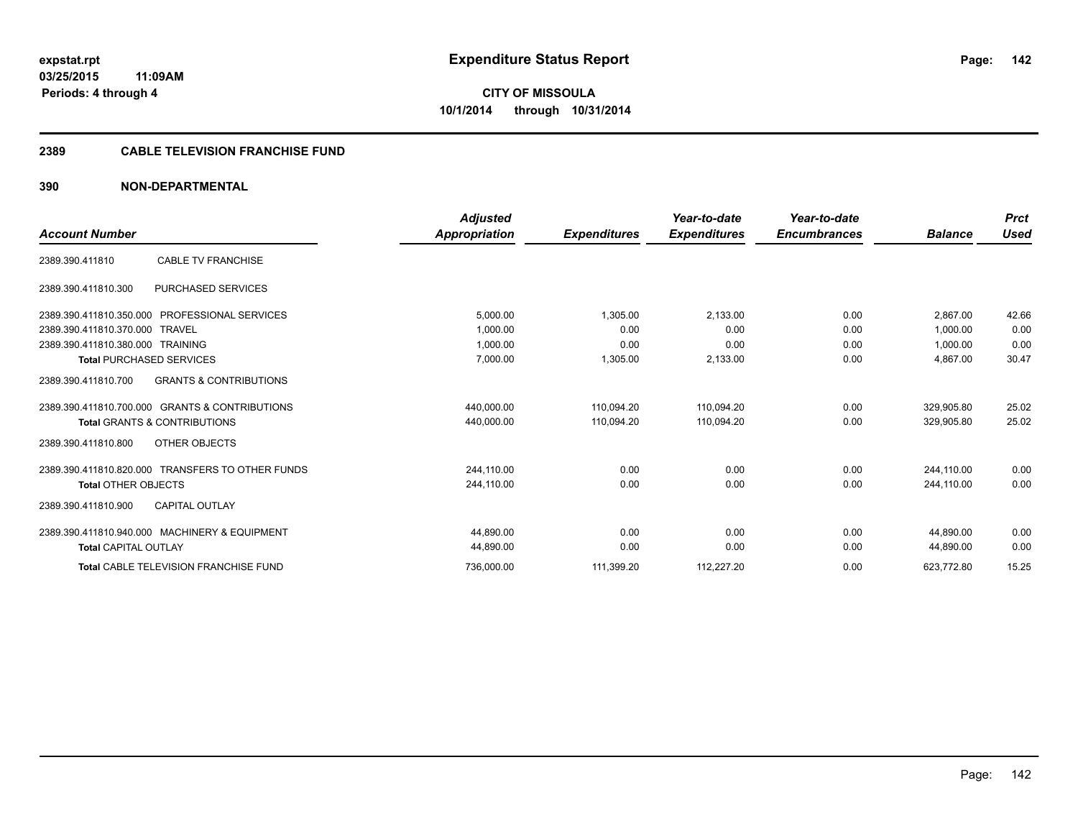#### **2389 CABLE TELEVISION FRANCHISE FUND**

|                                                          | <b>Adjusted</b>      |                     | Year-to-date        | Year-to-date        |                | <b>Prct</b> |
|----------------------------------------------------------|----------------------|---------------------|---------------------|---------------------|----------------|-------------|
| <b>Account Number</b>                                    | <b>Appropriation</b> | <b>Expenditures</b> | <b>Expenditures</b> | <b>Encumbrances</b> | <b>Balance</b> | <b>Used</b> |
| <b>CABLE TV FRANCHISE</b><br>2389.390.411810             |                      |                     |                     |                     |                |             |
| 2389.390.411810.300<br><b>PURCHASED SERVICES</b>         |                      |                     |                     |                     |                |             |
| 2389.390.411810.350.000<br>PROFESSIONAL SERVICES         | 5,000.00             | 1,305.00            | 2,133.00            | 0.00                | 2.867.00       | 42.66       |
| 2389.390.411810.370.000<br>TRAVEL                        | 1.000.00             | 0.00                | 0.00                | 0.00                | 1.000.00       | 0.00        |
| 2389.390.411810.380.000 TRAINING                         | 1,000.00             | 0.00                | 0.00                | 0.00                | 1,000.00       | 0.00        |
| <b>Total PURCHASED SERVICES</b>                          | 7,000.00             | 1,305.00            | 2,133.00            | 0.00                | 4.867.00       | 30.47       |
| <b>GRANTS &amp; CONTRIBUTIONS</b><br>2389.390.411810.700 |                      |                     |                     |                     |                |             |
| 2389.390.411810.700.000 GRANTS & CONTRIBUTIONS           | 440,000.00           | 110.094.20          | 110.094.20          | 0.00                | 329.905.80     | 25.02       |
| <b>Total GRANTS &amp; CONTRIBUTIONS</b>                  | 440,000.00           | 110,094.20          | 110,094.20          | 0.00                | 329,905.80     | 25.02       |
| OTHER OBJECTS<br>2389.390.411810.800                     |                      |                     |                     |                     |                |             |
| 2389.390.411810.820.000 TRANSFERS TO OTHER FUNDS         | 244,110.00           | 0.00                | 0.00                | 0.00                | 244,110.00     | 0.00        |
| <b>Total OTHER OBJECTS</b>                               | 244.110.00           | 0.00                | 0.00                | 0.00                | 244.110.00     | 0.00        |
| <b>CAPITAL OUTLAY</b><br>2389.390.411810.900             |                      |                     |                     |                     |                |             |
| 2389.390.411810.940.000 MACHINERY & EQUIPMENT            | 44.890.00            | 0.00                | 0.00                | 0.00                | 44.890.00      | 0.00        |
| <b>Total CAPITAL OUTLAY</b>                              | 44,890.00            | 0.00                | 0.00                | 0.00                | 44,890.00      | 0.00        |
| <b>Total CABLE TELEVISION FRANCHISE FUND</b>             | 736,000.00           | 111,399.20          | 112,227.20          | 0.00                | 623,772.80     | 15.25       |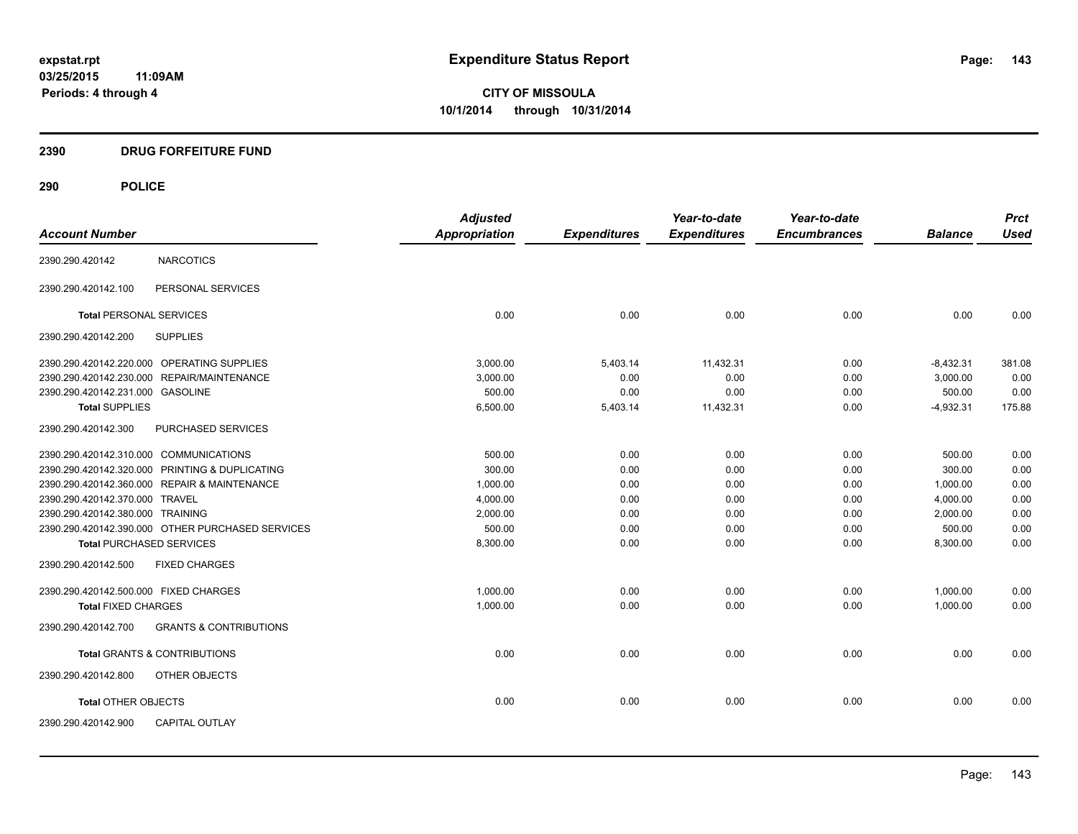## **2390 DRUG FORFEITURE FUND**

## **290 POLICE**

|                                                          | <b>Adjusted</b> |                     | Year-to-date        | Year-to-date        |                | <b>Prct</b> |
|----------------------------------------------------------|-----------------|---------------------|---------------------|---------------------|----------------|-------------|
| <b>Account Number</b>                                    | Appropriation   | <b>Expenditures</b> | <b>Expenditures</b> | <b>Encumbrances</b> | <b>Balance</b> | <b>Used</b> |
| <b>NARCOTICS</b><br>2390.290.420142                      |                 |                     |                     |                     |                |             |
| PERSONAL SERVICES<br>2390.290.420142.100                 |                 |                     |                     |                     |                |             |
| <b>Total PERSONAL SERVICES</b>                           | 0.00            | 0.00                | 0.00                | 0.00                | 0.00           | 0.00        |
| <b>SUPPLIES</b><br>2390.290.420142.200                   |                 |                     |                     |                     |                |             |
| 2390.290.420142.220.000 OPERATING SUPPLIES               | 3,000.00        | 5,403.14            | 11,432.31           | 0.00                | $-8,432.31$    | 381.08      |
| 2390.290.420142.230.000 REPAIR/MAINTENANCE               | 3,000.00        | 0.00                | 0.00                | 0.00                | 3,000.00       | 0.00        |
| 2390.290.420142.231.000 GASOLINE                         | 500.00          | 0.00                | 0.00                | 0.00                | 500.00         | 0.00        |
| <b>Total SUPPLIES</b>                                    | 6,500.00        | 5,403.14            | 11,432.31           | 0.00                | $-4,932.31$    | 175.88      |
| 2390.290.420142.300<br>PURCHASED SERVICES                |                 |                     |                     |                     |                |             |
| 2390.290.420142.310.000 COMMUNICATIONS                   | 500.00          | 0.00                | 0.00                | 0.00                | 500.00         | 0.00        |
| 2390.290.420142.320.000 PRINTING & DUPLICATING           | 300.00          | 0.00                | 0.00                | 0.00                | 300.00         | 0.00        |
| 2390.290.420142.360.000 REPAIR & MAINTENANCE             | 1,000.00        | 0.00                | 0.00                | 0.00                | 1,000.00       | 0.00        |
| 2390.290.420142.370.000 TRAVEL                           | 4,000.00        | 0.00                | 0.00                | 0.00                | 4,000.00       | 0.00        |
| 2390.290.420142.380.000 TRAINING                         | 2,000.00        | 0.00                | 0.00                | 0.00                | 2,000.00       | 0.00        |
| 2390.290.420142.390.000 OTHER PURCHASED SERVICES         | 500.00          | 0.00                | 0.00                | 0.00                | 500.00         | 0.00        |
| <b>Total PURCHASED SERVICES</b>                          | 8,300.00        | 0.00                | 0.00                | 0.00                | 8,300.00       | 0.00        |
| 2390.290.420142.500<br><b>FIXED CHARGES</b>              |                 |                     |                     |                     |                |             |
| 2390.290.420142.500.000 FIXED CHARGES                    | 1,000.00        | 0.00                | 0.00                | 0.00                | 1,000.00       | 0.00        |
| <b>Total FIXED CHARGES</b>                               | 1,000.00        | 0.00                | 0.00                | 0.00                | 1,000.00       | 0.00        |
| 2390.290.420142.700<br><b>GRANTS &amp; CONTRIBUTIONS</b> |                 |                     |                     |                     |                |             |
| <b>Total GRANTS &amp; CONTRIBUTIONS</b>                  | 0.00            | 0.00                | 0.00                | 0.00                | 0.00           | 0.00        |
| 2390.290.420142.800<br>OTHER OBJECTS                     |                 |                     |                     |                     |                |             |
| <b>Total OTHER OBJECTS</b>                               | 0.00            | 0.00                | 0.00                | 0.00                | 0.00           | 0.00        |
| 2390.290.420142.900<br><b>CAPITAL OUTLAY</b>             |                 |                     |                     |                     |                |             |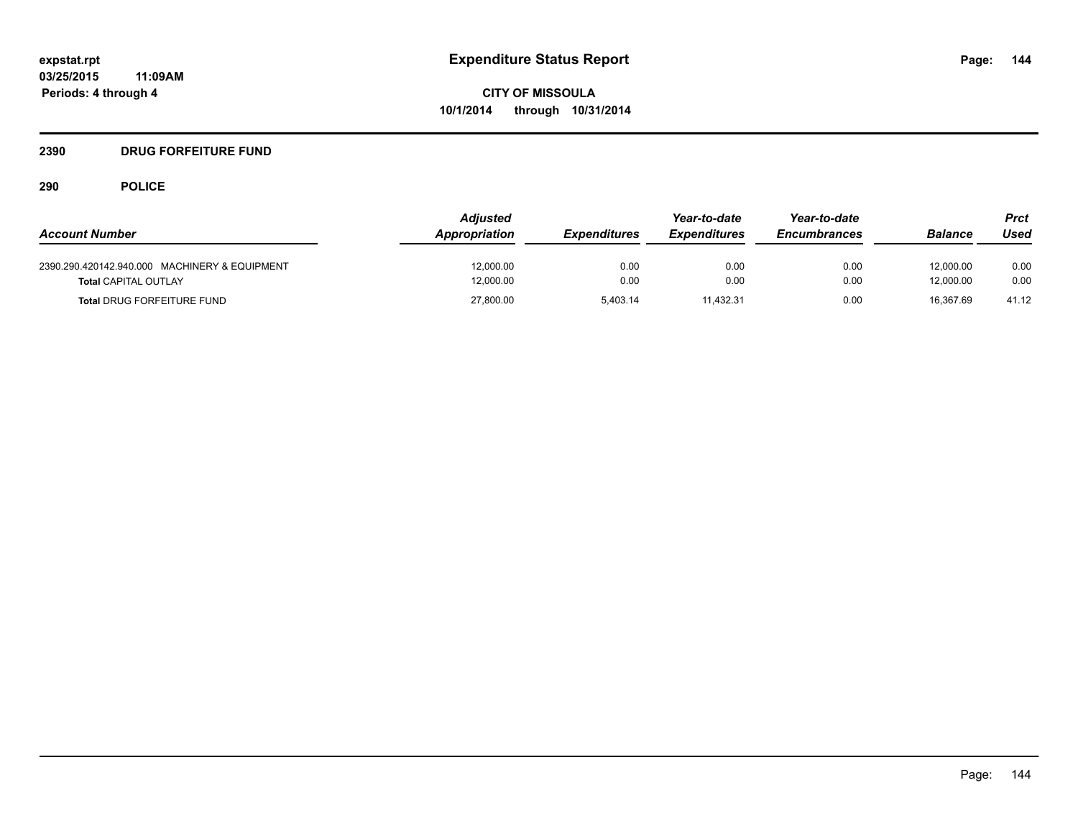## **2390 DRUG FORFEITURE FUND**

## **290 POLICE**

| <b>Account Number</b>                                                        | <b>Adjusted</b><br>Appropriation | <b>Expenditures</b> | Year-to-date<br><b>Expenditures</b> | Year-to-date<br><b>Encumbrances</b> | <b>Balance</b>         | Prct<br>Used |
|------------------------------------------------------------------------------|----------------------------------|---------------------|-------------------------------------|-------------------------------------|------------------------|--------------|
| 2390.290.420142.940.000 MACHINERY & EQUIPMENT<br><b>Total CAPITAL OUTLAY</b> | 12,000.00<br>12.000.00           | 0.00<br>0.00        | 0.00<br>0.00                        | 0.00<br>0.00                        | 12,000.00<br>12.000.00 | 0.00<br>0.00 |
| <b>Total DRUG FORFEITURE FUND</b>                                            | 27,800.00                        | 5.403.14            | 11,432.31                           | 0.00                                | 16.367.69              | 41.12        |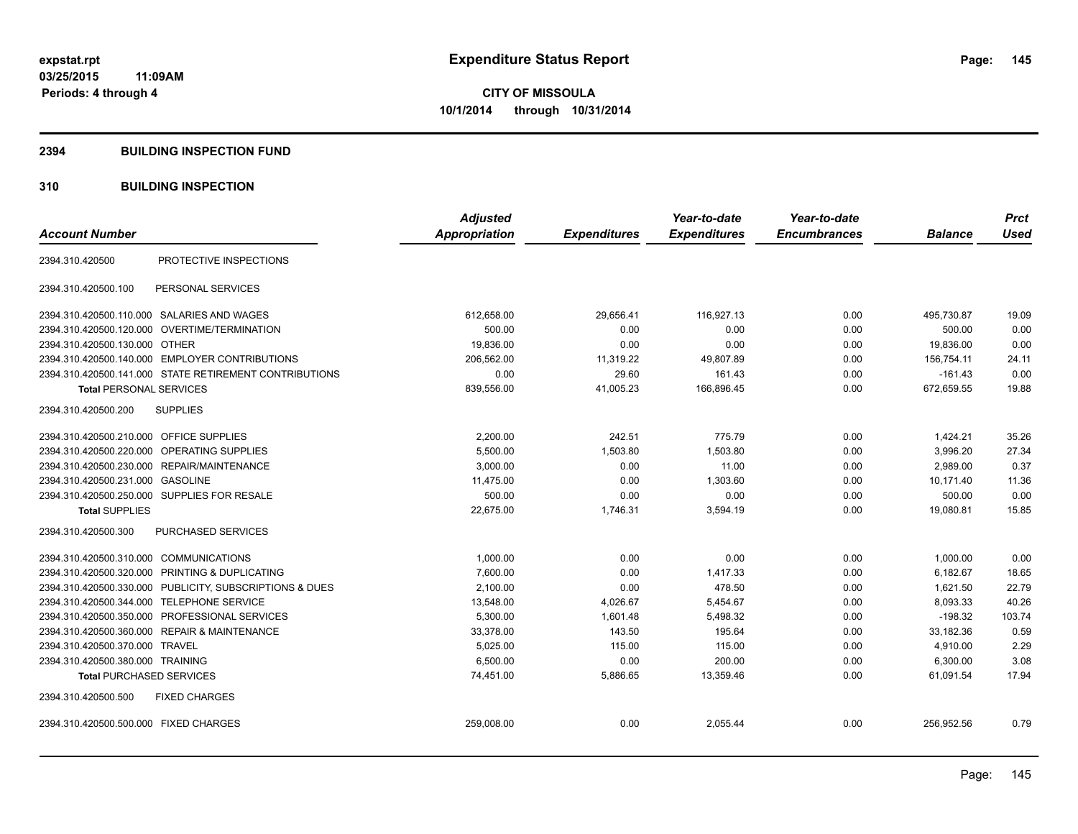### **2394 BUILDING INSPECTION FUND**

## **310 BUILDING INSPECTION**

| <b>Account Number</b>                                   | <b>Adjusted</b><br>Appropriation | <b>Expenditures</b> | Year-to-date<br><b>Expenditures</b> | Year-to-date<br><b>Encumbrances</b> | <b>Balance</b> | <b>Prct</b><br><b>Used</b> |
|---------------------------------------------------------|----------------------------------|---------------------|-------------------------------------|-------------------------------------|----------------|----------------------------|
|                                                         |                                  |                     |                                     |                                     |                |                            |
| PROTECTIVE INSPECTIONS<br>2394.310.420500               |                                  |                     |                                     |                                     |                |                            |
| PERSONAL SERVICES<br>2394.310.420500.100                |                                  |                     |                                     |                                     |                |                            |
| 2394.310.420500.110.000 SALARIES AND WAGES              | 612,658.00                       | 29,656.41           | 116,927.13                          | 0.00                                | 495,730.87     | 19.09                      |
| 2394.310.420500.120.000 OVERTIME/TERMINATION            | 500.00                           | 0.00                | 0.00                                | 0.00                                | 500.00         | 0.00                       |
| 2394.310.420500.130.000 OTHER                           | 19,836.00                        | 0.00                | 0.00                                | 0.00                                | 19,836.00      | 0.00                       |
| 2394.310.420500.140.000 EMPLOYER CONTRIBUTIONS          | 206,562.00                       | 11,319.22           | 49,807.89                           | 0.00                                | 156,754.11     | 24.11                      |
| 2394.310.420500.141.000 STATE RETIREMENT CONTRIBUTIONS  | 0.00                             | 29.60               | 161.43                              | 0.00                                | $-161.43$      | 0.00                       |
| <b>Total PERSONAL SERVICES</b>                          | 839,556.00                       | 41,005.23           | 166,896.45                          | 0.00                                | 672,659.55     | 19.88                      |
| <b>SUPPLIES</b><br>2394.310.420500.200                  |                                  |                     |                                     |                                     |                |                            |
| 2394.310.420500.210.000<br>OFFICE SUPPLIES              | 2,200.00                         | 242.51              | 775.79                              | 0.00                                | 1,424.21       | 35.26                      |
| <b>OPERATING SUPPLIES</b><br>2394.310.420500.220.000    | 5,500.00                         | 1,503.80            | 1,503.80                            | 0.00                                | 3,996.20       | 27.34                      |
| 2394.310.420500.230.000 REPAIR/MAINTENANCE              | 3,000.00                         | 0.00                | 11.00                               | 0.00                                | 2,989.00       | 0.37                       |
| 2394.310.420500.231.000 GASOLINE                        | 11,475.00                        | 0.00                | 1,303.60                            | 0.00                                | 10,171.40      | 11.36                      |
| 2394.310.420500.250.000 SUPPLIES FOR RESALE             | 500.00                           | 0.00                | 0.00                                | 0.00                                | 500.00         | 0.00                       |
| <b>Total SUPPLIES</b>                                   | 22,675.00                        | 1,746.31            | 3,594.19                            | 0.00                                | 19,080.81      | 15.85                      |
| 2394.310.420500.300<br><b>PURCHASED SERVICES</b>        |                                  |                     |                                     |                                     |                |                            |
| 2394.310.420500.310.000 COMMUNICATIONS                  | 1,000.00                         | 0.00                | 0.00                                | 0.00                                | 1,000.00       | 0.00                       |
| 2394.310.420500.320.000 PRINTING & DUPLICATING          | 7,600.00                         | 0.00                | 1,417.33                            | 0.00                                | 6,182.67       | 18.65                      |
| 2394.310.420500.330.000 PUBLICITY, SUBSCRIPTIONS & DUES | 2,100.00                         | 0.00                | 478.50                              | 0.00                                | 1,621.50       | 22.79                      |
| <b>TELEPHONE SERVICE</b><br>2394.310.420500.344.000     | 13,548.00                        | 4,026.67            | 5,454.67                            | 0.00                                | 8,093.33       | 40.26                      |
| PROFESSIONAL SERVICES<br>2394.310.420500.350.000        | 5,300.00                         | 1,601.48            | 5,498.32                            | 0.00                                | $-198.32$      | 103.74                     |
| 2394.310.420500.360.000 REPAIR & MAINTENANCE            | 33,378.00                        | 143.50              | 195.64                              | 0.00                                | 33,182.36      | 0.59                       |
| 2394.310.420500.370.000 TRAVEL                          | 5,025.00                         | 115.00              | 115.00                              | 0.00                                | 4,910.00       | 2.29                       |
| 2394.310.420500.380.000 TRAINING                        | 6,500.00                         | 0.00                | 200.00                              | 0.00                                | 6,300.00       | 3.08                       |
| <b>Total PURCHASED SERVICES</b>                         | 74,451.00                        | 5,886.65            | 13,359.46                           | 0.00                                | 61,091.54      | 17.94                      |
| 2394.310.420500.500<br><b>FIXED CHARGES</b>             |                                  |                     |                                     |                                     |                |                            |
| 2394.310.420500.500.000 FIXED CHARGES                   | 259,008.00                       | 0.00                | 2,055.44                            | 0.00                                | 256,952.56     | 0.79                       |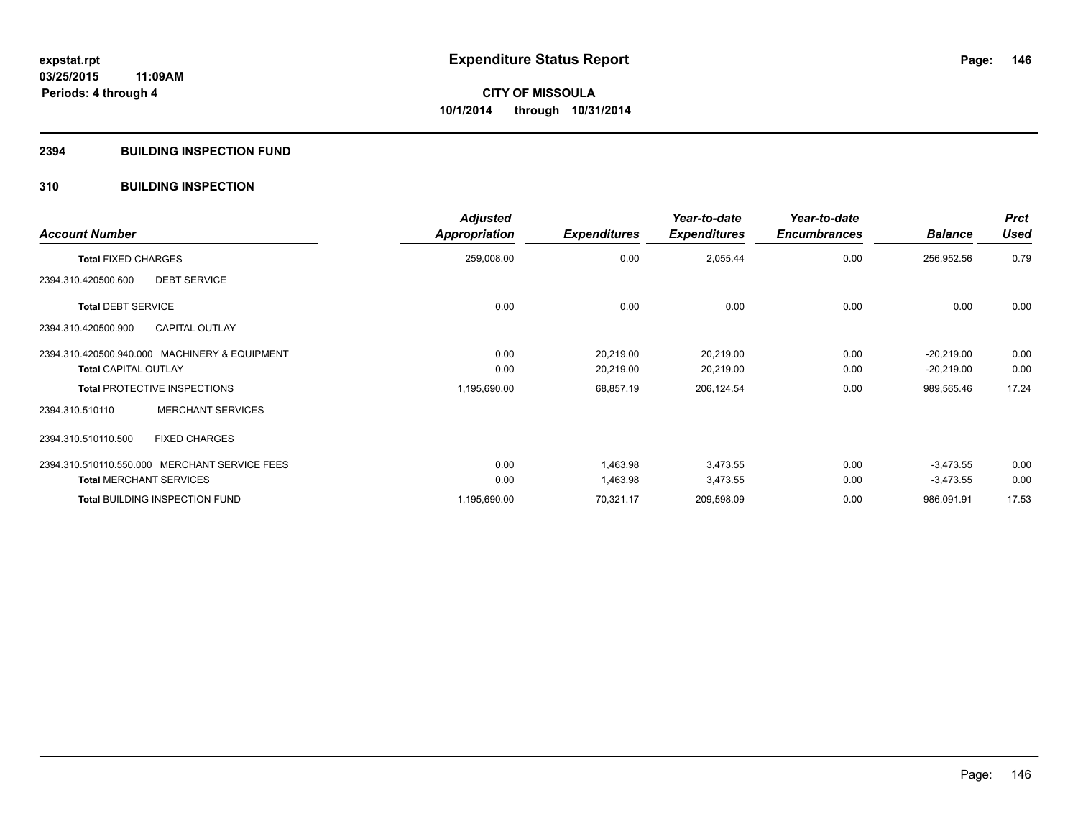## **2394 BUILDING INSPECTION FUND**

## **310 BUILDING INSPECTION**

| <b>Account Number</b>                         | <b>Adjusted</b><br>Appropriation | <b>Expenditures</b> | Year-to-date<br><b>Expenditures</b> | Year-to-date<br><b>Encumbrances</b> | <b>Balance</b> | <b>Prct</b><br><b>Used</b> |
|-----------------------------------------------|----------------------------------|---------------------|-------------------------------------|-------------------------------------|----------------|----------------------------|
| <b>Total FIXED CHARGES</b>                    | 259,008.00                       | 0.00                | 2,055.44                            | 0.00                                | 256,952.56     | 0.79                       |
| <b>DEBT SERVICE</b><br>2394.310.420500.600    |                                  |                     |                                     |                                     |                |                            |
| <b>Total DEBT SERVICE</b>                     | 0.00                             | 0.00                | 0.00                                | 0.00                                | 0.00           | 0.00                       |
| <b>CAPITAL OUTLAY</b><br>2394.310.420500.900  |                                  |                     |                                     |                                     |                |                            |
| 2394.310.420500.940.000 MACHINERY & EQUIPMENT | 0.00                             | 20,219.00           | 20,219.00                           | 0.00                                | $-20,219.00$   | 0.00                       |
| <b>Total CAPITAL OUTLAY</b>                   | 0.00                             | 20,219.00           | 20,219.00                           | 0.00                                | $-20,219.00$   | 0.00                       |
| <b>Total PROTECTIVE INSPECTIONS</b>           | 1,195,690.00                     | 68,857.19           | 206,124.54                          | 0.00                                | 989,565.46     | 17.24                      |
| <b>MERCHANT SERVICES</b><br>2394.310.510110   |                                  |                     |                                     |                                     |                |                            |
| <b>FIXED CHARGES</b><br>2394.310.510110.500   |                                  |                     |                                     |                                     |                |                            |
| 2394.310.510110.550.000 MERCHANT SERVICE FEES | 0.00                             | 1,463.98            | 3,473.55                            | 0.00                                | $-3,473.55$    | 0.00                       |
| <b>Total MERCHANT SERVICES</b>                | 0.00                             | 1,463.98            | 3,473.55                            | 0.00                                | $-3,473.55$    | 0.00                       |
| <b>Total BUILDING INSPECTION FUND</b>         | 1,195,690.00                     | 70,321.17           | 209,598.09                          | 0.00                                | 986,091.91     | 17.53                      |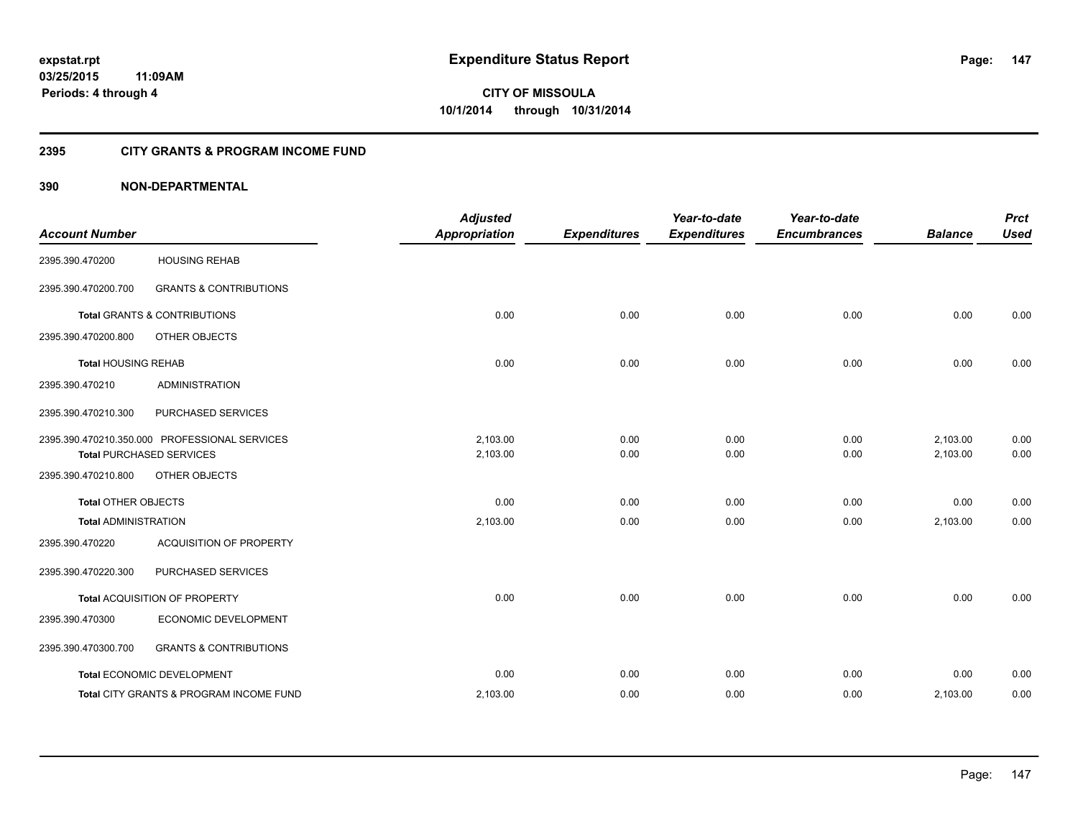## **2395 CITY GRANTS & PROGRAM INCOME FUND**

## **390 NON-DEPARTMENTAL**

| <b>Account Number</b>       |                                               | <b>Adjusted</b><br><b>Appropriation</b> | <b>Expenditures</b> | Year-to-date<br><b>Expenditures</b> | Year-to-date<br><b>Encumbrances</b> | <b>Balance</b> | <b>Prct</b><br><b>Used</b> |
|-----------------------------|-----------------------------------------------|-----------------------------------------|---------------------|-------------------------------------|-------------------------------------|----------------|----------------------------|
|                             |                                               |                                         |                     |                                     |                                     |                |                            |
| 2395.390.470200             | <b>HOUSING REHAB</b>                          |                                         |                     |                                     |                                     |                |                            |
| 2395.390.470200.700         | <b>GRANTS &amp; CONTRIBUTIONS</b>             |                                         |                     |                                     |                                     |                |                            |
|                             | <b>Total GRANTS &amp; CONTRIBUTIONS</b>       | 0.00                                    | 0.00                | 0.00                                | 0.00                                | 0.00           | 0.00                       |
| 2395.390.470200.800         | OTHER OBJECTS                                 |                                         |                     |                                     |                                     |                |                            |
| <b>Total HOUSING REHAB</b>  |                                               | 0.00                                    | 0.00                | 0.00                                | 0.00                                | 0.00           | 0.00                       |
| 2395.390.470210             | <b>ADMINISTRATION</b>                         |                                         |                     |                                     |                                     |                |                            |
| 2395.390.470210.300         | PURCHASED SERVICES                            |                                         |                     |                                     |                                     |                |                            |
|                             | 2395.390.470210.350.000 PROFESSIONAL SERVICES | 2,103.00                                | 0.00                | 0.00                                | 0.00                                | 2,103.00       | 0.00                       |
|                             | <b>Total PURCHASED SERVICES</b>               | 2,103.00                                | 0.00                | 0.00                                | 0.00                                | 2,103.00       | 0.00                       |
| 2395.390.470210.800         | OTHER OBJECTS                                 |                                         |                     |                                     |                                     |                |                            |
| <b>Total OTHER OBJECTS</b>  |                                               | 0.00                                    | 0.00                | 0.00                                | 0.00                                | 0.00           | 0.00                       |
| <b>Total ADMINISTRATION</b> |                                               | 2,103.00                                | 0.00                | 0.00                                | 0.00                                | 2,103.00       | 0.00                       |
| 2395.390.470220             | <b>ACQUISITION OF PROPERTY</b>                |                                         |                     |                                     |                                     |                |                            |
| 2395.390.470220.300         | PURCHASED SERVICES                            |                                         |                     |                                     |                                     |                |                            |
|                             | Total ACQUISITION OF PROPERTY                 | 0.00                                    | 0.00                | 0.00                                | 0.00                                | 0.00           | 0.00                       |
| 2395.390.470300             | ECONOMIC DEVELOPMENT                          |                                         |                     |                                     |                                     |                |                            |
| 2395.390.470300.700         | <b>GRANTS &amp; CONTRIBUTIONS</b>             |                                         |                     |                                     |                                     |                |                            |
|                             | Total ECONOMIC DEVELOPMENT                    | 0.00                                    | 0.00                | 0.00                                | 0.00                                | 0.00           | 0.00                       |
|                             | Total CITY GRANTS & PROGRAM INCOME FUND       | 2,103.00                                | 0.00                | 0.00                                | 0.00                                | 2,103.00       | 0.00                       |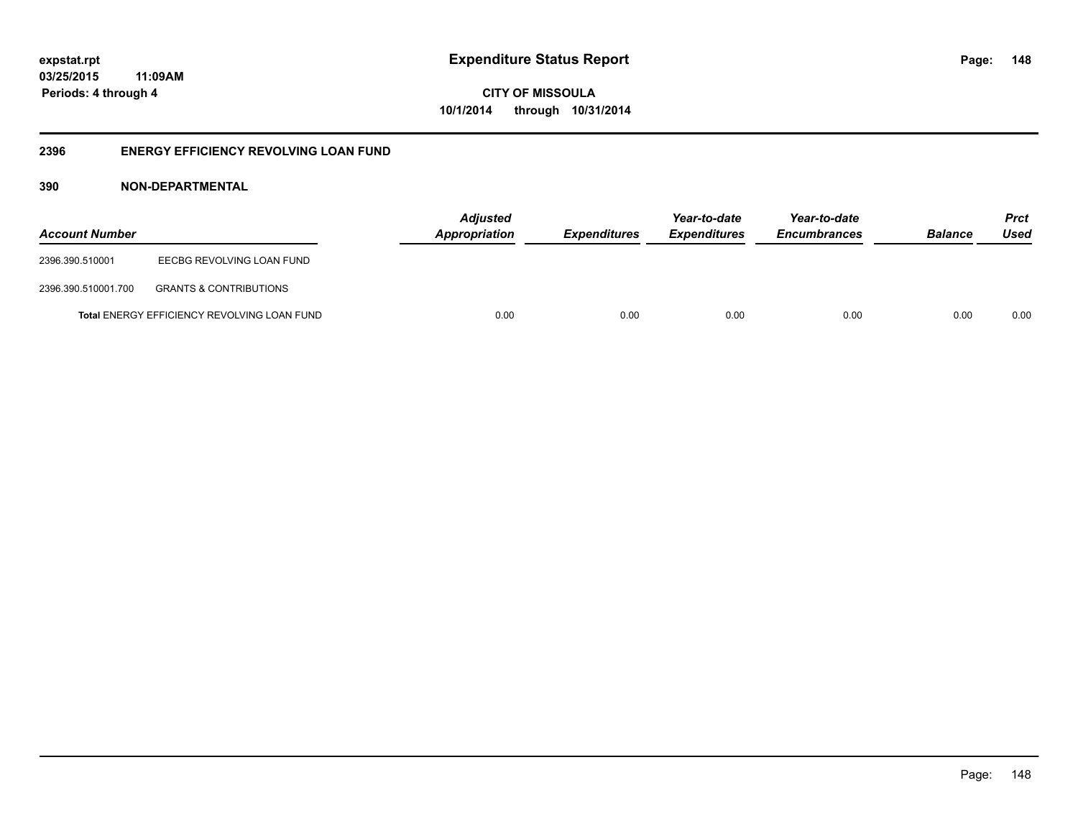**CITY OF MISSOULA 10/1/2014 through 10/31/2014**

## **2396 ENERGY EFFICIENCY REVOLVING LOAN FUND**

## **390 NON-DEPARTMENTAL**

| <b>Account Number</b> |                                                    | <b>Adjusted</b><br>Appropriation | <b>Expenditures</b> | Year-to-date<br><i><b>Expenditures</b></i> | Year-to-date<br><b>Encumbrances</b> | <b>Balance</b> | <b>Prct</b><br>Used |
|-----------------------|----------------------------------------------------|----------------------------------|---------------------|--------------------------------------------|-------------------------------------|----------------|---------------------|
| 2396.390.510001       | EECBG REVOLVING LOAN FUND                          |                                  |                     |                                            |                                     |                |                     |
| 2396.390.510001.700   | <b>GRANTS &amp; CONTRIBUTIONS</b>                  |                                  |                     |                                            |                                     |                |                     |
|                       | <b>Total ENERGY EFFICIENCY REVOLVING LOAN FUND</b> | 0.00                             | 0.00                | 0.00                                       | 0.00                                | 0.00           | 0.00                |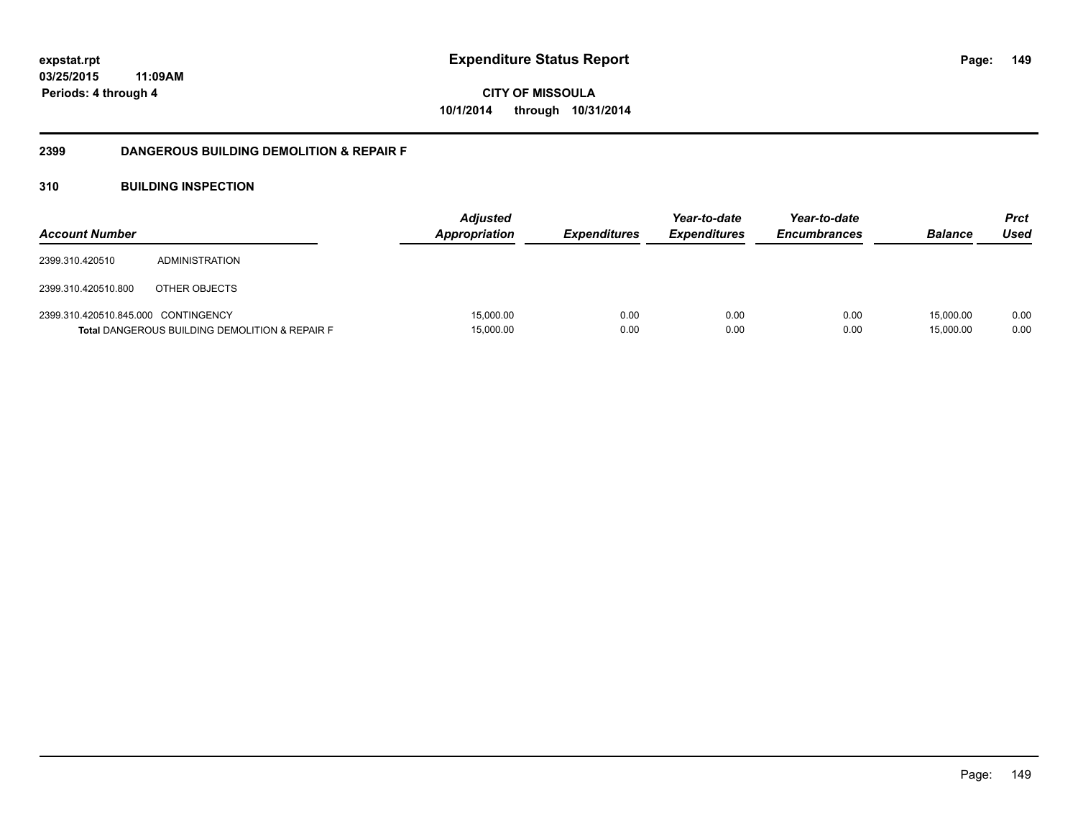**CITY OF MISSOULA 10/1/2014 through 10/31/2014**

## **2399 DANGEROUS BUILDING DEMOLITION & REPAIR F**

## **310 BUILDING INSPECTION**

| <b>Account Number</b>               |                                                           | <b>Adjusted</b><br><b>Appropriation</b> | <i><b>Expenditures</b></i> | Year-to-date<br><b>Expenditures</b> | Year-to-date<br><b>Encumbrances</b> | <b>Balance</b>         | Prct<br>Used |
|-------------------------------------|-----------------------------------------------------------|-----------------------------------------|----------------------------|-------------------------------------|-------------------------------------|------------------------|--------------|
| 2399.310.420510                     | ADMINISTRATION                                            |                                         |                            |                                     |                                     |                        |              |
| 2399.310.420510.800                 | OTHER OBJECTS                                             |                                         |                            |                                     |                                     |                        |              |
| 2399.310.420510.845.000 CONTINGENCY | <b>Total DANGEROUS BUILDING DEMOLITION &amp; REPAIR F</b> | 15,000.00<br>15,000.00                  | 0.00<br>0.00               | 0.00<br>0.00                        | 0.00<br>0.00                        | 15.000.00<br>15,000.00 | 0.00<br>0.00 |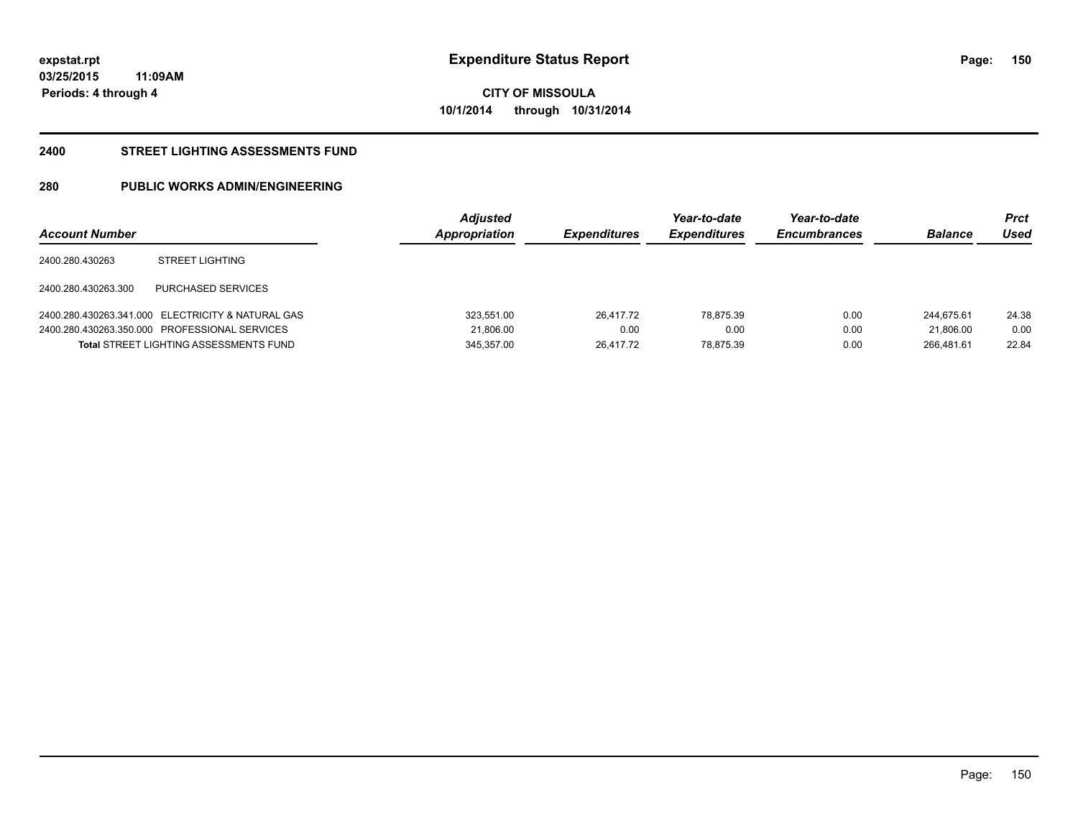**150**

**03/25/2015 11:09AM Periods: 4 through 4**

**CITY OF MISSOULA 10/1/2014 through 10/31/2014**

#### **2400 STREET LIGHTING ASSESSMENTS FUND**

# **280 PUBLIC WORKS ADMIN/ENGINEERING**

| <b>Account Number</b> |                                                   | <b>Adjusted</b><br>Appropriation | <b>Expenditures</b> | Year-to-date<br><b>Expenditures</b> | Year-to-date<br><b>Encumbrances</b> | <b>Balance</b> | Prct<br>Used |
|-----------------------|---------------------------------------------------|----------------------------------|---------------------|-------------------------------------|-------------------------------------|----------------|--------------|
| 2400.280.430263       | <b>STREET LIGHTING</b>                            |                                  |                     |                                     |                                     |                |              |
| 2400.280.430263.300   | PURCHASED SERVICES                                |                                  |                     |                                     |                                     |                |              |
|                       | 2400.280.430263.341.000 ELECTRICITY & NATURAL GAS | 323.551.00                       | 26.417.72           | 78.875.39                           | 0.00                                | 244.675.61     | 24.38        |
|                       | 2400.280.430263.350.000 PROFESSIONAL SERVICES     | 21.806.00                        | 0.00                | 0.00                                | 0.00                                | 21.806.00      | 0.00         |
|                       | <b>Total STREET LIGHTING ASSESSMENTS FUND</b>     | 345,357.00                       | 26.417.72           | 78.875.39                           | 0.00                                | 266.481.61     | 22.84        |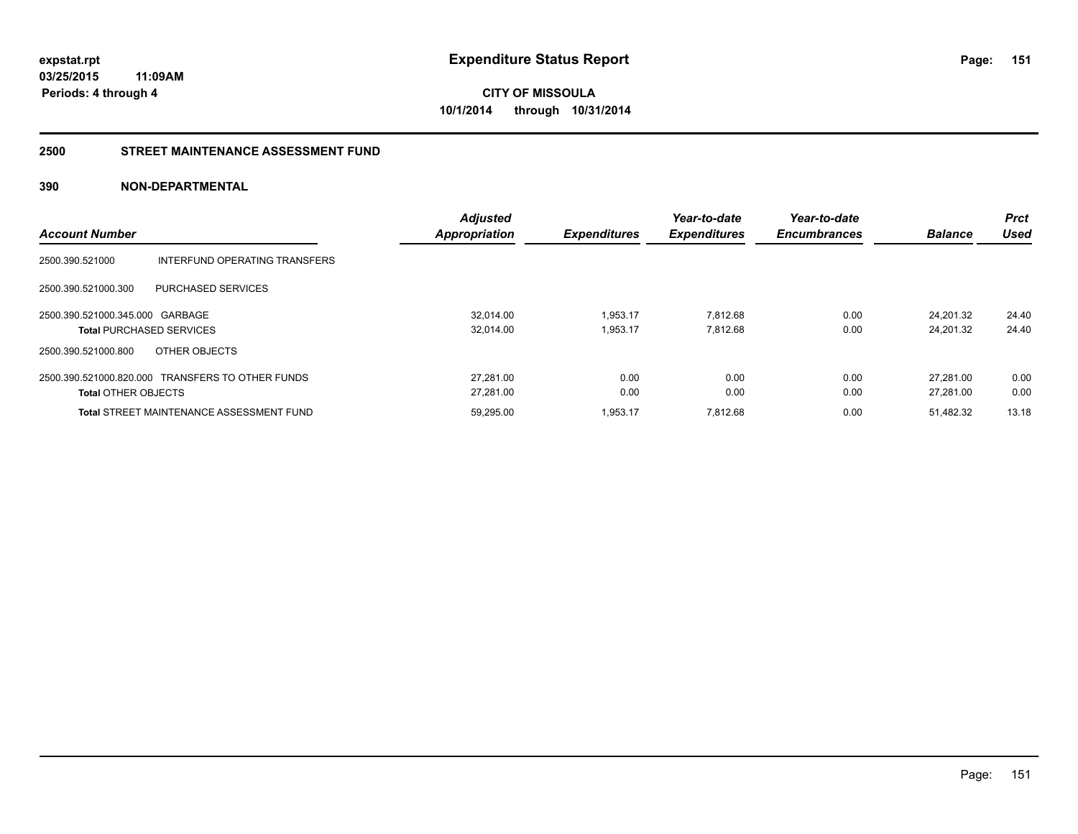**CITY OF MISSOULA 10/1/2014 through 10/31/2014**

### **2500 STREET MAINTENANCE ASSESSMENT FUND**

## **390 NON-DEPARTMENTAL**

| <b>Account Number</b>           |                                                  | <b>Adjusted</b><br><b>Appropriation</b> | <b>Expenditures</b> | Year-to-date<br><b>Expenditures</b> | Year-to-date<br><b>Encumbrances</b> | <b>Balance</b> | <b>Prct</b><br>Used |
|---------------------------------|--------------------------------------------------|-----------------------------------------|---------------------|-------------------------------------|-------------------------------------|----------------|---------------------|
|                                 |                                                  |                                         |                     |                                     |                                     |                |                     |
| 2500.390.521000                 | INTERFUND OPERATING TRANSFERS                    |                                         |                     |                                     |                                     |                |                     |
| 2500.390.521000.300             | PURCHASED SERVICES                               |                                         |                     |                                     |                                     |                |                     |
| 2500.390.521000.345.000 GARBAGE |                                                  | 32.014.00                               | 1,953.17            | 7.812.68                            | 0.00                                | 24.201.32      | 24.40               |
|                                 | <b>Total PURCHASED SERVICES</b>                  | 32.014.00                               | 1.953.17            | 7.812.68                            | 0.00                                | 24.201.32      | 24.40               |
| 2500.390.521000.800             | OTHER OBJECTS                                    |                                         |                     |                                     |                                     |                |                     |
|                                 | 2500.390.521000.820.000 TRANSFERS TO OTHER FUNDS | 27.281.00                               | 0.00                | 0.00                                | 0.00                                | 27.281.00      | 0.00                |
| <b>Total OTHER OBJECTS</b>      |                                                  | 27.281.00                               | 0.00                | 0.00                                | 0.00                                | 27.281.00      | 0.00                |
|                                 | <b>Total STREET MAINTENANCE ASSESSMENT FUND</b>  | 59.295.00                               | 1.953.17            | 7.812.68                            | 0.00                                | 51.482.32      | 13.18               |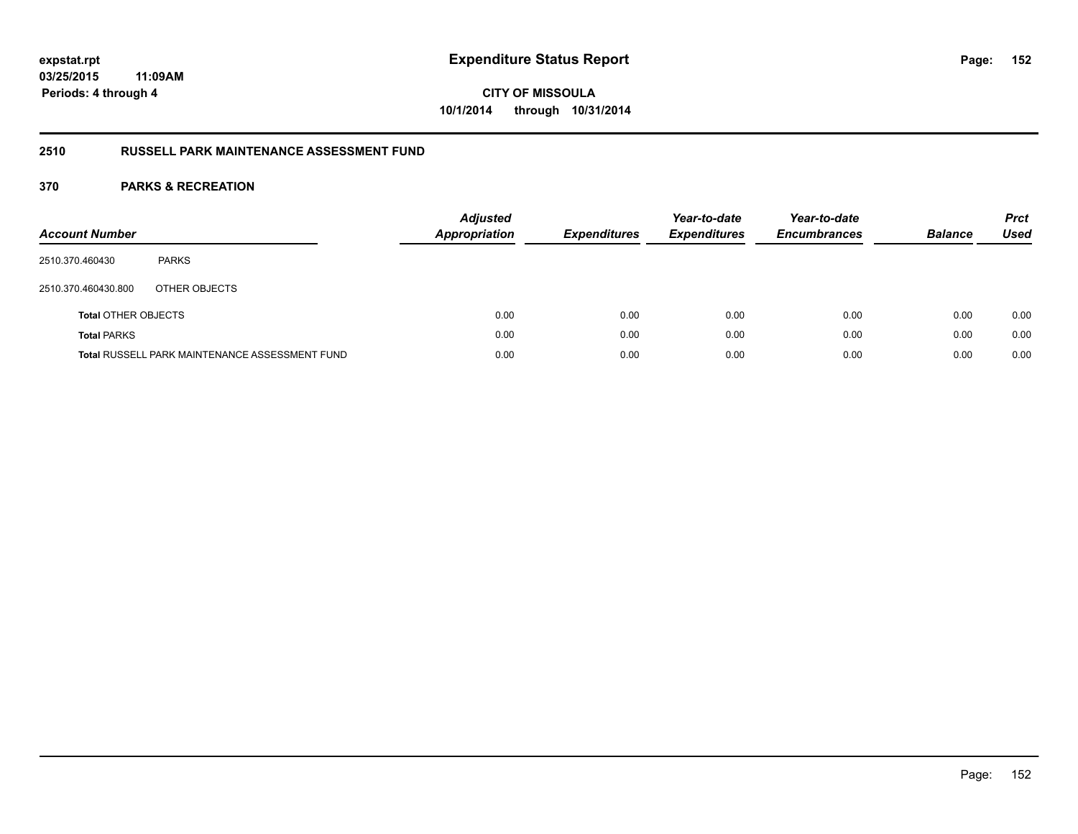**CITY OF MISSOULA 10/1/2014 through 10/31/2014**

## **2510 RUSSELL PARK MAINTENANCE ASSESSMENT FUND**

| <b>Account Number</b>      |                                                       | <b>Adjusted</b><br>Appropriation | <b>Expenditures</b> | Year-to-date<br><b>Expenditures</b> | Year-to-date<br><b>Encumbrances</b> | <b>Balance</b> | <b>Prct</b><br>Used |
|----------------------------|-------------------------------------------------------|----------------------------------|---------------------|-------------------------------------|-------------------------------------|----------------|---------------------|
| 2510.370.460430            | <b>PARKS</b>                                          |                                  |                     |                                     |                                     |                |                     |
| 2510.370.460430.800        | OTHER OBJECTS                                         |                                  |                     |                                     |                                     |                |                     |
| <b>Total OTHER OBJECTS</b> |                                                       | 0.00                             | 0.00                | 0.00                                | 0.00                                | 0.00           | 0.00                |
| <b>Total PARKS</b>         |                                                       | 0.00                             | 0.00                | 0.00                                | 0.00                                | 0.00           | 0.00                |
|                            | <b>Total RUSSELL PARK MAINTENANCE ASSESSMENT FUND</b> | 0.00                             | 0.00                | 0.00                                | 0.00                                | 0.00           | 0.00                |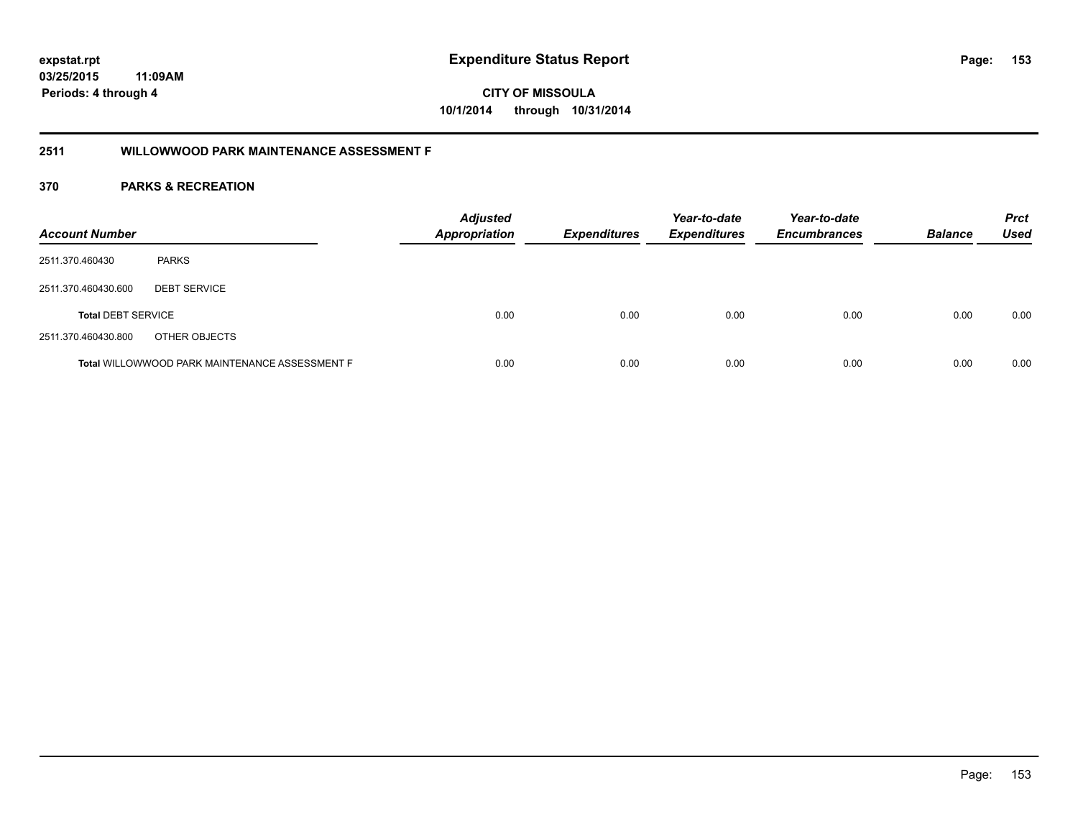**CITY OF MISSOULA 10/1/2014 through 10/31/2014**

## **2511 WILLOWWOOD PARK MAINTENANCE ASSESSMENT F**

| <b>Account Number</b>     |                                                | <b>Adjusted</b><br><b>Appropriation</b> | <b>Expenditures</b> | Year-to-date<br><b>Expenditures</b> | Year-to-date<br><b>Encumbrances</b> | <b>Balance</b> | <b>Prct</b><br>Used |
|---------------------------|------------------------------------------------|-----------------------------------------|---------------------|-------------------------------------|-------------------------------------|----------------|---------------------|
| 2511.370.460430           | <b>PARKS</b>                                   |                                         |                     |                                     |                                     |                |                     |
| 2511.370.460430.600       | <b>DEBT SERVICE</b>                            |                                         |                     |                                     |                                     |                |                     |
| <b>Total DEBT SERVICE</b> |                                                | 0.00                                    | 0.00                | 0.00                                | 0.00                                | 0.00           | 0.00                |
| 2511.370.460430.800       | OTHER OBJECTS                                  |                                         |                     |                                     |                                     |                |                     |
|                           | Total WILLOWWOOD PARK MAINTENANCE ASSESSMENT F | 0.00                                    | 0.00                | 0.00                                | 0.00                                | 0.00           | 0.00                |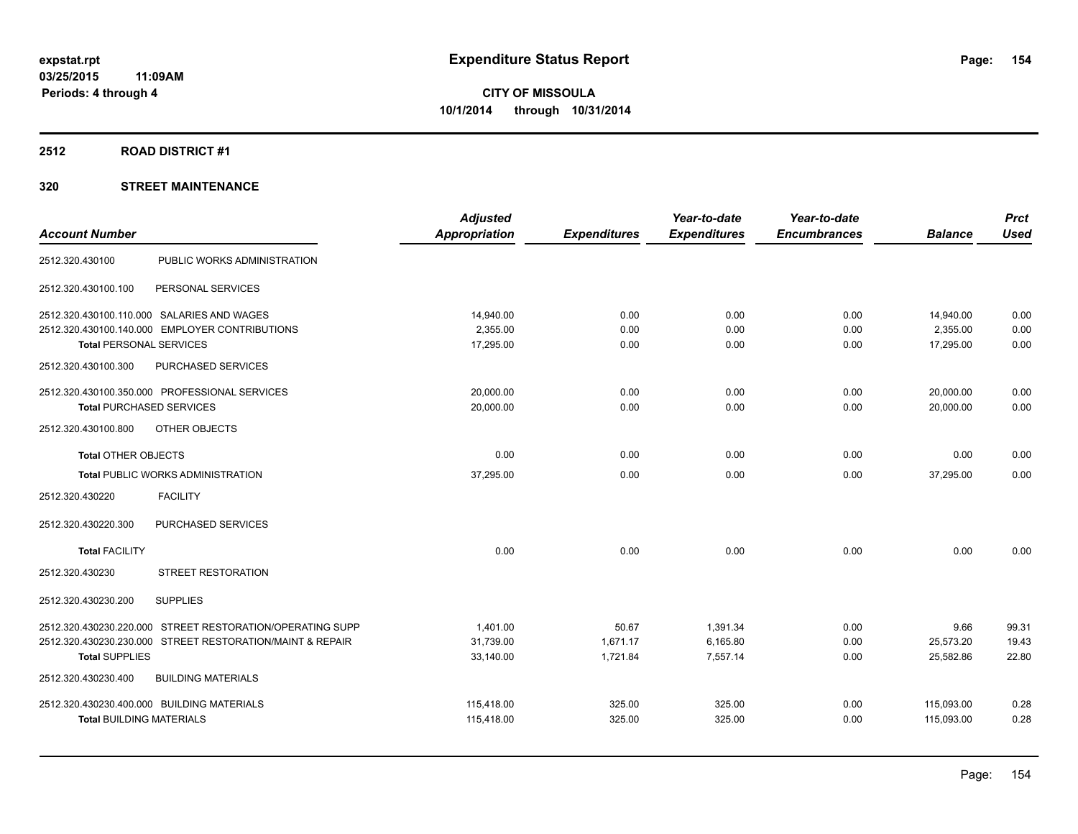## **2512 ROAD DISTRICT #1**

|                                                           | <b>Adjusted</b>      |                     | Year-to-date        | Year-to-date        |                | <b>Prct</b> |
|-----------------------------------------------------------|----------------------|---------------------|---------------------|---------------------|----------------|-------------|
| <b>Account Number</b>                                     | <b>Appropriation</b> | <b>Expenditures</b> | <b>Expenditures</b> | <b>Encumbrances</b> | <b>Balance</b> | <b>Used</b> |
| 2512.320.430100<br>PUBLIC WORKS ADMINISTRATION            |                      |                     |                     |                     |                |             |
| PERSONAL SERVICES<br>2512.320.430100.100                  |                      |                     |                     |                     |                |             |
| 2512.320.430100.110.000 SALARIES AND WAGES                | 14,940.00            | 0.00                | 0.00                | 0.00                | 14,940.00      | 0.00        |
| 2512.320.430100.140.000 EMPLOYER CONTRIBUTIONS            | 2,355.00             | 0.00                | 0.00                | 0.00                | 2,355.00       | 0.00        |
| <b>Total PERSONAL SERVICES</b>                            | 17,295.00            | 0.00                | 0.00                | 0.00                | 17,295.00      | 0.00        |
| 2512.320.430100.300<br>PURCHASED SERVICES                 |                      |                     |                     |                     |                |             |
| 2512.320.430100.350.000 PROFESSIONAL SERVICES             | 20,000.00            | 0.00                | 0.00                | 0.00                | 20,000.00      | 0.00        |
| <b>Total PURCHASED SERVICES</b>                           | 20,000.00            | 0.00                | 0.00                | 0.00                | 20,000.00      | 0.00        |
| 2512.320.430100.800<br>OTHER OBJECTS                      |                      |                     |                     |                     |                |             |
| <b>Total OTHER OBJECTS</b>                                | 0.00                 | 0.00                | 0.00                | 0.00                | 0.00           | 0.00        |
| <b>Total PUBLIC WORKS ADMINISTRATION</b>                  | 37,295.00            | 0.00                | 0.00                | 0.00                | 37,295.00      | 0.00        |
| <b>FACILITY</b><br>2512.320.430220                        |                      |                     |                     |                     |                |             |
| PURCHASED SERVICES<br>2512.320.430220.300                 |                      |                     |                     |                     |                |             |
| <b>Total FACILITY</b>                                     | 0.00                 | 0.00                | 0.00                | 0.00                | 0.00           | 0.00        |
| STREET RESTORATION<br>2512.320.430230                     |                      |                     |                     |                     |                |             |
| <b>SUPPLIES</b><br>2512.320.430230.200                    |                      |                     |                     |                     |                |             |
| 2512.320.430230.220.000 STREET RESTORATION/OPERATING SUPP | 1,401.00             | 50.67               | 1,391.34            | 0.00                | 9.66           | 99.31       |
| 2512.320.430230.230.000 STREET RESTORATION/MAINT & REPAIR | 31,739.00            | 1.671.17            | 6,165.80            | 0.00                | 25,573.20      | 19.43       |
| <b>Total SUPPLIES</b>                                     | 33,140.00            | 1,721.84            | 7,557.14            | 0.00                | 25,582.86      | 22.80       |
| 2512.320.430230.400<br><b>BUILDING MATERIALS</b>          |                      |                     |                     |                     |                |             |
| 2512.320.430230.400.000 BUILDING MATERIALS                | 115,418.00           | 325.00              | 325.00              | 0.00                | 115,093.00     | 0.28        |
| <b>Total BUILDING MATERIALS</b>                           | 115,418.00           | 325.00              | 325.00              | 0.00                | 115,093.00     | 0.28        |
|                                                           |                      |                     |                     |                     |                |             |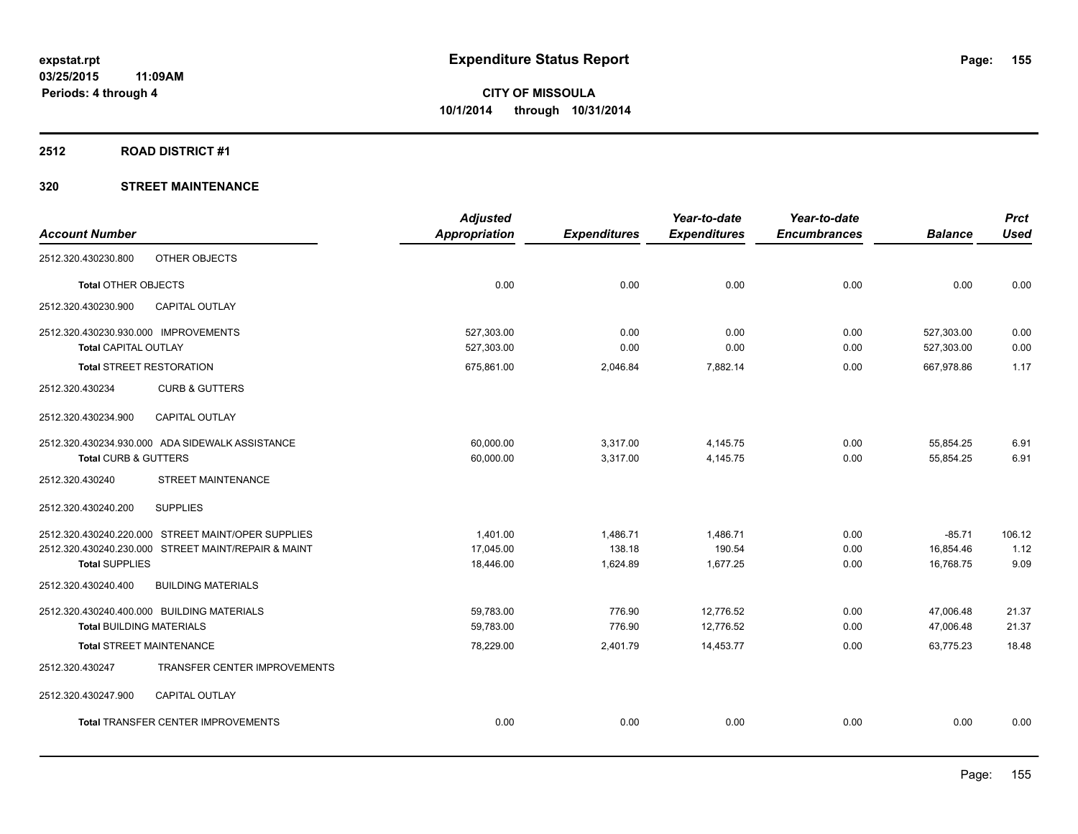### **2512 ROAD DISTRICT #1**

|                                                     | <b>Adjusted</b>      |                     | Year-to-date        | Year-to-date        |                | <b>Prct</b> |
|-----------------------------------------------------|----------------------|---------------------|---------------------|---------------------|----------------|-------------|
| <b>Account Number</b>                               | <b>Appropriation</b> | <b>Expenditures</b> | <b>Expenditures</b> | <b>Encumbrances</b> | <b>Balance</b> | <b>Used</b> |
| OTHER OBJECTS<br>2512.320.430230.800                |                      |                     |                     |                     |                |             |
| Total OTHER OBJECTS                                 | 0.00                 | 0.00                | 0.00                | 0.00                | 0.00           | 0.00        |
| 2512.320.430230.900<br>CAPITAL OUTLAY               |                      |                     |                     |                     |                |             |
| 2512.320.430230.930.000 IMPROVEMENTS                | 527,303.00           | 0.00                | 0.00                | 0.00                | 527,303.00     | 0.00        |
| <b>Total CAPITAL OUTLAY</b>                         | 527,303.00           | 0.00                | 0.00                | 0.00                | 527,303.00     | 0.00        |
| <b>Total STREET RESTORATION</b>                     | 675,861.00           | 2,046.84            | 7,882.14            | 0.00                | 667,978.86     | 1.17        |
| 2512.320.430234<br><b>CURB &amp; GUTTERS</b>        |                      |                     |                     |                     |                |             |
| 2512.320.430234.900<br><b>CAPITAL OUTLAY</b>        |                      |                     |                     |                     |                |             |
| 2512.320.430234.930.000 ADA SIDEWALK ASSISTANCE     | 60,000.00            | 3,317.00            | 4,145.75            | 0.00                | 55,854.25      | 6.91        |
| Total CURB & GUTTERS                                | 60,000.00            | 3,317.00            | 4,145.75            | 0.00                | 55,854.25      | 6.91        |
| <b>STREET MAINTENANCE</b><br>2512.320.430240        |                      |                     |                     |                     |                |             |
| <b>SUPPLIES</b><br>2512.320.430240.200              |                      |                     |                     |                     |                |             |
| 2512.320.430240.220.000 STREET MAINT/OPER SUPPLIES  | 1,401.00             | 1,486.71            | 1,486.71            | 0.00                | $-85.71$       | 106.12      |
| 2512.320.430240.230.000 STREET MAINT/REPAIR & MAINT | 17.045.00            | 138.18              | 190.54              | 0.00                | 16,854.46      | 1.12        |
| <b>Total SUPPLIES</b>                               | 18,446.00            | 1,624.89            | 1,677.25            | 0.00                | 16,768.75      | 9.09        |
| <b>BUILDING MATERIALS</b><br>2512.320.430240.400    |                      |                     |                     |                     |                |             |
| 2512.320.430240.400.000 BUILDING MATERIALS          | 59,783.00            | 776.90              | 12,776.52           | 0.00                | 47,006.48      | 21.37       |
| <b>Total BUILDING MATERIALS</b>                     | 59,783.00            | 776.90              | 12,776.52           | 0.00                | 47,006.48      | 21.37       |
| <b>Total STREET MAINTENANCE</b>                     | 78,229.00            | 2,401.79            | 14,453.77           | 0.00                | 63,775.23      | 18.48       |
| TRANSFER CENTER IMPROVEMENTS<br>2512.320.430247     |                      |                     |                     |                     |                |             |
| 2512.320.430247.900<br><b>CAPITAL OUTLAY</b>        |                      |                     |                     |                     |                |             |
| Total TRANSFER CENTER IMPROVEMENTS                  | 0.00                 | 0.00                | 0.00                | 0.00                | 0.00           | 0.00        |
|                                                     |                      |                     |                     |                     |                |             |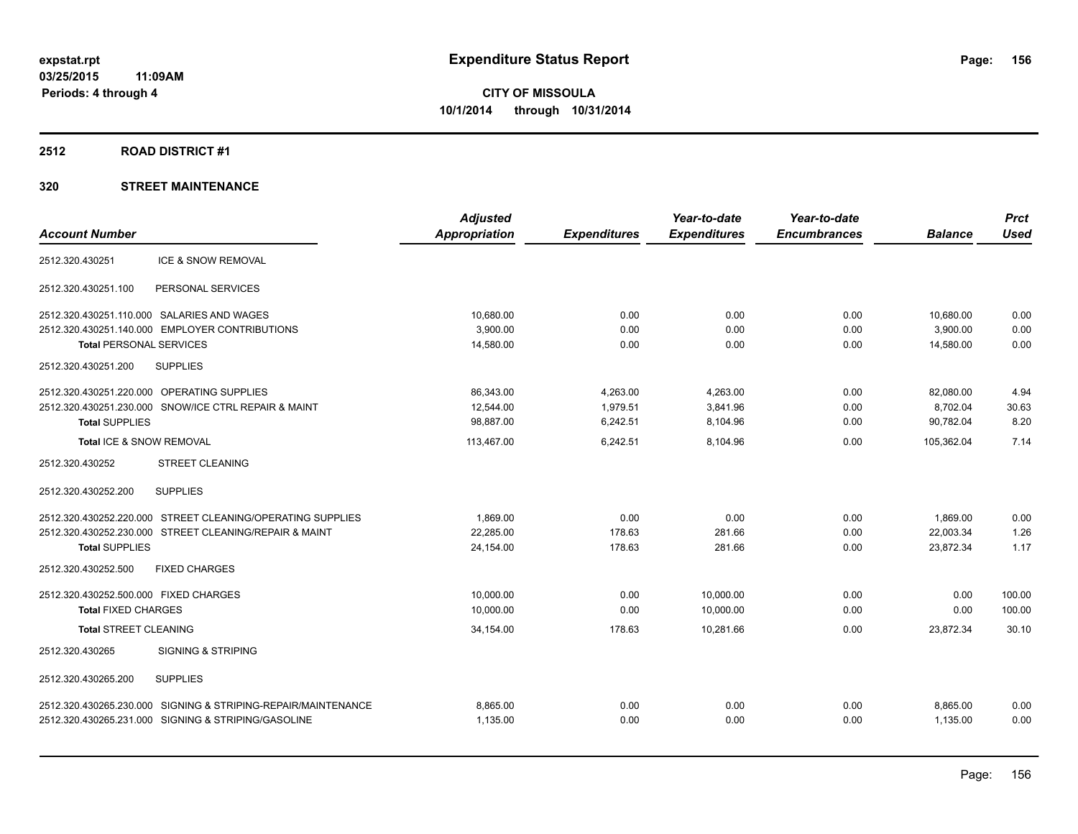### **2512 ROAD DISTRICT #1**

|                                                                  | <b>Adjusted</b>      |                     | Year-to-date        | Year-to-date        |                | <b>Prct</b> |
|------------------------------------------------------------------|----------------------|---------------------|---------------------|---------------------|----------------|-------------|
| <b>Account Number</b>                                            | <b>Appropriation</b> | <b>Expenditures</b> | <b>Expenditures</b> | <b>Encumbrances</b> | <b>Balance</b> | <b>Used</b> |
| <b>ICE &amp; SNOW REMOVAL</b><br>2512.320.430251                 |                      |                     |                     |                     |                |             |
| 2512.320.430251.100<br>PERSONAL SERVICES                         |                      |                     |                     |                     |                |             |
| 2512.320.430251.110.000 SALARIES AND WAGES                       | 10,680.00            | 0.00                | 0.00                | 0.00                | 10,680.00      | 0.00        |
| 2512.320.430251.140.000 EMPLOYER CONTRIBUTIONS                   | 3,900.00             | 0.00                | 0.00                | 0.00                | 3,900.00       | 0.00        |
| <b>Total PERSONAL SERVICES</b>                                   | 14,580.00            | 0.00                | 0.00                | 0.00                | 14,580.00      | 0.00        |
| <b>SUPPLIES</b><br>2512.320.430251.200                           |                      |                     |                     |                     |                |             |
| 2512.320.430251.220.000 OPERATING SUPPLIES                       | 86,343.00            | 4,263.00            | 4,263.00            | 0.00                | 82,080.00      | 4.94        |
| SNOW/ICE CTRL REPAIR & MAINT<br>2512.320.430251.230.000          | 12,544.00            | 1,979.51            | 3,841.96            | 0.00                | 8,702.04       | 30.63       |
| <b>Total SUPPLIES</b>                                            | 98,887.00            | 6,242.51            | 8,104.96            | 0.00                | 90,782.04      | 8.20        |
| Total ICE & SNOW REMOVAL                                         | 113,467.00           | 6.242.51            | 8.104.96            | 0.00                | 105,362.04     | 7.14        |
| 2512.320.430252<br>STREET CLEANING                               |                      |                     |                     |                     |                |             |
| <b>SUPPLIES</b><br>2512.320.430252.200                           |                      |                     |                     |                     |                |             |
| 2512.320.430252.220.000 STREET CLEANING/OPERATING SUPPLIES       | 1,869.00             | 0.00                | 0.00                | 0.00                | 1,869.00       | 0.00        |
| 2512.320.430252.230.000 STREET CLEANING/REPAIR & MAINT           | 22,285.00            | 178.63              | 281.66              | 0.00                | 22,003.34      | 1.26        |
| <b>Total SUPPLIES</b>                                            | 24,154.00            | 178.63              | 281.66              | 0.00                | 23,872.34      | 1.17        |
| 2512.320.430252.500<br><b>FIXED CHARGES</b>                      |                      |                     |                     |                     |                |             |
| 2512.320.430252.500.000 FIXED CHARGES                            | 10.000.00            | 0.00                | 10.000.00           | 0.00                | 0.00           | 100.00      |
| <b>Total FIXED CHARGES</b>                                       | 10,000.00            | 0.00                | 10,000.00           | 0.00                | 0.00           | 100.00      |
| <b>Total STREET CLEANING</b>                                     | 34,154.00            | 178.63              | 10.281.66           | 0.00                | 23,872.34      | 30.10       |
| <b>SIGNING &amp; STRIPING</b><br>2512.320.430265                 |                      |                     |                     |                     |                |             |
| 2512.320.430265.200<br><b>SUPPLIES</b>                           |                      |                     |                     |                     |                |             |
| SIGNING & STRIPING-REPAIR/MAINTENANCE<br>2512.320.430265.230.000 | 8,865.00             | 0.00                | 0.00                | 0.00                | 8,865.00       | 0.00        |
| 2512.320.430265.231.000 SIGNING & STRIPING/GASOLINE              | 1,135.00             | 0.00                | 0.00                | 0.00                | 1,135.00       | 0.00        |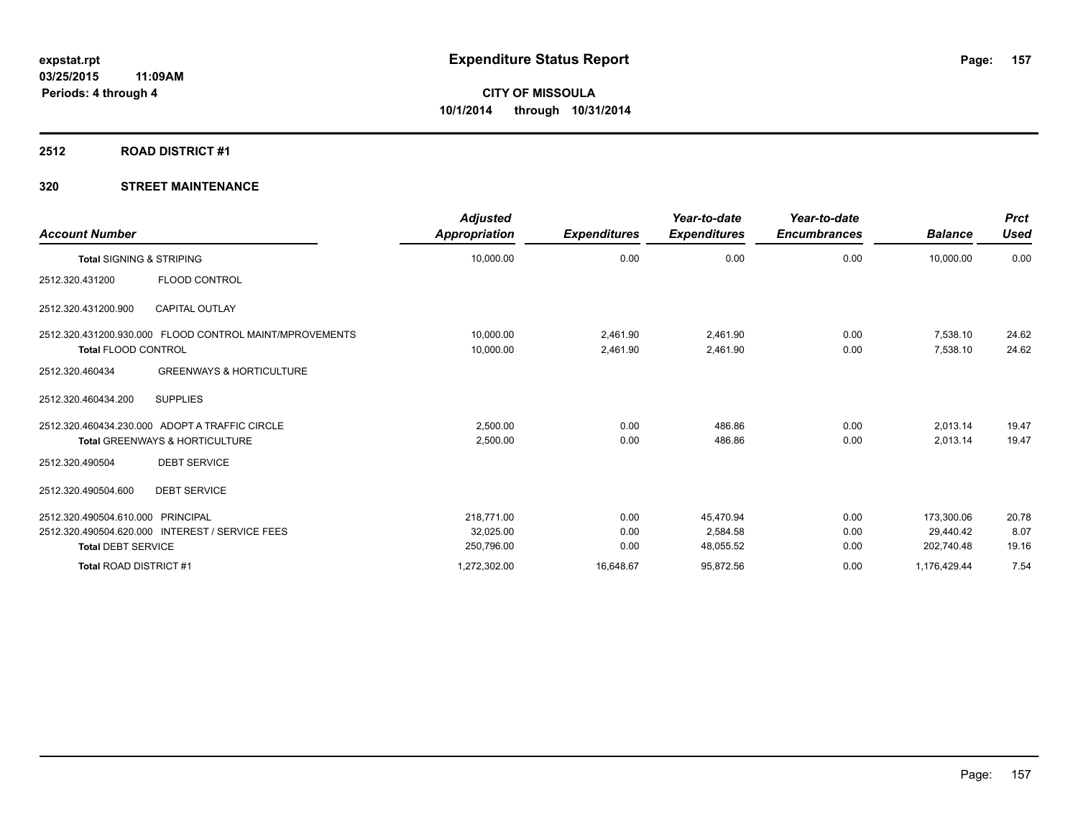## **2512 ROAD DISTRICT #1**

| <b>Account Number</b>                                                                                             | <b>Adjusted</b><br><b>Appropriation</b> | <b>Expenditures</b>  | Year-to-date<br><b>Expenditures</b> | Year-to-date<br><b>Encumbrances</b> | <b>Balance</b>                        | <b>Prct</b><br><b>Used</b> |
|-------------------------------------------------------------------------------------------------------------------|-----------------------------------------|----------------------|-------------------------------------|-------------------------------------|---------------------------------------|----------------------------|
| <b>Total SIGNING &amp; STRIPING</b>                                                                               | 10,000.00                               | 0.00                 | 0.00                                | 0.00                                | 10,000.00                             | 0.00                       |
| <b>FLOOD CONTROL</b><br>2512.320.431200                                                                           |                                         |                      |                                     |                                     |                                       |                            |
| <b>CAPITAL OUTLAY</b><br>2512.320.431200.900                                                                      |                                         |                      |                                     |                                     |                                       |                            |
| 2512.320.431200.930.000 FLOOD CONTROL MAINT/MPROVEMENTS<br><b>Total FLOOD CONTROL</b>                             | 10,000.00<br>10,000.00                  | 2,461.90<br>2,461.90 | 2,461.90<br>2,461.90                | 0.00<br>0.00                        | 7,538.10<br>7,538.10                  | 24.62<br>24.62             |
| <b>GREENWAYS &amp; HORTICULTURE</b><br>2512.320.460434                                                            |                                         |                      |                                     |                                     |                                       |                            |
| <b>SUPPLIES</b><br>2512.320.460434.200                                                                            |                                         |                      |                                     |                                     |                                       |                            |
| 2512.320.460434.230.000 ADOPT A TRAFFIC CIRCLE<br>Total GREENWAYS & HORTICULTURE                                  | 2.500.00<br>2,500.00                    | 0.00<br>0.00         | 486.86<br>486.86                    | 0.00<br>0.00                        | 2,013.14<br>2,013.14                  | 19.47<br>19.47             |
| <b>DEBT SERVICE</b><br>2512.320.490504                                                                            |                                         |                      |                                     |                                     |                                       |                            |
| 2512.320.490504.600<br><b>DEBT SERVICE</b>                                                                        |                                         |                      |                                     |                                     |                                       |                            |
| 2512.320.490504.610.000 PRINCIPAL<br>2512.320.490504.620.000 INTEREST / SERVICE FEES<br><b>Total DEBT SERVICE</b> | 218.771.00<br>32,025.00<br>250,796.00   | 0.00<br>0.00<br>0.00 | 45,470.94<br>2,584.58<br>48,055.52  | 0.00<br>0.00<br>0.00                | 173,300.06<br>29,440.42<br>202,740.48 | 20.78<br>8.07<br>19.16     |
| Total ROAD DISTRICT #1                                                                                            | 1,272,302.00                            | 16,648.67            | 95,872.56                           | 0.00                                | 1,176,429.44                          | 7.54                       |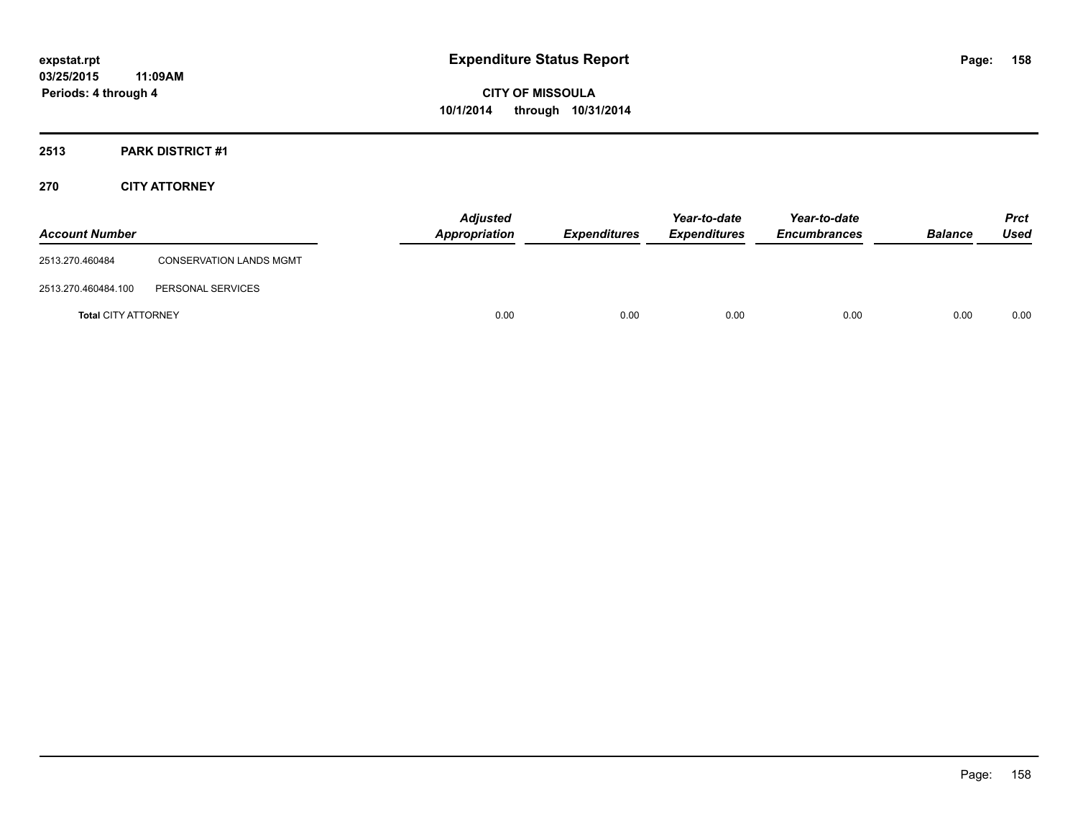# **2513 PARK DISTRICT #1**

## **270 CITY ATTORNEY**

| <b>Account Number</b>      |                                | <b>Adjusted</b><br><b>Appropriation</b> | <b>Expenditures</b> | Year-to-date<br><b>Expenditures</b> | Year-to-date<br><b>Encumbrances</b> | <b>Balance</b> | <b>Prct</b><br>Used |
|----------------------------|--------------------------------|-----------------------------------------|---------------------|-------------------------------------|-------------------------------------|----------------|---------------------|
| 2513.270.460484            | <b>CONSERVATION LANDS MGMT</b> |                                         |                     |                                     |                                     |                |                     |
| 2513.270.460484.100        | PERSONAL SERVICES              |                                         |                     |                                     |                                     |                |                     |
| <b>Total CITY ATTORNEY</b> |                                | 0.00                                    | 0.00                | 0.00                                | 0.00                                | 0.00           | 0.00                |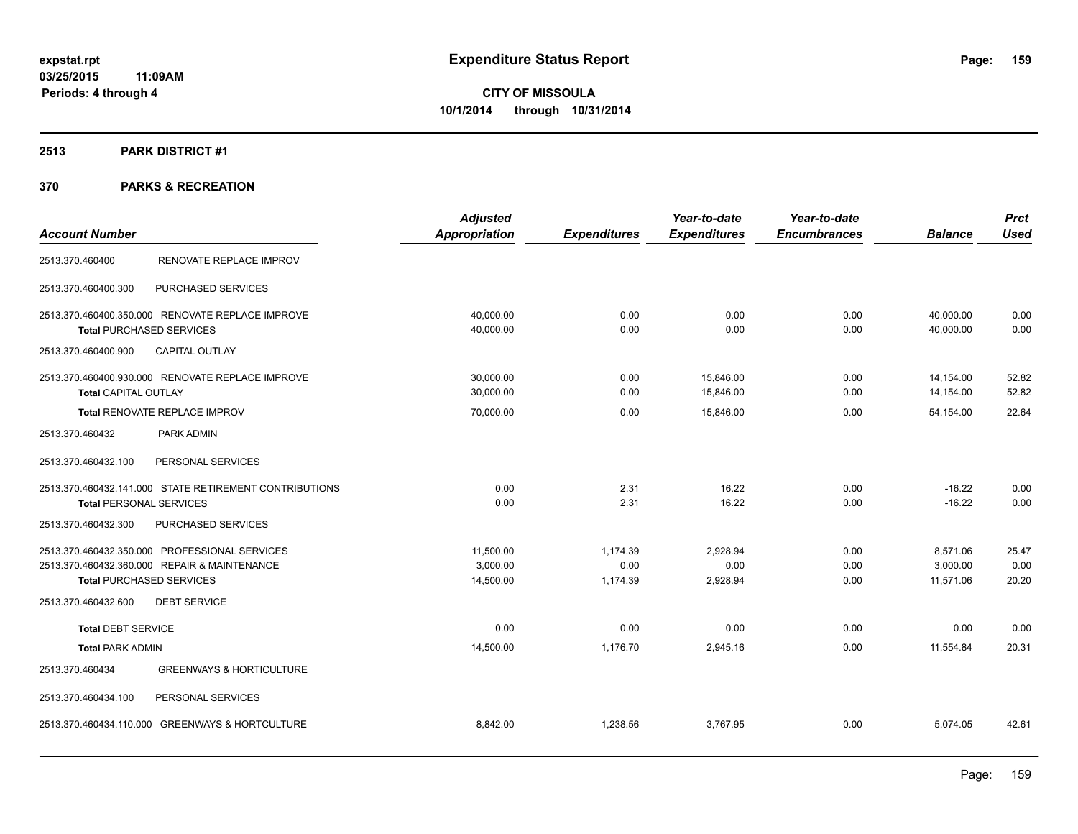# **2513 PARK DISTRICT #1**

|                                                        |                                     | <b>Adjusted</b> |                     | Year-to-date        | Year-to-date        |                | <b>Prct</b> |
|--------------------------------------------------------|-------------------------------------|-----------------|---------------------|---------------------|---------------------|----------------|-------------|
| <b>Account Number</b>                                  |                                     | Appropriation   | <b>Expenditures</b> | <b>Expenditures</b> | <b>Encumbrances</b> | <b>Balance</b> | <b>Used</b> |
| 2513.370.460400                                        | RENOVATE REPLACE IMPROV             |                 |                     |                     |                     |                |             |
| 2513.370.460400.300                                    | PURCHASED SERVICES                  |                 |                     |                     |                     |                |             |
| 2513.370.460400.350.000 RENOVATE REPLACE IMPROVE       |                                     | 40,000.00       | 0.00                | 0.00                | 0.00                | 40,000.00      | 0.00        |
| <b>Total PURCHASED SERVICES</b>                        |                                     | 40,000.00       | 0.00                | 0.00                | 0.00                | 40.000.00      | 0.00        |
| <b>CAPITAL OUTLAY</b><br>2513.370.460400.900           |                                     |                 |                     |                     |                     |                |             |
| 2513.370.460400.930.000 RENOVATE REPLACE IMPROVE       |                                     | 30,000.00       | 0.00                | 15,846.00           | 0.00                | 14,154.00      | 52.82       |
| <b>Total CAPITAL OUTLAY</b>                            |                                     | 30,000.00       | 0.00                | 15,846.00           | 0.00                | 14,154.00      | 52.82       |
| <b>Total RENOVATE REPLACE IMPROV</b>                   |                                     | 70,000.00       | 0.00                | 15,846.00           | 0.00                | 54,154.00      | 22.64       |
| 2513.370.460432<br>PARK ADMIN                          |                                     |                 |                     |                     |                     |                |             |
| PERSONAL SERVICES<br>2513.370.460432.100               |                                     |                 |                     |                     |                     |                |             |
| 2513.370.460432.141.000 STATE RETIREMENT CONTRIBUTIONS |                                     | 0.00            | 2.31                | 16.22               | 0.00                | $-16.22$       | 0.00        |
| <b>Total PERSONAL SERVICES</b>                         |                                     | 0.00            | 2.31                | 16.22               | 0.00                | $-16.22$       | 0.00        |
| 2513.370.460432.300                                    | PURCHASED SERVICES                  |                 |                     |                     |                     |                |             |
| 2513.370.460432.350.000 PROFESSIONAL SERVICES          |                                     | 11,500.00       | 1,174.39            | 2,928.94            | 0.00                | 8,571.06       | 25.47       |
| 2513.370.460432.360.000 REPAIR & MAINTENANCE           |                                     | 3,000.00        | 0.00                | 0.00                | 0.00                | 3,000.00       | 0.00        |
| <b>Total PURCHASED SERVICES</b>                        |                                     | 14,500.00       | 1,174.39            | 2,928.94            | 0.00                | 11,571.06      | 20.20       |
| 2513.370.460432.600<br><b>DEBT SERVICE</b>             |                                     |                 |                     |                     |                     |                |             |
| <b>Total DEBT SERVICE</b>                              |                                     | 0.00            | 0.00                | 0.00                | 0.00                | 0.00           | 0.00        |
| <b>Total PARK ADMIN</b>                                |                                     | 14,500.00       | 1,176.70            | 2,945.16            | 0.00                | 11,554.84      | 20.31       |
| 2513.370.460434                                        | <b>GREENWAYS &amp; HORTICULTURE</b> |                 |                     |                     |                     |                |             |
| 2513.370.460434.100<br>PERSONAL SERVICES               |                                     |                 |                     |                     |                     |                |             |
| 2513.370.460434.110.000 GREENWAYS & HORTCULTURE        |                                     | 8,842.00        | 1,238.56            | 3,767.95            | 0.00                | 5,074.05       | 42.61       |
|                                                        |                                     |                 |                     |                     |                     |                |             |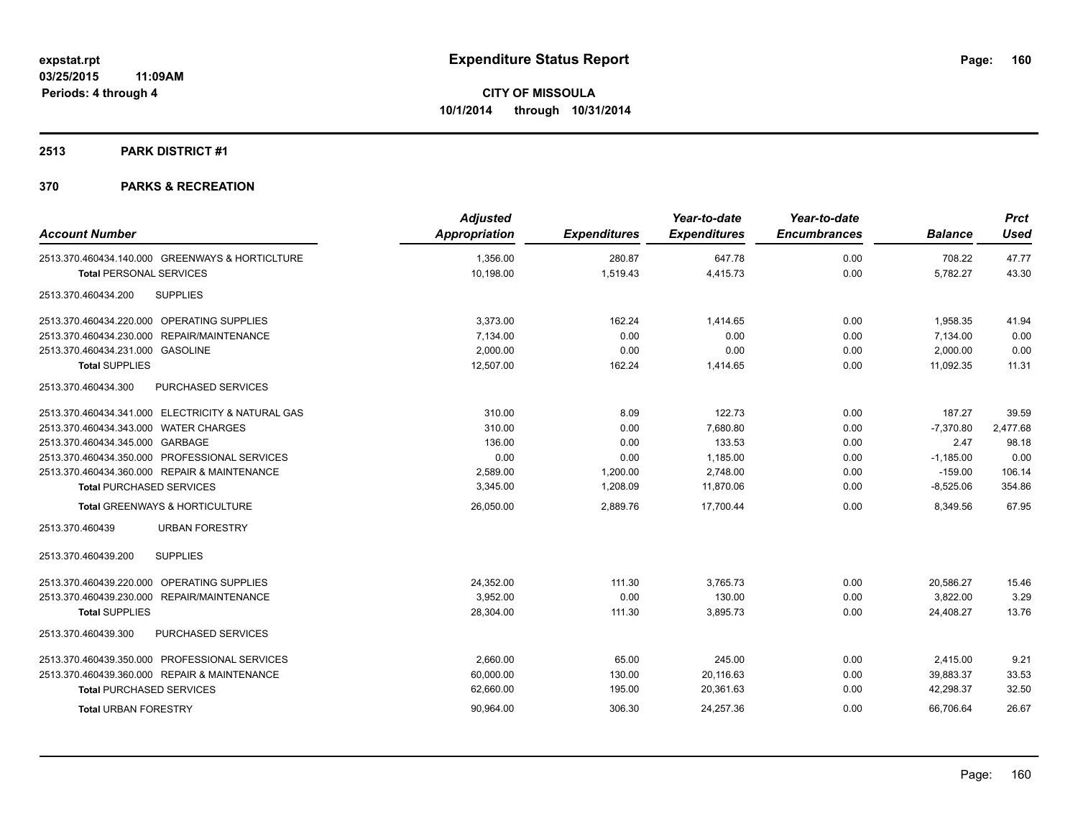### **2513 PARK DISTRICT #1**

| Appropriation<br><b>Expenditures</b><br><b>Expenditures</b><br><b>Encumbrances</b><br><b>Account Number</b><br><b>Balance</b><br>0.00<br>2513.370.460434.140.000 GREENWAYS & HORTICLTURE<br>1.356.00<br>280.87<br>647.78<br>708.22<br>10,198.00<br>1,519.43<br>4,415.73<br>0.00<br>5,782.27<br><b>Total PERSONAL SERVICES</b><br><b>SUPPLIES</b><br>2513.370.460434.200 | <b>Used</b><br>47.77<br>43.30<br>41.94<br>0.00 |
|-------------------------------------------------------------------------------------------------------------------------------------------------------------------------------------------------------------------------------------------------------------------------------------------------------------------------------------------------------------------------|------------------------------------------------|
|                                                                                                                                                                                                                                                                                                                                                                         |                                                |
|                                                                                                                                                                                                                                                                                                                                                                         |                                                |
|                                                                                                                                                                                                                                                                                                                                                                         |                                                |
|                                                                                                                                                                                                                                                                                                                                                                         |                                                |
| 2513.370.460434.220.000 OPERATING SUPPLIES<br>3,373.00<br>162.24<br>1,414.65<br>0.00<br>1,958.35                                                                                                                                                                                                                                                                        |                                                |
| 2513.370.460434.230.000 REPAIR/MAINTENANCE<br>0.00<br>0.00<br>0.00<br>7,134.00<br>7,134.00                                                                                                                                                                                                                                                                              |                                                |
| 2513.370.460434.231.000 GASOLINE<br>2.000.00<br>0.00<br>0.00<br>0.00<br>2,000.00                                                                                                                                                                                                                                                                                        | 0.00                                           |
| 12,507.00<br>162.24<br>1,414.65<br>0.00<br>11,092.35<br><b>Total SUPPLIES</b>                                                                                                                                                                                                                                                                                           | 11.31                                          |
| <b>PURCHASED SERVICES</b><br>2513.370.460434.300                                                                                                                                                                                                                                                                                                                        |                                                |
| 2513.370.460434.341.000 ELECTRICITY & NATURAL GAS<br>122.73<br>310.00<br>8.09<br>0.00<br>187.27                                                                                                                                                                                                                                                                         | 39.59                                          |
| $-7,370.80$<br>2513.370.460434.343.000 WATER CHARGES<br>310.00<br>0.00<br>7.680.80<br>0.00                                                                                                                                                                                                                                                                              | 2,477.68                                       |
| 2513.370.460434.345.000 GARBAGE<br>133.53<br>0.00<br>2.47<br>136.00<br>0.00                                                                                                                                                                                                                                                                                             | 98.18                                          |
| 2513.370.460434.350.000 PROFESSIONAL SERVICES<br>0.00<br>0.00<br>1,185.00<br>0.00<br>$-1,185.00$                                                                                                                                                                                                                                                                        | 0.00                                           |
| 2513.370.460434.360.000 REPAIR & MAINTENANCE<br>0.00<br>2,589.00<br>1,200.00<br>2,748.00<br>$-159.00$                                                                                                                                                                                                                                                                   | 106.14                                         |
| 3,345.00<br>1,208.09<br><b>Total PURCHASED SERVICES</b><br>11,870.06<br>0.00<br>$-8,525.06$                                                                                                                                                                                                                                                                             | 354.86                                         |
| 0.00<br>26,050.00<br>2,889.76<br>17,700.44<br>8,349.56<br>Total GREENWAYS & HORTICULTURE                                                                                                                                                                                                                                                                                | 67.95                                          |
| 2513.370.460439<br><b>URBAN FORESTRY</b>                                                                                                                                                                                                                                                                                                                                |                                                |
| 2513.370.460439.200<br><b>SUPPLIES</b>                                                                                                                                                                                                                                                                                                                                  |                                                |
| 2513.370.460439.220.000 OPERATING SUPPLIES<br>24,352.00<br>111.30<br>3,765.73<br>0.00<br>20,586.27                                                                                                                                                                                                                                                                      | 15.46                                          |
| 3.952.00<br>0.00<br>130.00<br>0.00<br>3,822.00<br>2513.370.460439.230.000 REPAIR/MAINTENANCE                                                                                                                                                                                                                                                                            | 3.29                                           |
| 28,304.00<br>111.30<br>3,895.73<br>0.00<br>24,408.27<br><b>Total SUPPLIES</b>                                                                                                                                                                                                                                                                                           | 13.76                                          |
| 2513.370.460439.300<br><b>PURCHASED SERVICES</b>                                                                                                                                                                                                                                                                                                                        |                                                |
| 2513.370.460439.350.000 PROFESSIONAL SERVICES<br>2.660.00<br>65.00<br>245.00<br>0.00<br>2,415.00                                                                                                                                                                                                                                                                        | 9.21                                           |
| 2513.370.460439.360.000 REPAIR & MAINTENANCE<br>130.00<br>0.00<br>60,000.00<br>20,116.63<br>39,883.37                                                                                                                                                                                                                                                                   | 33.53                                          |
| <b>Total PURCHASED SERVICES</b><br>62,660.00<br>195.00<br>20,361.63<br>0.00<br>42,298.37                                                                                                                                                                                                                                                                                | 32.50                                          |
| 90,964.00<br>306.30<br>0.00<br>66,706.64<br><b>Total URBAN FORESTRY</b><br>24,257.36                                                                                                                                                                                                                                                                                    | 26.67                                          |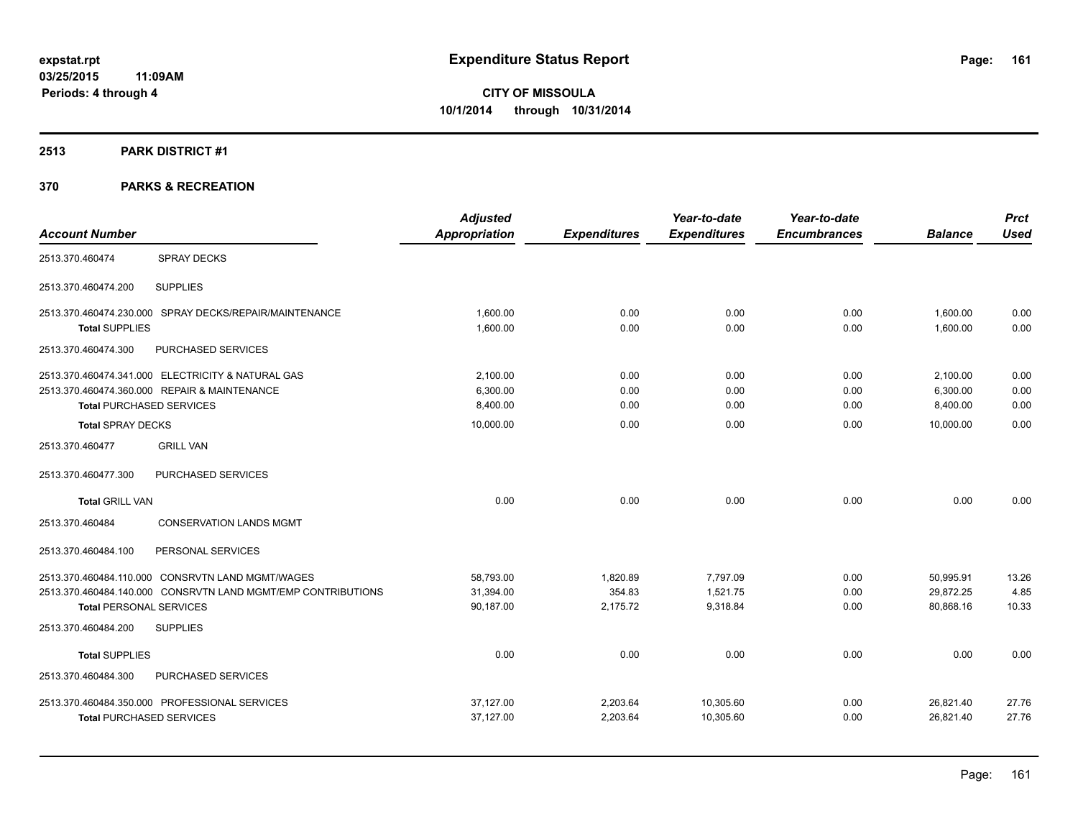## **2513 PARK DISTRICT #1**

|                                                              | <b>Adjusted</b>      |                     | Year-to-date        | Year-to-date        |                | <b>Prct</b> |
|--------------------------------------------------------------|----------------------|---------------------|---------------------|---------------------|----------------|-------------|
| <b>Account Number</b>                                        | <b>Appropriation</b> | <b>Expenditures</b> | <b>Expenditures</b> | <b>Encumbrances</b> | <b>Balance</b> | <b>Used</b> |
| <b>SPRAY DECKS</b><br>2513.370.460474                        |                      |                     |                     |                     |                |             |
| <b>SUPPLIES</b><br>2513.370.460474.200                       |                      |                     |                     |                     |                |             |
| 2513.370.460474.230.000 SPRAY DECKS/REPAIR/MAINTENANCE       | 1.600.00             | 0.00                | 0.00                | 0.00                | 1,600.00       | 0.00        |
| <b>Total SUPPLIES</b>                                        | 1,600.00             | 0.00                | 0.00                | 0.00                | 1.600.00       | 0.00        |
| 2513.370.460474.300<br>PURCHASED SERVICES                    |                      |                     |                     |                     |                |             |
| 2513.370.460474.341.000 ELECTRICITY & NATURAL GAS            | 2,100.00             | 0.00                | 0.00                | 0.00                | 2,100.00       | 0.00        |
| 2513.370.460474.360.000 REPAIR & MAINTENANCE                 | 6,300.00             | 0.00                | 0.00                | 0.00                | 6,300.00       | 0.00        |
| <b>Total PURCHASED SERVICES</b>                              | 8,400.00             | 0.00                | 0.00                | 0.00                | 8,400.00       | 0.00        |
| <b>Total SPRAY DECKS</b>                                     | 10,000.00            | 0.00                | 0.00                | 0.00                | 10,000.00      | 0.00        |
| 2513.370.460477<br><b>GRILL VAN</b>                          |                      |                     |                     |                     |                |             |
| PURCHASED SERVICES<br>2513.370.460477.300                    |                      |                     |                     |                     |                |             |
| <b>Total GRILL VAN</b>                                       | 0.00                 | 0.00                | 0.00                | 0.00                | 0.00           | 0.00        |
| 2513.370.460484<br><b>CONSERVATION LANDS MGMT</b>            |                      |                     |                     |                     |                |             |
| PERSONAL SERVICES<br>2513.370.460484.100                     |                      |                     |                     |                     |                |             |
| 2513.370.460484.110.000 CONSRVTN LAND MGMT/WAGES             | 58,793.00            | 1,820.89            | 7,797.09            | 0.00                | 50,995.91      | 13.26       |
| 2513.370.460484.140.000 CONSRVTN LAND MGMT/EMP CONTRIBUTIONS | 31,394.00            | 354.83              | 1,521.75            | 0.00                | 29,872.25      | 4.85        |
| <b>Total PERSONAL SERVICES</b>                               | 90,187.00            | 2,175.72            | 9,318.84            | 0.00                | 80,868.16      | 10.33       |
| 2513.370.460484.200<br><b>SUPPLIES</b>                       |                      |                     |                     |                     |                |             |
| <b>Total SUPPLIES</b>                                        | 0.00                 | 0.00                | 0.00                | 0.00                | 0.00           | 0.00        |
| 2513.370.460484.300<br>PURCHASED SERVICES                    |                      |                     |                     |                     |                |             |
| 2513.370.460484.350.000 PROFESSIONAL SERVICES                | 37,127.00            | 2,203.64            | 10,305.60           | 0.00                | 26,821.40      | 27.76       |
| <b>Total PURCHASED SERVICES</b>                              | 37,127.00            | 2,203.64            | 10,305.60           | 0.00                | 26,821.40      | 27.76       |
|                                                              |                      |                     |                     |                     |                |             |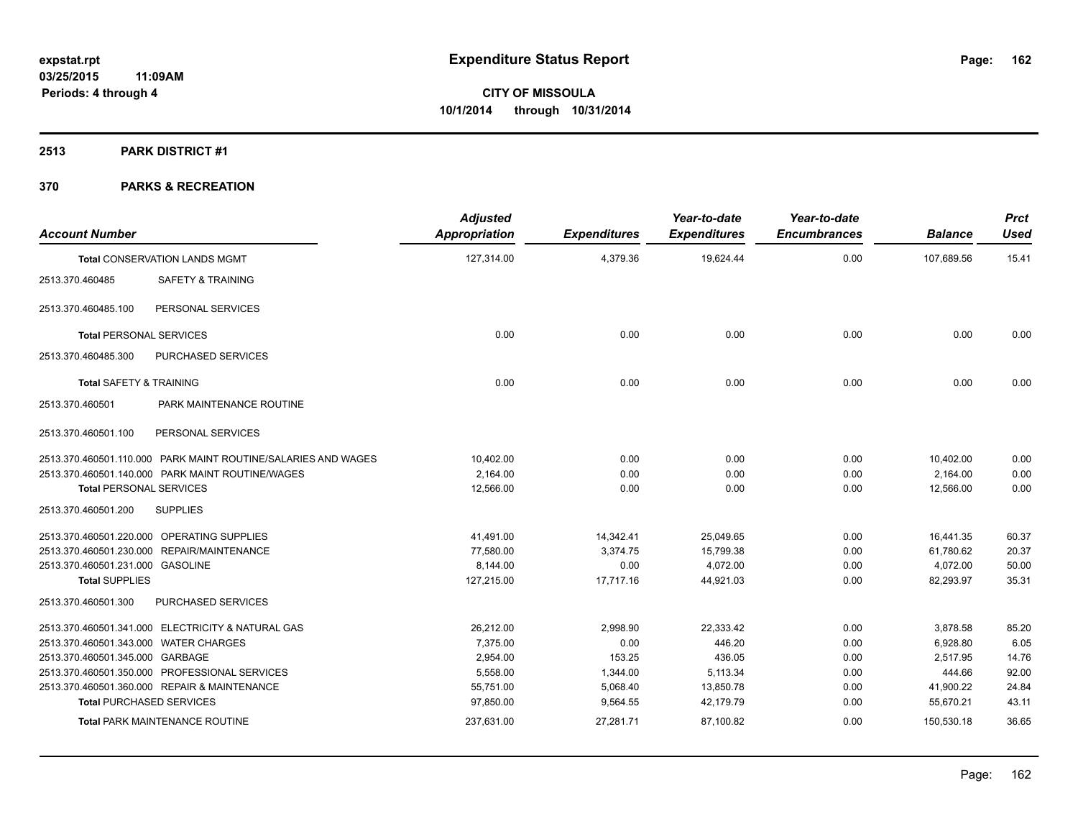## **2513 PARK DISTRICT #1**

| <b>Account Number</b>                 |                                                               | <b>Adjusted</b><br><b>Appropriation</b> | <b>Expenditures</b> | Year-to-date<br><b>Expenditures</b> | Year-to-date<br><b>Encumbrances</b> | <b>Balance</b> | <b>Prct</b><br><b>Used</b> |
|---------------------------------------|---------------------------------------------------------------|-----------------------------------------|---------------------|-------------------------------------|-------------------------------------|----------------|----------------------------|
|                                       | <b>Total CONSERVATION LANDS MGMT</b>                          | 127,314.00                              | 4,379.36            | 19,624.44                           | 0.00                                | 107,689.56     | 15.41                      |
| 2513.370.460485                       | <b>SAFETY &amp; TRAINING</b>                                  |                                         |                     |                                     |                                     |                |                            |
| 2513.370.460485.100                   | PERSONAL SERVICES                                             |                                         |                     |                                     |                                     |                |                            |
| <b>Total PERSONAL SERVICES</b>        |                                                               | 0.00                                    | 0.00                | 0.00                                | 0.00                                | 0.00           | 0.00                       |
| 2513.370.460485.300                   | PURCHASED SERVICES                                            |                                         |                     |                                     |                                     |                |                            |
| <b>Total SAFETY &amp; TRAINING</b>    |                                                               | 0.00                                    | 0.00                | 0.00                                | 0.00                                | 0.00           | 0.00                       |
| 2513.370.460501                       | PARK MAINTENANCE ROUTINE                                      |                                         |                     |                                     |                                     |                |                            |
| 2513.370.460501.100                   | PERSONAL SERVICES                                             |                                         |                     |                                     |                                     |                |                            |
|                                       | 2513.370.460501.110.000 PARK MAINT ROUTINE/SALARIES AND WAGES | 10,402.00                               | 0.00                | 0.00                                | 0.00                                | 10,402.00      | 0.00                       |
|                                       | 2513.370.460501.140.000 PARK MAINT ROUTINE/WAGES              | 2,164.00                                | 0.00                | 0.00                                | 0.00                                | 2,164.00       | 0.00                       |
| <b>Total PERSONAL SERVICES</b>        |                                                               | 12.566.00                               | 0.00                | 0.00                                | 0.00                                | 12.566.00      | 0.00                       |
| 2513.370.460501.200                   | <b>SUPPLIES</b>                                               |                                         |                     |                                     |                                     |                |                            |
|                                       | 2513.370.460501.220.000 OPERATING SUPPLIES                    | 41,491.00                               | 14,342.41           | 25,049.65                           | 0.00                                | 16,441.35      | 60.37                      |
|                                       | 2513.370.460501.230.000 REPAIR/MAINTENANCE                    | 77,580.00                               | 3,374.75            | 15,799.38                           | 0.00                                | 61,780.62      | 20.37                      |
| 2513.370.460501.231.000 GASOLINE      |                                                               | 8,144.00                                | 0.00                | 4,072.00                            | 0.00                                | 4,072.00       | 50.00                      |
| <b>Total SUPPLIES</b>                 |                                                               | 127,215.00                              | 17,717.16           | 44,921.03                           | 0.00                                | 82,293.97      | 35.31                      |
| 2513.370.460501.300                   | PURCHASED SERVICES                                            |                                         |                     |                                     |                                     |                |                            |
|                                       | 2513.370.460501.341.000 ELECTRICITY & NATURAL GAS             | 26.212.00                               | 2,998.90            | 22.333.42                           | 0.00                                | 3,878.58       | 85.20                      |
| 2513.370.460501.343.000 WATER CHARGES |                                                               | 7,375.00                                | 0.00                | 446.20                              | 0.00                                | 6,928.80       | 6.05                       |
| 2513.370.460501.345.000 GARBAGE       |                                                               | 2,954.00                                | 153.25              | 436.05                              | 0.00                                | 2,517.95       | 14.76                      |
|                                       | 2513.370.460501.350.000 PROFESSIONAL SERVICES                 | 5,558.00                                | 1,344.00            | 5,113.34                            | 0.00                                | 444.66         | 92.00                      |
|                                       | 2513.370.460501.360.000 REPAIR & MAINTENANCE                  | 55,751.00                               | 5,068.40            | 13,850.78                           | 0.00                                | 41,900.22      | 24.84                      |
| <b>Total PURCHASED SERVICES</b>       |                                                               | 97,850.00                               | 9,564.55            | 42,179.79                           | 0.00                                | 55,670.21      | 43.11                      |
|                                       | <b>Total PARK MAINTENANCE ROUTINE</b>                         | 237,631.00                              | 27,281.71           | 87,100.82                           | 0.00                                | 150,530.18     | 36.65                      |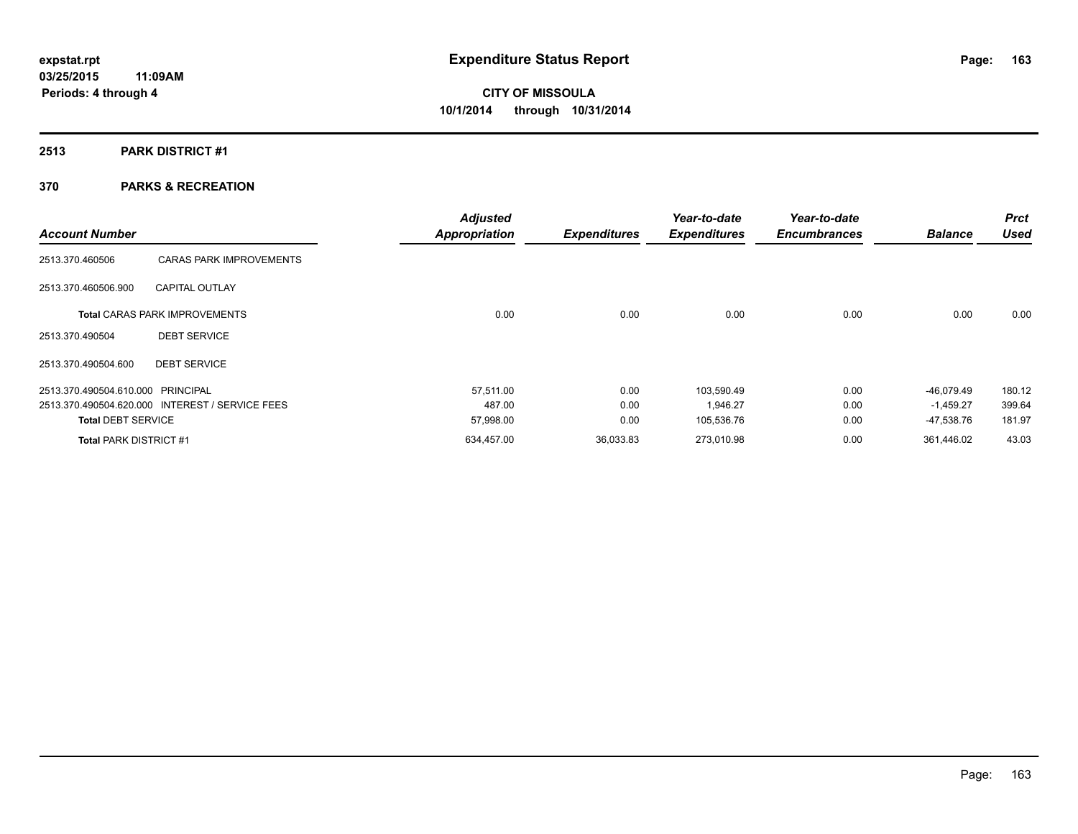# **2513 PARK DISTRICT #1**

|                                   |                                                 | <b>Adjusted</b>      |                     | Year-to-date        | Year-to-date        |                | <b>Prct</b> |
|-----------------------------------|-------------------------------------------------|----------------------|---------------------|---------------------|---------------------|----------------|-------------|
| <b>Account Number</b>             |                                                 | <b>Appropriation</b> | <b>Expenditures</b> | <b>Expenditures</b> | <b>Encumbrances</b> | <b>Balance</b> | <b>Used</b> |
| 2513.370.460506                   | <b>CARAS PARK IMPROVEMENTS</b>                  |                      |                     |                     |                     |                |             |
| 2513.370.460506.900               | <b>CAPITAL OUTLAY</b>                           |                      |                     |                     |                     |                |             |
|                                   | <b>Total CARAS PARK IMPROVEMENTS</b>            | 0.00                 | 0.00                | 0.00                | 0.00                | 0.00           | 0.00        |
| 2513.370.490504                   | <b>DEBT SERVICE</b>                             |                      |                     |                     |                     |                |             |
| 2513.370.490504.600               | <b>DEBT SERVICE</b>                             |                      |                     |                     |                     |                |             |
| 2513.370.490504.610.000 PRINCIPAL |                                                 | 57.511.00            | 0.00                | 103.590.49          | 0.00                | $-46,079.49$   | 180.12      |
|                                   | 2513.370.490504.620.000 INTEREST / SERVICE FEES | 487.00               | 0.00                | 1,946.27            | 0.00                | $-1,459.27$    | 399.64      |
| <b>Total DEBT SERVICE</b>         |                                                 | 57,998.00            | 0.00                | 105,536.76          | 0.00                | -47,538.76     | 181.97      |
| <b>Total PARK DISTRICT #1</b>     |                                                 | 634,457.00           | 36,033.83           | 273,010.98          | 0.00                | 361.446.02     | 43.03       |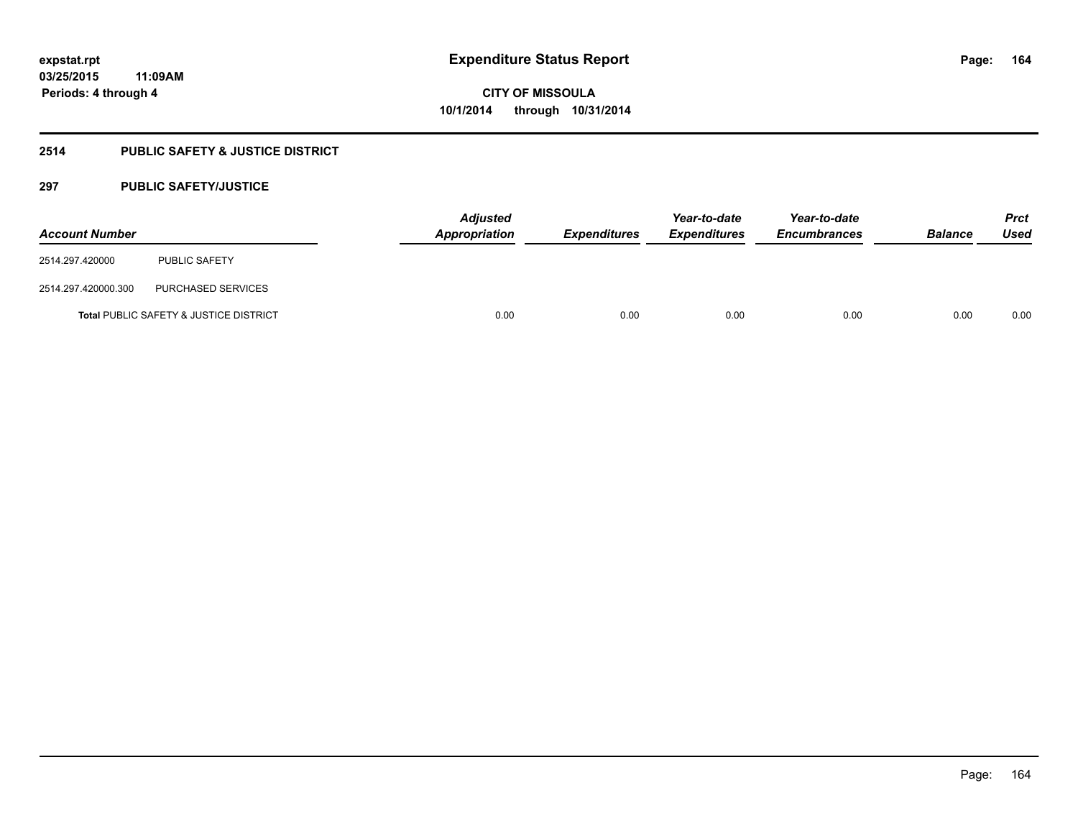# **2514 PUBLIC SAFETY & JUSTICE DISTRICT**

## **297 PUBLIC SAFETY/JUSTICE**

| <b>Account Number</b> |                                                   | <b>Adjusted</b><br>Appropriation | <b>Expenditures</b> | Year-to-date<br><b>Expenditures</b> | Year-to-date<br><b>Encumbrances</b> | <b>Balance</b> | <b>Prct</b><br>Used |
|-----------------------|---------------------------------------------------|----------------------------------|---------------------|-------------------------------------|-------------------------------------|----------------|---------------------|
| 2514.297.420000       | <b>PUBLIC SAFETY</b>                              |                                  |                     |                                     |                                     |                |                     |
| 2514.297.420000.300   | PURCHASED SERVICES                                |                                  |                     |                                     |                                     |                |                     |
|                       | <b>Total PUBLIC SAFETY &amp; JUSTICE DISTRICT</b> | 0.00                             | 0.00                | 0.00                                | 0.00                                | 0.00           | 0.00                |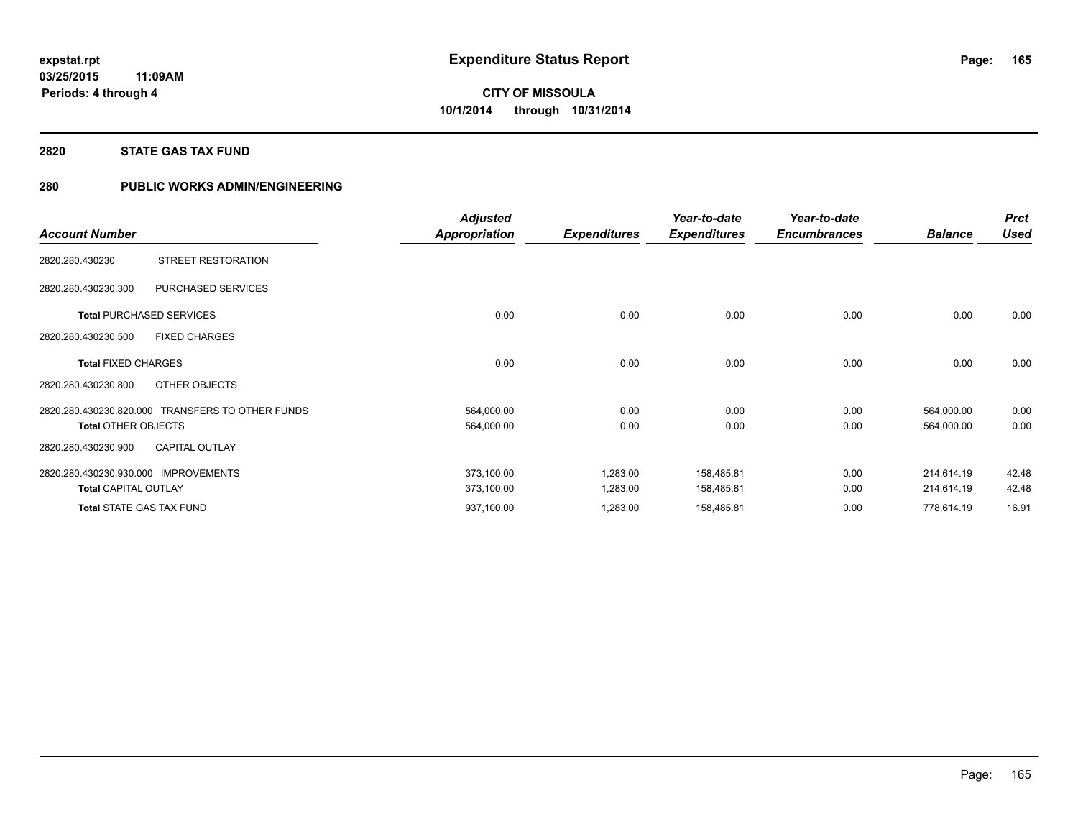# **2820 STATE GAS TAX FUND**

# **280 PUBLIC WORKS ADMIN/ENGINEERING**

|                                                  | <b>Adjusted</b> |                     | Year-to-date        | Year-to-date        |                | <b>Prct</b> |
|--------------------------------------------------|-----------------|---------------------|---------------------|---------------------|----------------|-------------|
| <b>Account Number</b>                            | Appropriation   | <b>Expenditures</b> | <b>Expenditures</b> | <b>Encumbrances</b> | <b>Balance</b> | <b>Used</b> |
| STREET RESTORATION<br>2820.280.430230            |                 |                     |                     |                     |                |             |
| 2820.280.430230.300<br>PURCHASED SERVICES        |                 |                     |                     |                     |                |             |
| <b>Total PURCHASED SERVICES</b>                  | 0.00            | 0.00                | 0.00                | 0.00                | 0.00           | 0.00        |
| <b>FIXED CHARGES</b><br>2820.280.430230.500      |                 |                     |                     |                     |                |             |
| <b>Total FIXED CHARGES</b>                       | 0.00            | 0.00                | 0.00                | 0.00                | 0.00           | 0.00        |
| OTHER OBJECTS<br>2820.280.430230.800             |                 |                     |                     |                     |                |             |
| 2820.280.430230.820.000 TRANSFERS TO OTHER FUNDS | 564,000.00      | 0.00                | 0.00                | 0.00                | 564,000.00     | 0.00        |
| <b>Total OTHER OBJECTS</b>                       | 564,000.00      | 0.00                | 0.00                | 0.00                | 564,000.00     | 0.00        |
| <b>CAPITAL OUTLAY</b><br>2820.280.430230.900     |                 |                     |                     |                     |                |             |
| 2820.280.430230.930.000 IMPROVEMENTS             | 373,100.00      | 1,283.00            | 158,485.81          | 0.00                | 214.614.19     | 42.48       |
| <b>Total CAPITAL OUTLAY</b>                      | 373,100.00      | 1,283.00            | 158,485.81          | 0.00                | 214,614.19     | 42.48       |
| <b>Total STATE GAS TAX FUND</b>                  | 937,100.00      | 1,283.00            | 158,485.81          | 0.00                | 778,614.19     | 16.91       |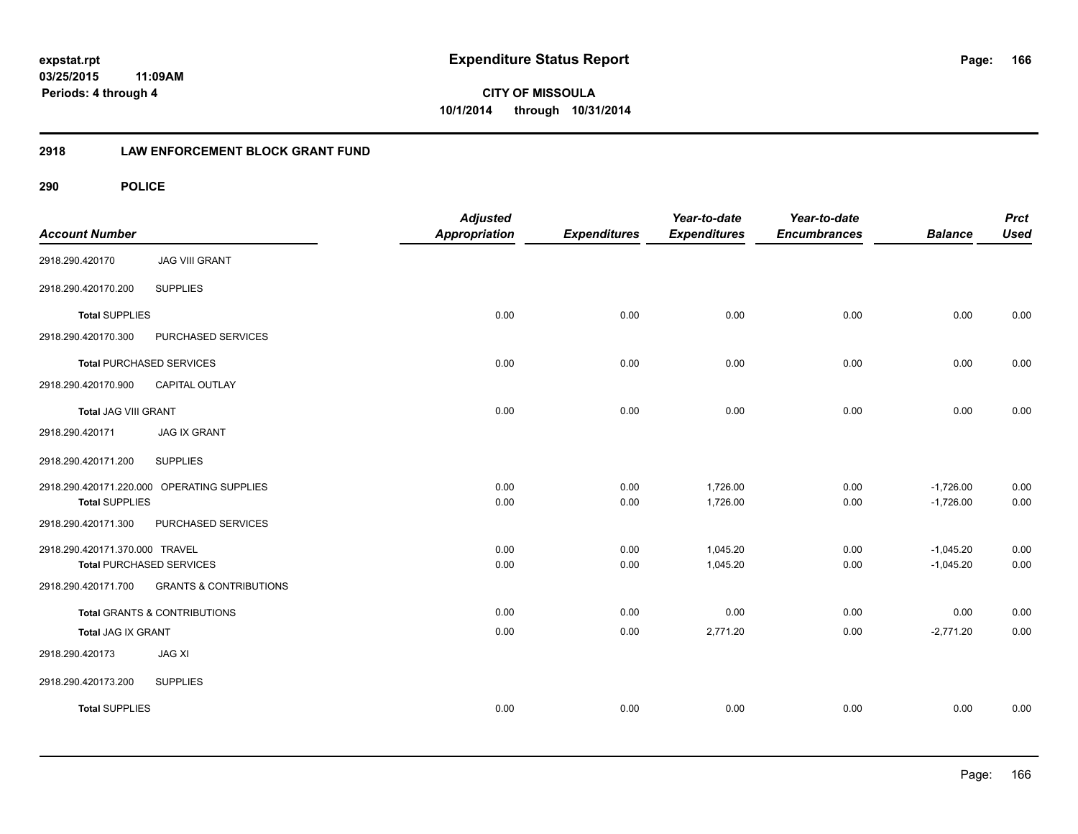**166**

**03/25/2015 11:09AM Periods: 4 through 4**

**CITY OF MISSOULA 10/1/2014 through 10/31/2014**

## **2918 LAW ENFORCEMENT BLOCK GRANT FUND**

| <b>Account Number</b>           |                                            | <b>Adjusted</b><br><b>Appropriation</b> | <b>Expenditures</b> | Year-to-date<br><b>Expenditures</b> | Year-to-date<br><b>Encumbrances</b> | <b>Balance</b> | <b>Prct</b><br><b>Used</b> |
|---------------------------------|--------------------------------------------|-----------------------------------------|---------------------|-------------------------------------|-------------------------------------|----------------|----------------------------|
| 2918.290.420170                 | <b>JAG VIII GRANT</b>                      |                                         |                     |                                     |                                     |                |                            |
| 2918.290.420170.200             | <b>SUPPLIES</b>                            |                                         |                     |                                     |                                     |                |                            |
| <b>Total SUPPLIES</b>           |                                            | 0.00                                    | 0.00                | 0.00                                | 0.00                                | 0.00           | 0.00                       |
| 2918.290.420170.300             | PURCHASED SERVICES                         |                                         |                     |                                     |                                     |                |                            |
| <b>Total PURCHASED SERVICES</b> |                                            | 0.00                                    | 0.00                | 0.00                                | 0.00                                | 0.00           | 0.00                       |
| 2918.290.420170.900             | CAPITAL OUTLAY                             |                                         |                     |                                     |                                     |                |                            |
| <b>Total JAG VIII GRANT</b>     |                                            | 0.00                                    | 0.00                | 0.00                                | 0.00                                | 0.00           | 0.00                       |
| 2918.290.420171                 | <b>JAG IX GRANT</b>                        |                                         |                     |                                     |                                     |                |                            |
| 2918.290.420171.200             | <b>SUPPLIES</b>                            |                                         |                     |                                     |                                     |                |                            |
|                                 | 2918.290.420171.220.000 OPERATING SUPPLIES | 0.00                                    | 0.00                | 1,726.00                            | 0.00                                | $-1,726.00$    | 0.00                       |
| <b>Total SUPPLIES</b>           |                                            | 0.00                                    | 0.00                | 1,726.00                            | 0.00                                | $-1,726.00$    | 0.00                       |
| 2918.290.420171.300             | PURCHASED SERVICES                         |                                         |                     |                                     |                                     |                |                            |
| 2918.290.420171.370.000 TRAVEL  |                                            | 0.00                                    | 0.00                | 1,045.20                            | 0.00                                | $-1,045.20$    | 0.00                       |
| <b>Total PURCHASED SERVICES</b> |                                            | 0.00                                    | 0.00                | 1,045.20                            | 0.00                                | $-1,045.20$    | 0.00                       |
| 2918.290.420171.700             | <b>GRANTS &amp; CONTRIBUTIONS</b>          |                                         |                     |                                     |                                     |                |                            |
|                                 | <b>Total GRANTS &amp; CONTRIBUTIONS</b>    | 0.00                                    | 0.00                | 0.00                                | 0.00                                | 0.00           | 0.00                       |
| Total JAG IX GRANT              |                                            | 0.00                                    | 0.00                | 2,771.20                            | 0.00                                | $-2,771.20$    | 0.00                       |
| 2918.290.420173                 | <b>JAG XI</b>                              |                                         |                     |                                     |                                     |                |                            |
| 2918.290.420173.200             | <b>SUPPLIES</b>                            |                                         |                     |                                     |                                     |                |                            |
| <b>Total SUPPLIES</b>           |                                            | 0.00                                    | 0.00                | 0.00                                | 0.00                                | 0.00           | 0.00                       |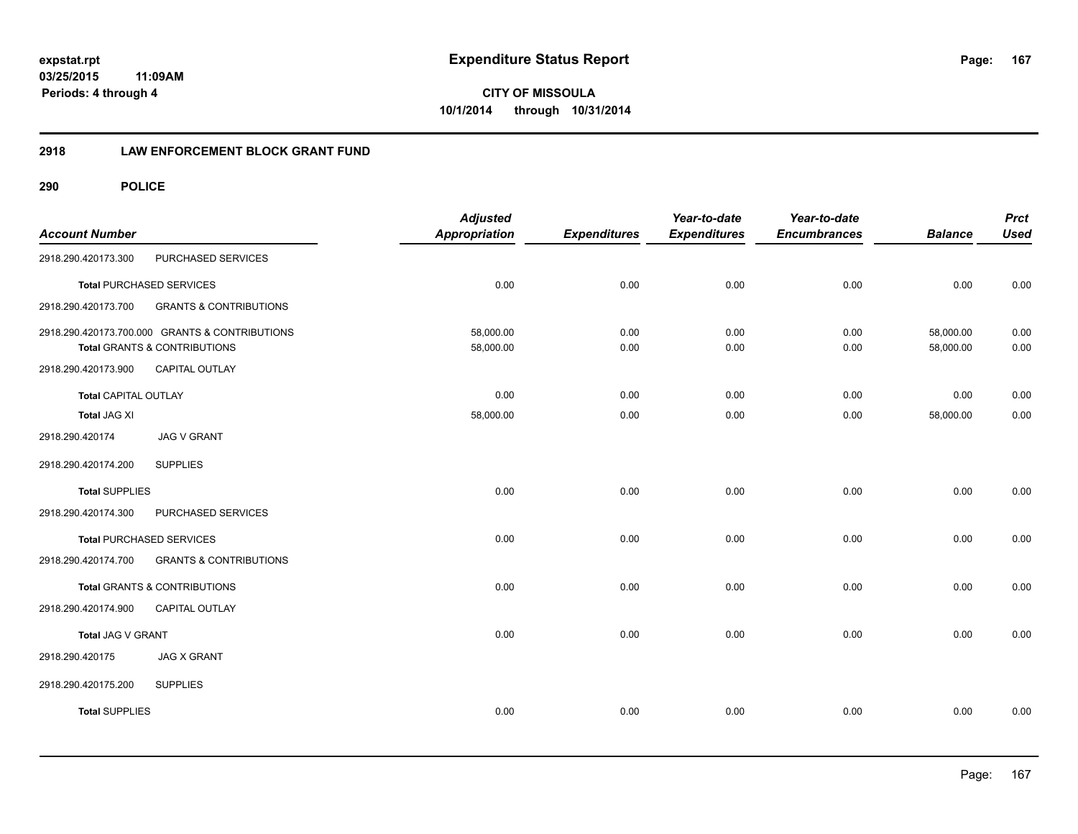**167**

**03/25/2015 11:09AM Periods: 4 through 4**

**CITY OF MISSOULA 10/1/2014 through 10/31/2014**

## **2918 LAW ENFORCEMENT BLOCK GRANT FUND**

| <b>Account Number</b>       |                                                                                | <b>Adjusted</b><br><b>Appropriation</b> | <b>Expenditures</b> | Year-to-date<br><b>Expenditures</b> | Year-to-date<br><b>Encumbrances</b> | <b>Balance</b>         | <b>Prct</b><br><b>Used</b> |
|-----------------------------|--------------------------------------------------------------------------------|-----------------------------------------|---------------------|-------------------------------------|-------------------------------------|------------------------|----------------------------|
| 2918.290.420173.300         | PURCHASED SERVICES                                                             |                                         |                     |                                     |                                     |                        |                            |
|                             | <b>Total PURCHASED SERVICES</b>                                                | 0.00                                    | 0.00                | 0.00                                | 0.00                                | 0.00                   | 0.00                       |
| 2918.290.420173.700         | <b>GRANTS &amp; CONTRIBUTIONS</b>                                              |                                         |                     |                                     |                                     |                        |                            |
|                             | 2918.290.420173.700.000 GRANTS & CONTRIBUTIONS<br>Total GRANTS & CONTRIBUTIONS | 58,000.00<br>58,000.00                  | 0.00<br>0.00        | 0.00<br>0.00                        | 0.00<br>0.00                        | 58,000.00<br>58,000.00 | 0.00<br>0.00               |
| 2918.290.420173.900         | CAPITAL OUTLAY                                                                 |                                         |                     |                                     |                                     |                        |                            |
| <b>Total CAPITAL OUTLAY</b> |                                                                                | 0.00                                    | 0.00                | 0.00                                | 0.00                                | 0.00                   | 0.00                       |
| Total JAG XI                |                                                                                | 58,000.00                               | 0.00                | 0.00                                | 0.00                                | 58,000.00              | 0.00                       |
| 2918.290.420174             | <b>JAG V GRANT</b>                                                             |                                         |                     |                                     |                                     |                        |                            |
| 2918.290.420174.200         | <b>SUPPLIES</b>                                                                |                                         |                     |                                     |                                     |                        |                            |
| <b>Total SUPPLIES</b>       |                                                                                | 0.00                                    | 0.00                | 0.00                                | 0.00                                | 0.00                   | 0.00                       |
| 2918.290.420174.300         | PURCHASED SERVICES                                                             |                                         |                     |                                     |                                     |                        |                            |
|                             | <b>Total PURCHASED SERVICES</b>                                                | 0.00                                    | 0.00                | 0.00                                | 0.00                                | 0.00                   | 0.00                       |
| 2918.290.420174.700         | <b>GRANTS &amp; CONTRIBUTIONS</b>                                              |                                         |                     |                                     |                                     |                        |                            |
|                             | Total GRANTS & CONTRIBUTIONS                                                   | 0.00                                    | 0.00                | 0.00                                | 0.00                                | 0.00                   | 0.00                       |
| 2918.290.420174.900         | CAPITAL OUTLAY                                                                 |                                         |                     |                                     |                                     |                        |                            |
| Total JAG V GRANT           |                                                                                | 0.00                                    | 0.00                | 0.00                                | 0.00                                | 0.00                   | 0.00                       |
| 2918.290.420175             | <b>JAG X GRANT</b>                                                             |                                         |                     |                                     |                                     |                        |                            |
| 2918.290.420175.200         | <b>SUPPLIES</b>                                                                |                                         |                     |                                     |                                     |                        |                            |
| <b>Total SUPPLIES</b>       |                                                                                | 0.00                                    | 0.00                | 0.00                                | 0.00                                | 0.00                   | 0.00                       |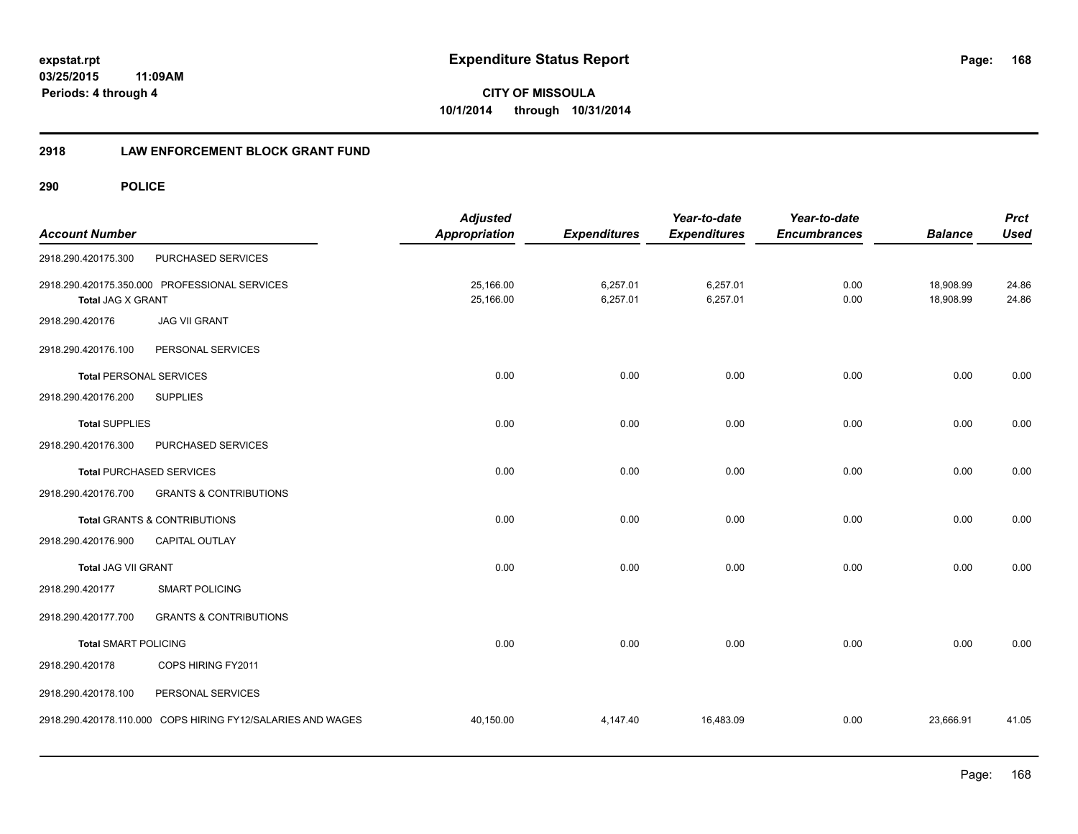**168**

**CITY OF MISSOULA 10/1/2014 through 10/31/2014**

## **2918 LAW ENFORCEMENT BLOCK GRANT FUND**

| <b>Account Number</b>          |                                                             | <b>Adjusted</b><br>Appropriation | <b>Expenditures</b>  | Year-to-date<br><b>Expenditures</b> | Year-to-date<br><b>Encumbrances</b> | <b>Balance</b>         | <b>Prct</b><br><b>Used</b> |
|--------------------------------|-------------------------------------------------------------|----------------------------------|----------------------|-------------------------------------|-------------------------------------|------------------------|----------------------------|
| 2918.290.420175.300            | PURCHASED SERVICES                                          |                                  |                      |                                     |                                     |                        |                            |
| <b>Total JAG X GRANT</b>       | 2918.290.420175.350.000 PROFESSIONAL SERVICES               | 25,166.00<br>25,166.00           | 6,257.01<br>6,257.01 | 6,257.01<br>6,257.01                | 0.00<br>0.00                        | 18,908.99<br>18,908.99 | 24.86<br>24.86             |
| 2918.290.420176                | <b>JAG VII GRANT</b>                                        |                                  |                      |                                     |                                     |                        |                            |
| 2918.290.420176.100            | PERSONAL SERVICES                                           |                                  |                      |                                     |                                     |                        |                            |
| <b>Total PERSONAL SERVICES</b> |                                                             | 0.00                             | 0.00                 | 0.00                                | 0.00                                | 0.00                   | 0.00                       |
| 2918.290.420176.200            | <b>SUPPLIES</b>                                             |                                  |                      |                                     |                                     |                        |                            |
| <b>Total SUPPLIES</b>          |                                                             | 0.00                             | 0.00                 | 0.00                                | 0.00                                | 0.00                   | 0.00                       |
| 2918.290.420176.300            | PURCHASED SERVICES                                          |                                  |                      |                                     |                                     |                        |                            |
|                                | <b>Total PURCHASED SERVICES</b>                             | 0.00                             | 0.00                 | 0.00                                | 0.00                                | 0.00                   | 0.00                       |
| 2918.290.420176.700            | <b>GRANTS &amp; CONTRIBUTIONS</b>                           |                                  |                      |                                     |                                     |                        |                            |
|                                | Total GRANTS & CONTRIBUTIONS                                | 0.00                             | 0.00                 | 0.00                                | 0.00                                | 0.00                   | 0.00                       |
| 2918.290.420176.900            | CAPITAL OUTLAY                                              |                                  |                      |                                     |                                     |                        |                            |
| <b>Total JAG VII GRANT</b>     |                                                             | 0.00                             | 0.00                 | 0.00                                | 0.00                                | 0.00                   | 0.00                       |
| 2918.290.420177                | <b>SMART POLICING</b>                                       |                                  |                      |                                     |                                     |                        |                            |
| 2918.290.420177.700            | <b>GRANTS &amp; CONTRIBUTIONS</b>                           |                                  |                      |                                     |                                     |                        |                            |
| <b>Total SMART POLICING</b>    |                                                             | 0.00                             | 0.00                 | 0.00                                | 0.00                                | 0.00                   | 0.00                       |
| 2918.290.420178                | COPS HIRING FY2011                                          |                                  |                      |                                     |                                     |                        |                            |
| 2918.290.420178.100            | PERSONAL SERVICES                                           |                                  |                      |                                     |                                     |                        |                            |
|                                | 2918.290.420178.110.000 COPS HIRING FY12/SALARIES AND WAGES | 40,150.00                        | 4,147.40             | 16,483.09                           | 0.00                                | 23,666.91              | 41.05                      |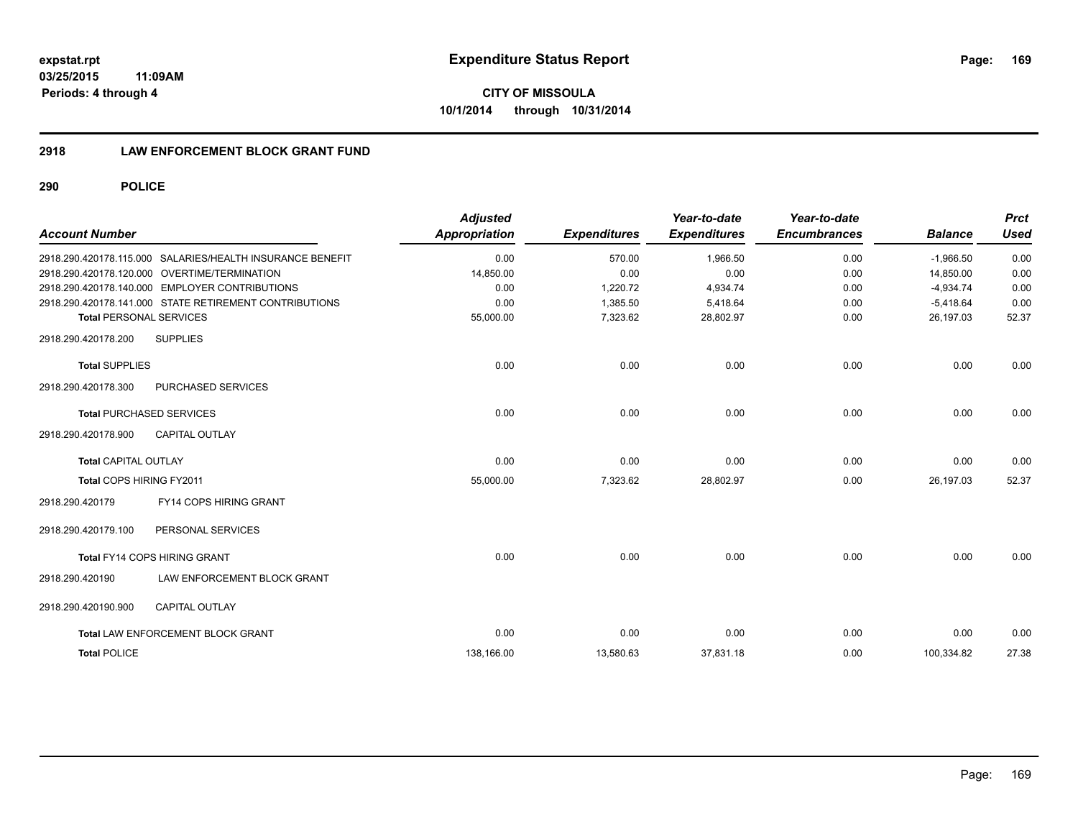**CITY OF MISSOULA 10/1/2014 through 10/31/2014**

## **2918 LAW ENFORCEMENT BLOCK GRANT FUND**

| <b>Account Number</b>                                     | <b>Adjusted</b><br>Appropriation | <b>Expenditures</b> | Year-to-date<br><b>Expenditures</b> | Year-to-date<br><b>Encumbrances</b> | <b>Balance</b> | <b>Prct</b><br><b>Used</b> |
|-----------------------------------------------------------|----------------------------------|---------------------|-------------------------------------|-------------------------------------|----------------|----------------------------|
| 2918.290.420178.115.000 SALARIES/HEALTH INSURANCE BENEFIT | 0.00                             | 570.00              | 1,966.50                            | 0.00                                | $-1,966.50$    | 0.00                       |
| 2918.290.420178.120.000 OVERTIME/TERMINATION              | 14.850.00                        | 0.00                | 0.00                                | 0.00                                | 14.850.00      | 0.00                       |
| 2918.290.420178.140.000 EMPLOYER CONTRIBUTIONS            | 0.00                             | 1,220.72            | 4,934.74                            | 0.00                                | $-4,934.74$    | 0.00                       |
| 2918.290.420178.141.000 STATE RETIREMENT CONTRIBUTIONS    | 0.00                             | 1,385.50            | 5,418.64                            | 0.00                                | $-5,418.64$    | 0.00                       |
| <b>Total PERSONAL SERVICES</b>                            | 55,000.00                        | 7,323.62            | 28,802.97                           | 0.00                                | 26,197.03      | 52.37                      |
| <b>SUPPLIES</b><br>2918.290.420178.200                    |                                  |                     |                                     |                                     |                |                            |
| <b>Total SUPPLIES</b>                                     | 0.00                             | 0.00                | 0.00                                | 0.00                                | 0.00           | 0.00                       |
| PURCHASED SERVICES<br>2918.290.420178.300                 |                                  |                     |                                     |                                     |                |                            |
| <b>Total PURCHASED SERVICES</b>                           | 0.00                             | 0.00                | 0.00                                | 0.00                                | 0.00           | 0.00                       |
| 2918.290.420178.900<br><b>CAPITAL OUTLAY</b>              |                                  |                     |                                     |                                     |                |                            |
| <b>Total CAPITAL OUTLAY</b>                               | 0.00                             | 0.00                | 0.00                                | 0.00                                | 0.00           | 0.00                       |
| Total COPS HIRING FY2011                                  | 55,000.00                        | 7,323.62            | 28,802.97                           | 0.00                                | 26.197.03      | 52.37                      |
| <b>FY14 COPS HIRING GRANT</b><br>2918.290.420179          |                                  |                     |                                     |                                     |                |                            |
| 2918.290.420179.100<br>PERSONAL SERVICES                  |                                  |                     |                                     |                                     |                |                            |
| <b>Total FY14 COPS HIRING GRANT</b>                       | 0.00                             | 0.00                | 0.00                                | 0.00                                | 0.00           | 0.00                       |
| LAW ENFORCEMENT BLOCK GRANT<br>2918.290.420190            |                                  |                     |                                     |                                     |                |                            |
| <b>CAPITAL OUTLAY</b><br>2918.290.420190.900              |                                  |                     |                                     |                                     |                |                            |
| Total LAW ENFORCEMENT BLOCK GRANT                         | 0.00                             | 0.00                | 0.00                                | 0.00                                | 0.00           | 0.00                       |
| <b>Total POLICE</b>                                       | 138,166.00                       | 13,580.63           | 37,831.18                           | 0.00                                | 100,334.82     | 27.38                      |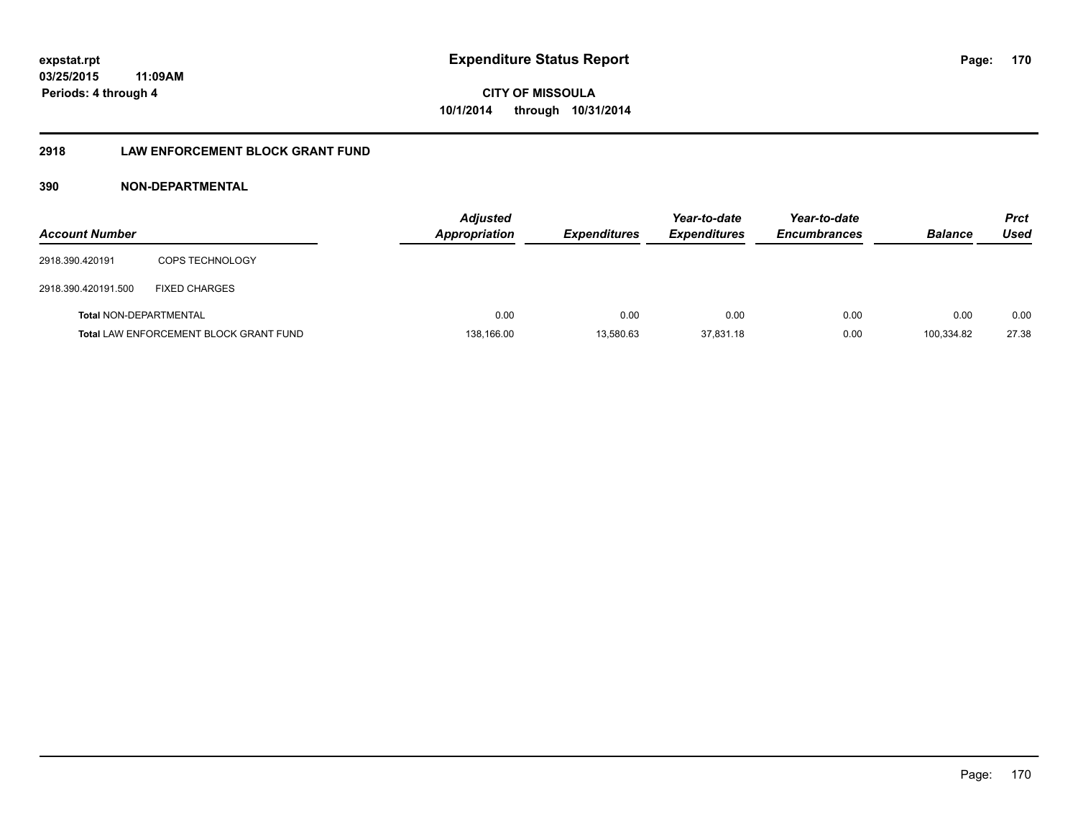# **2918 LAW ENFORCEMENT BLOCK GRANT FUND**

# **390 NON-DEPARTMENTAL**

| <b>Account Number</b>         |                                               | <b>Adjusted</b><br><b>Appropriation</b> | <b>Expenditures</b> | Year-to-date<br><b>Expenditures</b> | Year-to-date<br><b>Encumbrances</b> | <b>Balance</b> | <b>Prct</b><br>Used |
|-------------------------------|-----------------------------------------------|-----------------------------------------|---------------------|-------------------------------------|-------------------------------------|----------------|---------------------|
| 2918.390.420191               | <b>COPS TECHNOLOGY</b>                        |                                         |                     |                                     |                                     |                |                     |
| 2918.390.420191.500           | <b>FIXED CHARGES</b>                          |                                         |                     |                                     |                                     |                |                     |
| <b>Total NON-DEPARTMENTAL</b> |                                               | 0.00                                    | 0.00                | 0.00                                | 0.00                                | 0.00           | 0.00                |
|                               | <b>Total LAW ENFORCEMENT BLOCK GRANT FUND</b> | 138,166.00                              | 13,580.63           | 37,831.18                           | 0.00                                | 100.334.82     | 27.38               |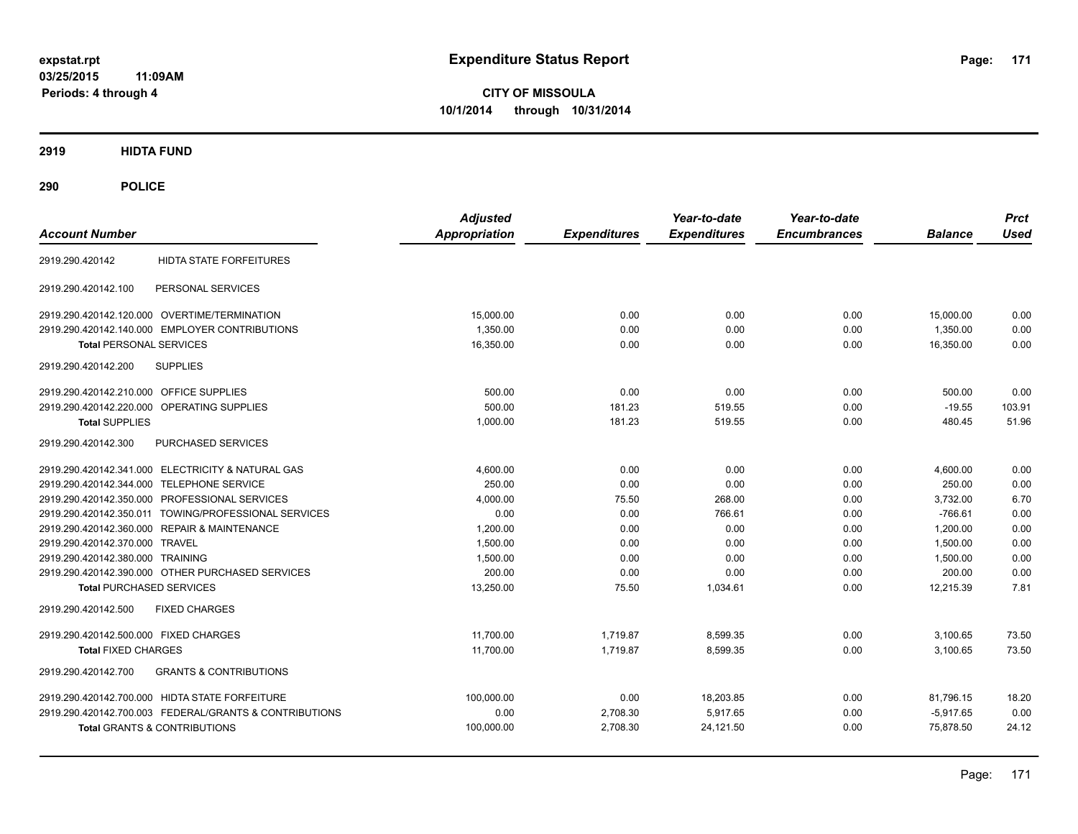**CITY OF MISSOULA 10/1/2014 through 10/31/2014**

**2919 HIDTA FUND**

| <b>Account Number</b>                                    | <b>Adjusted</b><br><b>Appropriation</b> | <b>Expenditures</b> | Year-to-date<br><b>Expenditures</b> | Year-to-date<br><b>Encumbrances</b> | <b>Balance</b> | <b>Prct</b><br><b>Used</b> |
|----------------------------------------------------------|-----------------------------------------|---------------------|-------------------------------------|-------------------------------------|----------------|----------------------------|
| <b>HIDTA STATE FORFEITURES</b><br>2919.290.420142        |                                         |                     |                                     |                                     |                |                            |
| PERSONAL SERVICES<br>2919.290.420142.100                 |                                         |                     |                                     |                                     |                |                            |
| 2919.290.420142.120.000 OVERTIME/TERMINATION             | 15,000.00                               | 0.00                | 0.00                                | 0.00                                | 15,000.00      | 0.00                       |
| 2919.290.420142.140.000 EMPLOYER CONTRIBUTIONS           | 1,350.00                                | 0.00                | 0.00                                | 0.00                                | 1,350.00       | 0.00                       |
| <b>Total PERSONAL SERVICES</b>                           | 16,350.00                               | 0.00                | 0.00                                | 0.00                                | 16,350.00      | 0.00                       |
| <b>SUPPLIES</b><br>2919.290.420142.200                   |                                         |                     |                                     |                                     |                |                            |
| 2919.290.420142.210.000 OFFICE SUPPLIES                  | 500.00                                  | 0.00                | 0.00                                | 0.00                                | 500.00         | 0.00                       |
| 2919.290.420142.220.000 OPERATING SUPPLIES               | 500.00                                  | 181.23              | 519.55                              | 0.00                                | $-19.55$       | 103.91                     |
| <b>Total SUPPLIES</b>                                    | 1,000.00                                | 181.23              | 519.55                              | 0.00                                | 480.45         | 51.96                      |
| PURCHASED SERVICES<br>2919.290.420142.300                |                                         |                     |                                     |                                     |                |                            |
| 2919.290.420142.341.000 ELECTRICITY & NATURAL GAS        | 4,600.00                                | 0.00                | 0.00                                | 0.00                                | 4,600.00       | 0.00                       |
| 2919.290.420142.344.000 TELEPHONE SERVICE                | 250.00                                  | 0.00                | 0.00                                | 0.00                                | 250.00         | 0.00                       |
| 2919.290.420142.350.000 PROFESSIONAL SERVICES            | 4,000.00                                | 75.50               | 268.00                              | 0.00                                | 3,732.00       | 6.70                       |
| 2919.290.420142.350.011 TOWING/PROFESSIONAL SERVICES     | 0.00                                    | 0.00                | 766.61                              | 0.00                                | $-766.61$      | 0.00                       |
| 2919.290.420142.360.000 REPAIR & MAINTENANCE             | 1,200.00                                | 0.00                | 0.00                                | 0.00                                | 1.200.00       | 0.00                       |
| 2919.290.420142.370.000 TRAVEL                           | 1,500.00                                | 0.00                | 0.00                                | 0.00                                | 1,500.00       | 0.00                       |
| 2919.290.420142.380.000 TRAINING                         | 1,500.00                                | 0.00                | 0.00                                | 0.00                                | 1,500.00       | 0.00                       |
| 2919.290.420142.390.000 OTHER PURCHASED SERVICES         | 200.00                                  | 0.00                | 0.00                                | 0.00                                | 200.00         | 0.00                       |
| <b>Total PURCHASED SERVICES</b>                          | 13,250.00                               | 75.50               | 1,034.61                            | 0.00                                | 12,215.39      | 7.81                       |
| 2919.290.420142.500<br><b>FIXED CHARGES</b>              |                                         |                     |                                     |                                     |                |                            |
| 2919.290.420142.500.000 FIXED CHARGES                    | 11,700.00                               | 1,719.87            | 8,599.35                            | 0.00                                | 3,100.65       | 73.50                      |
| <b>Total FIXED CHARGES</b>                               | 11,700.00                               | 1,719.87            | 8,599.35                            | 0.00                                | 3,100.65       | 73.50                      |
| <b>GRANTS &amp; CONTRIBUTIONS</b><br>2919.290.420142.700 |                                         |                     |                                     |                                     |                |                            |
| 2919.290.420142.700.000 HIDTA STATE FORFEITURE           | 100,000.00                              | 0.00                | 18,203.85                           | 0.00                                | 81,796.15      | 18.20                      |
| 2919.290.420142.700.003 FEDERAL/GRANTS & CONTRIBUTIONS   | 0.00                                    | 2,708.30            | 5.917.65                            | 0.00                                | $-5,917.65$    | 0.00                       |
| <b>Total GRANTS &amp; CONTRIBUTIONS</b>                  | 100,000.00                              | 2,708.30            | 24,121.50                           | 0.00                                | 75,878.50      | 24.12                      |
|                                                          |                                         |                     |                                     |                                     |                |                            |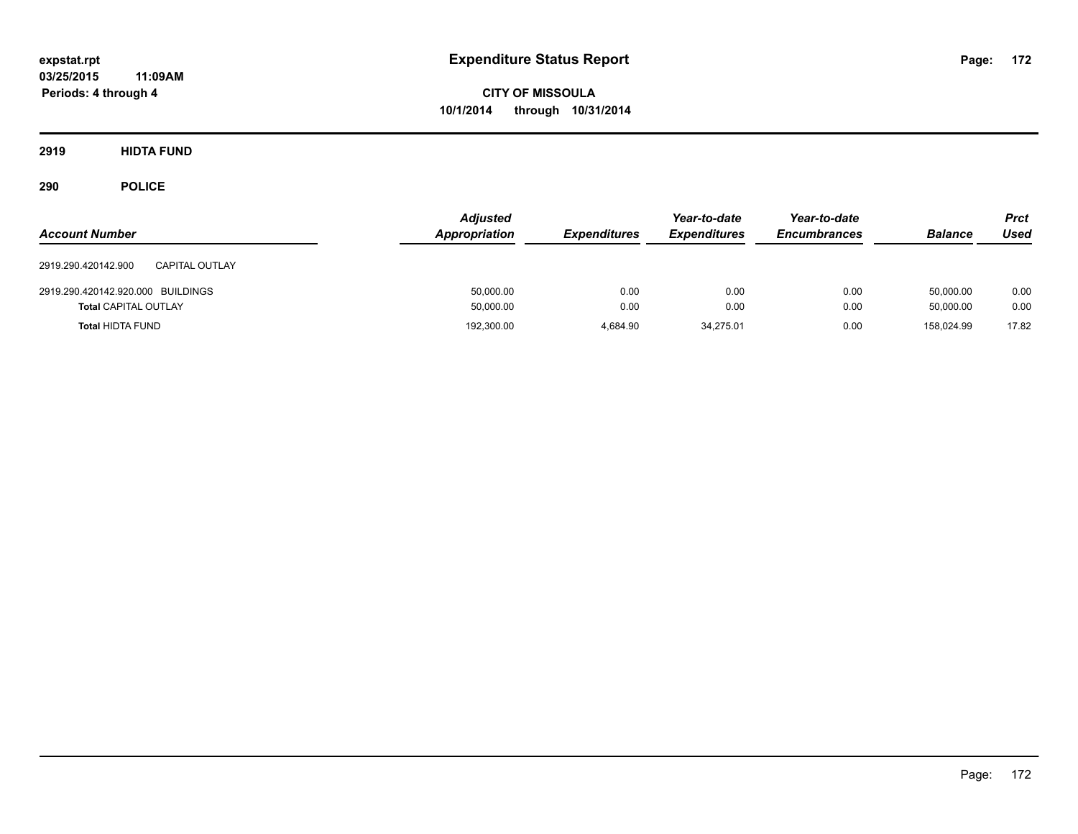**CITY OF MISSOULA 10/1/2014 through 10/31/2014**

**2919 HIDTA FUND**

| <b>Account Number</b>                                            | <b>Adjusted</b><br>Appropriation | <b>Expenditures</b> | Year-to-date<br><b>Expenditures</b> | Year-to-date<br><b>Encumbrances</b> | <b>Balance</b>         | <b>Prct</b><br><b>Used</b> |
|------------------------------------------------------------------|----------------------------------|---------------------|-------------------------------------|-------------------------------------|------------------------|----------------------------|
| 2919.290.420142.900<br><b>CAPITAL OUTLAY</b>                     |                                  |                     |                                     |                                     |                        |                            |
| 2919.290.420142.920.000 BUILDINGS<br><b>Total CAPITAL OUTLAY</b> | 50,000.00<br>50,000.00           | 0.00<br>0.00        | 0.00<br>0.00                        | 0.00<br>0.00                        | 50,000.00<br>50,000.00 | 0.00<br>0.00               |
| <b>Total HIDTA FUND</b>                                          | 192,300.00                       | 4.684.90            | 34,275.01                           | 0.00                                | 158.024.99             | 17.82                      |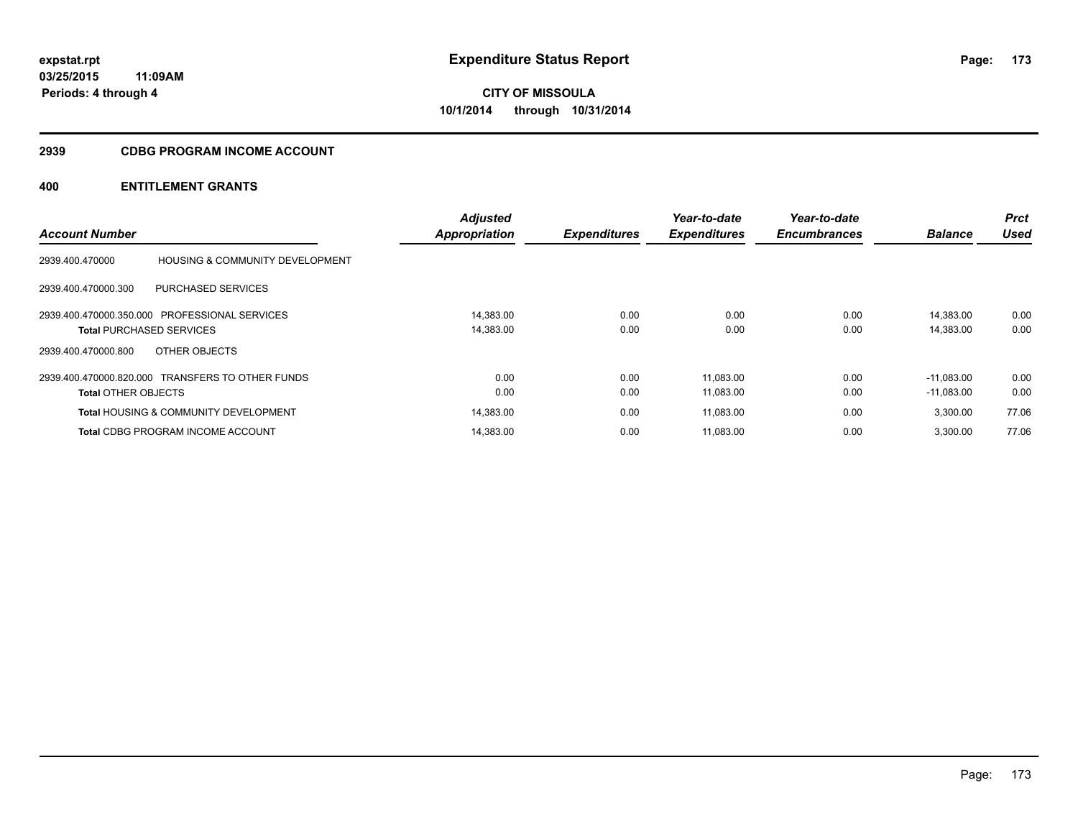## **2939 CDBG PROGRAM INCOME ACCOUNT**

|                                 |                                                  | <b>Adjusted</b>      |                     | Year-to-date        | Year-to-date        |                | <b>Prct</b> |
|---------------------------------|--------------------------------------------------|----------------------|---------------------|---------------------|---------------------|----------------|-------------|
| <b>Account Number</b>           |                                                  | <b>Appropriation</b> | <b>Expenditures</b> | <b>Expenditures</b> | <b>Encumbrances</b> | <b>Balance</b> | Used        |
| 2939.400.470000                 | <b>HOUSING &amp; COMMUNITY DEVELOPMENT</b>       |                      |                     |                     |                     |                |             |
| 2939.400.470000.300             | <b>PURCHASED SERVICES</b>                        |                      |                     |                     |                     |                |             |
|                                 | 2939.400.470000.350.000 PROFESSIONAL SERVICES    | 14,383.00            | 0.00                | 0.00                | 0.00                | 14,383.00      | 0.00        |
| <b>Total PURCHASED SERVICES</b> |                                                  | 14,383.00            | 0.00                | 0.00                | 0.00                | 14,383.00      | 0.00        |
| 2939.400.470000.800             | OTHER OBJECTS                                    |                      |                     |                     |                     |                |             |
|                                 | 2939.400.470000.820.000 TRANSFERS TO OTHER FUNDS | 0.00                 | 0.00                | 11,083.00           | 0.00                | $-11.083.00$   | 0.00        |
| <b>Total OTHER OBJECTS</b>      |                                                  | 0.00                 | 0.00                | 11,083.00           | 0.00                | $-11,083.00$   | 0.00        |
|                                 | <b>Total HOUSING &amp; COMMUNITY DEVELOPMENT</b> | 14,383.00            | 0.00                | 11,083.00           | 0.00                | 3,300.00       | 77.06       |
|                                 | <b>Total CDBG PROGRAM INCOME ACCOUNT</b>         | 14,383.00            | 0.00                | 11.083.00           | 0.00                | 3,300.00       | 77.06       |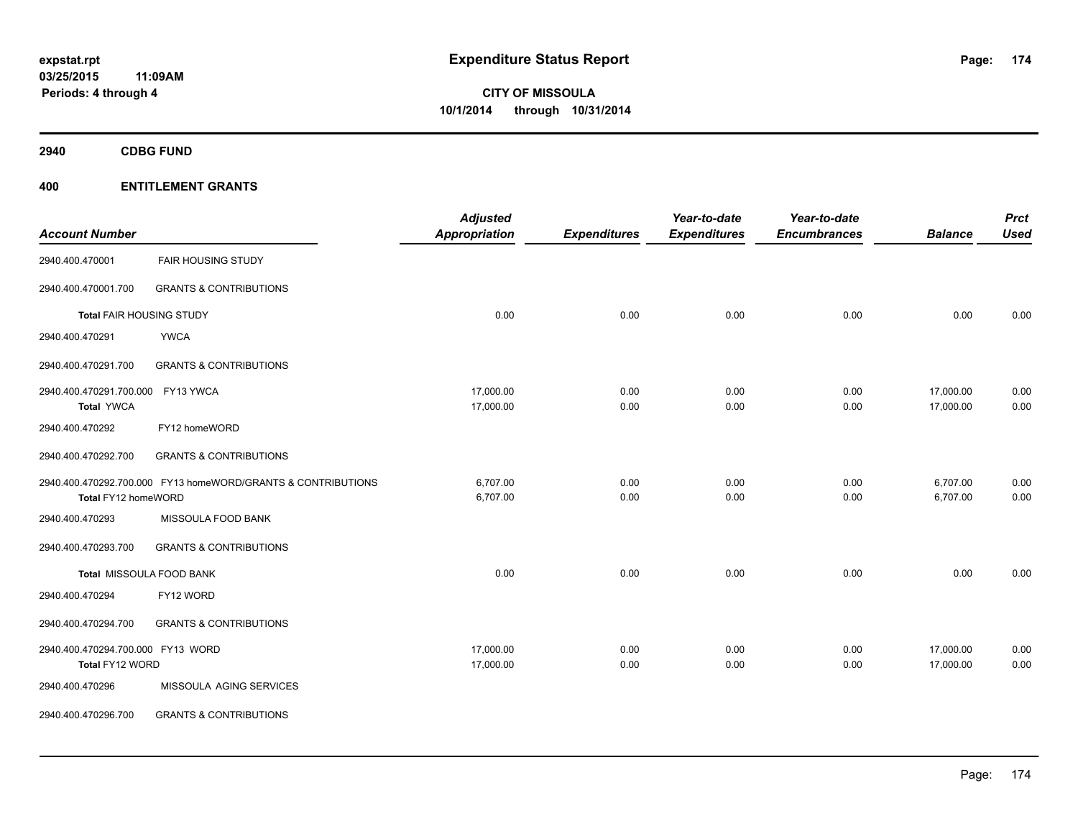**2940 CDBG FUND**

| <b>Account Number</b>             |                                                              | <b>Adjusted</b><br><b>Appropriation</b> | <b>Expenditures</b> | Year-to-date<br><b>Expenditures</b> | Year-to-date<br><b>Encumbrances</b> | <b>Balance</b> | <b>Prct</b><br><b>Used</b> |
|-----------------------------------|--------------------------------------------------------------|-----------------------------------------|---------------------|-------------------------------------|-------------------------------------|----------------|----------------------------|
| 2940.400.470001                   | <b>FAIR HOUSING STUDY</b>                                    |                                         |                     |                                     |                                     |                |                            |
| 2940.400.470001.700               | <b>GRANTS &amp; CONTRIBUTIONS</b>                            |                                         |                     |                                     |                                     |                |                            |
| Total FAIR HOUSING STUDY          |                                                              | 0.00                                    | 0.00                | 0.00                                | 0.00                                | 0.00           | 0.00                       |
| 2940.400.470291                   | <b>YWCA</b>                                                  |                                         |                     |                                     |                                     |                |                            |
| 2940.400.470291.700               | <b>GRANTS &amp; CONTRIBUTIONS</b>                            |                                         |                     |                                     |                                     |                |                            |
| 2940.400.470291.700.000           | FY13 YWCA                                                    | 17,000.00                               | 0.00                | 0.00                                | 0.00                                | 17,000.00      | 0.00                       |
| <b>Total YWCA</b>                 |                                                              | 17,000.00                               | 0.00                | 0.00                                | 0.00                                | 17,000.00      | 0.00                       |
| 2940.400.470292                   | FY12 homeWORD                                                |                                         |                     |                                     |                                     |                |                            |
| 2940.400.470292.700               | <b>GRANTS &amp; CONTRIBUTIONS</b>                            |                                         |                     |                                     |                                     |                |                            |
|                                   | 2940.400.470292.700.000 FY13 homeWORD/GRANTS & CONTRIBUTIONS | 6,707.00                                | 0.00                | 0.00                                | 0.00                                | 6,707.00       | 0.00                       |
| Total FY12 homeWORD               |                                                              | 6,707.00                                | 0.00                | 0.00                                | 0.00                                | 6,707.00       | 0.00                       |
| 2940.400.470293                   | MISSOULA FOOD BANK                                           |                                         |                     |                                     |                                     |                |                            |
| 2940.400.470293.700               | <b>GRANTS &amp; CONTRIBUTIONS</b>                            |                                         |                     |                                     |                                     |                |                            |
|                                   | Total MISSOULA FOOD BANK                                     | 0.00                                    | 0.00                | 0.00                                | 0.00                                | 0.00           | 0.00                       |
| 2940.400.470294                   | FY12 WORD                                                    |                                         |                     |                                     |                                     |                |                            |
| 2940.400.470294.700               | <b>GRANTS &amp; CONTRIBUTIONS</b>                            |                                         |                     |                                     |                                     |                |                            |
| 2940.400.470294.700.000 FY13 WORD |                                                              | 17,000.00                               | 0.00                | 0.00                                | 0.00                                | 17,000.00      | 0.00                       |
| Total FY12 WORD                   |                                                              | 17,000.00                               | 0.00                | 0.00                                | 0.00                                | 17,000.00      | 0.00                       |
| 2940.400.470296                   | MISSOULA AGING SERVICES                                      |                                         |                     |                                     |                                     |                |                            |
| 2940.400.470296.700               | <b>GRANTS &amp; CONTRIBUTIONS</b>                            |                                         |                     |                                     |                                     |                |                            |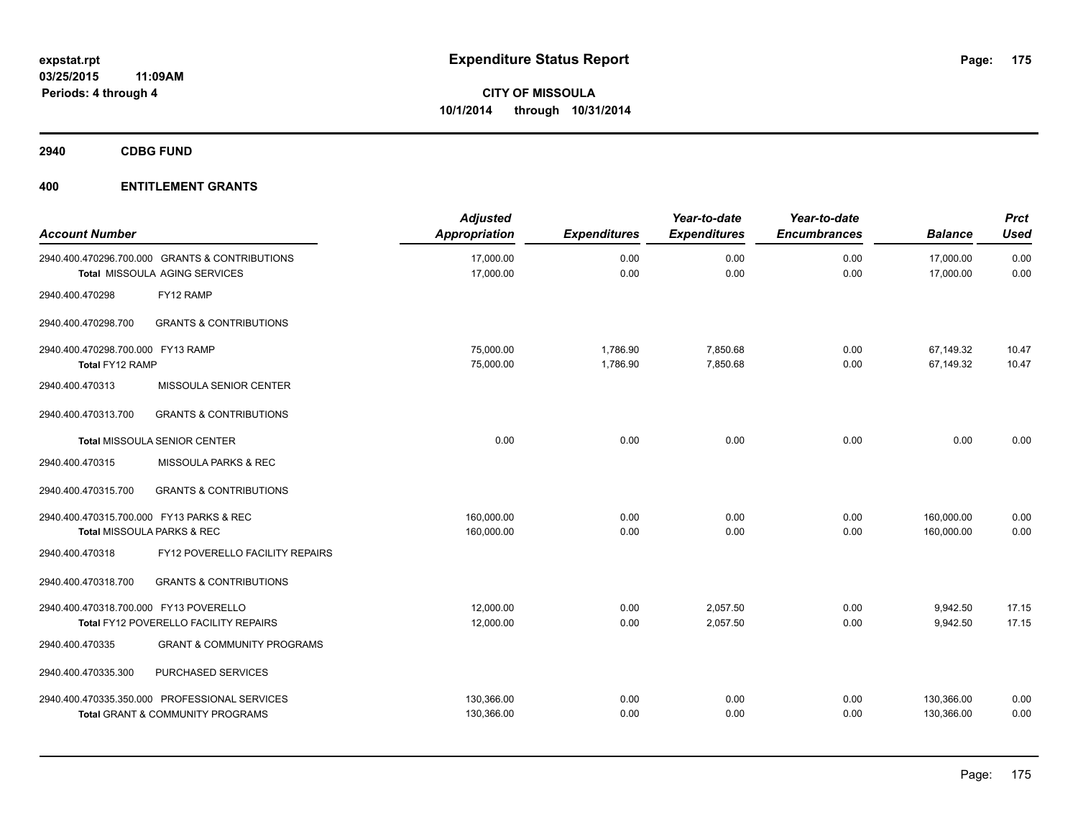**2940 CDBG FUND**

| <b>Account Number</b>                                |                                                                                              | <b>Adjusted</b><br>Appropriation | <b>Expenditures</b>  | Year-to-date<br><b>Expenditures</b> | Year-to-date<br><b>Encumbrances</b> | <b>Balance</b>           | <b>Prct</b><br><b>Used</b> |
|------------------------------------------------------|----------------------------------------------------------------------------------------------|----------------------------------|----------------------|-------------------------------------|-------------------------------------|--------------------------|----------------------------|
|                                                      | 2940.400.470296.700.000 GRANTS & CONTRIBUTIONS<br>Total MISSOULA AGING SERVICES              | 17,000.00<br>17,000.00           | 0.00<br>0.00         | 0.00<br>0.00                        | 0.00<br>0.00                        | 17,000.00<br>17,000.00   | 0.00<br>0.00               |
| 2940.400.470298                                      | FY12 RAMP                                                                                    |                                  |                      |                                     |                                     |                          |                            |
| 2940.400.470298.700                                  | <b>GRANTS &amp; CONTRIBUTIONS</b>                                                            |                                  |                      |                                     |                                     |                          |                            |
| 2940.400.470298.700.000 FY13 RAMP<br>Total FY12 RAMP |                                                                                              | 75,000.00<br>75,000.00           | 1,786.90<br>1,786.90 | 7,850.68<br>7,850.68                | 0.00<br>0.00                        | 67,149.32<br>67,149.32   | 10.47<br>10.47             |
| 2940.400.470313                                      | MISSOULA SENIOR CENTER                                                                       |                                  |                      |                                     |                                     |                          |                            |
| 2940.400.470313.700                                  | <b>GRANTS &amp; CONTRIBUTIONS</b>                                                            |                                  |                      |                                     |                                     |                          |                            |
|                                                      | <b>Total MISSOULA SENIOR CENTER</b>                                                          | 0.00                             | 0.00                 | 0.00                                | 0.00                                | 0.00                     | 0.00                       |
| 2940.400.470315                                      | MISSOULA PARKS & REC                                                                         |                                  |                      |                                     |                                     |                          |                            |
| 2940.400.470315.700                                  | <b>GRANTS &amp; CONTRIBUTIONS</b>                                                            |                                  |                      |                                     |                                     |                          |                            |
| 2940.400.470315.700.000 FY13 PARKS & REC             | Total MISSOULA PARKS & REC                                                                   | 160,000.00<br>160,000.00         | 0.00<br>0.00         | 0.00<br>0.00                        | 0.00<br>0.00                        | 160,000.00<br>160,000.00 | 0.00<br>0.00               |
| 2940.400.470318                                      | FY12 POVERELLO FACILITY REPAIRS                                                              |                                  |                      |                                     |                                     |                          |                            |
| 2940.400.470318.700                                  | <b>GRANTS &amp; CONTRIBUTIONS</b>                                                            |                                  |                      |                                     |                                     |                          |                            |
| 2940.400.470318.700.000 FY13 POVERELLO               | Total FY12 POVERELLO FACILITY REPAIRS                                                        | 12,000.00<br>12,000.00           | 0.00<br>0.00         | 2,057.50<br>2,057.50                | 0.00<br>0.00                        | 9,942.50<br>9,942.50     | 17.15<br>17.15             |
| 2940.400.470335                                      | <b>GRANT &amp; COMMUNITY PROGRAMS</b>                                                        |                                  |                      |                                     |                                     |                          |                            |
| 2940.400.470335.300                                  | PURCHASED SERVICES                                                                           |                                  |                      |                                     |                                     |                          |                            |
|                                                      | 2940.400.470335.350.000 PROFESSIONAL SERVICES<br><b>Total GRANT &amp; COMMUNITY PROGRAMS</b> | 130,366.00<br>130,366.00         | 0.00<br>0.00         | 0.00<br>0.00                        | 0.00<br>0.00                        | 130,366.00<br>130,366.00 | 0.00<br>0.00               |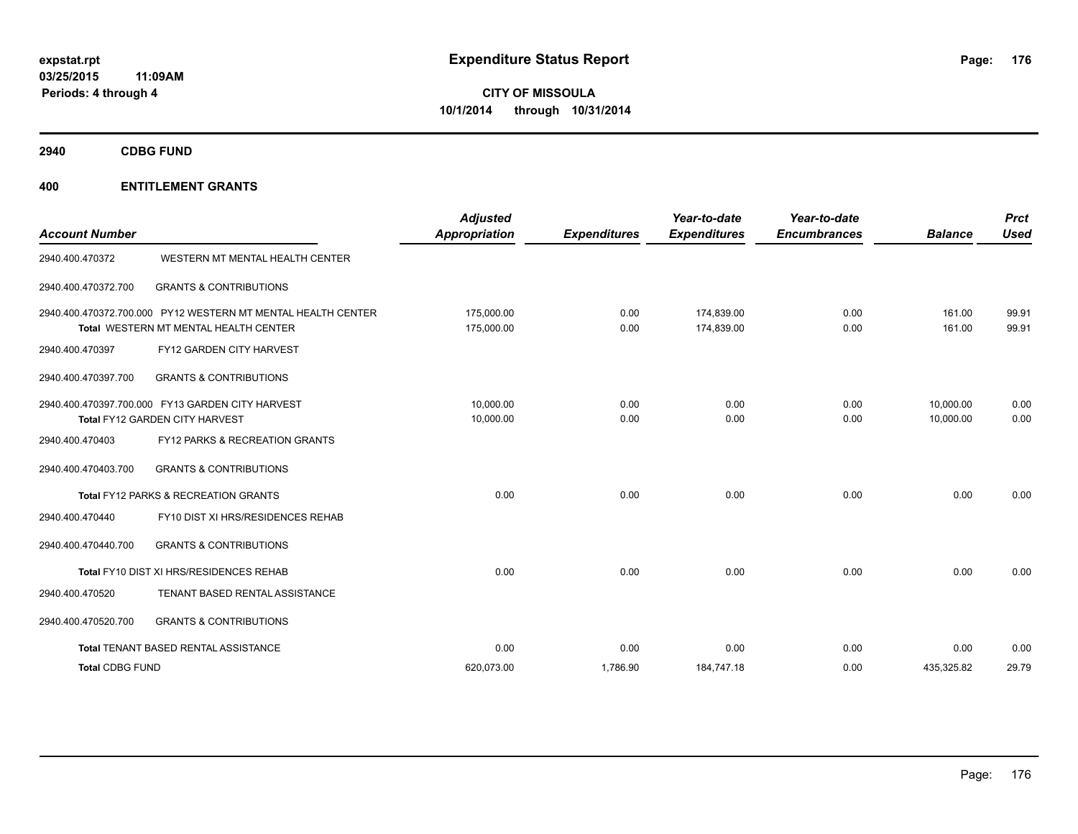**2940 CDBG FUND**

| <b>Account Number</b>  |                                                                                                       | <b>Adjusted</b><br>Appropriation | <b>Expenditures</b> | Year-to-date<br><b>Expenditures</b> | Year-to-date<br><b>Encumbrances</b> | <b>Balance</b>         | <b>Prct</b><br>Used |
|------------------------|-------------------------------------------------------------------------------------------------------|----------------------------------|---------------------|-------------------------------------|-------------------------------------|------------------------|---------------------|
| 2940.400.470372        | WESTERN MT MENTAL HEALTH CENTER                                                                       |                                  |                     |                                     |                                     |                        |                     |
| 2940.400.470372.700    | <b>GRANTS &amp; CONTRIBUTIONS</b>                                                                     |                                  |                     |                                     |                                     |                        |                     |
|                        | 2940.400.470372.700.000 PY12 WESTERN MT MENTAL HEALTH CENTER<br>Total WESTERN MT MENTAL HEALTH CENTER | 175.000.00<br>175,000.00         | 0.00<br>0.00        | 174.839.00<br>174,839.00            | 0.00<br>0.00                        | 161.00<br>161.00       | 99.91<br>99.91      |
| 2940.400.470397        | FY12 GARDEN CITY HARVEST                                                                              |                                  |                     |                                     |                                     |                        |                     |
| 2940.400.470397.700    | <b>GRANTS &amp; CONTRIBUTIONS</b>                                                                     |                                  |                     |                                     |                                     |                        |                     |
|                        | 2940.400.470397.700.000 FY13 GARDEN CITY HARVEST<br>Total FY12 GARDEN CITY HARVEST                    | 10.000.00<br>10,000.00           | 0.00<br>0.00        | 0.00<br>0.00                        | 0.00<br>0.00                        | 10,000.00<br>10,000.00 | 0.00<br>0.00        |
| 2940.400.470403        | FY12 PARKS & RECREATION GRANTS                                                                        |                                  |                     |                                     |                                     |                        |                     |
| 2940.400.470403.700    | <b>GRANTS &amp; CONTRIBUTIONS</b>                                                                     |                                  |                     |                                     |                                     |                        |                     |
|                        | Total FY12 PARKS & RECREATION GRANTS                                                                  | 0.00                             | 0.00                | 0.00                                | 0.00                                | 0.00                   | 0.00                |
| 2940.400.470440        | FY10 DIST XI HRS/RESIDENCES REHAB                                                                     |                                  |                     |                                     |                                     |                        |                     |
| 2940.400.470440.700    | <b>GRANTS &amp; CONTRIBUTIONS</b>                                                                     |                                  |                     |                                     |                                     |                        |                     |
|                        | Total FY10 DIST XI HRS/RESIDENCES REHAB                                                               | 0.00                             | 0.00                | 0.00                                | 0.00                                | 0.00                   | 0.00                |
| 2940.400.470520        | TENANT BASED RENTAL ASSISTANCE                                                                        |                                  |                     |                                     |                                     |                        |                     |
| 2940.400.470520.700    | <b>GRANTS &amp; CONTRIBUTIONS</b>                                                                     |                                  |                     |                                     |                                     |                        |                     |
|                        | Total TENANT BASED RENTAL ASSISTANCE                                                                  | 0.00                             | 0.00                | 0.00                                | 0.00                                | 0.00                   | 0.00                |
| <b>Total CDBG FUND</b> |                                                                                                       | 620,073.00                       | 1,786.90            | 184,747.18                          | 0.00                                | 435,325.82             | 29.79               |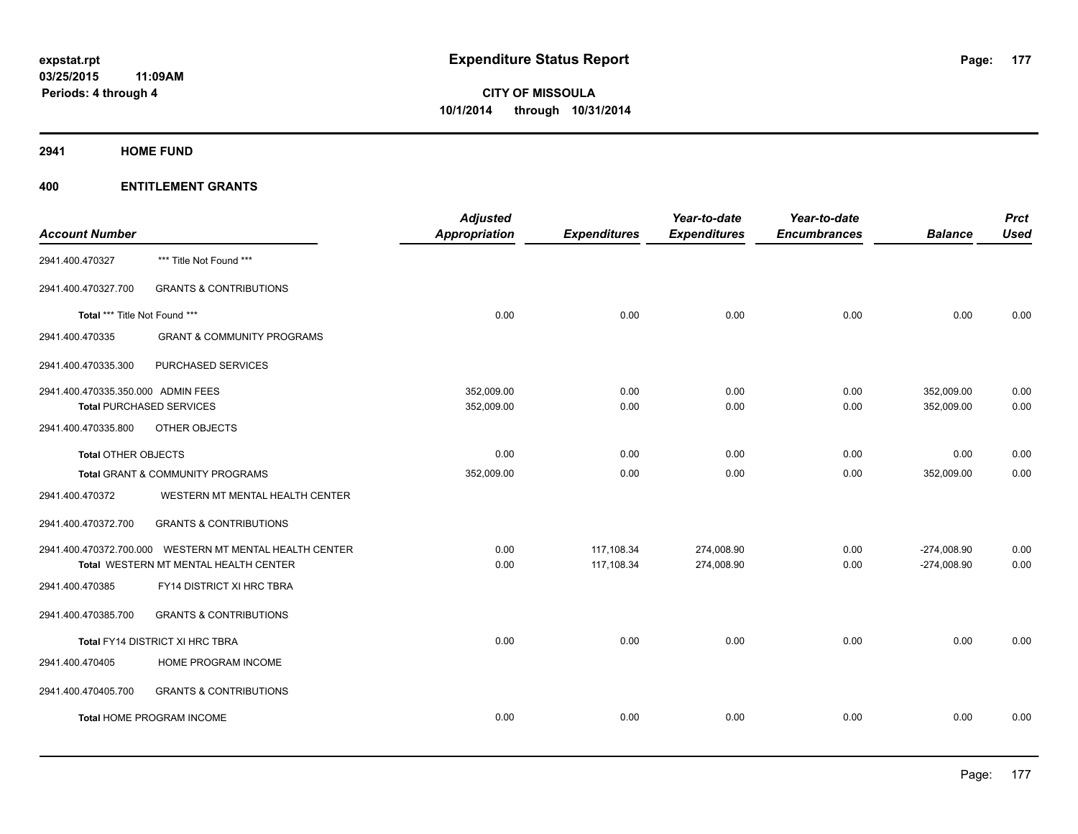**2941 HOME FUND**

|                                                         | <b>Adjusted</b> |                      | Year-to-date        | Year-to-date        |                     | <b>Prct</b>    |
|---------------------------------------------------------|-----------------|----------------------|---------------------|---------------------|---------------------|----------------|
|                                                         |                 |                      |                     |                     |                     | <b>Used</b>    |
| *** Title Not Found ***                                 |                 |                      |                     |                     |                     |                |
| <b>GRANTS &amp; CONTRIBUTIONS</b>                       |                 |                      |                     |                     |                     |                |
| Total *** Title Not Found ***                           | 0.00            | 0.00                 | 0.00                | 0.00                | 0.00                | 0.00           |
| <b>GRANT &amp; COMMUNITY PROGRAMS</b>                   |                 |                      |                     |                     |                     |                |
| PURCHASED SERVICES                                      |                 |                      |                     |                     |                     |                |
| 2941.400.470335.350.000 ADMIN FEES                      | 352,009.00      | 0.00                 | 0.00                | 0.00                | 352,009.00          | 0.00           |
| <b>Total PURCHASED SERVICES</b>                         | 352,009.00      | 0.00                 | 0.00                | 0.00                | 352,009.00          | 0.00           |
| OTHER OBJECTS                                           |                 |                      |                     |                     |                     |                |
| <b>Total OTHER OBJECTS</b>                              | 0.00            | 0.00                 | 0.00                | 0.00                | 0.00                | 0.00           |
| Total GRANT & COMMUNITY PROGRAMS                        | 352,009.00      | 0.00                 | 0.00                | 0.00                | 352,009.00          | 0.00           |
| WESTERN MT MENTAL HEALTH CENTER                         |                 |                      |                     |                     |                     |                |
| <b>GRANTS &amp; CONTRIBUTIONS</b>                       |                 |                      |                     |                     |                     |                |
| 2941.400.470372.700.000 WESTERN MT MENTAL HEALTH CENTER | 0.00            | 117,108.34           | 274,008.90          | 0.00                | $-274,008.90$       | 0.00           |
| Total WESTERN MT MENTAL HEALTH CENTER                   | 0.00            | 117,108.34           | 274,008.90          | 0.00                | $-274,008.90$       | 0.00           |
| FY14 DISTRICT XI HRC TBRA                               |                 |                      |                     |                     |                     |                |
| <b>GRANTS &amp; CONTRIBUTIONS</b>                       |                 |                      |                     |                     |                     |                |
| Total FY14 DISTRICT XI HRC TBRA                         | 0.00            | 0.00                 | 0.00                | 0.00                | 0.00                | 0.00           |
| HOME PROGRAM INCOME                                     |                 |                      |                     |                     |                     |                |
| <b>GRANTS &amp; CONTRIBUTIONS</b>                       |                 |                      |                     |                     |                     |                |
| Total HOME PROGRAM INCOME                               | 0.00            | 0.00                 | 0.00                | 0.00                | 0.00                | 0.00           |
|                                                         |                 | <b>Appropriation</b> | <b>Expenditures</b> | <b>Expenditures</b> | <b>Encumbrances</b> | <b>Balance</b> |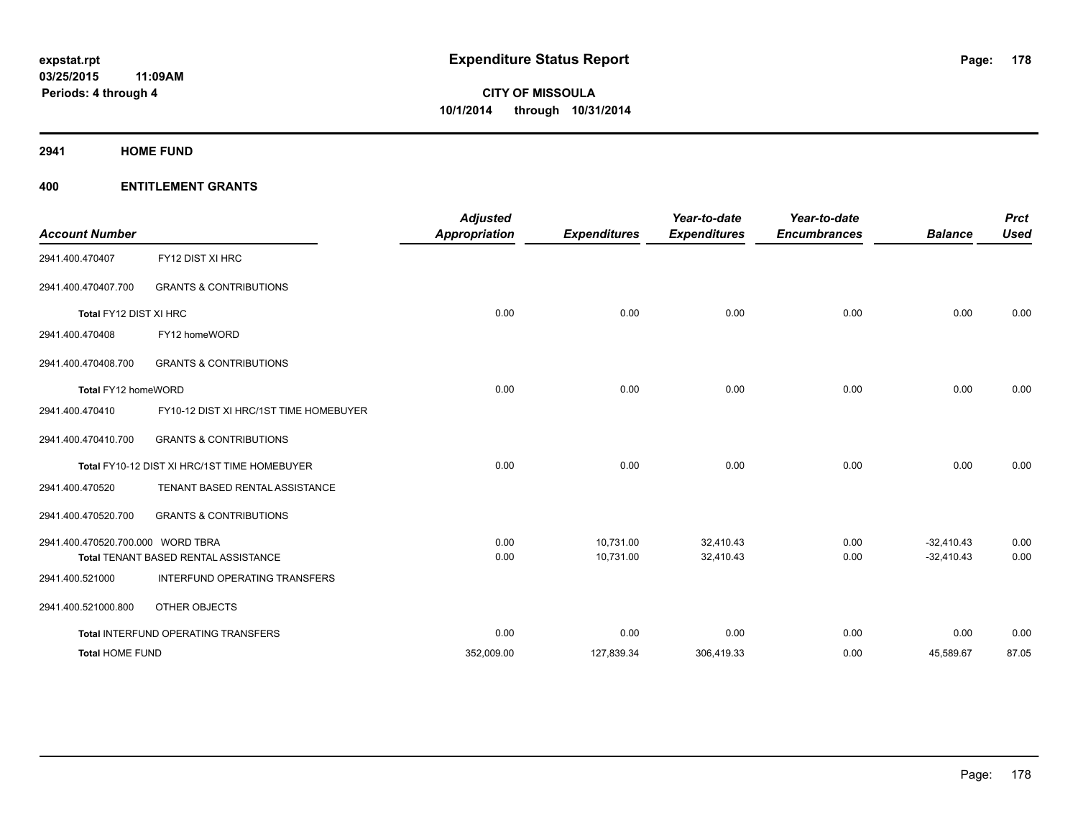**2941 HOME FUND**

| <b>Account Number</b>             |                                              | <b>Adjusted</b><br><b>Appropriation</b> | <b>Expenditures</b> | Year-to-date<br><b>Expenditures</b> | Year-to-date<br><b>Encumbrances</b> | <b>Balance</b> | <b>Prct</b><br><b>Used</b> |
|-----------------------------------|----------------------------------------------|-----------------------------------------|---------------------|-------------------------------------|-------------------------------------|----------------|----------------------------|
| 2941.400.470407                   | FY12 DIST XI HRC                             |                                         |                     |                                     |                                     |                |                            |
| 2941.400.470407.700               | <b>GRANTS &amp; CONTRIBUTIONS</b>            |                                         |                     |                                     |                                     |                |                            |
| Total FY12 DIST XI HRC            |                                              | 0.00                                    | 0.00                | 0.00                                | 0.00                                | 0.00           | 0.00                       |
| 2941.400.470408                   | FY12 homeWORD                                |                                         |                     |                                     |                                     |                |                            |
| 2941.400.470408.700               | <b>GRANTS &amp; CONTRIBUTIONS</b>            |                                         |                     |                                     |                                     |                |                            |
| Total FY12 homeWORD               |                                              | 0.00                                    | 0.00                | 0.00                                | 0.00                                | 0.00           | 0.00                       |
| 2941.400.470410                   | FY10-12 DIST XI HRC/1ST TIME HOMEBUYER       |                                         |                     |                                     |                                     |                |                            |
| 2941.400.470410.700               | <b>GRANTS &amp; CONTRIBUTIONS</b>            |                                         |                     |                                     |                                     |                |                            |
|                                   | Total FY10-12 DIST XI HRC/1ST TIME HOMEBUYER | 0.00                                    | 0.00                | 0.00                                | 0.00                                | 0.00           | 0.00                       |
| 2941.400.470520                   | TENANT BASED RENTAL ASSISTANCE               |                                         |                     |                                     |                                     |                |                            |
| 2941.400.470520.700               | <b>GRANTS &amp; CONTRIBUTIONS</b>            |                                         |                     |                                     |                                     |                |                            |
| 2941.400.470520.700.000 WORD TBRA |                                              | 0.00                                    | 10,731.00           | 32,410.43                           | 0.00                                | $-32.410.43$   | 0.00                       |
|                                   | Total TENANT BASED RENTAL ASSISTANCE         | 0.00                                    | 10,731.00           | 32,410.43                           | 0.00                                | $-32,410.43$   | 0.00                       |
| 2941.400.521000                   | INTERFUND OPERATING TRANSFERS                |                                         |                     |                                     |                                     |                |                            |
| 2941.400.521000.800               | OTHER OBJECTS                                |                                         |                     |                                     |                                     |                |                            |
|                                   | Total INTERFUND OPERATING TRANSFERS          | 0.00                                    | 0.00                | 0.00                                | 0.00                                | 0.00           | 0.00                       |
| <b>Total HOME FUND</b>            |                                              | 352,009.00                              | 127,839.34          | 306,419.33                          | 0.00                                | 45,589.67      | 87.05                      |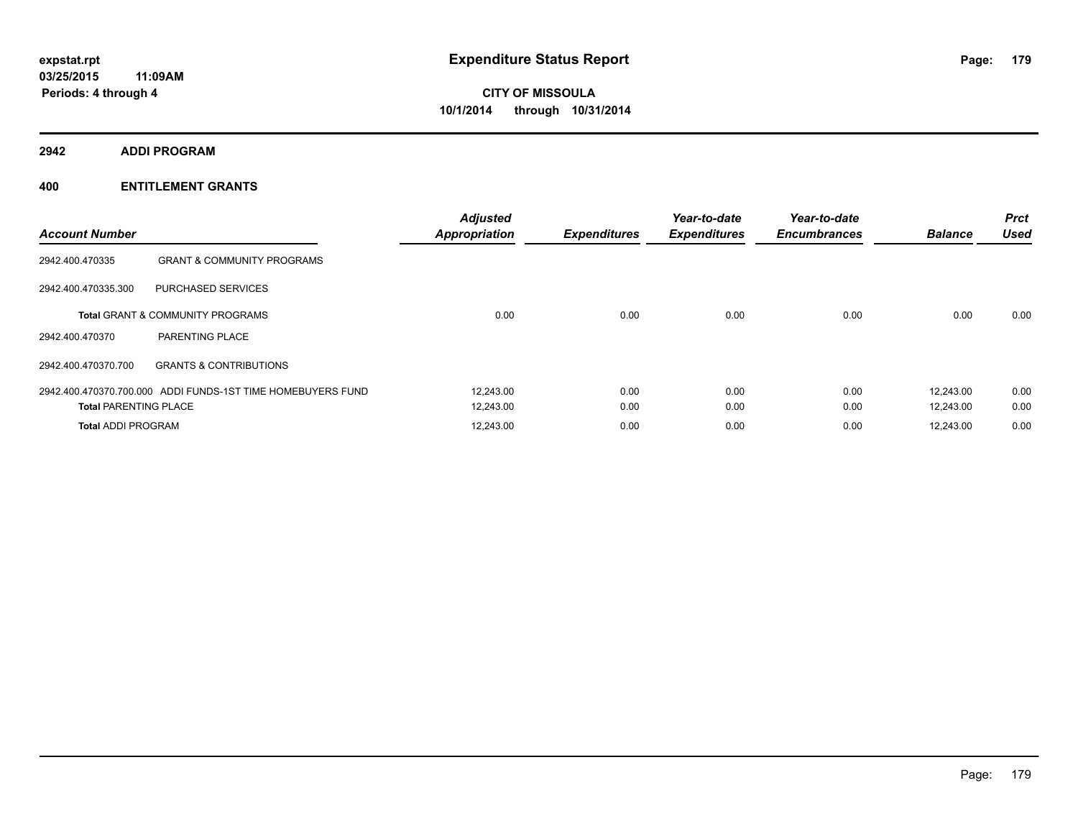**2942 ADDI PROGRAM**

| <b>Account Number</b>        |                                                             | <b>Adjusted</b><br><b>Appropriation</b> | <b>Expenditures</b> | Year-to-date<br><b>Expenditures</b> | Year-to-date<br><b>Encumbrances</b> | <b>Balance</b> | <b>Prct</b><br><b>Used</b> |
|------------------------------|-------------------------------------------------------------|-----------------------------------------|---------------------|-------------------------------------|-------------------------------------|----------------|----------------------------|
| 2942.400.470335              | <b>GRANT &amp; COMMUNITY PROGRAMS</b>                       |                                         |                     |                                     |                                     |                |                            |
| 2942.400.470335.300          | PURCHASED SERVICES                                          |                                         |                     |                                     |                                     |                |                            |
|                              | <b>Total GRANT &amp; COMMUNITY PROGRAMS</b>                 | 0.00                                    | 0.00                | 0.00                                | 0.00                                | 0.00           | 0.00                       |
| 2942.400.470370              | PARENTING PLACE                                             |                                         |                     |                                     |                                     |                |                            |
| 2942.400.470370.700          | <b>GRANTS &amp; CONTRIBUTIONS</b>                           |                                         |                     |                                     |                                     |                |                            |
|                              | 2942.400.470370.700.000 ADDI FUNDS-1ST TIME HOMEBUYERS FUND | 12,243.00                               | 0.00                | 0.00                                | 0.00                                | 12.243.00      | 0.00                       |
| <b>Total PARENTING PLACE</b> |                                                             | 12,243.00                               | 0.00                | 0.00                                | 0.00                                | 12.243.00      | 0.00                       |
| <b>Total ADDI PROGRAM</b>    |                                                             | 12,243.00                               | 0.00                | 0.00                                | 0.00                                | 12,243.00      | 0.00                       |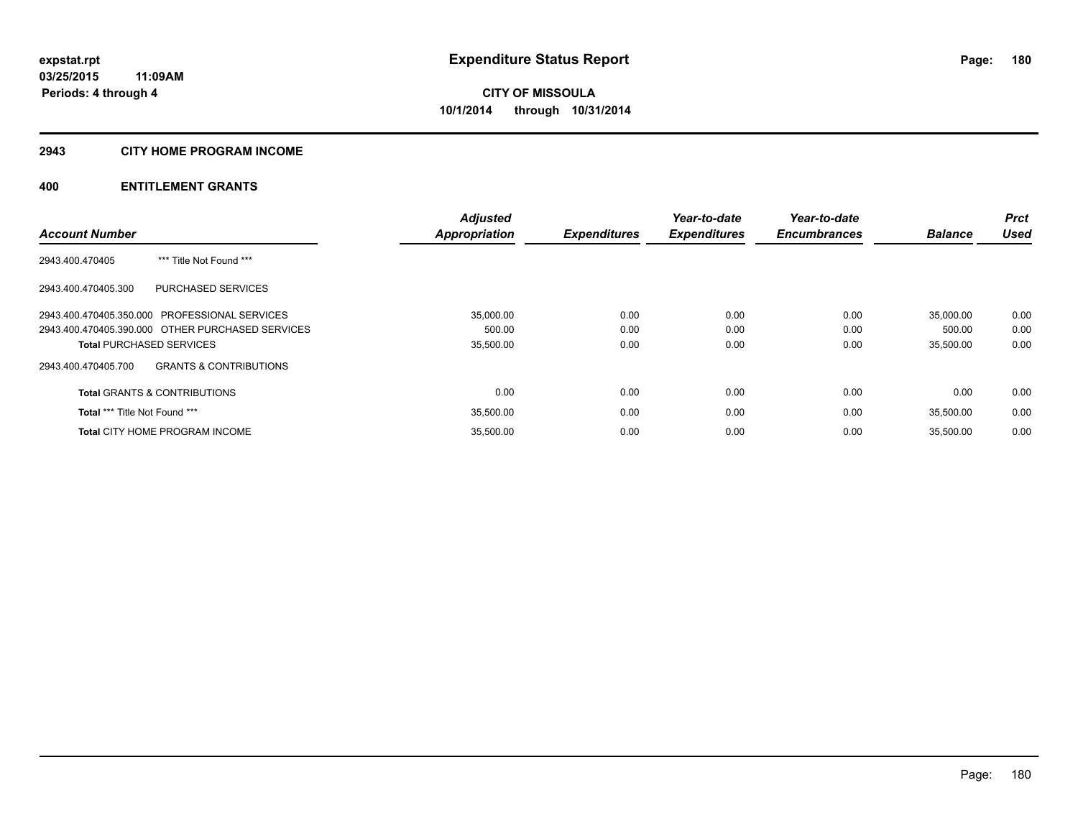## **2943 CITY HOME PROGRAM INCOME**

|                                                          | <b>Adjusted</b> |                     | Year-to-date        | Year-to-date        |                | <b>Prct</b> |
|----------------------------------------------------------|-----------------|---------------------|---------------------|---------------------|----------------|-------------|
| <b>Account Number</b>                                    | Appropriation   | <b>Expenditures</b> | <b>Expenditures</b> | <b>Encumbrances</b> | <b>Balance</b> | <b>Used</b> |
| *** Title Not Found ***<br>2943.400.470405               |                 |                     |                     |                     |                |             |
| <b>PURCHASED SERVICES</b><br>2943.400.470405.300         |                 |                     |                     |                     |                |             |
| 2943.400.470405.350.000 PROFESSIONAL SERVICES            | 35,000.00       | 0.00                | 0.00                | 0.00                | 35,000.00      | 0.00        |
| 2943.400.470405.390.000 OTHER PURCHASED SERVICES         | 500.00          | 0.00                | 0.00                | 0.00                | 500.00         | 0.00        |
| <b>Total PURCHASED SERVICES</b>                          | 35,500.00       | 0.00                | 0.00                | 0.00                | 35,500.00      | 0.00        |
| <b>GRANTS &amp; CONTRIBUTIONS</b><br>2943.400.470405.700 |                 |                     |                     |                     |                |             |
| <b>Total GRANTS &amp; CONTRIBUTIONS</b>                  | 0.00            | 0.00                | 0.00                | 0.00                | 0.00           | 0.00        |
| Total *** Title Not Found ***                            | 35,500.00       | 0.00                | 0.00                | 0.00                | 35.500.00      | 0.00        |
| <b>Total CITY HOME PROGRAM INCOME</b>                    | 35.500.00       | 0.00                | 0.00                | 0.00                | 35.500.00      | 0.00        |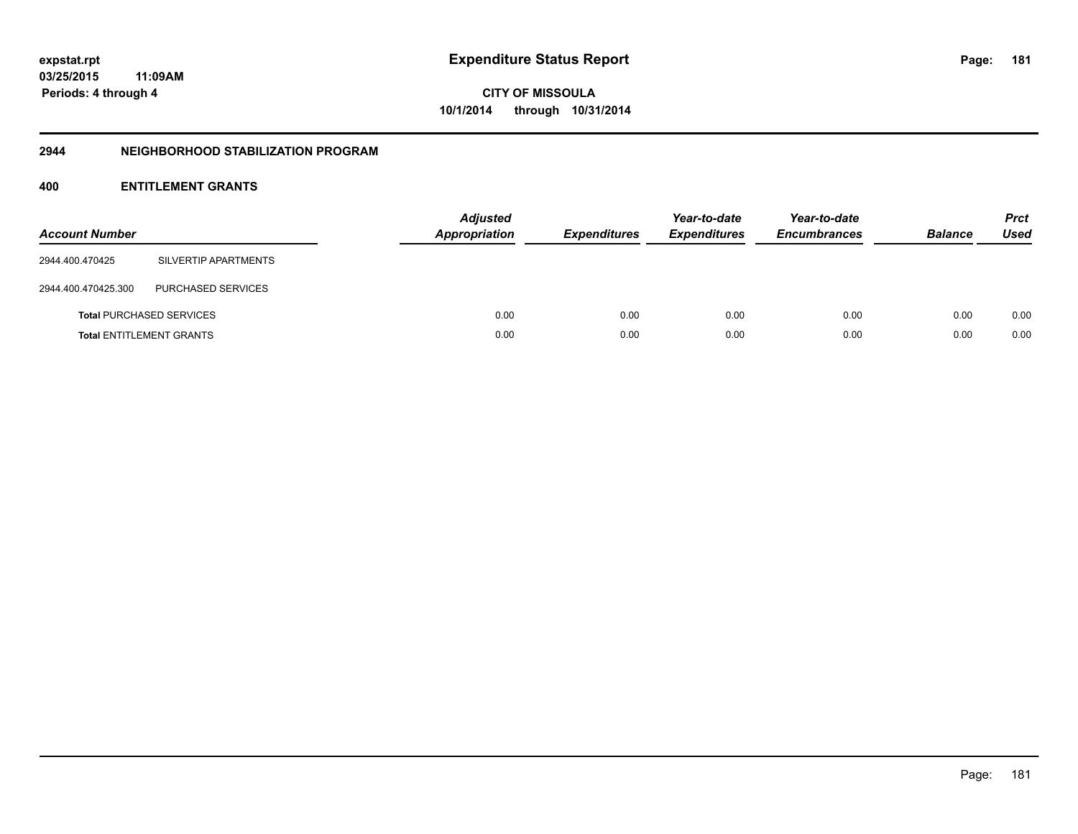**CITY OF MISSOULA 10/1/2014 through 10/31/2014**

#### **2944 NEIGHBORHOOD STABILIZATION PROGRAM**

## **400 ENTITLEMENT GRANTS**

| <b>Account Number</b> |                                 | <b>Adjusted</b><br>Appropriation | <b>Expenditures</b> | Year-to-date<br><b>Expenditures</b> | Year-to-date<br><b>Encumbrances</b> | <b>Balance</b> | <b>Prct</b><br><b>Used</b> |
|-----------------------|---------------------------------|----------------------------------|---------------------|-------------------------------------|-------------------------------------|----------------|----------------------------|
| 2944.400.470425       | SILVERTIP APARTMENTS            |                                  |                     |                                     |                                     |                |                            |
| 2944.400.470425.300   | PURCHASED SERVICES              |                                  |                     |                                     |                                     |                |                            |
|                       | <b>Total PURCHASED SERVICES</b> | 0.00                             | 0.00                | 0.00                                | 0.00                                | 0.00           | 0.00                       |
|                       | <b>Total ENTITLEMENT GRANTS</b> | 0.00                             | 0.00                | 0.00                                | 0.00                                | 0.00           | 0.00                       |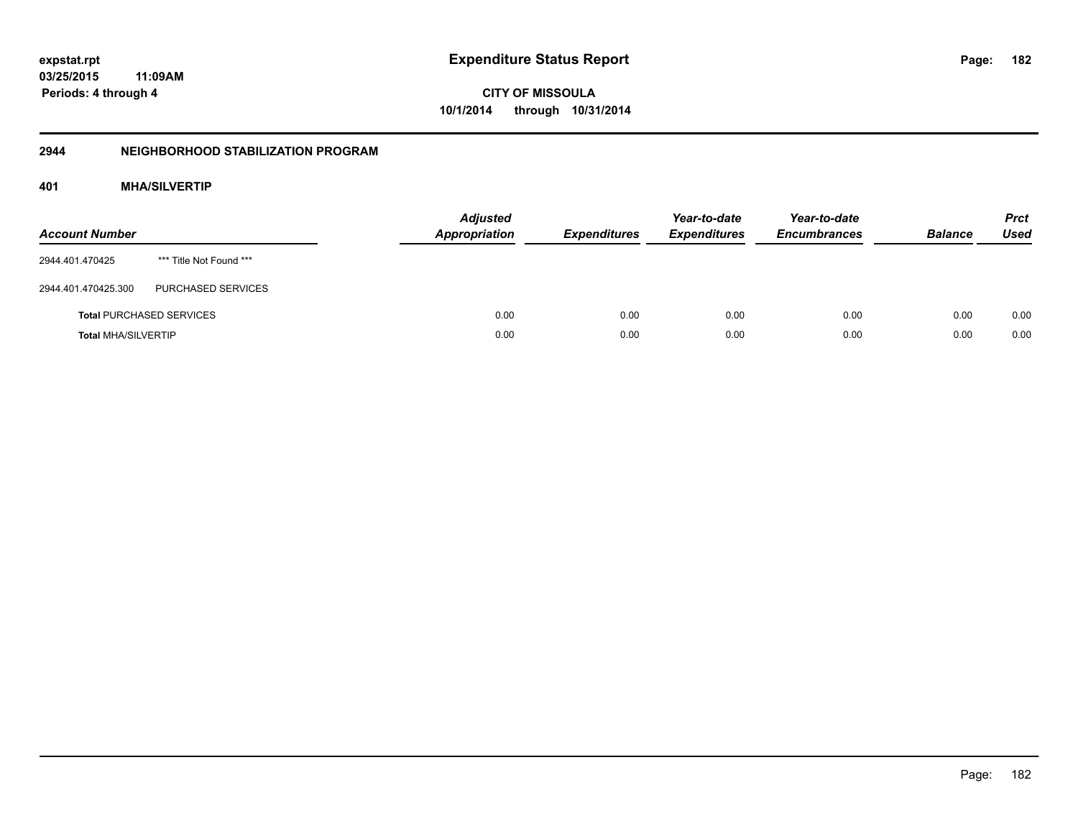**CITY OF MISSOULA 10/1/2014 through 10/31/2014**

## **2944 NEIGHBORHOOD STABILIZATION PROGRAM**

## **401 MHA/SILVERTIP**

| <b>Account Number</b>      |                                 | <b>Adjusted</b><br>Appropriation | <b>Expenditures</b> | Year-to-date<br><b>Expenditures</b> | Year-to-date<br><b>Encumbrances</b> | <b>Balance</b> | <b>Prct</b><br><b>Used</b> |
|----------------------------|---------------------------------|----------------------------------|---------------------|-------------------------------------|-------------------------------------|----------------|----------------------------|
| 2944.401.470425            | *** Title Not Found ***         |                                  |                     |                                     |                                     |                |                            |
| 2944.401.470425.300        | PURCHASED SERVICES              |                                  |                     |                                     |                                     |                |                            |
|                            | <b>Total PURCHASED SERVICES</b> | 0.00                             | 0.00                | 0.00                                | 0.00                                | 0.00           | 0.00                       |
| <b>Total MHA/SILVERTIP</b> |                                 | 0.00                             | 0.00                | 0.00                                | 0.00                                | 0.00           | 0.00                       |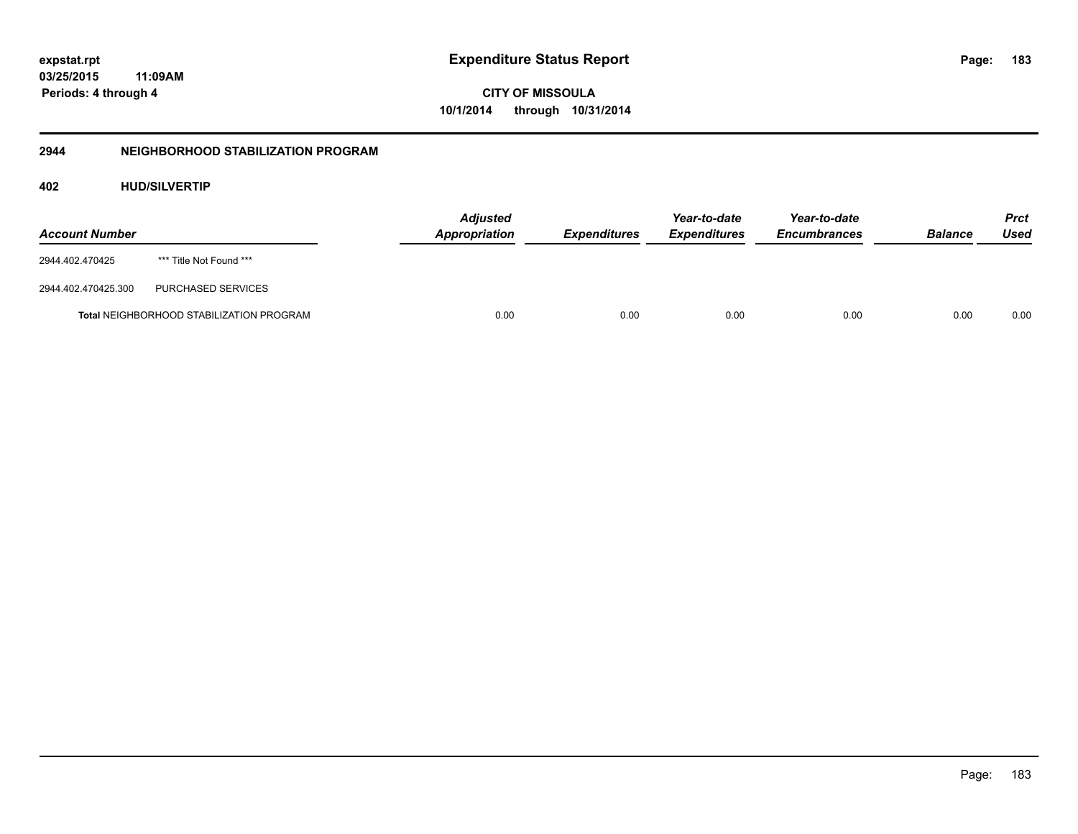**CITY OF MISSOULA 10/1/2014 through 10/31/2014**

## **2944 NEIGHBORHOOD STABILIZATION PROGRAM**

## **402 HUD/SILVERTIP**

| <b>Account Number</b> |                                                 | <b>Adjusted</b><br>Appropriation | <b>Expenditures</b> | Year-to-date<br><b>Expenditures</b> | Year-to-date<br><b>Encumbrances</b> | <b>Balance</b> | Prct<br>Used |
|-----------------------|-------------------------------------------------|----------------------------------|---------------------|-------------------------------------|-------------------------------------|----------------|--------------|
| 2944.402.470425       | *** Title Not Found ***                         |                                  |                     |                                     |                                     |                |              |
| 2944.402.470425.300   | PURCHASED SERVICES                              |                                  |                     |                                     |                                     |                |              |
|                       | <b>Total NEIGHBORHOOD STABILIZATION PROGRAM</b> | 0.00                             | 0.00                | 0.00                                | 0.00                                | 0.00           | 0.00         |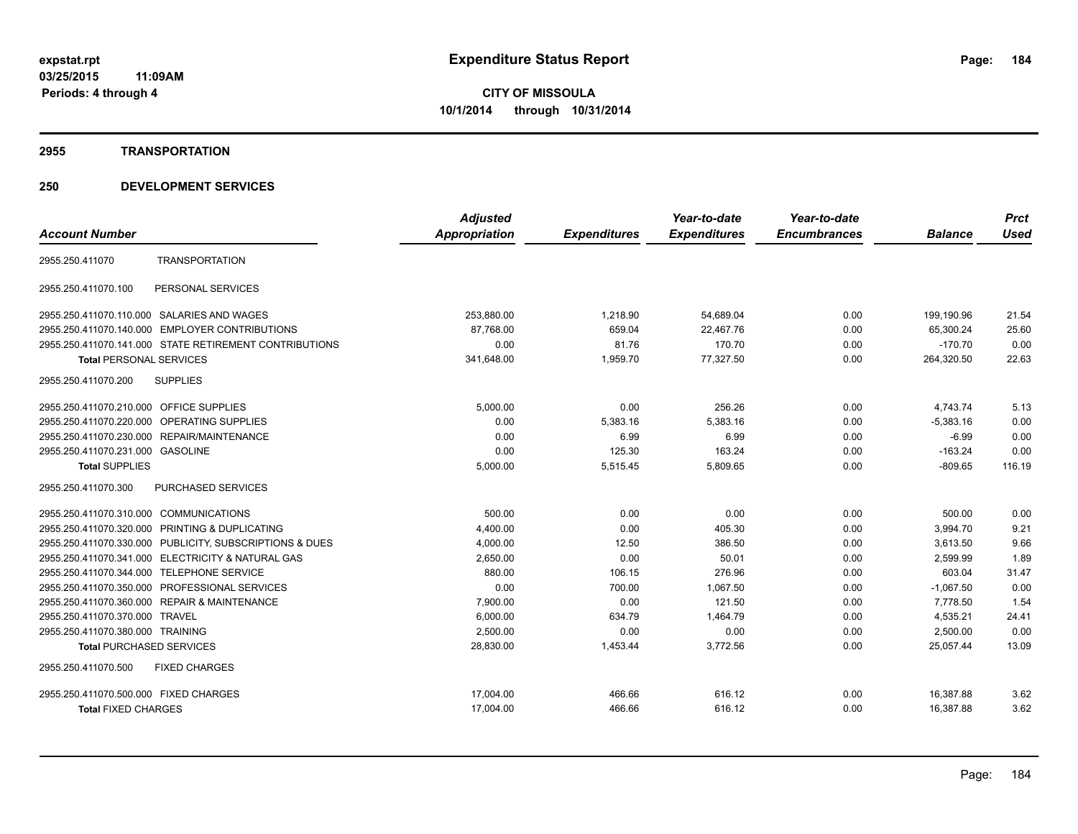#### **2955 TRANSPORTATION**

|                                                         | <b>Adjusted</b> |                     | Year-to-date        | Year-to-date        |                | <b>Prct</b> |
|---------------------------------------------------------|-----------------|---------------------|---------------------|---------------------|----------------|-------------|
| <b>Account Number</b>                                   | Appropriation   | <b>Expenditures</b> | <b>Expenditures</b> | <b>Encumbrances</b> | <b>Balance</b> | <b>Used</b> |
| <b>TRANSPORTATION</b><br>2955.250.411070                |                 |                     |                     |                     |                |             |
| 2955.250.411070.100<br>PERSONAL SERVICES                |                 |                     |                     |                     |                |             |
| 2955.250.411070.110.000 SALARIES AND WAGES              | 253,880.00      | 1,218.90            | 54,689.04           | 0.00                | 199,190.96     | 21.54       |
| 2955.250.411070.140.000 EMPLOYER CONTRIBUTIONS          | 87,768.00       | 659.04              | 22,467.76           | 0.00                | 65,300.24      | 25.60       |
| 2955.250.411070.141.000 STATE RETIREMENT CONTRIBUTIONS  | 0.00            | 81.76               | 170.70              | 0.00                | $-170.70$      | 0.00        |
| <b>Total PERSONAL SERVICES</b>                          | 341,648.00      | 1,959.70            | 77,327.50           | 0.00                | 264,320.50     | 22.63       |
| 2955.250.411070.200<br><b>SUPPLIES</b>                  |                 |                     |                     |                     |                |             |
| 2955.250.411070.210.000 OFFICE SUPPLIES                 | 5,000.00        | 0.00                | 256.26              | 0.00                | 4,743.74       | 5.13        |
| 2955.250.411070.220.000 OPERATING SUPPLIES              | 0.00            | 5,383.16            | 5,383.16            | 0.00                | $-5,383.16$    | 0.00        |
| 2955.250.411070.230.000 REPAIR/MAINTENANCE              | 0.00            | 6.99                | 6.99                | 0.00                | $-6.99$        | 0.00        |
| 2955.250.411070.231.000 GASOLINE                        | 0.00            | 125.30              | 163.24              | 0.00                | $-163.24$      | 0.00        |
| <b>Total SUPPLIES</b>                                   | 5,000.00        | 5,515.45            | 5,809.65            | 0.00                | $-809.65$      | 116.19      |
| PURCHASED SERVICES<br>2955.250.411070.300               |                 |                     |                     |                     |                |             |
| 2955.250.411070.310.000 COMMUNICATIONS                  | 500.00          | 0.00                | 0.00                | 0.00                | 500.00         | 0.00        |
| 2955.250.411070.320.000 PRINTING & DUPLICATING          | 4,400.00        | 0.00                | 405.30              | 0.00                | 3,994.70       | 9.21        |
| 2955.250.411070.330.000 PUBLICITY, SUBSCRIPTIONS & DUES | 4,000.00        | 12.50               | 386.50              | 0.00                | 3,613.50       | 9.66        |
| 2955.250.411070.341.000 ELECTRICITY & NATURAL GAS       | 2,650.00        | 0.00                | 50.01               | 0.00                | 2,599.99       | 1.89        |
| 2955.250.411070.344.000 TELEPHONE SERVICE               | 880.00          | 106.15              | 276.96              | 0.00                | 603.04         | 31.47       |
| 2955.250.411070.350.000 PROFESSIONAL SERVICES           | 0.00            | 700.00              | 1,067.50            | 0.00                | $-1,067.50$    | 0.00        |
| 2955.250.411070.360.000 REPAIR & MAINTENANCE            | 7,900.00        | 0.00                | 121.50              | 0.00                | 7,778.50       | 1.54        |
| 2955.250.411070.370.000<br><b>TRAVEL</b>                | 6,000.00        | 634.79              | 1,464.79            | 0.00                | 4,535.21       | 24.41       |
| 2955.250.411070.380.000 TRAINING                        | 2,500.00        | 0.00                | 0.00                | 0.00                | 2,500.00       | 0.00        |
| <b>Total PURCHASED SERVICES</b>                         | 28,830.00       | 1,453.44            | 3,772.56            | 0.00                | 25,057.44      | 13.09       |
| 2955.250.411070.500<br><b>FIXED CHARGES</b>             |                 |                     |                     |                     |                |             |
| 2955.250.411070.500.000 FIXED CHARGES                   | 17,004.00       | 466.66              | 616.12              | 0.00                | 16,387.88      | 3.62        |
| <b>Total FIXED CHARGES</b>                              | 17,004.00       | 466.66              | 616.12              | 0.00                | 16,387.88      | 3.62        |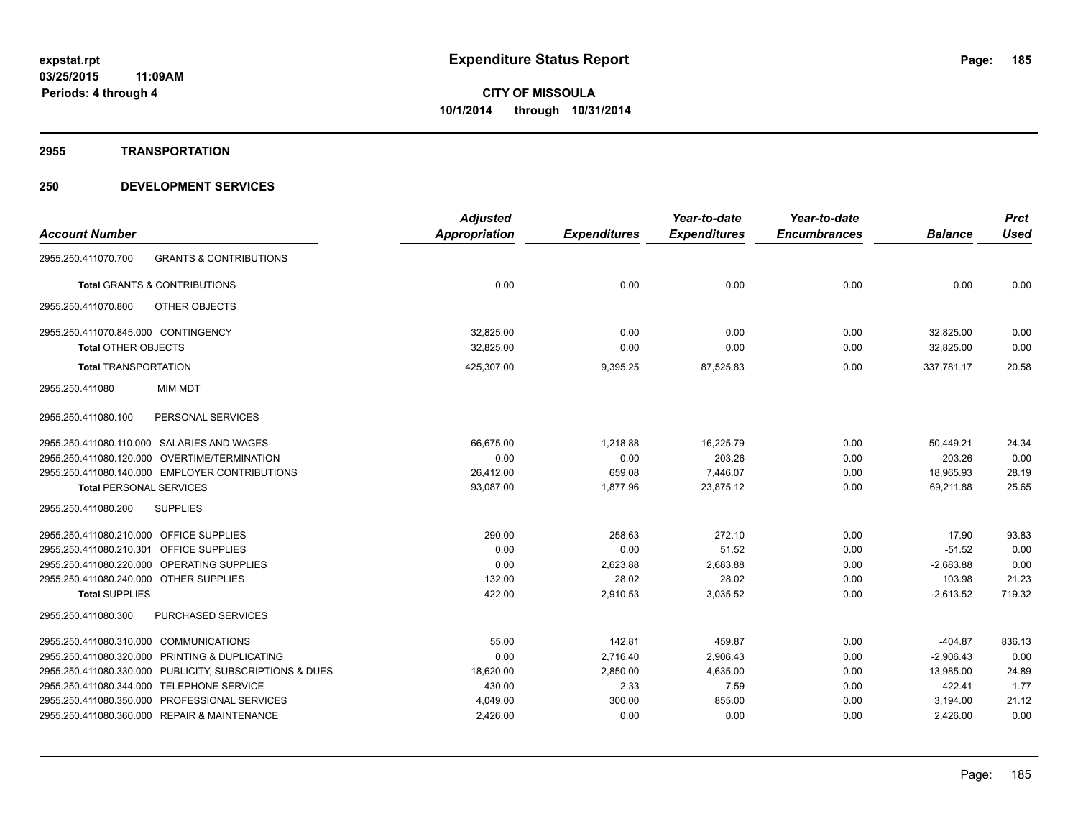#### **2955 TRANSPORTATION**

|                                                |                                                         | <b>Adjusted</b>      |                     | Year-to-date        | Year-to-date        |                | <b>Prct</b> |
|------------------------------------------------|---------------------------------------------------------|----------------------|---------------------|---------------------|---------------------|----------------|-------------|
| <b>Account Number</b>                          |                                                         | <b>Appropriation</b> | <b>Expenditures</b> | <b>Expenditures</b> | <b>Encumbrances</b> | <b>Balance</b> | <b>Used</b> |
| 2955.250.411070.700                            | <b>GRANTS &amp; CONTRIBUTIONS</b>                       |                      |                     |                     |                     |                |             |
| <b>Total GRANTS &amp; CONTRIBUTIONS</b>        |                                                         | 0.00                 | 0.00                | 0.00                | 0.00                | 0.00           | 0.00        |
| 2955.250.411070.800                            | OTHER OBJECTS                                           |                      |                     |                     |                     |                |             |
| 2955.250.411070.845.000 CONTINGENCY            |                                                         | 32,825.00            | 0.00                | 0.00                | 0.00                | 32,825.00      | 0.00        |
| <b>Total OTHER OBJECTS</b>                     |                                                         | 32,825.00            | 0.00                | 0.00                | 0.00                | 32,825.00      | 0.00        |
| <b>Total TRANSPORTATION</b>                    |                                                         | 425,307.00           | 9,395.25            | 87,525.83           | 0.00                | 337.781.17     | 20.58       |
| <b>MIM MDT</b><br>2955.250.411080              |                                                         |                      |                     |                     |                     |                |             |
| 2955.250.411080.100                            | PERSONAL SERVICES                                       |                      |                     |                     |                     |                |             |
| 2955.250.411080.110.000 SALARIES AND WAGES     |                                                         | 66.675.00            | 1,218.88            | 16,225.79           | 0.00                | 50.449.21      | 24.34       |
| 2955.250.411080.120.000 OVERTIME/TERMINATION   |                                                         | 0.00                 | 0.00                | 203.26              | 0.00                | $-203.26$      | 0.00        |
| 2955.250.411080.140.000 EMPLOYER CONTRIBUTIONS |                                                         | 26,412.00            | 659.08              | 7,446.07            | 0.00                | 18,965.93      | 28.19       |
| <b>Total PERSONAL SERVICES</b>                 |                                                         | 93,087.00            | 1,877.96            | 23,875.12           | 0.00                | 69,211.88      | 25.65       |
| 2955.250.411080.200<br><b>SUPPLIES</b>         |                                                         |                      |                     |                     |                     |                |             |
| 2955.250.411080.210.000 OFFICE SUPPLIES        |                                                         | 290.00               | 258.63              | 272.10              | 0.00                | 17.90          | 93.83       |
| 2955.250.411080.210.301 OFFICE SUPPLIES        |                                                         | 0.00                 | 0.00                | 51.52               | 0.00                | $-51.52$       | 0.00        |
| 2955.250.411080.220.000 OPERATING SUPPLIES     |                                                         | 0.00                 | 2,623.88            | 2,683.88            | 0.00                | $-2,683.88$    | 0.00        |
| 2955.250.411080.240.000 OTHER SUPPLIES         |                                                         | 132.00               | 28.02               | 28.02               | 0.00                | 103.98         | 21.23       |
| <b>Total SUPPLIES</b>                          |                                                         | 422.00               | 2,910.53            | 3,035.52            | 0.00                | $-2,613.52$    | 719.32      |
| 2955.250.411080.300                            | <b>PURCHASED SERVICES</b>                               |                      |                     |                     |                     |                |             |
| 2955.250.411080.310.000 COMMUNICATIONS         |                                                         | 55.00                | 142.81              | 459.87              | 0.00                | $-404.87$      | 836.13      |
| 2955.250.411080.320.000 PRINTING & DUPLICATING |                                                         | 0.00                 | 2,716.40            | 2,906.43            | 0.00                | $-2,906.43$    | 0.00        |
|                                                | 2955.250.411080.330.000 PUBLICITY, SUBSCRIPTIONS & DUES | 18,620.00            | 2,850.00            | 4,635.00            | 0.00                | 13,985.00      | 24.89       |
| 2955.250.411080.344.000 TELEPHONE SERVICE      |                                                         | 430.00               | 2.33                | 7.59                | 0.00                | 422.41         | 1.77        |
| 2955.250.411080.350.000 PROFESSIONAL SERVICES  |                                                         | 4,049.00             | 300.00              | 855.00              | 0.00                | 3,194.00       | 21.12       |
| 2955.250.411080.360.000 REPAIR & MAINTENANCE   |                                                         | 2,426.00             | 0.00                | 0.00                | 0.00                | 2,426.00       | 0.00        |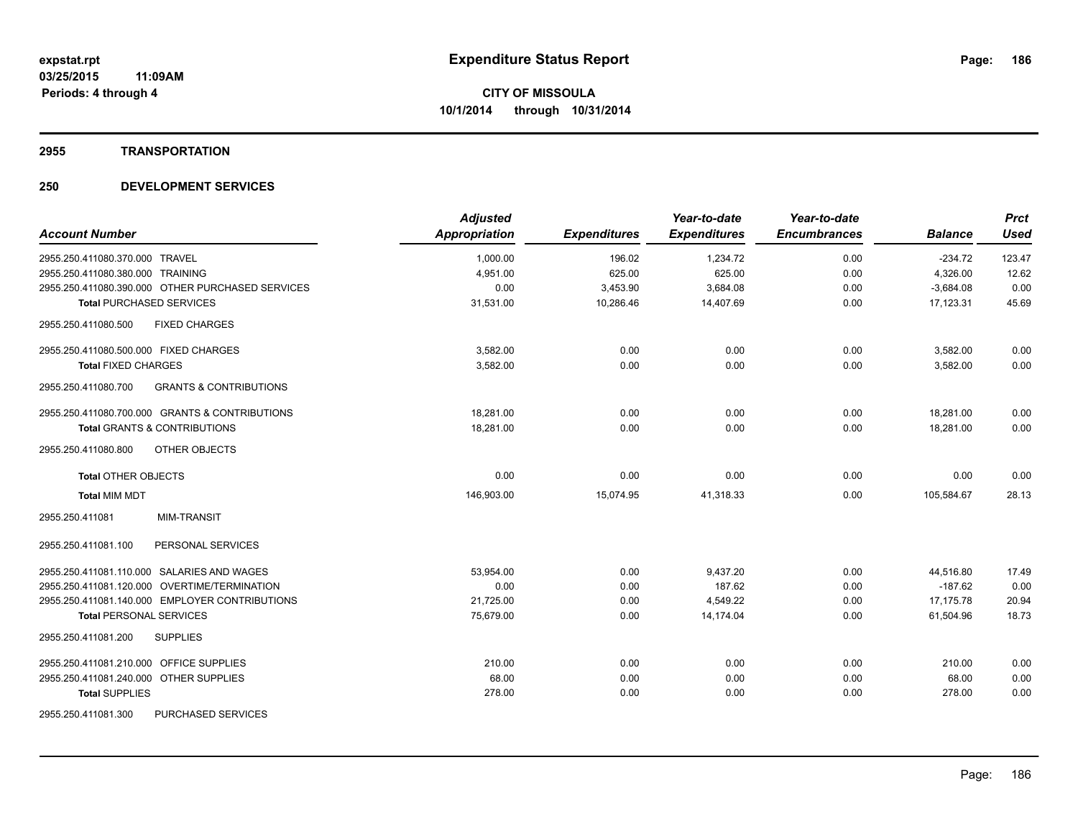#### **2955 TRANSPORTATION**

| <b>Account Number</b>                                    | <b>Adjusted</b><br><b>Appropriation</b> | <b>Expenditures</b> | Year-to-date<br><b>Expenditures</b> | Year-to-date<br><b>Encumbrances</b> | <b>Balance</b> | <b>Prct</b><br><b>Used</b> |
|----------------------------------------------------------|-----------------------------------------|---------------------|-------------------------------------|-------------------------------------|----------------|----------------------------|
| 2955.250.411080.370.000 TRAVEL                           | 1,000.00                                | 196.02              | 1,234.72                            | 0.00                                | $-234.72$      | 123.47                     |
| 2955.250.411080.380.000 TRAINING                         | 4,951.00                                | 625.00              | 625.00                              | 0.00                                | 4,326.00       | 12.62                      |
| 2955.250.411080.390.000 OTHER PURCHASED SERVICES         | 0.00                                    | 3,453.90            | 3,684.08                            | 0.00                                | $-3,684.08$    | 0.00                       |
| <b>Total PURCHASED SERVICES</b>                          | 31,531.00                               | 10,286.46           | 14.407.69                           | 0.00                                | 17,123.31      | 45.69                      |
| 2955.250.411080.500<br><b>FIXED CHARGES</b>              |                                         |                     |                                     |                                     |                |                            |
| 2955.250.411080.500.000 FIXED CHARGES                    | 3,582.00                                | 0.00                | 0.00                                | 0.00                                | 3,582.00       | 0.00                       |
| <b>Total FIXED CHARGES</b>                               | 3,582.00                                | 0.00                | 0.00                                | 0.00                                | 3,582.00       | 0.00                       |
| 2955.250.411080.700<br><b>GRANTS &amp; CONTRIBUTIONS</b> |                                         |                     |                                     |                                     |                |                            |
| 2955.250.411080.700.000 GRANTS & CONTRIBUTIONS           | 18,281.00                               | 0.00                | 0.00                                | 0.00                                | 18,281.00      | 0.00                       |
| <b>Total GRANTS &amp; CONTRIBUTIONS</b>                  | 18,281.00                               | 0.00                | 0.00                                | 0.00                                | 18.281.00      | 0.00                       |
| 2955.250.411080.800<br>OTHER OBJECTS                     |                                         |                     |                                     |                                     |                |                            |
| <b>Total OTHER OBJECTS</b>                               | 0.00                                    | 0.00                | 0.00                                | 0.00                                | 0.00           | 0.00                       |
| <b>Total MIM MDT</b>                                     | 146,903.00                              | 15,074.95           | 41,318.33                           | 0.00                                | 105,584.67     | 28.13                      |
| <b>MIM-TRANSIT</b><br>2955.250.411081                    |                                         |                     |                                     |                                     |                |                            |
| 2955.250.411081.100<br>PERSONAL SERVICES                 |                                         |                     |                                     |                                     |                |                            |
| 2955.250.411081.110.000 SALARIES AND WAGES               | 53,954.00                               | 0.00                | 9,437.20                            | 0.00                                | 44,516.80      | 17.49                      |
| 2955.250.411081.120.000 OVERTIME/TERMINATION             | 0.00                                    | 0.00                | 187.62                              | 0.00                                | $-187.62$      | 0.00                       |
| 2955.250.411081.140.000 EMPLOYER CONTRIBUTIONS           | 21,725.00                               | 0.00                | 4,549.22                            | 0.00                                | 17,175.78      | 20.94                      |
| <b>Total PERSONAL SERVICES</b>                           | 75,679.00                               | 0.00                | 14.174.04                           | 0.00                                | 61.504.96      | 18.73                      |
| 2955.250.411081.200<br><b>SUPPLIES</b>                   |                                         |                     |                                     |                                     |                |                            |
| 2955.250.411081.210.000 OFFICE SUPPLIES                  | 210.00                                  | 0.00                | 0.00                                | 0.00                                | 210.00         | 0.00                       |
| 2955.250.411081.240.000 OTHER SUPPLIES                   | 68.00                                   | 0.00                | 0.00                                | 0.00                                | 68.00          | 0.00                       |
| <b>Total SUPPLIES</b>                                    | 278.00                                  | 0.00                | 0.00                                | 0.00                                | 278.00         | 0.00                       |
| 2955.250.411081.300<br>PURCHASED SERVICES                |                                         |                     |                                     |                                     |                |                            |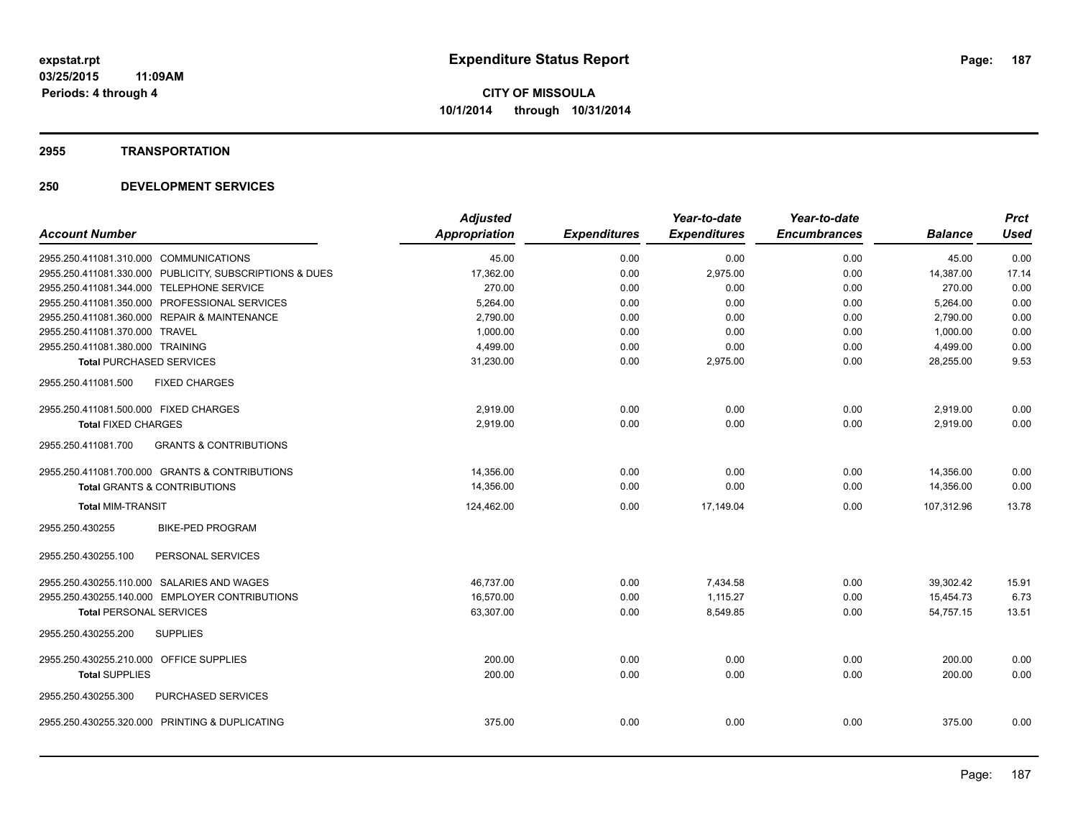#### **2955 TRANSPORTATION**

|                                                          | <b>Adjusted</b> |                     | Year-to-date        | Year-to-date        |                | <b>Prct</b> |
|----------------------------------------------------------|-----------------|---------------------|---------------------|---------------------|----------------|-------------|
| <b>Account Number</b>                                    | Appropriation   | <b>Expenditures</b> | <b>Expenditures</b> | <b>Encumbrances</b> | <b>Balance</b> | Used        |
| 2955.250.411081.310.000 COMMUNICATIONS                   | 45.00           | 0.00                | 0.00                | 0.00                | 45.00          | 0.00        |
| 2955.250.411081.330.000 PUBLICITY, SUBSCRIPTIONS & DUES  | 17,362.00       | 0.00                | 2,975.00            | 0.00                | 14,387.00      | 17.14       |
| 2955.250.411081.344.000 TELEPHONE SERVICE                | 270.00          | 0.00                | 0.00                | 0.00                | 270.00         | 0.00        |
| 2955.250.411081.350.000 PROFESSIONAL SERVICES            | 5,264.00        | 0.00                | 0.00                | 0.00                | 5,264.00       | 0.00        |
| 2955.250.411081.360.000 REPAIR & MAINTENANCE             | 2,790.00        | 0.00                | 0.00                | 0.00                | 2,790.00       | 0.00        |
| 2955.250.411081.370.000 TRAVEL                           | 1,000.00        | 0.00                | 0.00                | 0.00                | 1,000.00       | 0.00        |
| 2955.250.411081.380.000 TRAINING                         | 4,499.00        | 0.00                | 0.00                | 0.00                | 4,499.00       | 0.00        |
| <b>Total PURCHASED SERVICES</b>                          | 31,230.00       | 0.00                | 2,975.00            | 0.00                | 28,255.00      | 9.53        |
| 2955.250.411081.500<br><b>FIXED CHARGES</b>              |                 |                     |                     |                     |                |             |
| 2955.250.411081.500.000 FIXED CHARGES                    | 2,919.00        | 0.00                | 0.00                | 0.00                | 2,919.00       | 0.00        |
| <b>Total FIXED CHARGES</b>                               | 2,919.00        | 0.00                | 0.00                | 0.00                | 2,919.00       | 0.00        |
| <b>GRANTS &amp; CONTRIBUTIONS</b><br>2955.250.411081.700 |                 |                     |                     |                     |                |             |
| 2955.250.411081.700.000 GRANTS & CONTRIBUTIONS           | 14,356.00       | 0.00                | 0.00                | 0.00                | 14,356.00      | 0.00        |
| <b>Total GRANTS &amp; CONTRIBUTIONS</b>                  | 14,356.00       | 0.00                | 0.00                | 0.00                | 14,356.00      | 0.00        |
| <b>Total MIM-TRANSIT</b>                                 | 124,462.00      | 0.00                | 17.149.04           | 0.00                | 107.312.96     | 13.78       |
| 2955.250.430255<br><b>BIKE-PED PROGRAM</b>               |                 |                     |                     |                     |                |             |
| PERSONAL SERVICES<br>2955.250.430255.100                 |                 |                     |                     |                     |                |             |
| 2955.250.430255.110.000 SALARIES AND WAGES               | 46,737.00       | 0.00                | 7,434.58            | 0.00                | 39,302.42      | 15.91       |
| 2955.250.430255.140.000 EMPLOYER CONTRIBUTIONS           | 16.570.00       | 0.00                | 1.115.27            | 0.00                | 15,454.73      | 6.73        |
| <b>Total PERSONAL SERVICES</b>                           | 63,307.00       | 0.00                | 8,549.85            | 0.00                | 54,757.15      | 13.51       |
| 2955.250.430255.200<br><b>SUPPLIES</b>                   |                 |                     |                     |                     |                |             |
| 2955.250.430255.210.000 OFFICE SUPPLIES                  | 200.00          | 0.00                | 0.00                | 0.00                | 200.00         | 0.00        |
| <b>Total SUPPLIES</b>                                    | 200.00          | 0.00                | 0.00                | 0.00                | 200.00         | 0.00        |
| 2955.250.430255.300<br>PURCHASED SERVICES                |                 |                     |                     |                     |                |             |
| 2955.250.430255.320.000 PRINTING & DUPLICATING           | 375.00          | 0.00                | 0.00                | 0.00                | 375.00         | 0.00        |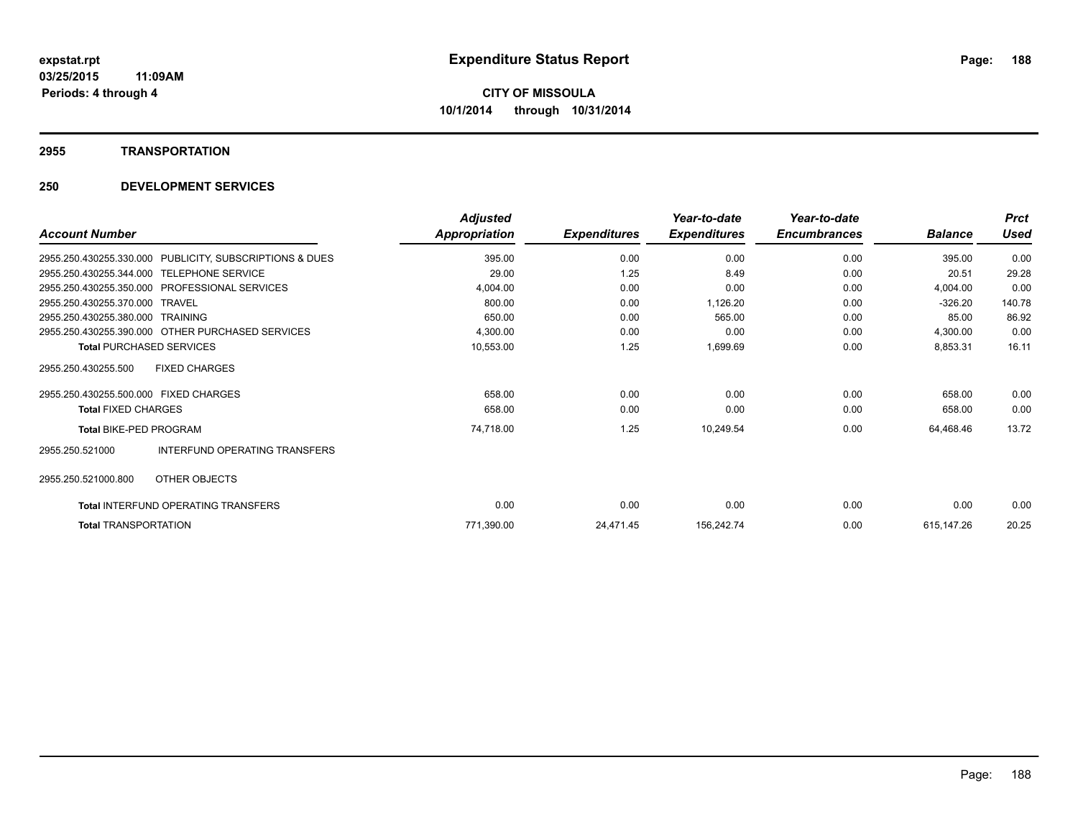#### **2955 TRANSPORTATION**

| <b>Account Number</b>                                      | <b>Adjusted</b><br>Appropriation | <b>Expenditures</b> | Year-to-date<br><b>Expenditures</b> | Year-to-date<br><b>Encumbrances</b> | <b>Balance</b> | <b>Prct</b><br>Used |
|------------------------------------------------------------|----------------------------------|---------------------|-------------------------------------|-------------------------------------|----------------|---------------------|
| PUBLICITY, SUBSCRIPTIONS & DUES<br>2955.250.430255.330.000 | 395.00                           | 0.00                | 0.00                                | 0.00                                | 395.00         | 0.00                |
| 2955.250.430255.344.000<br><b>TELEPHONE SERVICE</b>        | 29.00                            | 1.25                | 8.49                                | 0.00                                | 20.51          | 29.28               |
| 2955.250.430255.350.000<br><b>PROFESSIONAL SERVICES</b>    | 4,004.00                         | 0.00                | 0.00                                | 0.00                                | 4,004.00       | 0.00                |
| 2955.250.430255.370.000<br><b>TRAVEL</b>                   | 800.00                           | 0.00                | 1,126.20                            | 0.00                                | $-326.20$      | 140.78              |
| 2955.250.430255.380.000<br><b>TRAINING</b>                 | 650.00                           | 0.00                | 565.00                              | 0.00                                | 85.00          | 86.92               |
| 2955.250.430255.390.000 OTHER PURCHASED SERVICES           | 4,300.00                         | 0.00                | 0.00                                | 0.00                                | 4,300.00       | 0.00                |
| <b>Total PURCHASED SERVICES</b>                            | 10,553.00                        | 1.25                | 1,699.69                            | 0.00                                | 8,853.31       | 16.11               |
| <b>FIXED CHARGES</b><br>2955.250.430255.500                |                                  |                     |                                     |                                     |                |                     |
| 2955.250.430255.500.000 FIXED CHARGES                      | 658.00                           | 0.00                | 0.00                                | 0.00                                | 658.00         | 0.00                |
| <b>Total FIXED CHARGES</b>                                 | 658.00                           | 0.00                | 0.00                                | 0.00                                | 658.00         | 0.00                |
| <b>Total BIKE-PED PROGRAM</b>                              | 74,718.00                        | 1.25                | 10,249.54                           | 0.00                                | 64,468.46      | 13.72               |
| INTERFUND OPERATING TRANSFERS<br>2955.250.521000           |                                  |                     |                                     |                                     |                |                     |
| 2955.250.521000.800<br>OTHER OBJECTS                       |                                  |                     |                                     |                                     |                |                     |
| <b>Total INTERFUND OPERATING TRANSFERS</b>                 | 0.00                             | 0.00                | 0.00                                | 0.00                                | 0.00           | 0.00                |
| <b>Total TRANSPORTATION</b>                                | 771,390.00                       | 24,471.45           | 156,242.74                          | 0.00                                | 615,147.26     | 20.25               |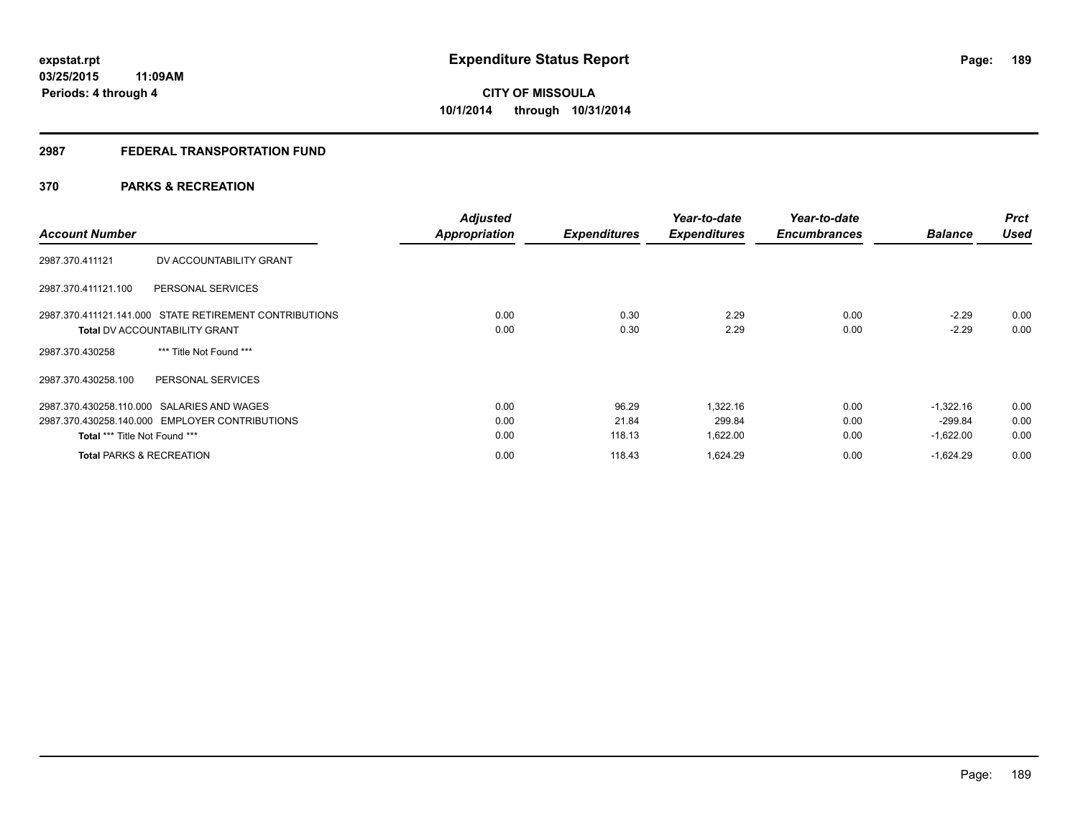## **2987 FEDERAL TRANSPORTATION FUND**

## **370 PARKS & RECREATION**

| <b>Account Number</b>                                  | <b>Adjusted</b><br><b>Appropriation</b> | <b>Expenditures</b> | Year-to-date<br><b>Expenditures</b> | Year-to-date<br><b>Encumbrances</b> | <b>Balance</b> | <b>Prct</b><br><b>Used</b> |
|--------------------------------------------------------|-----------------------------------------|---------------------|-------------------------------------|-------------------------------------|----------------|----------------------------|
| DV ACCOUNTABILITY GRANT<br>2987.370.411121             |                                         |                     |                                     |                                     |                |                            |
| 2987.370.411121.100<br>PERSONAL SERVICES               |                                         |                     |                                     |                                     |                |                            |
| 2987.370.411121.141.000 STATE RETIREMENT CONTRIBUTIONS | 0.00                                    | 0.30                | 2.29                                | 0.00                                | $-2.29$        | 0.00                       |
| <b>Total DV ACCOUNTABILITY GRANT</b>                   | 0.00                                    | 0.30                | 2.29                                | 0.00                                | $-2.29$        | 0.00                       |
| *** Title Not Found ***<br>2987.370.430258             |                                         |                     |                                     |                                     |                |                            |
| 2987.370.430258.100<br>PERSONAL SERVICES               |                                         |                     |                                     |                                     |                |                            |
| 2987.370.430258.110.000 SALARIES AND WAGES             | 0.00                                    | 96.29               | .322.16                             | 0.00                                | $-1.322.16$    | 0.00                       |
| 2987.370.430258.140.000 EMPLOYER CONTRIBUTIONS         | 0.00                                    | 21.84               | 299.84                              | 0.00                                | $-299.84$      | 0.00                       |
| Total *** Title Not Found ***                          | 0.00                                    | 118.13              | 1,622.00                            | 0.00                                | $-1,622.00$    | 0.00                       |
| <b>Total PARKS &amp; RECREATION</b>                    | 0.00                                    | 118.43              | 1,624.29                            | 0.00                                | $-1,624.29$    | 0.00                       |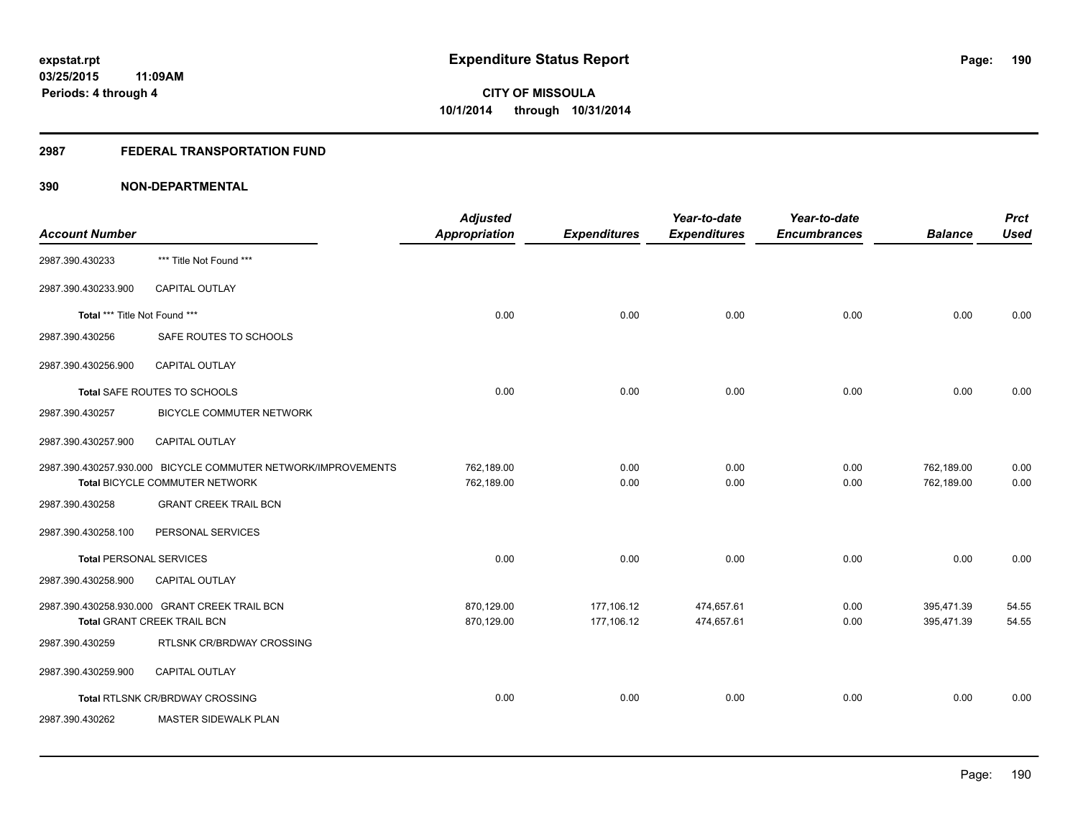## **2987 FEDERAL TRANSPORTATION FUND**

| <b>Account Number</b>         |                                                                                                 | <b>Adjusted</b><br><b>Appropriation</b> | <b>Expenditures</b>      | Year-to-date<br><b>Expenditures</b> | Year-to-date<br><b>Encumbrances</b> | <b>Balance</b>           | <b>Prct</b><br><b>Used</b> |
|-------------------------------|-------------------------------------------------------------------------------------------------|-----------------------------------------|--------------------------|-------------------------------------|-------------------------------------|--------------------------|----------------------------|
| 2987.390.430233               | *** Title Not Found ***                                                                         |                                         |                          |                                     |                                     |                          |                            |
| 2987.390.430233.900           | <b>CAPITAL OUTLAY</b>                                                                           |                                         |                          |                                     |                                     |                          |                            |
| Total *** Title Not Found *** |                                                                                                 | 0.00                                    | 0.00                     | 0.00                                | 0.00                                | 0.00                     | 0.00                       |
| 2987.390.430256               | SAFE ROUTES TO SCHOOLS                                                                          |                                         |                          |                                     |                                     |                          |                            |
| 2987.390.430256.900           | <b>CAPITAL OUTLAY</b>                                                                           |                                         |                          |                                     |                                     |                          |                            |
|                               | Total SAFE ROUTES TO SCHOOLS                                                                    | 0.00                                    | 0.00                     | 0.00                                | 0.00                                | 0.00                     | 0.00                       |
| 2987.390.430257               | <b>BICYCLE COMMUTER NETWORK</b>                                                                 |                                         |                          |                                     |                                     |                          |                            |
| 2987.390.430257.900           | <b>CAPITAL OUTLAY</b>                                                                           |                                         |                          |                                     |                                     |                          |                            |
|                               | 2987.390.430257.930.000 BICYCLE COMMUTER NETWORK/IMPROVEMENTS<br>Total BICYCLE COMMUTER NETWORK | 762,189.00<br>762,189.00                | 0.00<br>0.00             | 0.00<br>0.00                        | 0.00<br>0.00                        | 762,189.00<br>762,189.00 | 0.00<br>0.00               |
| 2987.390.430258               | <b>GRANT CREEK TRAIL BCN</b>                                                                    |                                         |                          |                                     |                                     |                          |                            |
| 2987.390.430258.100           | PERSONAL SERVICES                                                                               |                                         |                          |                                     |                                     |                          |                            |
| Total PERSONAL SERVICES       |                                                                                                 | 0.00                                    | 0.00                     | 0.00                                | 0.00                                | 0.00                     | 0.00                       |
| 2987.390.430258.900           | CAPITAL OUTLAY                                                                                  |                                         |                          |                                     |                                     |                          |                            |
|                               | 2987.390.430258.930.000 GRANT CREEK TRAIL BCN<br><b>Total GRANT CREEK TRAIL BCN</b>             | 870,129.00<br>870,129.00                | 177,106.12<br>177,106.12 | 474,657.61<br>474,657.61            | 0.00<br>0.00                        | 395,471.39<br>395,471.39 | 54.55<br>54.55             |
| 2987.390.430259               | RTLSNK CR/BRDWAY CROSSING                                                                       |                                         |                          |                                     |                                     |                          |                            |
| 2987.390.430259.900           | <b>CAPITAL OUTLAY</b>                                                                           |                                         |                          |                                     |                                     |                          |                            |
|                               | Total RTLSNK CR/BRDWAY CROSSING                                                                 | 0.00                                    | 0.00                     | 0.00                                | 0.00                                | 0.00                     | 0.00                       |
| 2987.390.430262               | <b>MASTER SIDEWALK PLAN</b>                                                                     |                                         |                          |                                     |                                     |                          |                            |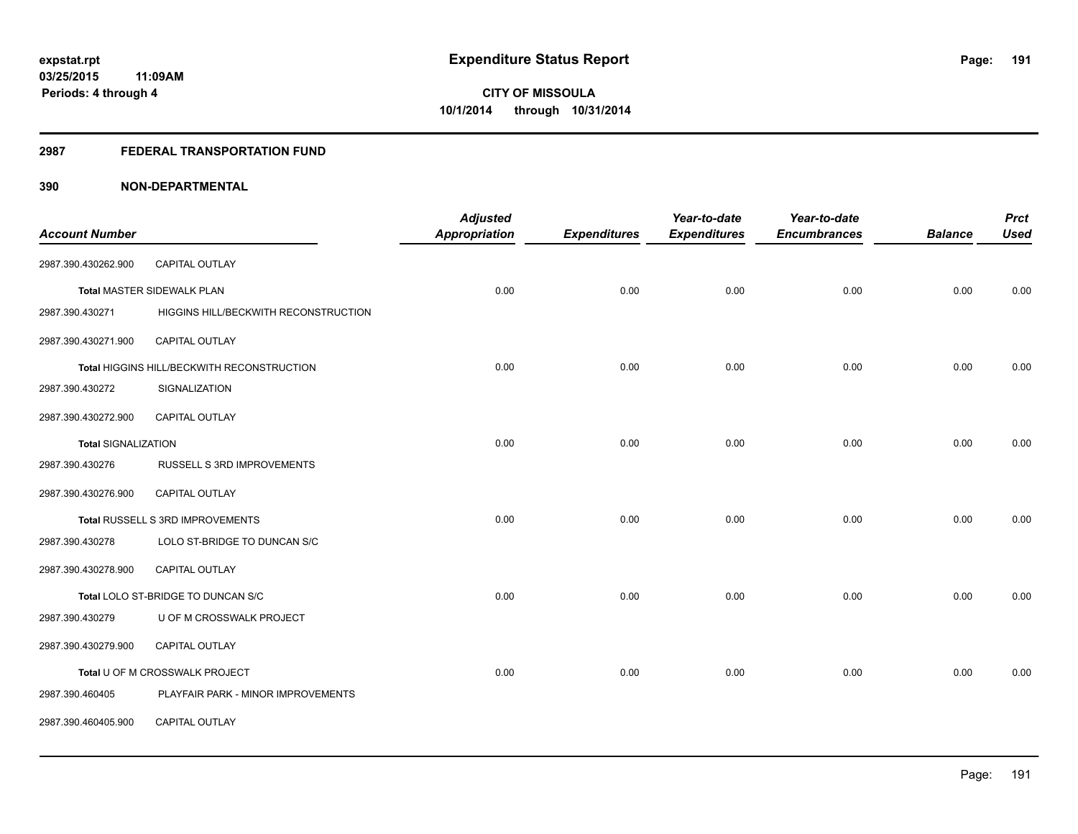#### **2987 FEDERAL TRANSPORTATION FUND**

|                            |                                            | <b>Adjusted</b>      |                     | Year-to-date        | Year-to-date        |                | <b>Prct</b> |
|----------------------------|--------------------------------------------|----------------------|---------------------|---------------------|---------------------|----------------|-------------|
| <b>Account Number</b>      |                                            | <b>Appropriation</b> | <b>Expenditures</b> | <b>Expenditures</b> | <b>Encumbrances</b> | <b>Balance</b> | <b>Used</b> |
| 2987.390.430262.900        | CAPITAL OUTLAY                             |                      |                     |                     |                     |                |             |
|                            | Total MASTER SIDEWALK PLAN                 | 0.00                 | 0.00                | 0.00                | 0.00                | 0.00           | 0.00        |
| 2987.390.430271            | HIGGINS HILL/BECKWITH RECONSTRUCTION       |                      |                     |                     |                     |                |             |
| 2987.390.430271.900        | CAPITAL OUTLAY                             |                      |                     |                     |                     |                |             |
|                            | Total HIGGINS HILL/BECKWITH RECONSTRUCTION | 0.00                 | 0.00                | 0.00                | 0.00                | 0.00           | 0.00        |
| 2987.390.430272            | SIGNALIZATION                              |                      |                     |                     |                     |                |             |
| 2987.390.430272.900        | <b>CAPITAL OUTLAY</b>                      |                      |                     |                     |                     |                |             |
| <b>Total SIGNALIZATION</b> |                                            | 0.00                 | 0.00                | 0.00                | 0.00                | 0.00           | 0.00        |
| 2987.390.430276            | RUSSELL S 3RD IMPROVEMENTS                 |                      |                     |                     |                     |                |             |
| 2987.390.430276.900        | CAPITAL OUTLAY                             |                      |                     |                     |                     |                |             |
|                            | Total RUSSELL S 3RD IMPROVEMENTS           | 0.00                 | 0.00                | 0.00                | 0.00                | 0.00           | 0.00        |
| 2987.390.430278            | LOLO ST-BRIDGE TO DUNCAN S/C               |                      |                     |                     |                     |                |             |
| 2987.390.430278.900        | <b>CAPITAL OUTLAY</b>                      |                      |                     |                     |                     |                |             |
|                            | Total LOLO ST-BRIDGE TO DUNCAN S/C         | 0.00                 | 0.00                | 0.00                | 0.00                | 0.00           | 0.00        |
| 2987.390.430279            | U OF M CROSSWALK PROJECT                   |                      |                     |                     |                     |                |             |
| 2987.390.430279.900        | <b>CAPITAL OUTLAY</b>                      |                      |                     |                     |                     |                |             |
|                            | Total U OF M CROSSWALK PROJECT             | 0.00                 | 0.00                | 0.00                | 0.00                | 0.00           | 0.00        |
| 2987.390.460405            | PLAYFAIR PARK - MINOR IMPROVEMENTS         |                      |                     |                     |                     |                |             |
| 2987.390.460405.900        | CAPITAL OUTLAY                             |                      |                     |                     |                     |                |             |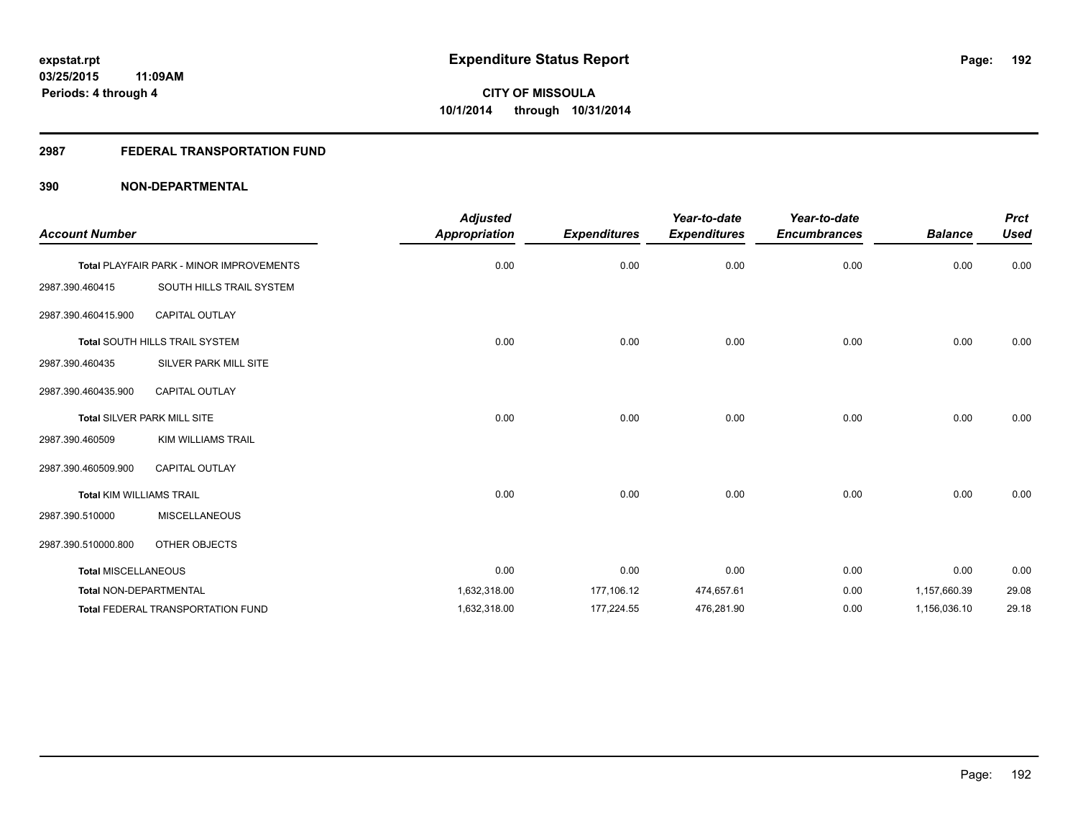## **2987 FEDERAL TRANSPORTATION FUND**

| <b>Account Number</b>           |                                          | <b>Adjusted</b><br><b>Appropriation</b> | <b>Expenditures</b> | Year-to-date<br><b>Expenditures</b> | Year-to-date<br><b>Encumbrances</b> | <b>Balance</b> | <b>Prct</b><br><b>Used</b> |
|---------------------------------|------------------------------------------|-----------------------------------------|---------------------|-------------------------------------|-------------------------------------|----------------|----------------------------|
|                                 | Total PLAYFAIR PARK - MINOR IMPROVEMENTS | 0.00                                    | 0.00                | 0.00                                | 0.00                                | 0.00           | 0.00                       |
| 2987.390.460415                 | SOUTH HILLS TRAIL SYSTEM                 |                                         |                     |                                     |                                     |                |                            |
| 2987.390.460415.900             | <b>CAPITAL OUTLAY</b>                    |                                         |                     |                                     |                                     |                |                            |
|                                 | Total SOUTH HILLS TRAIL SYSTEM           | 0.00                                    | 0.00                | 0.00                                | 0.00                                | 0.00           | 0.00                       |
| 2987.390.460435                 | SILVER PARK MILL SITE                    |                                         |                     |                                     |                                     |                |                            |
| 2987.390.460435.900             | <b>CAPITAL OUTLAY</b>                    |                                         |                     |                                     |                                     |                |                            |
|                                 | <b>Total SILVER PARK MILL SITE</b>       | 0.00                                    | 0.00                | 0.00                                | 0.00                                | 0.00           | 0.00                       |
| 2987.390.460509                 | KIM WILLIAMS TRAIL                       |                                         |                     |                                     |                                     |                |                            |
| 2987.390.460509.900             | <b>CAPITAL OUTLAY</b>                    |                                         |                     |                                     |                                     |                |                            |
| <b>Total KIM WILLIAMS TRAIL</b> |                                          | 0.00                                    | 0.00                | 0.00                                | 0.00                                | 0.00           | 0.00                       |
| 2987.390.510000                 | <b>MISCELLANEOUS</b>                     |                                         |                     |                                     |                                     |                |                            |
| 2987.390.510000.800             | OTHER OBJECTS                            |                                         |                     |                                     |                                     |                |                            |
| <b>Total MISCELLANEOUS</b>      |                                          | 0.00                                    | 0.00                | 0.00                                | 0.00                                | 0.00           | 0.00                       |
| Total NON-DEPARTMENTAL          |                                          | 1,632,318.00                            | 177,106.12          | 474,657.61                          | 0.00                                | 1,157,660.39   | 29.08                      |
|                                 | Total FEDERAL TRANSPORTATION FUND        | 1,632,318.00                            | 177,224.55          | 476,281.90                          | 0.00                                | 1,156,036.10   | 29.18                      |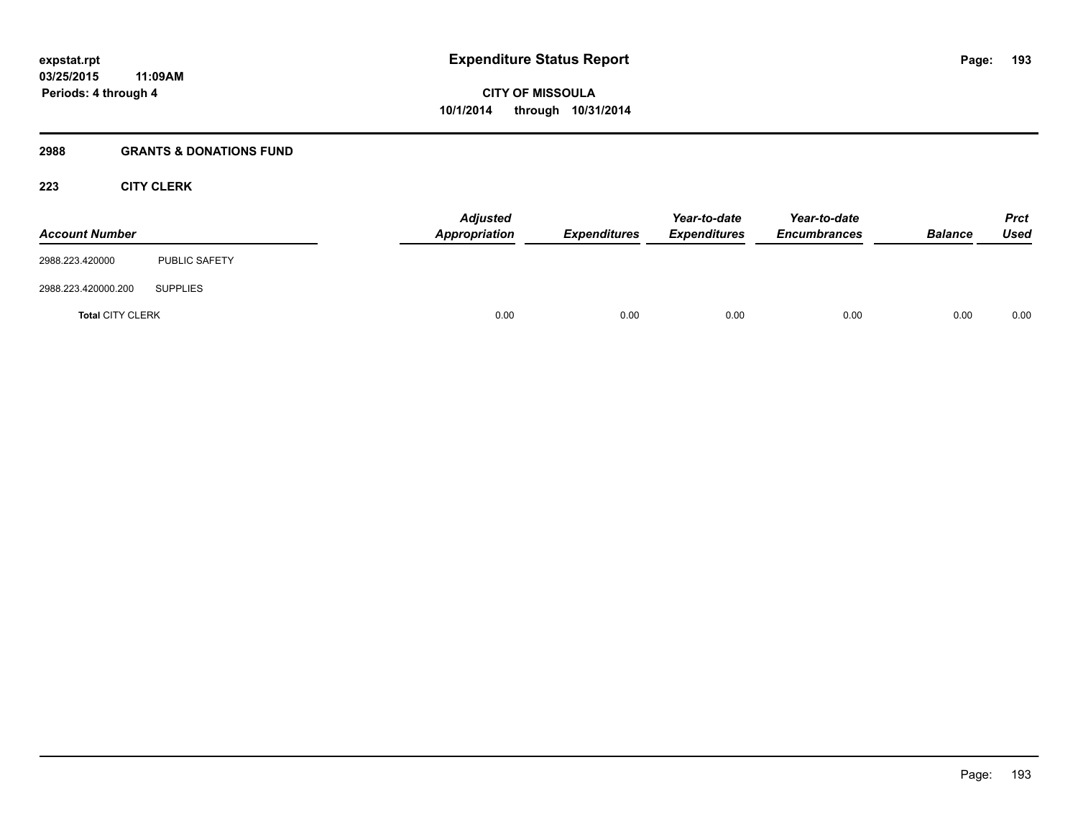## **2988 GRANTS & DONATIONS FUND**

## **223 CITY CLERK**

| <b>Account Number</b>   |                      | <b>Adjusted</b><br>Appropriation | <b>Expenditures</b> | Year-to-date<br><b>Expenditures</b> | Year-to-date<br><b>Encumbrances</b> | <b>Balance</b> | <b>Prct</b><br><b>Used</b> |
|-------------------------|----------------------|----------------------------------|---------------------|-------------------------------------|-------------------------------------|----------------|----------------------------|
| 2988.223.420000         | <b>PUBLIC SAFETY</b> |                                  |                     |                                     |                                     |                |                            |
| 2988.223.420000.200     | <b>SUPPLIES</b>      |                                  |                     |                                     |                                     |                |                            |
| <b>Total CITY CLERK</b> |                      | 0.00                             | 0.00                | 0.00                                | 0.00                                | 0.00           | 0.00                       |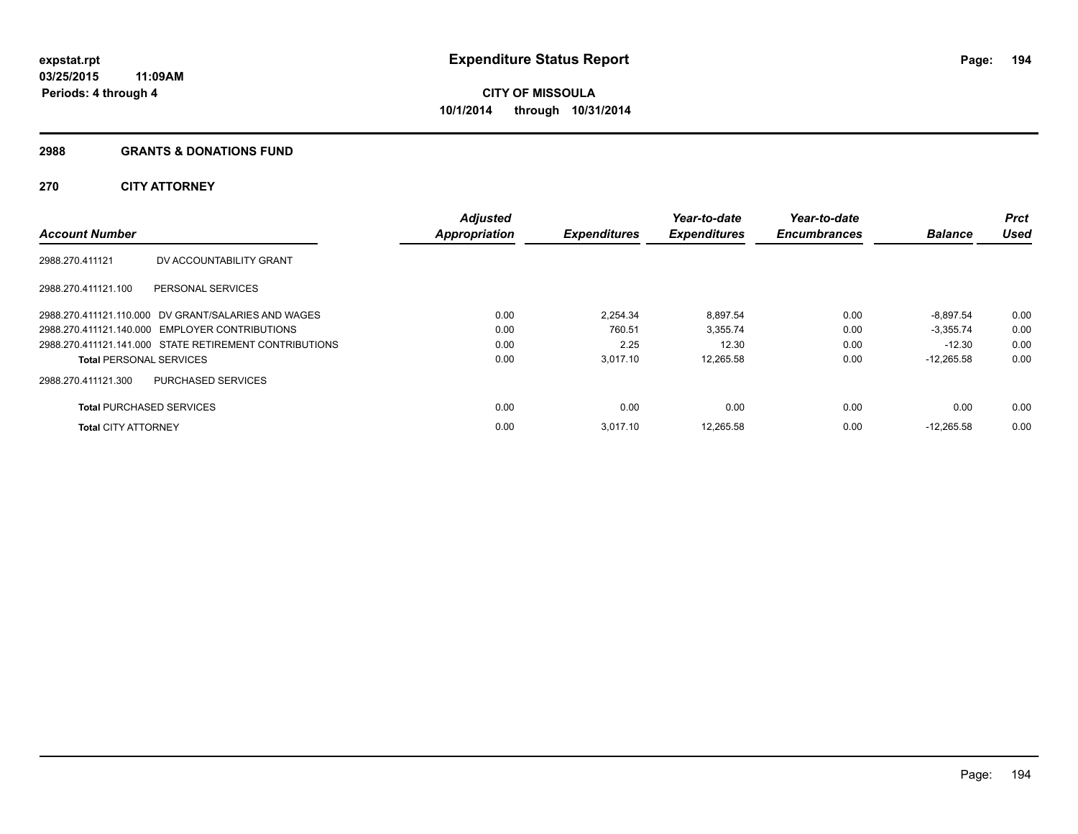#### **2988 GRANTS & DONATIONS FUND**

## **270 CITY ATTORNEY**

|                                 |                                                        | <b>Adjusted</b>      |                     | Year-to-date        | Year-to-date        |                | <b>Prct</b> |
|---------------------------------|--------------------------------------------------------|----------------------|---------------------|---------------------|---------------------|----------------|-------------|
| <b>Account Number</b>           |                                                        | <b>Appropriation</b> | <b>Expenditures</b> | <b>Expenditures</b> | <b>Encumbrances</b> | <b>Balance</b> | <b>Used</b> |
| 2988.270.411121                 | DV ACCOUNTABILITY GRANT                                |                      |                     |                     |                     |                |             |
| 2988.270.411121.100             | PERSONAL SERVICES                                      |                      |                     |                     |                     |                |             |
|                                 | 2988.270.411121.110.000 DV GRANT/SALARIES AND WAGES    | 0.00                 | 2.254.34            | 8.897.54            | 0.00                | $-8.897.54$    | 0.00        |
|                                 | 2988.270.411121.140.000 EMPLOYER CONTRIBUTIONS         | 0.00                 | 760.51              | 3,355.74            | 0.00                | $-3.355.74$    | 0.00        |
|                                 | 2988.270.411121.141.000 STATE RETIREMENT CONTRIBUTIONS | 0.00                 | 2.25                | 12.30               | 0.00                | $-12.30$       | 0.00        |
| <b>Total PERSONAL SERVICES</b>  |                                                        | 0.00                 | 3.017.10            | 12.265.58           | 0.00                | $-12.265.58$   | 0.00        |
| 2988.270.411121.300             | <b>PURCHASED SERVICES</b>                              |                      |                     |                     |                     |                |             |
| <b>Total PURCHASED SERVICES</b> |                                                        | 0.00                 | 0.00                | 0.00                | 0.00                | 0.00           | 0.00        |
| <b>Total CITY ATTORNEY</b>      |                                                        | 0.00                 | 3.017.10            | 12.265.58           | 0.00                | $-12.265.58$   | 0.00        |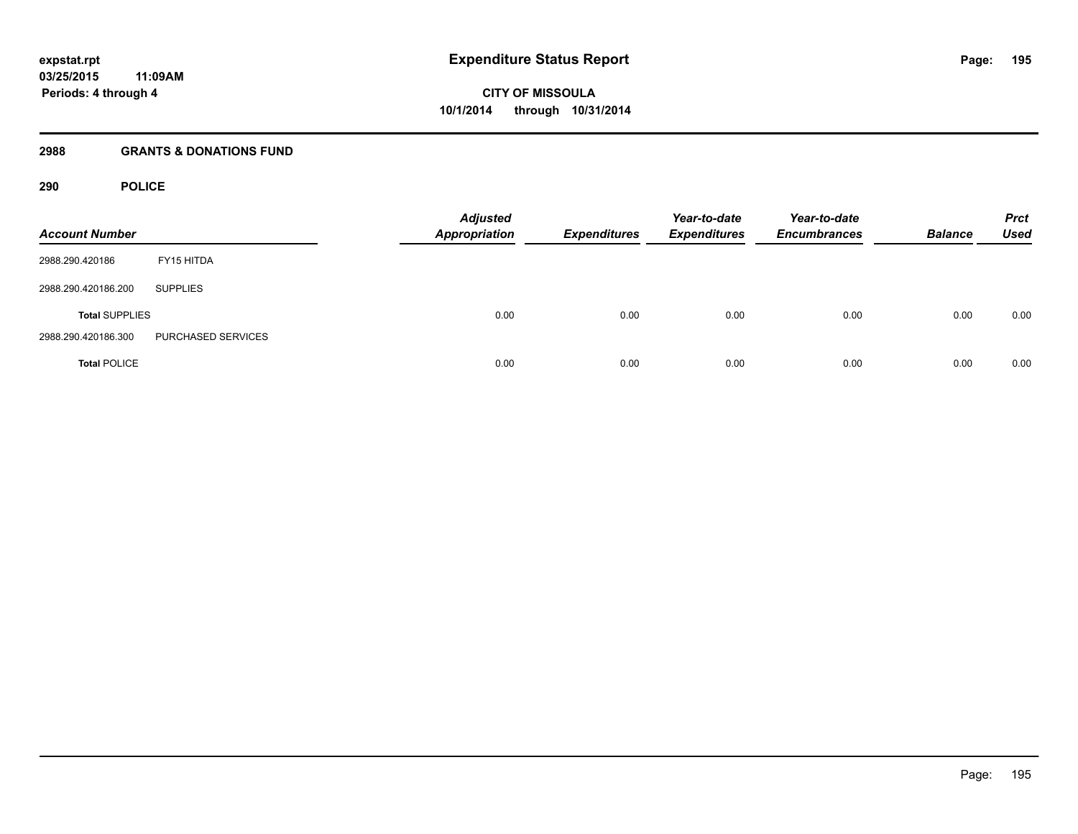## **2988 GRANTS & DONATIONS FUND**

## **290 POLICE**

| <b>Account Number</b> |                    | <b>Adjusted</b><br><b>Appropriation</b> | <b>Expenditures</b> | Year-to-date<br><b>Expenditures</b> | Year-to-date<br><b>Encumbrances</b> | <b>Balance</b> | <b>Prct</b><br><b>Used</b> |
|-----------------------|--------------------|-----------------------------------------|---------------------|-------------------------------------|-------------------------------------|----------------|----------------------------|
| 2988.290.420186       | FY15 HITDA         |                                         |                     |                                     |                                     |                |                            |
| 2988.290.420186.200   | <b>SUPPLIES</b>    |                                         |                     |                                     |                                     |                |                            |
| <b>Total SUPPLIES</b> |                    | 0.00                                    | 0.00                | 0.00                                | 0.00                                | 0.00           | 0.00                       |
| 2988.290.420186.300   | PURCHASED SERVICES |                                         |                     |                                     |                                     |                |                            |
| <b>Total POLICE</b>   |                    | 0.00                                    | 0.00                | 0.00                                | 0.00                                | 0.00           | 0.00                       |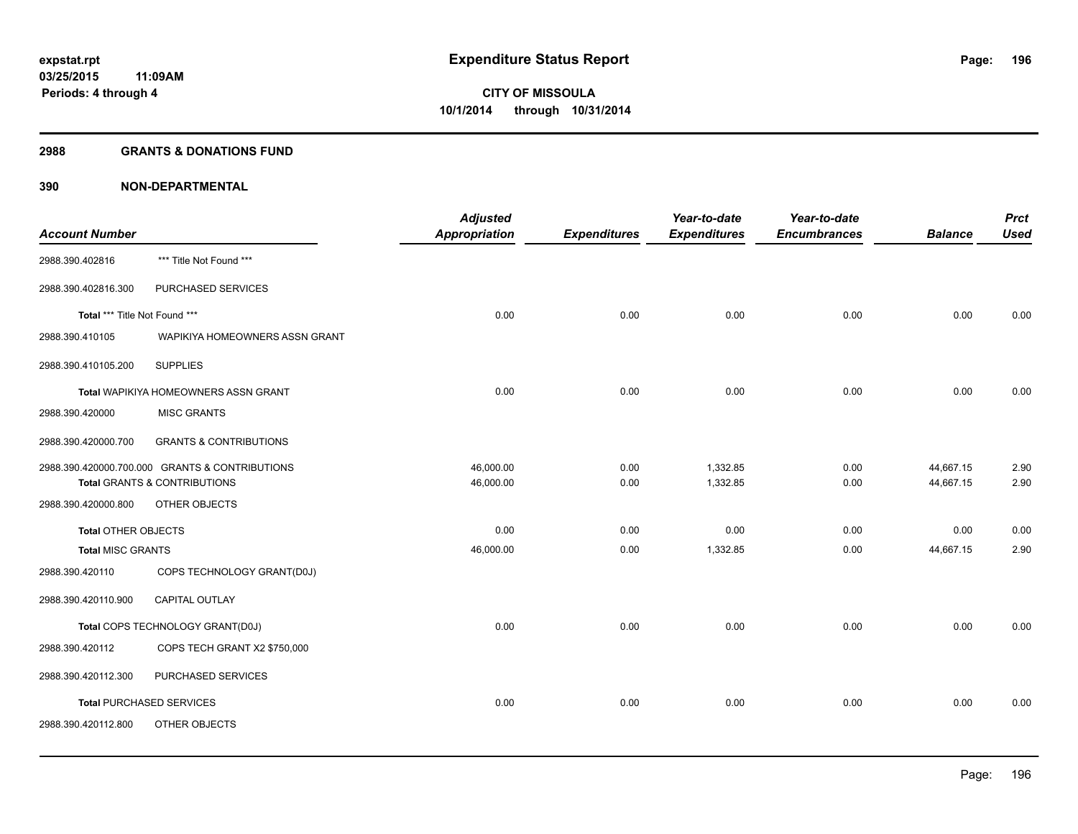#### **2988 GRANTS & DONATIONS FUND**

|                               |                                                | <b>Adjusted</b> |                     | Year-to-date        | Year-to-date        |                | <b>Prct</b> |
|-------------------------------|------------------------------------------------|-----------------|---------------------|---------------------|---------------------|----------------|-------------|
| <b>Account Number</b>         |                                                | Appropriation   | <b>Expenditures</b> | <b>Expenditures</b> | <b>Encumbrances</b> | <b>Balance</b> | <b>Used</b> |
| 2988.390.402816               | *** Title Not Found ***                        |                 |                     |                     |                     |                |             |
| 2988.390.402816.300           | PURCHASED SERVICES                             |                 |                     |                     |                     |                |             |
| Total *** Title Not Found *** |                                                | 0.00            | 0.00                | 0.00                | 0.00                | 0.00           | 0.00        |
| 2988.390.410105               | WAPIKIYA HOMEOWNERS ASSN GRANT                 |                 |                     |                     |                     |                |             |
| 2988.390.410105.200           | <b>SUPPLIES</b>                                |                 |                     |                     |                     |                |             |
|                               | Total WAPIKIYA HOMEOWNERS ASSN GRANT           | 0.00            | 0.00                | 0.00                | 0.00                | 0.00           | 0.00        |
| 2988.390.420000               | <b>MISC GRANTS</b>                             |                 |                     |                     |                     |                |             |
| 2988.390.420000.700           | <b>GRANTS &amp; CONTRIBUTIONS</b>              |                 |                     |                     |                     |                |             |
|                               | 2988.390.420000.700.000 GRANTS & CONTRIBUTIONS | 46,000.00       | 0.00                | 1,332.85            | 0.00                | 44,667.15      | 2.90        |
|                               | Total GRANTS & CONTRIBUTIONS                   | 46,000.00       | 0.00                | 1,332.85            | 0.00                | 44,667.15      | 2.90        |
| 2988.390.420000.800           | OTHER OBJECTS                                  |                 |                     |                     |                     |                |             |
| <b>Total OTHER OBJECTS</b>    |                                                | 0.00            | 0.00                | 0.00                | 0.00                | 0.00           | 0.00        |
| <b>Total MISC GRANTS</b>      |                                                | 46,000.00       | 0.00                | 1,332.85            | 0.00                | 44,667.15      | 2.90        |
| 2988.390.420110               | COPS TECHNOLOGY GRANT(D0J)                     |                 |                     |                     |                     |                |             |
| 2988.390.420110.900           | <b>CAPITAL OUTLAY</b>                          |                 |                     |                     |                     |                |             |
|                               | Total COPS TECHNOLOGY GRANT(D0J)               | 0.00            | 0.00                | 0.00                | 0.00                | 0.00           | 0.00        |
| 2988.390.420112               | COPS TECH GRANT X2 \$750,000                   |                 |                     |                     |                     |                |             |
| 2988.390.420112.300           | PURCHASED SERVICES                             |                 |                     |                     |                     |                |             |
|                               | <b>Total PURCHASED SERVICES</b>                | 0.00            | 0.00                | 0.00                | 0.00                | 0.00           | 0.00        |
| 2988.390.420112.800           | OTHER OBJECTS                                  |                 |                     |                     |                     |                |             |
|                               |                                                |                 |                     |                     |                     |                |             |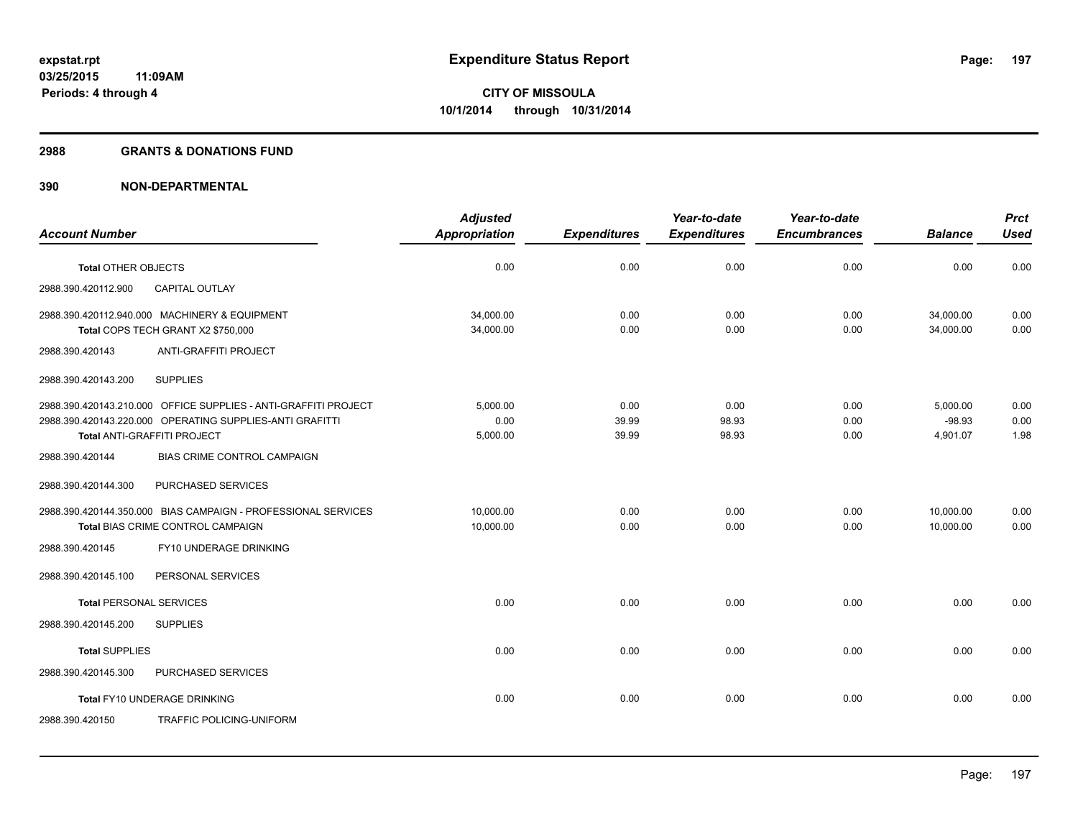#### **2988 GRANTS & DONATIONS FUND**

|                                                                                                                                                            | <b>Adjusted</b>              |                        | Year-to-date           | Year-to-date         |                                  | <b>Prct</b>          |
|------------------------------------------------------------------------------------------------------------------------------------------------------------|------------------------------|------------------------|------------------------|----------------------|----------------------------------|----------------------|
| <b>Account Number</b>                                                                                                                                      | <b>Appropriation</b>         | <b>Expenditures</b>    | <b>Expenditures</b>    | <b>Encumbrances</b>  | <b>Balance</b>                   | <b>Used</b>          |
| Total OTHER OBJECTS                                                                                                                                        | 0.00                         | 0.00                   | 0.00                   | 0.00                 | 0.00                             | 0.00                 |
| 2988.390.420112.900<br><b>CAPITAL OUTLAY</b>                                                                                                               |                              |                        |                        |                      |                                  |                      |
| 2988.390.420112.940.000 MACHINERY & EQUIPMENT                                                                                                              | 34,000.00                    | 0.00                   | 0.00<br>0.00           | 0.00                 | 34,000.00                        | 0.00<br>0.00         |
| Total COPS TECH GRANT X2 \$750,000<br>ANTI-GRAFFITI PROJECT<br>2988.390.420143                                                                             | 34,000.00                    | 0.00                   |                        | 0.00                 | 34,000.00                        |                      |
| <b>SUPPLIES</b><br>2988.390.420143.200                                                                                                                     |                              |                        |                        |                      |                                  |                      |
| 2988.390.420143.210.000 OFFICE SUPPLIES - ANTI-GRAFFITI PROJECT<br>2988.390.420143.220.000 OPERATING SUPPLIES-ANTI GRAFITTI<br>Total ANTI-GRAFFITI PROJECT | 5.000.00<br>0.00<br>5,000.00 | 0.00<br>39.99<br>39.99 | 0.00<br>98.93<br>98.93 | 0.00<br>0.00<br>0.00 | 5,000.00<br>$-98.93$<br>4,901.07 | 0.00<br>0.00<br>1.98 |
| 2988.390.420144<br><b>BIAS CRIME CONTROL CAMPAIGN</b>                                                                                                      |                              |                        |                        |                      |                                  |                      |
| 2988.390.420144.300<br>PURCHASED SERVICES                                                                                                                  |                              |                        |                        |                      |                                  |                      |
| 2988.390.420144.350.000 BIAS CAMPAIGN - PROFESSIONAL SERVICES<br>Total BIAS CRIME CONTROL CAMPAIGN                                                         | 10,000.00<br>10,000.00       | 0.00<br>0.00           | 0.00<br>0.00           | 0.00<br>0.00         | 10,000.00<br>10,000.00           | 0.00<br>0.00         |
| FY10 UNDERAGE DRINKING<br>2988.390.420145                                                                                                                  |                              |                        |                        |                      |                                  |                      |
| 2988.390.420145.100<br>PERSONAL SERVICES                                                                                                                   |                              |                        |                        |                      |                                  |                      |
| <b>Total PERSONAL SERVICES</b>                                                                                                                             | 0.00                         | 0.00                   | 0.00                   | 0.00                 | 0.00                             | 0.00                 |
| 2988.390.420145.200<br><b>SUPPLIES</b>                                                                                                                     |                              |                        |                        |                      |                                  |                      |
| <b>Total SUPPLIES</b>                                                                                                                                      | 0.00                         | 0.00                   | 0.00                   | 0.00                 | 0.00                             | 0.00                 |
| 2988.390.420145.300<br>PURCHASED SERVICES                                                                                                                  |                              |                        |                        |                      |                                  |                      |
| Total FY10 UNDERAGE DRINKING                                                                                                                               | 0.00                         | 0.00                   | 0.00                   | 0.00                 | 0.00                             | 0.00                 |
| <b>TRAFFIC POLICING-UNIFORM</b><br>2988.390.420150                                                                                                         |                              |                        |                        |                      |                                  |                      |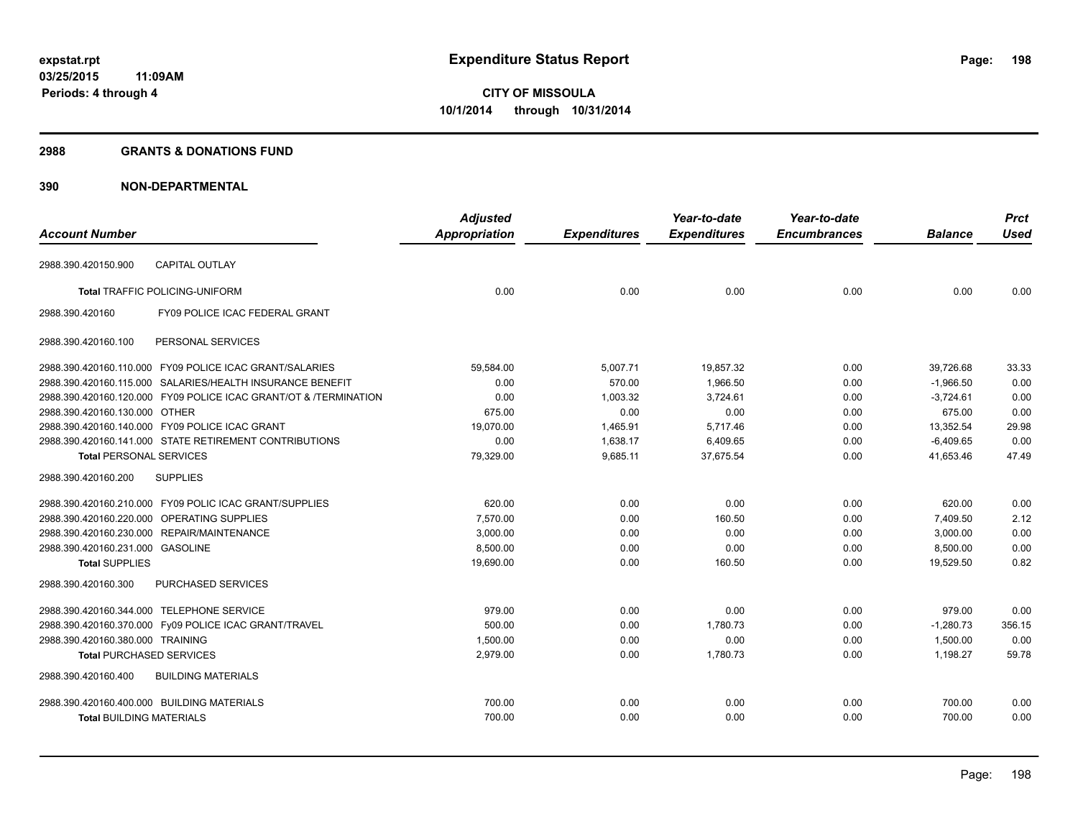#### **2988 GRANTS & DONATIONS FUND**

|                                            |                                                                  | <b>Adjusted</b>      |                     | Year-to-date        | Year-to-date        |                | <b>Prct</b> |
|--------------------------------------------|------------------------------------------------------------------|----------------------|---------------------|---------------------|---------------------|----------------|-------------|
| <b>Account Number</b>                      |                                                                  | <b>Appropriation</b> | <b>Expenditures</b> | <b>Expenditures</b> | <b>Encumbrances</b> | <b>Balance</b> | <b>Used</b> |
| 2988.390.420150.900                        | <b>CAPITAL OUTLAY</b>                                            |                      |                     |                     |                     |                |             |
|                                            | <b>Total TRAFFIC POLICING-UNIFORM</b>                            | 0.00                 | 0.00                | 0.00                | 0.00                | 0.00           | 0.00        |
| 2988.390.420160                            | FY09 POLICE ICAC FEDERAL GRANT                                   |                      |                     |                     |                     |                |             |
| 2988.390.420160.100                        | PERSONAL SERVICES                                                |                      |                     |                     |                     |                |             |
|                                            | 2988.390.420160.110.000 FY09 POLICE ICAC GRANT/SALARIES          | 59,584.00            | 5,007.71            | 19,857.32           | 0.00                | 39,726.68      | 33.33       |
|                                            | 2988.390.420160.115.000 SALARIES/HEALTH INSURANCE BENEFIT        | 0.00                 | 570.00              | 1,966.50            | 0.00                | $-1,966.50$    | 0.00        |
|                                            | 2988.390.420160.120.000 FY09 POLICE ICAC GRANT/OT & /TERMINATION | 0.00                 | 1,003.32            | 3,724.61            | 0.00                | $-3,724.61$    | 0.00        |
| 2988.390.420160.130.000 OTHER              |                                                                  | 675.00               | 0.00                | 0.00                | 0.00                | 675.00         | 0.00        |
|                                            | 2988.390.420160.140.000 FY09 POLICE ICAC GRANT                   | 19,070.00            | 1,465.91            | 5,717.46            | 0.00                | 13,352.54      | 29.98       |
|                                            | 2988.390.420160.141.000 STATE RETIREMENT CONTRIBUTIONS           | 0.00                 | 1,638.17            | 6,409.65            | 0.00                | $-6,409.65$    | 0.00        |
| <b>Total PERSONAL SERVICES</b>             |                                                                  | 79,329.00            | 9,685.11            | 37,675.54           | 0.00                | 41,653.46      | 47.49       |
| 2988.390.420160.200                        | <b>SUPPLIES</b>                                                  |                      |                     |                     |                     |                |             |
|                                            | 2988.390.420160.210.000 FY09 POLIC ICAC GRANT/SUPPLIES           | 620.00               | 0.00                | 0.00                | 0.00                | 620.00         | 0.00        |
|                                            | 2988.390.420160.220.000 OPERATING SUPPLIES                       | 7,570.00             | 0.00                | 160.50              | 0.00                | 7,409.50       | 2.12        |
|                                            | 2988.390.420160.230.000 REPAIR/MAINTENANCE                       | 3,000.00             | 0.00                | 0.00                | 0.00                | 3,000.00       | 0.00        |
| 2988.390.420160.231.000 GASOLINE           |                                                                  | 8.500.00             | 0.00                | 0.00                | 0.00                | 8.500.00       | 0.00        |
| <b>Total SUPPLIES</b>                      |                                                                  | 19,690.00            | 0.00                | 160.50              | 0.00                | 19,529.50      | 0.82        |
| 2988.390.420160.300                        | PURCHASED SERVICES                                               |                      |                     |                     |                     |                |             |
| 2988.390.420160.344.000 TELEPHONE SERVICE  |                                                                  | 979.00               | 0.00                | 0.00                | 0.00                | 979.00         | 0.00        |
|                                            | 2988.390.420160.370.000 Fy09 POLICE ICAC GRANT/TRAVEL            | 500.00               | 0.00                | 1,780.73            | 0.00                | $-1,280.73$    | 356.15      |
| 2988.390.420160.380.000 TRAINING           |                                                                  | 1,500.00             | 0.00                | 0.00                | 0.00                | 1,500.00       | 0.00        |
| <b>Total PURCHASED SERVICES</b>            |                                                                  | 2,979.00             | 0.00                | 1,780.73            | 0.00                | 1,198.27       | 59.78       |
| 2988.390.420160.400                        | <b>BUILDING MATERIALS</b>                                        |                      |                     |                     |                     |                |             |
| 2988.390.420160.400.000 BUILDING MATERIALS |                                                                  | 700.00               | 0.00                | 0.00                | 0.00                | 700.00         | 0.00        |
| <b>Total BUILDING MATERIALS</b>            |                                                                  | 700.00               | 0.00                | 0.00                | 0.00                | 700.00         | 0.00        |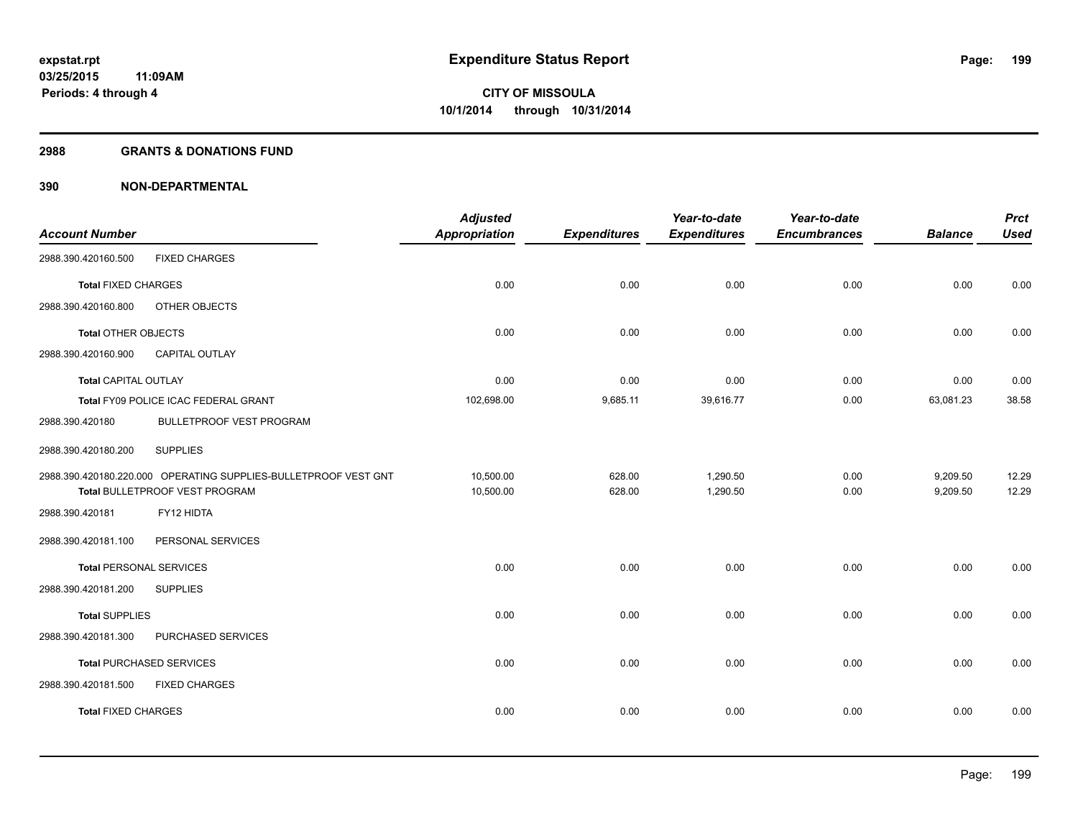#### **2988 GRANTS & DONATIONS FUND**

|                                |                                                                 | <b>Adjusted</b>      |                     | Year-to-date        | Year-to-date        |                | <b>Prct</b> |
|--------------------------------|-----------------------------------------------------------------|----------------------|---------------------|---------------------|---------------------|----------------|-------------|
| <b>Account Number</b>          |                                                                 | <b>Appropriation</b> | <b>Expenditures</b> | <b>Expenditures</b> | <b>Encumbrances</b> | <b>Balance</b> | <b>Used</b> |
| 2988.390.420160.500            | <b>FIXED CHARGES</b>                                            |                      |                     |                     |                     |                |             |
| <b>Total FIXED CHARGES</b>     |                                                                 | 0.00                 | 0.00                | 0.00                | 0.00                | 0.00           | 0.00        |
| 2988.390.420160.800            | OTHER OBJECTS                                                   |                      |                     |                     |                     |                |             |
| <b>Total OTHER OBJECTS</b>     |                                                                 | 0.00                 | 0.00                | 0.00                | 0.00                | 0.00           | 0.00        |
| 2988.390.420160.900            | <b>CAPITAL OUTLAY</b>                                           |                      |                     |                     |                     |                |             |
| <b>Total CAPITAL OUTLAY</b>    |                                                                 | 0.00                 | 0.00                | 0.00                | 0.00                | 0.00           | 0.00        |
|                                | Total FY09 POLICE ICAC FEDERAL GRANT                            | 102,698.00           | 9,685.11            | 39,616.77           | 0.00                | 63,081.23      | 38.58       |
| 2988.390.420180                | <b>BULLETPROOF VEST PROGRAM</b>                                 |                      |                     |                     |                     |                |             |
| 2988.390.420180.200            | <b>SUPPLIES</b>                                                 |                      |                     |                     |                     |                |             |
|                                | 2988.390.420180.220.000 OPERATING SUPPLIES-BULLETPROOF VEST GNT | 10,500.00            | 628.00              | 1,290.50            | 0.00                | 9,209.50       | 12.29       |
|                                | Total BULLETPROOF VEST PROGRAM                                  | 10,500.00            | 628.00              | 1,290.50            | 0.00                | 9,209.50       | 12.29       |
| 2988.390.420181                | FY12 HIDTA                                                      |                      |                     |                     |                     |                |             |
| 2988.390.420181.100            | PERSONAL SERVICES                                               |                      |                     |                     |                     |                |             |
| <b>Total PERSONAL SERVICES</b> |                                                                 | 0.00                 | 0.00                | 0.00                | 0.00                | 0.00           | 0.00        |
| 2988.390.420181.200            | <b>SUPPLIES</b>                                                 |                      |                     |                     |                     |                |             |
| <b>Total SUPPLIES</b>          |                                                                 | 0.00                 | 0.00                | 0.00                | 0.00                | 0.00           | 0.00        |
| 2988.390.420181.300            | PURCHASED SERVICES                                              |                      |                     |                     |                     |                |             |
|                                | <b>Total PURCHASED SERVICES</b>                                 | 0.00                 | 0.00                | 0.00                | 0.00                | 0.00           | 0.00        |
| 2988.390.420181.500            | <b>FIXED CHARGES</b>                                            |                      |                     |                     |                     |                |             |
| <b>Total FIXED CHARGES</b>     |                                                                 | 0.00                 | 0.00                | 0.00                | 0.00                | 0.00           | 0.00        |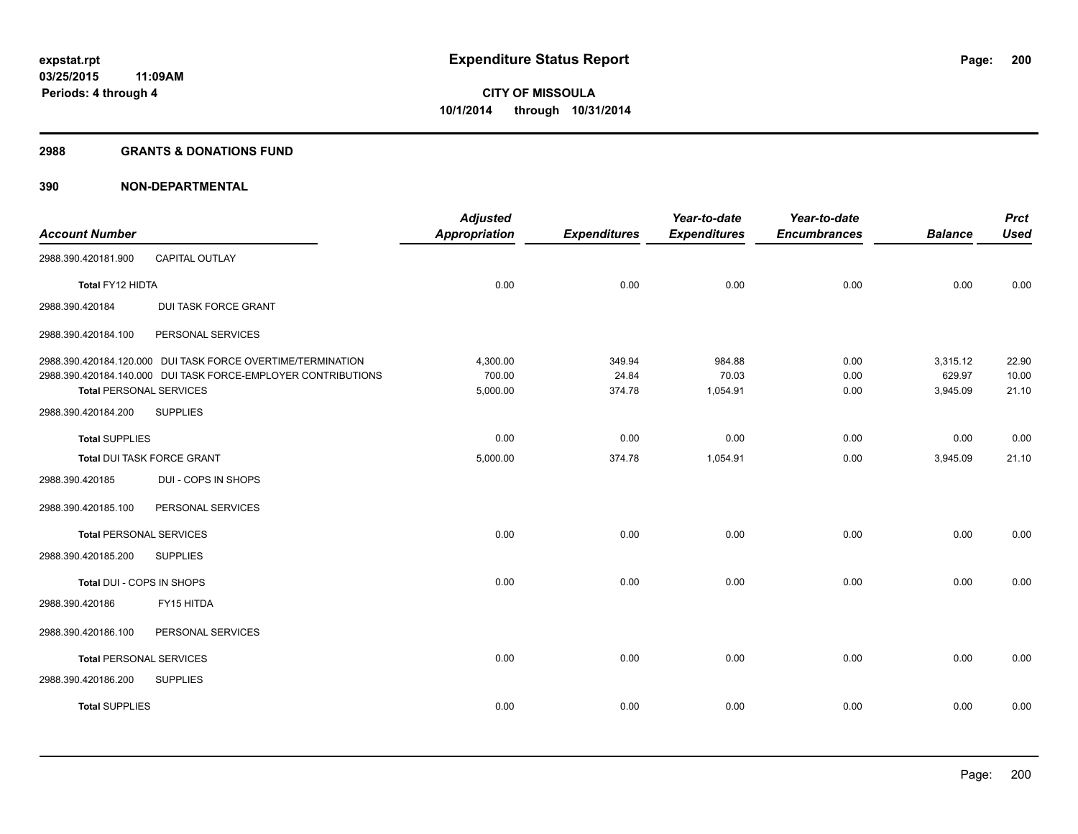#### **2988 GRANTS & DONATIONS FUND**

|                                |                                                               | <b>Adjusted</b>      |                     | Year-to-date        | Year-to-date        |                    | <b>Prct</b>    |
|--------------------------------|---------------------------------------------------------------|----------------------|---------------------|---------------------|---------------------|--------------------|----------------|
| <b>Account Number</b>          |                                                               | <b>Appropriation</b> | <b>Expenditures</b> | <b>Expenditures</b> | <b>Encumbrances</b> | <b>Balance</b>     | <b>Used</b>    |
| 2988.390.420181.900            | CAPITAL OUTLAY                                                |                      |                     |                     |                     |                    |                |
| Total FY12 HIDTA               |                                                               | 0.00                 | 0.00                | 0.00                | 0.00                | 0.00               | 0.00           |
| 2988.390.420184                | <b>DUI TASK FORCE GRANT</b>                                   |                      |                     |                     |                     |                    |                |
| 2988.390.420184.100            | PERSONAL SERVICES                                             |                      |                     |                     |                     |                    |                |
|                                | 2988.390.420184.120.000 DUI TASK FORCE OVERTIME/TERMINATION   | 4,300.00             | 349.94              | 984.88              | 0.00                | 3,315.12           | 22.90          |
| <b>Total PERSONAL SERVICES</b> | 2988.390.420184.140.000 DUI TASK FORCE-EMPLOYER CONTRIBUTIONS | 700.00<br>5,000.00   | 24.84<br>374.78     | 70.03<br>1,054.91   | 0.00<br>0.00        | 629.97<br>3,945.09 | 10.00<br>21.10 |
| 2988.390.420184.200            | <b>SUPPLIES</b>                                               |                      |                     |                     |                     |                    |                |
| <b>Total SUPPLIES</b>          |                                                               | 0.00                 | 0.00                | 0.00                | 0.00                | 0.00               | 0.00           |
| Total DUI TASK FORCE GRANT     |                                                               | 5,000.00             | 374.78              | 1,054.91            | 0.00                | 3,945.09           | 21.10          |
| 2988.390.420185                | DUI - COPS IN SHOPS                                           |                      |                     |                     |                     |                    |                |
| 2988.390.420185.100            | PERSONAL SERVICES                                             |                      |                     |                     |                     |                    |                |
| <b>Total PERSONAL SERVICES</b> |                                                               | 0.00                 | 0.00                | 0.00                | 0.00                | 0.00               | 0.00           |
| 2988.390.420185.200            | <b>SUPPLIES</b>                                               |                      |                     |                     |                     |                    |                |
| Total DUI - COPS IN SHOPS      |                                                               | 0.00                 | 0.00                | 0.00                | 0.00                | 0.00               | 0.00           |
| 2988.390.420186                | FY15 HITDA                                                    |                      |                     |                     |                     |                    |                |
| 2988.390.420186.100            | PERSONAL SERVICES                                             |                      |                     |                     |                     |                    |                |
| <b>Total PERSONAL SERVICES</b> |                                                               | 0.00                 | 0.00                | 0.00                | 0.00                | 0.00               | 0.00           |
| 2988.390.420186.200            | <b>SUPPLIES</b>                                               |                      |                     |                     |                     |                    |                |
| <b>Total SUPPLIES</b>          |                                                               | 0.00                 | 0.00                | 0.00                | 0.00                | 0.00               | 0.00           |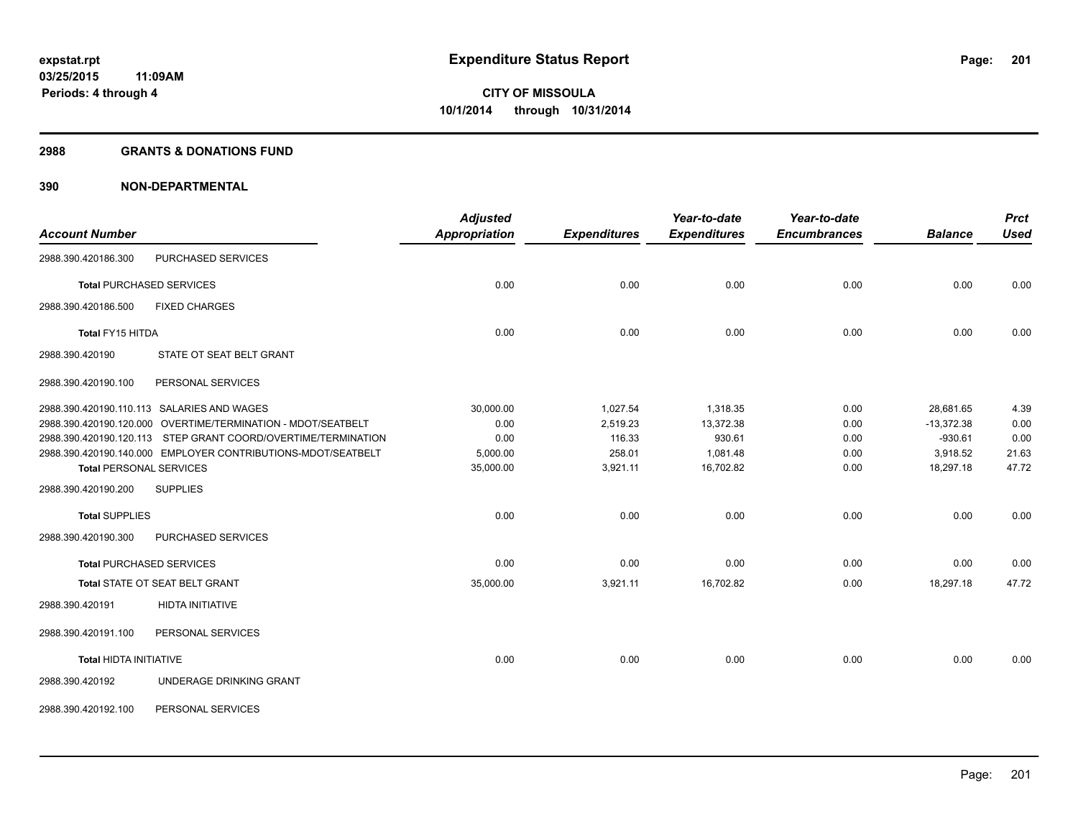#### **2988 GRANTS & DONATIONS FUND**

| <b>Account Number</b>           |                                                               | <b>Adjusted</b><br><b>Appropriation</b> | <b>Expenditures</b> | Year-to-date<br><b>Expenditures</b> | Year-to-date<br><b>Encumbrances</b> | <b>Balance</b> | <b>Prct</b><br><b>Used</b> |
|---------------------------------|---------------------------------------------------------------|-----------------------------------------|---------------------|-------------------------------------|-------------------------------------|----------------|----------------------------|
| 2988.390.420186.300             | PURCHASED SERVICES                                            |                                         |                     |                                     |                                     |                |                            |
| <b>Total PURCHASED SERVICES</b> |                                                               | 0.00                                    | 0.00                | 0.00                                | 0.00                                | 0.00           | 0.00                       |
| 2988.390.420186.500             | <b>FIXED CHARGES</b>                                          |                                         |                     |                                     |                                     |                |                            |
| Total FY15 HITDA                |                                                               | 0.00                                    | 0.00                | 0.00                                | 0.00                                | 0.00           | 0.00                       |
| 2988.390.420190                 | STATE OT SEAT BELT GRANT                                      |                                         |                     |                                     |                                     |                |                            |
| 2988.390.420190.100             | PERSONAL SERVICES                                             |                                         |                     |                                     |                                     |                |                            |
|                                 | 2988.390.420190.110.113 SALARIES AND WAGES                    | 30,000.00                               | 1,027.54            | 1,318.35                            | 0.00                                | 28,681.65      | 4.39                       |
|                                 | 2988.390.420190.120.000 OVERTIME/TERMINATION - MDOT/SEATBELT  | 0.00                                    | 2,519.23            | 13,372.38                           | 0.00                                | $-13.372.38$   | 0.00                       |
|                                 | 2988.390.420190.120.113 STEP GRANT COORD/OVERTIME/TERMINATION | 0.00                                    | 116.33              | 930.61                              | 0.00                                | $-930.61$      | 0.00                       |
|                                 | 2988.390.420190.140.000 EMPLOYER CONTRIBUTIONS-MDOT/SEATBELT  | 5,000.00                                | 258.01              | 1,081.48                            | 0.00                                | 3,918.52       | 21.63                      |
| <b>Total PERSONAL SERVICES</b>  |                                                               | 35,000.00                               | 3,921.11            | 16,702.82                           | 0.00                                | 18,297.18      | 47.72                      |
| 2988.390.420190.200             | <b>SUPPLIES</b>                                               |                                         |                     |                                     |                                     |                |                            |
| <b>Total SUPPLIES</b>           |                                                               | 0.00                                    | 0.00                | 0.00                                | 0.00                                | 0.00           | 0.00                       |
| 2988.390.420190.300             | <b>PURCHASED SERVICES</b>                                     |                                         |                     |                                     |                                     |                |                            |
| <b>Total PURCHASED SERVICES</b> |                                                               | 0.00                                    | 0.00                | 0.00                                | 0.00                                | 0.00           | 0.00                       |
|                                 | Total STATE OT SEAT BELT GRANT                                | 35,000.00                               | 3,921.11            | 16,702.82                           | 0.00                                | 18,297.18      | 47.72                      |
| 2988.390.420191                 | <b>HIDTA INITIATIVE</b>                                       |                                         |                     |                                     |                                     |                |                            |
| 2988.390.420191.100             | PERSONAL SERVICES                                             |                                         |                     |                                     |                                     |                |                            |
| <b>Total HIDTA INITIATIVE</b>   |                                                               | 0.00                                    | 0.00                | 0.00                                | 0.00                                | 0.00           | 0.00                       |
| 2988.390.420192                 | UNDERAGE DRINKING GRANT                                       |                                         |                     |                                     |                                     |                |                            |
| 2988.390.420192.100             | PERSONAL SERVICES                                             |                                         |                     |                                     |                                     |                |                            |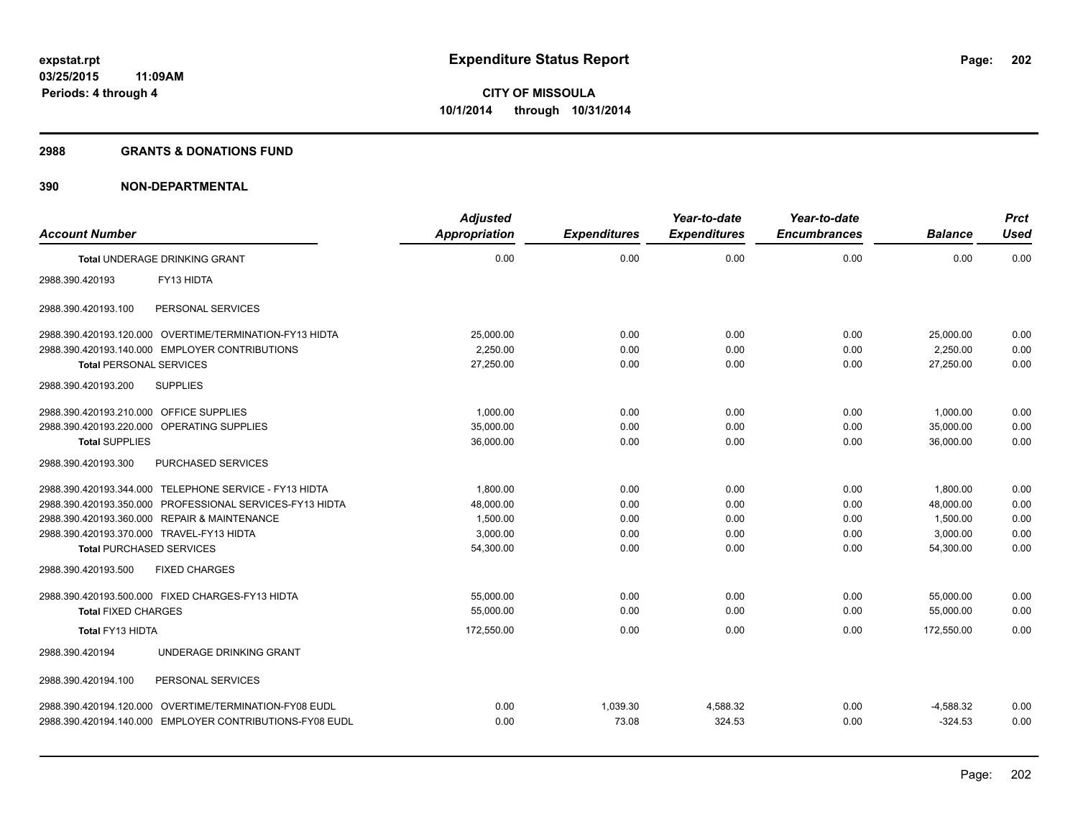#### **2988 GRANTS & DONATIONS FUND**

|                                           |                                                          | <b>Adjusted</b>      |                     | Year-to-date        | Year-to-date        |                | <b>Prct</b> |
|-------------------------------------------|----------------------------------------------------------|----------------------|---------------------|---------------------|---------------------|----------------|-------------|
| <b>Account Number</b>                     |                                                          | <b>Appropriation</b> | <b>Expenditures</b> | <b>Expenditures</b> | <b>Encumbrances</b> | <b>Balance</b> | <b>Used</b> |
|                                           | <b>Total UNDERAGE DRINKING GRANT</b>                     | 0.00                 | 0.00                | 0.00                | 0.00                | 0.00           | 0.00        |
| 2988.390.420193                           | FY13 HIDTA                                               |                      |                     |                     |                     |                |             |
| 2988.390.420193.100                       | PERSONAL SERVICES                                        |                      |                     |                     |                     |                |             |
|                                           | 2988.390.420193.120.000 OVERTIME/TERMINATION-FY13 HIDTA  | 25,000.00            | 0.00                | 0.00                | 0.00                | 25,000.00      | 0.00        |
|                                           | 2988.390.420193.140.000 EMPLOYER CONTRIBUTIONS           | 2.250.00             | 0.00                | 0.00                | 0.00                | 2.250.00       | 0.00        |
| <b>Total PERSONAL SERVICES</b>            |                                                          | 27,250.00            | 0.00                | 0.00                | 0.00                | 27,250.00      | 0.00        |
| 2988.390.420193.200                       | <b>SUPPLIES</b>                                          |                      |                     |                     |                     |                |             |
| 2988.390.420193.210.000                   | <b>OFFICE SUPPLIES</b>                                   | 1,000.00             | 0.00                | 0.00                | 0.00                | 1,000.00       | 0.00        |
| 2988.390.420193.220.000                   | <b>OPERATING SUPPLIES</b>                                | 35,000.00            | 0.00                | 0.00                | 0.00                | 35.000.00      | 0.00        |
| <b>Total SUPPLIES</b>                     |                                                          | 36,000.00            | 0.00                | 0.00                | 0.00                | 36.000.00      | 0.00        |
| 2988.390.420193.300                       | PURCHASED SERVICES                                       |                      |                     |                     |                     |                |             |
|                                           | 2988.390.420193.344.000 TELEPHONE SERVICE - FY13 HIDTA   | 1,800.00             | 0.00                | 0.00                | 0.00                | 1,800.00       | 0.00        |
|                                           | 2988.390.420193.350.000 PROFESSIONAL SERVICES-FY13 HIDTA | 48,000.00            | 0.00                | 0.00                | 0.00                | 48,000.00      | 0.00        |
|                                           | 2988.390.420193.360.000 REPAIR & MAINTENANCE             | 1,500.00             | 0.00                | 0.00                | 0.00                | 1.500.00       | 0.00        |
| 2988.390.420193.370.000 TRAVEL-FY13 HIDTA |                                                          | 3,000.00             | 0.00                | 0.00                | 0.00                | 3,000.00       | 0.00        |
| <b>Total PURCHASED SERVICES</b>           |                                                          | 54,300.00            | 0.00                | 0.00                | 0.00                | 54,300.00      | 0.00        |
| 2988.390.420193.500                       | <b>FIXED CHARGES</b>                                     |                      |                     |                     |                     |                |             |
|                                           | 2988.390.420193.500.000 FIXED CHARGES-FY13 HIDTA         | 55.000.00            | 0.00                | 0.00                | 0.00                | 55.000.00      | 0.00        |
| <b>Total FIXED CHARGES</b>                |                                                          | 55,000.00            | 0.00                | 0.00                | 0.00                | 55,000.00      | 0.00        |
| Total FY13 HIDTA                          |                                                          | 172,550.00           | 0.00                | 0.00                | 0.00                | 172.550.00     | 0.00        |
| 2988.390.420194                           | UNDERAGE DRINKING GRANT                                  |                      |                     |                     |                     |                |             |
| 2988.390.420194.100                       | PERSONAL SERVICES                                        |                      |                     |                     |                     |                |             |
|                                           | 2988.390.420194.120.000 OVERTIME/TERMINATION-FY08 EUDL   | 0.00                 | 1,039.30            | 4,588.32            | 0.00                | $-4,588.32$    | 0.00        |
|                                           | 2988.390.420194.140.000 EMPLOYER CONTRIBUTIONS-FY08 EUDL | 0.00                 | 73.08               | 324.53              | 0.00                | $-324.53$      | 0.00        |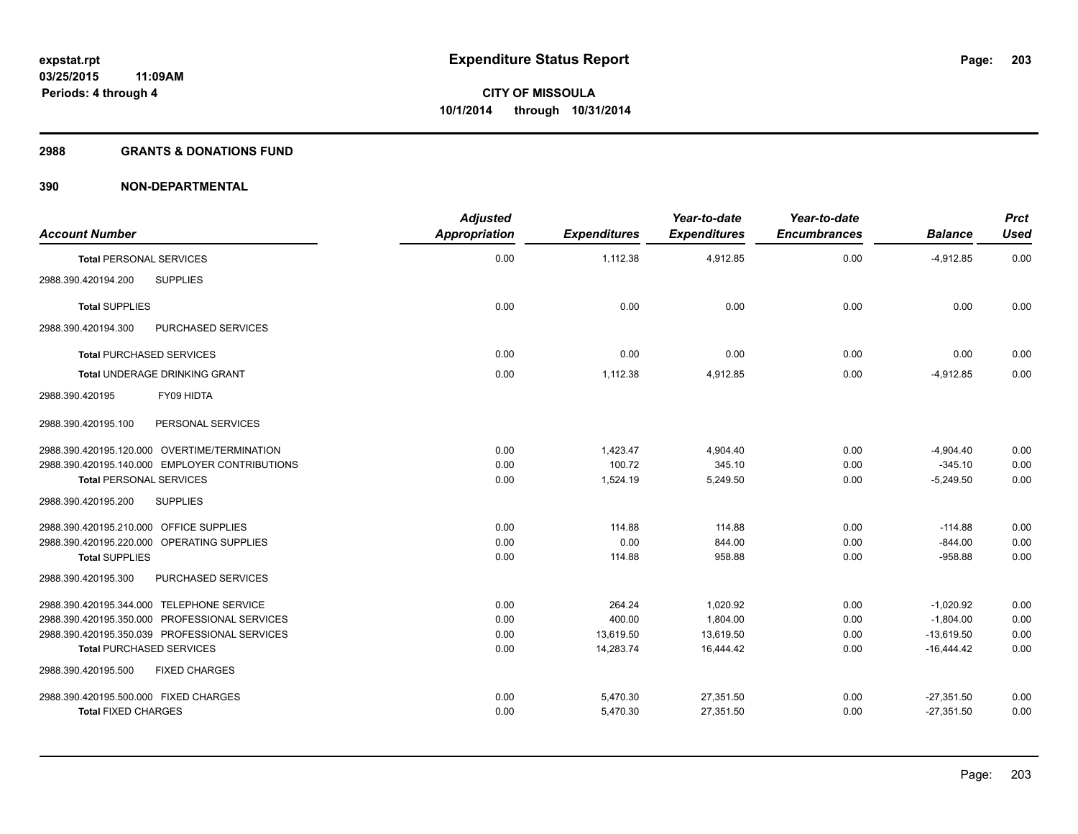#### **2988 GRANTS & DONATIONS FUND**

| <b>Account Number</b>                          | <b>Adjusted</b><br><b>Appropriation</b> | <b>Expenditures</b> | Year-to-date<br><b>Expenditures</b> | Year-to-date<br><b>Encumbrances</b> | <b>Balance</b> | <b>Prct</b><br><b>Used</b> |
|------------------------------------------------|-----------------------------------------|---------------------|-------------------------------------|-------------------------------------|----------------|----------------------------|
| <b>Total PERSONAL SERVICES</b>                 | 0.00                                    | 1,112.38            | 4,912.85                            | 0.00                                | $-4,912.85$    | 0.00                       |
| <b>SUPPLIES</b><br>2988.390.420194.200         |                                         |                     |                                     |                                     |                |                            |
| <b>Total SUPPLIES</b>                          | 0.00                                    | 0.00                | 0.00                                | 0.00                                | 0.00           | 0.00                       |
| PURCHASED SERVICES<br>2988.390.420194.300      |                                         |                     |                                     |                                     |                |                            |
| <b>Total PURCHASED SERVICES</b>                | 0.00                                    | 0.00                | 0.00                                | 0.00                                | 0.00           | 0.00                       |
| Total UNDERAGE DRINKING GRANT                  | 0.00                                    | 1,112.38            | 4,912.85                            | 0.00                                | $-4,912.85$    | 0.00                       |
| FY09 HIDTA<br>2988.390.420195                  |                                         |                     |                                     |                                     |                |                            |
| 2988.390.420195.100<br>PERSONAL SERVICES       |                                         |                     |                                     |                                     |                |                            |
| 2988.390.420195.120.000 OVERTIME/TERMINATION   | 0.00                                    | 1,423.47            | 4,904.40                            | 0.00                                | $-4,904.40$    | 0.00                       |
| 2988.390.420195.140.000 EMPLOYER CONTRIBUTIONS | 0.00                                    | 100.72              | 345.10                              | 0.00                                | $-345.10$      | 0.00                       |
| <b>Total PERSONAL SERVICES</b>                 | 0.00                                    | 1,524.19            | 5,249.50                            | 0.00                                | $-5,249.50$    | 0.00                       |
| <b>SUPPLIES</b><br>2988.390.420195.200         |                                         |                     |                                     |                                     |                |                            |
| 2988.390.420195.210.000 OFFICE SUPPLIES        | 0.00                                    | 114.88              | 114.88                              | 0.00                                | $-114.88$      | 0.00                       |
| 2988.390.420195.220.000 OPERATING SUPPLIES     | 0.00                                    | 0.00                | 844.00                              | 0.00                                | $-844.00$      | 0.00                       |
| <b>Total SUPPLIES</b>                          | 0.00                                    | 114.88              | 958.88                              | 0.00                                | $-958.88$      | 0.00                       |
| PURCHASED SERVICES<br>2988.390.420195.300      |                                         |                     |                                     |                                     |                |                            |
| 2988.390.420195.344.000 TELEPHONE SERVICE      | 0.00                                    | 264.24              | 1,020.92                            | 0.00                                | $-1,020.92$    | 0.00                       |
| 2988.390.420195.350.000 PROFESSIONAL SERVICES  | 0.00                                    | 400.00              | 1,804.00                            | 0.00                                | $-1,804.00$    | 0.00                       |
| 2988.390.420195.350.039 PROFESSIONAL SERVICES  | 0.00                                    | 13,619.50           | 13,619.50                           | 0.00                                | $-13,619.50$   | 0.00                       |
| <b>Total PURCHASED SERVICES</b>                | 0.00                                    | 14,283.74           | 16,444.42                           | 0.00                                | $-16,444.42$   | 0.00                       |
| 2988.390.420195.500<br><b>FIXED CHARGES</b>    |                                         |                     |                                     |                                     |                |                            |
| 2988.390.420195.500.000 FIXED CHARGES          | 0.00                                    | 5,470.30            | 27,351.50                           | 0.00                                | $-27,351.50$   | 0.00                       |
| <b>Total FIXED CHARGES</b>                     | 0.00                                    | 5,470.30            | 27,351.50                           | 0.00                                | $-27,351.50$   | 0.00                       |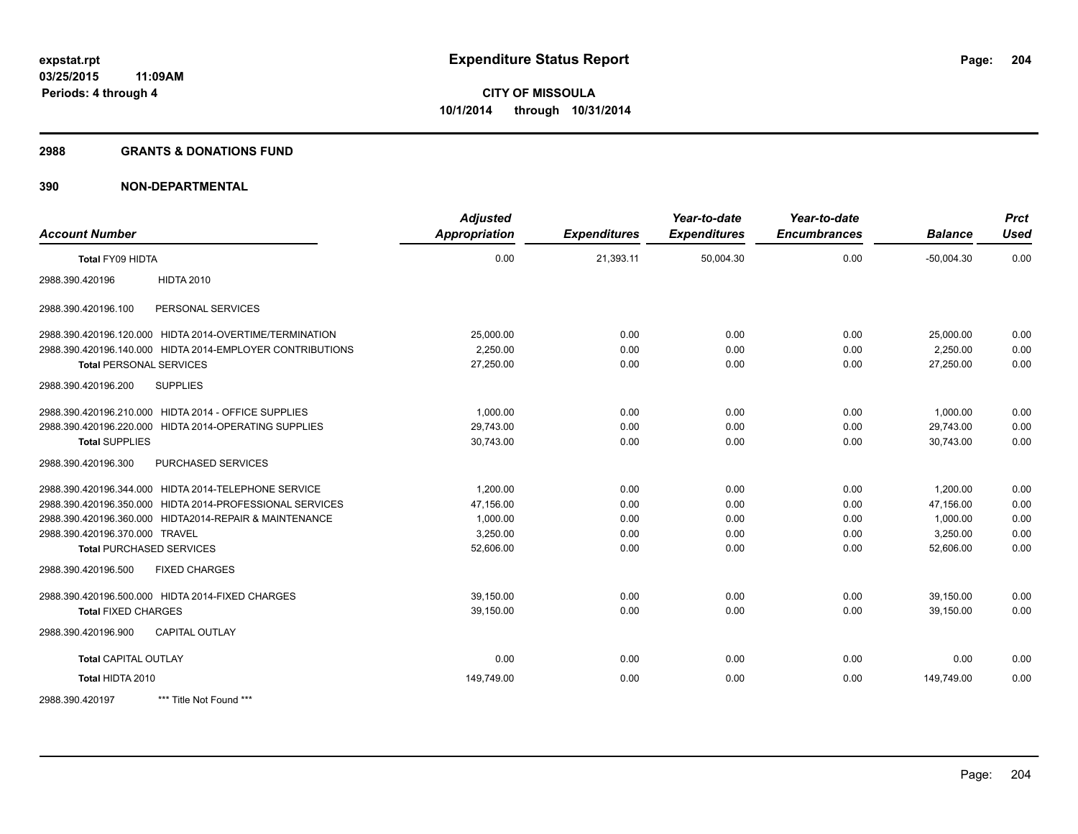#### **2988 GRANTS & DONATIONS FUND**

| <b>Account Number</b>           |                                                           | <b>Adjusted</b><br><b>Appropriation</b> | <b>Expenditures</b> | Year-to-date<br><b>Expenditures</b> | Year-to-date<br><b>Encumbrances</b> | <b>Balance</b> | <b>Prct</b><br><b>Used</b> |
|---------------------------------|-----------------------------------------------------------|-----------------------------------------|---------------------|-------------------------------------|-------------------------------------|----------------|----------------------------|
| Total FY09 HIDTA                |                                                           | 0.00                                    | 21,393.11           | 50,004.30                           | 0.00                                | $-50,004.30$   | 0.00                       |
| 2988.390.420196                 | <b>HIDTA 2010</b>                                         |                                         |                     |                                     |                                     |                |                            |
| 2988.390.420196.100             | PERSONAL SERVICES                                         |                                         |                     |                                     |                                     |                |                            |
|                                 | 2988.390.420196.120.000 HIDTA 2014-OVERTIME/TERMINATION   | 25,000.00                               | 0.00                | 0.00                                | 0.00                                | 25,000.00      | 0.00                       |
|                                 | 2988.390.420196.140.000 HIDTA 2014-EMPLOYER CONTRIBUTIONS | 2,250.00                                | 0.00                | 0.00                                | 0.00                                | 2,250.00       | 0.00                       |
| <b>Total PERSONAL SERVICES</b>  |                                                           | 27,250.00                               | 0.00                | 0.00                                | 0.00                                | 27,250.00      | 0.00                       |
| 2988.390.420196.200             | <b>SUPPLIES</b>                                           |                                         |                     |                                     |                                     |                |                            |
|                                 | 2988.390.420196.210.000 HIDTA 2014 - OFFICE SUPPLIES      | 1,000.00                                | 0.00                | 0.00                                | 0.00                                | 1,000.00       | 0.00                       |
|                                 | 2988.390.420196.220.000 HIDTA 2014-OPERATING SUPPLIES     | 29,743.00                               | 0.00                | 0.00                                | 0.00                                | 29,743.00      | 0.00                       |
| <b>Total SUPPLIES</b>           |                                                           | 30,743.00                               | 0.00                | 0.00                                | 0.00                                | 30,743.00      | 0.00                       |
| 2988.390.420196.300             | PURCHASED SERVICES                                        |                                         |                     |                                     |                                     |                |                            |
|                                 | 2988.390.420196.344.000 HIDTA 2014-TELEPHONE SERVICE      | 1.200.00                                | 0.00                | 0.00                                | 0.00                                | 1,200.00       | 0.00                       |
|                                 | 2988.390.420196.350.000 HIDTA 2014-PROFESSIONAL SERVICES  | 47,156.00                               | 0.00                | 0.00                                | 0.00                                | 47,156.00      | 0.00                       |
|                                 | 2988.390.420196.360.000 HIDTA2014-REPAIR & MAINTENANCE    | 1,000.00                                | 0.00                | 0.00                                | 0.00                                | 1,000.00       | 0.00                       |
| 2988.390.420196.370.000 TRAVEL  |                                                           | 3,250.00                                | 0.00                | 0.00                                | 0.00                                | 3,250.00       | 0.00                       |
| <b>Total PURCHASED SERVICES</b> |                                                           | 52,606.00                               | 0.00                | 0.00                                | 0.00                                | 52,606.00      | 0.00                       |
| 2988.390.420196.500             | <b>FIXED CHARGES</b>                                      |                                         |                     |                                     |                                     |                |                            |
|                                 | 2988.390.420196.500.000 HIDTA 2014-FIXED CHARGES          | 39,150.00                               | 0.00                | 0.00                                | 0.00                                | 39,150.00      | 0.00                       |
| <b>Total FIXED CHARGES</b>      |                                                           | 39,150.00                               | 0.00                | 0.00                                | 0.00                                | 39,150.00      | 0.00                       |
| 2988.390.420196.900             | <b>CAPITAL OUTLAY</b>                                     |                                         |                     |                                     |                                     |                |                            |
| <b>Total CAPITAL OUTLAY</b>     |                                                           | 0.00                                    | 0.00                | 0.00                                | 0.00                                | 0.00           | 0.00                       |
| Total HIDTA 2010                |                                                           | 149,749.00                              | 0.00                | 0.00                                | 0.00                                | 149,749.00     | 0.00                       |
| 2988.390.420197                 | *** Title Not Found ***                                   |                                         |                     |                                     |                                     |                |                            |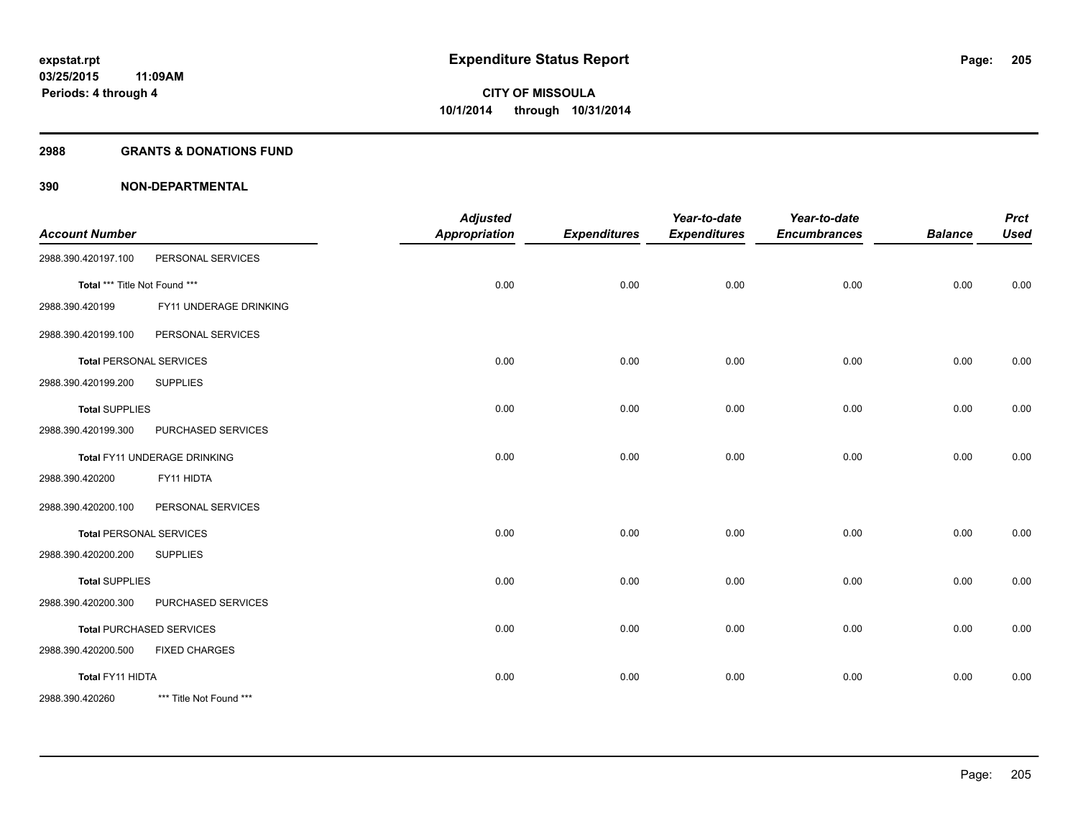#### **2988 GRANTS & DONATIONS FUND**

| <b>Account Number</b>         |                                 | <b>Adjusted</b><br><b>Appropriation</b> | <b>Expenditures</b> | Year-to-date<br><b>Expenditures</b> | Year-to-date<br><b>Encumbrances</b> | <b>Balance</b> | <b>Prct</b><br><b>Used</b> |
|-------------------------------|---------------------------------|-----------------------------------------|---------------------|-------------------------------------|-------------------------------------|----------------|----------------------------|
| 2988.390.420197.100           | PERSONAL SERVICES               |                                         |                     |                                     |                                     |                |                            |
| Total *** Title Not Found *** |                                 | 0.00                                    | 0.00                | 0.00                                | 0.00                                | 0.00           | 0.00                       |
| 2988.390.420199               | FY11 UNDERAGE DRINKING          |                                         |                     |                                     |                                     |                |                            |
| 2988.390.420199.100           | PERSONAL SERVICES               |                                         |                     |                                     |                                     |                |                            |
|                               | <b>Total PERSONAL SERVICES</b>  | 0.00                                    | 0.00                | 0.00                                | 0.00                                | 0.00           | 0.00                       |
| 2988.390.420199.200           | <b>SUPPLIES</b>                 |                                         |                     |                                     |                                     |                |                            |
| <b>Total SUPPLIES</b>         |                                 | 0.00                                    | 0.00                | 0.00                                | 0.00                                | 0.00           | 0.00                       |
| 2988.390.420199.300           | PURCHASED SERVICES              |                                         |                     |                                     |                                     |                |                            |
|                               | Total FY11 UNDERAGE DRINKING    | 0.00                                    | 0.00                | 0.00                                | 0.00                                | 0.00           | 0.00                       |
| 2988.390.420200               | FY11 HIDTA                      |                                         |                     |                                     |                                     |                |                            |
| 2988.390.420200.100           | PERSONAL SERVICES               |                                         |                     |                                     |                                     |                |                            |
|                               | <b>Total PERSONAL SERVICES</b>  | 0.00                                    | 0.00                | 0.00                                | 0.00                                | 0.00           | 0.00                       |
| 2988.390.420200.200           | <b>SUPPLIES</b>                 |                                         |                     |                                     |                                     |                |                            |
| <b>Total SUPPLIES</b>         |                                 | 0.00                                    | 0.00                | 0.00                                | 0.00                                | 0.00           | 0.00                       |
| 2988.390.420200.300           | PURCHASED SERVICES              |                                         |                     |                                     |                                     |                |                            |
|                               | <b>Total PURCHASED SERVICES</b> | 0.00                                    | 0.00                | 0.00                                | 0.00                                | 0.00           | 0.00                       |
| 2988.390.420200.500           | <b>FIXED CHARGES</b>            |                                         |                     |                                     |                                     |                |                            |
| Total FY11 HIDTA              |                                 | 0.00                                    | 0.00                | 0.00                                | 0.00                                | 0.00           | 0.00                       |
| 2988.390.420260               | *** Title Not Found ***         |                                         |                     |                                     |                                     |                |                            |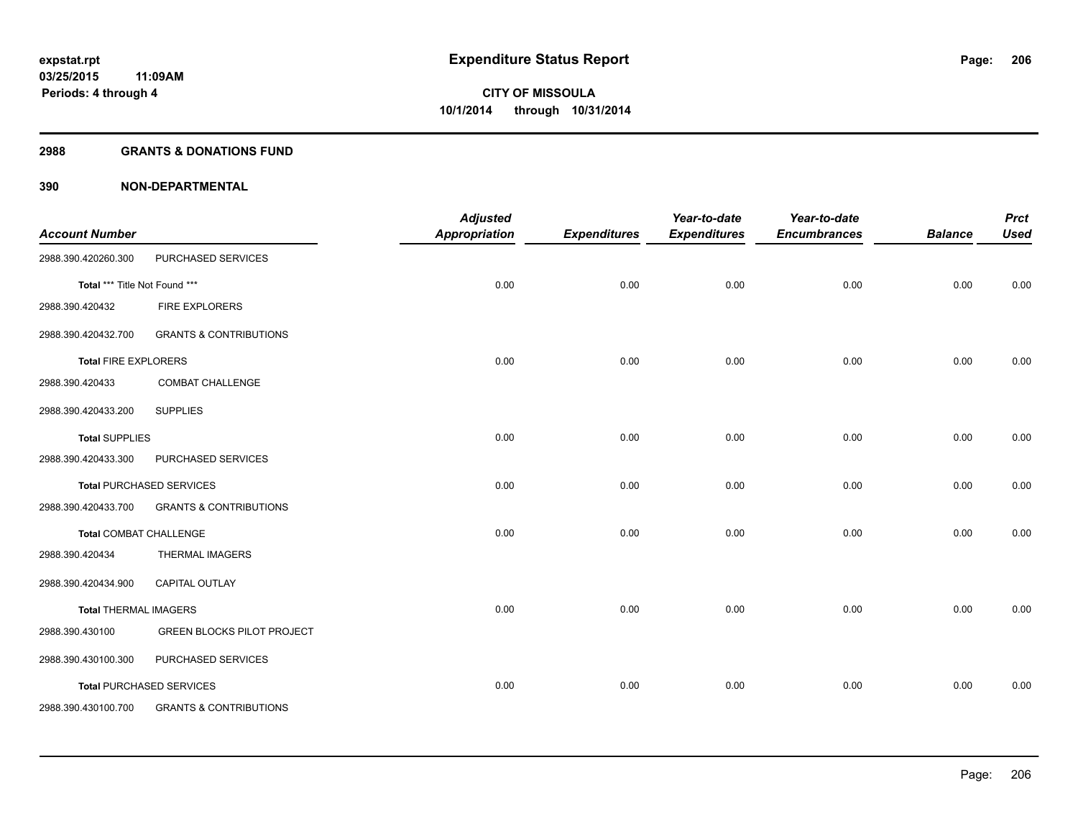#### **2988 GRANTS & DONATIONS FUND**

| <b>Account Number</b>         |                                   | <b>Adjusted</b><br><b>Appropriation</b> | <b>Expenditures</b> | Year-to-date<br><b>Expenditures</b> | Year-to-date<br><b>Encumbrances</b> | <b>Balance</b> | <b>Prct</b><br><b>Used</b> |
|-------------------------------|-----------------------------------|-----------------------------------------|---------------------|-------------------------------------|-------------------------------------|----------------|----------------------------|
| 2988.390.420260.300           | PURCHASED SERVICES                |                                         |                     |                                     |                                     |                |                            |
| Total *** Title Not Found *** |                                   | 0.00                                    | 0.00                | 0.00                                | 0.00                                | 0.00           | 0.00                       |
| 2988.390.420432               | FIRE EXPLORERS                    |                                         |                     |                                     |                                     |                |                            |
| 2988.390.420432.700           | <b>GRANTS &amp; CONTRIBUTIONS</b> |                                         |                     |                                     |                                     |                |                            |
| <b>Total FIRE EXPLORERS</b>   |                                   | 0.00                                    | 0.00                | 0.00                                | 0.00                                | 0.00           | 0.00                       |
| 2988.390.420433               | <b>COMBAT CHALLENGE</b>           |                                         |                     |                                     |                                     |                |                            |
| 2988.390.420433.200           | <b>SUPPLIES</b>                   |                                         |                     |                                     |                                     |                |                            |
| <b>Total SUPPLIES</b>         |                                   | 0.00                                    | 0.00                | 0.00                                | 0.00                                | 0.00           | 0.00                       |
| 2988.390.420433.300           | PURCHASED SERVICES                |                                         |                     |                                     |                                     |                |                            |
|                               | <b>Total PURCHASED SERVICES</b>   | 0.00                                    | 0.00                | 0.00                                | 0.00                                | 0.00           | 0.00                       |
| 2988.390.420433.700           | <b>GRANTS &amp; CONTRIBUTIONS</b> |                                         |                     |                                     |                                     |                |                            |
| <b>Total COMBAT CHALLENGE</b> |                                   | 0.00                                    | 0.00                | 0.00                                | 0.00                                | 0.00           | 0.00                       |
| 2988.390.420434               | <b>THERMAL IMAGERS</b>            |                                         |                     |                                     |                                     |                |                            |
| 2988.390.420434.900           | CAPITAL OUTLAY                    |                                         |                     |                                     |                                     |                |                            |
| <b>Total THERMAL IMAGERS</b>  |                                   | 0.00                                    | 0.00                | 0.00                                | 0.00                                | 0.00           | 0.00                       |
| 2988.390.430100               | <b>GREEN BLOCKS PILOT PROJECT</b> |                                         |                     |                                     |                                     |                |                            |
| 2988.390.430100.300           | PURCHASED SERVICES                |                                         |                     |                                     |                                     |                |                            |
|                               | <b>Total PURCHASED SERVICES</b>   | 0.00                                    | 0.00                | 0.00                                | 0.00                                | 0.00           | 0.00                       |
| 2988.390.430100.700           | <b>GRANTS &amp; CONTRIBUTIONS</b> |                                         |                     |                                     |                                     |                |                            |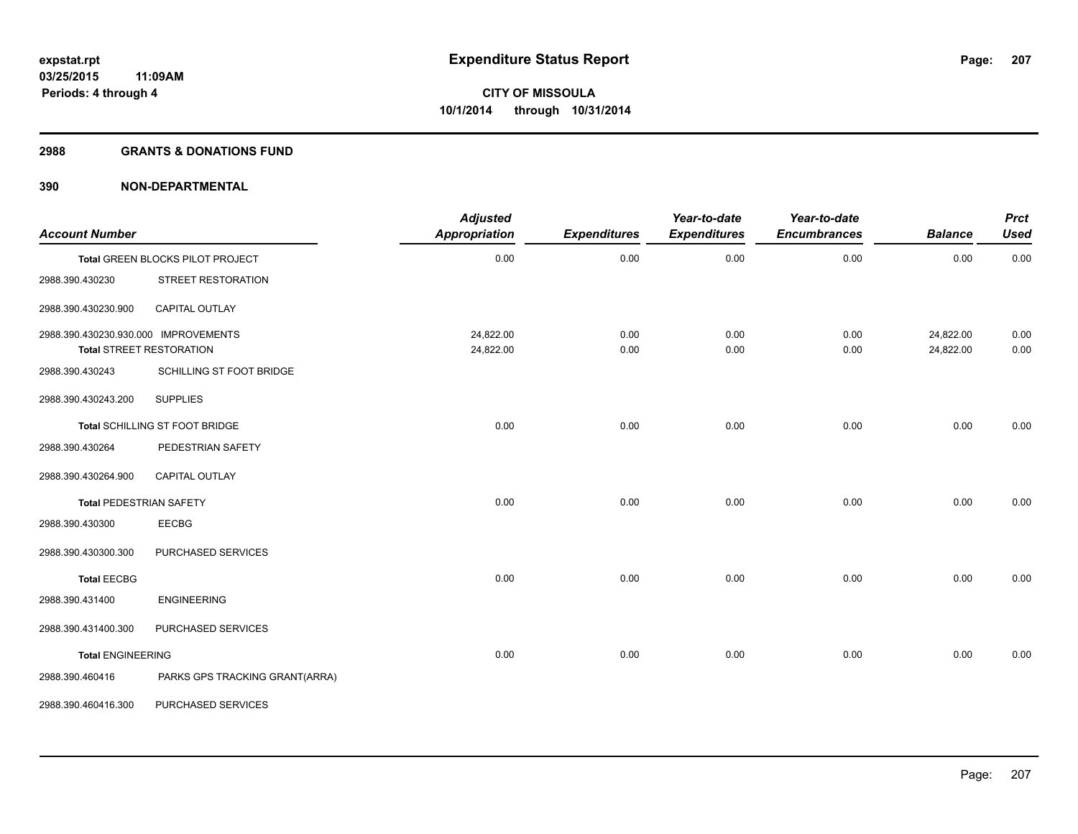#### **2988 GRANTS & DONATIONS FUND**

| <b>Account Number</b>                |                                  | <b>Adjusted</b><br>Appropriation | <b>Expenditures</b> | Year-to-date<br><b>Expenditures</b> | Year-to-date<br><b>Encumbrances</b> | <b>Balance</b>         | <b>Prct</b><br><b>Used</b> |
|--------------------------------------|----------------------------------|----------------------------------|---------------------|-------------------------------------|-------------------------------------|------------------------|----------------------------|
|                                      | Total GREEN BLOCKS PILOT PROJECT | 0.00                             | 0.00                | 0.00                                | 0.00                                | 0.00                   | 0.00                       |
| 2988.390.430230                      | STREET RESTORATION               |                                  |                     |                                     |                                     |                        |                            |
| 2988.390.430230.900                  | CAPITAL OUTLAY                   |                                  |                     |                                     |                                     |                        |                            |
| 2988.390.430230.930.000 IMPROVEMENTS | <b>Total STREET RESTORATION</b>  | 24,822.00<br>24,822.00           | 0.00<br>0.00        | 0.00<br>0.00                        | 0.00<br>0.00                        | 24,822.00<br>24,822.00 | 0.00<br>0.00               |
| 2988.390.430243                      | SCHILLING ST FOOT BRIDGE         |                                  |                     |                                     |                                     |                        |                            |
| 2988.390.430243.200                  | <b>SUPPLIES</b>                  |                                  |                     |                                     |                                     |                        |                            |
|                                      | Total SCHILLING ST FOOT BRIDGE   | 0.00                             | 0.00                | 0.00                                | 0.00                                | 0.00                   | 0.00                       |
| 2988.390.430264                      | PEDESTRIAN SAFETY                |                                  |                     |                                     |                                     |                        |                            |
| 2988.390.430264.900                  | <b>CAPITAL OUTLAY</b>            |                                  |                     |                                     |                                     |                        |                            |
| <b>Total PEDESTRIAN SAFETY</b>       |                                  | 0.00                             | 0.00                | 0.00                                | 0.00                                | 0.00                   | 0.00                       |
| 2988.390.430300                      | EECBG                            |                                  |                     |                                     |                                     |                        |                            |
| 2988.390.430300.300                  | PURCHASED SERVICES               |                                  |                     |                                     |                                     |                        |                            |
| <b>Total EECBG</b>                   |                                  | 0.00                             | 0.00                | 0.00                                | 0.00                                | 0.00                   | 0.00                       |
| 2988.390.431400                      | <b>ENGINEERING</b>               |                                  |                     |                                     |                                     |                        |                            |
| 2988.390.431400.300                  | PURCHASED SERVICES               |                                  |                     |                                     |                                     |                        |                            |
| <b>Total ENGINEERING</b>             |                                  | 0.00                             | 0.00                | 0.00                                | 0.00                                | 0.00                   | 0.00                       |
| 2988.390.460416                      | PARKS GPS TRACKING GRANT(ARRA)   |                                  |                     |                                     |                                     |                        |                            |
| 2988.390.460416.300                  | PURCHASED SERVICES               |                                  |                     |                                     |                                     |                        |                            |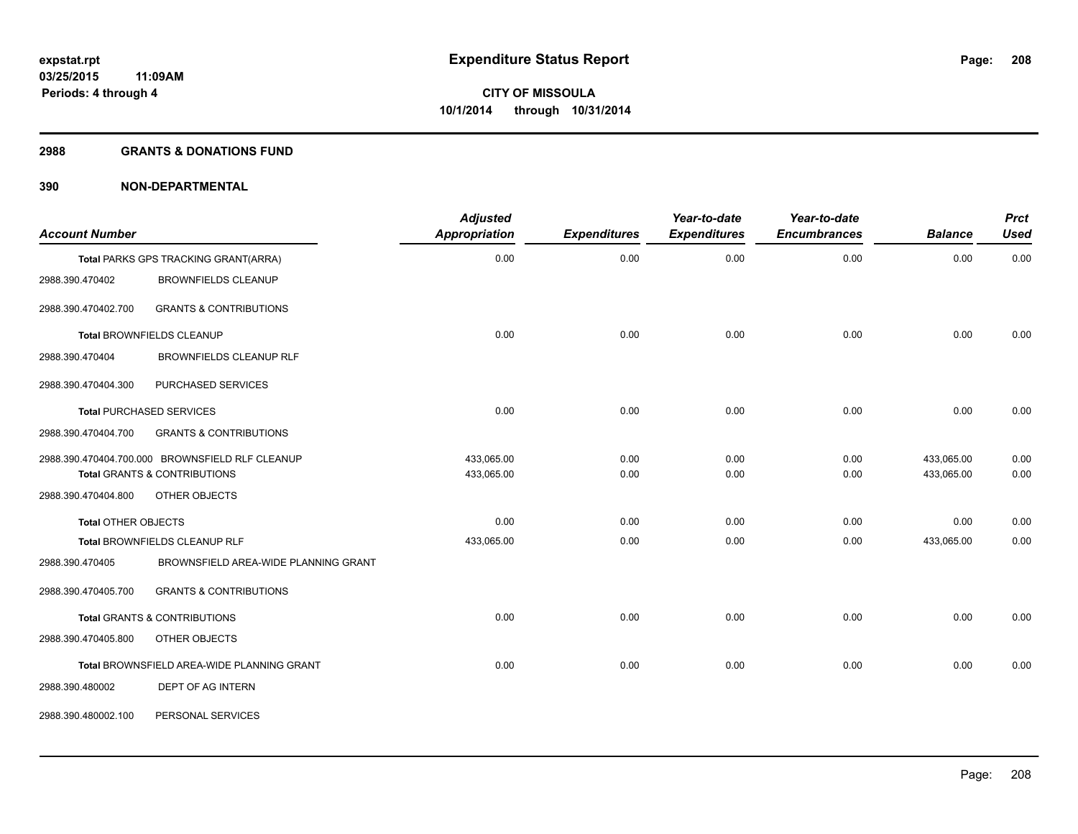#### **2988 GRANTS & DONATIONS FUND**

| <b>Account Number</b>      |                                                   | <b>Adjusted</b><br>Appropriation | <b>Expenditures</b> | Year-to-date<br><b>Expenditures</b> | Year-to-date<br><b>Encumbrances</b> | <b>Balance</b> | <b>Prct</b><br><b>Used</b> |
|----------------------------|---------------------------------------------------|----------------------------------|---------------------|-------------------------------------|-------------------------------------|----------------|----------------------------|
|                            | Total PARKS GPS TRACKING GRANT(ARRA)              | 0.00                             | 0.00                | 0.00                                | 0.00                                | 0.00           | 0.00                       |
| 2988.390.470402            | <b>BROWNFIELDS CLEANUP</b>                        |                                  |                     |                                     |                                     |                |                            |
| 2988.390.470402.700        | <b>GRANTS &amp; CONTRIBUTIONS</b>                 |                                  |                     |                                     |                                     |                |                            |
|                            | Total BROWNFIELDS CLEANUP                         | 0.00                             | 0.00                | 0.00                                | 0.00                                | 0.00           | 0.00                       |
| 2988.390.470404            | BROWNFIELDS CLEANUP RLF                           |                                  |                     |                                     |                                     |                |                            |
| 2988.390.470404.300        | PURCHASED SERVICES                                |                                  |                     |                                     |                                     |                |                            |
|                            | <b>Total PURCHASED SERVICES</b>                   | 0.00                             | 0.00                | 0.00                                | 0.00                                | 0.00           | 0.00                       |
| 2988.390.470404.700        | <b>GRANTS &amp; CONTRIBUTIONS</b>                 |                                  |                     |                                     |                                     |                |                            |
|                            | 2988.390.470404.700.000 BROWNSFIELD RLF CLEANUP   | 433,065.00                       | 0.00                | 0.00                                | 0.00                                | 433,065.00     | 0.00                       |
|                            | <b>Total GRANTS &amp; CONTRIBUTIONS</b>           | 433,065.00                       | 0.00                | 0.00                                | 0.00                                | 433,065.00     | 0.00                       |
| 2988.390.470404.800        | OTHER OBJECTS                                     |                                  |                     |                                     |                                     |                |                            |
| <b>Total OTHER OBJECTS</b> |                                                   | 0.00                             | 0.00                | 0.00                                | 0.00                                | 0.00           | 0.00                       |
|                            | Total BROWNFIELDS CLEANUP RLF                     | 433,065.00                       | 0.00                | 0.00                                | 0.00                                | 433,065.00     | 0.00                       |
| 2988.390.470405            | BROWNSFIELD AREA-WIDE PLANNING GRANT              |                                  |                     |                                     |                                     |                |                            |
| 2988.390.470405.700        | <b>GRANTS &amp; CONTRIBUTIONS</b>                 |                                  |                     |                                     |                                     |                |                            |
|                            | Total GRANTS & CONTRIBUTIONS                      | 0.00                             | 0.00                | 0.00                                | 0.00                                | 0.00           | 0.00                       |
| 2988.390.470405.800        | OTHER OBJECTS                                     |                                  |                     |                                     |                                     |                |                            |
|                            | <b>Total BROWNSFIELD AREA-WIDE PLANNING GRANT</b> | 0.00                             | 0.00                | 0.00                                | 0.00                                | 0.00           | 0.00                       |
| 2988.390.480002            | DEPT OF AG INTERN                                 |                                  |                     |                                     |                                     |                |                            |
| 2988.390.480002.100        | PERSONAL SERVICES                                 |                                  |                     |                                     |                                     |                |                            |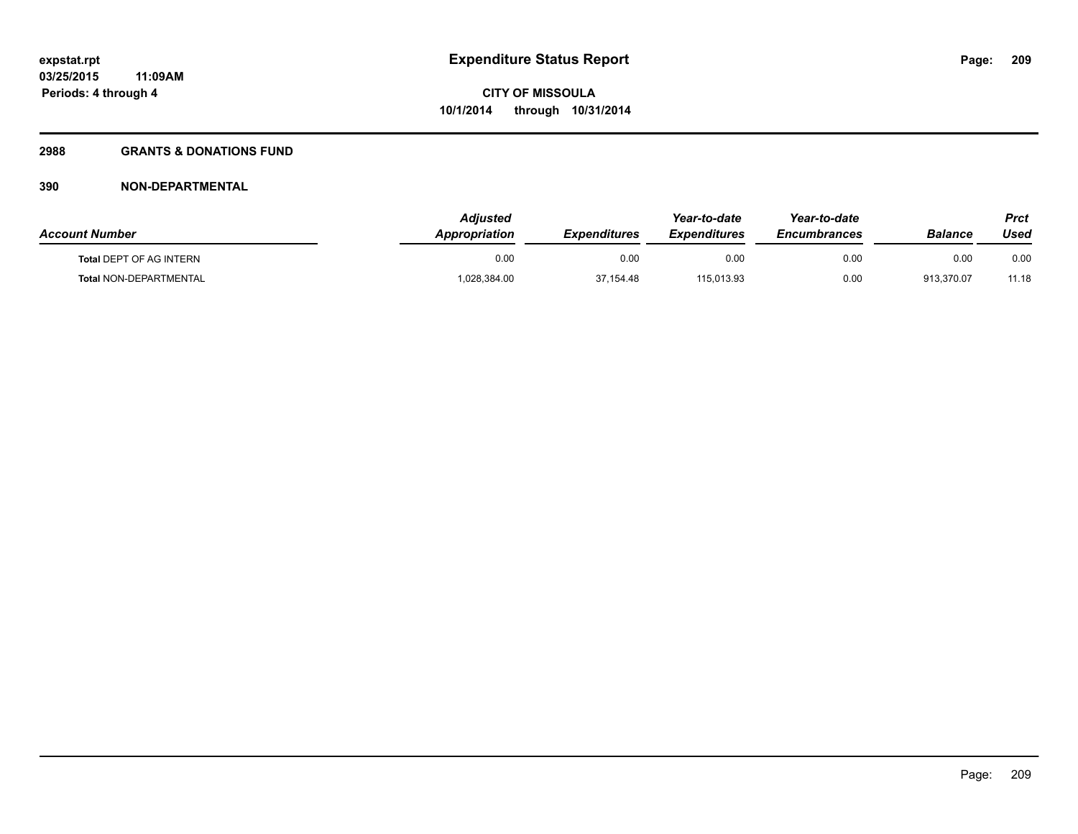## **2988 GRANTS & DONATIONS FUND**

| <b>Account Number</b>          | <b>Adiusted</b><br>Appropriation | <b>Expenditures</b> | Year-to-date<br><i><b>Expenditures</b></i> | Year-to-date<br><b>Encumbrances</b> | <b>Balance</b> | <b>Prct</b><br>Used |
|--------------------------------|----------------------------------|---------------------|--------------------------------------------|-------------------------------------|----------------|---------------------|
| <b>Total DEPT OF AG INTERN</b> | 0.00                             | 0.00                | 0.00                                       | 0.00                                | 0.00           | 0.00                |
| Total NON-DEPARTMENTAL         | 028,384.00                       | 37,154.48           | 115,013.93                                 | 0.00                                | 913.370.07     | 11.18               |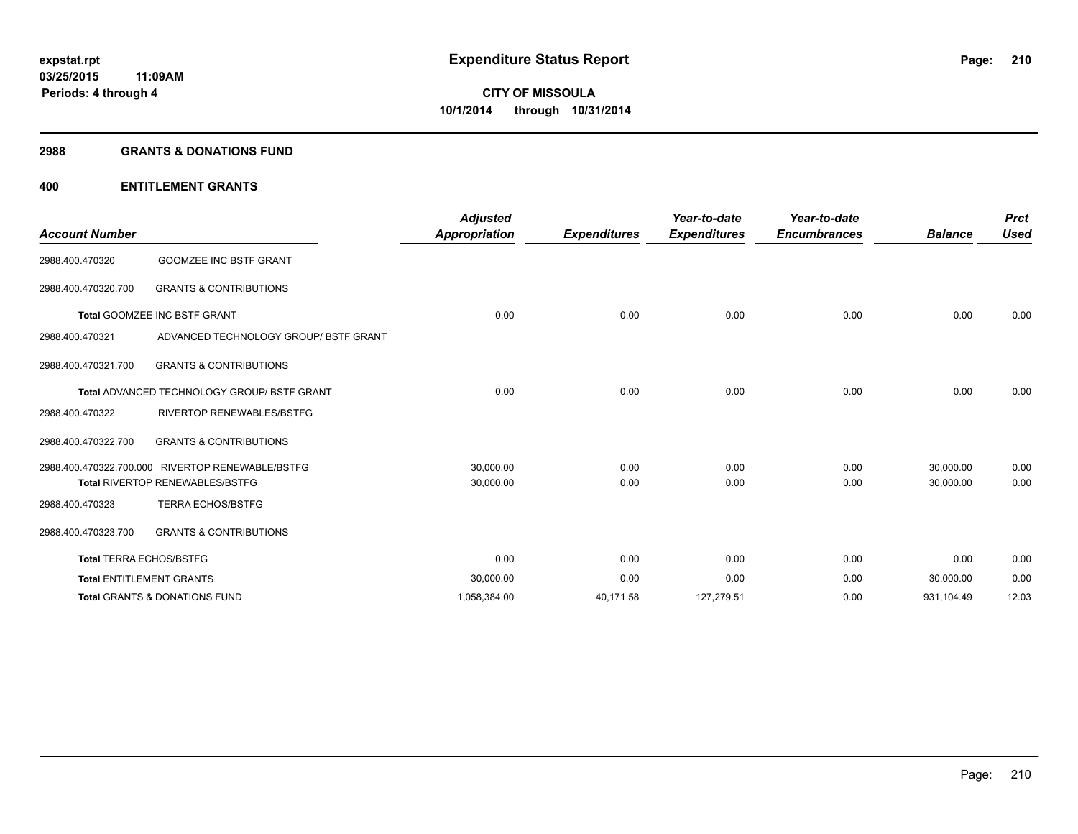#### **2988 GRANTS & DONATIONS FUND**

## **400 ENTITLEMENT GRANTS**

| <b>Account Number</b>                              |                                                  | <b>Adjusted</b><br><b>Appropriation</b><br><b>Expenditures</b> | Year-to-date<br><b>Expenditures</b> | Year-to-date<br><b>Encumbrances</b> | <b>Balance</b> | <b>Prct</b><br><b>Used</b> |       |
|----------------------------------------------------|--------------------------------------------------|----------------------------------------------------------------|-------------------------------------|-------------------------------------|----------------|----------------------------|-------|
| 2988.400.470320                                    | <b>GOOMZEE INC BSTF GRANT</b>                    |                                                                |                                     |                                     |                |                            |       |
| 2988.400.470320.700                                | <b>GRANTS &amp; CONTRIBUTIONS</b>                |                                                                |                                     |                                     |                |                            |       |
|                                                    | Total GOOMZEE INC BSTF GRANT                     | 0.00                                                           | 0.00                                | 0.00                                | 0.00           | 0.00                       | 0.00  |
| 2988.400.470321                                    | ADVANCED TECHNOLOGY GROUP/ BSTF GRANT            |                                                                |                                     |                                     |                |                            |       |
| 2988.400.470321.700                                | <b>GRANTS &amp; CONTRIBUTIONS</b>                |                                                                |                                     |                                     |                |                            |       |
| <b>Total ADVANCED TECHNOLOGY GROUP/ BSTF GRANT</b> |                                                  | 0.00                                                           | 0.00                                | 0.00                                | 0.00           | 0.00                       | 0.00  |
| 2988.400.470322                                    | <b>RIVERTOP RENEWABLES/BSTFG</b>                 |                                                                |                                     |                                     |                |                            |       |
| 2988.400.470322.700                                | <b>GRANTS &amp; CONTRIBUTIONS</b>                |                                                                |                                     |                                     |                |                            |       |
|                                                    | 2988.400.470322.700.000 RIVERTOP RENEWABLE/BSTFG | 30,000.00                                                      | 0.00                                | 0.00                                | 0.00           | 30,000.00                  | 0.00  |
|                                                    | <b>Total RIVERTOP RENEWABLES/BSTFG</b>           | 30,000.00                                                      | 0.00                                | 0.00                                | 0.00           | 30,000.00                  | 0.00  |
| 2988.400.470323                                    | <b>TERRA ECHOS/BSTFG</b>                         |                                                                |                                     |                                     |                |                            |       |
| 2988.400.470323.700                                | <b>GRANTS &amp; CONTRIBUTIONS</b>                |                                                                |                                     |                                     |                |                            |       |
| <b>Total TERRA ECHOS/BSTFG</b>                     |                                                  | 0.00                                                           | 0.00                                | 0.00                                | 0.00           | 0.00                       | 0.00  |
|                                                    | <b>Total ENTITLEMENT GRANTS</b>                  | 30,000.00                                                      | 0.00                                | 0.00                                | 0.00           | 30,000.00                  | 0.00  |
|                                                    | <b>Total GRANTS &amp; DONATIONS FUND</b>         | 1,058,384.00                                                   | 40,171.58                           | 127,279.51                          | 0.00           | 931,104.49                 | 12.03 |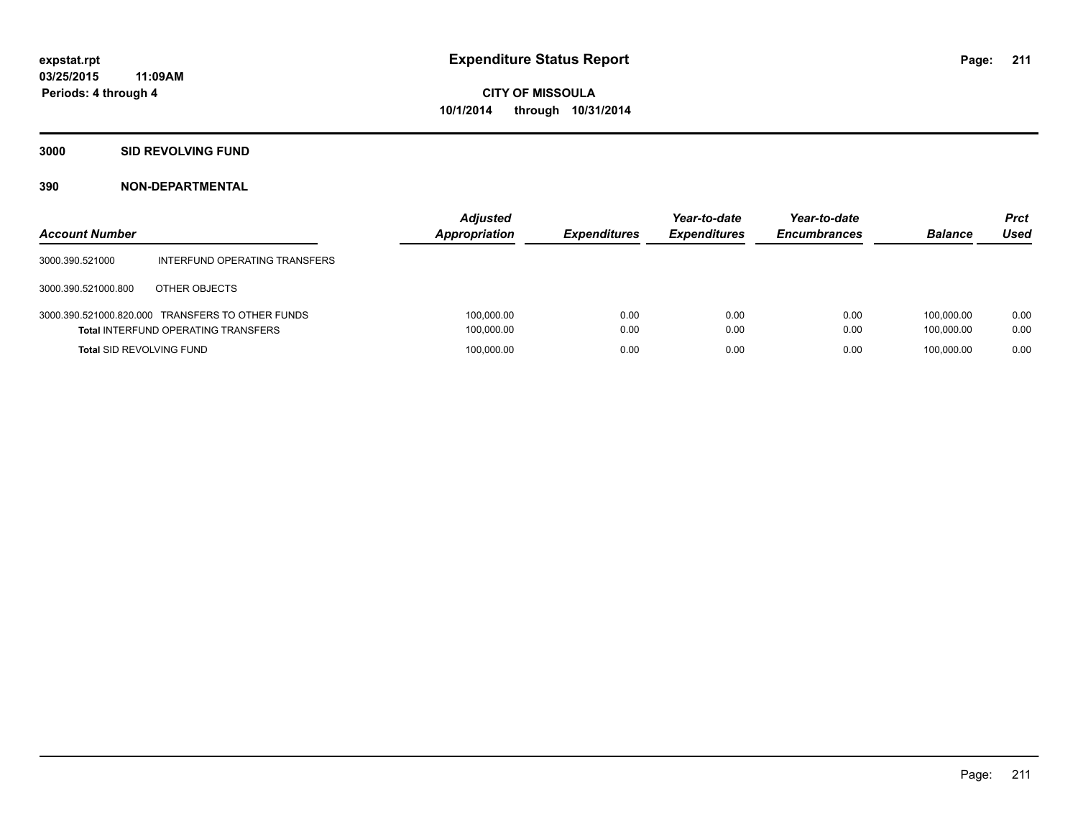## **3000 SID REVOLVING FUND**

| <b>Account Number</b>           |                                                                                                | <b>Adjusted</b><br>Appropriation | <b>Expenditures</b> | Year-to-date<br><b>Expenditures</b> | Year-to-date<br><b>Encumbrances</b> | <b>Balance</b>           | <b>Prct</b><br><b>Used</b> |
|---------------------------------|------------------------------------------------------------------------------------------------|----------------------------------|---------------------|-------------------------------------|-------------------------------------|--------------------------|----------------------------|
| 3000.390.521000                 | INTERFUND OPERATING TRANSFERS                                                                  |                                  |                     |                                     |                                     |                          |                            |
| 3000.390.521000.800             | OTHER OBJECTS                                                                                  |                                  |                     |                                     |                                     |                          |                            |
|                                 | 3000.390.521000.820.000 TRANSFERS TO OTHER FUNDS<br><b>Total INTERFUND OPERATING TRANSFERS</b> | 100,000.00<br>100,000.00         | 0.00<br>0.00        | 0.00<br>0.00                        | 0.00<br>0.00                        | 100.000.00<br>100.000.00 | 0.00<br>0.00               |
| <b>Total SID REVOLVING FUND</b> |                                                                                                | 100,000.00                       | 0.00                | 0.00                                | 0.00                                | 100.000.00               | 0.00                       |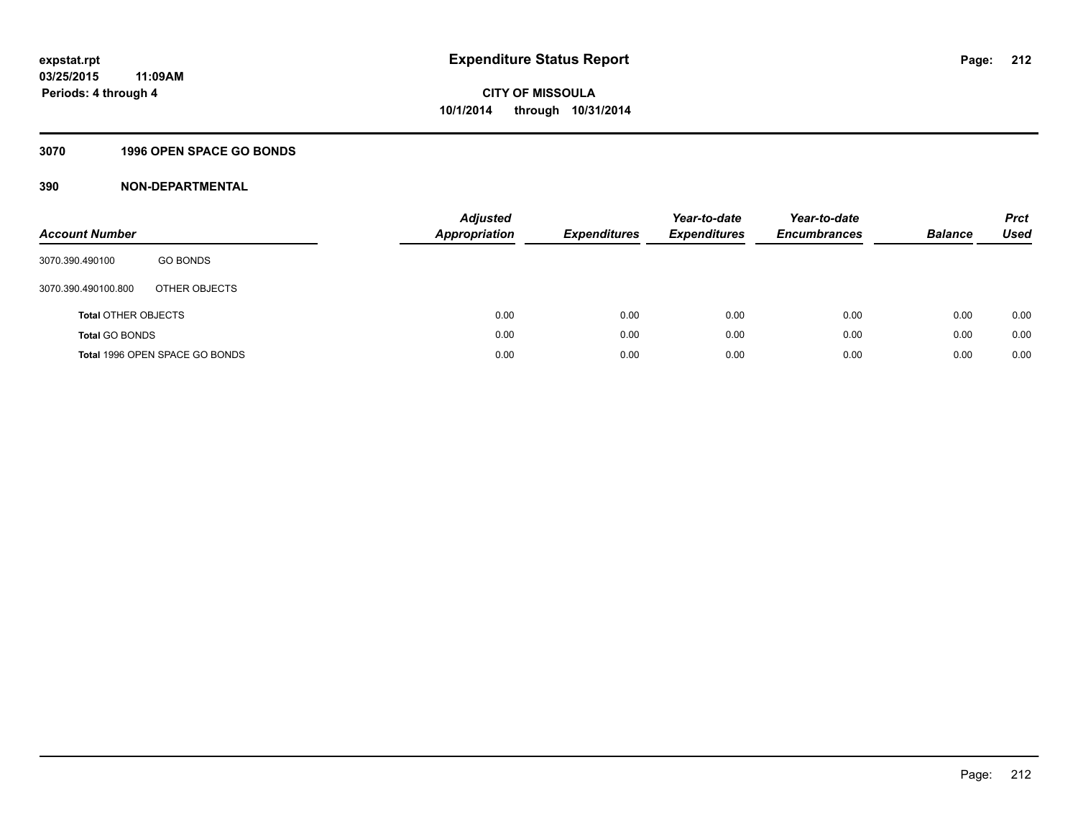## **3070 1996 OPEN SPACE GO BONDS**

| <b>Account Number</b>      |                                | Adjusted<br><b>Appropriation</b> | <b>Expenditures</b> | Year-to-date<br><b>Expenditures</b> | Year-to-date<br><b>Encumbrances</b> | <b>Balance</b> | <b>Prct</b><br>Used |
|----------------------------|--------------------------------|----------------------------------|---------------------|-------------------------------------|-------------------------------------|----------------|---------------------|
| 3070.390.490100            | <b>GO BONDS</b>                |                                  |                     |                                     |                                     |                |                     |
| 3070.390.490100.800        | OTHER OBJECTS                  |                                  |                     |                                     |                                     |                |                     |
| <b>Total OTHER OBJECTS</b> |                                | 0.00                             | 0.00                | 0.00                                | 0.00                                | 0.00           | 0.00                |
| <b>Total GO BONDS</b>      |                                | 0.00                             | 0.00                | 0.00                                | 0.00                                | 0.00           | 0.00                |
|                            | Total 1996 OPEN SPACE GO BONDS | 0.00                             | 0.00                | 0.00                                | 0.00                                | 0.00           | 0.00                |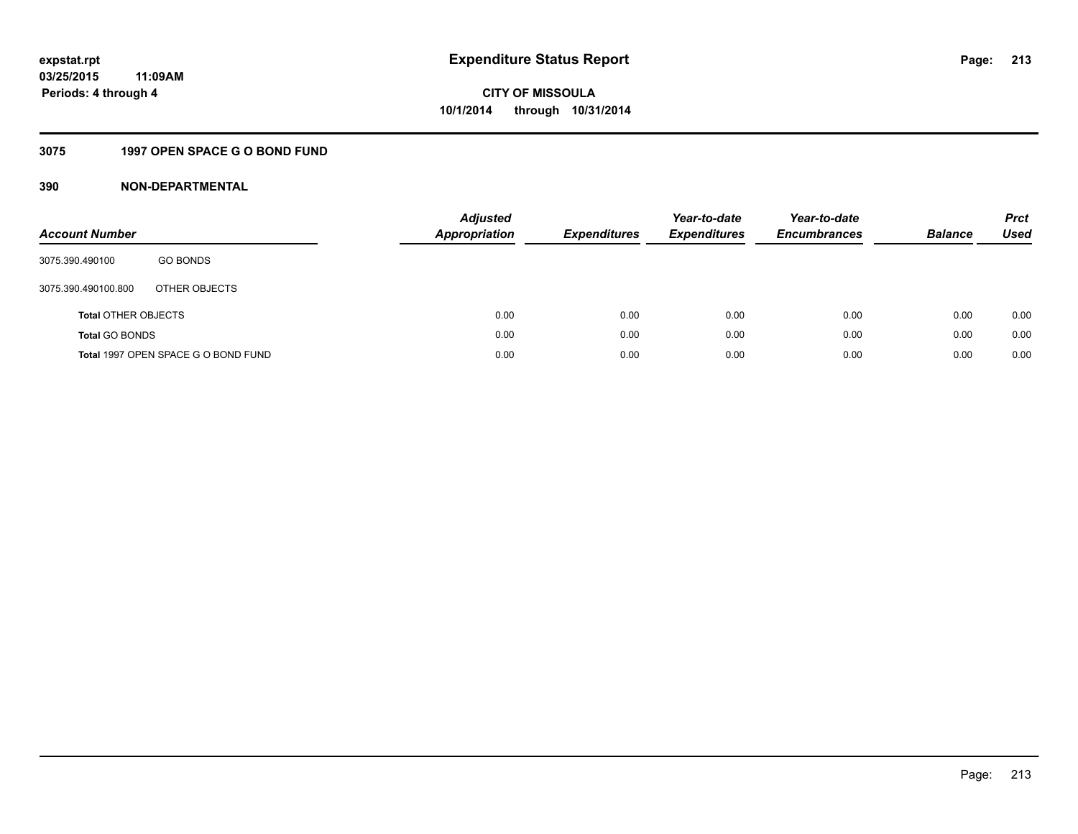## **3075 1997 OPEN SPACE G O BOND FUND**

| <b>Account Number</b>      |                                     | <b>Adjusted</b><br>Appropriation | <b>Expenditures</b> | Year-to-date<br><b>Expenditures</b> | Year-to-date<br><b>Encumbrances</b> | <b>Balance</b> | <b>Prct</b><br>Used |
|----------------------------|-------------------------------------|----------------------------------|---------------------|-------------------------------------|-------------------------------------|----------------|---------------------|
| 3075.390.490100            | <b>GO BONDS</b>                     |                                  |                     |                                     |                                     |                |                     |
| 3075.390.490100.800        | OTHER OBJECTS                       |                                  |                     |                                     |                                     |                |                     |
| <b>Total OTHER OBJECTS</b> |                                     | 0.00                             | 0.00                | 0.00                                | 0.00                                | 0.00           | 0.00                |
| <b>Total GO BONDS</b>      |                                     | 0.00                             | 0.00                | 0.00                                | 0.00                                | 0.00           | 0.00                |
|                            | Total 1997 OPEN SPACE G O BOND FUND | 0.00                             | 0.00                | 0.00                                | 0.00                                | 0.00           | 0.00                |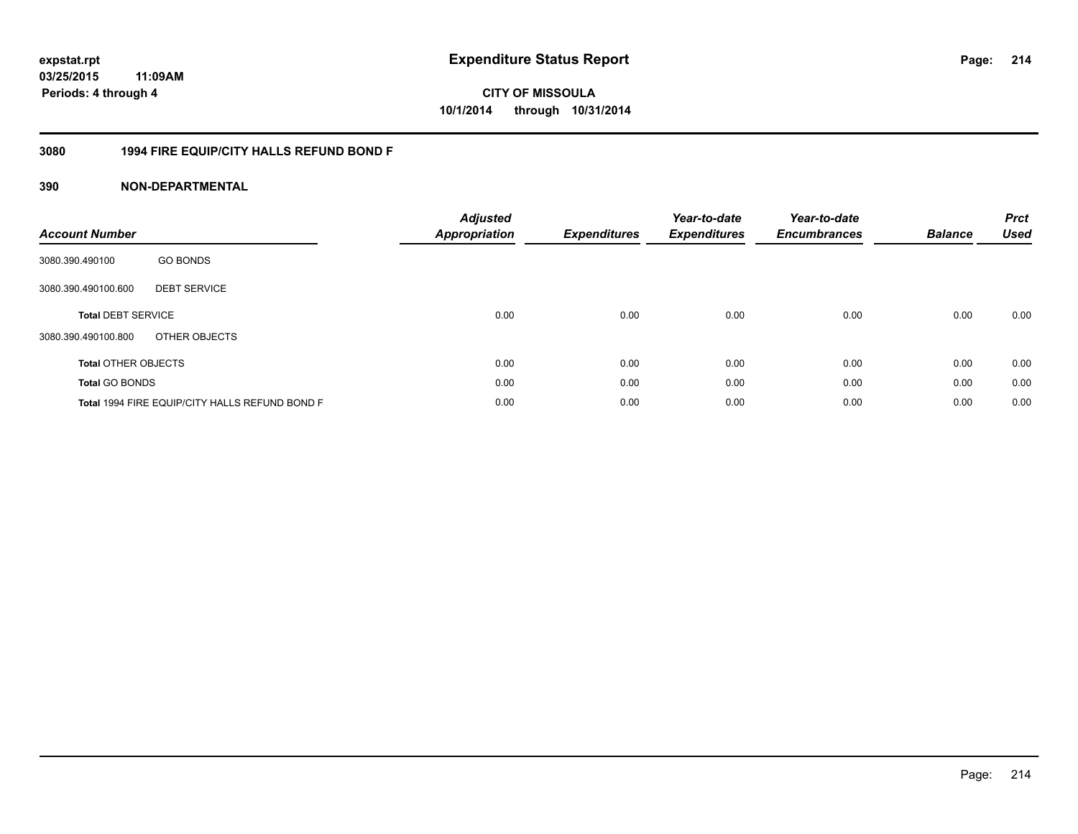**CITY OF MISSOULA 10/1/2014 through 10/31/2014**

## **3080 1994 FIRE EQUIP/CITY HALLS REFUND BOND F**

| <b>Account Number</b>      |                                                | <b>Adjusted</b><br><b>Appropriation</b> | <b>Expenditures</b> | Year-to-date<br><b>Expenditures</b> | Year-to-date<br><b>Encumbrances</b> | <b>Balance</b> | <b>Prct</b><br><b>Used</b> |
|----------------------------|------------------------------------------------|-----------------------------------------|---------------------|-------------------------------------|-------------------------------------|----------------|----------------------------|
| 3080.390.490100            | <b>GO BONDS</b>                                |                                         |                     |                                     |                                     |                |                            |
| 3080.390.490100.600        | <b>DEBT SERVICE</b>                            |                                         |                     |                                     |                                     |                |                            |
| <b>Total DEBT SERVICE</b>  |                                                | 0.00                                    | 0.00                | 0.00                                | 0.00                                | 0.00           | 0.00                       |
| 3080.390.490100.800        | OTHER OBJECTS                                  |                                         |                     |                                     |                                     |                |                            |
| <b>Total OTHER OBJECTS</b> |                                                | 0.00                                    | 0.00                | 0.00                                | 0.00                                | 0.00           | 0.00                       |
| <b>Total GO BONDS</b>      |                                                | 0.00                                    | 0.00                | 0.00                                | 0.00                                | 0.00           | 0.00                       |
|                            | Total 1994 FIRE EQUIP/CITY HALLS REFUND BOND F | 0.00                                    | 0.00                | 0.00                                | 0.00                                | 0.00           | 0.00                       |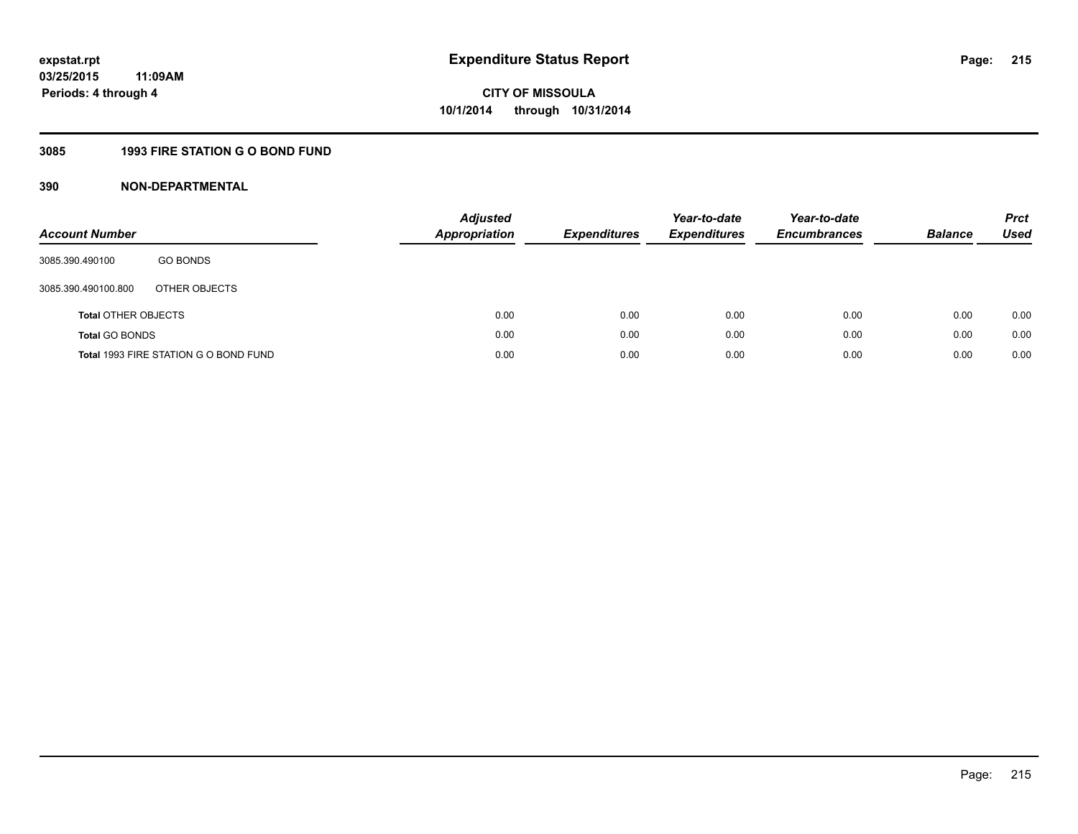## **3085 1993 FIRE STATION G O BOND FUND**

| <b>Account Number</b>      |                                       | <b>Adjusted</b><br>Appropriation | <b>Expenditures</b> | Year-to-date<br><b>Expenditures</b> | Year-to-date<br><b>Encumbrances</b> | <b>Balance</b> | <b>Prct</b><br>Used |
|----------------------------|---------------------------------------|----------------------------------|---------------------|-------------------------------------|-------------------------------------|----------------|---------------------|
| 3085.390.490100            | <b>GO BONDS</b>                       |                                  |                     |                                     |                                     |                |                     |
| 3085.390.490100.800        | OTHER OBJECTS                         |                                  |                     |                                     |                                     |                |                     |
| <b>Total OTHER OBJECTS</b> |                                       | 0.00                             | 0.00                | 0.00                                | 0.00                                | 0.00           | 0.00                |
| <b>Total GO BONDS</b>      |                                       | 0.00                             | 0.00                | 0.00                                | 0.00                                | 0.00           | 0.00                |
|                            | Total 1993 FIRE STATION G O BOND FUND | 0.00                             | 0.00                | 0.00                                | 0.00                                | 0.00           | 0.00                |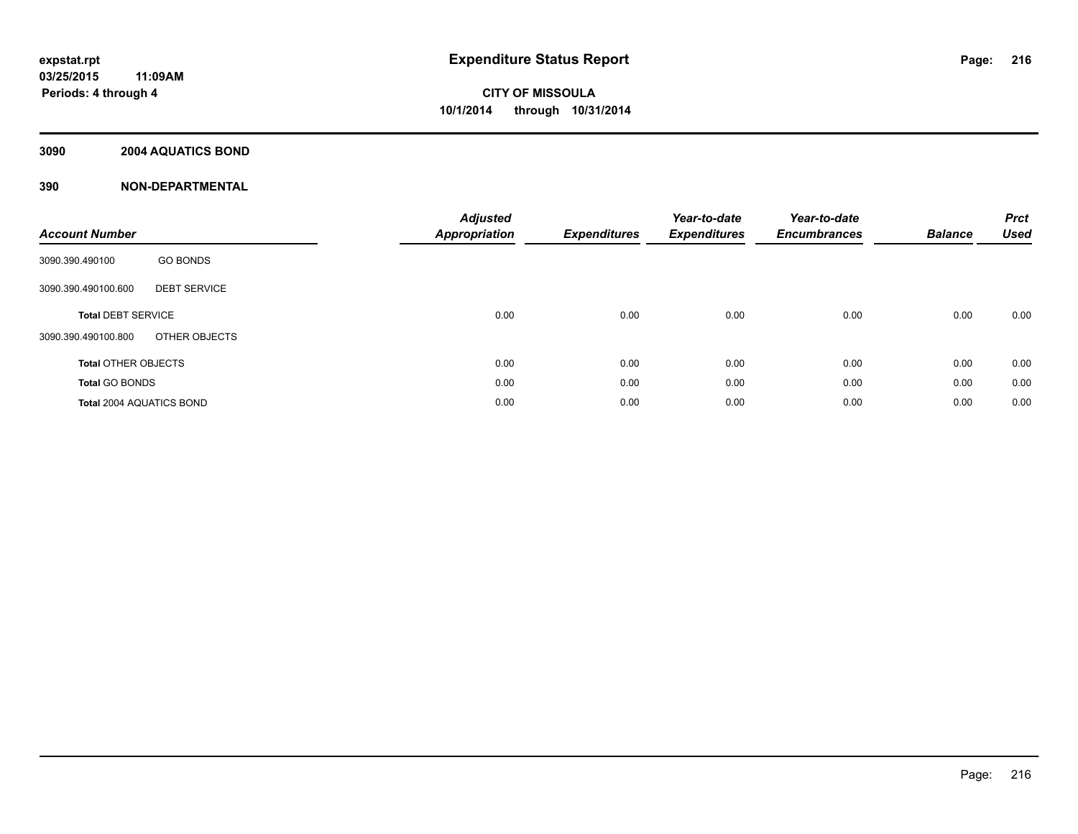## **3090 2004 AQUATICS BOND**

| <b>Account Number</b>           |                     | <b>Adjusted</b><br><b>Appropriation</b> | <b>Expenditures</b> | Year-to-date<br><b>Expenditures</b> | Year-to-date<br><b>Encumbrances</b> | <b>Balance</b> | <b>Prct</b><br><b>Used</b> |
|---------------------------------|---------------------|-----------------------------------------|---------------------|-------------------------------------|-------------------------------------|----------------|----------------------------|
| 3090.390.490100                 | <b>GO BONDS</b>     |                                         |                     |                                     |                                     |                |                            |
| 3090.390.490100.600             | <b>DEBT SERVICE</b> |                                         |                     |                                     |                                     |                |                            |
| <b>Total DEBT SERVICE</b>       |                     | 0.00                                    | 0.00                | 0.00                                | 0.00                                | 0.00           | 0.00                       |
| 3090.390.490100.800             | OTHER OBJECTS       |                                         |                     |                                     |                                     |                |                            |
| <b>Total OTHER OBJECTS</b>      |                     | 0.00                                    | 0.00                | 0.00                                | 0.00                                | 0.00           | 0.00                       |
| <b>Total GO BONDS</b>           |                     | 0.00                                    | 0.00                | 0.00                                | 0.00                                | 0.00           | 0.00                       |
| <b>Total 2004 AQUATICS BOND</b> |                     | 0.00                                    | 0.00                | 0.00                                | 0.00                                | 0.00           | 0.00                       |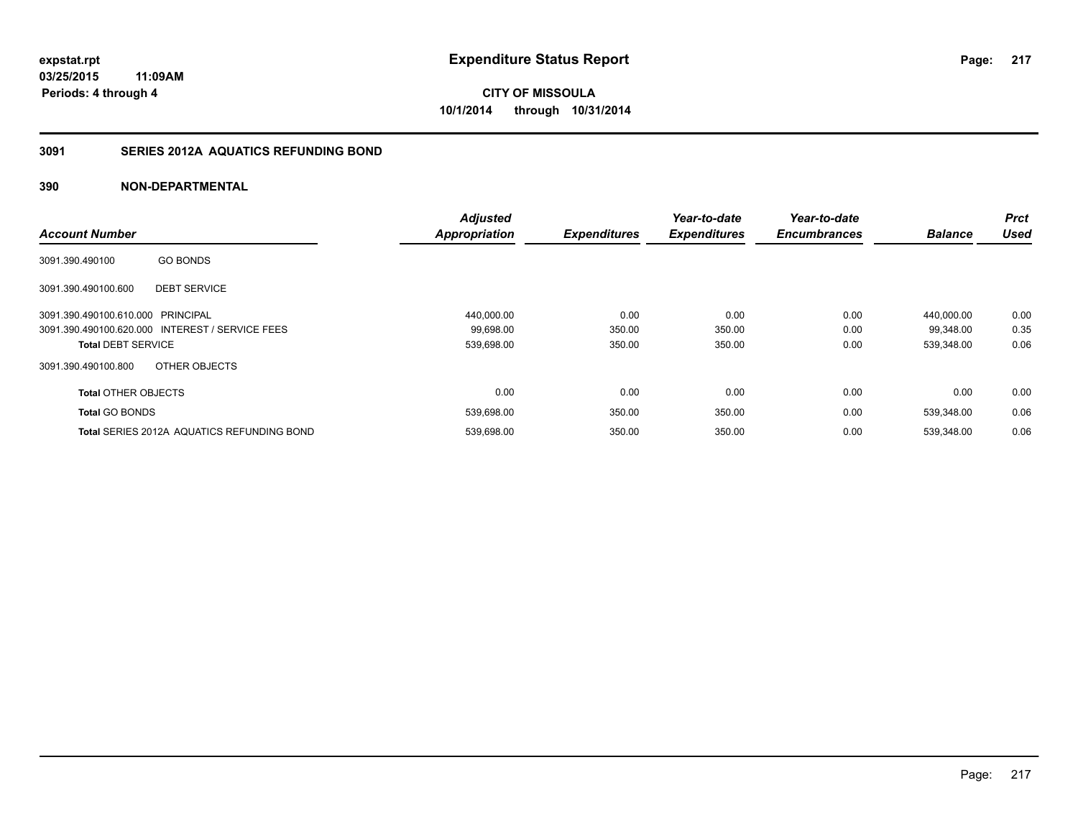### **3091 SERIES 2012A AQUATICS REFUNDING BOND**

| <b>Account Number</b>             |                                                   | <b>Adjusted</b><br><b>Appropriation</b> | <b>Expenditures</b> | Year-to-date<br><b>Expenditures</b> | Year-to-date<br><b>Encumbrances</b> | <b>Balance</b> | <b>Prct</b><br><b>Used</b> |
|-----------------------------------|---------------------------------------------------|-----------------------------------------|---------------------|-------------------------------------|-------------------------------------|----------------|----------------------------|
| 3091.390.490100                   | <b>GO BONDS</b>                                   |                                         |                     |                                     |                                     |                |                            |
| 3091.390.490100.600               | <b>DEBT SERVICE</b>                               |                                         |                     |                                     |                                     |                |                            |
| 3091.390.490100.610.000 PRINCIPAL |                                                   | 440,000.00                              | 0.00                | 0.00                                | 0.00                                | 440.000.00     | 0.00                       |
|                                   | 3091.390.490100.620.000 INTEREST / SERVICE FEES   | 99,698.00                               | 350.00              | 350.00                              | 0.00                                | 99,348.00      | 0.35                       |
| <b>Total DEBT SERVICE</b>         |                                                   | 539,698.00                              | 350.00              | 350.00                              | 0.00                                | 539,348.00     | 0.06                       |
| 3091.390.490100.800               | OTHER OBJECTS                                     |                                         |                     |                                     |                                     |                |                            |
| <b>Total OTHER OBJECTS</b>        |                                                   | 0.00                                    | 0.00                | 0.00                                | 0.00                                | 0.00           | 0.00                       |
| <b>Total GO BONDS</b>             |                                                   | 539,698.00                              | 350.00              | 350.00                              | 0.00                                | 539.348.00     | 0.06                       |
|                                   | <b>Total SERIES 2012A AQUATICS REFUNDING BOND</b> | 539.698.00                              | 350.00              | 350.00                              | 0.00                                | 539.348.00     | 0.06                       |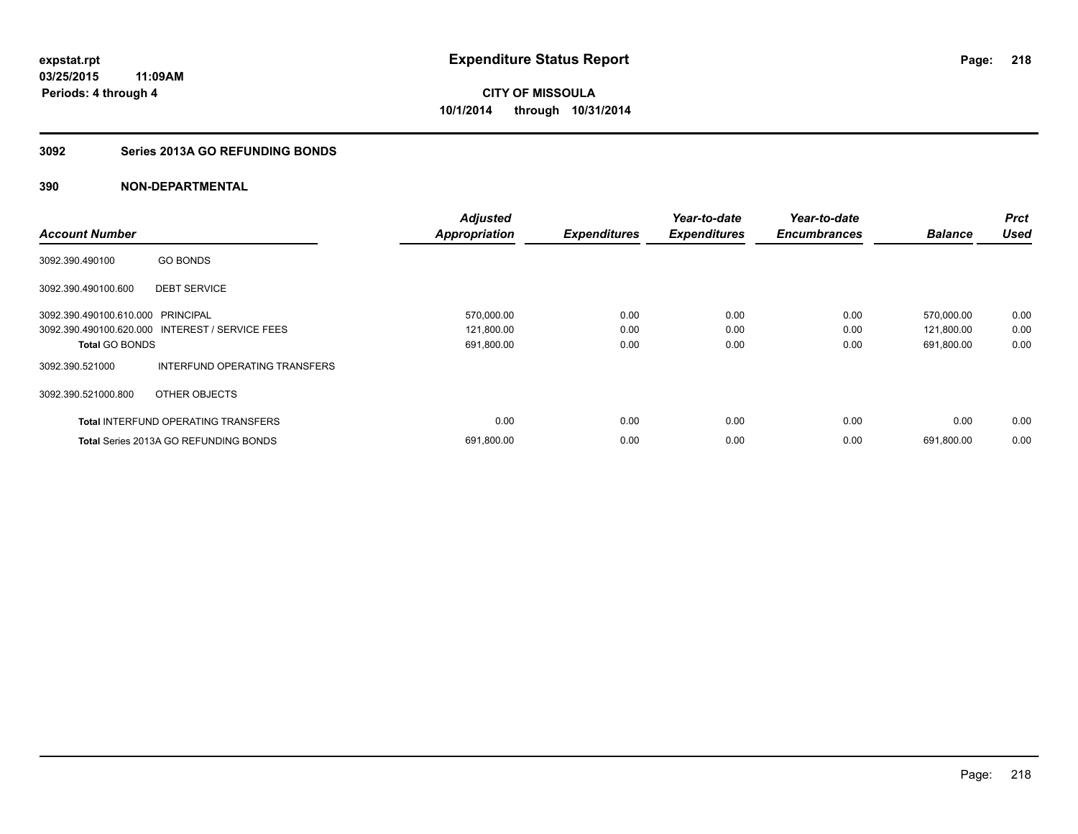### **3092 Series 2013A GO REFUNDING BONDS**

|                                   |                                                 | <b>Adjusted</b>      |                     | Year-to-date        | Year-to-date        |                | <b>Prct</b> |
|-----------------------------------|-------------------------------------------------|----------------------|---------------------|---------------------|---------------------|----------------|-------------|
| <b>Account Number</b>             |                                                 | <b>Appropriation</b> | <b>Expenditures</b> | <b>Expenditures</b> | <b>Encumbrances</b> | <b>Balance</b> | <b>Used</b> |
| 3092.390.490100                   | <b>GO BONDS</b>                                 |                      |                     |                     |                     |                |             |
| 3092.390.490100.600               | <b>DEBT SERVICE</b>                             |                      |                     |                     |                     |                |             |
| 3092.390.490100.610.000 PRINCIPAL |                                                 | 570,000.00           | 0.00                | 0.00                | 0.00                | 570.000.00     | 0.00        |
|                                   | 3092.390.490100.620.000 INTEREST / SERVICE FEES | 121,800.00           | 0.00                | 0.00                | 0.00                | 121,800.00     | 0.00        |
| <b>Total GO BONDS</b>             |                                                 | 691,800.00           | 0.00                | 0.00                | 0.00                | 691,800.00     | 0.00        |
| 3092.390.521000                   | INTERFUND OPERATING TRANSFERS                   |                      |                     |                     |                     |                |             |
| 3092.390.521000.800               | OTHER OBJECTS                                   |                      |                     |                     |                     |                |             |
|                                   | <b>Total INTERFUND OPERATING TRANSFERS</b>      | 0.00                 | 0.00                | 0.00                | 0.00                | 0.00           | 0.00        |
|                                   | <b>Total Series 2013A GO REFUNDING BONDS</b>    | 691,800.00           | 0.00                | 0.00                | 0.00                | 691,800.00     | 0.00        |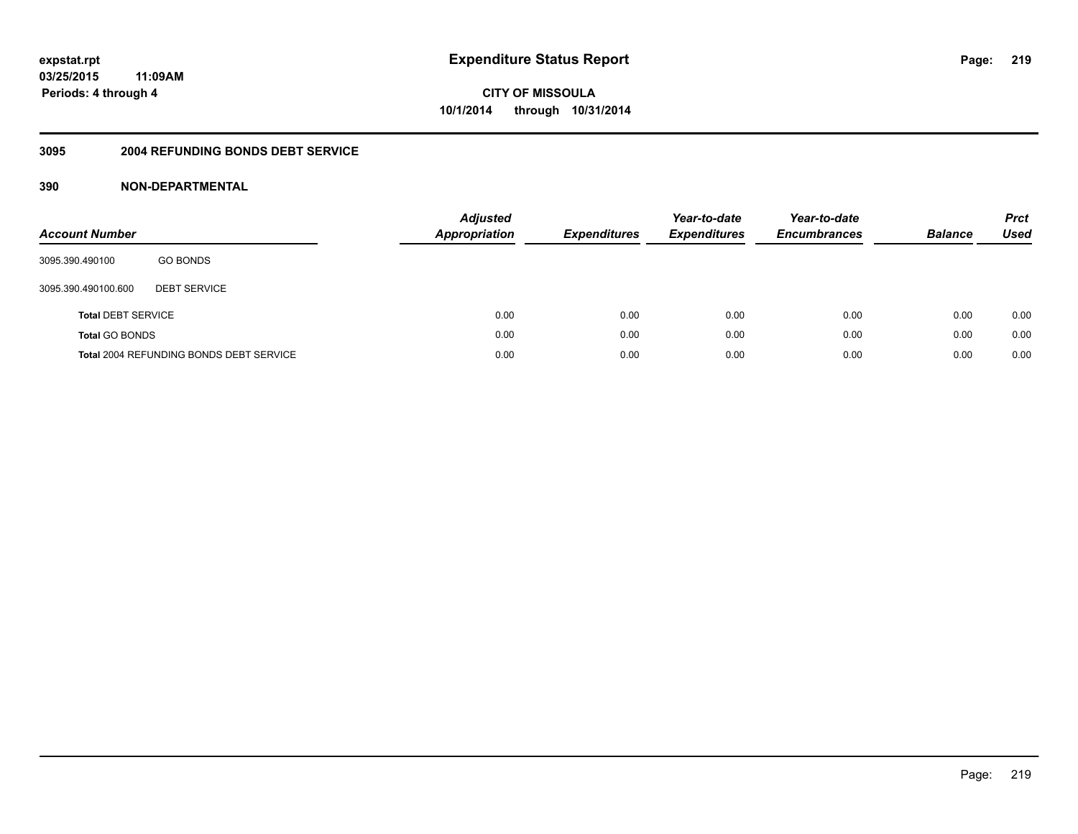#### **3095 2004 REFUNDING BONDS DEBT SERVICE**

| <b>Account Number</b>     |                                                | <b>Adjusted</b><br><b>Appropriation</b> | <b>Expenditures</b> | Year-to-date<br><b>Expenditures</b> | Year-to-date<br><b>Encumbrances</b> | <b>Balance</b> | <b>Prct</b><br><b>Used</b> |
|---------------------------|------------------------------------------------|-----------------------------------------|---------------------|-------------------------------------|-------------------------------------|----------------|----------------------------|
| 3095.390.490100           | <b>GO BONDS</b>                                |                                         |                     |                                     |                                     |                |                            |
| 3095.390.490100.600       | <b>DEBT SERVICE</b>                            |                                         |                     |                                     |                                     |                |                            |
| <b>Total DEBT SERVICE</b> |                                                | 0.00                                    | 0.00                | 0.00                                | 0.00                                | 0.00           | 0.00                       |
| <b>Total GO BONDS</b>     |                                                | 0.00                                    | 0.00                | 0.00                                | 0.00                                | 0.00           | 0.00                       |
|                           | <b>Total 2004 REFUNDING BONDS DEBT SERVICE</b> | 0.00                                    | 0.00                | 0.00                                | 0.00                                | 0.00           | 0.00                       |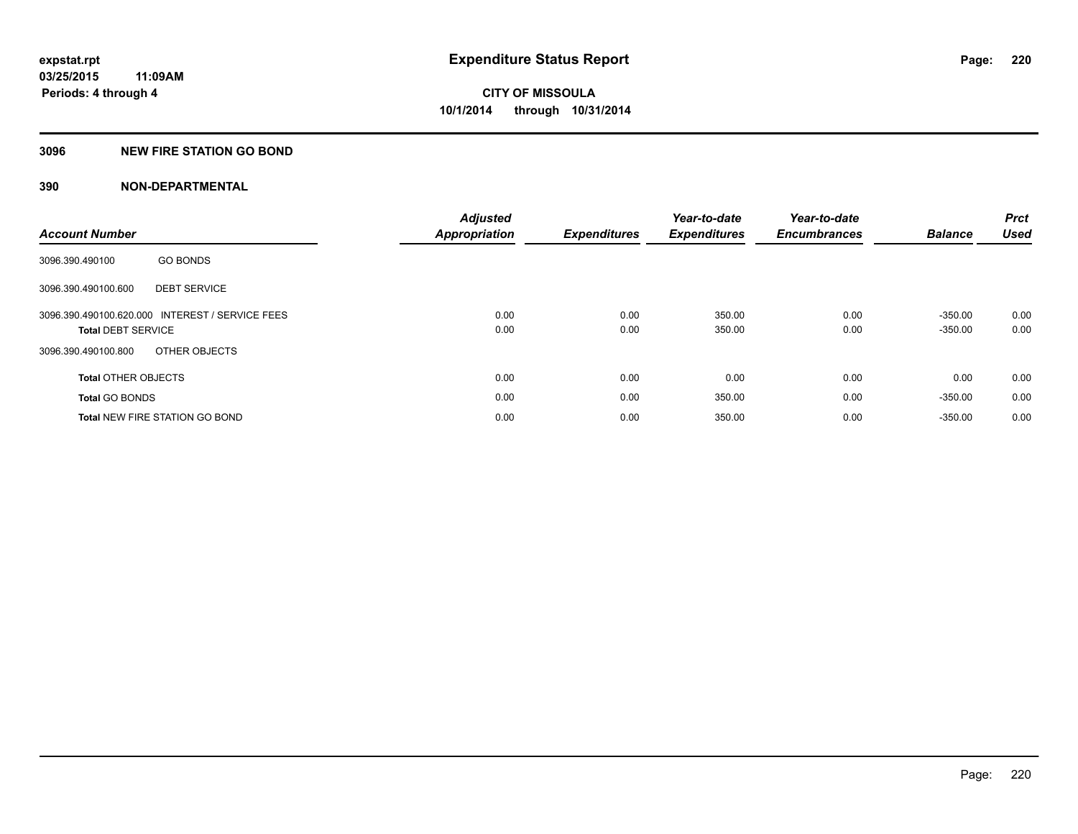### **3096 NEW FIRE STATION GO BOND**

|                                                 | <b>Adjusted</b>      |                     | Year-to-date        | Year-to-date        |                | <b>Prct</b> |
|-------------------------------------------------|----------------------|---------------------|---------------------|---------------------|----------------|-------------|
| <b>Account Number</b>                           | <b>Appropriation</b> | <b>Expenditures</b> | <b>Expenditures</b> | <b>Encumbrances</b> | <b>Balance</b> | <b>Used</b> |
| <b>GO BONDS</b><br>3096.390.490100              |                      |                     |                     |                     |                |             |
| <b>DEBT SERVICE</b><br>3096.390.490100.600      |                      |                     |                     |                     |                |             |
| 3096.390.490100.620.000 INTEREST / SERVICE FEES | 0.00                 | 0.00                | 350.00              | 0.00                | $-350.00$      | 0.00        |
| <b>Total DEBT SERVICE</b>                       | 0.00                 | 0.00                | 350.00              | 0.00                | $-350.00$      | 0.00        |
| OTHER OBJECTS<br>3096.390.490100.800            |                      |                     |                     |                     |                |             |
| <b>Total OTHER OBJECTS</b>                      | 0.00                 | 0.00                | 0.00                | 0.00                | 0.00           | 0.00        |
| <b>Total GO BONDS</b>                           | 0.00                 | 0.00                | 350.00              | 0.00                | $-350.00$      | 0.00        |
| <b>Total NEW FIRE STATION GO BOND</b>           | 0.00                 | 0.00                | 350.00              | 0.00                | $-350.00$      | 0.00        |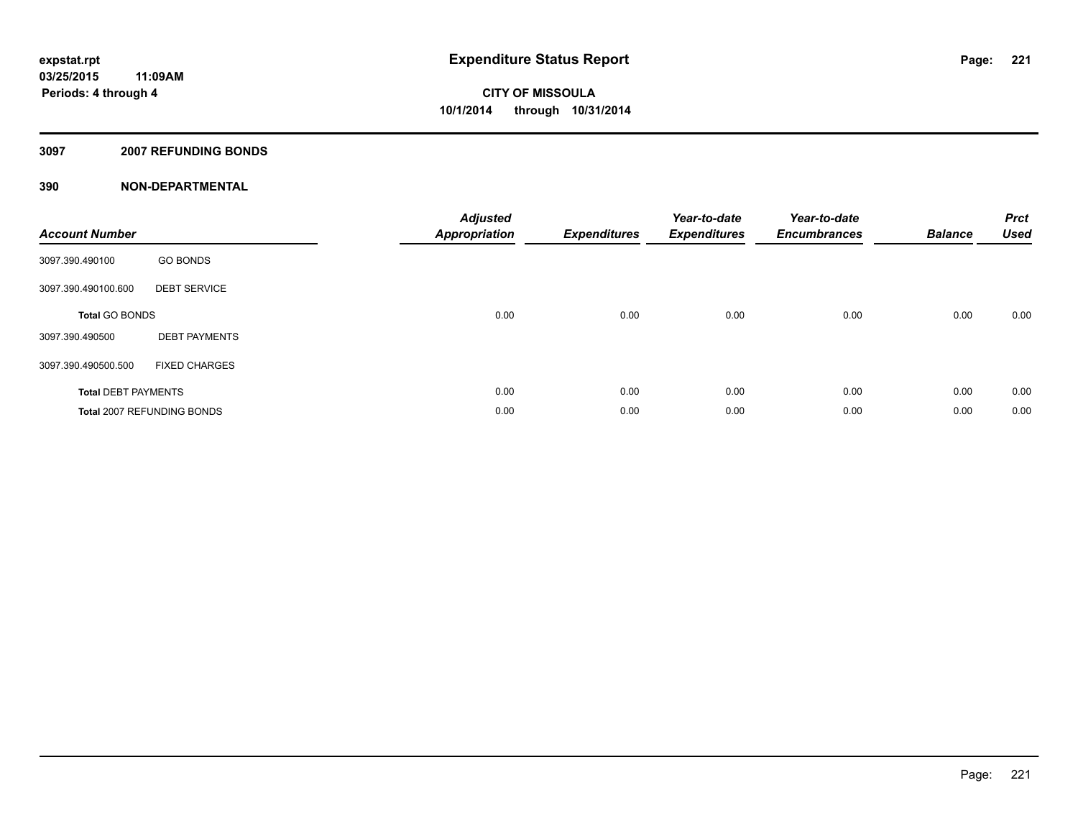### **3097 2007 REFUNDING BONDS**

| <b>Account Number</b>      |                            | <b>Adjusted</b><br><b>Appropriation</b> | <b>Expenditures</b> | Year-to-date<br><b>Expenditures</b> | Year-to-date<br><b>Encumbrances</b> | <b>Balance</b> | <b>Prct</b><br><b>Used</b> |
|----------------------------|----------------------------|-----------------------------------------|---------------------|-------------------------------------|-------------------------------------|----------------|----------------------------|
| 3097.390.490100            | <b>GO BONDS</b>            |                                         |                     |                                     |                                     |                |                            |
| 3097.390.490100.600        | <b>DEBT SERVICE</b>        |                                         |                     |                                     |                                     |                |                            |
| <b>Total GO BONDS</b>      |                            | 0.00                                    | 0.00                | 0.00                                | 0.00                                | 0.00           | 0.00                       |
| 3097.390.490500            | <b>DEBT PAYMENTS</b>       |                                         |                     |                                     |                                     |                |                            |
| 3097.390.490500.500        | <b>FIXED CHARGES</b>       |                                         |                     |                                     |                                     |                |                            |
| <b>Total DEBT PAYMENTS</b> |                            | 0.00                                    | 0.00                | 0.00                                | 0.00                                | 0.00           | 0.00                       |
|                            | Total 2007 REFUNDING BONDS | 0.00                                    | 0.00                | 0.00                                | 0.00                                | 0.00           | 0.00                       |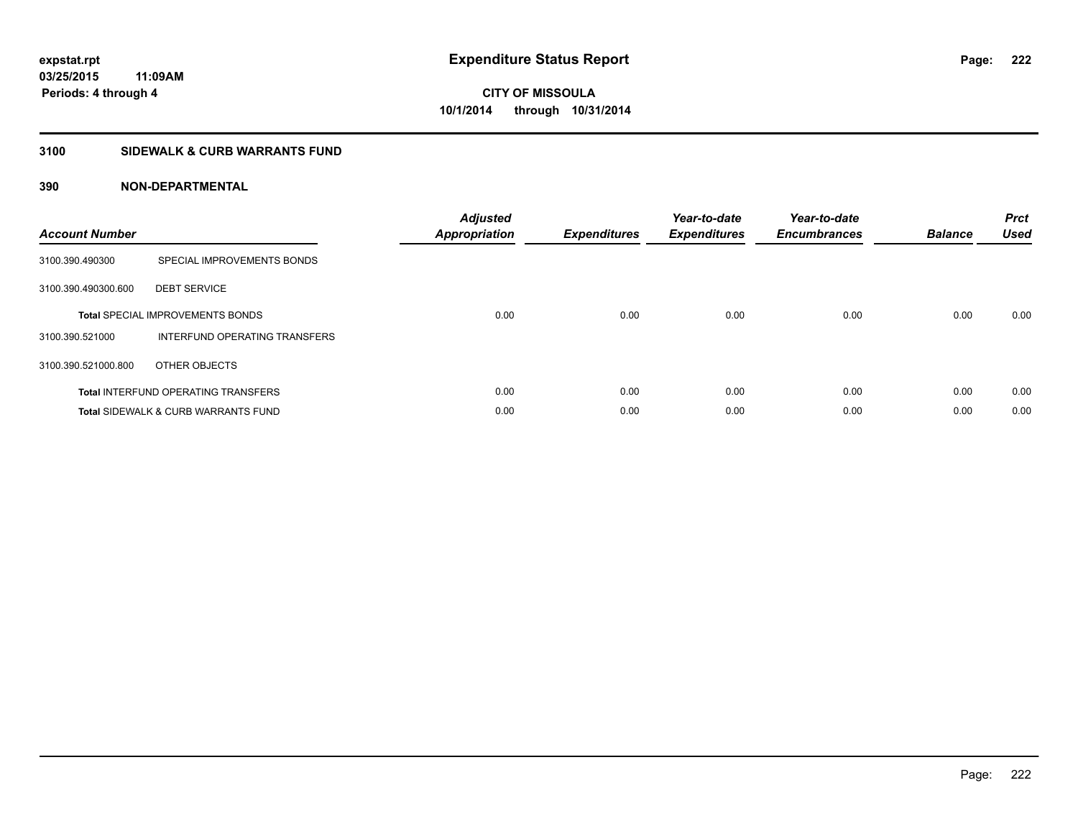### **3100 SIDEWALK & CURB WARRANTS FUND**

| <b>Account Number</b> |                                                | <b>Adjusted</b><br><b>Appropriation</b> | Expenditures | Year-to-date<br><b>Expenditures</b> | Year-to-date<br><b>Encumbrances</b> | <b>Balance</b> | <b>Prct</b><br><b>Used</b> |
|-----------------------|------------------------------------------------|-----------------------------------------|--------------|-------------------------------------|-------------------------------------|----------------|----------------------------|
| 3100.390.490300       | SPECIAL IMPROVEMENTS BONDS                     |                                         |              |                                     |                                     |                |                            |
| 3100.390.490300.600   | <b>DEBT SERVICE</b>                            |                                         |              |                                     |                                     |                |                            |
|                       | <b>Total SPECIAL IMPROVEMENTS BONDS</b>        | 0.00                                    | 0.00         | 0.00                                | 0.00                                | 0.00           | 0.00                       |
| 3100.390.521000       | INTERFUND OPERATING TRANSFERS                  |                                         |              |                                     |                                     |                |                            |
| 3100.390.521000.800   | OTHER OBJECTS                                  |                                         |              |                                     |                                     |                |                            |
|                       | <b>Total INTERFUND OPERATING TRANSFERS</b>     | 0.00                                    | 0.00         | 0.00                                | 0.00                                | 0.00           | 0.00                       |
|                       | <b>Total SIDEWALK &amp; CURB WARRANTS FUND</b> | 0.00                                    | 0.00         | 0.00                                | 0.00                                | 0.00           | 0.00                       |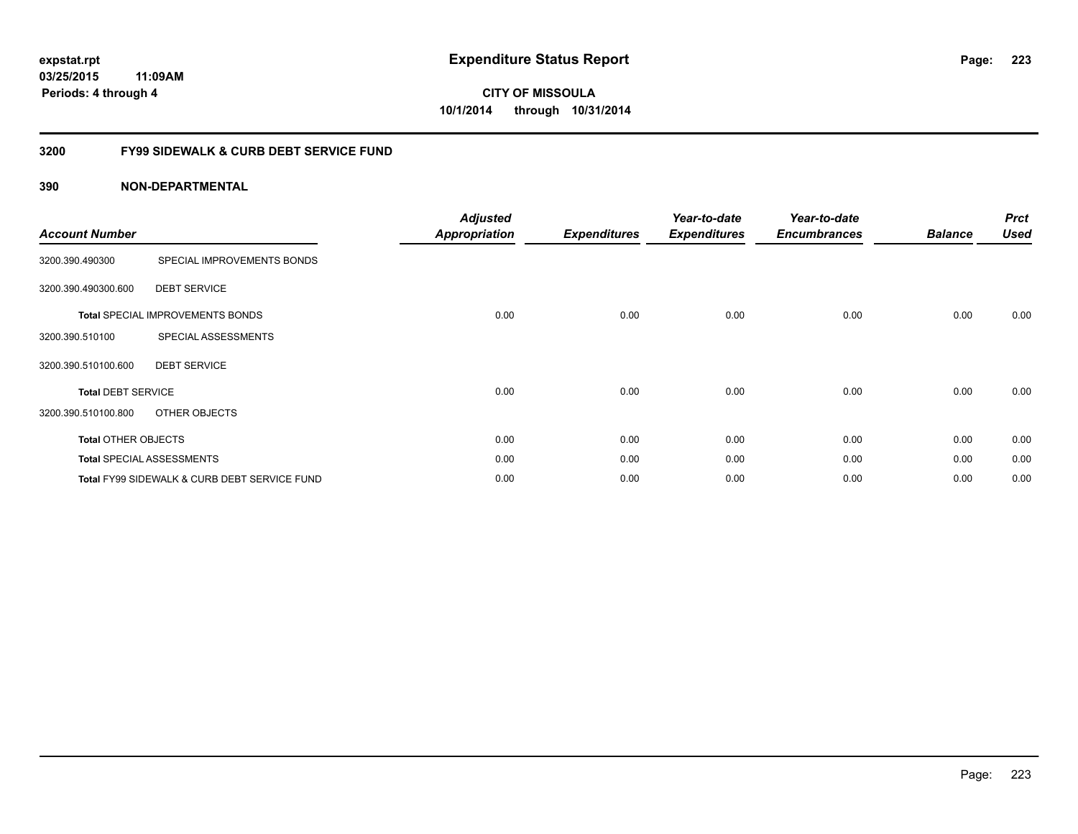### **03/25/2015 11:09AM Periods: 4 through 4**

**CITY OF MISSOULA 10/1/2014 through 10/31/2014**

### **3200 FY99 SIDEWALK & CURB DEBT SERVICE FUND**

| <b>Account Number</b>      |                                              | <b>Adjusted</b><br><b>Appropriation</b> | <b>Expenditures</b> | Year-to-date<br><b>Expenditures</b> | Year-to-date<br><b>Encumbrances</b> | <b>Balance</b> | <b>Prct</b><br><b>Used</b> |
|----------------------------|----------------------------------------------|-----------------------------------------|---------------------|-------------------------------------|-------------------------------------|----------------|----------------------------|
| 3200.390.490300            | SPECIAL IMPROVEMENTS BONDS                   |                                         |                     |                                     |                                     |                |                            |
| 3200.390.490300.600        | <b>DEBT SERVICE</b>                          |                                         |                     |                                     |                                     |                |                            |
|                            | <b>Total SPECIAL IMPROVEMENTS BONDS</b>      | 0.00                                    | 0.00                | 0.00                                | 0.00                                | 0.00           | 0.00                       |
| 3200.390.510100            | SPECIAL ASSESSMENTS                          |                                         |                     |                                     |                                     |                |                            |
| 3200.390.510100.600        | <b>DEBT SERVICE</b>                          |                                         |                     |                                     |                                     |                |                            |
| <b>Total DEBT SERVICE</b>  |                                              | 0.00                                    | 0.00                | 0.00                                | 0.00                                | 0.00           | 0.00                       |
| 3200.390.510100.800        | OTHER OBJECTS                                |                                         |                     |                                     |                                     |                |                            |
| <b>Total OTHER OBJECTS</b> |                                              | 0.00                                    | 0.00                | 0.00                                | 0.00                                | 0.00           | 0.00                       |
|                            | <b>Total SPECIAL ASSESSMENTS</b>             | 0.00                                    | 0.00                | 0.00                                | 0.00                                | 0.00           | 0.00                       |
|                            | Total FY99 SIDEWALK & CURB DEBT SERVICE FUND | 0.00                                    | 0.00                | 0.00                                | 0.00                                | 0.00           | 0.00                       |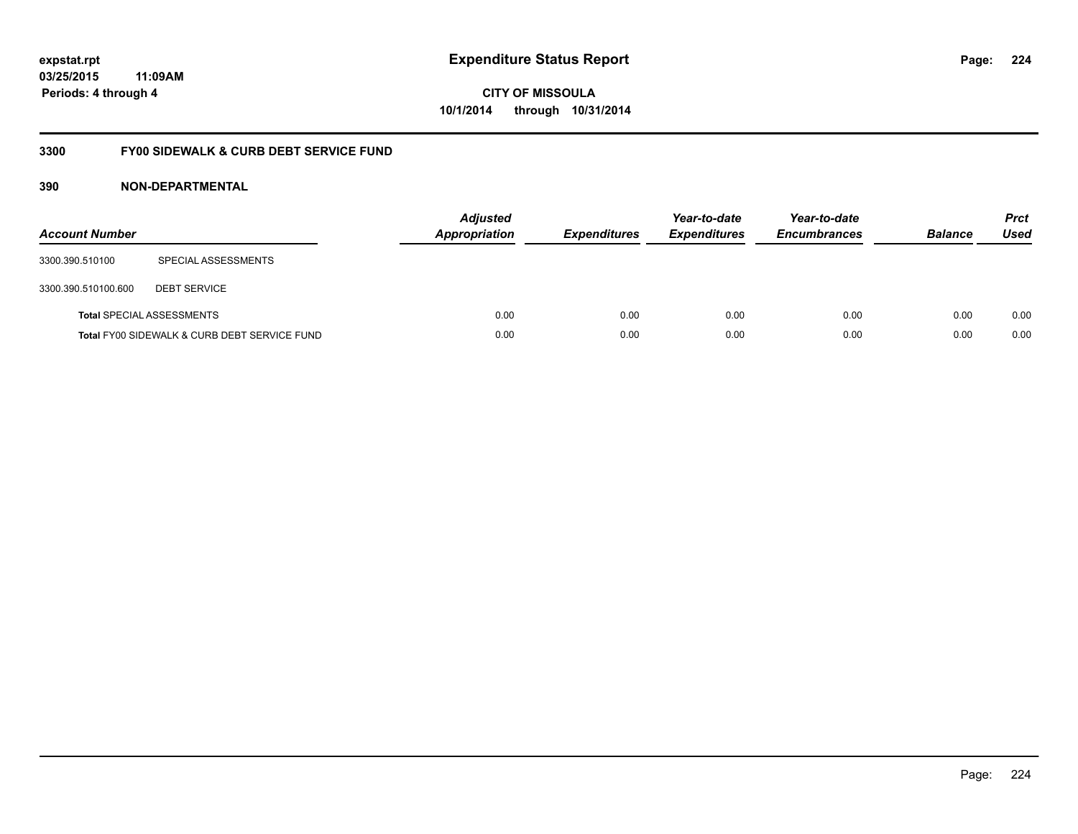### **03/25/2015 11:09AM Periods: 4 through 4**

**CITY OF MISSOULA 10/1/2014 through 10/31/2014**

### **3300 FY00 SIDEWALK & CURB DEBT SERVICE FUND**

| <b>Account Number</b> |                                              | <b>Adjusted</b><br><b>Appropriation</b> | <b>Expenditures</b> | Year-to-date<br><b>Expenditures</b> | Year-to-date<br><b>Encumbrances</b> | <b>Balance</b> | <b>Prct</b><br><b>Used</b> |
|-----------------------|----------------------------------------------|-----------------------------------------|---------------------|-------------------------------------|-------------------------------------|----------------|----------------------------|
| 3300.390.510100       | SPECIAL ASSESSMENTS                          |                                         |                     |                                     |                                     |                |                            |
| 3300.390.510100.600   | <b>DEBT SERVICE</b>                          |                                         |                     |                                     |                                     |                |                            |
|                       | <b>Total SPECIAL ASSESSMENTS</b>             | 0.00                                    | 0.00                | 0.00                                | 0.00                                | 0.00           | 0.00                       |
|                       | Total FY00 SIDEWALK & CURB DEBT SERVICE FUND | 0.00                                    | 0.00                | 0.00                                | 0.00                                | 0.00           | 0.00                       |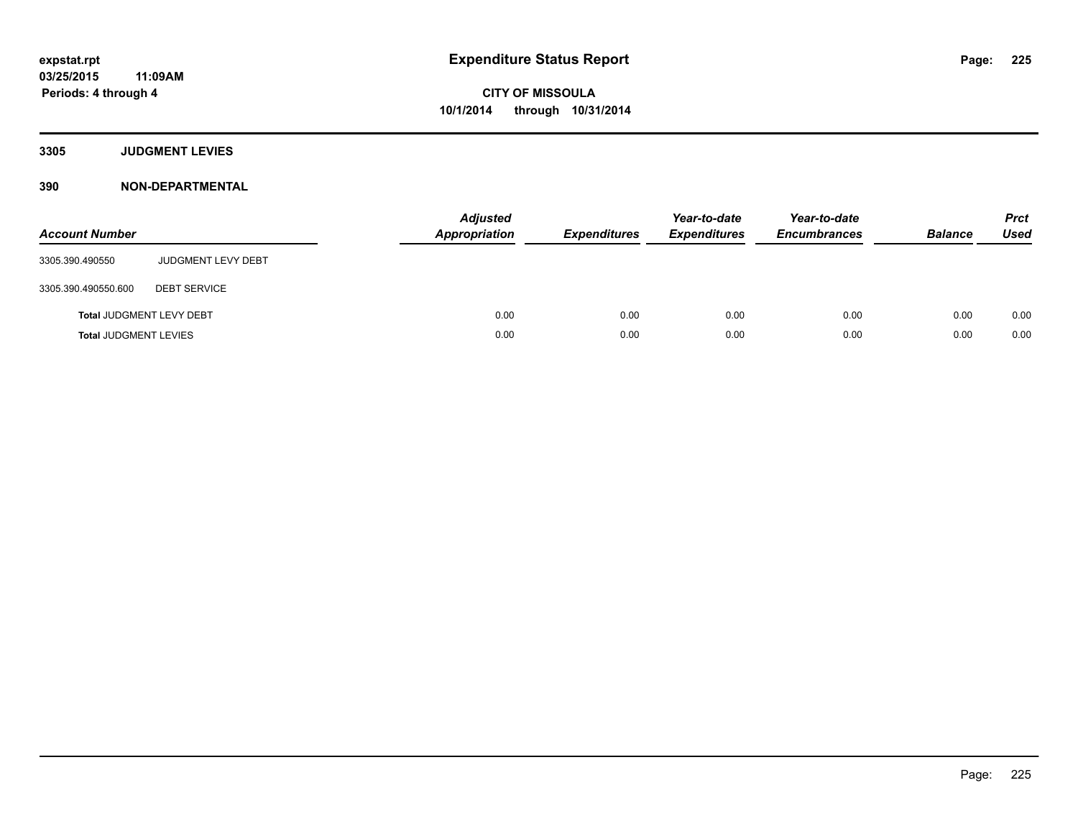### **3305 JUDGMENT LEVIES**

| <b>Account Number</b>           |                           | <b>Adjusted</b><br><b>Appropriation</b> | <b>Expenditures</b> | Year-to-date<br><b>Expenditures</b> | Year-to-date<br><b>Encumbrances</b> | <b>Balance</b> | <b>Prct</b><br><b>Used</b> |
|---------------------------------|---------------------------|-----------------------------------------|---------------------|-------------------------------------|-------------------------------------|----------------|----------------------------|
| 3305.390.490550                 | <b>JUDGMENT LEVY DEBT</b> |                                         |                     |                                     |                                     |                |                            |
| 3305.390.490550.600             | <b>DEBT SERVICE</b>       |                                         |                     |                                     |                                     |                |                            |
| <b>Total JUDGMENT LEVY DEBT</b> |                           | 0.00                                    | 0.00                | 0.00                                | 0.00                                | 0.00           | 0.00                       |
| <b>Total JUDGMENT LEVIES</b>    |                           | 0.00                                    | 0.00                | 0.00                                | 0.00                                | 0.00           | 0.00                       |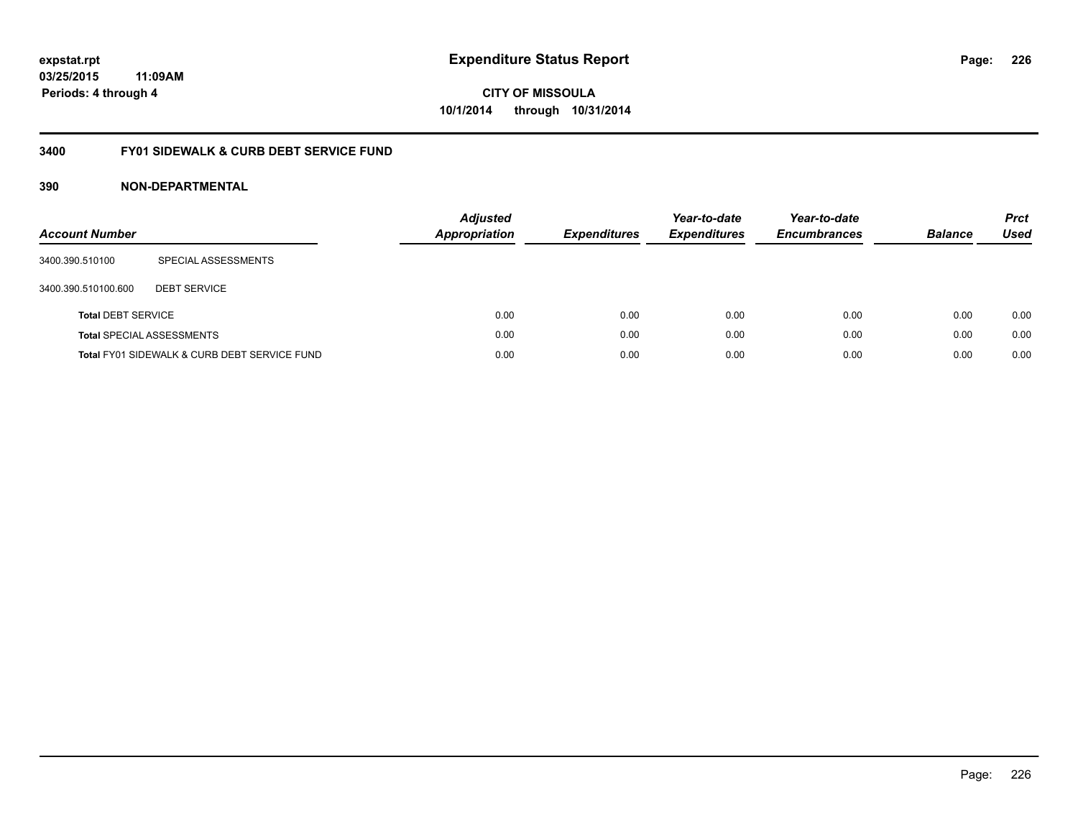### **03/25/2015 11:09AM Periods: 4 through 4**

**CITY OF MISSOULA 10/1/2014 through 10/31/2014**

### **3400 FY01 SIDEWALK & CURB DEBT SERVICE FUND**

| <b>Account Number</b>     |                                              | <b>Adjusted</b><br><b>Appropriation</b> | <b>Expenditures</b> | Year-to-date<br><b>Expenditures</b> | Year-to-date<br><b>Encumbrances</b> | <b>Balance</b> | <b>Prct</b><br><b>Used</b> |
|---------------------------|----------------------------------------------|-----------------------------------------|---------------------|-------------------------------------|-------------------------------------|----------------|----------------------------|
| 3400.390.510100           | SPECIAL ASSESSMENTS                          |                                         |                     |                                     |                                     |                |                            |
| 3400.390.510100.600       | <b>DEBT SERVICE</b>                          |                                         |                     |                                     |                                     |                |                            |
| <b>Total DEBT SERVICE</b> |                                              | 0.00                                    | 0.00                | 0.00                                | 0.00                                | 0.00           | 0.00                       |
|                           | <b>Total SPECIAL ASSESSMENTS</b>             | 0.00                                    | 0.00                | 0.00                                | 0.00                                | 0.00           | 0.00                       |
|                           | Total FY01 SIDEWALK & CURB DEBT SERVICE FUND | 0.00                                    | 0.00                | 0.00                                | 0.00                                | 0.00           | 0.00                       |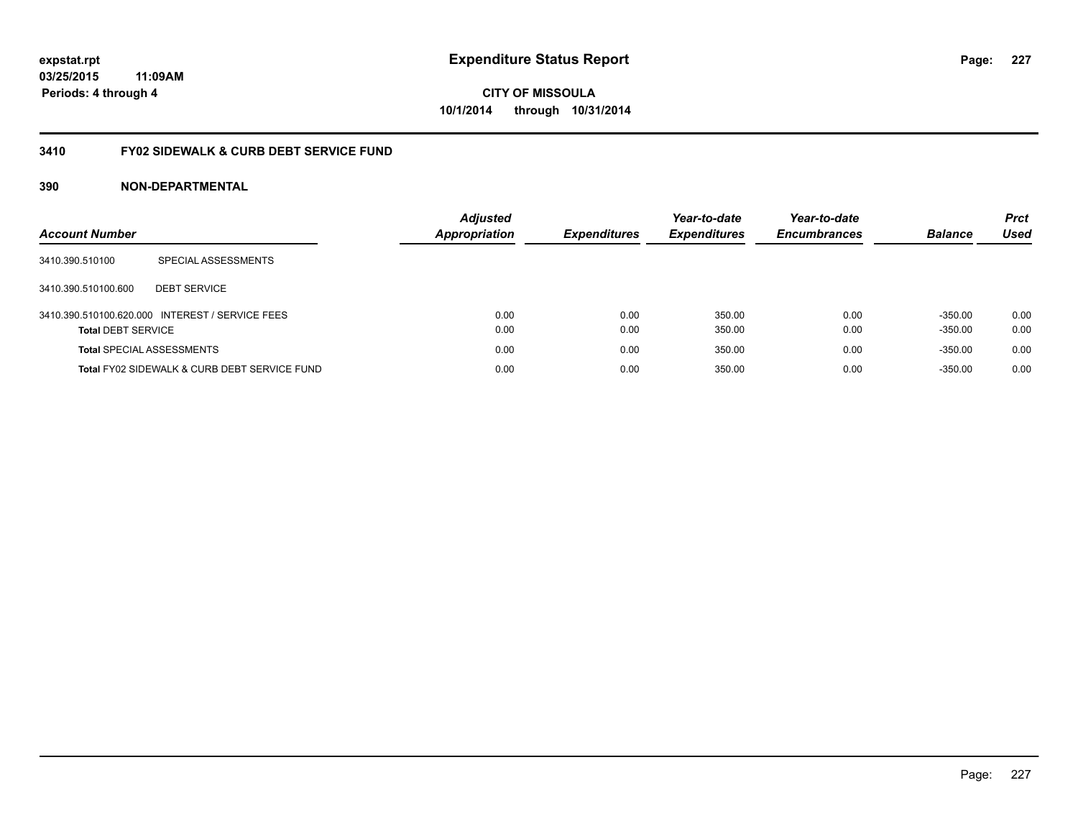### **03/25/2015 11:09AM Periods: 4 through 4**

**CITY OF MISSOULA 10/1/2014 through 10/31/2014**

### **3410 FY02 SIDEWALK & CURB DEBT SERVICE FUND**

| <b>Account Number</b>            |                                                 | <b>Adjusted</b><br><b>Appropriation</b> | <b>Expenditures</b> | Year-to-date<br><b>Expenditures</b> | Year-to-date<br><b>Encumbrances</b> | <b>Balance</b> | <b>Prct</b><br>Used |
|----------------------------------|-------------------------------------------------|-----------------------------------------|---------------------|-------------------------------------|-------------------------------------|----------------|---------------------|
| 3410.390.510100                  | SPECIAL ASSESSMENTS                             |                                         |                     |                                     |                                     |                |                     |
| 3410.390.510100.600              | <b>DEBT SERVICE</b>                             |                                         |                     |                                     |                                     |                |                     |
|                                  | 3410.390.510100.620.000 INTEREST / SERVICE FEES | 0.00                                    | 0.00                | 350.00                              | 0.00                                | $-350.00$      | 0.00                |
| <b>Total DEBT SERVICE</b>        |                                                 | 0.00                                    | 0.00                | 350.00                              | 0.00                                | $-350.00$      | 0.00                |
| <b>Total SPECIAL ASSESSMENTS</b> |                                                 | 0.00                                    | 0.00                | 350.00                              | 0.00                                | $-350.00$      | 0.00                |
|                                  | Total FY02 SIDEWALK & CURB DEBT SERVICE FUND    | 0.00                                    | 0.00                | 350.00                              | 0.00                                | $-350.00$      | 0.00                |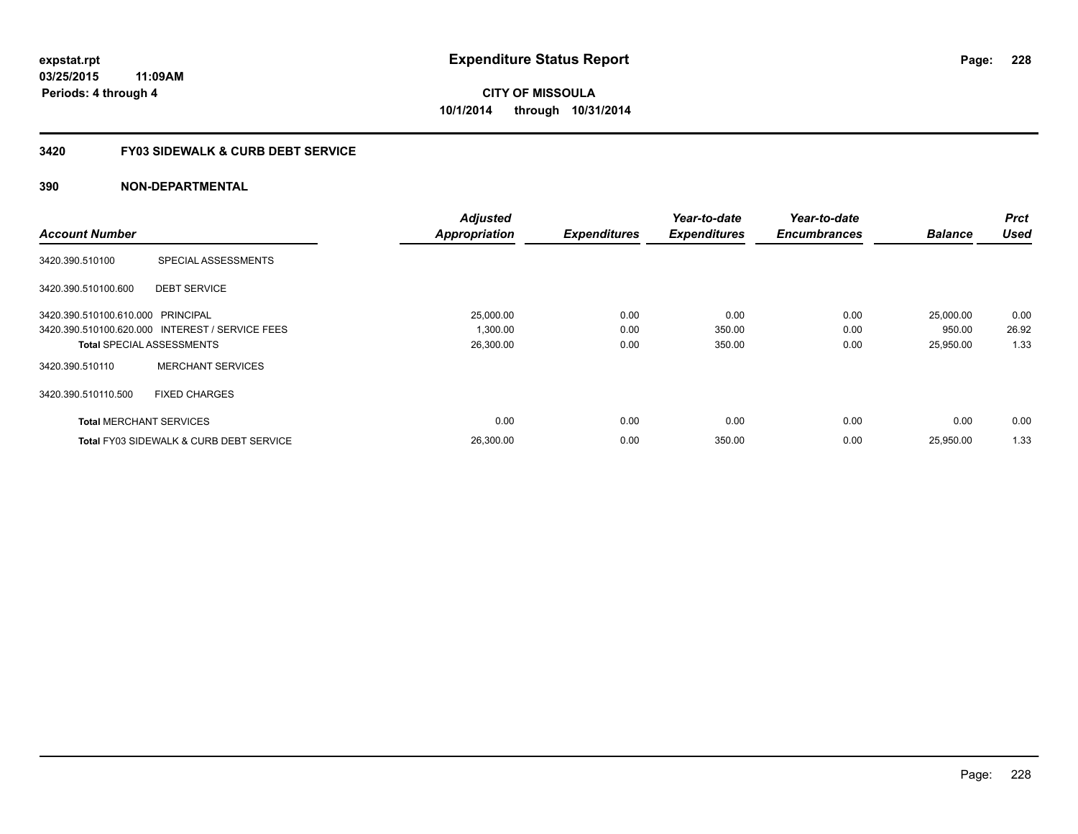### **3420 FY03 SIDEWALK & CURB DEBT SERVICE**

|                                   |                                                    | <b>Adjusted</b>      |                     | Year-to-date        | Year-to-date        |                | <b>Prct</b> |
|-----------------------------------|----------------------------------------------------|----------------------|---------------------|---------------------|---------------------|----------------|-------------|
| <b>Account Number</b>             |                                                    | <b>Appropriation</b> | <b>Expenditures</b> | <b>Expenditures</b> | <b>Encumbrances</b> | <b>Balance</b> | <b>Used</b> |
| 3420.390.510100                   | SPECIAL ASSESSMENTS                                |                      |                     |                     |                     |                |             |
| 3420.390.510100.600               | <b>DEBT SERVICE</b>                                |                      |                     |                     |                     |                |             |
| 3420.390.510100.610.000 PRINCIPAL |                                                    | 25,000.00            | 0.00                | 0.00                | 0.00                | 25,000.00      | 0.00        |
|                                   | 3420.390.510100.620.000 INTEREST / SERVICE FEES    | 1,300.00             | 0.00                | 350.00              | 0.00                | 950.00         | 26.92       |
|                                   | <b>Total SPECIAL ASSESSMENTS</b>                   | 26,300.00            | 0.00                | 350.00              | 0.00                | 25,950.00      | 1.33        |
| 3420.390.510110                   | <b>MERCHANT SERVICES</b>                           |                      |                     |                     |                     |                |             |
| 3420.390.510110.500               | <b>FIXED CHARGES</b>                               |                      |                     |                     |                     |                |             |
| <b>Total MERCHANT SERVICES</b>    |                                                    | 0.00                 | 0.00                | 0.00                | 0.00                | 0.00           | 0.00        |
|                                   | <b>Total FY03 SIDEWALK &amp; CURB DEBT SERVICE</b> | 26,300.00            | 0.00                | 350.00              | 0.00                | 25.950.00      | 1.33        |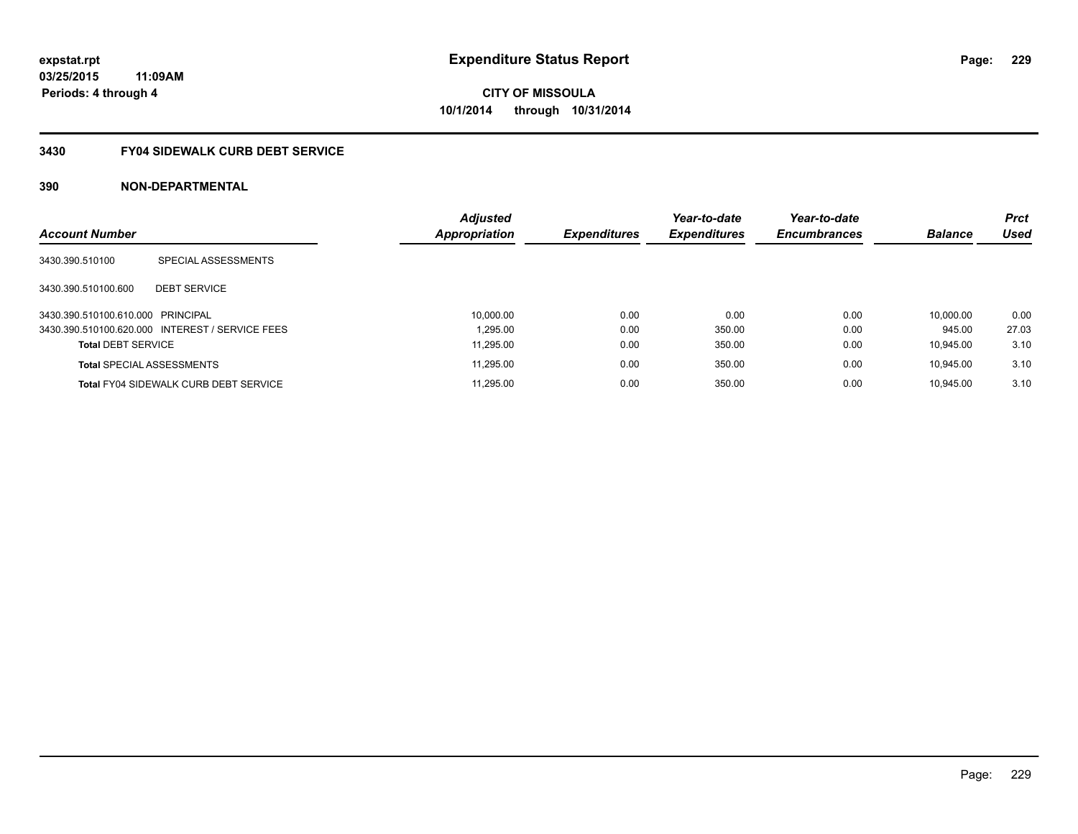### **3430 FY04 SIDEWALK CURB DEBT SERVICE**

| <b>Account Number</b>             |                                                 | <b>Adjusted</b><br>Appropriation | <b>Expenditures</b> | Year-to-date<br><b>Expenditures</b> | Year-to-date<br><b>Encumbrances</b> | <b>Balance</b> | <b>Prct</b><br><b>Used</b> |
|-----------------------------------|-------------------------------------------------|----------------------------------|---------------------|-------------------------------------|-------------------------------------|----------------|----------------------------|
| 3430.390.510100                   | SPECIAL ASSESSMENTS                             |                                  |                     |                                     |                                     |                |                            |
| 3430.390.510100.600               | <b>DEBT SERVICE</b>                             |                                  |                     |                                     |                                     |                |                            |
| 3430.390.510100.610.000 PRINCIPAL |                                                 | 10.000.00                        | 0.00                | 0.00                                | 0.00                                | 10.000.00      | 0.00                       |
|                                   | 3430.390.510100.620.000 INTEREST / SERVICE FEES | 1.295.00                         | 0.00                | 350.00                              | 0.00                                | 945.00         | 27.03                      |
| <b>Total DEBT SERVICE</b>         |                                                 | 11.295.00                        | 0.00                | 350.00                              | 0.00                                | 10.945.00      | 3.10                       |
|                                   | <b>Total SPECIAL ASSESSMENTS</b>                | 11.295.00                        | 0.00                | 350.00                              | 0.00                                | 10.945.00      | 3.10                       |
|                                   | <b>Total FY04 SIDEWALK CURB DEBT SERVICE</b>    | 11.295.00                        | 0.00                | 350.00                              | 0.00                                | 10.945.00      | 3.10                       |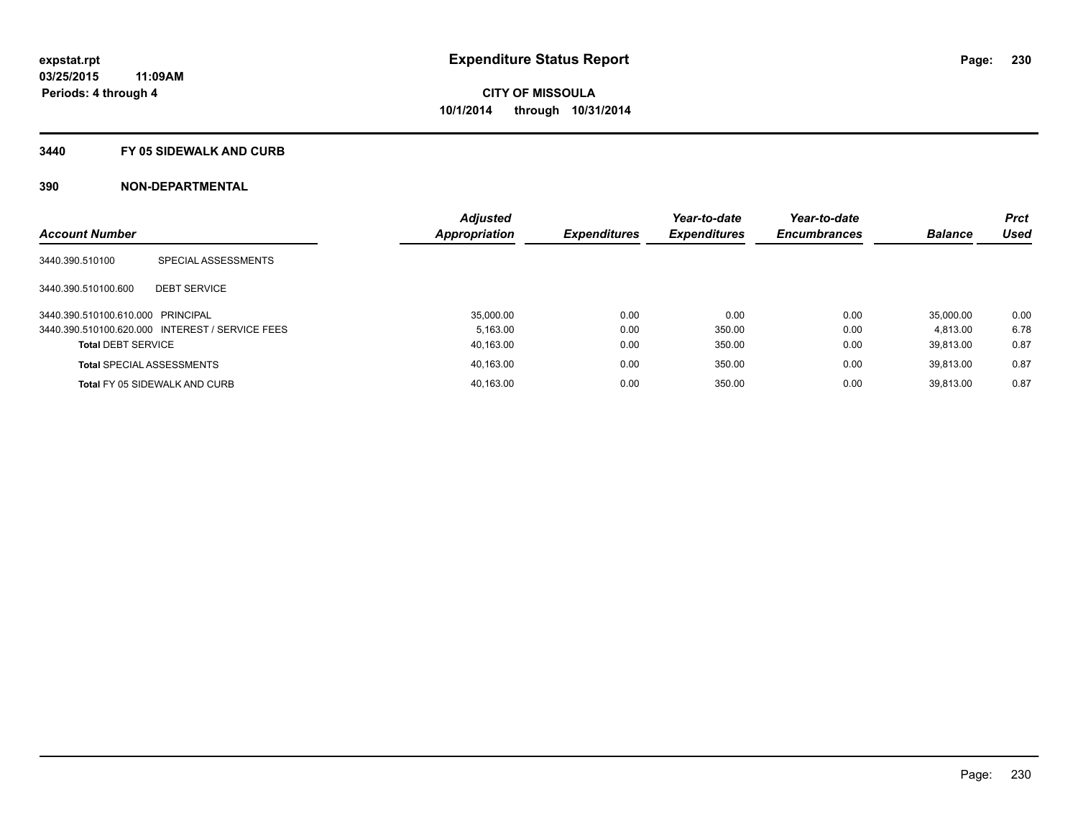#### **3440 FY 05 SIDEWALK AND CURB**

|                                   |                                                 | <b>Adjusted</b>      |                     | Year-to-date        | Year-to-date        |                | <b>Prct</b> |
|-----------------------------------|-------------------------------------------------|----------------------|---------------------|---------------------|---------------------|----------------|-------------|
| <b>Account Number</b>             |                                                 | <b>Appropriation</b> | <b>Expenditures</b> | <b>Expenditures</b> | <b>Encumbrances</b> | <b>Balance</b> | <b>Used</b> |
| 3440.390.510100                   | SPECIAL ASSESSMENTS                             |                      |                     |                     |                     |                |             |
| 3440.390.510100.600               | <b>DEBT SERVICE</b>                             |                      |                     |                     |                     |                |             |
| 3440.390.510100.610.000 PRINCIPAL |                                                 | 35,000.00            | 0.00                | 0.00                | 0.00                | 35.000.00      | 0.00        |
|                                   | 3440.390.510100.620.000 INTEREST / SERVICE FEES | 5.163.00             | 0.00                | 350.00              | 0.00                | 4.813.00       | 6.78        |
| <b>Total DEBT SERVICE</b>         |                                                 | 40,163.00            | 0.00                | 350.00              | 0.00                | 39.813.00      | 0.87        |
|                                   | <b>Total SPECIAL ASSESSMENTS</b>                | 40,163.00            | 0.00                | 350.00              | 0.00                | 39.813.00      | 0.87        |
|                                   | <b>Total FY 05 SIDEWALK AND CURB</b>            | 40,163.00            | 0.00                | 350.00              | 0.00                | 39.813.00      | 0.87        |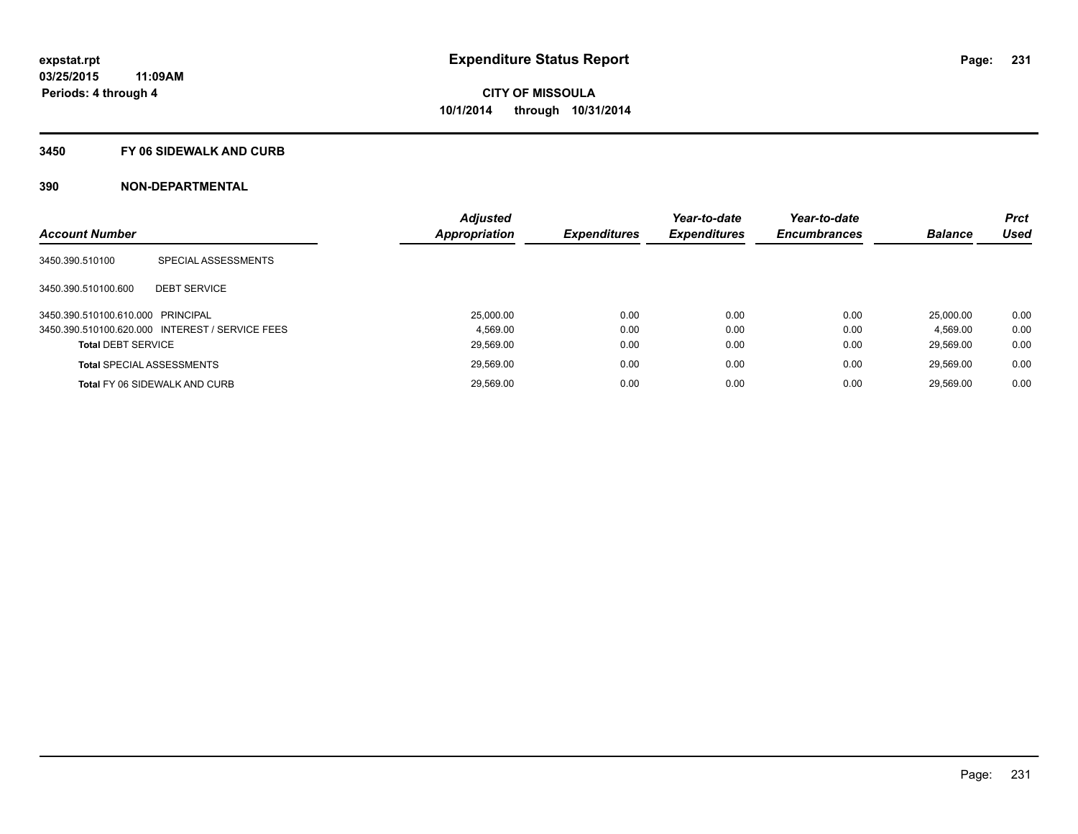#### **3450 FY 06 SIDEWALK AND CURB**

| <b>Account Number</b>             |                                                 | <b>Adjusted</b><br>Appropriation | <b>Expenditures</b> | Year-to-date<br><b>Expenditures</b> | Year-to-date<br><b>Encumbrances</b> | <b>Balance</b> | <b>Prct</b><br><b>Used</b> |
|-----------------------------------|-------------------------------------------------|----------------------------------|---------------------|-------------------------------------|-------------------------------------|----------------|----------------------------|
|                                   |                                                 |                                  |                     |                                     |                                     |                |                            |
| 3450.390.510100                   | SPECIAL ASSESSMENTS                             |                                  |                     |                                     |                                     |                |                            |
| 3450.390.510100.600               | <b>DEBT SERVICE</b>                             |                                  |                     |                                     |                                     |                |                            |
| 3450.390.510100.610.000 PRINCIPAL |                                                 | 25.000.00                        | 0.00                | 0.00                                | 0.00                                | 25.000.00      | 0.00                       |
|                                   | 3450.390.510100.620.000 INTEREST / SERVICE FEES | 4.569.00                         | 0.00                | 0.00                                | 0.00                                | 4.569.00       | 0.00                       |
| <b>Total DEBT SERVICE</b>         |                                                 | 29,569.00                        | 0.00                | 0.00                                | 0.00                                | 29.569.00      | 0.00                       |
|                                   | <b>Total SPECIAL ASSESSMENTS</b>                | 29.569.00                        | 0.00                | 0.00                                | 0.00                                | 29.569.00      | 0.00                       |
|                                   | <b>Total FY 06 SIDEWALK AND CURB</b>            | 29.569.00                        | 0.00                | 0.00                                | 0.00                                | 29.569.00      | 0.00                       |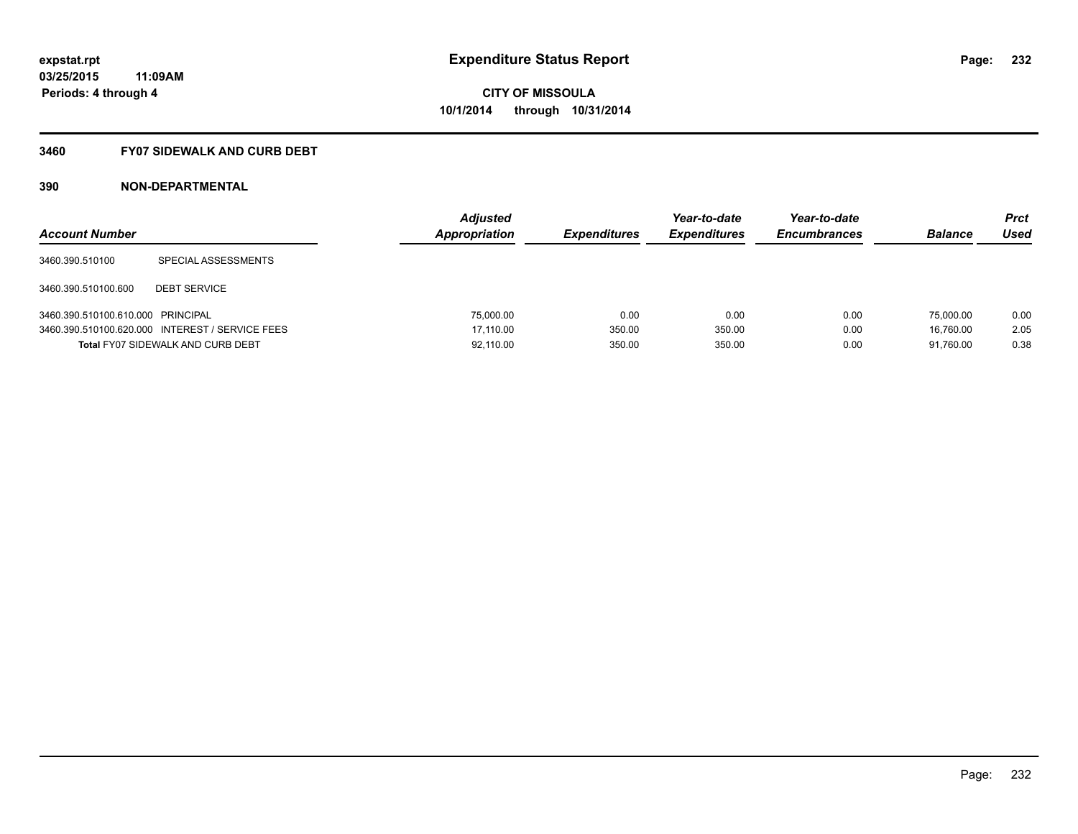#### **3460 FY07 SIDEWALK AND CURB DEBT**

| <b>Account Number</b>             |                                                 | <b>Adjusted</b><br>Appropriation | <b>Expenditures</b> | Year-to-date<br><b>Expenditures</b> | Year-to-date<br><b>Encumbrances</b> | <b>Balance</b> | Prct<br>Used |
|-----------------------------------|-------------------------------------------------|----------------------------------|---------------------|-------------------------------------|-------------------------------------|----------------|--------------|
| 3460.390.510100                   | SPECIAL ASSESSMENTS                             |                                  |                     |                                     |                                     |                |              |
| 3460.390.510100.600               | <b>DEBT SERVICE</b>                             |                                  |                     |                                     |                                     |                |              |
| 3460.390.510100.610.000 PRINCIPAL |                                                 | 75,000.00                        | 0.00                | 0.00                                | 0.00                                | 75,000.00      | 0.00         |
|                                   | 3460.390.510100.620.000 INTEREST / SERVICE FEES | 17.110.00                        | 350.00              | 350.00                              | 0.00                                | 16.760.00      | 2.05         |
|                                   | <b>Total FY07 SIDEWALK AND CURB DEBT</b>        | 92,110.00                        | 350.00              | 350.00                              | 0.00                                | 91.760.00      | 0.38         |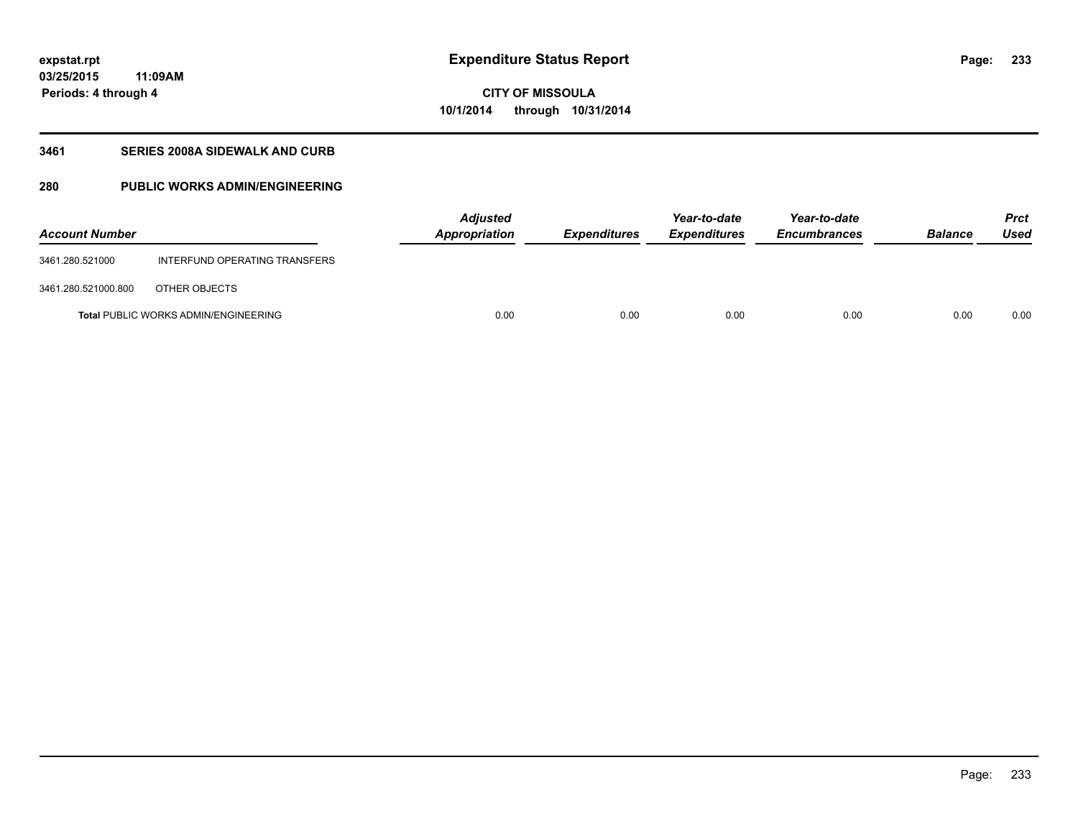**03/25/2015 11:09AM Periods: 4 through 4**

## **CITY OF MISSOULA 10/1/2014 through 10/31/2014**

### **3461 SERIES 2008A SIDEWALK AND CURB**

### **280 PUBLIC WORKS ADMIN/ENGINEERING**

| <b>Account Number</b> |                                             | <b>Adjusted</b><br>Appropriation | <b>Expenditures</b> | Year-to-date<br><b>Expenditures</b> | Year-to-date<br><b>Encumbrances</b> | <b>Balance</b> | <b>Prct</b><br><b>Used</b> |
|-----------------------|---------------------------------------------|----------------------------------|---------------------|-------------------------------------|-------------------------------------|----------------|----------------------------|
| 3461.280.521000       | INTERFUND OPERATING TRANSFERS               |                                  |                     |                                     |                                     |                |                            |
| 3461.280.521000.800   | OTHER OBJECTS                               |                                  |                     |                                     |                                     |                |                            |
|                       | <b>Total PUBLIC WORKS ADMIN/ENGINEERING</b> | 0.00                             | 0.00                | 0.00                                | 0.00                                | 0.00           | 0.00                       |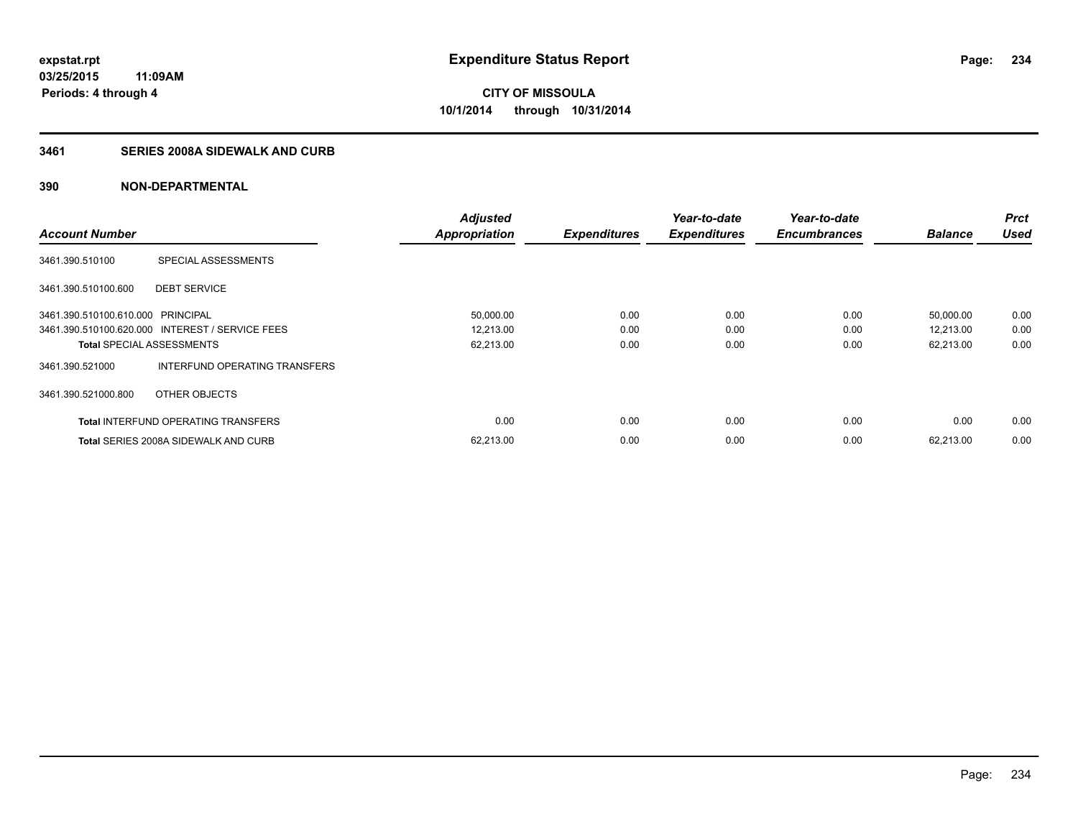### **3461 SERIES 2008A SIDEWALK AND CURB**

|                                   |                                                 | <b>Adjusted</b>      |                     | Year-to-date        | Year-to-date        |                | <b>Prct</b> |
|-----------------------------------|-------------------------------------------------|----------------------|---------------------|---------------------|---------------------|----------------|-------------|
| <b>Account Number</b>             |                                                 | <b>Appropriation</b> | <b>Expenditures</b> | <b>Expenditures</b> | <b>Encumbrances</b> | <b>Balance</b> | <b>Used</b> |
| 3461.390.510100                   | SPECIAL ASSESSMENTS                             |                      |                     |                     |                     |                |             |
| 3461.390.510100.600               | <b>DEBT SERVICE</b>                             |                      |                     |                     |                     |                |             |
| 3461.390.510100.610.000 PRINCIPAL |                                                 | 50,000.00            | 0.00                | 0.00                | 0.00                | 50,000.00      | 0.00        |
|                                   | 3461.390.510100.620.000 INTEREST / SERVICE FEES | 12,213.00            | 0.00                | 0.00                | 0.00                | 12,213.00      | 0.00        |
| <b>Total SPECIAL ASSESSMENTS</b>  |                                                 | 62,213.00            | 0.00                | 0.00                | 0.00                | 62,213.00      | 0.00        |
| 3461.390.521000                   | INTERFUND OPERATING TRANSFERS                   |                      |                     |                     |                     |                |             |
| 3461.390.521000.800               | OTHER OBJECTS                                   |                      |                     |                     |                     |                |             |
|                                   | <b>Total INTERFUND OPERATING TRANSFERS</b>      | 0.00                 | 0.00                | 0.00                | 0.00                | 0.00           | 0.00        |
|                                   | <b>Total SERIES 2008A SIDEWALK AND CURB</b>     | 62.213.00            | 0.00                | 0.00                | 0.00                | 62.213.00      | 0.00        |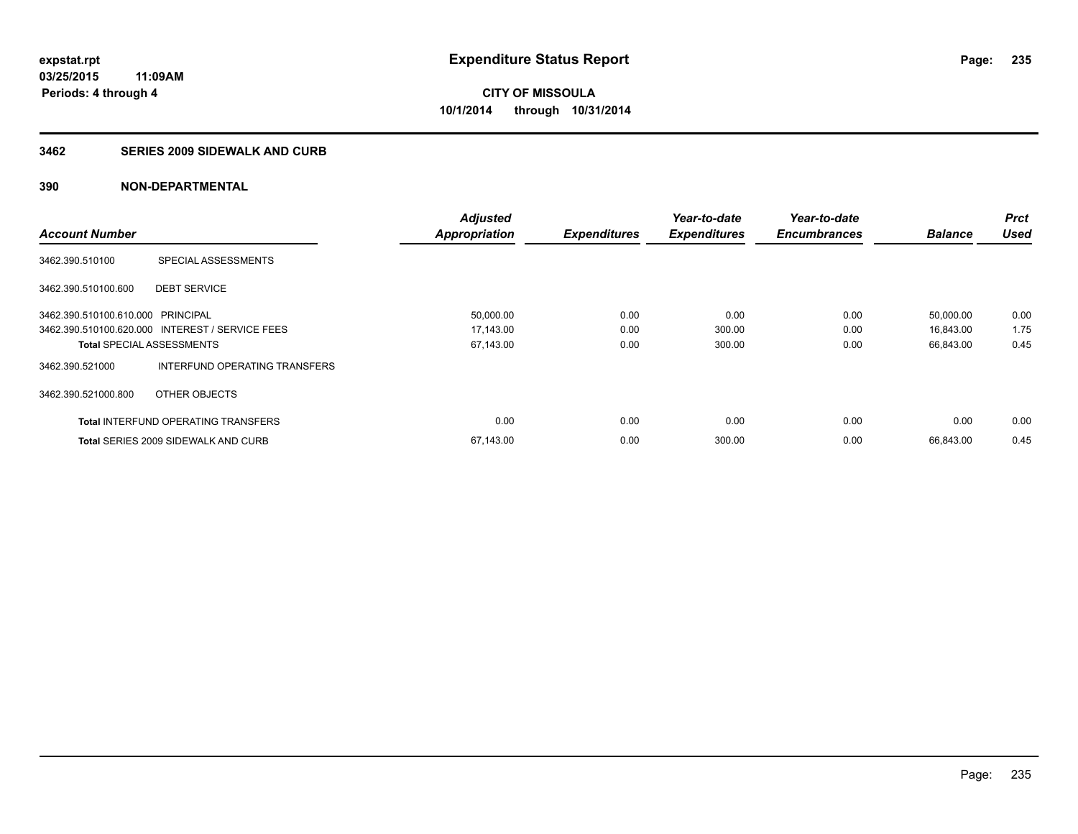### **3462 SERIES 2009 SIDEWALK AND CURB**

|                                   |                                                 | <b>Adjusted</b>      |                     | Year-to-date        | Year-to-date        |                | <b>Prct</b> |
|-----------------------------------|-------------------------------------------------|----------------------|---------------------|---------------------|---------------------|----------------|-------------|
| <b>Account Number</b>             |                                                 | <b>Appropriation</b> | <b>Expenditures</b> | <b>Expenditures</b> | <b>Encumbrances</b> | <b>Balance</b> | <b>Used</b> |
| 3462.390.510100                   | SPECIAL ASSESSMENTS                             |                      |                     |                     |                     |                |             |
| 3462.390.510100.600               | <b>DEBT SERVICE</b>                             |                      |                     |                     |                     |                |             |
| 3462.390.510100.610.000 PRINCIPAL |                                                 | 50,000.00            | 0.00                | 0.00                | 0.00                | 50,000.00      | 0.00        |
|                                   | 3462.390.510100.620.000 INTEREST / SERVICE FEES | 17,143.00            | 0.00                | 300.00              | 0.00                | 16,843.00      | 1.75        |
| <b>Total SPECIAL ASSESSMENTS</b>  |                                                 | 67,143.00            | 0.00                | 300.00              | 0.00                | 66,843.00      | 0.45        |
| 3462.390.521000                   | INTERFUND OPERATING TRANSFERS                   |                      |                     |                     |                     |                |             |
| 3462.390.521000.800               | OTHER OBJECTS                                   |                      |                     |                     |                     |                |             |
|                                   | <b>Total INTERFUND OPERATING TRANSFERS</b>      | 0.00                 | 0.00                | 0.00                | 0.00                | 0.00           | 0.00        |
|                                   | <b>Total SERIES 2009 SIDEWALK AND CURB</b>      | 67,143.00            | 0.00                | 300.00              | 0.00                | 66.843.00      | 0.45        |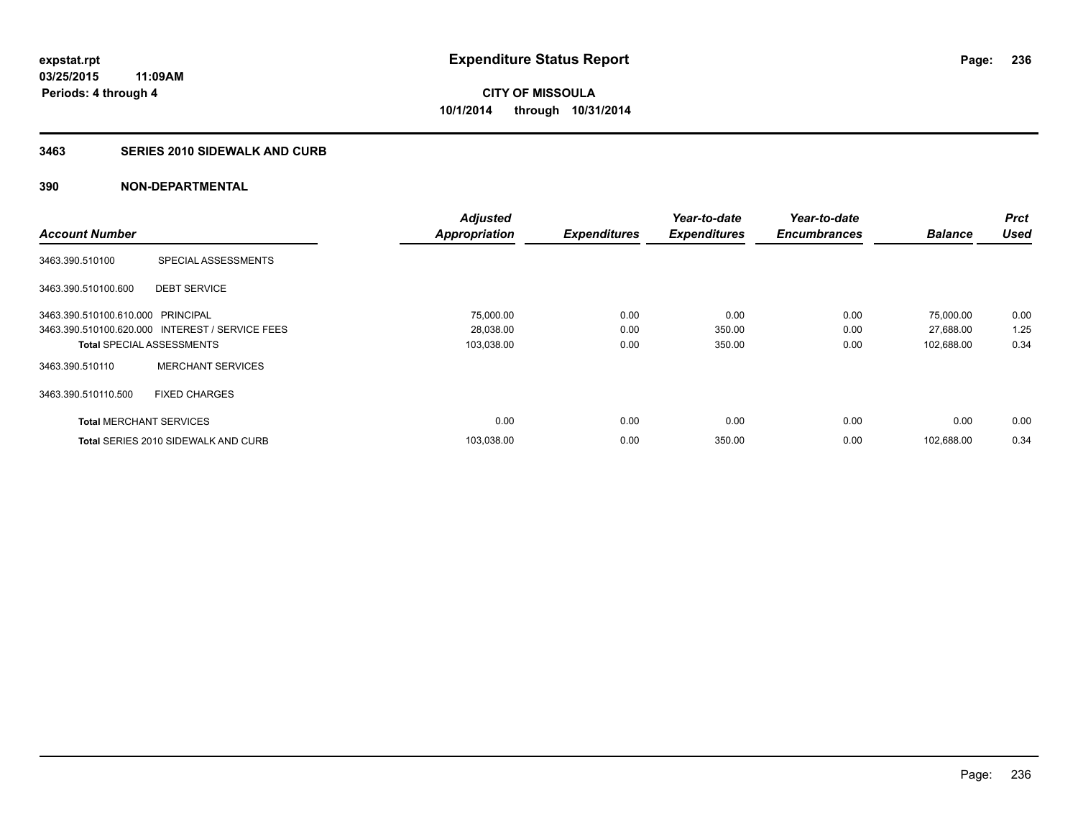### **3463 SERIES 2010 SIDEWALK AND CURB**

|                                   |                                                 | <b>Adjusted</b>      |                     | Year-to-date        | Year-to-date        |                | <b>Prct</b> |
|-----------------------------------|-------------------------------------------------|----------------------|---------------------|---------------------|---------------------|----------------|-------------|
| <b>Account Number</b>             |                                                 | <b>Appropriation</b> | <b>Expenditures</b> | <b>Expenditures</b> | <b>Encumbrances</b> | <b>Balance</b> | <b>Used</b> |
| 3463.390.510100                   | SPECIAL ASSESSMENTS                             |                      |                     |                     |                     |                |             |
| 3463.390.510100.600               | <b>DEBT SERVICE</b>                             |                      |                     |                     |                     |                |             |
| 3463.390.510100.610.000 PRINCIPAL |                                                 | 75,000.00            | 0.00                | 0.00                | 0.00                | 75,000.00      | 0.00        |
|                                   | 3463.390.510100.620.000 INTEREST / SERVICE FEES | 28,038.00            | 0.00                | 350.00              | 0.00                | 27,688.00      | 1.25        |
| <b>Total SPECIAL ASSESSMENTS</b>  |                                                 | 103,038.00           | 0.00                | 350.00              | 0.00                | 102,688.00     | 0.34        |
| 3463.390.510110                   | <b>MERCHANT SERVICES</b>                        |                      |                     |                     |                     |                |             |
| 3463.390.510110.500               | <b>FIXED CHARGES</b>                            |                      |                     |                     |                     |                |             |
| <b>Total MERCHANT SERVICES</b>    |                                                 | 0.00                 | 0.00                | 0.00                | 0.00                | 0.00           | 0.00        |
|                                   | <b>Total SERIES 2010 SIDEWALK AND CURB</b>      | 103,038.00           | 0.00                | 350.00              | 0.00                | 102.688.00     | 0.34        |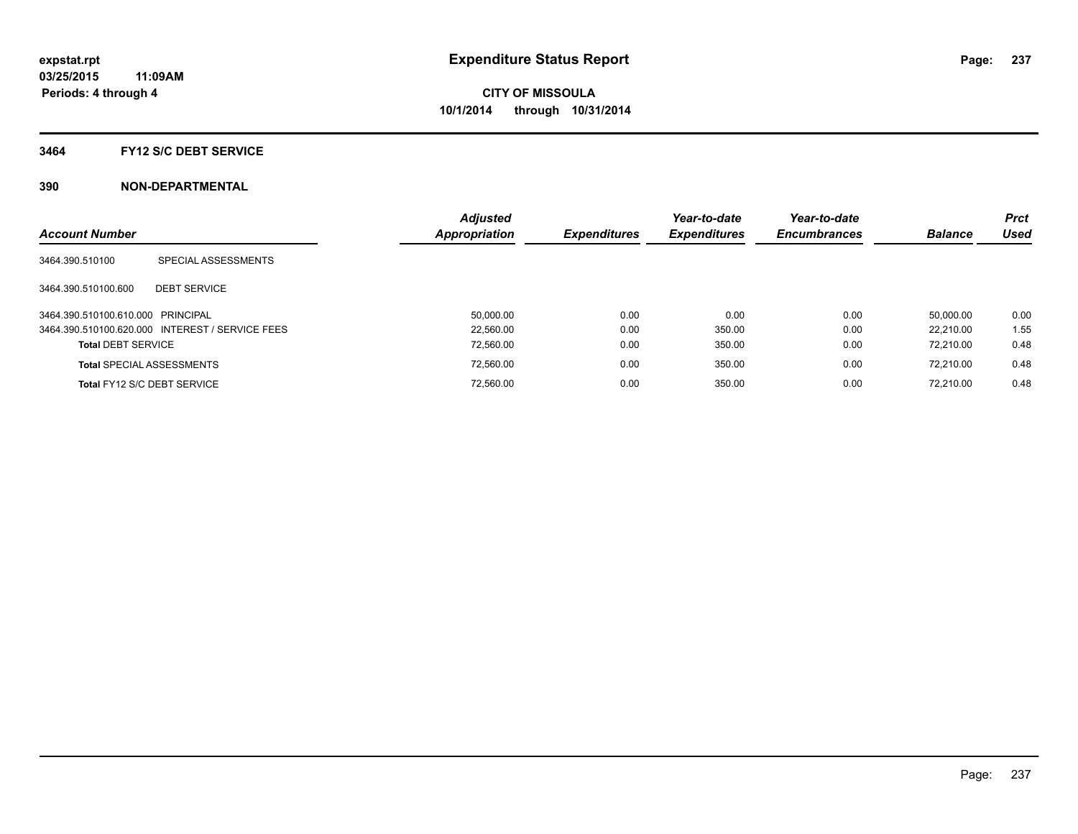#### **3464 FY12 S/C DEBT SERVICE**

| <b>Account Number</b>             |                                                 | <b>Adjusted</b><br><b>Appropriation</b> | <b>Expenditures</b> | Year-to-date<br><b>Expenditures</b> | Year-to-date<br><b>Encumbrances</b> | <b>Balance</b> | <b>Prct</b><br><b>Used</b> |
|-----------------------------------|-------------------------------------------------|-----------------------------------------|---------------------|-------------------------------------|-------------------------------------|----------------|----------------------------|
| 3464.390.510100                   | SPECIAL ASSESSMENTS                             |                                         |                     |                                     |                                     |                |                            |
| 3464.390.510100.600               | <b>DEBT SERVICE</b>                             |                                         |                     |                                     |                                     |                |                            |
| 3464.390.510100.610.000 PRINCIPAL |                                                 | 50.000.00                               | 0.00                | 0.00                                | 0.00                                | 50.000.00      | 0.00                       |
|                                   | 3464.390.510100.620.000 INTEREST / SERVICE FEES | 22.560.00                               | 0.00                | 350.00                              | 0.00                                | 22.210.00      | 1.55                       |
| <b>Total DEBT SERVICE</b>         |                                                 | 72.560.00                               | 0.00                | 350.00                              | 0.00                                | 72.210.00      | 0.48                       |
|                                   | <b>Total SPECIAL ASSESSMENTS</b>                | 72.560.00                               | 0.00                | 350.00                              | 0.00                                | 72.210.00      | 0.48                       |
|                                   | Total FY12 S/C DEBT SERVICE                     | 72.560.00                               | 0.00                | 350.00                              | 0.00                                | 72.210.00      | 0.48                       |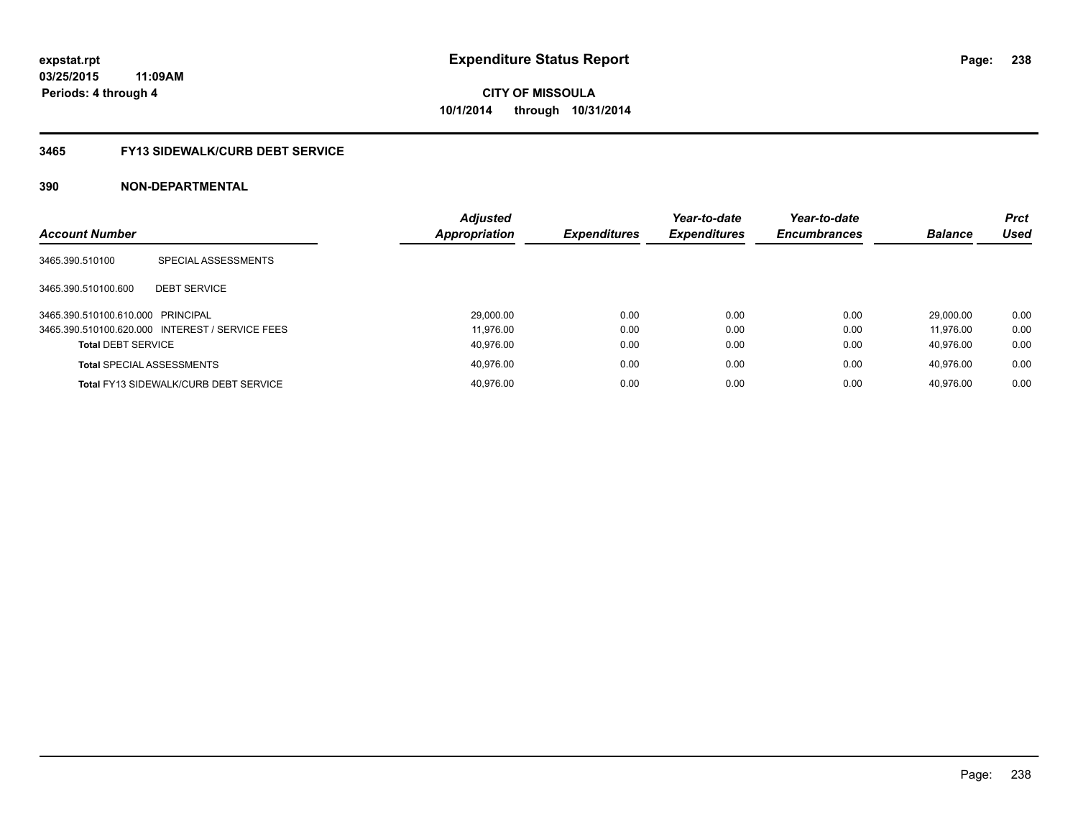### **3465 FY13 SIDEWALK/CURB DEBT SERVICE**

| <b>Account Number</b>             |                                                 | <b>Adjusted</b><br><b>Appropriation</b> | <b>Expenditures</b> | Year-to-date<br><b>Expenditures</b> | Year-to-date<br><b>Encumbrances</b> | <b>Balance</b> | <b>Prct</b><br>Used |
|-----------------------------------|-------------------------------------------------|-----------------------------------------|---------------------|-------------------------------------|-------------------------------------|----------------|---------------------|
| 3465.390.510100                   | SPECIAL ASSESSMENTS                             |                                         |                     |                                     |                                     |                |                     |
| 3465.390.510100.600               | <b>DEBT SERVICE</b>                             |                                         |                     |                                     |                                     |                |                     |
| 3465.390.510100.610.000 PRINCIPAL |                                                 | 29,000.00                               | 0.00                | 0.00                                | 0.00                                | 29.000.00      | 0.00                |
|                                   | 3465.390.510100.620.000 INTEREST / SERVICE FEES | 11.976.00                               | 0.00                | 0.00                                | 0.00                                | 11.976.00      | 0.00                |
| <b>Total DEBT SERVICE</b>         |                                                 | 40.976.00                               | 0.00                | 0.00                                | 0.00                                | 40.976.00      | 0.00                |
|                                   | <b>Total SPECIAL ASSESSMENTS</b>                | 40.976.00                               | 0.00                | 0.00                                | 0.00                                | 40.976.00      | 0.00                |
|                                   | <b>Total FY13 SIDEWALK/CURB DEBT SERVICE</b>    | 40.976.00                               | 0.00                | 0.00                                | 0.00                                | 40.976.00      | 0.00                |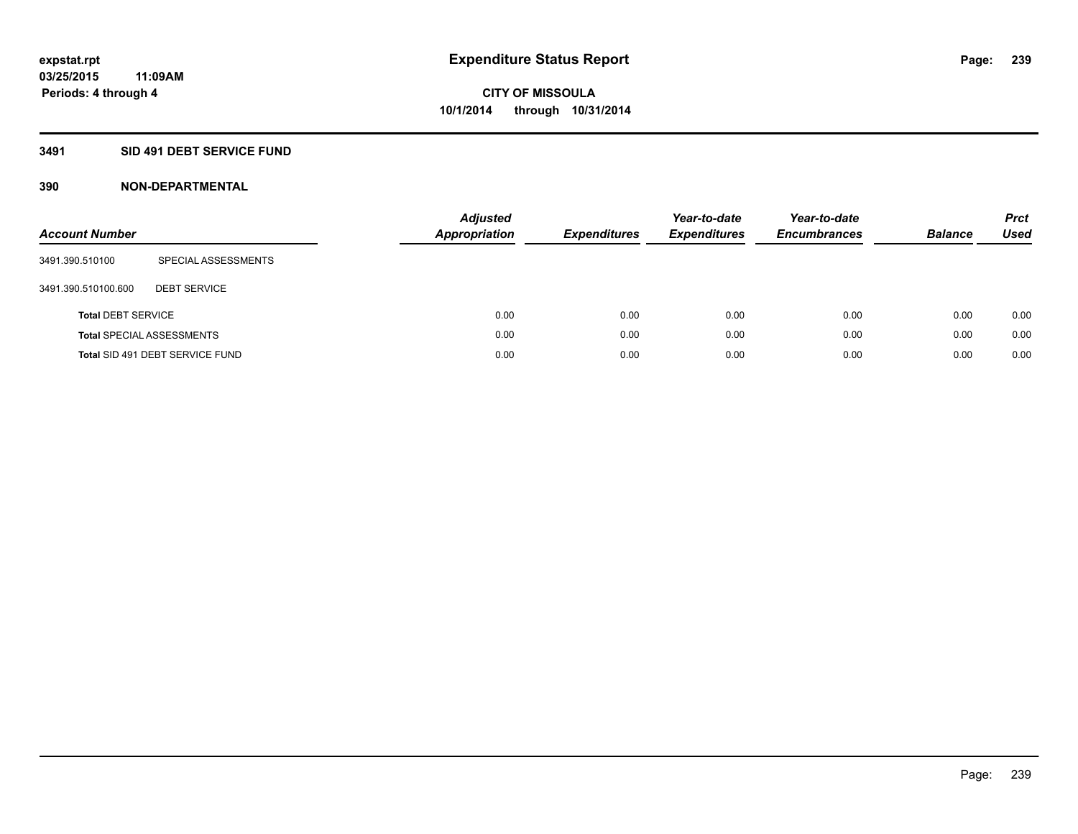### **3491 SID 491 DEBT SERVICE FUND**

| <b>Account Number</b>     |                                  | <b>Adjusted</b><br><b>Appropriation</b> | <b>Expenditures</b> | Year-to-date<br><b>Expenditures</b> | Year-to-date<br><b>Encumbrances</b> | <b>Balance</b> | <b>Prct</b><br>Used |
|---------------------------|----------------------------------|-----------------------------------------|---------------------|-------------------------------------|-------------------------------------|----------------|---------------------|
| 3491.390.510100           | SPECIAL ASSESSMENTS              |                                         |                     |                                     |                                     |                |                     |
| 3491.390.510100.600       | <b>DEBT SERVICE</b>              |                                         |                     |                                     |                                     |                |                     |
| <b>Total DEBT SERVICE</b> |                                  | 0.00                                    | 0.00                | 0.00                                | 0.00                                | 0.00           | 0.00                |
|                           | <b>Total SPECIAL ASSESSMENTS</b> | 0.00                                    | 0.00                | 0.00                                | 0.00                                | 0.00           | 0.00                |
|                           | Total SID 491 DEBT SERVICE FUND  | 0.00                                    | 0.00                | 0.00                                | 0.00                                | 0.00           | 0.00                |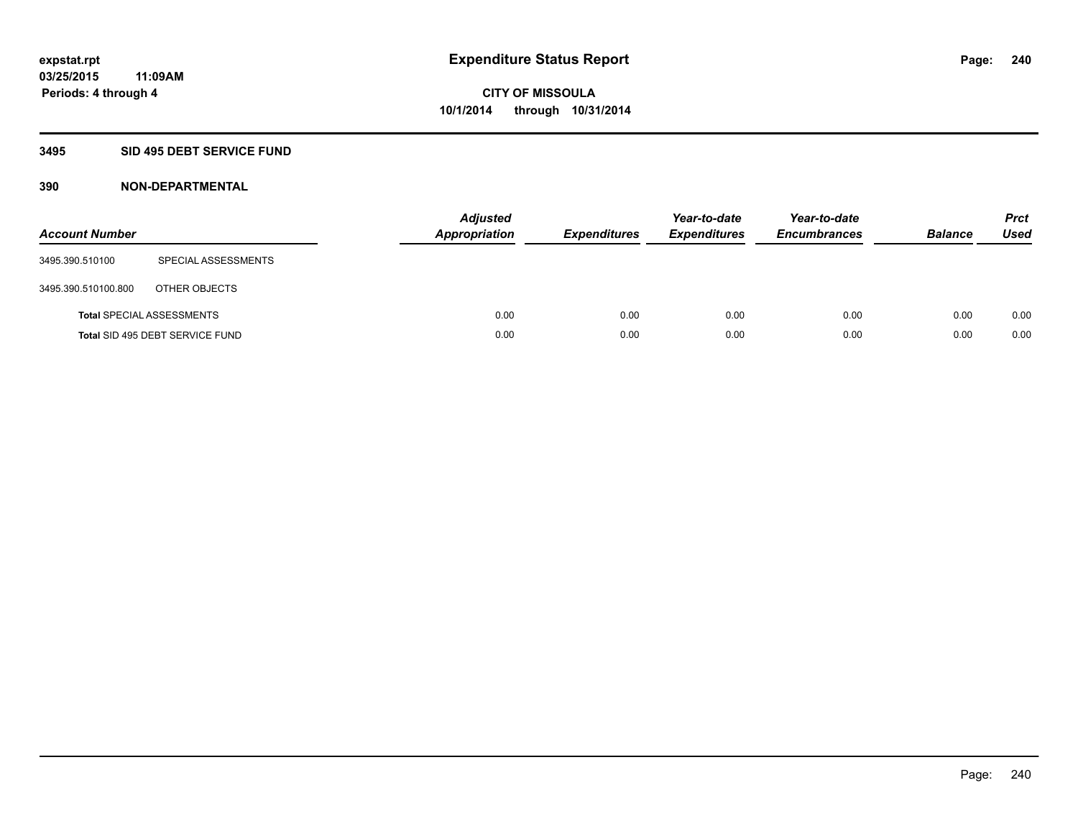### **3495 SID 495 DEBT SERVICE FUND**

| <b>Account Number</b> |                                  | <b>Adjusted</b><br>Appropriation | <b>Expenditures</b> | Year-to-date<br><b>Expenditures</b> | Year-to-date<br><b>Encumbrances</b> | <b>Balance</b> | <b>Prct</b><br><b>Used</b> |
|-----------------------|----------------------------------|----------------------------------|---------------------|-------------------------------------|-------------------------------------|----------------|----------------------------|
| 3495.390.510100       | SPECIAL ASSESSMENTS              |                                  |                     |                                     |                                     |                |                            |
| 3495.390.510100.800   | OTHER OBJECTS                    |                                  |                     |                                     |                                     |                |                            |
|                       | <b>Total SPECIAL ASSESSMENTS</b> | 0.00                             | 0.00                | 0.00                                | 0.00                                | 0.00           | 0.00                       |
|                       | Total SID 495 DEBT SERVICE FUND  | 0.00                             | 0.00                | 0.00                                | 0.00                                | 0.00           | 0.00                       |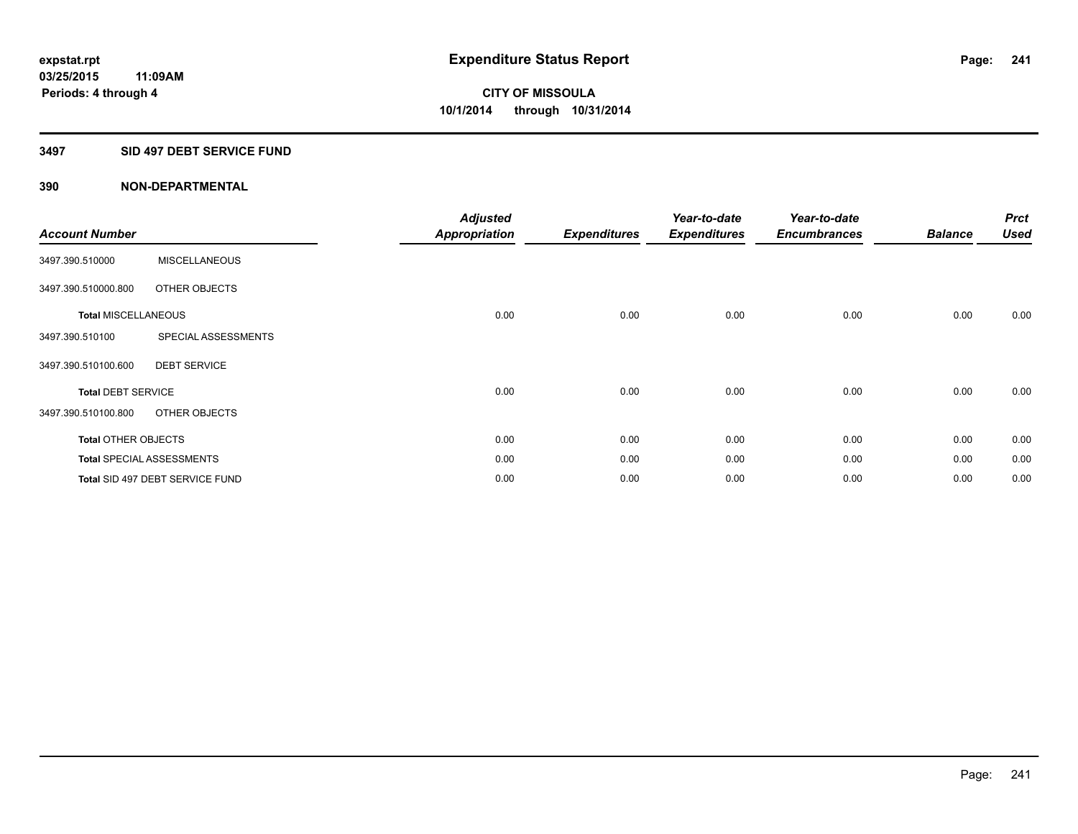### **3497 SID 497 DEBT SERVICE FUND**

| <b>Account Number</b>      |                                  | <b>Adjusted</b><br><b>Appropriation</b> | <b>Expenditures</b> | Year-to-date<br><b>Expenditures</b> | Year-to-date<br><b>Encumbrances</b> | <b>Balance</b> | <b>Prct</b><br><b>Used</b> |
|----------------------------|----------------------------------|-----------------------------------------|---------------------|-------------------------------------|-------------------------------------|----------------|----------------------------|
| 3497.390.510000            | <b>MISCELLANEOUS</b>             |                                         |                     |                                     |                                     |                |                            |
| 3497.390.510000.800        | OTHER OBJECTS                    |                                         |                     |                                     |                                     |                |                            |
| <b>Total MISCELLANEOUS</b> |                                  | 0.00                                    | 0.00                | 0.00                                | 0.00                                | 0.00           | 0.00                       |
| 3497.390.510100            | SPECIAL ASSESSMENTS              |                                         |                     |                                     |                                     |                |                            |
| 3497.390.510100.600        | <b>DEBT SERVICE</b>              |                                         |                     |                                     |                                     |                |                            |
| <b>Total DEBT SERVICE</b>  |                                  | 0.00                                    | 0.00                | 0.00                                | 0.00                                | 0.00           | 0.00                       |
| 3497.390.510100.800        | OTHER OBJECTS                    |                                         |                     |                                     |                                     |                |                            |
| <b>Total OTHER OBJECTS</b> |                                  | 0.00                                    | 0.00                | 0.00                                | 0.00                                | 0.00           | 0.00                       |
|                            | <b>Total SPECIAL ASSESSMENTS</b> | 0.00                                    | 0.00                | 0.00                                | 0.00                                | 0.00           | 0.00                       |
|                            | Total SID 497 DEBT SERVICE FUND  | 0.00                                    | 0.00                | 0.00                                | 0.00                                | 0.00           | 0.00                       |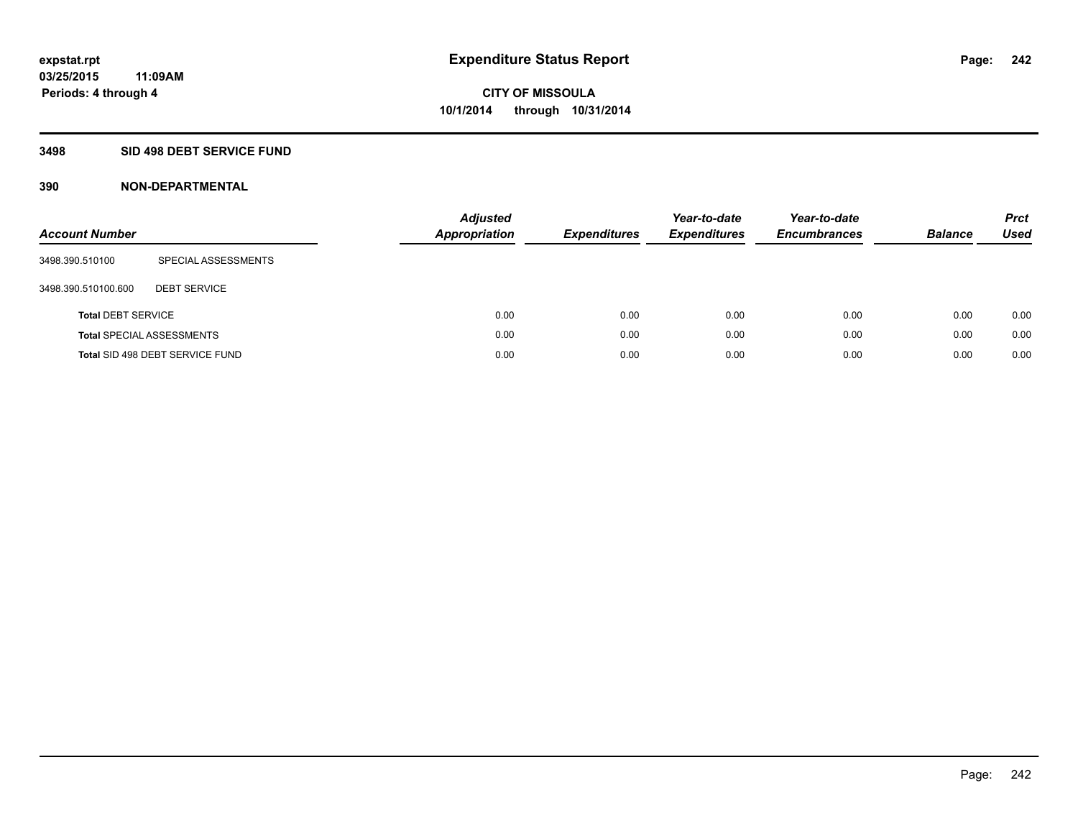### **3498 SID 498 DEBT SERVICE FUND**

| <b>Account Number</b>     |                                  | <b>Adjusted</b><br><b>Appropriation</b> | <b>Expenditures</b> | Year-to-date<br><b>Expenditures</b> | Year-to-date<br><b>Encumbrances</b> | <b>Balance</b> | <b>Prct</b><br>Used |
|---------------------------|----------------------------------|-----------------------------------------|---------------------|-------------------------------------|-------------------------------------|----------------|---------------------|
| 3498.390.510100           | SPECIAL ASSESSMENTS              |                                         |                     |                                     |                                     |                |                     |
| 3498.390.510100.600       | <b>DEBT SERVICE</b>              |                                         |                     |                                     |                                     |                |                     |
| <b>Total DEBT SERVICE</b> |                                  | 0.00                                    | 0.00                | 0.00                                | 0.00                                | 0.00           | 0.00                |
|                           | <b>Total SPECIAL ASSESSMENTS</b> | 0.00                                    | 0.00                | 0.00                                | 0.00                                | 0.00           | 0.00                |
|                           | Total SID 498 DEBT SERVICE FUND  | 0.00                                    | 0.00                | 0.00                                | 0.00                                | 0.00           | 0.00                |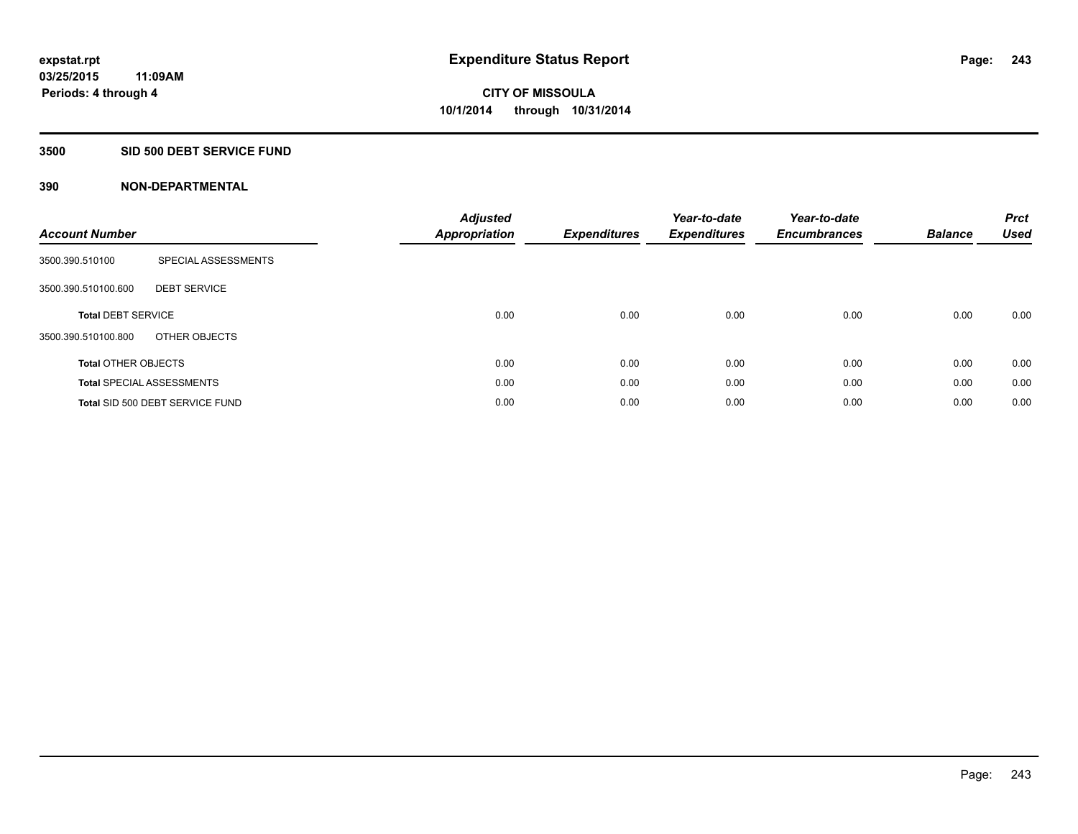#### **3500 SID 500 DEBT SERVICE FUND**

| <b>Account Number</b>      |                                  | <b>Adjusted</b><br>Appropriation | <b>Expenditures</b> | Year-to-date<br><b>Expenditures</b> | Year-to-date<br><b>Encumbrances</b> | <b>Balance</b> | <b>Prct</b><br><b>Used</b> |
|----------------------------|----------------------------------|----------------------------------|---------------------|-------------------------------------|-------------------------------------|----------------|----------------------------|
| 3500.390.510100            | SPECIAL ASSESSMENTS              |                                  |                     |                                     |                                     |                |                            |
| 3500.390.510100.600        | <b>DEBT SERVICE</b>              |                                  |                     |                                     |                                     |                |                            |
| <b>Total DEBT SERVICE</b>  |                                  | 0.00                             | 0.00                | 0.00                                | 0.00                                | 0.00           | 0.00                       |
| 3500.390.510100.800        | OTHER OBJECTS                    |                                  |                     |                                     |                                     |                |                            |
| <b>Total OTHER OBJECTS</b> |                                  | 0.00                             | 0.00                | 0.00                                | 0.00                                | 0.00           | 0.00                       |
|                            | <b>Total SPECIAL ASSESSMENTS</b> | 0.00                             | 0.00                | 0.00                                | 0.00                                | 0.00           | 0.00                       |
|                            | Total SID 500 DEBT SERVICE FUND  | 0.00                             | 0.00                | 0.00                                | 0.00                                | 0.00           | 0.00                       |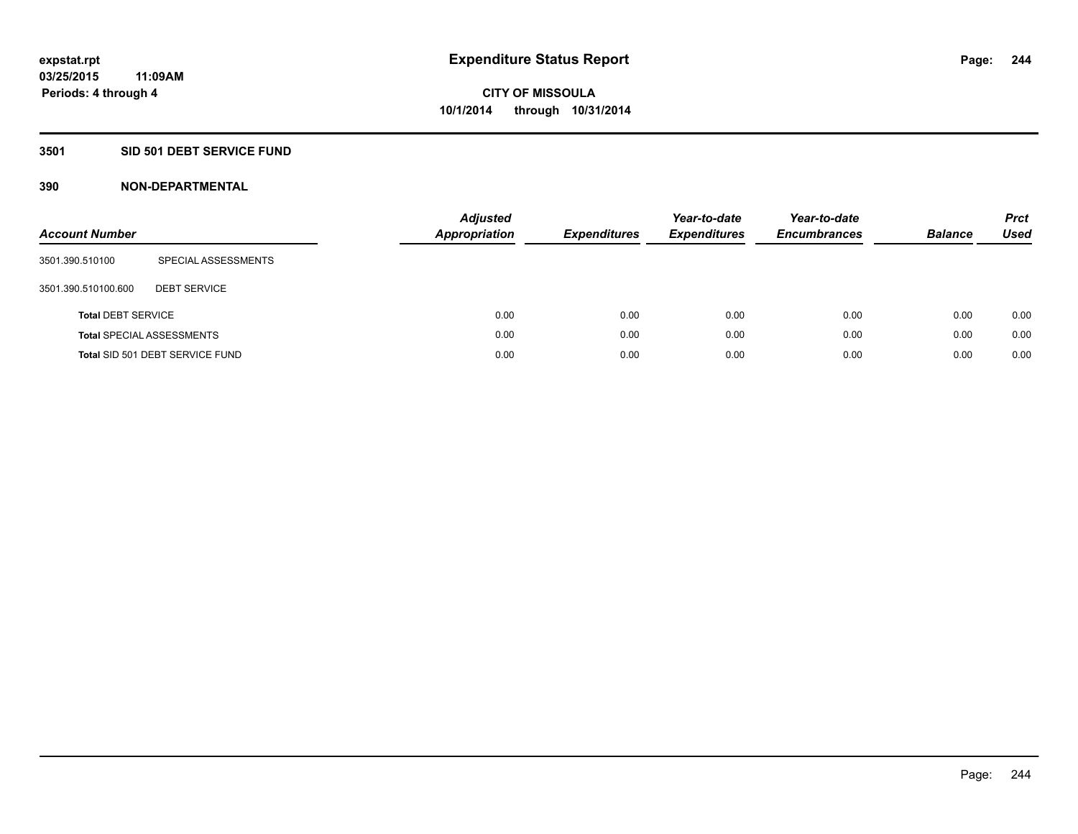### **3501 SID 501 DEBT SERVICE FUND**

| <b>Account Number</b>     |                                  | <b>Adjusted</b><br><b>Appropriation</b> | <b>Expenditures</b> | Year-to-date<br><b>Expenditures</b> | Year-to-date<br><b>Encumbrances</b> | <b>Balance</b> | <b>Prct</b><br>Used |
|---------------------------|----------------------------------|-----------------------------------------|---------------------|-------------------------------------|-------------------------------------|----------------|---------------------|
| 3501.390.510100           | SPECIAL ASSESSMENTS              |                                         |                     |                                     |                                     |                |                     |
| 3501.390.510100.600       | <b>DEBT SERVICE</b>              |                                         |                     |                                     |                                     |                |                     |
| <b>Total DEBT SERVICE</b> |                                  | 0.00                                    | 0.00                | 0.00                                | 0.00                                | 0.00           | 0.00                |
|                           | <b>Total SPECIAL ASSESSMENTS</b> | 0.00                                    | 0.00                | 0.00                                | 0.00                                | 0.00           | 0.00                |
|                           | Total SID 501 DEBT SERVICE FUND  | 0.00                                    | 0.00                | 0.00                                | 0.00                                | 0.00           | 0.00                |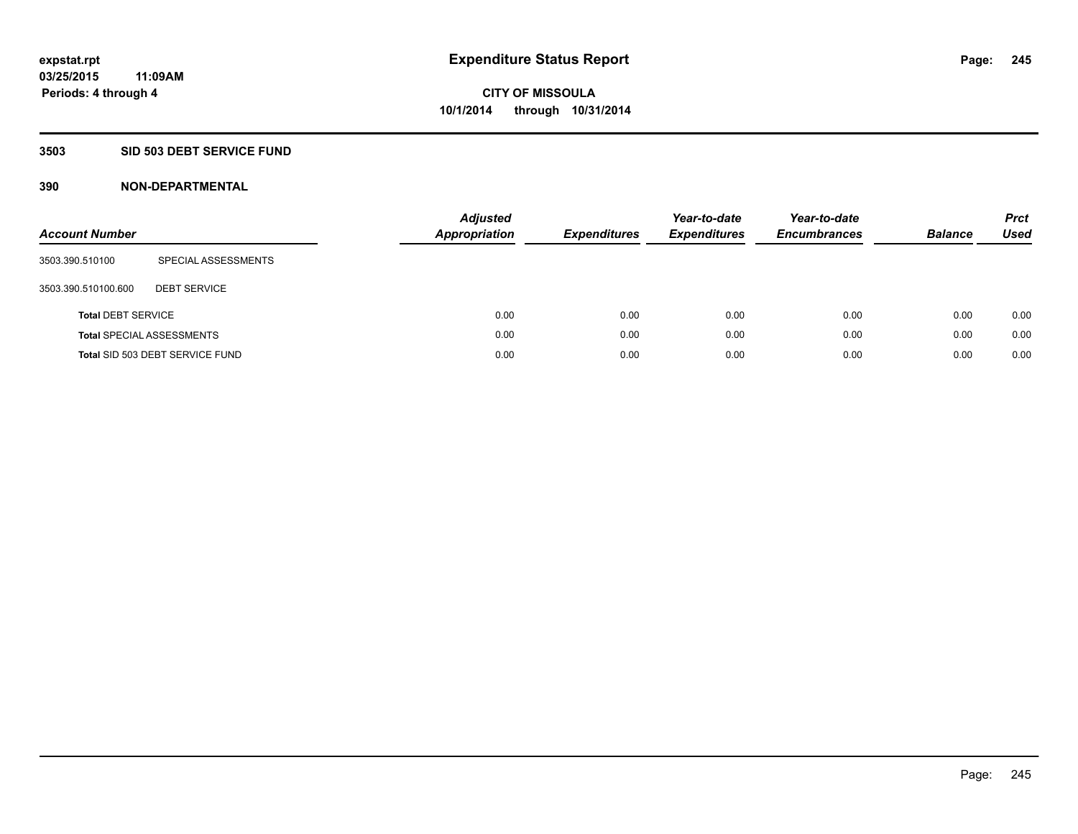### **3503 SID 503 DEBT SERVICE FUND**

| <b>Account Number</b>     |                                  | <b>Adjusted</b><br>Appropriation | <b>Expenditures</b> | Year-to-date<br><b>Expenditures</b> | Year-to-date<br><b>Encumbrances</b> | <b>Balance</b> | <b>Prct</b><br>Used |
|---------------------------|----------------------------------|----------------------------------|---------------------|-------------------------------------|-------------------------------------|----------------|---------------------|
| 3503.390.510100           | SPECIAL ASSESSMENTS              |                                  |                     |                                     |                                     |                |                     |
| 3503.390.510100.600       | <b>DEBT SERVICE</b>              |                                  |                     |                                     |                                     |                |                     |
| <b>Total DEBT SERVICE</b> |                                  | 0.00                             | 0.00                | 0.00                                | 0.00                                | 0.00           | 0.00                |
|                           | <b>Total SPECIAL ASSESSMENTS</b> | 0.00                             | 0.00                | 0.00                                | 0.00                                | 0.00           | 0.00                |
|                           | Total SID 503 DEBT SERVICE FUND  | 0.00                             | 0.00                | 0.00                                | 0.00                                | 0.00           | 0.00                |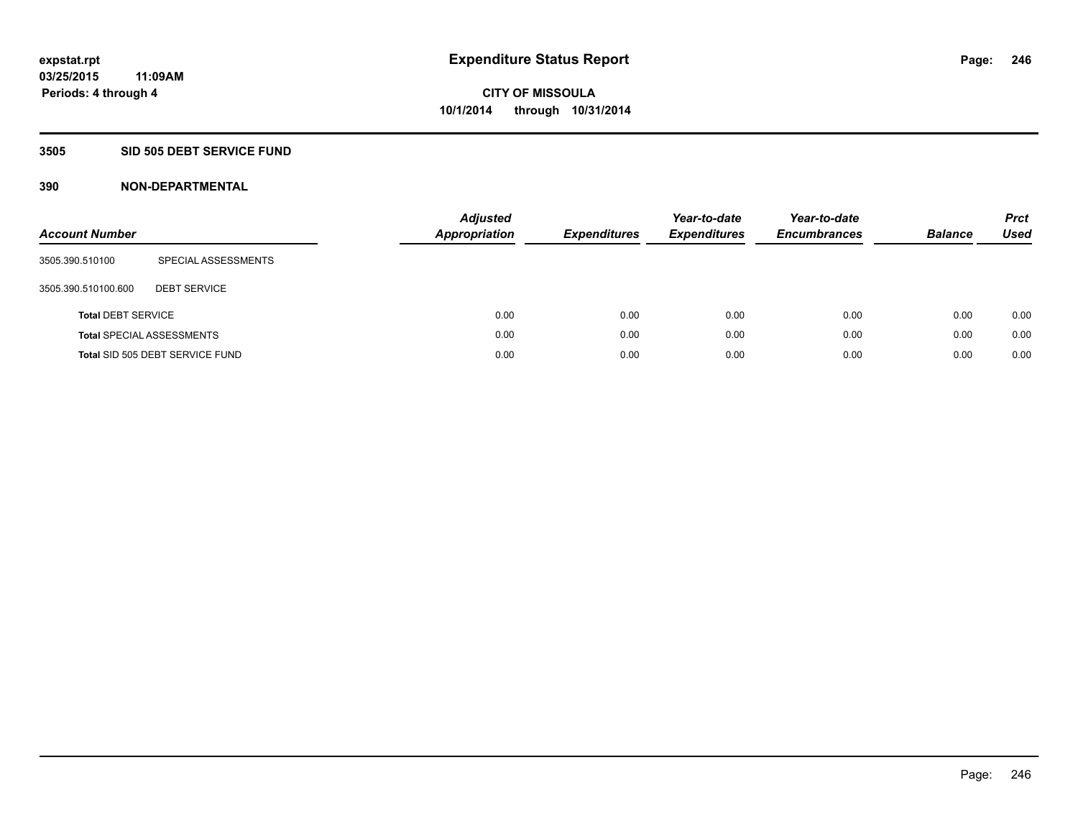#### **3505 SID 505 DEBT SERVICE FUND**

| <b>Account Number</b>     |                                  | <b>Adjusted</b><br><b>Appropriation</b> | <b>Expenditures</b> | Year-to-date<br><b>Expenditures</b> | Year-to-date<br><b>Encumbrances</b> | <b>Balance</b> | <b>Prct</b><br><b>Used</b> |
|---------------------------|----------------------------------|-----------------------------------------|---------------------|-------------------------------------|-------------------------------------|----------------|----------------------------|
| 3505.390.510100           | SPECIAL ASSESSMENTS              |                                         |                     |                                     |                                     |                |                            |
| 3505.390.510100.600       | <b>DEBT SERVICE</b>              |                                         |                     |                                     |                                     |                |                            |
| <b>Total DEBT SERVICE</b> |                                  | 0.00                                    | 0.00                | 0.00                                | 0.00                                | 0.00           | 0.00                       |
|                           | <b>Total SPECIAL ASSESSMENTS</b> | 0.00                                    | 0.00                | 0.00                                | 0.00                                | 0.00           | 0.00                       |
|                           | Total SID 505 DEBT SERVICE FUND  | 0.00                                    | 0.00                | 0.00                                | 0.00                                | 0.00           | 0.00                       |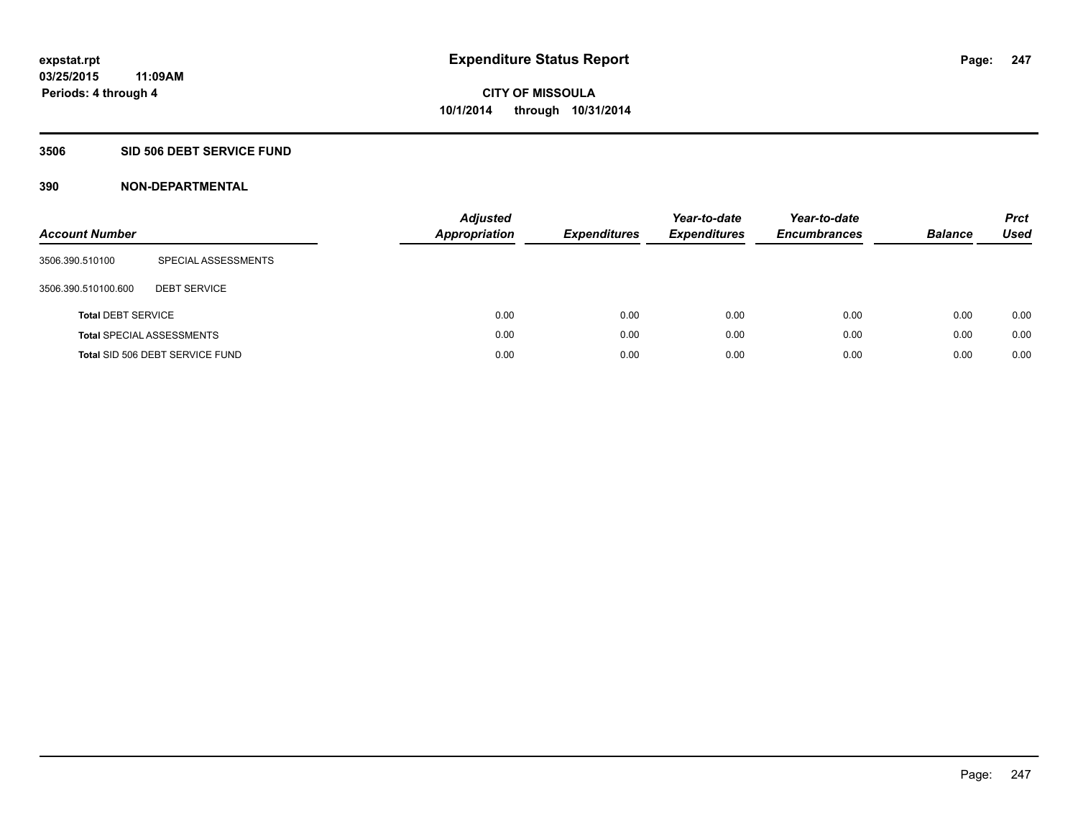### **3506 SID 506 DEBT SERVICE FUND**

| <b>Account Number</b>     |                                  | <b>Adjusted</b><br><b>Appropriation</b> | <b>Expenditures</b> | Year-to-date<br><b>Expenditures</b> | Year-to-date<br><b>Encumbrances</b> | <b>Balance</b> | <b>Prct</b><br><b>Used</b> |
|---------------------------|----------------------------------|-----------------------------------------|---------------------|-------------------------------------|-------------------------------------|----------------|----------------------------|
| 3506.390.510100           | SPECIAL ASSESSMENTS              |                                         |                     |                                     |                                     |                |                            |
| 3506.390.510100.600       | <b>DEBT SERVICE</b>              |                                         |                     |                                     |                                     |                |                            |
| <b>Total DEBT SERVICE</b> |                                  | 0.00                                    | 0.00                | 0.00                                | 0.00                                | 0.00           | 0.00                       |
|                           | <b>Total SPECIAL ASSESSMENTS</b> | 0.00                                    | 0.00                | 0.00                                | 0.00                                | 0.00           | 0.00                       |
|                           | Total SID 506 DEBT SERVICE FUND  | 0.00                                    | 0.00                | 0.00                                | 0.00                                | 0.00           | 0.00                       |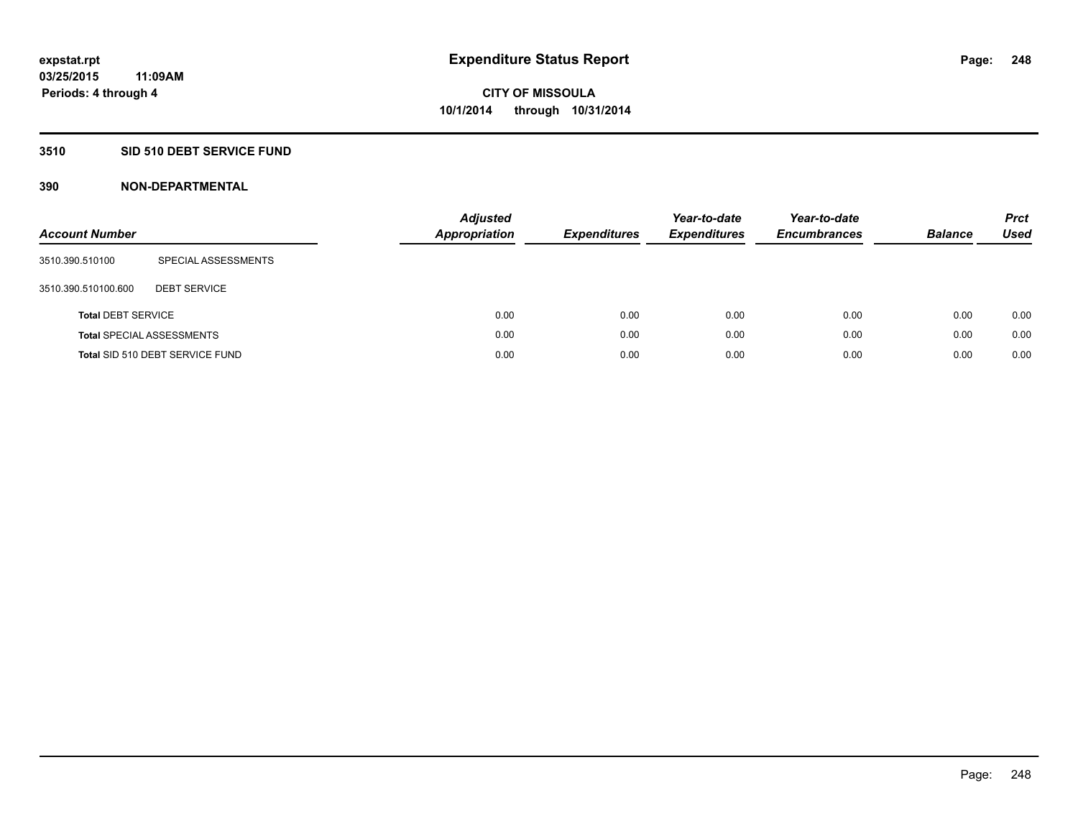### **3510 SID 510 DEBT SERVICE FUND**

| <b>Account Number</b>     |                                  | <b>Adjusted</b><br><b>Appropriation</b> | <b>Expenditures</b> | Year-to-date<br><b>Expenditures</b> | Year-to-date<br><b>Encumbrances</b> | <b>Balance</b> | <b>Prct</b><br>Used |
|---------------------------|----------------------------------|-----------------------------------------|---------------------|-------------------------------------|-------------------------------------|----------------|---------------------|
| 3510.390.510100           | SPECIAL ASSESSMENTS              |                                         |                     |                                     |                                     |                |                     |
| 3510.390.510100.600       | <b>DEBT SERVICE</b>              |                                         |                     |                                     |                                     |                |                     |
| <b>Total DEBT SERVICE</b> |                                  | 0.00                                    | 0.00                | 0.00                                | 0.00                                | 0.00           | 0.00                |
|                           | <b>Total SPECIAL ASSESSMENTS</b> | 0.00                                    | 0.00                | 0.00                                | 0.00                                | 0.00           | 0.00                |
|                           | Total SID 510 DEBT SERVICE FUND  | 0.00                                    | 0.00                | 0.00                                | 0.00                                | 0.00           | 0.00                |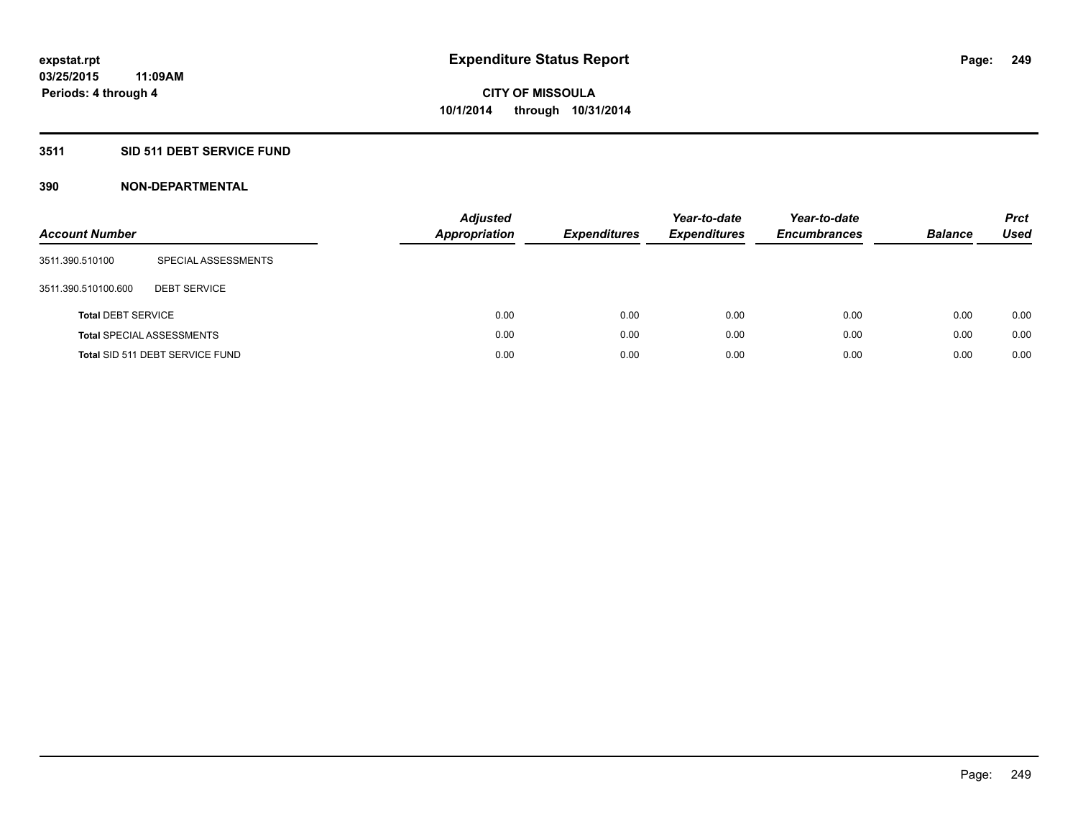### **3511 SID 511 DEBT SERVICE FUND**

| <b>Account Number</b>     |                                  | <b>Adjusted</b><br><b>Appropriation</b> | <b>Expenditures</b> | Year-to-date<br><b>Expenditures</b> | Year-to-date<br><b>Encumbrances</b> | <b>Balance</b> | <b>Prct</b><br>Used |
|---------------------------|----------------------------------|-----------------------------------------|---------------------|-------------------------------------|-------------------------------------|----------------|---------------------|
| 3511.390.510100           | SPECIAL ASSESSMENTS              |                                         |                     |                                     |                                     |                |                     |
| 3511.390.510100.600       | <b>DEBT SERVICE</b>              |                                         |                     |                                     |                                     |                |                     |
| <b>Total DEBT SERVICE</b> |                                  | 0.00                                    | 0.00                | 0.00                                | 0.00                                | 0.00           | 0.00                |
|                           | <b>Total SPECIAL ASSESSMENTS</b> | 0.00                                    | 0.00                | 0.00                                | 0.00                                | 0.00           | 0.00                |
|                           | Total SID 511 DEBT SERVICE FUND  | 0.00                                    | 0.00                | 0.00                                | 0.00                                | 0.00           | 0.00                |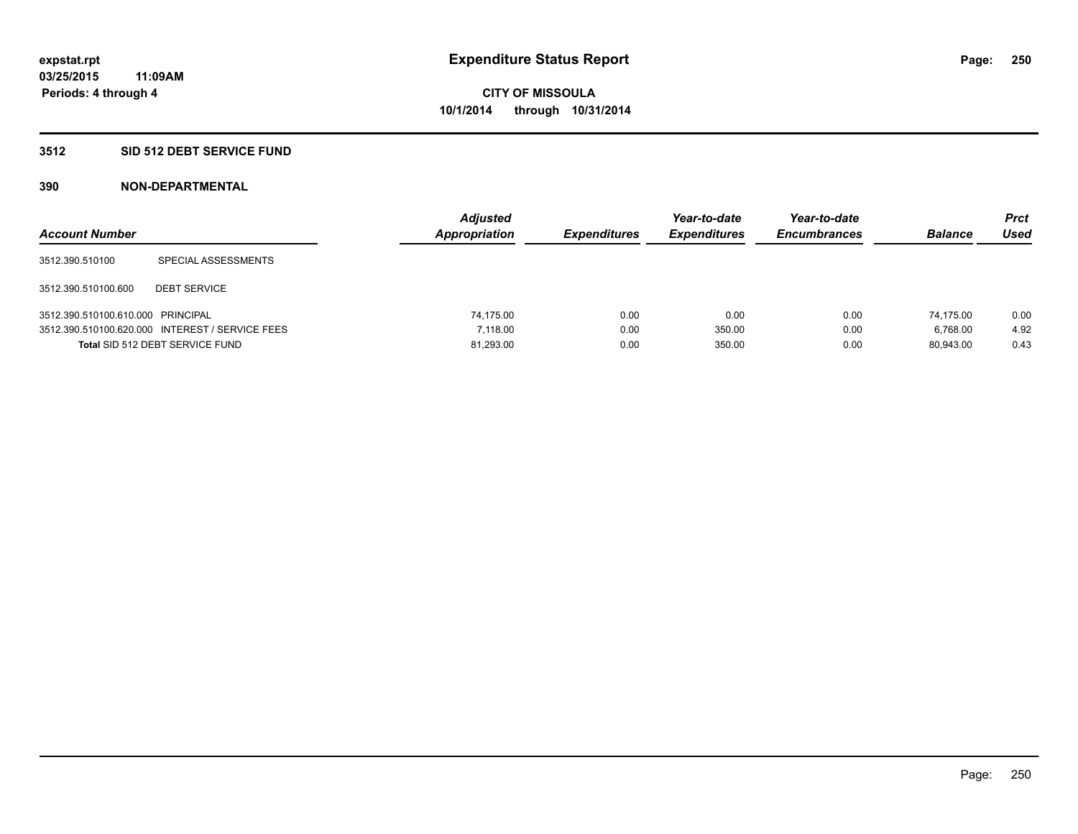### **3512 SID 512 DEBT SERVICE FUND**

| <b>Account Number</b>             |                                                 | <b>Adjusted</b><br>Appropriation | <b>Expenditures</b> | Year-to-date<br><b>Expenditures</b> | Year-to-date<br><b>Encumbrances</b> | <b>Balance</b> | <b>Prct</b><br><b>Used</b> |
|-----------------------------------|-------------------------------------------------|----------------------------------|---------------------|-------------------------------------|-------------------------------------|----------------|----------------------------|
| 3512.390.510100                   | SPECIAL ASSESSMENTS                             |                                  |                     |                                     |                                     |                |                            |
| 3512.390.510100.600               | <b>DEBT SERVICE</b>                             |                                  |                     |                                     |                                     |                |                            |
| 3512.390.510100.610.000 PRINCIPAL |                                                 | 74.175.00                        | 0.00                | 0.00                                | 0.00                                | 74.175.00      | 0.00                       |
|                                   | 3512.390.510100.620.000 INTEREST / SERVICE FEES | 7.118.00                         | 0.00                | 350.00                              | 0.00                                | 6.768.00       | 4.92                       |
|                                   | Total SID 512 DEBT SERVICE FUND                 | 81,293.00                        | 0.00                | 350.00                              | 0.00                                | 80.943.00      | 0.43                       |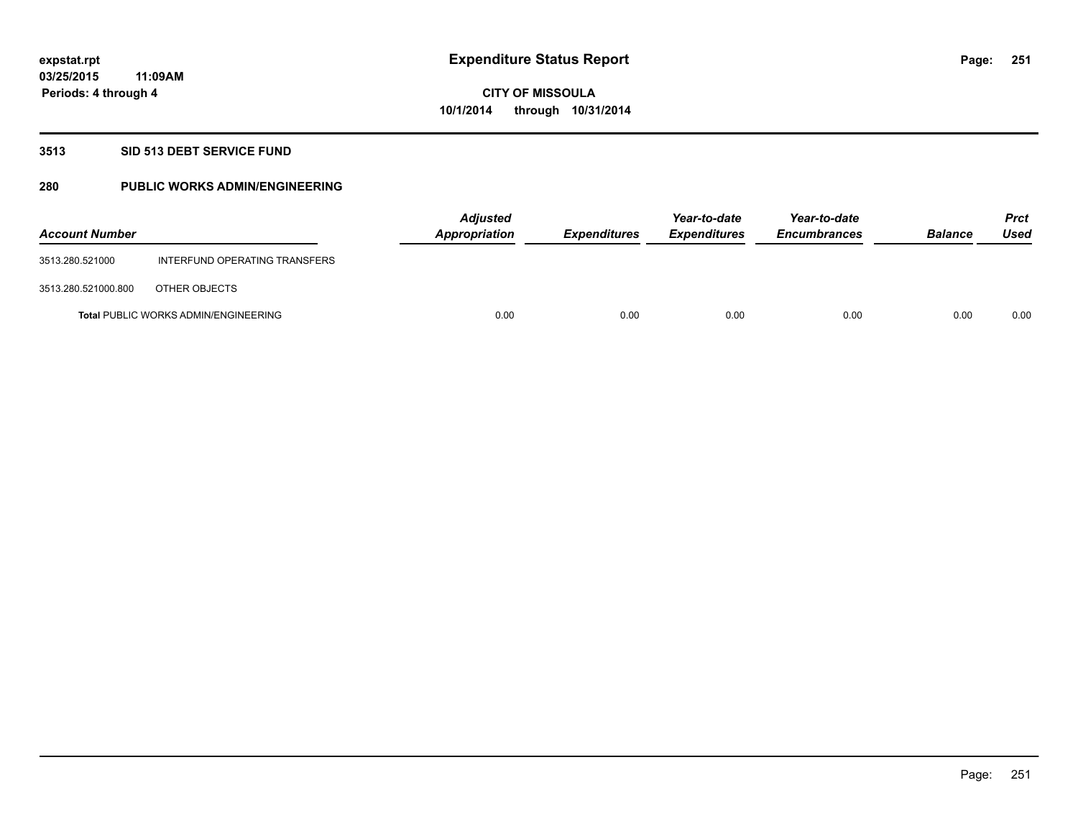### **3513 SID 513 DEBT SERVICE FUND**

### **280 PUBLIC WORKS ADMIN/ENGINEERING**

| <b>Account Number</b> |                                             | <b>Adjusted</b><br>Appropriation | <b>Expenditures</b> | Year-to-date<br><b>Expenditures</b> | Year-to-date<br><b>Encumbrances</b> | <b>Balance</b> | <b>Prct</b><br>Used |
|-----------------------|---------------------------------------------|----------------------------------|---------------------|-------------------------------------|-------------------------------------|----------------|---------------------|
| 3513.280.521000       | INTERFUND OPERATING TRANSFERS               |                                  |                     |                                     |                                     |                |                     |
| 3513.280.521000.800   | OTHER OBJECTS                               |                                  |                     |                                     |                                     |                |                     |
|                       | <b>Total PUBLIC WORKS ADMIN/ENGINEERING</b> | 0.00                             | 0.00                | 0.00                                | 0.00                                | 0.00           | 0.00                |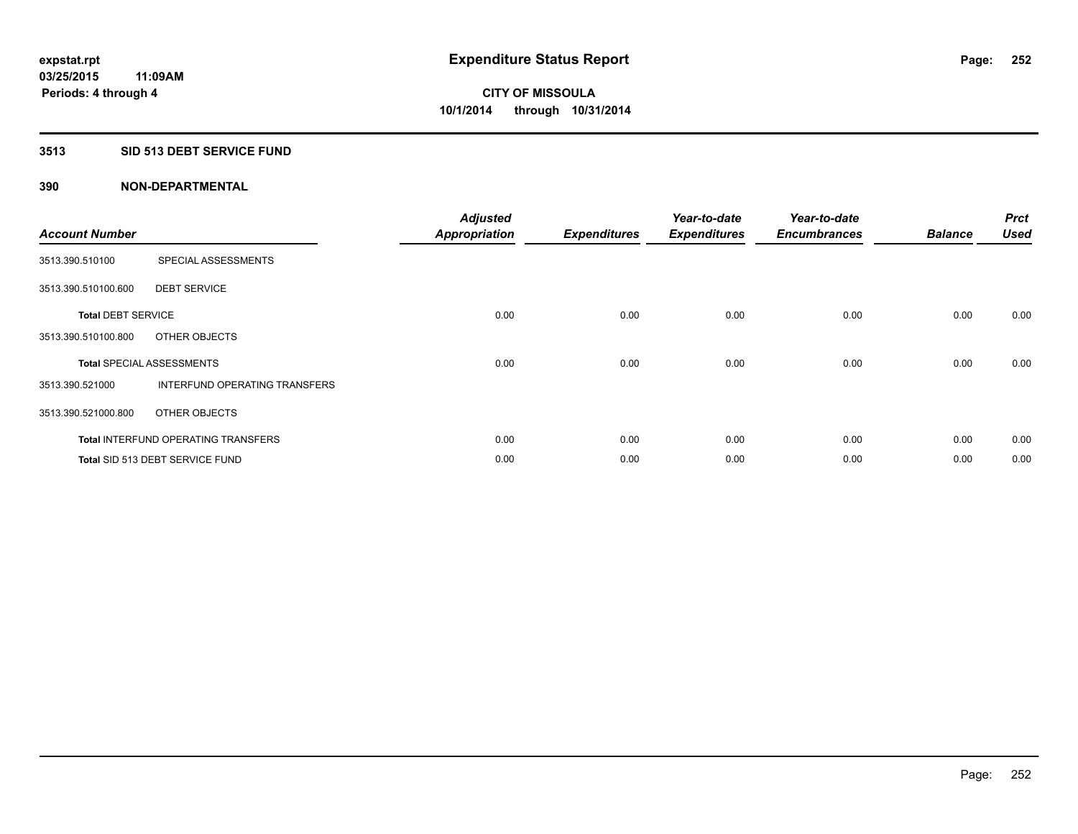### **3513 SID 513 DEBT SERVICE FUND**

| <b>Account Number</b>     |                                            | <b>Adjusted</b><br><b>Appropriation</b> | <b>Expenditures</b> | Year-to-date<br><b>Expenditures</b> | Year-to-date<br><b>Encumbrances</b> | <b>Balance</b> | <b>Prct</b><br><b>Used</b> |
|---------------------------|--------------------------------------------|-----------------------------------------|---------------------|-------------------------------------|-------------------------------------|----------------|----------------------------|
| 3513.390.510100           | SPECIAL ASSESSMENTS                        |                                         |                     |                                     |                                     |                |                            |
| 3513.390.510100.600       | <b>DEBT SERVICE</b>                        |                                         |                     |                                     |                                     |                |                            |
| <b>Total DEBT SERVICE</b> |                                            | 0.00                                    | 0.00                | 0.00                                | 0.00                                | 0.00           | 0.00                       |
| 3513.390.510100.800       | OTHER OBJECTS                              |                                         |                     |                                     |                                     |                |                            |
|                           | <b>Total SPECIAL ASSESSMENTS</b>           | 0.00                                    | 0.00                | 0.00                                | 0.00                                | 0.00           | 0.00                       |
| 3513.390.521000           | INTERFUND OPERATING TRANSFERS              |                                         |                     |                                     |                                     |                |                            |
| 3513.390.521000.800       | OTHER OBJECTS                              |                                         |                     |                                     |                                     |                |                            |
|                           | <b>Total INTERFUND OPERATING TRANSFERS</b> | 0.00                                    | 0.00                | 0.00                                | 0.00                                | 0.00           | 0.00                       |
|                           | Total SID 513 DEBT SERVICE FUND            | 0.00                                    | 0.00                | 0.00                                | 0.00                                | 0.00           | 0.00                       |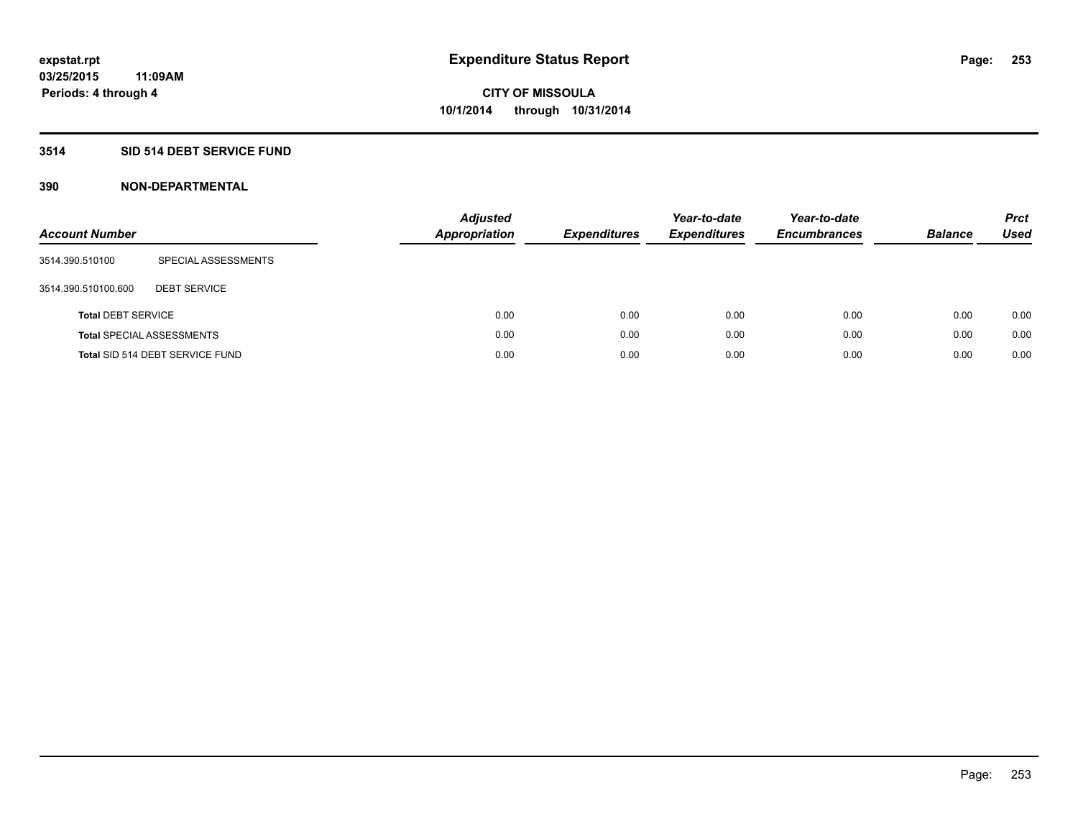# **3514 SID 514 DEBT SERVICE FUND**

| <b>Account Number</b>     |                                  | <b>Adjusted</b><br><b>Appropriation</b> | <b>Expenditures</b> | Year-to-date<br><b>Expenditures</b> | Year-to-date<br><b>Encumbrances</b> | <b>Balance</b> | <b>Prct</b><br><b>Used</b> |
|---------------------------|----------------------------------|-----------------------------------------|---------------------|-------------------------------------|-------------------------------------|----------------|----------------------------|
| 3514.390.510100           | SPECIAL ASSESSMENTS              |                                         |                     |                                     |                                     |                |                            |
| 3514.390.510100.600       | <b>DEBT SERVICE</b>              |                                         |                     |                                     |                                     |                |                            |
| <b>Total DEBT SERVICE</b> |                                  | 0.00                                    | 0.00                | 0.00                                | 0.00                                | 0.00           | 0.00                       |
|                           | <b>Total SPECIAL ASSESSMENTS</b> | 0.00                                    | 0.00                | 0.00                                | 0.00                                | 0.00           | 0.00                       |
|                           | Total SID 514 DEBT SERVICE FUND  | 0.00                                    | 0.00                | 0.00                                | 0.00                                | 0.00           | 0.00                       |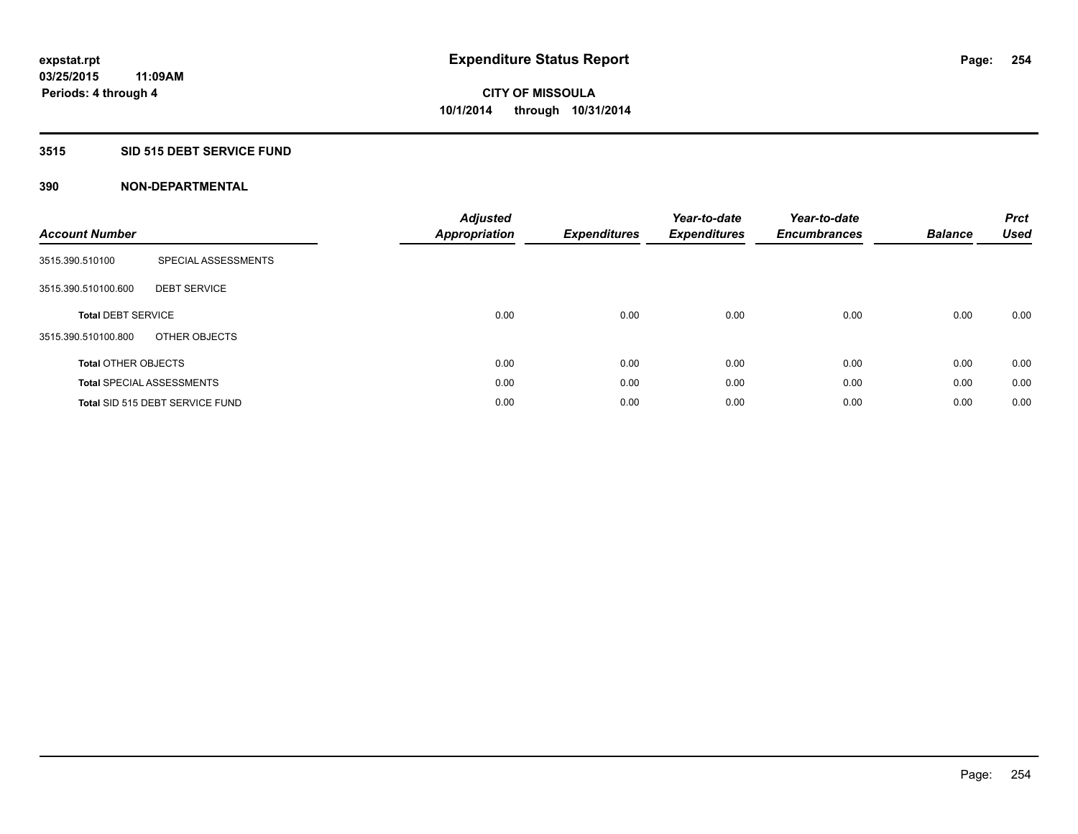# **3515 SID 515 DEBT SERVICE FUND**

| <b>Account Number</b>      |                                  | <b>Adjusted</b><br><b>Appropriation</b> | <b>Expenditures</b> | Year-to-date<br><b>Expenditures</b> | Year-to-date<br><b>Encumbrances</b> | <b>Balance</b> | <b>Prct</b><br><b>Used</b> |
|----------------------------|----------------------------------|-----------------------------------------|---------------------|-------------------------------------|-------------------------------------|----------------|----------------------------|
| 3515.390.510100            | SPECIAL ASSESSMENTS              |                                         |                     |                                     |                                     |                |                            |
| 3515.390.510100.600        | <b>DEBT SERVICE</b>              |                                         |                     |                                     |                                     |                |                            |
| <b>Total DEBT SERVICE</b>  |                                  | 0.00                                    | 0.00                | 0.00                                | 0.00                                | 0.00           | 0.00                       |
| 3515.390.510100.800        | OTHER OBJECTS                    |                                         |                     |                                     |                                     |                |                            |
| <b>Total OTHER OBJECTS</b> |                                  | 0.00                                    | 0.00                | 0.00                                | 0.00                                | 0.00           | 0.00                       |
|                            | <b>Total SPECIAL ASSESSMENTS</b> | 0.00                                    | 0.00                | 0.00                                | 0.00                                | 0.00           | 0.00                       |
|                            | Total SID 515 DEBT SERVICE FUND  | 0.00                                    | 0.00                | 0.00                                | 0.00                                | 0.00           | 0.00                       |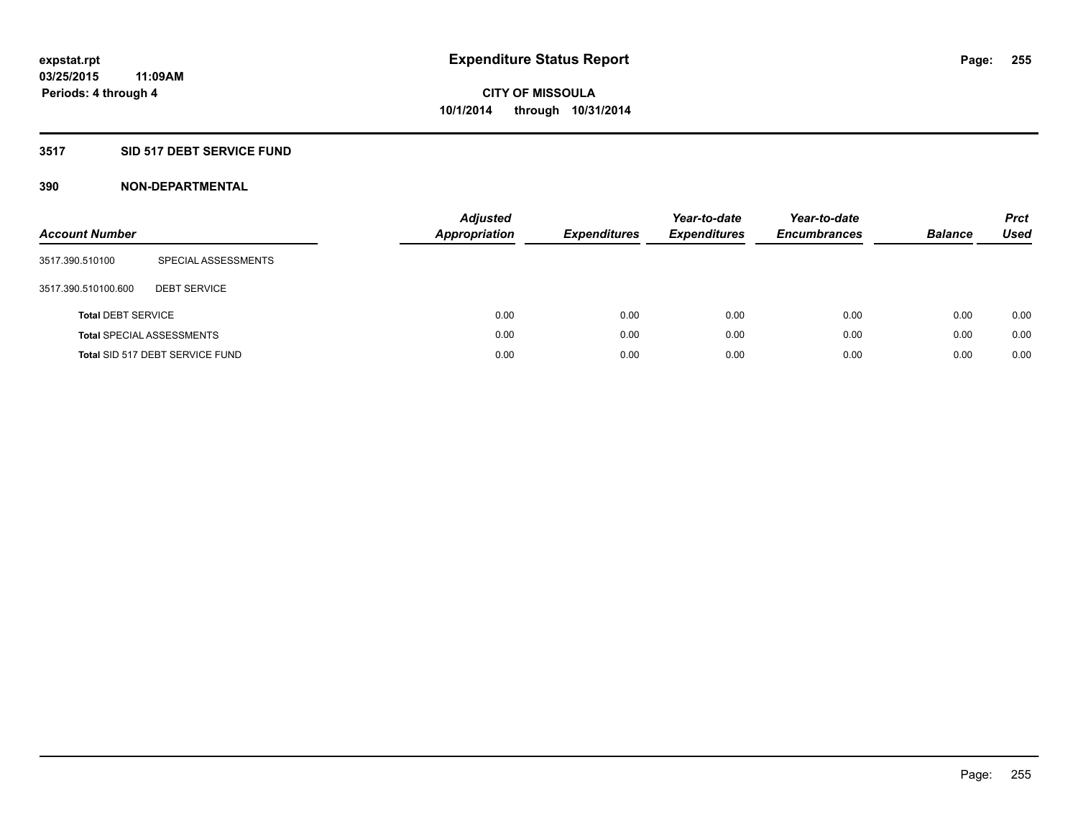# **3517 SID 517 DEBT SERVICE FUND**

| <b>Account Number</b>     |                                  | <b>Adjusted</b><br><b>Appropriation</b> | <b>Expenditures</b> | Year-to-date<br><b>Expenditures</b> | Year-to-date<br><b>Encumbrances</b> | <b>Balance</b> | <b>Prct</b><br><b>Used</b> |
|---------------------------|----------------------------------|-----------------------------------------|---------------------|-------------------------------------|-------------------------------------|----------------|----------------------------|
| 3517.390.510100           | SPECIAL ASSESSMENTS              |                                         |                     |                                     |                                     |                |                            |
| 3517.390.510100.600       | <b>DEBT SERVICE</b>              |                                         |                     |                                     |                                     |                |                            |
| <b>Total DEBT SERVICE</b> |                                  | 0.00                                    | 0.00                | 0.00                                | 0.00                                | 0.00           | 0.00                       |
|                           | <b>Total SPECIAL ASSESSMENTS</b> | 0.00                                    | 0.00                | 0.00                                | 0.00                                | 0.00           | 0.00                       |
|                           | Total SID 517 DEBT SERVICE FUND  | 0.00                                    | 0.00                | 0.00                                | 0.00                                | 0.00           | 0.00                       |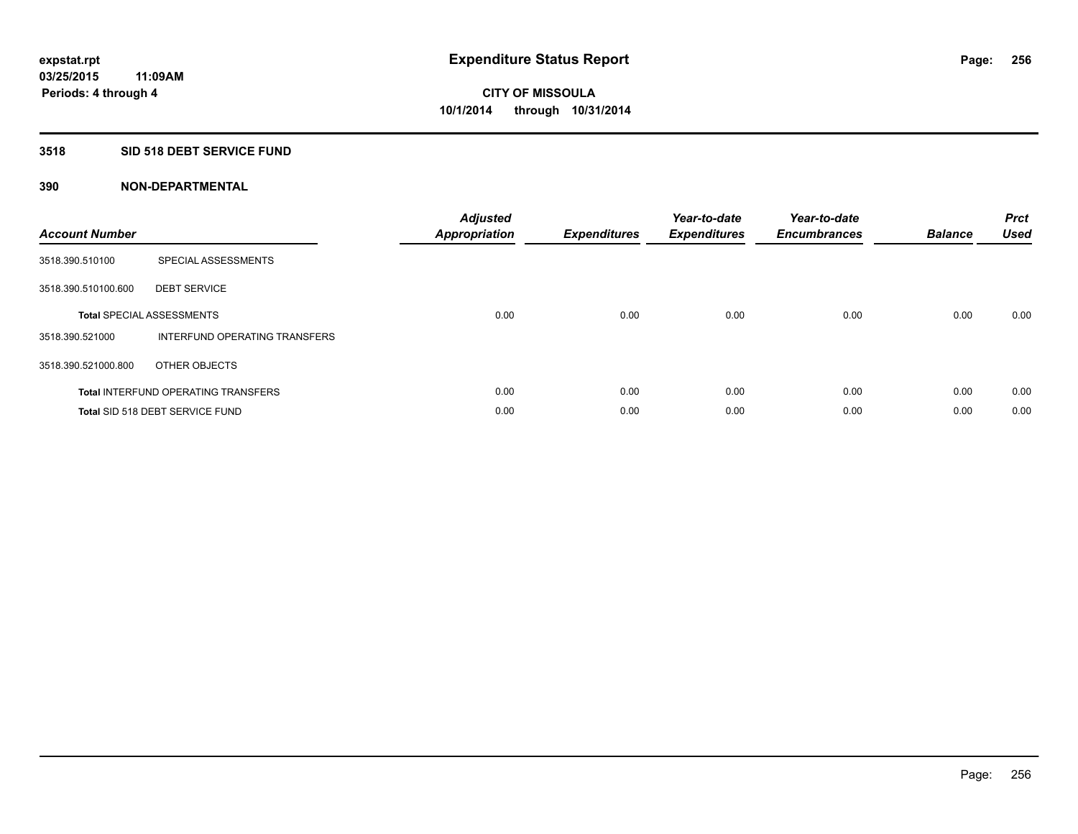## **3518 SID 518 DEBT SERVICE FUND**

| <b>Account Number</b> |                                            | <b>Adjusted</b><br>Appropriation | <b>Expenditures</b> | Year-to-date<br><b>Expenditures</b> | Year-to-date<br><b>Encumbrances</b> | <b>Balance</b> | <b>Prct</b><br><b>Used</b> |
|-----------------------|--------------------------------------------|----------------------------------|---------------------|-------------------------------------|-------------------------------------|----------------|----------------------------|
| 3518.390.510100       | SPECIAL ASSESSMENTS                        |                                  |                     |                                     |                                     |                |                            |
| 3518.390.510100.600   | <b>DEBT SERVICE</b>                        |                                  |                     |                                     |                                     |                |                            |
|                       | <b>Total SPECIAL ASSESSMENTS</b>           | 0.00                             | 0.00                | 0.00                                | 0.00                                | 0.00           | 0.00                       |
| 3518.390.521000       | INTERFUND OPERATING TRANSFERS              |                                  |                     |                                     |                                     |                |                            |
| 3518.390.521000.800   | OTHER OBJECTS                              |                                  |                     |                                     |                                     |                |                            |
|                       | <b>Total INTERFUND OPERATING TRANSFERS</b> | 0.00                             | 0.00                | 0.00                                | 0.00                                | 0.00           | 0.00                       |
|                       | Total SID 518 DEBT SERVICE FUND            | 0.00                             | 0.00                | 0.00                                | 0.00                                | 0.00           | 0.00                       |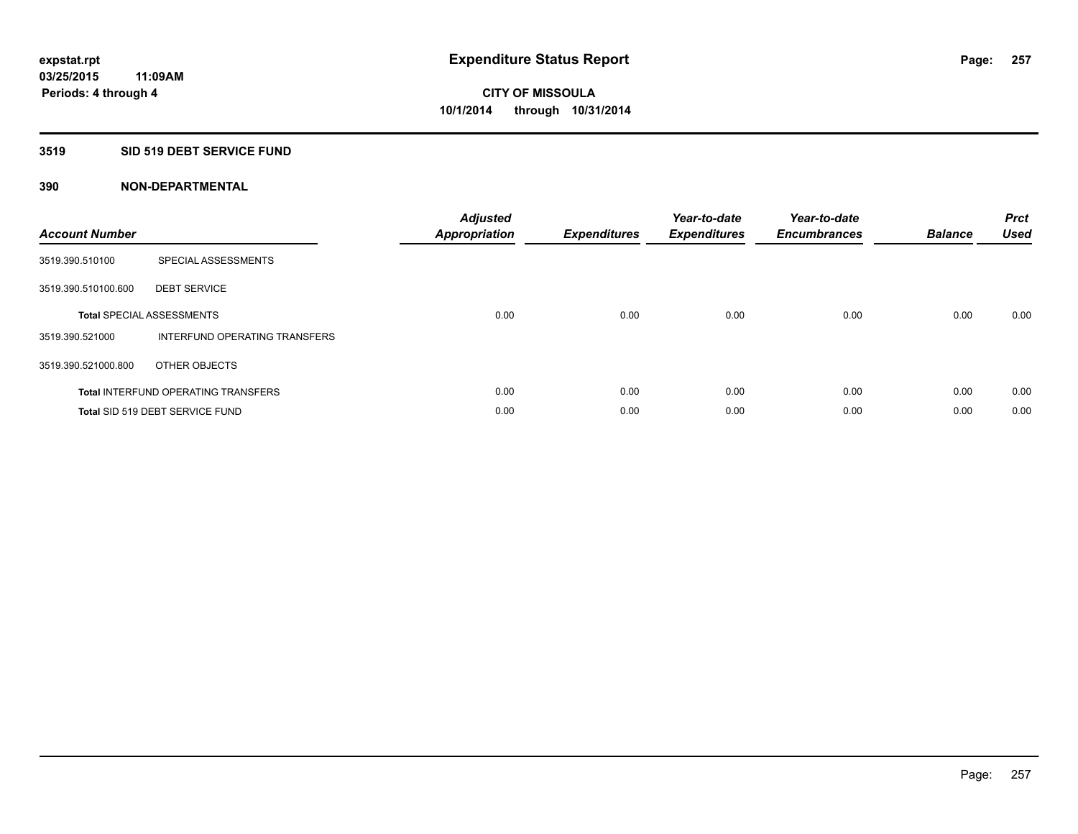# **3519 SID 519 DEBT SERVICE FUND**

| <b>Account Number</b> |                                            | <b>Adjusted</b><br><b>Appropriation</b> | <b>Expenditures</b> | Year-to-date<br><b>Expenditures</b> | Year-to-date<br><b>Encumbrances</b> | <b>Balance</b> | <b>Prct</b><br><b>Used</b> |
|-----------------------|--------------------------------------------|-----------------------------------------|---------------------|-------------------------------------|-------------------------------------|----------------|----------------------------|
| 3519.390.510100       | SPECIAL ASSESSMENTS                        |                                         |                     |                                     |                                     |                |                            |
| 3519.390.510100.600   | <b>DEBT SERVICE</b>                        |                                         |                     |                                     |                                     |                |                            |
|                       | <b>Total SPECIAL ASSESSMENTS</b>           | 0.00                                    | 0.00                | 0.00                                | 0.00                                | 0.00           | 0.00                       |
| 3519.390.521000       | INTERFUND OPERATING TRANSFERS              |                                         |                     |                                     |                                     |                |                            |
| 3519.390.521000.800   | OTHER OBJECTS                              |                                         |                     |                                     |                                     |                |                            |
|                       | <b>Total INTERFUND OPERATING TRANSFERS</b> | 0.00                                    | 0.00                | 0.00                                | 0.00                                | 0.00           | 0.00                       |
|                       | Total SID 519 DEBT SERVICE FUND            | 0.00                                    | 0.00                | 0.00                                | 0.00                                | 0.00           | 0.00                       |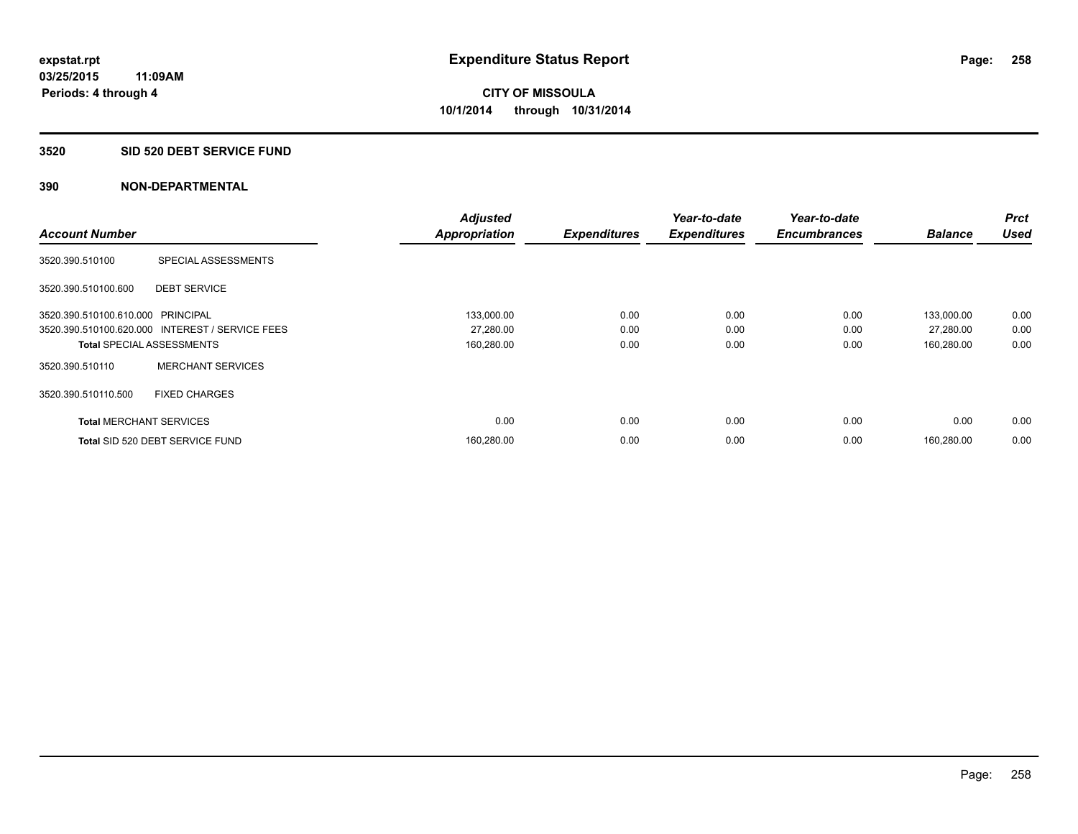## **3520 SID 520 DEBT SERVICE FUND**

|                                   |                                                 | <b>Adjusted</b>      |                     | Year-to-date        | Year-to-date        |                | Prct        |
|-----------------------------------|-------------------------------------------------|----------------------|---------------------|---------------------|---------------------|----------------|-------------|
| <b>Account Number</b>             |                                                 | <b>Appropriation</b> | <b>Expenditures</b> | <b>Expenditures</b> | <b>Encumbrances</b> | <b>Balance</b> | <b>Used</b> |
| 3520.390.510100                   | SPECIAL ASSESSMENTS                             |                      |                     |                     |                     |                |             |
| 3520.390.510100.600               | <b>DEBT SERVICE</b>                             |                      |                     |                     |                     |                |             |
| 3520.390.510100.610.000 PRINCIPAL |                                                 | 133,000.00           | 0.00                | 0.00                | 0.00                | 133.000.00     | 0.00        |
|                                   | 3520.390.510100.620.000 INTEREST / SERVICE FEES | 27,280.00            | 0.00                | 0.00                | 0.00                | 27,280.00      | 0.00        |
| <b>Total SPECIAL ASSESSMENTS</b>  |                                                 | 160,280.00           | 0.00                | 0.00                | 0.00                | 160,280.00     | 0.00        |
| 3520.390.510110                   | <b>MERCHANT SERVICES</b>                        |                      |                     |                     |                     |                |             |
| 3520.390.510110.500               | <b>FIXED CHARGES</b>                            |                      |                     |                     |                     |                |             |
| <b>Total MERCHANT SERVICES</b>    |                                                 | 0.00                 | 0.00                | 0.00                | 0.00                | 0.00           | 0.00        |
|                                   | Total SID 520 DEBT SERVICE FUND                 | 160,280.00           | 0.00                | 0.00                | 0.00                | 160.280.00     | 0.00        |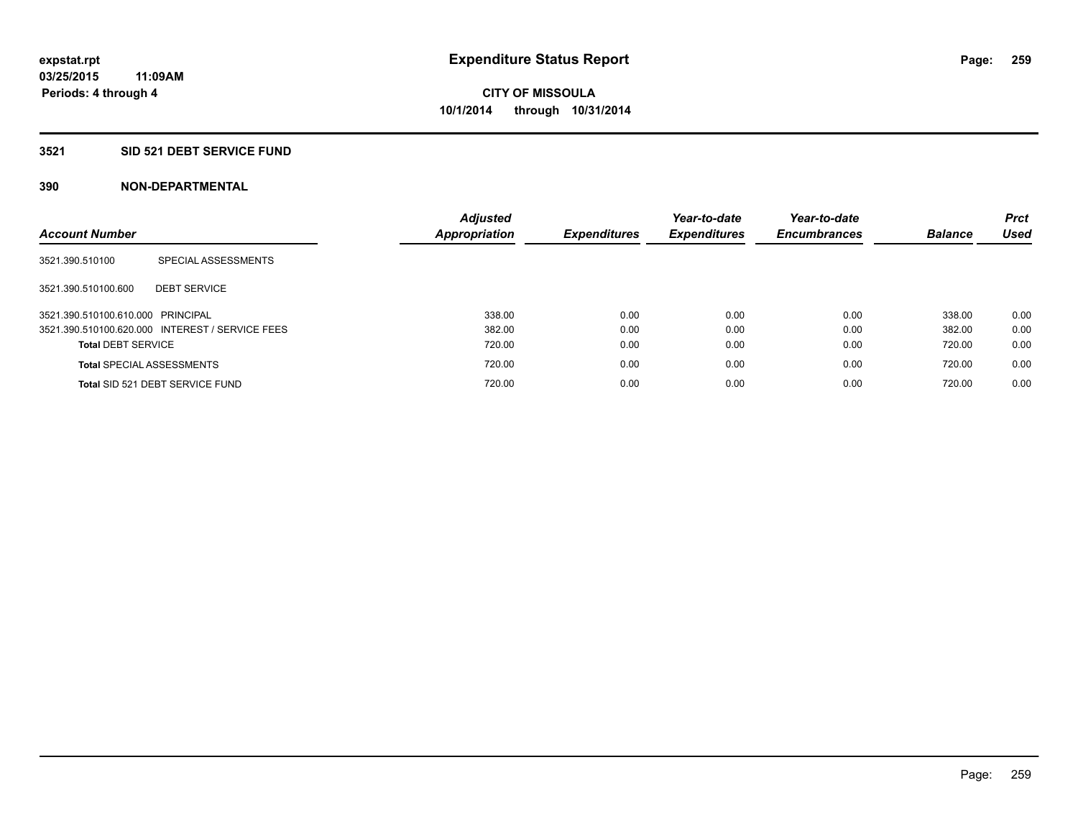## **3521 SID 521 DEBT SERVICE FUND**

| <b>Account Number</b>             |                                                 | <b>Adjusted</b><br>Appropriation | <b>Expenditures</b> | Year-to-date<br><b>Expenditures</b> | Year-to-date<br><b>Encumbrances</b> | <b>Balance</b> | <b>Prct</b><br>Used |
|-----------------------------------|-------------------------------------------------|----------------------------------|---------------------|-------------------------------------|-------------------------------------|----------------|---------------------|
| 3521.390.510100                   | SPECIAL ASSESSMENTS                             |                                  |                     |                                     |                                     |                |                     |
| 3521.390.510100.600               | <b>DEBT SERVICE</b>                             |                                  |                     |                                     |                                     |                |                     |
| 3521.390.510100.610.000 PRINCIPAL |                                                 | 338.00                           | 0.00                | 0.00                                | 0.00                                | 338.00         | 0.00                |
|                                   | 3521.390.510100.620.000 INTEREST / SERVICE FEES | 382.00                           | 0.00                | 0.00                                | 0.00                                | 382.00         | 0.00                |
| <b>Total DEBT SERVICE</b>         |                                                 | 720.00                           | 0.00                | 0.00                                | 0.00                                | 720.00         | 0.00                |
|                                   | <b>Total SPECIAL ASSESSMENTS</b>                | 720.00                           | 0.00                | 0.00                                | 0.00                                | 720.00         | 0.00                |
|                                   | Total SID 521 DEBT SERVICE FUND                 | 720.00                           | 0.00                | 0.00                                | 0.00                                | 720.00         | 0.00                |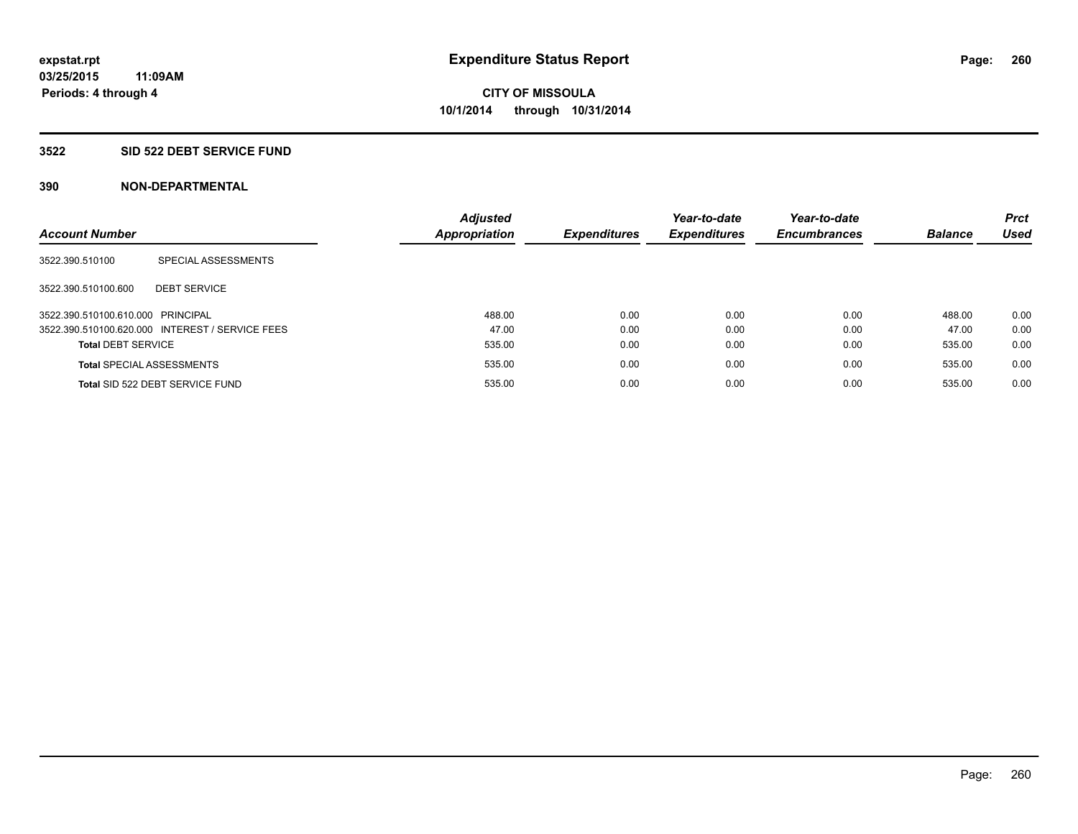### **3522 SID 522 DEBT SERVICE FUND**

| <b>Account Number</b>             |                                                 | <b>Adjusted</b><br><b>Appropriation</b> | <b>Expenditures</b> | Year-to-date<br><b>Expenditures</b> | Year-to-date<br><b>Encumbrances</b> | <b>Balance</b> | <b>Prct</b><br><b>Used</b> |
|-----------------------------------|-------------------------------------------------|-----------------------------------------|---------------------|-------------------------------------|-------------------------------------|----------------|----------------------------|
| 3522.390.510100                   | SPECIAL ASSESSMENTS                             |                                         |                     |                                     |                                     |                |                            |
| 3522.390.510100.600               | <b>DEBT SERVICE</b>                             |                                         |                     |                                     |                                     |                |                            |
| 3522.390.510100.610.000 PRINCIPAL |                                                 | 488.00                                  | 0.00                | 0.00                                | 0.00                                | 488.00         | 0.00                       |
|                                   | 3522.390.510100.620.000 INTEREST / SERVICE FEES | 47.00                                   | 0.00                | 0.00                                | 0.00                                | 47.00          | 0.00                       |
| <b>Total DEBT SERVICE</b>         |                                                 | 535.00                                  | 0.00                | 0.00                                | 0.00                                | 535.00         | 0.00                       |
|                                   | <b>Total SPECIAL ASSESSMENTS</b>                | 535.00                                  | 0.00                | 0.00                                | 0.00                                | 535.00         | 0.00                       |
|                                   | Total SID 522 DEBT SERVICE FUND                 | 535.00                                  | 0.00                | 0.00                                | 0.00                                | 535.00         | 0.00                       |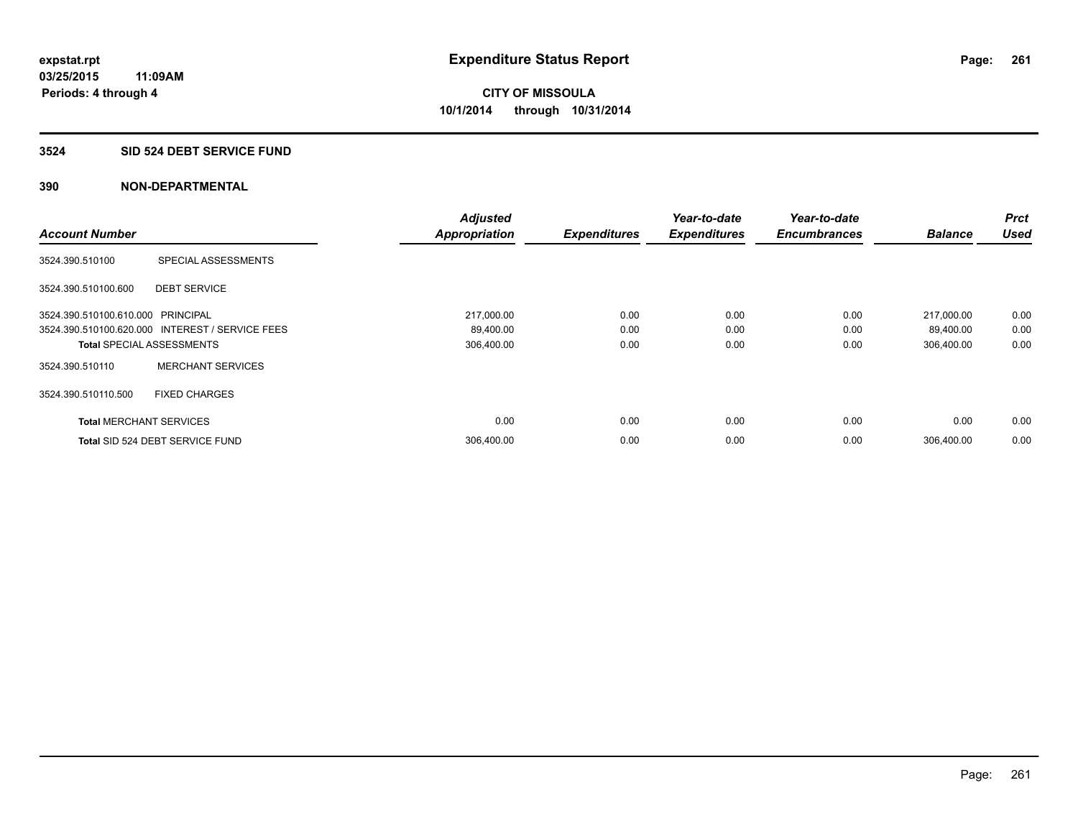### **3524 SID 524 DEBT SERVICE FUND**

|                                   |                                                 | <b>Adjusted</b>      |                     | Year-to-date        | Year-to-date        |                | <b>Prct</b> |
|-----------------------------------|-------------------------------------------------|----------------------|---------------------|---------------------|---------------------|----------------|-------------|
| <b>Account Number</b>             |                                                 | <b>Appropriation</b> | <b>Expenditures</b> | <b>Expenditures</b> | <b>Encumbrances</b> | <b>Balance</b> | <b>Used</b> |
| 3524.390.510100                   | SPECIAL ASSESSMENTS                             |                      |                     |                     |                     |                |             |
| 3524.390.510100.600               | <b>DEBT SERVICE</b>                             |                      |                     |                     |                     |                |             |
| 3524.390.510100.610.000 PRINCIPAL |                                                 | 217,000.00           | 0.00                | 0.00                | 0.00                | 217,000.00     | 0.00        |
|                                   | 3524.390.510100.620.000 INTEREST / SERVICE FEES | 89,400.00            | 0.00                | 0.00                | 0.00                | 89,400.00      | 0.00        |
| <b>Total SPECIAL ASSESSMENTS</b>  |                                                 | 306,400.00           | 0.00                | 0.00                | 0.00                | 306,400.00     | 0.00        |
| 3524.390.510110                   | <b>MERCHANT SERVICES</b>                        |                      |                     |                     |                     |                |             |
| 3524.390.510110.500               | <b>FIXED CHARGES</b>                            |                      |                     |                     |                     |                |             |
| <b>Total MERCHANT SERVICES</b>    |                                                 | 0.00                 | 0.00                | 0.00                | 0.00                | 0.00           | 0.00        |
|                                   | Total SID 524 DEBT SERVICE FUND                 | 306,400.00           | 0.00                | 0.00                | 0.00                | 306.400.00     | 0.00        |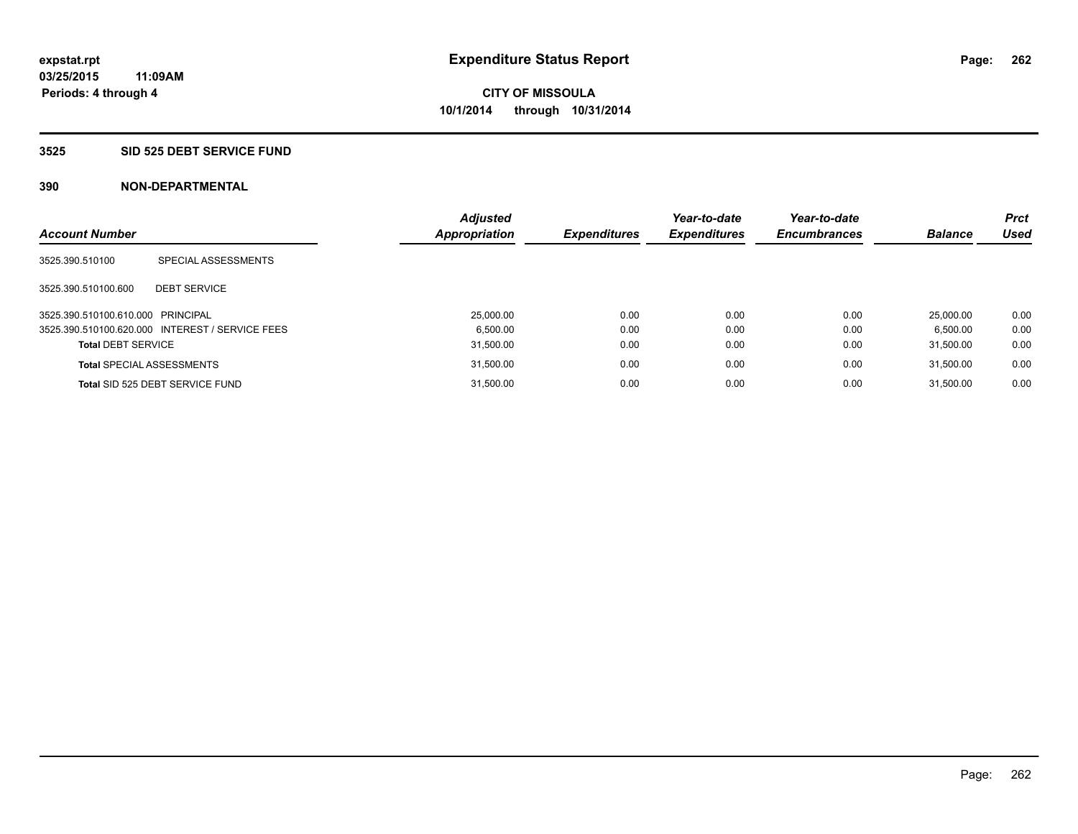### **3525 SID 525 DEBT SERVICE FUND**

| <b>Account Number</b>             |                                                 | <b>Adjusted</b><br>Appropriation | <b>Expenditures</b> | Year-to-date<br><b>Expenditures</b> | Year-to-date<br><b>Encumbrances</b> | <b>Balance</b> | <b>Prct</b><br><b>Used</b> |
|-----------------------------------|-------------------------------------------------|----------------------------------|---------------------|-------------------------------------|-------------------------------------|----------------|----------------------------|
| 3525.390.510100                   | SPECIAL ASSESSMENTS                             |                                  |                     |                                     |                                     |                |                            |
| 3525.390.510100.600               | <b>DEBT SERVICE</b>                             |                                  |                     |                                     |                                     |                |                            |
| 3525.390.510100.610.000 PRINCIPAL |                                                 | 25,000.00                        | 0.00                | 0.00                                | 0.00                                | 25,000.00      | 0.00                       |
|                                   | 3525.390.510100.620.000 INTEREST / SERVICE FEES | 6.500.00                         | 0.00                | 0.00                                | 0.00                                | 6.500.00       | 0.00                       |
| <b>Total DEBT SERVICE</b>         |                                                 | 31,500.00                        | 0.00                | 0.00                                | 0.00                                | 31.500.00      | 0.00                       |
|                                   | <b>Total SPECIAL ASSESSMENTS</b>                | 31,500.00                        | 0.00                | 0.00                                | 0.00                                | 31.500.00      | 0.00                       |
|                                   | Total SID 525 DEBT SERVICE FUND                 | 31.500.00                        | 0.00                | 0.00                                | 0.00                                | 31.500.00      | 0.00                       |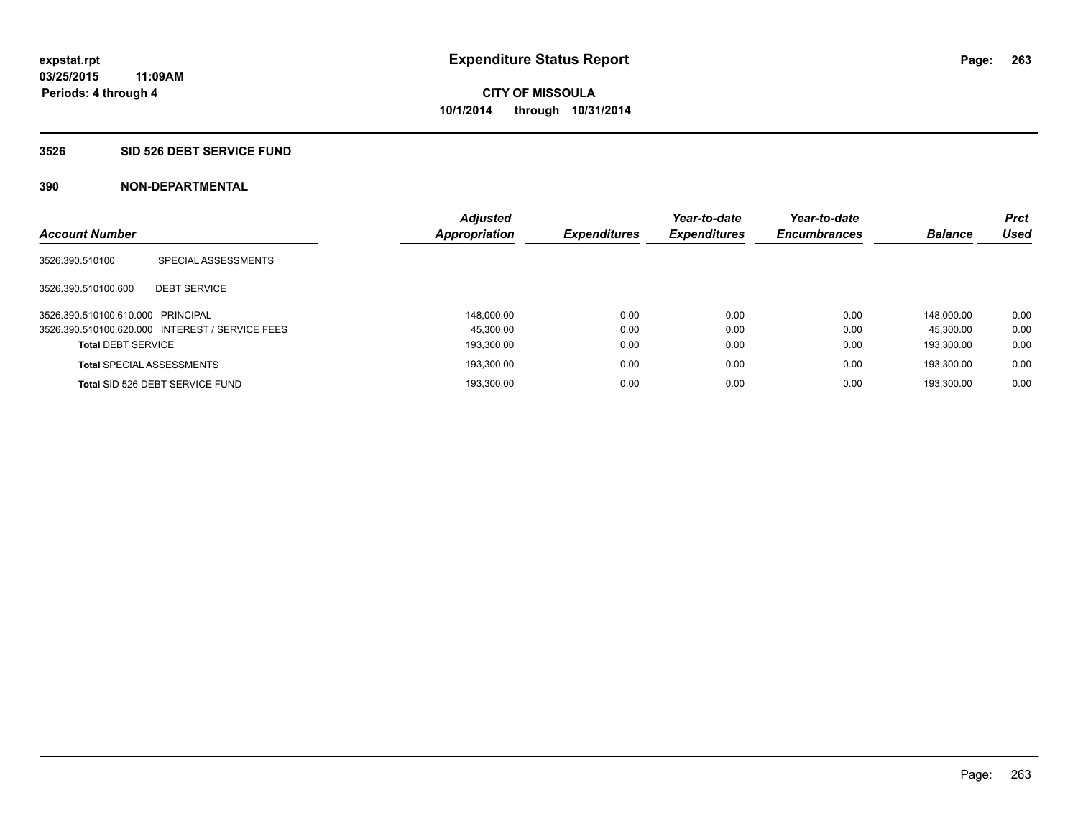## **3526 SID 526 DEBT SERVICE FUND**

| <b>Account Number</b>             |                                                 | <b>Adjusted</b><br>Appropriation | <b>Expenditures</b> | Year-to-date<br><b>Expenditures</b> | Year-to-date<br><b>Encumbrances</b> | <b>Balance</b> | <b>Prct</b><br><b>Used</b> |
|-----------------------------------|-------------------------------------------------|----------------------------------|---------------------|-------------------------------------|-------------------------------------|----------------|----------------------------|
|                                   |                                                 |                                  |                     |                                     |                                     |                |                            |
| 3526.390.510100                   | SPECIAL ASSESSMENTS                             |                                  |                     |                                     |                                     |                |                            |
|                                   |                                                 |                                  |                     |                                     |                                     |                |                            |
| 3526.390.510100.600               | <b>DEBT SERVICE</b>                             |                                  |                     |                                     |                                     |                |                            |
| 3526.390.510100.610.000 PRINCIPAL |                                                 | 148.000.00                       | 0.00                | 0.00                                | 0.00                                | 148.000.00     | 0.00                       |
|                                   | 3526.390.510100.620.000 INTEREST / SERVICE FEES | 45.300.00                        | 0.00                | 0.00                                | 0.00                                | 45.300.00      | 0.00                       |
| <b>Total DEBT SERVICE</b>         |                                                 | 193.300.00                       | 0.00                | 0.00                                | 0.00                                | 193.300.00     | 0.00                       |
|                                   | <b>Total SPECIAL ASSESSMENTS</b>                | 193,300.00                       | 0.00                | 0.00                                | 0.00                                | 193.300.00     | 0.00                       |
|                                   | Total SID 526 DEBT SERVICE FUND                 | 193.300.00                       | 0.00                | 0.00                                | 0.00                                | 193.300.00     | 0.00                       |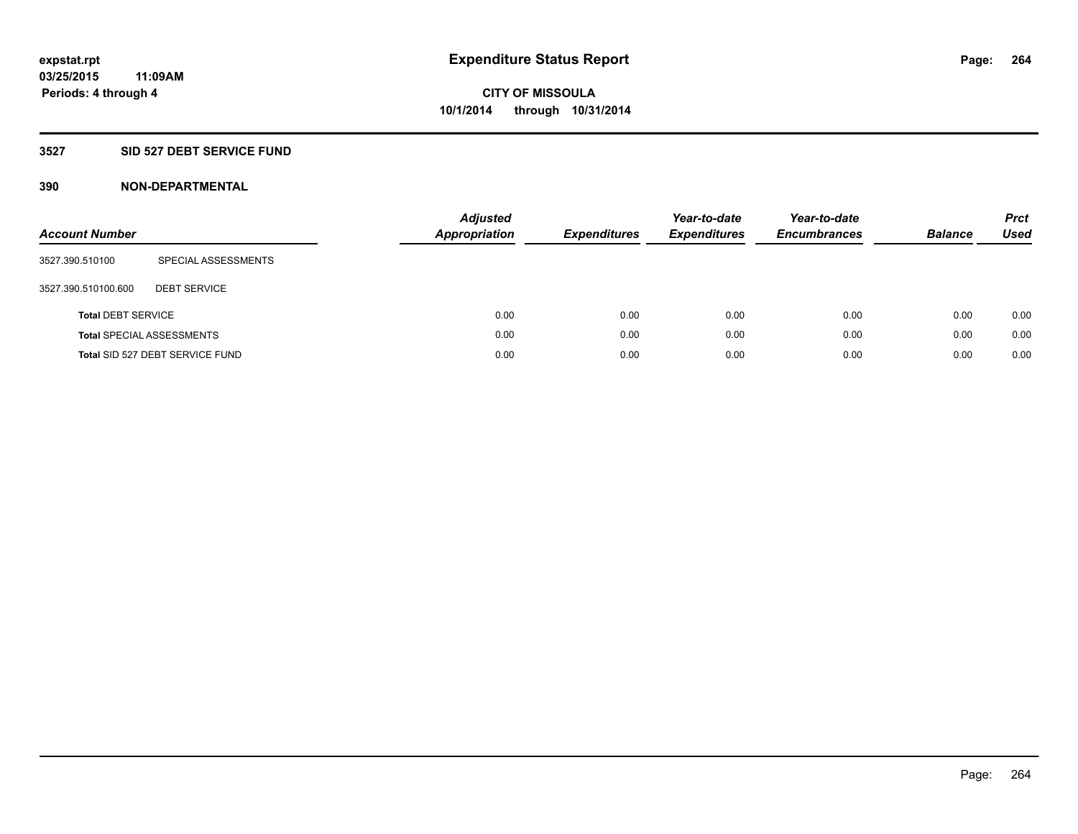# **3527 SID 527 DEBT SERVICE FUND**

| <b>Account Number</b>     |                                  | <b>Adjusted</b><br><b>Appropriation</b> | <b>Expenditures</b> | Year-to-date<br><b>Expenditures</b> | Year-to-date<br><b>Encumbrances</b> | <b>Balance</b> | <b>Prct</b><br>Used |
|---------------------------|----------------------------------|-----------------------------------------|---------------------|-------------------------------------|-------------------------------------|----------------|---------------------|
| 3527.390.510100           | SPECIAL ASSESSMENTS              |                                         |                     |                                     |                                     |                |                     |
| 3527.390.510100.600       | <b>DEBT SERVICE</b>              |                                         |                     |                                     |                                     |                |                     |
| <b>Total DEBT SERVICE</b> |                                  | 0.00                                    | 0.00                | 0.00                                | 0.00                                | 0.00           | 0.00                |
|                           | <b>Total SPECIAL ASSESSMENTS</b> | 0.00                                    | 0.00                | 0.00                                | 0.00                                | 0.00           | 0.00                |
|                           | Total SID 527 DEBT SERVICE FUND  | 0.00                                    | 0.00                | 0.00                                | 0.00                                | 0.00           | 0.00                |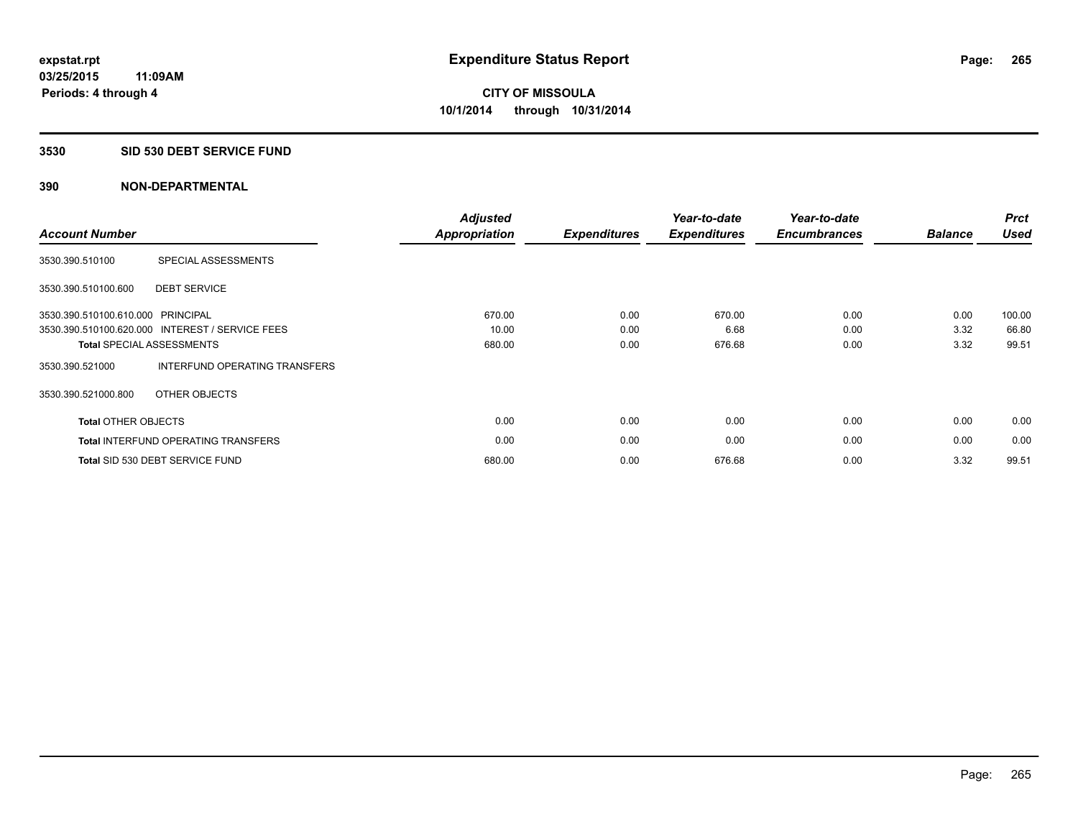## **3530 SID 530 DEBT SERVICE FUND**

| <b>Account Number</b>             |                                                 | <b>Adjusted</b><br>Appropriation | <b>Expenditures</b> | Year-to-date<br><b>Expenditures</b> | Year-to-date<br><b>Encumbrances</b> | <b>Balance</b> | <b>Prct</b><br><b>Used</b> |
|-----------------------------------|-------------------------------------------------|----------------------------------|---------------------|-------------------------------------|-------------------------------------|----------------|----------------------------|
| 3530.390.510100                   | SPECIAL ASSESSMENTS                             |                                  |                     |                                     |                                     |                |                            |
| 3530.390.510100.600               | <b>DEBT SERVICE</b>                             |                                  |                     |                                     |                                     |                |                            |
| 3530.390.510100.610.000 PRINCIPAL |                                                 | 670.00                           | 0.00                | 670.00                              | 0.00                                | 0.00           | 100.00                     |
|                                   | 3530.390.510100.620.000 INTEREST / SERVICE FEES | 10.00                            | 0.00                | 6.68                                | 0.00                                | 3.32           | 66.80                      |
|                                   | <b>Total SPECIAL ASSESSMENTS</b>                | 680.00                           | 0.00                | 676.68                              | 0.00                                | 3.32           | 99.51                      |
| 3530.390.521000                   | INTERFUND OPERATING TRANSFERS                   |                                  |                     |                                     |                                     |                |                            |
| 3530.390.521000.800               | OTHER OBJECTS                                   |                                  |                     |                                     |                                     |                |                            |
| <b>Total OTHER OBJECTS</b>        |                                                 | 0.00                             | 0.00                | 0.00                                | 0.00                                | 0.00           | 0.00                       |
|                                   | <b>Total INTERFUND OPERATING TRANSFERS</b>      | 0.00                             | 0.00                | 0.00                                | 0.00                                | 0.00           | 0.00                       |
|                                   | Total SID 530 DEBT SERVICE FUND                 | 680.00                           | 0.00                | 676.68                              | 0.00                                | 3.32           | 99.51                      |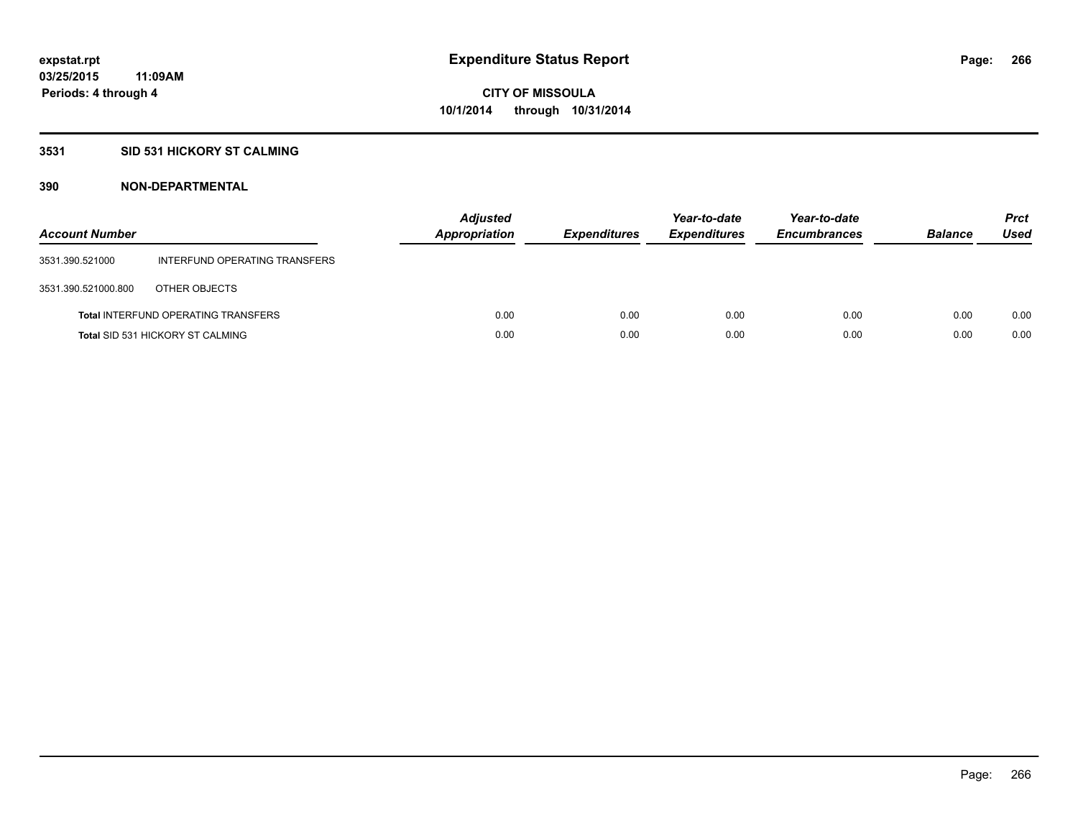# **3531 SID 531 HICKORY ST CALMING**

| <b>Account Number</b> |                                            | <b>Adjusted</b><br>Appropriation | <b>Expenditures</b> | Year-to-date<br><b>Expenditures</b> | Year-to-date<br><b>Encumbrances</b> | <b>Balance</b> | <b>Prct</b><br>Used |
|-----------------------|--------------------------------------------|----------------------------------|---------------------|-------------------------------------|-------------------------------------|----------------|---------------------|
| 3531.390.521000       | INTERFUND OPERATING TRANSFERS              |                                  |                     |                                     |                                     |                |                     |
| 3531.390.521000.800   | OTHER OBJECTS                              |                                  |                     |                                     |                                     |                |                     |
|                       | <b>Total INTERFUND OPERATING TRANSFERS</b> | 0.00                             | 0.00                | 0.00                                | 0.00                                | 0.00           | 0.00                |
|                       | <b>Total SID 531 HICKORY ST CALMING</b>    | 0.00                             | 0.00                | 0.00                                | 0.00                                | 0.00           | 0.00                |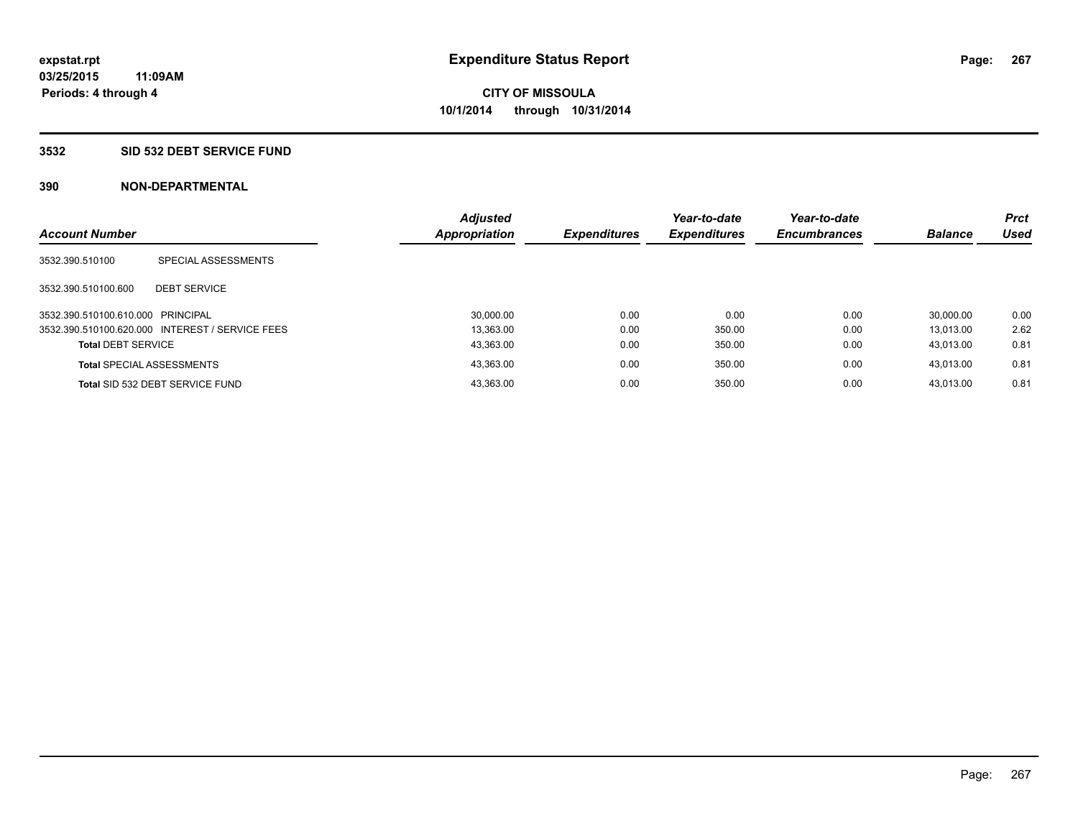### **3532 SID 532 DEBT SERVICE FUND**

| <b>Account Number</b>             |                                                 | <b>Adjusted</b><br>Appropriation | <b>Expenditures</b> | Year-to-date<br><b>Expenditures</b> | Year-to-date<br><b>Encumbrances</b> | <b>Balance</b> | <b>Prct</b><br><b>Used</b> |
|-----------------------------------|-------------------------------------------------|----------------------------------|---------------------|-------------------------------------|-------------------------------------|----------------|----------------------------|
|                                   |                                                 |                                  |                     |                                     |                                     |                |                            |
| 3532.390.510100                   | SPECIAL ASSESSMENTS                             |                                  |                     |                                     |                                     |                |                            |
|                                   |                                                 |                                  |                     |                                     |                                     |                |                            |
| 3532.390.510100.600               | <b>DEBT SERVICE</b>                             |                                  |                     |                                     |                                     |                |                            |
| 3532.390.510100.610.000 PRINCIPAL |                                                 | 30,000.00                        | 0.00                | 0.00                                | 0.00                                | 30.000.00      | 0.00                       |
|                                   | 3532.390.510100.620.000 INTEREST / SERVICE FEES | 13.363.00                        | 0.00                | 350.00                              | 0.00                                | 13.013.00      | 2.62                       |
| <b>Total DEBT SERVICE</b>         |                                                 | 43.363.00                        | 0.00                | 350.00                              | 0.00                                | 43.013.00      | 0.81                       |
|                                   | <b>Total SPECIAL ASSESSMENTS</b>                | 43,363.00                        | 0.00                | 350.00                              | 0.00                                | 43.013.00      | 0.81                       |
|                                   | Total SID 532 DEBT SERVICE FUND                 | 43,363.00                        | 0.00                | 350.00                              | 0.00                                | 43.013.00      | 0.81                       |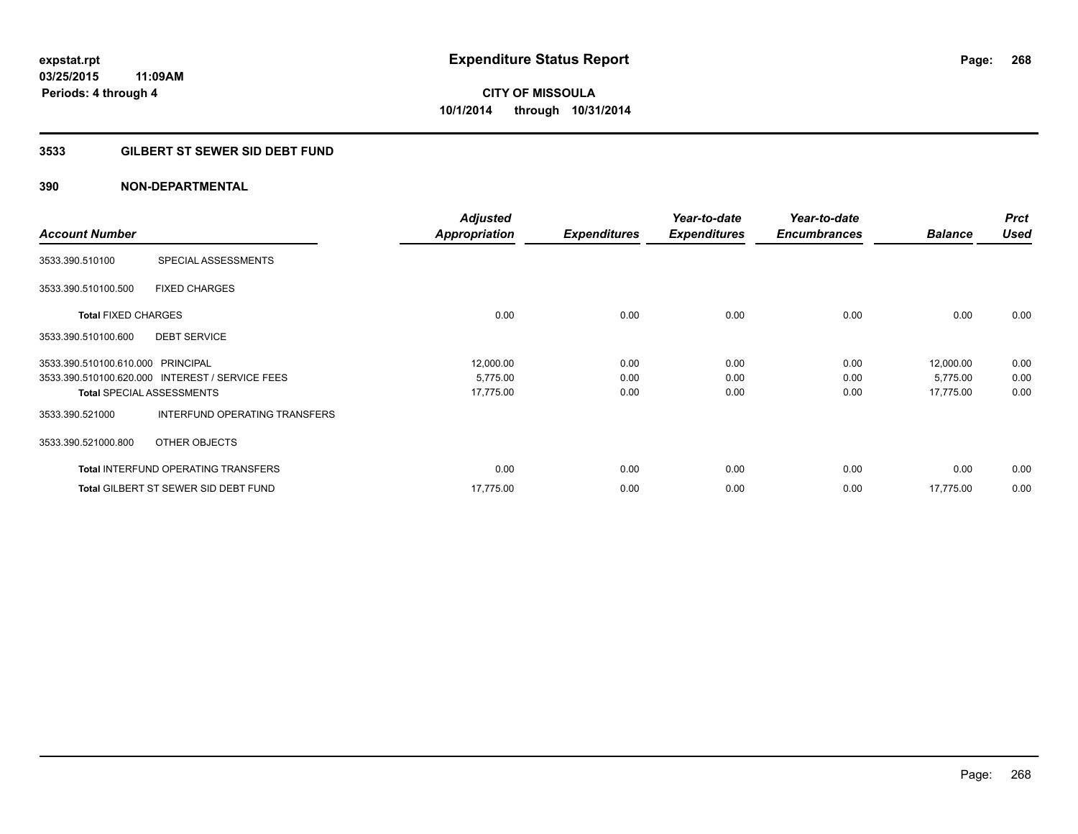# **3533 GILBERT ST SEWER SID DEBT FUND**

|                                   |                                                 | <b>Adjusted</b>      |                     | Year-to-date        | Year-to-date        |                | <b>Prct</b> |
|-----------------------------------|-------------------------------------------------|----------------------|---------------------|---------------------|---------------------|----------------|-------------|
| <b>Account Number</b>             |                                                 | <b>Appropriation</b> | <b>Expenditures</b> | <b>Expenditures</b> | <b>Encumbrances</b> | <b>Balance</b> | <b>Used</b> |
| 3533.390.510100                   | SPECIAL ASSESSMENTS                             |                      |                     |                     |                     |                |             |
| 3533.390.510100.500               | <b>FIXED CHARGES</b>                            |                      |                     |                     |                     |                |             |
| <b>Total FIXED CHARGES</b>        |                                                 | 0.00                 | 0.00                | 0.00                | 0.00                | 0.00           | 0.00        |
| 3533.390.510100.600               | <b>DEBT SERVICE</b>                             |                      |                     |                     |                     |                |             |
| 3533.390.510100.610.000 PRINCIPAL |                                                 | 12,000.00            | 0.00                | 0.00                | 0.00                | 12,000.00      | 0.00        |
|                                   | 3533.390.510100.620.000 INTEREST / SERVICE FEES | 5,775.00             | 0.00                | 0.00                | 0.00                | 5,775.00       | 0.00        |
|                                   | <b>Total SPECIAL ASSESSMENTS</b>                | 17,775.00            | 0.00                | 0.00                | 0.00                | 17,775.00      | 0.00        |
| 3533.390.521000                   | INTERFUND OPERATING TRANSFERS                   |                      |                     |                     |                     |                |             |
| 3533.390.521000.800               | OTHER OBJECTS                                   |                      |                     |                     |                     |                |             |
|                                   | <b>Total INTERFUND OPERATING TRANSFERS</b>      | 0.00                 | 0.00                | 0.00                | 0.00                | 0.00           | 0.00        |
|                                   | <b>Total GILBERT ST SEWER SID DEBT FUND</b>     | 17,775.00            | 0.00                | 0.00                | 0.00                | 17,775.00      | 0.00        |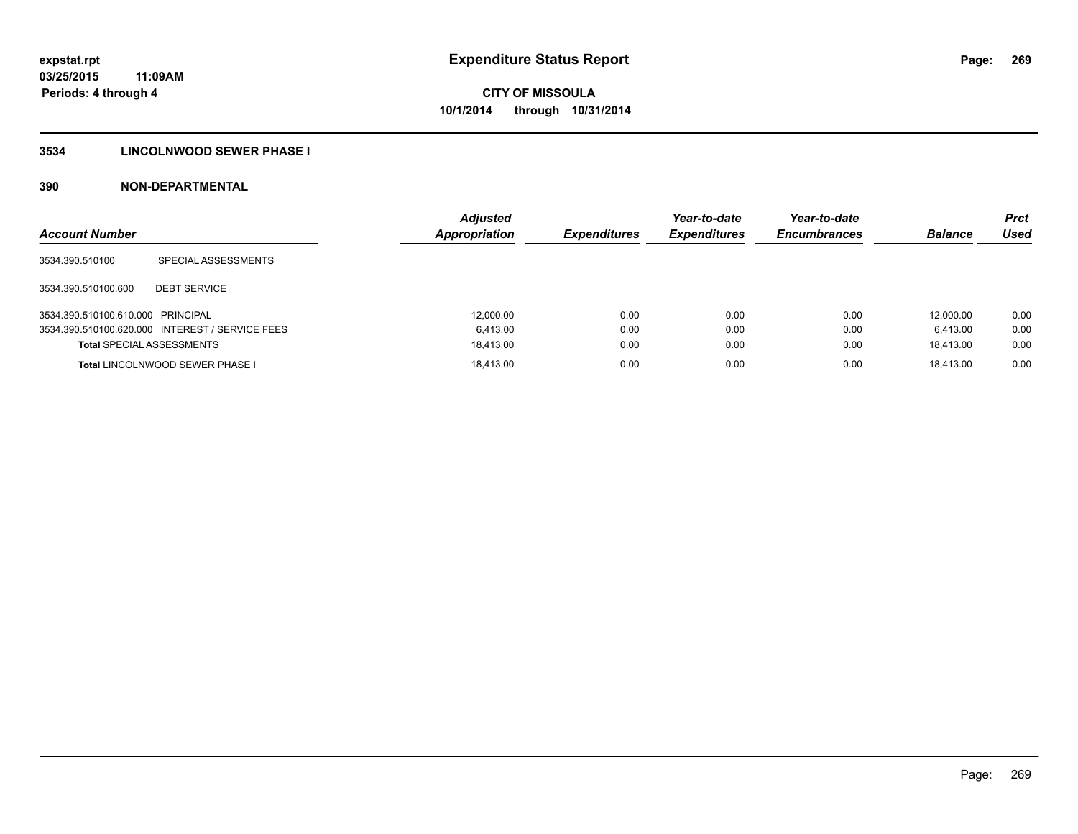# **3534 LINCOLNWOOD SEWER PHASE I**

| <b>Account Number</b>             |                                                 | <b>Adjusted</b><br><b>Appropriation</b> | <b>Expenditures</b> | Year-to-date<br><b>Expenditures</b> | Year-to-date<br><b>Encumbrances</b> | <b>Balance</b> | <b>Prct</b><br>Used |
|-----------------------------------|-------------------------------------------------|-----------------------------------------|---------------------|-------------------------------------|-------------------------------------|----------------|---------------------|
| 3534.390.510100                   | SPECIAL ASSESSMENTS                             |                                         |                     |                                     |                                     |                |                     |
| 3534.390.510100.600               | <b>DEBT SERVICE</b>                             |                                         |                     |                                     |                                     |                |                     |
| 3534.390.510100.610.000 PRINCIPAL |                                                 | 12,000.00                               | 0.00                | 0.00                                | 0.00                                | 12.000.00      | 0.00                |
|                                   | 3534.390.510100.620.000 INTEREST / SERVICE FEES | 6.413.00                                | 0.00                | 0.00                                | 0.00                                | 6.413.00       | 0.00                |
| <b>Total SPECIAL ASSESSMENTS</b>  |                                                 | 18.413.00                               | 0.00                | 0.00                                | 0.00                                | 18.413.00      | 0.00                |
|                                   | <b>Total LINCOLNWOOD SEWER PHASE I</b>          | 18.413.00                               | 0.00                | 0.00                                | 0.00                                | 18.413.00      | 0.00                |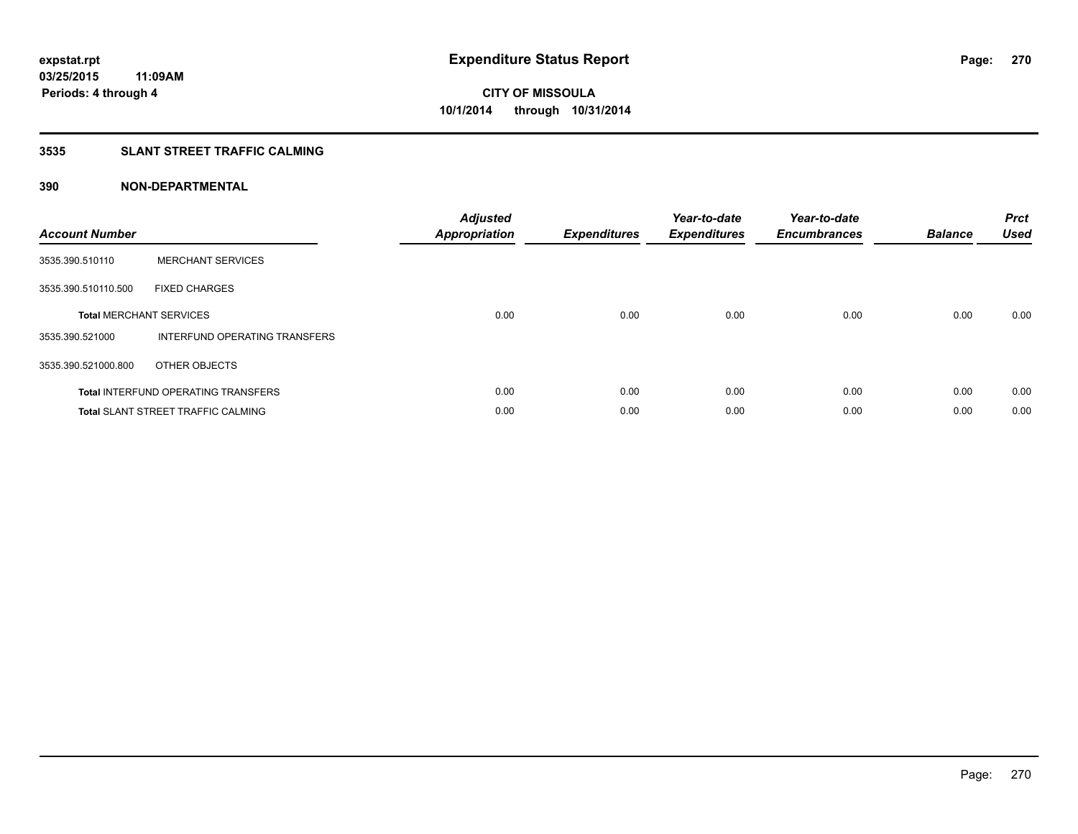# **3535 SLANT STREET TRAFFIC CALMING**

| <b>Account Number</b> |                                            | <b>Adjusted</b><br>Appropriation | <b>Expenditures</b> | Year-to-date<br><b>Expenditures</b> | Year-to-date<br><b>Encumbrances</b> | <b>Balance</b> | <b>Prct</b><br>Used |
|-----------------------|--------------------------------------------|----------------------------------|---------------------|-------------------------------------|-------------------------------------|----------------|---------------------|
| 3535.390.510110       | <b>MERCHANT SERVICES</b>                   |                                  |                     |                                     |                                     |                |                     |
| 3535.390.510110.500   | <b>FIXED CHARGES</b>                       |                                  |                     |                                     |                                     |                |                     |
|                       | <b>Total MERCHANT SERVICES</b>             | 0.00                             | 0.00                | 0.00                                | 0.00                                | 0.00           | 0.00                |
| 3535.390.521000       | INTERFUND OPERATING TRANSFERS              |                                  |                     |                                     |                                     |                |                     |
| 3535.390.521000.800   | OTHER OBJECTS                              |                                  |                     |                                     |                                     |                |                     |
|                       | <b>Total INTERFUND OPERATING TRANSFERS</b> | 0.00                             | 0.00                | 0.00                                | 0.00                                | 0.00           | 0.00                |
|                       | <b>Total SLANT STREET TRAFFIC CALMING</b>  | 0.00                             | 0.00                | 0.00                                | 0.00                                | 0.00           | 0.00                |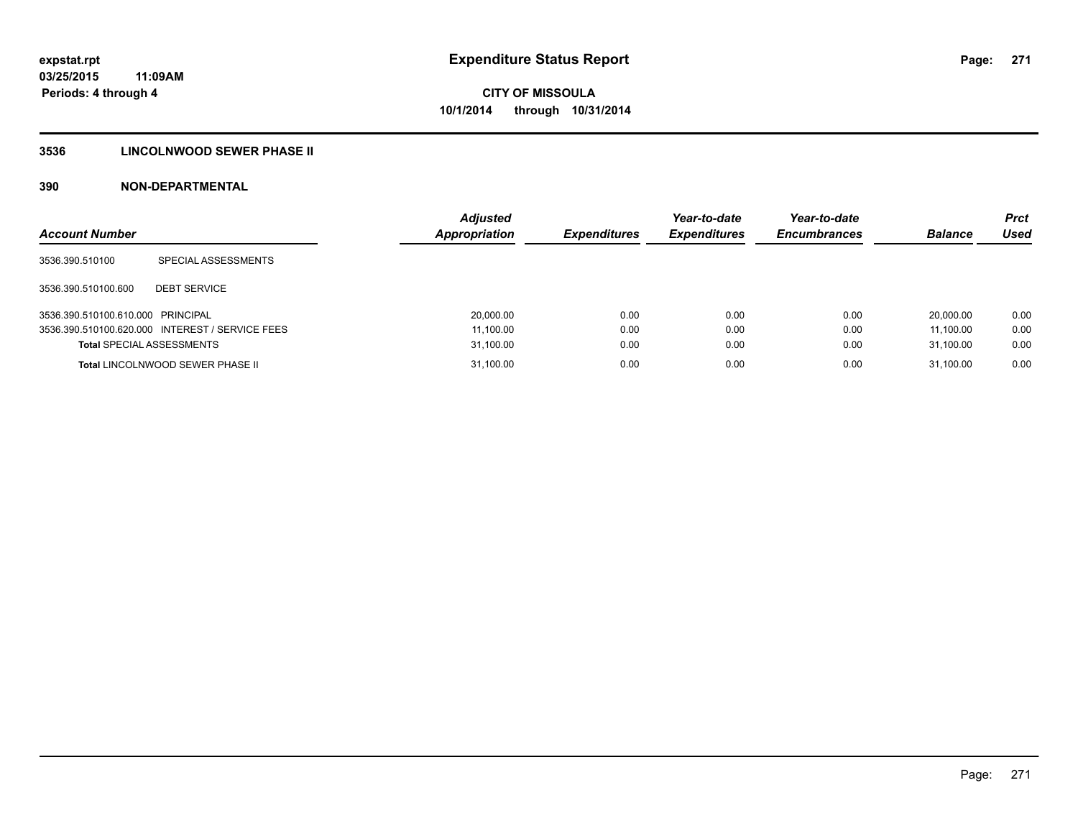# **3536 LINCOLNWOOD SEWER PHASE II**

| <b>Account Number</b>             |                                                 | <b>Adjusted</b><br>Appropriation | <b>Expenditures</b> | Year-to-date<br><b>Expenditures</b> | Year-to-date<br><b>Encumbrances</b> | <b>Balance</b> | <b>Prct</b><br>Used |
|-----------------------------------|-------------------------------------------------|----------------------------------|---------------------|-------------------------------------|-------------------------------------|----------------|---------------------|
| 3536.390.510100                   | SPECIAL ASSESSMENTS                             |                                  |                     |                                     |                                     |                |                     |
| 3536.390.510100.600               | <b>DEBT SERVICE</b>                             |                                  |                     |                                     |                                     |                |                     |
| 3536.390.510100.610.000 PRINCIPAL |                                                 | 20,000.00                        | 0.00                | 0.00                                | 0.00                                | 20,000.00      | 0.00                |
|                                   | 3536.390.510100.620.000 INTEREST / SERVICE FEES | 11,100.00                        | 0.00                | 0.00                                | 0.00                                | 11.100.00      | 0.00                |
| <b>Total SPECIAL ASSESSMENTS</b>  |                                                 | 31,100.00                        | 0.00                | 0.00                                | 0.00                                | 31,100.00      | 0.00                |
|                                   | <b>Total LINCOLNWOOD SEWER PHASE II</b>         | 31,100.00                        | 0.00                | 0.00                                | 0.00                                | 31.100.00      | 0.00                |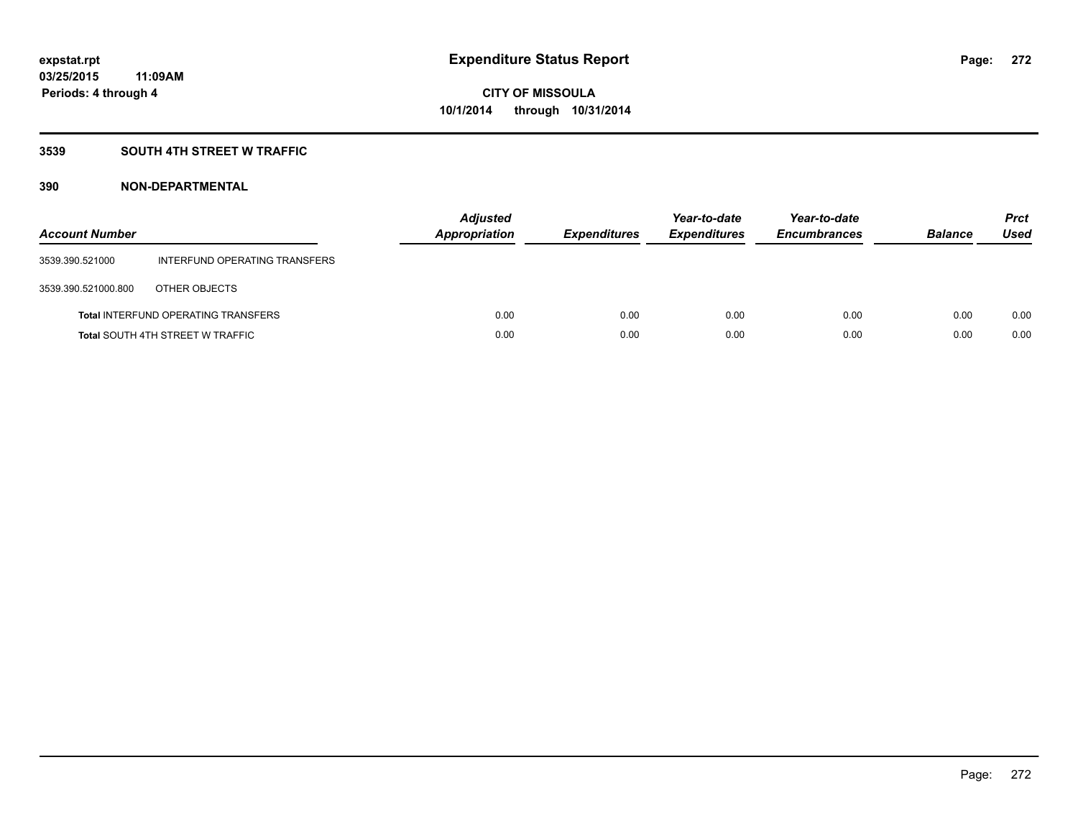# **3539 SOUTH 4TH STREET W TRAFFIC**

| <b>Account Number</b> |                                            | <b>Adjusted</b><br>Appropriation | <b>Expenditures</b> | Year-to-date<br><b>Expenditures</b> | Year-to-date<br><b>Encumbrances</b> | <b>Balance</b> | <b>Prct</b><br>Used |
|-----------------------|--------------------------------------------|----------------------------------|---------------------|-------------------------------------|-------------------------------------|----------------|---------------------|
| 3539.390.521000       | INTERFUND OPERATING TRANSFERS              |                                  |                     |                                     |                                     |                |                     |
| 3539.390.521000.800   | OTHER OBJECTS                              |                                  |                     |                                     |                                     |                |                     |
|                       | <b>Total INTERFUND OPERATING TRANSFERS</b> | 0.00                             | 0.00                | 0.00                                | 0.00                                | 0.00           | 0.00                |
|                       | <b>Total SOUTH 4TH STREET W TRAFFIC</b>    | 0.00                             | 0.00                | 0.00                                | 0.00                                | 0.00           | 0.00                |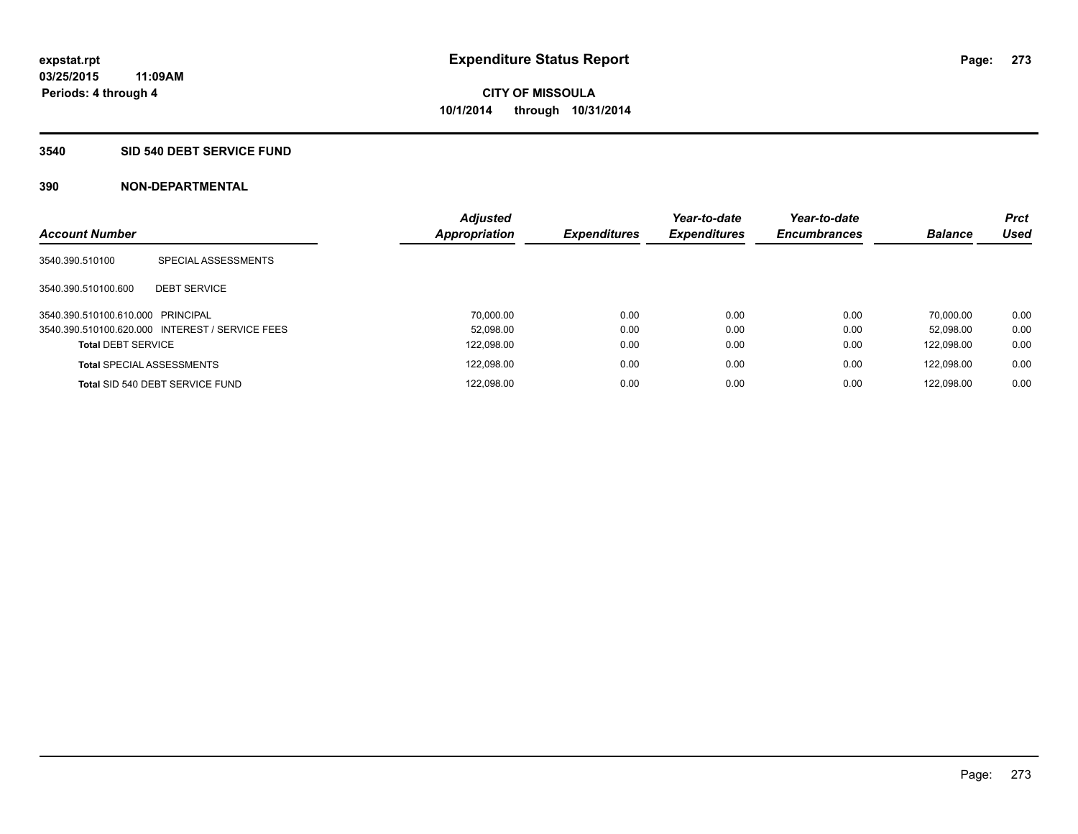## **3540 SID 540 DEBT SERVICE FUND**

| <b>Account Number</b>             |                                                 | <b>Adjusted</b><br><b>Appropriation</b> | <b>Expenditures</b> | Year-to-date<br><b>Expenditures</b> | Year-to-date<br><b>Encumbrances</b> | <b>Balance</b> | <b>Prct</b><br><b>Used</b> |
|-----------------------------------|-------------------------------------------------|-----------------------------------------|---------------------|-------------------------------------|-------------------------------------|----------------|----------------------------|
| 3540.390.510100                   | SPECIAL ASSESSMENTS                             |                                         |                     |                                     |                                     |                |                            |
| 3540.390.510100.600               | <b>DEBT SERVICE</b>                             |                                         |                     |                                     |                                     |                |                            |
| 3540.390.510100.610.000 PRINCIPAL |                                                 | 70.000.00                               | 0.00                | 0.00                                | 0.00                                | 70.000.00      | 0.00                       |
|                                   | 3540.390.510100.620.000 INTEREST / SERVICE FEES | 52.098.00                               | 0.00                | 0.00                                | 0.00                                | 52.098.00      | 0.00                       |
| <b>Total DEBT SERVICE</b>         |                                                 | 122,098.00                              | 0.00                | 0.00                                | 0.00                                | 122.098.00     | 0.00                       |
|                                   | <b>Total SPECIAL ASSESSMENTS</b>                | 122.098.00                              | 0.00                | 0.00                                | 0.00                                | 122.098.00     | 0.00                       |
|                                   | Total SID 540 DEBT SERVICE FUND                 | 122,098.00                              | 0.00                | 0.00                                | 0.00                                | 122.098.00     | 0.00                       |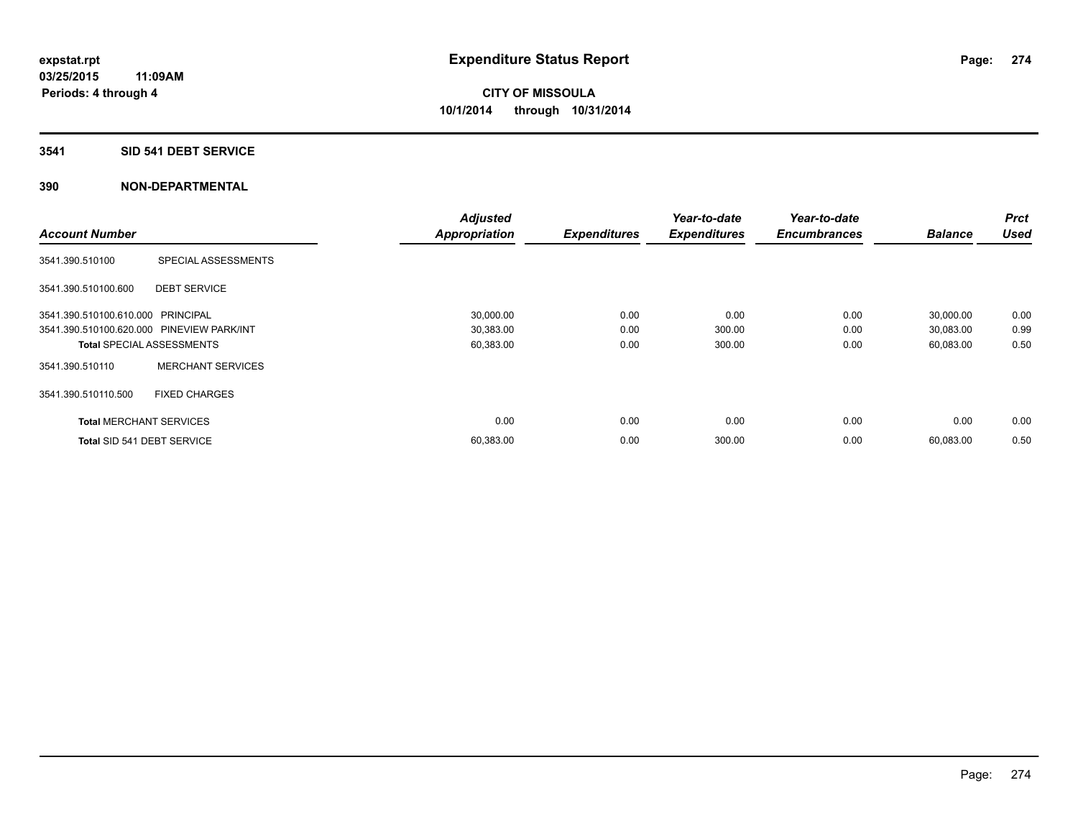# **3541 SID 541 DEBT SERVICE**

|                                           |                          | <b>Adjusted</b>      |                     | Year-to-date        | Year-to-date        |                | Prct        |
|-------------------------------------------|--------------------------|----------------------|---------------------|---------------------|---------------------|----------------|-------------|
| <b>Account Number</b>                     |                          | <b>Appropriation</b> | <b>Expenditures</b> | <b>Expenditures</b> | <b>Encumbrances</b> | <b>Balance</b> | <b>Used</b> |
| 3541.390.510100                           | SPECIAL ASSESSMENTS      |                      |                     |                     |                     |                |             |
| 3541.390.510100.600                       | <b>DEBT SERVICE</b>      |                      |                     |                     |                     |                |             |
| 3541.390.510100.610.000 PRINCIPAL         |                          | 30,000.00            | 0.00                | 0.00                | 0.00                | 30,000.00      | 0.00        |
| 3541.390.510100.620.000 PINEVIEW PARK/INT |                          | 30,383.00            | 0.00                | 300.00              | 0.00                | 30,083.00      | 0.99        |
| <b>Total SPECIAL ASSESSMENTS</b>          |                          | 60,383.00            | 0.00                | 300.00              | 0.00                | 60,083.00      | 0.50        |
| 3541.390.510110                           | <b>MERCHANT SERVICES</b> |                      |                     |                     |                     |                |             |
| 3541.390.510110.500                       | <b>FIXED CHARGES</b>     |                      |                     |                     |                     |                |             |
| <b>Total MERCHANT SERVICES</b>            |                          | 0.00                 | 0.00                | 0.00                | 0.00                | 0.00           | 0.00        |
| Total SID 541 DEBT SERVICE                |                          | 60,383.00            | 0.00                | 300.00              | 0.00                | 60,083.00      | 0.50        |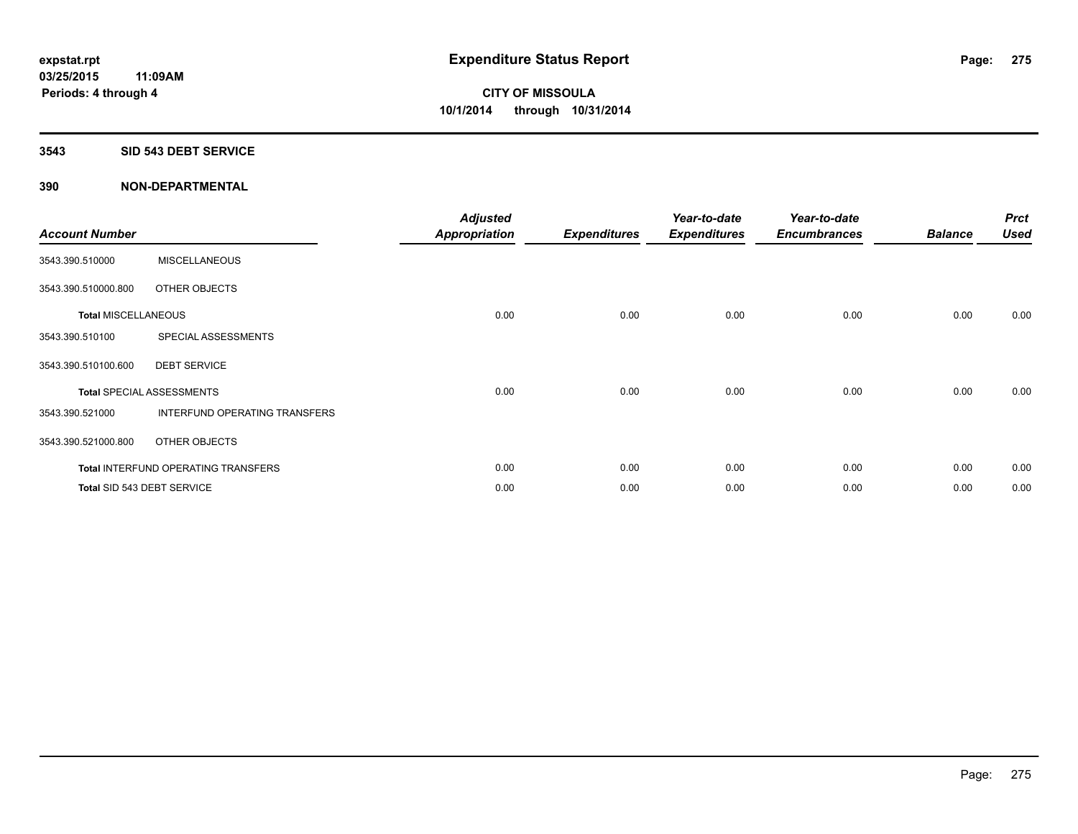### **3543 SID 543 DEBT SERVICE**

| <b>Account Number</b>      |                                     | <b>Adjusted</b><br><b>Appropriation</b> | <b>Expenditures</b> | Year-to-date<br><b>Expenditures</b> | Year-to-date<br><b>Encumbrances</b> | <b>Balance</b> | <b>Prct</b><br><b>Used</b> |
|----------------------------|-------------------------------------|-----------------------------------------|---------------------|-------------------------------------|-------------------------------------|----------------|----------------------------|
| 3543.390.510000            | <b>MISCELLANEOUS</b>                |                                         |                     |                                     |                                     |                |                            |
| 3543.390.510000.800        | OTHER OBJECTS                       |                                         |                     |                                     |                                     |                |                            |
| <b>Total MISCELLANEOUS</b> |                                     | 0.00                                    | 0.00                | 0.00                                | 0.00                                | 0.00           | 0.00                       |
| 3543.390.510100            | SPECIAL ASSESSMENTS                 |                                         |                     |                                     |                                     |                |                            |
| 3543.390.510100.600        | <b>DEBT SERVICE</b>                 |                                         |                     |                                     |                                     |                |                            |
|                            | <b>Total SPECIAL ASSESSMENTS</b>    | 0.00                                    | 0.00                | 0.00                                | 0.00                                | 0.00           | 0.00                       |
| 3543.390.521000            | INTERFUND OPERATING TRANSFERS       |                                         |                     |                                     |                                     |                |                            |
| 3543.390.521000.800        | OTHER OBJECTS                       |                                         |                     |                                     |                                     |                |                            |
|                            | Total INTERFUND OPERATING TRANSFERS | 0.00                                    | 0.00                | 0.00                                | 0.00                                | 0.00           | 0.00                       |
|                            | Total SID 543 DEBT SERVICE          | 0.00                                    | 0.00                | 0.00                                | 0.00                                | 0.00           | 0.00                       |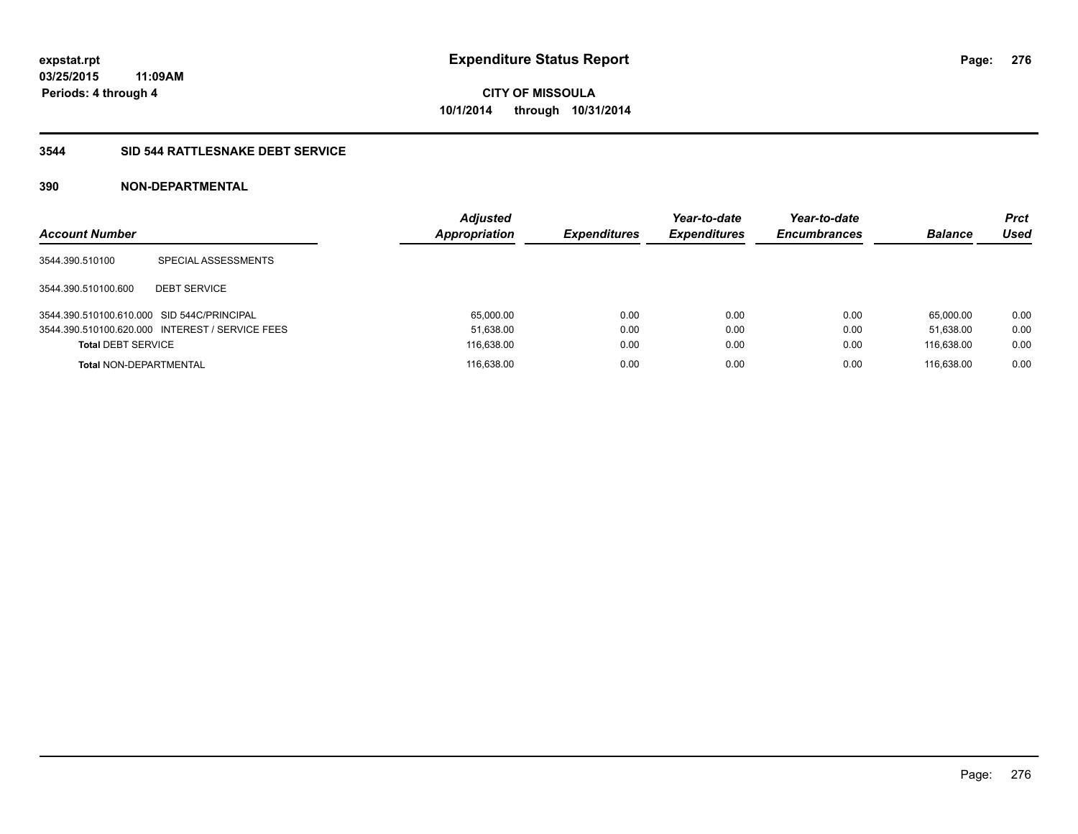# **3544 SID 544 RATTLESNAKE DEBT SERVICE**

| <b>Account Number</b>                      |                                                 | <b>Adjusted</b><br><b>Appropriation</b> | <b>Expenditures</b> | Year-to-date<br><b>Expenditures</b> | Year-to-date<br><b>Encumbrances</b> | <b>Balance</b> | <b>Prct</b><br>Used |
|--------------------------------------------|-------------------------------------------------|-----------------------------------------|---------------------|-------------------------------------|-------------------------------------|----------------|---------------------|
| 3544.390.510100                            | SPECIAL ASSESSMENTS                             |                                         |                     |                                     |                                     |                |                     |
| 3544.390.510100.600                        | <b>DEBT SERVICE</b>                             |                                         |                     |                                     |                                     |                |                     |
| 3544.390.510100.610.000 SID 544C/PRINCIPAL |                                                 | 65,000.00                               | 0.00                | 0.00                                | 0.00                                | 65.000.00      | 0.00                |
|                                            | 3544.390.510100.620.000 INTEREST / SERVICE FEES | 51,638.00                               | 0.00                | 0.00                                | 0.00                                | 51.638.00      | 0.00                |
| <b>Total DEBT SERVICE</b>                  |                                                 | 116,638.00                              | 0.00                | 0.00                                | 0.00                                | 116,638.00     | 0.00                |
| <b>Total NON-DEPARTMENTAL</b>              |                                                 | 116,638.00                              | 0.00                | 0.00                                | 0.00                                | 116.638.00     | 0.00                |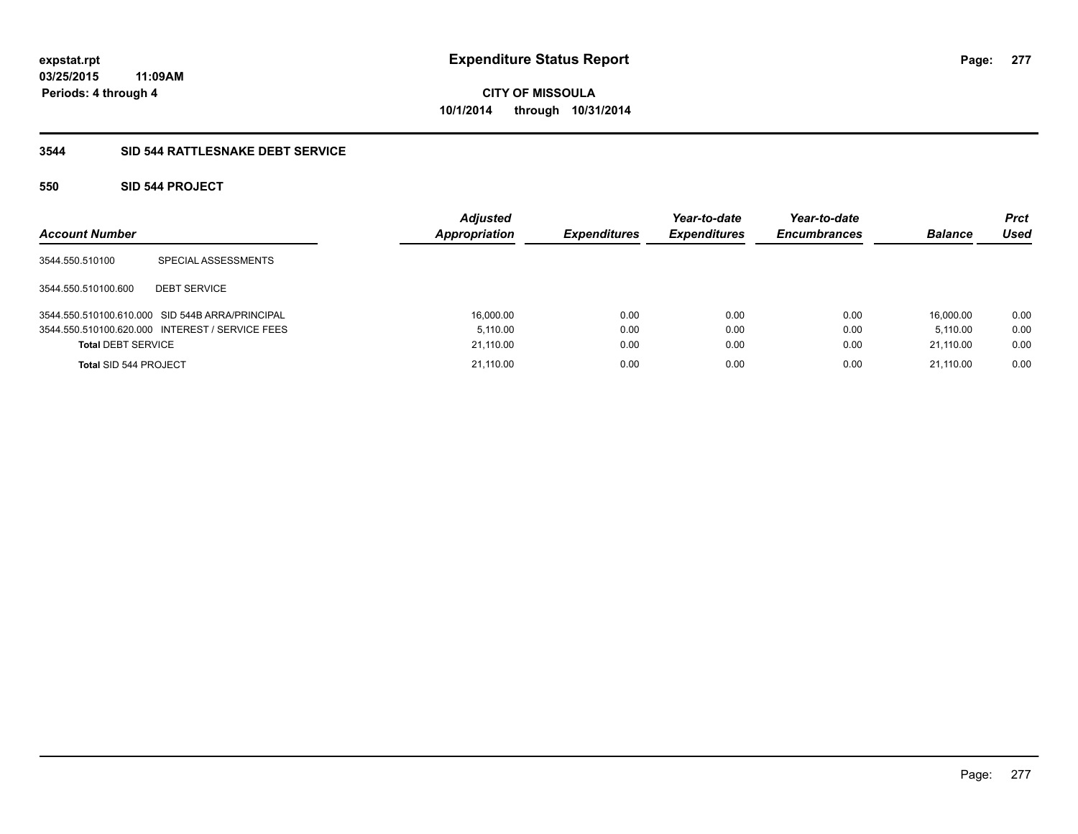# **3544 SID 544 RATTLESNAKE DEBT SERVICE**

# **550 SID 544 PROJECT**

| <b>Account Number</b>        |                                                 | <b>Adjusted</b><br>Appropriation | <b>Expenditures</b> | Year-to-date<br><b>Expenditures</b> | Year-to-date<br><b>Encumbrances</b> | <b>Balance</b> | <b>Prct</b><br><b>Used</b> |
|------------------------------|-------------------------------------------------|----------------------------------|---------------------|-------------------------------------|-------------------------------------|----------------|----------------------------|
| 3544.550.510100              | SPECIAL ASSESSMENTS                             |                                  |                     |                                     |                                     |                |                            |
| 3544.550.510100.600          | <b>DEBT SERVICE</b>                             |                                  |                     |                                     |                                     |                |                            |
|                              | 3544.550.510100.610.000 SID 544B ARRA/PRINCIPAL | 16,000.00                        | 0.00                | 0.00                                | 0.00                                | 16.000.00      | 0.00                       |
|                              | 3544.550.510100.620.000 INTEREST / SERVICE FEES | 5.110.00                         | 0.00                | 0.00                                | 0.00                                | 5.110.00       | 0.00                       |
| <b>Total DEBT SERVICE</b>    |                                                 | 21,110.00                        | 0.00                | 0.00                                | 0.00                                | 21.110.00      | 0.00                       |
| <b>Total SID 544 PROJECT</b> |                                                 | 21,110.00                        | 0.00                | 0.00                                | 0.00                                | 21.110.00      | 0.00                       |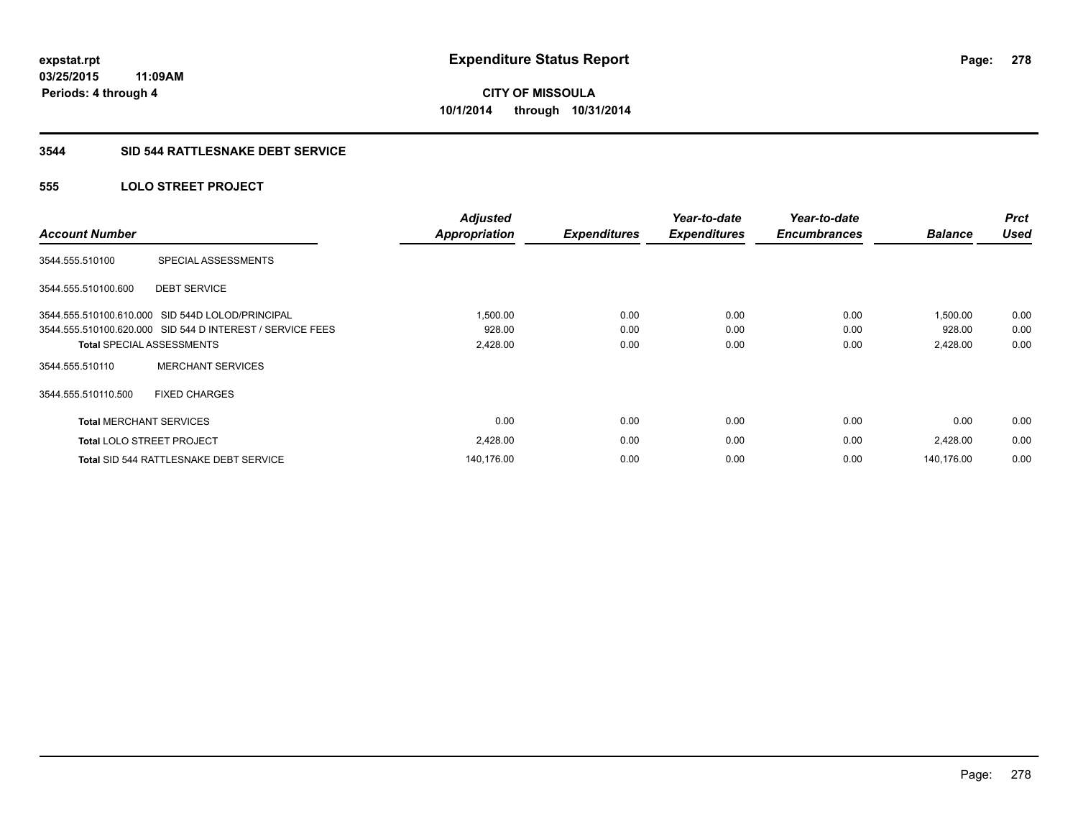### **3544 SID 544 RATTLESNAKE DEBT SERVICE**

# **555 LOLO STREET PROJECT**

| <b>Account Number</b>          |                                                           | <b>Adjusted</b><br><b>Appropriation</b> | <b>Expenditures</b> | Year-to-date<br><b>Expenditures</b> | Year-to-date<br><b>Encumbrances</b> | <b>Balance</b> | <b>Prct</b><br><b>Used</b> |
|--------------------------------|-----------------------------------------------------------|-----------------------------------------|---------------------|-------------------------------------|-------------------------------------|----------------|----------------------------|
| 3544.555.510100                | SPECIAL ASSESSMENTS                                       |                                         |                     |                                     |                                     |                |                            |
| 3544.555.510100.600            | <b>DEBT SERVICE</b>                                       |                                         |                     |                                     |                                     |                |                            |
|                                | 3544.555.510100.610.000 SID 544D LOLOD/PRINCIPAL          | 1,500.00                                | 0.00                | 0.00                                | 0.00                                | 1,500.00       | 0.00                       |
|                                | 3544.555.510100.620.000 SID 544 D INTEREST / SERVICE FEES | 928.00                                  | 0.00                | 0.00                                | 0.00                                | 928.00         | 0.00                       |
|                                | <b>Total SPECIAL ASSESSMENTS</b>                          | 2,428.00                                | 0.00                | 0.00                                | 0.00                                | 2,428.00       | 0.00                       |
| 3544.555.510110                | <b>MERCHANT SERVICES</b>                                  |                                         |                     |                                     |                                     |                |                            |
| 3544.555.510110.500            | <b>FIXED CHARGES</b>                                      |                                         |                     |                                     |                                     |                |                            |
| <b>Total MERCHANT SERVICES</b> |                                                           | 0.00                                    | 0.00                | 0.00                                | 0.00                                | 0.00           | 0.00                       |
|                                | <b>Total LOLO STREET PROJECT</b>                          | 2,428.00                                | 0.00                | 0.00                                | 0.00                                | 2,428.00       | 0.00                       |
|                                | Total SID 544 RATTLESNAKE DEBT SERVICE                    | 140,176.00                              | 0.00                | 0.00                                | 0.00                                | 140.176.00     | 0.00                       |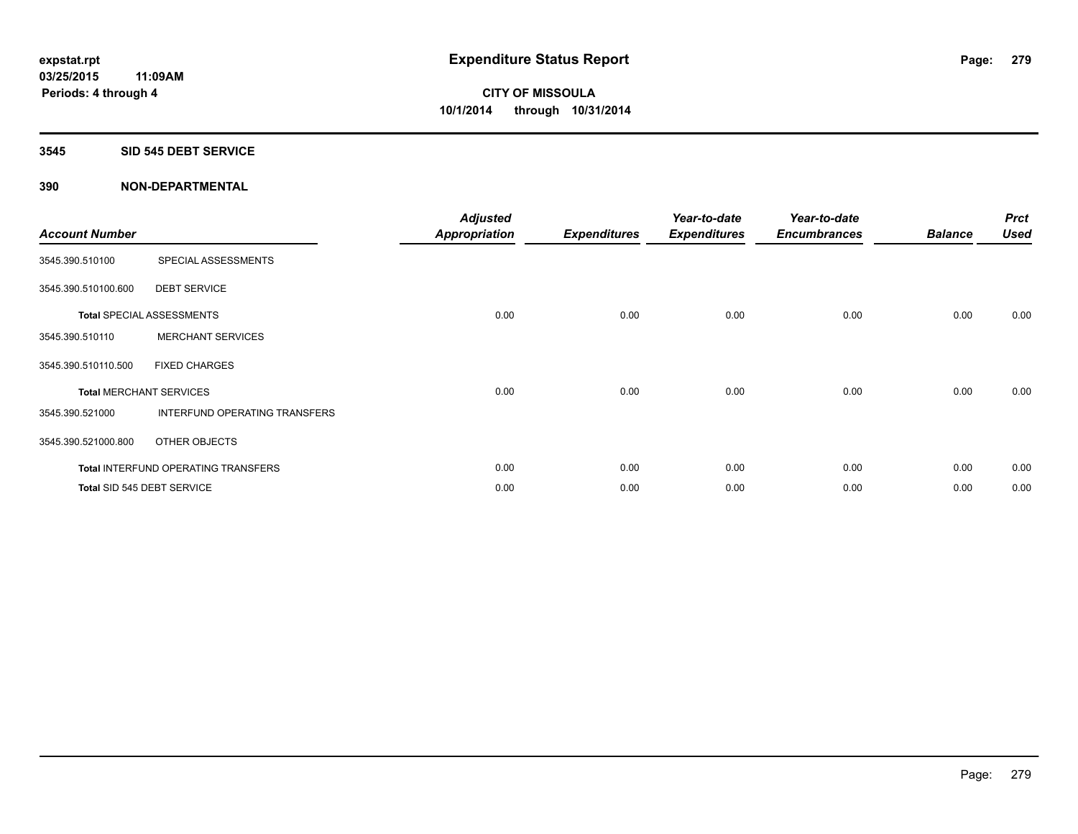### **3545 SID 545 DEBT SERVICE**

| <b>Account Number</b> |                                            | <b>Adjusted</b><br><b>Appropriation</b> | <b>Expenditures</b> | Year-to-date<br><b>Expenditures</b> | Year-to-date<br><b>Encumbrances</b> | <b>Balance</b> | <b>Prct</b><br><b>Used</b> |
|-----------------------|--------------------------------------------|-----------------------------------------|---------------------|-------------------------------------|-------------------------------------|----------------|----------------------------|
| 3545.390.510100       | SPECIAL ASSESSMENTS                        |                                         |                     |                                     |                                     |                |                            |
| 3545.390.510100.600   | <b>DEBT SERVICE</b>                        |                                         |                     |                                     |                                     |                |                            |
|                       | <b>Total SPECIAL ASSESSMENTS</b>           | 0.00                                    | 0.00                | 0.00                                | 0.00                                | 0.00           | 0.00                       |
| 3545.390.510110       | <b>MERCHANT SERVICES</b>                   |                                         |                     |                                     |                                     |                |                            |
| 3545.390.510110.500   | <b>FIXED CHARGES</b>                       |                                         |                     |                                     |                                     |                |                            |
|                       | <b>Total MERCHANT SERVICES</b>             | 0.00                                    | 0.00                | 0.00                                | 0.00                                | 0.00           | 0.00                       |
| 3545.390.521000       | INTERFUND OPERATING TRANSFERS              |                                         |                     |                                     |                                     |                |                            |
| 3545.390.521000.800   | OTHER OBJECTS                              |                                         |                     |                                     |                                     |                |                            |
|                       | <b>Total INTERFUND OPERATING TRANSFERS</b> | 0.00                                    | 0.00                | 0.00                                | 0.00                                | 0.00           | 0.00                       |
|                       | Total SID 545 DEBT SERVICE                 | 0.00                                    | 0.00                | 0.00                                | 0.00                                | 0.00           | 0.00                       |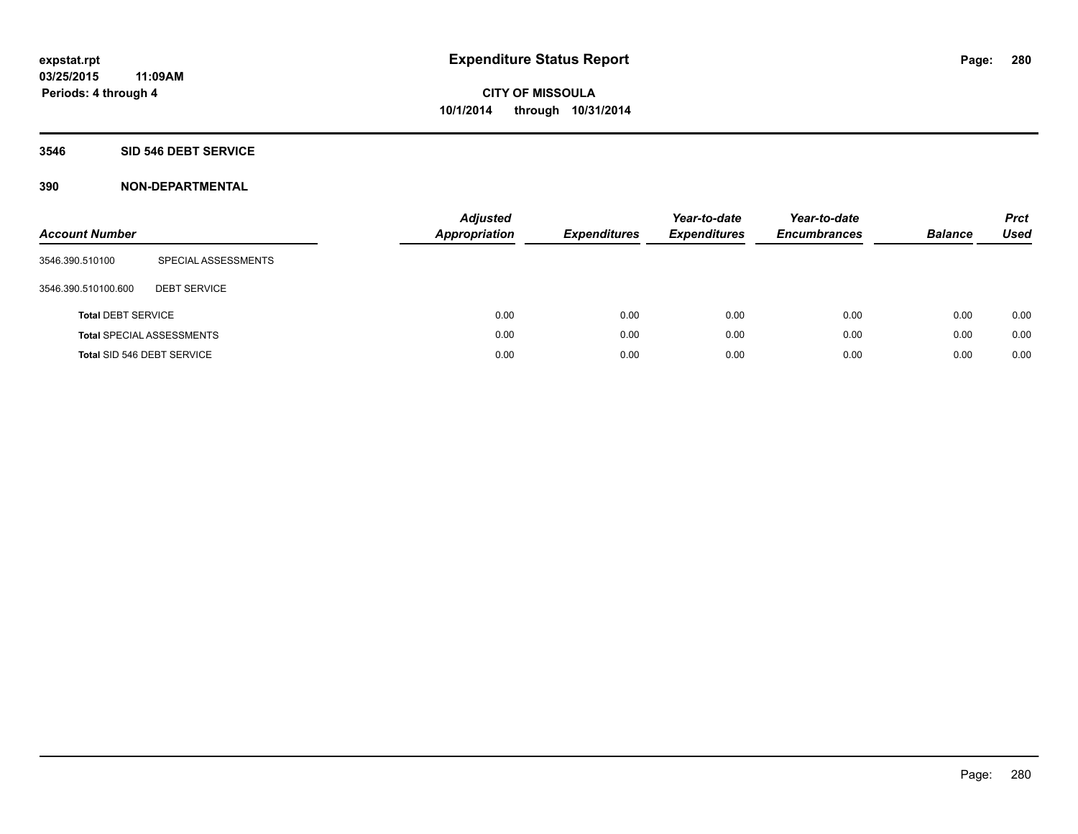### **3546 SID 546 DEBT SERVICE**

| <b>Account Number</b>     |                                  | <b>Adjusted</b><br><b>Appropriation</b> | <b>Expenditures</b> | Year-to-date<br><b>Expenditures</b> | Year-to-date<br><b>Encumbrances</b> | <b>Balance</b> | <b>Prct</b><br>Used |
|---------------------------|----------------------------------|-----------------------------------------|---------------------|-------------------------------------|-------------------------------------|----------------|---------------------|
| 3546.390.510100           | SPECIAL ASSESSMENTS              |                                         |                     |                                     |                                     |                |                     |
| 3546.390.510100.600       | <b>DEBT SERVICE</b>              |                                         |                     |                                     |                                     |                |                     |
| <b>Total DEBT SERVICE</b> |                                  | 0.00                                    | 0.00                | 0.00                                | 0.00                                | 0.00           | 0.00                |
|                           | <b>Total SPECIAL ASSESSMENTS</b> | 0.00                                    | 0.00                | 0.00                                | 0.00                                | 0.00           | 0.00                |
|                           | Total SID 546 DEBT SERVICE       | 0.00                                    | 0.00                | 0.00                                | 0.00                                | 0.00           | 0.00                |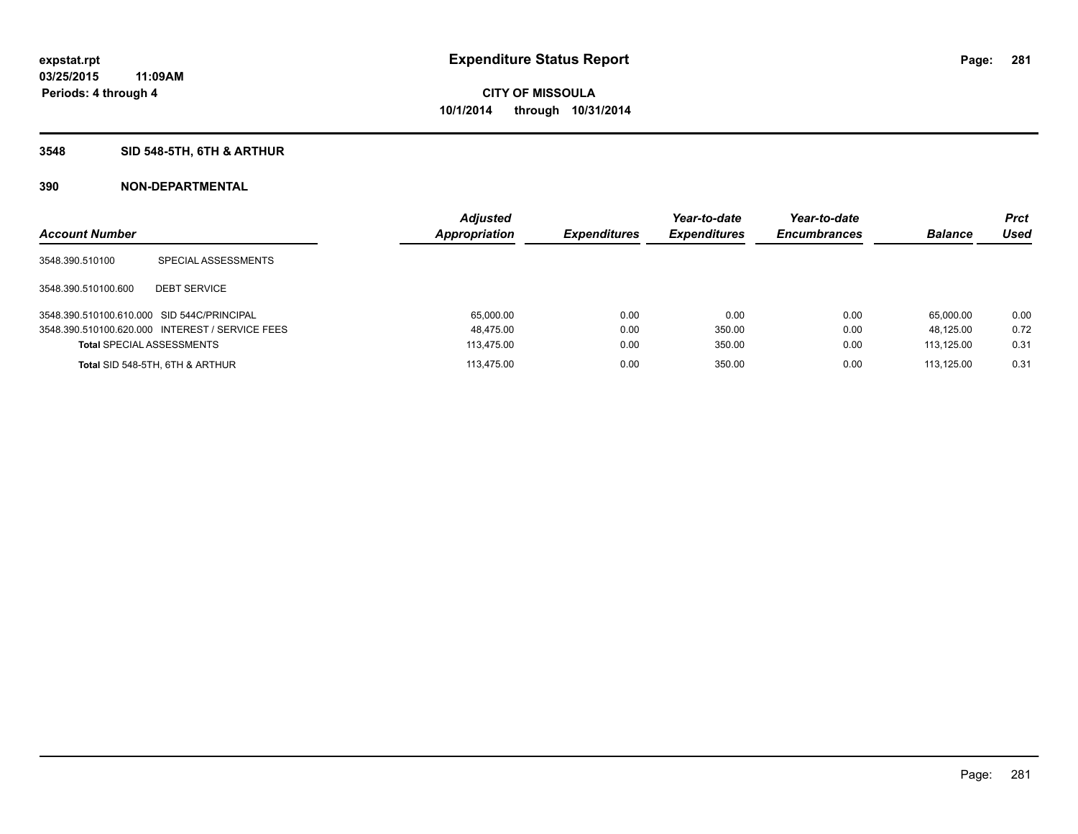# **3548 SID 548-5TH, 6TH & ARTHUR**

| <b>Account Number</b>                      |                                                 | <b>Adjusted</b><br><b>Appropriation</b> | <b>Expenditures</b> | Year-to-date<br><b>Expenditures</b> | Year-to-date<br><b>Encumbrances</b> | <b>Balance</b> | <b>Prct</b><br>Used |
|--------------------------------------------|-------------------------------------------------|-----------------------------------------|---------------------|-------------------------------------|-------------------------------------|----------------|---------------------|
| 3548.390.510100                            | SPECIAL ASSESSMENTS                             |                                         |                     |                                     |                                     |                |                     |
| 3548.390.510100.600                        | <b>DEBT SERVICE</b>                             |                                         |                     |                                     |                                     |                |                     |
| 3548.390.510100.610.000 SID 544C/PRINCIPAL |                                                 | 65.000.00                               | 0.00                | 0.00                                | 0.00                                | 65.000.00      | 0.00                |
|                                            | 3548.390.510100.620.000 INTEREST / SERVICE FEES | 48,475.00                               | 0.00                | 350.00                              | 0.00                                | 48.125.00      | 0.72                |
| <b>Total SPECIAL ASSESSMENTS</b>           |                                                 | 113.475.00                              | 0.00                | 350.00                              | 0.00                                | 113.125.00     | 0.31                |
|                                            | Total SID 548-5TH, 6TH & ARTHUR                 | 113.475.00                              | 0.00                | 350.00                              | 0.00                                | 113.125.00     | 0.31                |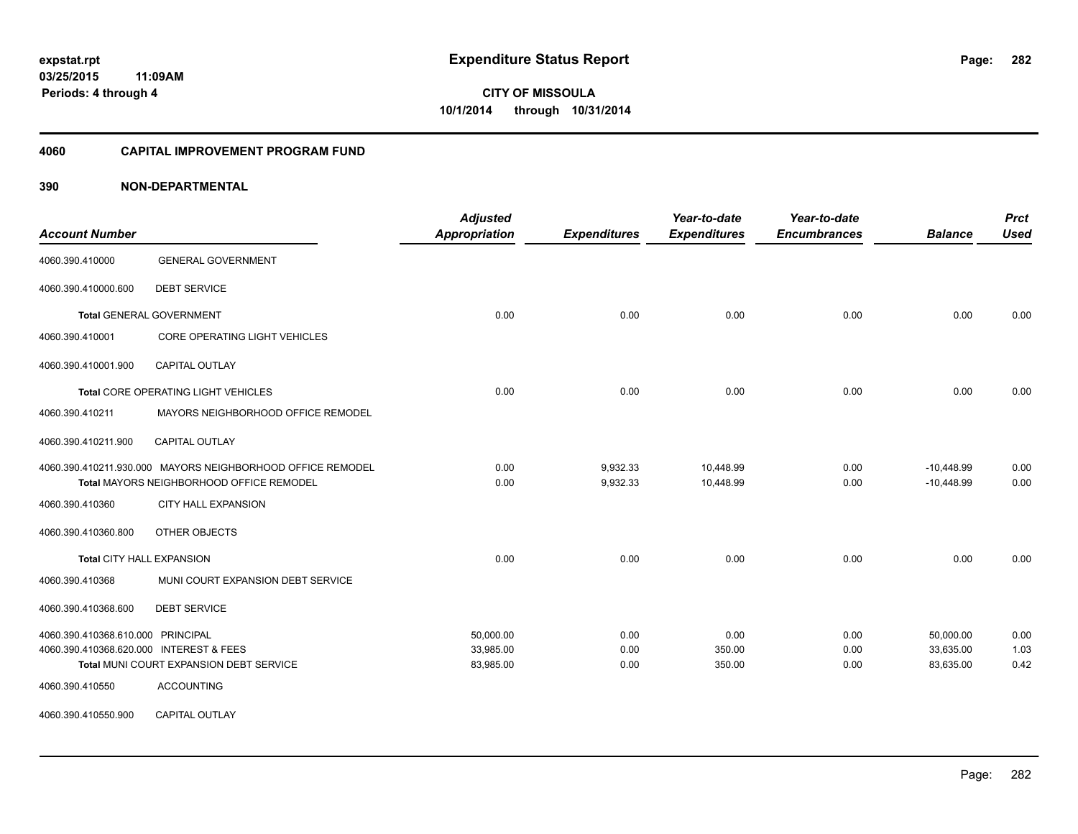### **4060 CAPITAL IMPROVEMENT PROGRAM FUND**

| <b>Account Number</b>                   |                                                            | <b>Adjusted</b><br>Appropriation | <b>Expenditures</b> | Year-to-date<br><b>Expenditures</b> | Year-to-date<br><b>Encumbrances</b> | <b>Balance</b> | <b>Prct</b><br><b>Used</b> |
|-----------------------------------------|------------------------------------------------------------|----------------------------------|---------------------|-------------------------------------|-------------------------------------|----------------|----------------------------|
| 4060.390.410000                         | <b>GENERAL GOVERNMENT</b>                                  |                                  |                     |                                     |                                     |                |                            |
| 4060.390.410000.600                     | <b>DEBT SERVICE</b>                                        |                                  |                     |                                     |                                     |                |                            |
|                                         | <b>Total GENERAL GOVERNMENT</b>                            | 0.00                             | 0.00                | 0.00                                | 0.00                                | 0.00           | 0.00                       |
| 4060.390.410001                         | CORE OPERATING LIGHT VEHICLES                              |                                  |                     |                                     |                                     |                |                            |
| 4060.390.410001.900                     | CAPITAL OUTLAY                                             |                                  |                     |                                     |                                     |                |                            |
|                                         | Total CORE OPERATING LIGHT VEHICLES                        | 0.00                             | 0.00                | 0.00                                | 0.00                                | 0.00           | 0.00                       |
| 4060.390.410211                         | MAYORS NEIGHBORHOOD OFFICE REMODEL                         |                                  |                     |                                     |                                     |                |                            |
| 4060.390.410211.900                     | <b>CAPITAL OUTLAY</b>                                      |                                  |                     |                                     |                                     |                |                            |
|                                         | 4060.390.410211.930.000 MAYORS NEIGHBORHOOD OFFICE REMODEL | 0.00                             | 9,932.33            | 10,448.99                           | 0.00                                | $-10,448.99$   | 0.00                       |
|                                         | Total MAYORS NEIGHBORHOOD OFFICE REMODEL                   | 0.00                             | 9,932.33            | 10,448.99                           | 0.00                                | $-10,448.99$   | 0.00                       |
| 4060.390.410360                         | <b>CITY HALL EXPANSION</b>                                 |                                  |                     |                                     |                                     |                |                            |
| 4060.390.410360.800                     | OTHER OBJECTS                                              |                                  |                     |                                     |                                     |                |                            |
|                                         | <b>Total CITY HALL EXPANSION</b>                           | 0.00                             | 0.00                | 0.00                                | 0.00                                | 0.00           | 0.00                       |
| 4060.390.410368                         | MUNI COURT EXPANSION DEBT SERVICE                          |                                  |                     |                                     |                                     |                |                            |
| 4060.390.410368.600                     | <b>DEBT SERVICE</b>                                        |                                  |                     |                                     |                                     |                |                            |
| 4060.390.410368.610.000 PRINCIPAL       |                                                            | 50.000.00                        | 0.00                | 0.00                                | 0.00                                | 50.000.00      | 0.00                       |
| 4060.390.410368.620.000 INTEREST & FEES |                                                            | 33,985.00                        | 0.00                | 350.00                              | 0.00                                | 33,635.00      | 1.03                       |
|                                         | Total MUNI COURT EXPANSION DEBT SERVICE                    | 83,985.00                        | 0.00                | 350.00                              | 0.00                                | 83,635.00      | 0.42                       |
| 4060.390.410550                         | <b>ACCOUNTING</b>                                          |                                  |                     |                                     |                                     |                |                            |
| 4060.390.410550.900                     | CAPITAL OUTLAY                                             |                                  |                     |                                     |                                     |                |                            |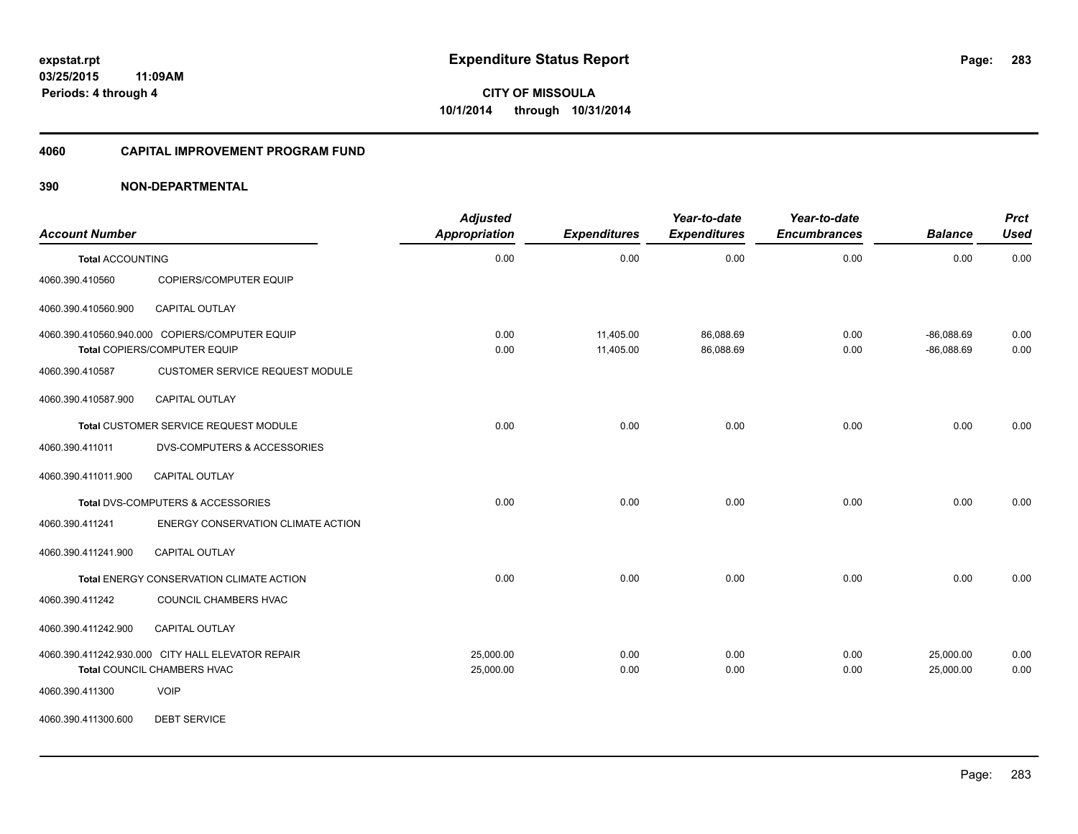### **4060 CAPITAL IMPROVEMENT PROGRAM FUND**

# **390 NON-DEPARTMENTAL**

| <b>Account Number</b>   |                                                                                  | <b>Adjusted</b><br><b>Appropriation</b> | <b>Expenditures</b>    | Year-to-date<br><b>Expenditures</b> | Year-to-date<br><b>Encumbrances</b> | <b>Balance</b>               | <b>Prct</b><br><b>Used</b> |
|-------------------------|----------------------------------------------------------------------------------|-----------------------------------------|------------------------|-------------------------------------|-------------------------------------|------------------------------|----------------------------|
| <b>Total ACCOUNTING</b> |                                                                                  | 0.00                                    | 0.00                   | 0.00                                | 0.00                                | 0.00                         | 0.00                       |
| 4060.390.410560         | COPIERS/COMPUTER EQUIP                                                           |                                         |                        |                                     |                                     |                              |                            |
| 4060.390.410560.900     | CAPITAL OUTLAY                                                                   |                                         |                        |                                     |                                     |                              |                            |
|                         | 4060.390.410560.940.000 COPIERS/COMPUTER EQUIP<br>Total COPIERS/COMPUTER EQUIP   | 0.00<br>0.00                            | 11,405.00<br>11,405.00 | 86,088.69<br>86,088.69              | 0.00<br>0.00                        | $-86,088.69$<br>$-86,088.69$ | 0.00<br>0.00               |
| 4060.390.410587         | <b>CUSTOMER SERVICE REQUEST MODULE</b>                                           |                                         |                        |                                     |                                     |                              |                            |
| 4060.390.410587.900     | <b>CAPITAL OUTLAY</b>                                                            |                                         |                        |                                     |                                     |                              |                            |
|                         | Total CUSTOMER SERVICE REQUEST MODULE                                            | 0.00                                    | 0.00                   | 0.00                                | 0.00                                | 0.00                         | 0.00                       |
| 4060.390.411011         | <b>DVS-COMPUTERS &amp; ACCESSORIES</b>                                           |                                         |                        |                                     |                                     |                              |                            |
| 4060.390.411011.900     | <b>CAPITAL OUTLAY</b>                                                            |                                         |                        |                                     |                                     |                              |                            |
|                         | Total DVS-COMPUTERS & ACCESSORIES                                                | 0.00                                    | 0.00                   | 0.00                                | 0.00                                | 0.00                         | 0.00                       |
| 4060.390.411241         | ENERGY CONSERVATION CLIMATE ACTION                                               |                                         |                        |                                     |                                     |                              |                            |
| 4060.390.411241.900     | <b>CAPITAL OUTLAY</b>                                                            |                                         |                        |                                     |                                     |                              |                            |
|                         | Total ENERGY CONSERVATION CLIMATE ACTION                                         | 0.00                                    | 0.00                   | 0.00                                | 0.00                                | 0.00                         | 0.00                       |
| 4060.390.411242         | COUNCIL CHAMBERS HVAC                                                            |                                         |                        |                                     |                                     |                              |                            |
| 4060.390.411242.900     | CAPITAL OUTLAY                                                                   |                                         |                        |                                     |                                     |                              |                            |
|                         | 4060.390.411242.930.000 CITY HALL ELEVATOR REPAIR<br>Total COUNCIL CHAMBERS HVAC | 25,000.00<br>25,000.00                  | 0.00<br>0.00           | 0.00<br>0.00                        | 0.00<br>0.00                        | 25,000.00<br>25,000.00       | 0.00<br>0.00               |
| 4060.390.411300         | <b>VOIP</b>                                                                      |                                         |                        |                                     |                                     |                              |                            |

4060.390.411300.600 DEBT SERVICE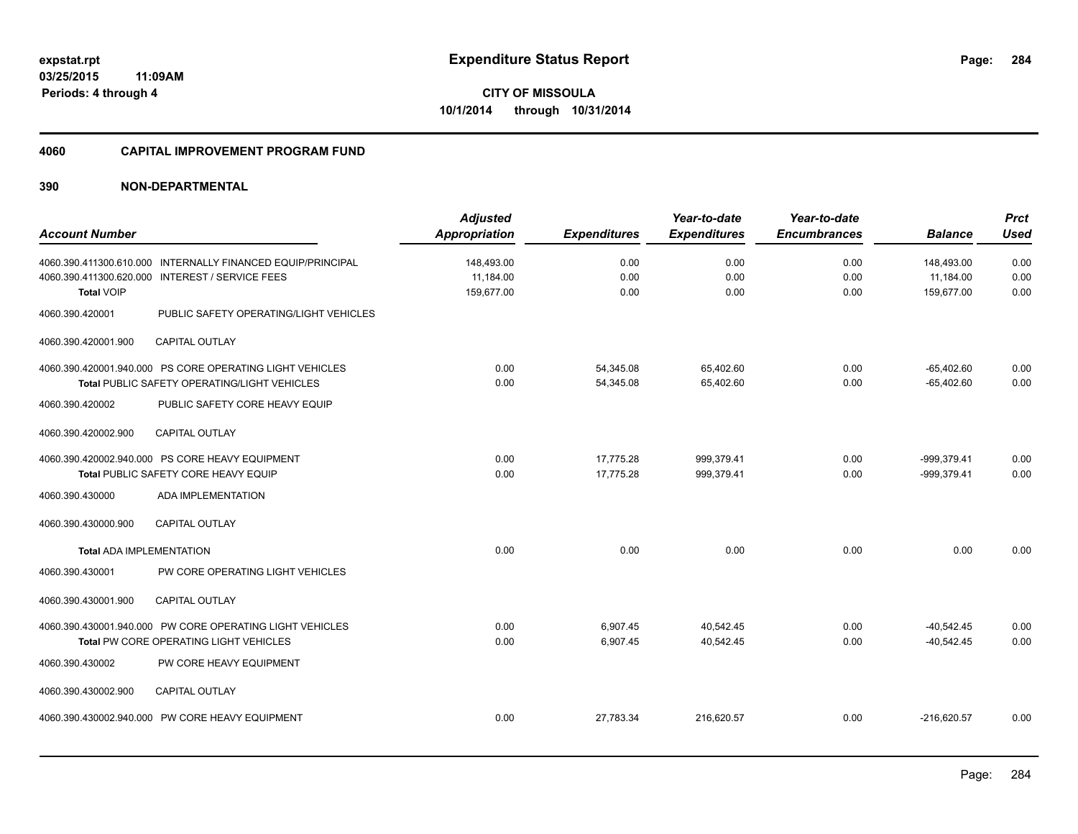#### **4060 CAPITAL IMPROVEMENT PROGRAM FUND**

|                                 |                                                             | <b>Adjusted</b>      |                     | Year-to-date        | Year-to-date        |                | <b>Prct</b> |
|---------------------------------|-------------------------------------------------------------|----------------------|---------------------|---------------------|---------------------|----------------|-------------|
| <b>Account Number</b>           |                                                             | <b>Appropriation</b> | <b>Expenditures</b> | <b>Expenditures</b> | <b>Encumbrances</b> | <b>Balance</b> | <b>Used</b> |
|                                 | 4060.390.411300.610.000 INTERNALLY FINANCED EQUIP/PRINCIPAL | 148,493.00           | 0.00                | 0.00                | 0.00                | 148,493.00     | 0.00        |
|                                 | 4060.390.411300.620.000 INTEREST / SERVICE FEES             | 11,184.00            | 0.00                | 0.00                | 0.00                | 11,184.00      | 0.00        |
| <b>Total VOIP</b>               |                                                             | 159,677.00           | 0.00                | 0.00                | 0.00                | 159.677.00     | 0.00        |
| 4060.390.420001                 | PUBLIC SAFETY OPERATING/LIGHT VEHICLES                      |                      |                     |                     |                     |                |             |
| 4060.390.420001.900             | <b>CAPITAL OUTLAY</b>                                       |                      |                     |                     |                     |                |             |
|                                 | 4060.390.420001.940.000 PS CORE OPERATING LIGHT VEHICLES    | 0.00                 | 54,345.08           | 65,402.60           | 0.00                | $-65,402.60$   | 0.00        |
|                                 | Total PUBLIC SAFETY OPERATING/LIGHT VEHICLES                | 0.00                 | 54,345.08           | 65,402.60           | 0.00                | $-65,402.60$   | 0.00        |
| 4060.390.420002                 | PUBLIC SAFETY CORE HEAVY EQUIP                              |                      |                     |                     |                     |                |             |
| 4060.390.420002.900             | <b>CAPITAL OUTLAY</b>                                       |                      |                     |                     |                     |                |             |
|                                 | 4060.390.420002.940.000 PS CORE HEAVY EQUIPMENT             | 0.00                 | 17,775.28           | 999,379.41          | 0.00                | -999,379.41    | 0.00        |
|                                 | Total PUBLIC SAFETY CORE HEAVY EQUIP                        | 0.00                 | 17,775.28           | 999,379.41          | 0.00                | -999,379.41    | 0.00        |
| 4060.390.430000                 | <b>ADA IMPLEMENTATION</b>                                   |                      |                     |                     |                     |                |             |
| 4060.390.430000.900             | <b>CAPITAL OUTLAY</b>                                       |                      |                     |                     |                     |                |             |
| <b>Total ADA IMPLEMENTATION</b> |                                                             | 0.00                 | 0.00                | 0.00                | 0.00                | 0.00           | 0.00        |
| 4060.390.430001                 | PW CORE OPERATING LIGHT VEHICLES                            |                      |                     |                     |                     |                |             |
| 4060.390.430001.900             | <b>CAPITAL OUTLAY</b>                                       |                      |                     |                     |                     |                |             |
|                                 | 4060.390.430001.940.000 PW CORE OPERATING LIGHT VEHICLES    | 0.00                 | 6,907.45            | 40,542.45           | 0.00                | $-40,542.45$   | 0.00        |
|                                 | Total PW CORE OPERATING LIGHT VEHICLES                      | 0.00                 | 6,907.45            | 40,542.45           | 0.00                | $-40,542.45$   | 0.00        |
| 4060.390.430002                 | PW CORE HEAVY EQUIPMENT                                     |                      |                     |                     |                     |                |             |
| 4060.390.430002.900             | <b>CAPITAL OUTLAY</b>                                       |                      |                     |                     |                     |                |             |
|                                 | 4060.390.430002.940.000 PW CORE HEAVY EQUIPMENT             | 0.00                 | 27,783.34           | 216,620.57          | 0.00                | $-216,620.57$  | 0.00        |
|                                 |                                                             |                      |                     |                     |                     |                |             |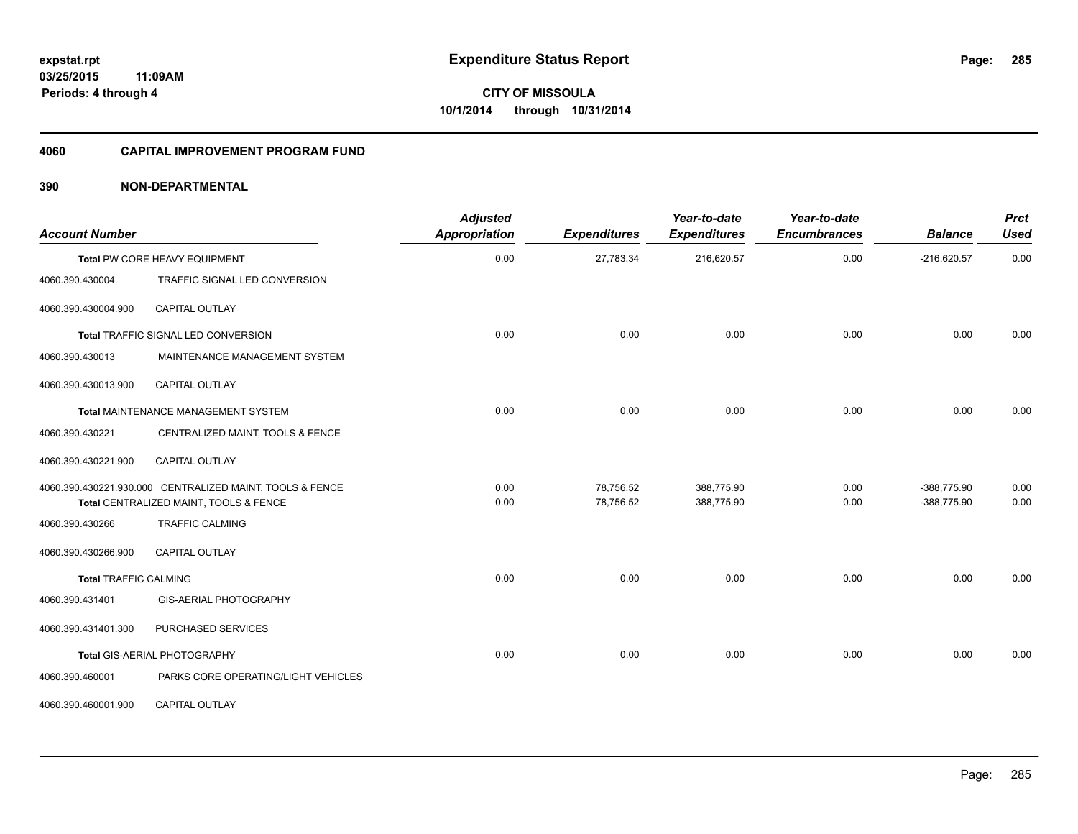## **4060 CAPITAL IMPROVEMENT PROGRAM FUND**

| <b>Account Number</b>        |                                                                                                    | <b>Adjusted</b><br><b>Appropriation</b> | <b>Expenditures</b>    | Year-to-date<br><b>Expenditures</b> | Year-to-date<br><b>Encumbrances</b> | <b>Balance</b>             | <b>Prct</b><br><b>Used</b> |
|------------------------------|----------------------------------------------------------------------------------------------------|-----------------------------------------|------------------------|-------------------------------------|-------------------------------------|----------------------------|----------------------------|
|                              | <b>Total PW CORE HEAVY EQUIPMENT</b>                                                               | 0.00                                    | 27,783.34              | 216,620.57                          | 0.00                                | $-216,620.57$              | 0.00                       |
| 4060.390.430004              | TRAFFIC SIGNAL LED CONVERSION                                                                      |                                         |                        |                                     |                                     |                            |                            |
| 4060.390.430004.900          | CAPITAL OUTLAY                                                                                     |                                         |                        |                                     |                                     |                            |                            |
|                              | Total TRAFFIC SIGNAL LED CONVERSION                                                                | 0.00                                    | 0.00                   | 0.00                                | 0.00                                | 0.00                       | 0.00                       |
| 4060.390.430013              | MAINTENANCE MANAGEMENT SYSTEM                                                                      |                                         |                        |                                     |                                     |                            |                            |
| 4060.390.430013.900          | <b>CAPITAL OUTLAY</b>                                                                              |                                         |                        |                                     |                                     |                            |                            |
|                              | Total MAINTENANCE MANAGEMENT SYSTEM                                                                | 0.00                                    | 0.00                   | 0.00                                | 0.00                                | 0.00                       | 0.00                       |
| 4060.390.430221              | CENTRALIZED MAINT, TOOLS & FENCE                                                                   |                                         |                        |                                     |                                     |                            |                            |
| 4060.390.430221.900          | <b>CAPITAL OUTLAY</b>                                                                              |                                         |                        |                                     |                                     |                            |                            |
|                              | 4060.390.430221.930.000 CENTRALIZED MAINT, TOOLS & FENCE<br>Total CENTRALIZED MAINT, TOOLS & FENCE | 0.00<br>0.00                            | 78,756.52<br>78,756.52 | 388,775.90<br>388,775.90            | 0.00<br>0.00                        | -388,775.90<br>-388,775.90 | 0.00<br>0.00               |
| 4060.390.430266              | <b>TRAFFIC CALMING</b>                                                                             |                                         |                        |                                     |                                     |                            |                            |
| 4060.390.430266.900          | <b>CAPITAL OUTLAY</b>                                                                              |                                         |                        |                                     |                                     |                            |                            |
| <b>Total TRAFFIC CALMING</b> |                                                                                                    | 0.00                                    | 0.00                   | 0.00                                | 0.00                                | 0.00                       | 0.00                       |
| 4060.390.431401              | GIS-AERIAL PHOTOGRAPHY                                                                             |                                         |                        |                                     |                                     |                            |                            |
| 4060.390.431401.300          | PURCHASED SERVICES                                                                                 |                                         |                        |                                     |                                     |                            |                            |
|                              | Total GIS-AERIAL PHOTOGRAPHY                                                                       | 0.00                                    | 0.00                   | 0.00                                | 0.00                                | 0.00                       | 0.00                       |
| 4060.390.460001              | PARKS CORE OPERATING/LIGHT VEHICLES                                                                |                                         |                        |                                     |                                     |                            |                            |
| 4060.390.460001.900          | CAPITAL OUTLAY                                                                                     |                                         |                        |                                     |                                     |                            |                            |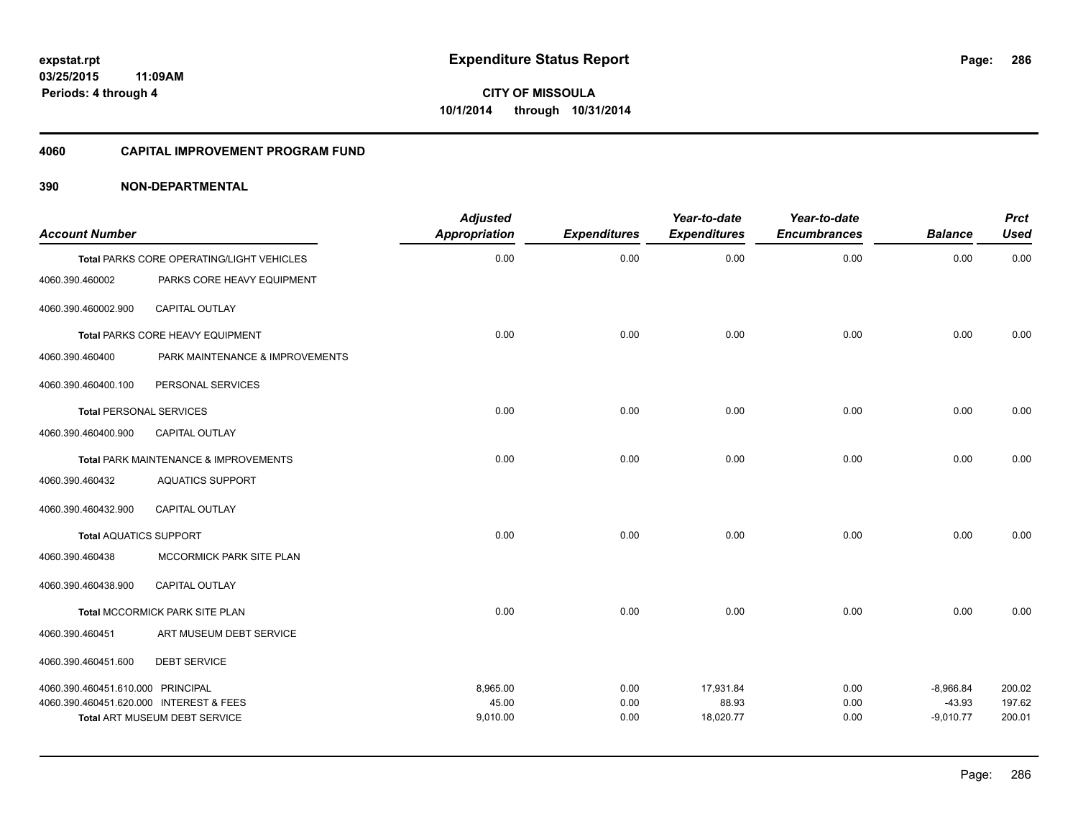#### **4060 CAPITAL IMPROVEMENT PROGRAM FUND**

| <b>Account Number</b>                   |                                           | <b>Adjusted</b><br>Appropriation | <b>Expenditures</b> | Year-to-date<br><b>Expenditures</b> | Year-to-date<br><b>Encumbrances</b> | <b>Balance</b>          | <b>Prct</b><br><b>Used</b> |
|-----------------------------------------|-------------------------------------------|----------------------------------|---------------------|-------------------------------------|-------------------------------------|-------------------------|----------------------------|
|                                         | Total PARKS CORE OPERATING/LIGHT VEHICLES | 0.00                             | 0.00                | 0.00                                | 0.00                                | 0.00                    | 0.00                       |
| 4060.390.460002                         | PARKS CORE HEAVY EQUIPMENT                |                                  |                     |                                     |                                     |                         |                            |
| 4060.390.460002.900                     | CAPITAL OUTLAY                            |                                  |                     |                                     |                                     |                         |                            |
|                                         | Total PARKS CORE HEAVY EQUIPMENT          | 0.00                             | 0.00                | 0.00                                | 0.00                                | 0.00                    | 0.00                       |
| 4060.390.460400                         | PARK MAINTENANCE & IMPROVEMENTS           |                                  |                     |                                     |                                     |                         |                            |
| 4060.390.460400.100                     | PERSONAL SERVICES                         |                                  |                     |                                     |                                     |                         |                            |
| <b>Total PERSONAL SERVICES</b>          |                                           | 0.00                             | 0.00                | 0.00                                | 0.00                                | 0.00                    | 0.00                       |
| 4060.390.460400.900                     | <b>CAPITAL OUTLAY</b>                     |                                  |                     |                                     |                                     |                         |                            |
|                                         | Total PARK MAINTENANCE & IMPROVEMENTS     | 0.00                             | 0.00                | 0.00                                | 0.00                                | 0.00                    | 0.00                       |
| 4060.390.460432                         | <b>AQUATICS SUPPORT</b>                   |                                  |                     |                                     |                                     |                         |                            |
| 4060.390.460432.900                     | <b>CAPITAL OUTLAY</b>                     |                                  |                     |                                     |                                     |                         |                            |
| <b>Total AQUATICS SUPPORT</b>           |                                           | 0.00                             | 0.00                | 0.00                                | 0.00                                | 0.00                    | 0.00                       |
| 4060.390.460438                         | MCCORMICK PARK SITE PLAN                  |                                  |                     |                                     |                                     |                         |                            |
| 4060.390.460438.900                     | <b>CAPITAL OUTLAY</b>                     |                                  |                     |                                     |                                     |                         |                            |
|                                         | Total MCCORMICK PARK SITE PLAN            | 0.00                             | 0.00                | 0.00                                | 0.00                                | 0.00                    | 0.00                       |
| 4060.390.460451                         | ART MUSEUM DEBT SERVICE                   |                                  |                     |                                     |                                     |                         |                            |
| 4060.390.460451.600                     | <b>DEBT SERVICE</b>                       |                                  |                     |                                     |                                     |                         |                            |
| 4060.390.460451.610.000 PRINCIPAL       |                                           | 8,965.00                         | 0.00                | 17,931.84                           | 0.00                                | $-8,966.84$             | 200.02                     |
| 4060.390.460451.620.000 INTEREST & FEES | <b>Total ART MUSEUM DEBT SERVICE</b>      | 45.00<br>9,010.00                | 0.00<br>0.00        | 88.93<br>18,020.77                  | 0.00<br>0.00                        | $-43.93$<br>$-9,010.77$ | 197.62<br>200.01           |
|                                         |                                           |                                  |                     |                                     |                                     |                         |                            |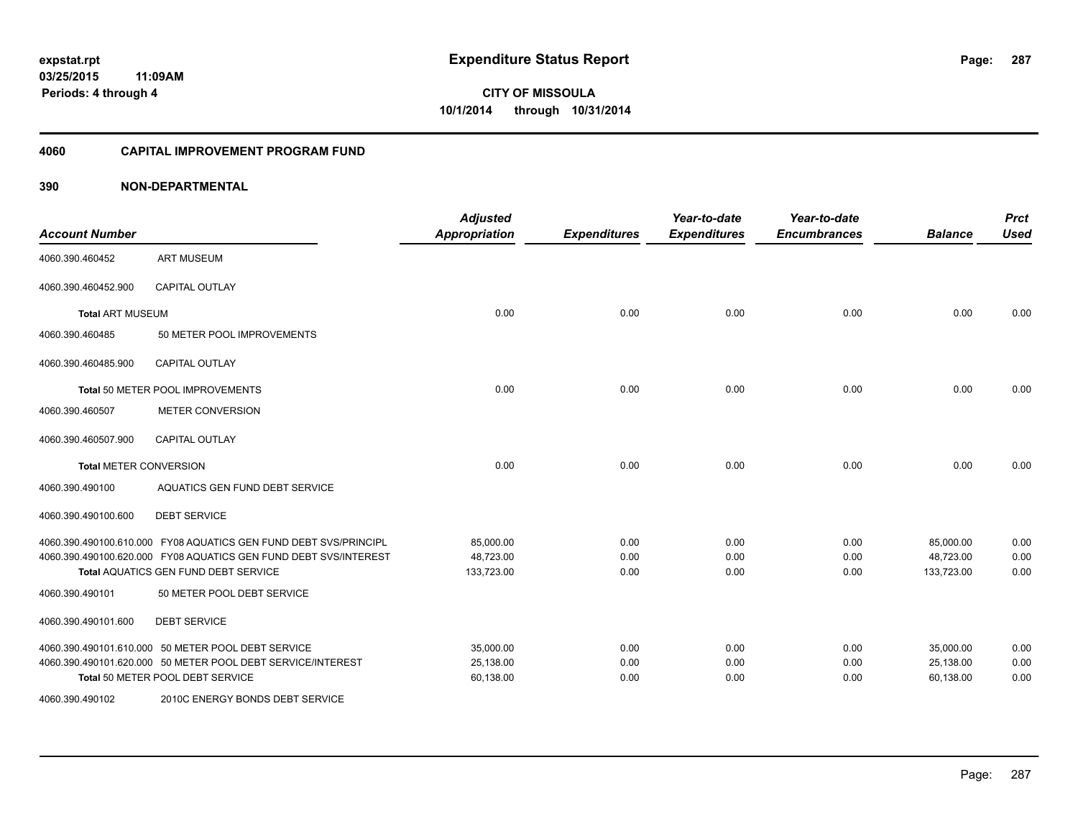### **4060 CAPITAL IMPROVEMENT PROGRAM FUND**

| <b>Account Number</b>         |                                                                  | <b>Adjusted</b><br><b>Appropriation</b> | <b>Expenditures</b> | Year-to-date<br><b>Expenditures</b> | Year-to-date<br><b>Encumbrances</b> | <b>Balance</b> | <b>Prct</b><br><b>Used</b> |
|-------------------------------|------------------------------------------------------------------|-----------------------------------------|---------------------|-------------------------------------|-------------------------------------|----------------|----------------------------|
| 4060.390.460452               | <b>ART MUSEUM</b>                                                |                                         |                     |                                     |                                     |                |                            |
| 4060.390.460452.900           | <b>CAPITAL OUTLAY</b>                                            |                                         |                     |                                     |                                     |                |                            |
| <b>Total ART MUSEUM</b>       |                                                                  | 0.00                                    | 0.00                | 0.00                                | 0.00                                | 0.00           | 0.00                       |
| 4060.390.460485               | 50 METER POOL IMPROVEMENTS                                       |                                         |                     |                                     |                                     |                |                            |
| 4060.390.460485.900           | <b>CAPITAL OUTLAY</b>                                            |                                         |                     |                                     |                                     |                |                            |
|                               | Total 50 METER POOL IMPROVEMENTS                                 | 0.00                                    | 0.00                | 0.00                                | 0.00                                | 0.00           | 0.00                       |
| 4060.390.460507               | <b>METER CONVERSION</b>                                          |                                         |                     |                                     |                                     |                |                            |
| 4060.390.460507.900           | <b>CAPITAL OUTLAY</b>                                            |                                         |                     |                                     |                                     |                |                            |
| <b>Total METER CONVERSION</b> |                                                                  | 0.00                                    | 0.00                | 0.00                                | 0.00                                | 0.00           | 0.00                       |
| 4060.390.490100               | AQUATICS GEN FUND DEBT SERVICE                                   |                                         |                     |                                     |                                     |                |                            |
| 4060.390.490100.600           | <b>DEBT SERVICE</b>                                              |                                         |                     |                                     |                                     |                |                            |
|                               | 4060.390.490100.610.000 FY08 AQUATICS GEN FUND DEBT SVS/PRINCIPL | 85,000.00                               | 0.00                | 0.00                                | 0.00                                | 85,000.00      | 0.00                       |
|                               | 4060.390.490100.620.000 FY08 AQUATICS GEN FUND DEBT SVS/INTEREST | 48.723.00                               | 0.00                | 0.00                                | 0.00                                | 48,723.00      | 0.00                       |
|                               | Total AQUATICS GEN FUND DEBT SERVICE                             | 133,723.00                              | 0.00                | 0.00                                | 0.00                                | 133,723.00     | 0.00                       |
| 4060.390.490101               | 50 METER POOL DEBT SERVICE                                       |                                         |                     |                                     |                                     |                |                            |
| 4060.390.490101.600           | <b>DEBT SERVICE</b>                                              |                                         |                     |                                     |                                     |                |                            |
|                               | 4060.390.490101.610.000 50 METER POOL DEBT SERVICE               | 35,000.00                               | 0.00                | 0.00                                | 0.00                                | 35,000.00      | 0.00                       |
|                               | 4060.390.490101.620.000 50 METER POOL DEBT SERVICE/INTEREST      | 25,138.00                               | 0.00                | 0.00                                | 0.00                                | 25,138.00      | 0.00                       |
|                               | Total 50 METER POOL DEBT SERVICE                                 | 60,138.00                               | 0.00                | 0.00                                | 0.00                                | 60,138.00      | 0.00                       |
| 4060.390.490102               | 2010C ENERGY BONDS DEBT SERVICE                                  |                                         |                     |                                     |                                     |                |                            |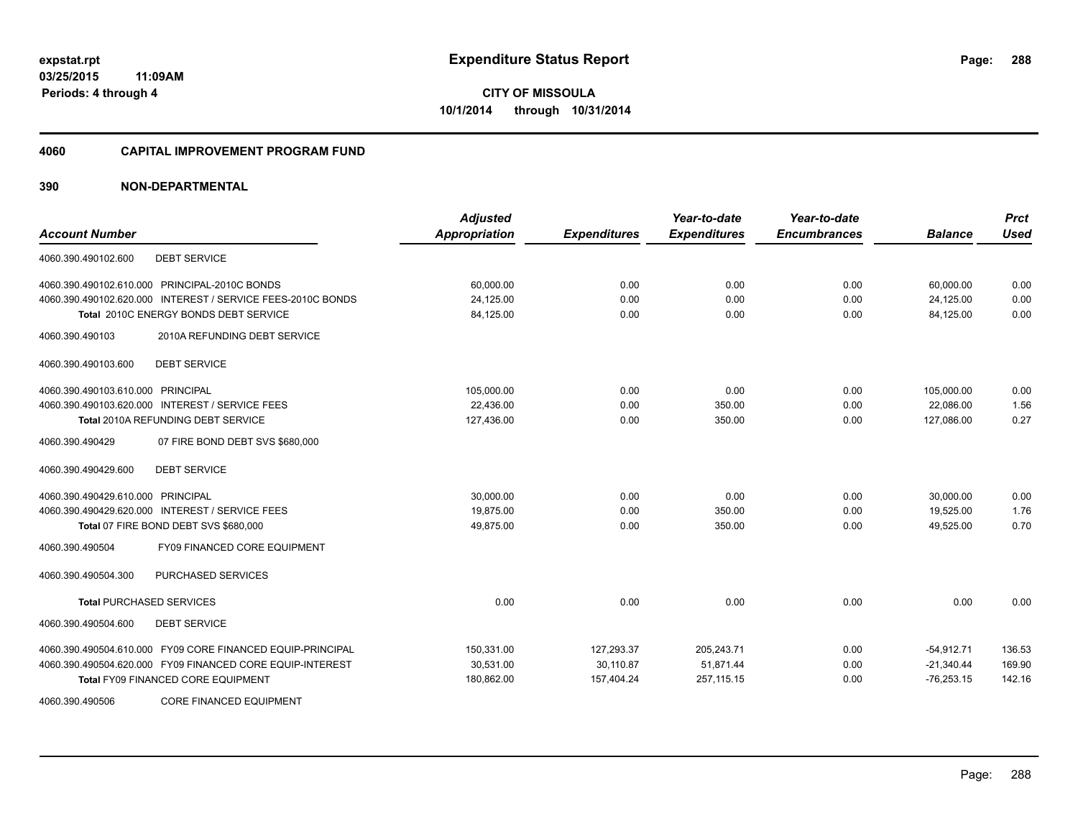#### **4060 CAPITAL IMPROVEMENT PROGRAM FUND**

# **390 NON-DEPARTMENTAL**

| <b>Account Number</b>                                       | <b>Adjusted</b><br>Appropriation | <b>Expenditures</b> | Year-to-date<br><b>Expenditures</b> | Year-to-date<br><b>Encumbrances</b> | <b>Balance</b> | <b>Prct</b><br><b>Used</b> |
|-------------------------------------------------------------|----------------------------------|---------------------|-------------------------------------|-------------------------------------|----------------|----------------------------|
|                                                             |                                  |                     |                                     |                                     |                |                            |
| <b>DEBT SERVICE</b><br>4060.390.490102.600                  |                                  |                     |                                     |                                     |                |                            |
| 4060.390.490102.610.000 PRINCIPAL-2010C BONDS               | 60,000.00                        | 0.00                | 0.00                                | 0.00                                | 60,000.00      | 0.00                       |
| 4060.390.490102.620.000 INTEREST / SERVICE FEES-2010C BONDS | 24,125.00                        | 0.00                | 0.00                                | 0.00                                | 24,125.00      | 0.00                       |
| Total 2010C ENERGY BONDS DEBT SERVICE                       | 84,125.00                        | 0.00                | 0.00                                | 0.00                                | 84.125.00      | 0.00                       |
| 4060.390.490103<br>2010A REFUNDING DEBT SERVICE             |                                  |                     |                                     |                                     |                |                            |
| <b>DEBT SERVICE</b><br>4060.390.490103.600                  |                                  |                     |                                     |                                     |                |                            |
| 4060.390.490103.610.000 PRINCIPAL                           | 105,000.00                       | 0.00                | 0.00                                | 0.00                                | 105,000.00     | 0.00                       |
| 4060.390.490103.620.000 INTEREST / SERVICE FEES             | 22,436.00                        | 0.00                | 350.00                              | 0.00                                | 22,086.00      | 1.56                       |
| Total 2010A REFUNDING DEBT SERVICE                          | 127,436.00                       | 0.00                | 350.00                              | 0.00                                | 127,086.00     | 0.27                       |
| 07 FIRE BOND DEBT SVS \$680,000<br>4060.390.490429          |                                  |                     |                                     |                                     |                |                            |
| <b>DEBT SERVICE</b><br>4060.390.490429.600                  |                                  |                     |                                     |                                     |                |                            |
| 4060.390.490429.610.000 PRINCIPAL                           | 30,000.00                        | 0.00                | 0.00                                | 0.00                                | 30,000.00      | 0.00                       |
| 4060.390.490429.620.000 INTEREST / SERVICE FEES             | 19.875.00                        | 0.00                | 350.00                              | 0.00                                | 19.525.00      | 1.76                       |
| Total 07 FIRE BOND DEBT SVS \$680,000                       | 49,875.00                        | 0.00                | 350.00                              | 0.00                                | 49,525.00      | 0.70                       |
| <b>FY09 FINANCED CORE EQUIPMENT</b><br>4060.390.490504      |                                  |                     |                                     |                                     |                |                            |
| PURCHASED SERVICES<br>4060.390.490504.300                   |                                  |                     |                                     |                                     |                |                            |
| <b>Total PURCHASED SERVICES</b>                             | 0.00                             | 0.00                | 0.00                                | 0.00                                | 0.00           | 0.00                       |
| 4060.390.490504.600<br><b>DEBT SERVICE</b>                  |                                  |                     |                                     |                                     |                |                            |
| 4060.390.490504.610.000 FY09 CORE FINANCED EQUIP-PRINCIPAL  | 150,331.00                       | 127,293.37          | 205,243.71                          | 0.00                                | $-54,912.71$   | 136.53                     |
| 4060.390.490504.620.000 FY09 FINANCED CORE EQUIP-INTEREST   | 30,531.00                        | 30,110.87           | 51,871.44                           | 0.00                                | $-21,340.44$   | 169.90                     |
| <b>Total FY09 FINANCED CORE EQUIPMENT</b>                   | 180,862.00                       | 157,404.24          | 257, 115.15                         | 0.00                                | $-76,253.15$   | 142.16                     |
| <b>CORE FINANCED EQUIPMENT</b><br>4060.390.490506           |                                  |                     |                                     |                                     |                |                            |

Page: 288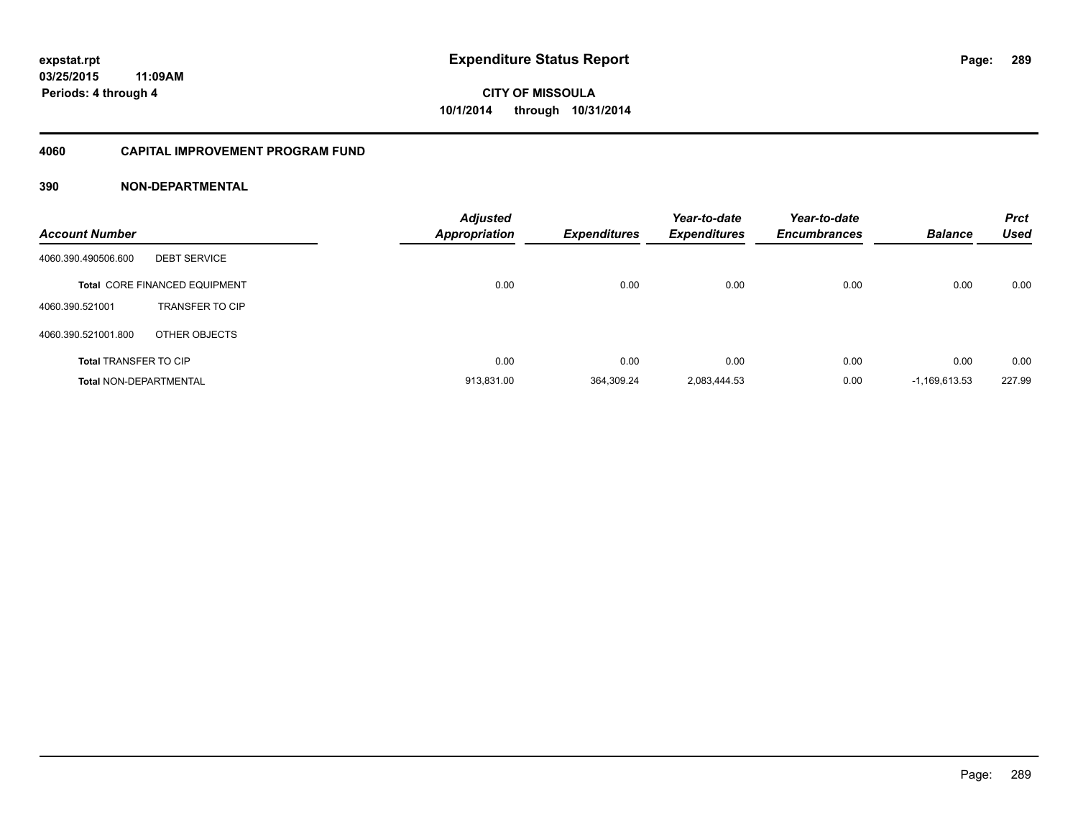### **4060 CAPITAL IMPROVEMENT PROGRAM FUND**

| <b>Account Number</b>         |                                      | <b>Adjusted</b><br><b>Appropriation</b> | <b>Expenditures</b> | Year-to-date<br><b>Expenditures</b> | Year-to-date<br><b>Encumbrances</b> | <b>Balance</b>  | <b>Prct</b><br>Used |
|-------------------------------|--------------------------------------|-----------------------------------------|---------------------|-------------------------------------|-------------------------------------|-----------------|---------------------|
| 4060.390.490506.600           | <b>DEBT SERVICE</b>                  |                                         |                     |                                     |                                     |                 |                     |
|                               | <b>Total CORE FINANCED EQUIPMENT</b> | 0.00                                    | 0.00                | 0.00                                | 0.00                                | 0.00            | 0.00                |
| 4060.390.521001               | <b>TRANSFER TO CIP</b>               |                                         |                     |                                     |                                     |                 |                     |
| 4060.390.521001.800           | OTHER OBJECTS                        |                                         |                     |                                     |                                     |                 |                     |
| <b>Total TRANSFER TO CIP</b>  |                                      | 0.00                                    | 0.00                | 0.00                                | 0.00                                | 0.00            | 0.00                |
| <b>Total NON-DEPARTMENTAL</b> |                                      | 913.831.00                              | 364.309.24          | 2.083.444.53                        | 0.00                                | $-1.169.613.53$ | 227.99              |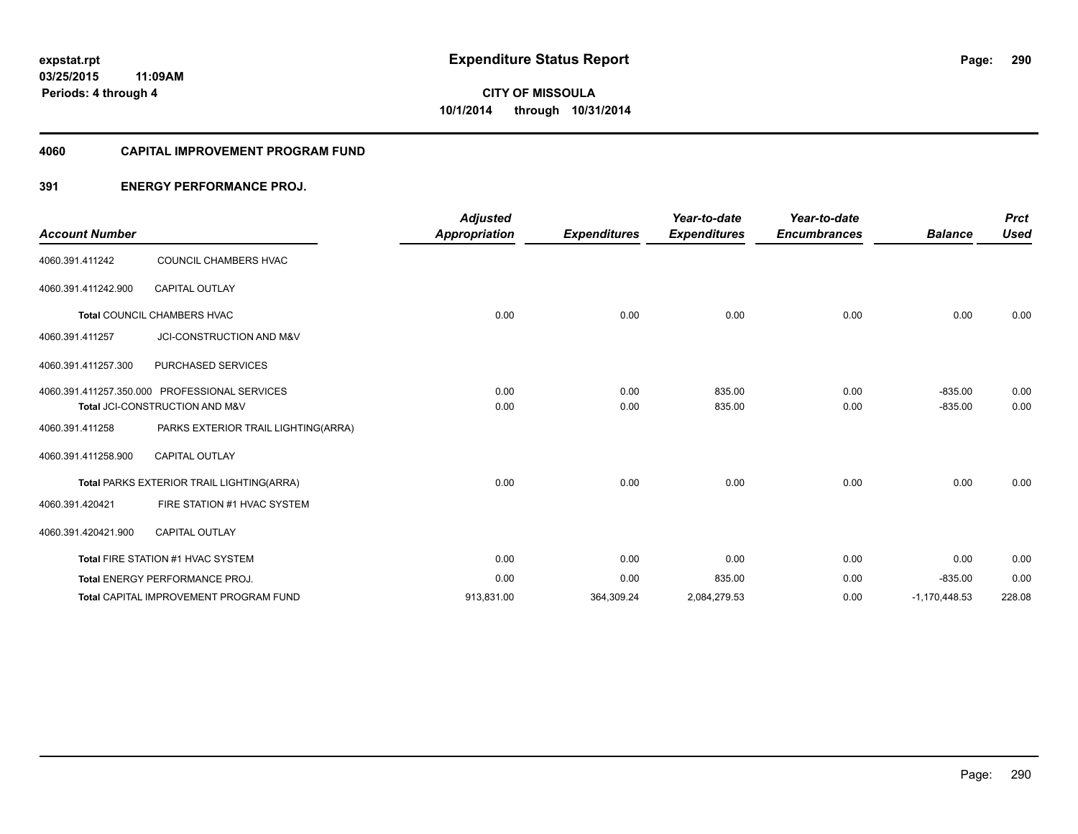#### **4060 CAPITAL IMPROVEMENT PROGRAM FUND**

### **391 ENERGY PERFORMANCE PROJ.**

|                       |                                               | <b>Adjusted</b>      |                     | Year-to-date        | Year-to-date        |                 | <b>Prct</b> |
|-----------------------|-----------------------------------------------|----------------------|---------------------|---------------------|---------------------|-----------------|-------------|
| <b>Account Number</b> |                                               | <b>Appropriation</b> | <b>Expenditures</b> | <b>Expenditures</b> | <b>Encumbrances</b> | <b>Balance</b>  | <b>Used</b> |
| 4060.391.411242       | COUNCIL CHAMBERS HVAC                         |                      |                     |                     |                     |                 |             |
| 4060.391.411242.900   | <b>CAPITAL OUTLAY</b>                         |                      |                     |                     |                     |                 |             |
|                       | Total COUNCIL CHAMBERS HVAC                   | 0.00                 | 0.00                | 0.00                | 0.00                | 0.00            | 0.00        |
| 4060.391.411257       | JCI-CONSTRUCTION AND M&V                      |                      |                     |                     |                     |                 |             |
| 4060.391.411257.300   | <b>PURCHASED SERVICES</b>                     |                      |                     |                     |                     |                 |             |
|                       | 4060.391.411257.350.000 PROFESSIONAL SERVICES | 0.00                 | 0.00                | 835.00              | 0.00                | $-835.00$       | 0.00        |
|                       | Total JCI-CONSTRUCTION AND M&V                | 0.00                 | 0.00                | 835.00              | 0.00                | $-835.00$       | 0.00        |
| 4060.391.411258       | PARKS EXTERIOR TRAIL LIGHTING(ARRA)           |                      |                     |                     |                     |                 |             |
| 4060.391.411258.900   | <b>CAPITAL OUTLAY</b>                         |                      |                     |                     |                     |                 |             |
|                       | Total PARKS EXTERIOR TRAIL LIGHTING(ARRA)     | 0.00                 | 0.00                | 0.00                | 0.00                | 0.00            | 0.00        |
| 4060.391.420421       | FIRE STATION #1 HVAC SYSTEM                   |                      |                     |                     |                     |                 |             |
| 4060.391.420421.900   | <b>CAPITAL OUTLAY</b>                         |                      |                     |                     |                     |                 |             |
|                       | Total FIRE STATION #1 HVAC SYSTEM             | 0.00                 | 0.00                | 0.00                | 0.00                | 0.00            | 0.00        |
|                       | Total ENERGY PERFORMANCE PROJ.                | 0.00                 | 0.00                | 835.00              | 0.00                | $-835.00$       | 0.00        |
|                       | <b>Total CAPITAL IMPROVEMENT PROGRAM FUND</b> | 913,831.00           | 364,309.24          | 2,084,279.53        | 0.00                | $-1,170,448.53$ | 228.08      |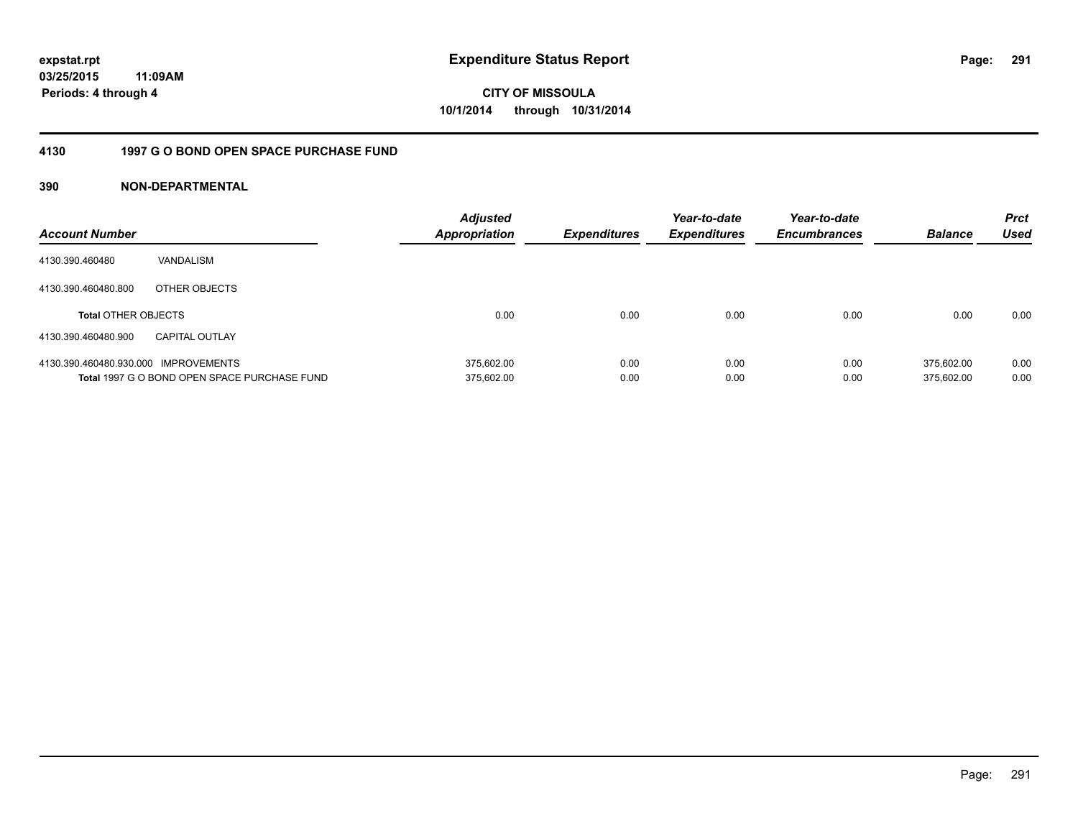**03/25/2015 11:09AM Periods: 4 through 4**

**CITY OF MISSOULA 10/1/2014 through 10/31/2014**

### **4130 1997 G O BOND OPEN SPACE PURCHASE FUND**

| <b>Account Number</b>                |                                              | <b>Adjusted</b><br>Appropriation | <b>Expenditures</b> | Year-to-date<br><b>Expenditures</b> | Year-to-date<br><b>Encumbrances</b> | <b>Balance</b> | <b>Prct</b><br>Used |
|--------------------------------------|----------------------------------------------|----------------------------------|---------------------|-------------------------------------|-------------------------------------|----------------|---------------------|
| 4130.390.460480                      | VANDALISM                                    |                                  |                     |                                     |                                     |                |                     |
| 4130.390.460480.800                  | OTHER OBJECTS                                |                                  |                     |                                     |                                     |                |                     |
| <b>Total OTHER OBJECTS</b>           |                                              | 0.00                             | 0.00                | 0.00                                | 0.00                                | 0.00           | 0.00                |
| 4130.390.460480.900                  | <b>CAPITAL OUTLAY</b>                        |                                  |                     |                                     |                                     |                |                     |
| 4130.390.460480.930.000 IMPROVEMENTS |                                              | 375.602.00                       | 0.00                | 0.00                                | 0.00                                | 375.602.00     | 0.00                |
|                                      | Total 1997 G O BOND OPEN SPACE PURCHASE FUND | 375,602.00                       | 0.00                | 0.00                                | 0.00                                | 375.602.00     | 0.00                |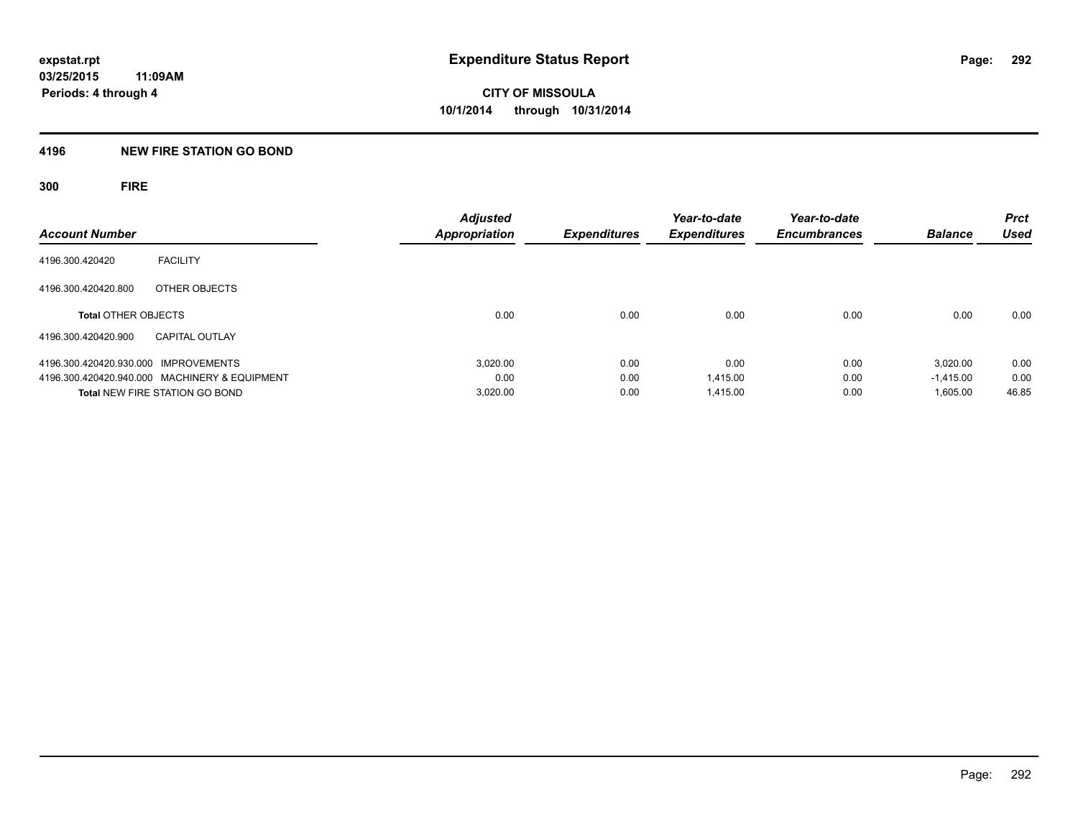### **4196 NEW FIRE STATION GO BOND**

**300 FIRE**

| <b>Account Number</b>                         |                       | <b>Adjusted</b><br><b>Appropriation</b> | <b>Expenditures</b> | Year-to-date<br><b>Expenditures</b> | Year-to-date<br><b>Encumbrances</b> | <b>Balance</b> | <b>Prct</b><br>Used |
|-----------------------------------------------|-----------------------|-----------------------------------------|---------------------|-------------------------------------|-------------------------------------|----------------|---------------------|
| 4196.300.420420                               | <b>FACILITY</b>       |                                         |                     |                                     |                                     |                |                     |
| 4196.300.420420.800                           | OTHER OBJECTS         |                                         |                     |                                     |                                     |                |                     |
| <b>Total OTHER OBJECTS</b>                    |                       | 0.00                                    | 0.00                | 0.00                                | 0.00                                | 0.00           | 0.00                |
| 4196.300.420420.900                           | <b>CAPITAL OUTLAY</b> |                                         |                     |                                     |                                     |                |                     |
| 4196.300.420420.930.000 IMPROVEMENTS          |                       | 3.020.00                                | 0.00                | 0.00                                | 0.00                                | 3.020.00       | 0.00                |
| 4196.300.420420.940.000 MACHINERY & EQUIPMENT |                       | 0.00                                    | 0.00                | 1.415.00                            | 0.00                                | $-1.415.00$    | 0.00                |
| Total NEW FIRE STATION GO BOND                |                       | 3,020.00                                | 0.00                | 1.415.00                            | 0.00                                | 1,605.00       | 46.85               |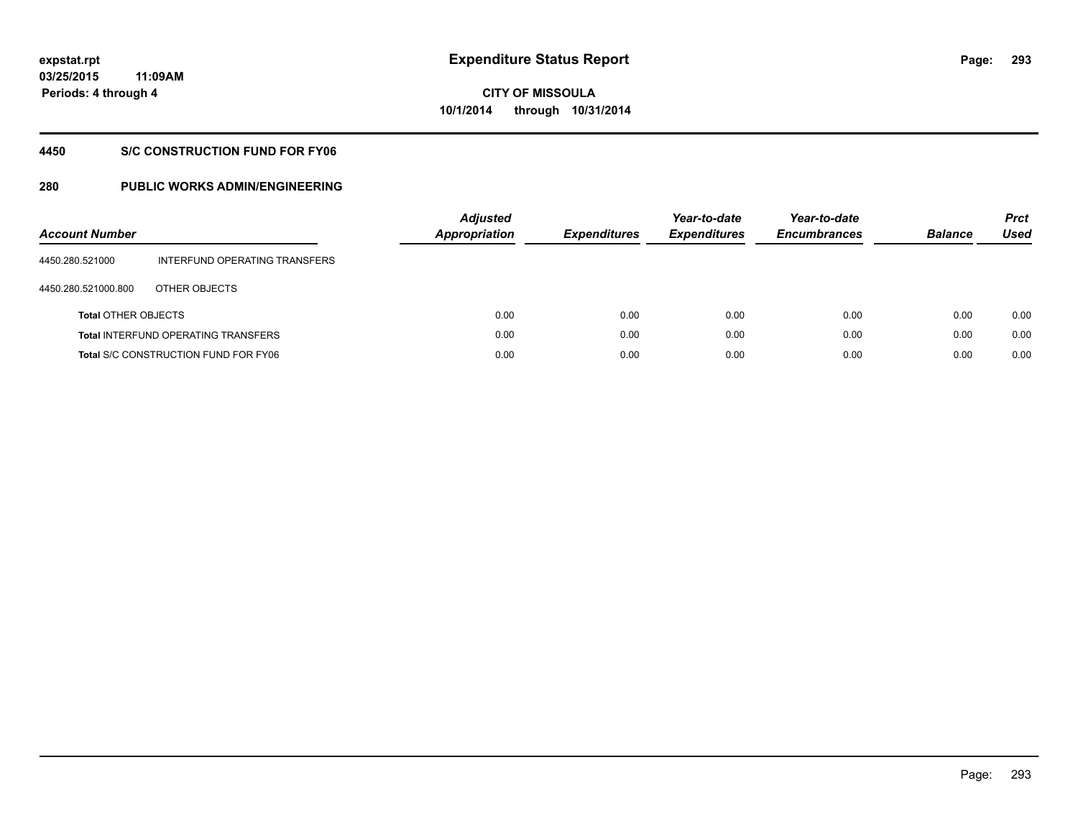**293**

**03/25/2015 11:09AM Periods: 4 through 4**

# **CITY OF MISSOULA 10/1/2014 through 10/31/2014**

### **4450 S/C CONSTRUCTION FUND FOR FY06**

| <b>Account Number</b>      |                                             | <b>Adjusted</b><br>Appropriation | <b>Expenditures</b> | Year-to-date<br><b>Expenditures</b> | Year-to-date<br><b>Encumbrances</b> | <b>Balance</b> | <b>Prct</b><br>Used |
|----------------------------|---------------------------------------------|----------------------------------|---------------------|-------------------------------------|-------------------------------------|----------------|---------------------|
| 4450.280.521000            | INTERFUND OPERATING TRANSFERS               |                                  |                     |                                     |                                     |                |                     |
| 4450.280.521000.800        | OTHER OBJECTS                               |                                  |                     |                                     |                                     |                |                     |
| <b>Total OTHER OBJECTS</b> |                                             | 0.00                             | 0.00                | 0.00                                | 0.00                                | 0.00           | 0.00                |
|                            | <b>Total INTERFUND OPERATING TRANSFERS</b>  | 0.00                             | 0.00                | 0.00                                | 0.00                                | 0.00           | 0.00                |
|                            | <b>Total S/C CONSTRUCTION FUND FOR FY06</b> | 0.00                             | 0.00                | 0.00                                | 0.00                                | 0.00           | 0.00                |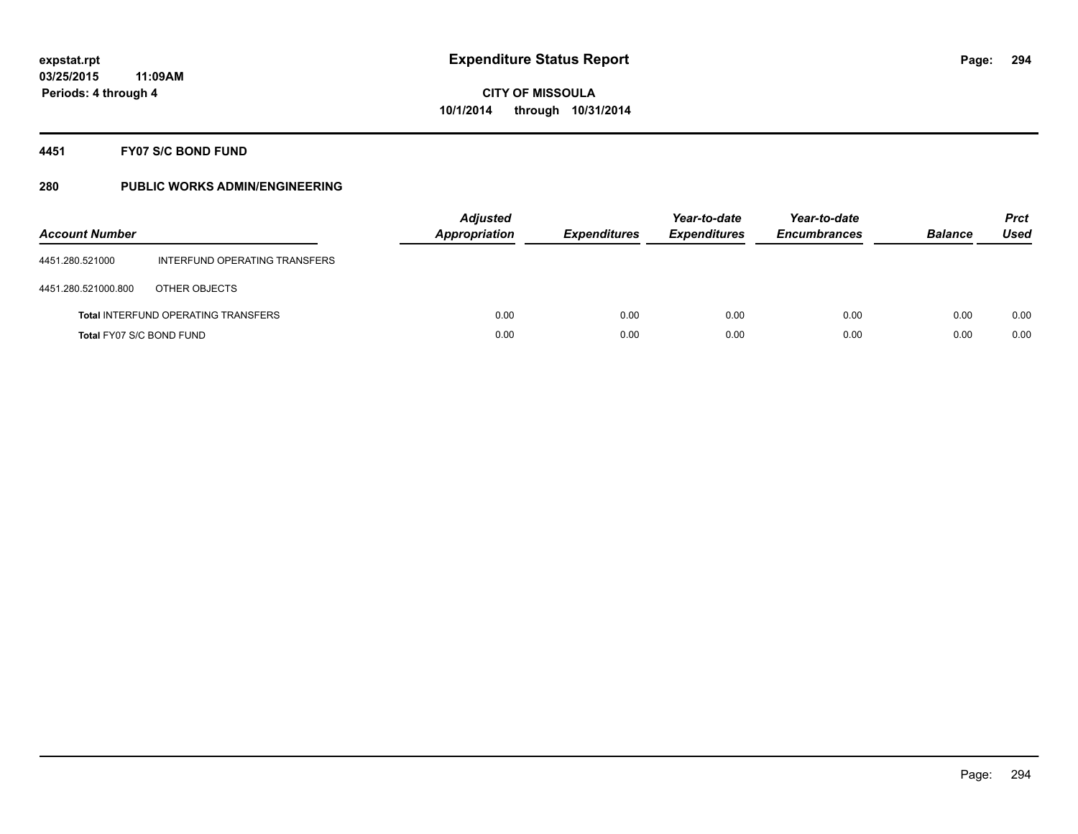### **4451 FY07 S/C BOND FUND**

| <b>Account Number</b>    |                                            | <b>Adjusted</b><br><b>Appropriation</b> | <b>Expenditures</b> | Year-to-date<br><b>Expenditures</b> | Year-to-date<br><b>Encumbrances</b> | <b>Balance</b> | <b>Prct</b><br>Used |
|--------------------------|--------------------------------------------|-----------------------------------------|---------------------|-------------------------------------|-------------------------------------|----------------|---------------------|
| 4451.280.521000          | INTERFUND OPERATING TRANSFERS              |                                         |                     |                                     |                                     |                |                     |
| 4451.280.521000.800      | OTHER OBJECTS                              |                                         |                     |                                     |                                     |                |                     |
|                          | <b>Total INTERFUND OPERATING TRANSFERS</b> | 0.00                                    | 0.00                | 0.00                                | 0.00                                | 0.00           | 0.00                |
| Total FY07 S/C BOND FUND |                                            | 0.00                                    | 0.00                | 0.00                                | 0.00                                | 0.00           | 0.00                |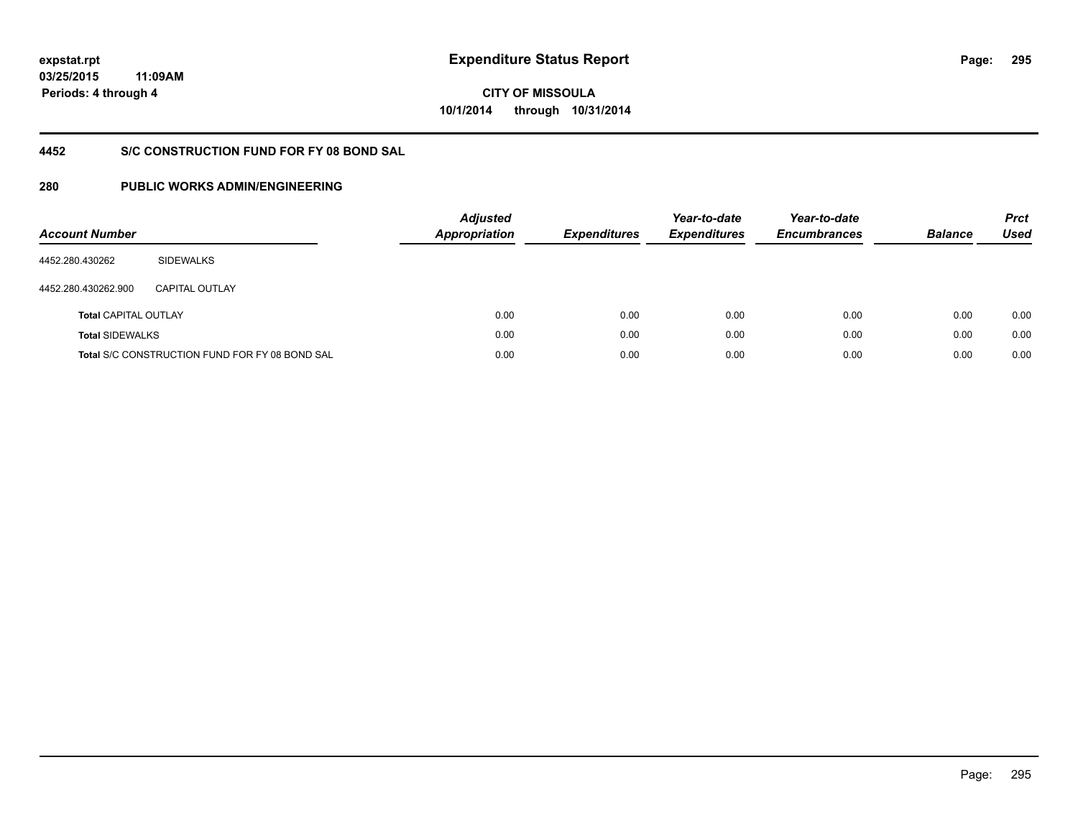**03/25/2015**

**295**

**11:09AM Periods: 4 through 4**

**CITY OF MISSOULA 10/1/2014 through 10/31/2014**

## **4452 S/C CONSTRUCTION FUND FOR FY 08 BOND SAL**

| <b>Account Number</b>       |                                                       | <b>Adjusted</b><br>Appropriation | <b>Expenditures</b> | Year-to-date<br><b>Expenditures</b> | Year-to-date<br><b>Encumbrances</b> | <b>Balance</b> | <b>Prct</b><br><b>Used</b> |
|-----------------------------|-------------------------------------------------------|----------------------------------|---------------------|-------------------------------------|-------------------------------------|----------------|----------------------------|
| 4452.280.430262             | <b>SIDEWALKS</b>                                      |                                  |                     |                                     |                                     |                |                            |
| 4452.280.430262.900         | CAPITAL OUTLAY                                        |                                  |                     |                                     |                                     |                |                            |
| <b>Total CAPITAL OUTLAY</b> |                                                       | 0.00                             | 0.00                | 0.00                                | 0.00                                | 0.00           | 0.00                       |
| <b>Total SIDEWALKS</b>      |                                                       | 0.00                             | 0.00                | 0.00                                | 0.00                                | 0.00           | 0.00                       |
|                             | <b>Total S/C CONSTRUCTION FUND FOR FY 08 BOND SAL</b> | 0.00                             | 0.00                | 0.00                                | 0.00                                | 0.00           | 0.00                       |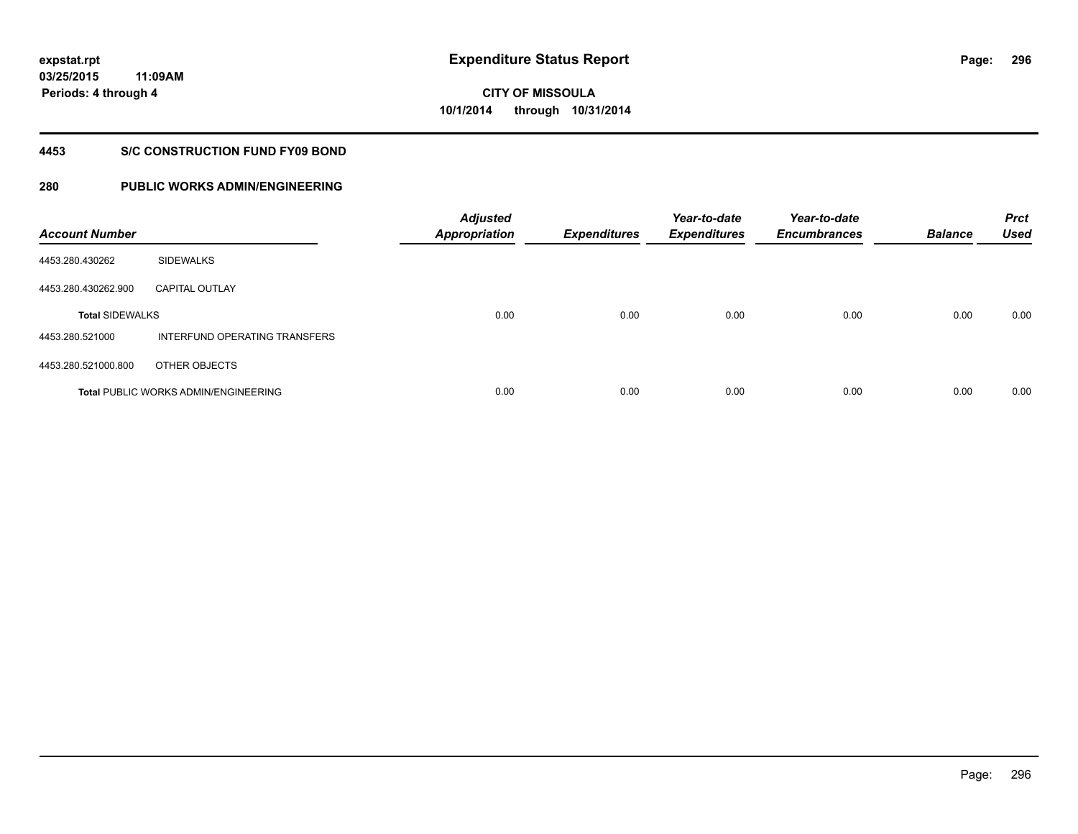**03/25/2015 11:09AM Periods: 4 through 4**

**296**

# **CITY OF MISSOULA 10/1/2014 through 10/31/2014**

### **4453 S/C CONSTRUCTION FUND FY09 BOND**

| <b>Account Number</b>  |                                             | <b>Adjusted</b><br><b>Appropriation</b> | <b>Expenditures</b> | Year-to-date<br><b>Expenditures</b> | Year-to-date<br><b>Encumbrances</b> | <b>Balance</b> | <b>Prct</b><br><b>Used</b> |
|------------------------|---------------------------------------------|-----------------------------------------|---------------------|-------------------------------------|-------------------------------------|----------------|----------------------------|
| 4453.280.430262        | <b>SIDEWALKS</b>                            |                                         |                     |                                     |                                     |                |                            |
| 4453.280.430262.900    | <b>CAPITAL OUTLAY</b>                       |                                         |                     |                                     |                                     |                |                            |
| <b>Total SIDEWALKS</b> |                                             | 0.00                                    | 0.00                | 0.00                                | 0.00                                | 0.00           | 0.00                       |
| 4453.280.521000        | INTERFUND OPERATING TRANSFERS               |                                         |                     |                                     |                                     |                |                            |
| 4453.280.521000.800    | OTHER OBJECTS                               |                                         |                     |                                     |                                     |                |                            |
|                        | <b>Total PUBLIC WORKS ADMIN/ENGINEERING</b> | 0.00                                    | 0.00                | 0.00                                | 0.00                                | 0.00           | 0.00                       |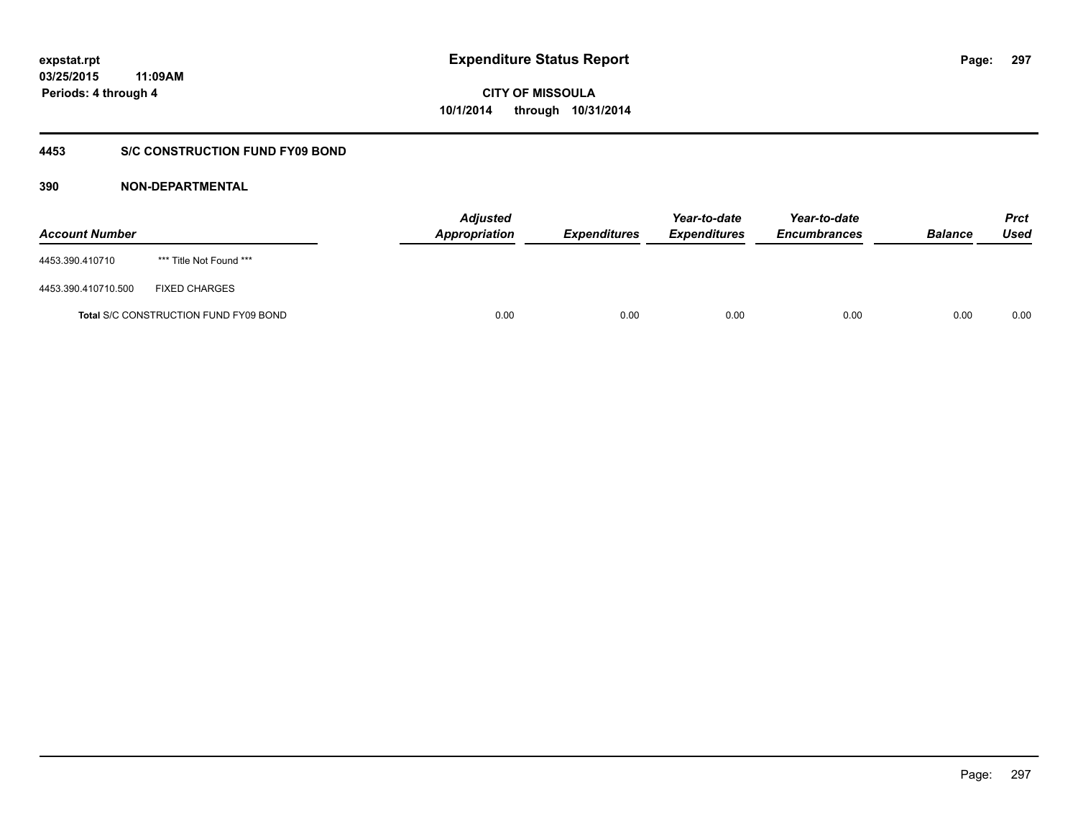## **03/25/2015 11:09AM Periods: 4 through 4**

## **CITY OF MISSOULA 10/1/2014 through 10/31/2014**

## **4453 S/C CONSTRUCTION FUND FY09 BOND**

| <b>Account Number</b> |                                       | <b>Adjusted</b><br>Appropriation | <b>Expenditures</b> | Year-to-date<br><b>Expenditures</b> | Year-to-date<br><b>Encumbrances</b> | <b>Balance</b> | <b>Prct</b><br>Used |
|-----------------------|---------------------------------------|----------------------------------|---------------------|-------------------------------------|-------------------------------------|----------------|---------------------|
| 4453.390.410710       | *** Title Not Found ***               |                                  |                     |                                     |                                     |                |                     |
| 4453.390.410710.500   | <b>FIXED CHARGES</b>                  |                                  |                     |                                     |                                     |                |                     |
|                       | Total S/C CONSTRUCTION FUND FY09 BOND | 0.00                             | 0.00                | 0.00                                | 0.00                                | 0.00           | 0.00                |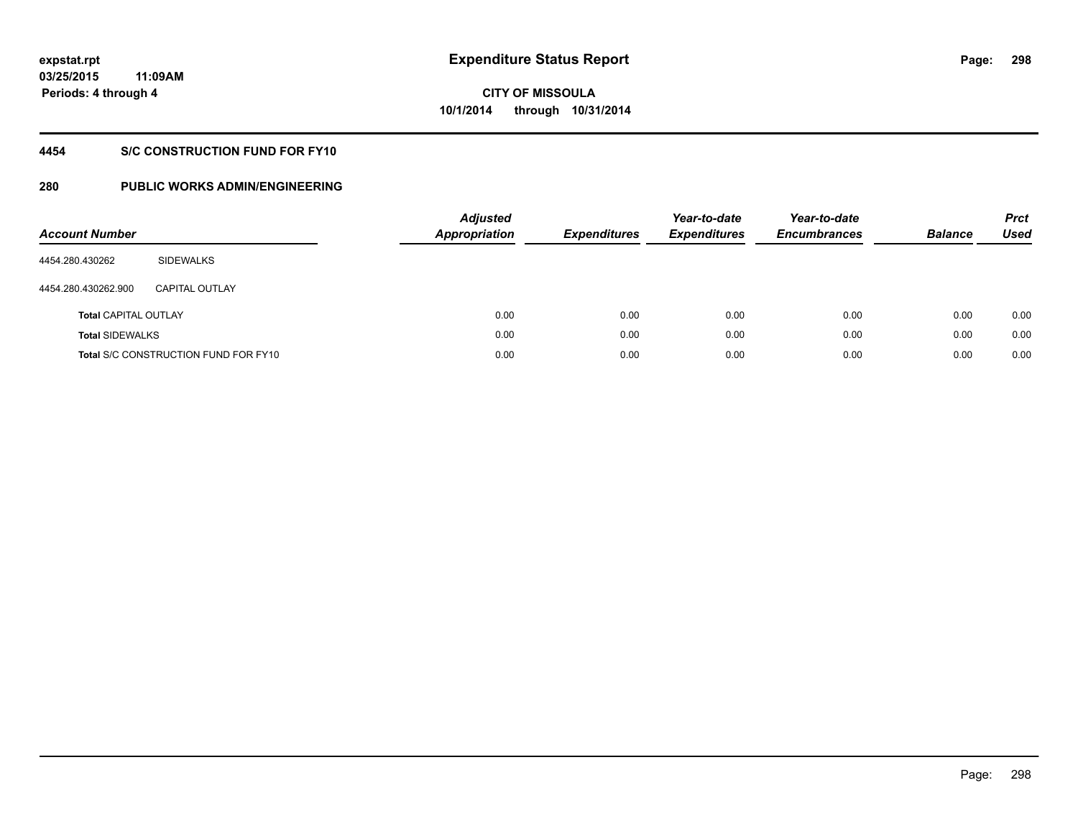## **4454 S/C CONSTRUCTION FUND FOR FY10**

| <b>Account Number</b>       |                                             | <b>Adjusted</b><br><b>Appropriation</b> | <b>Expenditures</b> | Year-to-date<br><b>Expenditures</b> | Year-to-date<br><b>Encumbrances</b> | <b>Balance</b> | <b>Prct</b><br>Used |
|-----------------------------|---------------------------------------------|-----------------------------------------|---------------------|-------------------------------------|-------------------------------------|----------------|---------------------|
| 4454.280.430262             | SIDEWALKS                                   |                                         |                     |                                     |                                     |                |                     |
| 4454.280.430262.900         | <b>CAPITAL OUTLAY</b>                       |                                         |                     |                                     |                                     |                |                     |
| <b>Total CAPITAL OUTLAY</b> |                                             | 0.00                                    | 0.00                | 0.00                                | 0.00                                | 0.00           | 0.00                |
| <b>Total SIDEWALKS</b>      |                                             | 0.00                                    | 0.00                | 0.00                                | 0.00                                | 0.00           | 0.00                |
|                             | <b>Total S/C CONSTRUCTION FUND FOR FY10</b> | 0.00                                    | 0.00                | 0.00                                | 0.00                                | 0.00           | 0.00                |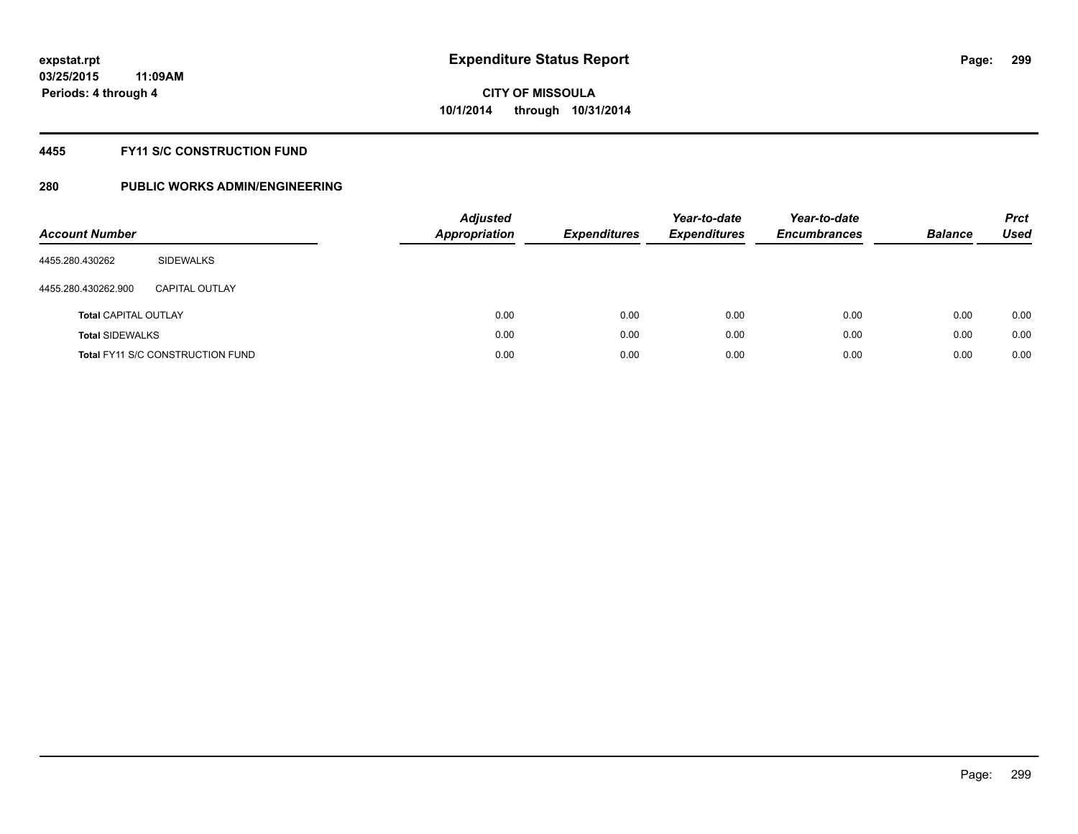### **4455 FY11 S/C CONSTRUCTION FUND**

| <b>Account Number</b>       |                                         | <b>Adjusted</b><br><b>Appropriation</b> | <b>Expenditures</b> | Year-to-date<br><b>Expenditures</b> | Year-to-date<br><b>Encumbrances</b> | <b>Balance</b> | <b>Prct</b><br>Used |
|-----------------------------|-----------------------------------------|-----------------------------------------|---------------------|-------------------------------------|-------------------------------------|----------------|---------------------|
| 4455.280.430262             | SIDEWALKS                               |                                         |                     |                                     |                                     |                |                     |
| 4455.280.430262.900         | CAPITAL OUTLAY                          |                                         |                     |                                     |                                     |                |                     |
| <b>Total CAPITAL OUTLAY</b> |                                         | 0.00                                    | 0.00                | 0.00                                | 0.00                                | 0.00           | 0.00                |
| <b>Total SIDEWALKS</b>      |                                         | 0.00                                    | 0.00                | 0.00                                | 0.00                                | 0.00           | 0.00                |
|                             | <b>Total FY11 S/C CONSTRUCTION FUND</b> | 0.00                                    | 0.00                | 0.00                                | 0.00                                | 0.00           | 0.00                |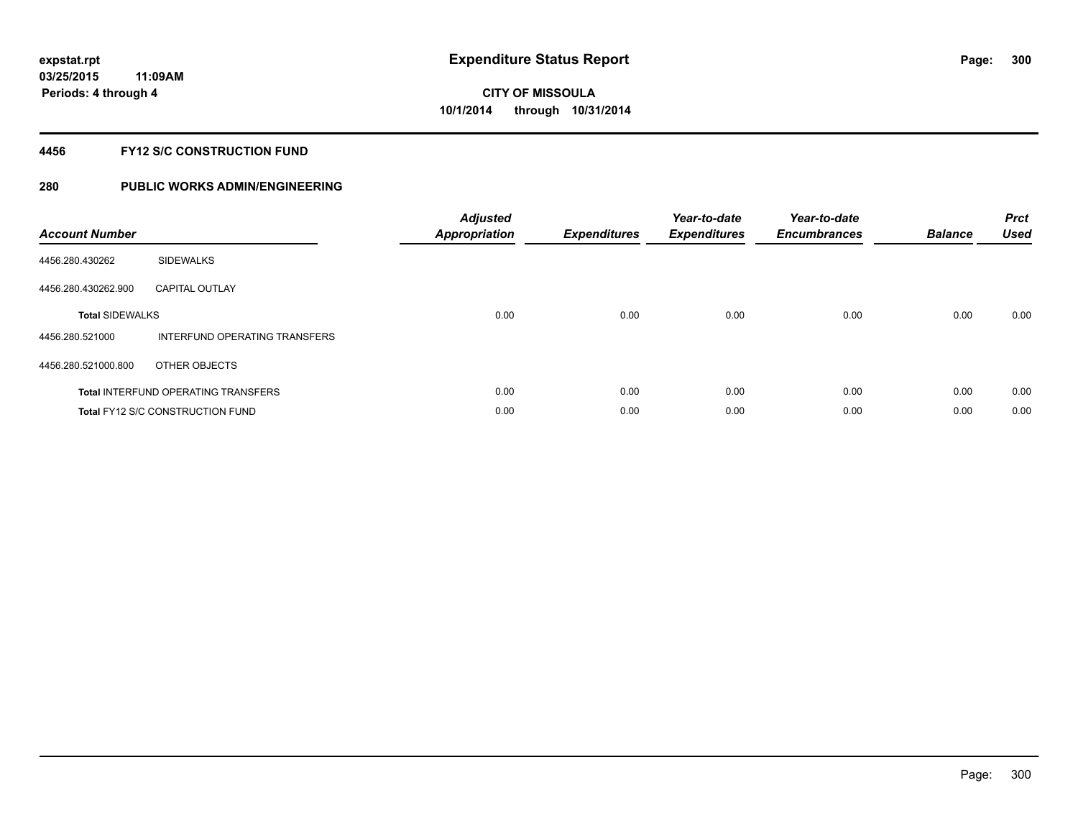### **4456 FY12 S/C CONSTRUCTION FUND**

| <b>Account Number</b>  |                                            | <b>Adjusted</b><br><b>Appropriation</b> | <b>Expenditures</b> | Year-to-date<br><b>Expenditures</b> | Year-to-date<br><b>Encumbrances</b> | <b>Balance</b> | <b>Prct</b><br><b>Used</b> |
|------------------------|--------------------------------------------|-----------------------------------------|---------------------|-------------------------------------|-------------------------------------|----------------|----------------------------|
| 4456.280.430262        | <b>SIDEWALKS</b>                           |                                         |                     |                                     |                                     |                |                            |
| 4456.280.430262.900    | <b>CAPITAL OUTLAY</b>                      |                                         |                     |                                     |                                     |                |                            |
| <b>Total SIDEWALKS</b> |                                            | 0.00                                    | 0.00                | 0.00                                | 0.00                                | 0.00           | 0.00                       |
| 4456.280.521000        | INTERFUND OPERATING TRANSFERS              |                                         |                     |                                     |                                     |                |                            |
| 4456.280.521000.800    | OTHER OBJECTS                              |                                         |                     |                                     |                                     |                |                            |
|                        | <b>Total INTERFUND OPERATING TRANSFERS</b> | 0.00                                    | 0.00                | 0.00                                | 0.00                                | 0.00           | 0.00                       |
|                        | <b>Total FY12 S/C CONSTRUCTION FUND</b>    | 0.00                                    | 0.00                | 0.00                                | 0.00                                | 0.00           | 0.00                       |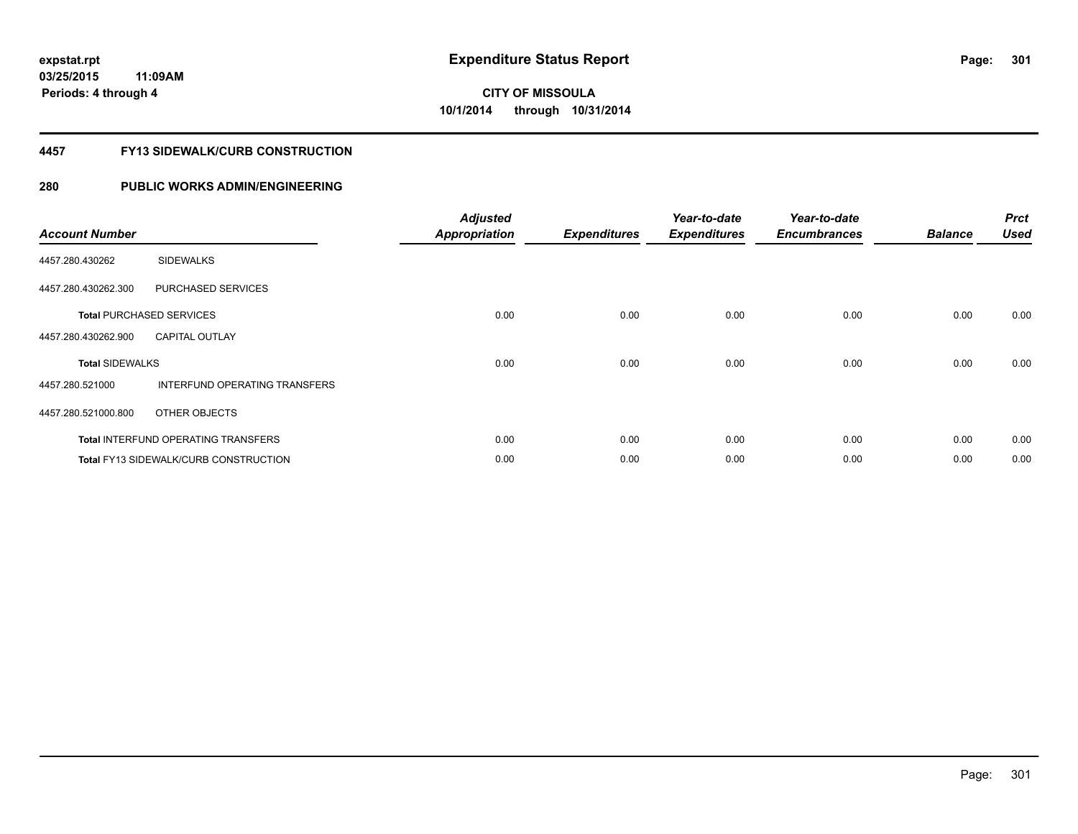### **4457 FY13 SIDEWALK/CURB CONSTRUCTION**

| <b>Account Number</b>  |                                            | <b>Adjusted</b><br><b>Appropriation</b> | <b>Expenditures</b> | Year-to-date<br><b>Expenditures</b> | Year-to-date<br><b>Encumbrances</b> | <b>Balance</b> | <b>Prct</b><br><b>Used</b> |
|------------------------|--------------------------------------------|-----------------------------------------|---------------------|-------------------------------------|-------------------------------------|----------------|----------------------------|
| 4457.280.430262        | <b>SIDEWALKS</b>                           |                                         |                     |                                     |                                     |                |                            |
| 4457.280.430262.300    | PURCHASED SERVICES                         |                                         |                     |                                     |                                     |                |                            |
|                        | <b>Total PURCHASED SERVICES</b>            | 0.00                                    | 0.00                | 0.00                                | 0.00                                | 0.00           | 0.00                       |
| 4457.280.430262.900    | <b>CAPITAL OUTLAY</b>                      |                                         |                     |                                     |                                     |                |                            |
| <b>Total SIDEWALKS</b> |                                            | 0.00                                    | 0.00                | 0.00                                | 0.00                                | 0.00           | 0.00                       |
| 4457.280.521000        | <b>INTERFUND OPERATING TRANSFERS</b>       |                                         |                     |                                     |                                     |                |                            |
| 4457.280.521000.800    | OTHER OBJECTS                              |                                         |                     |                                     |                                     |                |                            |
|                        | <b>Total INTERFUND OPERATING TRANSFERS</b> | 0.00                                    | 0.00                | 0.00                                | 0.00                                | 0.00           | 0.00                       |
|                        | Total FY13 SIDEWALK/CURB CONSTRUCTION      | 0.00                                    | 0.00                | 0.00                                | 0.00                                | 0.00           | 0.00                       |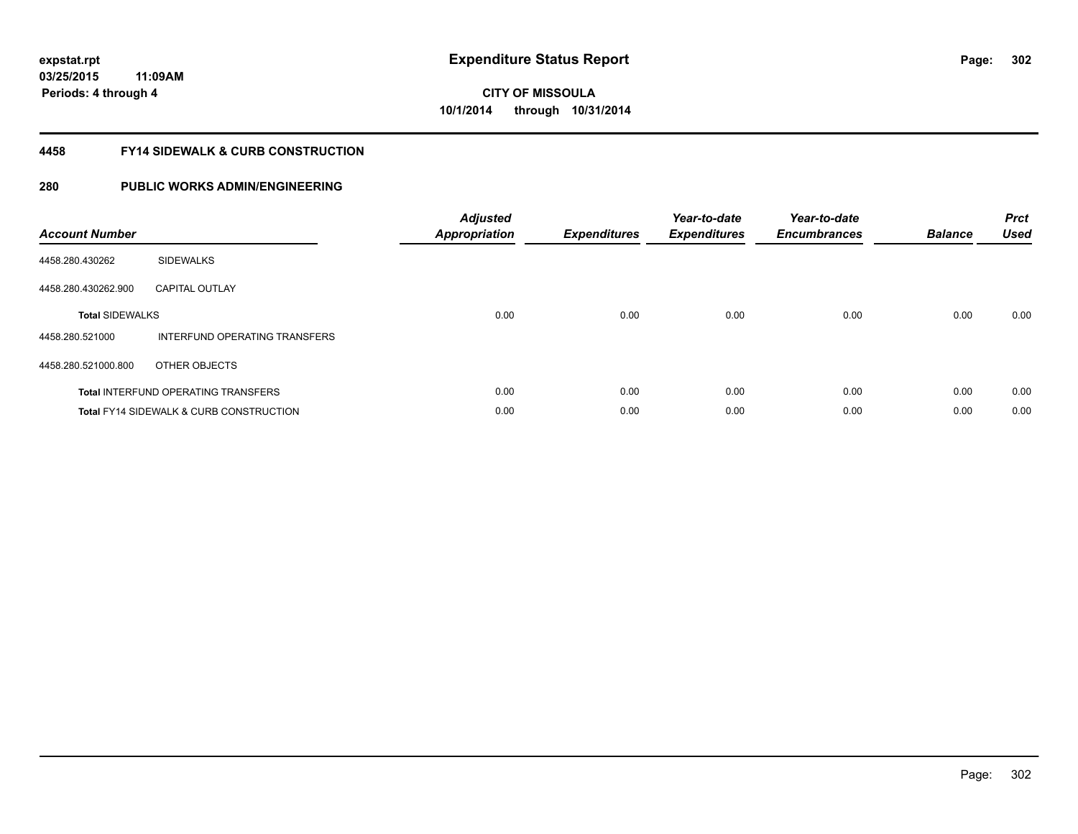**03/25/2015 11:09AM Periods: 4 through 4**

## **CITY OF MISSOULA 10/1/2014 through 10/31/2014**

### **4458 FY14 SIDEWALK & CURB CONSTRUCTION**

| <b>Account Number</b>  |                                                    | <b>Adjusted</b><br><b>Appropriation</b> | <b>Expenditures</b> | Year-to-date<br><b>Expenditures</b> | Year-to-date<br><b>Encumbrances</b> | <b>Balance</b> | <b>Prct</b><br>Used |
|------------------------|----------------------------------------------------|-----------------------------------------|---------------------|-------------------------------------|-------------------------------------|----------------|---------------------|
| 4458.280.430262        | <b>SIDEWALKS</b>                                   |                                         |                     |                                     |                                     |                |                     |
| 4458.280.430262.900    | <b>CAPITAL OUTLAY</b>                              |                                         |                     |                                     |                                     |                |                     |
| <b>Total SIDEWALKS</b> |                                                    | 0.00                                    | 0.00                | 0.00                                | 0.00                                | 0.00           | 0.00                |
| 4458.280.521000        | INTERFUND OPERATING TRANSFERS                      |                                         |                     |                                     |                                     |                |                     |
| 4458.280.521000.800    | OTHER OBJECTS                                      |                                         |                     |                                     |                                     |                |                     |
|                        | <b>Total INTERFUND OPERATING TRANSFERS</b>         | 0.00                                    | 0.00                | 0.00                                | 0.00                                | 0.00           | 0.00                |
|                        | <b>Total FY14 SIDEWALK &amp; CURB CONSTRUCTION</b> | 0.00                                    | 0.00                | 0.00                                | 0.00                                | 0.00           | 0.00                |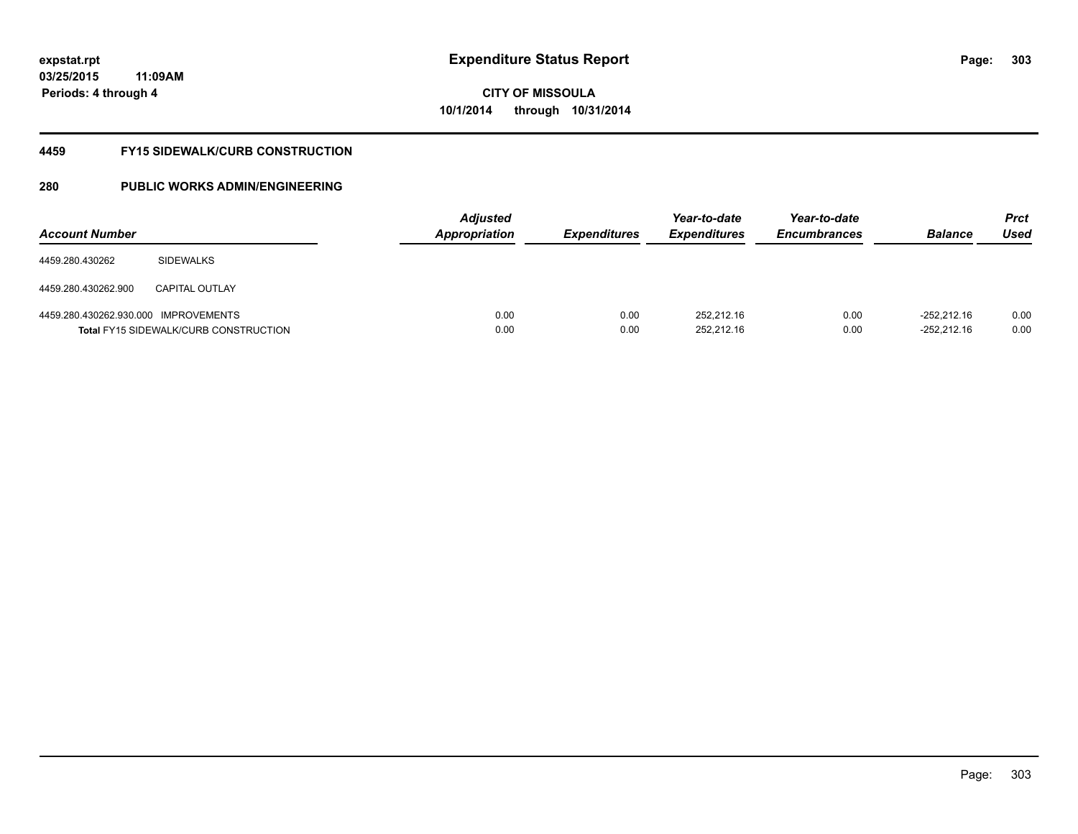**03/25/2015 11:09AM Periods: 4 through 4**

## **CITY OF MISSOULA 10/1/2014 through 10/31/2014**

#### **4459 FY15 SIDEWALK/CURB CONSTRUCTION**

| <b>Account Number</b>                |                                              | <b>Adjusted</b><br><b>Appropriation</b> | <b>Expenditures</b> | Year-to-date<br><i><b>Expenditures</b></i> | Year-to-date<br><b>Encumbrances</b> | <b>Balance</b>                 | <b>Prct</b><br>Used |
|--------------------------------------|----------------------------------------------|-----------------------------------------|---------------------|--------------------------------------------|-------------------------------------|--------------------------------|---------------------|
| 4459.280.430262                      | <b>SIDEWALKS</b>                             |                                         |                     |                                            |                                     |                                |                     |
| 4459.280.430262.900                  | <b>CAPITAL OUTLAY</b>                        |                                         |                     |                                            |                                     |                                |                     |
| 4459.280.430262.930.000 IMPROVEMENTS | <b>Total FY15 SIDEWALK/CURB CONSTRUCTION</b> | 0.00<br>0.00                            | 0.00<br>0.00        | 252.212.16<br>252,212.16                   | 0.00<br>0.00                        | $-252.212.16$<br>$-252,212.16$ | 0.00<br>0.00        |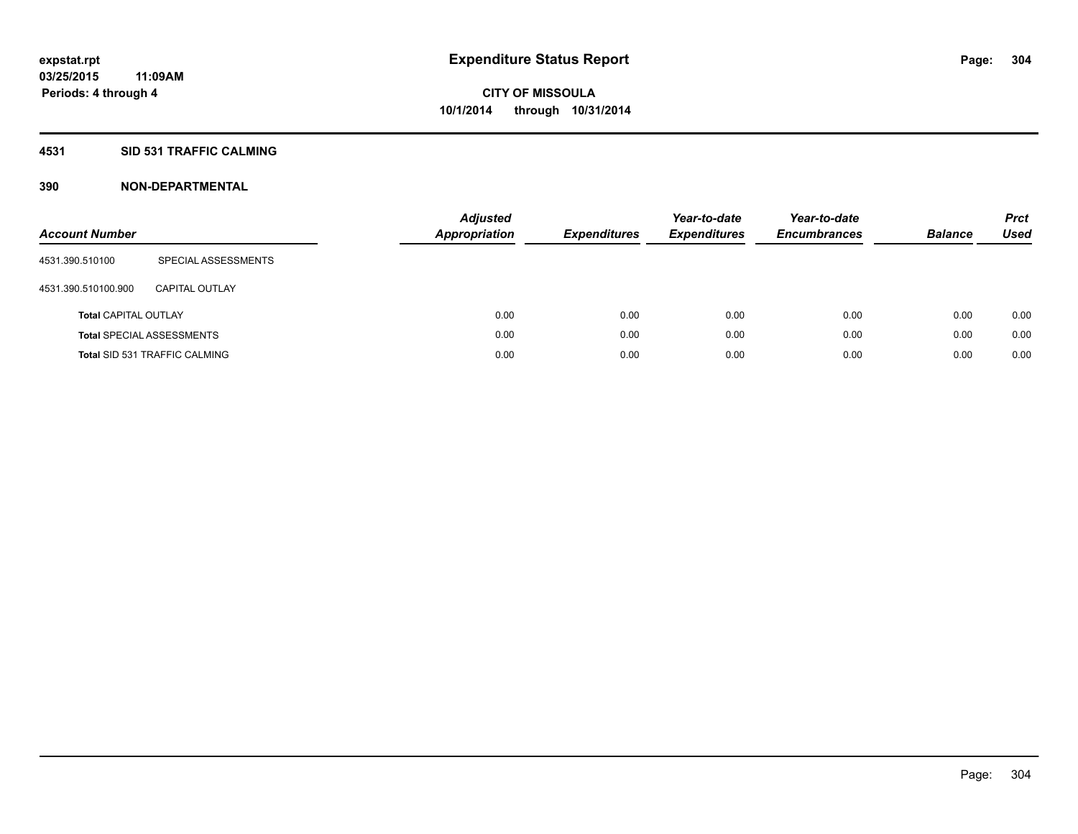## **4531 SID 531 TRAFFIC CALMING**

| <b>Account Number</b>       |                                      | <b>Adjusted</b><br><b>Appropriation</b> | <b>Expenditures</b> | Year-to-date<br><b>Expenditures</b> | Year-to-date<br><b>Encumbrances</b> | <b>Balance</b> | <b>Prct</b><br>Used |
|-----------------------------|--------------------------------------|-----------------------------------------|---------------------|-------------------------------------|-------------------------------------|----------------|---------------------|
| 4531.390.510100             | SPECIAL ASSESSMENTS                  |                                         |                     |                                     |                                     |                |                     |
| 4531.390.510100.900         | CAPITAL OUTLAY                       |                                         |                     |                                     |                                     |                |                     |
| <b>Total CAPITAL OUTLAY</b> |                                      | 0.00                                    | 0.00                | 0.00                                | 0.00                                | 0.00           | 0.00                |
|                             | <b>Total SPECIAL ASSESSMENTS</b>     | 0.00                                    | 0.00                | 0.00                                | 0.00                                | 0.00           | 0.00                |
|                             | <b>Total SID 531 TRAFFIC CALMING</b> | 0.00                                    | 0.00                | 0.00                                | 0.00                                | 0.00           | 0.00                |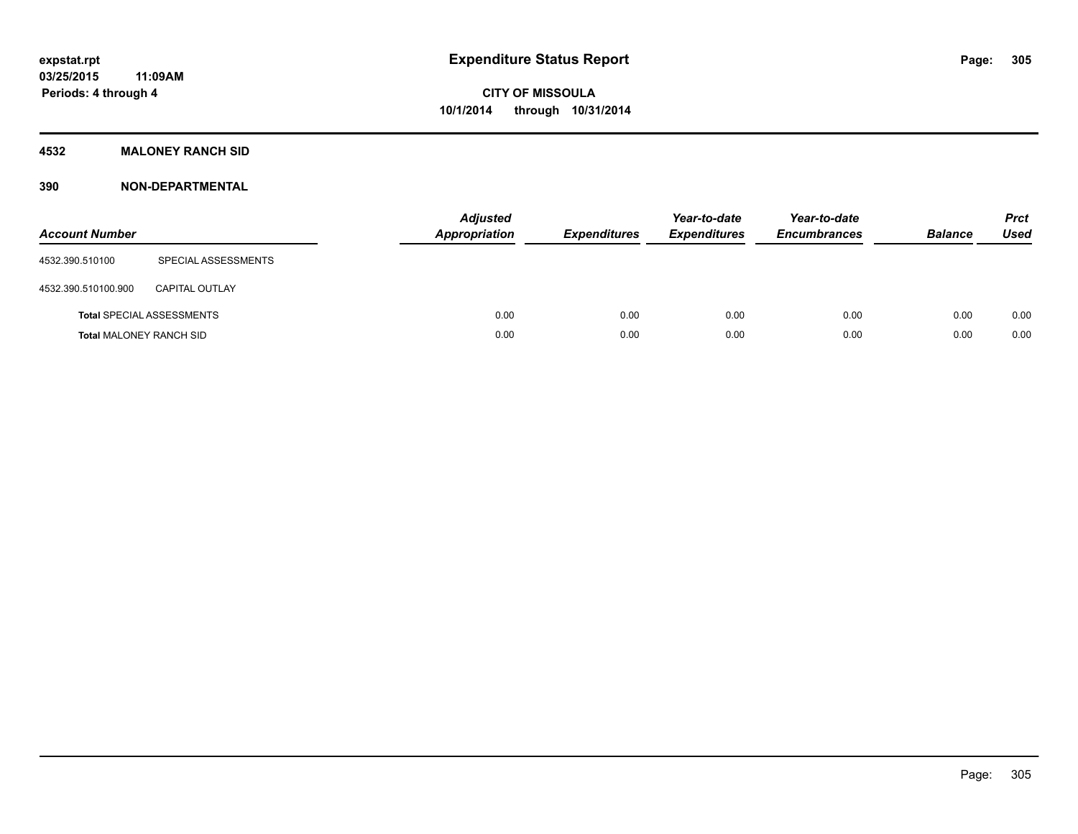## **4532 MALONEY RANCH SID**

| <b>Account Number</b>          |                                  | <b>Adjusted</b><br>Appropriation | <b>Expenditures</b> | Year-to-date<br><b>Expenditures</b> | Year-to-date<br><b>Encumbrances</b> | <b>Balance</b> | <b>Prct</b><br><b>Used</b> |
|--------------------------------|----------------------------------|----------------------------------|---------------------|-------------------------------------|-------------------------------------|----------------|----------------------------|
| 4532.390.510100                | SPECIAL ASSESSMENTS              |                                  |                     |                                     |                                     |                |                            |
| 4532.390.510100.900            | <b>CAPITAL OUTLAY</b>            |                                  |                     |                                     |                                     |                |                            |
|                                | <b>Total SPECIAL ASSESSMENTS</b> | 0.00                             | 0.00                | 0.00                                | 0.00                                | 0.00           | 0.00                       |
| <b>Total MALONEY RANCH SID</b> |                                  | 0.00                             | 0.00                | 0.00                                | 0.00                                | 0.00           | 0.00                       |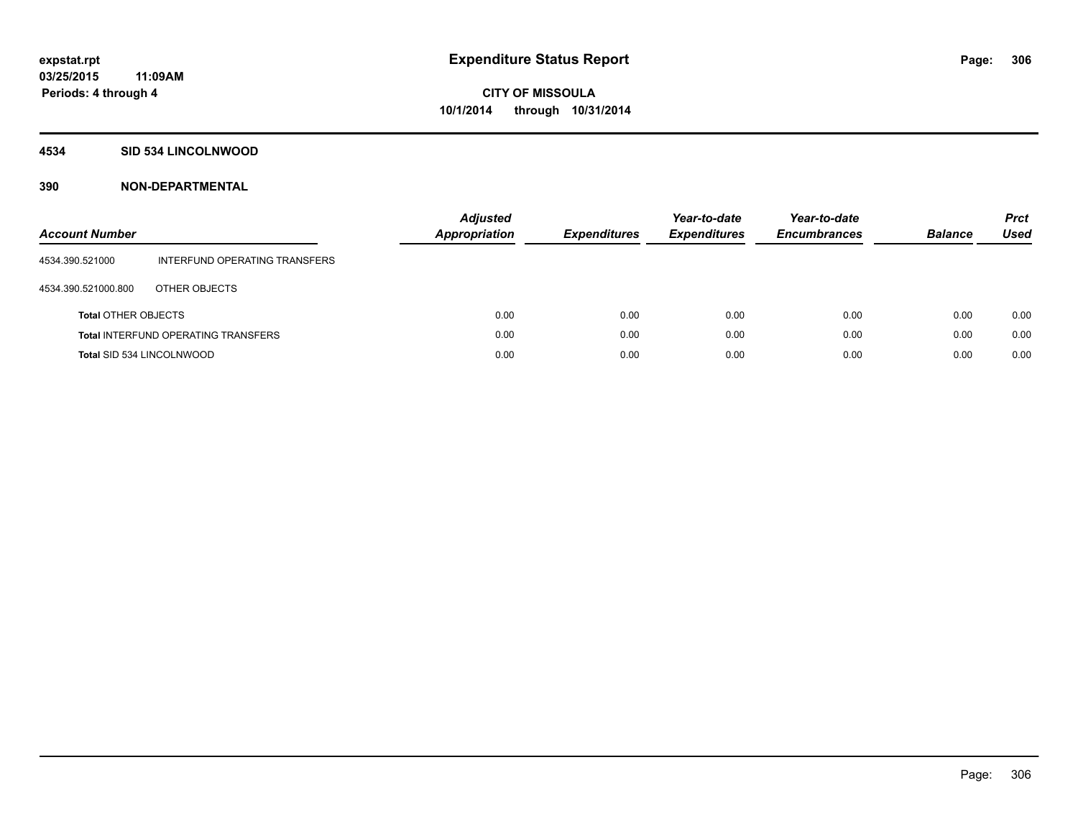### **4534 SID 534 LINCOLNWOOD**

| <b>Account Number</b>      |                                            | Adjusted<br>Appropriation | <b>Expenditures</b> | Year-to-date<br><b>Expenditures</b> | Year-to-date<br><b>Encumbrances</b> | <b>Balance</b> | <b>Prct</b><br>Used |
|----------------------------|--------------------------------------------|---------------------------|---------------------|-------------------------------------|-------------------------------------|----------------|---------------------|
| 4534.390.521000            | INTERFUND OPERATING TRANSFERS              |                           |                     |                                     |                                     |                |                     |
| 4534.390.521000.800        | OTHER OBJECTS                              |                           |                     |                                     |                                     |                |                     |
| <b>Total OTHER OBJECTS</b> |                                            | 0.00                      | 0.00                | 0.00                                | 0.00                                | 0.00           | 0.00                |
|                            | <b>Total INTERFUND OPERATING TRANSFERS</b> | 0.00                      | 0.00                | 0.00                                | 0.00                                | 0.00           | 0.00                |
| Total SID 534 LINCOLNWOOD  |                                            | 0.00                      | 0.00                | 0.00                                | 0.00                                | 0.00           | 0.00                |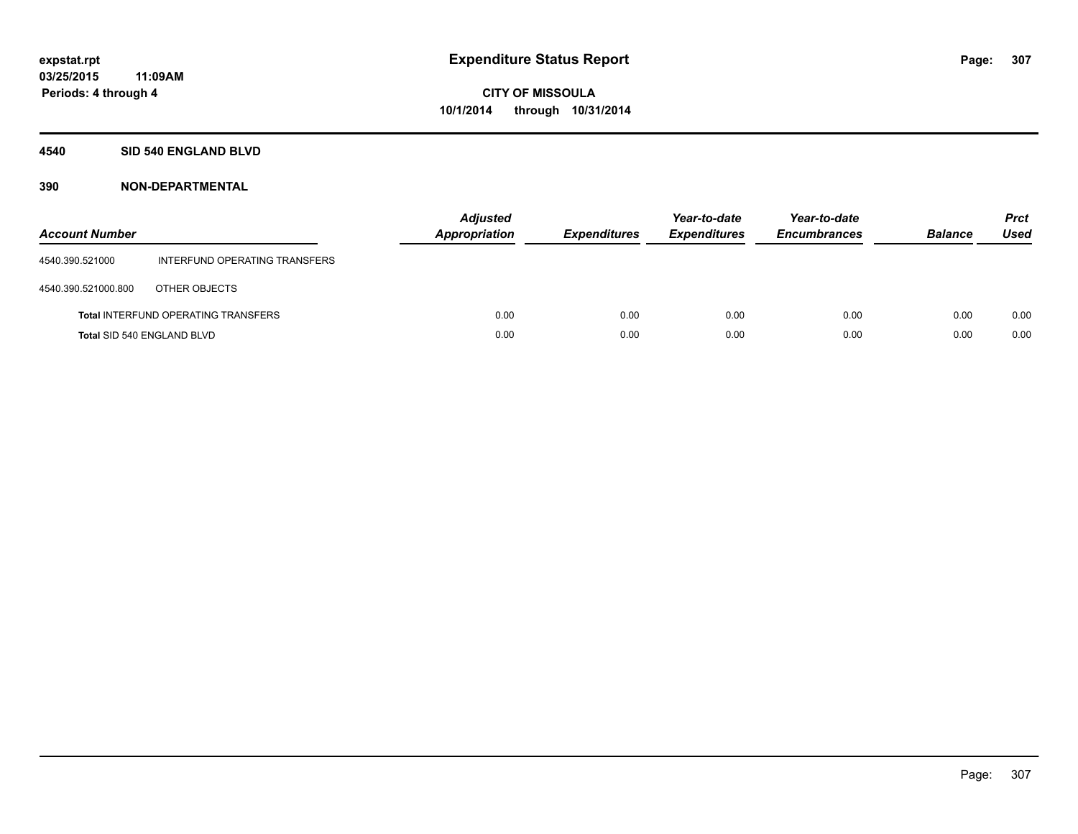### **4540 SID 540 ENGLAND BLVD**

| <b>Account Number</b> |                                            | <b>Adjusted</b><br><b>Appropriation</b> | <b>Expenditures</b> | Year-to-date<br><b>Expenditures</b> | Year-to-date<br><b>Encumbrances</b> | <b>Balance</b> | <b>Prct</b><br><b>Used</b> |
|-----------------------|--------------------------------------------|-----------------------------------------|---------------------|-------------------------------------|-------------------------------------|----------------|----------------------------|
| 4540.390.521000       | INTERFUND OPERATING TRANSFERS              |                                         |                     |                                     |                                     |                |                            |
| 4540.390.521000.800   | OTHER OBJECTS                              |                                         |                     |                                     |                                     |                |                            |
|                       | <b>Total INTERFUND OPERATING TRANSFERS</b> | 0.00                                    | 0.00                | 0.00                                | 0.00                                | 0.00           | 0.00                       |
|                       | <b>Total SID 540 ENGLAND BLVD</b>          | 0.00                                    | 0.00                | 0.00                                | 0.00                                | 0.00           | 0.00                       |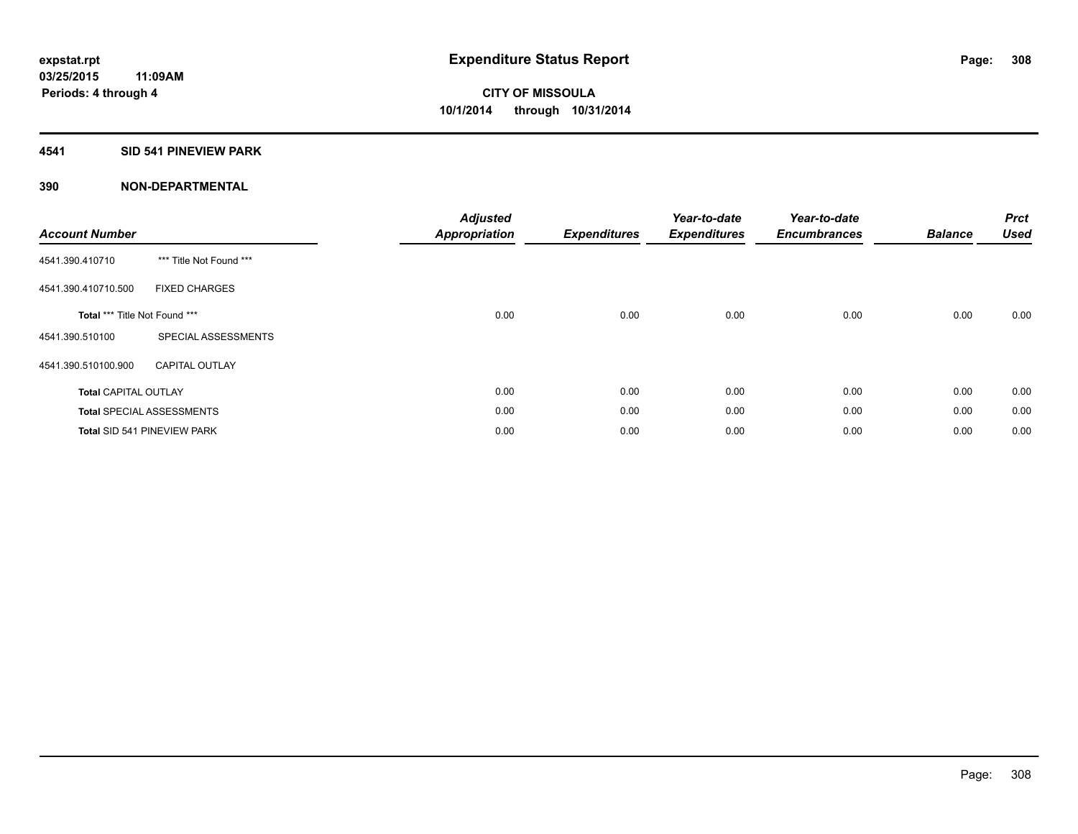## **4541 SID 541 PINEVIEW PARK**

| <b>Account Number</b>         |                                    | <b>Adjusted</b><br><b>Appropriation</b> | <b>Expenditures</b> | Year-to-date<br><b>Expenditures</b> | Year-to-date<br><b>Encumbrances</b> | <b>Balance</b> | <b>Prct</b><br><b>Used</b> |
|-------------------------------|------------------------------------|-----------------------------------------|---------------------|-------------------------------------|-------------------------------------|----------------|----------------------------|
| 4541.390.410710               | *** Title Not Found ***            |                                         |                     |                                     |                                     |                |                            |
| 4541.390.410710.500           | <b>FIXED CHARGES</b>               |                                         |                     |                                     |                                     |                |                            |
| Total *** Title Not Found *** |                                    | 0.00                                    | 0.00                | 0.00                                | 0.00                                | 0.00           | 0.00                       |
| 4541.390.510100               | SPECIAL ASSESSMENTS                |                                         |                     |                                     |                                     |                |                            |
| 4541.390.510100.900           | <b>CAPITAL OUTLAY</b>              |                                         |                     |                                     |                                     |                |                            |
| <b>Total CAPITAL OUTLAY</b>   |                                    | 0.00                                    | 0.00                | 0.00                                | 0.00                                | 0.00           | 0.00                       |
|                               | <b>Total SPECIAL ASSESSMENTS</b>   | 0.00                                    | 0.00                | 0.00                                | 0.00                                | 0.00           | 0.00                       |
|                               | <b>Total SID 541 PINEVIEW PARK</b> | 0.00                                    | 0.00                | 0.00                                | 0.00                                | 0.00           | 0.00                       |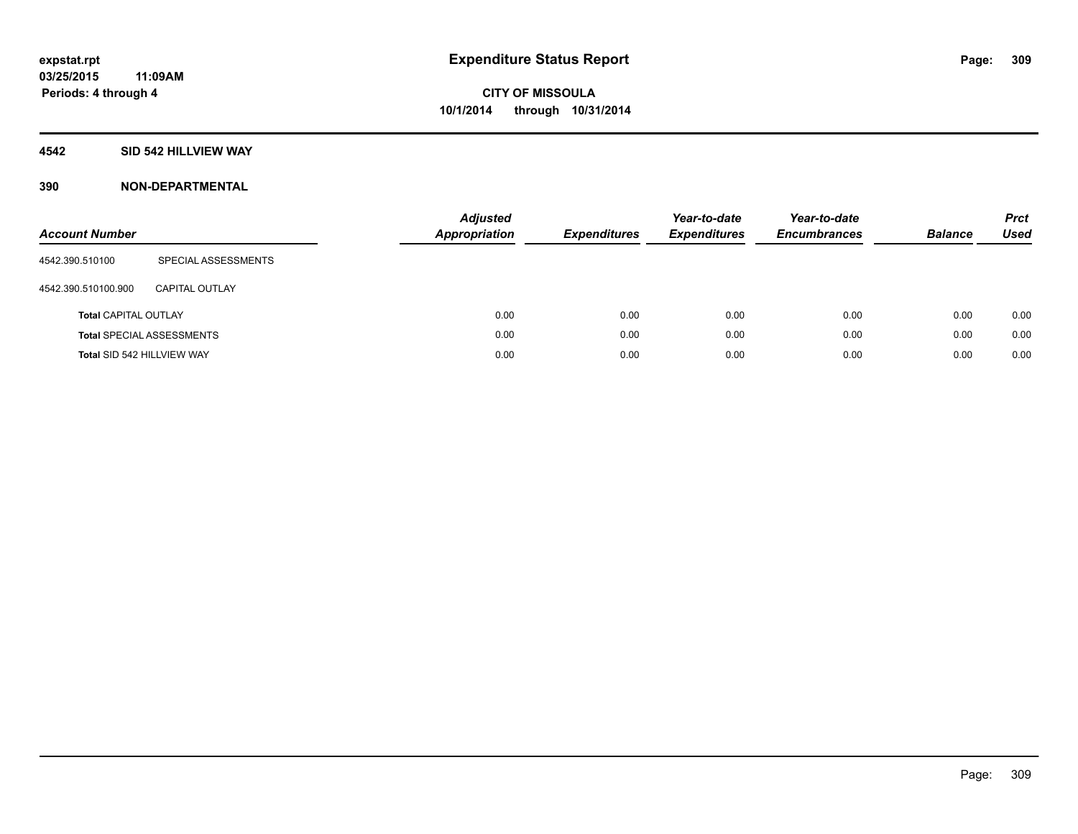### **4542 SID 542 HILLVIEW WAY**

| <b>Account Number</b>       |                                  | <b>Adjusted</b><br><b>Appropriation</b> | <b>Expenditures</b> | Year-to-date<br><b>Expenditures</b> | Year-to-date<br><b>Encumbrances</b> | <b>Balance</b> | <b>Prct</b><br>Used |
|-----------------------------|----------------------------------|-----------------------------------------|---------------------|-------------------------------------|-------------------------------------|----------------|---------------------|
| 4542.390.510100             | SPECIAL ASSESSMENTS              |                                         |                     |                                     |                                     |                |                     |
| 4542.390.510100.900         | <b>CAPITAL OUTLAY</b>            |                                         |                     |                                     |                                     |                |                     |
| <b>Total CAPITAL OUTLAY</b> |                                  | 0.00                                    | 0.00                | 0.00                                | 0.00                                | 0.00           | 0.00                |
|                             | <b>Total SPECIAL ASSESSMENTS</b> | 0.00                                    | 0.00                | 0.00                                | 0.00                                | 0.00           | 0.00                |
| Total SID 542 HILLVIEW WAY  |                                  | 0.00                                    | 0.00                | 0.00                                | 0.00                                | 0.00           | 0.00                |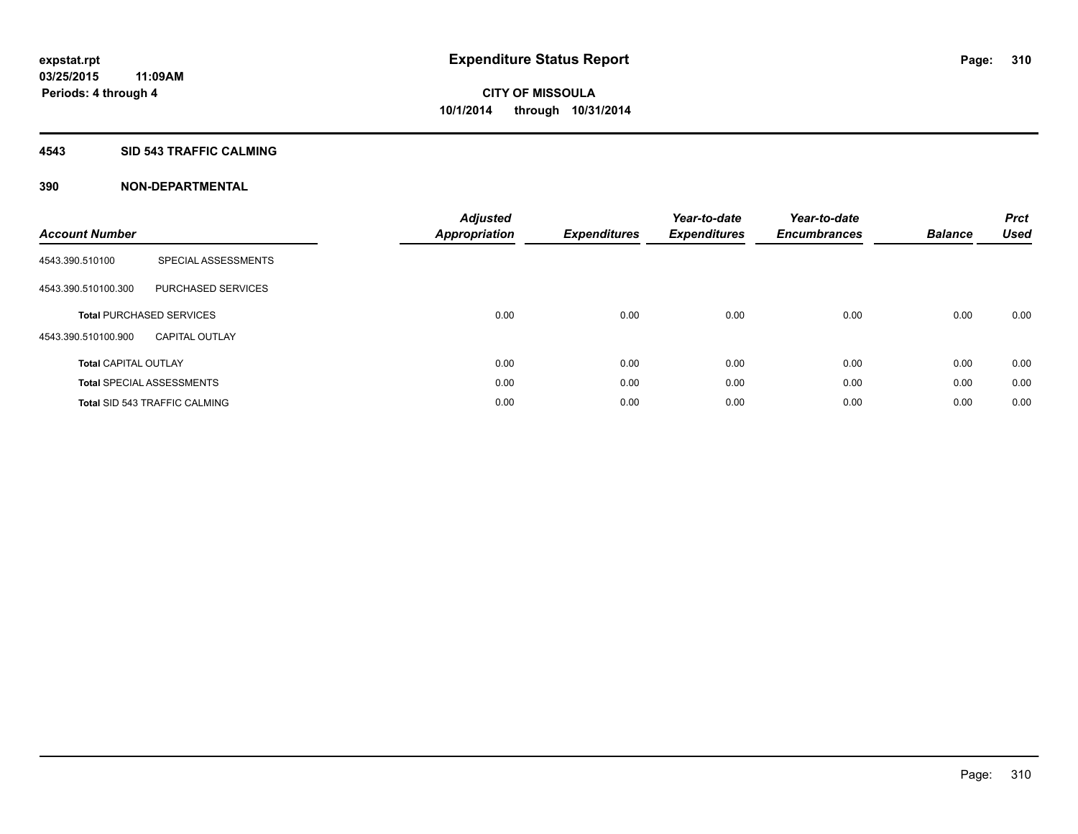### **4543 SID 543 TRAFFIC CALMING**

| <b>Account Number</b>       |                                      | <b>Adjusted</b><br>Appropriation | <b>Expenditures</b> | Year-to-date<br><b>Expenditures</b> | Year-to-date<br><b>Encumbrances</b> | <b>Balance</b> | <b>Prct</b><br><b>Used</b> |
|-----------------------------|--------------------------------------|----------------------------------|---------------------|-------------------------------------|-------------------------------------|----------------|----------------------------|
| 4543.390.510100             | SPECIAL ASSESSMENTS                  |                                  |                     |                                     |                                     |                |                            |
| 4543.390.510100.300         | PURCHASED SERVICES                   |                                  |                     |                                     |                                     |                |                            |
|                             | <b>Total PURCHASED SERVICES</b>      | 0.00                             | 0.00                | 0.00                                | 0.00                                | 0.00           | 0.00                       |
| 4543.390.510100.900         | <b>CAPITAL OUTLAY</b>                |                                  |                     |                                     |                                     |                |                            |
| <b>Total CAPITAL OUTLAY</b> |                                      | 0.00                             | 0.00                | 0.00                                | 0.00                                | 0.00           | 0.00                       |
|                             | <b>Total SPECIAL ASSESSMENTS</b>     | 0.00                             | 0.00                | 0.00                                | 0.00                                | 0.00           | 0.00                       |
|                             | <b>Total SID 543 TRAFFIC CALMING</b> | 0.00                             | 0.00                | 0.00                                | 0.00                                | 0.00           | 0.00                       |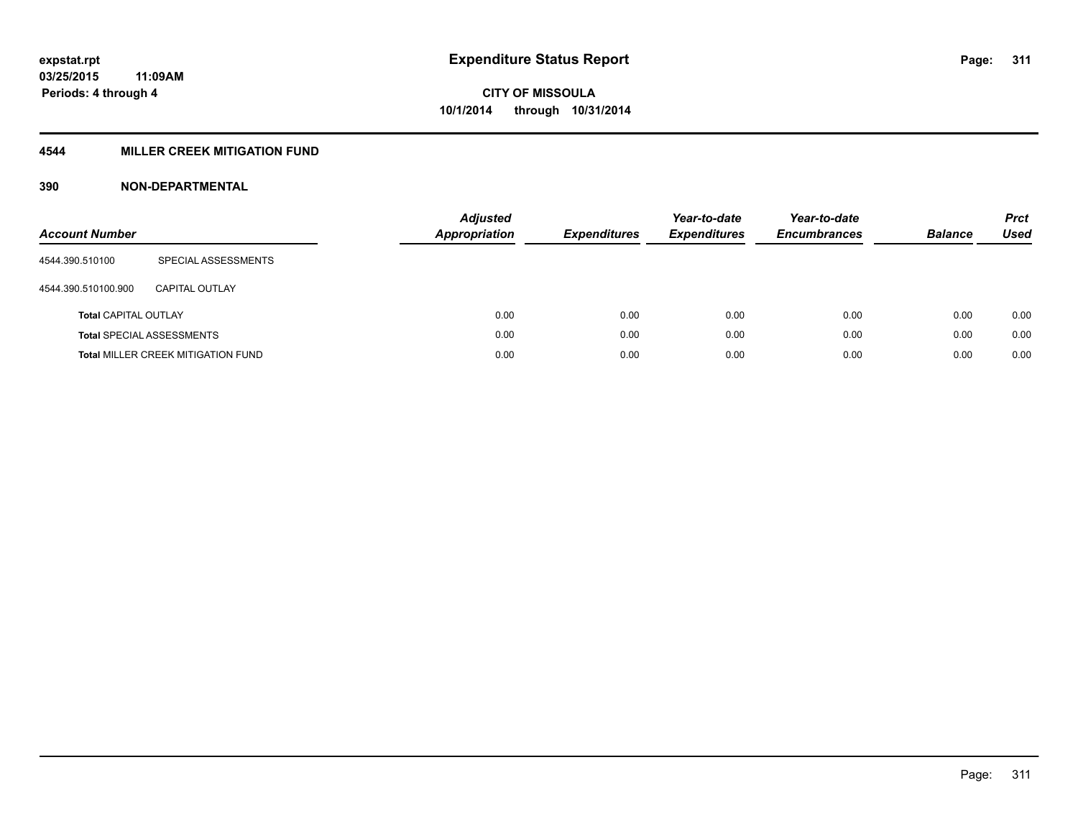## **4544 MILLER CREEK MITIGATION FUND**

| <b>Account Number</b>       |                                           | <b>Adjusted</b><br>Appropriation | <b>Expenditures</b> | Year-to-date<br><b>Expenditures</b> | Year-to-date<br><b>Encumbrances</b> | <b>Balance</b> | <b>Prct</b><br>Used |
|-----------------------------|-------------------------------------------|----------------------------------|---------------------|-------------------------------------|-------------------------------------|----------------|---------------------|
| 4544.390.510100             | SPECIAL ASSESSMENTS                       |                                  |                     |                                     |                                     |                |                     |
| 4544.390.510100.900         | CAPITAL OUTLAY                            |                                  |                     |                                     |                                     |                |                     |
| <b>Total CAPITAL OUTLAY</b> |                                           | 0.00                             | 0.00                | 0.00                                | 0.00                                | 0.00           | 0.00                |
|                             | <b>Total SPECIAL ASSESSMENTS</b>          | 0.00                             | 0.00                | 0.00                                | 0.00                                | 0.00           | 0.00                |
|                             | <b>Total MILLER CREEK MITIGATION FUND</b> | 0.00                             | 0.00                | 0.00                                | 0.00                                | 0.00           | 0.00                |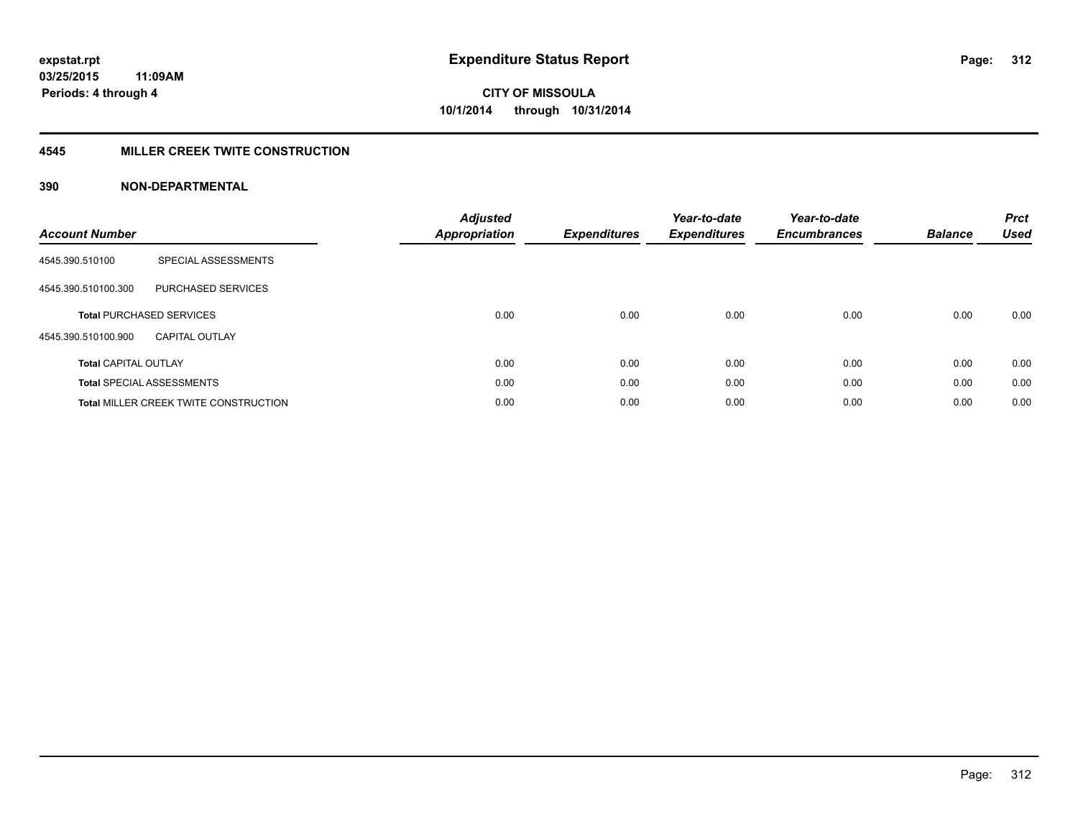### **4545 MILLER CREEK TWITE CONSTRUCTION**

| <b>Account Number</b>       |                                              | <b>Adjusted</b><br><b>Appropriation</b> | <b>Expenditures</b> | Year-to-date<br><b>Expenditures</b> | Year-to-date<br><b>Encumbrances</b> | <b>Balance</b> | <b>Prct</b><br><b>Used</b> |
|-----------------------------|----------------------------------------------|-----------------------------------------|---------------------|-------------------------------------|-------------------------------------|----------------|----------------------------|
| 4545.390.510100             | SPECIAL ASSESSMENTS                          |                                         |                     |                                     |                                     |                |                            |
| 4545.390.510100.300         | PURCHASED SERVICES                           |                                         |                     |                                     |                                     |                |                            |
|                             | <b>Total PURCHASED SERVICES</b>              | 0.00                                    | 0.00                | 0.00                                | 0.00                                | 0.00           | 0.00                       |
| 4545.390.510100.900         | <b>CAPITAL OUTLAY</b>                        |                                         |                     |                                     |                                     |                |                            |
| <b>Total CAPITAL OUTLAY</b> |                                              | 0.00                                    | 0.00                | 0.00                                | 0.00                                | 0.00           | 0.00                       |
|                             | <b>Total SPECIAL ASSESSMENTS</b>             | 0.00                                    | 0.00                | 0.00                                | 0.00                                | 0.00           | 0.00                       |
|                             | <b>Total MILLER CREEK TWITE CONSTRUCTION</b> | 0.00                                    | 0.00                | 0.00                                | 0.00                                | 0.00           | 0.00                       |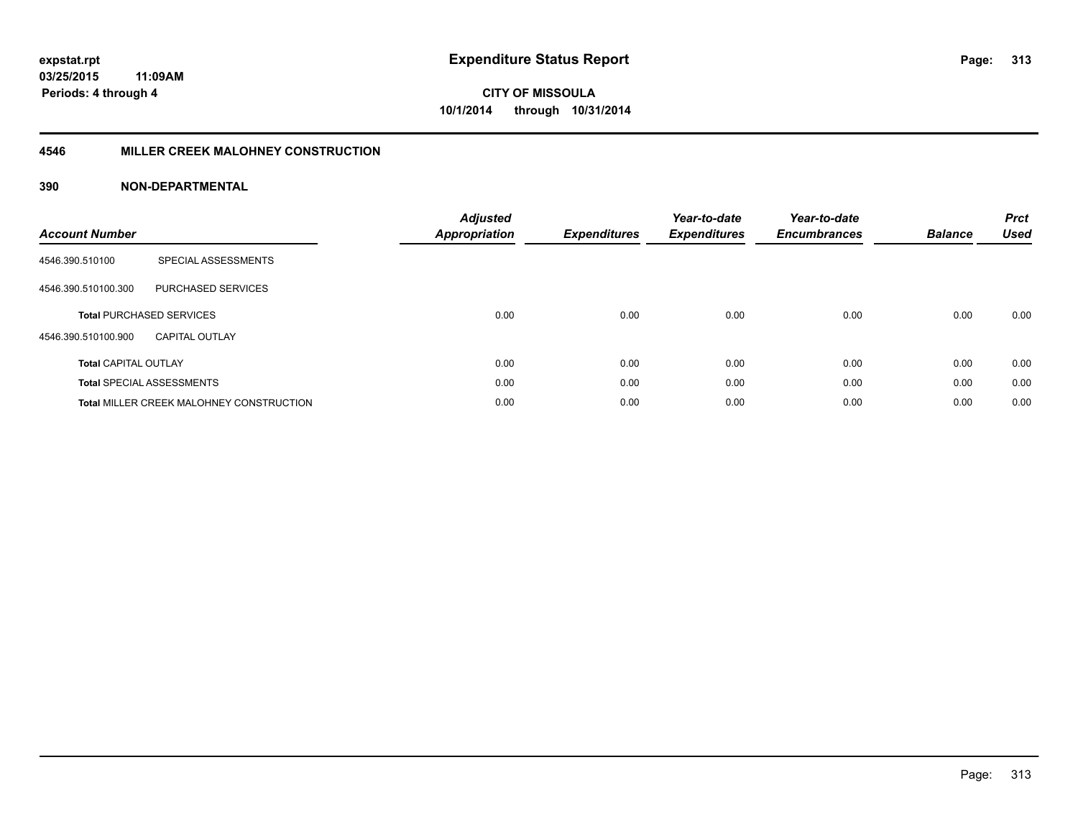## **4546 MILLER CREEK MALOHNEY CONSTRUCTION**

| <b>Account Number</b>       |                                                 | <b>Adjusted</b><br><b>Appropriation</b> | <b>Expenditures</b> | Year-to-date<br><b>Expenditures</b> | Year-to-date<br><b>Encumbrances</b> | <b>Balance</b> | <b>Prct</b><br><b>Used</b> |
|-----------------------------|-------------------------------------------------|-----------------------------------------|---------------------|-------------------------------------|-------------------------------------|----------------|----------------------------|
| 4546.390.510100             | SPECIAL ASSESSMENTS                             |                                         |                     |                                     |                                     |                |                            |
| 4546.390.510100.300         | <b>PURCHASED SERVICES</b>                       |                                         |                     |                                     |                                     |                |                            |
|                             | <b>Total PURCHASED SERVICES</b>                 | 0.00                                    | 0.00                | 0.00                                | 0.00                                | 0.00           | 0.00                       |
| 4546.390.510100.900         | <b>CAPITAL OUTLAY</b>                           |                                         |                     |                                     |                                     |                |                            |
| <b>Total CAPITAL OUTLAY</b> |                                                 | 0.00                                    | 0.00                | 0.00                                | 0.00                                | 0.00           | 0.00                       |
|                             | <b>Total SPECIAL ASSESSMENTS</b>                | 0.00                                    | 0.00                | 0.00                                | 0.00                                | 0.00           | 0.00                       |
|                             | <b>Total MILLER CREEK MALOHNEY CONSTRUCTION</b> | 0.00                                    | 0.00                | 0.00                                | 0.00                                | 0.00           | 0.00                       |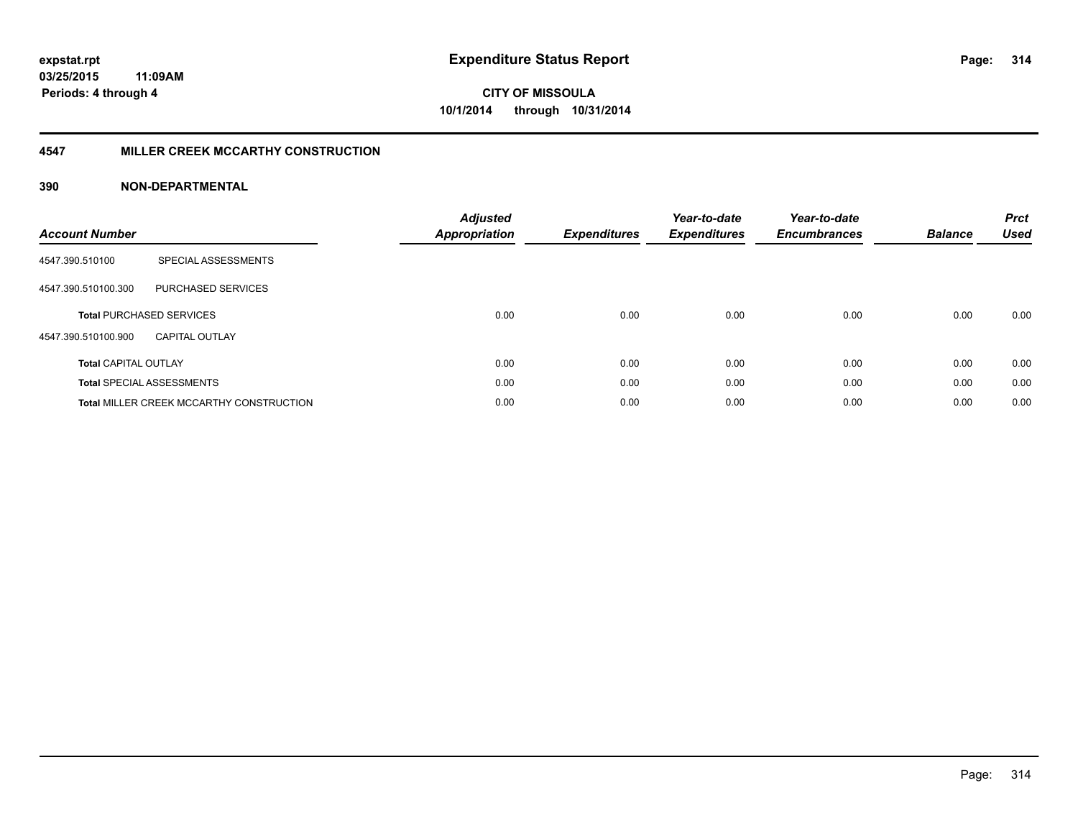#### **4547 MILLER CREEK MCCARTHY CONSTRUCTION**

| <b>Account Number</b>       |                                                 | <b>Adjusted</b><br>Appropriation | <b>Expenditures</b> | Year-to-date<br><b>Expenditures</b> | Year-to-date<br><b>Encumbrances</b> | <b>Balance</b> | <b>Prct</b><br><b>Used</b> |
|-----------------------------|-------------------------------------------------|----------------------------------|---------------------|-------------------------------------|-------------------------------------|----------------|----------------------------|
| 4547.390.510100             | SPECIAL ASSESSMENTS                             |                                  |                     |                                     |                                     |                |                            |
| 4547.390.510100.300         | <b>PURCHASED SERVICES</b>                       |                                  |                     |                                     |                                     |                |                            |
|                             | <b>Total PURCHASED SERVICES</b>                 | 0.00                             | 0.00                | 0.00                                | 0.00                                | 0.00           | 0.00                       |
| 4547.390.510100.900         | <b>CAPITAL OUTLAY</b>                           |                                  |                     |                                     |                                     |                |                            |
| <b>Total CAPITAL OUTLAY</b> |                                                 | 0.00                             | 0.00                | 0.00                                | 0.00                                | 0.00           | 0.00                       |
|                             | <b>Total SPECIAL ASSESSMENTS</b>                | 0.00                             | 0.00                | 0.00                                | 0.00                                | 0.00           | 0.00                       |
|                             | <b>Total MILLER CREEK MCCARTHY CONSTRUCTION</b> | 0.00                             | 0.00                | 0.00                                | 0.00                                | 0.00           | 0.00                       |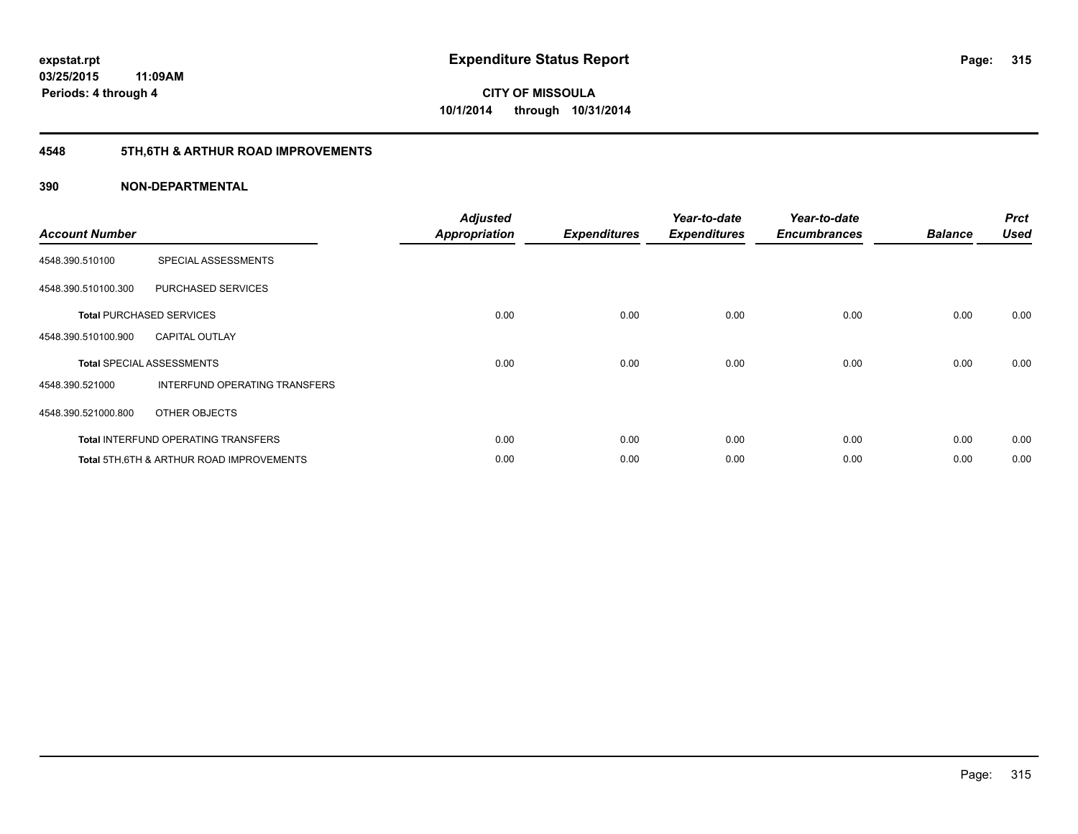## **4548 5TH,6TH & ARTHUR ROAD IMPROVEMENTS**

| <b>Account Number</b> |                                            | <b>Adjusted</b><br><b>Appropriation</b> | <b>Expenditures</b> | Year-to-date<br><b>Expenditures</b> | Year-to-date<br><b>Encumbrances</b> | <b>Balance</b> | <b>Prct</b><br><b>Used</b> |
|-----------------------|--------------------------------------------|-----------------------------------------|---------------------|-------------------------------------|-------------------------------------|----------------|----------------------------|
| 4548.390.510100       | SPECIAL ASSESSMENTS                        |                                         |                     |                                     |                                     |                |                            |
| 4548.390.510100.300   | PURCHASED SERVICES                         |                                         |                     |                                     |                                     |                |                            |
|                       | <b>Total PURCHASED SERVICES</b>            | 0.00                                    | 0.00                | 0.00                                | 0.00                                | 0.00           | 0.00                       |
| 4548.390.510100.900   | <b>CAPITAL OUTLAY</b>                      |                                         |                     |                                     |                                     |                |                            |
|                       | <b>Total SPECIAL ASSESSMENTS</b>           | 0.00                                    | 0.00                | 0.00                                | 0.00                                | 0.00           | 0.00                       |
| 4548.390.521000       | INTERFUND OPERATING TRANSFERS              |                                         |                     |                                     |                                     |                |                            |
| 4548.390.521000.800   | OTHER OBJECTS                              |                                         |                     |                                     |                                     |                |                            |
|                       | <b>Total INTERFUND OPERATING TRANSFERS</b> | 0.00                                    | 0.00                | 0.00                                | 0.00                                | 0.00           | 0.00                       |
|                       | Total 5TH.6TH & ARTHUR ROAD IMPROVEMENTS   | 0.00                                    | 0.00                | 0.00                                | 0.00                                | 0.00           | 0.00                       |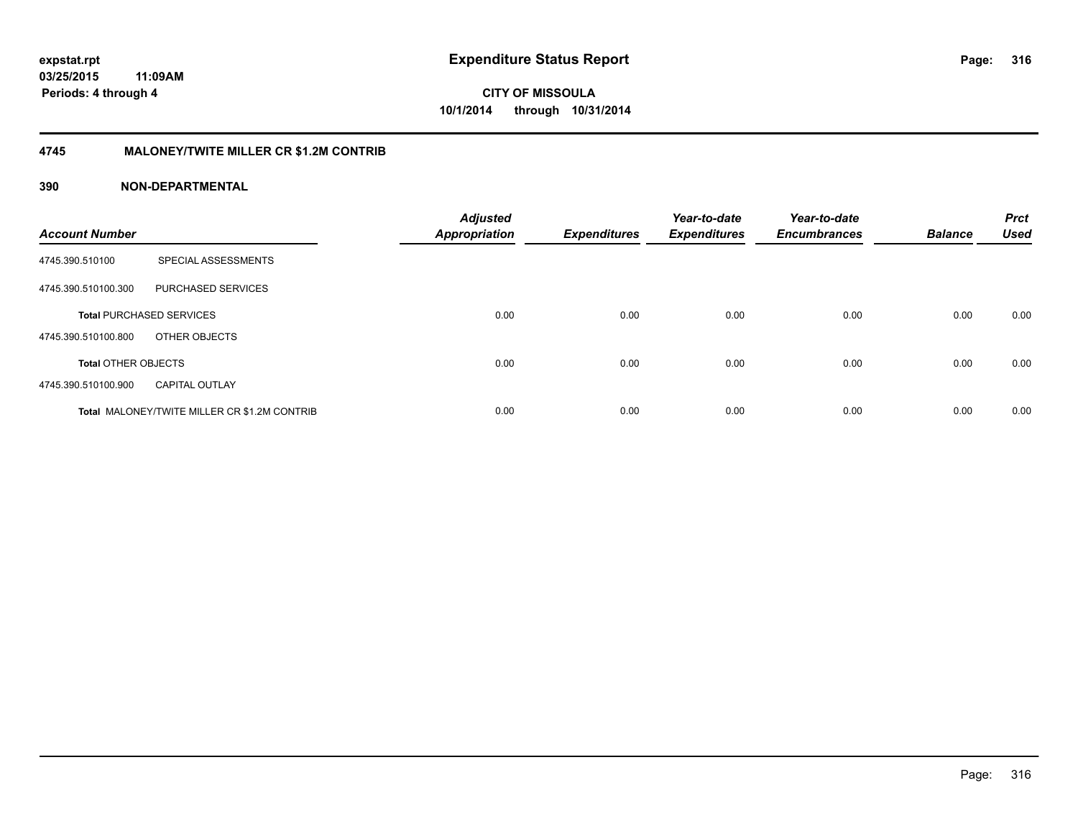### **4745 MALONEY/TWITE MILLER CR \$1.2M CONTRIB**

| <b>Account Number</b>      |                                                     | <b>Adjusted</b><br>Appropriation | <b>Expenditures</b> | Year-to-date<br><b>Expenditures</b> | Year-to-date<br><b>Encumbrances</b> | <b>Balance</b> | <b>Prct</b><br><b>Used</b> |
|----------------------------|-----------------------------------------------------|----------------------------------|---------------------|-------------------------------------|-------------------------------------|----------------|----------------------------|
| 4745.390.510100            | SPECIAL ASSESSMENTS                                 |                                  |                     |                                     |                                     |                |                            |
| 4745.390.510100.300        | PURCHASED SERVICES                                  |                                  |                     |                                     |                                     |                |                            |
|                            | <b>Total PURCHASED SERVICES</b>                     | 0.00                             | 0.00                | 0.00                                | 0.00                                | 0.00           | 0.00                       |
| 4745.390.510100.800        | OTHER OBJECTS                                       |                                  |                     |                                     |                                     |                |                            |
| <b>Total OTHER OBJECTS</b> |                                                     | 0.00                             | 0.00                | 0.00                                | 0.00                                | 0.00           | 0.00                       |
| 4745.390.510100.900        | <b>CAPITAL OUTLAY</b>                               |                                  |                     |                                     |                                     |                |                            |
|                            | <b>Total MALONEY/TWITE MILLER CR \$1.2M CONTRIB</b> | 0.00                             | 0.00                | 0.00                                | 0.00                                | 0.00           | 0.00                       |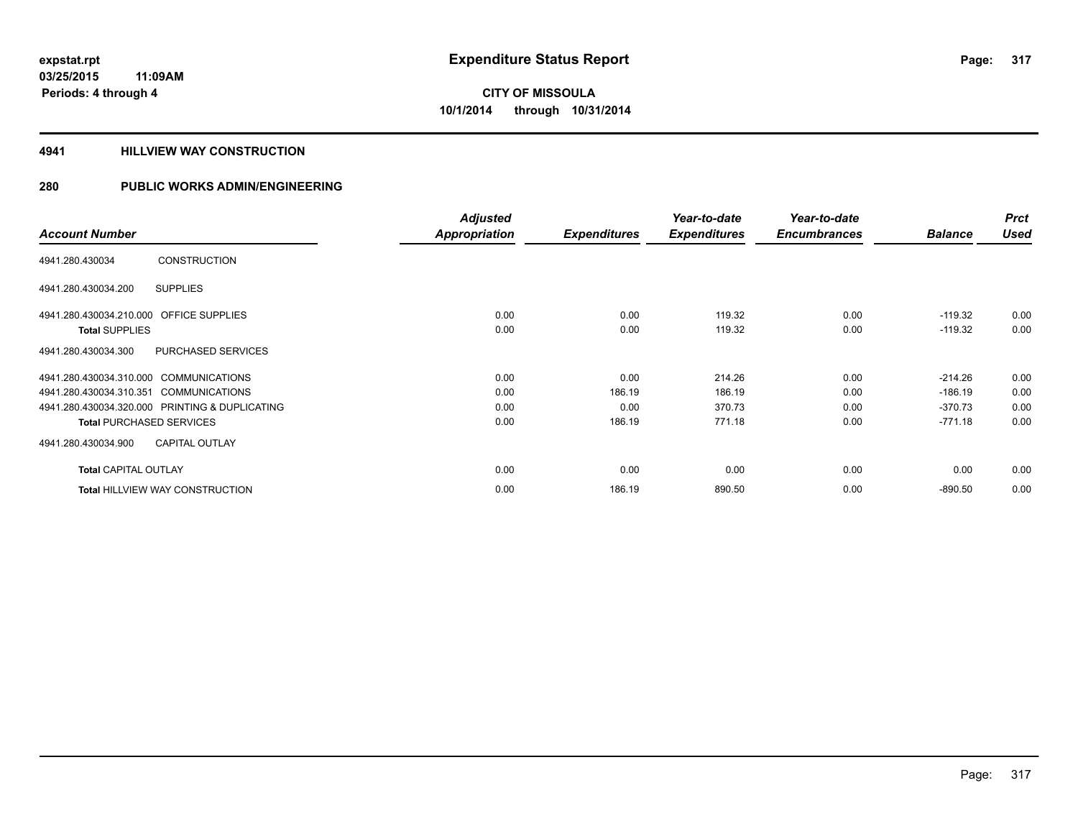### **4941 HILLVIEW WAY CONSTRUCTION**

|                                                   | <b>Adjusted</b>      |                     | Year-to-date        | Year-to-date        |                | <b>Prct</b> |
|---------------------------------------------------|----------------------|---------------------|---------------------|---------------------|----------------|-------------|
| <b>Account Number</b>                             | <b>Appropriation</b> | <b>Expenditures</b> | <b>Expenditures</b> | <b>Encumbrances</b> | <b>Balance</b> | <b>Used</b> |
| <b>CONSTRUCTION</b><br>4941.280.430034            |                      |                     |                     |                     |                |             |
| 4941.280.430034.200<br><b>SUPPLIES</b>            |                      |                     |                     |                     |                |             |
| <b>OFFICE SUPPLIES</b><br>4941.280.430034.210.000 | 0.00                 | 0.00                | 119.32              | 0.00                | $-119.32$      | 0.00        |
| <b>Total SUPPLIES</b>                             | 0.00                 | 0.00                | 119.32              | 0.00                | $-119.32$      | 0.00        |
| PURCHASED SERVICES<br>4941.280.430034.300         |                      |                     |                     |                     |                |             |
| 4941.280.430034.310.000 COMMUNICATIONS            | 0.00                 | 0.00                | 214.26              | 0.00                | $-214.26$      | 0.00        |
| 4941.280.430034.310.351 COMMUNICATIONS            | 0.00                 | 186.19              | 186.19              | 0.00                | $-186.19$      | 0.00        |
| 4941.280.430034.320.000 PRINTING & DUPLICATING    | 0.00                 | 0.00                | 370.73              | 0.00                | $-370.73$      | 0.00        |
| <b>Total PURCHASED SERVICES</b>                   | 0.00                 | 186.19              | 771.18              | 0.00                | $-771.18$      | 0.00        |
| 4941.280.430034.900<br><b>CAPITAL OUTLAY</b>      |                      |                     |                     |                     |                |             |
| <b>Total CAPITAL OUTLAY</b>                       | 0.00                 | 0.00                | 0.00                | 0.00                | 0.00           | 0.00        |
| <b>Total HILLVIEW WAY CONSTRUCTION</b>            | 0.00                 | 186.19              | 890.50              | 0.00                | $-890.50$      | 0.00        |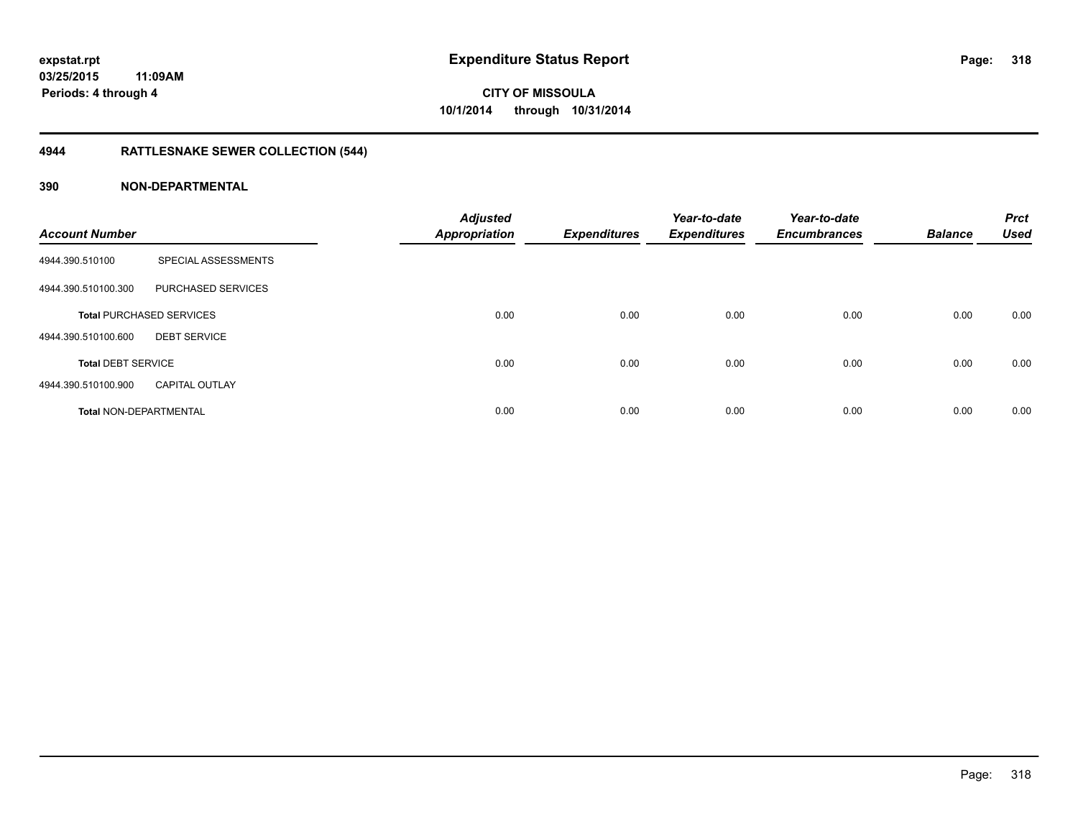## **4944 RATTLESNAKE SEWER COLLECTION (544)**

| <b>Account Number</b>         |                                 | <b>Adjusted</b><br><b>Appropriation</b> | <b>Expenditures</b> | Year-to-date<br><b>Expenditures</b> | Year-to-date<br><b>Encumbrances</b> | <b>Balance</b> | <b>Prct</b><br><b>Used</b> |
|-------------------------------|---------------------------------|-----------------------------------------|---------------------|-------------------------------------|-------------------------------------|----------------|----------------------------|
| 4944.390.510100               | SPECIAL ASSESSMENTS             |                                         |                     |                                     |                                     |                |                            |
| 4944.390.510100.300           | PURCHASED SERVICES              |                                         |                     |                                     |                                     |                |                            |
|                               | <b>Total PURCHASED SERVICES</b> | 0.00                                    | 0.00                | 0.00                                | 0.00                                | 0.00           | 0.00                       |
| 4944.390.510100.600           | <b>DEBT SERVICE</b>             |                                         |                     |                                     |                                     |                |                            |
| <b>Total DEBT SERVICE</b>     |                                 | 0.00                                    | 0.00                | 0.00                                | 0.00                                | 0.00           | 0.00                       |
| 4944.390.510100.900           | <b>CAPITAL OUTLAY</b>           |                                         |                     |                                     |                                     |                |                            |
| <b>Total NON-DEPARTMENTAL</b> |                                 | 0.00                                    | 0.00                | 0.00                                | 0.00                                | 0.00           | 0.00                       |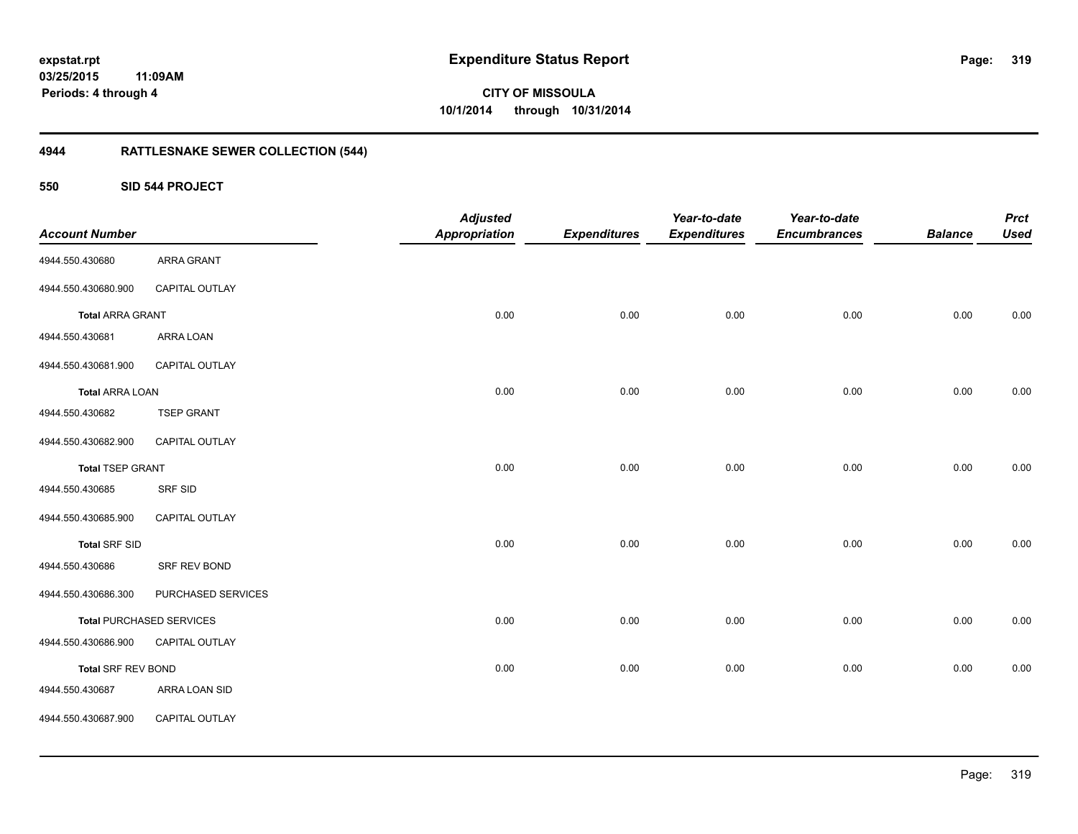## **03/25/2015 11:09AM Periods: 4 through 4**

**CITY OF MISSOULA 10/1/2014 through 10/31/2014**

## **4944 RATTLESNAKE SEWER COLLECTION (544)**

**550 SID 544 PROJECT**

| <b>Account Number</b>   |                                 | <b>Adjusted</b><br><b>Appropriation</b> | <b>Expenditures</b> | Year-to-date<br><b>Expenditures</b> | Year-to-date<br><b>Encumbrances</b> | <b>Balance</b> | <b>Prct</b><br><b>Used</b> |
|-------------------------|---------------------------------|-----------------------------------------|---------------------|-------------------------------------|-------------------------------------|----------------|----------------------------|
| 4944.550.430680         | ARRA GRANT                      |                                         |                     |                                     |                                     |                |                            |
| 4944.550.430680.900     | CAPITAL OUTLAY                  |                                         |                     |                                     |                                     |                |                            |
| <b>Total ARRA GRANT</b> |                                 | 0.00                                    | 0.00                | 0.00                                | 0.00                                | 0.00           | 0.00                       |
| 4944.550.430681         | ARRA LOAN                       |                                         |                     |                                     |                                     |                |                            |
| 4944.550.430681.900     | CAPITAL OUTLAY                  |                                         |                     |                                     |                                     |                |                            |
| <b>Total ARRA LOAN</b>  |                                 | 0.00                                    | 0.00                | 0.00                                | 0.00                                | 0.00           | 0.00                       |
| 4944.550.430682         | <b>TSEP GRANT</b>               |                                         |                     |                                     |                                     |                |                            |
| 4944.550.430682.900     | CAPITAL OUTLAY                  |                                         |                     |                                     |                                     |                |                            |
| <b>Total TSEP GRANT</b> |                                 | 0.00                                    | 0.00                | 0.00                                | 0.00                                | 0.00           | 0.00                       |
| 4944.550.430685         | SRF SID                         |                                         |                     |                                     |                                     |                |                            |
| 4944.550.430685.900     | CAPITAL OUTLAY                  |                                         |                     |                                     |                                     |                |                            |
| <b>Total SRF SID</b>    |                                 | 0.00                                    | 0.00                | 0.00                                | 0.00                                | 0.00           | 0.00                       |
| 4944.550.430686         | SRF REV BOND                    |                                         |                     |                                     |                                     |                |                            |
| 4944.550.430686.300     | PURCHASED SERVICES              |                                         |                     |                                     |                                     |                |                            |
|                         | <b>Total PURCHASED SERVICES</b> | 0.00                                    | 0.00                | 0.00                                | 0.00                                | 0.00           | 0.00                       |
| 4944.550.430686.900     | CAPITAL OUTLAY                  |                                         |                     |                                     |                                     |                |                            |
| Total SRF REV BOND      |                                 | 0.00                                    | 0.00                | 0.00                                | 0.00                                | 0.00           | 0.00                       |
| 4944.550.430687         | ARRA LOAN SID                   |                                         |                     |                                     |                                     |                |                            |
| 4944.550.430687.900     | CAPITAL OUTLAY                  |                                         |                     |                                     |                                     |                |                            |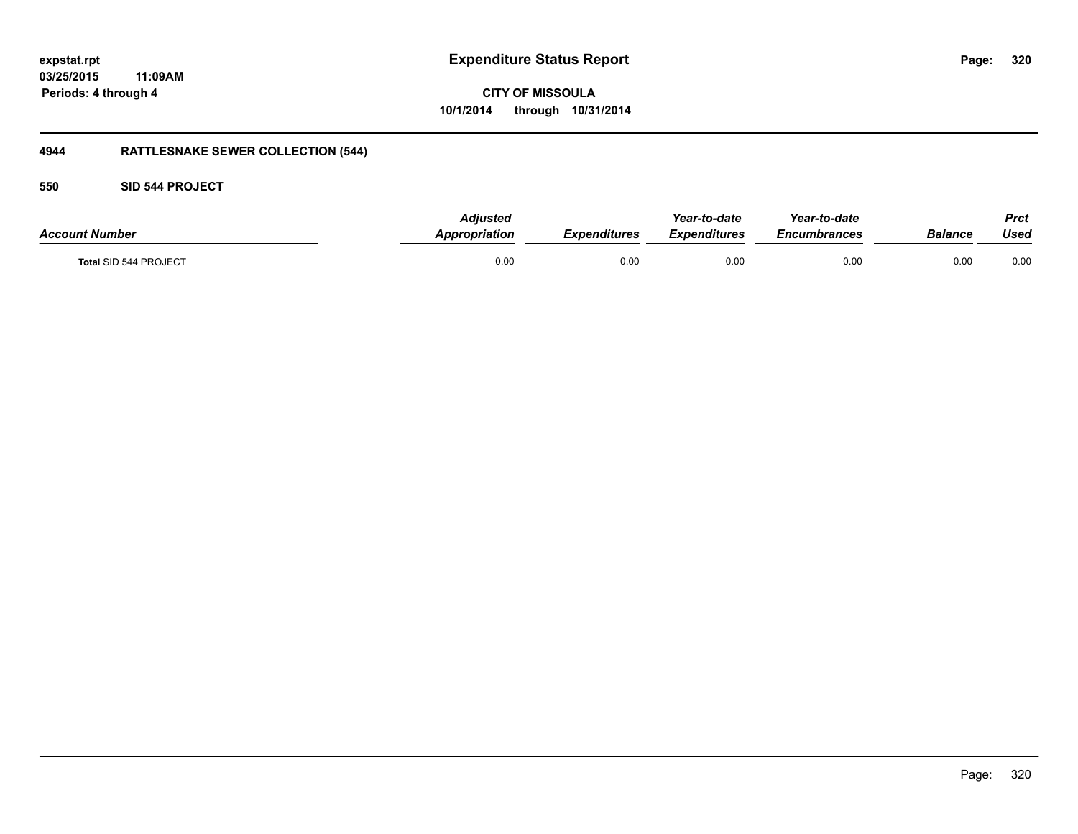## **03/25/2015 11:09AM Periods: 4 through 4**

## **CITY OF MISSOULA 10/1/2014 through 10/31/2014**

## **4944 RATTLESNAKE SEWER COLLECTION (544)**

## **550 SID 544 PROJECT**

| <b>Account Number</b> | <b>Adjusted</b><br>Appropriation | <b>Expenditures</b> | Year-to-date<br>Expenditures | Year-to-date<br>Encumbrances | Balance | <b>Prct</b><br>Used |
|-----------------------|----------------------------------|---------------------|------------------------------|------------------------------|---------|---------------------|
| Total SID 544 PROJECT | 0.00                             | 0.00                | 0.00                         | 0.00                         | 0.00    | 0.00                |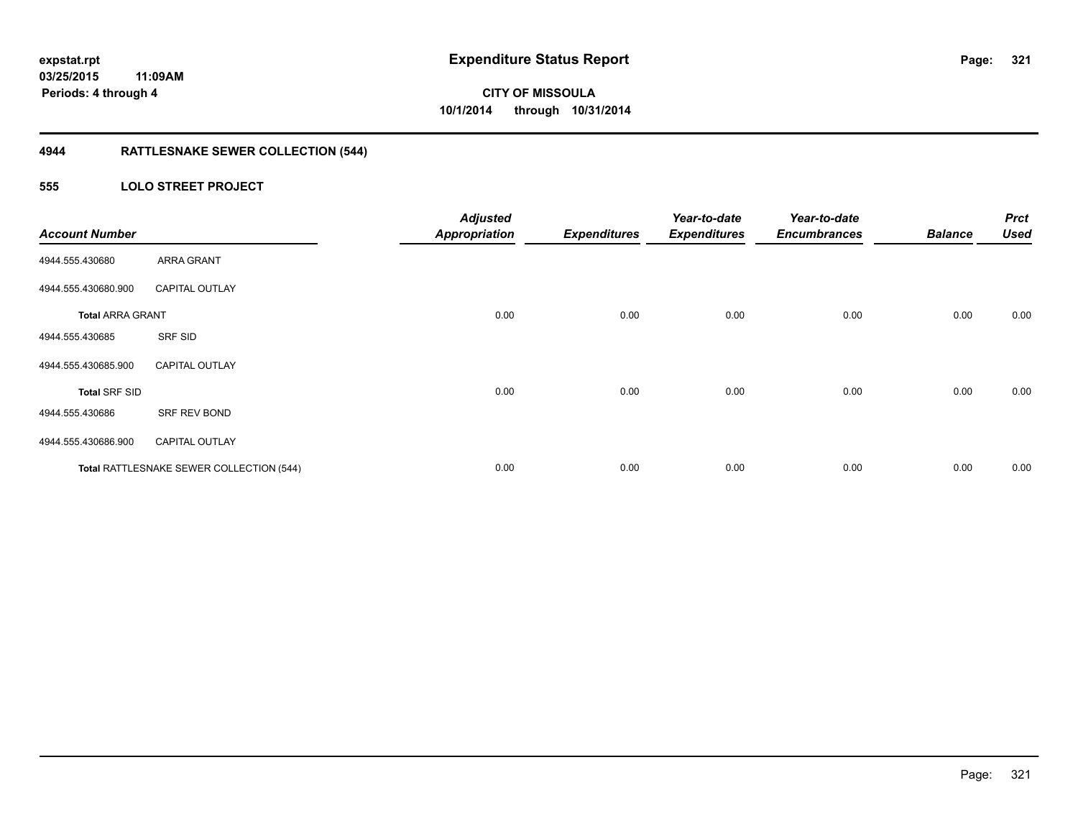## **4944 RATTLESNAKE SEWER COLLECTION (544)**

## **555 LOLO STREET PROJECT**

| <b>Account Number</b>   |                                          | <b>Adjusted</b><br><b>Appropriation</b> | <b>Expenditures</b> | Year-to-date<br><b>Expenditures</b> | Year-to-date<br><b>Encumbrances</b> | <b>Balance</b> | <b>Prct</b><br><b>Used</b> |
|-------------------------|------------------------------------------|-----------------------------------------|---------------------|-------------------------------------|-------------------------------------|----------------|----------------------------|
| 4944.555.430680         | ARRA GRANT                               |                                         |                     |                                     |                                     |                |                            |
| 4944.555.430680.900     | <b>CAPITAL OUTLAY</b>                    |                                         |                     |                                     |                                     |                |                            |
| <b>Total ARRA GRANT</b> |                                          | 0.00                                    | 0.00                | 0.00                                | 0.00                                | 0.00           | 0.00                       |
| 4944.555.430685         | SRF SID                                  |                                         |                     |                                     |                                     |                |                            |
| 4944.555.430685.900     | <b>CAPITAL OUTLAY</b>                    |                                         |                     |                                     |                                     |                |                            |
| <b>Total SRF SID</b>    |                                          | 0.00                                    | 0.00                | 0.00                                | 0.00                                | 0.00           | 0.00                       |
| 4944.555.430686         | SRF REV BOND                             |                                         |                     |                                     |                                     |                |                            |
| 4944.555.430686.900     | <b>CAPITAL OUTLAY</b>                    |                                         |                     |                                     |                                     |                |                            |
|                         | Total RATTLESNAKE SEWER COLLECTION (544) | 0.00                                    | 0.00                | 0.00                                | 0.00                                | 0.00           | 0.00                       |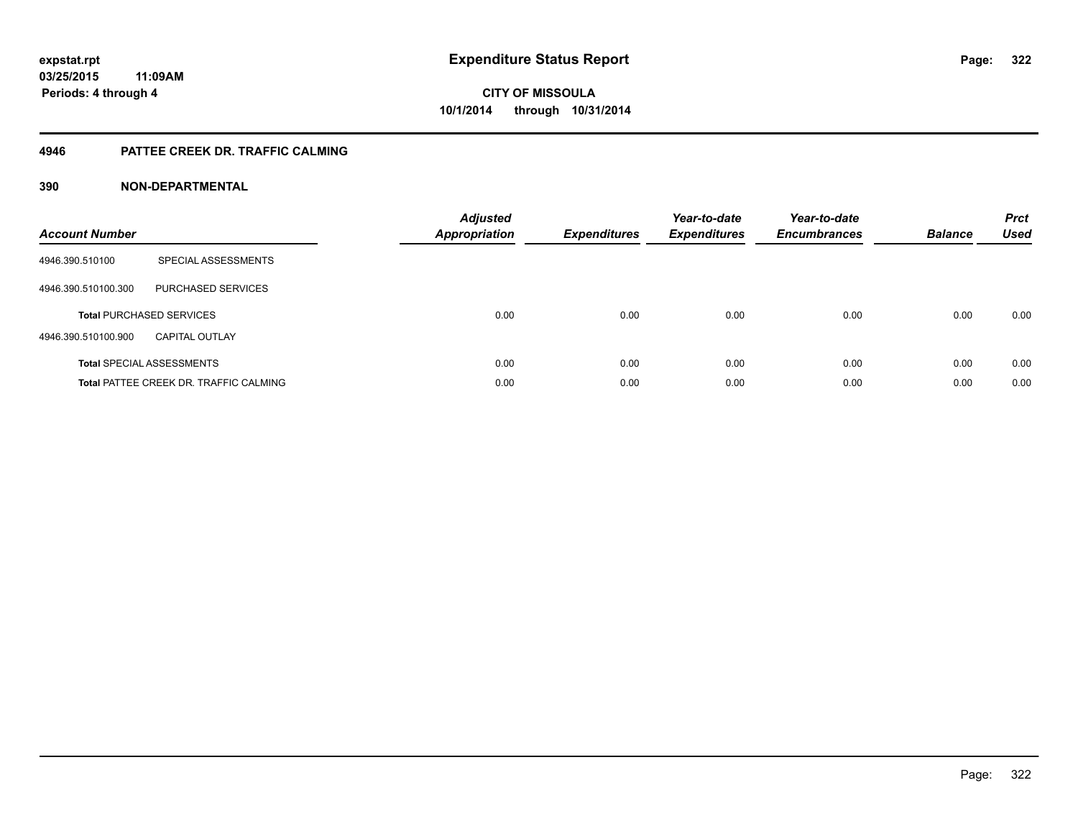### **4946 PATTEE CREEK DR. TRAFFIC CALMING**

| <b>Account Number</b> |                                               | <b>Adjusted</b><br>Appropriation | <b>Expenditures</b> | Year-to-date<br><b>Expenditures</b> | Year-to-date<br><b>Encumbrances</b> | <b>Balance</b> | <b>Prct</b><br><b>Used</b> |
|-----------------------|-----------------------------------------------|----------------------------------|---------------------|-------------------------------------|-------------------------------------|----------------|----------------------------|
| 4946.390.510100       | SPECIAL ASSESSMENTS                           |                                  |                     |                                     |                                     |                |                            |
| 4946.390.510100.300   | PURCHASED SERVICES                            |                                  |                     |                                     |                                     |                |                            |
|                       | <b>Total PURCHASED SERVICES</b>               | 0.00                             | 0.00                | 0.00                                | 0.00                                | 0.00           | 0.00                       |
| 4946.390.510100.900   | <b>CAPITAL OUTLAY</b>                         |                                  |                     |                                     |                                     |                |                            |
|                       | <b>Total SPECIAL ASSESSMENTS</b>              | 0.00                             | 0.00                | 0.00                                | 0.00                                | 0.00           | 0.00                       |
|                       | <b>Total PATTEE CREEK DR. TRAFFIC CALMING</b> | 0.00                             | 0.00                | 0.00                                | 0.00                                | 0.00           | 0.00                       |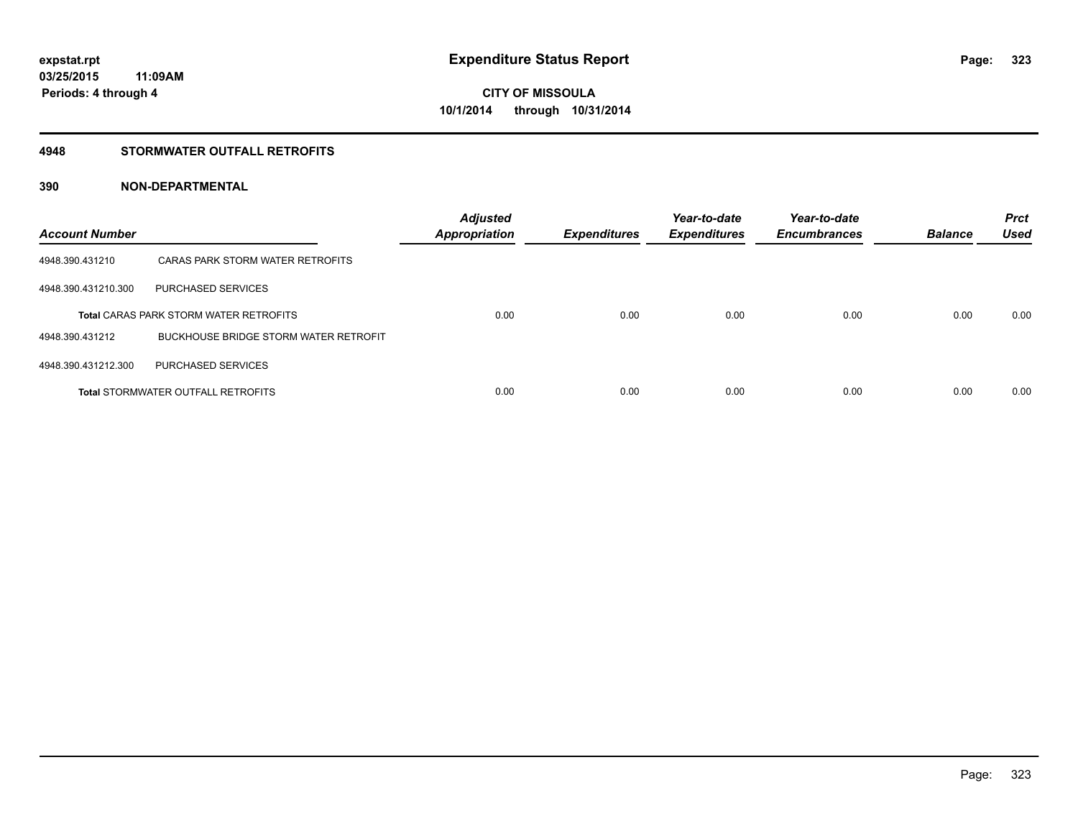### **4948 STORMWATER OUTFALL RETROFITS**

| <b>Account Number</b> |                                               | <b>Adjusted</b><br><b>Appropriation</b> | <b>Expenditures</b> | Year-to-date<br><b>Expenditures</b> | Year-to-date<br><b>Encumbrances</b> | <b>Balance</b> | <b>Prct</b><br><b>Used</b> |
|-----------------------|-----------------------------------------------|-----------------------------------------|---------------------|-------------------------------------|-------------------------------------|----------------|----------------------------|
| 4948.390.431210       | CARAS PARK STORM WATER RETROFITS              |                                         |                     |                                     |                                     |                |                            |
| 4948.390.431210.300   | PURCHASED SERVICES                            |                                         |                     |                                     |                                     |                |                            |
|                       | <b>Total CARAS PARK STORM WATER RETROFITS</b> | 0.00                                    | 0.00                | 0.00                                | 0.00                                | 0.00           | 0.00                       |
| 4948.390.431212       | BUCKHOUSE BRIDGE STORM WATER RETROFIT         |                                         |                     |                                     |                                     |                |                            |
| 4948.390.431212.300   | PURCHASED SERVICES                            |                                         |                     |                                     |                                     |                |                            |
|                       | <b>Total STORMWATER OUTFALL RETROFITS</b>     | 0.00                                    | 0.00                | 0.00                                | 0.00                                | 0.00           | 0.00                       |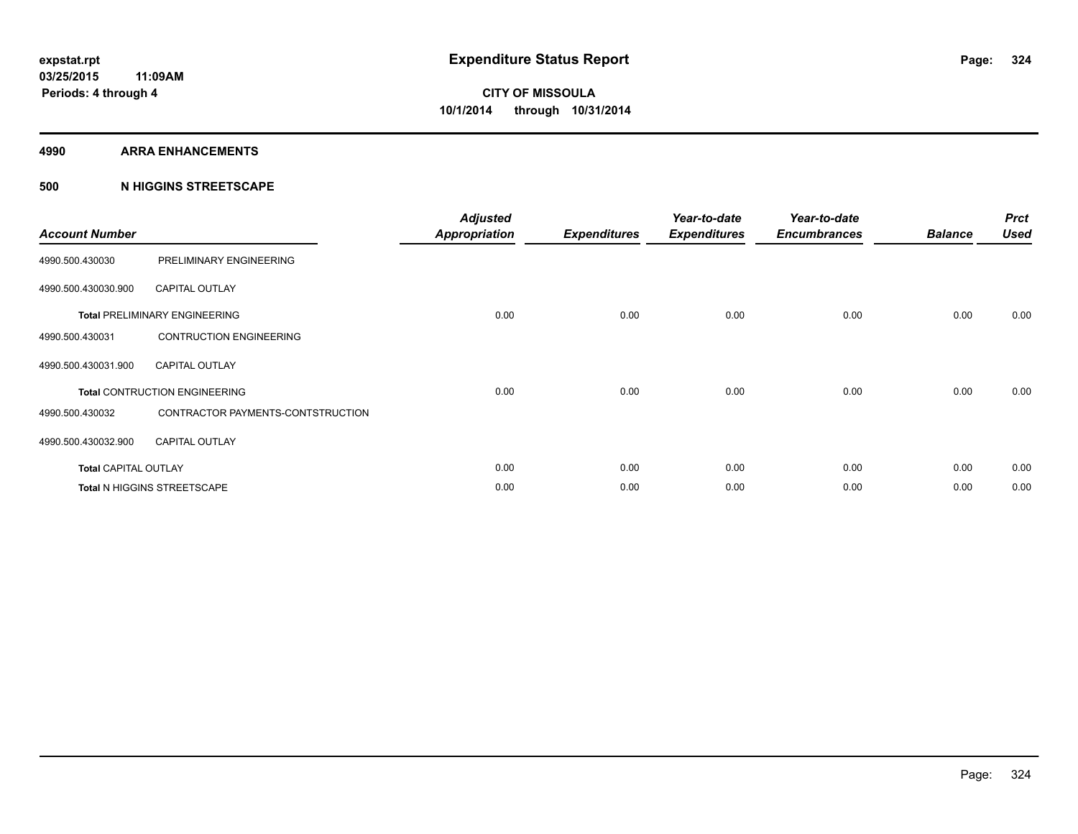#### **4990 ARRA ENHANCEMENTS**

### **500 N HIGGINS STREETSCAPE**

| <b>Account Number</b>       |                                      | <b>Adjusted</b><br><b>Appropriation</b> | <b>Expenditures</b> | Year-to-date<br><b>Expenditures</b> | Year-to-date<br><b>Encumbrances</b> | <b>Balance</b> | <b>Prct</b><br><b>Used</b> |
|-----------------------------|--------------------------------------|-----------------------------------------|---------------------|-------------------------------------|-------------------------------------|----------------|----------------------------|
| 4990.500.430030             | PRELIMINARY ENGINEERING              |                                         |                     |                                     |                                     |                |                            |
| 4990.500.430030.900         | <b>CAPITAL OUTLAY</b>                |                                         |                     |                                     |                                     |                |                            |
|                             | <b>Total PRELIMINARY ENGINEERING</b> | 0.00                                    | 0.00                | 0.00                                | 0.00                                | 0.00           | 0.00                       |
| 4990.500.430031             | <b>CONTRUCTION ENGINEERING</b>       |                                         |                     |                                     |                                     |                |                            |
| 4990.500.430031.900         | <b>CAPITAL OUTLAY</b>                |                                         |                     |                                     |                                     |                |                            |
|                             | <b>Total CONTRUCTION ENGINEERING</b> | 0.00                                    | 0.00                | 0.00                                | 0.00                                | 0.00           | 0.00                       |
| 4990.500.430032             | CONTRACTOR PAYMENTS-CONTSTRUCTION    |                                         |                     |                                     |                                     |                |                            |
| 4990.500.430032.900         | <b>CAPITAL OUTLAY</b>                |                                         |                     |                                     |                                     |                |                            |
| <b>Total CAPITAL OUTLAY</b> |                                      | 0.00                                    | 0.00                | 0.00                                | 0.00                                | 0.00           | 0.00                       |
|                             | Total N HIGGINS STREETSCAPE          | 0.00                                    | 0.00                | 0.00                                | 0.00                                | 0.00           | 0.00                       |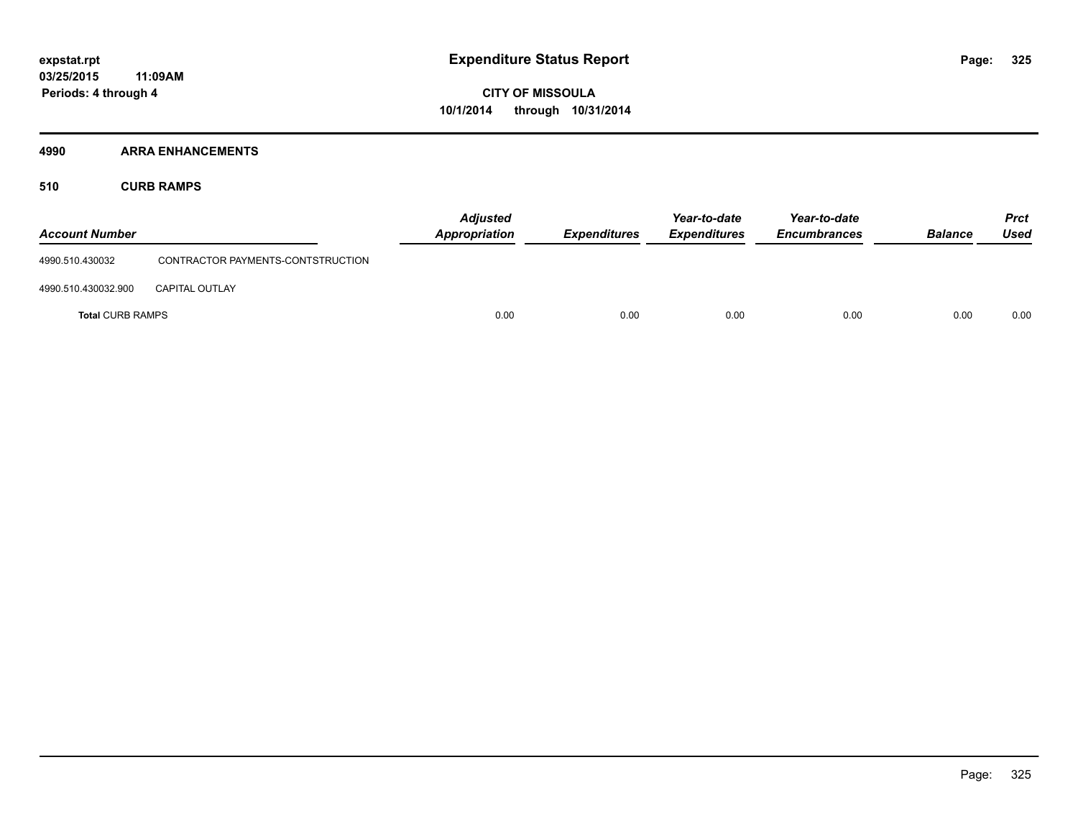#### **4990 ARRA ENHANCEMENTS**

**510 CURB RAMPS**

| <b>Account Number</b>   |                                   | <b>Adjusted</b><br><b>Appropriation</b> | <b>Expenditures</b> | Year-to-date<br><b>Expenditures</b> | Year-to-date<br><b>Encumbrances</b> | <b>Balance</b> | <b>Prct</b><br><b>Used</b> |
|-------------------------|-----------------------------------|-----------------------------------------|---------------------|-------------------------------------|-------------------------------------|----------------|----------------------------|
| 4990.510.430032         | CONTRACTOR PAYMENTS-CONTSTRUCTION |                                         |                     |                                     |                                     |                |                            |
| 4990.510.430032.900     | <b>CAPITAL OUTLAY</b>             |                                         |                     |                                     |                                     |                |                            |
| <b>Total CURB RAMPS</b> |                                   | 0.00                                    | 0.00                | 0.00                                | 0.00                                | 0.00           | 0.00                       |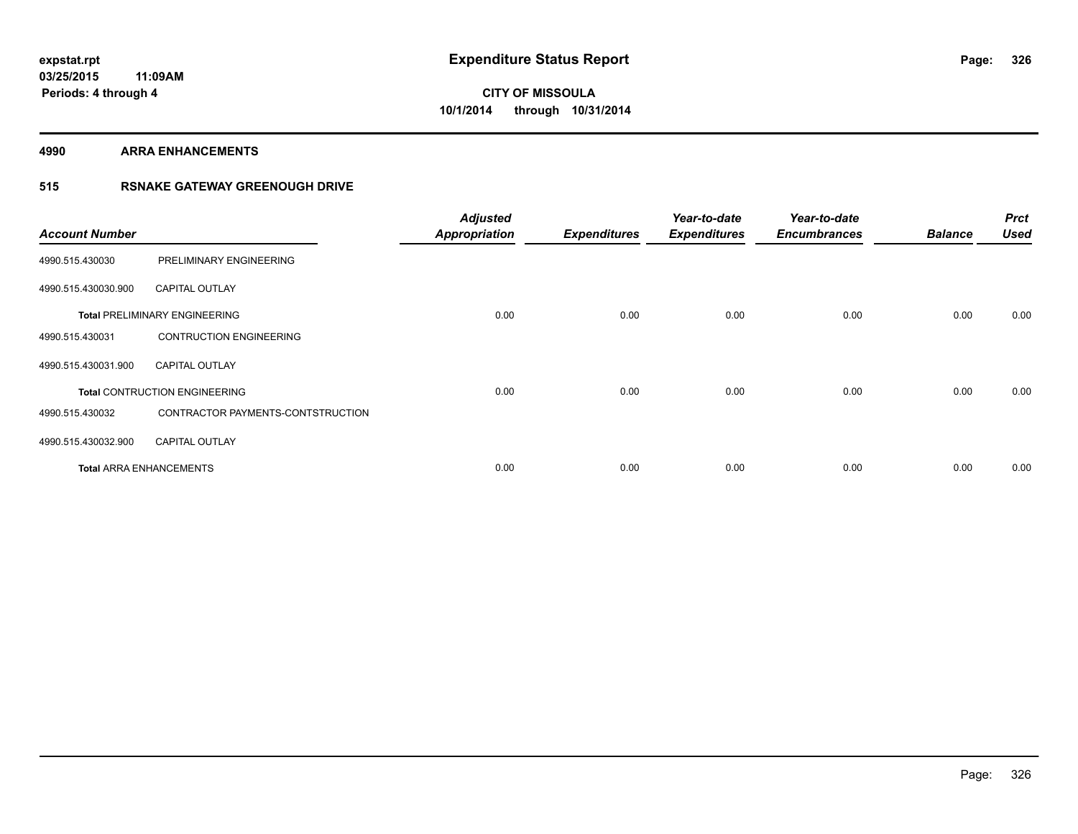#### **4990 ARRA ENHANCEMENTS**

### **515 RSNAKE GATEWAY GREENOUGH DRIVE**

| <b>Account Number</b> |                                      | <b>Adjusted</b><br><b>Appropriation</b> | <b>Expenditures</b> | Year-to-date<br><b>Expenditures</b> | Year-to-date<br><b>Encumbrances</b> | <b>Balance</b> | <b>Prct</b><br><b>Used</b> |
|-----------------------|--------------------------------------|-----------------------------------------|---------------------|-------------------------------------|-------------------------------------|----------------|----------------------------|
| 4990.515.430030       | PRELIMINARY ENGINEERING              |                                         |                     |                                     |                                     |                |                            |
| 4990.515.430030.900   | <b>CAPITAL OUTLAY</b>                |                                         |                     |                                     |                                     |                |                            |
|                       | <b>Total PRELIMINARY ENGINEERING</b> | 0.00                                    | 0.00                | 0.00                                | 0.00                                | 0.00           | 0.00                       |
| 4990.515.430031       | <b>CONTRUCTION ENGINEERING</b>       |                                         |                     |                                     |                                     |                |                            |
| 4990.515.430031.900   | <b>CAPITAL OUTLAY</b>                |                                         |                     |                                     |                                     |                |                            |
|                       | <b>Total CONTRUCTION ENGINEERING</b> | 0.00                                    | 0.00                | 0.00                                | 0.00                                | 0.00           | 0.00                       |
| 4990.515.430032       | CONTRACTOR PAYMENTS-CONTSTRUCTION    |                                         |                     |                                     |                                     |                |                            |
| 4990.515.430032.900   | <b>CAPITAL OUTLAY</b>                |                                         |                     |                                     |                                     |                |                            |
|                       | <b>Total ARRA ENHANCEMENTS</b>       | 0.00                                    | 0.00                | 0.00                                | 0.00                                | 0.00           | 0.00                       |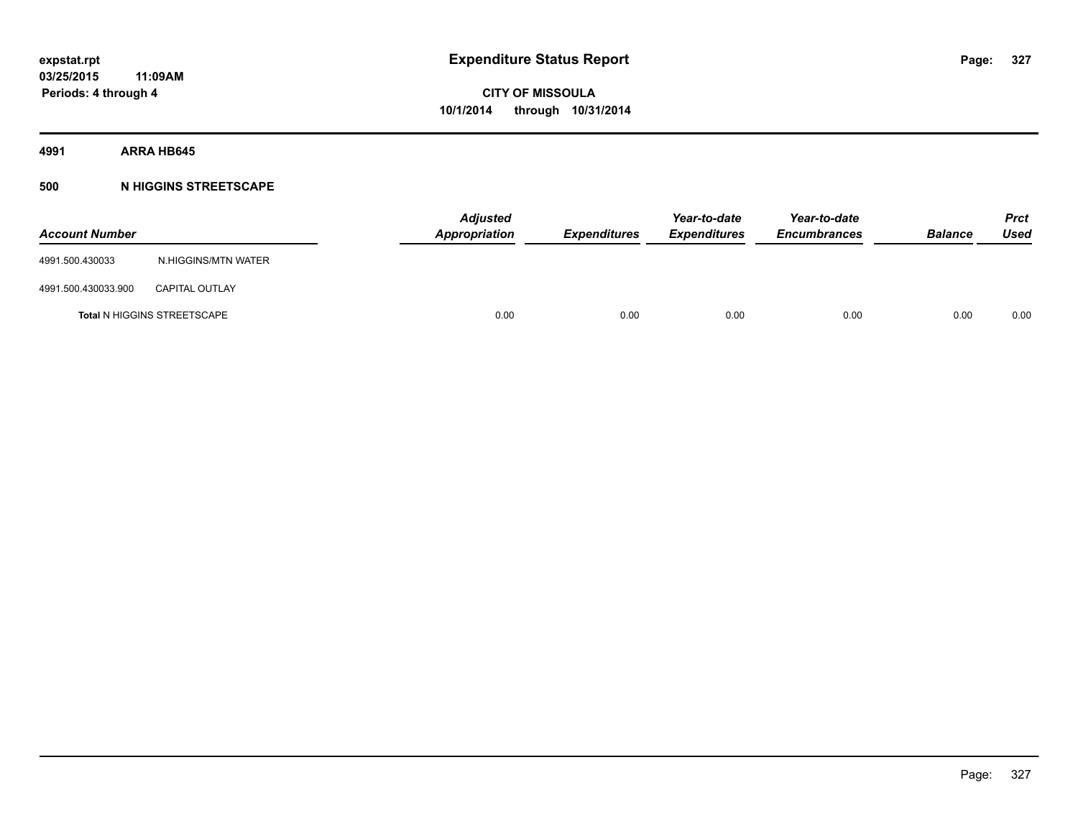#### **4991 ARRA HB645**

#### **500 N HIGGINS STREETSCAPE**

| <b>Account Number</b> |                                    | <b>Adjusted</b><br>Appropriation | <b>Expenditures</b> | Year-to-date<br><b>Expenditures</b> | Year-to-date<br><b>Encumbrances</b> | <b>Balance</b> | <b>Prct</b><br>Used |
|-----------------------|------------------------------------|----------------------------------|---------------------|-------------------------------------|-------------------------------------|----------------|---------------------|
| 4991.500.430033       | N.HIGGINS/MTN WATER                |                                  |                     |                                     |                                     |                |                     |
| 4991.500.430033.900   | <b>CAPITAL OUTLAY</b>              |                                  |                     |                                     |                                     |                |                     |
|                       | <b>Total N HIGGINS STREETSCAPE</b> | 0.00                             | 0.00                | 0.00                                | 0.00                                | 0.00           | 0.00                |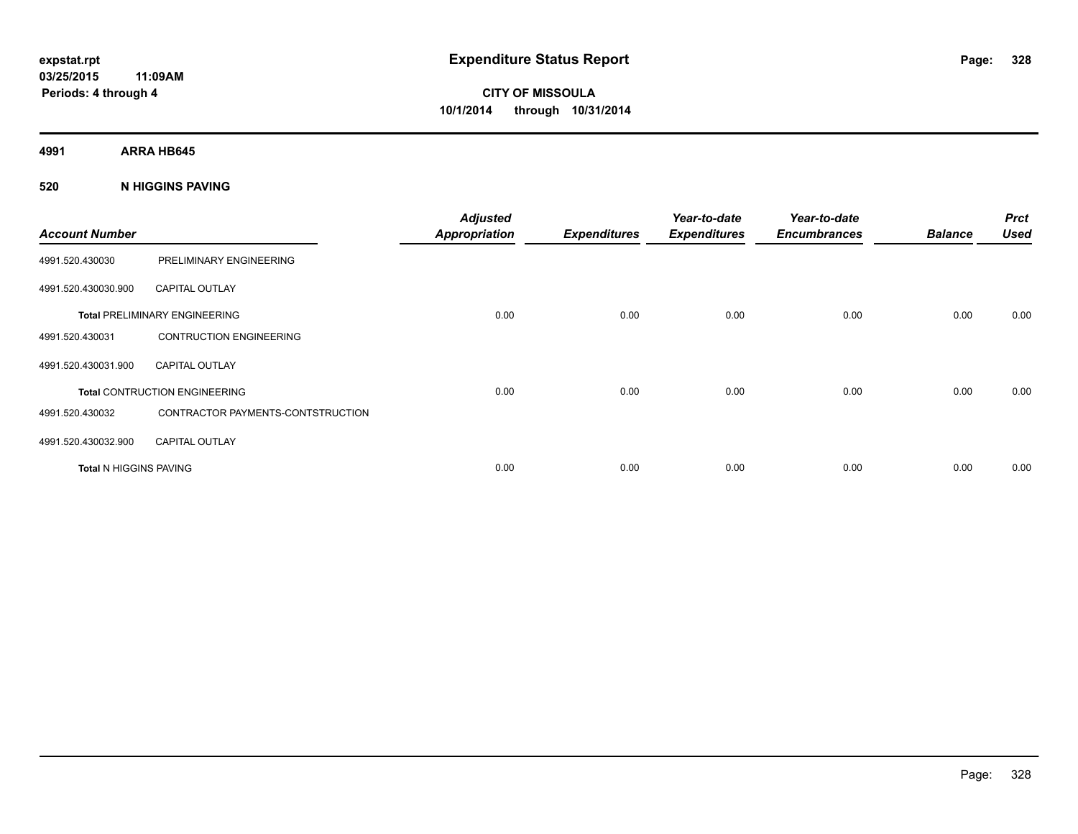**4991 ARRA HB645**

#### **520 N HIGGINS PAVING**

| <b>Account Number</b>  |                                      | <b>Adjusted</b><br><b>Appropriation</b> | <b>Expenditures</b> | Year-to-date<br><b>Expenditures</b> | Year-to-date<br><b>Encumbrances</b> | <b>Balance</b> | <b>Prct</b><br><b>Used</b> |
|------------------------|--------------------------------------|-----------------------------------------|---------------------|-------------------------------------|-------------------------------------|----------------|----------------------------|
| 4991.520.430030        | PRELIMINARY ENGINEERING              |                                         |                     |                                     |                                     |                |                            |
| 4991.520.430030.900    | <b>CAPITAL OUTLAY</b>                |                                         |                     |                                     |                                     |                |                            |
|                        | <b>Total PRELIMINARY ENGINEERING</b> | 0.00                                    | 0.00                | 0.00                                | 0.00                                | 0.00           | 0.00                       |
| 4991.520.430031        | <b>CONTRUCTION ENGINEERING</b>       |                                         |                     |                                     |                                     |                |                            |
| 4991.520.430031.900    | <b>CAPITAL OUTLAY</b>                |                                         |                     |                                     |                                     |                |                            |
|                        | <b>Total CONTRUCTION ENGINEERING</b> | 0.00                                    | 0.00                | 0.00                                | 0.00                                | 0.00           | 0.00                       |
| 4991.520.430032        | CONTRACTOR PAYMENTS-CONTSTRUCTION    |                                         |                     |                                     |                                     |                |                            |
| 4991.520.430032.900    | <b>CAPITAL OUTLAY</b>                |                                         |                     |                                     |                                     |                |                            |
| Total N HIGGINS PAVING |                                      | 0.00                                    | 0.00                | 0.00                                | 0.00                                | 0.00           | 0.00                       |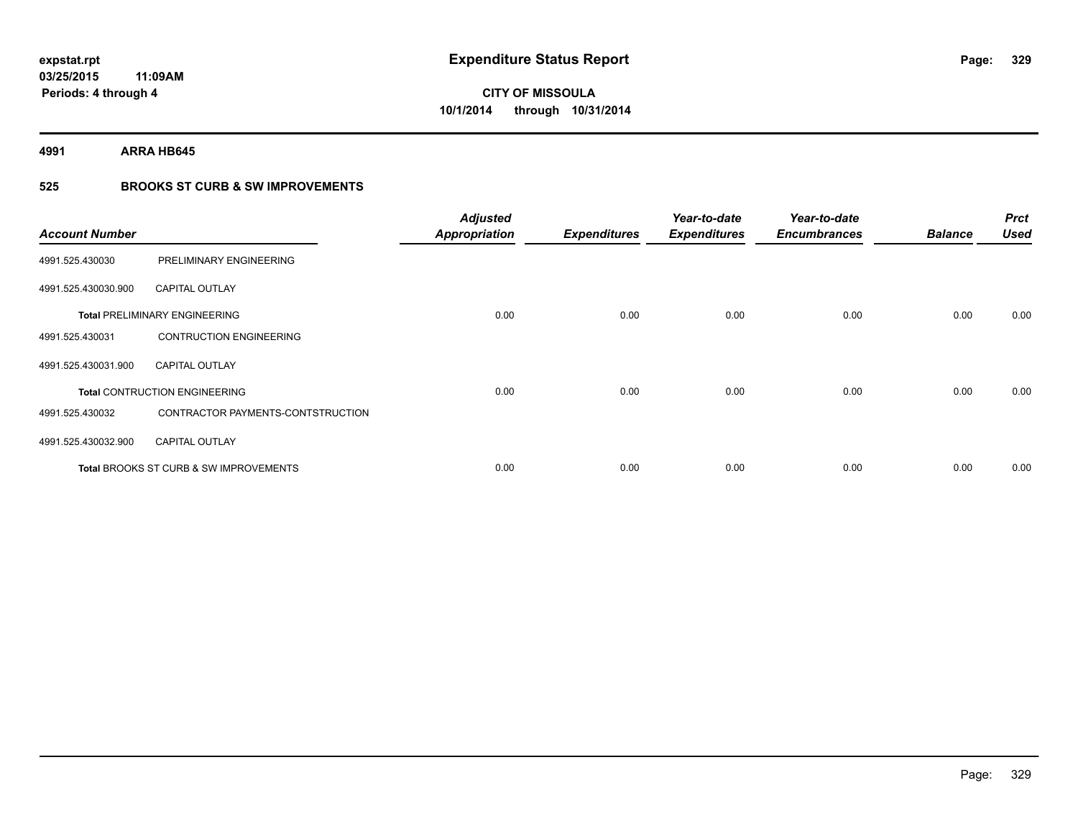**4991 ARRA HB645**

### **525 BROOKS ST CURB & SW IMPROVEMENTS**

| <b>Account Number</b> |                                                   | <b>Adjusted</b><br><b>Appropriation</b> | <b>Expenditures</b> | Year-to-date<br><b>Expenditures</b> | Year-to-date<br><b>Encumbrances</b> | <b>Balance</b> | <b>Prct</b><br><b>Used</b> |
|-----------------------|---------------------------------------------------|-----------------------------------------|---------------------|-------------------------------------|-------------------------------------|----------------|----------------------------|
| 4991.525.430030       | PRELIMINARY ENGINEERING                           |                                         |                     |                                     |                                     |                |                            |
| 4991.525.430030.900   | <b>CAPITAL OUTLAY</b>                             |                                         |                     |                                     |                                     |                |                            |
|                       | <b>Total PRELIMINARY ENGINEERING</b>              | 0.00                                    | 0.00                | 0.00                                | 0.00                                | 0.00           | 0.00                       |
| 4991.525.430031       | <b>CONTRUCTION ENGINEERING</b>                    |                                         |                     |                                     |                                     |                |                            |
| 4991.525.430031.900   | <b>CAPITAL OUTLAY</b>                             |                                         |                     |                                     |                                     |                |                            |
|                       | <b>Total CONTRUCTION ENGINEERING</b>              | 0.00                                    | 0.00                | 0.00                                | 0.00                                | 0.00           | 0.00                       |
| 4991.525.430032       | CONTRACTOR PAYMENTS-CONTSTRUCTION                 |                                         |                     |                                     |                                     |                |                            |
| 4991.525.430032.900   | <b>CAPITAL OUTLAY</b>                             |                                         |                     |                                     |                                     |                |                            |
|                       | <b>Total BROOKS ST CURB &amp; SW IMPROVEMENTS</b> | 0.00                                    | 0.00                | 0.00                                | 0.00                                | 0.00           | 0.00                       |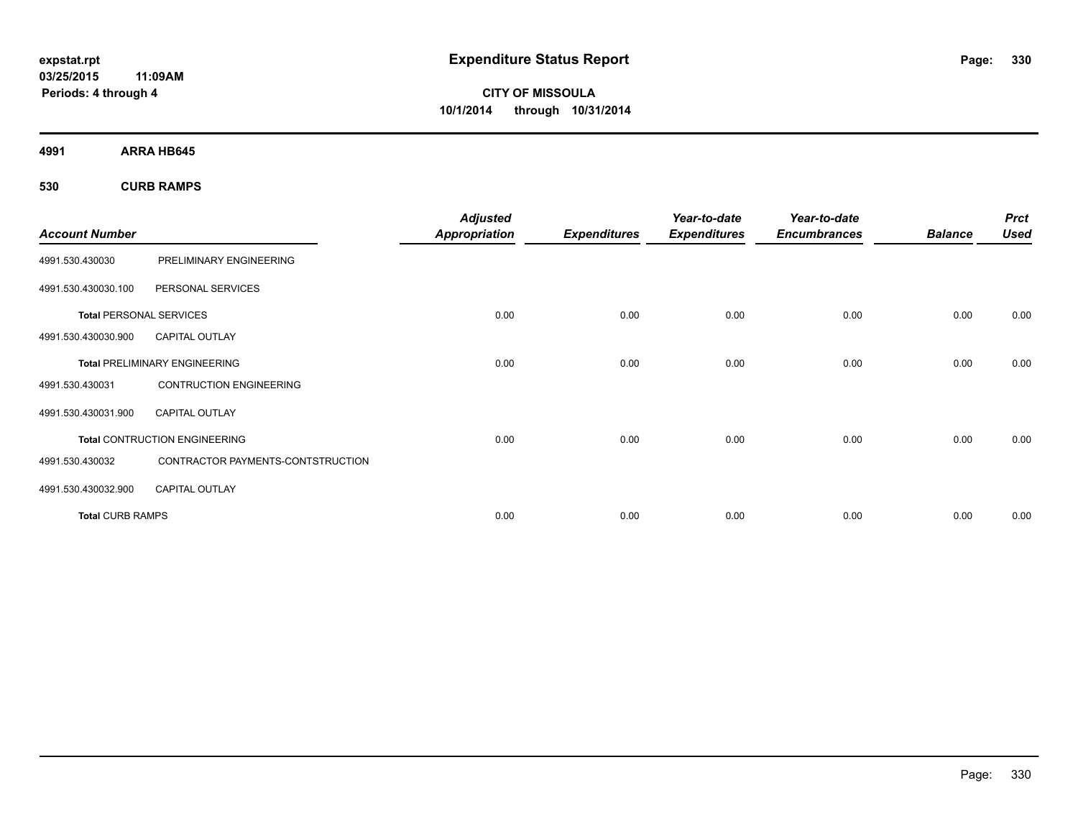**CITY OF MISSOULA 10/1/2014 through 10/31/2014**

**4991 ARRA HB645**

**530 CURB RAMPS**

|                                |                                      | <b>Adjusted</b>      |                     | Year-to-date        | Year-to-date        |                | <b>Prct</b> |
|--------------------------------|--------------------------------------|----------------------|---------------------|---------------------|---------------------|----------------|-------------|
| <b>Account Number</b>          |                                      | <b>Appropriation</b> | <b>Expenditures</b> | <b>Expenditures</b> | <b>Encumbrances</b> | <b>Balance</b> | <b>Used</b> |
| 4991.530.430030                | PRELIMINARY ENGINEERING              |                      |                     |                     |                     |                |             |
| 4991.530.430030.100            | PERSONAL SERVICES                    |                      |                     |                     |                     |                |             |
| <b>Total PERSONAL SERVICES</b> |                                      | 0.00                 | 0.00                | 0.00                | 0.00                | 0.00           | 0.00        |
| 4991.530.430030.900            | <b>CAPITAL OUTLAY</b>                |                      |                     |                     |                     |                |             |
|                                | <b>Total PRELIMINARY ENGINEERING</b> | 0.00                 | 0.00                | 0.00                | 0.00                | 0.00           | 0.00        |
| 4991.530.430031                | <b>CONTRUCTION ENGINEERING</b>       |                      |                     |                     |                     |                |             |
| 4991.530.430031.900            | <b>CAPITAL OUTLAY</b>                |                      |                     |                     |                     |                |             |
|                                | <b>Total CONTRUCTION ENGINEERING</b> | 0.00                 | 0.00                | 0.00                | 0.00                | 0.00           | 0.00        |
| 4991.530.430032                | CONTRACTOR PAYMENTS-CONTSTRUCTION    |                      |                     |                     |                     |                |             |
| 4991.530.430032.900            | <b>CAPITAL OUTLAY</b>                |                      |                     |                     |                     |                |             |
| <b>Total CURB RAMPS</b>        |                                      | 0.00                 | 0.00                | 0.00                | 0.00                | 0.00           | 0.00        |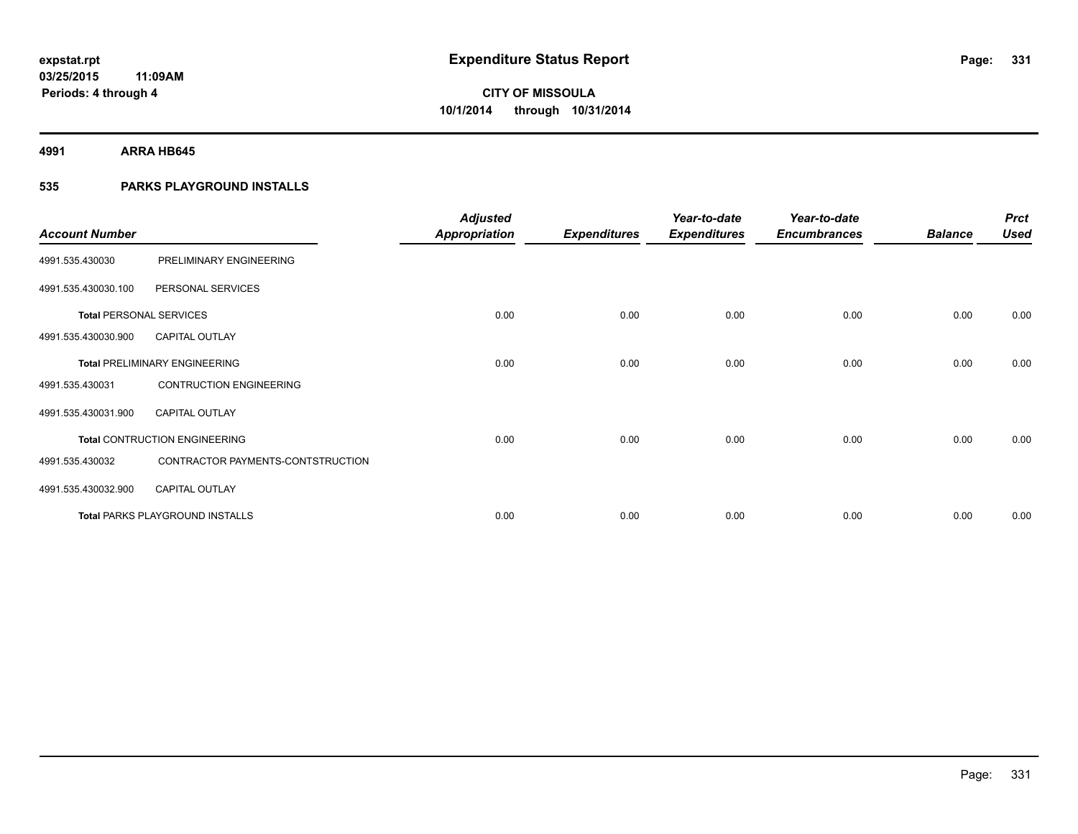**4991 ARRA HB645**

### **535 PARKS PLAYGROUND INSTALLS**

| <b>Account Number</b>          |                                        | <b>Adjusted</b><br><b>Appropriation</b> | <b>Expenditures</b> | Year-to-date<br><b>Expenditures</b> | Year-to-date<br><b>Encumbrances</b> | <b>Balance</b> | <b>Prct</b><br><b>Used</b> |
|--------------------------------|----------------------------------------|-----------------------------------------|---------------------|-------------------------------------|-------------------------------------|----------------|----------------------------|
| 4991.535.430030                | PRELIMINARY ENGINEERING                |                                         |                     |                                     |                                     |                |                            |
| 4991.535.430030.100            | PERSONAL SERVICES                      |                                         |                     |                                     |                                     |                |                            |
| <b>Total PERSONAL SERVICES</b> |                                        | 0.00                                    | 0.00                | 0.00                                | 0.00                                | 0.00           | 0.00                       |
| 4991.535.430030.900            | <b>CAPITAL OUTLAY</b>                  |                                         |                     |                                     |                                     |                |                            |
|                                | <b>Total PRELIMINARY ENGINEERING</b>   | 0.00                                    | 0.00                | 0.00                                | 0.00                                | 0.00           | 0.00                       |
| 4991.535.430031                | <b>CONTRUCTION ENGINEERING</b>         |                                         |                     |                                     |                                     |                |                            |
| 4991.535.430031.900            | <b>CAPITAL OUTLAY</b>                  |                                         |                     |                                     |                                     |                |                            |
|                                | <b>Total CONTRUCTION ENGINEERING</b>   | 0.00                                    | 0.00                | 0.00                                | 0.00                                | 0.00           | 0.00                       |
| 4991.535.430032                | CONTRACTOR PAYMENTS-CONTSTRUCTION      |                                         |                     |                                     |                                     |                |                            |
| 4991.535.430032.900            | <b>CAPITAL OUTLAY</b>                  |                                         |                     |                                     |                                     |                |                            |
|                                | <b>Total PARKS PLAYGROUND INSTALLS</b> | 0.00                                    | 0.00                | 0.00                                | 0.00                                | 0.00           | 0.00                       |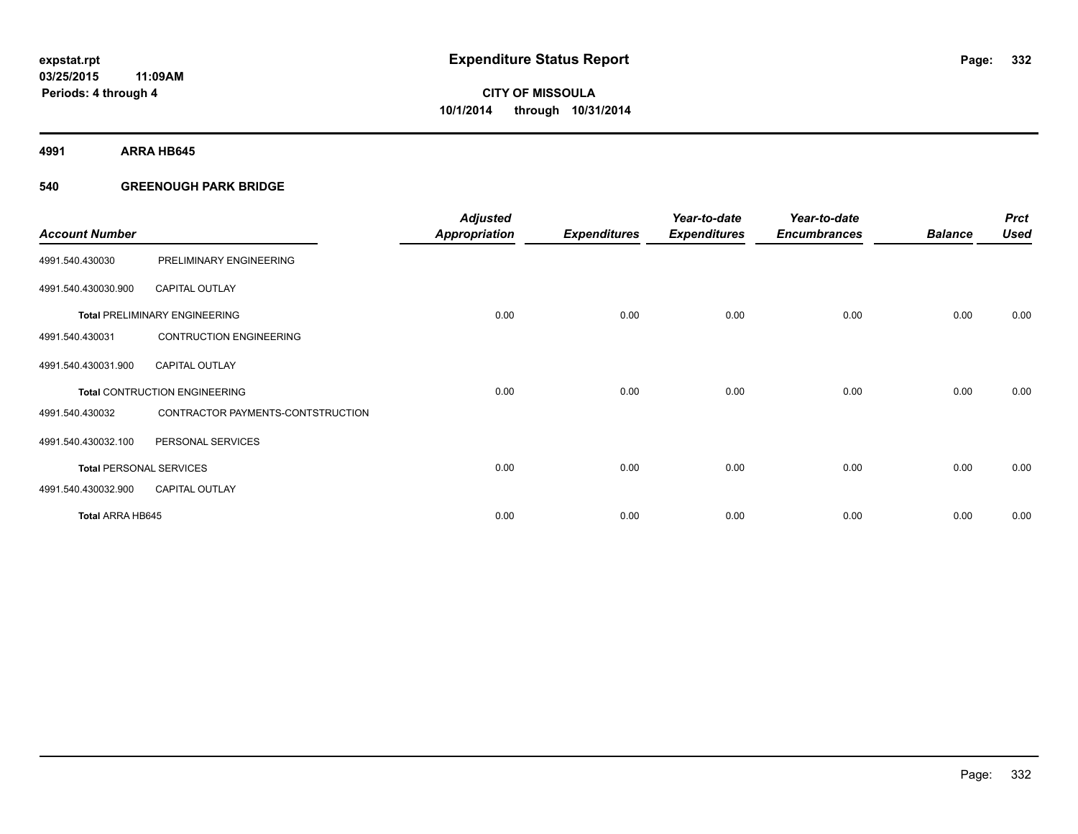**4991 ARRA HB645**

#### **540 GREENOUGH PARK BRIDGE**

| <b>Account Number</b>          |                                      | <b>Adjusted</b><br><b>Appropriation</b> | <b>Expenditures</b> | Year-to-date<br><b>Expenditures</b> | Year-to-date<br><b>Encumbrances</b> | <b>Balance</b> | <b>Prct</b><br><b>Used</b> |
|--------------------------------|--------------------------------------|-----------------------------------------|---------------------|-------------------------------------|-------------------------------------|----------------|----------------------------|
| 4991.540.430030                | PRELIMINARY ENGINEERING              |                                         |                     |                                     |                                     |                |                            |
| 4991.540.430030.900            | <b>CAPITAL OUTLAY</b>                |                                         |                     |                                     |                                     |                |                            |
|                                | <b>Total PRELIMINARY ENGINEERING</b> | 0.00                                    | 0.00                | 0.00                                | 0.00                                | 0.00           | 0.00                       |
| 4991.540.430031                | <b>CONTRUCTION ENGINEERING</b>       |                                         |                     |                                     |                                     |                |                            |
| 4991.540.430031.900            | <b>CAPITAL OUTLAY</b>                |                                         |                     |                                     |                                     |                |                            |
|                                | <b>Total CONTRUCTION ENGINEERING</b> | 0.00                                    | 0.00                | 0.00                                | 0.00                                | 0.00           | 0.00                       |
| 4991.540.430032                | CONTRACTOR PAYMENTS-CONTSTRUCTION    |                                         |                     |                                     |                                     |                |                            |
| 4991.540.430032.100            | PERSONAL SERVICES                    |                                         |                     |                                     |                                     |                |                            |
| <b>Total PERSONAL SERVICES</b> |                                      | 0.00                                    | 0.00                | 0.00                                | 0.00                                | 0.00           | 0.00                       |
| 4991.540.430032.900            | <b>CAPITAL OUTLAY</b>                |                                         |                     |                                     |                                     |                |                            |
| Total ARRA HB645               |                                      | 0.00                                    | 0.00                | 0.00                                | 0.00                                | 0.00           | 0.00                       |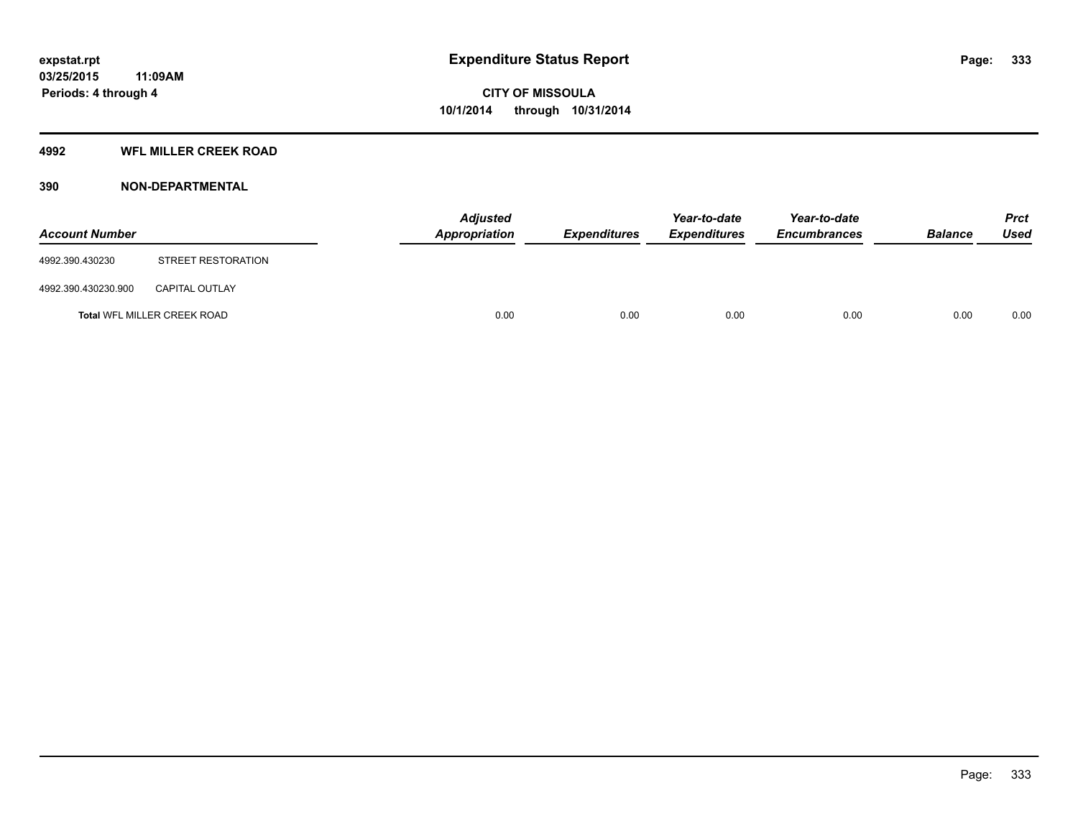### **4992 WFL MILLER CREEK ROAD**

#### **390 NON-DEPARTMENTAL**

| <b>Account Number</b> |                             | Appropriation | <b>Adjusted</b> | <b>Expenditures</b> | Year-to-date<br><b>Expenditures</b> | Year-to-date<br><b>Encumbrances</b> | <b>Balance</b> | <b>Prct</b><br><b>Used</b> |
|-----------------------|-----------------------------|---------------|-----------------|---------------------|-------------------------------------|-------------------------------------|----------------|----------------------------|
| 4992.390.430230       | STREET RESTORATION          |               |                 |                     |                                     |                                     |                |                            |
| 4992.390.430230.900   | <b>CAPITAL OUTLAY</b>       |               |                 |                     |                                     |                                     |                |                            |
|                       | Total WFL MILLER CREEK ROAD |               | 0.00            | 0.00                | 0.00                                | 0.00                                | 0.00           | 0.00                       |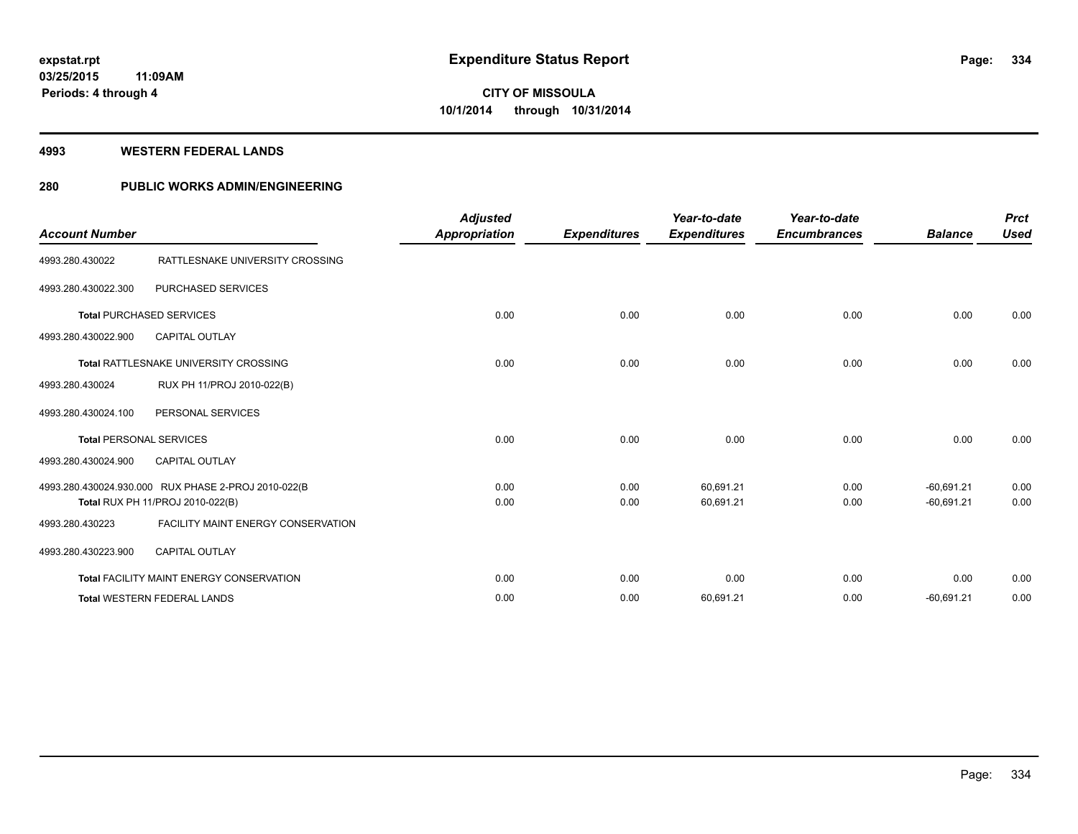#### **4993 WESTERN FEDERAL LANDS**

### **280 PUBLIC WORKS ADMIN/ENGINEERING**

| <b>Account Number</b>          |                                                                                         | <b>Adjusted</b><br>Appropriation | <b>Expenditures</b> | Year-to-date<br><b>Expenditures</b> | Year-to-date<br><b>Encumbrances</b> | <b>Balance</b>               | <b>Prct</b><br><b>Used</b> |
|--------------------------------|-----------------------------------------------------------------------------------------|----------------------------------|---------------------|-------------------------------------|-------------------------------------|------------------------------|----------------------------|
| 4993.280.430022                | RATTLESNAKE UNIVERSITY CROSSING                                                         |                                  |                     |                                     |                                     |                              |                            |
| 4993.280.430022.300            | <b>PURCHASED SERVICES</b>                                                               |                                  |                     |                                     |                                     |                              |                            |
|                                | <b>Total PURCHASED SERVICES</b>                                                         | 0.00                             | 0.00                | 0.00                                | 0.00                                | 0.00                         | 0.00                       |
| 4993.280.430022.900            | <b>CAPITAL OUTLAY</b>                                                                   |                                  |                     |                                     |                                     |                              |                            |
|                                | Total RATTLESNAKE UNIVERSITY CROSSING                                                   | 0.00                             | 0.00                | 0.00                                | 0.00                                | 0.00                         | 0.00                       |
| 4993.280.430024                | RUX PH 11/PROJ 2010-022(B)                                                              |                                  |                     |                                     |                                     |                              |                            |
| 4993.280.430024.100            | PERSONAL SERVICES                                                                       |                                  |                     |                                     |                                     |                              |                            |
| <b>Total PERSONAL SERVICES</b> |                                                                                         | 0.00                             | 0.00                | 0.00                                | 0.00                                | 0.00                         | 0.00                       |
| 4993.280.430024.900            | <b>CAPITAL OUTLAY</b>                                                                   |                                  |                     |                                     |                                     |                              |                            |
|                                | 4993.280.430024.930.000 RUX PHASE 2-PROJ 2010-022(B<br>Total RUX PH 11/PROJ 2010-022(B) | 0.00<br>0.00                     | 0.00<br>0.00        | 60,691.21<br>60,691.21              | 0.00<br>0.00                        | $-60,691.21$<br>$-60,691.21$ | 0.00<br>0.00               |
| 4993.280.430223                | <b>FACILITY MAINT ENERGY CONSERVATION</b>                                               |                                  |                     |                                     |                                     |                              |                            |
| 4993.280.430223.900            | <b>CAPITAL OUTLAY</b>                                                                   |                                  |                     |                                     |                                     |                              |                            |
|                                | <b>Total FACILITY MAINT ENERGY CONSERVATION</b>                                         | 0.00                             | 0.00                | 0.00                                | 0.00                                | 0.00                         | 0.00                       |
|                                | <b>Total WESTERN FEDERAL LANDS</b>                                                      | 0.00                             | 0.00                | 60,691.21                           | 0.00                                | $-60,691.21$                 | 0.00                       |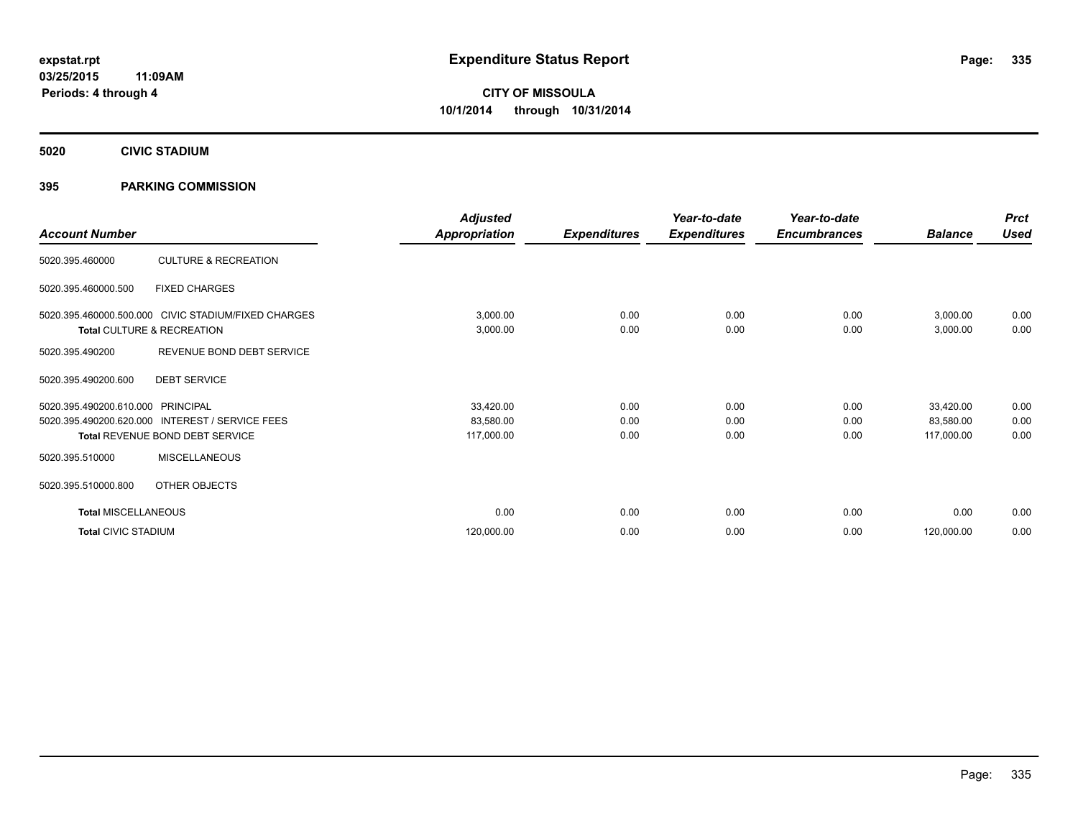**5020 CIVIC STADIUM**

#### **395 PARKING COMMISSION**

| <b>Account Number</b>                                        |                                                                                   | <b>Adjusted</b><br>Appropriation     | <b>Expenditures</b>  | Year-to-date<br><b>Expenditures</b> | Year-to-date<br><b>Encumbrances</b> | <b>Balance</b>                       | <b>Prct</b><br><b>Used</b> |
|--------------------------------------------------------------|-----------------------------------------------------------------------------------|--------------------------------------|----------------------|-------------------------------------|-------------------------------------|--------------------------------------|----------------------------|
| 5020.395.460000                                              | <b>CULTURE &amp; RECREATION</b>                                                   |                                      |                      |                                     |                                     |                                      |                            |
| 5020.395.460000.500                                          | <b>FIXED CHARGES</b>                                                              |                                      |                      |                                     |                                     |                                      |                            |
|                                                              | 5020.395.460000.500.000 CIVIC STADIUM/FIXED CHARGES<br>Total CULTURE & RECREATION | 3,000.00<br>3,000.00                 | 0.00<br>0.00         | 0.00<br>0.00                        | 0.00<br>0.00                        | 3,000.00<br>3,000.00                 | 0.00<br>0.00               |
| 5020.395.490200                                              | REVENUE BOND DEBT SERVICE                                                         |                                      |                      |                                     |                                     |                                      |                            |
| 5020.395.490200.600                                          | <b>DEBT SERVICE</b>                                                               |                                      |                      |                                     |                                     |                                      |                            |
| 5020.395.490200.610.000 PRINCIPAL<br>5020.395.490200.620.000 | <b>INTEREST / SERVICE FEES</b><br>Total REVENUE BOND DEBT SERVICE                 | 33,420.00<br>83,580.00<br>117,000.00 | 0.00<br>0.00<br>0.00 | 0.00<br>0.00<br>0.00                | 0.00<br>0.00<br>0.00                | 33,420.00<br>83,580.00<br>117,000.00 | 0.00<br>0.00<br>0.00       |
| 5020.395.510000                                              | <b>MISCELLANEOUS</b>                                                              |                                      |                      |                                     |                                     |                                      |                            |
| 5020.395.510000.800                                          | OTHER OBJECTS                                                                     |                                      |                      |                                     |                                     |                                      |                            |
| <b>Total MISCELLANEOUS</b>                                   |                                                                                   | 0.00                                 | 0.00                 | 0.00                                | 0.00                                | 0.00                                 | 0.00                       |
| <b>Total CIVIC STADIUM</b>                                   |                                                                                   | 120,000.00                           | 0.00                 | 0.00                                | 0.00                                | 120,000.00                           | 0.00                       |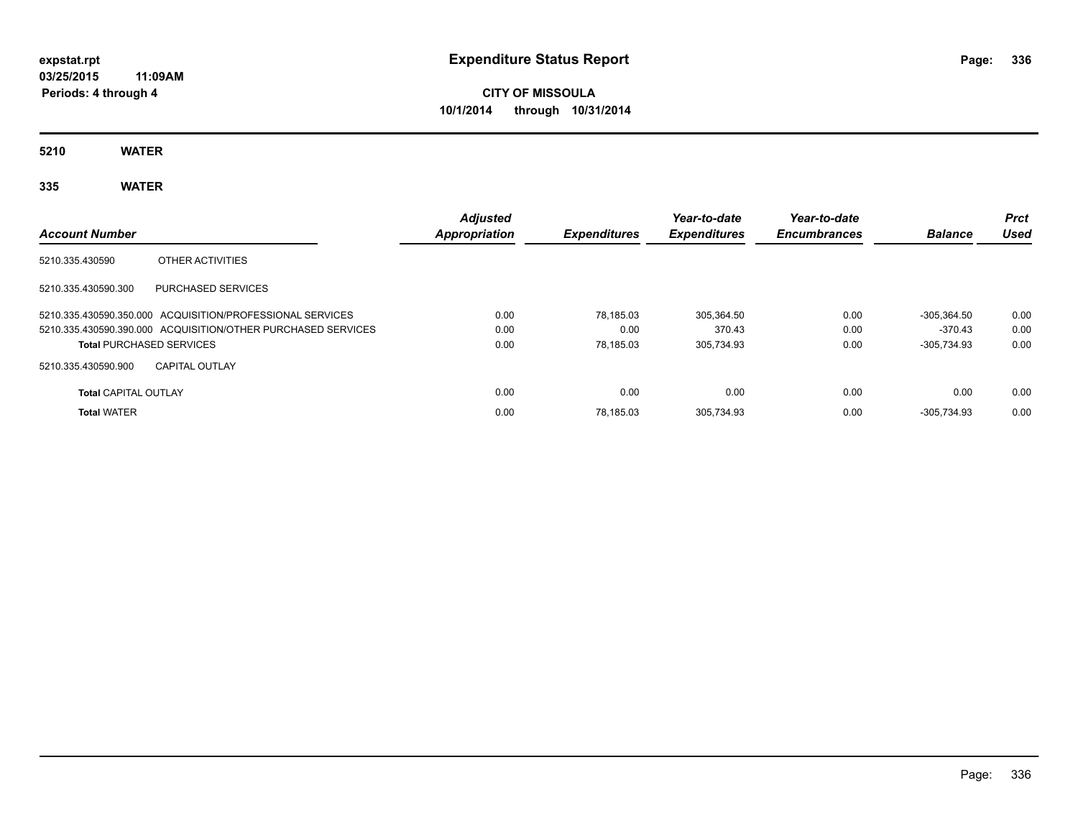# **CITY OF MISSOULA 10/1/2014 through 10/31/2014**

**5210 WATER**

## **335 WATER**

| <b>Account Number</b>           |                                                              | <b>Adjusted</b><br>Appropriation | <b>Expenditures</b> | Year-to-date<br><b>Expenditures</b> | Year-to-date<br><b>Encumbrances</b> | <b>Balance</b> | <b>Prct</b><br>Used |
|---------------------------------|--------------------------------------------------------------|----------------------------------|---------------------|-------------------------------------|-------------------------------------|----------------|---------------------|
| 5210.335.430590                 | OTHER ACTIVITIES                                             |                                  |                     |                                     |                                     |                |                     |
| 5210.335.430590.300             | <b>PURCHASED SERVICES</b>                                    |                                  |                     |                                     |                                     |                |                     |
|                                 | 5210.335.430590.350.000 ACQUISITION/PROFESSIONAL SERVICES    | 0.00                             | 78.185.03           | 305.364.50                          | 0.00                                | $-305.364.50$  | 0.00                |
|                                 | 5210.335.430590.390.000 ACQUISITION/OTHER PURCHASED SERVICES | 0.00                             | 0.00                | 370.43                              | 0.00                                | $-370.43$      | 0.00                |
| <b>Total PURCHASED SERVICES</b> |                                                              | 0.00                             | 78.185.03           | 305.734.93                          | 0.00                                | $-305.734.93$  | 0.00                |
| 5210.335.430590.900             | <b>CAPITAL OUTLAY</b>                                        |                                  |                     |                                     |                                     |                |                     |
| <b>Total CAPITAL OUTLAY</b>     |                                                              | 0.00                             | 0.00                | 0.00                                | 0.00                                | 0.00           | 0.00                |
| <b>Total WATER</b>              |                                                              | 0.00                             | 78.185.03           | 305.734.93                          | 0.00                                | $-305.734.93$  | 0.00                |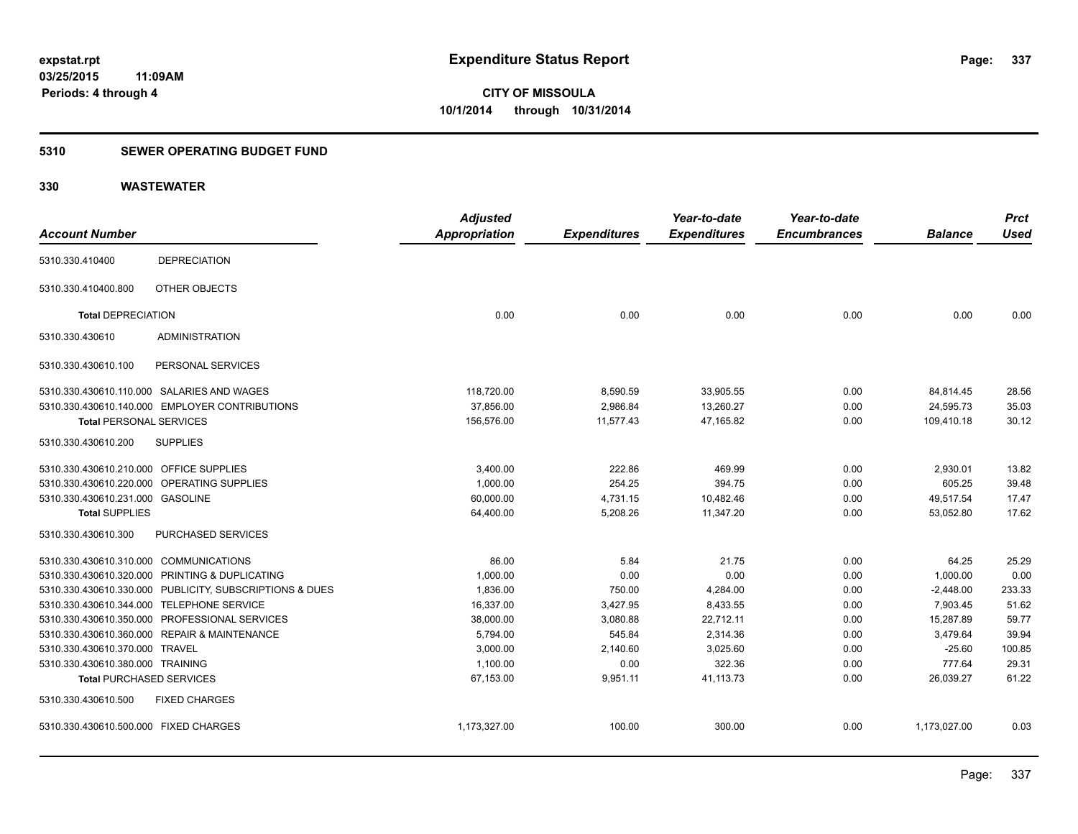#### **5310 SEWER OPERATING BUDGET FUND**

|                                         |                                                         | <b>Adjusted</b>      |                     | Year-to-date        | Year-to-date        |                | <b>Prct</b> |
|-----------------------------------------|---------------------------------------------------------|----------------------|---------------------|---------------------|---------------------|----------------|-------------|
| <b>Account Number</b>                   |                                                         | <b>Appropriation</b> | <b>Expenditures</b> | <b>Expenditures</b> | <b>Encumbrances</b> | <b>Balance</b> | <b>Used</b> |
| 5310.330.410400                         | <b>DEPRECIATION</b>                                     |                      |                     |                     |                     |                |             |
| 5310.330.410400.800                     | OTHER OBJECTS                                           |                      |                     |                     |                     |                |             |
| <b>Total DEPRECIATION</b>               |                                                         | 0.00                 | 0.00                | 0.00                | 0.00                | 0.00           | 0.00        |
| 5310.330.430610                         | <b>ADMINISTRATION</b>                                   |                      |                     |                     |                     |                |             |
| 5310.330.430610.100                     | PERSONAL SERVICES                                       |                      |                     |                     |                     |                |             |
|                                         | 5310.330.430610.110.000 SALARIES AND WAGES              | 118,720.00           | 8,590.59            | 33,905.55           | 0.00                | 84,814.45      | 28.56       |
|                                         | 5310.330.430610.140.000 EMPLOYER CONTRIBUTIONS          | 37.856.00            | 2,986.84            | 13,260.27           | 0.00                | 24,595.73      | 35.03       |
| <b>Total PERSONAL SERVICES</b>          |                                                         | 156,576.00           | 11,577.43           | 47,165.82           | 0.00                | 109,410.18     | 30.12       |
| 5310.330.430610.200                     | <b>SUPPLIES</b>                                         |                      |                     |                     |                     |                |             |
| 5310.330.430610.210.000 OFFICE SUPPLIES |                                                         | 3,400.00             | 222.86              | 469.99              | 0.00                | 2,930.01       | 13.82       |
|                                         | 5310.330.430610.220.000 OPERATING SUPPLIES              | 1,000.00             | 254.25              | 394.75              | 0.00                | 605.25         | 39.48       |
| 5310.330.430610.231.000 GASOLINE        |                                                         | 60,000.00            | 4,731.15            | 10,482.46           | 0.00                | 49,517.54      | 17.47       |
| <b>Total SUPPLIES</b>                   |                                                         | 64,400.00            | 5,208.26            | 11,347.20           | 0.00                | 53,052.80      | 17.62       |
| 5310.330.430610.300                     | <b>PURCHASED SERVICES</b>                               |                      |                     |                     |                     |                |             |
| 5310.330.430610.310.000 COMMUNICATIONS  |                                                         | 86.00                | 5.84                | 21.75               | 0.00                | 64.25          | 25.29       |
|                                         | 5310.330.430610.320.000 PRINTING & DUPLICATING          | 1,000.00             | 0.00                | 0.00                | 0.00                | 1,000.00       | 0.00        |
|                                         | 5310.330.430610.330.000 PUBLICITY, SUBSCRIPTIONS & DUES | 1,836.00             | 750.00              | 4,284.00            | 0.00                | $-2,448.00$    | 233.33      |
|                                         | 5310.330.430610.344.000 TELEPHONE SERVICE               | 16,337.00            | 3,427.95            | 8,433.55            | 0.00                | 7,903.45       | 51.62       |
|                                         | 5310.330.430610.350.000 PROFESSIONAL SERVICES           | 38,000.00            | 3,080.88            | 22,712.11           | 0.00                | 15,287.89      | 59.77       |
|                                         | 5310.330.430610.360.000 REPAIR & MAINTENANCE            | 5,794.00             | 545.84              | 2,314.36            | 0.00                | 3,479.64       | 39.94       |
| 5310.330.430610.370.000 TRAVEL          |                                                         | 3,000.00             | 2,140.60            | 3,025.60            | 0.00                | $-25.60$       | 100.85      |
| 5310.330.430610.380.000 TRAINING        |                                                         | 1,100.00             | 0.00                | 322.36              | 0.00                | 777.64         | 29.31       |
| <b>Total PURCHASED SERVICES</b>         |                                                         | 67,153.00            | 9,951.11            | 41,113.73           | 0.00                | 26,039.27      | 61.22       |
| 5310.330.430610.500                     | <b>FIXED CHARGES</b>                                    |                      |                     |                     |                     |                |             |
| 5310.330.430610.500.000 FIXED CHARGES   |                                                         | 1,173,327.00         | 100.00              | 300.00              | 0.00                | 1,173,027.00   | 0.03        |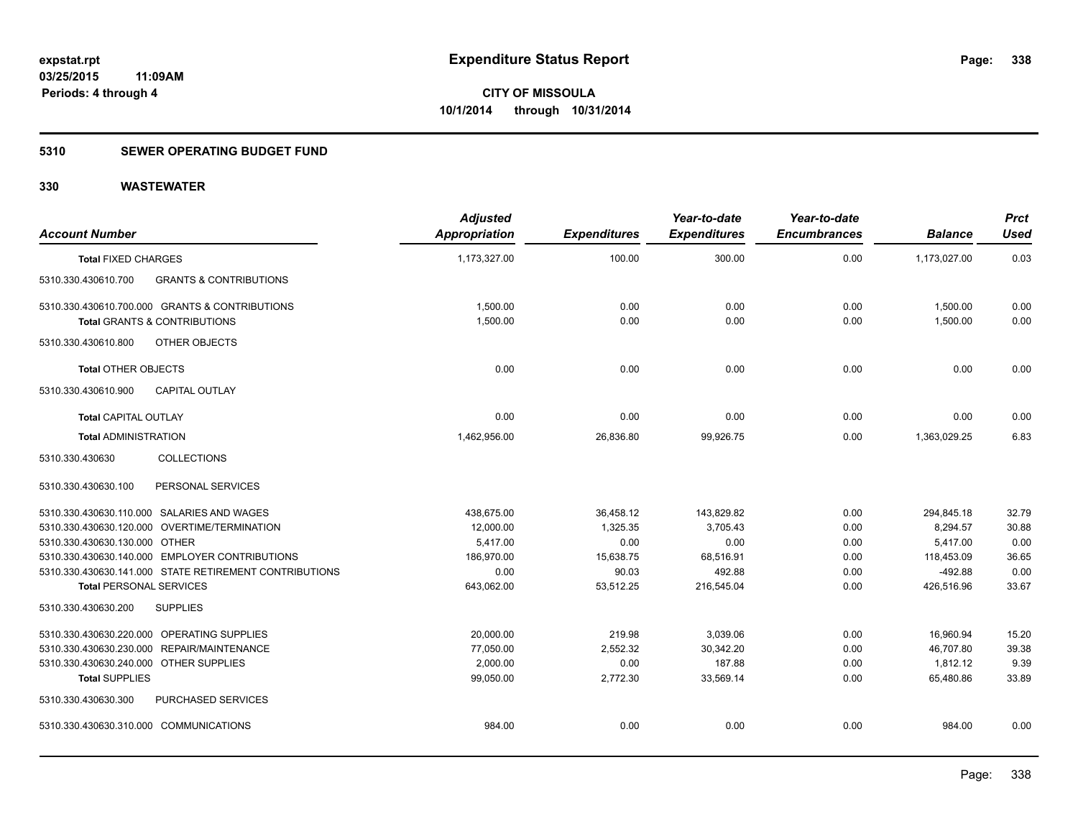#### **5310 SEWER OPERATING BUDGET FUND**

| <b>Account Number</b>                                    | <b>Adjusted</b><br><b>Appropriation</b> | <b>Expenditures</b> | Year-to-date<br><b>Expenditures</b> | Year-to-date<br><b>Encumbrances</b> | <b>Balance</b> | <b>Prct</b><br><b>Used</b> |
|----------------------------------------------------------|-----------------------------------------|---------------------|-------------------------------------|-------------------------------------|----------------|----------------------------|
| <b>Total FIXED CHARGES</b>                               | 1,173,327.00                            | 100.00              | 300.00                              | 0.00                                | 1,173,027.00   | 0.03                       |
| <b>GRANTS &amp; CONTRIBUTIONS</b><br>5310.330.430610.700 |                                         |                     |                                     |                                     |                |                            |
| 5310.330.430610.700.000 GRANTS & CONTRIBUTIONS           | 1,500.00                                | 0.00                | 0.00                                | 0.00                                | 1,500.00       | 0.00                       |
| <b>Total GRANTS &amp; CONTRIBUTIONS</b>                  | 1,500.00                                | 0.00                | 0.00                                | 0.00                                | 1,500.00       | 0.00                       |
| 5310.330.430610.800<br>OTHER OBJECTS                     |                                         |                     |                                     |                                     |                |                            |
| <b>Total OTHER OBJECTS</b>                               | 0.00                                    | 0.00                | 0.00                                | 0.00                                | 0.00           | 0.00                       |
| 5310.330.430610.900<br><b>CAPITAL OUTLAY</b>             |                                         |                     |                                     |                                     |                |                            |
| <b>Total CAPITAL OUTLAY</b>                              | 0.00                                    | 0.00                | 0.00                                | 0.00                                | 0.00           | 0.00                       |
| <b>Total ADMINISTRATION</b>                              | 1,462,956.00                            | 26,836.80           | 99,926.75                           | 0.00                                | 1,363,029.25   | 6.83                       |
| <b>COLLECTIONS</b><br>5310.330.430630                    |                                         |                     |                                     |                                     |                |                            |
| PERSONAL SERVICES<br>5310.330.430630.100                 |                                         |                     |                                     |                                     |                |                            |
| 5310.330.430630.110.000 SALARIES AND WAGES               | 438,675.00                              | 36,458.12           | 143,829.82                          | 0.00                                | 294,845.18     | 32.79                      |
| 5310.330.430630.120.000 OVERTIME/TERMINATION             | 12,000.00                               | 1,325.35            | 3,705.43                            | 0.00                                | 8,294.57       | 30.88                      |
| 5310.330.430630.130.000 OTHER                            | 5,417.00                                | 0.00                | 0.00                                | 0.00                                | 5,417.00       | 0.00                       |
| 5310.330.430630.140.000 EMPLOYER CONTRIBUTIONS           | 186,970.00                              | 15,638.75           | 68,516.91                           | 0.00                                | 118,453.09     | 36.65                      |
| 5310.330.430630.141.000 STATE RETIREMENT CONTRIBUTIONS   | 0.00                                    | 90.03               | 492.88                              | 0.00                                | $-492.88$      | 0.00                       |
| <b>Total PERSONAL SERVICES</b>                           | 643,062.00                              | 53,512.25           | 216,545.04                          | 0.00                                | 426,516.96     | 33.67                      |
| 5310.330.430630.200<br><b>SUPPLIES</b>                   |                                         |                     |                                     |                                     |                |                            |
| 5310.330.430630.220.000 OPERATING SUPPLIES               | 20,000.00                               | 219.98              | 3,039.06                            | 0.00                                | 16,960.94      | 15.20                      |
| 5310.330.430630.230.000 REPAIR/MAINTENANCE               | 77,050.00                               | 2,552.32            | 30,342.20                           | 0.00                                | 46,707.80      | 39.38                      |
| 5310.330.430630.240.000 OTHER SUPPLIES                   | 2,000.00                                | 0.00                | 187.88                              | 0.00                                | 1,812.12       | 9.39                       |
| <b>Total SUPPLIES</b>                                    | 99,050.00                               | 2,772.30            | 33,569.14                           | 0.00                                | 65,480.86      | 33.89                      |
| 5310.330.430630.300<br>PURCHASED SERVICES                |                                         |                     |                                     |                                     |                |                            |
| 5310.330.430630.310.000 COMMUNICATIONS                   | 984.00                                  | 0.00                | 0.00                                | 0.00                                | 984.00         | 0.00                       |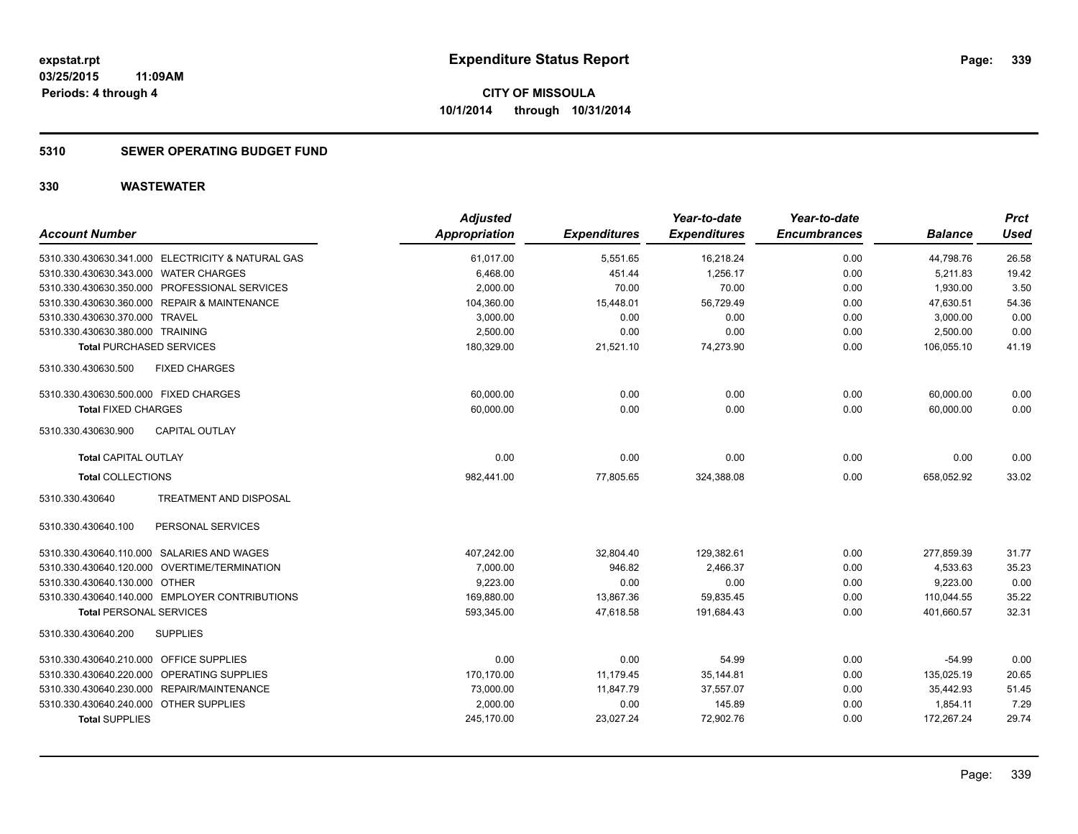#### **5310 SEWER OPERATING BUDGET FUND**

| <b>Account Number</b>                             | <b>Adjusted</b><br><b>Appropriation</b> | <b>Expenditures</b> | Year-to-date<br><b>Expenditures</b> | Year-to-date<br><b>Encumbrances</b> | <b>Balance</b> | <b>Prct</b><br><b>Used</b> |
|---------------------------------------------------|-----------------------------------------|---------------------|-------------------------------------|-------------------------------------|----------------|----------------------------|
| 5310.330.430630.341.000 ELECTRICITY & NATURAL GAS | 61,017.00                               | 5,551.65            | 16,218.24                           | 0.00                                | 44,798.76      | 26.58                      |
| 5310.330.430630.343.000 WATER CHARGES             | 6,468.00                                | 451.44              | 1,256.17                            | 0.00                                | 5,211.83       | 19.42                      |
| 5310.330.430630.350.000 PROFESSIONAL SERVICES     | 2,000.00                                | 70.00               | 70.00                               | 0.00                                | 1,930.00       | 3.50                       |
| 5310.330.430630.360.000 REPAIR & MAINTENANCE      | 104,360.00                              | 15,448.01           | 56,729.49                           | 0.00                                | 47,630.51      | 54.36                      |
| 5310.330.430630.370.000 TRAVEL                    | 3,000.00                                | 0.00                | 0.00                                | 0.00                                | 3,000.00       | 0.00                       |
| 5310.330.430630.380.000 TRAINING                  | 2,500.00                                | 0.00                | 0.00                                | 0.00                                | 2,500.00       | 0.00                       |
| <b>Total PURCHASED SERVICES</b>                   | 180,329.00                              | 21,521.10           | 74,273.90                           | 0.00                                | 106,055.10     | 41.19                      |
| 5310.330.430630.500<br><b>FIXED CHARGES</b>       |                                         |                     |                                     |                                     |                |                            |
| 5310.330.430630.500.000 FIXED CHARGES             | 60,000.00                               | 0.00                | 0.00                                | 0.00                                | 60,000.00      | 0.00                       |
| <b>Total FIXED CHARGES</b>                        | 60,000.00                               | 0.00                | 0.00                                | 0.00                                | 60,000.00      | 0.00                       |
| <b>CAPITAL OUTLAY</b><br>5310.330.430630.900      |                                         |                     |                                     |                                     |                |                            |
| <b>Total CAPITAL OUTLAY</b>                       | 0.00                                    | 0.00                | 0.00                                | 0.00                                | 0.00           | 0.00                       |
| <b>Total COLLECTIONS</b>                          | 982,441.00                              | 77,805.65           | 324,388.08                          | 0.00                                | 658,052.92     | 33.02                      |
| 5310.330.430640<br>TREATMENT AND DISPOSAL         |                                         |                     |                                     |                                     |                |                            |
| 5310.330.430640.100<br>PERSONAL SERVICES          |                                         |                     |                                     |                                     |                |                            |
| 5310.330.430640.110.000 SALARIES AND WAGES        | 407,242.00                              | 32,804.40           | 129,382.61                          | 0.00                                | 277,859.39     | 31.77                      |
| 5310.330.430640.120.000 OVERTIME/TERMINATION      | 7,000.00                                | 946.82              | 2,466.37                            | 0.00                                | 4,533.63       | 35.23                      |
| 5310.330.430640.130.000 OTHER                     | 9,223.00                                | 0.00                | 0.00                                | 0.00                                | 9,223.00       | 0.00                       |
| 5310.330.430640.140.000 EMPLOYER CONTRIBUTIONS    | 169,880.00                              | 13,867.36           | 59,835.45                           | 0.00                                | 110,044.55     | 35.22                      |
| <b>Total PERSONAL SERVICES</b>                    | 593,345.00                              | 47,618.58           | 191,684.43                          | 0.00                                | 401,660.57     | 32.31                      |
| <b>SUPPLIES</b><br>5310.330.430640.200            |                                         |                     |                                     |                                     |                |                            |
| 5310.330.430640.210.000 OFFICE SUPPLIES           | 0.00                                    | 0.00                | 54.99                               | 0.00                                | $-54.99$       | 0.00                       |
| 5310.330.430640.220.000 OPERATING SUPPLIES        | 170,170.00                              | 11,179.45           | 35,144.81                           | 0.00                                | 135,025.19     | 20.65                      |
| 5310.330.430640.230.000 REPAIR/MAINTENANCE        | 73,000.00                               | 11,847.79           | 37,557.07                           | 0.00                                | 35,442.93      | 51.45                      |
| 5310.330.430640.240.000 OTHER SUPPLIES            | 2,000.00                                | 0.00                | 145.89                              | 0.00                                | 1,854.11       | 7.29                       |
| <b>Total SUPPLIES</b>                             | 245,170.00                              | 23,027.24           | 72,902.76                           | 0.00                                | 172,267.24     | 29.74                      |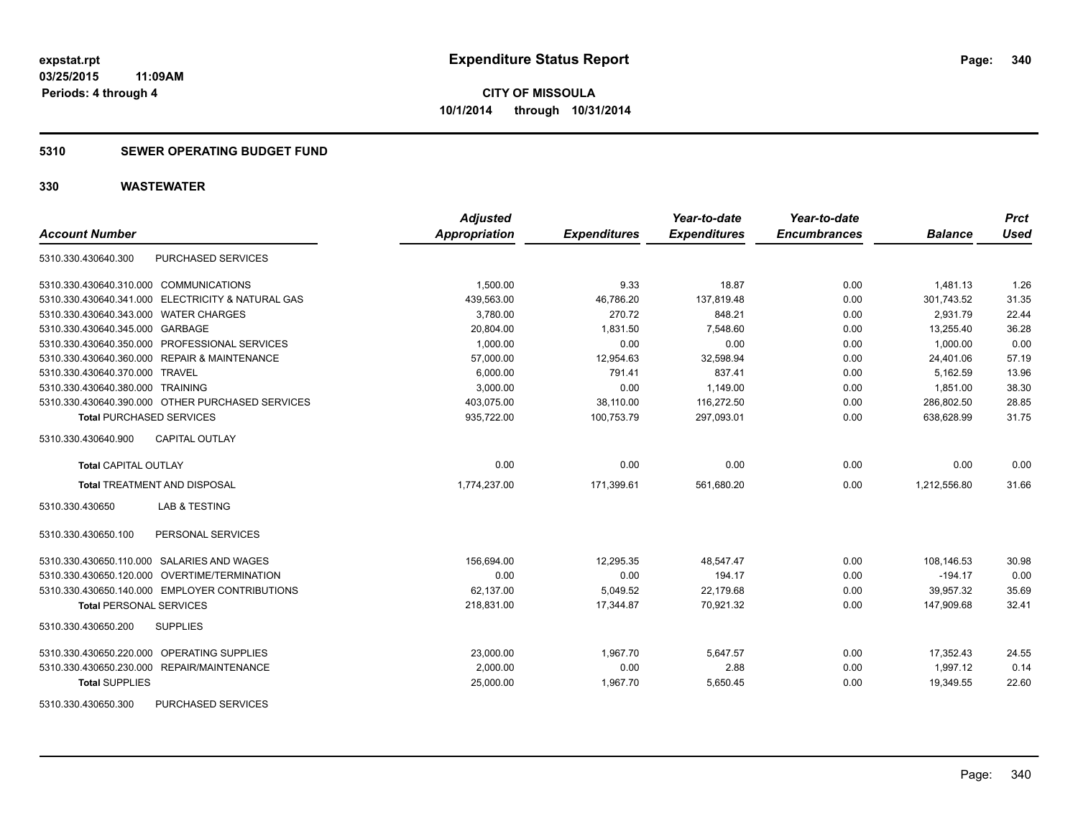#### **5310 SEWER OPERATING BUDGET FUND**

| <b>Account Number</b>                             | <b>Adjusted</b><br><b>Appropriation</b> | <b>Expenditures</b> | Year-to-date<br><b>Expenditures</b> | Year-to-date<br><b>Encumbrances</b> | <b>Balance</b> | <b>Prct</b><br><b>Used</b> |
|---------------------------------------------------|-----------------------------------------|---------------------|-------------------------------------|-------------------------------------|----------------|----------------------------|
|                                                   |                                         |                     |                                     |                                     |                |                            |
| PURCHASED SERVICES<br>5310.330.430640.300         |                                         |                     |                                     |                                     |                |                            |
| 5310.330.430640.310.000 COMMUNICATIONS            | 1,500.00                                | 9.33                | 18.87                               | 0.00                                | 1,481.13       | 1.26                       |
| 5310.330.430640.341.000 ELECTRICITY & NATURAL GAS | 439.563.00                              | 46,786.20           | 137.819.48                          | 0.00                                | 301.743.52     | 31.35                      |
| 5310.330.430640.343.000 WATER CHARGES             | 3,780.00                                | 270.72              | 848.21                              | 0.00                                | 2.931.79       | 22.44                      |
| 5310.330.430640.345.000 GARBAGE                   | 20,804.00                               | 1,831.50            | 7,548.60                            | 0.00                                | 13,255.40      | 36.28                      |
| 5310.330.430640.350.000 PROFESSIONAL SERVICES     | 1,000.00                                | 0.00                | 0.00                                | 0.00                                | 1.000.00       | 0.00                       |
| 5310.330.430640.360.000 REPAIR & MAINTENANCE      | 57,000.00                               | 12,954.63           | 32,598.94                           | 0.00                                | 24,401.06      | 57.19                      |
| 5310.330.430640.370.000 TRAVEL                    | 6.000.00                                | 791.41              | 837.41                              | 0.00                                | 5.162.59       | 13.96                      |
| 5310.330.430640.380.000 TRAINING                  | 3,000.00                                | 0.00                | 1,149.00                            | 0.00                                | 1,851.00       | 38.30                      |
| 5310.330.430640.390.000 OTHER PURCHASED SERVICES  | 403,075.00                              | 38,110.00           | 116,272.50                          | 0.00                                | 286,802.50     | 28.85                      |
| <b>Total PURCHASED SERVICES</b>                   | 935,722.00                              | 100,753.79          | 297,093.01                          | 0.00                                | 638,628.99     | 31.75                      |
| <b>CAPITAL OUTLAY</b><br>5310.330.430640.900      |                                         |                     |                                     |                                     |                |                            |
| <b>Total CAPITAL OUTLAY</b>                       | 0.00                                    | 0.00                | 0.00                                | 0.00                                | 0.00           | 0.00                       |
| <b>Total TREATMENT AND DISPOSAL</b>               | 1,774,237.00                            | 171,399.61          | 561,680.20                          | 0.00                                | 1,212,556.80   | 31.66                      |
| <b>LAB &amp; TESTING</b><br>5310.330.430650       |                                         |                     |                                     |                                     |                |                            |
| 5310.330.430650.100<br>PERSONAL SERVICES          |                                         |                     |                                     |                                     |                |                            |
| 5310.330.430650.110.000 SALARIES AND WAGES        | 156,694.00                              | 12,295.35           | 48,547.47                           | 0.00                                | 108,146.53     | 30.98                      |
| 5310.330.430650.120.000 OVERTIME/TERMINATION      | 0.00                                    | 0.00                | 194.17                              | 0.00                                | $-194.17$      | 0.00                       |
| 5310.330.430650.140.000 EMPLOYER CONTRIBUTIONS    | 62,137.00                               | 5,049.52            | 22,179.68                           | 0.00                                | 39,957.32      | 35.69                      |
| <b>Total PERSONAL SERVICES</b>                    | 218,831.00                              | 17,344.87           | 70,921.32                           | 0.00                                | 147,909.68     | 32.41                      |
| 5310.330.430650.200<br><b>SUPPLIES</b>            |                                         |                     |                                     |                                     |                |                            |
| 5310.330.430650.220.000 OPERATING SUPPLIES        | 23,000.00                               | 1,967.70            | 5,647.57                            | 0.00                                | 17,352.43      | 24.55                      |
| 5310.330.430650.230.000 REPAIR/MAINTENANCE        | 2.000.00                                | 0.00                | 2.88                                | 0.00                                | 1.997.12       | 0.14                       |
| <b>Total SUPPLIES</b>                             | 25,000.00                               | 1,967.70            | 5,650.45                            | 0.00                                | 19,349.55      | 22.60                      |
| <b>PURCHASED SERVICES</b><br>5310.330.430650.300  |                                         |                     |                                     |                                     |                |                            |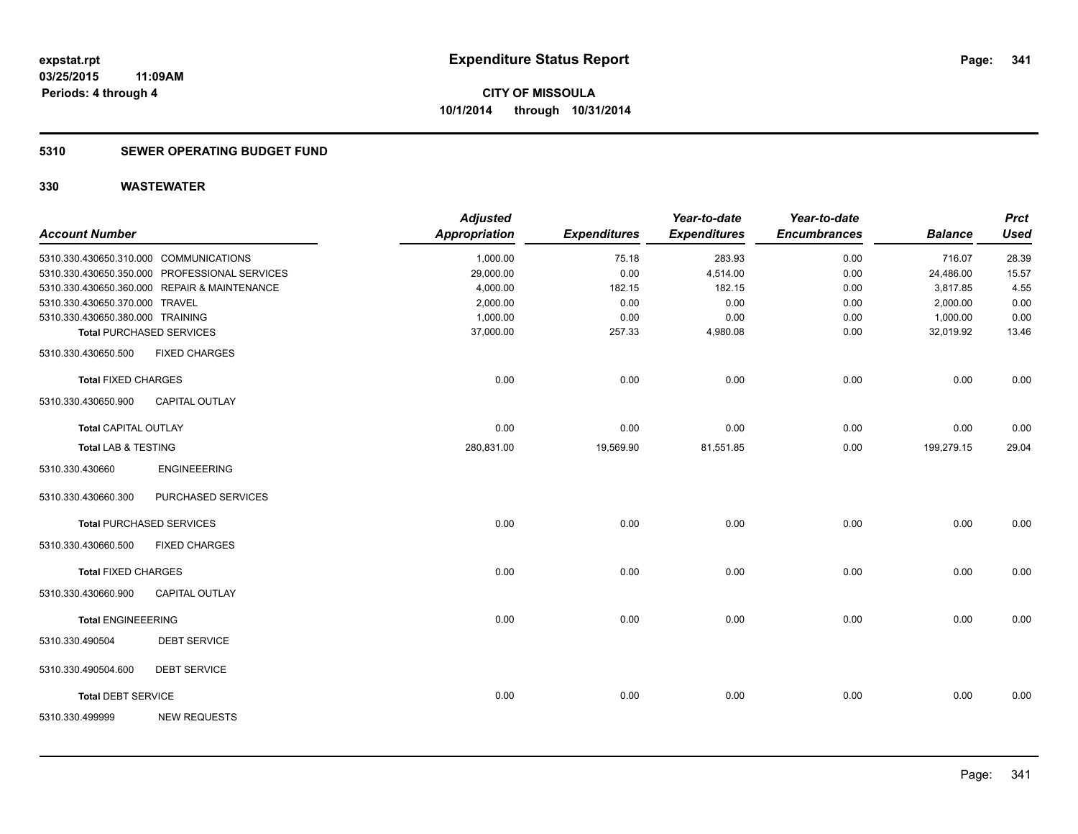#### **5310 SEWER OPERATING BUDGET FUND**

| <b>Account Number</b>            |                                               | <b>Adjusted</b><br><b>Appropriation</b> | <b>Expenditures</b> | Year-to-date<br><b>Expenditures</b> | Year-to-date<br><b>Encumbrances</b> | <b>Balance</b> | <b>Prct</b><br><b>Used</b> |
|----------------------------------|-----------------------------------------------|-----------------------------------------|---------------------|-------------------------------------|-------------------------------------|----------------|----------------------------|
|                                  | 5310.330.430650.310.000 COMMUNICATIONS        | 1,000.00                                | 75.18               | 283.93                              | 0.00                                | 716.07         | 28.39                      |
|                                  | 5310.330.430650.350.000 PROFESSIONAL SERVICES | 29,000.00                               | 0.00                | 4,514.00                            | 0.00                                | 24,486.00      | 15.57                      |
|                                  | 5310.330.430650.360.000 REPAIR & MAINTENANCE  | 4,000.00                                | 182.15              | 182.15                              | 0.00                                | 3,817.85       | 4.55                       |
| 5310.330.430650.370.000 TRAVEL   |                                               | 2,000.00                                | 0.00                | 0.00                                | 0.00                                | 2,000.00       | 0.00                       |
| 5310.330.430650.380.000 TRAINING |                                               | 1,000.00                                | 0.00                | 0.00                                | 0.00                                | 1,000.00       | 0.00                       |
|                                  | <b>Total PURCHASED SERVICES</b>               | 37,000.00                               | 257.33              | 4,980.08                            | 0.00                                | 32,019.92      | 13.46                      |
| 5310.330.430650.500              | <b>FIXED CHARGES</b>                          |                                         |                     |                                     |                                     |                |                            |
| <b>Total FIXED CHARGES</b>       |                                               | 0.00                                    | 0.00                | 0.00                                | 0.00                                | 0.00           | 0.00                       |
| 5310.330.430650.900              | <b>CAPITAL OUTLAY</b>                         |                                         |                     |                                     |                                     |                |                            |
| <b>Total CAPITAL OUTLAY</b>      |                                               | 0.00                                    | 0.00                | 0.00                                | 0.00                                | 0.00           | 0.00                       |
| <b>Total LAB &amp; TESTING</b>   |                                               | 280,831.00                              | 19,569.90           | 81,551.85                           | 0.00                                | 199,279.15     | 29.04                      |
| 5310.330.430660                  | <b>ENGINEEERING</b>                           |                                         |                     |                                     |                                     |                |                            |
| 5310.330.430660.300              | PURCHASED SERVICES                            |                                         |                     |                                     |                                     |                |                            |
|                                  | <b>Total PURCHASED SERVICES</b>               | 0.00                                    | 0.00                | 0.00                                | 0.00                                | 0.00           | 0.00                       |
| 5310.330.430660.500              | <b>FIXED CHARGES</b>                          |                                         |                     |                                     |                                     |                |                            |
| <b>Total FIXED CHARGES</b>       |                                               | 0.00                                    | 0.00                | 0.00                                | 0.00                                | 0.00           | 0.00                       |
| 5310.330.430660.900              | <b>CAPITAL OUTLAY</b>                         |                                         |                     |                                     |                                     |                |                            |
| <b>Total ENGINEEERING</b>        |                                               | 0.00                                    | 0.00                | 0.00                                | 0.00                                | 0.00           | 0.00                       |
| 5310.330.490504                  | <b>DEBT SERVICE</b>                           |                                         |                     |                                     |                                     |                |                            |
| 5310.330.490504.600              | <b>DEBT SERVICE</b>                           |                                         |                     |                                     |                                     |                |                            |
| <b>Total DEBT SERVICE</b>        |                                               | 0.00                                    | 0.00                | 0.00                                | 0.00                                | 0.00           | 0.00                       |
| 5310.330.499999                  | <b>NEW REQUESTS</b>                           |                                         |                     |                                     |                                     |                |                            |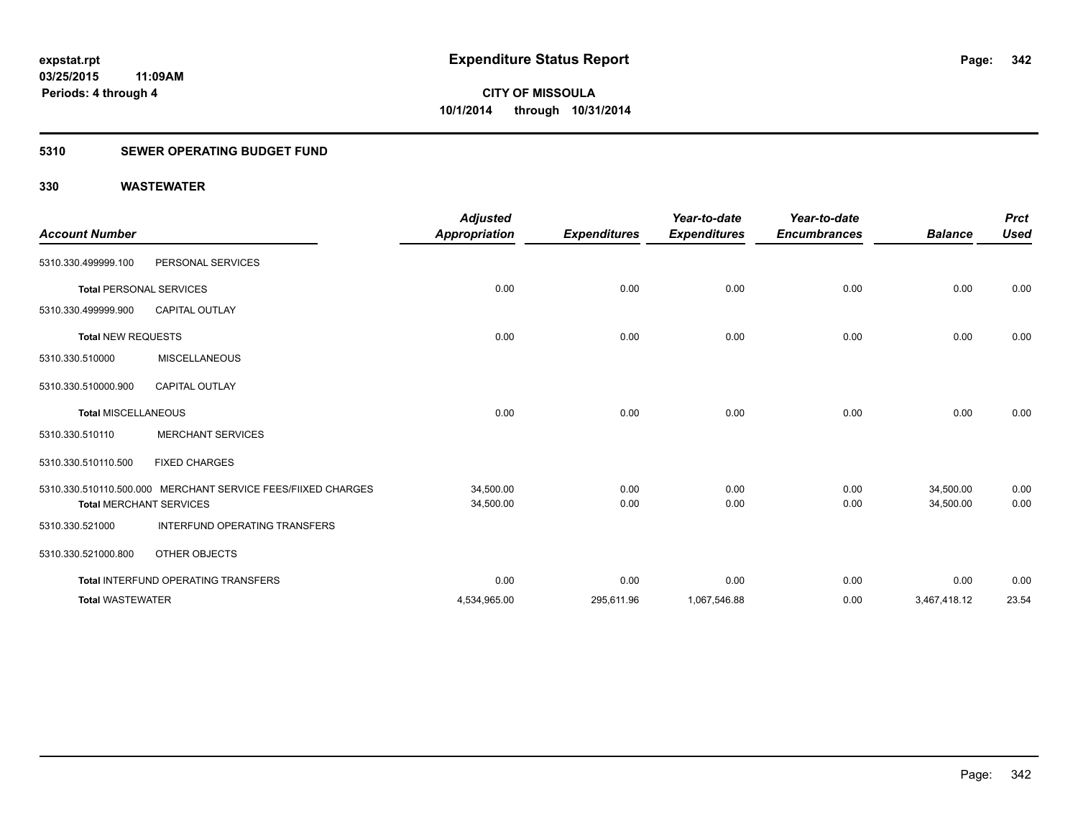### **5310 SEWER OPERATING BUDGET FUND**

| <b>Account Number</b>          |                                                              | <b>Adjusted</b><br><b>Appropriation</b> | <b>Expenditures</b> | Year-to-date<br><b>Expenditures</b> | Year-to-date<br><b>Encumbrances</b> | <b>Balance</b>         | <b>Prct</b><br><b>Used</b> |
|--------------------------------|--------------------------------------------------------------|-----------------------------------------|---------------------|-------------------------------------|-------------------------------------|------------------------|----------------------------|
| 5310.330.499999.100            | PERSONAL SERVICES                                            |                                         |                     |                                     |                                     |                        |                            |
| <b>Total PERSONAL SERVICES</b> |                                                              | 0.00                                    | 0.00                | 0.00                                | 0.00                                | 0.00                   | 0.00                       |
| 5310.330.499999.900            | <b>CAPITAL OUTLAY</b>                                        |                                         |                     |                                     |                                     |                        |                            |
| <b>Total NEW REQUESTS</b>      |                                                              | 0.00                                    | 0.00                | 0.00                                | 0.00                                | 0.00                   | 0.00                       |
| 5310.330.510000                | <b>MISCELLANEOUS</b>                                         |                                         |                     |                                     |                                     |                        |                            |
| 5310.330.510000.900            | <b>CAPITAL OUTLAY</b>                                        |                                         |                     |                                     |                                     |                        |                            |
| <b>Total MISCELLANEOUS</b>     |                                                              | 0.00                                    | 0.00                | 0.00                                | 0.00                                | 0.00                   | 0.00                       |
| 5310.330.510110                | <b>MERCHANT SERVICES</b>                                     |                                         |                     |                                     |                                     |                        |                            |
| 5310.330.510110.500            | <b>FIXED CHARGES</b>                                         |                                         |                     |                                     |                                     |                        |                            |
| <b>Total MERCHANT SERVICES</b> | 5310.330.510110.500.000 MERCHANT SERVICE FEES/FIIXED CHARGES | 34,500.00<br>34,500.00                  | 0.00<br>0.00        | 0.00<br>0.00                        | 0.00<br>0.00                        | 34,500.00<br>34,500.00 | 0.00<br>0.00               |
| 5310.330.521000                | <b>INTERFUND OPERATING TRANSFERS</b>                         |                                         |                     |                                     |                                     |                        |                            |
| 5310.330.521000.800            | OTHER OBJECTS                                                |                                         |                     |                                     |                                     |                        |                            |
|                                | Total INTERFUND OPERATING TRANSFERS                          | 0.00                                    | 0.00                | 0.00                                | 0.00                                | 0.00                   | 0.00                       |
| <b>Total WASTEWATER</b>        |                                                              | 4,534,965.00                            | 295,611.96          | 1,067,546.88                        | 0.00                                | 3,467,418.12           | 23.54                      |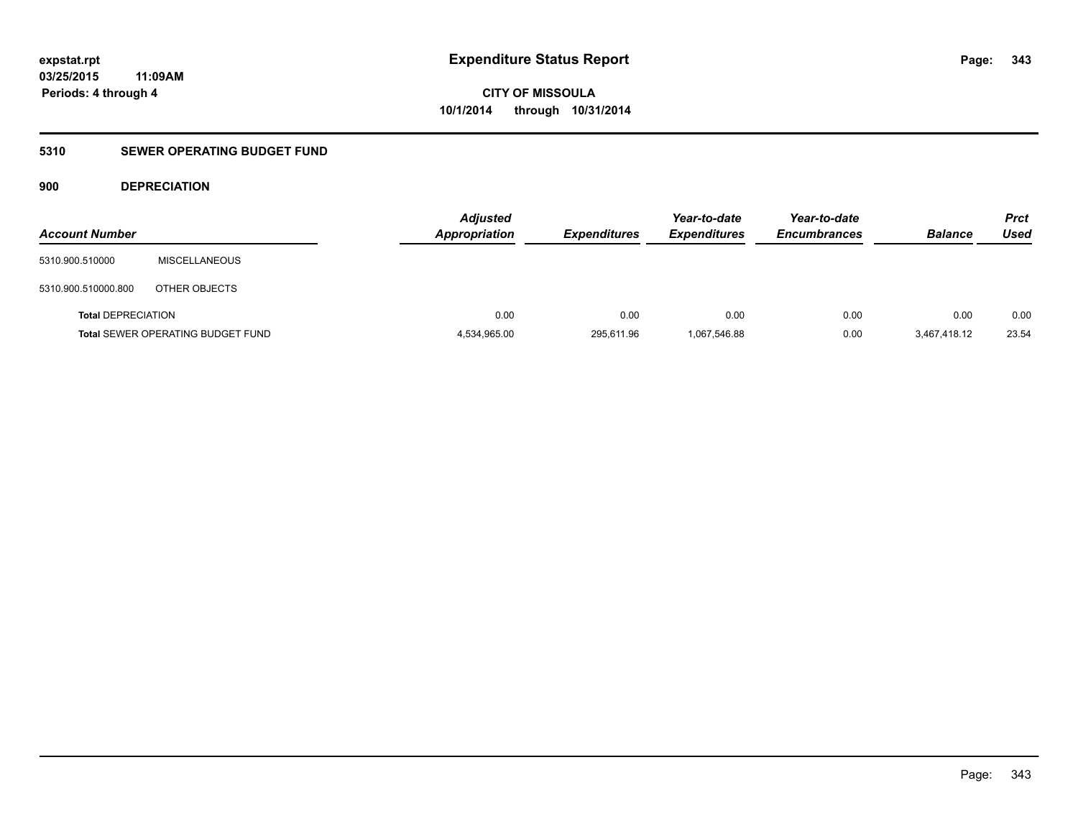### **5310 SEWER OPERATING BUDGET FUND**

#### **900 DEPRECIATION**

| <b>Account Number</b>     |                                          | <b>Adjusted</b><br><b>Appropriation</b> | <b>Expenditures</b> | Year-to-date<br><b>Expenditures</b> | Year-to-date<br><b>Encumbrances</b> | <b>Balance</b> | <b>Prct</b><br>Used |
|---------------------------|------------------------------------------|-----------------------------------------|---------------------|-------------------------------------|-------------------------------------|----------------|---------------------|
| 5310.900.510000           | <b>MISCELLANEOUS</b>                     |                                         |                     |                                     |                                     |                |                     |
| 5310.900.510000.800       | OTHER OBJECTS                            |                                         |                     |                                     |                                     |                |                     |
| <b>Total DEPRECIATION</b> |                                          | 0.00                                    | 0.00                | 0.00                                | 0.00                                | 0.00           | 0.00                |
|                           | <b>Total SEWER OPERATING BUDGET FUND</b> | 4,534,965.00                            | 295,611.96          | 1,067,546.88                        | 0.00                                | 3,467,418.12   | 23.54               |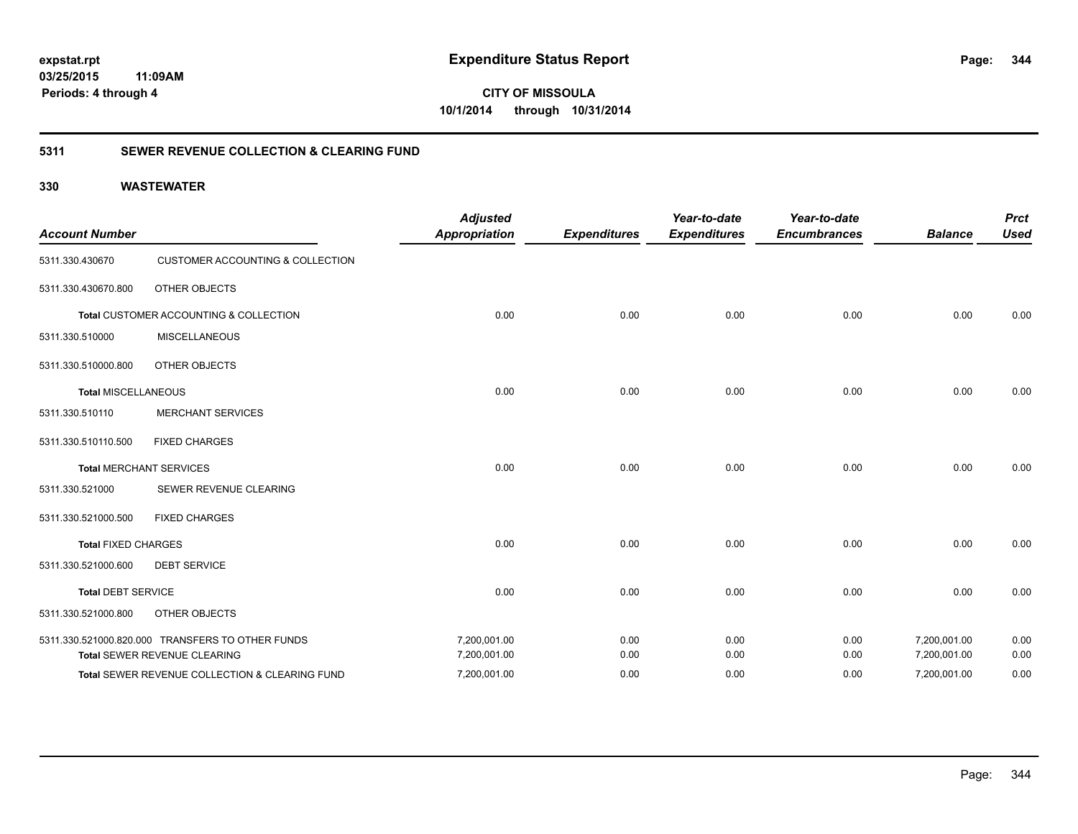**344**

**CITY OF MISSOULA 10/1/2014 through 10/31/2014**

#### **5311 SEWER REVENUE COLLECTION & CLEARING FUND**

| <b>Account Number</b>      |                                                  | <b>Adjusted</b><br><b>Appropriation</b> | <b>Expenditures</b> | Year-to-date<br><b>Expenditures</b> | Year-to-date<br><b>Encumbrances</b> | <b>Balance</b> | <b>Prct</b><br><b>Used</b> |
|----------------------------|--------------------------------------------------|-----------------------------------------|---------------------|-------------------------------------|-------------------------------------|----------------|----------------------------|
| 5311.330.430670            | <b>CUSTOMER ACCOUNTING &amp; COLLECTION</b>      |                                         |                     |                                     |                                     |                |                            |
| 5311.330.430670.800        | <b>OTHER OBJECTS</b>                             |                                         |                     |                                     |                                     |                |                            |
|                            | Total CUSTOMER ACCOUNTING & COLLECTION           | 0.00                                    | 0.00                | 0.00                                | 0.00                                | 0.00           | 0.00                       |
| 5311.330.510000            | <b>MISCELLANEOUS</b>                             |                                         |                     |                                     |                                     |                |                            |
| 5311.330.510000.800        | <b>OTHER OBJECTS</b>                             |                                         |                     |                                     |                                     |                |                            |
| <b>Total MISCELLANEOUS</b> |                                                  | 0.00                                    | 0.00                | 0.00                                | 0.00                                | 0.00           | 0.00                       |
| 5311.330.510110            | <b>MERCHANT SERVICES</b>                         |                                         |                     |                                     |                                     |                |                            |
| 5311.330.510110.500        | <b>FIXED CHARGES</b>                             |                                         |                     |                                     |                                     |                |                            |
|                            | <b>Total MERCHANT SERVICES</b>                   | 0.00                                    | 0.00                | 0.00                                | 0.00                                | 0.00           | 0.00                       |
| 5311.330.521000            | SEWER REVENUE CLEARING                           |                                         |                     |                                     |                                     |                |                            |
| 5311.330.521000.500        | <b>FIXED CHARGES</b>                             |                                         |                     |                                     |                                     |                |                            |
| <b>Total FIXED CHARGES</b> |                                                  | 0.00                                    | 0.00                | 0.00                                | 0.00                                | 0.00           | 0.00                       |
| 5311.330.521000.600        | <b>DEBT SERVICE</b>                              |                                         |                     |                                     |                                     |                |                            |
| <b>Total DEBT SERVICE</b>  |                                                  | 0.00                                    | 0.00                | 0.00                                | 0.00                                | 0.00           | 0.00                       |
| 5311.330.521000.800        | <b>OTHER OBJECTS</b>                             |                                         |                     |                                     |                                     |                |                            |
|                            | 5311.330.521000.820.000 TRANSFERS TO OTHER FUNDS | 7,200,001.00                            | 0.00                | 0.00                                | 0.00                                | 7,200,001.00   | 0.00                       |
|                            | Total SEWER REVENUE CLEARING                     | 7,200,001.00                            | 0.00                | 0.00                                | 0.00                                | 7,200,001.00   | 0.00                       |
|                            | Total SEWER REVENUE COLLECTION & CLEARING FUND   | 7,200,001.00                            | 0.00                | 0.00                                | 0.00                                | 7,200,001.00   | 0.00                       |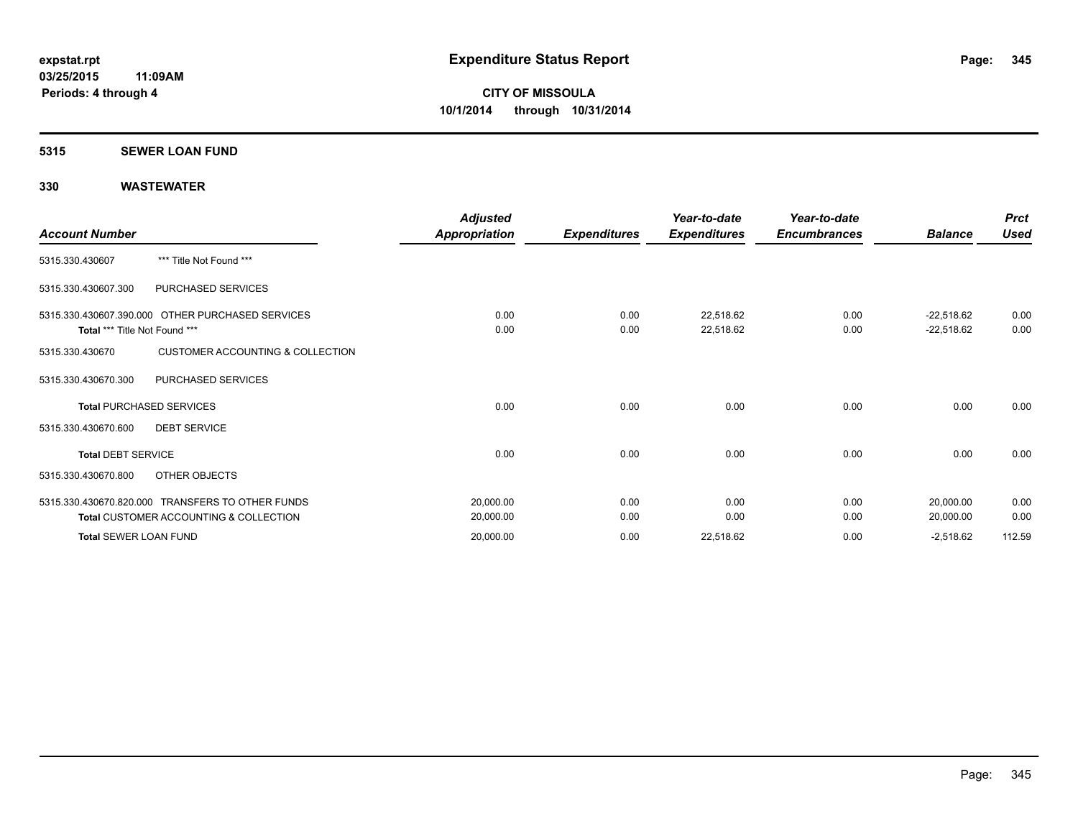#### **5315 SEWER LOAN FUND**

| <b>Account Number</b>         |                                                                                                       | Adjusted<br>Appropriation | <b>Expenditures</b> | Year-to-date<br><b>Expenditures</b> | Year-to-date<br><b>Encumbrances</b> | <b>Balance</b>               | <b>Prct</b><br><b>Used</b> |
|-------------------------------|-------------------------------------------------------------------------------------------------------|---------------------------|---------------------|-------------------------------------|-------------------------------------|------------------------------|----------------------------|
| 5315.330.430607               | *** Title Not Found ***                                                                               |                           |                     |                                     |                                     |                              |                            |
| 5315.330.430607.300           | PURCHASED SERVICES                                                                                    |                           |                     |                                     |                                     |                              |                            |
| Total *** Title Not Found *** | 5315.330.430607.390.000 OTHER PURCHASED SERVICES                                                      | 0.00<br>0.00              | 0.00<br>0.00        | 22,518.62<br>22,518.62              | 0.00<br>0.00                        | $-22,518.62$<br>$-22,518.62$ | 0.00<br>0.00               |
| 5315.330.430670               | <b>CUSTOMER ACCOUNTING &amp; COLLECTION</b>                                                           |                           |                     |                                     |                                     |                              |                            |
| 5315.330.430670.300           | PURCHASED SERVICES                                                                                    |                           |                     |                                     |                                     |                              |                            |
|                               | <b>Total PURCHASED SERVICES</b>                                                                       | 0.00                      | 0.00                | 0.00                                | 0.00                                | 0.00                         | 0.00                       |
| 5315.330.430670.600           | <b>DEBT SERVICE</b>                                                                                   |                           |                     |                                     |                                     |                              |                            |
| <b>Total DEBT SERVICE</b>     |                                                                                                       | 0.00                      | 0.00                | 0.00                                | 0.00                                | 0.00                         | 0.00                       |
| 5315.330.430670.800           | OTHER OBJECTS                                                                                         |                           |                     |                                     |                                     |                              |                            |
|                               | 5315.330.430670.820.000 TRANSFERS TO OTHER FUNDS<br><b>Total CUSTOMER ACCOUNTING &amp; COLLECTION</b> | 20,000.00<br>20,000.00    | 0.00<br>0.00        | 0.00<br>0.00                        | 0.00<br>0.00                        | 20,000.00<br>20,000.00       | 0.00<br>0.00               |
| <b>Total SEWER LOAN FUND</b>  |                                                                                                       | 20,000.00                 | 0.00                | 22,518.62                           | 0.00                                | $-2,518.62$                  | 112.59                     |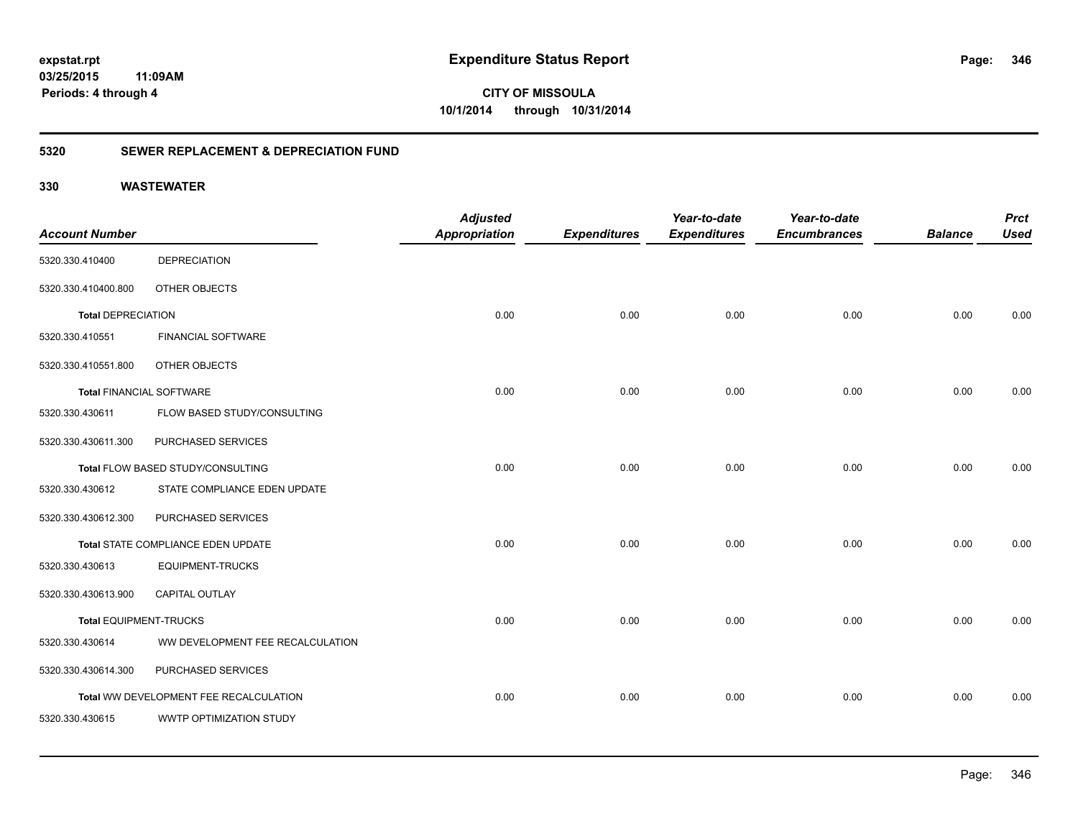# **03/25/2015**

**346**

**11:09AM Periods: 4 through 4**

**CITY OF MISSOULA 10/1/2014 through 10/31/2014**

#### **5320 SEWER REPLACEMENT & DEPRECIATION FUND**

|                                 |                                        | <b>Adjusted</b>      |                     | Year-to-date        | Year-to-date        |                | <b>Prct</b> |
|---------------------------------|----------------------------------------|----------------------|---------------------|---------------------|---------------------|----------------|-------------|
| <b>Account Number</b>           |                                        | <b>Appropriation</b> | <b>Expenditures</b> | <b>Expenditures</b> | <b>Encumbrances</b> | <b>Balance</b> | <b>Used</b> |
| 5320.330.410400                 | <b>DEPRECIATION</b>                    |                      |                     |                     |                     |                |             |
| 5320.330.410400.800             | OTHER OBJECTS                          |                      |                     |                     |                     |                |             |
| <b>Total DEPRECIATION</b>       |                                        | 0.00                 | 0.00                | 0.00                | 0.00                | 0.00           | 0.00        |
| 5320.330.410551                 | FINANCIAL SOFTWARE                     |                      |                     |                     |                     |                |             |
| 5320.330.410551.800             | OTHER OBJECTS                          |                      |                     |                     |                     |                |             |
| <b>Total FINANCIAL SOFTWARE</b> |                                        | 0.00                 | 0.00                | 0.00                | 0.00                | 0.00           | 0.00        |
| 5320.330.430611                 | FLOW BASED STUDY/CONSULTING            |                      |                     |                     |                     |                |             |
| 5320.330.430611.300             | PURCHASED SERVICES                     |                      |                     |                     |                     |                |             |
|                                 | Total FLOW BASED STUDY/CONSULTING      | 0.00                 | 0.00                | 0.00                | 0.00                | 0.00           | 0.00        |
| 5320.330.430612                 | STATE COMPLIANCE EDEN UPDATE           |                      |                     |                     |                     |                |             |
| 5320.330.430612.300             | PURCHASED SERVICES                     |                      |                     |                     |                     |                |             |
|                                 | Total STATE COMPLIANCE EDEN UPDATE     | 0.00                 | 0.00                | 0.00                | 0.00                | 0.00           | 0.00        |
| 5320.330.430613                 | <b>EQUIPMENT-TRUCKS</b>                |                      |                     |                     |                     |                |             |
| 5320.330.430613.900             | CAPITAL OUTLAY                         |                      |                     |                     |                     |                |             |
| <b>Total EQUIPMENT-TRUCKS</b>   |                                        | 0.00                 | 0.00                | 0.00                | 0.00                | 0.00           | 0.00        |
| 5320.330.430614                 | WW DEVELOPMENT FEE RECALCULATION       |                      |                     |                     |                     |                |             |
| 5320.330.430614.300             | PURCHASED SERVICES                     |                      |                     |                     |                     |                |             |
|                                 | Total WW DEVELOPMENT FEE RECALCULATION | 0.00                 | 0.00                | 0.00                | 0.00                | 0.00           | 0.00        |
| 5320.330.430615                 | WWTP OPTIMIZATION STUDY                |                      |                     |                     |                     |                |             |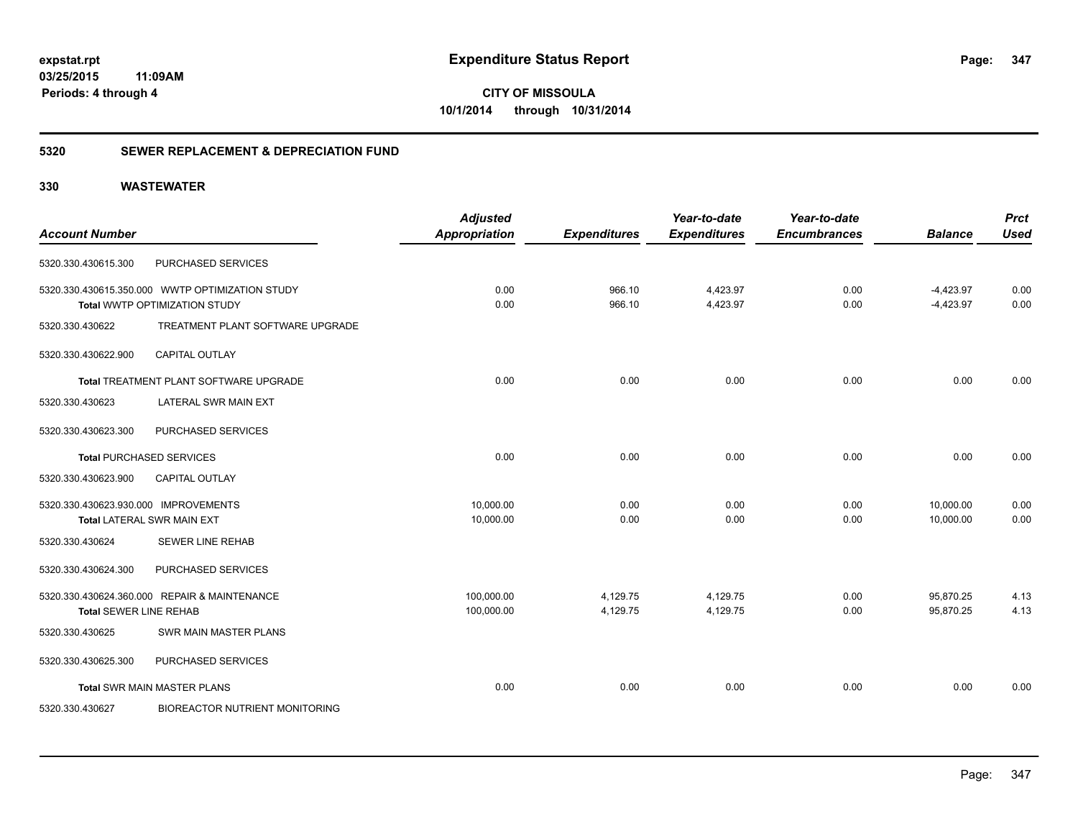**CITY OF MISSOULA 10/1/2014 through 10/31/2014**

#### **5320 SEWER REPLACEMENT & DEPRECIATION FUND**

|                                      |                                                 | <b>Adjusted</b>      |                     | Year-to-date        | Year-to-date        |                | <b>Prct</b> |
|--------------------------------------|-------------------------------------------------|----------------------|---------------------|---------------------|---------------------|----------------|-------------|
| <b>Account Number</b>                |                                                 | <b>Appropriation</b> | <b>Expenditures</b> | <b>Expenditures</b> | <b>Encumbrances</b> | <b>Balance</b> | <b>Used</b> |
| 5320.330.430615.300                  | PURCHASED SERVICES                              |                      |                     |                     |                     |                |             |
|                                      | 5320.330.430615.350.000 WWTP OPTIMIZATION STUDY | 0.00                 | 966.10              | 4,423.97            | 0.00                | $-4,423.97$    | 0.00        |
|                                      | <b>Total WWTP OPTIMIZATION STUDY</b>            | 0.00                 | 966.10              | 4,423.97            | 0.00                | $-4,423.97$    | 0.00        |
| 5320.330.430622                      | TREATMENT PLANT SOFTWARE UPGRADE                |                      |                     |                     |                     |                |             |
| 5320.330.430622.900                  | <b>CAPITAL OUTLAY</b>                           |                      |                     |                     |                     |                |             |
|                                      | Total TREATMENT PLANT SOFTWARE UPGRADE          | 0.00                 | 0.00                | 0.00                | 0.00                | 0.00           | 0.00        |
| 5320.330.430623                      | LATERAL SWR MAIN EXT                            |                      |                     |                     |                     |                |             |
| 5320.330.430623.300                  | PURCHASED SERVICES                              |                      |                     |                     |                     |                |             |
|                                      | <b>Total PURCHASED SERVICES</b>                 | 0.00                 | 0.00                | 0.00                | 0.00                | 0.00           | 0.00        |
| 5320.330.430623.900                  | <b>CAPITAL OUTLAY</b>                           |                      |                     |                     |                     |                |             |
| 5320.330.430623.930.000 IMPROVEMENTS |                                                 | 10,000.00            | 0.00                | 0.00                | 0.00                | 10,000.00      | 0.00        |
|                                      | <b>Total LATERAL SWR MAIN EXT</b>               | 10,000.00            | 0.00                | 0.00                | 0.00                | 10.000.00      | 0.00        |
| 5320.330.430624                      | <b>SEWER LINE REHAB</b>                         |                      |                     |                     |                     |                |             |
| 5320.330.430624.300                  | PURCHASED SERVICES                              |                      |                     |                     |                     |                |             |
|                                      | 5320.330.430624.360.000 REPAIR & MAINTENANCE    | 100,000.00           | 4,129.75            | 4,129.75            | 0.00                | 95,870.25      | 4.13        |
| <b>Total SEWER LINE REHAB</b>        |                                                 | 100,000.00           | 4,129.75            | 4,129.75            | 0.00                | 95,870.25      | 4.13        |
| 5320.330.430625                      | SWR MAIN MASTER PLANS                           |                      |                     |                     |                     |                |             |
| 5320.330.430625.300                  | PURCHASED SERVICES                              |                      |                     |                     |                     |                |             |
|                                      | <b>Total SWR MAIN MASTER PLANS</b>              | 0.00                 | 0.00                | 0.00                | 0.00                | 0.00           | 0.00        |
| 5320.330.430627                      | <b>BIOREACTOR NUTRIENT MONITORING</b>           |                      |                     |                     |                     |                |             |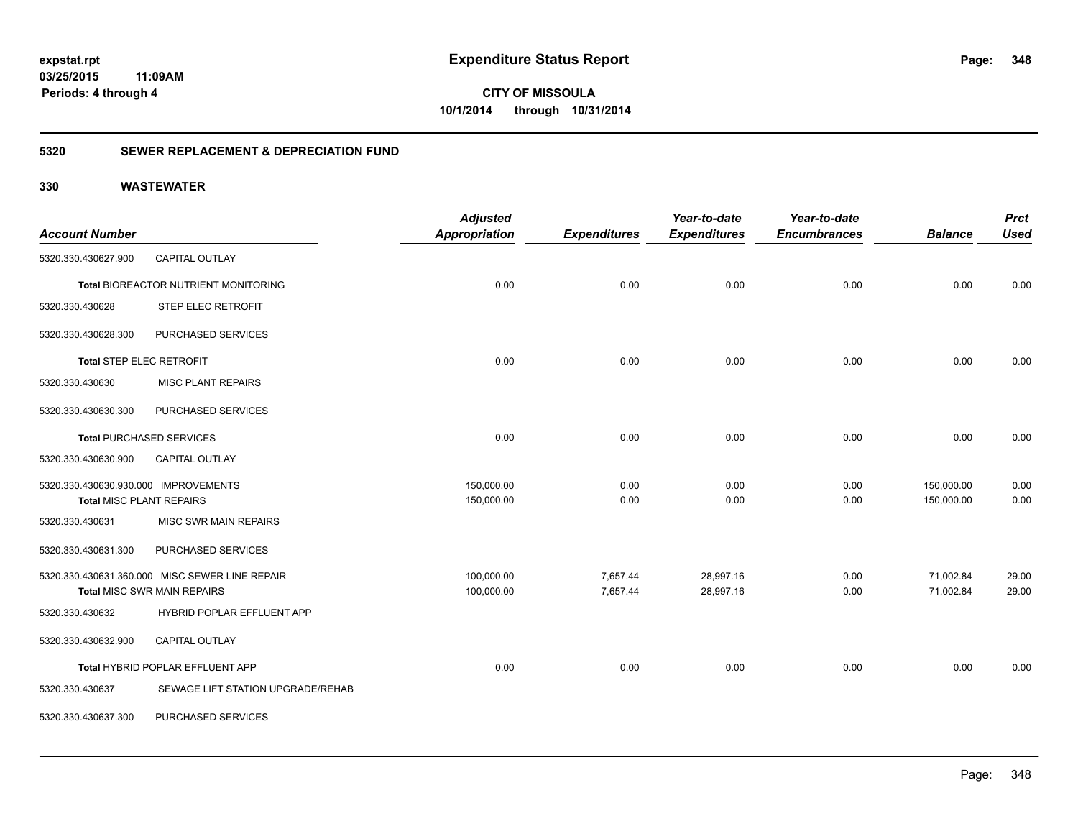**348**

**CITY OF MISSOULA 10/1/2014 through 10/31/2014**

#### **5320 SEWER REPLACEMENT & DEPRECIATION FUND**

| <b>Account Number</b>                |                                                | <b>Adjusted</b><br><b>Appropriation</b> | <b>Expenditures</b> | Year-to-date<br><b>Expenditures</b> | Year-to-date<br><b>Encumbrances</b> | <b>Balance</b> | <b>Prct</b><br><b>Used</b> |
|--------------------------------------|------------------------------------------------|-----------------------------------------|---------------------|-------------------------------------|-------------------------------------|----------------|----------------------------|
| 5320.330.430627.900                  | <b>CAPITAL OUTLAY</b>                          |                                         |                     |                                     |                                     |                |                            |
|                                      |                                                |                                         |                     |                                     |                                     |                |                            |
|                                      | Total BIOREACTOR NUTRIENT MONITORING           | 0.00                                    | 0.00                | 0.00                                | 0.00                                | 0.00           | 0.00                       |
| 5320.330.430628                      | STEP ELEC RETROFIT                             |                                         |                     |                                     |                                     |                |                            |
| 5320.330.430628.300                  | PURCHASED SERVICES                             |                                         |                     |                                     |                                     |                |                            |
| Total STEP ELEC RETROFIT             |                                                | 0.00                                    | 0.00                | 0.00                                | 0.00                                | 0.00           | 0.00                       |
| 5320.330.430630                      | <b>MISC PLANT REPAIRS</b>                      |                                         |                     |                                     |                                     |                |                            |
| 5320.330.430630.300                  | PURCHASED SERVICES                             |                                         |                     |                                     |                                     |                |                            |
|                                      | <b>Total PURCHASED SERVICES</b>                | 0.00                                    | 0.00                | 0.00                                | 0.00                                | 0.00           | 0.00                       |
| 5320.330.430630.900                  | CAPITAL OUTLAY                                 |                                         |                     |                                     |                                     |                |                            |
| 5320.330.430630.930.000 IMPROVEMENTS |                                                | 150,000.00                              | 0.00                | 0.00                                | 0.00                                | 150,000.00     | 0.00                       |
| Total MISC PLANT REPAIRS             |                                                | 150,000.00                              | 0.00                | 0.00                                | 0.00                                | 150,000.00     | 0.00                       |
| 5320.330.430631                      | <b>MISC SWR MAIN REPAIRS</b>                   |                                         |                     |                                     |                                     |                |                            |
| 5320.330.430631.300                  | PURCHASED SERVICES                             |                                         |                     |                                     |                                     |                |                            |
|                                      | 5320.330.430631.360.000 MISC SEWER LINE REPAIR | 100,000.00                              | 7,657.44            | 28,997.16                           | 0.00                                | 71,002.84      | 29.00                      |
|                                      | <b>Total MISC SWR MAIN REPAIRS</b>             | 100,000.00                              | 7,657.44            | 28,997.16                           | 0.00                                | 71,002.84      | 29.00                      |
| 5320.330.430632                      | HYBRID POPLAR EFFLUENT APP                     |                                         |                     |                                     |                                     |                |                            |
| 5320.330.430632.900                  | <b>CAPITAL OUTLAY</b>                          |                                         |                     |                                     |                                     |                |                            |
|                                      | Total HYBRID POPLAR EFFLUENT APP               | 0.00                                    | 0.00                | 0.00                                | 0.00                                | 0.00           | 0.00                       |
| 5320.330.430637                      | SEWAGE LIFT STATION UPGRADE/REHAB              |                                         |                     |                                     |                                     |                |                            |
| 5320.330.430637.300                  | PURCHASED SERVICES                             |                                         |                     |                                     |                                     |                |                            |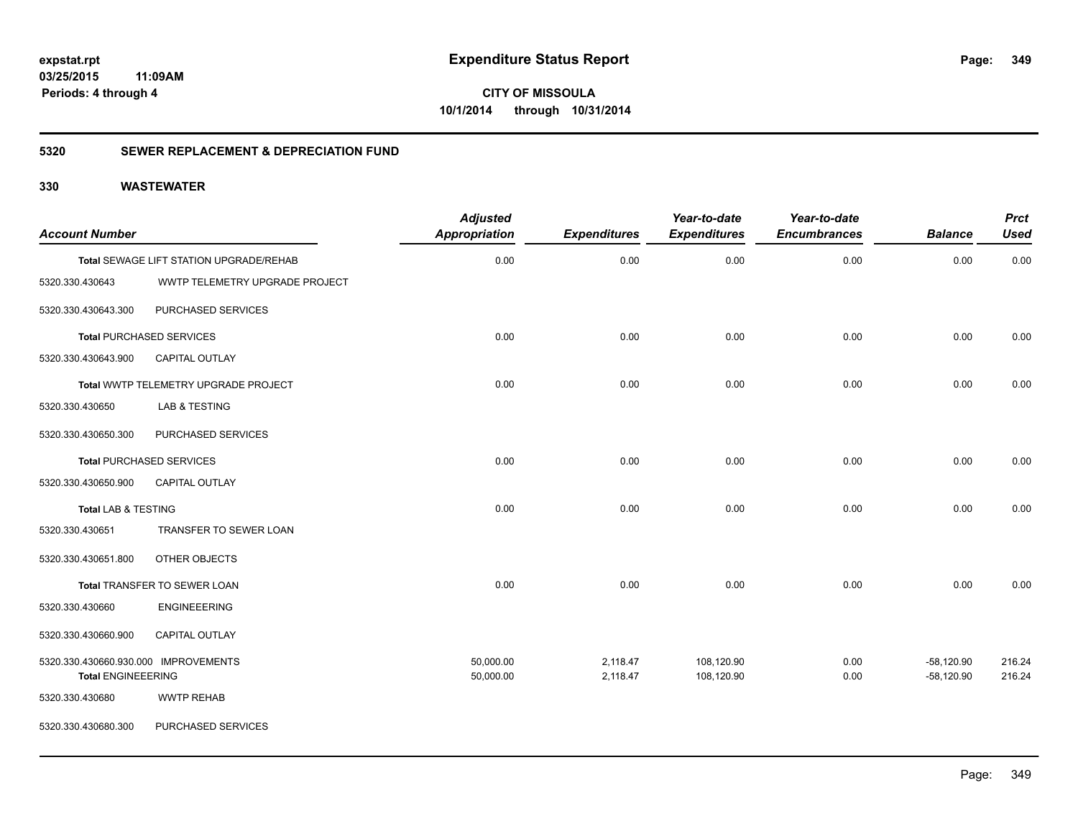**349**

**CITY OF MISSOULA 10/1/2014 through 10/31/2014**

#### **5320 SEWER REPLACEMENT & DEPRECIATION FUND**

| <b>Account Number</b>                |                                         | <b>Adjusted</b><br><b>Appropriation</b> | <b>Expenditures</b> | Year-to-date<br><b>Expenditures</b> | Year-to-date<br><b>Encumbrances</b> | <b>Balance</b> | <b>Prct</b><br><b>Used</b> |
|--------------------------------------|-----------------------------------------|-----------------------------------------|---------------------|-------------------------------------|-------------------------------------|----------------|----------------------------|
|                                      | Total SEWAGE LIFT STATION UPGRADE/REHAB | 0.00                                    | 0.00                | 0.00                                | 0.00                                | 0.00           | 0.00                       |
| 5320.330.430643                      | WWTP TELEMETRY UPGRADE PROJECT          |                                         |                     |                                     |                                     |                |                            |
| 5320.330.430643.300                  | PURCHASED SERVICES                      |                                         |                     |                                     |                                     |                |                            |
|                                      | <b>Total PURCHASED SERVICES</b>         | 0.00                                    | 0.00                | 0.00                                | 0.00                                | 0.00           | 0.00                       |
| 5320.330.430643.900                  | <b>CAPITAL OUTLAY</b>                   |                                         |                     |                                     |                                     |                |                            |
|                                      | Total WWTP TELEMETRY UPGRADE PROJECT    | 0.00                                    | 0.00                | 0.00                                | 0.00                                | 0.00           | 0.00                       |
| 5320.330.430650                      | LAB & TESTING                           |                                         |                     |                                     |                                     |                |                            |
| 5320.330.430650.300                  | PURCHASED SERVICES                      |                                         |                     |                                     |                                     |                |                            |
| <b>Total PURCHASED SERVICES</b>      |                                         | 0.00                                    | 0.00                | 0.00                                | 0.00                                | 0.00           | 0.00                       |
| 5320.330.430650.900                  | <b>CAPITAL OUTLAY</b>                   |                                         |                     |                                     |                                     |                |                            |
| <b>Total LAB &amp; TESTING</b>       |                                         | 0.00                                    | 0.00                | 0.00                                | 0.00                                | 0.00           | 0.00                       |
| 5320.330.430651                      | TRANSFER TO SEWER LOAN                  |                                         |                     |                                     |                                     |                |                            |
| 5320.330.430651.800                  | OTHER OBJECTS                           |                                         |                     |                                     |                                     |                |                            |
|                                      | Total TRANSFER TO SEWER LOAN            | 0.00                                    | 0.00                | 0.00                                | 0.00                                | 0.00           | 0.00                       |
| 5320.330.430660                      | <b>ENGINEEERING</b>                     |                                         |                     |                                     |                                     |                |                            |
| 5320.330.430660.900                  | <b>CAPITAL OUTLAY</b>                   |                                         |                     |                                     |                                     |                |                            |
| 5320.330.430660.930.000 IMPROVEMENTS |                                         | 50,000.00                               | 2,118.47            | 108,120.90                          | 0.00                                | $-58,120.90$   | 216.24                     |
| <b>Total ENGINEEERING</b>            |                                         | 50,000.00                               | 2,118.47            | 108,120.90                          | 0.00                                | $-58,120.90$   | 216.24                     |
| 5320.330.430680                      | <b>WWTP REHAB</b>                       |                                         |                     |                                     |                                     |                |                            |
| 5320.330.430680.300                  | PURCHASED SERVICES                      |                                         |                     |                                     |                                     |                |                            |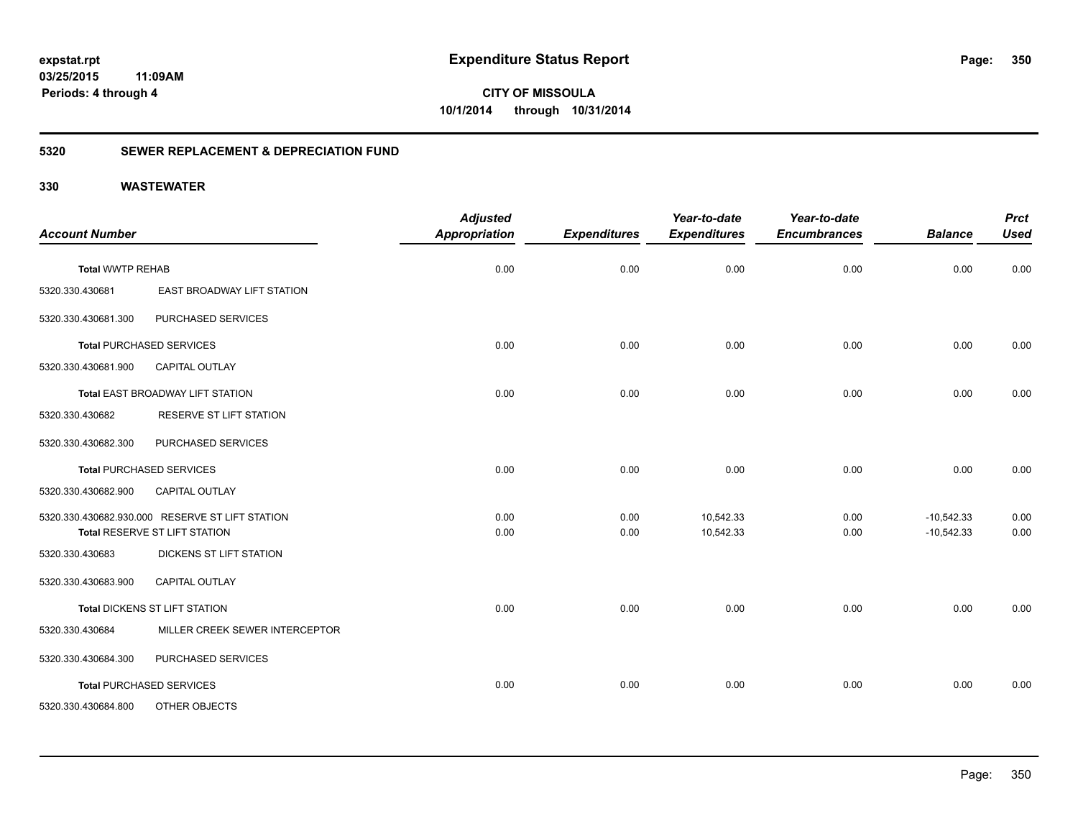**CITY OF MISSOULA 10/1/2014 through 10/31/2014**

### **5320 SEWER REPLACEMENT & DEPRECIATION FUND**

| <b>Account Number</b>   |                                                                                  | <b>Adjusted</b><br><b>Appropriation</b> | <b>Expenditures</b> | Year-to-date<br><b>Expenditures</b> | Year-to-date<br><b>Encumbrances</b> | <b>Balance</b>               | <b>Prct</b><br><b>Used</b> |
|-------------------------|----------------------------------------------------------------------------------|-----------------------------------------|---------------------|-------------------------------------|-------------------------------------|------------------------------|----------------------------|
| <b>Total WWTP REHAB</b> |                                                                                  | 0.00                                    | 0.00                | 0.00                                | 0.00                                | 0.00                         | 0.00                       |
| 5320.330.430681         | EAST BROADWAY LIFT STATION                                                       |                                         |                     |                                     |                                     |                              |                            |
| 5320.330.430681.300     | PURCHASED SERVICES                                                               |                                         |                     |                                     |                                     |                              |                            |
|                         | <b>Total PURCHASED SERVICES</b>                                                  | 0.00                                    | 0.00                | 0.00                                | 0.00                                | 0.00                         | 0.00                       |
| 5320.330.430681.900     | <b>CAPITAL OUTLAY</b>                                                            |                                         |                     |                                     |                                     |                              |                            |
|                         | Total EAST BROADWAY LIFT STATION                                                 | 0.00                                    | 0.00                | 0.00                                | 0.00                                | 0.00                         | 0.00                       |
| 5320.330.430682         | <b>RESERVE ST LIFT STATION</b>                                                   |                                         |                     |                                     |                                     |                              |                            |
| 5320.330.430682.300     | PURCHASED SERVICES                                                               |                                         |                     |                                     |                                     |                              |                            |
|                         | <b>Total PURCHASED SERVICES</b>                                                  | 0.00                                    | 0.00                | 0.00                                | 0.00                                | 0.00                         | 0.00                       |
| 5320.330.430682.900     | <b>CAPITAL OUTLAY</b>                                                            |                                         |                     |                                     |                                     |                              |                            |
|                         | 5320.330.430682.930.000 RESERVE ST LIFT STATION<br>Total RESERVE ST LIFT STATION | 0.00<br>0.00                            | 0.00<br>0.00        | 10,542.33<br>10,542.33              | 0.00<br>0.00                        | $-10,542.33$<br>$-10,542.33$ | 0.00<br>0.00               |
| 5320.330.430683         | DICKENS ST LIFT STATION                                                          |                                         |                     |                                     |                                     |                              |                            |
| 5320.330.430683.900     | <b>CAPITAL OUTLAY</b>                                                            |                                         |                     |                                     |                                     |                              |                            |
|                         | <b>Total DICKENS ST LIFT STATION</b>                                             | 0.00                                    | 0.00                | 0.00                                | 0.00                                | 0.00                         | 0.00                       |
| 5320.330.430684         | MILLER CREEK SEWER INTERCEPTOR                                                   |                                         |                     |                                     |                                     |                              |                            |
| 5320.330.430684.300     | PURCHASED SERVICES                                                               |                                         |                     |                                     |                                     |                              |                            |
|                         | <b>Total PURCHASED SERVICES</b>                                                  | 0.00                                    | 0.00                | 0.00                                | 0.00                                | 0.00                         | 0.00                       |
| 5320.330.430684.800     | OTHER OBJECTS                                                                    |                                         |                     |                                     |                                     |                              |                            |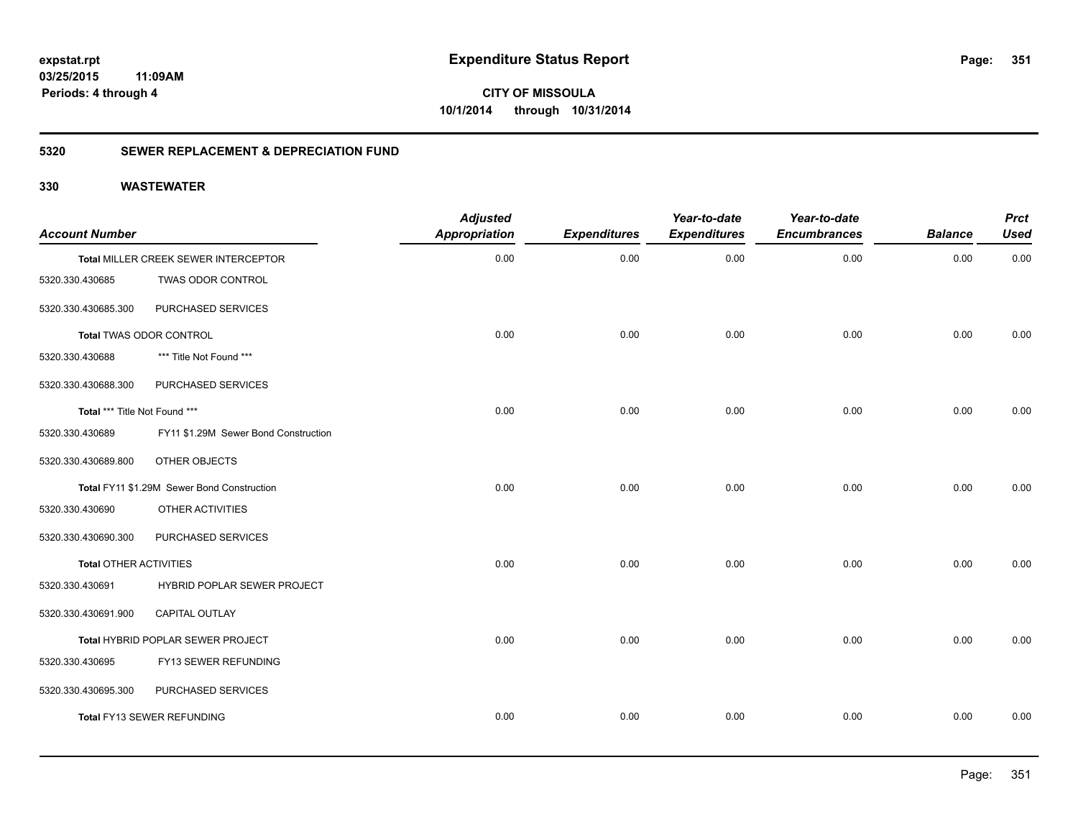**351**

**CITY OF MISSOULA 10/1/2014 through 10/31/2014**

#### **5320 SEWER REPLACEMENT & DEPRECIATION FUND**

| <b>Account Number</b>         |                                            | <b>Adjusted</b><br><b>Appropriation</b> | <b>Expenditures</b> | Year-to-date<br><b>Expenditures</b> | Year-to-date<br><b>Encumbrances</b> | <b>Balance</b> | <b>Prct</b><br><b>Used</b> |
|-------------------------------|--------------------------------------------|-----------------------------------------|---------------------|-------------------------------------|-------------------------------------|----------------|----------------------------|
|                               | Total MILLER CREEK SEWER INTERCEPTOR       | 0.00                                    | 0.00                | 0.00                                | 0.00                                | 0.00           | 0.00                       |
| 5320.330.430685               | TWAS ODOR CONTROL                          |                                         |                     |                                     |                                     |                |                            |
| 5320.330.430685.300           | PURCHASED SERVICES                         |                                         |                     |                                     |                                     |                |                            |
|                               | Total TWAS ODOR CONTROL                    | 0.00                                    | 0.00                | 0.00                                | 0.00                                | 0.00           | 0.00                       |
| 5320.330.430688               | *** Title Not Found ***                    |                                         |                     |                                     |                                     |                |                            |
| 5320.330.430688.300           | PURCHASED SERVICES                         |                                         |                     |                                     |                                     |                |                            |
| Total *** Title Not Found *** |                                            | 0.00                                    | 0.00                | 0.00                                | 0.00                                | 0.00           | 0.00                       |
| 5320.330.430689               | FY11 \$1.29M Sewer Bond Construction       |                                         |                     |                                     |                                     |                |                            |
| 5320.330.430689.800           | OTHER OBJECTS                              |                                         |                     |                                     |                                     |                |                            |
|                               | Total FY11 \$1.29M Sewer Bond Construction | 0.00                                    | 0.00                | 0.00                                | 0.00                                | 0.00           | 0.00                       |
| 5320.330.430690               | OTHER ACTIVITIES                           |                                         |                     |                                     |                                     |                |                            |
| 5320.330.430690.300           | PURCHASED SERVICES                         |                                         |                     |                                     |                                     |                |                            |
| <b>Total OTHER ACTIVITIES</b> |                                            | 0.00                                    | 0.00                | 0.00                                | 0.00                                | 0.00           | 0.00                       |
| 5320.330.430691               | HYBRID POPLAR SEWER PROJECT                |                                         |                     |                                     |                                     |                |                            |
| 5320.330.430691.900           | CAPITAL OUTLAY                             |                                         |                     |                                     |                                     |                |                            |
|                               | Total HYBRID POPLAR SEWER PROJECT          | 0.00                                    | 0.00                | 0.00                                | 0.00                                | 0.00           | 0.00                       |
| 5320.330.430695               | FY13 SEWER REFUNDING                       |                                         |                     |                                     |                                     |                |                            |
| 5320.330.430695.300           | PURCHASED SERVICES                         |                                         |                     |                                     |                                     |                |                            |
|                               | <b>Total FY13 SEWER REFUNDING</b>          | 0.00                                    | 0.00                | 0.00                                | 0.00                                | 0.00           | 0.00                       |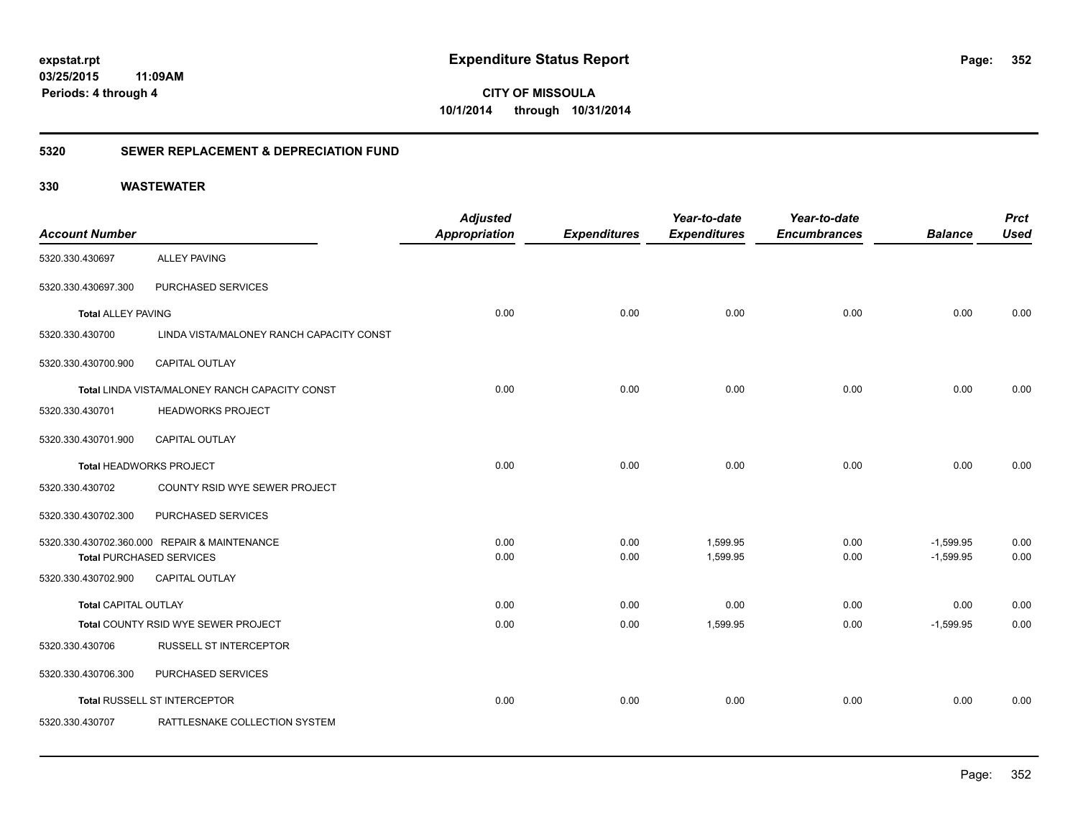**CITY OF MISSOULA 10/1/2014 through 10/31/2014**

#### **5320 SEWER REPLACEMENT & DEPRECIATION FUND**

|                             |                                                | <b>Adjusted</b>      |                     | Year-to-date        | Year-to-date        |                | <b>Prct</b> |
|-----------------------------|------------------------------------------------|----------------------|---------------------|---------------------|---------------------|----------------|-------------|
| <b>Account Number</b>       |                                                | <b>Appropriation</b> | <b>Expenditures</b> | <b>Expenditures</b> | <b>Encumbrances</b> | <b>Balance</b> | <b>Used</b> |
| 5320.330.430697             | <b>ALLEY PAVING</b>                            |                      |                     |                     |                     |                |             |
| 5320.330.430697.300         | PURCHASED SERVICES                             |                      |                     |                     |                     |                |             |
| <b>Total ALLEY PAVING</b>   |                                                | 0.00                 | 0.00                | 0.00                | 0.00                | 0.00           | 0.00        |
| 5320.330.430700             | LINDA VISTA/MALONEY RANCH CAPACITY CONST       |                      |                     |                     |                     |                |             |
| 5320.330.430700.900         | <b>CAPITAL OUTLAY</b>                          |                      |                     |                     |                     |                |             |
|                             | Total LINDA VISTA/MALONEY RANCH CAPACITY CONST | 0.00                 | 0.00                | 0.00                | 0.00                | 0.00           | 0.00        |
| 5320.330.430701             | <b>HEADWORKS PROJECT</b>                       |                      |                     |                     |                     |                |             |
| 5320.330.430701.900         | <b>CAPITAL OUTLAY</b>                          |                      |                     |                     |                     |                |             |
| Total HEADWORKS PROJECT     |                                                | 0.00                 | 0.00                | 0.00                | 0.00                | 0.00           | 0.00        |
| 5320.330.430702             | COUNTY RSID WYE SEWER PROJECT                  |                      |                     |                     |                     |                |             |
| 5320.330.430702.300         | PURCHASED SERVICES                             |                      |                     |                     |                     |                |             |
|                             | 5320.330.430702.360.000 REPAIR & MAINTENANCE   | 0.00                 | 0.00                | 1,599.95            | 0.00                | $-1,599.95$    | 0.00        |
|                             | <b>Total PURCHASED SERVICES</b>                | 0.00                 | 0.00                | 1,599.95            | 0.00                | $-1,599.95$    | 0.00        |
| 5320.330.430702.900         | CAPITAL OUTLAY                                 |                      |                     |                     |                     |                |             |
| <b>Total CAPITAL OUTLAY</b> |                                                | 0.00                 | 0.00                | 0.00                | 0.00                | 0.00           | 0.00        |
|                             | Total COUNTY RSID WYE SEWER PROJECT            | 0.00                 | 0.00                | 1,599.95            | 0.00                | $-1,599.95$    | 0.00        |
| 5320.330.430706             | <b>RUSSELL ST INTERCEPTOR</b>                  |                      |                     |                     |                     |                |             |
| 5320.330.430706.300         | PURCHASED SERVICES                             |                      |                     |                     |                     |                |             |
|                             | Total RUSSELL ST INTERCEPTOR                   | 0.00                 | 0.00                | 0.00                | 0.00                | 0.00           | 0.00        |
| 5320.330.430707             | RATTLESNAKE COLLECTION SYSTEM                  |                      |                     |                     |                     |                |             |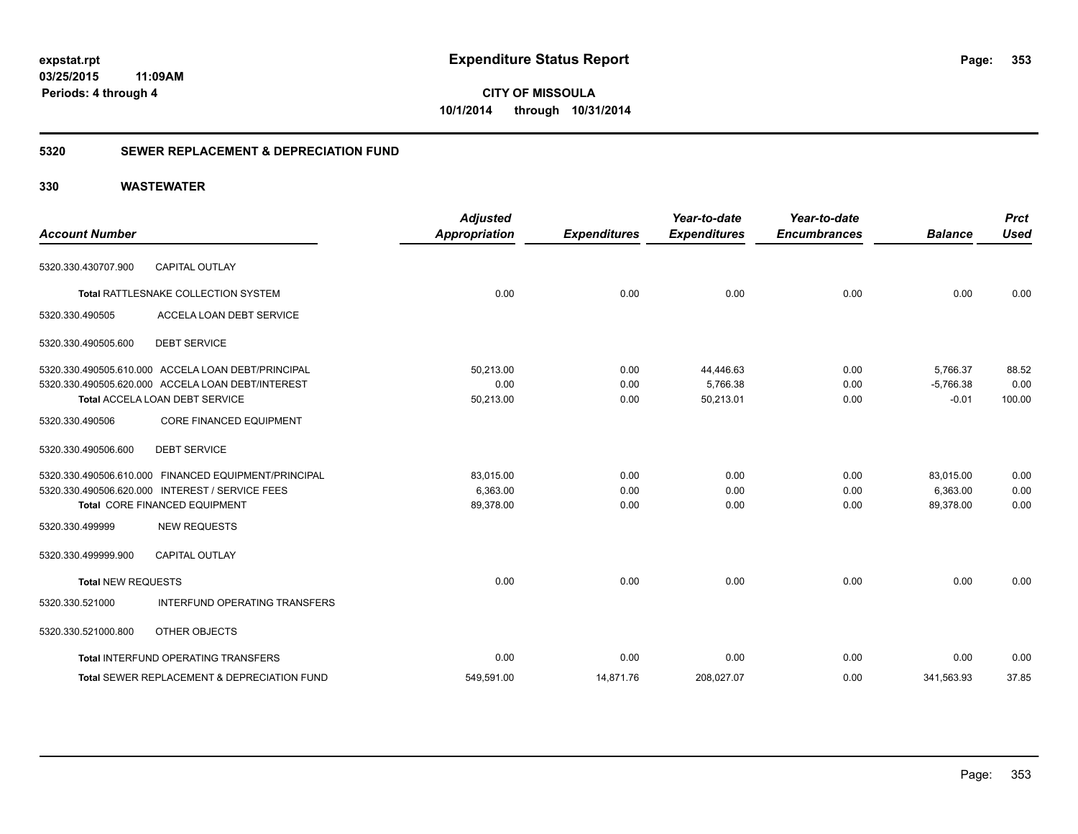**CITY OF MISSOULA 10/1/2014 through 10/31/2014**

#### **5320 SEWER REPLACEMENT & DEPRECIATION FUND**

| <b>Account Number</b>     |                                                        | <b>Adjusted</b><br><b>Appropriation</b> | <b>Expenditures</b> | Year-to-date<br><b>Expenditures</b> | Year-to-date<br><b>Encumbrances</b> | <b>Balance</b> | <b>Prct</b><br><b>Used</b> |
|---------------------------|--------------------------------------------------------|-----------------------------------------|---------------------|-------------------------------------|-------------------------------------|----------------|----------------------------|
|                           |                                                        |                                         |                     |                                     |                                     |                |                            |
| 5320.330.430707.900       | <b>CAPITAL OUTLAY</b>                                  |                                         |                     |                                     |                                     |                |                            |
|                           | Total RATTLESNAKE COLLECTION SYSTEM                    | 0.00                                    | 0.00                | 0.00                                | 0.00                                | 0.00           | 0.00                       |
| 5320.330.490505           | ACCELA LOAN DEBT SERVICE                               |                                         |                     |                                     |                                     |                |                            |
| 5320.330.490505.600       | <b>DEBT SERVICE</b>                                    |                                         |                     |                                     |                                     |                |                            |
|                           | 5320.330.490505.610.000 ACCELA LOAN DEBT/PRINCIPAL     | 50,213.00                               | 0.00                | 44,446.63                           | 0.00                                | 5,766.37       | 88.52                      |
|                           | 5320.330.490505.620.000 ACCELA LOAN DEBT/INTEREST      | 0.00                                    | 0.00                | 5,766.38                            | 0.00                                | $-5,766.38$    | 0.00                       |
|                           | Total ACCELA LOAN DEBT SERVICE                         | 50,213.00                               | 0.00                | 50,213.01                           | 0.00                                | $-0.01$        | 100.00                     |
| 5320.330.490506           | <b>CORE FINANCED EQUIPMENT</b>                         |                                         |                     |                                     |                                     |                |                            |
| 5320.330.490506.600       | <b>DEBT SERVICE</b>                                    |                                         |                     |                                     |                                     |                |                            |
|                           | 5320.330.490506.610.000 FINANCED EQUIPMENT/PRINCIPAL   | 83,015.00                               | 0.00                | 0.00                                | 0.00                                | 83,015.00      | 0.00                       |
|                           | 5320.330.490506.620.000 INTEREST / SERVICE FEES        | 6,363.00                                | 0.00                | 0.00                                | 0.00                                | 6.363.00       | 0.00                       |
|                           | Total CORE FINANCED EQUIPMENT                          | 89,378.00                               | 0.00                | 0.00                                | 0.00                                | 89,378.00      | 0.00                       |
| 5320.330.499999           | <b>NEW REQUESTS</b>                                    |                                         |                     |                                     |                                     |                |                            |
| 5320.330.499999.900       | <b>CAPITAL OUTLAY</b>                                  |                                         |                     |                                     |                                     |                |                            |
| <b>Total NEW REQUESTS</b> |                                                        | 0.00                                    | 0.00                | 0.00                                | 0.00                                | 0.00           | 0.00                       |
| 5320.330.521000           | INTERFUND OPERATING TRANSFERS                          |                                         |                     |                                     |                                     |                |                            |
| 5320.330.521000.800       | OTHER OBJECTS                                          |                                         |                     |                                     |                                     |                |                            |
|                           | <b>Total INTERFUND OPERATING TRANSFERS</b>             | 0.00                                    | 0.00                | 0.00                                | 0.00                                | 0.00           | 0.00                       |
|                           | <b>Total SEWER REPLACEMENT &amp; DEPRECIATION FUND</b> | 549,591.00                              | 14,871.76           | 208,027.07                          | 0.00                                | 341,563.93     | 37.85                      |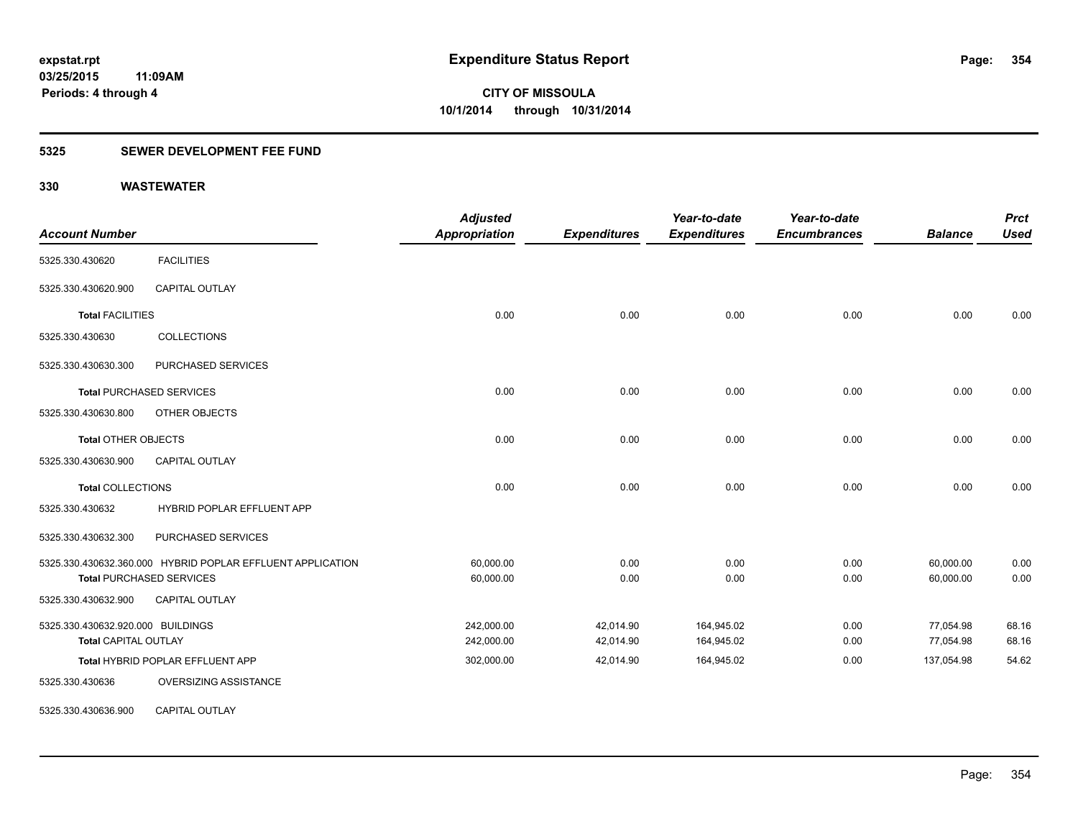#### **5325 SEWER DEVELOPMENT FEE FUND**

| <b>Account Number</b>             |                                                            | <b>Adjusted</b><br>Appropriation | <b>Expenditures</b> | Year-to-date<br><b>Expenditures</b> | Year-to-date<br><b>Encumbrances</b> | <b>Balance</b> | <b>Prct</b><br><b>Used</b> |
|-----------------------------------|------------------------------------------------------------|----------------------------------|---------------------|-------------------------------------|-------------------------------------|----------------|----------------------------|
| 5325.330.430620                   | <b>FACILITIES</b>                                          |                                  |                     |                                     |                                     |                |                            |
| 5325.330.430620.900               | <b>CAPITAL OUTLAY</b>                                      |                                  |                     |                                     |                                     |                |                            |
| <b>Total FACILITIES</b>           |                                                            | 0.00                             | 0.00                | 0.00                                | 0.00                                | 0.00           | 0.00                       |
| 5325.330.430630                   | <b>COLLECTIONS</b>                                         |                                  |                     |                                     |                                     |                |                            |
| 5325.330.430630.300               | PURCHASED SERVICES                                         |                                  |                     |                                     |                                     |                |                            |
|                                   | <b>Total PURCHASED SERVICES</b>                            | 0.00                             | 0.00                | 0.00                                | 0.00                                | 0.00           | 0.00                       |
| 5325.330.430630.800               | OTHER OBJECTS                                              |                                  |                     |                                     |                                     |                |                            |
| <b>Total OTHER OBJECTS</b>        |                                                            | 0.00                             | 0.00                | 0.00                                | 0.00                                | 0.00           | 0.00                       |
| 5325.330.430630.900               | <b>CAPITAL OUTLAY</b>                                      |                                  |                     |                                     |                                     |                |                            |
| <b>Total COLLECTIONS</b>          |                                                            | 0.00                             | 0.00                | 0.00                                | 0.00                                | 0.00           | 0.00                       |
| 5325.330.430632                   | HYBRID POPLAR EFFLUENT APP                                 |                                  |                     |                                     |                                     |                |                            |
| 5325.330.430632.300               | PURCHASED SERVICES                                         |                                  |                     |                                     |                                     |                |                            |
|                                   | 5325.330.430632.360.000 HYBRID POPLAR EFFLUENT APPLICATION | 60,000.00                        | 0.00                | 0.00                                | 0.00                                | 60,000.00      | 0.00                       |
|                                   | <b>Total PURCHASED SERVICES</b>                            | 60,000.00                        | 0.00                | 0.00                                | 0.00                                | 60,000.00      | 0.00                       |
| 5325.330.430632.900               | <b>CAPITAL OUTLAY</b>                                      |                                  |                     |                                     |                                     |                |                            |
| 5325.330.430632.920.000 BUILDINGS |                                                            | 242,000.00                       | 42,014.90           | 164,945.02                          | 0.00                                | 77,054.98      | 68.16                      |
| <b>Total CAPITAL OUTLAY</b>       |                                                            | 242,000.00                       | 42,014.90           | 164,945.02                          | 0.00                                | 77,054.98      | 68.16                      |
|                                   | Total HYBRID POPLAR EFFLUENT APP                           | 302,000.00                       | 42,014.90           | 164,945.02                          | 0.00                                | 137,054.98     | 54.62                      |
| 5325.330.430636                   | OVERSIZING ASSISTANCE                                      |                                  |                     |                                     |                                     |                |                            |
| 5325.330.430636.900               | CAPITAL OUTLAY                                             |                                  |                     |                                     |                                     |                |                            |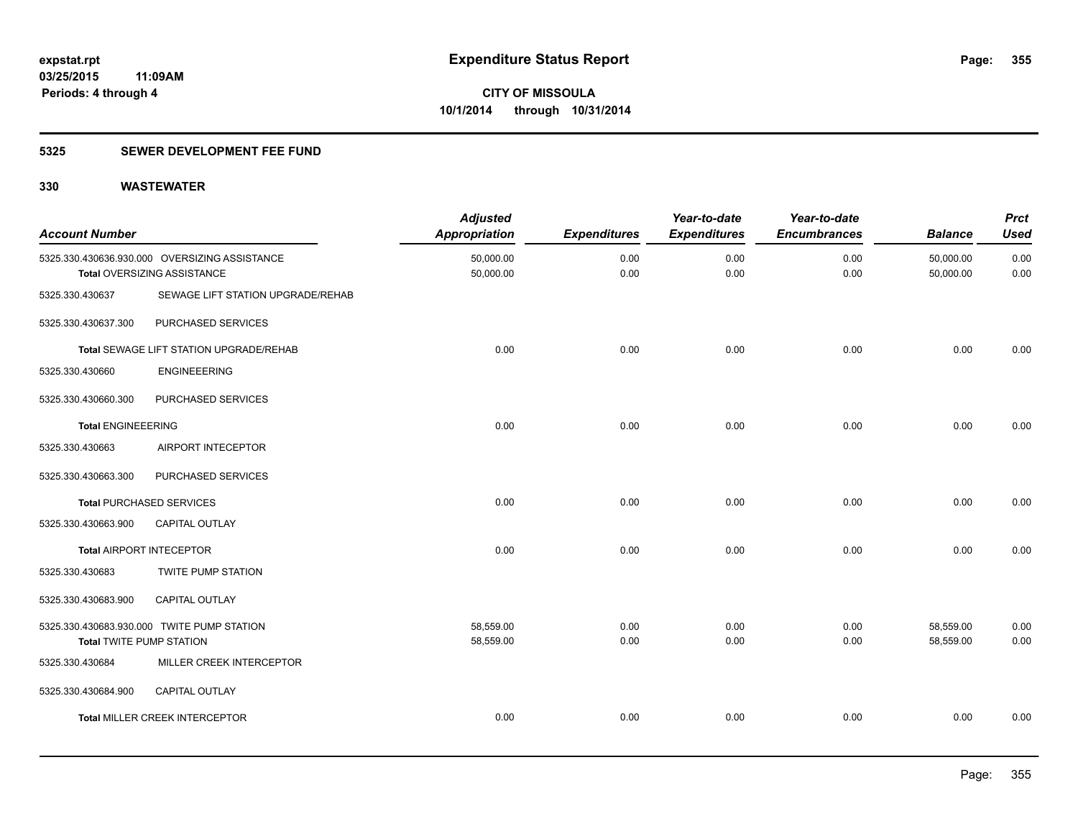#### **5325 SEWER DEVELOPMENT FEE FUND**

| <b>Account Number</b>           |                                                                              | <b>Adjusted</b><br><b>Appropriation</b> | <b>Expenditures</b> | Year-to-date<br><b>Expenditures</b> | Year-to-date<br><b>Encumbrances</b> | <b>Balance</b>         | <b>Prct</b><br><b>Used</b> |
|---------------------------------|------------------------------------------------------------------------------|-----------------------------------------|---------------------|-------------------------------------|-------------------------------------|------------------------|----------------------------|
|                                 | 5325.330.430636.930.000 OVERSIZING ASSISTANCE<br>Total OVERSIZING ASSISTANCE | 50,000.00<br>50,000.00                  | 0.00<br>0.00        | 0.00<br>0.00                        | 0.00<br>0.00                        | 50,000.00<br>50,000.00 | 0.00<br>0.00               |
| 5325.330.430637                 | SEWAGE LIFT STATION UPGRADE/REHAB                                            |                                         |                     |                                     |                                     |                        |                            |
| 5325.330.430637.300             | PURCHASED SERVICES                                                           |                                         |                     |                                     |                                     |                        |                            |
|                                 | <b>Total SEWAGE LIFT STATION UPGRADE/REHAB</b>                               | 0.00                                    | 0.00                | 0.00                                | 0.00                                | 0.00                   | 0.00                       |
| 5325.330.430660                 | <b>ENGINEEERING</b>                                                          |                                         |                     |                                     |                                     |                        |                            |
| 5325.330.430660.300             | PURCHASED SERVICES                                                           |                                         |                     |                                     |                                     |                        |                            |
| <b>Total ENGINEEERING</b>       |                                                                              | 0.00                                    | 0.00                | 0.00                                | 0.00                                | 0.00                   | 0.00                       |
| 5325.330.430663                 | AIRPORT INTECEPTOR                                                           |                                         |                     |                                     |                                     |                        |                            |
| 5325.330.430663.300             | PURCHASED SERVICES                                                           |                                         |                     |                                     |                                     |                        |                            |
|                                 | <b>Total PURCHASED SERVICES</b>                                              | 0.00                                    | 0.00                | 0.00                                | 0.00                                | 0.00                   | 0.00                       |
| 5325.330.430663.900             | <b>CAPITAL OUTLAY</b>                                                        |                                         |                     |                                     |                                     |                        |                            |
| <b>Total AIRPORT INTECEPTOR</b> |                                                                              | 0.00                                    | 0.00                | 0.00                                | 0.00                                | 0.00                   | 0.00                       |
| 5325.330.430683                 | <b>TWITE PUMP STATION</b>                                                    |                                         |                     |                                     |                                     |                        |                            |
| 5325.330.430683.900             | CAPITAL OUTLAY                                                               |                                         |                     |                                     |                                     |                        |                            |
|                                 | 5325.330.430683.930.000 TWITE PUMP STATION                                   | 58,559.00                               | 0.00                | 0.00                                | 0.00                                | 58,559.00              | 0.00                       |
| <b>Total TWITE PUMP STATION</b> |                                                                              | 58,559.00                               | 0.00                | 0.00                                | 0.00                                | 58,559.00              | 0.00                       |
| 5325.330.430684                 | MILLER CREEK INTERCEPTOR                                                     |                                         |                     |                                     |                                     |                        |                            |
| 5325.330.430684.900             | CAPITAL OUTLAY                                                               |                                         |                     |                                     |                                     |                        |                            |
|                                 | <b>Total MILLER CREEK INTERCEPTOR</b>                                        | 0.00                                    | 0.00                | 0.00                                | 0.00                                | 0.00                   | 0.00                       |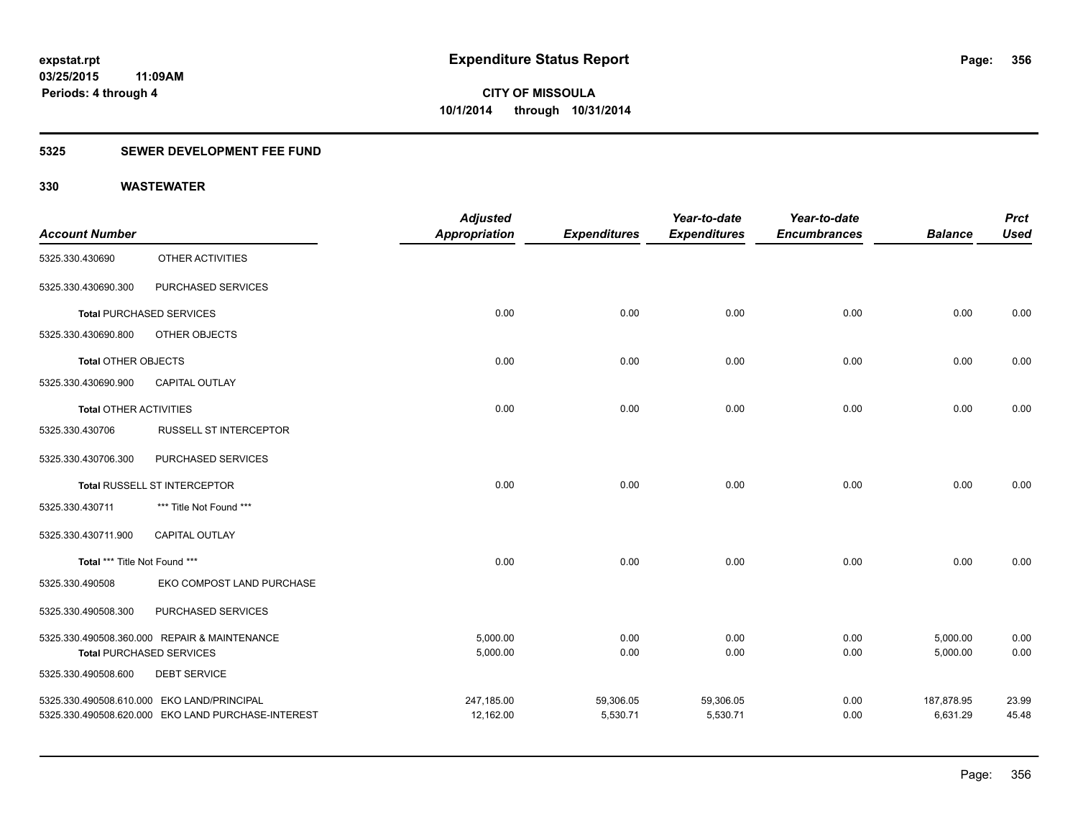#### **5325 SEWER DEVELOPMENT FEE FUND**

|                               |                                                    | <b>Adjusted</b>      |                     | Year-to-date        | Year-to-date        |                | <b>Prct</b> |
|-------------------------------|----------------------------------------------------|----------------------|---------------------|---------------------|---------------------|----------------|-------------|
| <b>Account Number</b>         |                                                    | <b>Appropriation</b> | <b>Expenditures</b> | <b>Expenditures</b> | <b>Encumbrances</b> | <b>Balance</b> | <b>Used</b> |
| 5325.330.430690               | OTHER ACTIVITIES                                   |                      |                     |                     |                     |                |             |
| 5325.330.430690.300           | PURCHASED SERVICES                                 |                      |                     |                     |                     |                |             |
|                               | <b>Total PURCHASED SERVICES</b>                    | 0.00                 | 0.00                | 0.00                | 0.00                | 0.00           | 0.00        |
| 5325.330.430690.800           | OTHER OBJECTS                                      |                      |                     |                     |                     |                |             |
| <b>Total OTHER OBJECTS</b>    |                                                    | 0.00                 | 0.00                | 0.00                | 0.00                | 0.00           | 0.00        |
| 5325.330.430690.900           | <b>CAPITAL OUTLAY</b>                              |                      |                     |                     |                     |                |             |
| <b>Total OTHER ACTIVITIES</b> |                                                    | 0.00                 | 0.00                | 0.00                | 0.00                | 0.00           | 0.00        |
| 5325.330.430706               | <b>RUSSELL ST INTERCEPTOR</b>                      |                      |                     |                     |                     |                |             |
| 5325.330.430706.300           | PURCHASED SERVICES                                 |                      |                     |                     |                     |                |             |
|                               | Total RUSSELL ST INTERCEPTOR                       | 0.00                 | 0.00                | 0.00                | 0.00                | 0.00           | 0.00        |
| 5325.330.430711               | *** Title Not Found ***                            |                      |                     |                     |                     |                |             |
| 5325.330.430711.900           | CAPITAL OUTLAY                                     |                      |                     |                     |                     |                |             |
| Total *** Title Not Found *** |                                                    | 0.00                 | 0.00                | 0.00                | 0.00                | 0.00           | 0.00        |
| 5325.330.490508               | EKO COMPOST LAND PURCHASE                          |                      |                     |                     |                     |                |             |
| 5325.330.490508.300           | PURCHASED SERVICES                                 |                      |                     |                     |                     |                |             |
|                               | 5325.330.490508.360.000 REPAIR & MAINTENANCE       | 5,000.00             | 0.00                | 0.00                | 0.00                | 5,000.00       | 0.00        |
|                               | <b>Total PURCHASED SERVICES</b>                    | 5,000.00             | 0.00                | 0.00                | 0.00                | 5,000.00       | 0.00        |
| 5325.330.490508.600           | <b>DEBT SERVICE</b>                                |                      |                     |                     |                     |                |             |
|                               | 5325.330.490508.610.000 EKO LAND/PRINCIPAL         | 247,185.00           | 59,306.05           | 59,306.05           | 0.00                | 187,878.95     | 23.99       |
|                               | 5325.330.490508.620.000 EKO LAND PURCHASE-INTEREST | 12,162.00            | 5,530.71            | 5,530.71            | 0.00                | 6,631.29       | 45.48       |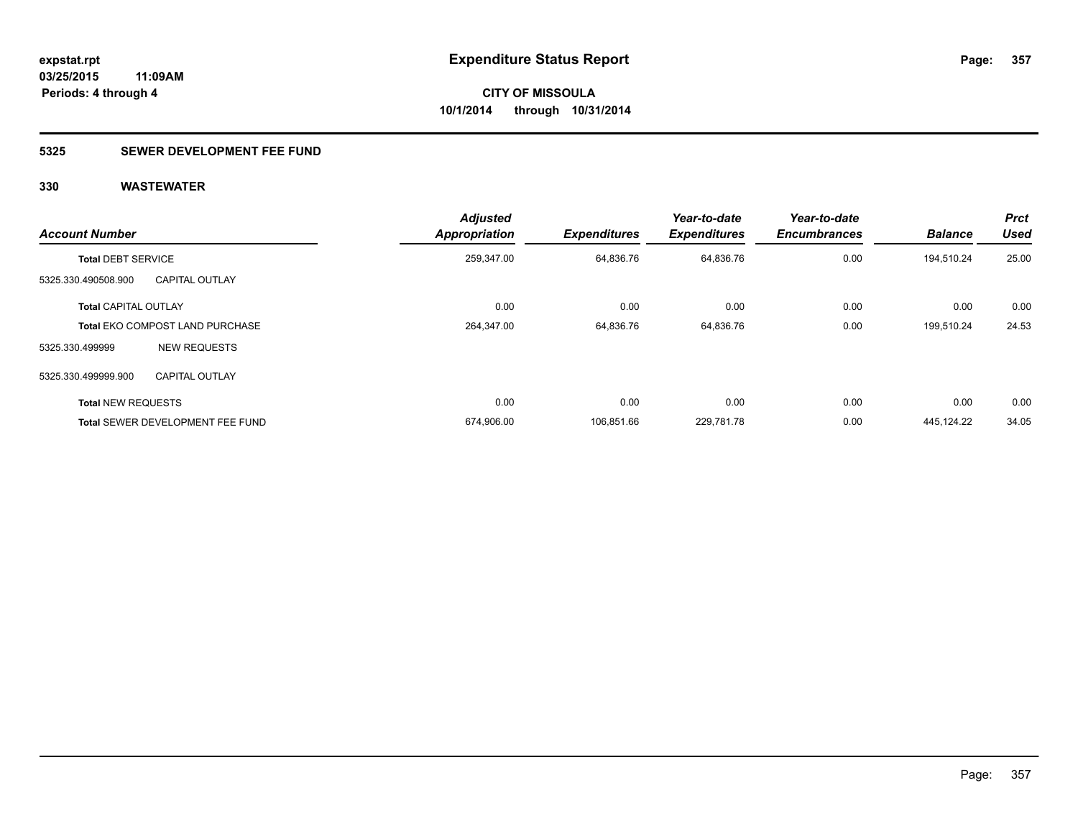#### **5325 SEWER DEVELOPMENT FEE FUND**

| <b>Account Number</b>       |                                         | <b>Adjusted</b><br><b>Appropriation</b> | <b>Expenditures</b> | Year-to-date<br><b>Expenditures</b> | Year-to-date<br><b>Encumbrances</b> | <b>Balance</b> | <b>Prct</b><br><b>Used</b> |
|-----------------------------|-----------------------------------------|-----------------------------------------|---------------------|-------------------------------------|-------------------------------------|----------------|----------------------------|
| <b>Total DEBT SERVICE</b>   |                                         | 259,347.00                              | 64,836.76           | 64,836.76                           | 0.00                                | 194,510.24     | 25.00                      |
| 5325.330.490508.900         | <b>CAPITAL OUTLAY</b>                   |                                         |                     |                                     |                                     |                |                            |
| <b>Total CAPITAL OUTLAY</b> |                                         | 0.00                                    | 0.00                | 0.00                                | 0.00                                | 0.00           | 0.00                       |
|                             | <b>Total EKO COMPOST LAND PURCHASE</b>  | 264,347.00                              | 64,836.76           | 64,836.76                           | 0.00                                | 199,510.24     | 24.53                      |
| 5325.330.499999             | <b>NEW REQUESTS</b>                     |                                         |                     |                                     |                                     |                |                            |
| 5325.330.499999.900         | <b>CAPITAL OUTLAY</b>                   |                                         |                     |                                     |                                     |                |                            |
| <b>Total NEW REQUESTS</b>   |                                         | 0.00                                    | 0.00                | 0.00                                | 0.00                                | 0.00           | 0.00                       |
|                             | <b>Total SEWER DEVELOPMENT FEE FUND</b> | 674,906.00                              | 106.851.66          | 229,781.78                          | 0.00                                | 445.124.22     | 34.05                      |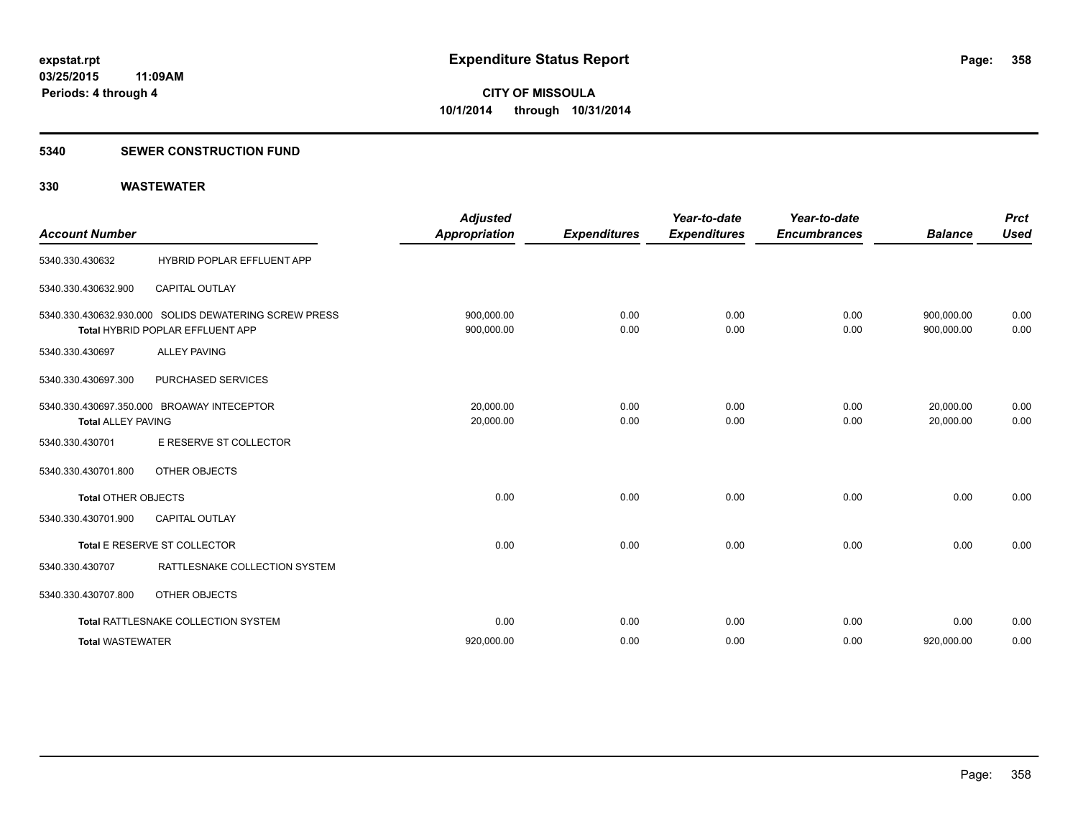#### **5340 SEWER CONSTRUCTION FUND**

| <b>Account Number</b>      |                                                                                           | <b>Adjusted</b><br><b>Appropriation</b> | <b>Expenditures</b> | Year-to-date<br><b>Expenditures</b> | Year-to-date<br><b>Encumbrances</b> | <b>Balance</b>           | <b>Prct</b><br><b>Used</b> |
|----------------------------|-------------------------------------------------------------------------------------------|-----------------------------------------|---------------------|-------------------------------------|-------------------------------------|--------------------------|----------------------------|
| 5340.330.430632            | HYBRID POPLAR EFFLUENT APP                                                                |                                         |                     |                                     |                                     |                          |                            |
| 5340.330.430632.900        | <b>CAPITAL OUTLAY</b>                                                                     |                                         |                     |                                     |                                     |                          |                            |
|                            | 5340.330.430632.930.000 SOLIDS DEWATERING SCREW PRESS<br>Total HYBRID POPLAR EFFLUENT APP | 900.000.00<br>900,000.00                | 0.00<br>0.00        | 0.00<br>0.00                        | 0.00<br>0.00                        | 900.000.00<br>900,000.00 | 0.00<br>0.00               |
| 5340.330.430697            | <b>ALLEY PAVING</b>                                                                       |                                         |                     |                                     |                                     |                          |                            |
| 5340.330.430697.300        | PURCHASED SERVICES                                                                        |                                         |                     |                                     |                                     |                          |                            |
| <b>Total ALLEY PAVING</b>  | 5340.330.430697.350.000 BROAWAY INTECEPTOR                                                | 20.000.00<br>20,000.00                  | 0.00<br>0.00        | 0.00<br>0.00                        | 0.00<br>0.00                        | 20,000.00<br>20.000.00   | 0.00<br>0.00               |
| 5340.330.430701            | E RESERVE ST COLLECTOR                                                                    |                                         |                     |                                     |                                     |                          |                            |
| 5340.330.430701.800        | <b>OTHER OBJECTS</b>                                                                      |                                         |                     |                                     |                                     |                          |                            |
| <b>Total OTHER OBJECTS</b> |                                                                                           | 0.00                                    | 0.00                | 0.00                                | 0.00                                | 0.00                     | 0.00                       |
| 5340.330.430701.900        | <b>CAPITAL OUTLAY</b>                                                                     |                                         |                     |                                     |                                     |                          |                            |
|                            | Total E RESERVE ST COLLECTOR                                                              | 0.00                                    | 0.00                | 0.00                                | 0.00                                | 0.00                     | 0.00                       |
| 5340.330.430707            | RATTLESNAKE COLLECTION SYSTEM                                                             |                                         |                     |                                     |                                     |                          |                            |
| 5340.330.430707.800        | OTHER OBJECTS                                                                             |                                         |                     |                                     |                                     |                          |                            |
|                            | Total RATTLESNAKE COLLECTION SYSTEM                                                       | 0.00                                    | 0.00                | 0.00                                | 0.00                                | 0.00                     | 0.00                       |
| <b>Total WASTEWATER</b>    |                                                                                           | 920,000.00                              | 0.00                | 0.00                                | 0.00                                | 920,000.00               | 0.00                       |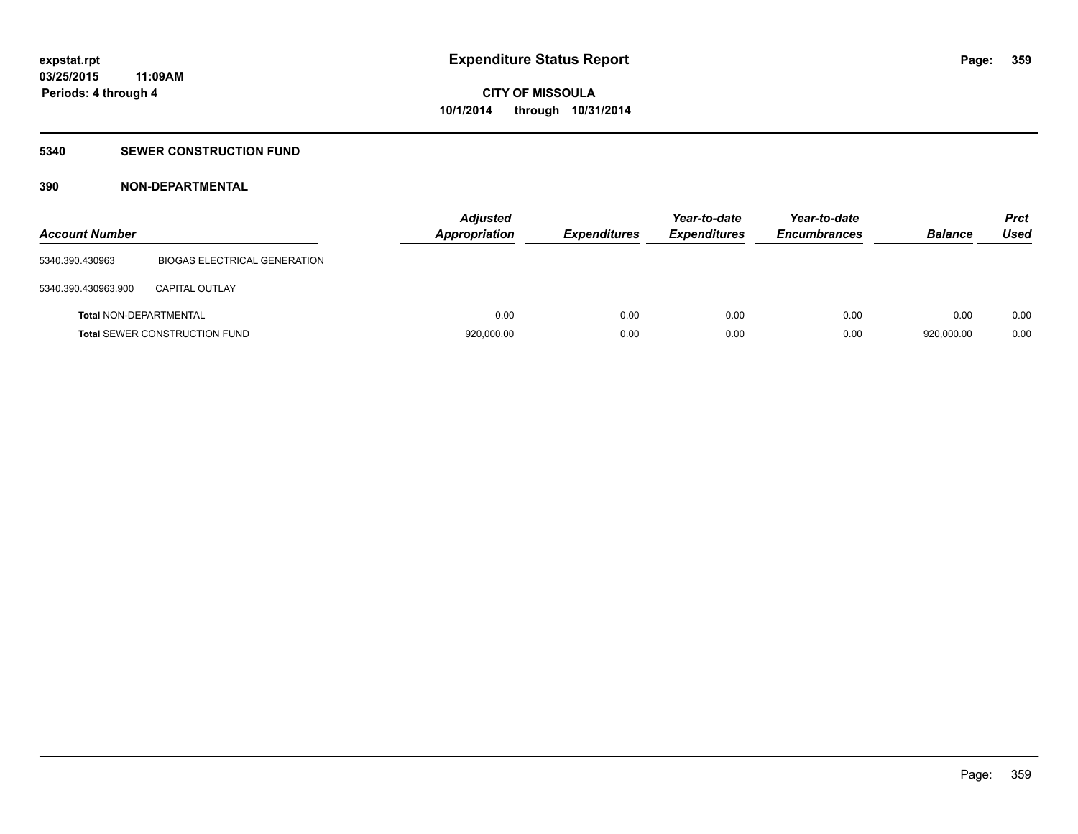#### **5340 SEWER CONSTRUCTION FUND**

#### **390 NON-DEPARTMENTAL**

| <b>Account Number</b>         |                                      | <b>Adjusted</b><br><b>Appropriation</b> | <b>Expenditures</b> | Year-to-date<br><b>Expenditures</b> | Year-to-date<br><b>Encumbrances</b> | <b>Balance</b> | <b>Prct</b><br>Used |
|-------------------------------|--------------------------------------|-----------------------------------------|---------------------|-------------------------------------|-------------------------------------|----------------|---------------------|
| 5340.390.430963               | <b>BIOGAS ELECTRICAL GENERATION</b>  |                                         |                     |                                     |                                     |                |                     |
| 5340.390.430963.900           | <b>CAPITAL OUTLAY</b>                |                                         |                     |                                     |                                     |                |                     |
| <b>Total NON-DEPARTMENTAL</b> |                                      | 0.00                                    | 0.00                | 0.00                                | 0.00                                | 0.00           | 0.00                |
|                               | <b>Total SEWER CONSTRUCTION FUND</b> | 920,000.00                              | 0.00                | 0.00                                | 0.00                                | 920,000.00     | 0.00                |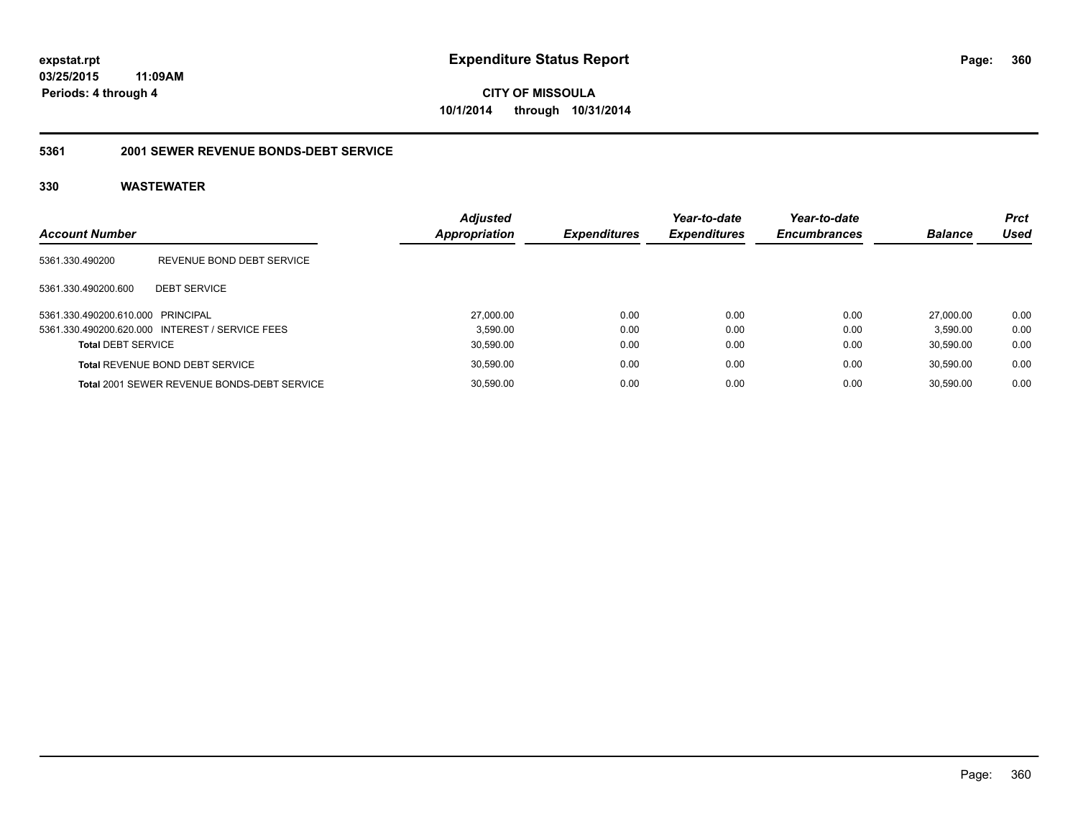# **03/25/2015**

**11:09AM Periods: 4 through 4**

**CITY OF MISSOULA 10/1/2014 through 10/31/2014**

#### **5361 2001 SEWER REVENUE BONDS-DEBT SERVICE**

| <b>Account Number</b>             |                                                    | <b>Adjusted</b><br><b>Appropriation</b> | Expenditures | Year-to-date<br><b>Expenditures</b> | Year-to-date<br><b>Encumbrances</b> | <b>Balance</b> | <b>Prct</b><br>Used |
|-----------------------------------|----------------------------------------------------|-----------------------------------------|--------------|-------------------------------------|-------------------------------------|----------------|---------------------|
| 5361.330.490200                   | REVENUE BOND DEBT SERVICE                          |                                         |              |                                     |                                     |                |                     |
| 5361.330.490200.600               | <b>DEBT SERVICE</b>                                |                                         |              |                                     |                                     |                |                     |
| 5361.330.490200.610.000 PRINCIPAL |                                                    | 27,000.00                               | 0.00         | 0.00                                | 0.00                                | 27.000.00      | 0.00                |
|                                   | 5361.330.490200.620.000 INTEREST / SERVICE FEES    | 3.590.00                                | 0.00         | 0.00                                | 0.00                                | 3.590.00       | 0.00                |
| <b>Total DEBT SERVICE</b>         |                                                    | 30,590.00                               | 0.00         | 0.00                                | 0.00                                | 30.590.00      | 0.00                |
|                                   | <b>Total REVENUE BOND DEBT SERVICE</b>             | 30,590.00                               | 0.00         | 0.00                                | 0.00                                | 30.590.00      | 0.00                |
|                                   | <b>Total 2001 SEWER REVENUE BONDS-DEBT SERVICE</b> | 30,590.00                               | 0.00         | 0.00                                | 0.00                                | 30.590.00      | 0.00                |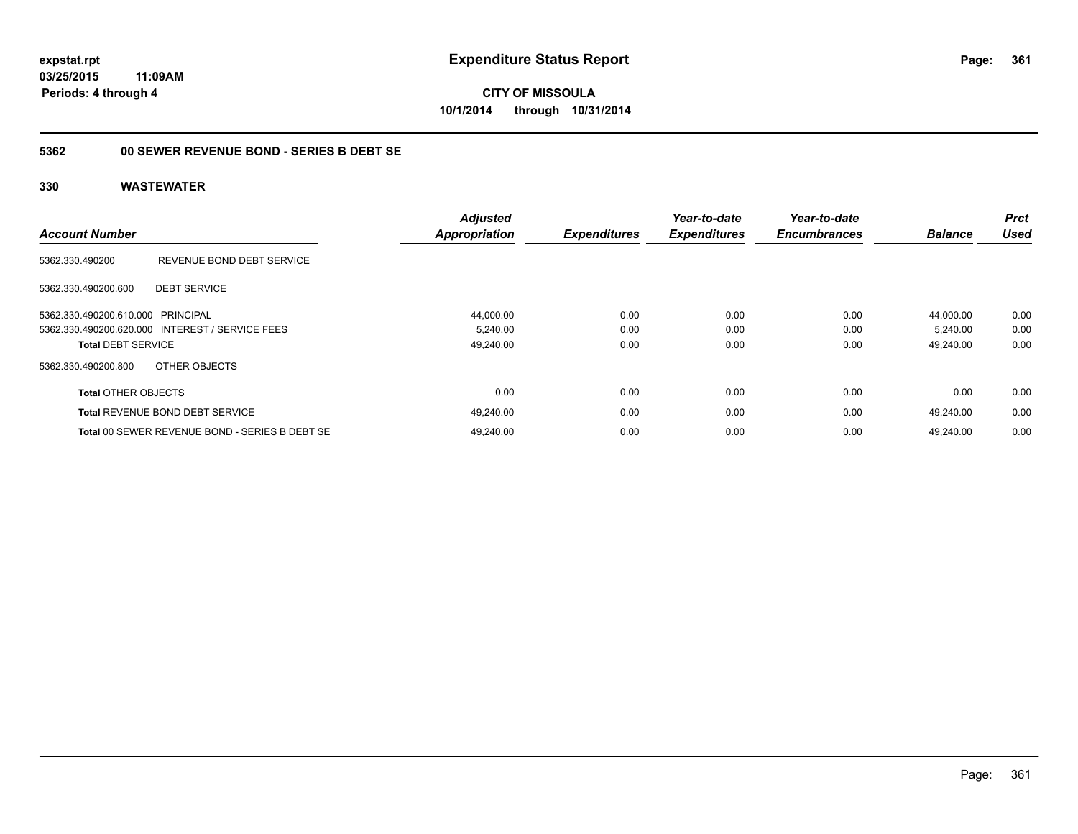### **5362 00 SEWER REVENUE BOND - SERIES B DEBT SE**

| <b>Account Number</b>             |                                                 | <b>Adjusted</b><br><b>Appropriation</b> | <b>Expenditures</b> | Year-to-date<br><b>Expenditures</b> | Year-to-date<br><b>Encumbrances</b> | <b>Balance</b> | <b>Prct</b><br><b>Used</b> |
|-----------------------------------|-------------------------------------------------|-----------------------------------------|---------------------|-------------------------------------|-------------------------------------|----------------|----------------------------|
| 5362.330.490200                   | REVENUE BOND DEBT SERVICE                       |                                         |                     |                                     |                                     |                |                            |
| 5362.330.490200.600               | <b>DEBT SERVICE</b>                             |                                         |                     |                                     |                                     |                |                            |
| 5362.330.490200.610.000 PRINCIPAL |                                                 | 44,000.00                               | 0.00                | 0.00                                | 0.00                                | 44.000.00      | 0.00                       |
|                                   | 5362.330.490200.620.000 INTEREST / SERVICE FEES | 5,240.00                                | 0.00                | 0.00                                | 0.00                                | 5,240.00       | 0.00                       |
| <b>Total DEBT SERVICE</b>         |                                                 | 49,240.00                               | 0.00                | 0.00                                | 0.00                                | 49.240.00      | 0.00                       |
| 5362.330.490200.800               | OTHER OBJECTS                                   |                                         |                     |                                     |                                     |                |                            |
| <b>Total OTHER OBJECTS</b>        |                                                 | 0.00                                    | 0.00                | 0.00                                | 0.00                                | 0.00           | 0.00                       |
|                                   | <b>Total REVENUE BOND DEBT SERVICE</b>          | 49,240.00                               | 0.00                | 0.00                                | 0.00                                | 49.240.00      | 0.00                       |
|                                   | Total 00 SEWER REVENUE BOND - SERIES B DEBT SE  | 49.240.00                               | 0.00                | 0.00                                | 0.00                                | 49.240.00      | 0.00                       |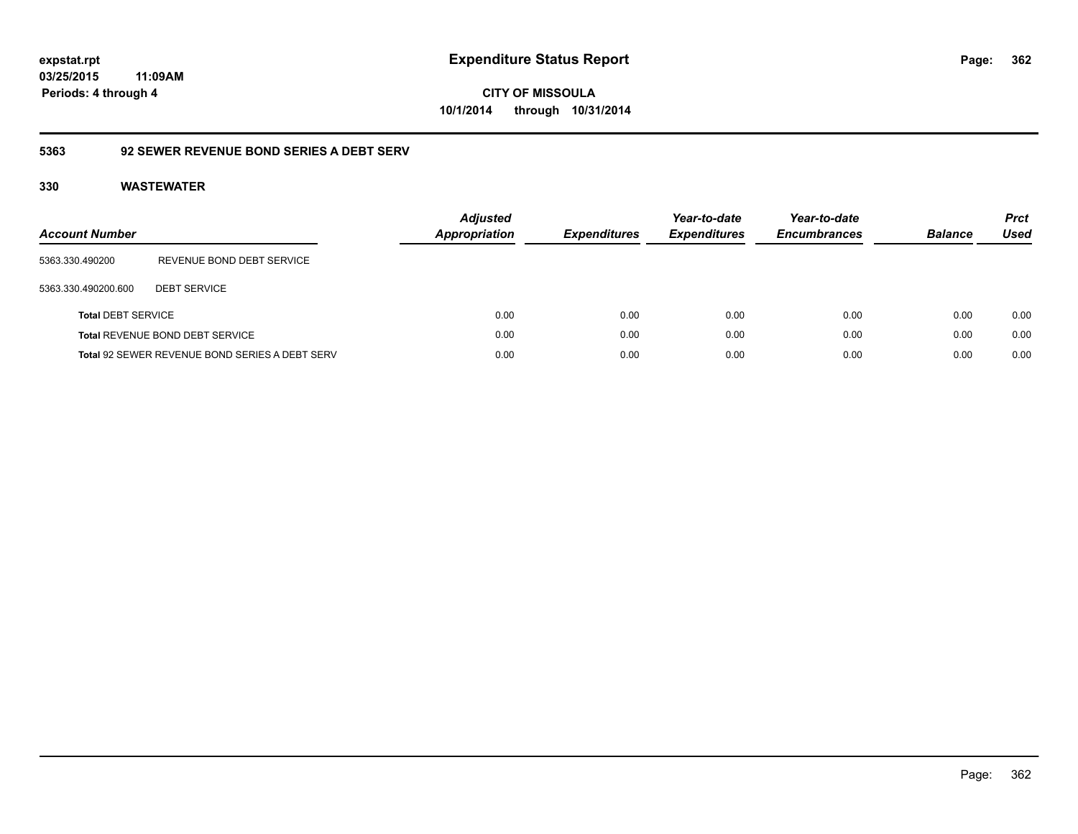**362**

**03/25/2015 11:09AM Periods: 4 through 4**

**CITY OF MISSOULA 10/1/2014 through 10/31/2014**

# **5363 92 SEWER REVENUE BOND SERIES A DEBT SERV**

| Account Number            |                                                | <b>Adjusted</b><br><b>Appropriation</b> | <i><b>Expenditures</b></i> | Year-to-date<br><b>Expenditures</b> | Year-to-date<br><b>Encumbrances</b> | <b>Balance</b> | <b>Prct</b><br>Used |
|---------------------------|------------------------------------------------|-----------------------------------------|----------------------------|-------------------------------------|-------------------------------------|----------------|---------------------|
| 5363.330.490200           | REVENUE BOND DEBT SERVICE                      |                                         |                            |                                     |                                     |                |                     |
| 5363.330.490200.600       | <b>DEBT SERVICE</b>                            |                                         |                            |                                     |                                     |                |                     |
| <b>Total DEBT SERVICE</b> |                                                | 0.00                                    | 0.00                       | 0.00                                | 0.00                                | 0.00           | 0.00                |
|                           | <b>Total REVENUE BOND DEBT SERVICE</b>         | 0.00                                    | 0.00                       | 0.00                                | 0.00                                | 0.00           | 0.00                |
|                           | Total 92 SEWER REVENUE BOND SERIES A DEBT SERV | 0.00                                    | 0.00                       | 0.00                                | 0.00                                | 0.00           | 0.00                |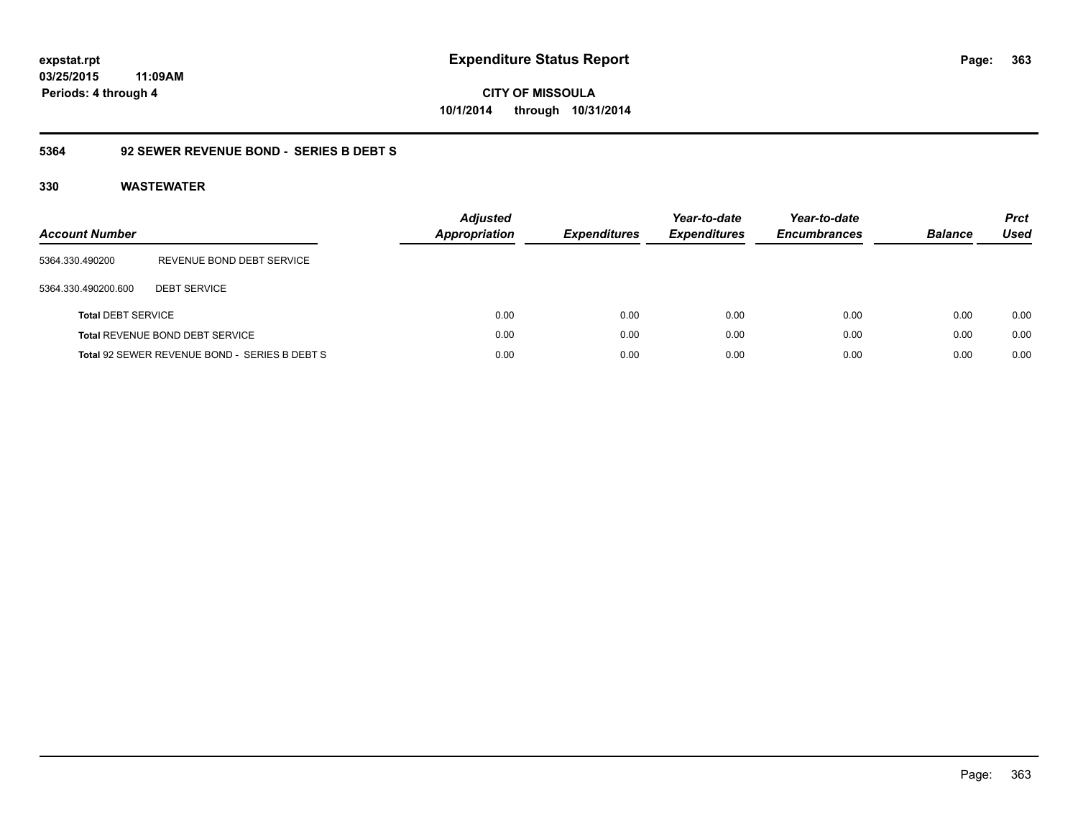# **03/25/2015**

**363**

**11:09AM Periods: 4 through 4**

**CITY OF MISSOULA 10/1/2014 through 10/31/2014**

#### **5364 92 SEWER REVENUE BOND - SERIES B DEBT S**

| <b>Account Number</b>     |                                               | <b>Adjusted</b><br><b>Appropriation</b> | <b>Expenditures</b> | Year-to-date<br><b>Expenditures</b> | Year-to-date<br><b>Encumbrances</b> | <b>Balance</b> | <b>Prct</b><br><b>Used</b> |
|---------------------------|-----------------------------------------------|-----------------------------------------|---------------------|-------------------------------------|-------------------------------------|----------------|----------------------------|
| 5364.330.490200           | REVENUE BOND DEBT SERVICE                     |                                         |                     |                                     |                                     |                |                            |
| 5364.330.490200.600       | <b>DEBT SERVICE</b>                           |                                         |                     |                                     |                                     |                |                            |
| <b>Total DEBT SERVICE</b> |                                               | 0.00                                    | 0.00                | 0.00                                | 0.00                                | 0.00           | 0.00                       |
|                           | Total REVENUE BOND DEBT SERVICE               | 0.00                                    | 0.00                | 0.00                                | 0.00                                | 0.00           | 0.00                       |
|                           | Total 92 SEWER REVENUE BOND - SERIES B DEBT S | 0.00                                    | 0.00                | 0.00                                | 0.00                                | 0.00           | 0.00                       |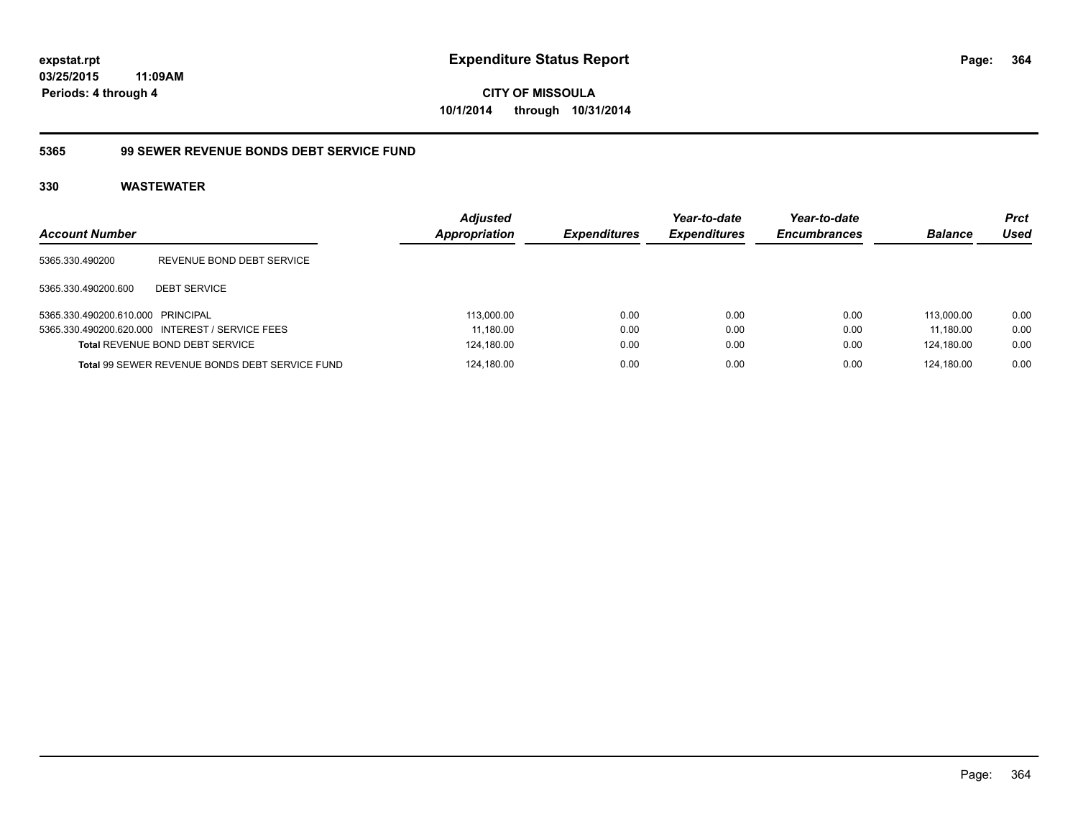**03/25/2015 11:09AM Periods: 4 through 4**

**CITY OF MISSOULA 10/1/2014 through 10/31/2014**

#### **5365 99 SEWER REVENUE BONDS DEBT SERVICE FUND**

| <b>Account Number</b>             |                                                 | <b>Adjusted</b><br>Appropriation | <b>Expenditures</b> | Year-to-date<br><b>Expenditures</b> | Year-to-date<br><b>Encumbrances</b> | <b>Balance</b> | <b>Prct</b><br>Used |
|-----------------------------------|-------------------------------------------------|----------------------------------|---------------------|-------------------------------------|-------------------------------------|----------------|---------------------|
| 5365.330.490200                   | REVENUE BOND DEBT SERVICE                       |                                  |                     |                                     |                                     |                |                     |
| 5365.330.490200.600               | <b>DEBT SERVICE</b>                             |                                  |                     |                                     |                                     |                |                     |
| 5365.330.490200.610.000 PRINCIPAL |                                                 | 113,000.00                       | 0.00                | 0.00                                | 0.00                                | 113.000.00     | 0.00                |
|                                   | 5365.330.490200.620.000 INTEREST / SERVICE FEES | 11,180.00                        | 0.00                | 0.00                                | 0.00                                | 11.180.00      | 0.00                |
|                                   | Total REVENUE BOND DEBT SERVICE                 | 124,180.00                       | 0.00                | 0.00                                | 0.00                                | 124,180.00     | 0.00                |
|                                   | Total 99 SEWER REVENUE BONDS DEBT SERVICE FUND  | 124,180.00                       | 0.00                | 0.00                                | 0.00                                | 124.180.00     | 0.00                |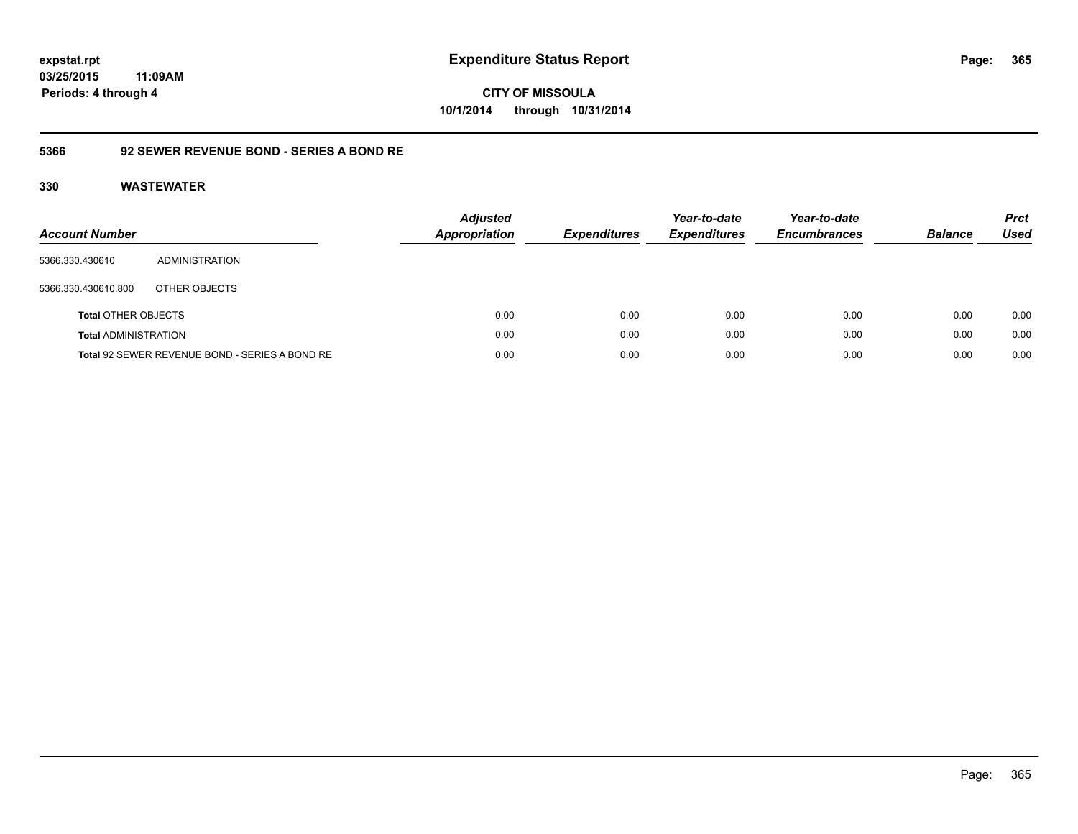**365**

**03/25/2015 11:09AM Periods: 4 through 4**

**CITY OF MISSOULA 10/1/2014 through 10/31/2014**

#### **5366 92 SEWER REVENUE BOND - SERIES A BOND RE**

| <b>Account Number</b>       |                                                | <b>Adjusted</b><br>Appropriation | <b>Expenditures</b> | Year-to-date<br><b>Expenditures</b> | Year-to-date<br><b>Encumbrances</b> | <b>Balance</b> | <b>Prct</b><br><b>Used</b> |
|-----------------------------|------------------------------------------------|----------------------------------|---------------------|-------------------------------------|-------------------------------------|----------------|----------------------------|
| 5366.330.430610             | ADMINISTRATION                                 |                                  |                     |                                     |                                     |                |                            |
| 5366.330.430610.800         | OTHER OBJECTS                                  |                                  |                     |                                     |                                     |                |                            |
| <b>Total OTHER OBJECTS</b>  |                                                | 0.00                             | 0.00                | 0.00                                | 0.00                                | 0.00           | 0.00                       |
| <b>Total ADMINISTRATION</b> |                                                | 0.00                             | 0.00                | 0.00                                | 0.00                                | 0.00           | 0.00                       |
|                             | Total 92 SEWER REVENUE BOND - SERIES A BOND RE | 0.00                             | 0.00                | 0.00                                | 0.00                                | 0.00           | 0.00                       |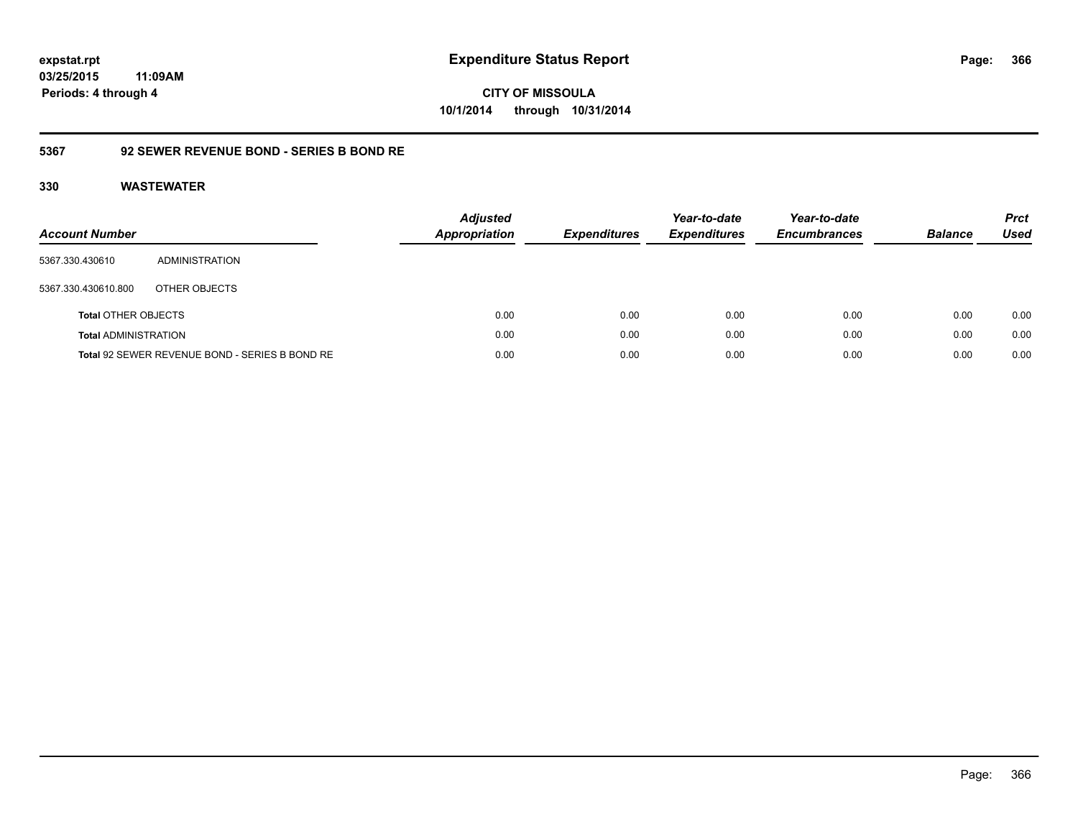**366**

**03/25/2015 11:09AM Periods: 4 through 4**

**CITY OF MISSOULA 10/1/2014 through 10/31/2014**

#### **5367 92 SEWER REVENUE BOND - SERIES B BOND RE**

| <b>Account Number</b>       |                                                | <b>Adjusted</b><br><b>Appropriation</b> | <b>Expenditures</b> | Year-to-date<br><b>Expenditures</b> | Year-to-date<br><b>Encumbrances</b> | <b>Balance</b> | <b>Prct</b><br><b>Used</b> |
|-----------------------------|------------------------------------------------|-----------------------------------------|---------------------|-------------------------------------|-------------------------------------|----------------|----------------------------|
| 5367.330.430610             | ADMINISTRATION                                 |                                         |                     |                                     |                                     |                |                            |
| 5367.330.430610.800         | OTHER OBJECTS                                  |                                         |                     |                                     |                                     |                |                            |
| <b>Total OTHER OBJECTS</b>  |                                                | 0.00                                    | 0.00                | 0.00                                | 0.00                                | 0.00           | 0.00                       |
| <b>Total ADMINISTRATION</b> |                                                | 0.00                                    | 0.00                | 0.00                                | 0.00                                | 0.00           | 0.00                       |
|                             | Total 92 SEWER REVENUE BOND - SERIES B BOND RE | 0.00                                    | 0.00                | 0.00                                | 0.00                                | 0.00           | 0.00                       |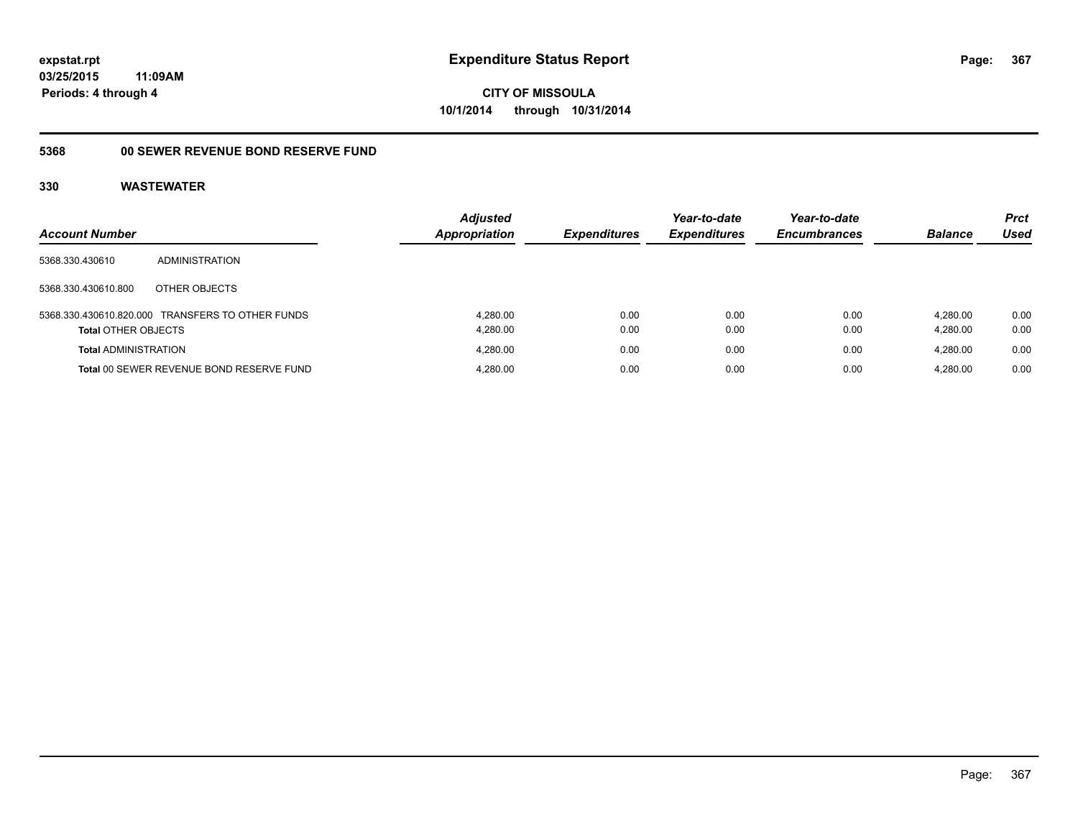### **03/25/2015 11:09AM Periods: 4 through 4**

**CITY OF MISSOULA 10/1/2014 through 10/31/2014**

# **5368 00 SEWER REVENUE BOND RESERVE FUND**

| <b>Account Number</b>       |                                                  | <b>Adjusted</b><br><b>Appropriation</b> | <b>Expenditures</b> | Year-to-date<br><b>Expenditures</b> | Year-to-date<br><b>Encumbrances</b> | <b>Balance</b>       | <b>Prct</b><br>Used |
|-----------------------------|--------------------------------------------------|-----------------------------------------|---------------------|-------------------------------------|-------------------------------------|----------------------|---------------------|
| 5368.330.430610             | ADMINISTRATION                                   |                                         |                     |                                     |                                     |                      |                     |
| 5368.330.430610.800         | OTHER OBJECTS                                    |                                         |                     |                                     |                                     |                      |                     |
| <b>Total OTHER OBJECTS</b>  | 5368.330.430610.820.000 TRANSFERS TO OTHER FUNDS | 4.280.00<br>4,280.00                    | 0.00<br>0.00        | 0.00<br>0.00                        | 0.00<br>0.00                        | 4.280.00<br>4.280.00 | 0.00<br>0.00        |
| <b>Total ADMINISTRATION</b> |                                                  | 4.280.00                                | 0.00                | 0.00                                | 0.00                                | 4.280.00             | 0.00                |
|                             | Total 00 SEWER REVENUE BOND RESERVE FUND         | 4.280.00                                | 0.00                | 0.00                                | 0.00                                | 4.280.00             | 0.00                |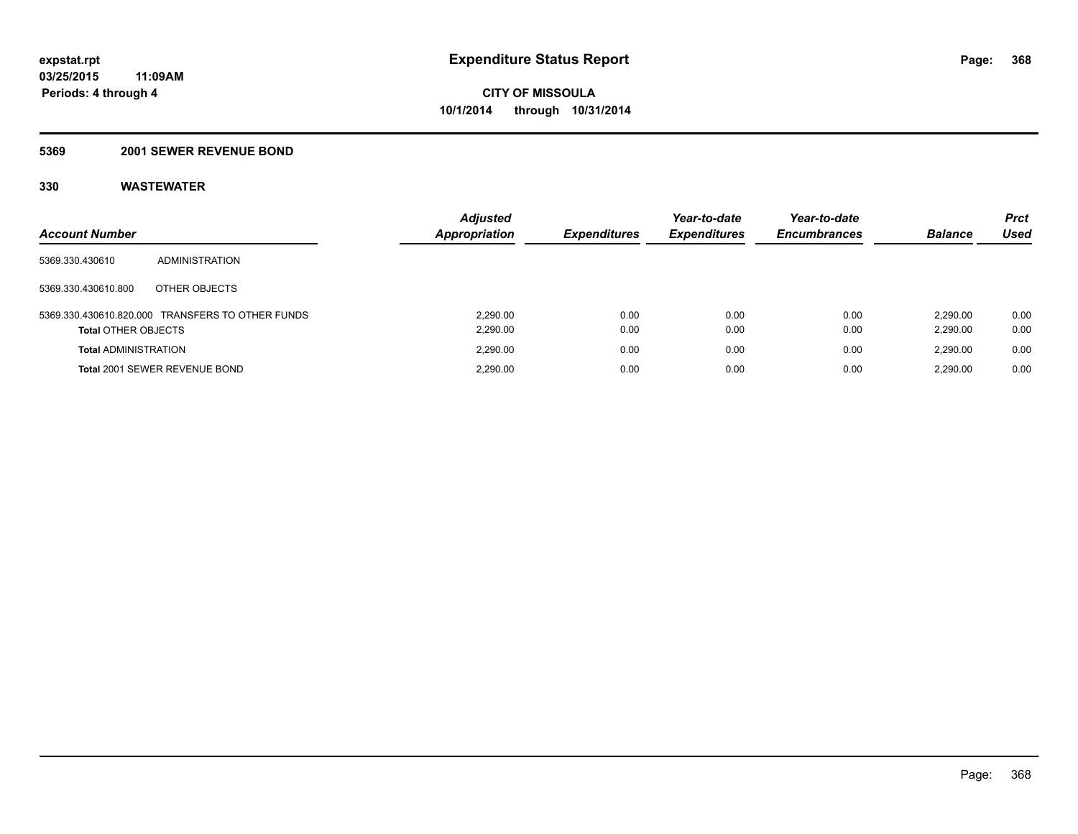#### **5369 2001 SEWER REVENUE BOND**

| <b>Account Number</b>       |                                                  | <b>Adjusted</b><br>Appropriation | <b>Expenditures</b> | Year-to-date<br><b>Expenditures</b> | Year-to-date<br><b>Encumbrances</b> | <b>Balance</b>       | <b>Prct</b><br>Used |
|-----------------------------|--------------------------------------------------|----------------------------------|---------------------|-------------------------------------|-------------------------------------|----------------------|---------------------|
| 5369.330.430610             | ADMINISTRATION                                   |                                  |                     |                                     |                                     |                      |                     |
| 5369.330.430610.800         | OTHER OBJECTS                                    |                                  |                     |                                     |                                     |                      |                     |
| <b>Total OTHER OBJECTS</b>  | 5369.330.430610.820.000 TRANSFERS TO OTHER FUNDS | 2.290.00<br>2,290.00             | 0.00<br>0.00        | 0.00<br>0.00                        | 0.00<br>0.00                        | 2.290.00<br>2,290.00 | 0.00<br>0.00        |
| <b>Total ADMINISTRATION</b> |                                                  | 2.290.00                         | 0.00                | 0.00                                | 0.00                                | 2.290.00             | 0.00                |
|                             | Total 2001 SEWER REVENUE BOND                    | 2.290.00                         | 0.00                | 0.00                                | 0.00                                | 2.290.00             | 0.00                |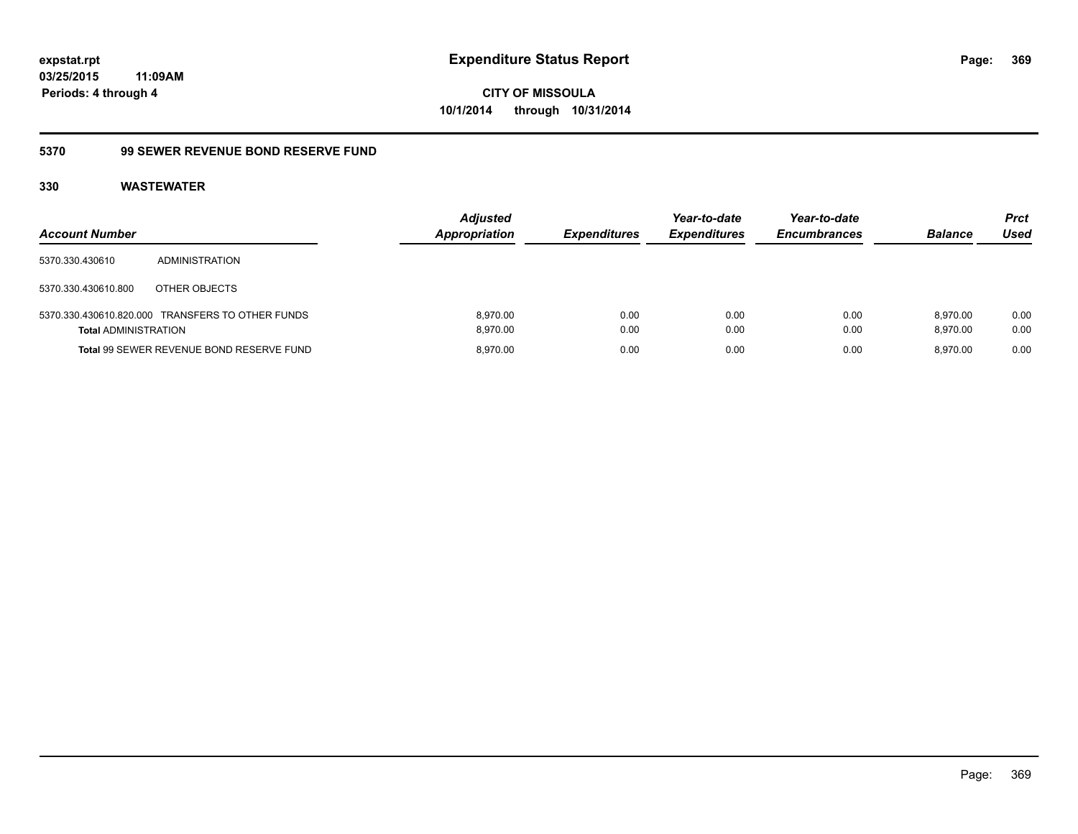### **03/25/2015 11:09AM Periods: 4 through 4**

**CITY OF MISSOULA 10/1/2014 through 10/31/2014**

#### **5370 99 SEWER REVENUE BOND RESERVE FUND**

| <b>Account Number</b>       |                                                  | <b>Adjusted</b><br><b>Appropriation</b> | <b>Expenditures</b> | Year-to-date<br><b>Expenditures</b> | Year-to-date<br><b>Encumbrances</b> | <b>Balance</b>       | <b>Prct</b><br>Used |
|-----------------------------|--------------------------------------------------|-----------------------------------------|---------------------|-------------------------------------|-------------------------------------|----------------------|---------------------|
| 5370.330.430610             | <b>ADMINISTRATION</b>                            |                                         |                     |                                     |                                     |                      |                     |
| 5370.330.430610.800         | OTHER OBJECTS                                    |                                         |                     |                                     |                                     |                      |                     |
| <b>Total ADMINISTRATION</b> | 5370.330.430610.820.000 TRANSFERS TO OTHER FUNDS | 8.970.00<br>8.970.00                    | 0.00<br>0.00        | 0.00<br>0.00                        | 0.00<br>0.00                        | 8.970.00<br>8.970.00 | 0.00<br>0.00        |
|                             | Total 99 SEWER REVENUE BOND RESERVE FUND         | 8.970.00                                | 0.00                | 0.00                                | 0.00                                | 8.970.00             | 0.00                |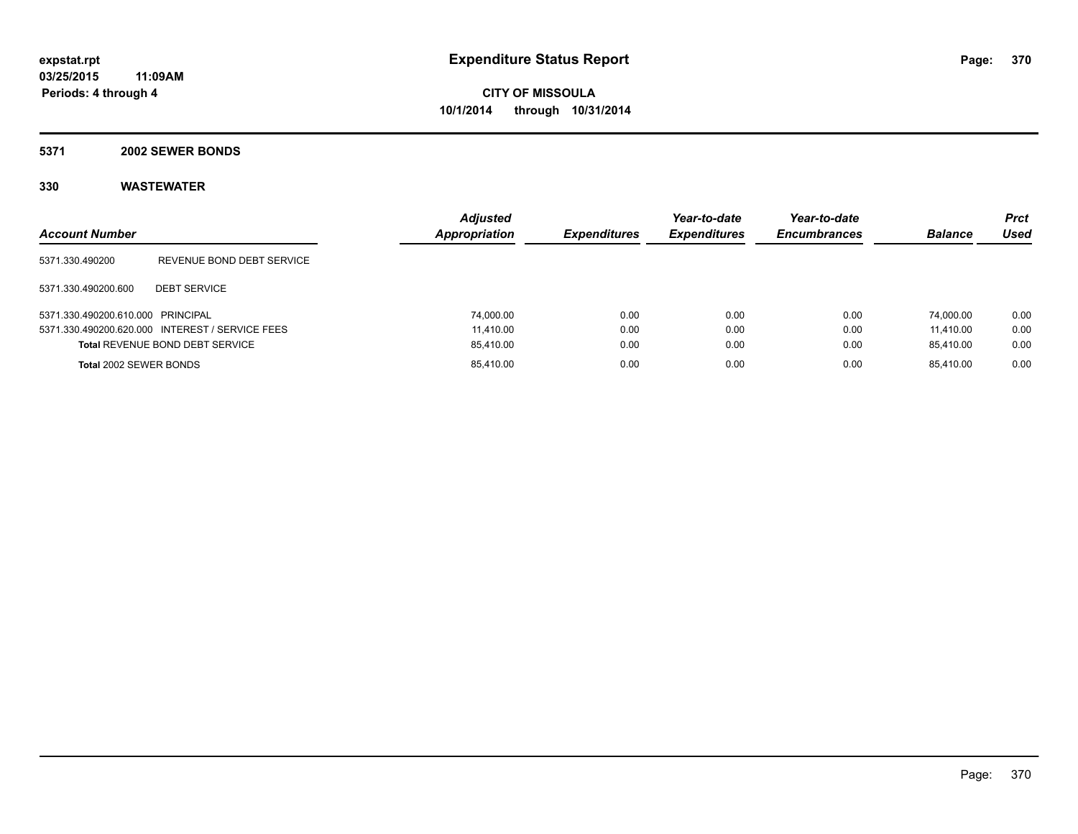**5371 2002 SEWER BONDS**

| <b>Account Number</b>             |                                                 | <b>Adjusted</b><br><b>Appropriation</b> | <b>Expenditures</b> | Year-to-date<br><b>Expenditures</b> | Year-to-date<br><b>Encumbrances</b> | <b>Balance</b> | <b>Prct</b><br><b>Used</b> |
|-----------------------------------|-------------------------------------------------|-----------------------------------------|---------------------|-------------------------------------|-------------------------------------|----------------|----------------------------|
| 5371.330.490200                   | REVENUE BOND DEBT SERVICE                       |                                         |                     |                                     |                                     |                |                            |
| 5371.330.490200.600               | <b>DEBT SERVICE</b>                             |                                         |                     |                                     |                                     |                |                            |
| 5371.330.490200.610.000 PRINCIPAL |                                                 | 74,000.00                               | 0.00                | 0.00                                | 0.00                                | 74.000.00      | 0.00                       |
|                                   | 5371.330.490200.620.000 INTEREST / SERVICE FEES | 11.410.00                               | 0.00                | 0.00                                | 0.00                                | 11.410.00      | 0.00                       |
|                                   | <b>Total REVENUE BOND DEBT SERVICE</b>          | 85,410.00                               | 0.00                | 0.00                                | 0.00                                | 85.410.00      | 0.00                       |
| Total 2002 SEWER BONDS            |                                                 | 85,410.00                               | 0.00                | 0.00                                | 0.00                                | 85.410.00      | 0.00                       |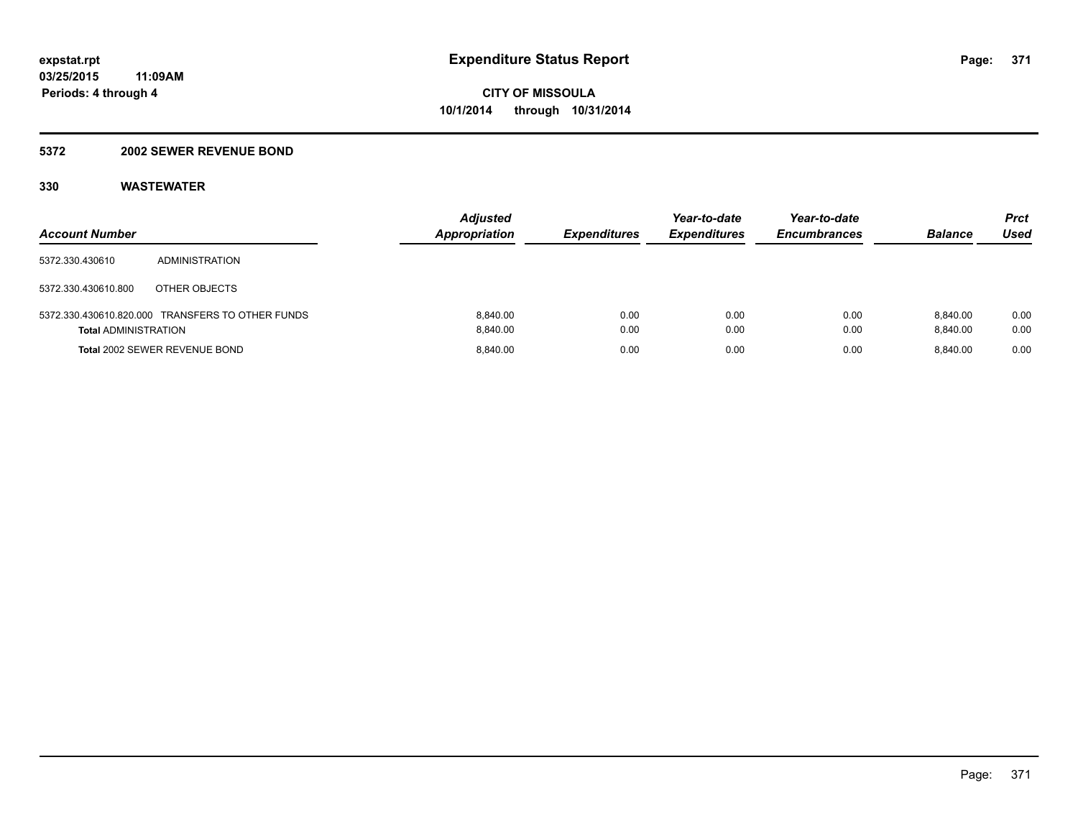#### **5372 2002 SEWER REVENUE BOND**

| <b>Account Number</b>       |                                                  | <b>Adjusted</b><br><b>Appropriation</b> | <b>Expenditures</b> | Year-to-date<br><b>Expenditures</b> | Year-to-date<br><b>Encumbrances</b> | <b>Balance</b>       | <b>Prct</b><br><b>Used</b> |
|-----------------------------|--------------------------------------------------|-----------------------------------------|---------------------|-------------------------------------|-------------------------------------|----------------------|----------------------------|
| 5372.330.430610             | ADMINISTRATION                                   |                                         |                     |                                     |                                     |                      |                            |
| 5372.330.430610.800         | OTHER OBJECTS                                    |                                         |                     |                                     |                                     |                      |                            |
| <b>Total ADMINISTRATION</b> | 5372.330.430610.820.000 TRANSFERS TO OTHER FUNDS | 8.840.00<br>8.840.00                    | 0.00<br>0.00        | 0.00<br>0.00                        | 0.00<br>0.00                        | 8.840.00<br>8.840.00 | 0.00<br>0.00               |
|                             | Total 2002 SEWER REVENUE BOND                    | 8.840.00                                | 0.00                | 0.00                                | 0.00                                | 8.840.00             | 0.00                       |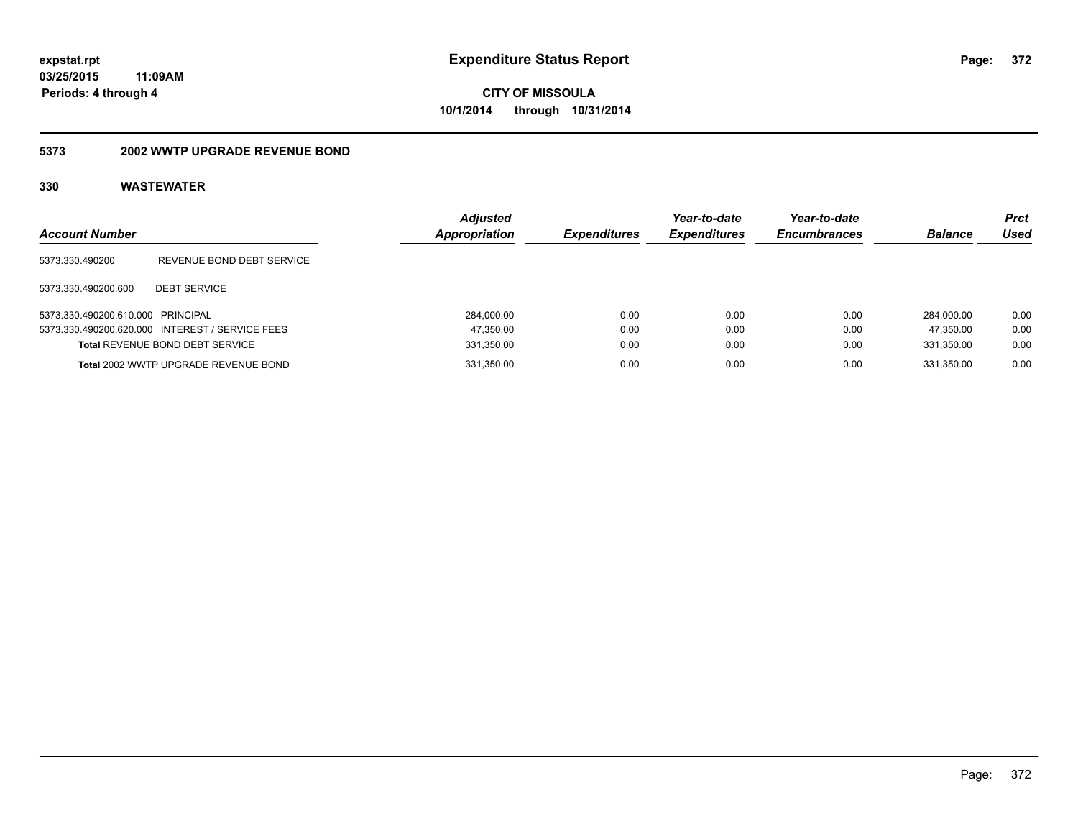#### **5373 2002 WWTP UPGRADE REVENUE BOND**

| <b>Account Number</b>             |                                                 | <b>Adiusted</b><br><b>Appropriation</b> | <b>Expenditures</b> | Year-to-date<br><b>Expenditures</b> | Year-to-date<br><b>Encumbrances</b> | <b>Balance</b> | Prct<br>Used |
|-----------------------------------|-------------------------------------------------|-----------------------------------------|---------------------|-------------------------------------|-------------------------------------|----------------|--------------|
| 5373.330.490200                   | REVENUE BOND DEBT SERVICE                       |                                         |                     |                                     |                                     |                |              |
| 5373.330.490200.600               | <b>DEBT SERVICE</b>                             |                                         |                     |                                     |                                     |                |              |
| 5373.330.490200.610.000 PRINCIPAL |                                                 | 284,000.00                              | 0.00                | 0.00                                | 0.00                                | 284.000.00     | 0.00         |
|                                   | 5373.330.490200.620.000 INTEREST / SERVICE FEES | 47,350.00                               | 0.00                | 0.00                                | 0.00                                | 47.350.00      | 0.00         |
|                                   | <b>Total REVENUE BOND DEBT SERVICE</b>          | 331,350.00                              | 0.00                | 0.00                                | 0.00                                | 331,350.00     | 0.00         |
|                                   | Total 2002 WWTP UPGRADE REVENUE BOND            | 331,350.00                              | 0.00                | 0.00                                | 0.00                                | 331.350.00     | 0.00         |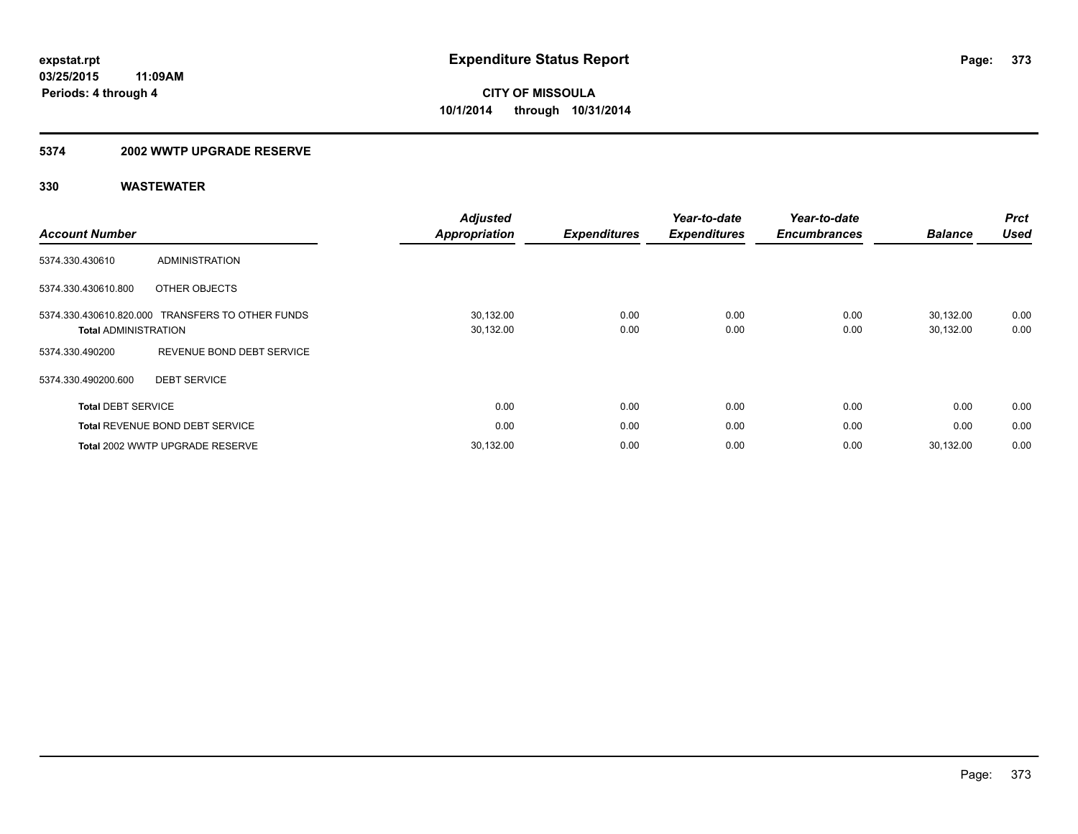#### **5374 2002 WWTP UPGRADE RESERVE**

| <b>Account Number</b>       |                                                  | <b>Adjusted</b><br><b>Appropriation</b> | <b>Expenditures</b> | Year-to-date<br><b>Expenditures</b> | Year-to-date<br><b>Encumbrances</b> | <b>Balance</b>         | <b>Prct</b><br><b>Used</b> |
|-----------------------------|--------------------------------------------------|-----------------------------------------|---------------------|-------------------------------------|-------------------------------------|------------------------|----------------------------|
| 5374.330.430610             | <b>ADMINISTRATION</b>                            |                                         |                     |                                     |                                     |                        |                            |
| 5374.330.430610.800         | OTHER OBJECTS                                    |                                         |                     |                                     |                                     |                        |                            |
| <b>Total ADMINISTRATION</b> | 5374.330.430610.820.000 TRANSFERS TO OTHER FUNDS | 30,132.00<br>30,132.00                  | 0.00<br>0.00        | 0.00<br>0.00                        | 0.00<br>0.00                        | 30,132.00<br>30,132.00 | 0.00<br>0.00               |
| 5374.330.490200             | REVENUE BOND DEBT SERVICE                        |                                         |                     |                                     |                                     |                        |                            |
| 5374.330.490200.600         | <b>DEBT SERVICE</b>                              |                                         |                     |                                     |                                     |                        |                            |
| <b>Total DEBT SERVICE</b>   |                                                  | 0.00                                    | 0.00                | 0.00                                | 0.00                                | 0.00                   | 0.00                       |
|                             | <b>Total REVENUE BOND DEBT SERVICE</b>           | 0.00                                    | 0.00                | 0.00                                | 0.00                                | 0.00                   | 0.00                       |
|                             | Total 2002 WWTP UPGRADE RESERVE                  | 30,132.00                               | 0.00                | 0.00                                | 0.00                                | 30.132.00              | 0.00                       |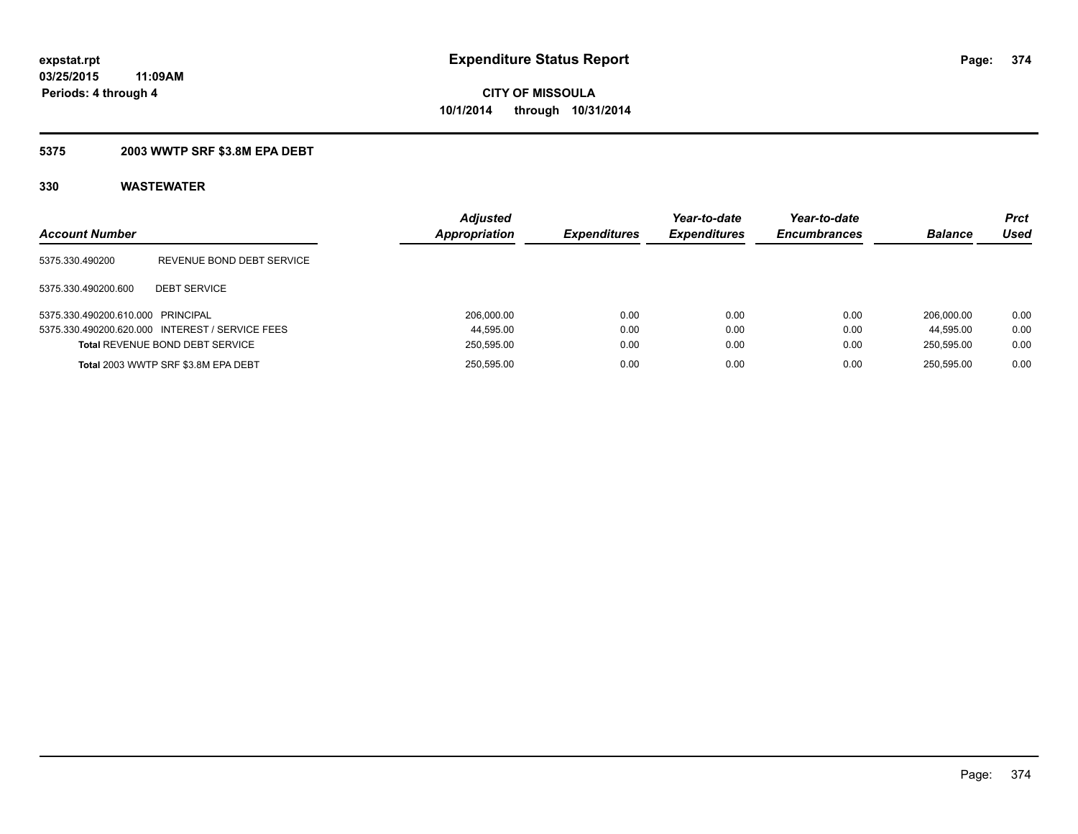### **5375 2003 WWTP SRF \$3.8M EPA DEBT**

| <b>Account Number</b>             |                                                 | <b>Adjusted</b><br><b>Appropriation</b> | <b>Expenditures</b> | Year-to-date<br><b>Expenditures</b> | Year-to-date<br><b>Encumbrances</b> | <b>Balance</b> | Prct<br>Used |
|-----------------------------------|-------------------------------------------------|-----------------------------------------|---------------------|-------------------------------------|-------------------------------------|----------------|--------------|
| 5375.330.490200                   | REVENUE BOND DEBT SERVICE                       |                                         |                     |                                     |                                     |                |              |
| 5375.330.490200.600               | <b>DEBT SERVICE</b>                             |                                         |                     |                                     |                                     |                |              |
| 5375.330.490200.610.000 PRINCIPAL |                                                 | 206,000.00                              | 0.00                | 0.00                                | 0.00                                | 206.000.00     | 0.00         |
|                                   | 5375.330.490200.620.000 INTEREST / SERVICE FEES | 44,595.00                               | 0.00                | 0.00                                | 0.00                                | 44.595.00      | 0.00         |
|                                   | Total REVENUE BOND DEBT SERVICE                 | 250,595.00                              | 0.00                | 0.00                                | 0.00                                | 250,595.00     | 0.00         |
|                                   | Total 2003 WWTP SRF \$3.8M EPA DEBT             | 250.595.00                              | 0.00                | 0.00                                | 0.00                                | 250.595.00     | 0.00         |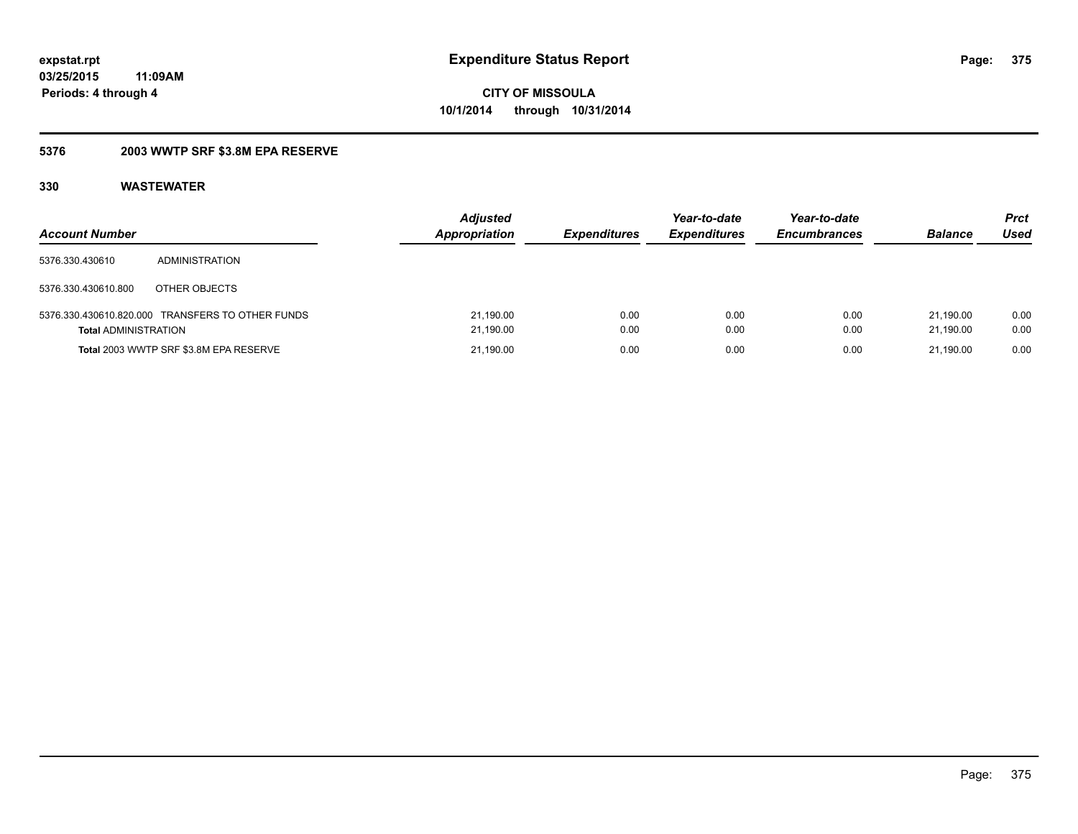### **5376 2003 WWTP SRF \$3.8M EPA RESERVE**

| <b>Account Number</b>       |                                                  | <b>Adjusted</b><br><b>Appropriation</b> | <b>Expenditures</b> | Year-to-date<br><b>Expenditures</b> | Year-to-date<br><b>Encumbrances</b> | <b>Balance</b>         | Prct<br>Used |
|-----------------------------|--------------------------------------------------|-----------------------------------------|---------------------|-------------------------------------|-------------------------------------|------------------------|--------------|
| 5376.330.430610             | ADMINISTRATION                                   |                                         |                     |                                     |                                     |                        |              |
| 5376.330.430610.800         | OTHER OBJECTS                                    |                                         |                     |                                     |                                     |                        |              |
| <b>Total ADMINISTRATION</b> | 5376.330.430610.820.000 TRANSFERS TO OTHER FUNDS | 21,190.00<br>21,190.00                  | 0.00<br>0.00        | 0.00<br>0.00                        | 0.00<br>0.00                        | 21.190.00<br>21.190.00 | 0.00<br>0.00 |
|                             | Total 2003 WWTP SRF \$3.8M EPA RESERVE           | 21,190.00                               | 0.00                | 0.00                                | 0.00                                | 21.190.00              | 0.00         |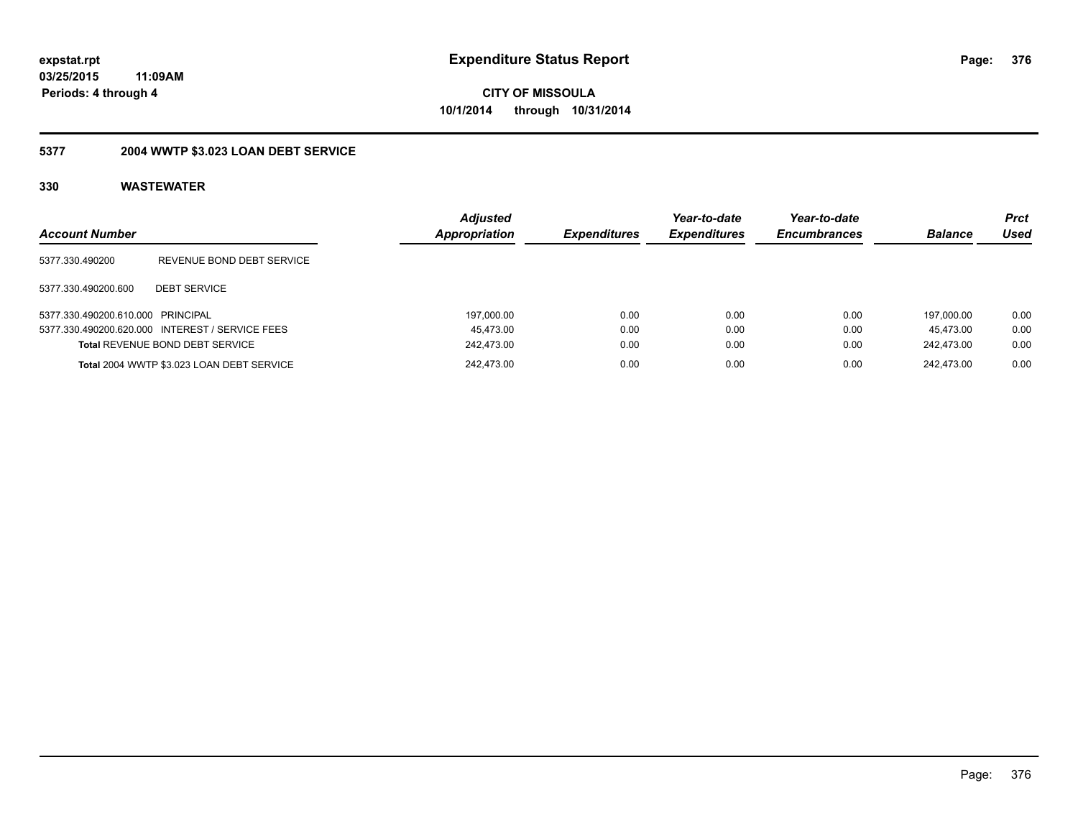### **03/25/2015 11:09AM Periods: 4 through 4**

**CITY OF MISSOULA 10/1/2014 through 10/31/2014**

# **5377 2004 WWTP \$3.023 LOAN DEBT SERVICE**

| <b>Account Number</b>             |                                                 | <b>Adjusted</b><br>Appropriation | <b>Expenditures</b> | Year-to-date<br><b>Expenditures</b> | Year-to-date<br><b>Encumbrances</b> | <b>Balance</b> | <b>Prct</b><br>Used |
|-----------------------------------|-------------------------------------------------|----------------------------------|---------------------|-------------------------------------|-------------------------------------|----------------|---------------------|
| 5377.330.490200                   | REVENUE BOND DEBT SERVICE                       |                                  |                     |                                     |                                     |                |                     |
| 5377.330.490200.600               | <b>DEBT SERVICE</b>                             |                                  |                     |                                     |                                     |                |                     |
| 5377.330.490200.610.000 PRINCIPAL |                                                 | 197,000.00                       | 0.00                | 0.00                                | 0.00                                | 197.000.00     | 0.00                |
|                                   | 5377.330.490200.620.000 INTEREST / SERVICE FEES | 45.473.00                        | 0.00                | 0.00                                | 0.00                                | 45.473.00      | 0.00                |
|                                   | <b>Total REVENUE BOND DEBT SERVICE</b>          | 242,473.00                       | 0.00                | 0.00                                | 0.00                                | 242.473.00     | 0.00                |
|                                   | Total 2004 WWTP \$3.023 LOAN DEBT SERVICE       | 242.473.00                       | 0.00                | 0.00                                | 0.00                                | 242.473.00     | 0.00                |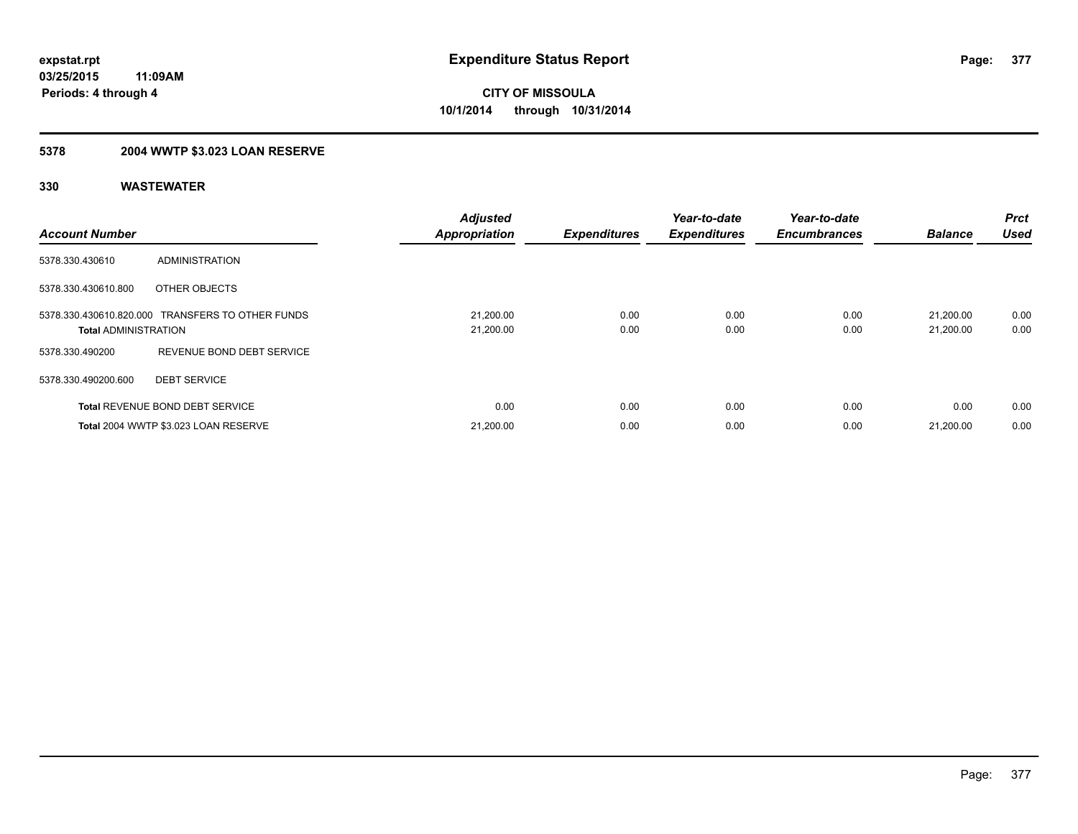# **5378 2004 WWTP \$3.023 LOAN RESERVE**

| <b>Account Number</b>       |                                                  | <b>Adjusted</b><br><b>Appropriation</b> | <b>Expenditures</b> | Year-to-date<br><b>Expenditures</b> | Year-to-date<br><b>Encumbrances</b> | <b>Balance</b>         | Prct<br><b>Used</b> |
|-----------------------------|--------------------------------------------------|-----------------------------------------|---------------------|-------------------------------------|-------------------------------------|------------------------|---------------------|
| 5378.330.430610             | <b>ADMINISTRATION</b>                            |                                         |                     |                                     |                                     |                        |                     |
| 5378.330.430610.800         | OTHER OBJECTS                                    |                                         |                     |                                     |                                     |                        |                     |
| <b>Total ADMINISTRATION</b> | 5378.330.430610.820.000 TRANSFERS TO OTHER FUNDS | 21,200.00<br>21,200.00                  | 0.00<br>0.00        | 0.00<br>0.00                        | 0.00<br>0.00                        | 21.200.00<br>21,200.00 | 0.00<br>0.00        |
| 5378.330.490200             | REVENUE BOND DEBT SERVICE                        |                                         |                     |                                     |                                     |                        |                     |
| 5378.330.490200.600         | <b>DEBT SERVICE</b>                              |                                         |                     |                                     |                                     |                        |                     |
|                             | <b>Total REVENUE BOND DEBT SERVICE</b>           | 0.00                                    | 0.00                | 0.00                                | 0.00                                | 0.00                   | 0.00                |
|                             | Total 2004 WWTP \$3.023 LOAN RESERVE             | 21,200.00                               | 0.00                | 0.00                                | 0.00                                | 21,200.00              | 0.00                |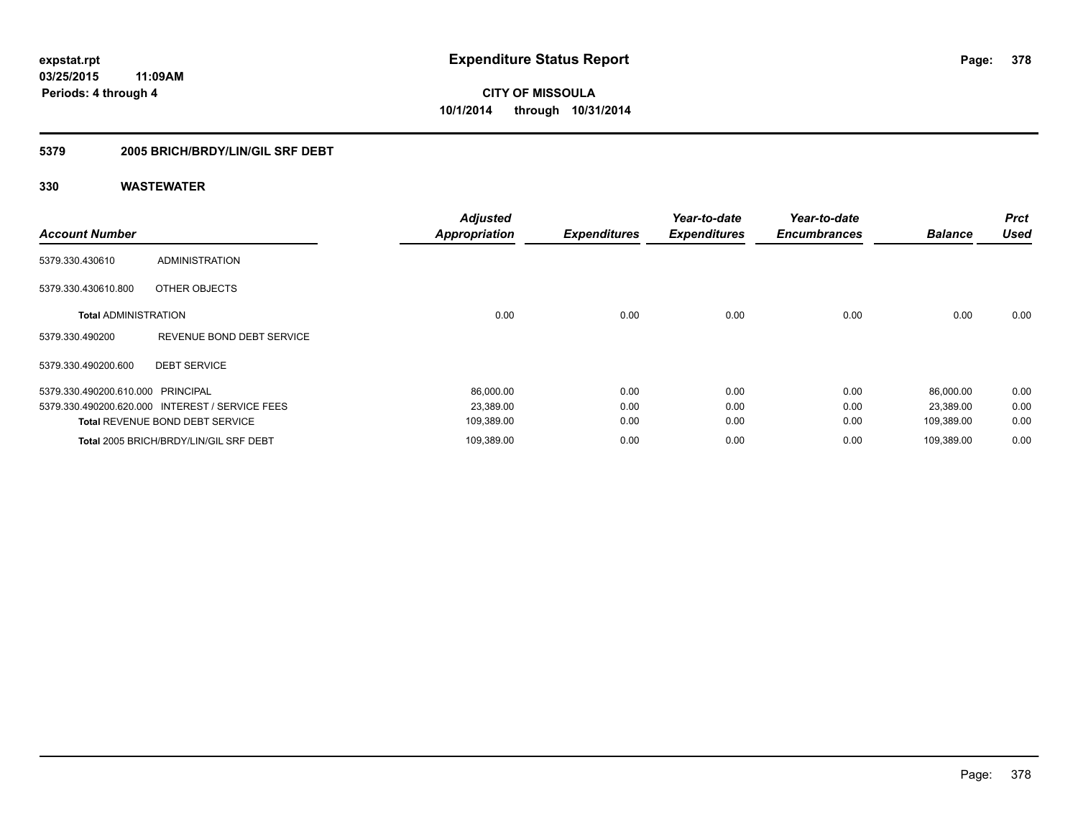### **5379 2005 BRICH/BRDY/LIN/GIL SRF DEBT**

| <b>Account Number</b>             |                                                 | <b>Adjusted</b><br><b>Appropriation</b> | <b>Expenditures</b> | Year-to-date<br><b>Expenditures</b> | Year-to-date<br><b>Encumbrances</b> | <b>Balance</b> | <b>Prct</b><br><b>Used</b> |
|-----------------------------------|-------------------------------------------------|-----------------------------------------|---------------------|-------------------------------------|-------------------------------------|----------------|----------------------------|
| 5379.330.430610                   | ADMINISTRATION                                  |                                         |                     |                                     |                                     |                |                            |
| 5379.330.430610.800               | OTHER OBJECTS                                   |                                         |                     |                                     |                                     |                |                            |
| <b>Total ADMINISTRATION</b>       |                                                 | 0.00                                    | 0.00                | 0.00                                | 0.00                                | 0.00           | 0.00                       |
| 5379.330.490200                   | REVENUE BOND DEBT SERVICE                       |                                         |                     |                                     |                                     |                |                            |
| 5379.330.490200.600               | <b>DEBT SERVICE</b>                             |                                         |                     |                                     |                                     |                |                            |
| 5379.330.490200.610.000 PRINCIPAL |                                                 | 86,000.00                               | 0.00                | 0.00                                | 0.00                                | 86,000.00      | 0.00                       |
|                                   | 5379.330.490200.620.000 INTEREST / SERVICE FEES | 23,389.00                               | 0.00                | 0.00                                | 0.00                                | 23,389.00      | 0.00                       |
|                                   | <b>Total REVENUE BOND DEBT SERVICE</b>          | 109,389.00                              | 0.00                | 0.00                                | 0.00                                | 109,389.00     | 0.00                       |
|                                   | Total 2005 BRICH/BRDY/LIN/GIL SRF DEBT          | 109,389.00                              | 0.00                | 0.00                                | 0.00                                | 109,389.00     | 0.00                       |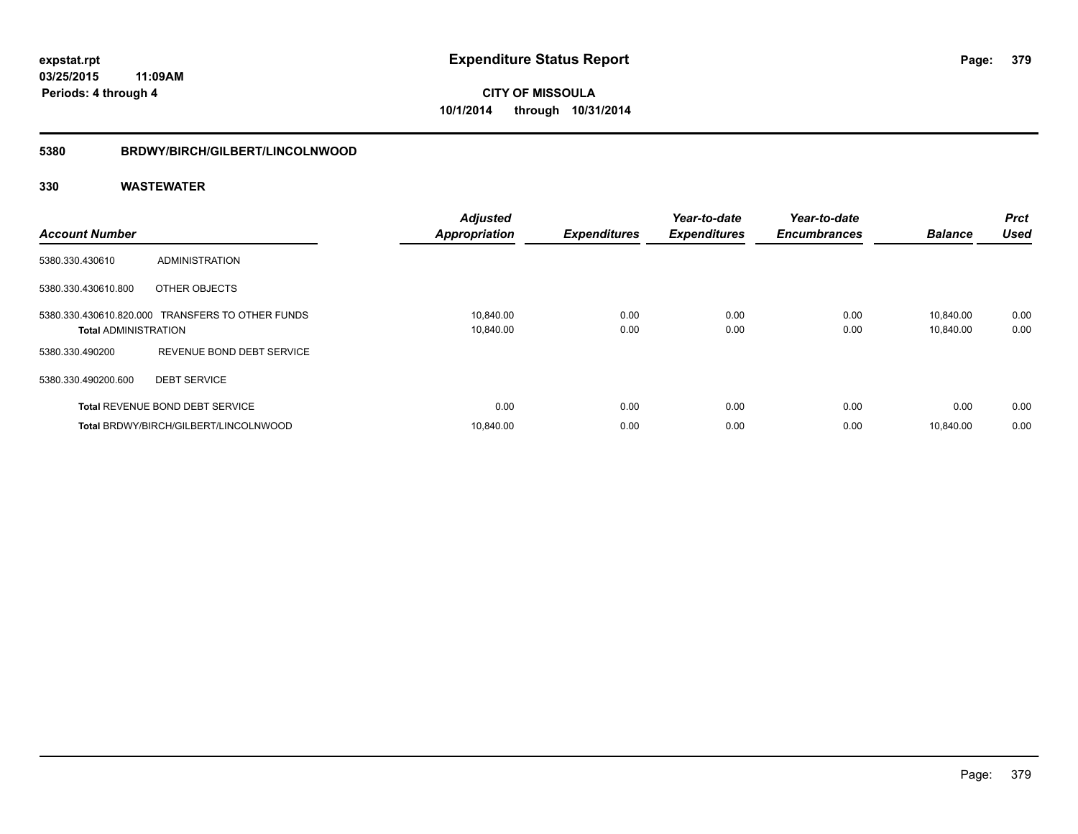#### **5380 BRDWY/BIRCH/GILBERT/LINCOLNWOOD**

| <b>Account Number</b>       |                                                  | <b>Adjusted</b><br><b>Appropriation</b> | <b>Expenditures</b> | Year-to-date<br><b>Expenditures</b> | Year-to-date<br><b>Encumbrances</b> | <b>Balance</b>         | <b>Prct</b><br><b>Used</b> |
|-----------------------------|--------------------------------------------------|-----------------------------------------|---------------------|-------------------------------------|-------------------------------------|------------------------|----------------------------|
| 5380.330.430610             | <b>ADMINISTRATION</b>                            |                                         |                     |                                     |                                     |                        |                            |
| 5380.330.430610.800         | OTHER OBJECTS                                    |                                         |                     |                                     |                                     |                        |                            |
| <b>Total ADMINISTRATION</b> | 5380.330.430610.820.000 TRANSFERS TO OTHER FUNDS | 10,840.00<br>10,840.00                  | 0.00<br>0.00        | 0.00<br>0.00                        | 0.00<br>0.00                        | 10.840.00<br>10,840.00 | 0.00<br>0.00               |
| 5380.330.490200             | REVENUE BOND DEBT SERVICE                        |                                         |                     |                                     |                                     |                        |                            |
| 5380.330.490200.600         | <b>DEBT SERVICE</b>                              |                                         |                     |                                     |                                     |                        |                            |
|                             | <b>Total REVENUE BOND DEBT SERVICE</b>           | 0.00                                    | 0.00                | 0.00                                | 0.00                                | 0.00                   | 0.00                       |
|                             | Total BRDWY/BIRCH/GILBERT/LINCOLNWOOD            | 10.840.00                               | 0.00                | 0.00                                | 0.00                                | 10.840.00              | 0.00                       |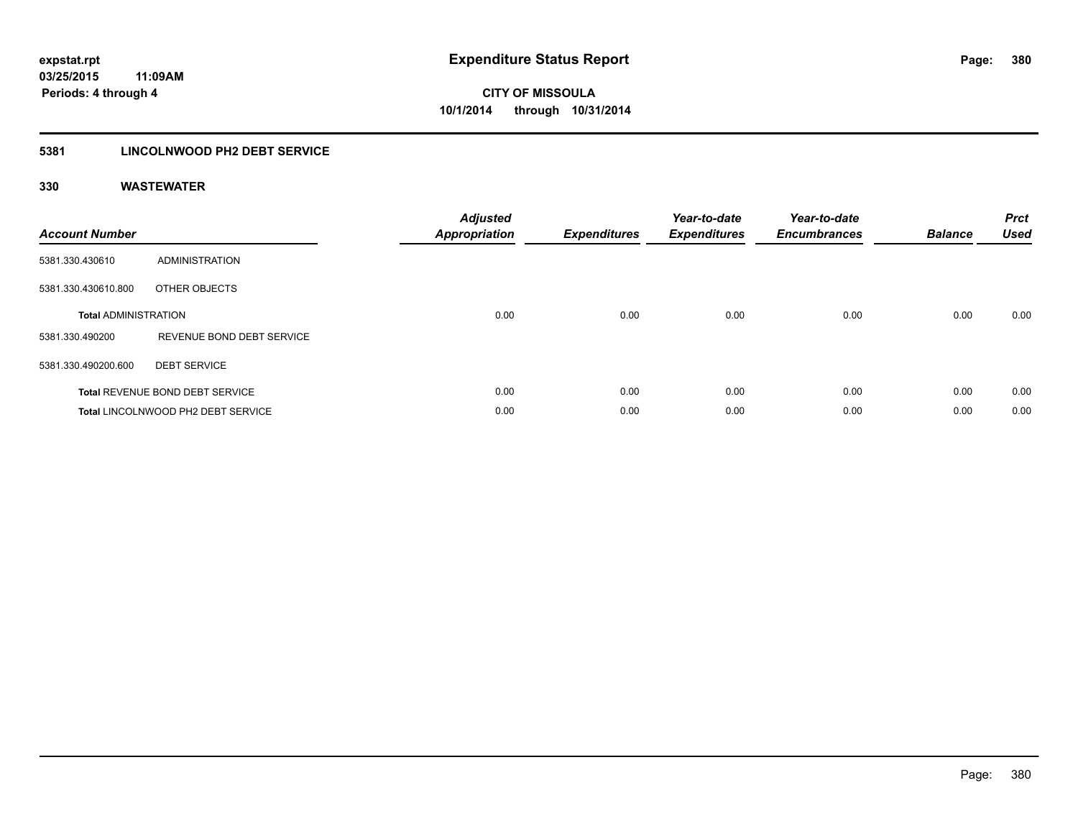### **5381 LINCOLNWOOD PH2 DEBT SERVICE**

| <b>Account Number</b>       |                                        | <b>Adjusted</b><br><b>Appropriation</b> | <b>Expenditures</b> | Year-to-date<br><b>Expenditures</b> | Year-to-date<br><b>Encumbrances</b> | <b>Balance</b> | <b>Prct</b><br><b>Used</b> |
|-----------------------------|----------------------------------------|-----------------------------------------|---------------------|-------------------------------------|-------------------------------------|----------------|----------------------------|
| 5381.330.430610             | <b>ADMINISTRATION</b>                  |                                         |                     |                                     |                                     |                |                            |
| 5381.330.430610.800         | OTHER OBJECTS                          |                                         |                     |                                     |                                     |                |                            |
| <b>Total ADMINISTRATION</b> |                                        | 0.00                                    | 0.00                | 0.00                                | 0.00                                | 0.00           | 0.00                       |
| 5381.330.490200             | REVENUE BOND DEBT SERVICE              |                                         |                     |                                     |                                     |                |                            |
| 5381.330.490200.600         | <b>DEBT SERVICE</b>                    |                                         |                     |                                     |                                     |                |                            |
|                             | <b>Total REVENUE BOND DEBT SERVICE</b> | 0.00                                    | 0.00                | 0.00                                | 0.00                                | 0.00           | 0.00                       |
|                             | Total LINCOLNWOOD PH2 DEBT SERVICE     | 0.00                                    | 0.00                | 0.00                                | 0.00                                | 0.00           | 0.00                       |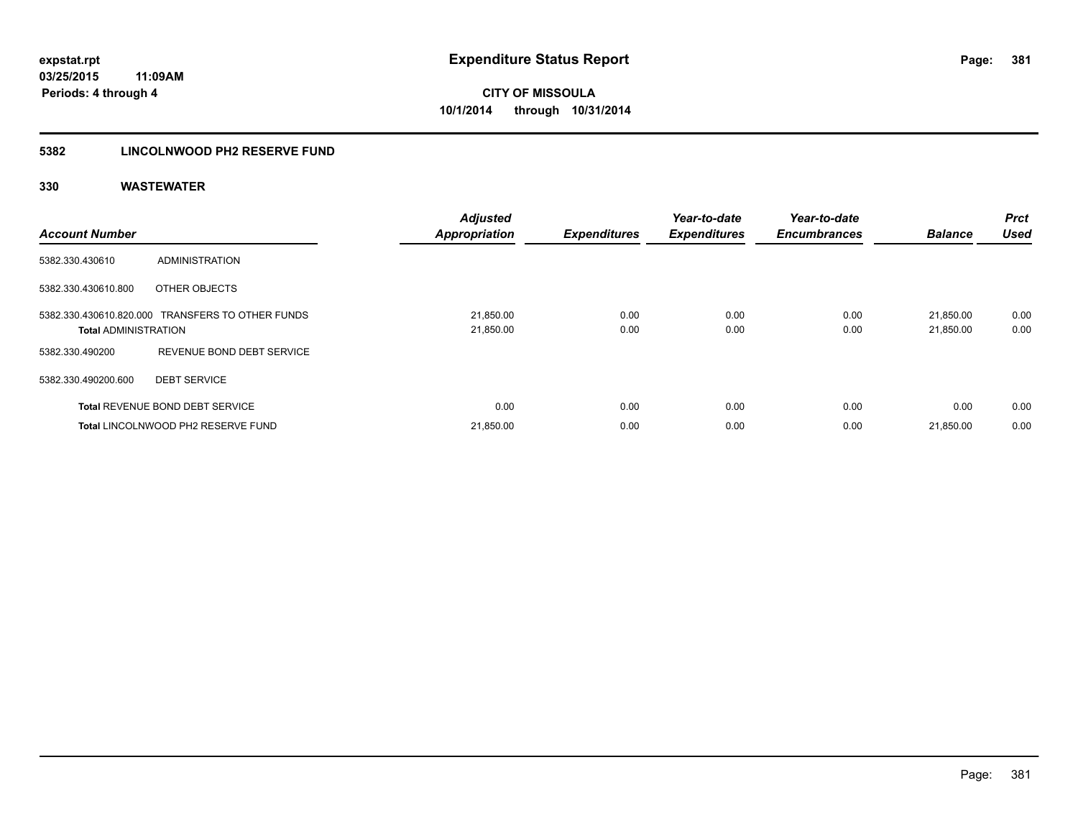### **5382 LINCOLNWOOD PH2 RESERVE FUND**

| <b>Account Number</b>       |                                                  | <b>Adjusted</b><br><b>Appropriation</b> | <b>Expenditures</b> | Year-to-date<br><b>Expenditures</b> | Year-to-date<br><b>Encumbrances</b> | <b>Balance</b>         | Prct<br><b>Used</b> |
|-----------------------------|--------------------------------------------------|-----------------------------------------|---------------------|-------------------------------------|-------------------------------------|------------------------|---------------------|
| 5382.330.430610             | ADMINISTRATION                                   |                                         |                     |                                     |                                     |                        |                     |
| 5382.330.430610.800         | OTHER OBJECTS                                    |                                         |                     |                                     |                                     |                        |                     |
| <b>Total ADMINISTRATION</b> | 5382.330.430610.820.000 TRANSFERS TO OTHER FUNDS | 21,850.00<br>21,850.00                  | 0.00<br>0.00        | 0.00<br>0.00                        | 0.00<br>0.00                        | 21,850.00<br>21,850.00 | 0.00<br>0.00        |
| 5382.330.490200             | REVENUE BOND DEBT SERVICE                        |                                         |                     |                                     |                                     |                        |                     |
| 5382.330.490200.600         | <b>DEBT SERVICE</b>                              |                                         |                     |                                     |                                     |                        |                     |
|                             | <b>Total REVENUE BOND DEBT SERVICE</b>           | 0.00                                    | 0.00                | 0.00                                | 0.00                                | 0.00                   | 0.00                |
|                             | Total LINCOLNWOOD PH2 RESERVE FUND               | 21,850.00                               | 0.00                | 0.00                                | 0.00                                | 21,850.00              | 0.00                |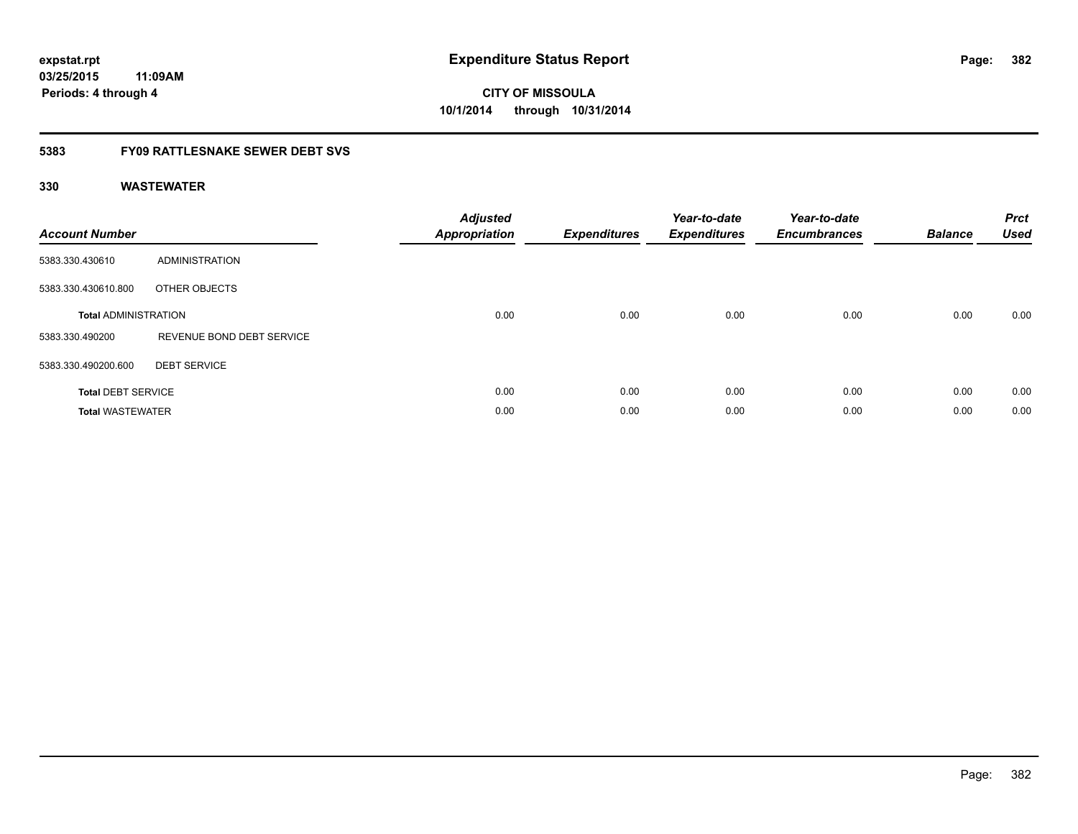### **03/25/2015 11:09AM Periods: 4 through 4**

# **CITY OF MISSOULA 10/1/2014 through 10/31/2014**

#### **5383 FY09 RATTLESNAKE SEWER DEBT SVS**

| <b>Account Number</b>       |                           | <b>Adjusted</b><br>Appropriation | <b>Expenditures</b> | Year-to-date<br><b>Expenditures</b> | Year-to-date<br><b>Encumbrances</b> | <b>Balance</b> | <b>Prct</b><br><b>Used</b> |
|-----------------------------|---------------------------|----------------------------------|---------------------|-------------------------------------|-------------------------------------|----------------|----------------------------|
| 5383.330.430610             | ADMINISTRATION            |                                  |                     |                                     |                                     |                |                            |
| 5383.330.430610.800         | OTHER OBJECTS             |                                  |                     |                                     |                                     |                |                            |
| <b>Total ADMINISTRATION</b> |                           | 0.00                             | 0.00                | 0.00                                | 0.00                                | 0.00           | 0.00                       |
| 5383.330.490200             | REVENUE BOND DEBT SERVICE |                                  |                     |                                     |                                     |                |                            |
| 5383.330.490200.600         | <b>DEBT SERVICE</b>       |                                  |                     |                                     |                                     |                |                            |
| <b>Total DEBT SERVICE</b>   |                           | 0.00                             | 0.00                | 0.00                                | 0.00                                | 0.00           | 0.00                       |
| <b>Total WASTEWATER</b>     |                           | 0.00                             | 0.00                | 0.00                                | 0.00                                | 0.00           | 0.00                       |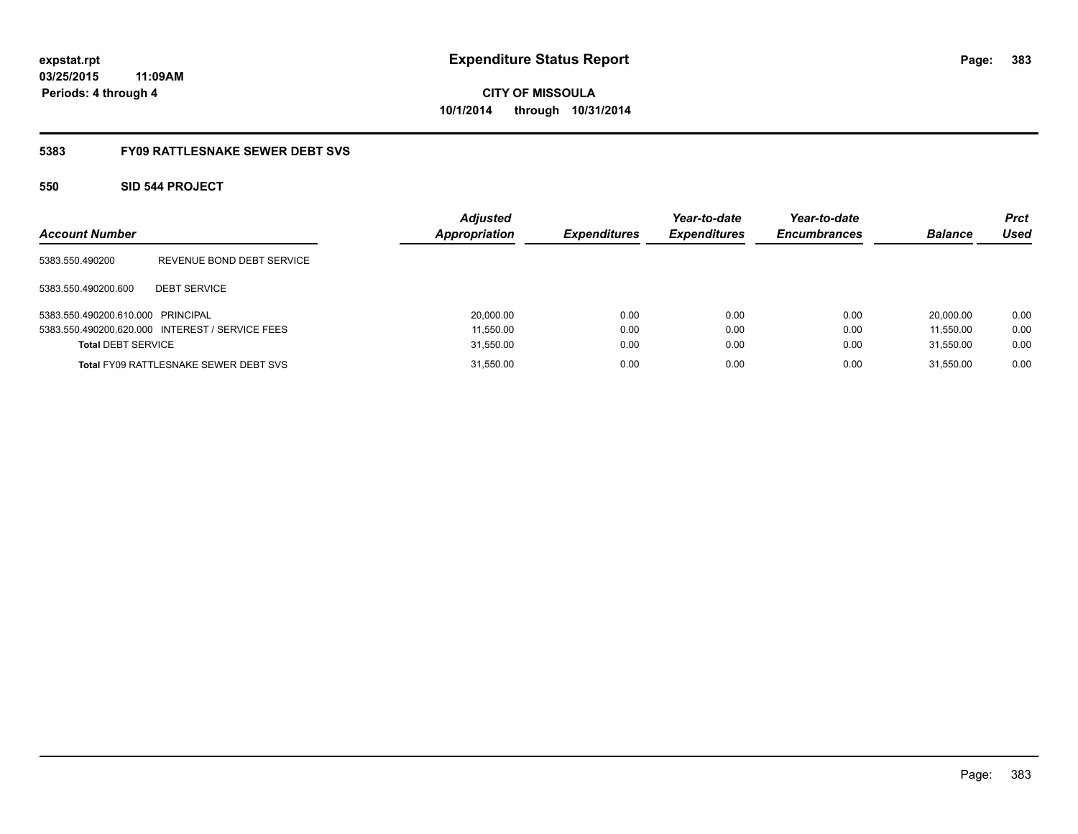**03/25/2015 11:09AM Periods: 4 through 4**

**CITY OF MISSOULA 10/1/2014 through 10/31/2014**

#### **5383 FY09 RATTLESNAKE SEWER DEBT SVS**

#### **550 SID 544 PROJECT**

| <b>Account Number</b>             |                                                 | <b>Adjusted</b><br><b>Appropriation</b> | <b>Expenditures</b> | Year-to-date<br><b>Expenditures</b> | Year-to-date<br><b>Encumbrances</b> | <b>Balance</b> | <b>Prct</b><br>Used |
|-----------------------------------|-------------------------------------------------|-----------------------------------------|---------------------|-------------------------------------|-------------------------------------|----------------|---------------------|
| 5383.550.490200                   | REVENUE BOND DEBT SERVICE                       |                                         |                     |                                     |                                     |                |                     |
| 5383.550.490200.600               | <b>DEBT SERVICE</b>                             |                                         |                     |                                     |                                     |                |                     |
| 5383.550.490200.610.000 PRINCIPAL |                                                 | 20,000.00                               | 0.00                | 0.00                                | 0.00                                | 20.000.00      | 0.00                |
|                                   | 5383.550.490200.620.000 INTEREST / SERVICE FEES | 11,550.00                               | 0.00                | 0.00                                | 0.00                                | 11.550.00      | 0.00                |
| <b>Total DEBT SERVICE</b>         |                                                 | 31,550.00                               | 0.00                | 0.00                                | 0.00                                | 31.550.00      | 0.00                |
|                                   | <b>Total FY09 RATTLESNAKE SEWER DEBT SVS</b>    | 31,550.00                               | 0.00                | 0.00                                | 0.00                                | 31.550.00      | 0.00                |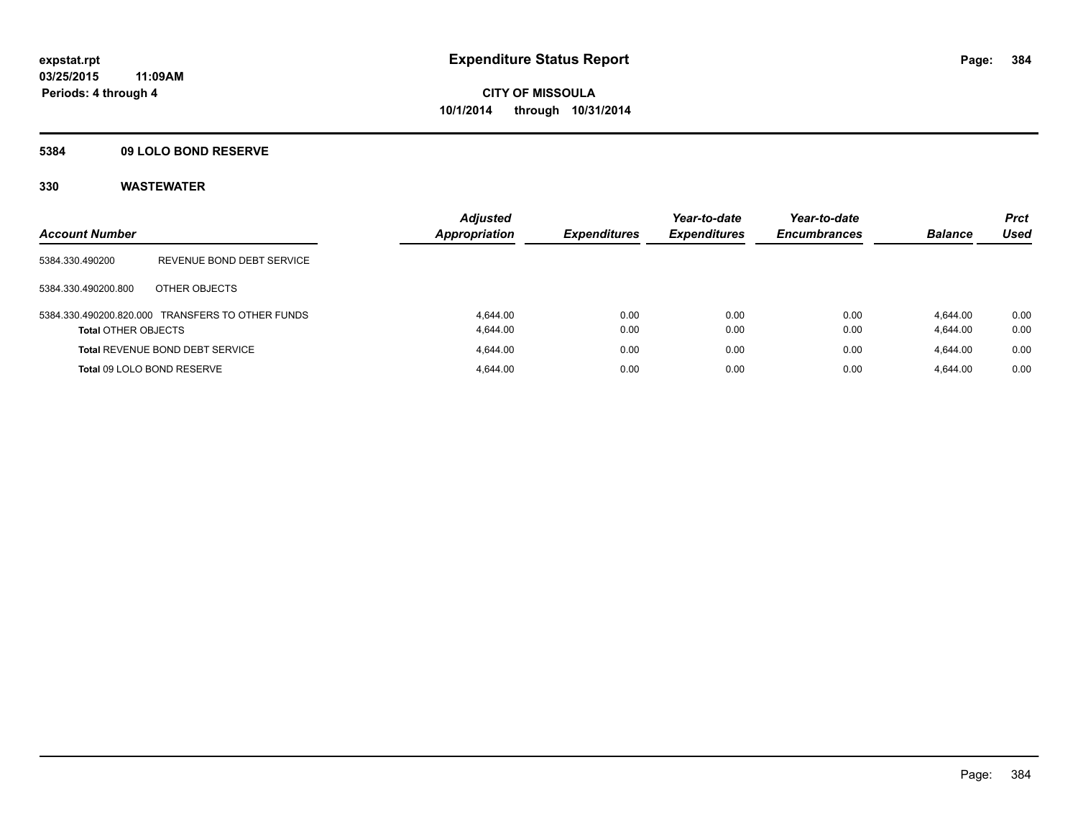#### **5384 09 LOLO BOND RESERVE**

| <b>Account Number</b>      |                                                  | <b>Adjusted</b><br><b>Appropriation</b> | <b>Expenditures</b> | Year-to-date<br><b>Expenditures</b> | Year-to-date<br><b>Encumbrances</b> | <b>Balance</b> | <b>Prct</b><br>Used |
|----------------------------|--------------------------------------------------|-----------------------------------------|---------------------|-------------------------------------|-------------------------------------|----------------|---------------------|
| 5384.330.490200            | REVENUE BOND DEBT SERVICE                        |                                         |                     |                                     |                                     |                |                     |
| 5384.330.490200.800        | OTHER OBJECTS                                    |                                         |                     |                                     |                                     |                |                     |
|                            | 5384.330.490200.820.000 TRANSFERS TO OTHER FUNDS | 4.644.00                                | 0.00                | 0.00                                | 0.00                                | 4.644.00       | 0.00                |
| <b>Total OTHER OBJECTS</b> |                                                  | 4.644.00                                | 0.00                | 0.00                                | 0.00                                | 4.644.00       | 0.00                |
|                            | <b>Total REVENUE BOND DEBT SERVICE</b>           | 4.644.00                                | 0.00                | 0.00                                | 0.00                                | 4.644.00       | 0.00                |
| Total 09 LOLO BOND RESERVE |                                                  | 4.644.00                                | 0.00                | 0.00                                | 0.00                                | 4.644.00       | 0.00                |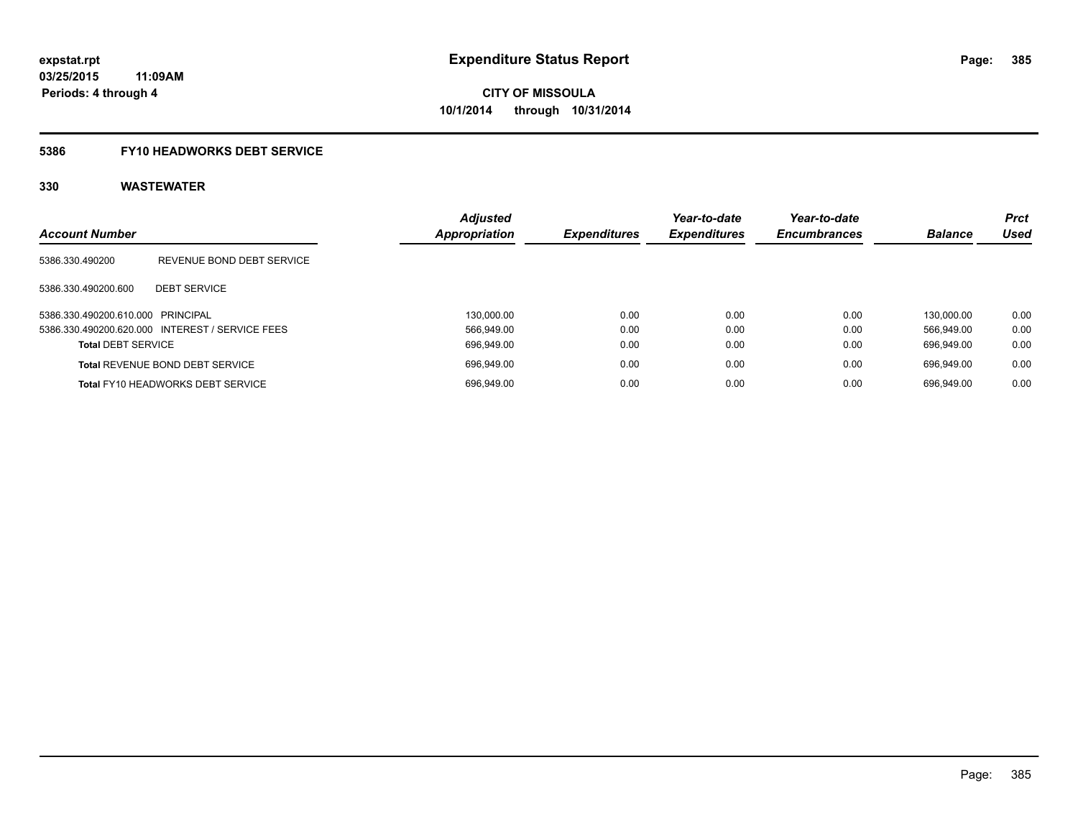# **5386 FY10 HEADWORKS DEBT SERVICE**

| <b>Account Number</b>             |                                                 | <b>Adjusted</b><br>Appropriation | <b>Expenditures</b> | Year-to-date<br><b>Expenditures</b> | Year-to-date<br><b>Encumbrances</b> | <b>Balance</b> | <b>Prct</b><br><b>Used</b> |
|-----------------------------------|-------------------------------------------------|----------------------------------|---------------------|-------------------------------------|-------------------------------------|----------------|----------------------------|
|                                   |                                                 |                                  |                     |                                     |                                     |                |                            |
| 5386.330.490200                   | REVENUE BOND DEBT SERVICE                       |                                  |                     |                                     |                                     |                |                            |
| 5386.330.490200.600               | <b>DEBT SERVICE</b>                             |                                  |                     |                                     |                                     |                |                            |
| 5386.330.490200.610.000 PRINCIPAL |                                                 | 130.000.00                       | 0.00                | 0.00                                | 0.00                                | 130.000.00     | 0.00                       |
|                                   | 5386.330.490200.620.000 INTEREST / SERVICE FEES | 566.949.00                       | 0.00                | 0.00                                | 0.00                                | 566.949.00     | 0.00                       |
| <b>Total DEBT SERVICE</b>         |                                                 | 696.949.00                       | 0.00                | 0.00                                | 0.00                                | 696.949.00     | 0.00                       |
|                                   | <b>Total REVENUE BOND DEBT SERVICE</b>          | 696,949.00                       | 0.00                | 0.00                                | 0.00                                | 696.949.00     | 0.00                       |
|                                   | <b>Total FY10 HEADWORKS DEBT SERVICE</b>        | 696.949.00                       | 0.00                | 0.00                                | 0.00                                | 696.949.00     | 0.00                       |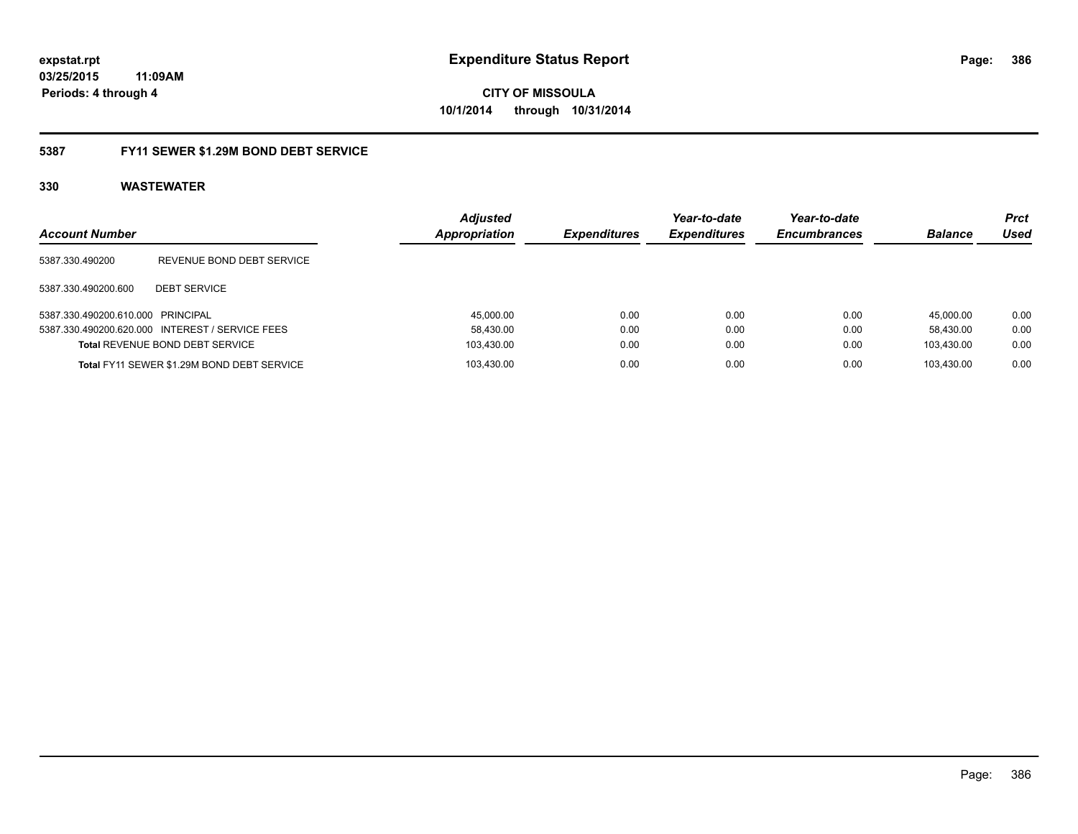**386**

**03/25/2015 11:09AM Periods: 4 through 4**

**CITY OF MISSOULA 10/1/2014 through 10/31/2014**

#### **5387 FY11 SEWER \$1.29M BOND DEBT SERVICE**

| <b>Account Number</b>             |                                                 | <b>Adjusted</b><br>Appropriation | <b>Expenditures</b> | Year-to-date<br><b>Expenditures</b> | Year-to-date<br><b>Encumbrances</b> | <b>Balance</b> | <b>Prct</b><br>Used |
|-----------------------------------|-------------------------------------------------|----------------------------------|---------------------|-------------------------------------|-------------------------------------|----------------|---------------------|
| 5387.330.490200                   | REVENUE BOND DEBT SERVICE                       |                                  |                     |                                     |                                     |                |                     |
| 5387.330.490200.600               | <b>DEBT SERVICE</b>                             |                                  |                     |                                     |                                     |                |                     |
| 5387.330.490200.610.000 PRINCIPAL |                                                 | 45,000.00                        | 0.00                | 0.00                                | 0.00                                | 45.000.00      | 0.00                |
|                                   | 5387.330.490200.620.000 INTEREST / SERVICE FEES | 58.430.00                        | 0.00                | 0.00                                | 0.00                                | 58.430.00      | 0.00                |
|                                   | <b>Total REVENUE BOND DEBT SERVICE</b>          | 103,430.00                       | 0.00                | 0.00                                | 0.00                                | 103.430.00     | 0.00                |
|                                   | Total FY11 SEWER \$1.29M BOND DEBT SERVICE      | 103.430.00                       | 0.00                | 0.00                                | 0.00                                | 103.430.00     | 0.00                |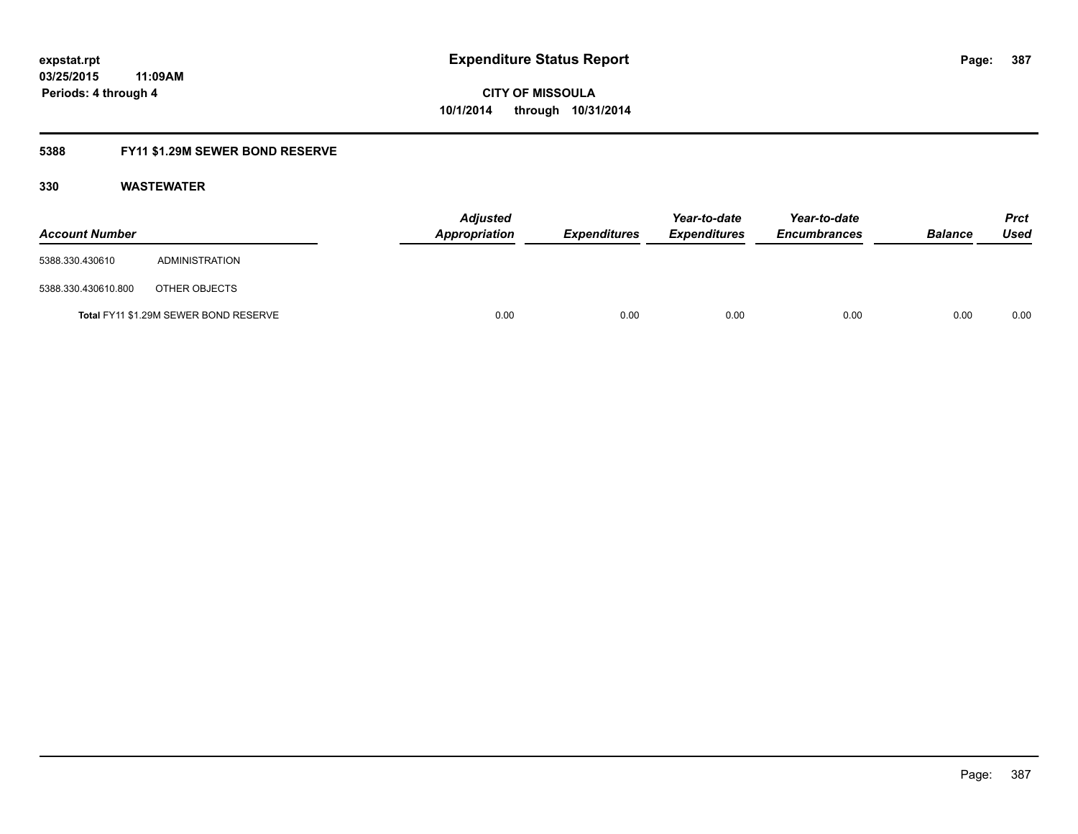### **5388 FY11 \$1.29M SEWER BOND RESERVE**

| <b>Account Number</b> |                                       | <b>Adjusted</b><br>Appropriation | <b>Expenditures</b> | Year-to-date<br><b>Expenditures</b> | Year-to-date<br><b>Encumbrances</b> | <b>Balance</b> | Prct<br><b>Used</b> |
|-----------------------|---------------------------------------|----------------------------------|---------------------|-------------------------------------|-------------------------------------|----------------|---------------------|
| 5388.330.430610       | ADMINISTRATION                        |                                  |                     |                                     |                                     |                |                     |
| 5388.330.430610.800   | OTHER OBJECTS                         |                                  |                     |                                     |                                     |                |                     |
|                       | Total FY11 \$1.29M SEWER BOND RESERVE | 0.00                             | 0.00                | 0.00                                | 0.00                                | 0.00           | 0.00                |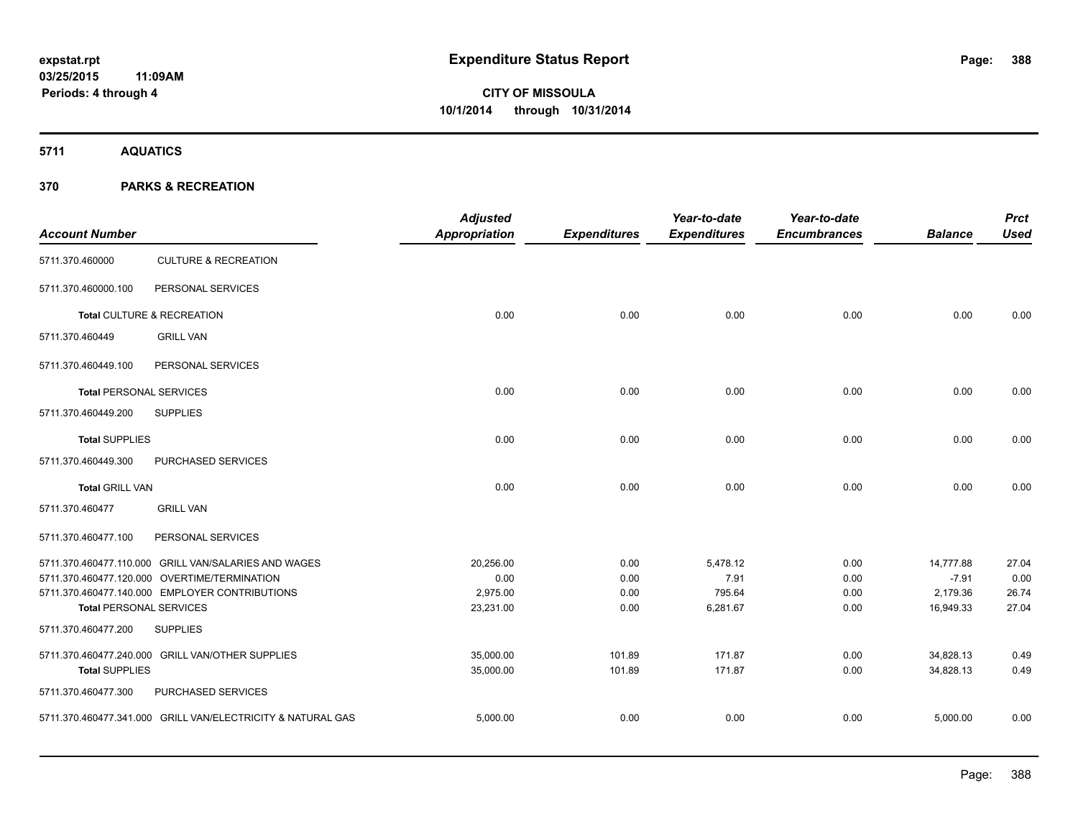**5711 AQUATICS**

| <b>Account Number</b>          |                                                             | <b>Adjusted</b><br>Appropriation | <b>Expenditures</b> | Year-to-date<br><b>Expenditures</b> | Year-to-date<br><b>Encumbrances</b> | <b>Balance</b> | <b>Prct</b><br><b>Used</b> |
|--------------------------------|-------------------------------------------------------------|----------------------------------|---------------------|-------------------------------------|-------------------------------------|----------------|----------------------------|
| 5711.370.460000                | <b>CULTURE &amp; RECREATION</b>                             |                                  |                     |                                     |                                     |                |                            |
| 5711.370.460000.100            | PERSONAL SERVICES                                           |                                  |                     |                                     |                                     |                |                            |
|                                | Total CULTURE & RECREATION                                  | 0.00                             | 0.00                | 0.00                                | 0.00                                | 0.00           | 0.00                       |
| 5711.370.460449                | <b>GRILL VAN</b>                                            |                                  |                     |                                     |                                     |                |                            |
| 5711.370.460449.100            | PERSONAL SERVICES                                           |                                  |                     |                                     |                                     |                |                            |
| <b>Total PERSONAL SERVICES</b> |                                                             | 0.00                             | 0.00                | 0.00                                | 0.00                                | 0.00           | 0.00                       |
| 5711.370.460449.200            | <b>SUPPLIES</b>                                             |                                  |                     |                                     |                                     |                |                            |
| <b>Total SUPPLIES</b>          |                                                             | 0.00                             | 0.00                | 0.00                                | 0.00                                | 0.00           | 0.00                       |
| 5711.370.460449.300            | PURCHASED SERVICES                                          |                                  |                     |                                     |                                     |                |                            |
| <b>Total GRILL VAN</b>         |                                                             | 0.00                             | 0.00                | 0.00                                | 0.00                                | 0.00           | 0.00                       |
| 5711.370.460477                | <b>GRILL VAN</b>                                            |                                  |                     |                                     |                                     |                |                            |
| 5711.370.460477.100            | PERSONAL SERVICES                                           |                                  |                     |                                     |                                     |                |                            |
|                                | 5711.370.460477.110.000 GRILL VAN/SALARIES AND WAGES        | 20,256.00                        | 0.00                | 5,478.12                            | 0.00                                | 14,777.88      | 27.04                      |
|                                | 5711.370.460477.120.000 OVERTIME/TERMINATION                | 0.00                             | 0.00                | 7.91                                | 0.00                                | $-7.91$        | 0.00                       |
|                                | 5711.370.460477.140.000 EMPLOYER CONTRIBUTIONS              | 2,975.00                         | 0.00                | 795.64                              | 0.00                                | 2,179.36       | 26.74                      |
| <b>Total PERSONAL SERVICES</b> |                                                             | 23,231.00                        | 0.00                | 6,281.67                            | 0.00                                | 16,949.33      | 27.04                      |
| 5711.370.460477.200            | <b>SUPPLIES</b>                                             |                                  |                     |                                     |                                     |                |                            |
|                                | 5711.370.460477.240.000 GRILL VAN/OTHER SUPPLIES            | 35,000.00                        | 101.89              | 171.87                              | 0.00                                | 34,828.13      | 0.49                       |
| <b>Total SUPPLIES</b>          |                                                             | 35,000.00                        | 101.89              | 171.87                              | 0.00                                | 34,828.13      | 0.49                       |
| 5711.370.460477.300            | PURCHASED SERVICES                                          |                                  |                     |                                     |                                     |                |                            |
|                                | 5711.370.460477.341.000 GRILL VAN/ELECTRICITY & NATURAL GAS | 5,000.00                         | 0.00                | 0.00                                | 0.00                                | 5,000.00       | 0.00                       |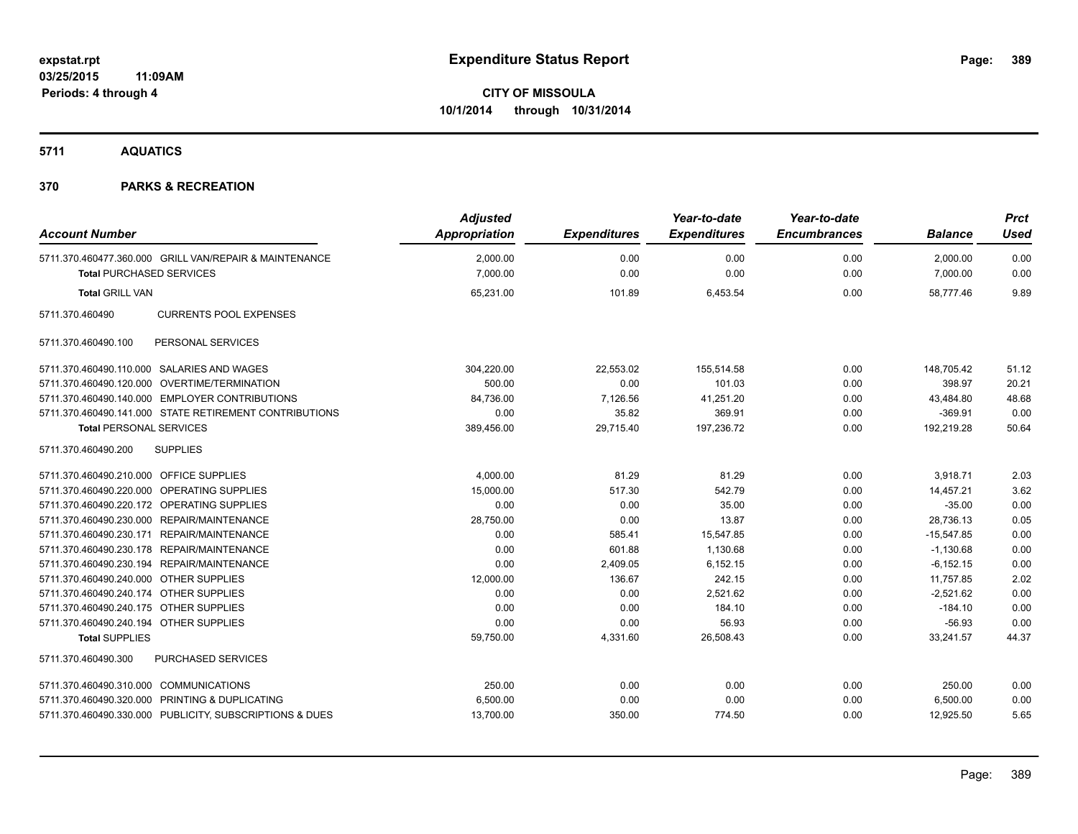**5711 AQUATICS**

| <b>Account Number</b>                                   | <b>Adjusted</b><br>Appropriation | <b>Expenditures</b> | Year-to-date<br><b>Expenditures</b> | Year-to-date<br><b>Encumbrances</b> | <b>Balance</b> | <b>Prct</b><br><b>Used</b> |
|---------------------------------------------------------|----------------------------------|---------------------|-------------------------------------|-------------------------------------|----------------|----------------------------|
| 5711.370.460477.360.000 GRILL VAN/REPAIR & MAINTENANCE  | 2,000.00                         | 0.00                | 0.00                                | 0.00                                | 2,000.00       | 0.00                       |
| <b>Total PURCHASED SERVICES</b>                         | 7,000.00                         | 0.00                | 0.00                                | 0.00                                | 7,000.00       | 0.00                       |
| <b>Total GRILL VAN</b>                                  | 65,231.00                        | 101.89              | 6,453.54                            | 0.00                                | 58,777.46      | 9.89                       |
| 5711.370.460490<br><b>CURRENTS POOL EXPENSES</b>        |                                  |                     |                                     |                                     |                |                            |
| PERSONAL SERVICES<br>5711.370.460490.100                |                                  |                     |                                     |                                     |                |                            |
| 5711.370.460490.110.000 SALARIES AND WAGES              | 304,220.00                       | 22,553.02           | 155,514.58                          | 0.00                                | 148,705.42     | 51.12                      |
| 5711.370.460490.120.000 OVERTIME/TERMINATION            | 500.00                           | 0.00                | 101.03                              | 0.00                                | 398.97         | 20.21                      |
| 5711.370.460490.140.000 EMPLOYER CONTRIBUTIONS          | 84,736.00                        | 7,126.56            | 41,251.20                           | 0.00                                | 43,484.80      | 48.68                      |
| 5711.370.460490.141.000 STATE RETIREMENT CONTRIBUTIONS  | 0.00                             | 35.82               | 369.91                              | 0.00                                | $-369.91$      | 0.00                       |
| <b>Total PERSONAL SERVICES</b>                          | 389,456.00                       | 29,715.40           | 197,236.72                          | 0.00                                | 192,219.28     | 50.64                      |
| 5711.370.460490.200<br><b>SUPPLIES</b>                  |                                  |                     |                                     |                                     |                |                            |
| 5711.370.460490.210.000 OFFICE SUPPLIES                 | 4,000.00                         | 81.29               | 81.29                               | 0.00                                | 3,918.71       | 2.03                       |
| 5711.370.460490.220.000 OPERATING SUPPLIES              | 15,000.00                        | 517.30              | 542.79                              | 0.00                                | 14,457.21      | 3.62                       |
| 5711.370.460490.220.172 OPERATING SUPPLIES              | 0.00                             | 0.00                | 35.00                               | 0.00                                | $-35.00$       | 0.00                       |
| 5711.370.460490.230.000 REPAIR/MAINTENANCE              | 28,750.00                        | 0.00                | 13.87                               | 0.00                                | 28,736.13      | 0.05                       |
| 5711.370.460490.230.171 REPAIR/MAINTENANCE              | 0.00                             | 585.41              | 15,547.85                           | 0.00                                | $-15,547.85$   | 0.00                       |
| 5711.370.460490.230.178 REPAIR/MAINTENANCE              | 0.00                             | 601.88              | 1,130.68                            | 0.00                                | $-1,130.68$    | 0.00                       |
| 5711.370.460490.230.194 REPAIR/MAINTENANCE              | 0.00                             | 2,409.05            | 6.152.15                            | 0.00                                | $-6.152.15$    | 0.00                       |
| 5711.370.460490.240.000 OTHER SUPPLIES                  | 12,000.00                        | 136.67              | 242.15                              | 0.00                                | 11,757.85      | 2.02                       |
| 5711.370.460490.240.174 OTHER SUPPLIES                  | 0.00                             | 0.00                | 2,521.62                            | 0.00                                | $-2,521.62$    | 0.00                       |
| 5711.370.460490.240.175 OTHER SUPPLIES                  | 0.00                             | 0.00                | 184.10                              | 0.00                                | $-184.10$      | 0.00                       |
| 5711.370.460490.240.194 OTHER SUPPLIES                  | 0.00                             | 0.00                | 56.93                               | 0.00                                | $-56.93$       | 0.00                       |
| <b>Total SUPPLIES</b>                                   | 59,750.00                        | 4,331.60            | 26,508.43                           | 0.00                                | 33,241.57      | 44.37                      |
| <b>PURCHASED SERVICES</b><br>5711.370.460490.300        |                                  |                     |                                     |                                     |                |                            |
| 5711.370.460490.310.000 COMMUNICATIONS                  | 250.00                           | 0.00                | 0.00                                | 0.00                                | 250.00         | 0.00                       |
| 5711.370.460490.320.000 PRINTING & DUPLICATING          | 6,500.00                         | 0.00                | 0.00                                | 0.00                                | 6,500.00       | 0.00                       |
| 5711.370.460490.330.000 PUBLICITY, SUBSCRIPTIONS & DUES | 13,700.00                        | 350.00              | 774.50                              | 0.00                                | 12.925.50      | 5.65                       |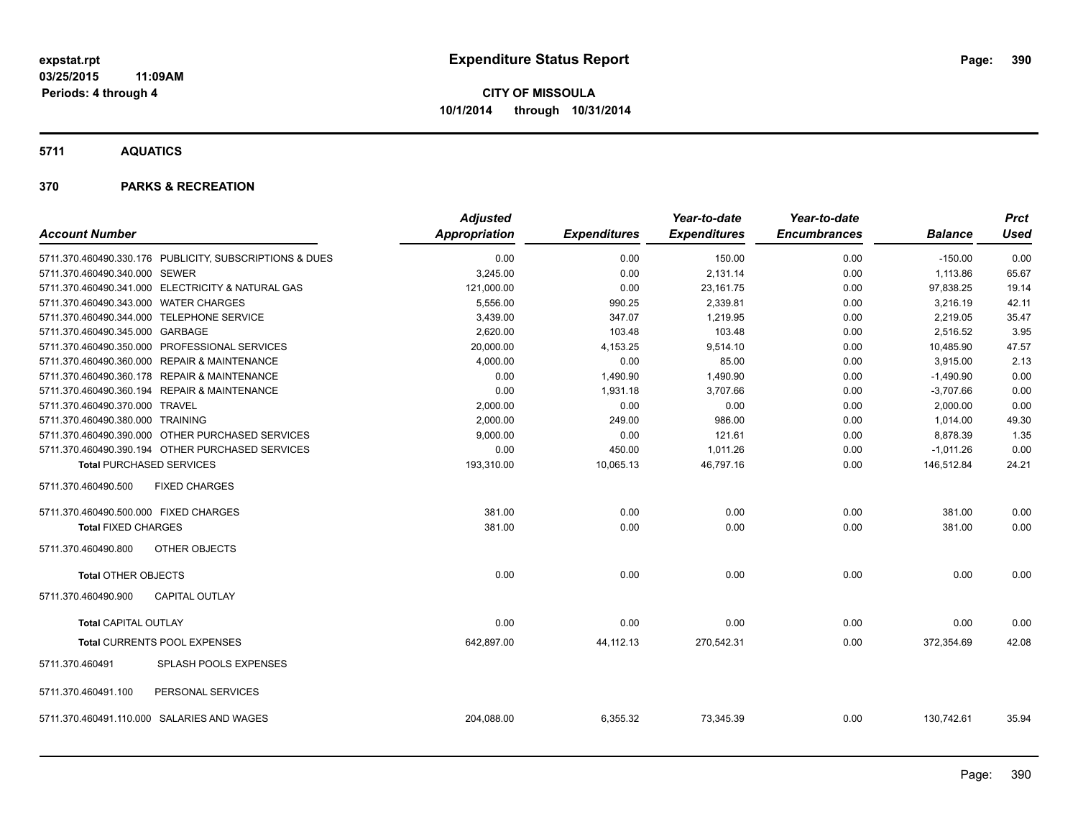**5711 AQUATICS**

|                                           |                                                         | <b>Adjusted</b>      |                     | Year-to-date        | Year-to-date        |                | <b>Prct</b> |
|-------------------------------------------|---------------------------------------------------------|----------------------|---------------------|---------------------|---------------------|----------------|-------------|
| <b>Account Number</b>                     |                                                         | <b>Appropriation</b> | <b>Expenditures</b> | <b>Expenditures</b> | <b>Encumbrances</b> | <b>Balance</b> | Used        |
|                                           | 5711.370.460490.330.176 PUBLICITY, SUBSCRIPTIONS & DUES | 0.00                 | 0.00                | 150.00              | 0.00                | $-150.00$      | 0.00        |
| 5711.370.460490.340.000 SEWER             |                                                         | 3,245.00             | 0.00                | 2,131.14            | 0.00                | 1,113.86       | 65.67       |
|                                           | 5711.370.460490.341.000 ELECTRICITY & NATURAL GAS       | 121,000.00           | 0.00                | 23,161.75           | 0.00                | 97,838.25      | 19.14       |
| 5711.370.460490.343.000 WATER CHARGES     |                                                         | 5,556.00             | 990.25              | 2,339.81            | 0.00                | 3,216.19       | 42.11       |
| 5711.370.460490.344.000 TELEPHONE SERVICE |                                                         | 3,439.00             | 347.07              | 1,219.95            | 0.00                | 2,219.05       | 35.47       |
| 5711.370.460490.345.000 GARBAGE           |                                                         | 2,620.00             | 103.48              | 103.48              | 0.00                | 2,516.52       | 3.95        |
|                                           | 5711.370.460490.350.000 PROFESSIONAL SERVICES           | 20,000.00            | 4,153.25            | 9,514.10            | 0.00                | 10,485.90      | 47.57       |
|                                           | 5711.370.460490.360.000 REPAIR & MAINTENANCE            | 4,000.00             | 0.00                | 85.00               | 0.00                | 3,915.00       | 2.13        |
|                                           | 5711.370.460490.360.178 REPAIR & MAINTENANCE            | 0.00                 | 1,490.90            | 1,490.90            | 0.00                | $-1,490.90$    | 0.00        |
|                                           | 5711.370.460490.360.194 REPAIR & MAINTENANCE            | 0.00                 | 1,931.18            | 3,707.66            | 0.00                | $-3,707.66$    | 0.00        |
| 5711.370.460490.370.000 TRAVEL            |                                                         | 2,000.00             | 0.00                | 0.00                | 0.00                | 2,000.00       | 0.00        |
| 5711.370.460490.380.000 TRAINING          |                                                         | 2,000.00             | 249.00              | 986.00              | 0.00                | 1,014.00       | 49.30       |
|                                           | 5711.370.460490.390.000 OTHER PURCHASED SERVICES        | 9,000.00             | 0.00                | 121.61              | 0.00                | 8,878.39       | 1.35        |
|                                           | 5711.370.460490.390.194 OTHER PURCHASED SERVICES        | 0.00                 | 450.00              | 1,011.26            | 0.00                | $-1,011.26$    | 0.00        |
| <b>Total PURCHASED SERVICES</b>           |                                                         | 193,310.00           | 10,065.13           | 46,797.16           | 0.00                | 146,512.84     | 24.21       |
| 5711.370.460490.500                       | <b>FIXED CHARGES</b>                                    |                      |                     |                     |                     |                |             |
| 5711.370.460490.500.000 FIXED CHARGES     |                                                         | 381.00               | 0.00                | 0.00                | 0.00                | 381.00         | 0.00        |
| <b>Total FIXED CHARGES</b>                |                                                         | 381.00               | 0.00                | 0.00                | 0.00                | 381.00         | 0.00        |
| 5711.370.460490.800                       | <b>OTHER OBJECTS</b>                                    |                      |                     |                     |                     |                |             |
| <b>Total OTHER OBJECTS</b>                |                                                         | 0.00                 | 0.00                | 0.00                | 0.00                | 0.00           | 0.00        |
| 5711.370.460490.900                       | <b>CAPITAL OUTLAY</b>                                   |                      |                     |                     |                     |                |             |
| <b>Total CAPITAL OUTLAY</b>               |                                                         | 0.00                 | 0.00                | 0.00                | 0.00                | 0.00           | 0.00        |
|                                           | Total CURRENTS POOL EXPENSES                            | 642,897.00           | 44, 112. 13         | 270,542.31          | 0.00                | 372,354.69     | 42.08       |
| 5711.370.460491                           | SPLASH POOLS EXPENSES                                   |                      |                     |                     |                     |                |             |
| 5711.370.460491.100                       | PERSONAL SERVICES                                       |                      |                     |                     |                     |                |             |
|                                           | 5711.370.460491.110.000 SALARIES AND WAGES              | 204,088.00           | 6,355.32            | 73,345.39           | 0.00                | 130,742.61     | 35.94       |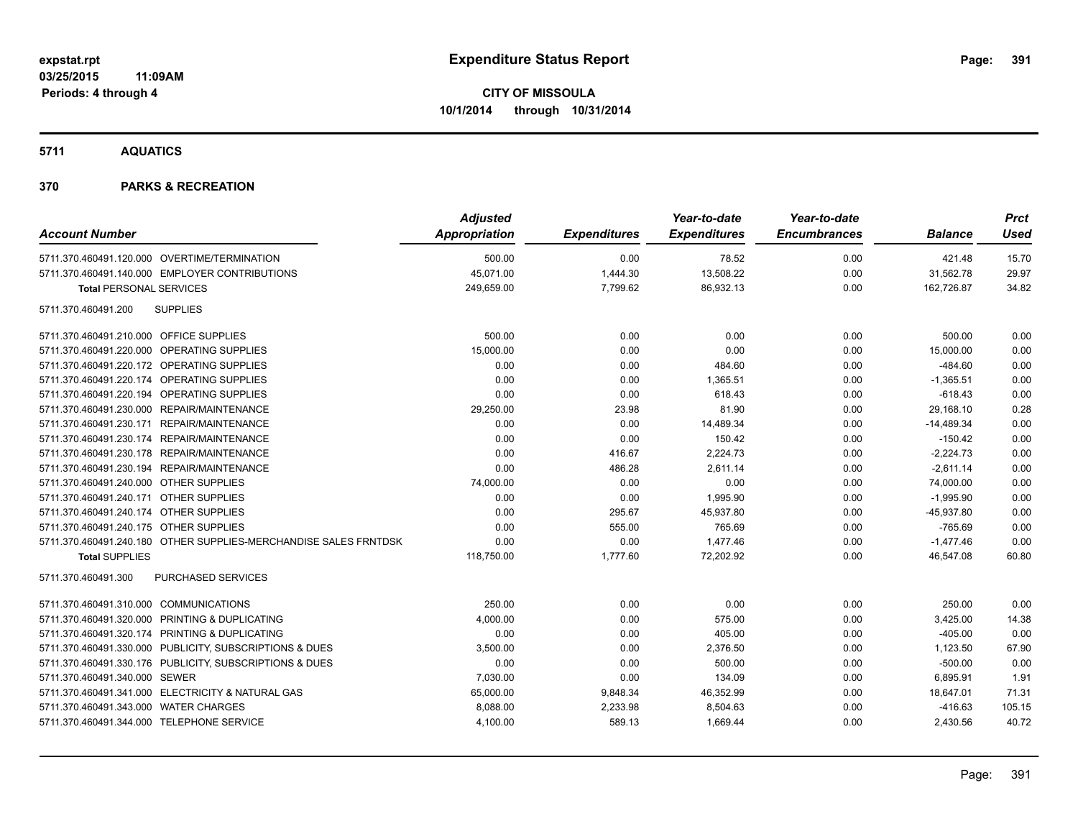**5711 AQUATICS**

| <b>Account Number</b>                                            | <b>Adjusted</b><br>Appropriation | <b>Expenditures</b> | Year-to-date<br><b>Expenditures</b> | Year-to-date<br><b>Encumbrances</b> | <b>Balance</b> | <b>Prct</b><br><b>Used</b> |
|------------------------------------------------------------------|----------------------------------|---------------------|-------------------------------------|-------------------------------------|----------------|----------------------------|
| 5711.370.460491.120.000 OVERTIME/TERMINATION                     | 500.00                           | 0.00                | 78.52                               | 0.00                                | 421.48         | 15.70                      |
| 5711.370.460491.140.000 EMPLOYER CONTRIBUTIONS                   | 45,071.00                        | 1,444.30            | 13,508.22                           | 0.00                                | 31,562.78      | 29.97                      |
| <b>Total PERSONAL SERVICES</b>                                   | 249,659.00                       | 7,799.62            | 86,932.13                           | 0.00                                | 162,726.87     | 34.82                      |
| <b>SUPPLIES</b><br>5711.370.460491.200                           |                                  |                     |                                     |                                     |                |                            |
| 5711.370.460491.210.000 OFFICE SUPPLIES                          | 500.00                           | 0.00                | 0.00                                | 0.00                                | 500.00         | 0.00                       |
| 5711.370.460491.220.000 OPERATING SUPPLIES                       | 15,000.00                        | 0.00                | 0.00                                | 0.00                                | 15,000.00      | 0.00                       |
| 5711.370.460491.220.172 OPERATING SUPPLIES                       | 0.00                             | 0.00                | 484.60                              | 0.00                                | $-484.60$      | 0.00                       |
| 5711.370.460491.220.174 OPERATING SUPPLIES                       | 0.00                             | 0.00                | 1,365.51                            | 0.00                                | $-1,365.51$    | 0.00                       |
| 5711.370.460491.220.194 OPERATING SUPPLIES                       | 0.00                             | 0.00                | 618.43                              | 0.00                                | $-618.43$      | 0.00                       |
| 5711.370.460491.230.000 REPAIR/MAINTENANCE                       | 29,250.00                        | 23.98               | 81.90                               | 0.00                                | 29,168.10      | 0.28                       |
| 5711.370.460491.230.171 REPAIR/MAINTENANCE                       | 0.00                             | 0.00                | 14,489.34                           | 0.00                                | $-14,489.34$   | 0.00                       |
| 5711.370.460491.230.174 REPAIR/MAINTENANCE                       | 0.00                             | 0.00                | 150.42                              | 0.00                                | $-150.42$      | 0.00                       |
| 5711.370.460491.230.178 REPAIR/MAINTENANCE                       | 0.00                             | 416.67              | 2,224.73                            | 0.00                                | $-2,224.73$    | 0.00                       |
| 5711.370.460491.230.194 REPAIR/MAINTENANCE                       | 0.00                             | 486.28              | 2,611.14                            | 0.00                                | $-2,611.14$    | 0.00                       |
| 5711.370.460491.240.000 OTHER SUPPLIES                           | 74,000.00                        | 0.00                | 0.00                                | 0.00                                | 74,000.00      | 0.00                       |
| 5711.370.460491.240.171 OTHER SUPPLIES                           | 0.00                             | 0.00                | 1,995.90                            | 0.00                                | $-1,995.90$    | 0.00                       |
| 5711.370.460491.240.174 OTHER SUPPLIES                           | 0.00                             | 295.67              | 45,937.80                           | 0.00                                | $-45,937.80$   | 0.00                       |
| 5711.370.460491.240.175 OTHER SUPPLIES                           | 0.00                             | 555.00              | 765.69                              | 0.00                                | $-765.69$      | 0.00                       |
| 5711.370.460491.240.180 OTHER SUPPLIES-MERCHANDISE SALES FRNTDSK | 0.00                             | 0.00                | 1,477.46                            | 0.00                                | $-1,477.46$    | 0.00                       |
| <b>Total SUPPLIES</b>                                            | 118,750.00                       | 1,777.60            | 72,202.92                           | 0.00                                | 46,547.08      | 60.80                      |
| 5711.370.460491.300<br>PURCHASED SERVICES                        |                                  |                     |                                     |                                     |                |                            |
| 5711.370.460491.310.000 COMMUNICATIONS                           | 250.00                           | 0.00                | 0.00                                | 0.00                                | 250.00         | 0.00                       |
| 5711.370.460491.320.000 PRINTING & DUPLICATING                   | 4,000.00                         | 0.00                | 575.00                              | 0.00                                | 3,425.00       | 14.38                      |
| 5711.370.460491.320.174 PRINTING & DUPLICATING                   | 0.00                             | 0.00                | 405.00                              | 0.00                                | $-405.00$      | 0.00                       |
| 5711.370.460491.330.000 PUBLICITY, SUBSCRIPTIONS & DUES          | 3,500.00                         | 0.00                | 2,376.50                            | 0.00                                | 1,123.50       | 67.90                      |
| 5711.370.460491.330.176 PUBLICITY, SUBSCRIPTIONS & DUES          | 0.00                             | 0.00                | 500.00                              | 0.00                                | $-500.00$      | 0.00                       |
| 5711.370.460491.340.000 SEWER                                    | 7,030.00                         | 0.00                | 134.09                              | 0.00                                | 6,895.91       | 1.91                       |
| 5711.370.460491.341.000 ELECTRICITY & NATURAL GAS                | 65,000.00                        | 9,848.34            | 46,352.99                           | 0.00                                | 18,647.01      | 71.31                      |
| 5711.370.460491.343.000 WATER CHARGES                            | 8,088.00                         | 2,233.98            | 8,504.63                            | 0.00                                | $-416.63$      | 105.15                     |
| 5711.370.460491.344.000 TELEPHONE SERVICE                        | 4,100.00                         | 589.13              | 1,669.44                            | 0.00                                | 2,430.56       | 40.72                      |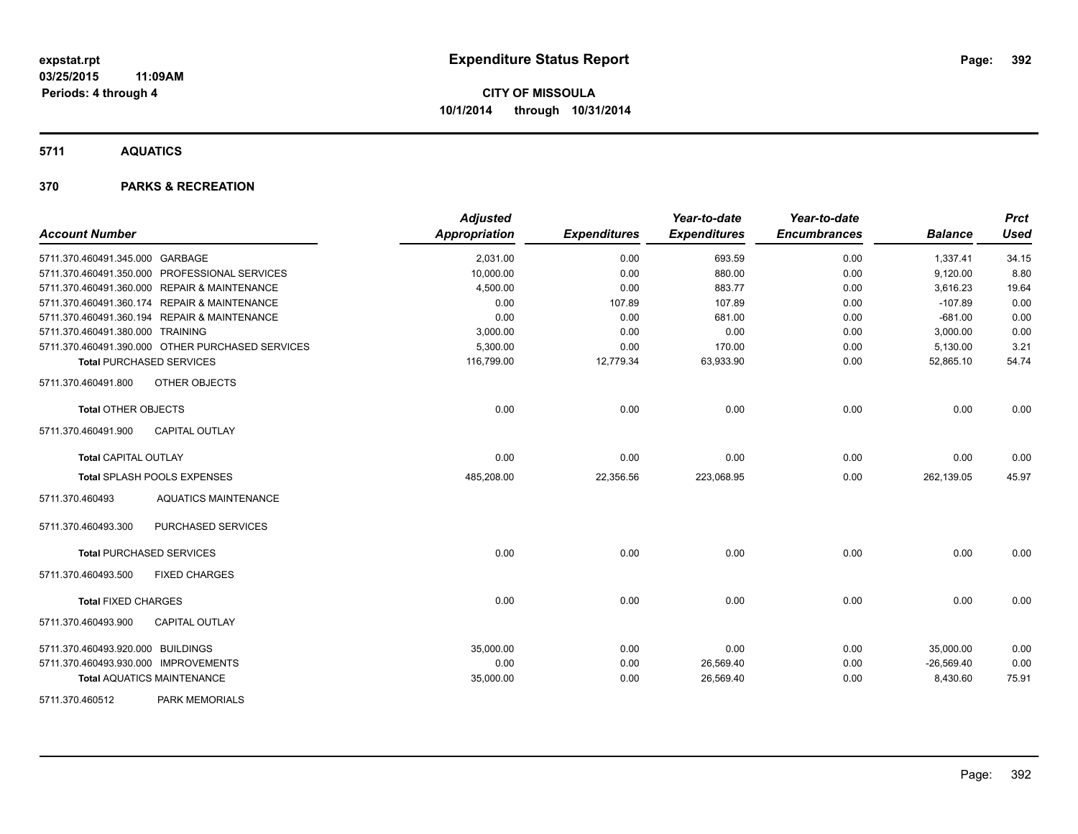#### **5711 AQUATICS**

| <b>Account Number</b>                            |                             | <b>Adjusted</b><br>Appropriation | <b>Expenditures</b> | Year-to-date<br><b>Expenditures</b> | Year-to-date<br><b>Encumbrances</b> | <b>Balance</b> | <b>Prct</b><br><b>Used</b> |
|--------------------------------------------------|-----------------------------|----------------------------------|---------------------|-------------------------------------|-------------------------------------|----------------|----------------------------|
| 5711.370.460491.345.000 GARBAGE                  |                             | 2,031.00                         | 0.00                | 693.59                              | 0.00                                | 1,337.41       | 34.15                      |
| 5711.370.460491.350.000 PROFESSIONAL SERVICES    |                             | 10,000.00                        | 0.00                | 880.00                              | 0.00                                | 9,120.00       | 8.80                       |
| 5711.370.460491.360.000 REPAIR & MAINTENANCE     |                             | 4,500.00                         | 0.00                | 883.77                              | 0.00                                | 3,616.23       | 19.64                      |
| 5711.370.460491.360.174 REPAIR & MAINTENANCE     |                             | 0.00                             | 107.89              | 107.89                              | 0.00                                | $-107.89$      | 0.00                       |
| 5711.370.460491.360.194 REPAIR & MAINTENANCE     |                             | 0.00                             | 0.00                | 681.00                              | 0.00                                | $-681.00$      | 0.00                       |
| 5711.370.460491.380.000 TRAINING                 |                             | 3,000.00                         | 0.00                | 0.00                                | 0.00                                | 3,000.00       | 0.00                       |
| 5711.370.460491.390.000 OTHER PURCHASED SERVICES |                             | 5,300.00                         | 0.00                | 170.00                              | 0.00                                | 5,130.00       | 3.21                       |
| <b>Total PURCHASED SERVICES</b>                  |                             | 116,799.00                       | 12,779.34           | 63,933.90                           | 0.00                                | 52,865.10      | 54.74                      |
| 5711.370.460491.800                              | OTHER OBJECTS               |                                  |                     |                                     |                                     |                |                            |
| <b>Total OTHER OBJECTS</b>                       |                             | 0.00                             | 0.00                | 0.00                                | 0.00                                | 0.00           | 0.00                       |
| 5711.370.460491.900                              | <b>CAPITAL OUTLAY</b>       |                                  |                     |                                     |                                     |                |                            |
| <b>Total CAPITAL OUTLAY</b>                      |                             | 0.00                             | 0.00                | 0.00                                | 0.00                                | 0.00           | 0.00                       |
| Total SPLASH POOLS EXPENSES                      |                             | 485,208.00                       | 22,356.56           | 223,068.95                          | 0.00                                | 262,139.05     | 45.97                      |
| 5711.370.460493                                  | <b>AQUATICS MAINTENANCE</b> |                                  |                     |                                     |                                     |                |                            |
| 5711.370.460493.300                              | PURCHASED SERVICES          |                                  |                     |                                     |                                     |                |                            |
| <b>Total PURCHASED SERVICES</b>                  |                             | 0.00                             | 0.00                | 0.00                                | 0.00                                | 0.00           | 0.00                       |
| 5711.370.460493.500                              | <b>FIXED CHARGES</b>        |                                  |                     |                                     |                                     |                |                            |
| <b>Total FIXED CHARGES</b>                       |                             | 0.00                             | 0.00                | 0.00                                | 0.00                                | 0.00           | 0.00                       |
| 5711.370.460493.900                              | <b>CAPITAL OUTLAY</b>       |                                  |                     |                                     |                                     |                |                            |
| 5711.370.460493.920.000 BUILDINGS                |                             | 35,000.00                        | 0.00                | 0.00                                | 0.00                                | 35,000.00      | 0.00                       |
| 5711.370.460493.930.000 IMPROVEMENTS             |                             | 0.00                             | 0.00                | 26,569.40                           | 0.00                                | $-26,569.40$   | 0.00                       |
| <b>Total AQUATICS MAINTENANCE</b>                |                             | 35,000.00                        | 0.00                | 26,569.40                           | 0.00                                | 8,430.60       | 75.91                      |
| 5711.370.460512                                  | PARK MEMORIALS              |                                  |                     |                                     |                                     |                |                            |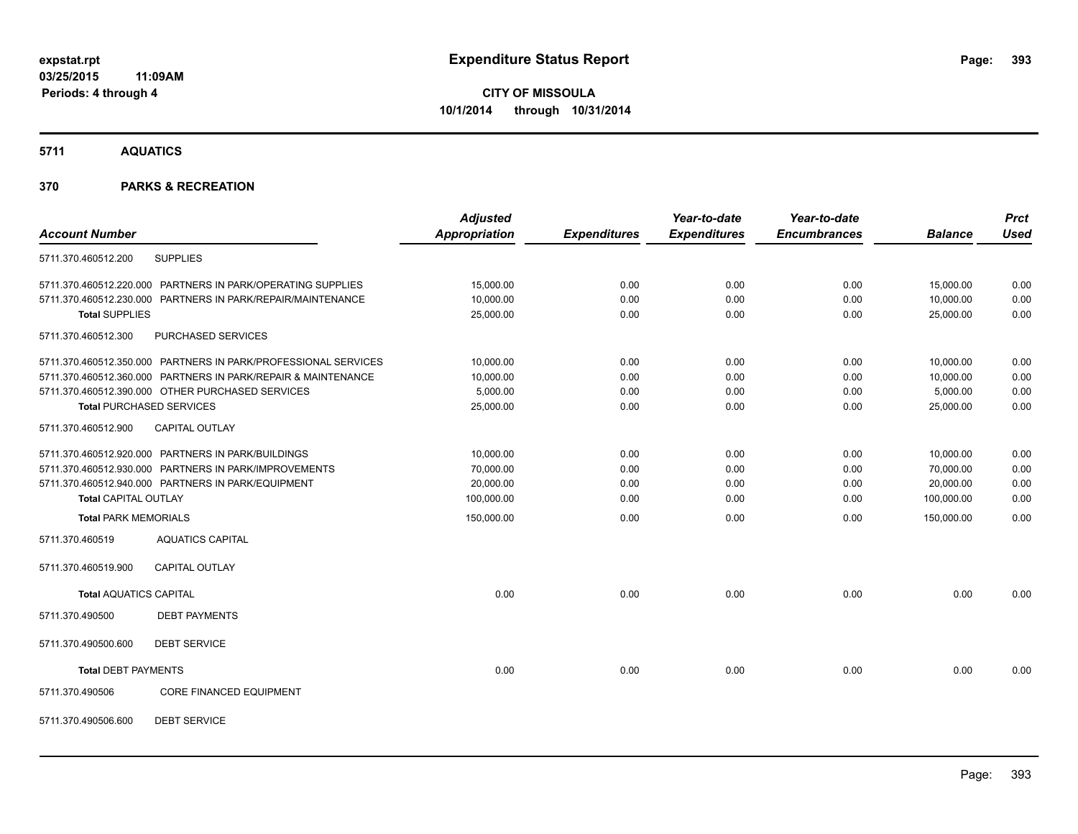**5711 AQUATICS**

#### **370 PARKS & RECREATION**

|                                 |                                                                | <b>Adjusted</b>      |                     | Year-to-date        | Year-to-date        |                | <b>Prct</b> |
|---------------------------------|----------------------------------------------------------------|----------------------|---------------------|---------------------|---------------------|----------------|-------------|
| <b>Account Number</b>           |                                                                | <b>Appropriation</b> | <b>Expenditures</b> | <b>Expenditures</b> | <b>Encumbrances</b> | <b>Balance</b> | <b>Used</b> |
| 5711.370.460512.200             | <b>SUPPLIES</b>                                                |                      |                     |                     |                     |                |             |
|                                 | 5711.370.460512.220.000 PARTNERS IN PARK/OPERATING SUPPLIES    | 15,000.00            | 0.00                | 0.00                | 0.00                | 15,000.00      | 0.00        |
|                                 | 5711.370.460512.230.000 PARTNERS IN PARK/REPAIR/MAINTENANCE    | 10,000.00            | 0.00                | 0.00                | 0.00                | 10,000.00      | 0.00        |
| <b>Total SUPPLIES</b>           |                                                                | 25,000.00            | 0.00                | 0.00                | 0.00                | 25,000.00      | 0.00        |
| 5711.370.460512.300             | PURCHASED SERVICES                                             |                      |                     |                     |                     |                |             |
|                                 | 5711.370.460512.350.000 PARTNERS IN PARK/PROFESSIONAL SERVICES | 10,000.00            | 0.00                | 0.00                | 0.00                | 10,000.00      | 0.00        |
|                                 | 5711.370.460512.360.000 PARTNERS IN PARK/REPAIR & MAINTENANCE  | 10,000.00            | 0.00                | 0.00                | 0.00                | 10,000.00      | 0.00        |
|                                 | 5711.370.460512.390.000 OTHER PURCHASED SERVICES               | 5,000.00             | 0.00                | 0.00                | 0.00                | 5,000.00       | 0.00        |
| <b>Total PURCHASED SERVICES</b> |                                                                | 25,000.00            | 0.00                | 0.00                | 0.00                | 25,000.00      | 0.00        |
| 5711.370.460512.900             | <b>CAPITAL OUTLAY</b>                                          |                      |                     |                     |                     |                |             |
|                                 | 5711.370.460512.920.000 PARTNERS IN PARK/BUILDINGS             | 10,000.00            | 0.00                | 0.00                | 0.00                | 10,000.00      | 0.00        |
|                                 | 5711.370.460512.930.000 PARTNERS IN PARK/IMPROVEMENTS          | 70,000.00            | 0.00                | 0.00                | 0.00                | 70,000.00      | 0.00        |
|                                 | 5711.370.460512.940.000 PARTNERS IN PARK/EQUIPMENT             | 20,000.00            | 0.00                | 0.00                | 0.00                | 20,000.00      | 0.00        |
| <b>Total CAPITAL OUTLAY</b>     |                                                                | 100,000.00           | 0.00                | 0.00                | 0.00                | 100,000.00     | 0.00        |
| <b>Total PARK MEMORIALS</b>     |                                                                | 150,000.00           | 0.00                | 0.00                | 0.00                | 150,000.00     | 0.00        |
| 5711.370.460519                 | <b>AQUATICS CAPITAL</b>                                        |                      |                     |                     |                     |                |             |
| 5711.370.460519.900             | <b>CAPITAL OUTLAY</b>                                          |                      |                     |                     |                     |                |             |
| <b>Total AQUATICS CAPITAL</b>   |                                                                | 0.00                 | 0.00                | 0.00                | 0.00                | 0.00           | 0.00        |
| 5711.370.490500                 | <b>DEBT PAYMENTS</b>                                           |                      |                     |                     |                     |                |             |
| 5711.370.490500.600             | <b>DEBT SERVICE</b>                                            |                      |                     |                     |                     |                |             |
| <b>Total DEBT PAYMENTS</b>      |                                                                | 0.00                 | 0.00                | 0.00                | 0.00                | 0.00           | 0.00        |
| 5711.370.490506                 | <b>CORE FINANCED EQUIPMENT</b>                                 |                      |                     |                     |                     |                |             |
|                                 |                                                                |                      |                     |                     |                     |                |             |

5711.370.490506.600 DEBT SERVICE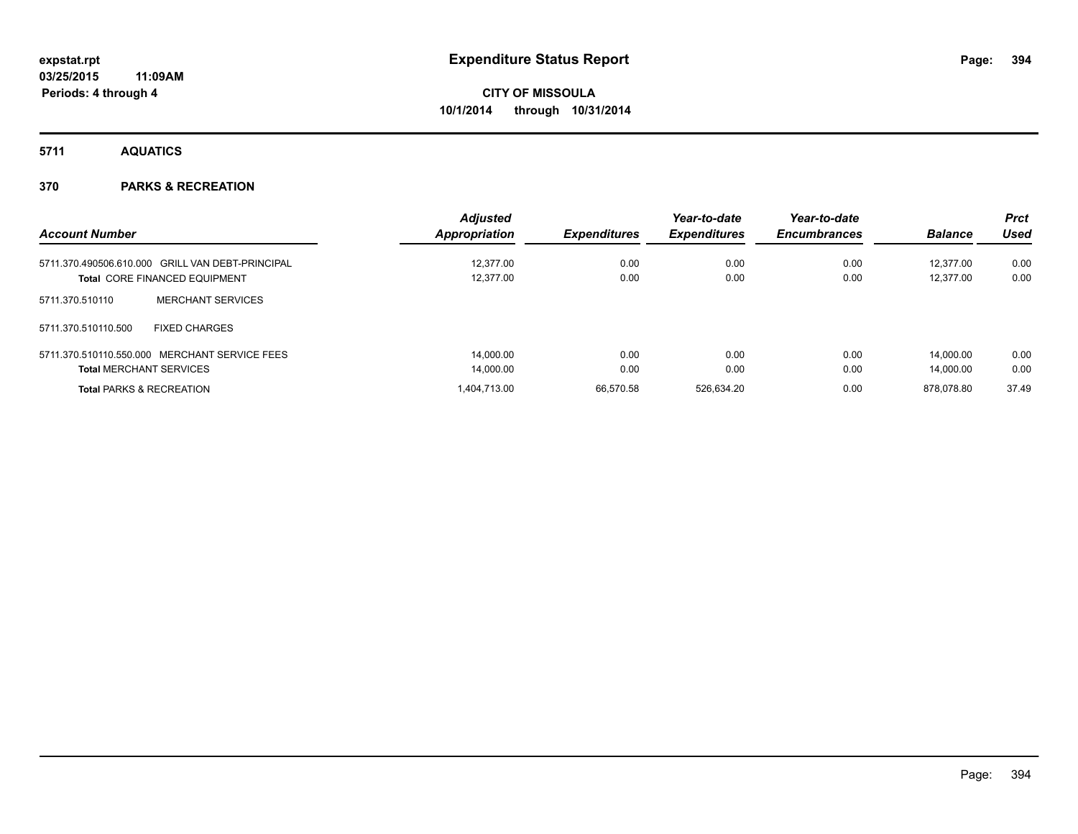**5711 AQUATICS**

| <b>Account Number</b>                            | <b>Adjusted</b><br>Appropriation | <b>Expenditures</b> | Year-to-date<br><b>Expenditures</b> | Year-to-date<br><b>Encumbrances</b> | <b>Balance</b> | <b>Prct</b><br><b>Used</b> |
|--------------------------------------------------|----------------------------------|---------------------|-------------------------------------|-------------------------------------|----------------|----------------------------|
| 5711.370.490506.610.000 GRILL VAN DEBT-PRINCIPAL | 12.377.00                        | 0.00                | 0.00                                | 0.00                                | 12.377.00      | 0.00                       |
| <b>Total CORE FINANCED EQUIPMENT</b>             | 12.377.00                        | 0.00                | 0.00                                | 0.00                                | 12.377.00      | 0.00                       |
| <b>MERCHANT SERVICES</b><br>5711.370.510110      |                                  |                     |                                     |                                     |                |                            |
| 5711.370.510110.500<br><b>FIXED CHARGES</b>      |                                  |                     |                                     |                                     |                |                            |
| 5711.370.510110.550.000 MERCHANT SERVICE FEES    | 14.000.00                        | 0.00                | 0.00                                | 0.00                                | 14.000.00      | 0.00                       |
| <b>Total MERCHANT SERVICES</b>                   | 14,000.00                        | 0.00                | 0.00                                | 0.00                                | 14.000.00      | 0.00                       |
| <b>Total PARKS &amp; RECREATION</b>              | 1.404.713.00                     | 66.570.58           | 526.634.20                          | 0.00                                | 878.078.80     | 37.49                      |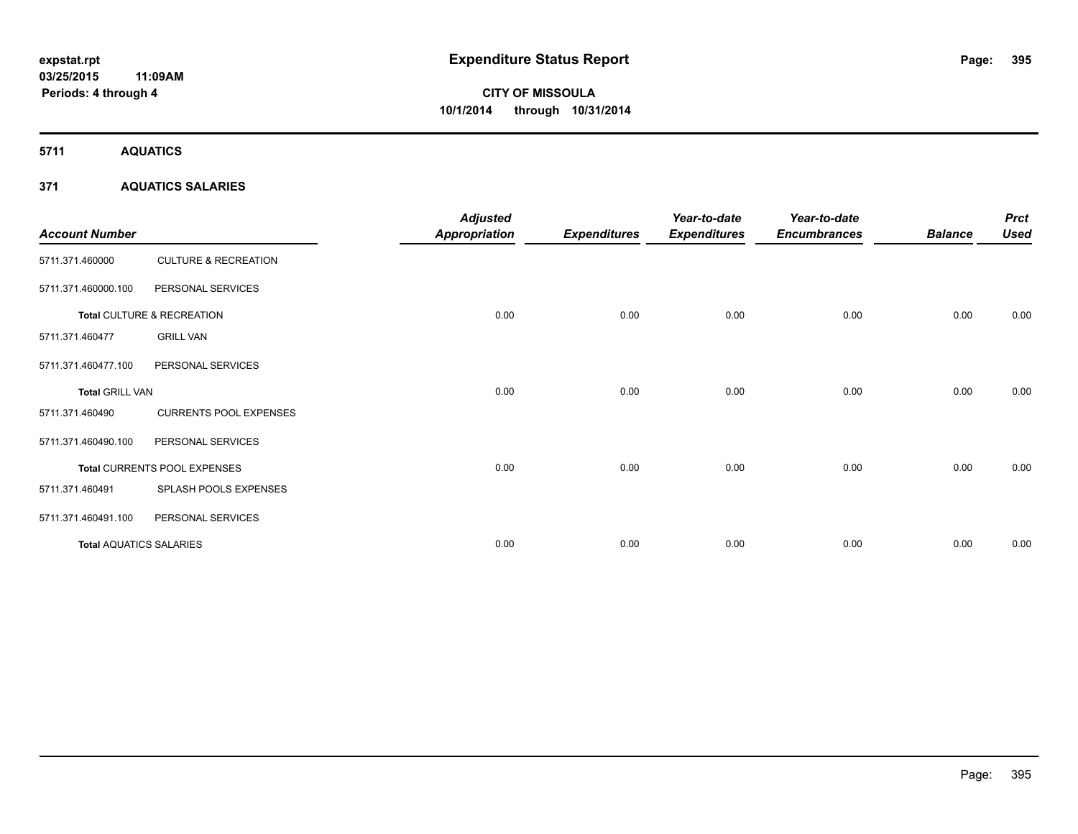**5711 AQUATICS**

#### **371 AQUATICS SALARIES**

| <b>Account Number</b>          |                                 | <b>Adjusted</b><br><b>Appropriation</b> | <b>Expenditures</b> | Year-to-date<br><b>Expenditures</b> | Year-to-date<br><b>Encumbrances</b> | <b>Balance</b> | <b>Prct</b><br><b>Used</b> |
|--------------------------------|---------------------------------|-----------------------------------------|---------------------|-------------------------------------|-------------------------------------|----------------|----------------------------|
| 5711.371.460000                | <b>CULTURE &amp; RECREATION</b> |                                         |                     |                                     |                                     |                |                            |
| 5711.371.460000.100            | PERSONAL SERVICES               |                                         |                     |                                     |                                     |                |                            |
|                                | Total CULTURE & RECREATION      | 0.00                                    | 0.00                | 0.00                                | 0.00                                | 0.00           | 0.00                       |
| 5711.371.460477                | <b>GRILL VAN</b>                |                                         |                     |                                     |                                     |                |                            |
| 5711.371.460477.100            | PERSONAL SERVICES               |                                         |                     |                                     |                                     |                |                            |
| <b>Total GRILL VAN</b>         |                                 | 0.00                                    | 0.00                | 0.00                                | 0.00                                | 0.00           | 0.00                       |
| 5711.371.460490                | <b>CURRENTS POOL EXPENSES</b>   |                                         |                     |                                     |                                     |                |                            |
| 5711.371.460490.100            | PERSONAL SERVICES               |                                         |                     |                                     |                                     |                |                            |
|                                | Total CURRENTS POOL EXPENSES    | 0.00                                    | 0.00                | 0.00                                | 0.00                                | 0.00           | 0.00                       |
| 5711.371.460491                | SPLASH POOLS EXPENSES           |                                         |                     |                                     |                                     |                |                            |
| 5711.371.460491.100            | PERSONAL SERVICES               |                                         |                     |                                     |                                     |                |                            |
| <b>Total AQUATICS SALARIES</b> |                                 | 0.00                                    | 0.00                | 0.00                                | 0.00                                | 0.00           | 0.00                       |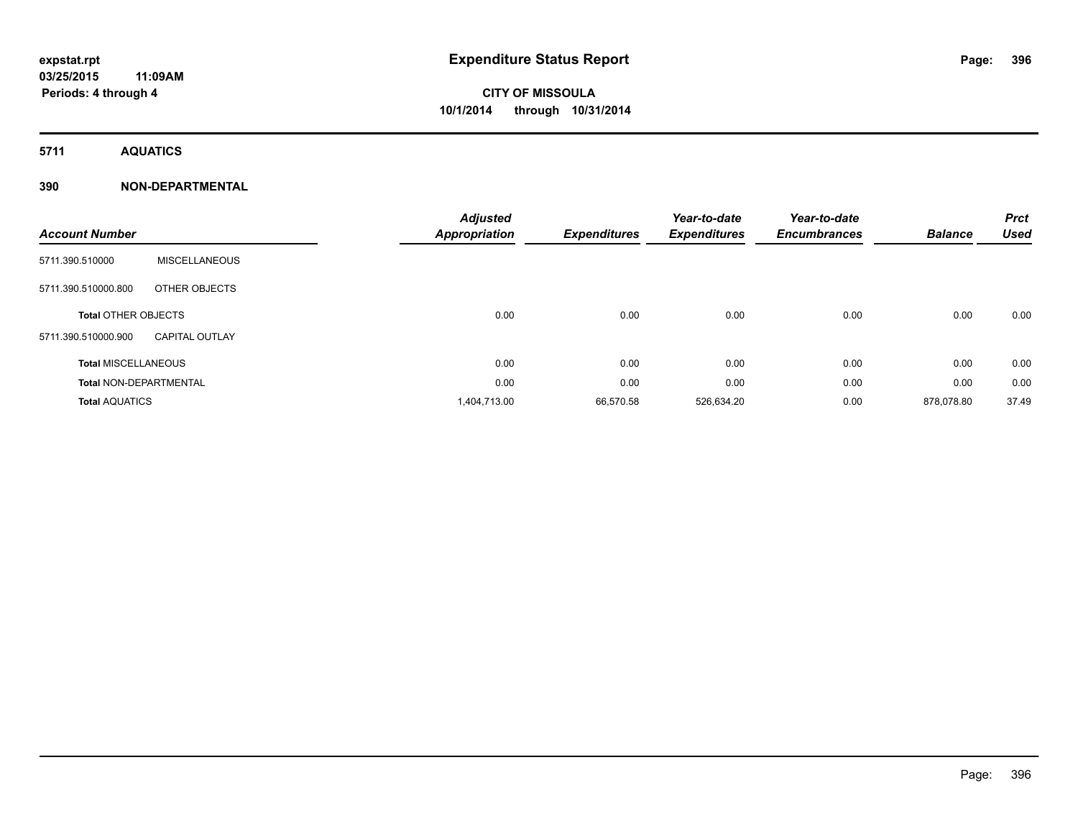**5711 AQUATICS**

#### **390 NON-DEPARTMENTAL**

| <b>Account Number</b>         |                       | <b>Adjusted</b><br><b>Appropriation</b> | <b>Expenditures</b> | Year-to-date<br><b>Expenditures</b> | Year-to-date<br><b>Encumbrances</b> | <b>Balance</b> | <b>Prct</b><br><b>Used</b> |
|-------------------------------|-----------------------|-----------------------------------------|---------------------|-------------------------------------|-------------------------------------|----------------|----------------------------|
| 5711.390.510000               | <b>MISCELLANEOUS</b>  |                                         |                     |                                     |                                     |                |                            |
| 5711.390.510000.800           | OTHER OBJECTS         |                                         |                     |                                     |                                     |                |                            |
| <b>Total OTHER OBJECTS</b>    |                       | 0.00                                    | 0.00                | 0.00                                | 0.00                                | 0.00           | 0.00                       |
| 5711.390.510000.900           | <b>CAPITAL OUTLAY</b> |                                         |                     |                                     |                                     |                |                            |
| <b>Total MISCELLANEOUS</b>    |                       | 0.00                                    | 0.00                | 0.00                                | 0.00                                | 0.00           | 0.00                       |
| <b>Total NON-DEPARTMENTAL</b> |                       | 0.00                                    | 0.00                | 0.00                                | 0.00                                | 0.00           | 0.00                       |
| <b>Total AQUATICS</b>         |                       | 1,404,713.00                            | 66,570.58           | 526,634.20                          | 0.00                                | 878.078.80     | 37.49                      |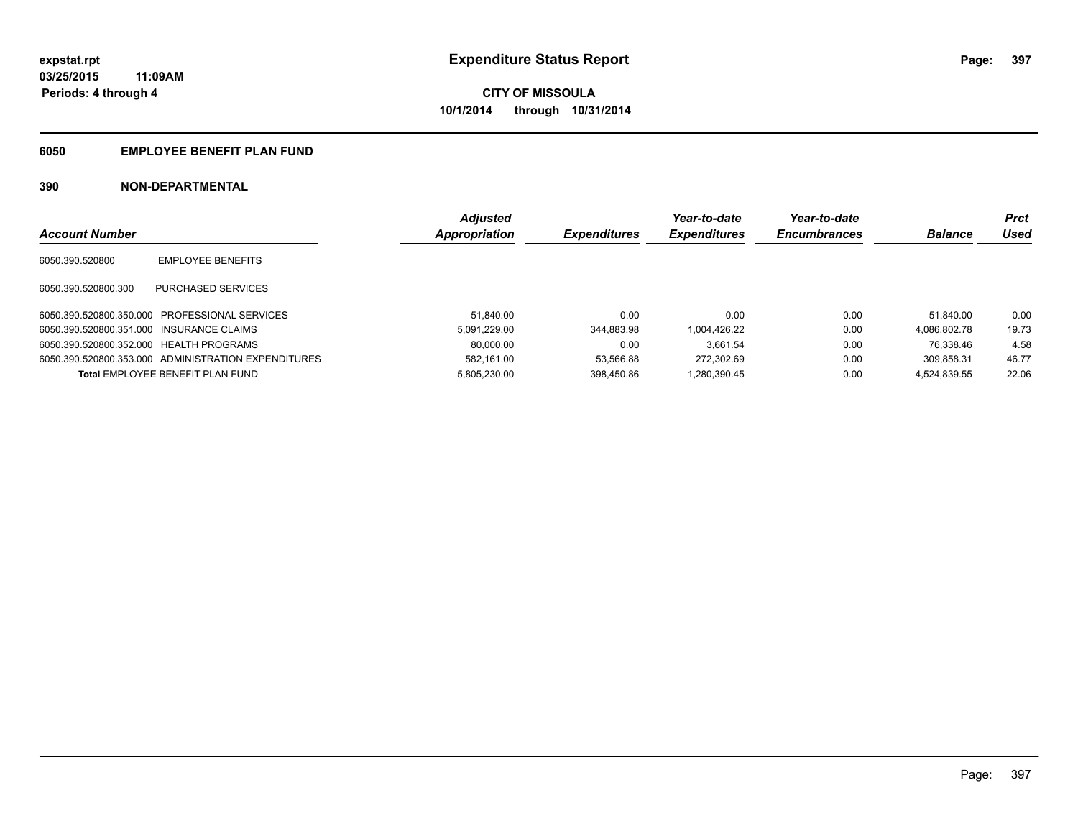### **6050 EMPLOYEE BENEFIT PLAN FUND**

|                                          |                                                     | <b>Adjusted</b> |                     | Year-to-date        | Year-to-date        |                | <b>Prct</b> |
|------------------------------------------|-----------------------------------------------------|-----------------|---------------------|---------------------|---------------------|----------------|-------------|
| <b>Account Number</b>                    |                                                     | Appropriation   | <b>Expenditures</b> | <b>Expenditures</b> | <b>Encumbrances</b> | <b>Balance</b> | Used        |
| 6050.390.520800                          | <b>EMPLOYEE BENEFITS</b>                            |                 |                     |                     |                     |                |             |
| 6050.390.520800.300                      | PURCHASED SERVICES                                  |                 |                     |                     |                     |                |             |
|                                          | 6050.390.520800.350.000 PROFESSIONAL SERVICES       | 51.840.00       | 0.00                | 0.00                | 0.00                | 51.840.00      | 0.00        |
| 6050.390.520800.351.000 INSURANCE CLAIMS |                                                     | 5.091.229.00    | 344.883.98          | 1.004.426.22        | 0.00                | 4.086.802.78   | 19.73       |
| 6050.390.520800.352.000 HEALTH PROGRAMS  |                                                     | 80.000.00       | 0.00                | 3.661.54            | 0.00                | 76.338.46      | 4.58        |
|                                          | 6050.390.520800.353.000 ADMINISTRATION EXPENDITURES | 582.161.00      | 53.566.88           | 272.302.69          | 0.00                | 309.858.31     | 46.77       |
|                                          | <b>Total EMPLOYEE BENEFIT PLAN FUND</b>             | 5.805.230.00    | 398.450.86          | 1.280.390.45        | 0.00                | 4.524.839.55   | 22.06       |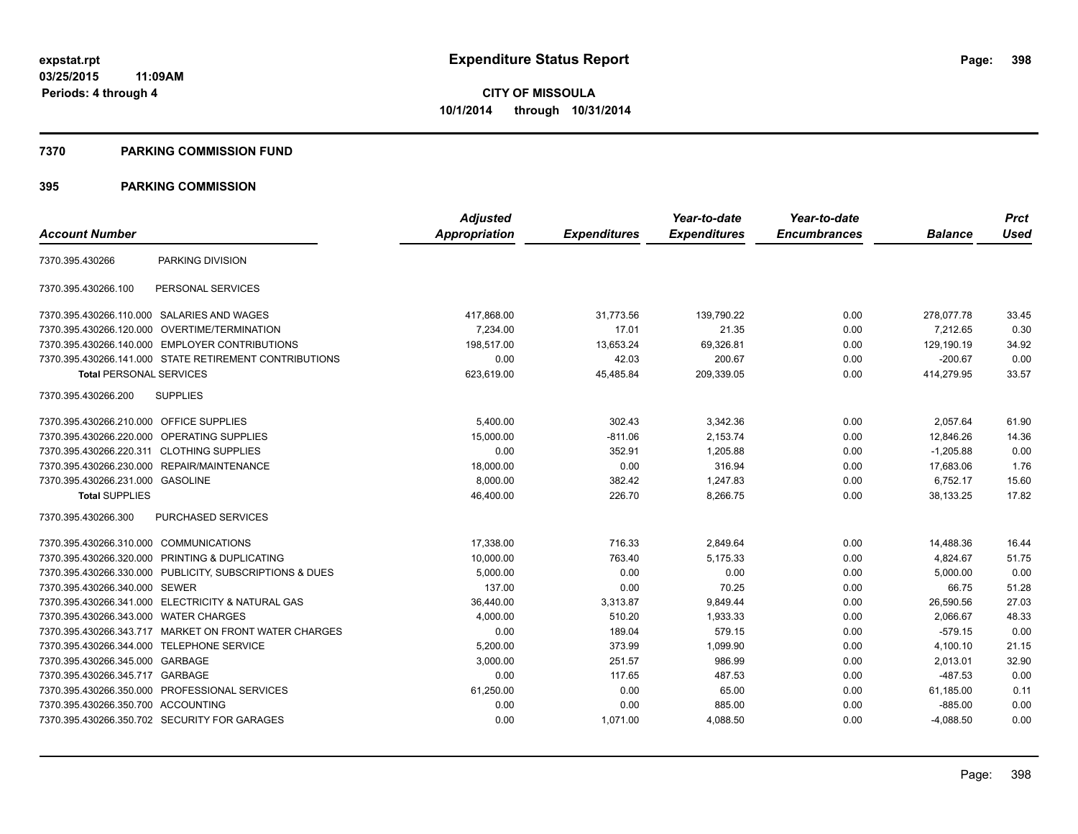#### **7370 PARKING COMMISSION FUND**

|                                           |                                                         | <b>Adjusted</b> |                     | Year-to-date        | Year-to-date        |                | <b>Prct</b> |
|-------------------------------------------|---------------------------------------------------------|-----------------|---------------------|---------------------|---------------------|----------------|-------------|
| <b>Account Number</b>                     |                                                         | Appropriation   | <b>Expenditures</b> | <b>Expenditures</b> | <b>Encumbrances</b> | <b>Balance</b> | <b>Used</b> |
| 7370.395.430266                           | PARKING DIVISION                                        |                 |                     |                     |                     |                |             |
| 7370.395.430266.100                       | PERSONAL SERVICES                                       |                 |                     |                     |                     |                |             |
|                                           | 7370.395.430266.110.000 SALARIES AND WAGES              | 417,868.00      | 31,773.56           | 139,790.22          | 0.00                | 278,077.78     | 33.45       |
| 7370.395.430266.120.000                   | OVERTIME/TERMINATION                                    | 7,234.00        | 17.01               | 21.35               | 0.00                | 7,212.65       | 0.30        |
|                                           | 7370.395.430266.140.000 EMPLOYER CONTRIBUTIONS          | 198.517.00      | 13,653.24           | 69.326.81           | 0.00                | 129.190.19     | 34.92       |
|                                           | 7370.395.430266.141.000 STATE RETIREMENT CONTRIBUTIONS  | 0.00            | 42.03               | 200.67              | 0.00                | $-200.67$      | 0.00        |
| <b>Total PERSONAL SERVICES</b>            |                                                         | 623,619.00      | 45,485.84           | 209,339.05          | 0.00                | 414,279.95     | 33.57       |
| 7370.395.430266.200                       | <b>SUPPLIES</b>                                         |                 |                     |                     |                     |                |             |
| 7370.395.430266.210.000 OFFICE SUPPLIES   |                                                         | 5.400.00        | 302.43              | 3,342.36            | 0.00                | 2,057.64       | 61.90       |
| 7370.395.430266.220.000                   | OPERATING SUPPLIES                                      | 15,000.00       | $-811.06$           | 2,153.74            | 0.00                | 12,846.26      | 14.36       |
| 7370.395.430266.220.311 CLOTHING SUPPLIES |                                                         | 0.00            | 352.91              | 1,205.88            | 0.00                | $-1,205.88$    | 0.00        |
| 7370.395.430266.230.000                   | REPAIR/MAINTENANCE                                      | 18,000.00       | 0.00                | 316.94              | 0.00                | 17,683.06      | 1.76        |
| 7370.395.430266.231.000 GASOLINE          |                                                         | 8,000.00        | 382.42              | 1,247.83            | 0.00                | 6,752.17       | 15.60       |
| <b>Total SUPPLIES</b>                     |                                                         | 46,400.00       | 226.70              | 8,266.75            | 0.00                | 38,133.25      | 17.82       |
| 7370.395.430266.300                       | PURCHASED SERVICES                                      |                 |                     |                     |                     |                |             |
| 7370.395.430266.310.000                   | <b>COMMUNICATIONS</b>                                   | 17,338.00       | 716.33              | 2,849.64            | 0.00                | 14,488.36      | 16.44       |
|                                           | 7370.395.430266.320.000 PRINTING & DUPLICATING          | 10,000.00       | 763.40              | 5,175.33            | 0.00                | 4,824.67       | 51.75       |
|                                           | 7370.395.430266.330.000 PUBLICITY, SUBSCRIPTIONS & DUES | 5,000.00        | 0.00                | 0.00                | 0.00                | 5.000.00       | 0.00        |
| 7370.395.430266.340.000 SEWER             |                                                         | 137.00          | 0.00                | 70.25               | 0.00                | 66.75          | 51.28       |
|                                           | 7370.395.430266.341.000 ELECTRICITY & NATURAL GAS       | 36,440.00       | 3,313.87            | 9,849.44            | 0.00                | 26,590.56      | 27.03       |
| 7370.395.430266.343.000                   | <b>WATER CHARGES</b>                                    | 4,000.00        | 510.20              | 1,933.33            | 0.00                | 2,066.67       | 48.33       |
|                                           | 7370.395.430266.343.717 MARKET ON FRONT WATER CHARGES   | 0.00            | 189.04              | 579.15              | 0.00                | $-579.15$      | 0.00        |
|                                           | 7370.395.430266.344.000 TELEPHONE SERVICE               | 5,200.00        | 373.99              | 1,099.90            | 0.00                | 4,100.10       | 21.15       |
| 7370.395.430266.345.000 GARBAGE           |                                                         | 3,000.00        | 251.57              | 986.99              | 0.00                | 2,013.01       | 32.90       |
| 7370.395.430266.345.717                   | GARBAGE                                                 | 0.00            | 117.65              | 487.53              | 0.00                | $-487.53$      | 0.00        |
|                                           | 7370.395.430266.350.000 PROFESSIONAL SERVICES           | 61,250.00       | 0.00                | 65.00               | 0.00                | 61,185.00      | 0.11        |
| 7370.395.430266.350.700 ACCOUNTING        |                                                         | 0.00            | 0.00                | 885.00              | 0.00                | $-885.00$      | 0.00        |
|                                           | 7370.395.430266.350.702 SECURITY FOR GARAGES            | 0.00            | 1,071.00            | 4,088.50            | 0.00                | $-4,088.50$    | 0.00        |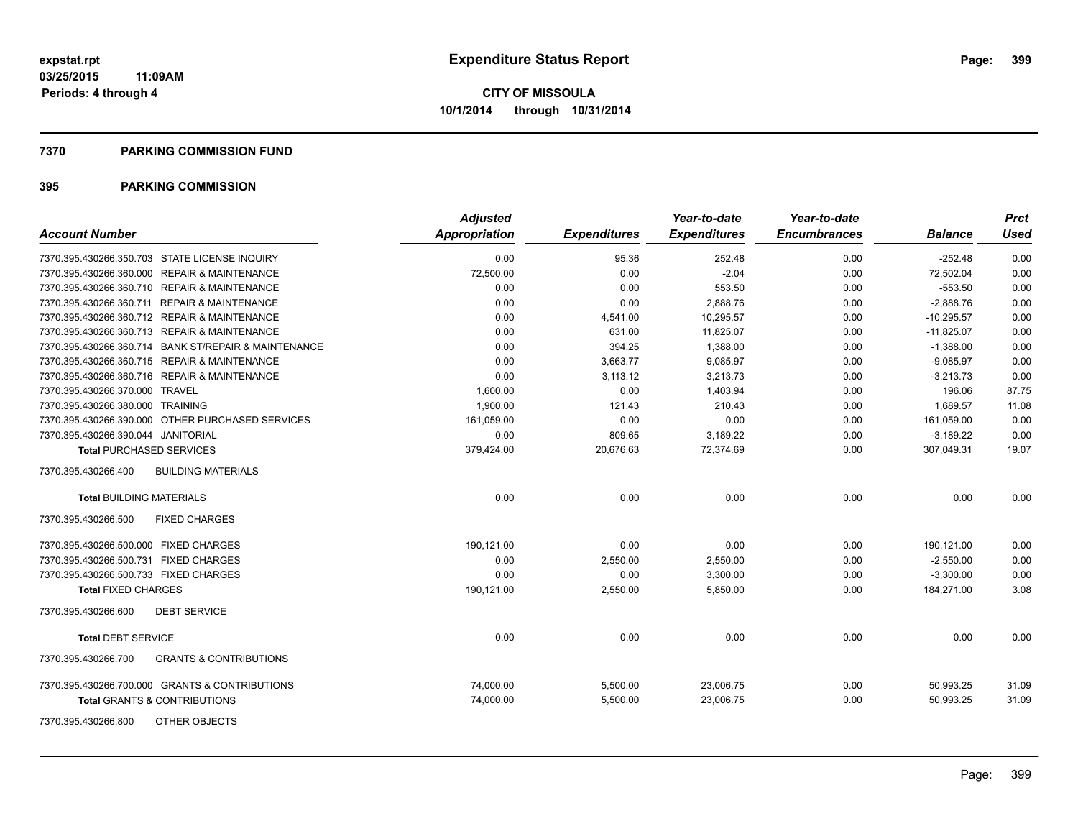#### **7370 PARKING COMMISSION FUND**

| <b>Account Number</b>                                    | <b>Adjusted</b><br>Appropriation | <b>Expenditures</b> | Year-to-date<br><b>Expenditures</b> | Year-to-date<br><b>Encumbrances</b> | <b>Balance</b> | <b>Prct</b><br><b>Used</b> |
|----------------------------------------------------------|----------------------------------|---------------------|-------------------------------------|-------------------------------------|----------------|----------------------------|
| 7370.395.430266.350.703 STATE LICENSE INQUIRY            | 0.00                             | 95.36               | 252.48                              | 0.00                                | $-252.48$      | 0.00                       |
| 7370.395.430266.360.000 REPAIR & MAINTENANCE             | 72,500.00                        | 0.00                | $-2.04$                             | 0.00                                | 72,502.04      | 0.00                       |
| 7370.395.430266.360.710 REPAIR & MAINTENANCE             | 0.00                             | 0.00                | 553.50                              | 0.00                                | $-553.50$      | 0.00                       |
| 7370.395.430266.360.711 REPAIR & MAINTENANCE             | 0.00                             | 0.00                | 2,888.76                            | 0.00                                | $-2,888.76$    | 0.00                       |
| 7370.395.430266.360.712 REPAIR & MAINTENANCE             | 0.00                             | 4,541.00            | 10.295.57                           | 0.00                                | $-10.295.57$   | 0.00                       |
| 7370.395.430266.360.713 REPAIR & MAINTENANCE             | 0.00                             | 631.00              | 11,825.07                           | 0.00                                | $-11,825.07$   | 0.00                       |
| 7370.395.430266.360.714 BANK ST/REPAIR & MAINTENANCE     | 0.00                             | 394.25              | 1,388.00                            | 0.00                                | $-1,388.00$    | 0.00                       |
| 7370.395.430266.360.715 REPAIR & MAINTENANCE             | 0.00                             | 3,663.77            | 9,085.97                            | 0.00                                | $-9,085.97$    | 0.00                       |
| 7370.395.430266.360.716 REPAIR & MAINTENANCE             | 0.00                             | 3,113.12            | 3,213.73                            | 0.00                                | $-3,213.73$    | 0.00                       |
| 7370.395.430266.370.000 TRAVEL                           | 1,600.00                         | 0.00                | 1,403.94                            | 0.00                                | 196.06         | 87.75                      |
| 7370.395.430266.380.000 TRAINING                         | 1,900.00                         | 121.43              | 210.43                              | 0.00                                | 1,689.57       | 11.08                      |
| 7370.395.430266.390.000 OTHER PURCHASED SERVICES         | 161,059.00                       | 0.00                | 0.00                                | 0.00                                | 161,059.00     | 0.00                       |
| 7370.395.430266.390.044 JANITORIAL                       | 0.00                             | 809.65              | 3,189.22                            | 0.00                                | $-3,189.22$    | 0.00                       |
| <b>Total PURCHASED SERVICES</b>                          | 379,424.00                       | 20,676.63           | 72,374.69                           | 0.00                                | 307,049.31     | 19.07                      |
| 7370.395.430266.400<br><b>BUILDING MATERIALS</b>         |                                  |                     |                                     |                                     |                |                            |
| <b>Total BUILDING MATERIALS</b>                          | 0.00                             | 0.00                | 0.00                                | 0.00                                | 0.00           | 0.00                       |
| 7370.395.430266.500<br><b>FIXED CHARGES</b>              |                                  |                     |                                     |                                     |                |                            |
| 7370.395.430266.500.000 FIXED CHARGES                    | 190,121.00                       | 0.00                | 0.00                                | 0.00                                | 190,121.00     | 0.00                       |
| 7370.395.430266.500.731 FIXED CHARGES                    | 0.00                             | 2,550.00            | 2,550.00                            | 0.00                                | $-2,550.00$    | 0.00                       |
| 7370.395.430266.500.733 FIXED CHARGES                    | 0.00                             | 0.00                | 3,300.00                            | 0.00                                | $-3,300.00$    | 0.00                       |
| <b>Total FIXED CHARGES</b>                               | 190,121.00                       | 2,550.00            | 5,850.00                            | 0.00                                | 184,271.00     | 3.08                       |
| <b>DEBT SERVICE</b><br>7370.395.430266.600               |                                  |                     |                                     |                                     |                |                            |
| <b>Total DEBT SERVICE</b>                                | 0.00                             | 0.00                | 0.00                                | 0.00                                | 0.00           | 0.00                       |
| 7370.395.430266.700<br><b>GRANTS &amp; CONTRIBUTIONS</b> |                                  |                     |                                     |                                     |                |                            |
| 7370.395.430266.700.000 GRANTS & CONTRIBUTIONS           | 74,000.00                        | 5,500.00            | 23,006.75                           | 0.00                                | 50,993.25      | 31.09                      |
| Total GRANTS & CONTRIBUTIONS                             | 74,000.00                        | 5,500.00            | 23,006.75                           | 0.00                                | 50,993.25      | 31.09                      |
| OTHER OBJECTS<br>7370.395.430266.800                     |                                  |                     |                                     |                                     |                |                            |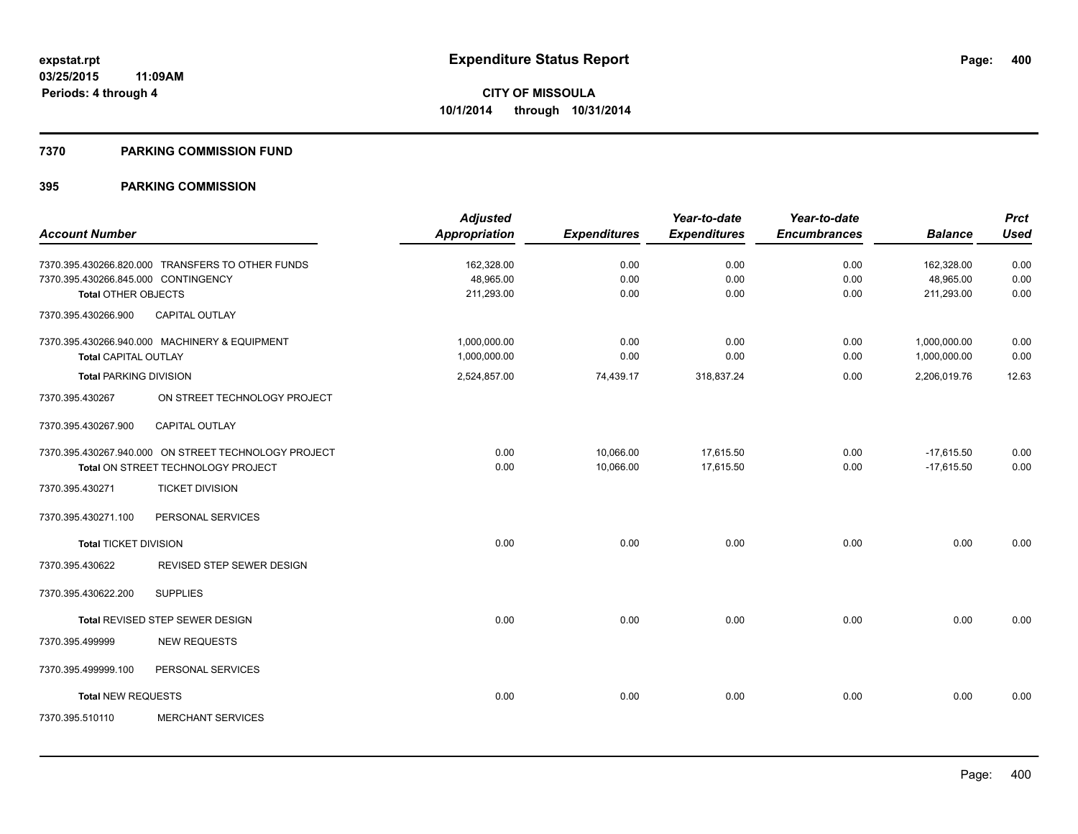#### **7370 PARKING COMMISSION FUND**

|                                     |                                                                                            | <b>Adjusted</b>              |                        | Year-to-date           | Year-to-date        |                              | <b>Prct</b>  |
|-------------------------------------|--------------------------------------------------------------------------------------------|------------------------------|------------------------|------------------------|---------------------|------------------------------|--------------|
| <b>Account Number</b>               |                                                                                            | <b>Appropriation</b>         | <b>Expenditures</b>    | <b>Expenditures</b>    | <b>Encumbrances</b> | <b>Balance</b>               | <b>Used</b>  |
| 7370.395.430266.845.000 CONTINGENCY | 7370.395.430266.820.000 TRANSFERS TO OTHER FUNDS                                           | 162,328.00<br>48,965.00      | 0.00<br>0.00           | 0.00<br>0.00           | 0.00<br>0.00        | 162,328.00<br>48,965.00      | 0.00<br>0.00 |
| Total OTHER OBJECTS                 |                                                                                            | 211,293.00                   | 0.00                   | 0.00                   | 0.00                | 211,293.00                   | 0.00         |
| 7370.395.430266.900                 | <b>CAPITAL OUTLAY</b>                                                                      |                              |                        |                        |                     |                              |              |
| <b>Total CAPITAL OUTLAY</b>         | 7370.395.430266.940.000 MACHINERY & EQUIPMENT                                              | 1,000,000.00<br>1,000,000.00 | 0.00<br>0.00           | 0.00<br>0.00           | 0.00<br>0.00        | 1,000,000.00<br>1,000,000.00 | 0.00<br>0.00 |
| <b>Total PARKING DIVISION</b>       |                                                                                            | 2,524,857.00                 | 74,439.17              | 318,837.24             | 0.00                | 2,206,019.76                 | 12.63        |
| 7370.395.430267                     | ON STREET TECHNOLOGY PROJECT                                                               |                              |                        |                        |                     |                              |              |
| 7370.395.430267.900                 | CAPITAL OUTLAY                                                                             |                              |                        |                        |                     |                              |              |
|                                     | 7370.395.430267.940.000 ON STREET TECHNOLOGY PROJECT<br>Total ON STREET TECHNOLOGY PROJECT | 0.00<br>0.00                 | 10,066.00<br>10,066.00 | 17,615.50<br>17,615.50 | 0.00<br>0.00        | $-17,615.50$<br>$-17,615.50$ | 0.00<br>0.00 |
| 7370.395.430271                     | <b>TICKET DIVISION</b>                                                                     |                              |                        |                        |                     |                              |              |
| 7370.395.430271.100                 | PERSONAL SERVICES                                                                          |                              |                        |                        |                     |                              |              |
| <b>Total TICKET DIVISION</b>        |                                                                                            | 0.00                         | 0.00                   | 0.00                   | 0.00                | 0.00                         | 0.00         |
| 7370.395.430622                     | REVISED STEP SEWER DESIGN                                                                  |                              |                        |                        |                     |                              |              |
| 7370.395.430622.200                 | <b>SUPPLIES</b>                                                                            |                              |                        |                        |                     |                              |              |
|                                     | Total REVISED STEP SEWER DESIGN                                                            | 0.00                         | 0.00                   | 0.00                   | 0.00                | 0.00                         | 0.00         |
| 7370.395.499999                     | <b>NEW REQUESTS</b>                                                                        |                              |                        |                        |                     |                              |              |
| 7370.395.499999.100                 | PERSONAL SERVICES                                                                          |                              |                        |                        |                     |                              |              |
| <b>Total NEW REQUESTS</b>           |                                                                                            | 0.00                         | 0.00                   | 0.00                   | 0.00                | 0.00                         | 0.00         |
| 7370.395.510110                     | <b>MERCHANT SERVICES</b>                                                                   |                              |                        |                        |                     |                              |              |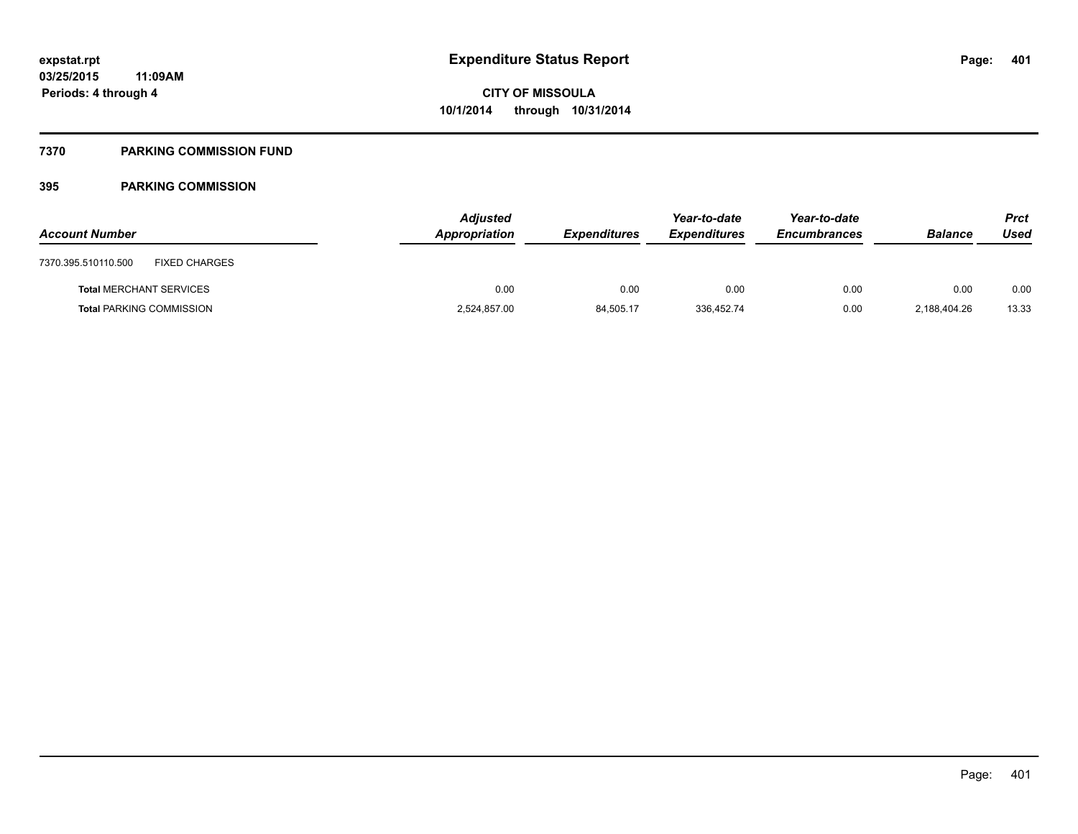### **7370 PARKING COMMISSION FUND**

| <b>Account Number</b>                       | <b>Adjusted</b><br>Appropriation | <i><b>Expenditures</b></i> | Year-to-date<br><b>Expenditures</b> | Year-to-date<br><b>Encumbrances</b> | <b>Balance</b> | <b>Prct</b><br>Used |
|---------------------------------------------|----------------------------------|----------------------------|-------------------------------------|-------------------------------------|----------------|---------------------|
| 7370.395.510110.500<br><b>FIXED CHARGES</b> |                                  |                            |                                     |                                     |                |                     |
| <b>Total MERCHANT SERVICES</b>              | 0.00                             | 0.00                       | 0.00                                | 0.00                                | 0.00           | 0.00                |
| <b>Total PARKING COMMISSION</b>             | 2,524,857.00                     | 84,505.17                  | 336,452.74                          | 0.00                                | 2.188.404.26   | 13.33               |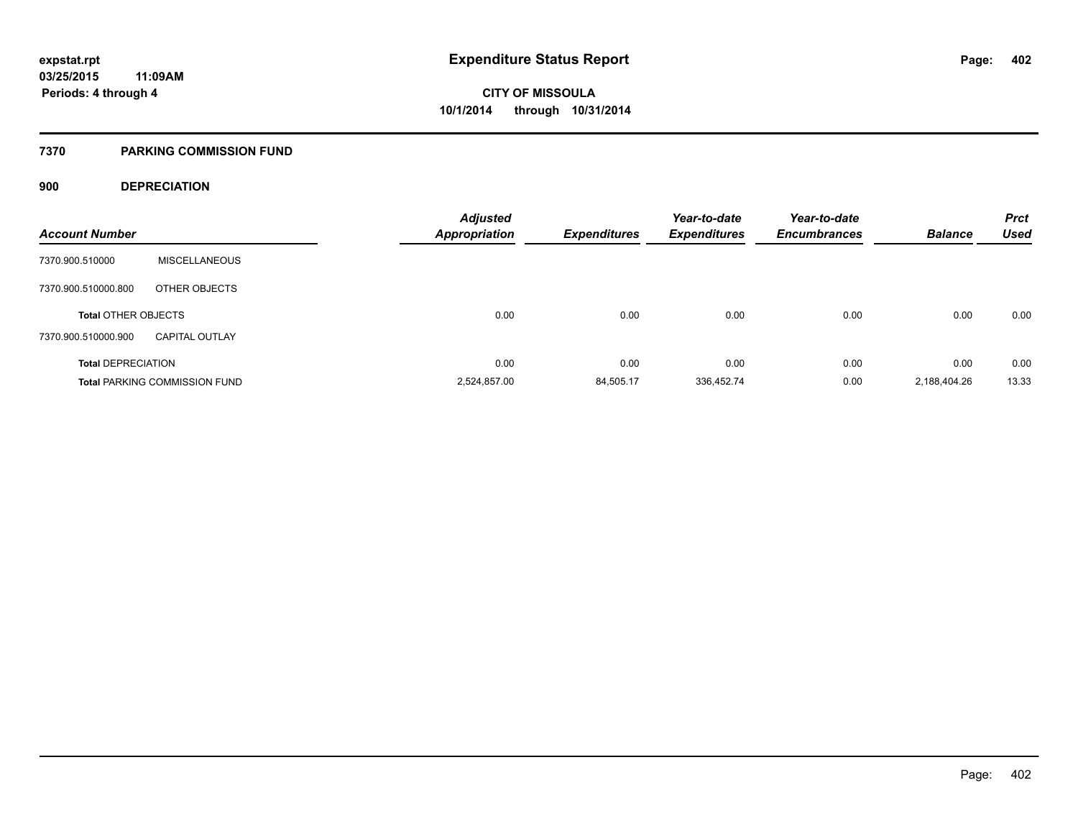#### **7370 PARKING COMMISSION FUND**

#### **900 DEPRECIATION**

| <b>Account Number</b>      |                                      | <b>Adjusted</b><br><b>Appropriation</b> | <b>Expenditures</b> | Year-to-date<br><b>Expenditures</b> | Year-to-date<br><b>Encumbrances</b> | <b>Balance</b> | <b>Prct</b><br><b>Used</b> |
|----------------------------|--------------------------------------|-----------------------------------------|---------------------|-------------------------------------|-------------------------------------|----------------|----------------------------|
|                            |                                      |                                         |                     |                                     |                                     |                |                            |
| 7370.900.510000            | <b>MISCELLANEOUS</b>                 |                                         |                     |                                     |                                     |                |                            |
| 7370.900.510000.800        | OTHER OBJECTS                        |                                         |                     |                                     |                                     |                |                            |
| <b>Total OTHER OBJECTS</b> |                                      | 0.00                                    | 0.00                | 0.00                                | 0.00                                | 0.00           | 0.00                       |
| 7370.900.510000.900        | <b>CAPITAL OUTLAY</b>                |                                         |                     |                                     |                                     |                |                            |
| <b>Total DEPRECIATION</b>  |                                      | 0.00                                    | 0.00                | 0.00                                | 0.00                                | 0.00           | 0.00                       |
|                            | <b>Total PARKING COMMISSION FUND</b> | 2,524,857.00                            | 84,505.17           | 336,452.74                          | 0.00                                | 2,188,404.26   | 13.33                      |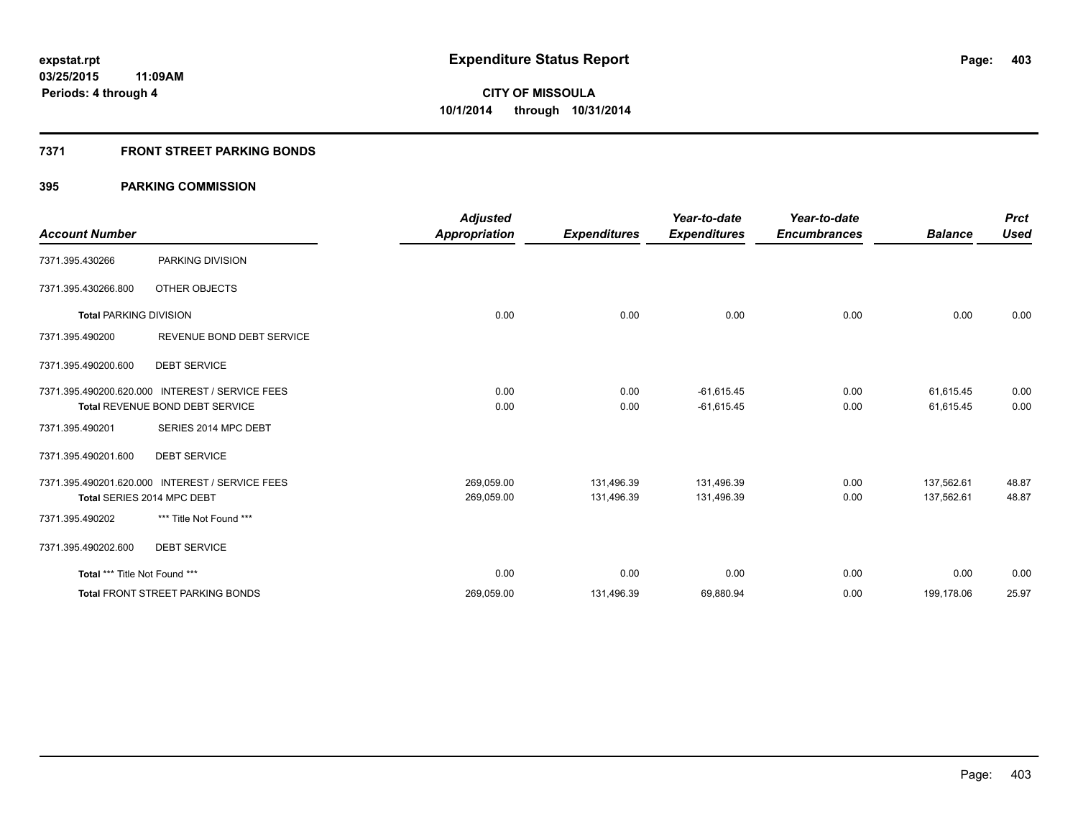### **7371 FRONT STREET PARKING BONDS**

|                               |                                                 | <b>Adjusted</b>      |                     | Year-to-date        | Year-to-date        |                | <b>Prct</b> |
|-------------------------------|-------------------------------------------------|----------------------|---------------------|---------------------|---------------------|----------------|-------------|
| <b>Account Number</b>         |                                                 | <b>Appropriation</b> | <b>Expenditures</b> | <b>Expenditures</b> | <b>Encumbrances</b> | <b>Balance</b> | <b>Used</b> |
| 7371.395.430266               | PARKING DIVISION                                |                      |                     |                     |                     |                |             |
| 7371.395.430266.800           | OTHER OBJECTS                                   |                      |                     |                     |                     |                |             |
| <b>Total PARKING DIVISION</b> |                                                 | 0.00                 | 0.00                | 0.00                | 0.00                | 0.00           | 0.00        |
| 7371.395.490200               | REVENUE BOND DEBT SERVICE                       |                      |                     |                     |                     |                |             |
| 7371.395.490200.600           | <b>DEBT SERVICE</b>                             |                      |                     |                     |                     |                |             |
|                               | 7371.395.490200.620.000 INTEREST / SERVICE FEES | 0.00                 | 0.00                | $-61,615.45$        | 0.00                | 61,615.45      | 0.00        |
|                               | Total REVENUE BOND DEBT SERVICE                 | 0.00                 | 0.00                | $-61,615.45$        | 0.00                | 61,615.45      | 0.00        |
| 7371.395.490201               | SERIES 2014 MPC DEBT                            |                      |                     |                     |                     |                |             |
| 7371.395.490201.600           | <b>DEBT SERVICE</b>                             |                      |                     |                     |                     |                |             |
|                               | 7371.395.490201.620.000 INTEREST / SERVICE FEES | 269,059.00           | 131,496.39          | 131,496.39          | 0.00                | 137,562.61     | 48.87       |
|                               | Total SERIES 2014 MPC DEBT                      | 269,059.00           | 131,496.39          | 131,496.39          | 0.00                | 137,562.61     | 48.87       |
| 7371.395.490202               | *** Title Not Found ***                         |                      |                     |                     |                     |                |             |
| 7371.395.490202.600           | <b>DEBT SERVICE</b>                             |                      |                     |                     |                     |                |             |
| Total *** Title Not Found *** |                                                 | 0.00                 | 0.00                | 0.00                | 0.00                | 0.00           | 0.00        |
|                               | Total FRONT STREET PARKING BONDS                | 269,059.00           | 131,496.39          | 69,880.94           | 0.00                | 199,178.06     | 25.97       |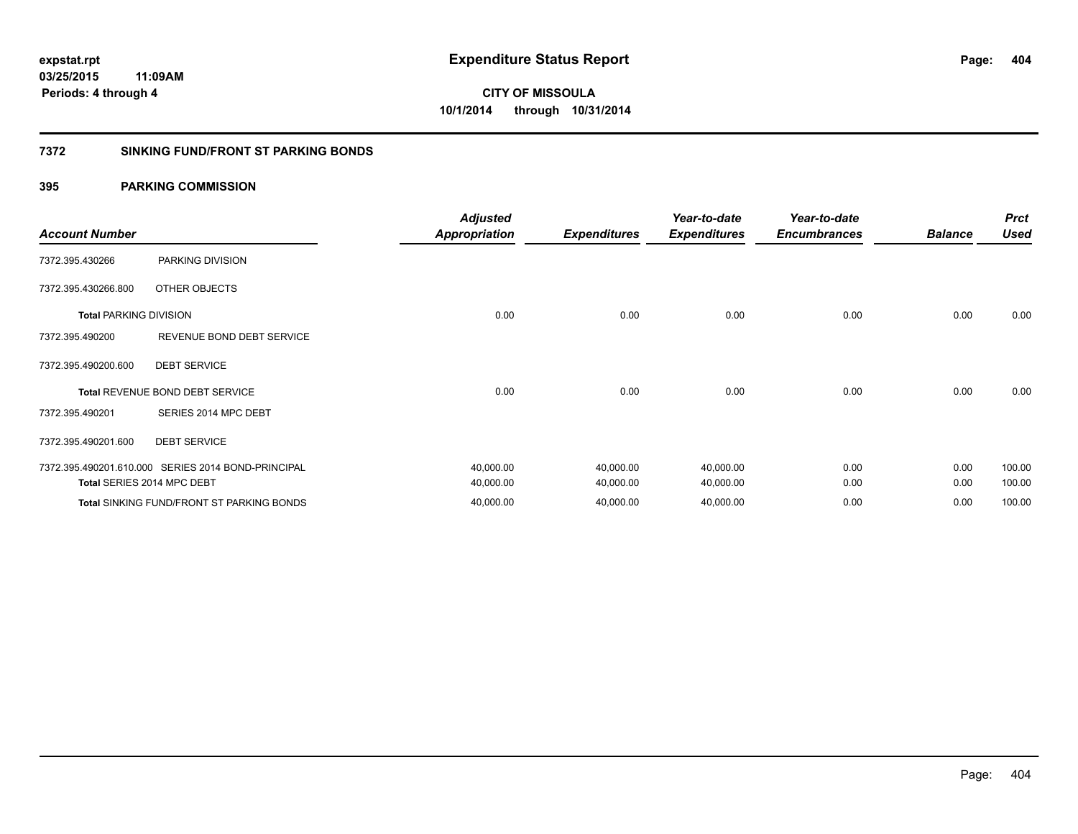#### **7372 SINKING FUND/FRONT ST PARKING BONDS**

| <b>Account Number</b>         |                                                    | <b>Adjusted</b><br><b>Appropriation</b> | <b>Expenditures</b> | Year-to-date<br><b>Expenditures</b> | Year-to-date<br><b>Encumbrances</b> | <b>Balance</b> | <b>Prct</b><br><b>Used</b> |
|-------------------------------|----------------------------------------------------|-----------------------------------------|---------------------|-------------------------------------|-------------------------------------|----------------|----------------------------|
| 7372.395.430266               | PARKING DIVISION                                   |                                         |                     |                                     |                                     |                |                            |
| 7372.395.430266.800           | OTHER OBJECTS                                      |                                         |                     |                                     |                                     |                |                            |
| <b>Total PARKING DIVISION</b> |                                                    | 0.00                                    | 0.00                | 0.00                                | 0.00                                | 0.00           | 0.00                       |
| 7372.395.490200               | REVENUE BOND DEBT SERVICE                          |                                         |                     |                                     |                                     |                |                            |
| 7372.395.490200.600           | <b>DEBT SERVICE</b>                                |                                         |                     |                                     |                                     |                |                            |
|                               | <b>Total REVENUE BOND DEBT SERVICE</b>             | 0.00                                    | 0.00                | 0.00                                | 0.00                                | 0.00           | 0.00                       |
| 7372.395.490201               | SERIES 2014 MPC DEBT                               |                                         |                     |                                     |                                     |                |                            |
| 7372.395.490201.600           | <b>DEBT SERVICE</b>                                |                                         |                     |                                     |                                     |                |                            |
|                               | 7372.395.490201.610.000 SERIES 2014 BOND-PRINCIPAL | 40,000.00                               | 40,000.00           | 40,000.00                           | 0.00                                | 0.00           | 100.00                     |
|                               | Total SERIES 2014 MPC DEBT                         | 40,000.00                               | 40,000.00           | 40,000.00                           | 0.00                                | 0.00           | 100.00                     |
|                               | <b>Total SINKING FUND/FRONT ST PARKING BONDS</b>   | 40,000.00                               | 40,000.00           | 40,000.00                           | 0.00                                | 0.00           | 100.00                     |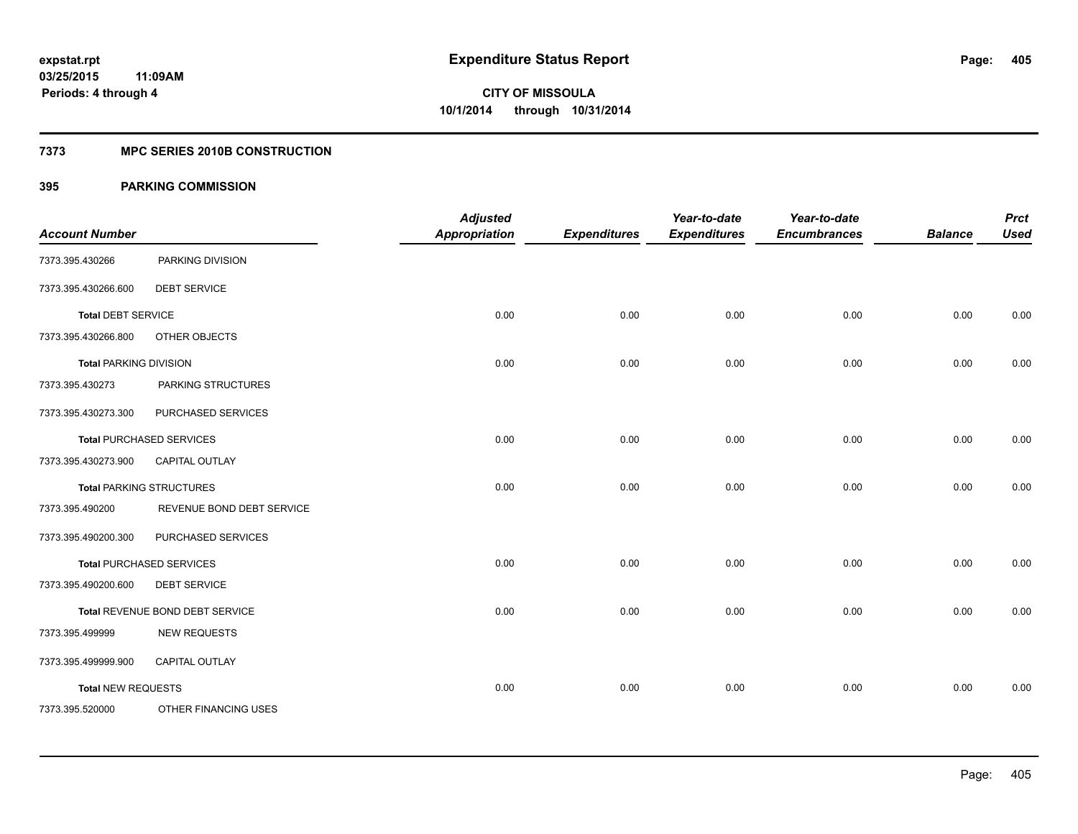#### **7373 MPC SERIES 2010B CONSTRUCTION**

| <b>Account Number</b>         |                                 | <b>Adjusted</b><br><b>Appropriation</b> | <b>Expenditures</b> | Year-to-date<br><b>Expenditures</b> | Year-to-date<br><b>Encumbrances</b> | <b>Balance</b> | <b>Prct</b><br><b>Used</b> |
|-------------------------------|---------------------------------|-----------------------------------------|---------------------|-------------------------------------|-------------------------------------|----------------|----------------------------|
| 7373.395.430266               | PARKING DIVISION                |                                         |                     |                                     |                                     |                |                            |
| 7373.395.430266.600           | <b>DEBT SERVICE</b>             |                                         |                     |                                     |                                     |                |                            |
| <b>Total DEBT SERVICE</b>     |                                 | 0.00                                    | 0.00                | 0.00                                | 0.00                                | 0.00           | 0.00                       |
| 7373.395.430266.800           | OTHER OBJECTS                   |                                         |                     |                                     |                                     |                |                            |
| <b>Total PARKING DIVISION</b> |                                 | 0.00                                    | 0.00                | 0.00                                | 0.00                                | 0.00           | 0.00                       |
| 7373.395.430273               | PARKING STRUCTURES              |                                         |                     |                                     |                                     |                |                            |
| 7373.395.430273.300           | PURCHASED SERVICES              |                                         |                     |                                     |                                     |                |                            |
|                               | <b>Total PURCHASED SERVICES</b> | 0.00                                    | 0.00                | 0.00                                | 0.00                                | 0.00           | 0.00                       |
| 7373.395.430273.900           | CAPITAL OUTLAY                  |                                         |                     |                                     |                                     |                |                            |
|                               | <b>Total PARKING STRUCTURES</b> | 0.00                                    | 0.00                | 0.00                                | 0.00                                | 0.00           | 0.00                       |
| 7373.395.490200               | REVENUE BOND DEBT SERVICE       |                                         |                     |                                     |                                     |                |                            |
| 7373.395.490200.300           | PURCHASED SERVICES              |                                         |                     |                                     |                                     |                |                            |
|                               | <b>Total PURCHASED SERVICES</b> | 0.00                                    | 0.00                | 0.00                                | 0.00                                | 0.00           | 0.00                       |
| 7373.395.490200.600           | <b>DEBT SERVICE</b>             |                                         |                     |                                     |                                     |                |                            |
|                               | Total REVENUE BOND DEBT SERVICE | 0.00                                    | 0.00                | 0.00                                | 0.00                                | 0.00           | 0.00                       |
| 7373.395.499999               | <b>NEW REQUESTS</b>             |                                         |                     |                                     |                                     |                |                            |
| 7373.395.499999.900           | CAPITAL OUTLAY                  |                                         |                     |                                     |                                     |                |                            |
| <b>Total NEW REQUESTS</b>     |                                 | 0.00                                    | 0.00                | 0.00                                | 0.00                                | 0.00           | 0.00                       |
| 7373.395.520000               | OTHER FINANCING USES            |                                         |                     |                                     |                                     |                |                            |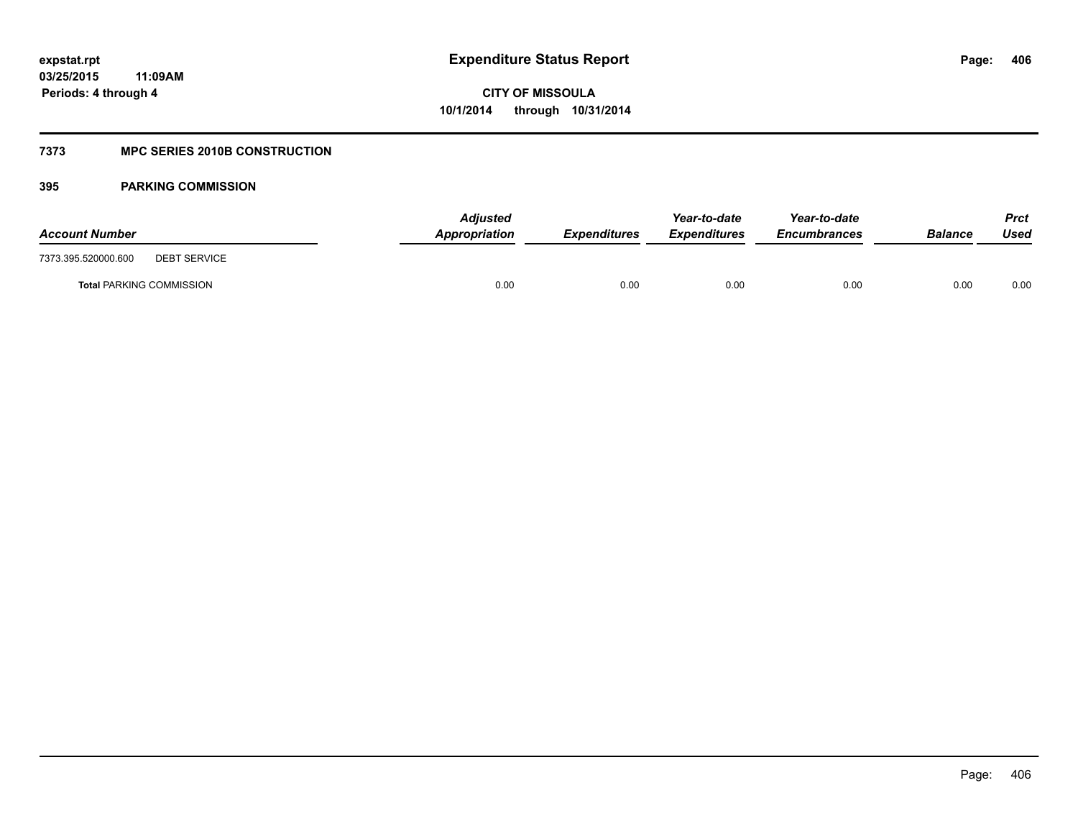### **7373 MPC SERIES 2010B CONSTRUCTION**

| <b>Account Number</b>                      | <b>Adjusted</b><br>Appropriation | <b>Expenditures</b> | Year-to-date<br><b>Expenditures</b> | Year-to-date<br><b>Encumbrances</b> | <b>Balance</b> | Prct<br>Used |
|--------------------------------------------|----------------------------------|---------------------|-------------------------------------|-------------------------------------|----------------|--------------|
| 7373.395.520000.600<br><b>DEBT SERVICE</b> |                                  |                     |                                     |                                     |                |              |
| <b>Total PARKING COMMISSION</b>            | 0.00                             | 0.00                | 0.00                                | 0.00                                | 0.00           | 0.00         |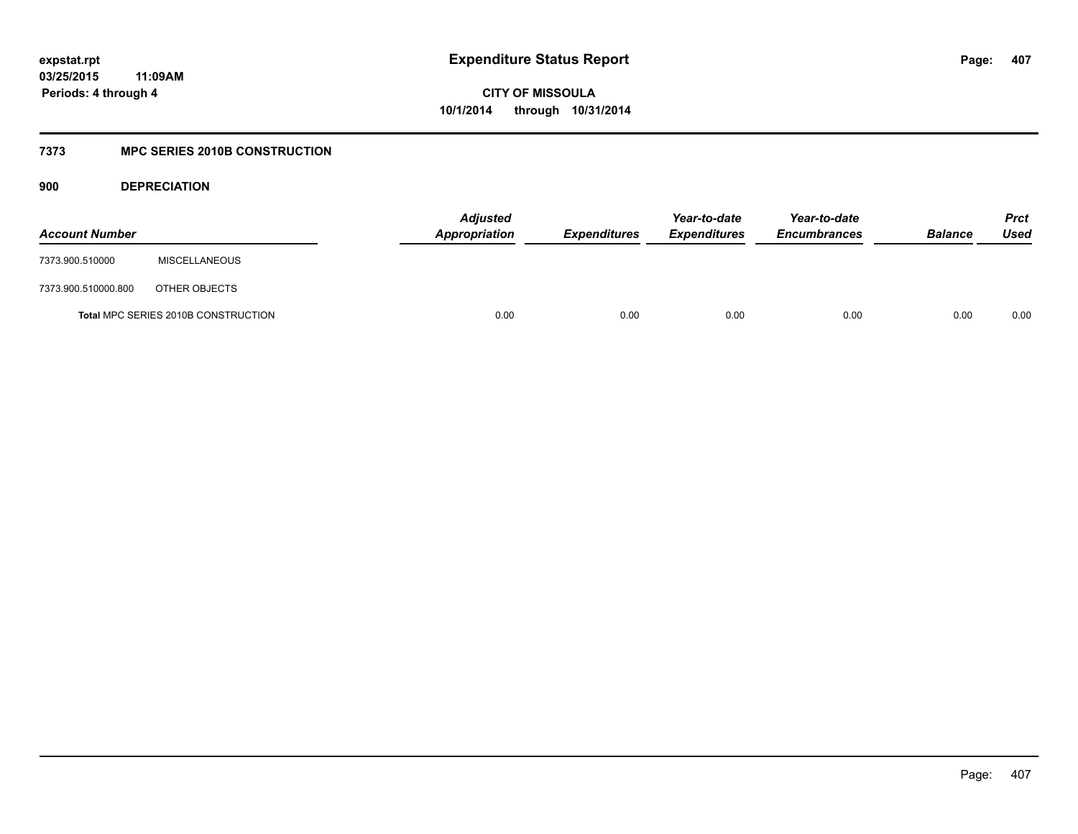### **03/25/2015 11:09AM Periods: 4 through 4**

**CITY OF MISSOULA 10/1/2014 through 10/31/2014**

### **7373 MPC SERIES 2010B CONSTRUCTION**

**900 DEPRECIATION**

| <b>Account Number</b> |                                            | <b>Adjusted</b><br>Appropriation | <b>Expenditures</b> | Year-to-date<br><b>Expenditures</b> | Year-to-date<br><b>Encumbrances</b> | <b>Balance</b> | <b>Prct</b><br>Used |
|-----------------------|--------------------------------------------|----------------------------------|---------------------|-------------------------------------|-------------------------------------|----------------|---------------------|
| 7373.900.510000       | <b>MISCELLANEOUS</b>                       |                                  |                     |                                     |                                     |                |                     |
| 7373.900.510000.800   | OTHER OBJECTS                              |                                  |                     |                                     |                                     |                |                     |
|                       | <b>Total MPC SERIES 2010B CONSTRUCTION</b> | 0.00                             | 0.00                | 0.00                                | 0.00                                | 0.00           | 0.00                |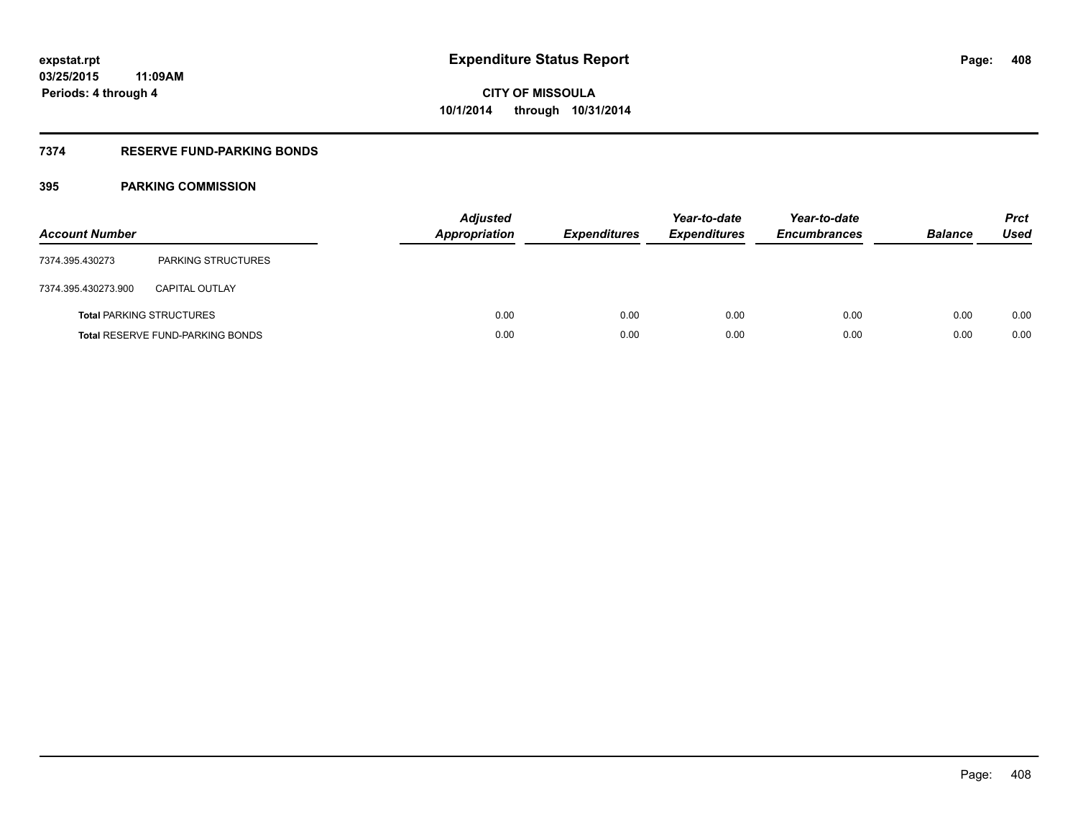### **7374 RESERVE FUND-PARKING BONDS**

| <b>Account Number</b> |                                         | <b>Adjusted</b><br><b>Appropriation</b> | <b>Expenditures</b> | Year-to-date<br><b>Expenditures</b> | Year-to-date<br><b>Encumbrances</b> | <b>Balance</b> | <b>Prct</b><br>Used |
|-----------------------|-----------------------------------------|-----------------------------------------|---------------------|-------------------------------------|-------------------------------------|----------------|---------------------|
| 7374.395.430273       | <b>PARKING STRUCTURES</b>               |                                         |                     |                                     |                                     |                |                     |
| 7374.395.430273.900   | <b>CAPITAL OUTLAY</b>                   |                                         |                     |                                     |                                     |                |                     |
|                       | <b>Total PARKING STRUCTURES</b>         | 0.00                                    | 0.00                | 0.00                                | 0.00                                | 0.00           | 0.00                |
|                       | <b>Total RESERVE FUND-PARKING BONDS</b> | 0.00                                    | 0.00                | 0.00                                | 0.00                                | 0.00           | 0.00                |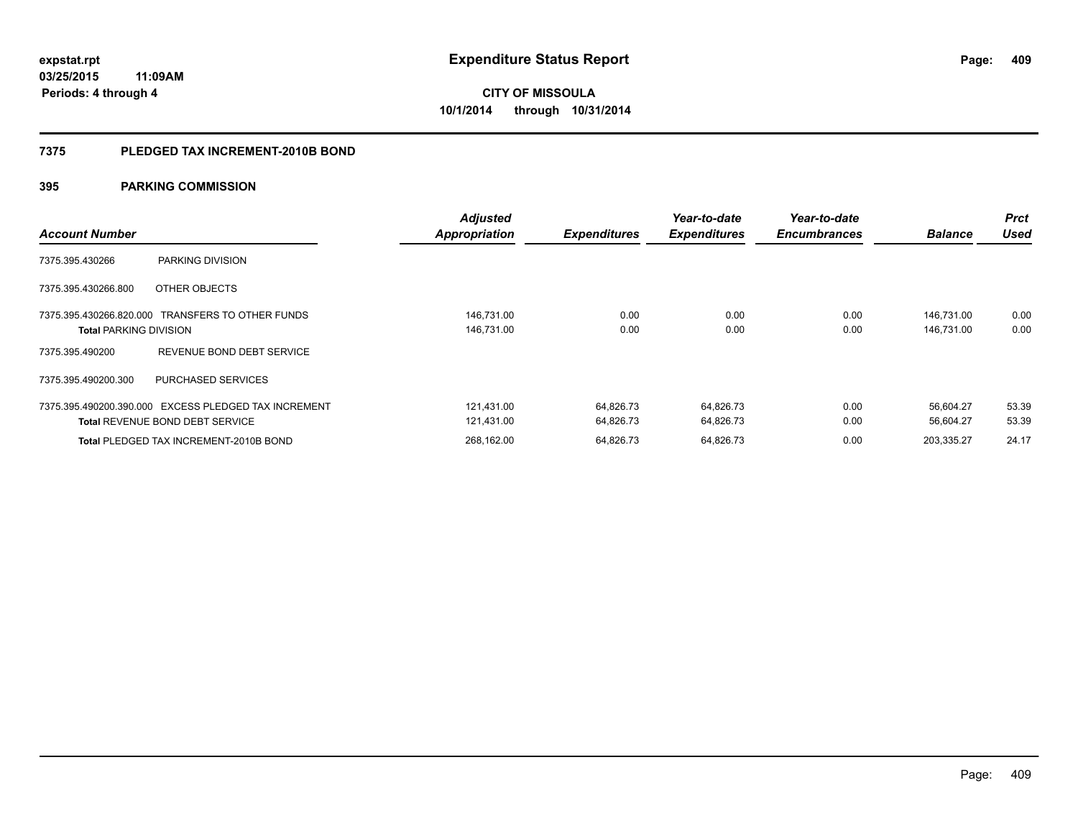#### **7375 PLEDGED TAX INCREMENT-2010B BOND**

| <b>Account Number</b>                                                                          | Adjusted<br><b>Appropriation</b> | <b>Expenditures</b>    | Year-to-date<br><b>Expenditures</b> | Year-to-date<br><b>Encumbrances</b> | <b>Balance</b>           | <b>Prct</b><br><b>Used</b> |
|------------------------------------------------------------------------------------------------|----------------------------------|------------------------|-------------------------------------|-------------------------------------|--------------------------|----------------------------|
| 7375.395.430266<br>PARKING DIVISION                                                            |                                  |                        |                                     |                                     |                          |                            |
| 7375.395.430266.800<br>OTHER OBJECTS                                                           |                                  |                        |                                     |                                     |                          |                            |
| 7375.395.430266.820.000 TRANSFERS TO OTHER FUNDS<br><b>Total PARKING DIVISION</b>              | 146,731.00<br>146,731.00         | 0.00<br>0.00           | 0.00<br>0.00                        | 0.00<br>0.00                        | 146,731.00<br>146,731.00 | 0.00<br>0.00               |
| REVENUE BOND DEBT SERVICE<br>7375.395.490200                                                   |                                  |                        |                                     |                                     |                          |                            |
| 7375.395.490200.300<br><b>PURCHASED SERVICES</b>                                               |                                  |                        |                                     |                                     |                          |                            |
| 7375.395.490200.390.000 EXCESS PLEDGED TAX INCREMENT<br><b>Total REVENUE BOND DEBT SERVICE</b> | 121,431.00<br>121,431.00         | 64,826.73<br>64,826.73 | 64,826.73<br>64,826.73              | 0.00<br>0.00                        | 56.604.27<br>56,604.27   | 53.39<br>53.39             |
| Total PLEDGED TAX INCREMENT-2010B BOND                                                         | 268.162.00                       | 64.826.73              | 64.826.73                           | 0.00                                | 203.335.27               | 24.17                      |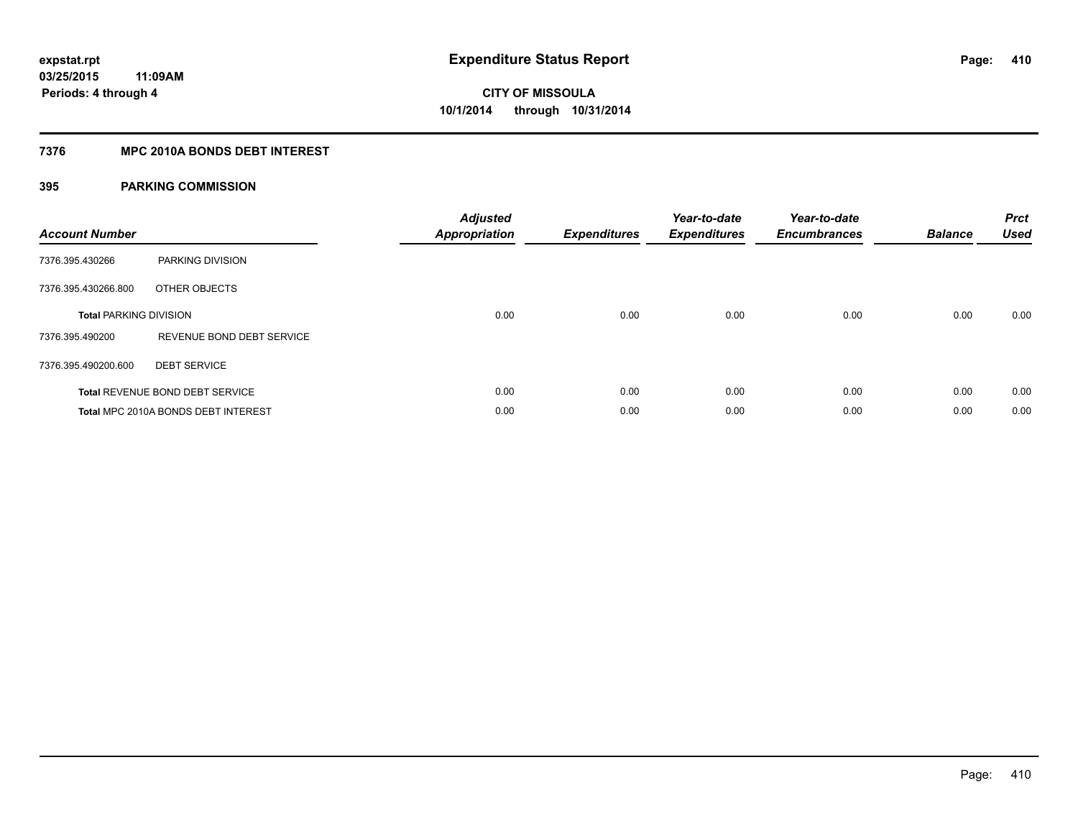### **7376 MPC 2010A BONDS DEBT INTEREST**

| <b>Account Number</b>         |                                        | <b>Adjusted</b><br><b>Appropriation</b> | <b>Expenditures</b> | Year-to-date<br><b>Expenditures</b> | Year-to-date<br><b>Encumbrances</b> | <b>Balance</b> | <b>Prct</b><br><b>Used</b> |
|-------------------------------|----------------------------------------|-----------------------------------------|---------------------|-------------------------------------|-------------------------------------|----------------|----------------------------|
| 7376.395.430266               | PARKING DIVISION                       |                                         |                     |                                     |                                     |                |                            |
| 7376.395.430266.800           | OTHER OBJECTS                          |                                         |                     |                                     |                                     |                |                            |
| <b>Total PARKING DIVISION</b> |                                        | 0.00                                    | 0.00                | 0.00                                | 0.00                                | 0.00           | 0.00                       |
| 7376.395.490200               | REVENUE BOND DEBT SERVICE              |                                         |                     |                                     |                                     |                |                            |
| 7376.395.490200.600           | <b>DEBT SERVICE</b>                    |                                         |                     |                                     |                                     |                |                            |
|                               | <b>Total REVENUE BOND DEBT SERVICE</b> | 0.00                                    | 0.00                | 0.00                                | 0.00                                | 0.00           | 0.00                       |
|                               | Total MPC 2010A BONDS DEBT INTEREST    | 0.00                                    | 0.00                | 0.00                                | 0.00                                | 0.00           | 0.00                       |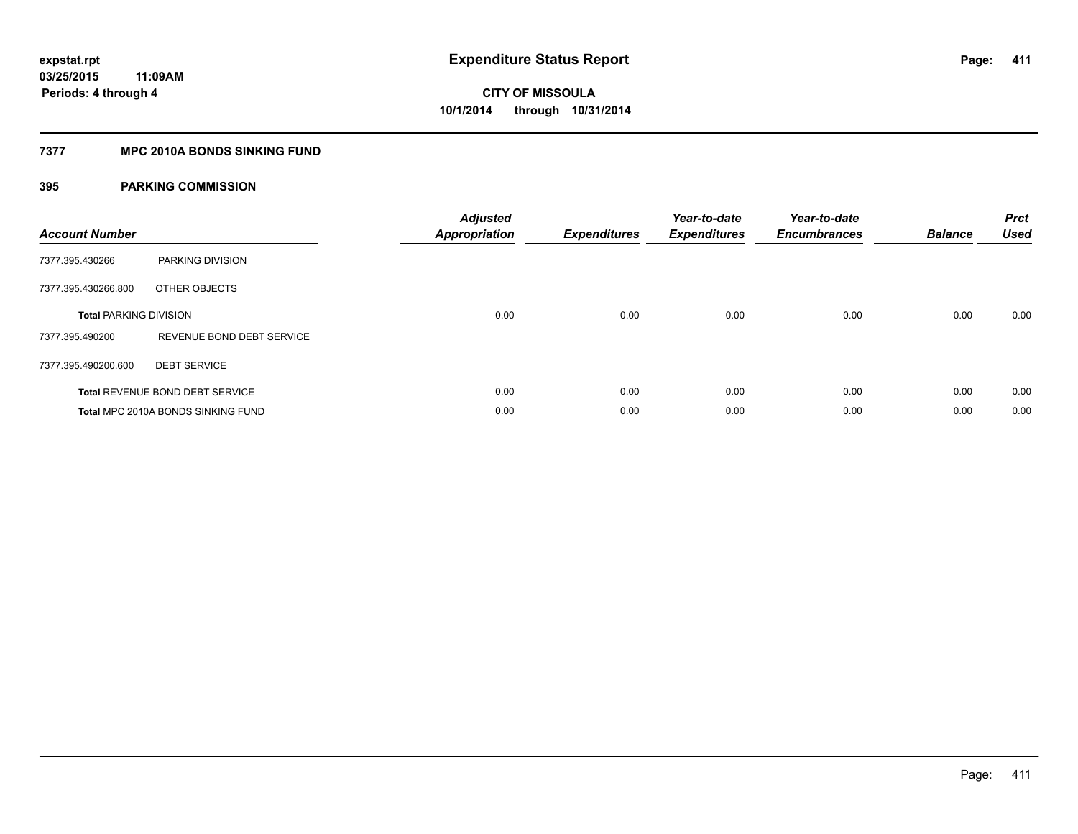#### **7377 MPC 2010A BONDS SINKING FUND**

| <b>Account Number</b>         |                                           | <b>Adjusted</b><br><b>Appropriation</b> | <b>Expenditures</b> | Year-to-date<br><b>Expenditures</b> | Year-to-date<br><b>Encumbrances</b> | <b>Balance</b> | <b>Prct</b><br>Used |
|-------------------------------|-------------------------------------------|-----------------------------------------|---------------------|-------------------------------------|-------------------------------------|----------------|---------------------|
| 7377.395.430266               | PARKING DIVISION                          |                                         |                     |                                     |                                     |                |                     |
| 7377.395.430266.800           | OTHER OBJECTS                             |                                         |                     |                                     |                                     |                |                     |
| <b>Total PARKING DIVISION</b> |                                           | 0.00                                    | 0.00                | 0.00                                | 0.00                                | 0.00           | 0.00                |
| 7377.395.490200               | REVENUE BOND DEBT SERVICE                 |                                         |                     |                                     |                                     |                |                     |
| 7377.395.490200.600           | <b>DEBT SERVICE</b>                       |                                         |                     |                                     |                                     |                |                     |
|                               | Total REVENUE BOND DEBT SERVICE           | 0.00                                    | 0.00                | 0.00                                | 0.00                                | 0.00           | 0.00                |
|                               | <b>Total MPC 2010A BONDS SINKING FUND</b> | 0.00                                    | 0.00                | 0.00                                | 0.00                                | 0.00           | 0.00                |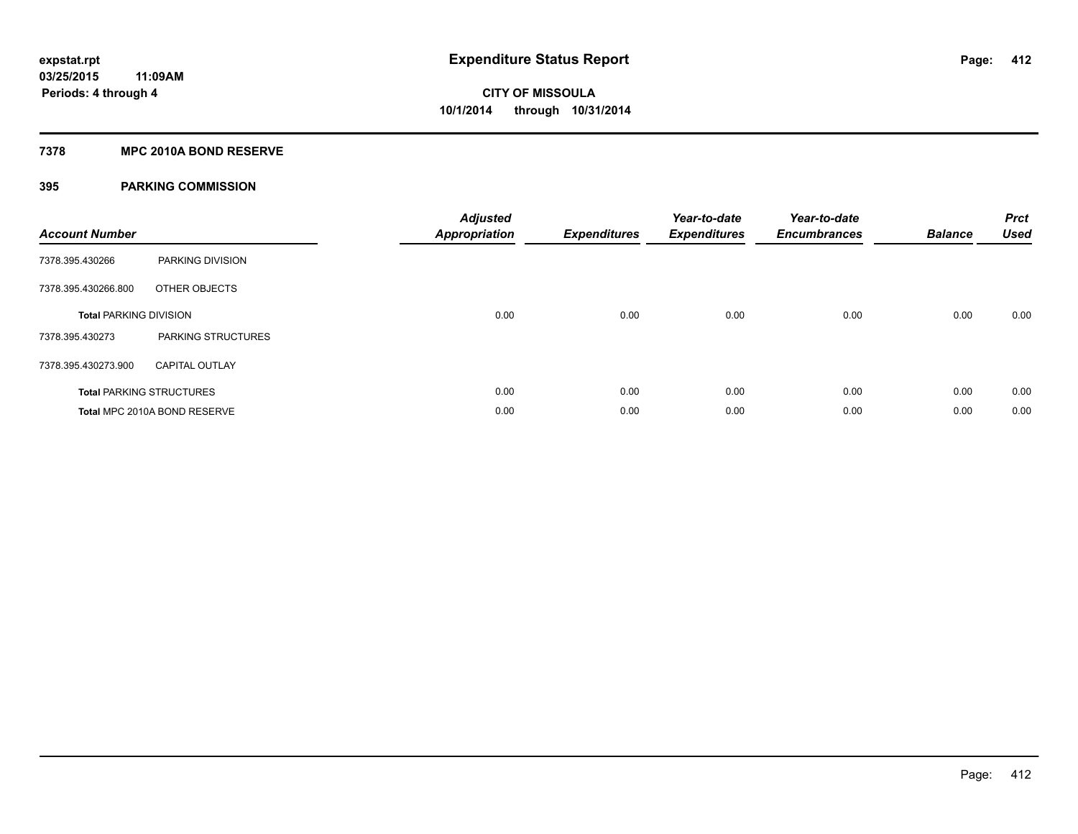#### **7378 MPC 2010A BOND RESERVE**

| <b>Account Number</b>         |                                 | <b>Adjusted</b><br><b>Appropriation</b> | <b>Expenditures</b> | Year-to-date<br><b>Expenditures</b> | Year-to-date<br><b>Encumbrances</b> | <b>Balance</b> | <b>Prct</b><br><b>Used</b> |
|-------------------------------|---------------------------------|-----------------------------------------|---------------------|-------------------------------------|-------------------------------------|----------------|----------------------------|
| 7378.395.430266               | PARKING DIVISION                |                                         |                     |                                     |                                     |                |                            |
| 7378.395.430266.800           | OTHER OBJECTS                   |                                         |                     |                                     |                                     |                |                            |
| <b>Total PARKING DIVISION</b> |                                 | 0.00                                    | 0.00                | 0.00                                | 0.00                                | 0.00           | 0.00                       |
| 7378.395.430273               | PARKING STRUCTURES              |                                         |                     |                                     |                                     |                |                            |
| 7378.395.430273.900           | <b>CAPITAL OUTLAY</b>           |                                         |                     |                                     |                                     |                |                            |
|                               | <b>Total PARKING STRUCTURES</b> | 0.00                                    | 0.00                | 0.00                                | 0.00                                | 0.00           | 0.00                       |
|                               | Total MPC 2010A BOND RESERVE    | 0.00                                    | 0.00                | 0.00                                | 0.00                                | 0.00           | 0.00                       |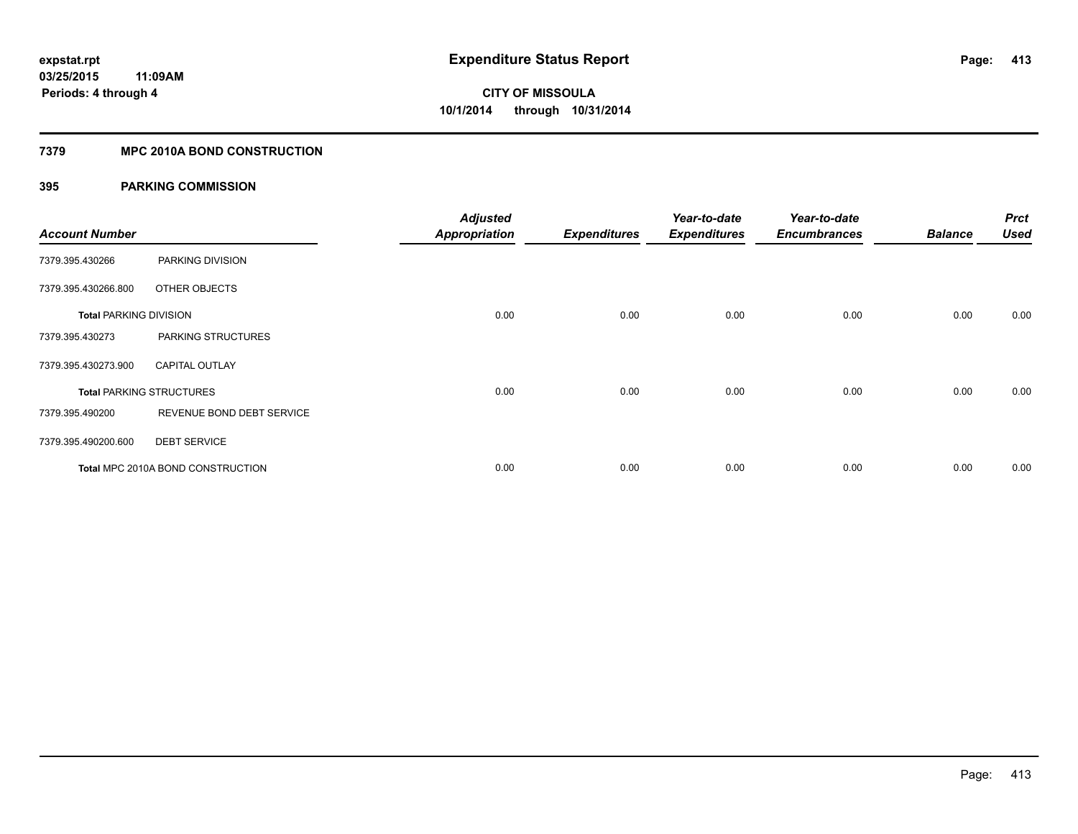### **7379 MPC 2010A BOND CONSTRUCTION**

| <b>Account Number</b>         |                                          | <b>Adjusted</b><br><b>Appropriation</b> | <b>Expenditures</b> | Year-to-date<br><b>Expenditures</b> | Year-to-date<br><b>Encumbrances</b> | <b>Balance</b> | <b>Prct</b><br><b>Used</b> |
|-------------------------------|------------------------------------------|-----------------------------------------|---------------------|-------------------------------------|-------------------------------------|----------------|----------------------------|
| 7379.395.430266               | PARKING DIVISION                         |                                         |                     |                                     |                                     |                |                            |
| 7379.395.430266.800           | OTHER OBJECTS                            |                                         |                     |                                     |                                     |                |                            |
| <b>Total PARKING DIVISION</b> |                                          | 0.00                                    | 0.00                | 0.00                                | 0.00                                | 0.00           | 0.00                       |
| 7379.395.430273               | PARKING STRUCTURES                       |                                         |                     |                                     |                                     |                |                            |
| 7379.395.430273.900           | <b>CAPITAL OUTLAY</b>                    |                                         |                     |                                     |                                     |                |                            |
|                               | <b>Total PARKING STRUCTURES</b>          | 0.00                                    | 0.00                | 0.00                                | 0.00                                | 0.00           | 0.00                       |
| 7379.395.490200               | REVENUE BOND DEBT SERVICE                |                                         |                     |                                     |                                     |                |                            |
| 7379.395.490200.600           | <b>DEBT SERVICE</b>                      |                                         |                     |                                     |                                     |                |                            |
|                               | <b>Total MPC 2010A BOND CONSTRUCTION</b> | 0.00                                    | 0.00                | 0.00                                | 0.00                                | 0.00           | 0.00                       |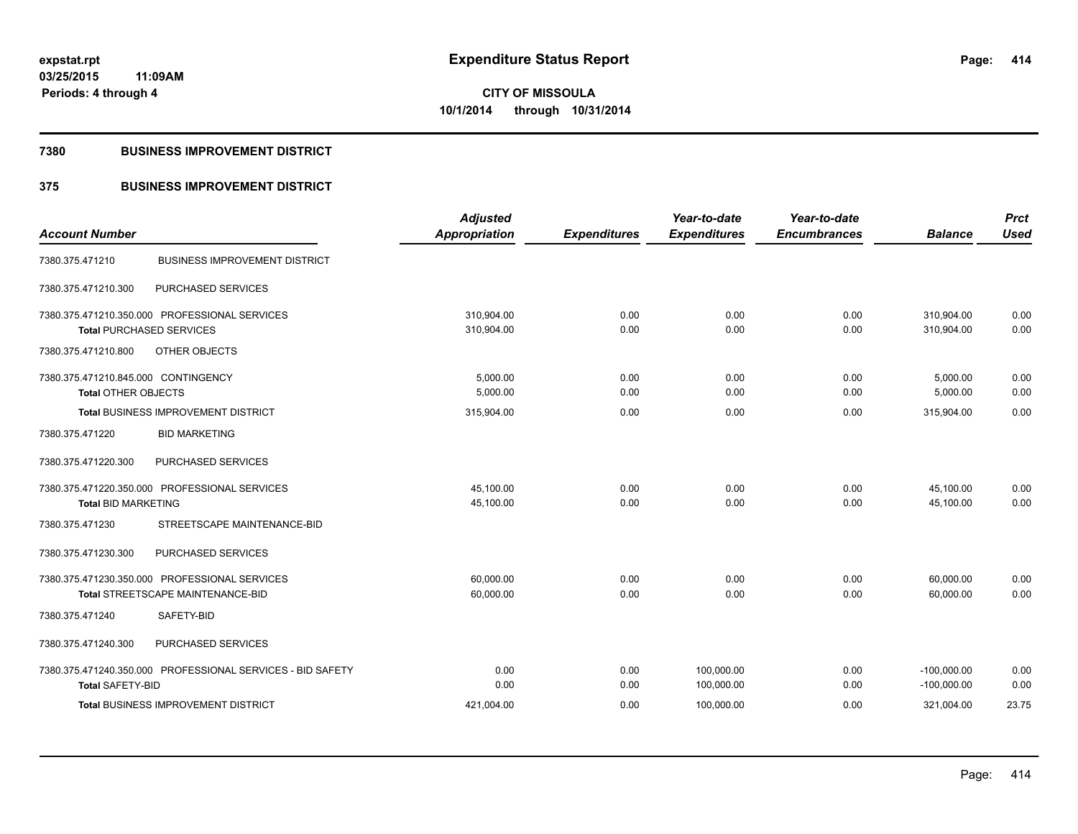**Periods: 4 through 4**

**CITY OF MISSOULA 10/1/2014 through 10/31/2014**

#### **7380 BUSINESS IMPROVEMENT DISTRICT**

**11:09AM**

### **375 BUSINESS IMPROVEMENT DISTRICT**

|                                                            | <b>Adjusted</b>      |                     | Year-to-date        | Year-to-date        |                | <b>Prct</b> |
|------------------------------------------------------------|----------------------|---------------------|---------------------|---------------------|----------------|-------------|
| <b>Account Number</b>                                      | <b>Appropriation</b> | <b>Expenditures</b> | <b>Expenditures</b> | <b>Encumbrances</b> | <b>Balance</b> | <b>Used</b> |
| <b>BUSINESS IMPROVEMENT DISTRICT</b><br>7380.375.471210    |                      |                     |                     |                     |                |             |
| 7380.375.471210.300<br>PURCHASED SERVICES                  |                      |                     |                     |                     |                |             |
| 7380.375.471210.350.000 PROFESSIONAL SERVICES              | 310.904.00           | 0.00                | 0.00                | 0.00                | 310,904.00     | 0.00        |
| <b>Total PURCHASED SERVICES</b>                            | 310,904.00           | 0.00                | 0.00                | 0.00                | 310.904.00     | 0.00        |
| OTHER OBJECTS<br>7380.375.471210.800                       |                      |                     |                     |                     |                |             |
| 7380.375.471210.845.000 CONTINGENCY                        | 5,000.00             | 0.00                | 0.00                | 0.00                | 5,000.00       | 0.00        |
| <b>Total OTHER OBJECTS</b>                                 | 5,000.00             | 0.00                | 0.00                | 0.00                | 5,000.00       | 0.00        |
| <b>Total BUSINESS IMPROVEMENT DISTRICT</b>                 | 315,904.00           | 0.00                | 0.00                | 0.00                | 315,904.00     | 0.00        |
| <b>BID MARKETING</b><br>7380.375.471220                    |                      |                     |                     |                     |                |             |
| 7380.375.471220.300<br>PURCHASED SERVICES                  |                      |                     |                     |                     |                |             |
| 7380.375.471220.350.000 PROFESSIONAL SERVICES              | 45,100.00            | 0.00                | 0.00                | 0.00                | 45,100.00      | 0.00        |
| <b>Total BID MARKETING</b>                                 | 45,100.00            | 0.00                | 0.00                | 0.00                | 45,100.00      | 0.00        |
| 7380.375.471230<br>STREETSCAPE MAINTENANCE-BID             |                      |                     |                     |                     |                |             |
| PURCHASED SERVICES<br>7380.375.471230.300                  |                      |                     |                     |                     |                |             |
| 7380.375.471230.350.000 PROFESSIONAL SERVICES              | 60.000.00            | 0.00                | 0.00                | 0.00                | 60,000.00      | 0.00        |
| Total STREETSCAPE MAINTENANCE-BID                          | 60,000.00            | 0.00                | 0.00                | 0.00                | 60,000.00      | 0.00        |
| 7380.375.471240<br>SAFETY-BID                              |                      |                     |                     |                     |                |             |
| 7380.375.471240.300<br>PURCHASED SERVICES                  |                      |                     |                     |                     |                |             |
| 7380.375.471240.350.000 PROFESSIONAL SERVICES - BID SAFETY | 0.00                 | 0.00                | 100,000.00          | 0.00                | $-100,000.00$  | 0.00        |
| <b>Total SAFETY-BID</b>                                    | 0.00                 | 0.00                | 100,000.00          | 0.00                | $-100,000.00$  | 0.00        |
| <b>Total BUSINESS IMPROVEMENT DISTRICT</b>                 | 421,004.00           | 0.00                | 100,000.00          | 0.00                | 321,004.00     | 23.75       |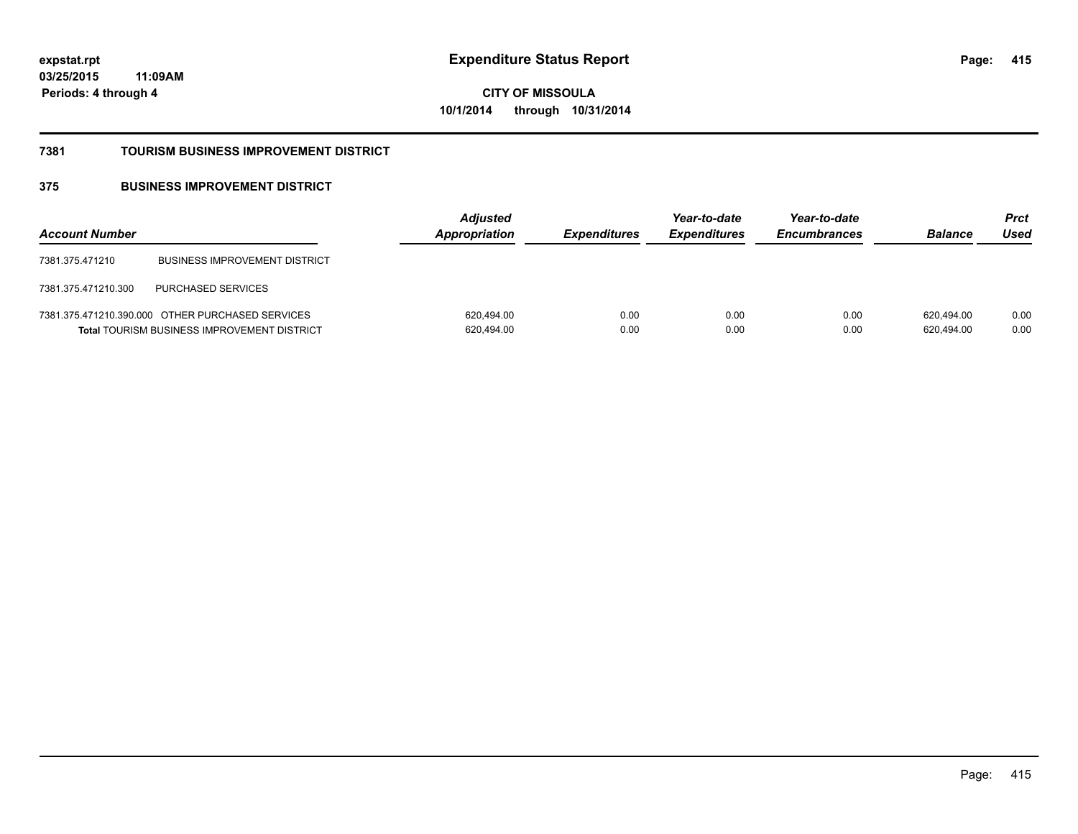**03/25/2015 11:09AM Periods: 4 through 4**

**CITY OF MISSOULA 10/1/2014 through 10/31/2014**

#### **7381 TOURISM BUSINESS IMPROVEMENT DISTRICT**

### **375 BUSINESS IMPROVEMENT DISTRICT**

| <b>Account Number</b> |                                                                                                        | <b>Adjusted</b><br><b>Appropriation</b> | <i><b>Expenditures</b></i> | Year-to-date<br><b>Expenditures</b> | Year-to-date<br><b>Encumbrances</b> | <b>Balance</b>           | <b>Prct</b><br>Used |
|-----------------------|--------------------------------------------------------------------------------------------------------|-----------------------------------------|----------------------------|-------------------------------------|-------------------------------------|--------------------------|---------------------|
| 7381.375.471210       | <b>BUSINESS IMPROVEMENT DISTRICT</b>                                                                   |                                         |                            |                                     |                                     |                          |                     |
| 7381.375.471210.300   | <b>PURCHASED SERVICES</b>                                                                              |                                         |                            |                                     |                                     |                          |                     |
|                       | 7381.375.471210.390.000 OTHER PURCHASED SERVICES<br><b>Total TOURISM BUSINESS IMPROVEMENT DISTRICT</b> | 620,494.00<br>620,494.00                | 0.00<br>0.00               | 0.00<br>0.00                        | 0.00<br>0.00                        | 620.494.00<br>620,494.00 | 0.00<br>0.00        |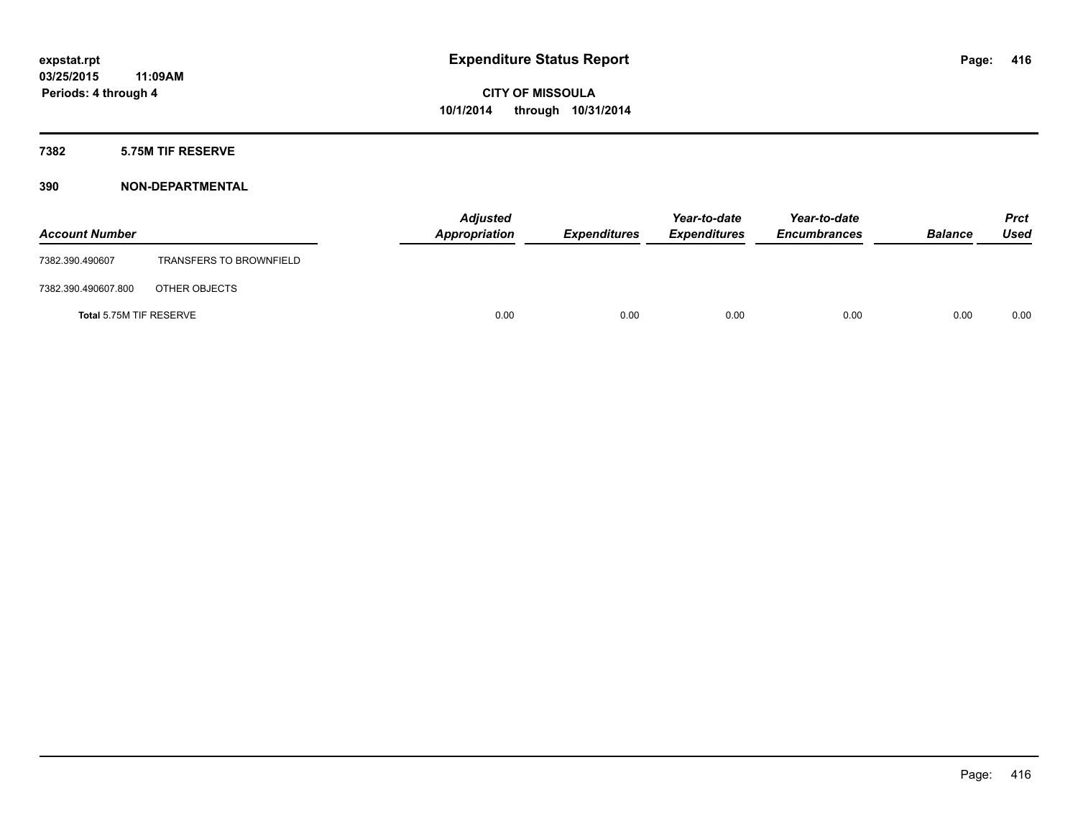#### **7382 5.75M TIF RESERVE**

| <b>Account Number</b>   |                                | <b>Adjusted</b><br>Appropriation | <b>Expenditures</b> | Year-to-date<br><b>Expenditures</b> | Year-to-date<br><b>Encumbrances</b> | <b>Balance</b> | Prct<br><b>Used</b> |
|-------------------------|--------------------------------|----------------------------------|---------------------|-------------------------------------|-------------------------------------|----------------|---------------------|
| 7382.390.490607         | <b>TRANSFERS TO BROWNFIELD</b> |                                  |                     |                                     |                                     |                |                     |
| 7382.390.490607.800     | OTHER OBJECTS                  |                                  |                     |                                     |                                     |                |                     |
| Total 5.75M TIF RESERVE |                                | 0.00                             | 0.00                | 0.00                                | 0.00                                | 0.00           | 0.00                |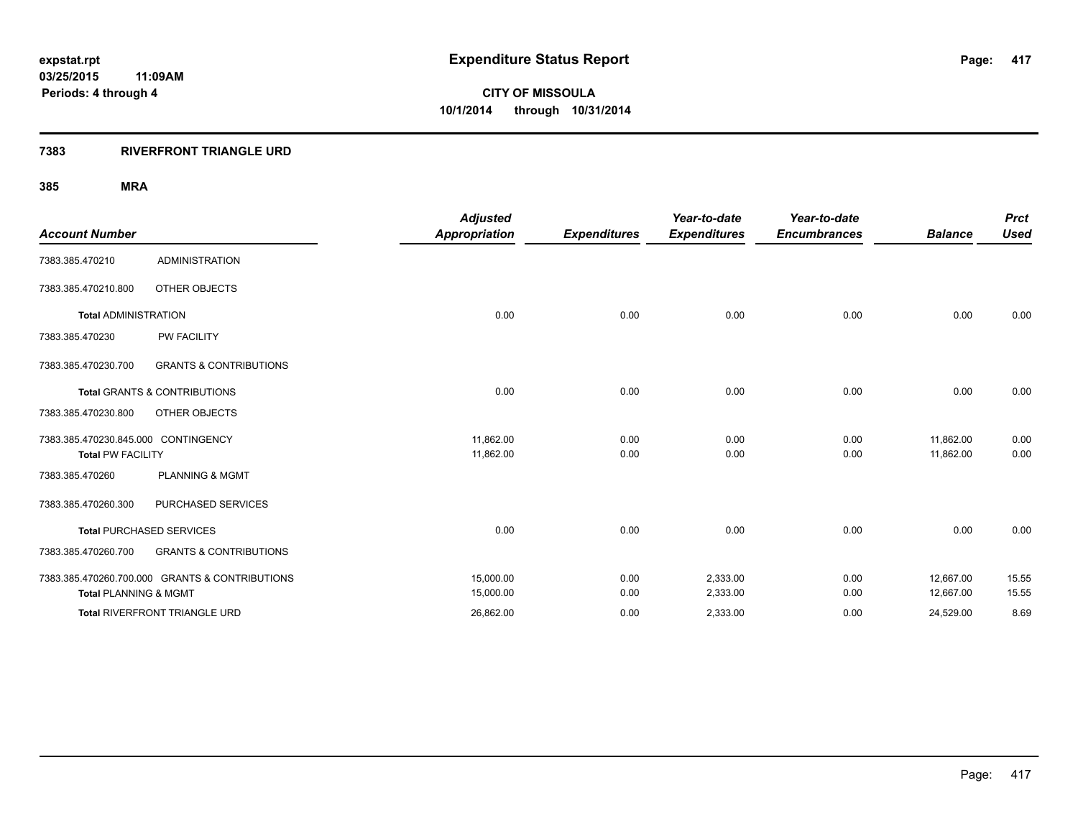### **7383 RIVERFRONT TRIANGLE URD**

|                                     |                                                | <b>Adjusted</b>      |                     | Year-to-date        | Year-to-date        |                | <b>Prct</b> |
|-------------------------------------|------------------------------------------------|----------------------|---------------------|---------------------|---------------------|----------------|-------------|
| <b>Account Number</b>               |                                                | <b>Appropriation</b> | <b>Expenditures</b> | <b>Expenditures</b> | <b>Encumbrances</b> | <b>Balance</b> | <b>Used</b> |
| 7383.385.470210                     | <b>ADMINISTRATION</b>                          |                      |                     |                     |                     |                |             |
| 7383.385.470210.800                 | <b>OTHER OBJECTS</b>                           |                      |                     |                     |                     |                |             |
| <b>Total ADMINISTRATION</b>         |                                                | 0.00                 | 0.00                | 0.00                | 0.00                | 0.00           | 0.00        |
| 7383.385.470230                     | <b>PW FACILITY</b>                             |                      |                     |                     |                     |                |             |
| 7383.385.470230.700                 | <b>GRANTS &amp; CONTRIBUTIONS</b>              |                      |                     |                     |                     |                |             |
|                                     | <b>Total GRANTS &amp; CONTRIBUTIONS</b>        | 0.00                 | 0.00                | 0.00                | 0.00                | 0.00           | 0.00        |
| 7383.385.470230.800                 | OTHER OBJECTS                                  |                      |                     |                     |                     |                |             |
| 7383.385.470230.845.000 CONTINGENCY |                                                | 11,862.00            | 0.00                | 0.00                | 0.00                | 11,862.00      | 0.00        |
| <b>Total PW FACILITY</b>            |                                                | 11,862.00            | 0.00                | 0.00                | 0.00                | 11,862.00      | 0.00        |
| 7383.385.470260                     | <b>PLANNING &amp; MGMT</b>                     |                      |                     |                     |                     |                |             |
| 7383.385.470260.300                 | PURCHASED SERVICES                             |                      |                     |                     |                     |                |             |
|                                     | <b>Total PURCHASED SERVICES</b>                | 0.00                 | 0.00                | 0.00                | 0.00                | 0.00           | 0.00        |
| 7383.385.470260.700                 | <b>GRANTS &amp; CONTRIBUTIONS</b>              |                      |                     |                     |                     |                |             |
|                                     | 7383.385.470260.700.000 GRANTS & CONTRIBUTIONS | 15,000.00            | 0.00                | 2,333.00            | 0.00                | 12,667.00      | 15.55       |
| <b>Total PLANNING &amp; MGMT</b>    |                                                | 15,000.00            | 0.00                | 2,333.00            | 0.00                | 12,667.00      | 15.55       |
|                                     | Total RIVERFRONT TRIANGLE URD                  | 26,862.00            | 0.00                | 2,333.00            | 0.00                | 24,529.00      | 8.69        |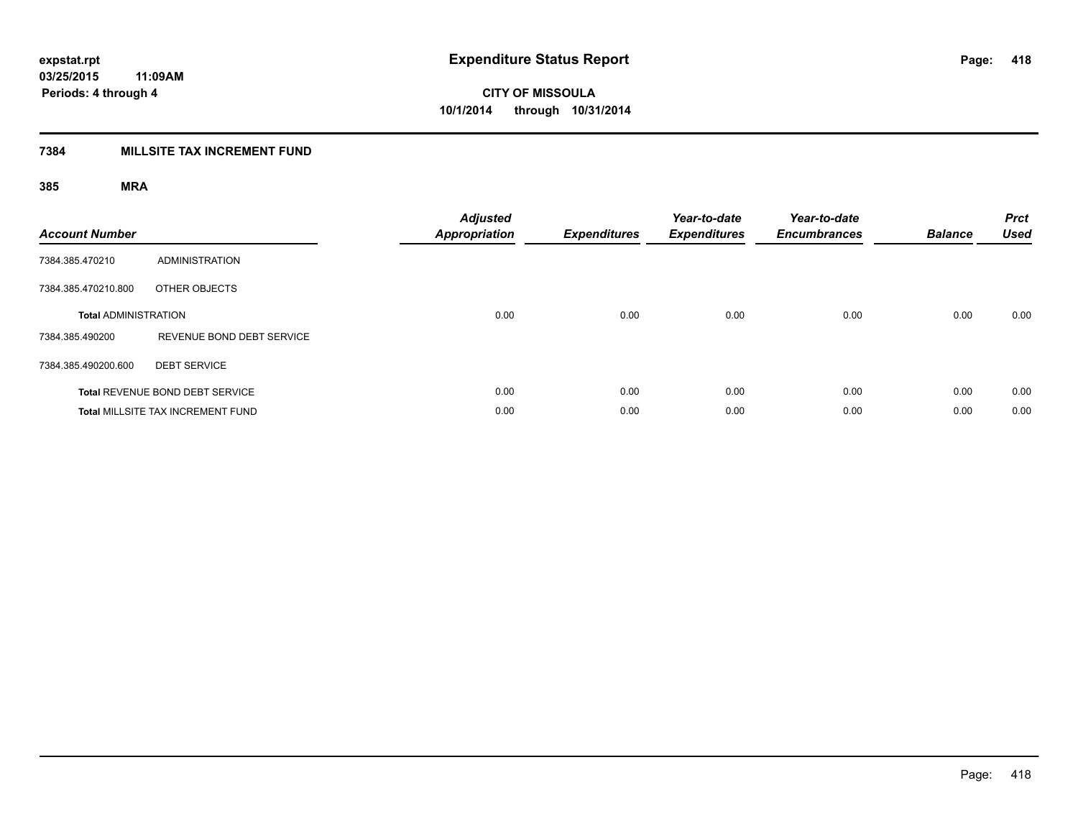### **7384 MILLSITE TAX INCREMENT FUND**

| <b>Account Number</b>       |                                          | <b>Adjusted</b><br><b>Appropriation</b> | <b>Expenditures</b> | Year-to-date<br><b>Expenditures</b> | Year-to-date<br><b>Encumbrances</b> | <b>Balance</b> | <b>Prct</b><br><b>Used</b> |
|-----------------------------|------------------------------------------|-----------------------------------------|---------------------|-------------------------------------|-------------------------------------|----------------|----------------------------|
| 7384.385.470210             | <b>ADMINISTRATION</b>                    |                                         |                     |                                     |                                     |                |                            |
| 7384.385.470210.800         | OTHER OBJECTS                            |                                         |                     |                                     |                                     |                |                            |
| <b>Total ADMINISTRATION</b> |                                          | 0.00                                    | 0.00                | 0.00                                | 0.00                                | 0.00           | 0.00                       |
| 7384.385.490200             | REVENUE BOND DEBT SERVICE                |                                         |                     |                                     |                                     |                |                            |
| 7384.385.490200.600         | <b>DEBT SERVICE</b>                      |                                         |                     |                                     |                                     |                |                            |
|                             | Total REVENUE BOND DEBT SERVICE          | 0.00                                    | 0.00                | 0.00                                | 0.00                                | 0.00           | 0.00                       |
|                             | <b>Total MILLSITE TAX INCREMENT FUND</b> | 0.00                                    | 0.00                | 0.00                                | 0.00                                | 0.00           | 0.00                       |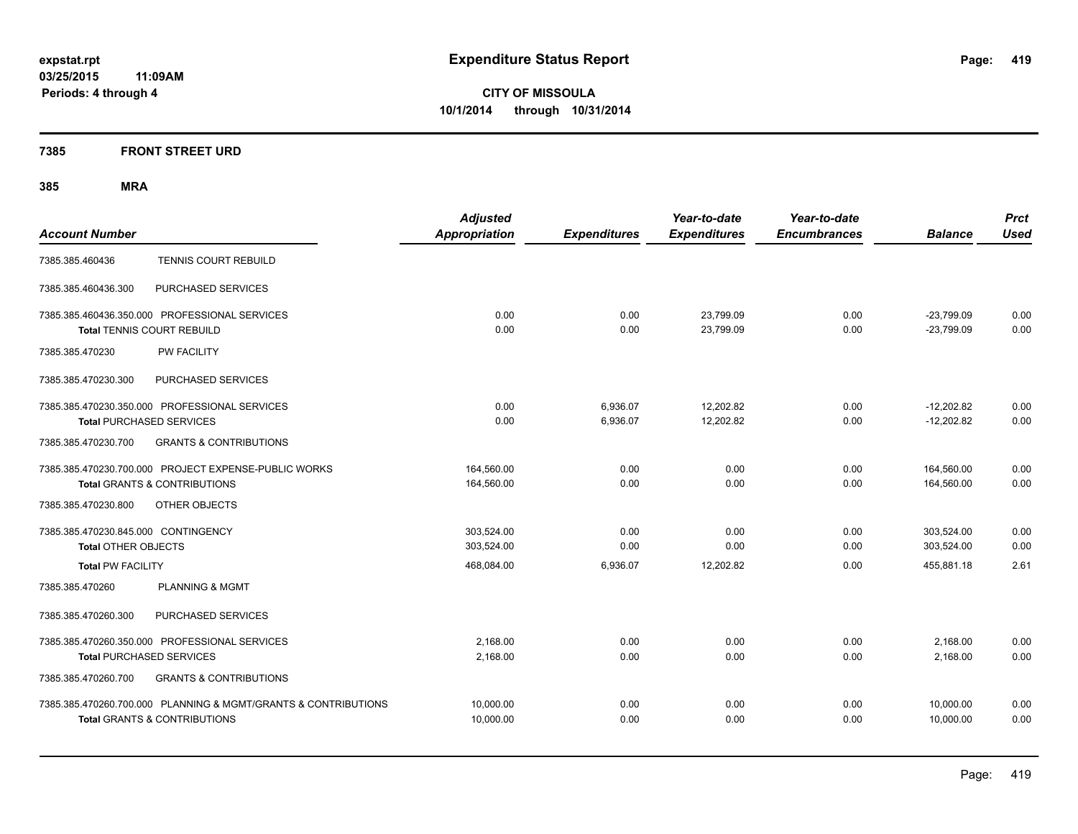#### **7385 FRONT STREET URD**

|                                                                | <b>Adjusted</b>      |                     | Year-to-date        | Year-to-date        |                | <b>Prct</b> |
|----------------------------------------------------------------|----------------------|---------------------|---------------------|---------------------|----------------|-------------|
| <b>Account Number</b>                                          | <b>Appropriation</b> | <b>Expenditures</b> | <b>Expenditures</b> | <b>Encumbrances</b> | <b>Balance</b> | <b>Used</b> |
| <b>TENNIS COURT REBUILD</b><br>7385.385.460436                 |                      |                     |                     |                     |                |             |
| PURCHASED SERVICES<br>7385.385.460436.300                      |                      |                     |                     |                     |                |             |
| 7385.385.460436.350.000 PROFESSIONAL SERVICES                  | 0.00                 | 0.00                | 23,799.09           | 0.00                | $-23,799.09$   | 0.00        |
| <b>Total TENNIS COURT REBUILD</b>                              | 0.00                 | 0.00                | 23,799.09           | 0.00                | $-23,799.09$   | 0.00        |
| <b>PW FACILITY</b><br>7385.385.470230                          |                      |                     |                     |                     |                |             |
| 7385.385.470230.300<br>PURCHASED SERVICES                      |                      |                     |                     |                     |                |             |
| 7385.385.470230.350.000 PROFESSIONAL SERVICES                  | 0.00                 | 6,936.07            | 12,202.82           | 0.00                | $-12,202.82$   | 0.00        |
| <b>Total PURCHASED SERVICES</b>                                | 0.00                 | 6,936.07            | 12,202.82           | 0.00                | $-12,202.82$   | 0.00        |
| 7385.385.470230.700<br><b>GRANTS &amp; CONTRIBUTIONS</b>       |                      |                     |                     |                     |                |             |
| 7385.385.470230.700.000 PROJECT EXPENSE-PUBLIC WORKS           | 164,560.00           | 0.00                | 0.00                | 0.00                | 164,560.00     | 0.00        |
| <b>Total GRANTS &amp; CONTRIBUTIONS</b>                        | 164,560.00           | 0.00                | 0.00                | 0.00                | 164,560.00     | 0.00        |
| 7385.385.470230.800<br>OTHER OBJECTS                           |                      |                     |                     |                     |                |             |
| 7385.385.470230.845.000 CONTINGENCY                            | 303,524.00           | 0.00                | 0.00                | 0.00                | 303,524.00     | 0.00        |
| <b>Total OTHER OBJECTS</b>                                     | 303.524.00           | 0.00                | 0.00                | 0.00                | 303.524.00     | 0.00        |
| <b>Total PW FACILITY</b>                                       | 468,084.00           | 6,936.07            | 12.202.82           | 0.00                | 455.881.18     | 2.61        |
| 7385.385.470260<br><b>PLANNING &amp; MGMT</b>                  |                      |                     |                     |                     |                |             |
| 7385.385.470260.300<br>PURCHASED SERVICES                      |                      |                     |                     |                     |                |             |
| 7385.385.470260.350.000 PROFESSIONAL SERVICES                  | 2.168.00             | 0.00                | 0.00                | 0.00                | 2,168.00       | 0.00        |
| <b>Total PURCHASED SERVICES</b>                                | 2,168.00             | 0.00                | 0.00                | 0.00                | 2,168.00       | 0.00        |
| 7385.385.470260.700<br><b>GRANTS &amp; CONTRIBUTIONS</b>       |                      |                     |                     |                     |                |             |
| 7385.385.470260.700.000 PLANNING & MGMT/GRANTS & CONTRIBUTIONS | 10,000.00            | 0.00                | 0.00                | 0.00                | 10,000.00      | 0.00        |
| <b>Total GRANTS &amp; CONTRIBUTIONS</b>                        | 10.000.00            | 0.00                | 0.00                | 0.00                | 10.000.00      | 0.00        |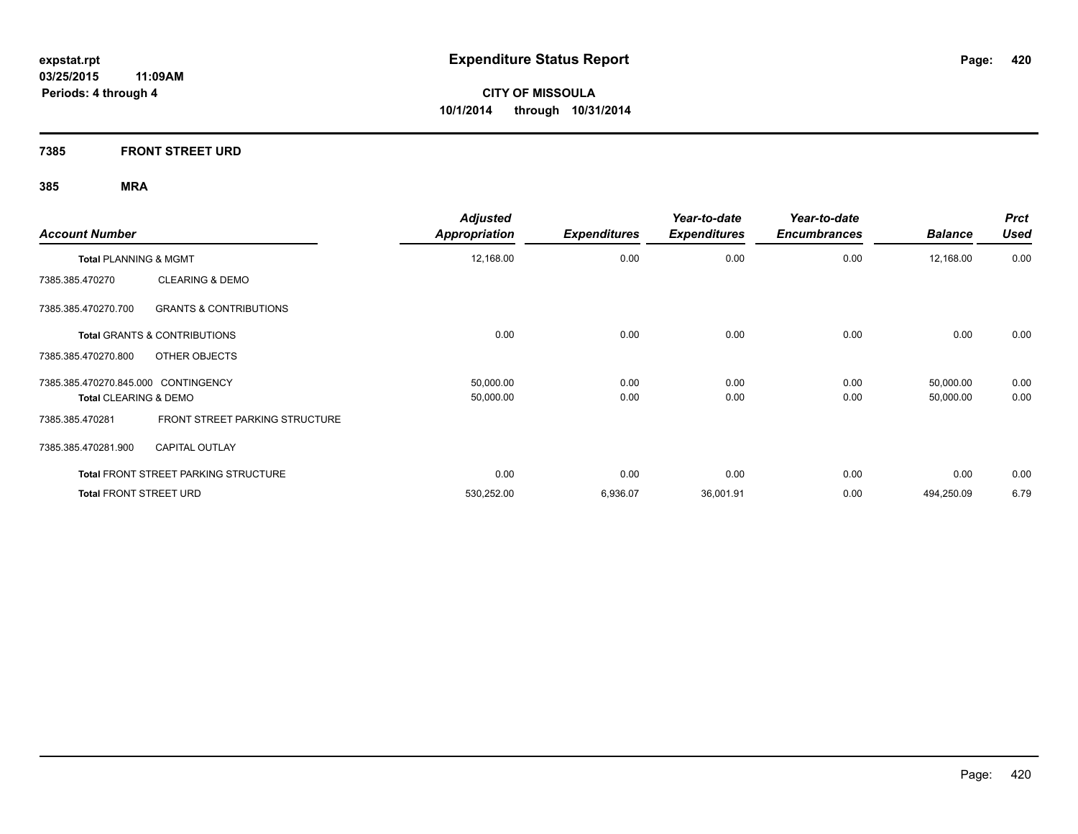**7385 FRONT STREET URD**

| <b>Account Number</b>                                    | <b>Adjusted</b><br><b>Appropriation</b> | <b>Expenditures</b> | Year-to-date<br><b>Expenditures</b> | Year-to-date<br><b>Encumbrances</b> | <b>Balance</b> | <b>Prct</b><br><b>Used</b> |
|----------------------------------------------------------|-----------------------------------------|---------------------|-------------------------------------|-------------------------------------|----------------|----------------------------|
| Total PLANNING & MGMT                                    | 12,168.00                               | 0.00                | 0.00                                | 0.00                                | 12,168.00      | 0.00                       |
| <b>CLEARING &amp; DEMO</b><br>7385.385.470270            |                                         |                     |                                     |                                     |                |                            |
| 7385.385.470270.700<br><b>GRANTS &amp; CONTRIBUTIONS</b> |                                         |                     |                                     |                                     |                |                            |
| <b>Total GRANTS &amp; CONTRIBUTIONS</b>                  | 0.00                                    | 0.00                | 0.00                                | 0.00                                | 0.00           | 0.00                       |
| OTHER OBJECTS<br>7385.385.470270.800                     |                                         |                     |                                     |                                     |                |                            |
| 7385.385.470270.845.000 CONTINGENCY                      | 50,000.00                               | 0.00                | 0.00                                | 0.00                                | 50,000.00      | 0.00                       |
| <b>Total CLEARING &amp; DEMO</b>                         | 50,000.00                               | 0.00                | 0.00                                | 0.00                                | 50,000.00      | 0.00                       |
| FRONT STREET PARKING STRUCTURE<br>7385.385.470281        |                                         |                     |                                     |                                     |                |                            |
| <b>CAPITAL OUTLAY</b><br>7385.385.470281.900             |                                         |                     |                                     |                                     |                |                            |
| <b>Total FRONT STREET PARKING STRUCTURE</b>              | 0.00                                    | 0.00                | 0.00                                | 0.00                                | 0.00           | 0.00                       |
| <b>Total FRONT STREET URD</b>                            | 530,252.00                              | 6,936.07            | 36,001.91                           | 0.00                                | 494,250.09     | 6.79                       |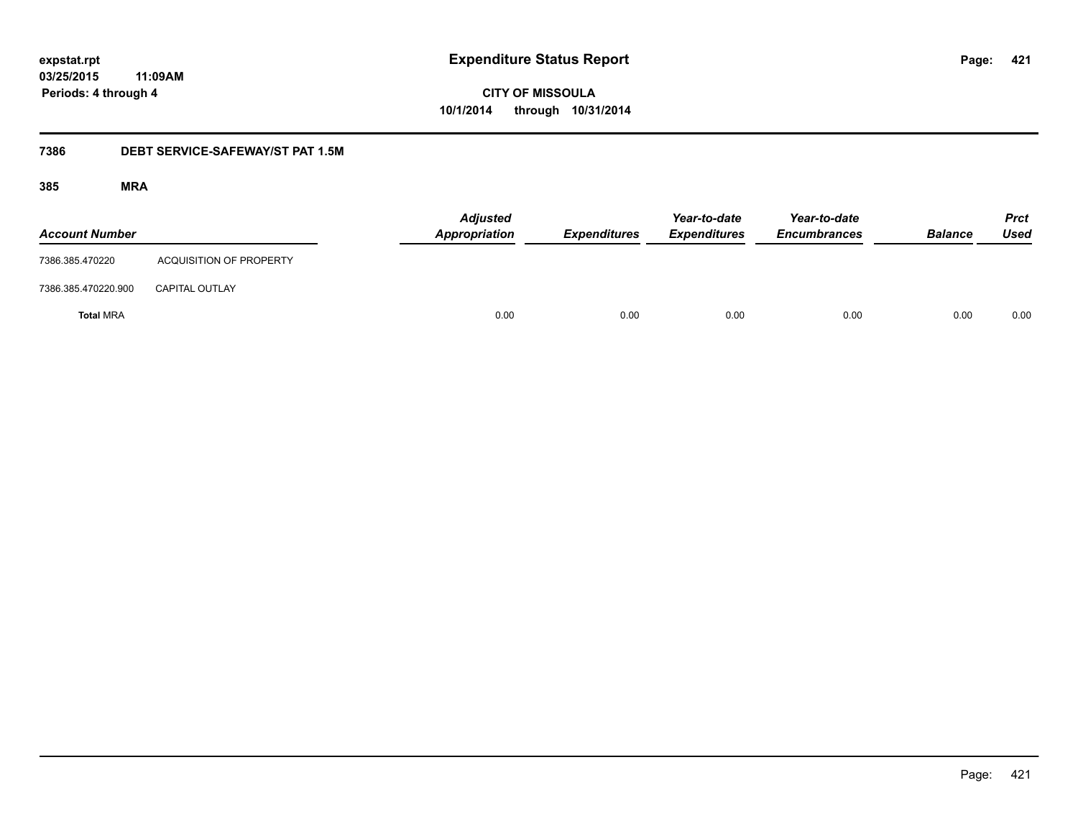**421**

**03/25/2015 11:09AM Periods: 4 through 4**

# **CITY OF MISSOULA 10/1/2014 through 10/31/2014**

#### **7386 DEBT SERVICE-SAFEWAY/ST PAT 1.5M**

| <b>Account Number</b> |                                | <b>Adjusted</b><br>Appropriation | <b>Expenditures</b> | Year-to-date<br><b>Expenditures</b> | Year-to-date<br><b>Encumbrances</b> | <b>Balance</b> | <b>Prct</b><br><b>Used</b> |
|-----------------------|--------------------------------|----------------------------------|---------------------|-------------------------------------|-------------------------------------|----------------|----------------------------|
| 7386.385.470220       | <b>ACQUISITION OF PROPERTY</b> |                                  |                     |                                     |                                     |                |                            |
| 7386.385.470220.900   | <b>CAPITAL OUTLAY</b>          |                                  |                     |                                     |                                     |                |                            |
| <b>Total MRA</b>      |                                | 0.00                             | 0.00                | 0.00                                | 0.00                                | 0.00           | 0.00                       |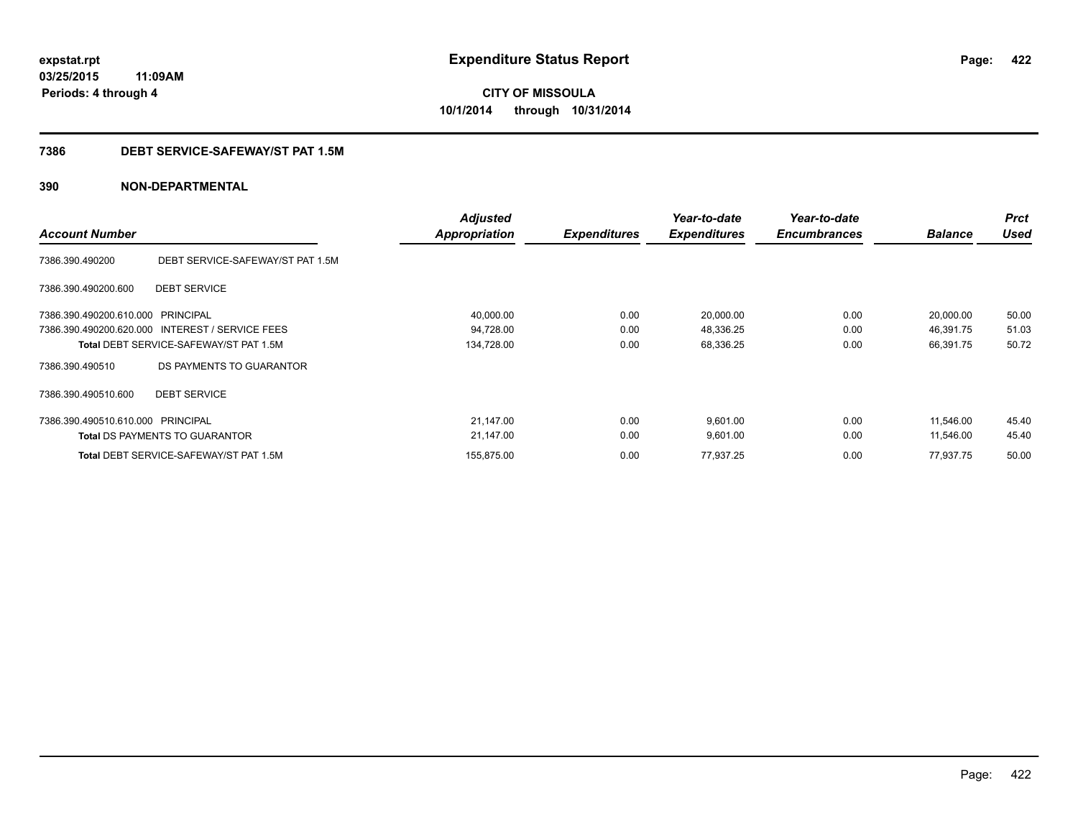### **03/25/2015 11:09AM Periods: 4 through 4**

# **CITY OF MISSOULA 10/1/2014 through 10/31/2014**

#### **7386 DEBT SERVICE-SAFEWAY/ST PAT 1.5M**

| <b>Account Number</b>             |                                                 | <b>Adjusted</b><br><b>Appropriation</b> | <b>Expenditures</b> | Year-to-date<br><b>Expenditures</b> | Year-to-date<br><b>Encumbrances</b> | <b>Balance</b> | <b>Prct</b><br><b>Used</b> |
|-----------------------------------|-------------------------------------------------|-----------------------------------------|---------------------|-------------------------------------|-------------------------------------|----------------|----------------------------|
| 7386.390.490200                   | DEBT SERVICE-SAFEWAY/ST PAT 1.5M                |                                         |                     |                                     |                                     |                |                            |
| 7386.390.490200.600               | <b>DEBT SERVICE</b>                             |                                         |                     |                                     |                                     |                |                            |
| 7386.390.490200.610.000 PRINCIPAL |                                                 | 40,000.00                               | 0.00                | 20,000.00                           | 0.00                                | 20,000.00      | 50.00                      |
|                                   | 7386.390.490200.620.000 INTEREST / SERVICE FEES | 94,728.00                               | 0.00                | 48,336.25                           | 0.00                                | 46,391.75      | 51.03                      |
|                                   | <b>Total DEBT SERVICE-SAFEWAY/ST PAT 1.5M</b>   | 134,728.00                              | 0.00                | 68,336.25                           | 0.00                                | 66,391.75      | 50.72                      |
| 7386.390.490510                   | DS PAYMENTS TO GUARANTOR                        |                                         |                     |                                     |                                     |                |                            |
| 7386.390.490510.600               | <b>DEBT SERVICE</b>                             |                                         |                     |                                     |                                     |                |                            |
| 7386.390.490510.610.000 PRINCIPAL |                                                 | 21,147.00                               | 0.00                | 9.601.00                            | 0.00                                | 11.546.00      | 45.40                      |
|                                   | <b>Total DS PAYMENTS TO GUARANTOR</b>           | 21,147.00                               | 0.00                | 9,601.00                            | 0.00                                | 11,546.00      | 45.40                      |
|                                   | <b>Total DEBT SERVICE-SAFEWAY/ST PAT 1.5M</b>   | 155,875.00                              | 0.00                | 77,937.25                           | 0.00                                | 77,937.75      | 50.00                      |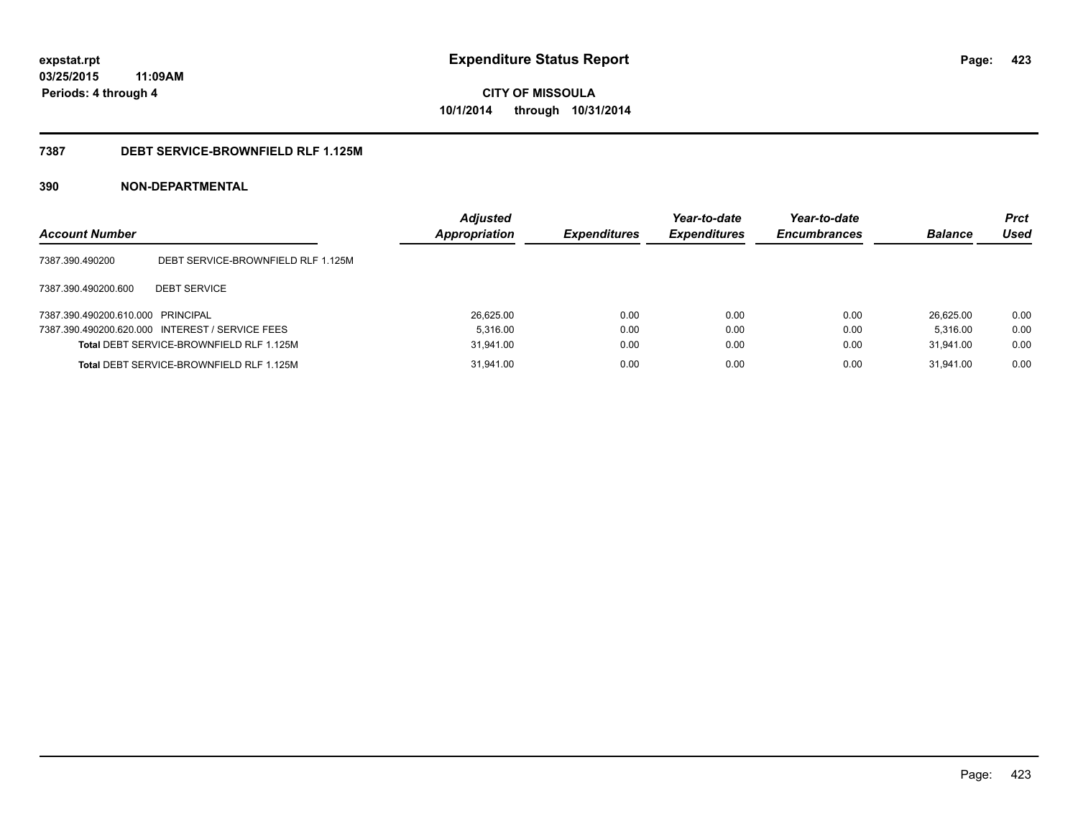### **03/25/2015 11:09AM Periods: 4 through 4**

**CITY OF MISSOULA 10/1/2014 through 10/31/2014**

#### **7387 DEBT SERVICE-BROWNFIELD RLF 1.125M**

| <b>Account Number</b>             |                                                 | <b>Adjusted</b><br><b>Appropriation</b> | <b>Expenditures</b> | Year-to-date<br><b>Expenditures</b> | Year-to-date<br><b>Encumbrances</b> | <b>Balance</b> | <b>Prct</b><br>Used |
|-----------------------------------|-------------------------------------------------|-----------------------------------------|---------------------|-------------------------------------|-------------------------------------|----------------|---------------------|
| 7387.390.490200                   | DEBT SERVICE-BROWNFIELD RLF 1.125M              |                                         |                     |                                     |                                     |                |                     |
| 7387.390.490200.600               | <b>DEBT SERVICE</b>                             |                                         |                     |                                     |                                     |                |                     |
| 7387.390.490200.610.000 PRINCIPAL |                                                 | 26.625.00                               | 0.00                | 0.00                                | 0.00                                | 26.625.00      | 0.00                |
|                                   | 7387.390.490200.620.000 INTEREST / SERVICE FEES | 5.316.00                                | 0.00                | 0.00                                | 0.00                                | 5.316.00       | 0.00                |
|                                   | Total DEBT SERVICE-BROWNFIELD RLF 1.125M        | 31.941.00                               | 0.00                | 0.00                                | 0.00                                | 31.941.00      | 0.00                |
|                                   | Total DEBT SERVICE-BROWNFIELD RLF 1.125M        | 31,941.00                               | 0.00                | 0.00                                | 0.00                                | 31.941.00      | 0.00                |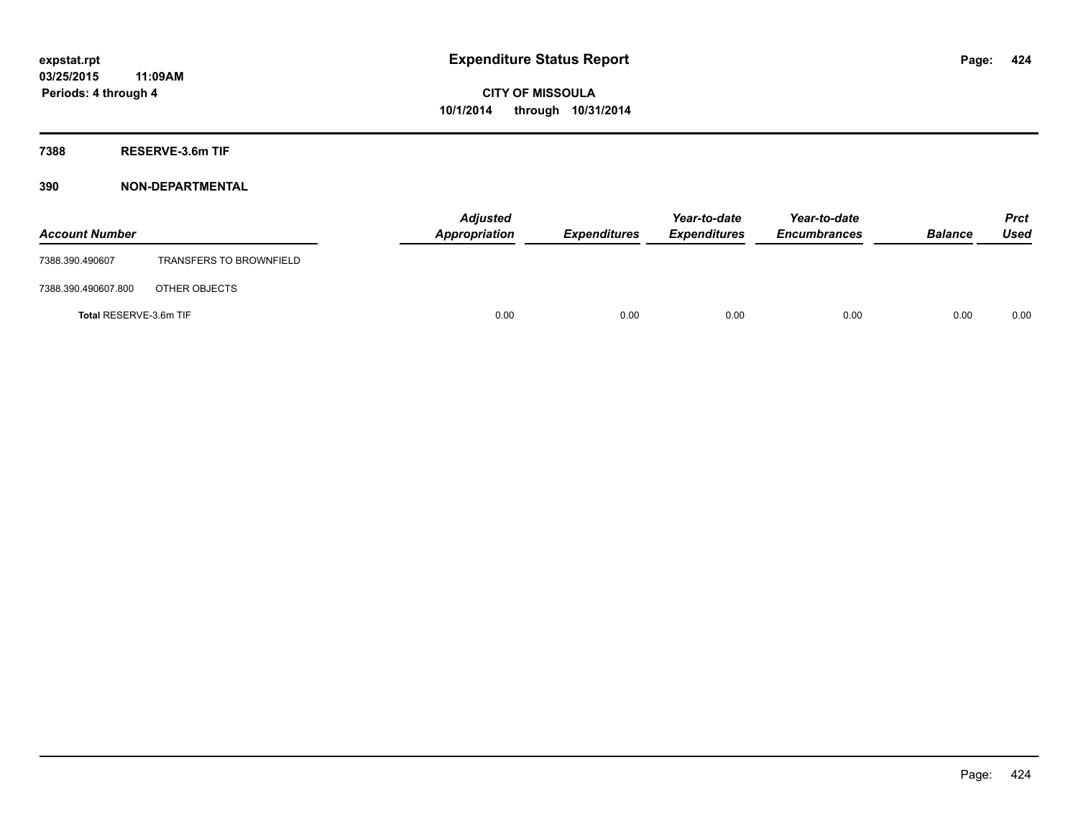**7388 RESERVE-3.6m TIF**

| <b>Account Number</b>  |                                | Appropriation | <b>Adjusted</b> | <b>Expenditures</b> | Year-to-date<br><b>Expenditures</b> | Year-to-date<br><b>Encumbrances</b> | <b>Balance</b> | <b>Prct</b><br><b>Used</b> |
|------------------------|--------------------------------|---------------|-----------------|---------------------|-------------------------------------|-------------------------------------|----------------|----------------------------|
| 7388.390.490607        | <b>TRANSFERS TO BROWNFIELD</b> |               |                 |                     |                                     |                                     |                |                            |
| 7388.390.490607.800    | OTHER OBJECTS                  |               |                 |                     |                                     |                                     |                |                            |
| Total RESERVE-3.6m TIF |                                |               | 0.00            | 0.00                | 0.00                                | 0.00                                | 0.00           | 0.00                       |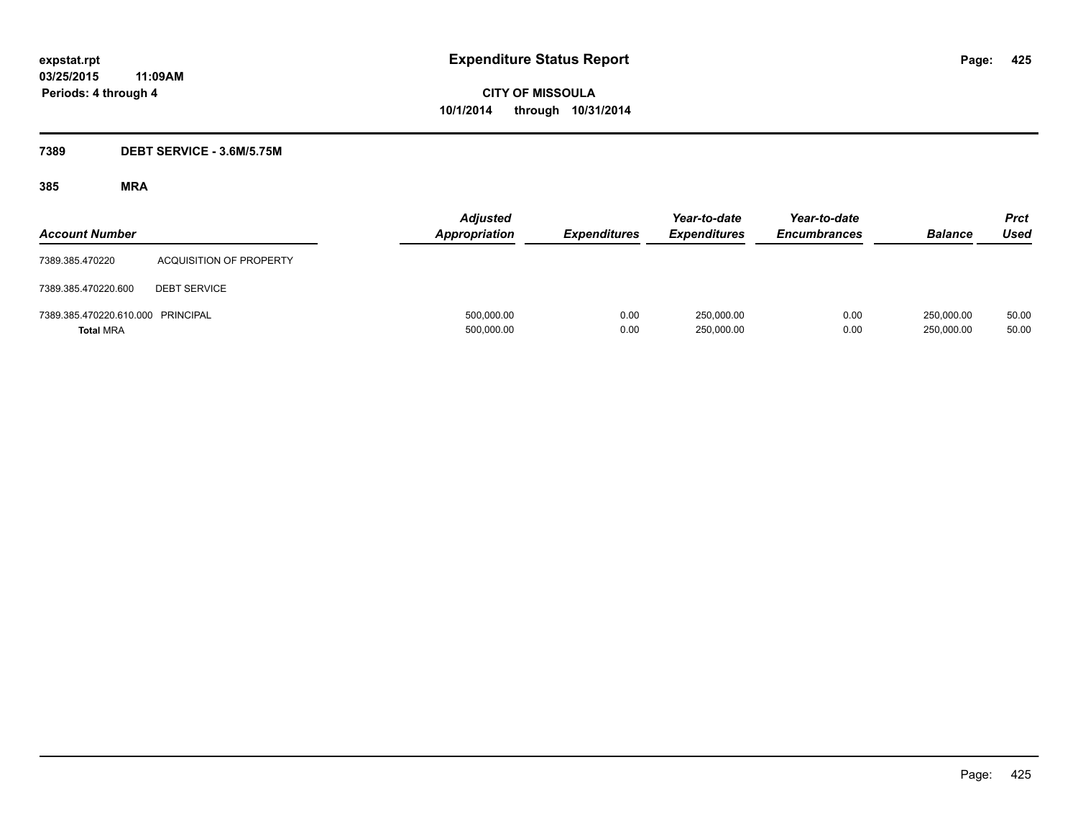#### **7389 DEBT SERVICE - 3.6M/5.75M**

| <b>Account Number</b>                                 |                                | <b>Adjusted</b><br><b>Appropriation</b> | <b>Expenditures</b> | Year-to-date<br><b>Expenditures</b> | Year-to-date<br><b>Encumbrances</b> | <b>Balance</b>           | Prct<br><b>Used</b> |
|-------------------------------------------------------|--------------------------------|-----------------------------------------|---------------------|-------------------------------------|-------------------------------------|--------------------------|---------------------|
| 7389.385.470220                                       | <b>ACQUISITION OF PROPERTY</b> |                                         |                     |                                     |                                     |                          |                     |
| 7389.385.470220.600                                   | <b>DEBT SERVICE</b>            |                                         |                     |                                     |                                     |                          |                     |
| 7389.385.470220.610.000 PRINCIPAL<br><b>Total MRA</b> |                                | 500,000.00<br>500,000.00                | 0.00<br>0.00        | 250,000.00<br>250,000.00            | 0.00<br>0.00                        | 250.000.00<br>250,000.00 | 50.00<br>50.00      |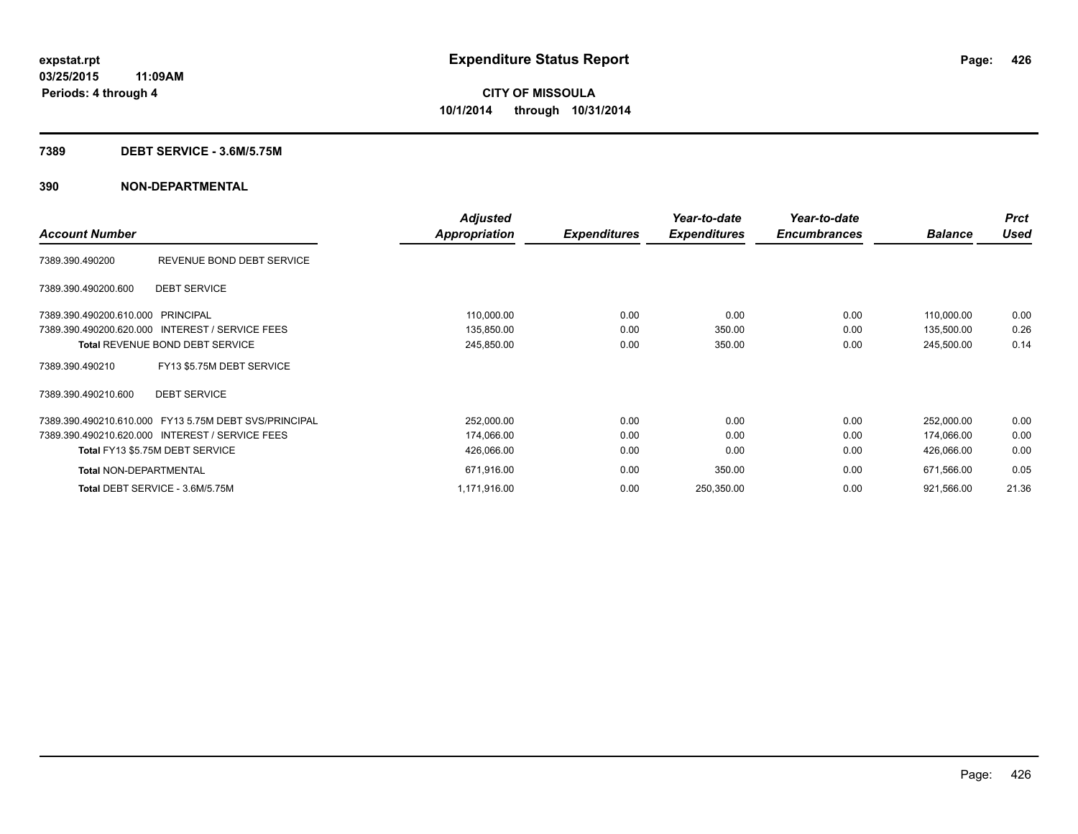#### **7389 DEBT SERVICE - 3.6M/5.75M**

|                                                       | <b>Adjusted</b>      |                     | Year-to-date        | Year-to-date        |                | <b>Prct</b> |
|-------------------------------------------------------|----------------------|---------------------|---------------------|---------------------|----------------|-------------|
| <b>Account Number</b>                                 | <b>Appropriation</b> | <b>Expenditures</b> | <b>Expenditures</b> | <b>Encumbrances</b> | <b>Balance</b> | <b>Used</b> |
| REVENUE BOND DEBT SERVICE<br>7389.390.490200          |                      |                     |                     |                     |                |             |
| <b>DEBT SERVICE</b><br>7389.390.490200.600            |                      |                     |                     |                     |                |             |
| 7389.390.490200.610.000 PRINCIPAL                     | 110,000.00           | 0.00                | 0.00                | 0.00                | 110,000.00     | 0.00        |
| 7389.390.490200.620.000 INTEREST / SERVICE FEES       | 135,850.00           | 0.00                | 350.00              | 0.00                | 135,500.00     | 0.26        |
| <b>Total REVENUE BOND DEBT SERVICE</b>                | 245,850.00           | 0.00                | 350.00              | 0.00                | 245,500.00     | 0.14        |
| FY13 \$5.75M DEBT SERVICE<br>7389.390.490210          |                      |                     |                     |                     |                |             |
| 7389.390.490210.600<br><b>DEBT SERVICE</b>            |                      |                     |                     |                     |                |             |
| 7389.390.490210.610.000 FY13 5.75M DEBT SVS/PRINCIPAL | 252,000.00           | 0.00                | 0.00                | 0.00                | 252,000.00     | 0.00        |
| 7389.390.490210.620.000 INTEREST / SERVICE FEES       | 174,066.00           | 0.00                | 0.00                | 0.00                | 174,066.00     | 0.00        |
| Total FY13 \$5.75M DEBT SERVICE                       | 426,066.00           | 0.00                | 0.00                | 0.00                | 426,066.00     | 0.00        |
| <b>Total NON-DEPARTMENTAL</b>                         | 671,916.00           | 0.00                | 350.00              | 0.00                | 671,566.00     | 0.05        |
| Total DEBT SERVICE - 3.6M/5.75M                       | 1,171,916.00         | 0.00                | 250,350.00          | 0.00                | 921,566.00     | 21.36       |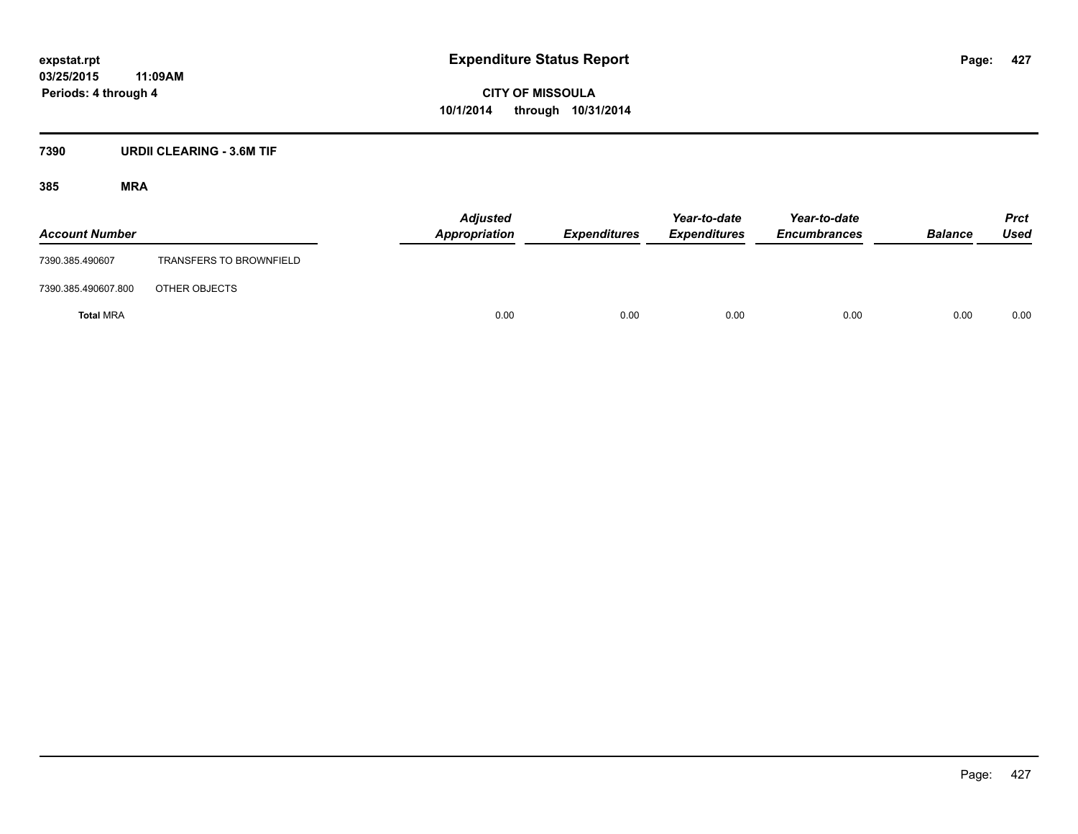#### **7390 URDII CLEARING - 3.6M TIF**

| <b>Account Number</b> |                                | <b>Adjusted</b><br>Appropriation | <b>Expenditures</b> | Year-to-date<br><b>Expenditures</b> | Year-to-date<br><b>Encumbrances</b> | <b>Balance</b> | <b>Prct</b><br><b>Used</b> |
|-----------------------|--------------------------------|----------------------------------|---------------------|-------------------------------------|-------------------------------------|----------------|----------------------------|
| 7390.385.490607       | <b>TRANSFERS TO BROWNFIELD</b> |                                  |                     |                                     |                                     |                |                            |
| 7390.385.490607.800   | OTHER OBJECTS                  |                                  |                     |                                     |                                     |                |                            |
| <b>Total MRA</b>      |                                | 0.00                             | 0.00                | 0.00                                | 0.00                                | 0.00           | 0.00                       |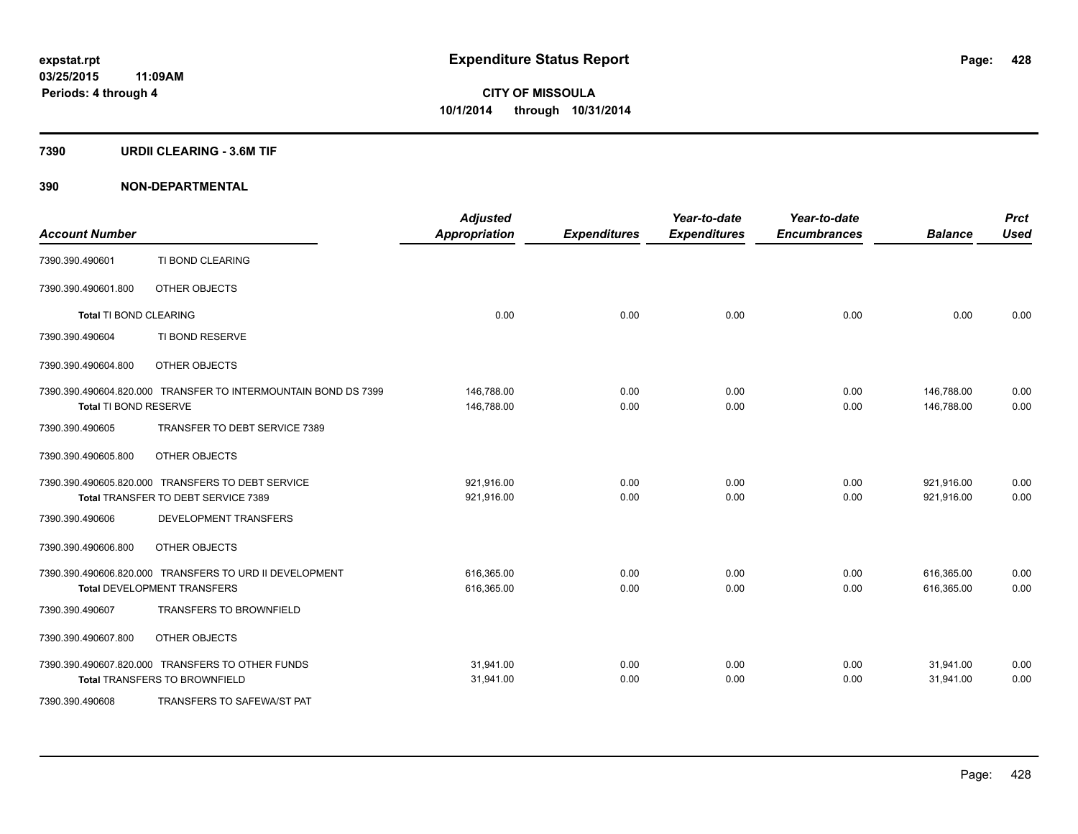#### **7390 URDII CLEARING - 3.6M TIF**

| <b>Account Number</b>  |                                                                                               | <b>Adjusted</b><br><b>Appropriation</b> | <b>Expenditures</b> | Year-to-date<br><b>Expenditures</b> | Year-to-date<br><b>Encumbrances</b> | <b>Balance</b>           | <b>Prct</b><br><b>Used</b> |
|------------------------|-----------------------------------------------------------------------------------------------|-----------------------------------------|---------------------|-------------------------------------|-------------------------------------|--------------------------|----------------------------|
| 7390.390.490601        | TI BOND CLEARING                                                                              |                                         |                     |                                     |                                     |                          |                            |
| 7390.390.490601.800    | OTHER OBJECTS                                                                                 |                                         |                     |                                     |                                     |                          |                            |
| Total TI BOND CLEARING |                                                                                               | 0.00                                    | 0.00                | 0.00                                | 0.00                                | 0.00                     | 0.00                       |
| 7390.390.490604        | TI BOND RESERVE                                                                               |                                         |                     |                                     |                                     |                          |                            |
| 7390.390.490604.800    | OTHER OBJECTS                                                                                 |                                         |                     |                                     |                                     |                          |                            |
| Total TI BOND RESERVE  | 7390.390.490604.820.000 TRANSFER TO INTERMOUNTAIN BOND DS 7399                                | 146,788.00<br>146.788.00                | 0.00<br>0.00        | 0.00<br>0.00                        | 0.00<br>0.00                        | 146,788.00<br>146.788.00 | 0.00<br>0.00               |
| 7390.390.490605        | TRANSFER TO DEBT SERVICE 7389                                                                 |                                         |                     |                                     |                                     |                          |                            |
| 7390.390.490605.800    | OTHER OBJECTS                                                                                 |                                         |                     |                                     |                                     |                          |                            |
|                        | 7390.390.490605.820.000 TRANSFERS TO DEBT SERVICE<br>Total TRANSFER TO DEBT SERVICE 7389      | 921,916.00<br>921,916.00                | 0.00<br>0.00        | 0.00<br>0.00                        | 0.00<br>0.00                        | 921,916.00<br>921,916.00 | 0.00<br>0.00               |
| 7390.390.490606        | <b>DEVELOPMENT TRANSFERS</b>                                                                  |                                         |                     |                                     |                                     |                          |                            |
| 7390.390.490606.800    | OTHER OBJECTS                                                                                 |                                         |                     |                                     |                                     |                          |                            |
|                        | 7390.390.490606.820.000 TRANSFERS TO URD II DEVELOPMENT<br><b>Total DEVELOPMENT TRANSFERS</b> | 616,365.00<br>616,365.00                | 0.00<br>0.00        | 0.00<br>0.00                        | 0.00<br>0.00                        | 616,365.00<br>616,365.00 | 0.00<br>0.00               |
| 7390.390.490607        | <b>TRANSFERS TO BROWNFIELD</b>                                                                |                                         |                     |                                     |                                     |                          |                            |
| 7390.390.490607.800    | OTHER OBJECTS                                                                                 |                                         |                     |                                     |                                     |                          |                            |
|                        | 7390.390.490607.820.000 TRANSFERS TO OTHER FUNDS<br><b>Total TRANSFERS TO BROWNFIELD</b>      | 31,941.00<br>31,941.00                  | 0.00<br>0.00        | 0.00<br>0.00                        | 0.00<br>0.00                        | 31,941.00<br>31,941.00   | 0.00<br>0.00               |
| 7390.390.490608        | TRANSFERS TO SAFEWA/ST PAT                                                                    |                                         |                     |                                     |                                     |                          |                            |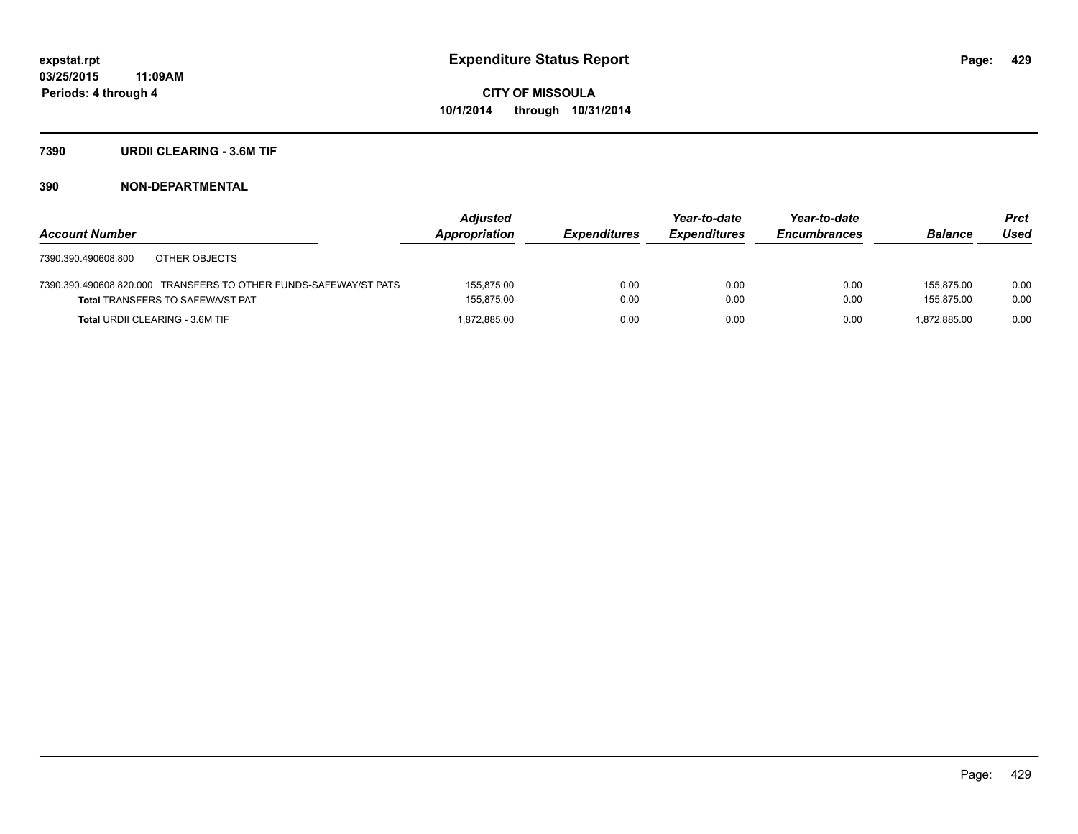#### **7390 URDII CLEARING - 3.6M TIF**

|                                                                  | Adjusted      |                     | Year-to-date        | Year-to-date        |                | <b>Prct</b> |
|------------------------------------------------------------------|---------------|---------------------|---------------------|---------------------|----------------|-------------|
| <b>Account Number</b>                                            | Appropriation | <b>Expenditures</b> | <b>Expenditures</b> | <b>Encumbrances</b> | <b>Balance</b> | Used        |
| OTHER OBJECTS<br>7390.390.490608.800                             |               |                     |                     |                     |                |             |
| 7390.390.490608.820.000 TRANSFERS TO OTHER FUNDS-SAFEWAY/ST PATS | 155.875.00    | 0.00                | 0.00                | 0.00                | 155.875.00     | 0.00        |
| <b>Total TRANSFERS TO SAFEWA/ST PAT</b>                          | 155.875.00    | 0.00                | 0.00                | 0.00                | 155.875.00     | 0.00        |
| <b>Total URDII CLEARING - 3.6M TIF</b>                           | 1,872,885.00  | 0.00                | 0.00                | 0.00                | 1.872.885.00   | 0.00        |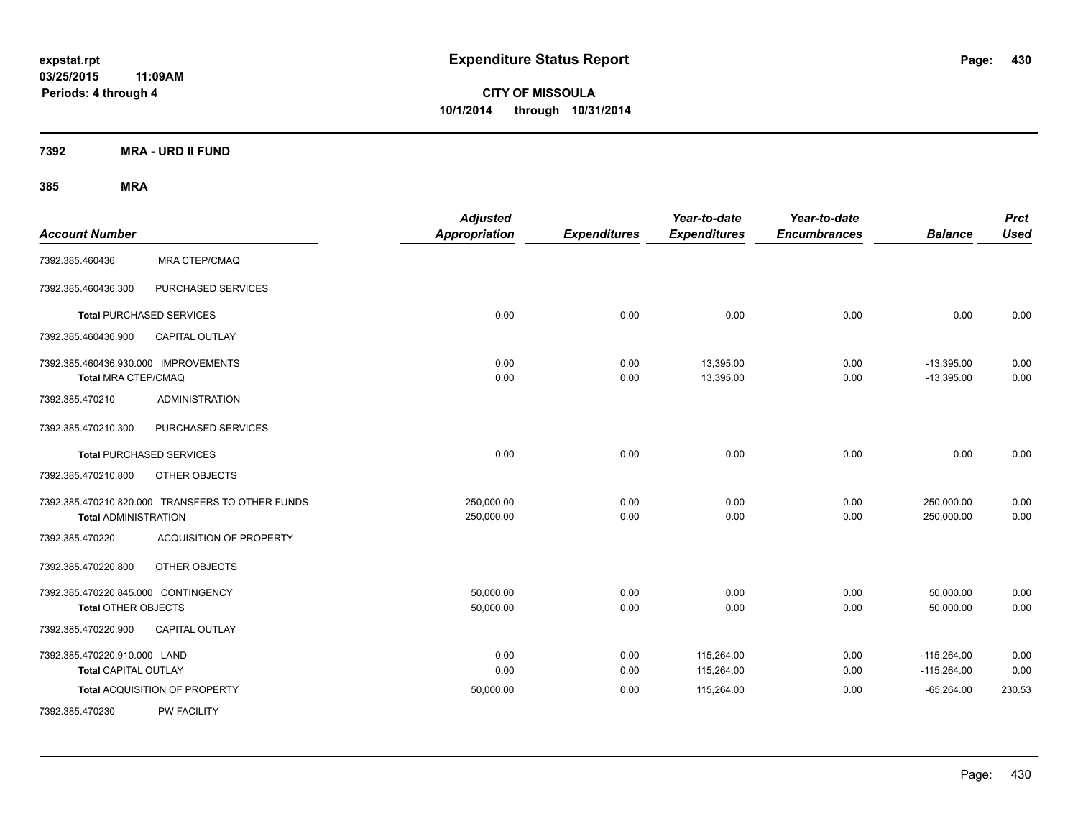**03/25/2015 11:09AM Periods: 4 through 4**

**CITY OF MISSOULA 10/1/2014 through 10/31/2014**

**7392 MRA - URD II FUND**

| <b>Account Number</b>                                             |                                                  | <b>Adjusted</b><br><b>Appropriation</b> | <b>Expenditures</b> | Year-to-date<br><b>Expenditures</b> | Year-to-date<br><b>Encumbrances</b> | <b>Balance</b>                 | <b>Prct</b><br><b>Used</b> |
|-------------------------------------------------------------------|--------------------------------------------------|-----------------------------------------|---------------------|-------------------------------------|-------------------------------------|--------------------------------|----------------------------|
| 7392.385.460436                                                   | <b>MRA CTEP/CMAQ</b>                             |                                         |                     |                                     |                                     |                                |                            |
| 7392.385.460436.300                                               | PURCHASED SERVICES                               |                                         |                     |                                     |                                     |                                |                            |
| <b>Total PURCHASED SERVICES</b>                                   |                                                  | 0.00                                    | 0.00                | 0.00                                | 0.00                                | 0.00                           | 0.00                       |
| 7392.385.460436.900                                               | <b>CAPITAL OUTLAY</b>                            |                                         |                     |                                     |                                     |                                |                            |
| 7392.385.460436.930.000 IMPROVEMENTS<br>Total MRA CTEP/CMAQ       |                                                  | 0.00<br>0.00                            | 0.00<br>0.00        | 13,395.00<br>13,395.00              | 0.00<br>0.00                        | $-13,395.00$<br>$-13,395.00$   | 0.00<br>0.00               |
| 7392.385.470210                                                   | <b>ADMINISTRATION</b>                            |                                         |                     |                                     |                                     |                                |                            |
| 7392.385.470210.300                                               | PURCHASED SERVICES                               |                                         |                     |                                     |                                     |                                |                            |
| <b>Total PURCHASED SERVICES</b>                                   |                                                  | 0.00                                    | 0.00                | 0.00                                | 0.00                                | 0.00                           | 0.00                       |
| 7392.385.470210.800                                               | OTHER OBJECTS                                    |                                         |                     |                                     |                                     |                                |                            |
| <b>Total ADMINISTRATION</b>                                       | 7392.385.470210.820.000 TRANSFERS TO OTHER FUNDS | 250,000.00<br>250,000.00                | 0.00<br>0.00        | 0.00<br>0.00                        | 0.00<br>0.00                        | 250,000.00<br>250,000.00       | 0.00<br>0.00               |
| 7392.385.470220                                                   | <b>ACQUISITION OF PROPERTY</b>                   |                                         |                     |                                     |                                     |                                |                            |
| 7392.385.470220.800                                               | OTHER OBJECTS                                    |                                         |                     |                                     |                                     |                                |                            |
| 7392.385.470220.845.000 CONTINGENCY<br><b>Total OTHER OBJECTS</b> |                                                  | 50,000.00<br>50,000.00                  | 0.00<br>0.00        | 0.00<br>0.00                        | 0.00<br>0.00                        | 50,000.00<br>50,000.00         | 0.00<br>0.00               |
| 7392.385.470220.900                                               | CAPITAL OUTLAY                                   |                                         |                     |                                     |                                     |                                |                            |
| 7392.385.470220.910.000 LAND<br>Total CAPITAL OUTLAY              |                                                  | 0.00<br>0.00                            | 0.00<br>0.00        | 115,264.00<br>115,264.00            | 0.00<br>0.00                        | $-115,264.00$<br>$-115,264.00$ | 0.00<br>0.00               |
|                                                                   | Total ACQUISITION OF PROPERTY                    | 50,000.00                               | 0.00                | 115,264.00                          | 0.00                                | $-65,264.00$                   | 230.53                     |
| 7392.385.470230                                                   | <b>PW FACILITY</b>                               |                                         |                     |                                     |                                     |                                |                            |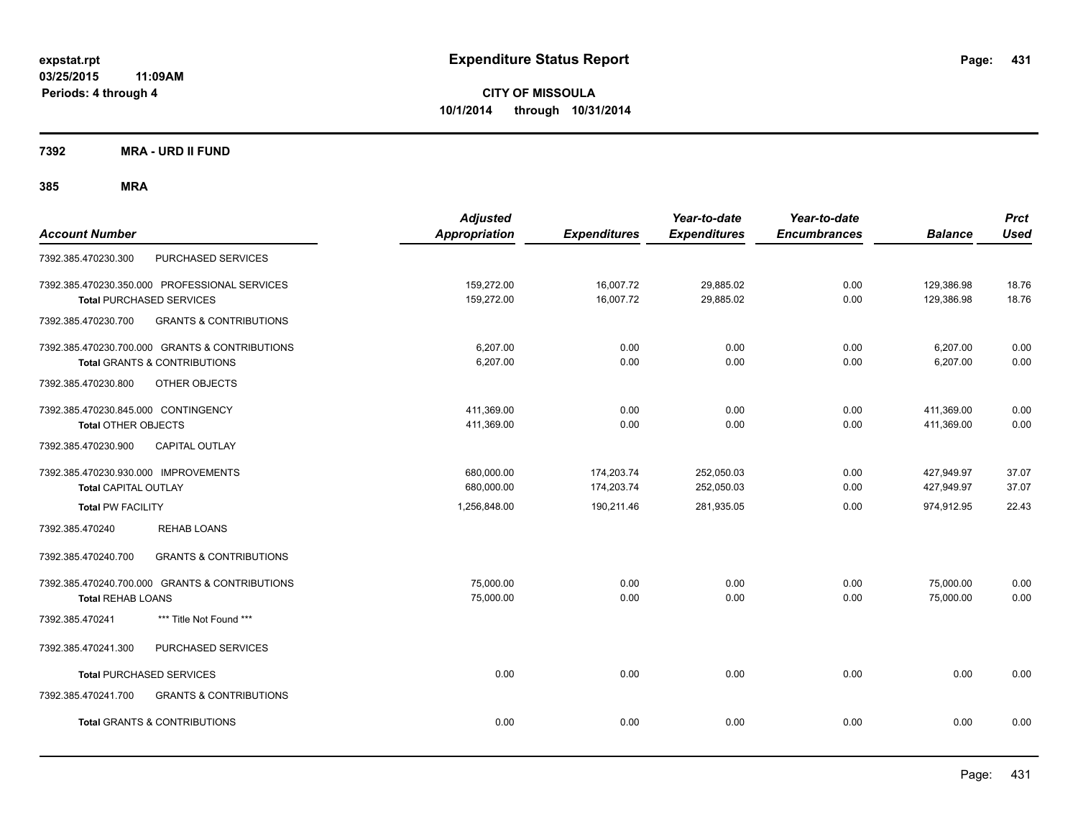**7392 MRA - URD II FUND**

| <b>Account Number</b>                                                                     | <b>Adjusted</b><br><b>Appropriation</b> | <b>Expenditures</b>      | Year-to-date<br><b>Expenditures</b> | Year-to-date<br><b>Encumbrances</b> | <b>Balance</b>           | <b>Prct</b><br><b>Used</b> |
|-------------------------------------------------------------------------------------------|-----------------------------------------|--------------------------|-------------------------------------|-------------------------------------|--------------------------|----------------------------|
| PURCHASED SERVICES<br>7392.385.470230.300                                                 |                                         |                          |                                     |                                     |                          |                            |
| 7392.385.470230.350.000 PROFESSIONAL SERVICES<br><b>Total PURCHASED SERVICES</b>          | 159,272.00<br>159,272.00                | 16,007.72<br>16,007.72   | 29,885.02<br>29,885.02              | 0.00<br>0.00                        | 129,386.98<br>129,386.98 | 18.76<br>18.76             |
| 7392.385.470230.700<br><b>GRANTS &amp; CONTRIBUTIONS</b>                                  |                                         |                          |                                     |                                     |                          |                            |
| 7392.385.470230.700.000 GRANTS & CONTRIBUTIONS<br><b>Total GRANTS &amp; CONTRIBUTIONS</b> | 6,207.00<br>6,207.00                    | 0.00<br>0.00             | 0.00<br>0.00                        | 0.00<br>0.00                        | 6,207.00<br>6,207.00     | 0.00<br>0.00               |
| 7392.385.470230.800<br>OTHER OBJECTS                                                      |                                         |                          |                                     |                                     |                          |                            |
| 7392.385.470230.845.000 CONTINGENCY<br><b>Total OTHER OBJECTS</b>                         | 411,369.00<br>411,369.00                | 0.00<br>0.00             | 0.00<br>0.00                        | 0.00<br>0.00                        | 411,369.00<br>411,369.00 | 0.00<br>0.00               |
| 7392.385.470230.900<br><b>CAPITAL OUTLAY</b>                                              |                                         |                          |                                     |                                     |                          |                            |
| 7392.385.470230.930.000 IMPROVEMENTS<br><b>Total CAPITAL OUTLAY</b>                       | 680,000.00<br>680,000.00                | 174,203.74<br>174,203.74 | 252,050.03<br>252,050.03            | 0.00<br>0.00                        | 427,949.97<br>427,949.97 | 37.07<br>37.07             |
| <b>Total PW FACILITY</b>                                                                  | 1,256,848.00                            | 190,211.46               | 281,935.05                          | 0.00                                | 974,912.95               | 22.43                      |
| <b>REHAB LOANS</b><br>7392.385.470240                                                     |                                         |                          |                                     |                                     |                          |                            |
| <b>GRANTS &amp; CONTRIBUTIONS</b><br>7392.385.470240.700                                  |                                         |                          |                                     |                                     |                          |                            |
| 7392.385.470240.700.000 GRANTS & CONTRIBUTIONS<br><b>Total REHAB LOANS</b>                | 75,000.00<br>75,000.00                  | 0.00<br>0.00             | 0.00<br>0.00                        | 0.00<br>0.00                        | 75,000.00<br>75,000.00   | 0.00<br>0.00               |
| 7392.385.470241<br>*** Title Not Found ***                                                |                                         |                          |                                     |                                     |                          |                            |
| PURCHASED SERVICES<br>7392.385.470241.300                                                 |                                         |                          |                                     |                                     |                          |                            |
| <b>Total PURCHASED SERVICES</b>                                                           | 0.00                                    | 0.00                     | 0.00                                | 0.00                                | 0.00                     | 0.00                       |
| 7392.385.470241.700<br><b>GRANTS &amp; CONTRIBUTIONS</b>                                  |                                         |                          |                                     |                                     |                          |                            |
| <b>Total GRANTS &amp; CONTRIBUTIONS</b>                                                   | 0.00                                    | 0.00                     | 0.00                                | 0.00                                | 0.00                     | 0.00                       |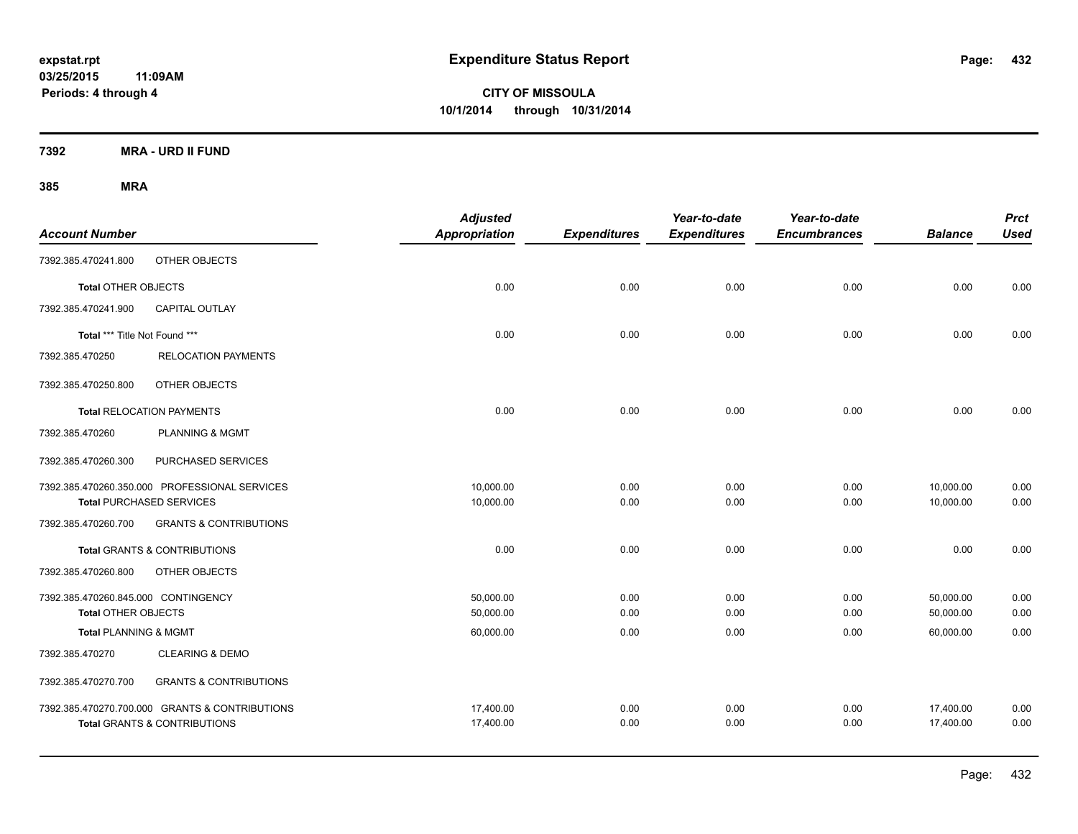**03/25/2015 11:09AM Periods: 4 through 4**

**CITY OF MISSOULA 10/1/2014 through 10/31/2014**

**7392 MRA - URD II FUND**

| <b>Account Number</b>               |                                                | <b>Adjusted</b><br><b>Appropriation</b> | <b>Expenditures</b> | Year-to-date<br><b>Expenditures</b> | Year-to-date<br><b>Encumbrances</b> | <b>Balance</b> | <b>Prct</b><br><b>Used</b> |
|-------------------------------------|------------------------------------------------|-----------------------------------------|---------------------|-------------------------------------|-------------------------------------|----------------|----------------------------|
| 7392.385.470241.800                 | OTHER OBJECTS                                  |                                         |                     |                                     |                                     |                |                            |
| Total OTHER OBJECTS                 |                                                | 0.00                                    | 0.00                | 0.00                                | 0.00                                | 0.00           | 0.00                       |
| 7392.385.470241.900                 | <b>CAPITAL OUTLAY</b>                          |                                         |                     |                                     |                                     |                |                            |
| Total *** Title Not Found ***       |                                                | 0.00                                    | 0.00                | 0.00                                | 0.00                                | 0.00           | 0.00                       |
| 7392.385.470250                     | <b>RELOCATION PAYMENTS</b>                     |                                         |                     |                                     |                                     |                |                            |
| 7392.385.470250.800                 | OTHER OBJECTS                                  |                                         |                     |                                     |                                     |                |                            |
|                                     | <b>Total RELOCATION PAYMENTS</b>               | 0.00                                    | 0.00                | 0.00                                | 0.00                                | 0.00           | 0.00                       |
| 7392.385.470260                     | <b>PLANNING &amp; MGMT</b>                     |                                         |                     |                                     |                                     |                |                            |
| 7392.385.470260.300                 | PURCHASED SERVICES                             |                                         |                     |                                     |                                     |                |                            |
|                                     | 7392.385.470260.350.000 PROFESSIONAL SERVICES  | 10,000.00                               | 0.00                | 0.00                                | 0.00                                | 10,000.00      | 0.00                       |
|                                     | <b>Total PURCHASED SERVICES</b>                | 10,000.00                               | 0.00                | 0.00                                | 0.00                                | 10,000.00      | 0.00                       |
| 7392.385.470260.700                 | <b>GRANTS &amp; CONTRIBUTIONS</b>              |                                         |                     |                                     |                                     |                |                            |
|                                     | <b>Total GRANTS &amp; CONTRIBUTIONS</b>        | 0.00                                    | 0.00                | 0.00                                | 0.00                                | 0.00           | 0.00                       |
| 7392.385.470260.800                 | OTHER OBJECTS                                  |                                         |                     |                                     |                                     |                |                            |
| 7392.385.470260.845.000 CONTINGENCY |                                                | 50,000.00                               | 0.00                | 0.00                                | 0.00                                | 50,000.00      | 0.00                       |
| <b>Total OTHER OBJECTS</b>          |                                                | 50,000.00                               | 0.00                | 0.00                                | 0.00                                | 50,000.00      | 0.00                       |
| <b>Total PLANNING &amp; MGMT</b>    |                                                | 60,000.00                               | 0.00                | 0.00                                | 0.00                                | 60,000.00      | 0.00                       |
| 7392.385.470270                     | <b>CLEARING &amp; DEMO</b>                     |                                         |                     |                                     |                                     |                |                            |
| 7392.385.470270.700                 | <b>GRANTS &amp; CONTRIBUTIONS</b>              |                                         |                     |                                     |                                     |                |                            |
|                                     | 7392.385.470270.700.000 GRANTS & CONTRIBUTIONS | 17,400.00                               | 0.00                | 0.00                                | 0.00                                | 17,400.00      | 0.00                       |
|                                     | <b>Total GRANTS &amp; CONTRIBUTIONS</b>        | 17,400.00                               | 0.00                | 0.00                                | 0.00                                | 17,400.00      | 0.00                       |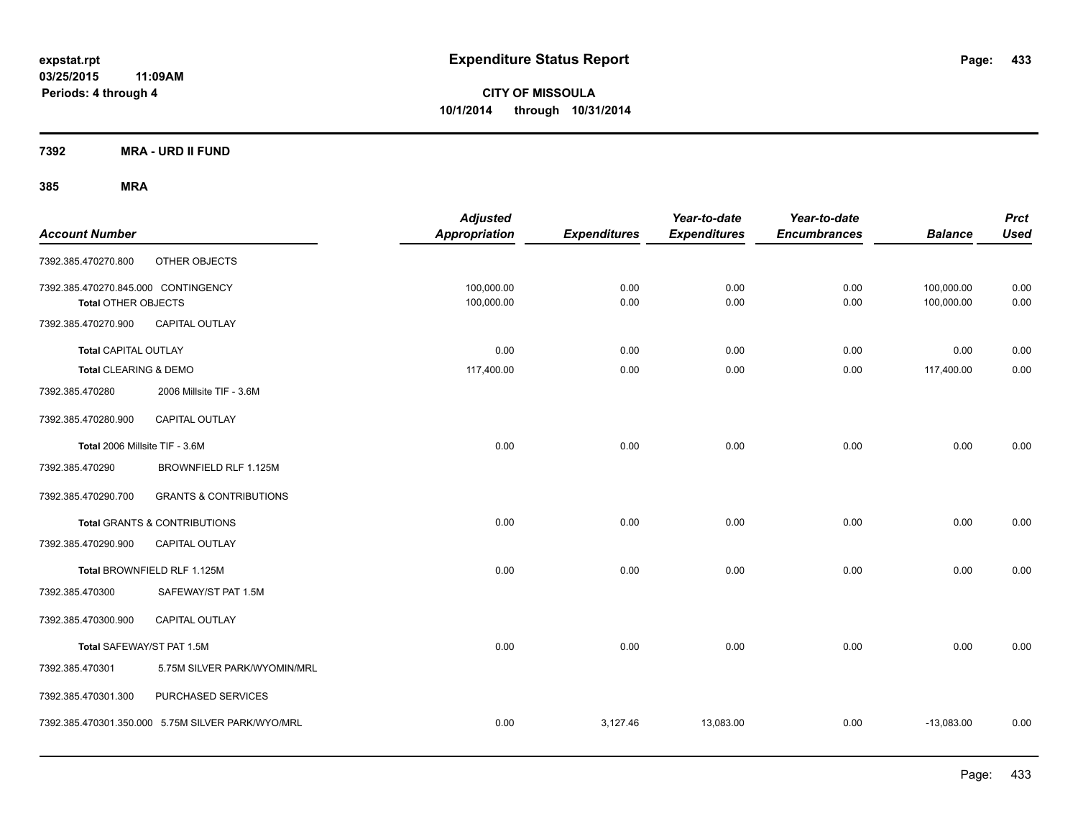**7392 MRA - URD II FUND**

| <b>Account Number</b>                                             |                                                   | <b>Adjusted</b><br><b>Appropriation</b> | <b>Expenditures</b> | Year-to-date<br><b>Expenditures</b> | Year-to-date<br><b>Encumbrances</b> | <b>Balance</b>           | <b>Prct</b><br><b>Used</b> |
|-------------------------------------------------------------------|---------------------------------------------------|-----------------------------------------|---------------------|-------------------------------------|-------------------------------------|--------------------------|----------------------------|
| 7392.385.470270.800                                               | OTHER OBJECTS                                     |                                         |                     |                                     |                                     |                          |                            |
| 7392.385.470270.845.000 CONTINGENCY<br><b>Total OTHER OBJECTS</b> |                                                   | 100,000.00<br>100,000.00                | 0.00<br>0.00        | 0.00<br>0.00                        | 0.00<br>0.00                        | 100,000.00<br>100,000.00 | 0.00<br>0.00               |
| 7392.385.470270.900                                               | CAPITAL OUTLAY                                    |                                         |                     |                                     |                                     |                          |                            |
| <b>Total CAPITAL OUTLAY</b>                                       |                                                   | 0.00                                    | 0.00                | 0.00                                | 0.00                                | 0.00                     | 0.00                       |
| Total CLEARING & DEMO<br>7392.385.470280                          | 2006 Millsite TIF - 3.6M                          | 117,400.00                              | 0.00                | 0.00                                | 0.00                                | 117,400.00               | 0.00                       |
| 7392.385.470280.900                                               | <b>CAPITAL OUTLAY</b>                             |                                         |                     |                                     |                                     |                          |                            |
| Total 2006 Millsite TIF - 3.6M                                    |                                                   | 0.00                                    | 0.00                | 0.00                                | 0.00                                | 0.00                     | 0.00                       |
| 7392.385.470290                                                   | BROWNFIELD RLF 1.125M                             |                                         |                     |                                     |                                     |                          |                            |
| 7392.385.470290.700                                               | <b>GRANTS &amp; CONTRIBUTIONS</b>                 |                                         |                     |                                     |                                     |                          |                            |
|                                                                   | Total GRANTS & CONTRIBUTIONS                      | 0.00                                    | 0.00                | 0.00                                | 0.00                                | 0.00                     | 0.00                       |
| 7392.385.470290.900                                               | <b>CAPITAL OUTLAY</b>                             |                                         |                     |                                     |                                     |                          |                            |
|                                                                   | Total BROWNFIELD RLF 1.125M                       | 0.00                                    | 0.00                | 0.00                                | 0.00                                | 0.00                     | 0.00                       |
| 7392.385.470300                                                   | SAFEWAY/ST PAT 1.5M                               |                                         |                     |                                     |                                     |                          |                            |
| 7392.385.470300.900                                               | <b>CAPITAL OUTLAY</b>                             |                                         |                     |                                     |                                     |                          |                            |
| Total SAFEWAY/ST PAT 1.5M                                         |                                                   | 0.00                                    | 0.00                | 0.00                                | 0.00                                | 0.00                     | 0.00                       |
| 7392.385.470301                                                   | 5.75M SILVER PARK/WYOMIN/MRL                      |                                         |                     |                                     |                                     |                          |                            |
| 7392.385.470301.300                                               | PURCHASED SERVICES                                |                                         |                     |                                     |                                     |                          |                            |
|                                                                   | 7392.385.470301.350.000 5.75M SILVER PARK/WYO/MRL | 0.00                                    | 3,127.46            | 13,083.00                           | 0.00                                | $-13,083.00$             | 0.00                       |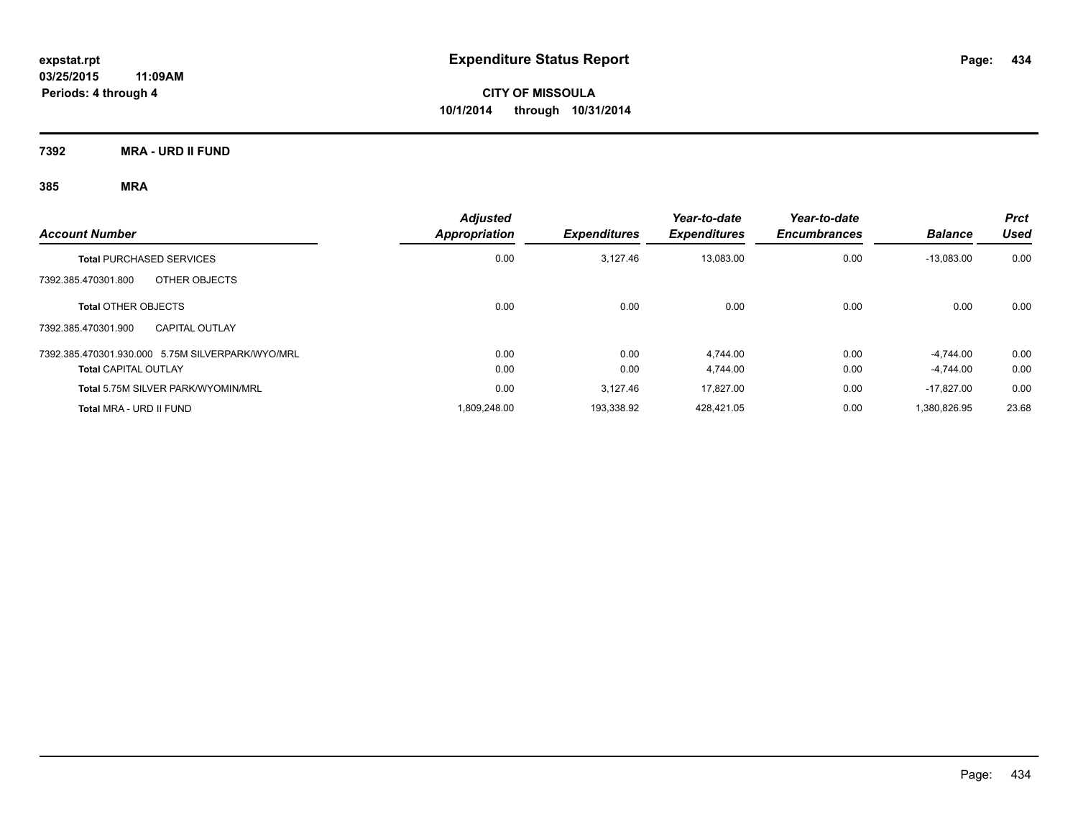**7392 MRA - URD II FUND**

| <b>Account Number</b>                            | <b>Adjusted</b><br>Appropriation | <b>Expenditures</b> | Year-to-date<br><b>Expenditures</b> | Year-to-date<br><b>Encumbrances</b> | <b>Balance</b> | <b>Prct</b><br>Used |
|--------------------------------------------------|----------------------------------|---------------------|-------------------------------------|-------------------------------------|----------------|---------------------|
| <b>Total PURCHASED SERVICES</b>                  | 0.00                             | 3.127.46            | 13,083.00                           | 0.00                                | $-13,083.00$   | 0.00                |
| OTHER OBJECTS<br>7392.385.470301.800             |                                  |                     |                                     |                                     |                |                     |
| <b>Total OTHER OBJECTS</b>                       | 0.00                             | 0.00                | 0.00                                | 0.00                                | 0.00           | 0.00                |
| 7392.385.470301.900<br><b>CAPITAL OUTLAY</b>     |                                  |                     |                                     |                                     |                |                     |
| 7392.385.470301.930.000 5.75M SILVERPARK/WYO/MRL | 0.00                             | 0.00                | 4.744.00                            | 0.00                                | $-4.744.00$    | 0.00                |
| <b>Total CAPITAL OUTLAY</b>                      | 0.00                             | 0.00                | 4.744.00                            | 0.00                                | $-4.744.00$    | 0.00                |
| Total 5.75M SILVER PARK/WYOMIN/MRL               | 0.00                             | 3,127.46            | 17.827.00                           | 0.00                                | $-17.827.00$   | 0.00                |
| Total MRA - URD II FUND                          | 1.809.248.00                     | 193.338.92          | 428.421.05                          | 0.00                                | 1.380.826.95   | 23.68               |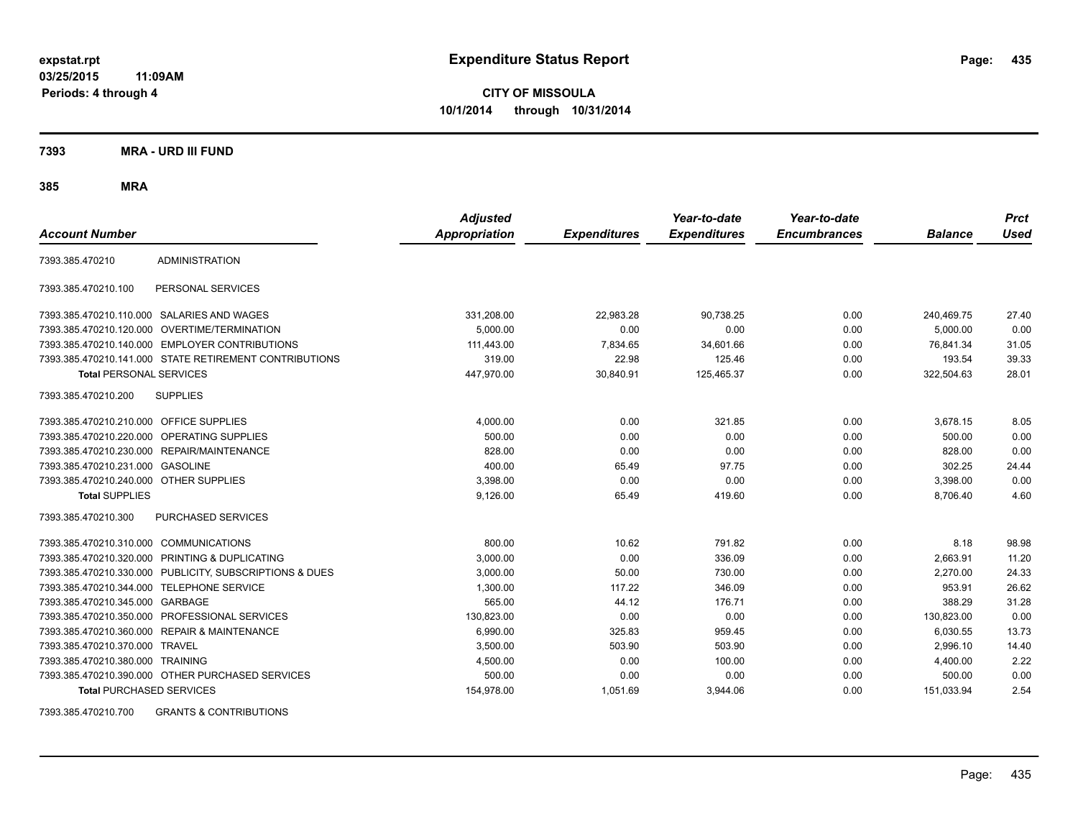**CITY OF MISSOULA 10/1/2014 through 10/31/2014**

**7393 MRA - URD III FUND**

**385 MRA**

| <b>Account Number</b>                   |                                                         | <b>Adjusted</b><br><b>Appropriation</b> | <b>Expenditures</b> | Year-to-date<br><b>Expenditures</b> | Year-to-date<br><b>Encumbrances</b> | <b>Balance</b> | <b>Prct</b><br><b>Used</b> |
|-----------------------------------------|---------------------------------------------------------|-----------------------------------------|---------------------|-------------------------------------|-------------------------------------|----------------|----------------------------|
| 7393.385.470210                         | <b>ADMINISTRATION</b>                                   |                                         |                     |                                     |                                     |                |                            |
| 7393.385.470210.100                     | PERSONAL SERVICES                                       |                                         |                     |                                     |                                     |                |                            |
|                                         | 7393.385.470210.110.000 SALARIES AND WAGES              | 331,208.00                              | 22,983.28           | 90,738.25                           | 0.00                                | 240.469.75     | 27.40                      |
|                                         | 7393.385.470210.120.000 OVERTIME/TERMINATION            | 5.000.00                                | 0.00                | 0.00                                | 0.00                                | 5.000.00       | 0.00                       |
|                                         | 7393.385.470210.140.000 EMPLOYER CONTRIBUTIONS          | 111,443.00                              | 7,834.65            | 34,601.66                           | 0.00                                | 76,841.34      | 31.05                      |
|                                         | 7393.385.470210.141.000 STATE RETIREMENT CONTRIBUTIONS  | 319.00                                  | 22.98               | 125.46                              | 0.00                                | 193.54         | 39.33                      |
| <b>Total PERSONAL SERVICES</b>          |                                                         | 447,970.00                              | 30,840.91           | 125,465.37                          | 0.00                                | 322,504.63     | 28.01                      |
| 7393.385.470210.200                     | <b>SUPPLIES</b>                                         |                                         |                     |                                     |                                     |                |                            |
| 7393.385.470210.210.000 OFFICE SUPPLIES |                                                         | 4,000.00                                | 0.00                | 321.85                              | 0.00                                | 3,678.15       | 8.05                       |
|                                         | 7393.385.470210.220.000 OPERATING SUPPLIES              | 500.00                                  | 0.00                | 0.00                                | 0.00                                | 500.00         | 0.00                       |
| 7393.385.470210.230.000                 | REPAIR/MAINTENANCE                                      | 828.00                                  | 0.00                | 0.00                                | 0.00                                | 828.00         | 0.00                       |
| 7393.385.470210.231.000                 | <b>GASOLINE</b>                                         | 400.00                                  | 65.49               | 97.75                               | 0.00                                | 302.25         | 24.44                      |
| 7393.385.470210.240.000 OTHER SUPPLIES  |                                                         | 3,398.00                                | 0.00                | 0.00                                | 0.00                                | 3,398.00       | 0.00                       |
| <b>Total SUPPLIES</b>                   |                                                         | 9,126.00                                | 65.49               | 419.60                              | 0.00                                | 8,706.40       | 4.60                       |
| 7393.385.470210.300                     | <b>PURCHASED SERVICES</b>                               |                                         |                     |                                     |                                     |                |                            |
| 7393.385.470210.310.000                 | <b>COMMUNICATIONS</b>                                   | 800.00                                  | 10.62               | 791.82                              | 0.00                                | 8.18           | 98.98                      |
| 7393.385.470210.320.000                 | PRINTING & DUPLICATING                                  | 3,000.00                                | 0.00                | 336.09                              | 0.00                                | 2,663.91       | 11.20                      |
|                                         | 7393.385.470210.330.000 PUBLICITY, SUBSCRIPTIONS & DUES | 3,000.00                                | 50.00               | 730.00                              | 0.00                                | 2,270.00       | 24.33                      |
| 7393.385.470210.344.000                 | TELEPHONE SERVICE                                       | 1,300.00                                | 117.22              | 346.09                              | 0.00                                | 953.91         | 26.62                      |
| 7393.385.470210.345.000 GARBAGE         |                                                         | 565.00                                  | 44.12               | 176.71                              | 0.00                                | 388.29         | 31.28                      |
|                                         | 7393.385.470210.350.000 PROFESSIONAL SERVICES           | 130.823.00                              | 0.00                | 0.00                                | 0.00                                | 130,823.00     | 0.00                       |
|                                         | 7393.385.470210.360.000 REPAIR & MAINTENANCE            | 6,990.00                                | 325.83              | 959.45                              | 0.00                                | 6,030.55       | 13.73                      |
| 7393.385.470210.370.000 TRAVEL          |                                                         | 3,500.00                                | 503.90              | 503.90                              | 0.00                                | 2,996.10       | 14.40                      |
| 7393.385.470210.380.000 TRAINING        |                                                         | 4,500.00                                | 0.00                | 100.00                              | 0.00                                | 4,400.00       | 2.22                       |
|                                         | 7393.385.470210.390.000 OTHER PURCHASED SERVICES        | 500.00                                  | 0.00                | 0.00                                | 0.00                                | 500.00         | 0.00                       |
| <b>Total PURCHASED SERVICES</b>         |                                                         | 154,978.00                              | 1,051.69            | 3,944.06                            | 0.00                                | 151,033.94     | 2.54                       |

7393.385.470210.700 GRANTS & CONTRIBUTIONS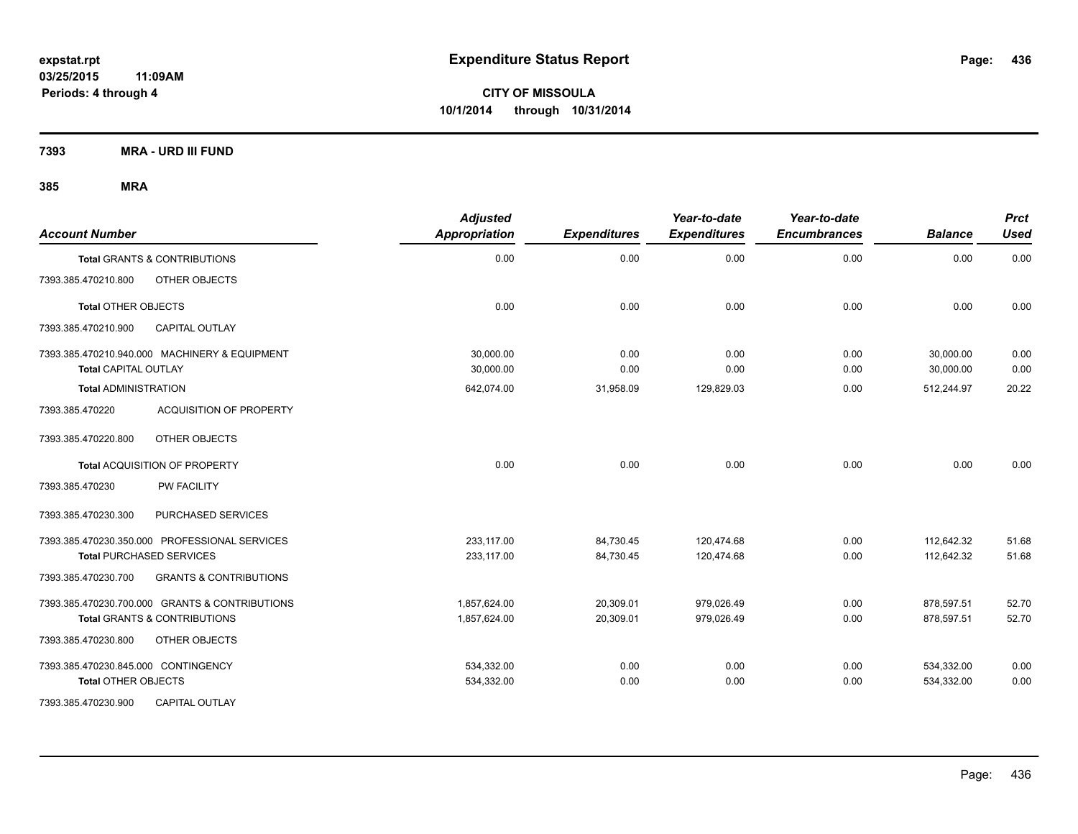**7393 MRA - URD III FUND**

| <b>Account Number</b>                                                        | <b>Adjusted</b><br><b>Appropriation</b> | <b>Expenditures</b> | Year-to-date<br><b>Expenditures</b> | Year-to-date<br><b>Encumbrances</b> | <b>Balance</b>         | <b>Prct</b><br><b>Used</b> |
|------------------------------------------------------------------------------|-----------------------------------------|---------------------|-------------------------------------|-------------------------------------|------------------------|----------------------------|
| Total GRANTS & CONTRIBUTIONS                                                 | 0.00                                    | 0.00                | 0.00                                | 0.00                                | 0.00                   | 0.00                       |
| 7393.385.470210.800<br>OTHER OBJECTS                                         |                                         |                     |                                     |                                     |                        |                            |
| <b>Total OTHER OBJECTS</b>                                                   | 0.00                                    | 0.00                | 0.00                                | 0.00                                | 0.00                   | 0.00                       |
| <b>CAPITAL OUTLAY</b><br>7393.385.470210.900                                 |                                         |                     |                                     |                                     |                        |                            |
| 7393.385.470210.940.000 MACHINERY & EQUIPMENT<br><b>Total CAPITAL OUTLAY</b> | 30,000.00<br>30,000.00                  | 0.00<br>0.00        | 0.00<br>0.00                        | 0.00<br>0.00                        | 30,000.00<br>30,000.00 | 0.00<br>0.00               |
| <b>Total ADMINISTRATION</b>                                                  | 642,074.00                              | 31,958.09           | 129,829.03                          | 0.00                                | 512,244.97             | 20.22                      |
| 7393.385.470220<br><b>ACQUISITION OF PROPERTY</b>                            |                                         |                     |                                     |                                     |                        |                            |
| 7393.385.470220.800<br>OTHER OBJECTS                                         |                                         |                     |                                     |                                     |                        |                            |
| Total ACQUISITION OF PROPERTY                                                | 0.00                                    | 0.00                | 0.00                                | 0.00                                | 0.00                   | 0.00                       |
| 7393.385.470230<br><b>PW FACILITY</b>                                        |                                         |                     |                                     |                                     |                        |                            |
| PURCHASED SERVICES<br>7393.385.470230.300                                    |                                         |                     |                                     |                                     |                        |                            |
| 7393.385.470230.350.000 PROFESSIONAL SERVICES                                | 233.117.00                              | 84,730.45           | 120.474.68                          | 0.00                                | 112.642.32             | 51.68                      |
| <b>Total PURCHASED SERVICES</b>                                              | 233,117.00                              | 84,730.45           | 120,474.68                          | 0.00                                | 112,642.32             | 51.68                      |
| 7393.385.470230.700<br><b>GRANTS &amp; CONTRIBUTIONS</b>                     |                                         |                     |                                     |                                     |                        |                            |
| 7393.385.470230.700.000 GRANTS & CONTRIBUTIONS                               | 1,857,624.00                            | 20,309.01           | 979,026.49                          | 0.00                                | 878,597.51             | 52.70                      |
| <b>Total GRANTS &amp; CONTRIBUTIONS</b>                                      | 1,857,624.00                            | 20,309.01           | 979,026.49                          | 0.00                                | 878,597.51             | 52.70                      |
| 7393.385.470230.800<br>OTHER OBJECTS                                         |                                         |                     |                                     |                                     |                        |                            |
| 7393.385.470230.845.000 CONTINGENCY                                          | 534,332.00                              | 0.00                | 0.00                                | 0.00                                | 534,332.00             | 0.00                       |
| <b>Total OTHER OBJECTS</b>                                                   | 534,332.00                              | 0.00                | 0.00                                | 0.00                                | 534,332.00             | 0.00                       |
| 7393.385.470230.900<br><b>CAPITAL OUTLAY</b>                                 |                                         |                     |                                     |                                     |                        |                            |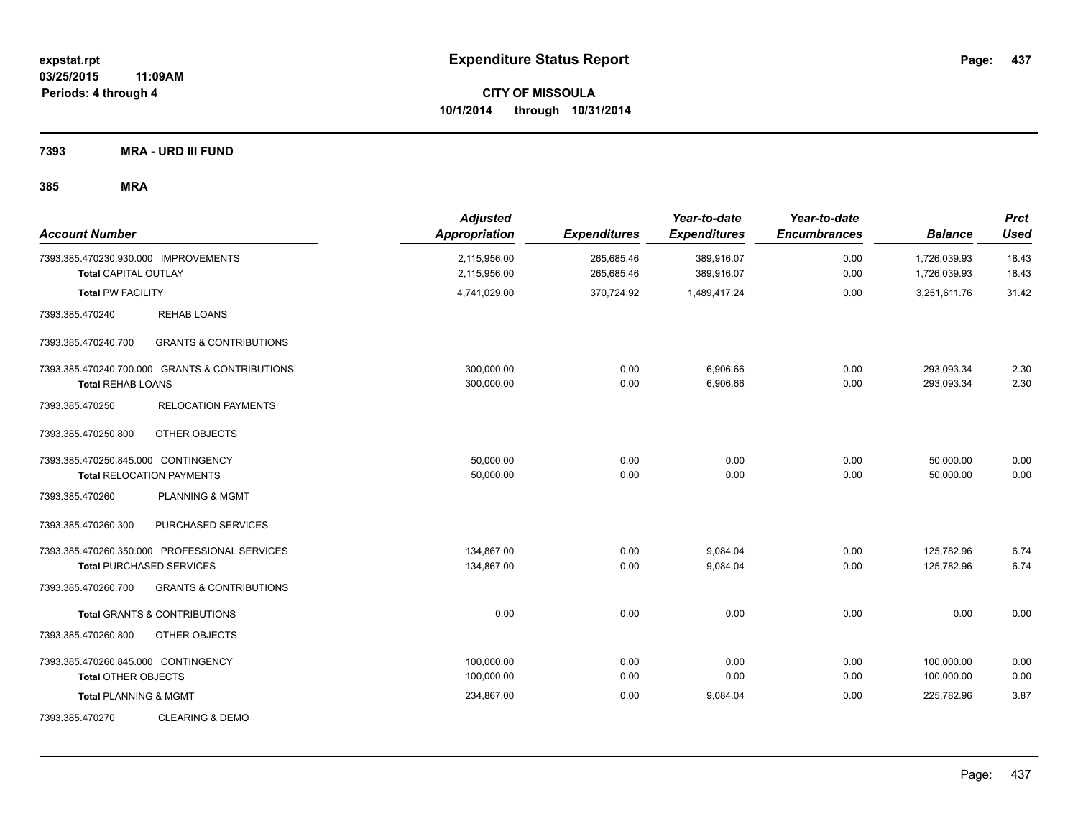**7393 MRA - URD III FUND**

| <b>Account Number</b>                                               |                                                                                  | <b>Adjusted</b><br>Appropriation | <b>Expenditures</b>      | Year-to-date<br><b>Expenditures</b> | Year-to-date<br><b>Encumbrances</b> | <b>Balance</b>               | <b>Prct</b><br><b>Used</b> |
|---------------------------------------------------------------------|----------------------------------------------------------------------------------|----------------------------------|--------------------------|-------------------------------------|-------------------------------------|------------------------------|----------------------------|
| 7393.385.470230.930.000 IMPROVEMENTS<br><b>Total CAPITAL OUTLAY</b> |                                                                                  | 2,115,956.00<br>2,115,956.00     | 265,685.46<br>265,685.46 | 389,916.07<br>389,916.07            | 0.00<br>0.00                        | 1,726,039.93<br>1,726,039.93 | 18.43<br>18.43             |
| <b>Total PW FACILITY</b>                                            |                                                                                  | 4,741,029.00                     | 370,724.92               | 1,489,417.24                        | 0.00                                | 3,251,611.76                 | 31.42                      |
| 7393.385.470240                                                     | <b>REHAB LOANS</b>                                                               |                                  |                          |                                     |                                     |                              |                            |
| 7393.385.470240.700                                                 | <b>GRANTS &amp; CONTRIBUTIONS</b>                                                |                                  |                          |                                     |                                     |                              |                            |
| <b>Total REHAB LOANS</b>                                            | 7393.385.470240.700.000 GRANTS & CONTRIBUTIONS                                   | 300,000.00<br>300,000.00         | 0.00<br>0.00             | 6,906.66<br>6,906.66                | 0.00<br>0.00                        | 293,093.34<br>293,093.34     | 2.30<br>2.30               |
| 7393.385.470250                                                     | <b>RELOCATION PAYMENTS</b>                                                       |                                  |                          |                                     |                                     |                              |                            |
| 7393.385.470250.800                                                 | OTHER OBJECTS                                                                    |                                  |                          |                                     |                                     |                              |                            |
| 7393.385.470250.845.000 CONTINGENCY                                 | <b>Total RELOCATION PAYMENTS</b>                                                 | 50,000.00<br>50,000.00           | 0.00<br>0.00             | 0.00<br>0.00                        | 0.00<br>0.00                        | 50,000.00<br>50,000.00       | 0.00<br>0.00               |
| 7393.385.470260                                                     | <b>PLANNING &amp; MGMT</b>                                                       |                                  |                          |                                     |                                     |                              |                            |
| 7393.385.470260.300                                                 | PURCHASED SERVICES                                                               |                                  |                          |                                     |                                     |                              |                            |
|                                                                     | 7393.385.470260.350.000 PROFESSIONAL SERVICES<br><b>Total PURCHASED SERVICES</b> | 134,867.00<br>134,867.00         | 0.00<br>0.00             | 9,084.04<br>9,084.04                | 0.00<br>0.00                        | 125,782.96<br>125,782.96     | 6.74<br>6.74               |
| 7393.385.470260.700                                                 | <b>GRANTS &amp; CONTRIBUTIONS</b>                                                |                                  |                          |                                     |                                     |                              |                            |
|                                                                     | <b>Total GRANTS &amp; CONTRIBUTIONS</b>                                          | 0.00                             | 0.00                     | 0.00                                | 0.00                                | 0.00                         | 0.00                       |
| 7393.385.470260.800                                                 | OTHER OBJECTS                                                                    |                                  |                          |                                     |                                     |                              |                            |
| 7393.385.470260.845.000 CONTINGENCY<br><b>Total OTHER OBJECTS</b>   |                                                                                  | 100,000.00<br>100,000.00         | 0.00<br>0.00             | 0.00<br>0.00                        | 0.00<br>0.00                        | 100,000.00<br>100,000.00     | 0.00<br>0.00               |
| <b>Total PLANNING &amp; MGMT</b>                                    |                                                                                  | 234,867.00                       | 0.00                     | 9,084.04                            | 0.00                                | 225,782.96                   | 3.87                       |
| 7393.385.470270                                                     | <b>CLEARING &amp; DEMO</b>                                                       |                                  |                          |                                     |                                     |                              |                            |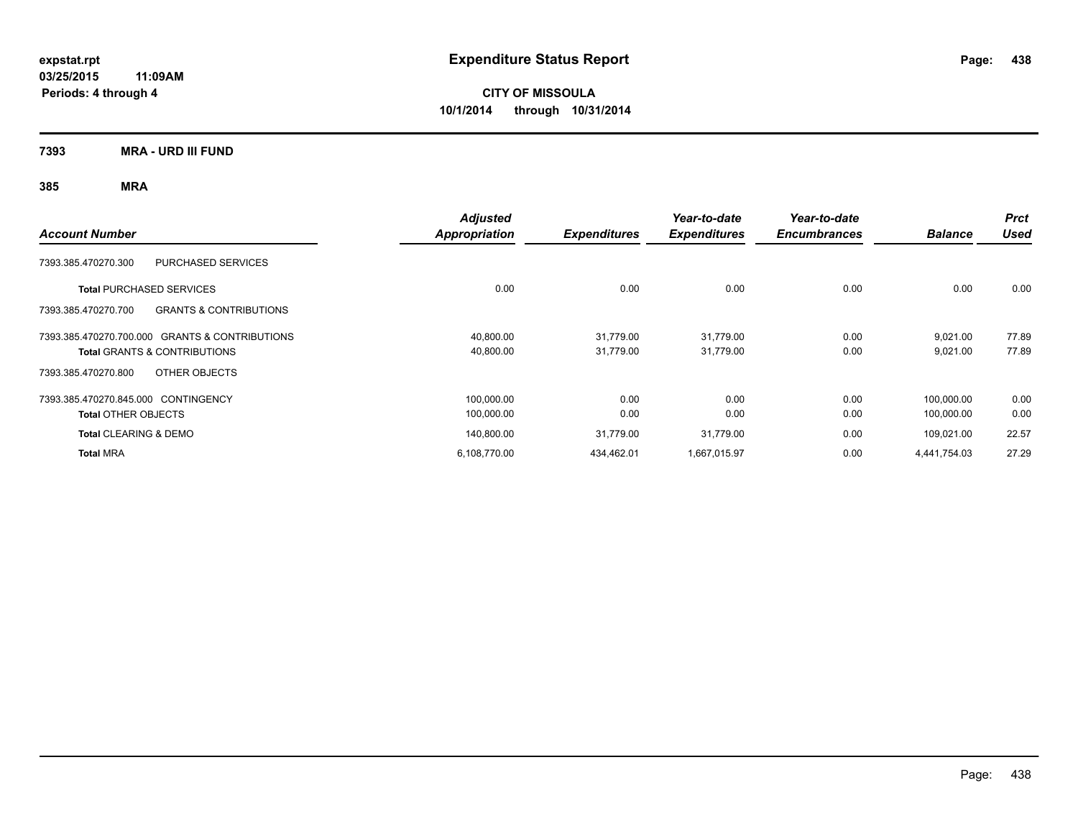**CITY OF MISSOULA 10/1/2014 through 10/31/2014**

**7393 MRA - URD III FUND**

| <b>Account Number</b>                                    | <b>Adjusted</b><br><b>Appropriation</b> | <b>Expenditures</b> | Year-to-date<br><b>Expenditures</b> | Year-to-date<br><b>Encumbrances</b> | <b>Balance</b> | <b>Prct</b><br><b>Used</b> |
|----------------------------------------------------------|-----------------------------------------|---------------------|-------------------------------------|-------------------------------------|----------------|----------------------------|
| 7393.385.470270.300<br><b>PURCHASED SERVICES</b>         |                                         |                     |                                     |                                     |                |                            |
| <b>Total PURCHASED SERVICES</b>                          | 0.00                                    | 0.00                | 0.00                                | 0.00                                | 0.00           | 0.00                       |
| <b>GRANTS &amp; CONTRIBUTIONS</b><br>7393.385.470270.700 |                                         |                     |                                     |                                     |                |                            |
| 7393.385.470270.700.000 GRANTS & CONTRIBUTIONS           | 40,800.00                               | 31,779.00           | 31,779.00                           | 0.00                                | 9,021.00       | 77.89                      |
| <b>Total GRANTS &amp; CONTRIBUTIONS</b>                  | 40,800.00                               | 31,779.00           | 31,779.00                           | 0.00                                | 9,021.00       | 77.89                      |
| OTHER OBJECTS<br>7393.385.470270.800                     |                                         |                     |                                     |                                     |                |                            |
| 7393.385.470270.845.000 CONTINGENCY                      | 100,000.00                              | 0.00                | 0.00                                | 0.00                                | 100,000.00     | 0.00                       |
| <b>Total OTHER OBJECTS</b>                               | 100,000.00                              | 0.00                | 0.00                                | 0.00                                | 100,000.00     | 0.00                       |
| <b>Total CLEARING &amp; DEMO</b>                         | 140,800.00                              | 31.779.00           | 31,779.00                           | 0.00                                | 109,021.00     | 22.57                      |
| <b>Total MRA</b>                                         | 6,108,770.00                            | 434,462.01          | 1,667,015.97                        | 0.00                                | 4,441,754.03   | 27.29                      |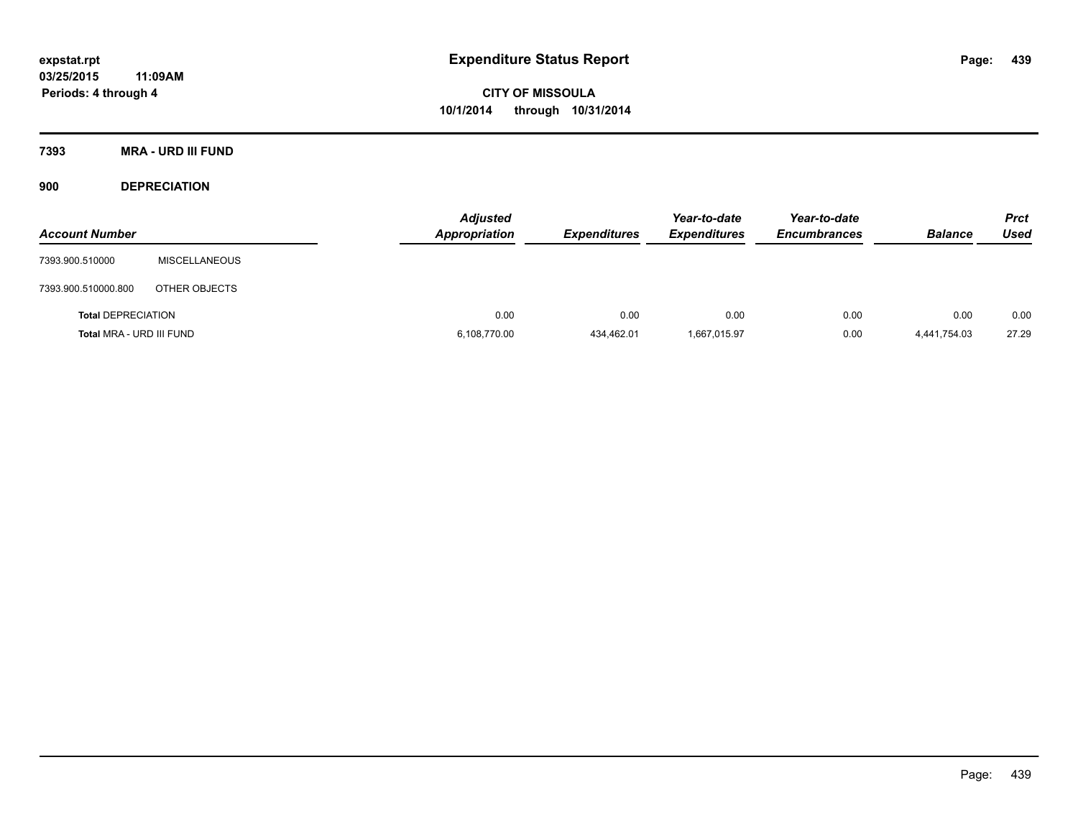**7393 MRA - URD III FUND**

**900 DEPRECIATION**

| <b>Account Number</b>     |                      | <b>Adjusted</b><br><b>Appropriation</b> | <b>Expenditures</b> | Year-to-date<br><b>Expenditures</b> | Year-to-date<br><b>Encumbrances</b> | <b>Balance</b> | <b>Prct</b><br><b>Used</b> |
|---------------------------|----------------------|-----------------------------------------|---------------------|-------------------------------------|-------------------------------------|----------------|----------------------------|
| 7393.900.510000           | <b>MISCELLANEOUS</b> |                                         |                     |                                     |                                     |                |                            |
| 7393.900.510000.800       | OTHER OBJECTS        |                                         |                     |                                     |                                     |                |                            |
| <b>Total DEPRECIATION</b> |                      | 0.00                                    | 0.00                | 0.00                                | 0.00                                | 0.00           | 0.00                       |
| Total MRA - URD III FUND  |                      | 6,108,770.00                            | 434,462.01          | 1,667,015.97                        | 0.00                                | 4,441,754.03   | 27.29                      |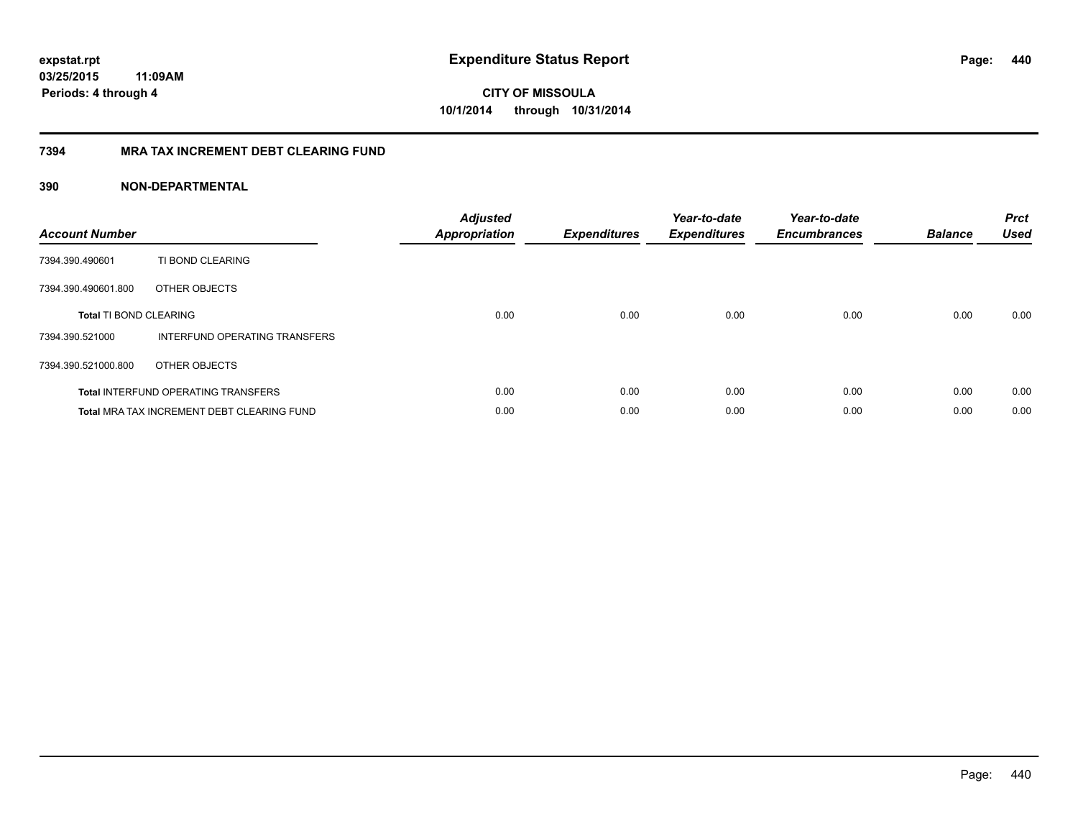# **CITY OF MISSOULA 10/1/2014 through 10/31/2014**

#### **7394 MRA TAX INCREMENT DEBT CLEARING FUND**

| <b>Account Number</b>         |                                                   | <b>Adjusted</b><br>Appropriation | <b>Expenditures</b> | Year-to-date<br><b>Expenditures</b> | Year-to-date<br><b>Encumbrances</b> | <b>Balance</b> | <b>Prct</b><br><b>Used</b> |
|-------------------------------|---------------------------------------------------|----------------------------------|---------------------|-------------------------------------|-------------------------------------|----------------|----------------------------|
| 7394.390.490601               | TI BOND CLEARING                                  |                                  |                     |                                     |                                     |                |                            |
| 7394.390.490601.800           | OTHER OBJECTS                                     |                                  |                     |                                     |                                     |                |                            |
| <b>Total TI BOND CLEARING</b> |                                                   | 0.00                             | 0.00                | 0.00                                | 0.00                                | 0.00           | 0.00                       |
| 7394.390.521000               | INTERFUND OPERATING TRANSFERS                     |                                  |                     |                                     |                                     |                |                            |
| 7394.390.521000.800           | OTHER OBJECTS                                     |                                  |                     |                                     |                                     |                |                            |
|                               | <b>Total INTERFUND OPERATING TRANSFERS</b>        | 0.00                             | 0.00                | 0.00                                | 0.00                                | 0.00           | 0.00                       |
|                               | <b>Total MRA TAX INCREMENT DEBT CLEARING FUND</b> | 0.00                             | 0.00                | 0.00                                | 0.00                                | 0.00           | 0.00                       |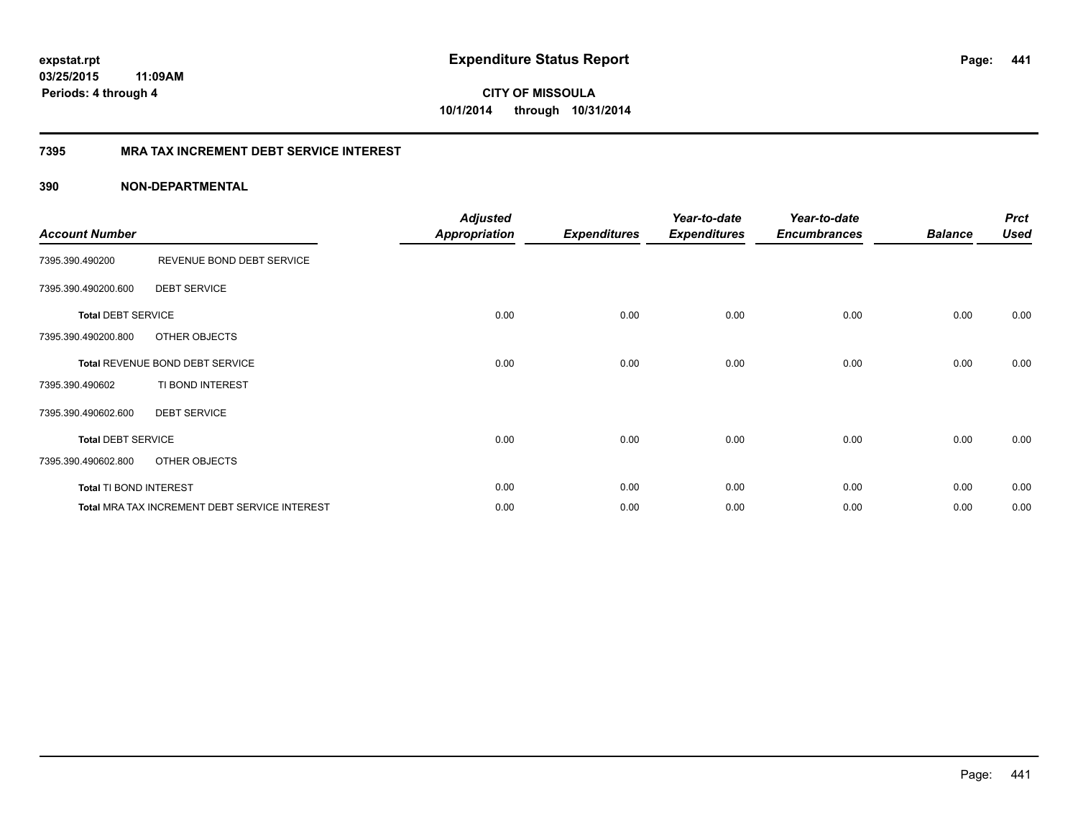**441**

**CITY OF MISSOULA 10/1/2014 through 10/31/2014**

#### **7395 MRA TAX INCREMENT DEBT SERVICE INTEREST**

| <b>Account Number</b>     |                                               | <b>Adjusted</b><br><b>Appropriation</b> | <b>Expenditures</b> | Year-to-date<br><b>Expenditures</b> | Year-to-date<br><b>Encumbrances</b> | <b>Balance</b> | <b>Prct</b><br><b>Used</b> |
|---------------------------|-----------------------------------------------|-----------------------------------------|---------------------|-------------------------------------|-------------------------------------|----------------|----------------------------|
| 7395.390.490200           | REVENUE BOND DEBT SERVICE                     |                                         |                     |                                     |                                     |                |                            |
| 7395.390.490200.600       | <b>DEBT SERVICE</b>                           |                                         |                     |                                     |                                     |                |                            |
| <b>Total DEBT SERVICE</b> |                                               | 0.00                                    | 0.00                | 0.00                                | 0.00                                | 0.00           | 0.00                       |
| 7395.390.490200.800       | OTHER OBJECTS                                 |                                         |                     |                                     |                                     |                |                            |
|                           | Total REVENUE BOND DEBT SERVICE               | 0.00                                    | 0.00                | 0.00                                | 0.00                                | 0.00           | 0.00                       |
| 7395.390.490602           | TI BOND INTEREST                              |                                         |                     |                                     |                                     |                |                            |
| 7395.390.490602.600       | <b>DEBT SERVICE</b>                           |                                         |                     |                                     |                                     |                |                            |
| <b>Total DEBT SERVICE</b> |                                               | 0.00                                    | 0.00                | 0.00                                | 0.00                                | 0.00           | 0.00                       |
| 7395.390.490602.800       | OTHER OBJECTS                                 |                                         |                     |                                     |                                     |                |                            |
| Total TI BOND INTEREST    |                                               | 0.00                                    | 0.00                | 0.00                                | 0.00                                | 0.00           | 0.00                       |
|                           | Total MRA TAX INCREMENT DEBT SERVICE INTEREST | 0.00                                    | 0.00                | 0.00                                | 0.00                                | 0.00           | 0.00                       |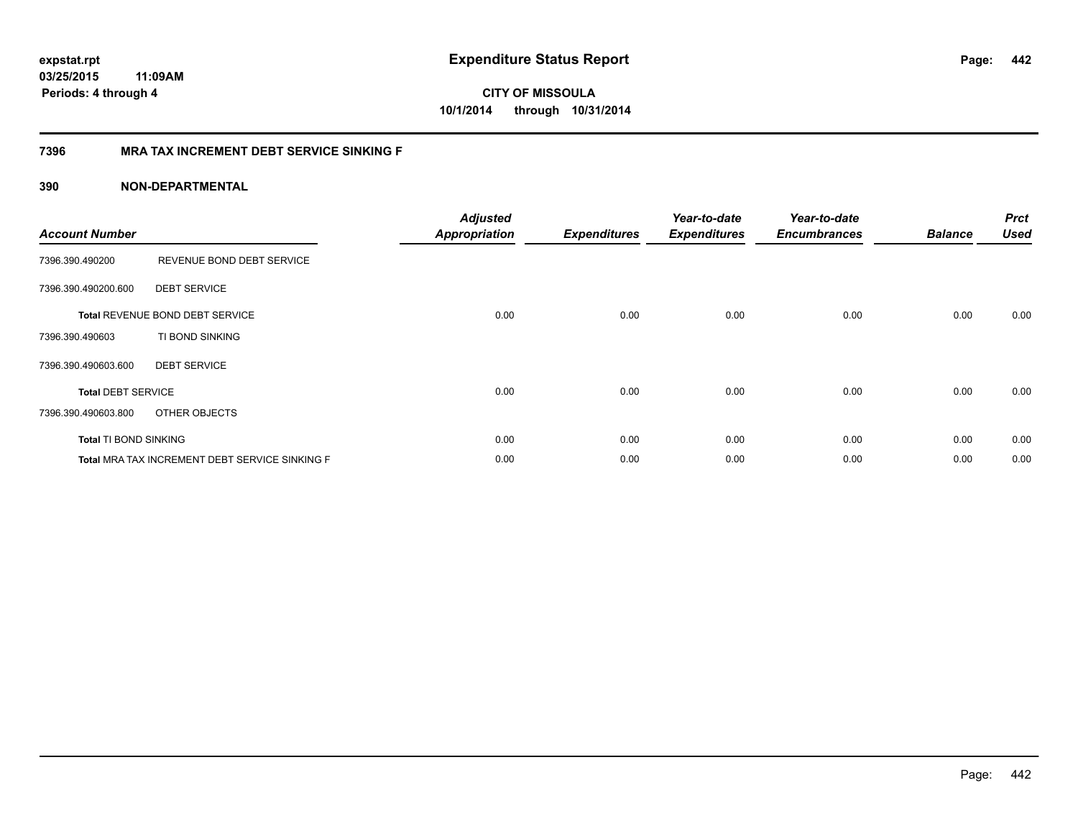**CITY OF MISSOULA 10/1/2014 through 10/31/2014**

#### **7396 MRA TAX INCREMENT DEBT SERVICE SINKING F**

| <b>Account Number</b>        |                                                | <b>Adjusted</b><br>Appropriation | <b>Expenditures</b> | Year-to-date<br><b>Expenditures</b> | Year-to-date<br><b>Encumbrances</b> | <b>Balance</b> | <b>Prct</b><br><b>Used</b> |
|------------------------------|------------------------------------------------|----------------------------------|---------------------|-------------------------------------|-------------------------------------|----------------|----------------------------|
| 7396.390.490200              | REVENUE BOND DEBT SERVICE                      |                                  |                     |                                     |                                     |                |                            |
| 7396.390.490200.600          | <b>DEBT SERVICE</b>                            |                                  |                     |                                     |                                     |                |                            |
|                              | Total REVENUE BOND DEBT SERVICE                | 0.00                             | 0.00                | 0.00                                | 0.00                                | 0.00           | 0.00                       |
| 7396.390.490603              | TI BOND SINKING                                |                                  |                     |                                     |                                     |                |                            |
| 7396.390.490603.600          | <b>DEBT SERVICE</b>                            |                                  |                     |                                     |                                     |                |                            |
| <b>Total DEBT SERVICE</b>    |                                                | 0.00                             | 0.00                | 0.00                                | 0.00                                | 0.00           | 0.00                       |
| 7396.390.490603.800          | OTHER OBJECTS                                  |                                  |                     |                                     |                                     |                |                            |
| <b>Total TI BOND SINKING</b> |                                                | 0.00                             | 0.00                | 0.00                                | 0.00                                | 0.00           | 0.00                       |
|                              | Total MRA TAX INCREMENT DEBT SERVICE SINKING F | 0.00                             | 0.00                | 0.00                                | 0.00                                | 0.00           | 0.00                       |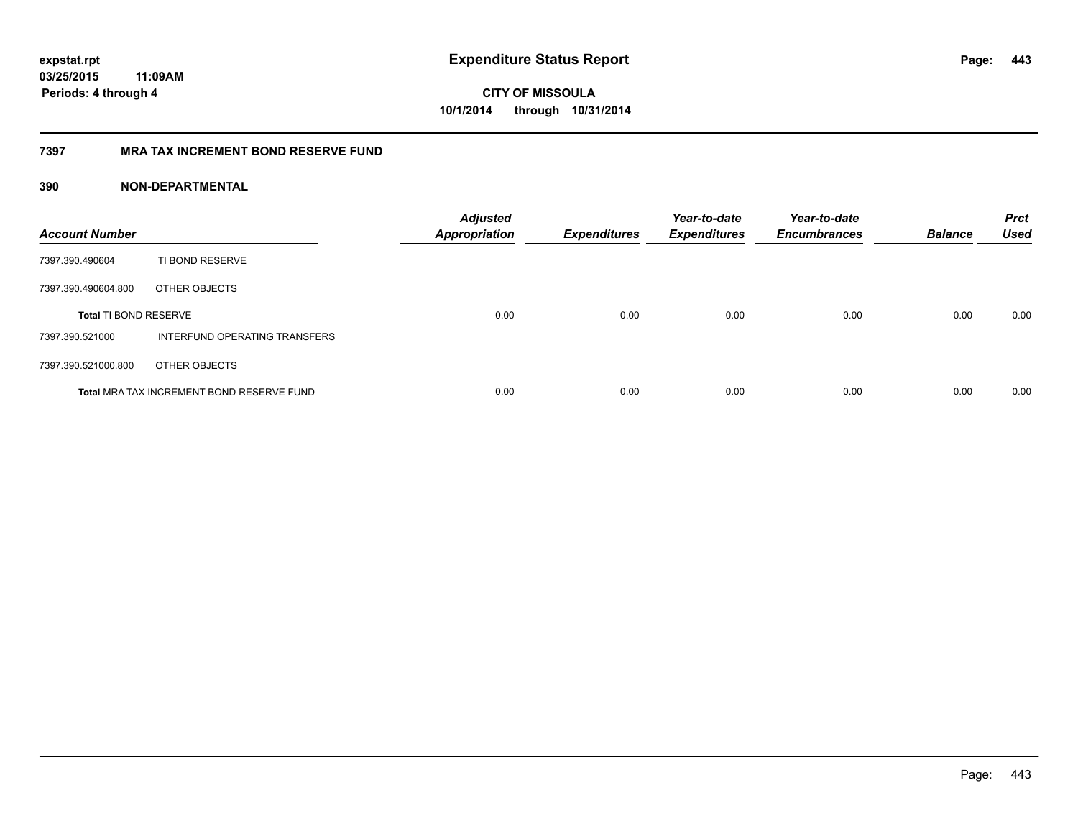**443**

**CITY OF MISSOULA 10/1/2014 through 10/31/2014**

#### **7397 MRA TAX INCREMENT BOND RESERVE FUND**

| <b>Account Number</b>        |                                           | <b>Adjusted</b><br><b>Appropriation</b> | <b>Expenditures</b> | Year-to-date<br><b>Expenditures</b> | Year-to-date<br><b>Encumbrances</b> | <b>Balance</b> | <b>Prct</b><br><b>Used</b> |
|------------------------------|-------------------------------------------|-----------------------------------------|---------------------|-------------------------------------|-------------------------------------|----------------|----------------------------|
| 7397.390.490604              | TI BOND RESERVE                           |                                         |                     |                                     |                                     |                |                            |
| 7397.390.490604.800          | OTHER OBJECTS                             |                                         |                     |                                     |                                     |                |                            |
| <b>Total TI BOND RESERVE</b> |                                           | 0.00                                    | 0.00                | 0.00                                | 0.00                                | 0.00           | 0.00                       |
| 7397.390.521000              | INTERFUND OPERATING TRANSFERS             |                                         |                     |                                     |                                     |                |                            |
| 7397.390.521000.800          | OTHER OBJECTS                             |                                         |                     |                                     |                                     |                |                            |
|                              | Total MRA TAX INCREMENT BOND RESERVE FUND | 0.00                                    | 0.00                | 0.00                                | 0.00                                | 0.00           | 0.00                       |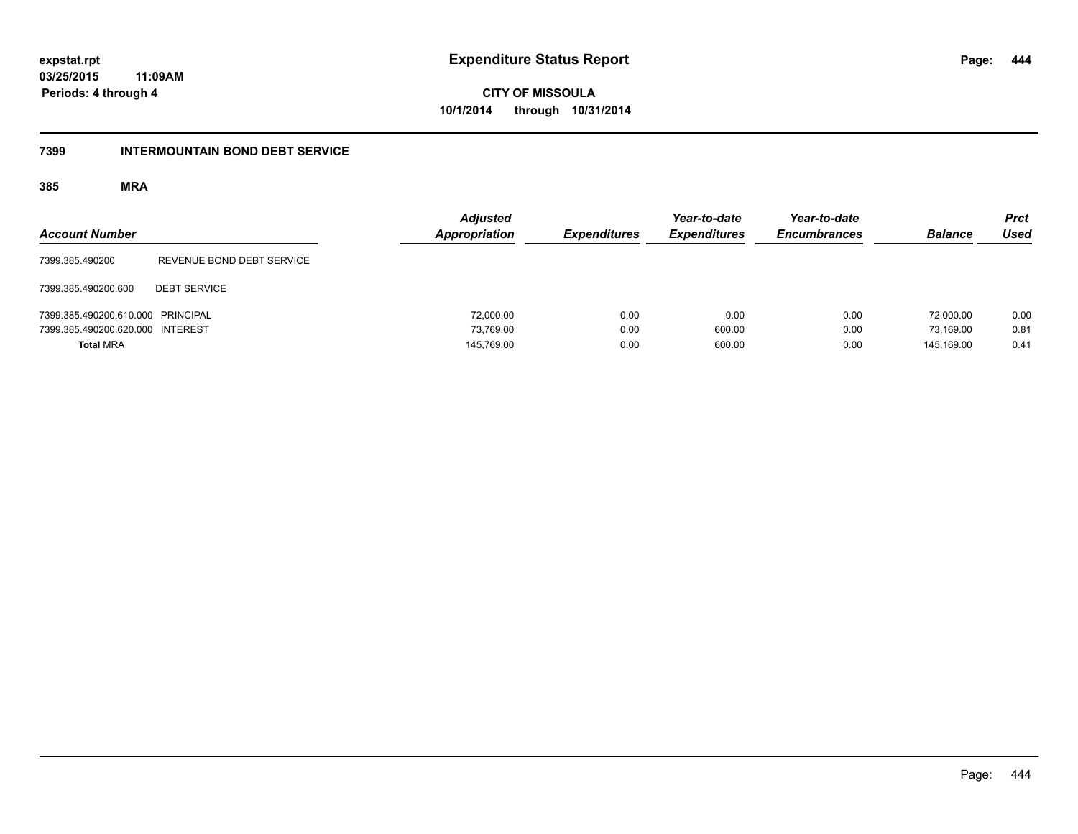**444**

**03/25/2015 11:09AM Periods: 4 through 4**

**CITY OF MISSOULA 10/1/2014 through 10/31/2014**

#### **7399 INTERMOUNTAIN BOND DEBT SERVICE**

| <b>Account Number</b>             |                           | <b>Adjusted</b><br>Appropriation | <b>Expenditures</b> | Year-to-date<br><b>Expenditures</b> | Year-to-date<br><b>Encumbrances</b> | <b>Balance</b> | <b>Prct</b><br><b>Used</b> |
|-----------------------------------|---------------------------|----------------------------------|---------------------|-------------------------------------|-------------------------------------|----------------|----------------------------|
| 7399.385.490200                   | REVENUE BOND DEBT SERVICE |                                  |                     |                                     |                                     |                |                            |
| 7399.385.490200.600               | <b>DEBT SERVICE</b>       |                                  |                     |                                     |                                     |                |                            |
| 7399.385.490200.610.000 PRINCIPAL |                           | 72,000.00                        | 0.00                | 0.00                                | 0.00                                | 72,000.00      | 0.00                       |
| 7399.385.490200.620.000 INTEREST  |                           | 73.769.00                        | 0.00                | 600.00                              | 0.00                                | 73.169.00      | 0.81                       |
| <b>Total MRA</b>                  |                           | 145,769.00                       | 0.00                | 600.00                              | 0.00                                | 145.169.00     | 0.41                       |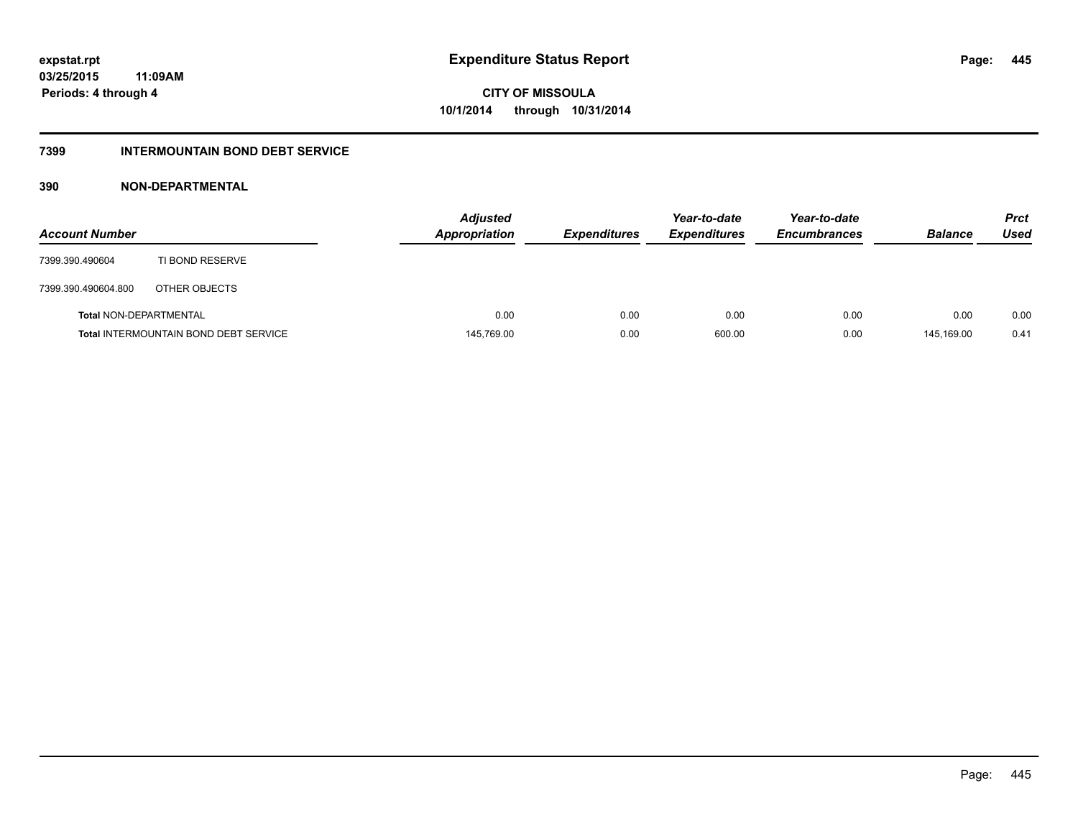### **7399 INTERMOUNTAIN BOND DEBT SERVICE**

| <b>Account Number</b>         |                                              | <b>Adjusted</b><br><b>Appropriation</b> | <b>Expenditures</b> | Year-to-date<br><b>Expenditures</b> | Year-to-date<br><b>Encumbrances</b> | <b>Balance</b> | <b>Prct</b><br>Used |
|-------------------------------|----------------------------------------------|-----------------------------------------|---------------------|-------------------------------------|-------------------------------------|----------------|---------------------|
| 7399.390.490604               | TI BOND RESERVE                              |                                         |                     |                                     |                                     |                |                     |
| 7399.390.490604.800           | OTHER OBJECTS                                |                                         |                     |                                     |                                     |                |                     |
| <b>Total NON-DEPARTMENTAL</b> |                                              | 0.00                                    | 0.00                | 0.00                                | 0.00                                | 0.00           | 0.00                |
|                               | <b>Total INTERMOUNTAIN BOND DEBT SERVICE</b> | 145,769.00                              | 0.00                | 600.00                              | 0.00                                | 145.169.00     | 0.41                |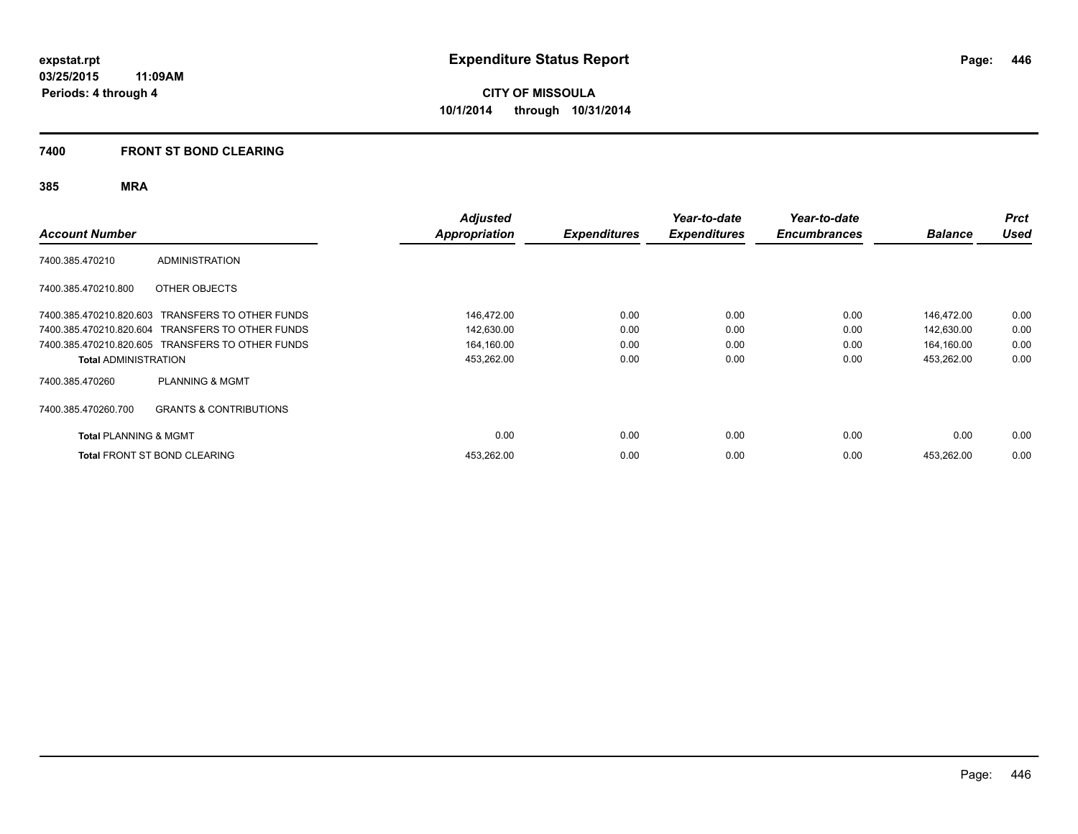#### **7400 FRONT ST BOND CLEARING**

| <b>Account Number</b>            |                                                  | <b>Adjusted</b><br>Appropriation | <b>Expenditures</b> | Year-to-date<br><b>Expenditures</b> | Year-to-date<br><b>Encumbrances</b> | <b>Balance</b> | <b>Prct</b><br><b>Used</b> |
|----------------------------------|--------------------------------------------------|----------------------------------|---------------------|-------------------------------------|-------------------------------------|----------------|----------------------------|
| 7400.385.470210                  | <b>ADMINISTRATION</b>                            |                                  |                     |                                     |                                     |                |                            |
| 7400.385.470210.800              | OTHER OBJECTS                                    |                                  |                     |                                     |                                     |                |                            |
|                                  | 7400.385.470210.820.603 TRANSFERS TO OTHER FUNDS | 146,472.00                       | 0.00                | 0.00                                | 0.00                                | 146,472.00     | 0.00                       |
|                                  | 7400.385.470210.820.604 TRANSFERS TO OTHER FUNDS | 142,630.00                       | 0.00                | 0.00                                | 0.00                                | 142,630.00     | 0.00                       |
|                                  | 7400.385.470210.820.605 TRANSFERS TO OTHER FUNDS | 164,160.00                       | 0.00                | 0.00                                | 0.00                                | 164,160.00     | 0.00                       |
| <b>Total ADMINISTRATION</b>      |                                                  | 453,262.00                       | 0.00                | 0.00                                | 0.00                                | 453,262.00     | 0.00                       |
| 7400.385.470260                  | <b>PLANNING &amp; MGMT</b>                       |                                  |                     |                                     |                                     |                |                            |
| 7400.385.470260.700              | <b>GRANTS &amp; CONTRIBUTIONS</b>                |                                  |                     |                                     |                                     |                |                            |
| <b>Total PLANNING &amp; MGMT</b> |                                                  | 0.00                             | 0.00                | 0.00                                | 0.00                                | 0.00           | 0.00                       |
|                                  | <b>Total FRONT ST BOND CLEARING</b>              | 453,262.00                       | 0.00                | 0.00                                | 0.00                                | 453,262.00     | 0.00                       |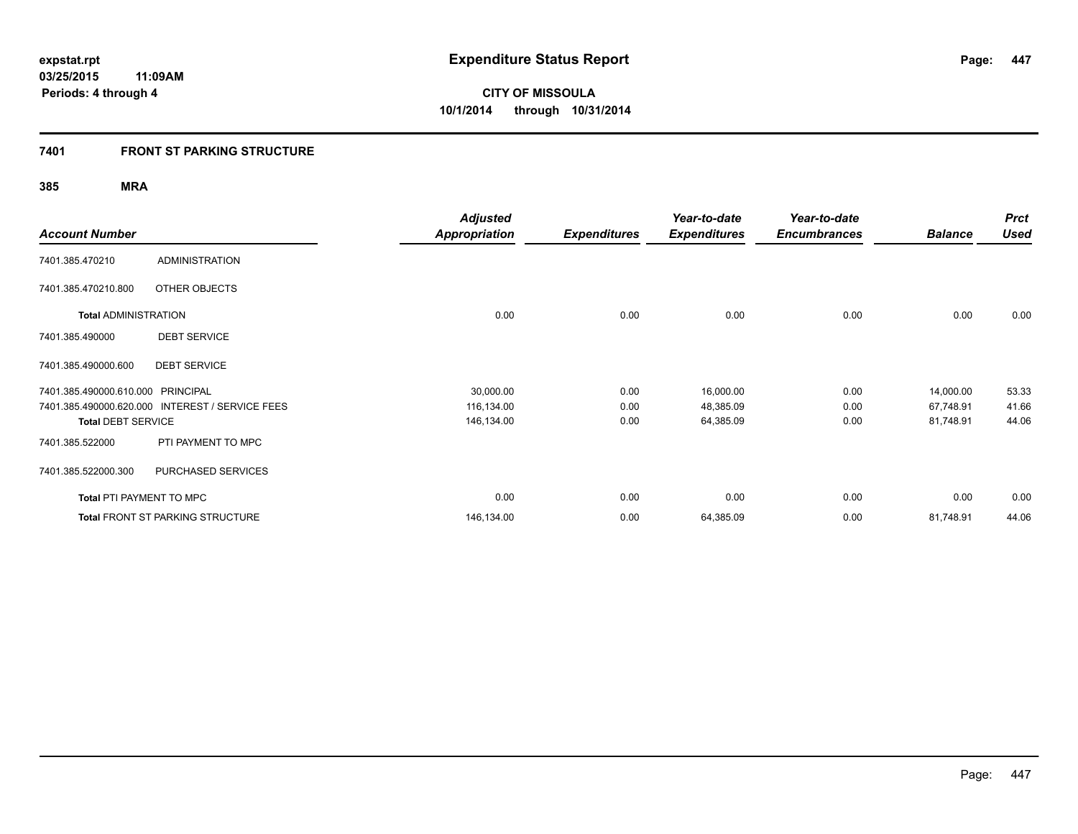### **7401 FRONT ST PARKING STRUCTURE**

|                                   |                                                 | <b>Adjusted</b>      |                     | Year-to-date        | Year-to-date        |                | <b>Prct</b> |
|-----------------------------------|-------------------------------------------------|----------------------|---------------------|---------------------|---------------------|----------------|-------------|
| <b>Account Number</b>             |                                                 | <b>Appropriation</b> | <b>Expenditures</b> | <b>Expenditures</b> | <b>Encumbrances</b> | <b>Balance</b> | <b>Used</b> |
| 7401.385.470210                   | <b>ADMINISTRATION</b>                           |                      |                     |                     |                     |                |             |
| 7401.385.470210.800               | OTHER OBJECTS                                   |                      |                     |                     |                     |                |             |
| <b>Total ADMINISTRATION</b>       |                                                 | 0.00                 | 0.00                | 0.00                | 0.00                | 0.00           | 0.00        |
| 7401.385.490000                   | <b>DEBT SERVICE</b>                             |                      |                     |                     |                     |                |             |
| 7401.385.490000.600               | <b>DEBT SERVICE</b>                             |                      |                     |                     |                     |                |             |
| 7401.385.490000.610.000 PRINCIPAL |                                                 | 30,000.00            | 0.00                | 16,000.00           | 0.00                | 14,000.00      | 53.33       |
|                                   | 7401.385.490000.620.000 INTEREST / SERVICE FEES | 116,134.00           | 0.00                | 48,385.09           | 0.00                | 67,748.91      | 41.66       |
| <b>Total DEBT SERVICE</b>         |                                                 | 146,134.00           | 0.00                | 64,385.09           | 0.00                | 81,748.91      | 44.06       |
| 7401.385.522000                   | PTI PAYMENT TO MPC                              |                      |                     |                     |                     |                |             |
| 7401.385.522000.300               | PURCHASED SERVICES                              |                      |                     |                     |                     |                |             |
| <b>Total PTI PAYMENT TO MPC</b>   |                                                 | 0.00                 | 0.00                | 0.00                | 0.00                | 0.00           | 0.00        |
|                                   | <b>Total FRONT ST PARKING STRUCTURE</b>         | 146,134.00           | 0.00                | 64,385.09           | 0.00                | 81,748.91      | 44.06       |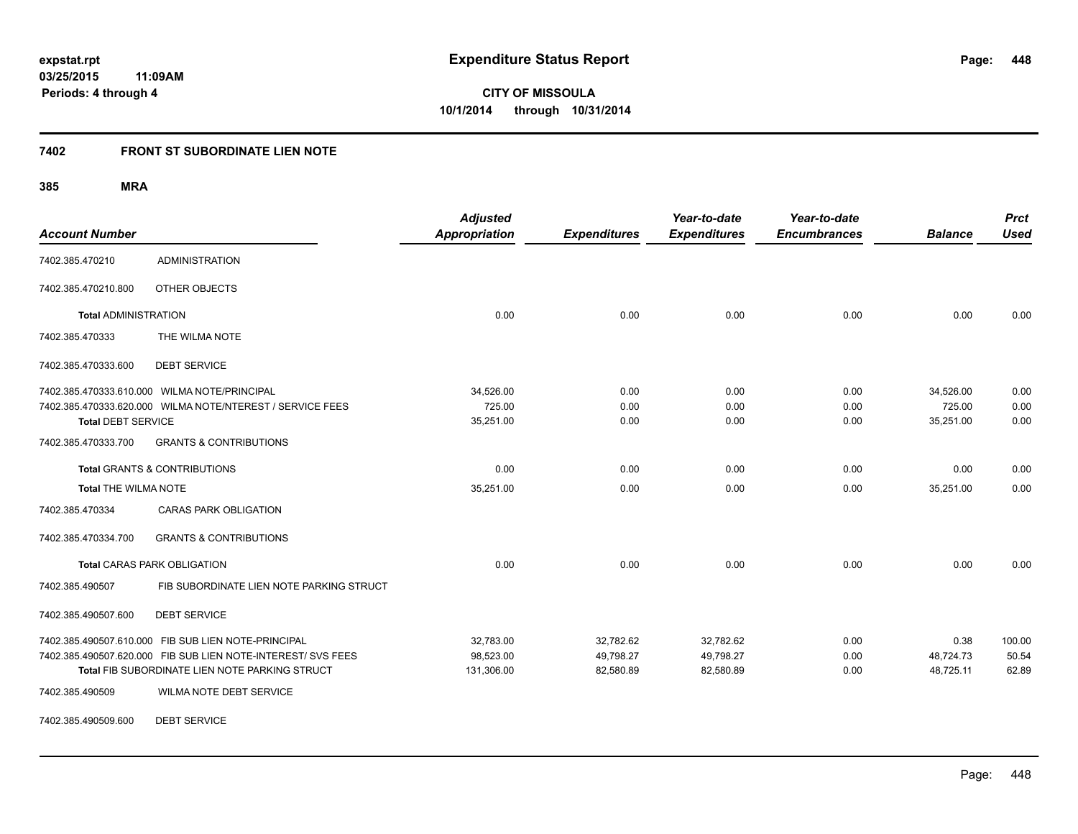### **7402 FRONT ST SUBORDINATE LIEN NOTE**

**385 MRA**

| <b>Account Number</b>                   |                                                              | <b>Adjusted</b><br>Appropriation | <b>Expenditures</b> | Year-to-date<br><b>Expenditures</b> | Year-to-date<br><b>Encumbrances</b> | <b>Balance</b> | <b>Prct</b><br><b>Used</b> |
|-----------------------------------------|--------------------------------------------------------------|----------------------------------|---------------------|-------------------------------------|-------------------------------------|----------------|----------------------------|
| 7402.385.470210                         | <b>ADMINISTRATION</b>                                        |                                  |                     |                                     |                                     |                |                            |
| 7402.385.470210.800                     | OTHER OBJECTS                                                |                                  |                     |                                     |                                     |                |                            |
| <b>Total ADMINISTRATION</b>             |                                                              | 0.00                             | 0.00                | 0.00                                | 0.00                                | 0.00           | 0.00                       |
| 7402.385.470333                         | THE WILMA NOTE                                               |                                  |                     |                                     |                                     |                |                            |
| 7402.385.470333.600                     | <b>DEBT SERVICE</b>                                          |                                  |                     |                                     |                                     |                |                            |
|                                         | 7402.385.470333.610.000 WILMA NOTE/PRINCIPAL                 | 34,526.00                        | 0.00                | 0.00                                | 0.00                                | 34,526.00      | 0.00                       |
|                                         | 7402.385.470333.620.000 WILMA NOTE/NTEREST / SERVICE FEES    | 725.00                           | 0.00                | 0.00                                | 0.00                                | 725.00         | 0.00                       |
| <b>Total DEBT SERVICE</b>               |                                                              | 35,251.00                        | 0.00                | 0.00                                | 0.00                                | 35,251.00      | 0.00                       |
| 7402.385.470333.700                     | <b>GRANTS &amp; CONTRIBUTIONS</b>                            |                                  |                     |                                     |                                     |                |                            |
| <b>Total GRANTS &amp; CONTRIBUTIONS</b> |                                                              | 0.00                             | 0.00                | 0.00                                | 0.00                                | 0.00           | 0.00                       |
| <b>Total THE WILMA NOTE</b>             |                                                              | 35,251.00                        | 0.00                | 0.00                                | 0.00                                | 35,251.00      | 0.00                       |
| 7402.385.470334                         | <b>CARAS PARK OBLIGATION</b>                                 |                                  |                     |                                     |                                     |                |                            |
| 7402.385.470334.700                     | <b>GRANTS &amp; CONTRIBUTIONS</b>                            |                                  |                     |                                     |                                     |                |                            |
|                                         | <b>Total CARAS PARK OBLIGATION</b>                           | 0.00                             | 0.00                | 0.00                                | 0.00                                | 0.00           | 0.00                       |
| 7402.385.490507                         | FIB SUBORDINATE LIEN NOTE PARKING STRUCT                     |                                  |                     |                                     |                                     |                |                            |
| 7402.385.490507.600                     | <b>DEBT SERVICE</b>                                          |                                  |                     |                                     |                                     |                |                            |
|                                         | 7402.385.490507.610.000 FIB SUB LIEN NOTE-PRINCIPAL          | 32.783.00                        | 32,782.62           | 32,782.62                           | 0.00                                | 0.38           | 100.00                     |
|                                         | 7402.385.490507.620.000 FIB SUB LIEN NOTE-INTEREST/ SVS FEES | 98,523.00                        | 49,798.27           | 49,798.27                           | 0.00                                | 48,724.73      | 50.54                      |
|                                         | Total FIB SUBORDINATE LIEN NOTE PARKING STRUCT               | 131,306.00                       | 82,580.89           | 82,580.89                           | 0.00                                | 48,725.11      | 62.89                      |
| 7402.385.490509                         | WILMA NOTE DEBT SERVICE                                      |                                  |                     |                                     |                                     |                |                            |

7402.385.490509.600 DEBT SERVICE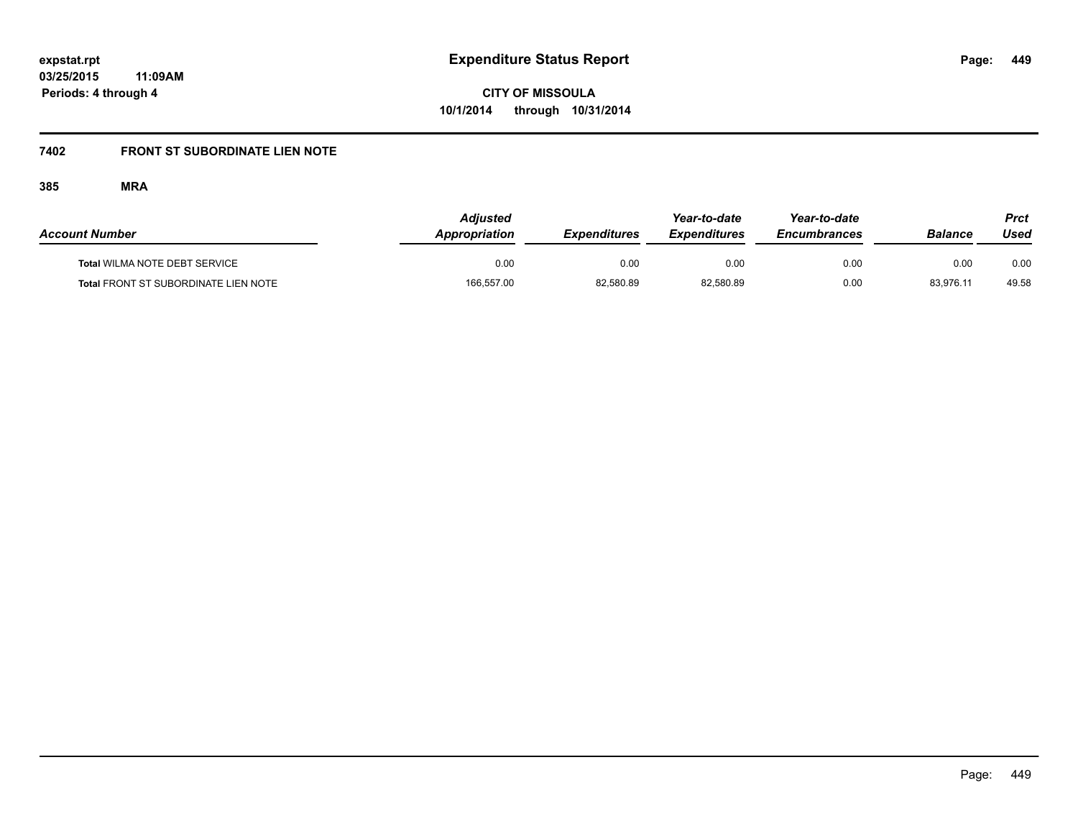## **7402 FRONT ST SUBORDINATE LIEN NOTE**

| <b>Account Number</b>                       | <b>Adiusted</b><br>Appropriation | <b>Expenditures</b> | Year-to-date<br><b>Expenditures</b> | Year-to-date<br><b>Encumbrances</b> | Balance   | Prct<br>Used |
|---------------------------------------------|----------------------------------|---------------------|-------------------------------------|-------------------------------------|-----------|--------------|
| Total WILMA NOTE DEBT SERVICE               | 0.00                             | 0.00                | 0.00                                | 0.00                                | 0.00      | 0.00         |
| <b>Total FRONT ST SUBORDINATE LIEN NOTE</b> | 166,557.00                       | 82,580.89           | 82,580.89                           | 0.00                                | 83,976.11 | 49.58        |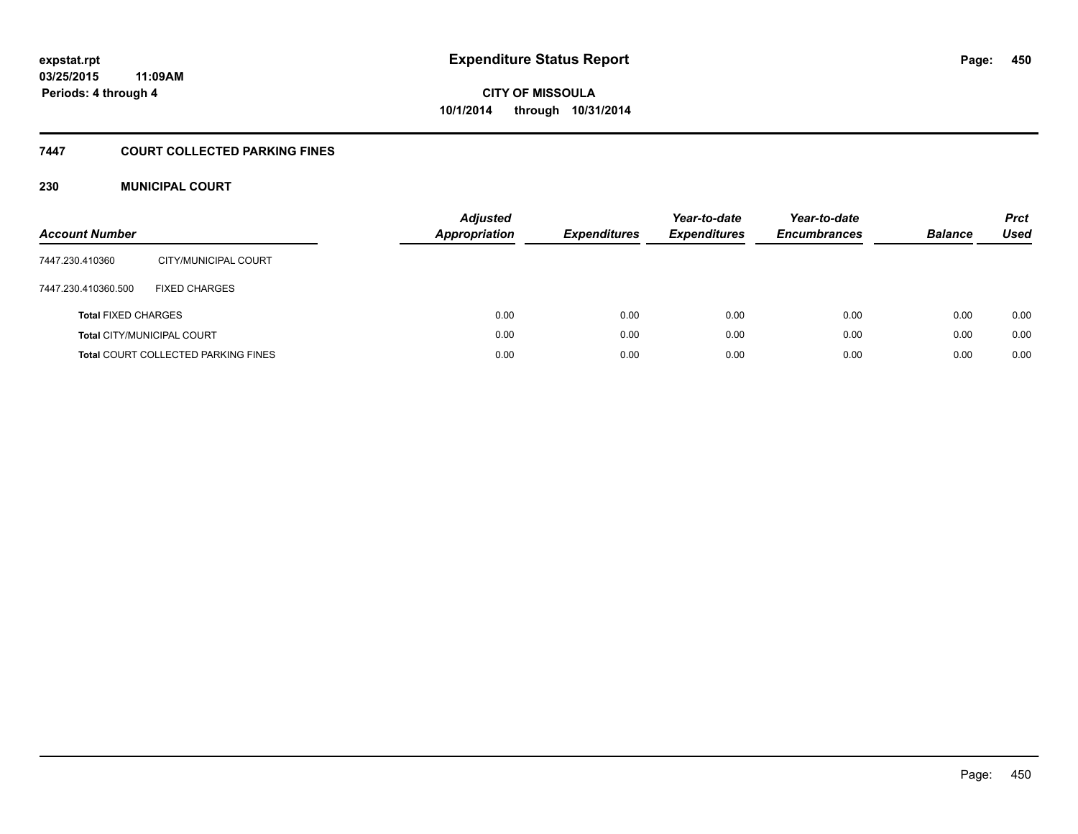# **7447 COURT COLLECTED PARKING FINES**

#### **230 MUNICIPAL COURT**

| <b>Account Number</b>      |                                            | <b>Adjusted</b><br><b>Appropriation</b> | <b>Expenditures</b> | Year-to-date<br><b>Expenditures</b> | Year-to-date<br><b>Encumbrances</b> | <b>Balance</b> | <b>Prct</b><br>Used |
|----------------------------|--------------------------------------------|-----------------------------------------|---------------------|-------------------------------------|-------------------------------------|----------------|---------------------|
| 7447.230.410360            | CITY/MUNICIPAL COURT                       |                                         |                     |                                     |                                     |                |                     |
| 7447.230.410360.500        | <b>FIXED CHARGES</b>                       |                                         |                     |                                     |                                     |                |                     |
| <b>Total FIXED CHARGES</b> |                                            | 0.00                                    | 0.00                | 0.00                                | 0.00                                | 0.00           | 0.00                |
|                            | <b>Total CITY/MUNICIPAL COURT</b>          | 0.00                                    | 0.00                | 0.00                                | 0.00                                | 0.00           | 0.00                |
|                            | <b>Total COURT COLLECTED PARKING FINES</b> | 0.00                                    | 0.00                | 0.00                                | 0.00                                | 0.00           | 0.00                |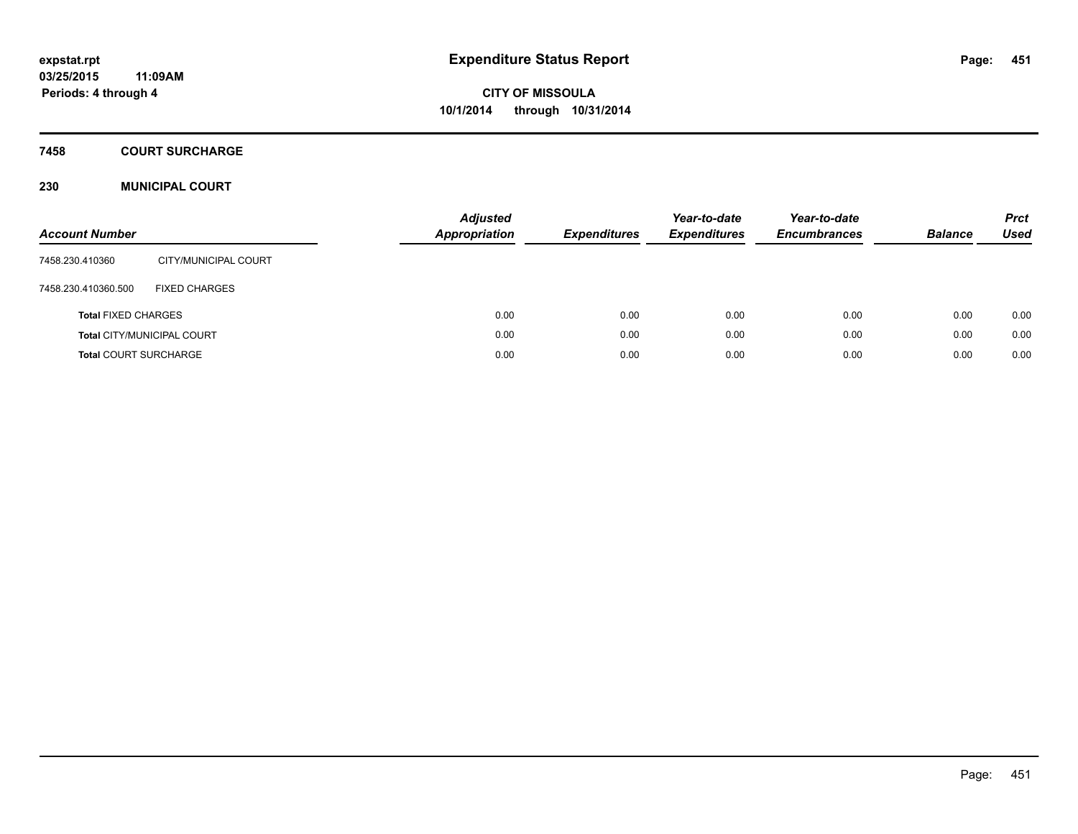### **7458 COURT SURCHARGE**

#### **230 MUNICIPAL COURT**

| <b>Account Number</b>        |                                   | <b>Adjusted</b><br><b>Appropriation</b> | <b>Expenditures</b> | Year-to-date<br><b>Expenditures</b> | Year-to-date<br><b>Encumbrances</b> | <b>Balance</b> | <b>Prct</b><br>Used |
|------------------------------|-----------------------------------|-----------------------------------------|---------------------|-------------------------------------|-------------------------------------|----------------|---------------------|
| 7458.230.410360              | CITY/MUNICIPAL COURT              |                                         |                     |                                     |                                     |                |                     |
| 7458.230.410360.500          | <b>FIXED CHARGES</b>              |                                         |                     |                                     |                                     |                |                     |
| <b>Total FIXED CHARGES</b>   |                                   | 0.00                                    | 0.00                | 0.00                                | 0.00                                | 0.00           | 0.00                |
|                              | <b>Total CITY/MUNICIPAL COURT</b> | 0.00                                    | 0.00                | 0.00                                | 0.00                                | 0.00           | 0.00                |
| <b>Total COURT SURCHARGE</b> |                                   | 0.00                                    | 0.00                | 0.00                                | 0.00                                | 0.00           | 0.00                |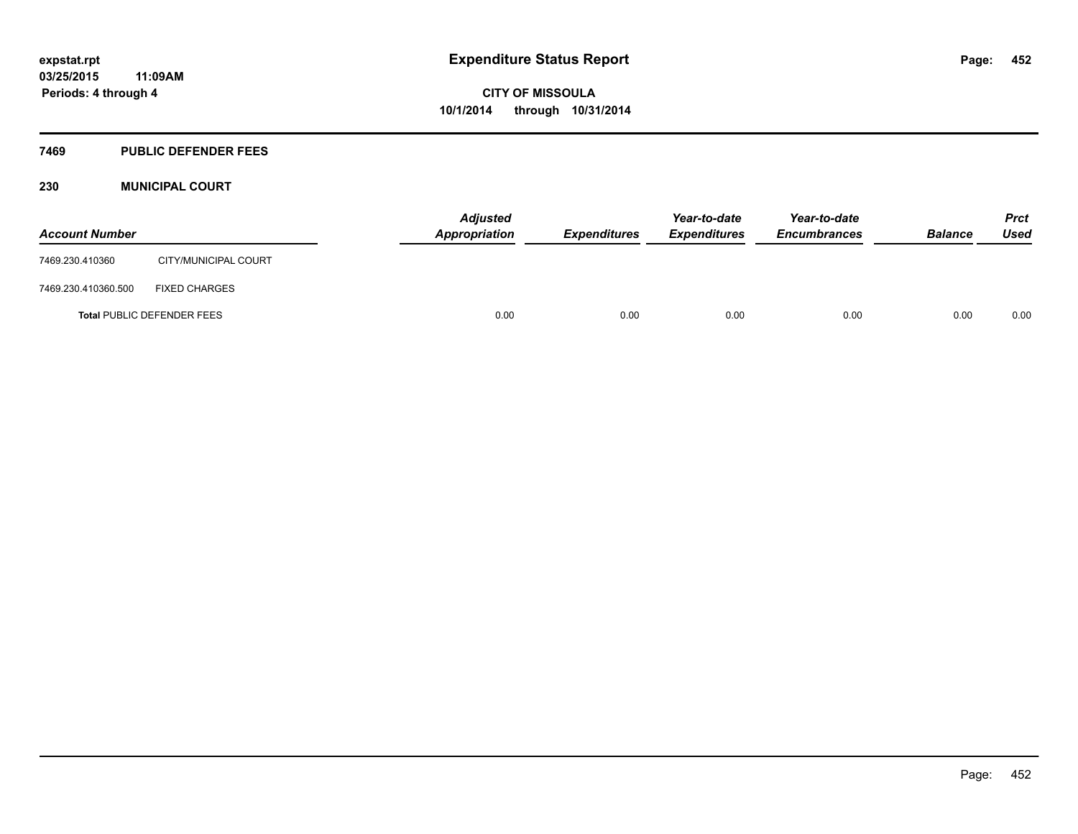#### **7469 PUBLIC DEFENDER FEES**

#### **230 MUNICIPAL COURT**

| <b>Account Number</b> |                                   | <b>Adjusted</b><br><b>Appropriation</b> | <b>Expenditures</b> | Year-to-date<br><b>Expenditures</b> | Year-to-date<br><b>Encumbrances</b> | <b>Balance</b> | Prct<br><b>Used</b> |
|-----------------------|-----------------------------------|-----------------------------------------|---------------------|-------------------------------------|-------------------------------------|----------------|---------------------|
| 7469.230.410360       | CITY/MUNICIPAL COURT              |                                         |                     |                                     |                                     |                |                     |
| 7469.230.410360.500   | <b>FIXED CHARGES</b>              |                                         |                     |                                     |                                     |                |                     |
|                       | <b>Total PUBLIC DEFENDER FEES</b> | 0.00                                    | 0.00                | 0.00                                | 0.00                                | 0.00           | 0.00                |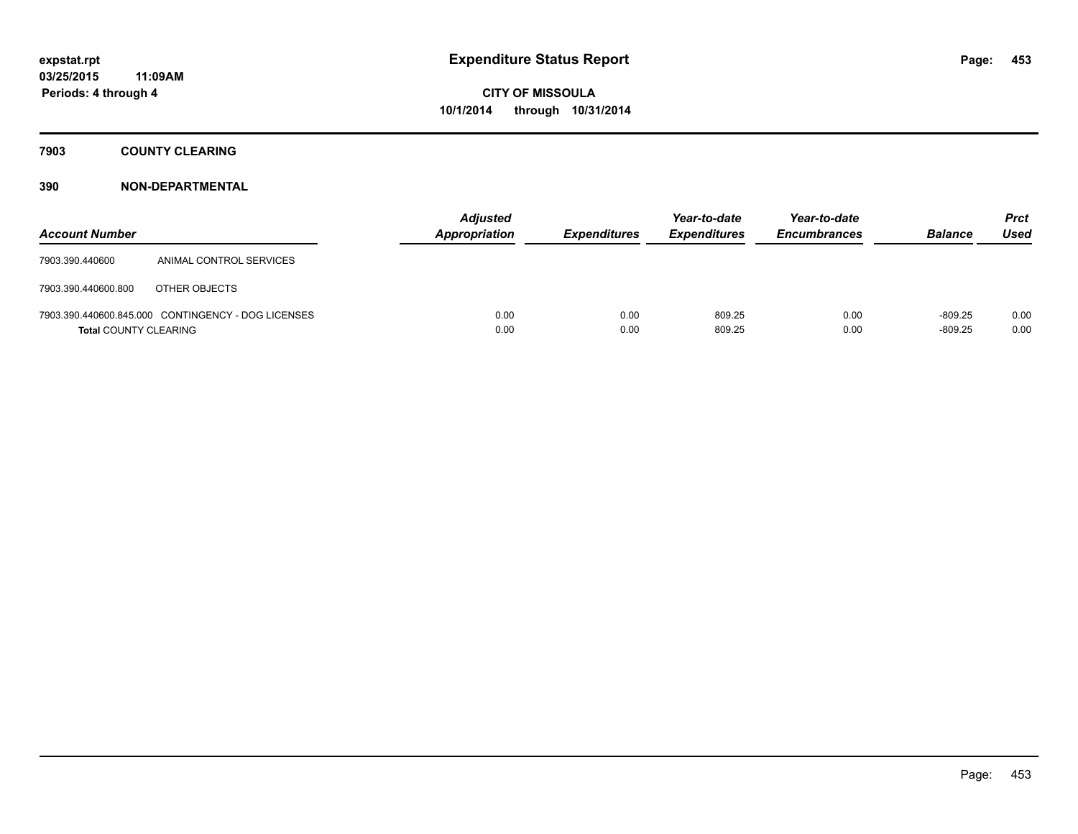### **7903 COUNTY CLEARING**

| <b>Account Number</b>        |                                                    | <b>Adjusted</b><br>Appropriation | <b>Expenditures</b> | Year-to-date<br><b>Expenditures</b> | Year-to-date<br><b>Encumbrances</b> | <b>Balance</b>         | <b>Prct</b><br><b>Used</b> |
|------------------------------|----------------------------------------------------|----------------------------------|---------------------|-------------------------------------|-------------------------------------|------------------------|----------------------------|
| 7903.390.440600              | ANIMAL CONTROL SERVICES                            |                                  |                     |                                     |                                     |                        |                            |
| 7903.390.440600.800          | OTHER OBJECTS                                      |                                  |                     |                                     |                                     |                        |                            |
| <b>Total COUNTY CLEARING</b> | 7903.390.440600.845.000 CONTINGENCY - DOG LICENSES | 0.00<br>0.00                     | 0.00<br>0.00        | 809.25<br>809.25                    | 0.00<br>0.00                        | $-809.25$<br>$-809.25$ | 0.00<br>0.00               |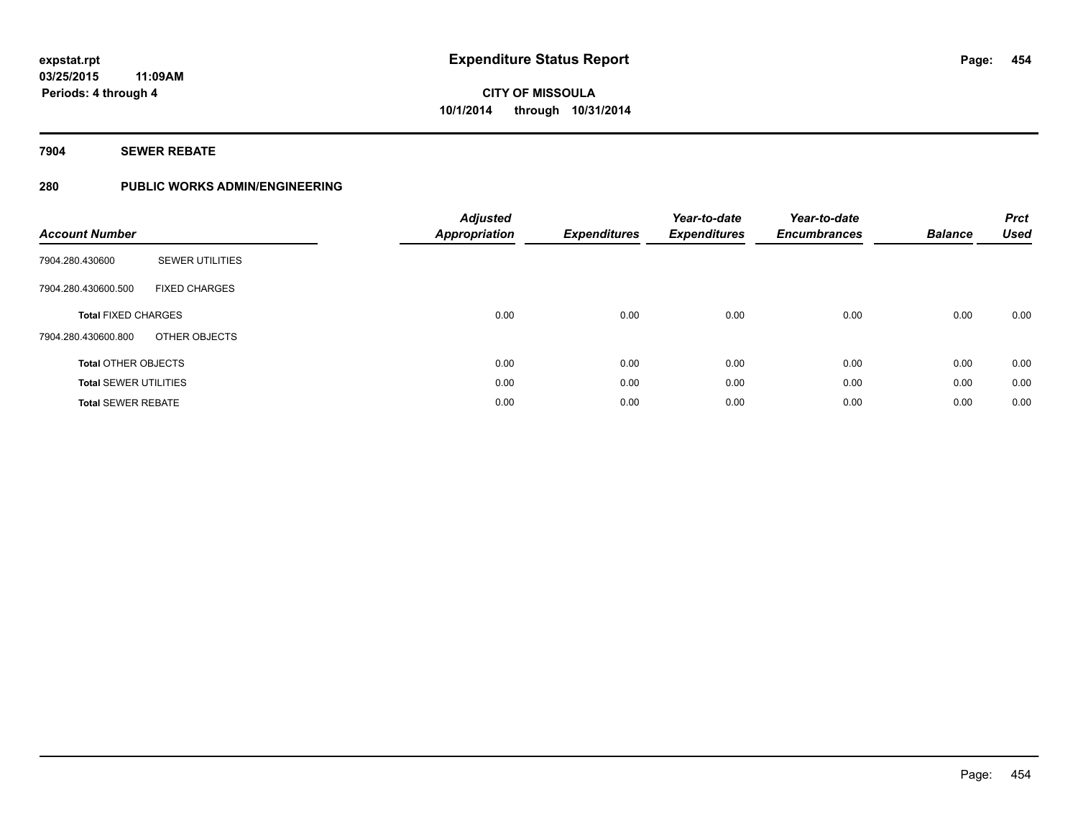### **7904 SEWER REBATE**

### **280 PUBLIC WORKS ADMIN/ENGINEERING**

| <b>Account Number</b>        |                        | <b>Adjusted</b><br><b>Appropriation</b> | <b>Expenditures</b> | Year-to-date<br><b>Expenditures</b> | Year-to-date<br><b>Encumbrances</b> | <b>Balance</b> | <b>Prct</b><br><b>Used</b> |
|------------------------------|------------------------|-----------------------------------------|---------------------|-------------------------------------|-------------------------------------|----------------|----------------------------|
| 7904.280.430600              | <b>SEWER UTILITIES</b> |                                         |                     |                                     |                                     |                |                            |
| 7904.280.430600.500          | <b>FIXED CHARGES</b>   |                                         |                     |                                     |                                     |                |                            |
| <b>Total FIXED CHARGES</b>   |                        | 0.00                                    | 0.00                | 0.00                                | 0.00                                | 0.00           | 0.00                       |
| 7904.280.430600.800          | OTHER OBJECTS          |                                         |                     |                                     |                                     |                |                            |
| <b>Total OTHER OBJECTS</b>   |                        | 0.00                                    | 0.00                | 0.00                                | 0.00                                | 0.00           | 0.00                       |
| <b>Total SEWER UTILITIES</b> |                        | 0.00                                    | 0.00                | 0.00                                | 0.00                                | 0.00           | 0.00                       |
| <b>Total SEWER REBATE</b>    |                        | 0.00                                    | 0.00                | 0.00                                | 0.00                                | 0.00           | 0.00                       |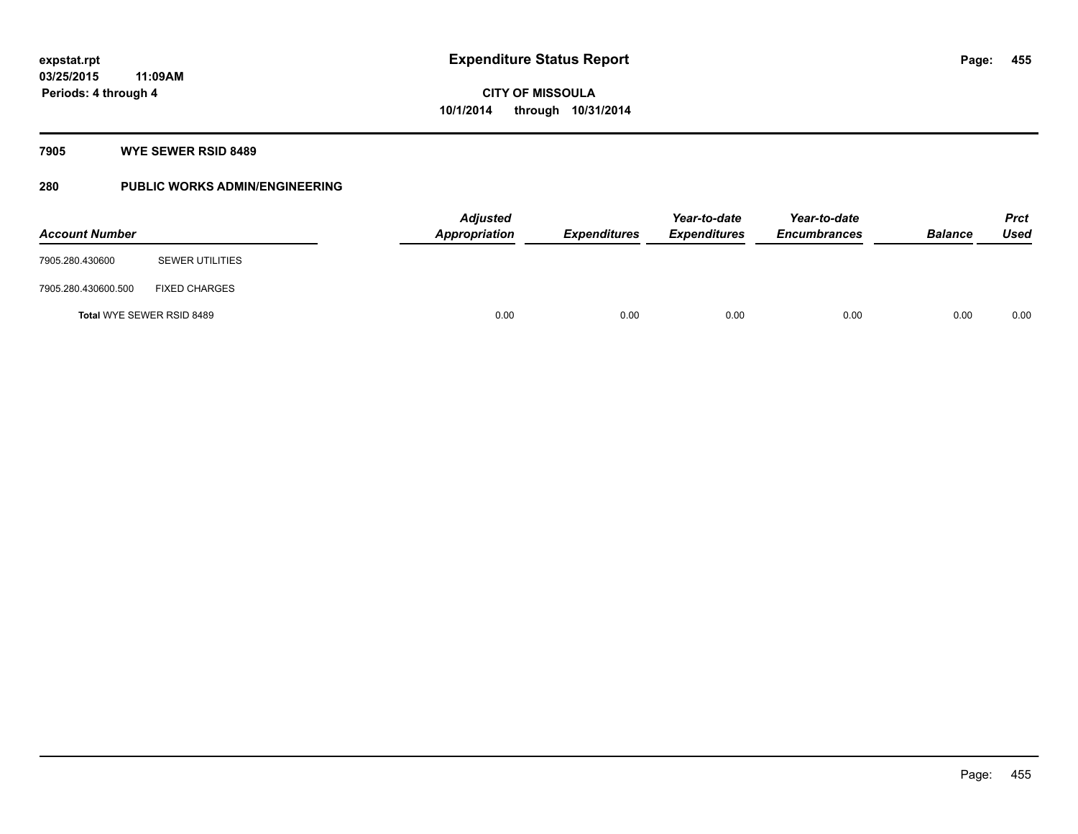### **7905 WYE SEWER RSID 8489**

### **280 PUBLIC WORKS ADMIN/ENGINEERING**

| <b>Account Number</b> |                           | <b>Adjusted</b><br><b>Appropriation</b> | <b>Expenditures</b> | Year-to-date<br><b>Expenditures</b> | Year-to-date<br><b>Encumbrances</b> | <b>Balance</b> | <b>Prct</b><br><b>Used</b> |
|-----------------------|---------------------------|-----------------------------------------|---------------------|-------------------------------------|-------------------------------------|----------------|----------------------------|
| 7905.280.430600       | <b>SEWER UTILITIES</b>    |                                         |                     |                                     |                                     |                |                            |
| 7905.280.430600.500   | <b>FIXED CHARGES</b>      |                                         |                     |                                     |                                     |                |                            |
|                       | Total WYE SEWER RSID 8489 | 0.00                                    | 0.00                | 0.00                                | 0.00                                | 0.00           | 0.00                       |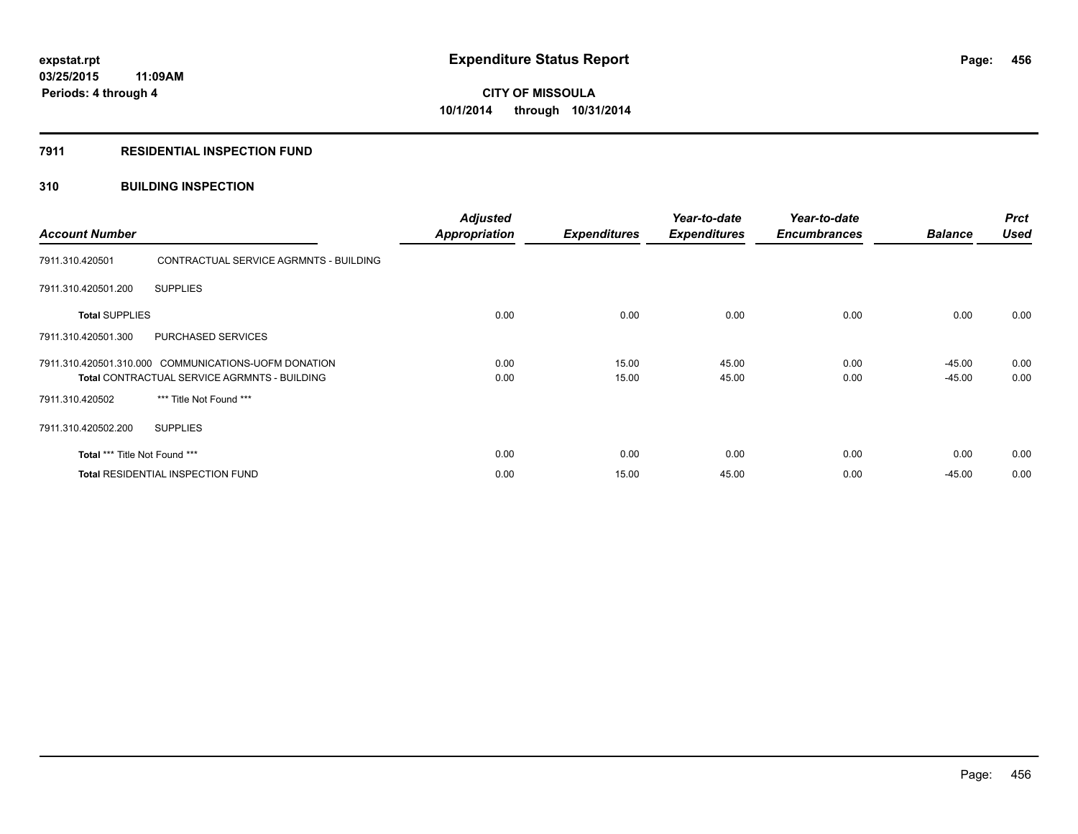#### **7911 RESIDENTIAL INSPECTION FUND**

#### **310 BUILDING INSPECTION**

| <b>Account Number</b>         |                                                                                                             | <b>Adjusted</b><br><b>Appropriation</b> | <b>Expenditures</b> | Year-to-date<br><b>Expenditures</b> | Year-to-date<br><b>Encumbrances</b> | <b>Balance</b>       | <b>Prct</b><br><b>Used</b> |
|-------------------------------|-------------------------------------------------------------------------------------------------------------|-----------------------------------------|---------------------|-------------------------------------|-------------------------------------|----------------------|----------------------------|
| 7911.310.420501               | CONTRACTUAL SERVICE AGRMNTS - BUILDING                                                                      |                                         |                     |                                     |                                     |                      |                            |
| 7911.310.420501.200           | <b>SUPPLIES</b>                                                                                             |                                         |                     |                                     |                                     |                      |                            |
| <b>Total SUPPLIES</b>         |                                                                                                             | 0.00                                    | 0.00                | 0.00                                | 0.00                                | 0.00                 | 0.00                       |
| 7911.310.420501.300           | PURCHASED SERVICES                                                                                          |                                         |                     |                                     |                                     |                      |                            |
|                               | 7911.310.420501.310.000 COMMUNICATIONS-UOFM DONATION<br><b>Total CONTRACTUAL SERVICE AGRMNTS - BUILDING</b> | 0.00<br>0.00                            | 15.00<br>15.00      | 45.00<br>45.00                      | 0.00<br>0.00                        | $-45.00$<br>$-45.00$ | 0.00<br>0.00               |
| 7911.310.420502               | *** Title Not Found ***                                                                                     |                                         |                     |                                     |                                     |                      |                            |
| 7911.310.420502.200           | <b>SUPPLIES</b>                                                                                             |                                         |                     |                                     |                                     |                      |                            |
| Total *** Title Not Found *** |                                                                                                             | 0.00                                    | 0.00                | 0.00                                | 0.00                                | 0.00                 | 0.00                       |
|                               | <b>Total RESIDENTIAL INSPECTION FUND</b>                                                                    | 0.00                                    | 15.00               | 45.00                               | 0.00                                | $-45.00$             | 0.00                       |